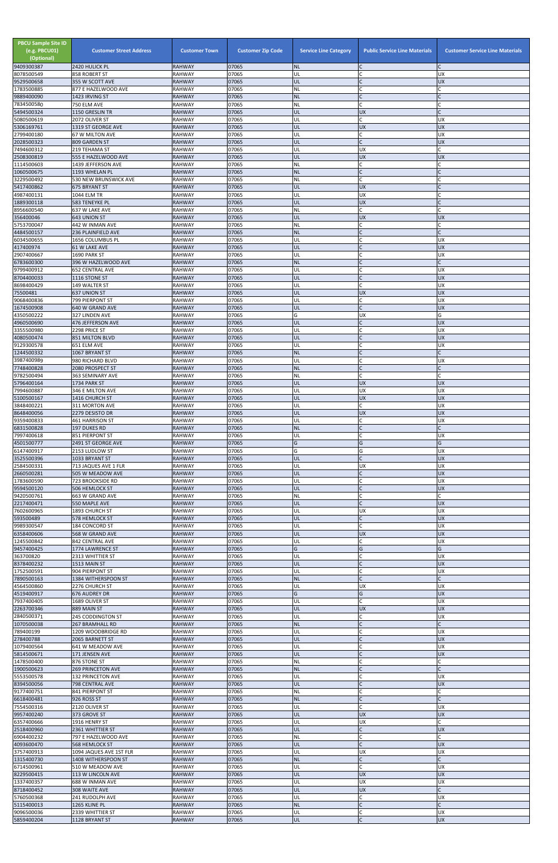| <b>PBCU Sample Site ID</b><br>(e.g. PBCU01)<br>(Optional)<br>9409300387 | <b>Customer Street Address</b><br>2420 HULICK PL | <b>Customer Town</b><br><b>RAHWAY</b> | <b>Customer Zip Code</b><br>07065 | <b>Service Line Category</b><br><b>NL</b> | <b>Public Service Line Materials</b> | <b>Customer Service Line Materials</b> |
|-------------------------------------------------------------------------|--------------------------------------------------|---------------------------------------|-----------------------------------|-------------------------------------------|--------------------------------------|----------------------------------------|
| 8078500549                                                              | 858 ROBERT ST                                    | <b>RAHWAY</b>                         | 07065                             | UL                                        |                                      | UX                                     |
| 9529500658                                                              | 355 W SCOTT AVE                                  | <b>RAHWAY</b>                         | 07065                             | UL                                        |                                      | <b>UX</b>                              |
| 1783500885<br>9889400090                                                | 877 E HAZELWOOD AVE<br>1423 IRVING ST            | <b>RAHWAY</b><br><b>RAHWAY</b>        | 07065<br>07065                    | <b>NL</b><br><b>NL</b>                    | $\mathsf{C}$                         |                                        |
| 7834500580                                                              | 750 ELM AVE                                      | <b>RAHWAY</b>                         | 07065                             | <b>NL</b>                                 | $\mathsf{C}$                         |                                        |
| 5494500324<br>5080500619                                                | 1150 GRESLIN TR<br>2072 OLIVER ST                | <b>RAHWAY</b><br><b>RAHWAY</b>        | 07065<br>07065                    | UL<br>UL                                  | <b>UX</b><br>C                       | <b>UX</b>                              |
| 5306169761                                                              | 1319 ST GEORGE AVE                               | <b>RAHWAY</b>                         | 07065                             | UL                                        | <b>UX</b>                            | <b>UX</b>                              |
| 2799400180                                                              | 67 W MILTON AVE                                  | <b>RAHWAY</b>                         | 07065                             | UL                                        | C                                    | <b>UX</b>                              |
| 2028500323<br>7494600312                                                | 809 GARDEN ST<br>219 TEHAMA ST                   | <b>RAHWAY</b><br><b>RAHWAY</b>        | 07065<br>07065                    | UL<br>UL                                  | UX                                   | <b>UX</b>                              |
| 2508300819                                                              | 555 E HAZELWOOD AVE                              | <b>RAHWAY</b>                         | 07065                             | UL                                        | UX                                   | <b>UX</b>                              |
| 1114500603<br>1060500675                                                | 1439 JEFFERSON AVE<br>1193 WHELAN PL             | <b>RAHWAY</b><br><b>RAHWAY</b>        | 07065<br>07065                    | <b>NL</b><br><b>NL</b>                    | Ċ<br>$\mathsf{C}$                    |                                        |
| 3229500492                                                              | 530 NEW BRUNSWICK AVE                            | <b>RAHWAY</b>                         | 07065                             | <b>NL</b>                                 | C                                    |                                        |
| 5417400862                                                              | <b>675 BRYANT ST</b>                             | <b>RAHWAY</b>                         | 07065                             | UL                                        | <b>UX</b>                            |                                        |
| 4987400131<br>1889300118                                                | 1044 ELM TR<br>583 TENEYKE PL                    | <b>RAHWAY</b><br><b>RAHWAY</b>        | 07065<br>07065                    | UL<br>UL                                  | UX<br><b>UX</b>                      |                                        |
| 8956600540                                                              | 637 W LAKE AVE                                   | <b>RAHWAY</b>                         | 07065                             | <b>NL</b>                                 | Ċ                                    |                                        |
| 356400046<br>5753700047                                                 | <b>643 UNION ST</b><br>442 W INMAN AVE           | <b>RAHWAY</b><br><b>RAHWAY</b>        | 07065<br>07065                    | UL<br><b>NL</b>                           | <b>UX</b><br>C                       | <b>UX</b>                              |
| 4484500157                                                              | 236 PLAINFIELD AVE                               | <b>RAHWAY</b>                         | 07065                             | <b>NL</b>                                 | $\mathsf{C}$                         |                                        |
| 6034500655                                                              | 1656 COLUMBUS PL                                 | <b>RAHWAY</b>                         | 07065                             | UL                                        | $\mathsf{C}$                         | <b>UX</b>                              |
| 417400974<br>2907400667                                                 | <b>61 W LAKE AVE</b><br>1690 PARK ST             | <b>RAHWAY</b><br><b>RAHWAY</b>        | 07065<br>07065                    | UL<br>UL                                  | $\Gamma$                             | <b>UX</b><br><b>UX</b>                 |
| 6783600300                                                              | 396 W HAZELWOOD AVE                              | <b>RAHWAY</b>                         | 07065                             | <b>NL</b>                                 | $\overline{C}$                       |                                        |
| 9799400912<br>8704400033                                                | <b>652 CENTRAL AVE</b><br>1116 STONE ST          | <b>RAHWAY</b><br><b>RAHWAY</b>        | 07065<br>07065                    | UL<br>UL                                  | $\mathsf{C}$                         | UX<br><b>UX</b>                        |
| 8698400429                                                              | 149 WALTER ST                                    | <b>RAHWAY</b>                         | 07065                             | UL                                        | $\mathsf{C}$                         | UX                                     |
| 75500481                                                                | <b>637 UNION ST</b>                              | <b>RAHWAY</b>                         | 07065                             | UL                                        | <b>UX</b>                            | <b>UX</b>                              |
| 9068400836<br>1674500908                                                | 799 PIERPONT ST<br>640 W GRAND AVE               | <b>RAHWAY</b><br><b>RAHWAY</b>        | 07065<br>07065                    | UL<br>UL                                  | C                                    | <b>UX</b><br><b>UX</b>                 |
| 4350500222                                                              | 327 LINDEN AVE                                   | <b>RAHWAY</b>                         | 07065                             | G                                         | UX                                   | G                                      |
| 4960500690<br>3355500980                                                | 476 JEFFERSON AVE                                | <b>RAHWAY</b>                         | 07065<br>07065                    | UL                                        | $\Gamma$<br>C                        | <b>UX</b><br>UX                        |
| 4080500474                                                              | 2298 PRICE ST<br>851 MILTON BLVD                 | <b>RAHWAY</b><br><b>RAHWAY</b>        | 07065                             | UL<br>UL                                  |                                      | <b>UX</b>                              |
| 9129300578                                                              | 651 ELM AVE                                      | <b>RAHWAY</b>                         | 07065                             | UL                                        |                                      | UX                                     |
| 1244500332<br>3987400989                                                | 1067 BRYANT ST<br>980 RICHARD BLVD               | <b>RAHWAY</b><br><b>RAHWAY</b>        | 07065<br>07065                    | <b>INL</b><br>UL                          | $\mathsf{C}$                         | <b>UX</b>                              |
| 7748400828                                                              | 2080 PROSPECT ST                                 | <b>RAHWAY</b>                         | 07065                             | <b>NL</b>                                 | $\mathsf{C}$                         |                                        |
| 9782500494                                                              | 363 SEMINARY AVE                                 | <b>RAHWAY</b>                         | 07065                             | <b>NL</b>                                 | $\mathsf{C}$                         |                                        |
| 5796400164<br>7994600887                                                | 1734 PARK ST<br>346 E MILTON AVE                 | <b>RAHWAY</b><br><b>RAHWAY</b>        | 07065<br>07065                    | UL<br>UL                                  | <b>UX</b><br>UX                      | <b>UX</b><br><b>UX</b>                 |
| 5100500167                                                              | 1416 CHURCH ST                                   | <b>RAHWAY</b>                         | 07065                             | UL                                        | <b>UX</b>                            | <b>UX</b>                              |
| 3848400221<br>8648400056                                                | 311 MORTON AVE<br>2279 DESISTO DR                | <b>RAHWAY</b><br><b>RAHWAY</b>        | 07065<br>07065                    | UL<br>UL                                  | C<br><b>UX</b>                       | UX<br><b>UX</b>                        |
| 9359400833                                                              | 461 HARRISON ST                                  | <b>RAHWAY</b>                         | 07065                             | UL                                        | C                                    | UX                                     |
| 6831500828                                                              | <b>197 DUKES RD</b>                              | <b>RAHWAY</b>                         | 07065                             | <b>NL</b>                                 | $\mathsf{C}$                         |                                        |
| 7997400618<br>4501500777                                                | 851 PIERPONT ST<br>2491 ST GEORGE AVE            | <b>RAHWAY</b><br><b>RAHWAY</b>        | 07065<br>07065                    | UL<br>G                                   | C<br>G                               | <b>UX</b><br>G                         |
| 6147400917                                                              | 2153 LUDLOW ST                                   | <b>RAHWAY</b>                         | 07065                             | G                                         | G                                    | UX                                     |
| 3525500396<br>2584500331                                                | 1033 BRYANT ST<br>713 JAQUES AVE 1 FLR           | <b>RAHWAY</b><br><b>RAHWAY</b>        | 07065<br>07065                    | UL<br>UL                                  | $\mathsf{C}$<br>UX                   | <b>UX</b><br>UX                        |
| 2660500281                                                              | 505 W MEADOW AVE                                 | <b>RAHWAY</b>                         | 07065                             | UL                                        |                                      | UX                                     |
| 1783600590                                                              | <b>723 BROOKSIDE RD</b>                          | <b>RAHWAY</b>                         | 07065                             | UL                                        | $\mathsf{C}$                         | UX                                     |
| 9594500120<br>9420500761                                                | <b>506 HEMLOCK ST</b><br>663 W GRAND AVE         | <b>RAHWAY</b><br><b>RAHWAY</b>        | 07065<br>07065                    | UL<br><b>NL</b>                           | $\mathsf{C}$                         | <b>UX</b>                              |
| 2217400471                                                              | 550 MAPLE AVE                                    | <b>RAHWAY</b>                         | 07065                             | UL                                        | $\mathsf{C}$                         | <b>UX</b>                              |
| 7602600965<br>593500489                                                 | 1893 CHURCH ST<br>578 HEMLOCK ST                 | <b>RAHWAY</b><br><b>RAHWAY</b>        | 07065<br>07065                    | UL<br>UL                                  | UX<br>$\mathsf{C}$                   | <b>UX</b><br><b>UX</b>                 |
| 9989300547                                                              | 184 CONCORD ST                                   | <b>RAHWAY</b>                         | 07065                             | UL                                        | $\mathsf{C}$                         | UX                                     |
| 6358400606                                                              | 568 W GRAND AVE                                  | <b>RAHWAY</b>                         | 07065<br>07065                    | UL                                        | <b>UX</b><br>Ċ                       | UX                                     |
| 1245500842<br>9457400425                                                | 842 CENTRAL AVE<br>1774 LAWRENCE ST              | <b>RAHWAY</b><br><b>RAHWAY</b>        | 07065                             | UL<br>G                                   | G                                    | UX<br>G                                |
| 363700820                                                               | 2313 WHITTIER ST                                 | <b>RAHWAY</b>                         | 07065                             | UL                                        |                                      | <b>UX</b>                              |
| 8378400232<br>1752500591                                                | 1513 MAIN ST<br>904 PIERPONT ST                  | <b>RAHWAY</b><br><b>RAHWAY</b>        | 07065<br>07065                    | UL<br>UL                                  | $\mathsf{C}$<br>C                    | <b>UX</b><br><b>UX</b>                 |
| 7890500163                                                              | 1384 WITHERSPOON ST                              | <b>RAHWAY</b>                         | 07065                             | <b>NL</b>                                 | $\mathsf{C}$                         |                                        |
| 4564500860                                                              | 2276 CHURCH ST                                   | <b>RAHWAY</b>                         | 07065                             | UL                                        | UX                                   | UX                                     |
| 4519400917<br>7937400405                                                | <b>676 AUDREY DR</b><br>1689 OLIVER ST           | <b>RAHWAY</b><br><b>RAHWAY</b>        | 07065<br>07065                    | G<br>UL                                   | G<br>C                               | <b>UX</b><br><b>UX</b>                 |
| 2263700346                                                              | 889 MAIN ST                                      | <b>RAHWAY</b>                         | 07065                             | UL                                        | UX                                   | <b>UX</b>                              |
| 2840500371<br>1070500038                                                | 245 CODDINGTON ST<br><b>267 BRAMHALL RD</b>      | <b>RAHWAY</b><br><b>RAHWAY</b>        | 07065<br>07065                    | UL<br><b>NL</b>                           | C                                    | <b>UX</b>                              |
| 789400199                                                               | 1209 WOODBRIDGE RD                               | <b>RAHWAY</b>                         | 07065                             | UL                                        | $\mathsf{C}$                         | <b>UX</b>                              |
| 278400788<br>1079400564                                                 | 2065 BARNETT ST                                  | <b>RAHWAY</b>                         | 07065<br>07065                    | UL<br>UL                                  | $\mathsf{C}$                         | <b>UX</b><br>UX                        |
| 5814500671                                                              | 641 W MEADOW AVE<br>171 JENSEN AVE               | <b>RAHWAY</b><br><b>RAHWAY</b>        | 07065                             | UL                                        |                                      | UX                                     |
| 1478500400                                                              | 876 STONE ST                                     | <b>RAHWAY</b>                         | 07065                             | <b>NL</b>                                 |                                      |                                        |
| 1900500623<br>5553500578                                                | 269 PRINCETON AVE<br>132 PRINCETON AVE           | <b>RAHWAY</b><br><b>RAHWAY</b>        | 07065<br>07065                    | <b>INL</b><br>UL                          | C                                    | <b>UX</b>                              |
| 8394500056                                                              | 798 CENTRAL AVE                                  | <b>RAHWAY</b>                         | 07065                             | UL                                        |                                      | <b>UX</b>                              |
| 9177400751                                                              | 841 PIERPONT ST                                  | <b>RAHWAY</b>                         | 07065                             | <b>NL</b>                                 | $\mathsf{C}$                         | $\mathsf{C}$                           |
| 6618400481<br>7554500316                                                | 926 ROSS ST<br>2120 OLIVER ST                    | <b>RAHWAY</b><br><b>RAHWAY</b>        | 07065<br>07065                    | NL<br>UL                                  | C                                    | UX                                     |
| 9957400240                                                              | 373 GROVE ST                                     | <b>RAHWAY</b>                         | 07065                             | UL                                        | <b>UX</b>                            | <b>UX</b>                              |
| 6357400666<br>2518400960                                                | 1916 HENRY ST<br>2361 WHITTIER ST                | <b>RAHWAY</b><br><b>RAHWAY</b>        | 07065<br>07065                    | UL<br>UL                                  | UX<br>C                              | <b>UX</b>                              |
| 6904400232                                                              | 797 E HAZELWOOD AVE                              | <b>RAHWAY</b>                         | 07065                             | <b>NL</b>                                 | $\mathsf{C}$                         |                                        |
| 4093600470                                                              | <b>568 HEMLOCK ST</b>                            | <b>RAHWAY</b>                         | 07065                             | <b>UL</b>                                 | C                                    | <b>UX</b>                              |
| 3757400913<br>1315400730                                                | 1094 JAQUES AVE 1ST FLR<br>1408 WITHERSPOON ST   | <b>RAHWAY</b><br><b>RAHWAY</b>        | 07065<br>07065                    | UL<br><b>NL</b>                           | UX<br>$\mathsf{C}$                   | <b>UX</b>                              |
| 6714500961                                                              | 510 W MEADOW AVE                                 | <b>RAHWAY</b>                         | 07065                             | UL                                        | C                                    | <b>UX</b>                              |
| 8229500415<br>1337400357                                                | 113 W LINCOLN AVE<br>688 W INMAN AVE             | <b>RAHWAY</b><br><b>RAHWAY</b>        | 07065<br>07065                    | UL<br>UL                                  | <b>UX</b><br>UX                      | <b>UX</b><br>UX                        |
| 8718400452                                                              | 308 WAITE AVE                                    | <b>RAHWAY</b>                         | 07065                             | <b>UL</b>                                 | <b>UX</b>                            |                                        |
| 5760500368                                                              | 241 RUDOLPH AVE                                  | <b>RAHWAY</b>                         | 07065                             | UL                                        | C                                    | <b>UX</b>                              |
| 5115400013<br>9096500036                                                | 1265 KLINE PL<br>2339 WHITTIER ST                | <b>RAHWAY</b><br><b>RAHWAY</b>        | 07065<br>07065                    | <b>NL</b><br>UL                           | $\mathsf{C}$<br>C                    | <b>UX</b>                              |
| 5859400204                                                              | 1128 BRYANT ST                                   | <b>RAHWAY</b>                         | 07065                             | UL.                                       | $\mathsf C$                          | <b>ZN</b>                              |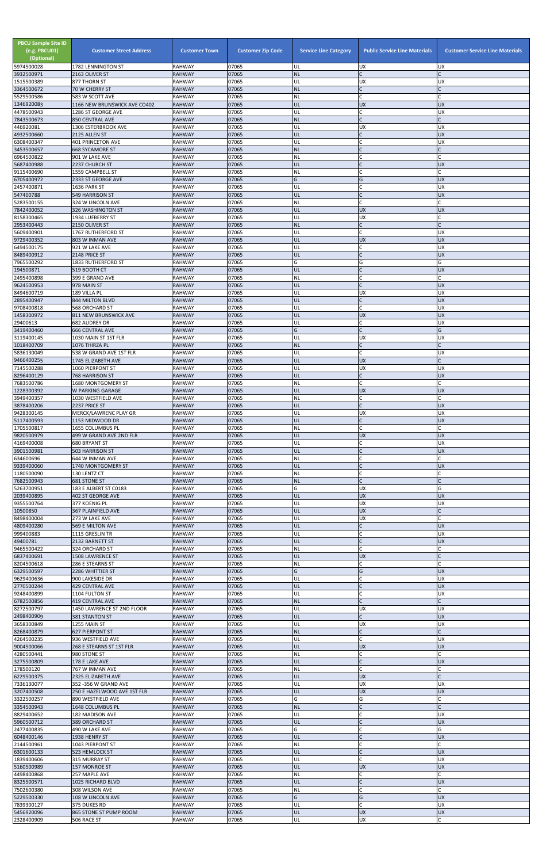| <b>PBCU Sample Site ID</b><br>(e.g. PBCU01)<br>(Optional)<br>5974500028 | <b>Customer Street Address</b><br>1782 LENNINGTON ST | <b>Customer Town</b><br><b>RAHWAY</b> | <b>Customer Zip Code</b><br>07065 | <b>Service Line Category</b><br>UL | <b>Public Service Line Materials</b><br><b>UX</b> | <b>Customer Service Line Materials</b><br><b>UX</b> |
|-------------------------------------------------------------------------|------------------------------------------------------|---------------------------------------|-----------------------------------|------------------------------------|---------------------------------------------------|-----------------------------------------------------|
| 3932500971                                                              | 2163 OLIVER ST                                       | <b>RAHWAY</b>                         | 07065                             | <b>NL</b>                          | $\mathsf{C}$                                      | $\mathsf{C}$                                        |
| 1515500389<br>3364500672                                                | 877 THORN ST<br>70 W CHERRY ST                       | <b>RAHWAY</b><br><b>RAHWAY</b>        | 07065<br>07065                    | UL<br><b>NL</b>                    | <b>UX</b><br>$\mathsf{C}$                         | <b>UX</b><br>$\mathsf{C}$                           |
| 5529500586                                                              | 583 W SCOTT AVE                                      | <b>RAHWAY</b>                         | 07065                             | NL                                 | $\mathsf{C}$                                      |                                                     |
| 1346920083<br>4478500943                                                | 1166 NEW BRUNSWICK AVE CO402<br>1286 ST GEORGE AVE   | <b>RAHWAY</b><br><b>RAHWAY</b>        | 07065<br>07065                    | UL<br>UL                           | <b>UX</b><br>C                                    | <b>UX</b><br><b>UX</b>                              |
| 7843500673                                                              | <b>850 CENTRAL AVE</b>                               | <b>RAHWAY</b>                         | 07065                             | <b>NL</b>                          | $\mathsf{C}$                                      | $\mathsf{C}$                                        |
| 446920081                                                               | 1306 ESTERBROOK AVE                                  | <b>RAHWAY</b>                         | 07065                             | UL                                 | <b>UX</b>                                         | <b>UX</b>                                           |
| 4932500660<br>6308400347                                                | 2125 ALLEN ST<br>401 PRINCETON AVE                   | <b>RAHWAY</b><br><b>RAHWAY</b>        | 07065<br>07065                    | UL<br>UL                           | $\mathsf{C}$<br>$\mathsf{C}$                      | <b>UX</b><br><b>UX</b>                              |
| 3453500657                                                              | <b>668 SYCAMORE ST</b>                               | <b>RAHWAY</b>                         | 07065                             | <b>NL</b>                          | $\mathsf{C}$                                      | $\mathsf{C}$                                        |
| 6964500822<br>5687400988                                                | 901 W LAKE AVE<br>2237 CHURCH ST                     | <b>RAHWAY</b><br><b>RAHWAY</b>        | 07065<br>07065                    | NL<br>UL                           | $\mathsf{C}$                                      | C<br><b>UX</b>                                      |
| 9115400690                                                              | 1559 CAMPBELL ST                                     | <b>RAHWAY</b>                         | 07065                             | NL                                 |                                                   | $\mathsf{C}$                                        |
| 6705400972                                                              | 2333 ST GEORGE AVE                                   | <b>RAHWAY</b>                         | 07065                             | G                                  | G                                                 | <b>UX</b>                                           |
| 2457400871<br>547400788                                                 | 1636 PARK ST<br><b>549 HARRISON ST</b>               | <b>RAHWAY</b><br><b>RAHWAY</b>        | 07065<br>07065                    | UL<br>UL                           | $\mathsf{C}$<br>$\mathsf{C}$                      | <b>UX</b><br><b>UX</b>                              |
| 5283500155                                                              | 324 W LINCOLN AVE                                    | <b>RAHWAY</b>                         | 07065                             | <b>NL</b>                          | $\mathsf{C}$                                      | $\Gamma$                                            |
| 7842400052<br>8158300465                                                | 326 WASHINGTON ST<br>1934 LUFBERRY ST                | <b>RAHWAY</b><br><b>RAHWAY</b>        | 07065<br>07065                    | UL<br>UL                           | <b>UX</b><br>UX                                   | <b>UX</b><br>C                                      |
| 2953400443                                                              | 2150 OLIVER ST                                       | <b>RAHWAY</b>                         | 07065                             | <b>NL</b>                          | $\mathsf{C}$                                      | $\mathsf{C}$                                        |
| 5609400901                                                              | 1767 RUTHERFORD ST                                   | <b>RAHWAY</b>                         | 07065                             | UL                                 | $\overline{C}$                                    | <b>UX</b>                                           |
| 9729400352<br>6494500175                                                | 803 W INMAN AVE<br>921 W LAKE AVE                    | <b>RAHWAY</b><br><b>RAHWAY</b>        | 07065<br>07065                    | UL<br>UL                           | <b>UX</b><br>$\mathsf{C}$                         | <b>UX</b><br><b>UX</b>                              |
| 8489400912                                                              | 2148 PRICE ST                                        | <b>RAHWAY</b>                         | 07065                             | UL                                 | $\mathsf{C}$                                      | <b>UX</b>                                           |
| 7965500292                                                              | <b>1833 RUTHERFORD ST</b>                            | <b>RAHWAY</b>                         | 07065                             | G                                  | G                                                 | G                                                   |
| 194500871<br>2495400898                                                 | 519 BOOTH CT<br>399 E GRAND AVE                      | <b>RAHWAY</b><br><b>RAHWAY</b>        | 07065<br>07065                    | UL<br><b>NL</b>                    | $\mathcal{C}$<br>$\mathsf{C}$                     | <b>UX</b><br>C                                      |
| 9624500953                                                              | 978 MAIN ST                                          | <b>RAHWAY</b>                         | 07065                             | UL                                 | $\mathsf{C}$                                      | <b>UX</b>                                           |
| 8494600719<br>2895400947                                                | 189 VILLA PL<br>844 MILTON BLVD                      | <b>RAHWAY</b><br><b>RAHWAY</b>        | 07065<br>07065                    | UL<br>UL                           | <b>UX</b><br>$\mathsf{C}$                         | <b>UX</b><br><b>UX</b>                              |
| 9708400818                                                              | <b>568 ORCHARD ST</b>                                | <b>RAHWAY</b>                         | 07065                             | UL                                 | $\mathsf{C}$                                      | <b>UX</b>                                           |
| 1458300972                                                              | 811 NEW BRUNSWICK AVE                                | <b>RAHWAY</b>                         | 07065                             | UL                                 | <b>UX</b>                                         | <b>UX</b>                                           |
| 29400613<br>3419400460                                                  | <b>682 AUDREY DR</b><br><b>666 CENTRAL AVE</b>       | <b>RAHWAY</b><br><b>RAHWAY</b>        | 07065<br>07065                    | UL<br>G                            | $\mathsf{C}$<br>$\mathsf{C}$                      | <b>UX</b><br>G                                      |
| 3119400145                                                              | 1030 MAIN ST 1ST FLR                                 | <b>RAHWAY</b>                         | 07065                             | UL                                 | <b>UX</b>                                         | <b>UX</b>                                           |
| 1018400709                                                              | 1076 THIRZA PL                                       | <b>RAHWAY</b>                         | 07065                             | <b>NL</b>                          |                                                   | $\mathsf{C}$                                        |
| 5836130049<br>9466400255                                                | 538 W GRAND AVE 1ST FLR<br>1745 ELIZABETH AVE        | <b>RAHWAY</b><br><b>RAHWAY</b>        | 07065<br>07065                    | UL<br><b>UL</b>                    | <b>UX</b>                                         | <b>UX</b><br>$\mathsf{C}$                           |
| 7145500288                                                              | 1060 PIERPONT ST                                     | <b>RAHWAY</b>                         | 07065                             | UL                                 | <b>UX</b>                                         | <b>UX</b>                                           |
| 8296400129<br>7683500786                                                | <b>768 HARRISON ST</b><br>1680 MONTGOMERY ST         | <b>RAHWAY</b><br><b>RAHWAY</b>        | 07065<br>07065                    | UL<br>NL                           | $\mathsf{C}$<br>$\mathsf{C}$                      | <b>UX</b>                                           |
| 1228300392                                                              | W PARKING GARAGE                                     | <b>RAHWAY</b>                         | 07065                             | UL                                 | <b>UX</b>                                         | <b>UX</b>                                           |
| 3949400357                                                              | 1030 WESTFIELD AVE                                   | <b>RAHWAY</b>                         | 07065                             | <b>NL</b>                          | $\mathsf{C}$                                      | C                                                   |
| 3878400206<br>9428300145                                                | 2237 PRICE ST<br>MERCK/LAWRENC PLAY GR               | <b>RAHWAY</b><br><b>RAHWAY</b>        | 07065<br>07065                    | UL<br>UL                           | $\mathsf{C}$<br><b>UX</b>                         | <b>UX</b><br><b>UX</b>                              |
| 5117400593                                                              | 1153 MIDWOOD DR                                      | <b>RAHWAY</b>                         | 07065                             | UL                                 | $\mathsf{C}$                                      | <b>UX</b>                                           |
| 1705500817<br>9820500979                                                | 1655 COLUMBUS PL<br>499 W GRAND AVE 2ND FLR          | <b>RAHWAY</b><br><b>RAHWAY</b>        | 07065<br>07065                    | NL<br>UL                           | $\mathsf{C}$<br><b>UX</b>                         | $\mathsf{C}$<br><b>UX</b>                           |
| 4169400008                                                              | <b>680 BRYANT ST</b>                                 | <b>RAHWAY</b>                         | 07065                             | UL                                 | C                                                 | <b>UX</b>                                           |
| 3901500981                                                              | 503 HARRISON ST                                      | <b>RAHWAY</b>                         | 07065                             | UL                                 | $\mathsf{C}$                                      | <b>UX</b>                                           |
| 634600696<br>9339400060                                                 | 644 W INMAN AVE<br>1740 MONTGOMERY ST                | <b>RAHWAY</b><br><b>RAHWAY</b>        | 07065<br>07065                    | <b>NL</b><br><b>UL</b>             | $\mathsf{C}$<br>$\mathsf{C}$                      | C<br><b>UX</b>                                      |
| 1180500090                                                              | 130 LENTZ CT                                         | <b>RAHWAY</b>                         | 07065                             | <b>NL</b>                          | $\mathsf{C}$                                      |                                                     |
| 7682500943<br>5263700951                                                | 681 STONE ST<br>183 E ALBERT ST C0183                | <b>RAHWAY</b><br><b>RAHWAY</b>        | 07065<br>07065                    | <b>NL</b><br>G                     | $\mathsf{C}$<br><b>UX</b>                         | G                                                   |
| 2039400895                                                              | 402 ST GEORGE AVE                                    | <b>RAHWAY</b>                         | 07065                             | UL                                 | <b>UX</b>                                         | <b>UX</b>                                           |
| 9355500764                                                              | 377 KOENIG PL                                        | <b>RAHWAY</b>                         | 07065                             | UL                                 | <b>UX</b>                                         | <b>UX</b>                                           |
| 10500850<br>8498400004                                                  | 367 PLAINFIELD AVE<br>273 W LAKE AVE                 | <b>RAHWAY</b><br><b>RAHWAY</b>        | 07065<br>07065                    | UL<br>UL                           | <b>UX</b><br><b>UX</b>                            | C                                                   |
| 4809400280                                                              | 569 E MILTON AVE                                     | <b>RAHWAY</b>                         | 07065                             | UL                                 | $\mathsf{C}$                                      | <b>UX</b>                                           |
| 999400883<br>49400781                                                   | 1115 GRESLIN TR<br>2132 BARNETT ST                   | <b>RAHWAY</b><br><b>RAHWAY</b>        | 07065<br>07065                    | UL<br>UL                           | $\mathsf{C}$<br>$\mathsf{C}$                      | <b>UX</b><br><b>UX</b>                              |
| 9465500422                                                              | 324 ORCHARD ST                                       | <b>RAHWAY</b>                         | 07065                             | <b>NL</b>                          | $\mathsf{C}$                                      |                                                     |
| 6837400691                                                              | 1508 LAWRENCE ST                                     | <b>RAHWAY</b>                         | 07065                             | UL                                 | <b>UX</b>                                         |                                                     |
| 8204500618<br>6329500597                                                | 286 E STEARNS ST<br>2286 WHITTIER ST                 | <b>RAHWAY</b><br><b>RAHWAY</b>        | 07065<br>07065                    | <b>NL</b><br>G                     | $\mathsf{C}$<br>G                                 | C<br><b>UX</b>                                      |
| 9629400636                                                              | 900 LAKESIDE DR                                      | <b>RAHWAY</b>                         | 07065                             | UL                                 |                                                   | <b>UX</b>                                           |
| 2770500244<br>9248400899                                                | 429 CENTRAL AVE<br>1104 FULTON ST                    | <b>RAHWAY</b><br><b>RAHWAY</b>        | 07065<br>07065                    | UL<br>UL                           | $\mathsf{C}$<br>$\mathsf{C}$                      | <b>UX</b><br><b>UX</b>                              |
| 6782500856                                                              | 419 CENTRAL AVE                                      | <b>RAHWAY</b>                         | 07065                             | <b>NL</b>                          | $\mathsf{C}$                                      | $\mathsf{C}$                                        |
| 8272500797                                                              | 1450 LAWRENCE ST 2ND FLOOR                           | <b>RAHWAY</b>                         | 07065                             | UL                                 | <b>UX</b>                                         | <b>UX</b>                                           |
| 2498400909<br>3658300849                                                | 381 STANTON ST<br>1255 MAIN ST                       | <b>RAHWAY</b><br><b>RAHWAY</b>        | 07065<br>07065                    | UL<br>UL                           | $\mathsf{C}$<br><b>UX</b>                         | <b>UX</b><br><b>UX</b>                              |
| 8268400879                                                              | 627 PIERPONT ST                                      | <b>RAHWAY</b>                         | 07065                             | <b>NL</b>                          | $\mathsf{C}$                                      | $\mathsf{C}$                                        |
| 4264500235<br>9004500066                                                | 936 WESTFIELD AVE<br>268 E STEARNS ST 1ST FLR        | <b>RAHWAY</b><br><b>RAHWAY</b>        | 07065<br>07065                    | UL<br>UL                           | $\mathsf{C}$<br><b>UX</b>                         | <b>UX</b><br><b>UX</b>                              |
| 4280500441                                                              | 980 STONE ST                                         | <b>RAHWAY</b>                         | 07065                             | <b>NL</b>                          |                                                   |                                                     |
| 3275500809                                                              | 178 E LAKE AVE                                       | <b>RAHWAY</b>                         | 07065                             | UL                                 |                                                   | <b>UX</b>                                           |
| 178500120<br>6229500375                                                 | 767 W INMAN AVE<br>2325 ELIZABETH AVE                | <b>RAHWAY</b><br><b>RAHWAY</b>        | 07065<br>07065                    | INL.<br>UL                         | C<br><b>UX</b>                                    | $\mathsf{C}$                                        |
| 7336130077                                                              | 352 - 356 W GRAND AVE                                | <b>RAHWAY</b>                         | 07065                             | UL                                 | <b>UX</b>                                         | <b>UX</b>                                           |
| 3207400508<br>3322500257                                                | 250 E HAZELWOOD AVE 1ST FLR<br>890 WESTFIELD AVE     | <b>RAHWAY</b>                         | 07065<br>07065                    | UL                                 | <b>UX</b>                                         | <b>UX</b>                                           |
| 3354500943                                                              | 1648 COLUMBUS PL                                     | <b>RAHWAY</b><br><b>RAHWAY</b>        | 07065                             | G<br><b>NL</b>                     | G<br>$\mathsf{C}$                                 | C<br>$\mathsf{C}$                                   |
| 8829400652                                                              | 182 MADISON AVE                                      | <b>RAHWAY</b>                         | 07065                             | UL                                 | $\mathsf{C}$                                      | <b>UX</b>                                           |
| 5960500712<br>2477400835                                                | 389 ORCHARD ST<br>490 W LAKE AVE                     | <b>RAHWAY</b><br><b>RAHWAY</b>        | 07065<br>07065                    | UL<br>G                            |                                                   | <b>UX</b><br>G                                      |
| 6048400146                                                              | 1938 HENRY ST                                        | <b>RAHWAY</b>                         | 07065                             | UL                                 | $\mathsf{C}$                                      | <b>UX</b>                                           |
| 2144500961                                                              | 1043 PIERPONT ST                                     | <b>RAHWAY</b>                         | 07065                             | NL                                 | $\mathsf{C}$                                      |                                                     |
| 6301600133<br>1839400606                                                | 523 HEMLOCK ST<br>315 MURRAY ST                      | <b>RAHWAY</b><br>RAHWAY               | 07065<br>07065                    | UL<br>UL                           | $\mathsf{C}$<br>$\mathsf{C}$                      | <b>UX</b><br><b>UX</b>                              |
| 5160500989                                                              | 157 MONROE ST                                        | <b>RAHWAY</b>                         | 07065                             | UL                                 | <b>UX</b>                                         | <b>UX</b>                                           |
| 4498400868<br>8325500571                                                | 257 MAPLE AVE<br>1025 RICHARD BLVD                   | <b>RAHWAY</b><br><b>RAHWAY</b>        | 07065<br>07065                    | <b>NL</b><br>UL                    | $\mathsf{C}$<br>$\overline{C}$                    | C<br><b>UX</b>                                      |
| 7502600380                                                              | 308 WILSON AVE                                       | RAHWAY                                | 07065                             | <b>NL</b>                          |                                                   | $\mathsf{C}$                                        |
| 5229500330                                                              | 108 W LINCOLN AVE                                    | <b>RAHWAY</b>                         | 07065                             | G                                  | G                                                 | <b>UX</b>                                           |
| 7839300127<br>5456920096                                                | 375 DUKES RD<br>865 STONE ST PUMP ROOM               | <b>RAHWAY</b><br><b>RAHWAY</b>        | 07065<br>07065                    | UL<br><b>UL</b>                    | $\mathsf{C}$<br><b>UX</b>                         | <b>UX</b><br>UX                                     |
| 2328400909                                                              | 506 RACE ST                                          | <b>RAHWAY</b>                         | 07065                             | UL                                 | <b>UX</b>                                         | C                                                   |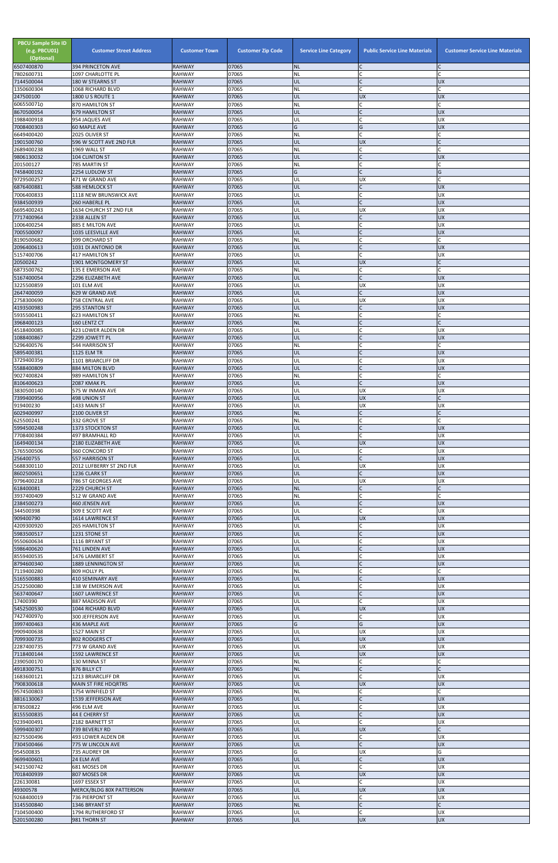| <b>PBCU Sample Site ID</b><br>(e.g. PBCU01)<br>(Optional)<br>6507400870 | <b>Customer Street Address</b><br><b>394 PRINCETON AVE</b> | <b>Customer Town</b><br><b>RAHWAY</b> | <b>Customer Zip Code</b><br>07065 | <b>Service Line Category</b><br><b>NL</b> | <b>Public Service Line Materials</b><br>IC | <b>Customer Service Line Materials</b> |
|-------------------------------------------------------------------------|------------------------------------------------------------|---------------------------------------|-----------------------------------|-------------------------------------------|--------------------------------------------|----------------------------------------|
| 7802600731                                                              | 1097 CHARLOTTE PL                                          | <b>RAHWAY</b>                         | 07065                             | NL                                        | C                                          |                                        |
| 7144500044<br>1350600304                                                | 180 W STEARNS ST<br>1068 RICHARD BLVD                      | <b>RAHWAY</b><br><b>RAHWAY</b>        | 07065<br>07065                    | UL<br>NL                                  | IC<br>lc.                                  | <b>UX</b>                              |
| 247500100                                                               | 1800 U S ROUTE 1                                           | <b>RAHWAY</b>                         | 07065                             | UL                                        | <b>UX</b>                                  | <b>UX</b>                              |
| 6065500710<br>8670500054                                                | 870 HAMILTON ST<br><b>679 HAMILTON ST</b>                  | <b>RAHWAY</b><br><b>RAHWAY</b>        | 07065<br>07065                    | <b>NL</b><br>UL                           | lC.<br>$\overline{C}$                      | <b>UX</b>                              |
| 1988400918                                                              | 954 JAQUES AVE                                             | <b>RAHWAY</b>                         | 07065                             | UL                                        | <b>C</b>                                   | UX                                     |
| 7008400303<br>6649400420                                                | 60 MAPLE AVE<br>2025 OLIVER ST                             | <b>RAHWAY</b><br><b>RAHWAY</b>        | 07065<br>07065                    | G<br>NL                                   | G<br>C                                     | <b>UX</b>                              |
| 1901500760                                                              | 596 W SCOTT AVE 2ND FLR                                    | <b>RAHWAY</b>                         | 07065                             | UL                                        | <b>UX</b>                                  |                                        |
| 2689400238<br>9806130032                                                | 1969 WALL ST<br><b>104 CLINTON ST</b>                      | <b>RAHWAY</b><br><b>RAHWAY</b>        | 07065<br>07065                    | <b>NL</b><br>UL                           | C<br>lc.                                   | <b>UX</b>                              |
| 201500127                                                               | 785 MARTIN ST                                              | <b>RAHWAY</b>                         | 07065                             | NL                                        | C                                          |                                        |
| 7458400192<br>9729500257                                                | 2254 LUDLOW ST<br>471 W GRAND AVE                          | <b>RAHWAY</b><br><b>RAHWAY</b>        | 07065<br>07065                    | G<br>UL                                   | <sup>c</sup><br>UX                         | G                                      |
| 6876400881                                                              | 588 HEMLOCK ST                                             | <b>RAHWAY</b>                         | 07065                             | UL                                        | $\overline{C}$                             | <b>UX</b>                              |
| 7006400833<br>9384500939                                                | 1118 NEW BRUNSWICK AVE<br>260 HABERLE PL                   | <b>RAHWAY</b><br><b>RAHWAY</b>        | 07065<br>07065                    | UL<br>UL                                  | lC.<br>$\mathcal{C}$                       | <b>UX</b><br><b>UX</b>                 |
| 6695400243                                                              | 1634 CHURCH ST 2ND FLR                                     | <b>RAHWAY</b>                         | 07065                             | UL                                        | <b>UX</b>                                  | <b>UX</b>                              |
| 7717400964<br>1006400254                                                | 2338 ALLEN ST<br>885 E MILTON AVE                          | <b>RAHWAY</b><br><b>RAHWAY</b>        | 07065<br>07065                    | UL<br>UL                                  | IC<br>lC.                                  | <b>UX</b><br>UX                        |
| 7005500097                                                              | 1035 LEESVILLE AVE                                         | <b>RAHWAY</b>                         | 07065                             | UL                                        | $\overline{C}$                             | <b>UX</b>                              |
| 8190500682<br>2096400613                                                | 399 ORCHARD ST<br>1031 DI ANTONIO DR                       | <b>RAHWAY</b><br><b>RAHWAY</b>        | 07065<br>07065                    | NL<br>UL                                  | C<br>$\mathsf{C}$                          | <b>UX</b>                              |
| 5157400706                                                              | <b>417 HAMILTON ST</b>                                     | <b>RAHWAY</b>                         | 07065                             | UL                                        | lC.                                        | UX                                     |
| 20500242                                                                | 1901 MONTGOMERY ST                                         | <b>RAHWAY</b>                         | 07065<br>07065                    | UL                                        | <b>UX</b>                                  |                                        |
| 6873500762<br>5167400054                                                | 135 E EMERSON AVE<br>2296 ELIZABETH AVE                    | <b>RAHWAY</b><br><b>RAHWAY</b>        | 07065                             | <b>NL</b><br>UL                           | C<br>$\overline{C}$                        | <b>UX</b>                              |
| 3225500859                                                              | 101 ELM AVE                                                | <b>RAHWAY</b>                         | 07065                             | UL                                        | <b>UX</b>                                  | UX                                     |
| 2647400059<br>2758300690                                                | 629 W GRAND AVE<br>758 CENTRAL AVE                         | <b>RAHWAY</b><br><b>RAHWAY</b>        | 07065<br>07065                    | UL<br>UL                                  | lC.<br><b>UX</b>                           | <b>UX</b><br><b>UX</b>                 |
| 4193500983                                                              | 295 STANTON ST                                             | <b>RAHWAY</b>                         | 07065                             | UL                                        | lC.                                        | <b>UX</b>                              |
| 5935500411<br>3968400123                                                | <b>623 HAMILTON ST</b><br>160 LENTZ CT                     | <b>RAHWAY</b><br><b>RAHWAY</b>        | 07065<br>07065                    | NL<br><b>NL</b>                           | C<br>lC.                                   |                                        |
| 4518400085                                                              | 423 LOWER ALDEN DR                                         | <b>RAHWAY</b>                         | 07065                             | UL                                        | lC.                                        | UX                                     |
| 1088400867<br>5296400576                                                | 2299 JOWETT PL<br>544 HARRISON ST                          | <b>RAHWAY</b><br><b>RAHWAY</b>        | 07065<br>07065                    | UL<br>NL                                  | $\mathcal{C}$<br>$\mathsf{C}$              | <b>UX</b>                              |
| 5895400381                                                              | <b>1125 ELM TR</b>                                         | <b>RAHWAY</b>                         | 07065                             | UL                                        |                                            | <b>UX</b>                              |
| 3729400359<br>5588400809                                                | 1101 BRIARCLIFF DR<br>884 MILTON BLVD                      | <b>RAHWAY</b><br><b>RAHWAY</b>        | 07065<br>07065                    | UL<br>UL                                  | lC.<br>$\mathsf{C}$                        | <b>UX</b><br><b>XD</b>                 |
| 9027400824                                                              | 989 HAMILTON ST                                            | <b>RAHWAY</b>                         | 07065                             | <b>NL</b>                                 | lC.                                        |                                        |
| 8106400623<br>3830500140                                                | 2087 KMAK PL<br>575 W INMAN AVE                            | <b>RAHWAY</b><br><b>RAHWAY</b>        | 07065<br>07065                    | UL<br>UL                                  | lc.<br><b>UX</b>                           | <b>UX</b><br>UX                        |
| 7399400956                                                              | 498 UNION ST                                               | <b>RAHWAY</b>                         | 07065                             | UL                                        | <b>UX</b>                                  |                                        |
| 919400230<br>6029400997                                                 | 1433 MAIN ST<br>2100 OLIVER ST                             | <b>RAHWAY</b><br><b>RAHWAY</b>        | 07065<br>07065                    | UL<br><b>NL</b>                           | <b>UX</b><br>$\mathsf{C}$                  | <b>UX</b>                              |
| 625500241                                                               | 332 GROVE ST                                               | <b>RAHWAY</b>                         | 07065                             | NL                                        | $\mathsf{C}$                               |                                        |
| 5994500248<br>7708400384                                                | 1373 STOCKTON ST<br>497 BRAMHALL RD                        | <b>RAHWAY</b><br><b>RAHWAY</b>        | 07065<br>07065                    | UL<br>UL                                  | $\mathsf{C}$<br>C.                         | <b>UX</b><br>UX                        |
| 1649400134                                                              | 2180 ELIZABETH AVE                                         | <b>RAHWAY</b>                         | 07065                             | UL                                        | <b>UX</b>                                  | <b>UX</b>                              |
| 5765500506<br>256400755                                                 | 360 CONCORD ST<br>557 HARRISON ST                          | <b>RAHWAY</b><br><b>RAHWAY</b>        | 07065<br>07065                    | UL<br>UL                                  | lC.<br>lc.                                 | UX<br><b>UX</b>                        |
| 5688300110                                                              | 2012 LUFBERRY ST 2ND FLR                                   | <b>RAHWAY</b>                         | 07065                             | UL                                        | <b>UX</b>                                  | <b>UX</b>                              |
| 8602500651<br>9796400218                                                | 1236 CLARK ST<br>786 ST GEORGES AVE                        | <b>RAHWAY</b><br><b>RAHWAY</b>        | 07065<br>07065                    | UL<br>UL                                  | lC.<br><b>UX</b>                           | <b>UX</b><br>UX                        |
| 618400081                                                               | 2229 CHURCH ST                                             | <b>RAHWAY</b>                         | 07065                             | <b>NL</b>                                 | <b>C</b>                                   |                                        |
| 3937400409<br>2384500273                                                | 512 W GRAND AVE<br>460 JENSEN AVE                          | <b>RAHWAY</b><br><b>RAHWAY</b>        | 07065<br>07065                    | <b>NL</b><br>UL                           | C<br>$\mathsf C$                           | <b>UX</b>                              |
| 344500398                                                               | 309 E SCOTT AVE                                            | <b>RAHWAY</b>                         | 07065                             | UL                                        | lC.                                        | <b>UX</b>                              |
| 909400790<br>4209300920                                                 | 1614 LAWRENCE ST<br>265 HAMILTON ST                        | <b>RAHWAY</b><br><b>RAHWAY</b>        | 07065<br>07065                    | UL<br>UL                                  | <b>UX</b><br>C                             | <b>UX</b><br><b>UX</b>                 |
| 5983500517                                                              | 1231 STONE ST                                              | <b>RAHWAY</b>                         | 07065                             | UL                                        | $\overline{C}$                             | <b>UX</b>                              |
| 9550600634<br>5986400620                                                | 1116 BRYANT ST<br>761 LINDEN AVE                           | <b>RAHWAY</b><br><b>RAHWAY</b>        | 07065<br>07065                    | UL<br>UL                                  | $\mathsf{C}$                               | UX<br><b>UX</b>                        |
| 8559400535                                                              | 1476 LAMBERT ST                                            | <b>RAHWAY</b>                         | 07065                             | UL                                        | $\mathsf{C}$                               | <b>UX</b>                              |
| 8794600340<br>7119400280                                                | 1889 LENNINGTON ST<br>809 HOLLY PL                         | <b>RAHWAY</b><br><b>RAHWAY</b>        | 07065<br>07065                    | UL<br>ΝL                                  | $\mathsf{C}$<br>C                          | <b>UX</b>                              |
| 5165500883                                                              | 410 SEMINARY AVE                                           | <b>RAHWAY</b>                         | 07065                             | UL                                        | $\mathsf{C}$                               | <b>UX</b>                              |
| 2522500080                                                              | 138 W EMERSON AVE                                          | <b>RAHWAY</b>                         | 07065                             | UL                                        | $\mathsf{C}$                               | <b>UX</b>                              |
| 5637400647<br>17400390                                                  | 1607 LAWRENCE ST<br>887 MADISON AVE                        | <b>RAHWAY</b><br><b>RAHWAY</b>        | 07065<br>07065                    | UL<br>UL                                  | $\overline{C}$<br>lC.                      | <b>UX</b><br>UX                        |
| 5452500530<br>7427400970                                                | 1044 RICHARD BLVD<br>300 JEFFERSON AVE                     | <b>RAHWAY</b>                         | 07065                             | UL<br>UL                                  | <b>UX</b><br>lC.                           | <b>UX</b>                              |
| 3997400463                                                              | 436 MAPLE AVE                                              | <b>RAHWAY</b><br><b>RAHWAY</b>        | 07065<br>07065                    | G                                         | G                                          | UX<br><b>UX</b>                        |
| 9909400638                                                              | 1527 MAIN ST                                               | <b>RAHWAY</b>                         | 07065                             | UL                                        | <b>UX</b>                                  | UX                                     |
| 7099300735<br>2287400735                                                | 802 RODGERS CT<br>773 W GRAND AVE                          | <b>RAHWAY</b><br><b>RAHWAY</b>        | 07065<br>07065                    | UL<br>UL                                  | <b>UX</b><br><b>UX</b>                     | <b>UX</b><br><b>UX</b>                 |
| 7118400144                                                              | 1592 LAWRENCE ST                                           | <b>RAHWAY</b>                         | 07065                             | UL                                        | <b>UX</b>                                  | <b>UX</b>                              |
| 2390500170<br>4918300751                                                | 130 MINNA ST<br>876 BILLY CT                               | <b>RAHWAY</b><br><b>RAHWAY</b>        | 07065<br>07065                    | ΝL<br> NL                                 | lC.                                        |                                        |
| 1683600121                                                              | 1213 BRIARCLIFF DR                                         | <b>RAHWAY</b>                         | 07065                             | UL                                        | <b>C</b>                                   | <b>UX</b>                              |
| 7908300618<br>9574500803                                                | <b>MAIN ST FIRE HDQRTRS</b><br>1754 WINFIELD ST            | <b>RAHWAY</b><br><b>RAHWAY</b>        | 07065<br>07065                    | UL<br><b>NL</b>                           | <b>UX</b><br>C                             | <b>UX</b><br>C                         |
| 8816130067                                                              | 1539 JEFFERSON AVE                                         | <b>RAHWAY</b>                         | 07065                             | UL                                        | $\mathsf{C}$                               | <b>UX</b>                              |
| 878500822<br>8155500835                                                 | 496 ELM AVE<br>44 E CHERRY ST                              | <b>RAHWAY</b><br><b>RAHWAY</b>        | 07065<br>07065                    | UL<br>UL                                  | C<br>$\overline{C}$                        | <b>UX</b><br><b>UX</b>                 |
| 9239400491                                                              | 2182 BARNETT ST                                            | <b>RAHWAY</b>                         | 07065                             | UL                                        | lc.                                        | <b>UX</b>                              |
| 5999400307<br>8275500496                                                | 739 BEVERLY RD<br>493 LOWER ALDEN DR                       | <b>RAHWAY</b><br><b>RAHWAY</b>        | 07065<br>07065                    | UL<br>UL                                  | <b>UX</b><br>lC.                           | UX                                     |
| 7304500466                                                              | 775 W LINCOLN AVE                                          | <b>RAHWAY</b>                         | 07065                             | UL                                        | $\overline{C}$                             | X                                      |
| 954500835<br>9699400601                                                 | 735 AUDREY DR<br>24 ELM AVE                                | <b>RAHWAY</b><br><b>RAHWAY</b>        | 07065<br>07065                    | G<br>UL                                   | <b>UX</b><br>$\mathsf{C}$                  | G<br><b>UX</b>                         |
| 3421500742                                                              | 681 MOSES DR                                               | <b>RAHWAY</b>                         | 07065                             | UL                                        | <b>C</b>                                   | <b>UX</b>                              |
| 7018400939<br>226130081                                                 | 807 MOSES DR<br>1697 ESSEX ST                              | <b>RAHWAY</b><br><b>RAHWAY</b>        | 07065<br>07065                    | UL<br>UL                                  | <b>UX</b><br><b>C</b>                      | <b>UX</b><br><b>UX</b>                 |
| 49300578                                                                | <b>MERCK/BLDG 80X PATTERSON</b>                            | <b>RAHWAY</b>                         | 07065                             | UL                                        | <b>UX</b>                                  | <b>UX</b>                              |
| 9268400019<br>3145500840                                                | 736 PIERPONT ST<br>1346 BRYANT ST                          | <b>RAHWAY</b><br><b>RAHWAY</b>        | 07065<br>07065                    | UL<br><b>NL</b>                           | C<br>$\mathsf{C}$                          | UX                                     |
| 7104500400                                                              | 1794 RUTHERFORD ST                                         | <b>RAHWAY</b>                         | 07065                             | UL                                        | $\mathsf{C}$                               | <b>UX</b>                              |
| 5201500280                                                              | 981 THORN ST                                               | <b>RAHWAY</b>                         | 07065                             | UL                                        | <b>UX</b>                                  | <b>UX</b>                              |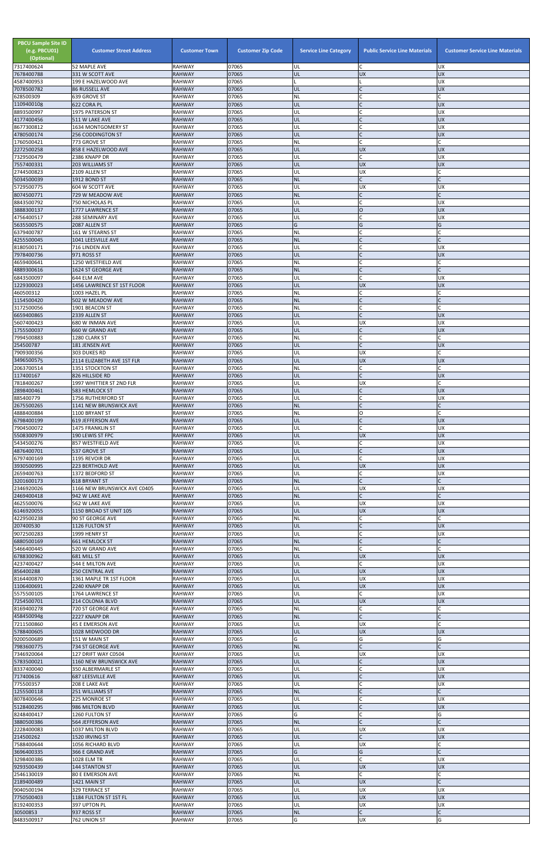| <b>PBCU Sample Site ID</b><br>(e.g. PBCU01)<br>(Optional)<br>7317400624 | <b>Customer Street Address</b><br>52 MAPLE AVE              | <b>Customer Town</b><br><b>RAHWAY</b> | <b>Customer Zip Code</b><br>07065 | <b>Service Line Category</b><br>UL | <b>Public Service Line Materials</b><br>C | <b>Customer Service Line Materials</b><br><b>UX</b> |
|-------------------------------------------------------------------------|-------------------------------------------------------------|---------------------------------------|-----------------------------------|------------------------------------|-------------------------------------------|-----------------------------------------------------|
| 7678400788                                                              | 331 W SCOTT AVE                                             | <b>RAHWAY</b>                         | 07065                             | UL                                 | <b>UX</b>                                 | <b>UX</b>                                           |
| 4587400953                                                              | 199 E HAZELWOOD AVE                                         | <b>RAHWAY</b>                         | 07065                             |                                    |                                           | <b>UX</b>                                           |
| 7078500782<br>628500309                                                 | <b>86 RUSSELL AVE</b><br>639 GROVE ST                       | <b>RAHWAY</b><br><b>RAHWAY</b>        | 07065<br>07065                    | UL<br><b>NL</b>                    | $\mathsf{C}$                              | <b>UX</b>                                           |
| 1109400108                                                              | 622 CORA PL                                                 | <b>RAHWAY</b>                         | 07065                             | UL                                 | $\mathsf{C}$                              | <b>UX</b>                                           |
| 8893500997<br>4177400456                                                | 1975 PATERSON ST<br>511 W LAKE AVE                          | <b>RAHWAY</b><br><b>RAHWAY</b>        | 07065<br>07065                    | UL<br>UL                           | $\mathsf{C}$                              | <b>UX</b><br><b>UX</b>                              |
| 8677300812                                                              | 1634 MONTGOMERY ST                                          | <b>RAHWAY</b>                         | 07065                             | UL                                 | C                                         | <b>UX</b>                                           |
| 4780500174<br>1760500421                                                | <b>256 CODDINGTON ST</b><br>773 GROVE ST                    | <b>RAHWAY</b><br><b>RAHWAY</b>        | 07065<br>07065                    | UL<br><b>NL</b>                    | $\mathsf{C}$                              | <b>UX</b><br>Ċ                                      |
| 2272500258                                                              | 858 E HAZELWOOD AVE                                         | <b>RAHWAY</b>                         | 07065                             | UL                                 | <b>UX</b>                                 | <b>UX</b>                                           |
| 7329500479<br>7557400331                                                | 2386 KNAPP DR<br>203 WILLIAMS ST                            | <b>RAHWAY</b><br><b>RAHWAY</b>        | 07065<br>07065                    | UL<br>UL                           | $\mathsf{C}$<br><b>UX</b>                 | <b>UX</b><br><b>UX</b>                              |
| 2744500823                                                              | 2109 ALLEN ST                                               | <b>RAHWAY</b>                         | 07065                             | UL                                 | <b>UX</b>                                 | $\mathsf{C}$                                        |
| 5034500039<br>5729500775                                                | 1912 BOND ST<br>604 W SCOTT AVE                             | <b>RAHWAY</b><br><b>RAHWAY</b>        | 07065<br>07065                    | <b>NL</b><br>UL                    | $\mathsf{C}$<br><b>UX</b>                 | <b>UX</b>                                           |
| 8074500771                                                              | 729 W MEADOW AVE                                            | <b>RAHWAY</b>                         | 07065                             | <b>NL</b>                          | $\mathsf{C}$                              |                                                     |
| 8843500792<br>3888300137                                                | <b>750 NICHOLAS PL</b><br>1777 LAWRENCE ST                  | <b>RAHWAY</b>                         | 07065                             | UL<br>UL                           | $\overline{O}$                            | <b>UX</b><br><b>UX</b>                              |
| 4756400517                                                              | 288 SEMINARY AVE                                            | <b>RAHWAY</b><br><b>RAHWAY</b>        | 07065<br>07065                    | UL                                 | $\mathsf{C}$                              | <b>UX</b>                                           |
| 5635500575                                                              | 2087 ALLEN ST                                               | <b>RAHWAY</b>                         | 07065                             | G                                  | G                                         | G                                                   |
| 6379400787<br>4255500045                                                | 161 W STEARNS ST<br>1041 LEESVILLE AVE                      | <b>RAHWAY</b><br><b>RAHWAY</b>        | 07065<br>07065                    | <b>NL</b><br><b>NL</b>             | $\mathsf{C}$                              |                                                     |
| 8180500171                                                              | 716 LINDEN AVE                                              | <b>RAHWAY</b>                         | 07065                             | UL                                 | $\mathsf{C}$                              | <b>UX</b>                                           |
| 7978400736<br>4659400641                                                | 971 ROSS ST<br>1250 WESTFIELD AVE                           | <b>RAHWAY</b><br><b>RAHWAY</b>        | 07065<br>07065                    | UL<br>NL                           | $\mathsf{C}$<br>$\mathsf{C}$              | <b>UX</b>                                           |
| 4889300616                                                              | 1624 ST GEORGE AVE                                          | <b>RAHWAY</b>                         | 07065                             | <b>NL</b>                          | $\mathsf{C}$                              |                                                     |
| 6843500097                                                              | 644 ELM AVE                                                 | <b>RAHWAY</b>                         | 07065<br>07065                    | UL                                 | $\mathcal{C}_{\mathcal{C}}$               | <b>UX</b>                                           |
| 1229300023<br>460500312                                                 | 1456 LAWRENCE ST 1ST FLOOR<br>1003 HAZEL PL                 | <b>RAHWAY</b><br><b>RAHWAY</b>        | 07065                             | UL<br>NL                           | <b>UX</b><br>$\mathsf{C}$                 | <b>UX</b>                                           |
| 1154500420                                                              | 502 W MEADOW AVE                                            | <b>RAHWAY</b>                         | 07065                             | <b>NL</b>                          | $\overline{C}$                            |                                                     |
| 3172500056<br>6659400865                                                | 1901 BEACON ST<br>2339 ALLEN ST                             | <b>RAHWAY</b><br><b>RAHWAY</b>        | 07065<br>07065                    | <b>NL</b><br>UL                    | $\mathsf{C}$<br>$\mathsf{C}$              | <b>UX</b>                                           |
| 5607400423                                                              | 680 W INMAN AVE                                             | <b>RAHWAY</b>                         | 07065                             | UL                                 | <b>UX</b>                                 | <b>UX</b>                                           |
| 1755500037<br>7994500883                                                | 660 W GRAND AVE<br>1280 CLARK ST                            | <b>RAHWAY</b><br><b>RAHWAY</b>        | 07065<br>07065                    | UL<br>NL                           | IC.<br>$\mathsf{C}$                       | <b>UX</b>                                           |
| 254500787                                                               | 181 JENSEN AVE                                              | <b>RAHWAY</b>                         | 07065                             | UL                                 |                                           | <b>UX</b>                                           |
| 7909300356                                                              | 303 DUKES RD                                                | <b>RAHWAY</b>                         | 07065<br>07065                    | UL<br>UL                           | <b>UX</b><br><b>UX</b>                    | <b>UX</b>                                           |
| 3496500575<br>2063700514                                                | 2114 ELIZABETH AVE 1ST FLR<br>1351 STOCKTON ST              | <b>RAHWAY</b><br><b>RAHWAY</b>        | 07065                             | NL                                 |                                           |                                                     |
| 117400167                                                               | 826 HILLSIDE RD                                             | <b>RAHWAY</b>                         | 07065                             | UL                                 | $\mathsf{C}$                              | <b>UX</b>                                           |
| 7818400267<br>2898400461                                                | 1997 WHITTIER ST 2ND FLR<br>583 HEMLOCK ST                  | <b>RAHWAY</b><br><b>RAHWAY</b>        | 07065<br>07065                    | UL<br>UL                           | <b>UX</b><br>$\mathsf{C}$                 | <b>UX</b>                                           |
| 885400779                                                               | 1756 RUTHERFORD ST                                          | <b>RAHWAY</b>                         | 07065                             | UL                                 | C                                         | <b>UX</b>                                           |
| 2675500265<br>4888400884                                                | <b>1141 NEW BRUNSWICK AVE</b><br>1100 BRYANT ST             | <b>RAHWAY</b><br><b>RAHWAY</b>        | 07065<br>07065                    | <b>NL</b><br><b>NL</b>             | $\mathsf{C}$<br>O                         |                                                     |
| 6798400199                                                              | <b>619 JEFFERSON AVE</b>                                    | <b>RAHWAY</b>                         | 07065                             | UL                                 |                                           | <b>UX</b>                                           |
| 7904500072<br>5508300979                                                | 1475 FRANKLIN ST<br>190 LEWIS ST FPC                        | <b>RAHWAY</b><br><b>RAHWAY</b>        | 07065<br>07065                    | UL<br>UL                           | $\mathsf{C}$<br><b>UX</b>                 | <b>UX</b><br><b>UX</b>                              |
| 5434500276                                                              | 857 WESTFIELD AVE                                           | <b>RAHWAY</b>                         | 07065                             | UL                                 | C                                         | <b>UX</b>                                           |
| 4876400701                                                              | 537 GROVE ST                                                | <b>RAHWAY</b><br><b>RAHWAY</b>        | 07065<br>07065                    | UL<br>UL                           | $\mathsf{C}$<br>$\mathsf{C}$              | <b>UX</b><br><b>UX</b>                              |
| 6797400169<br>3930500995                                                | 1195 REVOIR DR<br>223 BERTHOLD AVE                          | <b>RAHWAY</b>                         | 07065                             | UL                                 | <b>UX</b>                                 | <b>UX</b>                                           |
| 2659400763                                                              | 1372 BEDFORD ST                                             | <b>RAHWAY</b>                         | 07065                             | UL                                 |                                           | <b>UX</b>                                           |
| 3201600173<br>2346920026                                                | <b>618 BRYANT ST</b><br>1166 NEW BRUNSWICK AVE C0405        | <b>RAHWAY</b><br><b>RAHWAY</b>        | 07065<br>07065                    | <b>NL</b><br>UL                    | <b>UX</b>                                 | <b>UX</b>                                           |
| 2469400418                                                              | 942 W LAKE AVE                                              | <b>RAHWAY</b>                         | 07065                             | <b>NL</b>                          | $\mathsf{C}$                              |                                                     |
| 4625500076<br>6146920055                                                | 562 W LAKE AVE<br>1150 BROAD ST UNIT 105                    | <b>RAHWAY</b><br><b>RAHWAY</b>        | 07065<br>07065                    | UL<br>UL                           | <b>UX</b><br><b>UX</b>                    | <b>UX</b><br><b>UX</b>                              |
| 4229500238                                                              | 90 ST GEORGE AVE                                            | <b>RAHWAY</b>                         | 07065                             | NL                                 | C                                         |                                                     |
| 207400530<br>9072500283                                                 | 1126 FULTON ST<br>1999 HENRY ST                             | <b>RAHWAY</b><br><b>RAHWAY</b>        | 07065<br>07065                    | UL<br>UL                           | $\mathsf{C}$<br>$\mathsf{C}$              | <b>UX</b><br><b>UX</b>                              |
| 6880500169                                                              | <b>661 HEMLOCK ST</b>                                       | <b>RAHWAY</b>                         | 07065                             | <b>NL</b>                          | $\mathsf{C}$                              |                                                     |
| 5466400445                                                              | 520 W GRAND AVE<br>681 MILL ST                              | <b>RAHWAY</b><br><b>RAHWAY</b>        | 07065<br>07065                    | <b>NL</b><br>UL                    | <b>UX</b>                                 | <b>UX</b>                                           |
| 6788300962<br>4237400427                                                | 544 E MILTON AVE                                            | <b>RAHWAY</b>                         | 07065                             | UL                                 | $\mathsf{C}$                              | <b>UX</b>                                           |
| 856400288                                                               | <b>250 CENTRAL AVE</b>                                      | <b>RAHWAY</b>                         | 07065                             | UL                                 | <b>UX</b>                                 | <b>UX</b>                                           |
| 8164400870<br>1106400691                                                | 1361 MAPLE TR 1ST FLOOR<br>2240 KNAPP DR                    | <b>RAHWAY</b><br><b>RAHWAY</b>        | 07065<br>07065                    | UL<br>UL                           | <b>UX</b><br><b>UX</b>                    | <b>UX</b><br><b>UX</b>                              |
| 5575500105                                                              | 1764 LAWRENCE ST                                            | <b>RAHWAY</b>                         | 07065                             | UL                                 | $\mathsf{C}$                              | <b>UX</b>                                           |
| 7254500701<br>8169400278                                                | 214 COLONIA BLVD<br>720 ST GEORGE AVE                       | <b>RAHWAY</b><br><b>RAHWAY</b>        | 07065<br>07065                    | UL<br><b>NL</b>                    | <b>UX</b><br>C                            | <b>UX</b>                                           |
| 4584500948                                                              | 2227 KNAPP DR                                               | <b>RAHWAY</b>                         | 07065                             | <b>NL</b>                          | $\mathsf{C}$                              |                                                     |
| 7211500860<br>5788400605                                                | 45 E EMERSON AVE<br>1028 MIDWOOD DR                         | <b>RAHWAY</b><br><b>RAHWAY</b>        | 07065<br>07065                    | UL<br>UL                           | UX<br><b>UX</b>                           | <b>UX</b>                                           |
| 9200500689                                                              | 151 W MAIN ST                                               | <b>RAHWAY</b>                         | 07065                             | G                                  | G                                         | G                                                   |
| 7983600775                                                              | 734 ST GEORGE AVE                                           | <b>RAHWAY</b>                         | 07065                             | <b>NL</b>                          |                                           |                                                     |
| 7346920064<br>5783500021                                                | <b>127 DRIFT WAY C0504</b><br><b>1160 NEW BRUNSWICK AVE</b> | <b>RAHWAY</b><br><b>RAHWAY</b>        | 07065<br>07065                    | UL<br>UL                           | UX                                        | <b>UX</b><br><b>UX</b>                              |
| 8337400040                                                              | 350 ALBERMARLE ST                                           | <b>RAHWAY</b>                         | 07065                             | UL                                 |                                           | <b>UX</b>                                           |
| 717400616<br>775500357                                                  | 687 LEESVILLE AVE<br>208 E LAKE AVE                         | <b>RAHWAY</b><br><b>RAHWAY</b>        | 07065<br>07065                    | UL<br>UL                           | $\overline{C}$<br>$\mathsf{C}$            | <b>UX</b><br><b>UX</b>                              |
| 1255500118                                                              | 251 WILLIAMS ST                                             | <b>RAHWAY</b>                         | 07065                             | <b>NL</b>                          | $\mathsf{C}$                              | C                                                   |
| 8078400646<br>5128400295                                                | 225 MONROE ST<br>986 MILTON BLVD                            | RAHWAY<br><b>RAHWAY</b>               | 07065<br>07065                    | UL<br>UL                           | $\mathsf{C}$<br>$\mathsf{C}$              | <b>UX</b><br><b>UX</b>                              |
| 8248400417                                                              | 1260 FULTON ST                                              | <b>RAHWAY</b>                         | 07065                             | G                                  | $\mathsf{C}$                              | G                                                   |
| 3880500386                                                              | 564 JEFFERSON AVE                                           | <b>RAHWAY</b>                         | 07065                             | <b>NL</b>                          | $\mathsf{C}$                              |                                                     |
| 2228400083<br>214500262                                                 | 1037 MILTON BLVD<br>1520 IRVING ST                          | RAHWAY<br><b>RAHWAY</b>               | 07065<br>07065                    | UL<br><b>UL</b>                    | <b>UX</b><br>$\mathsf{C}$                 | <b>UX</b><br><b>UX</b>                              |
| 7588400644                                                              | 1056 RICHARD BLVD                                           | <b>RAHWAY</b>                         | 07065                             | UL                                 | <b>UX</b>                                 |                                                     |
| 3696400335<br>3298400386                                                | 366 E GRAND AVE<br>1028 ELM TR                              | <b>RAHWAY</b><br><b>RAHWAY</b>        | 07065<br>07065                    | G<br>UL                            | G<br>$\mathsf{C}$                         | <b>UX</b>                                           |
| 9293500439                                                              | <b>144 STANTON ST</b>                                       | <b>RAHWAY</b>                         | 07065                             | UL                                 | <b>UX</b>                                 | <b>UX</b>                                           |
| 2546130019<br>2189400489                                                | 80 E EMERSON AVE<br>1421 MAIN ST                            | <b>RAHWAY</b><br><b>RAHWAY</b>        | 07065<br>07065                    | NL<br>UL                           | C<br><b>UX</b>                            |                                                     |
| 9040500194                                                              | 329 TERRACE ST                                              | <b>RAHWAY</b>                         | 07065                             | UL                                 | UX                                        | <b>UX</b>                                           |
| 7750500403<br>8192400353                                                | 1184 FULTON ST 1ST FL<br>397 UPTON PL                       | <b>RAHWAY</b><br><b>RAHWAY</b>        | 07065<br>07065                    | UL<br>UL                           | <b>UX</b><br><b>UX</b>                    | <b>UX</b><br><b>UX</b>                              |
| 30500853                                                                | 937 ROSS ST                                                 | <b>RAHWAY</b>                         | 07065                             | <b>NL</b>                          | $\mathsf{C}$                              | $\mathsf{C}$                                        |
| 8483500917                                                              | 762 UNION ST                                                | <b>RAHWAY</b>                         | 07065                             | G                                  | <b>UX</b>                                 | G                                                   |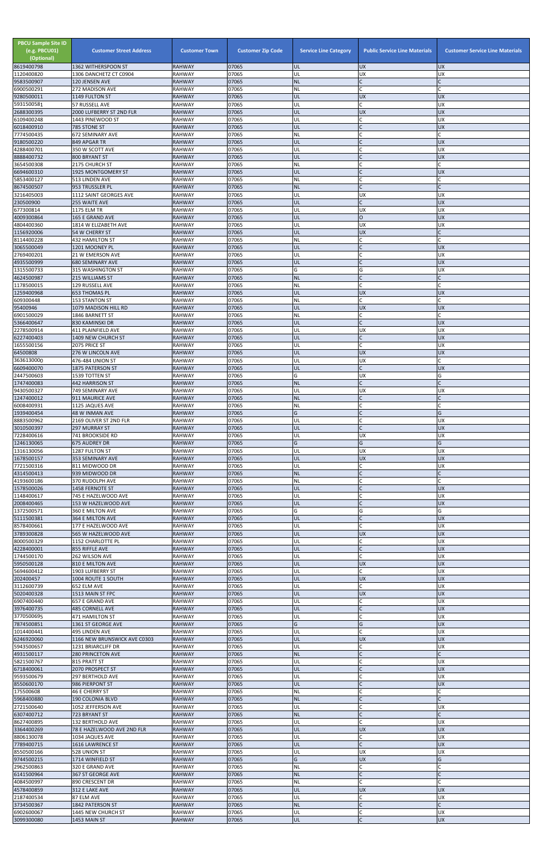| <b>PBCU Sample Site ID</b><br>(e.g. PBCU01)<br>(Optional)<br>8619400798 | <b>Customer Street Address</b><br>1362 WITHERSPOON ST | <b>Customer Town</b><br><b>RAHWAY</b> | <b>Customer Zip Code</b><br>07065 | <b>Service Line Category</b><br><b>UL</b> | <b>Public Service Line Materials</b><br><b>UX</b> | <b>Customer Service Line Materials</b><br><b>UX</b> |
|-------------------------------------------------------------------------|-------------------------------------------------------|---------------------------------------|-----------------------------------|-------------------------------------------|---------------------------------------------------|-----------------------------------------------------|
| 1120400820                                                              | 1306 DANCHETZ CT C0904                                | <b>RAHWAY</b>                         | 07065                             | UL                                        | UX                                                | <b>UX</b>                                           |
| 9583500907<br>6900500291                                                | 120 JENSEN AVE<br>272 MADISON AVE                     | <b>RAHWAY</b><br><b>RAHWAY</b>        | 07065<br>07065                    | <b>NL</b><br><b>NL</b>                    | $\mathsf{C}$<br>C                                 |                                                     |
| 9280500011                                                              | 1149 FULTON ST                                        | <b>RAHWAY</b>                         | 07065                             | UL                                        | <b>UX</b>                                         | UX                                                  |
| 5931500581<br>2688300395                                                | 57 RUSSELL AVE<br>2000 LUFBERRY ST 2ND FLR            | <b>RAHWAY</b><br><b>RAHWAY</b>        | 07065<br>07065                    | UL<br>UL                                  | Ċ<br>UX                                           | UX<br>UX                                            |
| 6109400248                                                              | 1443 PINEWOOD ST                                      | <b>RAHWAY</b>                         | 07065                             | UL                                        | C                                                 | <b>UX</b>                                           |
| 6018400910<br>7774500435                                                | 785 STONE ST<br>672 SEMINARY AVE                      | <b>RAHWAY</b><br><b>RAHWAY</b>        | 07065<br>07065                    | UL<br><b>NL</b>                           | C<br>$\mathsf{C}$                                 | <b>UX</b>                                           |
| 9180500220                                                              | 849 APGAR TR                                          | <b>RAHWAY</b>                         | 07065                             | UL                                        |                                                   | <b>UX</b>                                           |
| 4288400701<br>8888400732                                                | 350 W SCOTT AVE<br>800 BRYANT ST                      | <b>RAHWAY</b><br><b>RAHWAY</b>        | 07065<br>07065                    | UL<br>UL                                  | $\mathsf{C}$<br>$\overline{C}$                    | <b>UX</b><br><b>UX</b>                              |
| 3654500308                                                              | 2175 CHURCH ST                                        | <b>RAHWAY</b>                         | 07065                             | <b>NL</b>                                 |                                                   |                                                     |
| 6694600310<br>5853400127                                                | 1925 MONTGOMERY ST<br>513 LINDEN AVE                  | <b>RAHWAY</b><br><b>RAHWAY</b>        | 07065<br>07065                    | UL<br><b>NL</b>                           |                                                   | <b>UX</b>                                           |
| 8674500507                                                              | 953 TRUSSLER PL                                       | <b>RAHWAY</b>                         | 07065                             | <b>NL</b>                                 | $\mathsf{C}$                                      |                                                     |
| 3216405003<br>230500900                                                 | 1112 SAINT GEORGES AVE<br>255 WAITE AVE               | <b>RAHWAY</b><br><b>RAHWAY</b>        | 07065<br>07065                    | UL<br>UL                                  | UX<br>$\mathsf{C}$                                | UX<br><b>UX</b>                                     |
| 677300814                                                               | 1175 ELM TR<br><b>165 E GRAND AVE</b>                 | <b>RAHWAY</b>                         | 07065<br>07065                    | UL                                        | UX<br>$\overline{O}$                              | UX<br><b>UX</b>                                     |
| 4009300864<br>4804400360                                                | 1814 W ELIZABETH AVE                                  | <b>RAHWAY</b><br><b>RAHWAY</b>        | 07065                             | UL<br>UL                                  | UX                                                | UX                                                  |
| 1156920006<br>8114400228                                                | <b>54 W CHERRY ST</b><br><b>432 HAMILTON ST</b>       | <b>RAHWAY</b><br><b>RAHWAY</b>        | 07065<br>07065                    | UL<br><b>NL</b>                           | UX<br>C                                           |                                                     |
| 3065500049                                                              | 1201 MOONEY PL                                        | <b>RAHWAY</b>                         | 07065                             | UL                                        |                                                   | <b>UX</b>                                           |
| 2769400201<br>4935500999                                                | 21 W EMERSON AVE<br><b>680 SEMINARY AVE</b>           | <b>RAHWAY</b><br><b>RAHWAY</b>        | 07065<br>07065                    | UL<br>UL                                  | $\mathsf{C}$                                      | <b>UX</b><br>UX                                     |
| 1315500733                                                              | 315 WASHINGTON ST                                     | <b>RAHWAY</b>                         | 07065                             | G                                         | G                                                 | UX                                                  |
| 4624500987<br>1178500015                                                | 215 WILLIAMS ST<br>129 RUSSELL AVE                    | <b>RAHWAY</b><br><b>RAHWAY</b>        | 07065<br>07065                    | <b>NL</b><br><b>NL</b>                    | $\mathsf{C}$                                      |                                                     |
| 1259400968                                                              | <b>653 THOMAS PL</b>                                  | <b>RAHWAY</b>                         | 07065                             | UL                                        | UX                                                | <b>UX</b>                                           |
| 609300448<br>95400946                                                   | 153 STANTON ST<br>1079 MADISON HILL RD                | <b>RAHWAY</b><br><b>RAHWAY</b>        | 07065<br>07065                    | <b>NL</b><br>UL                           | Ċ<br><b>UX</b>                                    | <b>UX</b>                                           |
| 6901500029                                                              | 1846 BARNETT ST                                       | <b>RAHWAY</b>                         | 07065                             | <b>NL</b>                                 |                                                   |                                                     |
| 5366400647<br>2278500914                                                | 830 KAMINSKI DR<br><b>411 PLAINFIELD AVE</b>          | <b>RAHWAY</b><br><b>RAHWAY</b>        | 07065<br>07065                    | UL<br>UL                                  | $\mathsf{C}$<br>UX                                | <b>UX</b><br>UX                                     |
| 6227400403                                                              | 1409 NEW CHURCH ST                                    | <b>RAHWAY</b>                         | 07065                             | UL                                        |                                                   | <b>UX</b>                                           |
| 1655500156<br>64500808                                                  | 2075 PRICE ST<br>276 W LINCOLN AVE                    | <b>RAHWAY</b><br><b>RAHWAY</b>        | 07065<br>07065                    | UL<br><b>IUL</b>                          | <b>UX</b>                                         | UX<br><b>UX</b>                                     |
| 3636130000                                                              | 476-484 UNION ST                                      | <b>RAHWAY</b>                         | 07065                             | UL                                        | UX                                                |                                                     |
| 6609400070<br>2447500603                                                | <b>1875 PATERSON ST</b><br>1539 TOTTEN ST             | <b>RAHWAY</b><br><b>RAHWAY</b>        | 07065<br>07065                    | UL<br>G                                   | UX                                                | <b>UX</b><br>G                                      |
| 1747400083                                                              | <b>442 HARRISON ST</b><br>749 SEMINARY AVE            | <b>RAHWAY</b><br><b>RAHWAY</b>        | 07065<br>07065                    | <b>NL</b><br>UL                           | C<br><b>UX</b>                                    |                                                     |
| 9430500327<br>1247400012                                                | 911 MAURICE AVE                                       | <b>RAHWAY</b>                         | 07065                             | <b>NL</b>                                 | $\mathsf{C}$                                      | UX                                                  |
| 6008400931<br>1939400454                                                | 1125 JAQUES AVE<br><b>48 W INMAN AVE</b>              | <b>RAHWAY</b><br><b>RAHWAY</b>        | 07065<br>07065                    | <b>NL</b><br>G                            | C                                                 | G                                                   |
| 8883500962                                                              | 2169 OLIVER ST 2ND FLR                                | <b>RAHWAY</b>                         | 07065                             | UL                                        |                                                   | <b>UX</b>                                           |
| 3010500397<br>7228400616                                                | <b>297 MURRAY ST</b><br><b>741 BROOKSIDE RD</b>       | <b>RAHWAY</b><br><b>RAHWAY</b>        | 07065<br>07065                    | UL<br>UL                                  | $\mathsf{C}$<br>UX                                | <b>UX</b><br>UX                                     |
| 1246130065                                                              | 675 AUDREY DR                                         | <b>RAHWAY</b>                         | 07065                             | G                                         | G                                                 | G                                                   |
| 1316130056<br>1678500157                                                | 1287 FULTON ST<br>353 SEMINARY AVE                    | <b>RAHWAY</b><br><b>RAHWAY</b>        | 07065<br>07065                    | UL<br>UL                                  | UX<br><b>UX</b>                                   | UX<br><b>UX</b>                                     |
| 7721500316<br>4314500413                                                | 811 MIDWOOD DR<br>939 MIDWOOD DR                      | <b>RAHWAY</b><br><b>RAHWAY</b>        | 07065<br>07065                    | UL<br><b>NL</b>                           | C                                                 | <b>UX</b>                                           |
| 4193600186                                                              | 370 RUDOLPH AVE                                       | <b>RAHWAY</b>                         | 07065                             | <b>NL</b>                                 |                                                   |                                                     |
| 1578500026<br>1148400617                                                | 1458 FERNOTE ST<br>745 E HAZELWOOD AVE                | <b>RAHWAY</b><br><b>RAHWAY</b>        | 07065<br>07065                    | UL<br>UL                                  | C                                                 | <b>UX</b><br><b>UX</b>                              |
| 2008400465                                                              | 153 W HAZELWOOD AVE                                   | <b>RAHWAY</b>                         | 07065                             | UL                                        | C                                                 | <b>UX</b>                                           |
| 1372500571<br>5111500381                                                | 360 E MILTON AVE<br>364 E MILTON AVE                  | <b>RAHWAY</b><br><b>RAHWAY</b>        | 07065<br>07065                    | G<br>UL                                   | G<br>$\overline{C}$                               | G<br><b>UX</b>                                      |
| 8578400661                                                              | 177 E HAZELWOOD AVE                                   | <b>RAHWAY</b>                         | 07065                             | UL                                        | $\mathsf{C}$                                      | <b>UX</b>                                           |
| 3789300828<br>8000500329                                                | 565 W HAZELWOOD AVE<br>1152 CHARLOTTE PL              | <b>RAHWAY</b><br><b>RAHWAY</b>        | 07065<br>07065                    | <b>UL</b><br>UL                           | <b>UX</b><br>C                                    | <b>UX</b><br><b>UX</b>                              |
| 4228400001                                                              | 855 RIFFLE AVE                                        | <b>RAHWAY</b>                         | 07065                             | UL                                        | $\mathsf{C}$                                      | <b>UX</b>                                           |
| 1744500170<br>5950500128                                                | 262 WILSON AVE<br>810 E MILTON AVE                    | <b>RAHWAY</b><br><b>RAHWAY</b>        | 07065<br>07065                    | UL<br>UL                                  | <b>UX</b>                                         | UX<br><b>UX</b>                                     |
| 5694600412                                                              | 1903 LUFBERRY ST<br>1004 ROUTE 1 SOUTH                | <b>RAHWAY</b><br><b>RAHWAY</b>        | 07065<br>07065                    | UL<br>UL                                  | C<br><b>UX</b>                                    | UX<br><b>UX</b>                                     |
| 202400457<br>3112600739                                                 | 652 ELM AVE                                           | <b>RAHWAY</b>                         | 07065                             | UL                                        | Ċ                                                 | <b>UX</b>                                           |
| 5020400328<br>6907400440                                                | 1513 MAIN ST FPC<br>657 E GRAND AVE                   | <b>RAHWAY</b><br><b>RAHWAY</b>        | 07065<br>07065                    | UL<br>UL                                  | <b>UX</b><br>C                                    | <b>UX</b><br>UX                                     |
| 3976400735                                                              | <b>485 CORNELL AVE</b>                                | <b>RAHWAY</b>                         | 07065                             | UL                                        |                                                   | UX                                                  |
| 3770500695<br>7874500851                                                | 471 HAMILTON ST<br>1361 ST GEORGE AVE                 | <b>RAHWAY</b><br><b>RAHWAY</b>        | 07065<br>07065                    | UL<br>G                                   | $\mathsf{C}$<br>G                                 | <b>UX</b><br><b>UX</b>                              |
| 1014400441                                                              | 495 LINDEN AVE                                        | <b>RAHWAY</b>                         | 07065                             | UL                                        | C                                                 | <b>UX</b>                                           |
| 6246920060<br>5943500657                                                | 1166 NEW BRUNSWICK AVE C0303<br>1231 BRIARCLIFF DR    | <b>RAHWAY</b><br><b>RAHWAY</b>        | 07065<br>07065                    | UL<br>UL                                  | UX<br>C                                           | <b>UX</b><br><b>UX</b>                              |
| 4931500117                                                              | <b>280 PRINCETON AVE</b>                              | <b>RAHWAY</b>                         | 07065                             | <b>NL</b>                                 |                                                   |                                                     |
| 5821500767<br>6718400061                                                | 815 PRATT ST<br>2070 PROSPECT ST                      | <b>RAHWAY</b><br><b>RAHWAY</b>        | 07065<br>07065                    | UL<br>IUL.                                |                                                   | UX<br><b>UX</b>                                     |
| 9593500679                                                              | <b>297 BERTHOLD AVE</b>                               | <b>RAHWAY</b>                         | 07065                             | UL                                        |                                                   | UX                                                  |
| 8550600170<br>175500608                                                 | 986 PIERPONT ST<br><b>46 E CHERRY ST</b>              | <b>RAHWAY</b><br><b>RAHWAY</b>        | 07065<br>07065                    | <b>UL</b><br><b>NL</b>                    | $\mathsf{C}$<br>C                                 | <b>UX</b>                                           |
| 5968400880<br>2721500640                                                | 190 COLONIA BLVD                                      | <b>RAHWAY</b><br><b>RAHWAY</b>        | 07065<br>07065                    | <b>NL</b><br>UL                           | $\mathsf{C}$<br>C                                 | <b>UX</b>                                           |
| 6307400712                                                              | 1052 JEFFERSON AVE<br>723 BRYANT ST                   | <b>RAHWAY</b>                         | 07065                             | <b>NL</b>                                 |                                                   |                                                     |
| 8627400895<br>3364400269                                                | <b>132 BERTHOLD AVE</b><br>78 E HAZELWOOD AVE 2ND FLR | <b>RAHWAY</b><br><b>RAHWAY</b>        | 07065<br>07065                    | UL<br>UL                                  | <b>UX</b>                                         | <b>UX</b><br><b>UX</b>                              |
| 8806130078                                                              | 1034 JAQUES AVE                                       | <b>RAHWAY</b>                         | 07065                             | UL                                        | C                                                 | UX                                                  |
| 7789400715<br>8550500166                                                | 1616 LAWRENCE ST<br>528 UNION ST                      | <b>RAHWAY</b><br><b>RAHWAY</b>        | 07065<br>07065                    | UL<br>UL                                  | $\mathsf{C}$<br>UX                                | UX<br>UX                                            |
| 9744500215                                                              | 1714 WINFIELD ST                                      | <b>RAHWAY</b>                         | 07065                             | G                                         | <b>UX</b>                                         | G                                                   |
| 2962500863<br>6141500964                                                | 320 E GRAND AVE<br>367 ST GEORGE AVE                  | <b>RAHWAY</b><br><b>RAHWAY</b>        | 07065<br>07065                    | <b>NL</b><br><b>NL</b>                    | C<br>$\mathsf{C}$                                 |                                                     |
| 4084500997                                                              | 890 CRESCENT DR                                       | <b>RAHWAY</b>                         | 07065                             | <b>NL</b>                                 | Ċ                                                 |                                                     |
| 4578400859<br>2187400534                                                | 312 E LAKE AVE<br>87 ELM AVE                          | <b>RAHWAY</b><br><b>RAHWAY</b>        | 07065<br>07065                    | UL<br>UL                                  | <b>UX</b><br>C                                    | <b>UX</b><br><b>UX</b>                              |
| 3734500367                                                              | 1842 PATERSON ST                                      | <b>RAHWAY</b>                         | 07065                             | <b>NL</b><br>UL                           | $\mathsf{C}$                                      |                                                     |
| 6902600067<br>3099300080                                                | 1445 NEW CHURCH ST<br>1453 MAIN ST                    | <b>RAHWAY</b><br><b>RAHWAY</b>        | 07065<br>07065                    | <b>UL</b>                                 | C<br>$\mathsf{C}$                                 | <b>UX</b><br>UX                                     |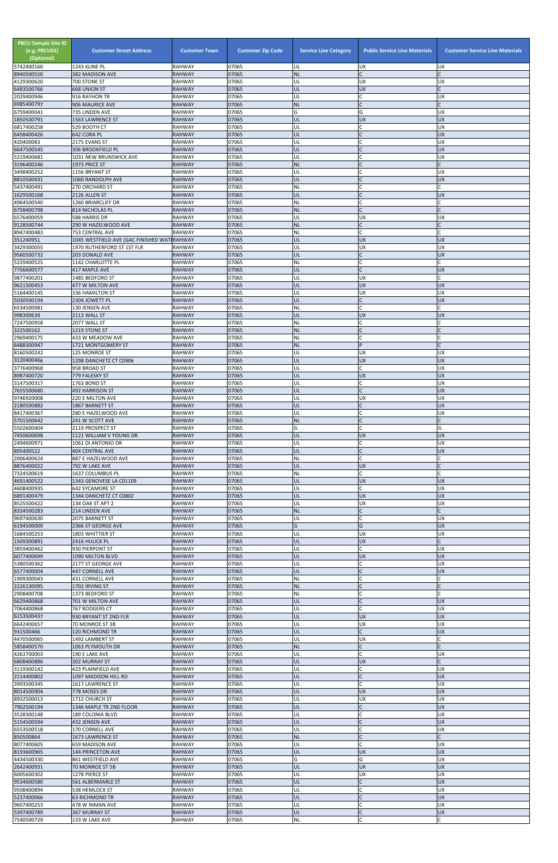| $\mathsf{C}$<br>07065<br><b>NL</b><br>382 MADISON AVE<br><b>RAHWAY</b><br>RAHWAY<br>07065<br><b>UX</b><br>700 STONE ST<br>UL<br><b>UX</b><br>6483500766<br>07065<br>UL<br><b>UX</b><br><b>668 UNION ST</b><br><b>RAHWAY</b><br>$\mathsf{C}$<br>07065<br>916 RAYHON TR<br><b>RAHWAY</b><br>UL<br><b>UX</b><br>$\mathsf{C}$<br>07065<br><b>NL</b><br>906 MAURICE AVE<br><b>RAHWAY</b><br>6759400041<br>07065<br>G<br>735 LINDEN AVE<br>RAHWAY<br><b>UX</b><br>G<br>1850500791<br>07065<br>UL<br><b>UX</b><br><b>UX</b><br><b>1563 LAWRENCE ST</b><br><b>RAHWAY</b><br>07065<br>C<br>UL<br><b>UX</b><br>529 BOOTH CT<br>RAHWAY<br>6458400426<br>07065<br>$\mathsf{C}$<br><b>UX</b><br>642 CORA PL<br><b>RAHWAY</b><br>UL<br>420400083<br>2175 EVANS ST<br>07065<br><b>UX</b><br>RAHWAY<br>UL<br>$\Gamma$<br><b>UX</b><br>07065<br>306 BROOKFIELD PL<br><b>RAHWAY</b><br>UL<br>$\mathsf{C}$<br>5219400681<br>RAHWAY<br>07065<br>UL<br><b>UX</b><br>1031 NEW BRUNSWICK AVE<br>$\mathsf{C}$<br>3196400246<br>07065<br><b>NL</b><br>1973 PRICE ST<br><b>RAHWAY</b><br>07065<br>1156 BRYANT ST<br><b>RAHWAY</b><br>UL<br><b>UX</b><br>07065<br>$\mathsf{C}$<br>1060 RANDOLPH AVE<br><b>RAHWAY</b><br>UL<br><b>UX</b><br>07065<br>$\mathsf{C}$<br>NL<br>5437400491<br>270 ORCHARD ST<br>RAHWAY<br>07065<br>UL<br>$\mathsf{C}$<br><b>UX</b><br><b>RAHWAY</b><br>2126 ALLEN ST<br>07065<br><b>RAHWAY</b><br>1260 BRIARCLIFF DR<br>ΝL<br>6758400798<br>07065<br><b>RAHWAY</b><br><b>NL</b><br>814 NICHOLAS PL<br>588 HARRIS DR<br>RAHWAY<br>07065<br><b>UX</b><br>UL<br><b>UX</b><br>$\mathsf{C}$<br><b>NL</b><br>290 W HAZELWOOD AVE<br>07065<br><b>RAHWAY</b><br>$\mathsf C$<br>8947400483<br>07065<br>NL<br><b>753 CENTRAL AVE</b><br><b>RAHWAY</b><br>351240951<br>1045 WESTFIELD AVE (GAC FINISHED WAT RAHWAY<br>07065<br>UL<br><b>UX</b><br><b>UX</b><br>07065<br>UX<br>1970 RUTHERFORD ST 1ST FLR<br>RAHWAY<br>UL<br><b>UX</b><br>$\mathsf{C}$<br><b>UX</b><br>9560500732<br><b>RAHWAY</b><br>07065<br>UL<br>203 DONALD AVE<br>$\mathsf{C}$<br>RAHWAY<br>07065<br>NL<br>5229400525<br>1142 CHARLOTTE PL<br>07065<br>$\mathsf{C}$<br><b>RAHWAY</b><br><b>UX</b><br>417 MAPLE AVE<br>UL<br><b>RAHWAY</b><br>07065<br>UL<br><b>UX</b><br>1485 BEDFORD ST<br><b>UX</b><br><b>UX</b><br>9621500453<br>477 W MILTON AVE<br><b>RAHWAY</b><br>07065<br>UL<br><b>UX</b><br>07065<br>UL<br><b>UX</b><br>336 HAMILTON ST<br><b>RAHWAY</b><br>07065<br>UL<br>$\mathsf{C}$<br><b>UX</b><br>2304 JOWETT PL<br><b>RAHWAY</b><br>07065<br>$\mathsf{C}$<br>6534500981<br>130 JENSEN AVE<br>NL<br><b>RAHWAY</b><br>UL<br><b>RAHWAY</b><br>07065<br><b>UX</b><br><b>UX</b><br>2113 WALL ST<br>$\mathsf{C}$<br>RAHWAY<br>07065<br>NL<br>2077 WALL ST<br>$\mathsf{C}$<br>322500162<br>07065<br>NL<br>1219 STONE ST<br><b>RAHWAY</b><br>07065<br>2969400175<br>NL<br>433 W MEADOW AVE<br>RAHWAY<br>07065<br><b>NL</b><br>D<br>1721 MONTGOMERY ST<br><b>RAHWAY</b><br>125 MONROE ST<br><b>RAHWAY</b><br>07065<br>UL<br><b>UX</b><br>UX.<br><b>UX</b><br><b>UX</b><br>07065<br>UL<br>3120400466<br>1298 DANCHETZ CT C0906<br><b>RAHWAY</b><br>07065<br><b>UX</b><br>RAHWAY<br>UL<br>C<br>958 BROAD ST<br><b>UX</b><br>07065<br>UL<br><b>UX</b><br>779 FALESKY ST<br><b>RAHWAY</b><br>3147500317<br>07065<br>UL<br>C<br><b>UX</b><br>1763 BOND ST<br>RAHWAY<br>$\mathsf{C}$<br><b>UX</b><br>07065<br><b>492 HARRISON ST</b><br><b>RAHWAY</b><br>UL<br>07065<br>UL<br><b>UX</b><br><b>UX</b><br>220 E MILTON AVE<br>RAHWAY<br><b>UX</b><br>2180500882<br><b>RAHWAY</b><br>07065<br>UL<br>1867 BARNETT ST<br>$\mathsf{C}$<br>8417400367<br>RAHWAY<br>07065<br>UL<br><b>UX</b><br>280 E HAZELWOOD AVE<br>$\overline{C}$<br><b>RAHWAY</b><br>07065<br><b>NL</b><br>241 W SCOTT AVE<br>$\mathsf{C}$<br>07065<br>G<br>5502600404<br>RAHWAY<br>G<br>2119 PROSPECT ST<br>07065<br>UL<br><b>UX</b><br><b>UX</b><br>7450600698<br>1121 WILLIAM V YOUNG DR<br><b>RAHWAY</b><br><b>UX</b><br>07065<br>C<br>1061 DI ANTONIO DR<br>RAHWAY<br>UL<br>$\mathsf{C}$<br>07065<br>UL<br><b>UX</b><br><b>404 CENTRAL AVE</b><br><b>RAHWAY</b><br>$\mathsf{C}$<br>07065<br>2006400624<br>887 E HAZELWOOD AVE<br>RAHWAY<br>ΝL<br>07065<br>UL<br><b>UX</b><br>792 W LAKE AVE<br><b>RAHWAY</b><br>$\mathsf{C}$<br>RAHWAY<br>07065<br>NL<br>1637 COLUMBUS PL<br>07065<br>4691400522<br>1343 GENOVESE LA C01109<br><b>RAHWAY</b><br>UL<br><b>UX</b><br><b>UX</b><br>C<br>RAHWAY<br>07065<br>UL<br><b>UX</b><br><b>642 SYCAMORE ST</b><br>07065<br><b>UX</b><br><b>UX</b><br>1344 DANCHETZ CT C0802<br>UL<br>RAHWAY<br>07065<br>UL<br><b>UX</b><br><b>UX</b><br>8525500422<br>RAHWAY<br>134 OAK ST APT 2<br>07065<br><b>NL</b><br>$\mathsf{C}$<br>214 LINDEN AVE<br><b>RAHWAY</b><br>07065<br><b>UX</b><br>2075 BARNETT ST<br>RAHWAY<br>UL<br>G<br>07065<br><b>UX</b><br>6194500009<br><b>RAHWAY</b><br>G<br>2366 ST GEORGE AVE<br>07065<br><b>UX</b><br>UX<br>1803 WHITTIER ST<br>RAHWAY<br>UL<br><b>UX</b><br><b>RAHWAY</b><br>07065<br>UL<br>2416 HULICK PL<br>$\mathsf{C}$<br>3859400462<br>RAHWAY<br>07065<br>UL<br><b>UX</b><br>930 PIERPONT ST<br>6077400699<br><b>RAHWAY</b><br>07065<br>UL<br><b>UX</b><br><b>UX</b><br>1090 MILTON BLVD<br>C<br>07065<br>RAHWAY<br>UL<br><b>UX</b><br>2177 ST GEORGE AVE<br>07065<br>$\mathsf{C}$<br>UL<br><b>UX</b><br>6577400004<br>447 CORNELL AVE<br><b>RAHWAY</b><br>07065<br>NL<br>1909300043<br>431 CORNELL AVE<br><b>RAHWAY</b><br>07065<br><b>NL</b><br>1702 IRVING ST<br><b>RAHWAY</b><br>07065<br>1373 BEDFORD ST<br>RAHWAY<br>ΝL<br>$\mathsf{C}$<br>07065<br>UL<br><b>UX</b><br>6629400868<br>701 W MILTON AVE<br><b>RAHWAY</b><br>$\mathsf{C}$<br>07065<br><b>UX</b><br>RAHWAY<br>UL<br>767 RODGERS CT<br>07065<br>930 BRYANT ST 2ND FLR<br><b>RAHWAY</b><br>UL<br><b>UX</b><br><b>UX</b><br>07065<br>UL<br><b>UX</b><br><b>UX</b><br>6642400657<br>70 MONROE ST 3B<br>RAHWAY<br>$\mathsf{C}$<br>07065<br>UL<br><b>UX</b><br>931500466<br><b>RAHWAY</b><br><b>120 RICHMOND TR</b><br>07065<br>UL<br><b>UX</b><br>1492 LAMBERT ST<br>RAHWAY<br>07065<br><b>NL</b><br>5858400570<br>1063 PLYMOUTH DR<br><b>RAHWAY</b><br>4263700003<br>07065<br>190 E LAKE AVE<br><b>RAHWAY</b><br>UL<br><b>UX</b><br><b>UX</b><br><b>RAHWAY</b><br>07065<br>UL<br><b>302 MURRAY ST</b><br>423 PLAINFIELD AVE<br>RAHWAY<br>07065<br> UL<br><b>UX</b><br><b>UX</b><br>2114400802<br>UL<br>$\mathsf{C}$<br><b>RAHWAY</b><br>07065<br>1097 MADISON HILL RD<br>$\mathsf{C}$<br><b>UX</b><br>RAHWAY<br>07065<br>UL<br>1617 LAWRENCE ST<br>UL<br><b>UX</b><br><b>UX</b><br>07065<br>778 MOSES DR<br><b>RAHWAY</b><br><b>UX</b><br><b>UX</b><br>07065<br>UL<br>8932500013<br>1712 CHURCH ST<br>RAHWAY<br>$\mathsf{C}$<br>07065<br>UL<br><b>UX</b><br>1346 MAPLE TR 2ND FLOOR<br><b>RAHWAY</b><br><b>UX</b><br><b>RAHWAY</b><br>07065<br>UL<br><b>189 COLONIA BLVD</b><br>5154500594<br>432 JENSEN AVE<br>07065<br>UL<br><b>UX</b><br><b>RAHWAY</b><br>$\mathsf{C}$<br><b>UX</b><br><b>RAHWAY</b><br>07065<br>UL<br>170 CORNELL AVE<br>$\mathsf{C}$<br><b>NL</b><br>07065<br>1673 LAWRENCE ST<br><b>RAHWAY</b><br>$\mathsf{C}$<br>07065<br>8077400605<br>659 MADISON AVE<br>RAHWAY<br>UL<br><b>UX</b><br><b>UX</b><br>07065<br>UL<br><b>UX</b><br>144 PRINCETON AVE<br><b>RAHWAY</b><br>G<br><b>UX</b><br>07065<br>G<br>861 WESTFIELD AVE<br>RAHWAY<br><b>UX</b><br><b>UX</b><br>07065<br>UL<br>70 MONROE ST 5B<br><b>RAHWAY</b><br>07065<br>UL<br><b>UX</b><br><b>UX</b><br>6005600302<br>1278 PIERCE ST<br>RAHWAY<br><b>UX</b><br><b>RAHWAY</b><br>07065<br>UL<br>561 ALBERMARLE ST<br>$\mathsf{C}$<br>UL<br><b>UX</b><br><b>RAHWAY</b><br>07065<br>538 HEMLOCK ST<br>$\mathsf{C}$<br>UL<br><b>UX</b><br>5237400066<br><b>RAHWAY</b><br>07065<br><b>63 RICHMOND TR</b><br>$\mathsf{C}$<br>RAHWAY<br>07065<br>UL<br><b>UX</b><br>478 W INMAN AVE<br>UL<br><b>UX</b><br><b>RAHWAY</b><br>07065<br>367 MURRAY ST<br>$\mathsf C$<br>$\sf NL$<br>Ċ<br>7540500729<br>133 W LAKE AVE<br>RAHWAY<br>07065 | <b>PBCU Sample Site ID</b><br>(e.g. PBCU01)<br>(Optional)<br>5742400160 | <b>Customer Street Address</b><br>1243 KLINE PL | <b>Customer Town</b><br><b>RAHWAY</b> | <b>Customer Zip Code</b><br>07065 | <b>Service Line Category</b> | <b>Public Service Line Materials</b><br><b>UX</b> | <b>Customer Service Line Materials</b><br><b>UX</b> |
|-----------------------------------------------------------------------------------------------------------------------------------------------------------------------------------------------------------------------------------------------------------------------------------------------------------------------------------------------------------------------------------------------------------------------------------------------------------------------------------------------------------------------------------------------------------------------------------------------------------------------------------------------------------------------------------------------------------------------------------------------------------------------------------------------------------------------------------------------------------------------------------------------------------------------------------------------------------------------------------------------------------------------------------------------------------------------------------------------------------------------------------------------------------------------------------------------------------------------------------------------------------------------------------------------------------------------------------------------------------------------------------------------------------------------------------------------------------------------------------------------------------------------------------------------------------------------------------------------------------------------------------------------------------------------------------------------------------------------------------------------------------------------------------------------------------------------------------------------------------------------------------------------------------------------------------------------------------------------------------------------------------------------------------------------------------------------------------------------------------------------------------------------------------------------------------------------------------------------------------------------------------------------------------------------------------------------------------------------------------------------------------------------------------------------------------------------------------------------------------------------------------------------------------------------------------------------------------------------------------------------------------------------------------------------------------------------------------------------------------------------------------------------------------------------------------------------------------------------------------------------------------------------------------------------------------------------------------------------------------------------------------------------------------------------------------------------------------------------------------------------------------------------------------------------------------------------------------------------------------------------------------------------------------------------------------------------------------------------------------------------------------------------------------------------------------------------------------------------------------------------------------------------------------------------------------------------------------------------------------------------------------------------------------------------------------------------------------------------------------------------------------------------------------------------------------------------------------------------------------------------------------------------------------------------------------------------------------------------------------------------------------------------------------------------------------------------------------------------------------------------------------------------------------------------------------------------------------------------------------------------------------------------------------------------------------------------------------------------------------------------------------------------------------------------------------------------------------------------------------------------------------------------------------------------------------------------------------------------------------------------------------------------------------------------------------------------------------------------------------------------------------------------------------------------------------------------------------------------------------------------------------------------------------------------------------------------------------------------------------------------------------------------------------------------------------------------------------------------------------------------------------------------------------------------------------------------------------------------------------------------------------------------------------------------------------------------------------------------------------------------------------------------------------------------------------------------------------------------------------------------------------------------------------------------------------------------------------------------------------------------------------------------------------------------------------------------------------------------------------------------------------------------------------------------------------------------------------------------------------------------------------------------------------------------------------------------------------------------------------------------------------------------------------------------------------------------------------------------------------------------------------------------------------------------------------------------------------------------------------------------------------------------------------------------------------------------------------------------------------------------------------------------------------------------------------------------------------------------------------------------------------------------------------------------------------------------------------------------------------------------------------------------------------------------------------------------------------------------------------------------------------------------------------------------------------------------------------------------------------------------------------------------------------------------------------------------------------------------------------------------------------------------------------------------------------------------------------------------------------------------------------------------------------------------------------------------------------------------------------------------------------------------------------------------------------------------------------------------------------------------------------------------------------------------------------------------------------------------------------------------------------------------------------------------------------------------------------------------------------------------------------------------------------------------------------------------------------------------------------------------------------------------------------------------------------------------------------------------------------------------------------------------------------------------------------------------------------------------|-------------------------------------------------------------------------|-------------------------------------------------|---------------------------------------|-----------------------------------|------------------------------|---------------------------------------------------|-----------------------------------------------------|
|                                                                                                                                                                                                                                                                                                                                                                                                                                                                                                                                                                                                                                                                                                                                                                                                                                                                                                                                                                                                                                                                                                                                                                                                                                                                                                                                                                                                                                                                                                                                                                                                                                                                                                                                                                                                                                                                                                                                                                                                                                                                                                                                                                                                                                                                                                                                                                                                                                                                                                                                                                                                                                                                                                                                                                                                                                                                                                                                                                                                                                                                                                                                                                                                                                                                                                                                                                                                                                                                                                                                                                                                                                                                                                                                                                                                                                                                                                                                                                                                                                                                                                                                                                                                                                                                                                                                                                                                                                                                                                                                                                                                                                                                                                                                                                                                                                                                                                                                                                                                                                                                                                                                                                                                                                                                                                                                                                                                                                                                                                                                                                                                                                                                                                                                                                                                                                                                                                                                                                                                                                                                                                                                                                                                                                                                                                                                                                                                                                                                                                                                                                                                                                                                                                                                                                                                                                                                                                                                                                                                                                                                                                                                                                                                                                                                                                                                                                                                                                                                                                                                                                                                                                                                                                                                                                                                                                                                                                                                                                       | 8940500550                                                              |                                                 |                                       |                                   | UL                           |                                                   |                                                     |
|                                                                                                                                                                                                                                                                                                                                                                                                                                                                                                                                                                                                                                                                                                                                                                                                                                                                                                                                                                                                                                                                                                                                                                                                                                                                                                                                                                                                                                                                                                                                                                                                                                                                                                                                                                                                                                                                                                                                                                                                                                                                                                                                                                                                                                                                                                                                                                                                                                                                                                                                                                                                                                                                                                                                                                                                                                                                                                                                                                                                                                                                                                                                                                                                                                                                                                                                                                                                                                                                                                                                                                                                                                                                                                                                                                                                                                                                                                                                                                                                                                                                                                                                                                                                                                                                                                                                                                                                                                                                                                                                                                                                                                                                                                                                                                                                                                                                                                                                                                                                                                                                                                                                                                                                                                                                                                                                                                                                                                                                                                                                                                                                                                                                                                                                                                                                                                                                                                                                                                                                                                                                                                                                                                                                                                                                                                                                                                                                                                                                                                                                                                                                                                                                                                                                                                                                                                                                                                                                                                                                                                                                                                                                                                                                                                                                                                                                                                                                                                                                                                                                                                                                                                                                                                                                                                                                                                                                                                                                                                       | 4129300620                                                              |                                                 |                                       |                                   |                              |                                                   |                                                     |
|                                                                                                                                                                                                                                                                                                                                                                                                                                                                                                                                                                                                                                                                                                                                                                                                                                                                                                                                                                                                                                                                                                                                                                                                                                                                                                                                                                                                                                                                                                                                                                                                                                                                                                                                                                                                                                                                                                                                                                                                                                                                                                                                                                                                                                                                                                                                                                                                                                                                                                                                                                                                                                                                                                                                                                                                                                                                                                                                                                                                                                                                                                                                                                                                                                                                                                                                                                                                                                                                                                                                                                                                                                                                                                                                                                                                                                                                                                                                                                                                                                                                                                                                                                                                                                                                                                                                                                                                                                                                                                                                                                                                                                                                                                                                                                                                                                                                                                                                                                                                                                                                                                                                                                                                                                                                                                                                                                                                                                                                                                                                                                                                                                                                                                                                                                                                                                                                                                                                                                                                                                                                                                                                                                                                                                                                                                                                                                                                                                                                                                                                                                                                                                                                                                                                                                                                                                                                                                                                                                                                                                                                                                                                                                                                                                                                                                                                                                                                                                                                                                                                                                                                                                                                                                                                                                                                                                                                                                                                                                       | 2029400946                                                              |                                                 |                                       |                                   |                              |                                                   |                                                     |
|                                                                                                                                                                                                                                                                                                                                                                                                                                                                                                                                                                                                                                                                                                                                                                                                                                                                                                                                                                                                                                                                                                                                                                                                                                                                                                                                                                                                                                                                                                                                                                                                                                                                                                                                                                                                                                                                                                                                                                                                                                                                                                                                                                                                                                                                                                                                                                                                                                                                                                                                                                                                                                                                                                                                                                                                                                                                                                                                                                                                                                                                                                                                                                                                                                                                                                                                                                                                                                                                                                                                                                                                                                                                                                                                                                                                                                                                                                                                                                                                                                                                                                                                                                                                                                                                                                                                                                                                                                                                                                                                                                                                                                                                                                                                                                                                                                                                                                                                                                                                                                                                                                                                                                                                                                                                                                                                                                                                                                                                                                                                                                                                                                                                                                                                                                                                                                                                                                                                                                                                                                                                                                                                                                                                                                                                                                                                                                                                                                                                                                                                                                                                                                                                                                                                                                                                                                                                                                                                                                                                                                                                                                                                                                                                                                                                                                                                                                                                                                                                                                                                                                                                                                                                                                                                                                                                                                                                                                                                                                       | 6985400797                                                              |                                                 |                                       |                                   |                              |                                                   |                                                     |
|                                                                                                                                                                                                                                                                                                                                                                                                                                                                                                                                                                                                                                                                                                                                                                                                                                                                                                                                                                                                                                                                                                                                                                                                                                                                                                                                                                                                                                                                                                                                                                                                                                                                                                                                                                                                                                                                                                                                                                                                                                                                                                                                                                                                                                                                                                                                                                                                                                                                                                                                                                                                                                                                                                                                                                                                                                                                                                                                                                                                                                                                                                                                                                                                                                                                                                                                                                                                                                                                                                                                                                                                                                                                                                                                                                                                                                                                                                                                                                                                                                                                                                                                                                                                                                                                                                                                                                                                                                                                                                                                                                                                                                                                                                                                                                                                                                                                                                                                                                                                                                                                                                                                                                                                                                                                                                                                                                                                                                                                                                                                                                                                                                                                                                                                                                                                                                                                                                                                                                                                                                                                                                                                                                                                                                                                                                                                                                                                                                                                                                                                                                                                                                                                                                                                                                                                                                                                                                                                                                                                                                                                                                                                                                                                                                                                                                                                                                                                                                                                                                                                                                                                                                                                                                                                                                                                                                                                                                                                                                       |                                                                         |                                                 |                                       |                                   |                              |                                                   |                                                     |
|                                                                                                                                                                                                                                                                                                                                                                                                                                                                                                                                                                                                                                                                                                                                                                                                                                                                                                                                                                                                                                                                                                                                                                                                                                                                                                                                                                                                                                                                                                                                                                                                                                                                                                                                                                                                                                                                                                                                                                                                                                                                                                                                                                                                                                                                                                                                                                                                                                                                                                                                                                                                                                                                                                                                                                                                                                                                                                                                                                                                                                                                                                                                                                                                                                                                                                                                                                                                                                                                                                                                                                                                                                                                                                                                                                                                                                                                                                                                                                                                                                                                                                                                                                                                                                                                                                                                                                                                                                                                                                                                                                                                                                                                                                                                                                                                                                                                                                                                                                                                                                                                                                                                                                                                                                                                                                                                                                                                                                                                                                                                                                                                                                                                                                                                                                                                                                                                                                                                                                                                                                                                                                                                                                                                                                                                                                                                                                                                                                                                                                                                                                                                                                                                                                                                                                                                                                                                                                                                                                                                                                                                                                                                                                                                                                                                                                                                                                                                                                                                                                                                                                                                                                                                                                                                                                                                                                                                                                                                                                       | 6817400258                                                              |                                                 |                                       |                                   |                              |                                                   |                                                     |
|                                                                                                                                                                                                                                                                                                                                                                                                                                                                                                                                                                                                                                                                                                                                                                                                                                                                                                                                                                                                                                                                                                                                                                                                                                                                                                                                                                                                                                                                                                                                                                                                                                                                                                                                                                                                                                                                                                                                                                                                                                                                                                                                                                                                                                                                                                                                                                                                                                                                                                                                                                                                                                                                                                                                                                                                                                                                                                                                                                                                                                                                                                                                                                                                                                                                                                                                                                                                                                                                                                                                                                                                                                                                                                                                                                                                                                                                                                                                                                                                                                                                                                                                                                                                                                                                                                                                                                                                                                                                                                                                                                                                                                                                                                                                                                                                                                                                                                                                                                                                                                                                                                                                                                                                                                                                                                                                                                                                                                                                                                                                                                                                                                                                                                                                                                                                                                                                                                                                                                                                                                                                                                                                                                                                                                                                                                                                                                                                                                                                                                                                                                                                                                                                                                                                                                                                                                                                                                                                                                                                                                                                                                                                                                                                                                                                                                                                                                                                                                                                                                                                                                                                                                                                                                                                                                                                                                                                                                                                                                       |                                                                         |                                                 |                                       |                                   |                              |                                                   |                                                     |
|                                                                                                                                                                                                                                                                                                                                                                                                                                                                                                                                                                                                                                                                                                                                                                                                                                                                                                                                                                                                                                                                                                                                                                                                                                                                                                                                                                                                                                                                                                                                                                                                                                                                                                                                                                                                                                                                                                                                                                                                                                                                                                                                                                                                                                                                                                                                                                                                                                                                                                                                                                                                                                                                                                                                                                                                                                                                                                                                                                                                                                                                                                                                                                                                                                                                                                                                                                                                                                                                                                                                                                                                                                                                                                                                                                                                                                                                                                                                                                                                                                                                                                                                                                                                                                                                                                                                                                                                                                                                                                                                                                                                                                                                                                                                                                                                                                                                                                                                                                                                                                                                                                                                                                                                                                                                                                                                                                                                                                                                                                                                                                                                                                                                                                                                                                                                                                                                                                                                                                                                                                                                                                                                                                                                                                                                                                                                                                                                                                                                                                                                                                                                                                                                                                                                                                                                                                                                                                                                                                                                                                                                                                                                                                                                                                                                                                                                                                                                                                                                                                                                                                                                                                                                                                                                                                                                                                                                                                                                                                       | 6647500545                                                              |                                                 |                                       |                                   |                              |                                                   |                                                     |
|                                                                                                                                                                                                                                                                                                                                                                                                                                                                                                                                                                                                                                                                                                                                                                                                                                                                                                                                                                                                                                                                                                                                                                                                                                                                                                                                                                                                                                                                                                                                                                                                                                                                                                                                                                                                                                                                                                                                                                                                                                                                                                                                                                                                                                                                                                                                                                                                                                                                                                                                                                                                                                                                                                                                                                                                                                                                                                                                                                                                                                                                                                                                                                                                                                                                                                                                                                                                                                                                                                                                                                                                                                                                                                                                                                                                                                                                                                                                                                                                                                                                                                                                                                                                                                                                                                                                                                                                                                                                                                                                                                                                                                                                                                                                                                                                                                                                                                                                                                                                                                                                                                                                                                                                                                                                                                                                                                                                                                                                                                                                                                                                                                                                                                                                                                                                                                                                                                                                                                                                                                                                                                                                                                                                                                                                                                                                                                                                                                                                                                                                                                                                                                                                                                                                                                                                                                                                                                                                                                                                                                                                                                                                                                                                                                                                                                                                                                                                                                                                                                                                                                                                                                                                                                                                                                                                                                                                                                                                                                       |                                                                         |                                                 |                                       |                                   |                              |                                                   |                                                     |
|                                                                                                                                                                                                                                                                                                                                                                                                                                                                                                                                                                                                                                                                                                                                                                                                                                                                                                                                                                                                                                                                                                                                                                                                                                                                                                                                                                                                                                                                                                                                                                                                                                                                                                                                                                                                                                                                                                                                                                                                                                                                                                                                                                                                                                                                                                                                                                                                                                                                                                                                                                                                                                                                                                                                                                                                                                                                                                                                                                                                                                                                                                                                                                                                                                                                                                                                                                                                                                                                                                                                                                                                                                                                                                                                                                                                                                                                                                                                                                                                                                                                                                                                                                                                                                                                                                                                                                                                                                                                                                                                                                                                                                                                                                                                                                                                                                                                                                                                                                                                                                                                                                                                                                                                                                                                                                                                                                                                                                                                                                                                                                                                                                                                                                                                                                                                                                                                                                                                                                                                                                                                                                                                                                                                                                                                                                                                                                                                                                                                                                                                                                                                                                                                                                                                                                                                                                                                                                                                                                                                                                                                                                                                                                                                                                                                                                                                                                                                                                                                                                                                                                                                                                                                                                                                                                                                                                                                                                                                                                       | 3498400252                                                              |                                                 |                                       |                                   |                              |                                                   |                                                     |
|                                                                                                                                                                                                                                                                                                                                                                                                                                                                                                                                                                                                                                                                                                                                                                                                                                                                                                                                                                                                                                                                                                                                                                                                                                                                                                                                                                                                                                                                                                                                                                                                                                                                                                                                                                                                                                                                                                                                                                                                                                                                                                                                                                                                                                                                                                                                                                                                                                                                                                                                                                                                                                                                                                                                                                                                                                                                                                                                                                                                                                                                                                                                                                                                                                                                                                                                                                                                                                                                                                                                                                                                                                                                                                                                                                                                                                                                                                                                                                                                                                                                                                                                                                                                                                                                                                                                                                                                                                                                                                                                                                                                                                                                                                                                                                                                                                                                                                                                                                                                                                                                                                                                                                                                                                                                                                                                                                                                                                                                                                                                                                                                                                                                                                                                                                                                                                                                                                                                                                                                                                                                                                                                                                                                                                                                                                                                                                                                                                                                                                                                                                                                                                                                                                                                                                                                                                                                                                                                                                                                                                                                                                                                                                                                                                                                                                                                                                                                                                                                                                                                                                                                                                                                                                                                                                                                                                                                                                                                                                       | 8810500431                                                              |                                                 |                                       |                                   |                              |                                                   |                                                     |
|                                                                                                                                                                                                                                                                                                                                                                                                                                                                                                                                                                                                                                                                                                                                                                                                                                                                                                                                                                                                                                                                                                                                                                                                                                                                                                                                                                                                                                                                                                                                                                                                                                                                                                                                                                                                                                                                                                                                                                                                                                                                                                                                                                                                                                                                                                                                                                                                                                                                                                                                                                                                                                                                                                                                                                                                                                                                                                                                                                                                                                                                                                                                                                                                                                                                                                                                                                                                                                                                                                                                                                                                                                                                                                                                                                                                                                                                                                                                                                                                                                                                                                                                                                                                                                                                                                                                                                                                                                                                                                                                                                                                                                                                                                                                                                                                                                                                                                                                                                                                                                                                                                                                                                                                                                                                                                                                                                                                                                                                                                                                                                                                                                                                                                                                                                                                                                                                                                                                                                                                                                                                                                                                                                                                                                                                                                                                                                                                                                                                                                                                                                                                                                                                                                                                                                                                                                                                                                                                                                                                                                                                                                                                                                                                                                                                                                                                                                                                                                                                                                                                                                                                                                                                                                                                                                                                                                                                                                                                                                       | 1629500168                                                              |                                                 |                                       |                                   |                              |                                                   |                                                     |
|                                                                                                                                                                                                                                                                                                                                                                                                                                                                                                                                                                                                                                                                                                                                                                                                                                                                                                                                                                                                                                                                                                                                                                                                                                                                                                                                                                                                                                                                                                                                                                                                                                                                                                                                                                                                                                                                                                                                                                                                                                                                                                                                                                                                                                                                                                                                                                                                                                                                                                                                                                                                                                                                                                                                                                                                                                                                                                                                                                                                                                                                                                                                                                                                                                                                                                                                                                                                                                                                                                                                                                                                                                                                                                                                                                                                                                                                                                                                                                                                                                                                                                                                                                                                                                                                                                                                                                                                                                                                                                                                                                                                                                                                                                                                                                                                                                                                                                                                                                                                                                                                                                                                                                                                                                                                                                                                                                                                                                                                                                                                                                                                                                                                                                                                                                                                                                                                                                                                                                                                                                                                                                                                                                                                                                                                                                                                                                                                                                                                                                                                                                                                                                                                                                                                                                                                                                                                                                                                                                                                                                                                                                                                                                                                                                                                                                                                                                                                                                                                                                                                                                                                                                                                                                                                                                                                                                                                                                                                                                       | 4964500540                                                              |                                                 |                                       |                                   |                              |                                                   |                                                     |
|                                                                                                                                                                                                                                                                                                                                                                                                                                                                                                                                                                                                                                                                                                                                                                                                                                                                                                                                                                                                                                                                                                                                                                                                                                                                                                                                                                                                                                                                                                                                                                                                                                                                                                                                                                                                                                                                                                                                                                                                                                                                                                                                                                                                                                                                                                                                                                                                                                                                                                                                                                                                                                                                                                                                                                                                                                                                                                                                                                                                                                                                                                                                                                                                                                                                                                                                                                                                                                                                                                                                                                                                                                                                                                                                                                                                                                                                                                                                                                                                                                                                                                                                                                                                                                                                                                                                                                                                                                                                                                                                                                                                                                                                                                                                                                                                                                                                                                                                                                                                                                                                                                                                                                                                                                                                                                                                                                                                                                                                                                                                                                                                                                                                                                                                                                                                                                                                                                                                                                                                                                                                                                                                                                                                                                                                                                                                                                                                                                                                                                                                                                                                                                                                                                                                                                                                                                                                                                                                                                                                                                                                                                                                                                                                                                                                                                                                                                                                                                                                                                                                                                                                                                                                                                                                                                                                                                                                                                                                                                       | 6576400059                                                              |                                                 |                                       |                                   |                              |                                                   |                                                     |
|                                                                                                                                                                                                                                                                                                                                                                                                                                                                                                                                                                                                                                                                                                                                                                                                                                                                                                                                                                                                                                                                                                                                                                                                                                                                                                                                                                                                                                                                                                                                                                                                                                                                                                                                                                                                                                                                                                                                                                                                                                                                                                                                                                                                                                                                                                                                                                                                                                                                                                                                                                                                                                                                                                                                                                                                                                                                                                                                                                                                                                                                                                                                                                                                                                                                                                                                                                                                                                                                                                                                                                                                                                                                                                                                                                                                                                                                                                                                                                                                                                                                                                                                                                                                                                                                                                                                                                                                                                                                                                                                                                                                                                                                                                                                                                                                                                                                                                                                                                                                                                                                                                                                                                                                                                                                                                                                                                                                                                                                                                                                                                                                                                                                                                                                                                                                                                                                                                                                                                                                                                                                                                                                                                                                                                                                                                                                                                                                                                                                                                                                                                                                                                                                                                                                                                                                                                                                                                                                                                                                                                                                                                                                                                                                                                                                                                                                                                                                                                                                                                                                                                                                                                                                                                                                                                                                                                                                                                                                                                       | 9128500744                                                              |                                                 |                                       |                                   |                              |                                                   |                                                     |
|                                                                                                                                                                                                                                                                                                                                                                                                                                                                                                                                                                                                                                                                                                                                                                                                                                                                                                                                                                                                                                                                                                                                                                                                                                                                                                                                                                                                                                                                                                                                                                                                                                                                                                                                                                                                                                                                                                                                                                                                                                                                                                                                                                                                                                                                                                                                                                                                                                                                                                                                                                                                                                                                                                                                                                                                                                                                                                                                                                                                                                                                                                                                                                                                                                                                                                                                                                                                                                                                                                                                                                                                                                                                                                                                                                                                                                                                                                                                                                                                                                                                                                                                                                                                                                                                                                                                                                                                                                                                                                                                                                                                                                                                                                                                                                                                                                                                                                                                                                                                                                                                                                                                                                                                                                                                                                                                                                                                                                                                                                                                                                                                                                                                                                                                                                                                                                                                                                                                                                                                                                                                                                                                                                                                                                                                                                                                                                                                                                                                                                                                                                                                                                                                                                                                                                                                                                                                                                                                                                                                                                                                                                                                                                                                                                                                                                                                                                                                                                                                                                                                                                                                                                                                                                                                                                                                                                                                                                                                                                       |                                                                         |                                                 |                                       |                                   |                              |                                                   |                                                     |
|                                                                                                                                                                                                                                                                                                                                                                                                                                                                                                                                                                                                                                                                                                                                                                                                                                                                                                                                                                                                                                                                                                                                                                                                                                                                                                                                                                                                                                                                                                                                                                                                                                                                                                                                                                                                                                                                                                                                                                                                                                                                                                                                                                                                                                                                                                                                                                                                                                                                                                                                                                                                                                                                                                                                                                                                                                                                                                                                                                                                                                                                                                                                                                                                                                                                                                                                                                                                                                                                                                                                                                                                                                                                                                                                                                                                                                                                                                                                                                                                                                                                                                                                                                                                                                                                                                                                                                                                                                                                                                                                                                                                                                                                                                                                                                                                                                                                                                                                                                                                                                                                                                                                                                                                                                                                                                                                                                                                                                                                                                                                                                                                                                                                                                                                                                                                                                                                                                                                                                                                                                                                                                                                                                                                                                                                                                                                                                                                                                                                                                                                                                                                                                                                                                                                                                                                                                                                                                                                                                                                                                                                                                                                                                                                                                                                                                                                                                                                                                                                                                                                                                                                                                                                                                                                                                                                                                                                                                                                                                       | 3429300055                                                              |                                                 |                                       |                                   |                              |                                                   |                                                     |
|                                                                                                                                                                                                                                                                                                                                                                                                                                                                                                                                                                                                                                                                                                                                                                                                                                                                                                                                                                                                                                                                                                                                                                                                                                                                                                                                                                                                                                                                                                                                                                                                                                                                                                                                                                                                                                                                                                                                                                                                                                                                                                                                                                                                                                                                                                                                                                                                                                                                                                                                                                                                                                                                                                                                                                                                                                                                                                                                                                                                                                                                                                                                                                                                                                                                                                                                                                                                                                                                                                                                                                                                                                                                                                                                                                                                                                                                                                                                                                                                                                                                                                                                                                                                                                                                                                                                                                                                                                                                                                                                                                                                                                                                                                                                                                                                                                                                                                                                                                                                                                                                                                                                                                                                                                                                                                                                                                                                                                                                                                                                                                                                                                                                                                                                                                                                                                                                                                                                                                                                                                                                                                                                                                                                                                                                                                                                                                                                                                                                                                                                                                                                                                                                                                                                                                                                                                                                                                                                                                                                                                                                                                                                                                                                                                                                                                                                                                                                                                                                                                                                                                                                                                                                                                                                                                                                                                                                                                                                                                       |                                                                         |                                                 |                                       |                                   |                              |                                                   |                                                     |
|                                                                                                                                                                                                                                                                                                                                                                                                                                                                                                                                                                                                                                                                                                                                                                                                                                                                                                                                                                                                                                                                                                                                                                                                                                                                                                                                                                                                                                                                                                                                                                                                                                                                                                                                                                                                                                                                                                                                                                                                                                                                                                                                                                                                                                                                                                                                                                                                                                                                                                                                                                                                                                                                                                                                                                                                                                                                                                                                                                                                                                                                                                                                                                                                                                                                                                                                                                                                                                                                                                                                                                                                                                                                                                                                                                                                                                                                                                                                                                                                                                                                                                                                                                                                                                                                                                                                                                                                                                                                                                                                                                                                                                                                                                                                                                                                                                                                                                                                                                                                                                                                                                                                                                                                                                                                                                                                                                                                                                                                                                                                                                                                                                                                                                                                                                                                                                                                                                                                                                                                                                                                                                                                                                                                                                                                                                                                                                                                                                                                                                                                                                                                                                                                                                                                                                                                                                                                                                                                                                                                                                                                                                                                                                                                                                                                                                                                                                                                                                                                                                                                                                                                                                                                                                                                                                                                                                                                                                                                                                       | 7756600577                                                              |                                                 |                                       |                                   |                              |                                                   |                                                     |
|                                                                                                                                                                                                                                                                                                                                                                                                                                                                                                                                                                                                                                                                                                                                                                                                                                                                                                                                                                                                                                                                                                                                                                                                                                                                                                                                                                                                                                                                                                                                                                                                                                                                                                                                                                                                                                                                                                                                                                                                                                                                                                                                                                                                                                                                                                                                                                                                                                                                                                                                                                                                                                                                                                                                                                                                                                                                                                                                                                                                                                                                                                                                                                                                                                                                                                                                                                                                                                                                                                                                                                                                                                                                                                                                                                                                                                                                                                                                                                                                                                                                                                                                                                                                                                                                                                                                                                                                                                                                                                                                                                                                                                                                                                                                                                                                                                                                                                                                                                                                                                                                                                                                                                                                                                                                                                                                                                                                                                                                                                                                                                                                                                                                                                                                                                                                                                                                                                                                                                                                                                                                                                                                                                                                                                                                                                                                                                                                                                                                                                                                                                                                                                                                                                                                                                                                                                                                                                                                                                                                                                                                                                                                                                                                                                                                                                                                                                                                                                                                                                                                                                                                                                                                                                                                                                                                                                                                                                                                                                       | 9877400201                                                              |                                                 |                                       |                                   |                              |                                                   |                                                     |
|                                                                                                                                                                                                                                                                                                                                                                                                                                                                                                                                                                                                                                                                                                                                                                                                                                                                                                                                                                                                                                                                                                                                                                                                                                                                                                                                                                                                                                                                                                                                                                                                                                                                                                                                                                                                                                                                                                                                                                                                                                                                                                                                                                                                                                                                                                                                                                                                                                                                                                                                                                                                                                                                                                                                                                                                                                                                                                                                                                                                                                                                                                                                                                                                                                                                                                                                                                                                                                                                                                                                                                                                                                                                                                                                                                                                                                                                                                                                                                                                                                                                                                                                                                                                                                                                                                                                                                                                                                                                                                                                                                                                                                                                                                                                                                                                                                                                                                                                                                                                                                                                                                                                                                                                                                                                                                                                                                                                                                                                                                                                                                                                                                                                                                                                                                                                                                                                                                                                                                                                                                                                                                                                                                                                                                                                                                                                                                                                                                                                                                                                                                                                                                                                                                                                                                                                                                                                                                                                                                                                                                                                                                                                                                                                                                                                                                                                                                                                                                                                                                                                                                                                                                                                                                                                                                                                                                                                                                                                                                       | 5164400145                                                              |                                                 |                                       |                                   |                              |                                                   |                                                     |
|                                                                                                                                                                                                                                                                                                                                                                                                                                                                                                                                                                                                                                                                                                                                                                                                                                                                                                                                                                                                                                                                                                                                                                                                                                                                                                                                                                                                                                                                                                                                                                                                                                                                                                                                                                                                                                                                                                                                                                                                                                                                                                                                                                                                                                                                                                                                                                                                                                                                                                                                                                                                                                                                                                                                                                                                                                                                                                                                                                                                                                                                                                                                                                                                                                                                                                                                                                                                                                                                                                                                                                                                                                                                                                                                                                                                                                                                                                                                                                                                                                                                                                                                                                                                                                                                                                                                                                                                                                                                                                                                                                                                                                                                                                                                                                                                                                                                                                                                                                                                                                                                                                                                                                                                                                                                                                                                                                                                                                                                                                                                                                                                                                                                                                                                                                                                                                                                                                                                                                                                                                                                                                                                                                                                                                                                                                                                                                                                                                                                                                                                                                                                                                                                                                                                                                                                                                                                                                                                                                                                                                                                                                                                                                                                                                                                                                                                                                                                                                                                                                                                                                                                                                                                                                                                                                                                                                                                                                                                                                       | 5030500194                                                              |                                                 |                                       |                                   |                              |                                                   |                                                     |
|                                                                                                                                                                                                                                                                                                                                                                                                                                                                                                                                                                                                                                                                                                                                                                                                                                                                                                                                                                                                                                                                                                                                                                                                                                                                                                                                                                                                                                                                                                                                                                                                                                                                                                                                                                                                                                                                                                                                                                                                                                                                                                                                                                                                                                                                                                                                                                                                                                                                                                                                                                                                                                                                                                                                                                                                                                                                                                                                                                                                                                                                                                                                                                                                                                                                                                                                                                                                                                                                                                                                                                                                                                                                                                                                                                                                                                                                                                                                                                                                                                                                                                                                                                                                                                                                                                                                                                                                                                                                                                                                                                                                                                                                                                                                                                                                                                                                                                                                                                                                                                                                                                                                                                                                                                                                                                                                                                                                                                                                                                                                                                                                                                                                                                                                                                                                                                                                                                                                                                                                                                                                                                                                                                                                                                                                                                                                                                                                                                                                                                                                                                                                                                                                                                                                                                                                                                                                                                                                                                                                                                                                                                                                                                                                                                                                                                                                                                                                                                                                                                                                                                                                                                                                                                                                                                                                                                                                                                                                                                       | 998300639                                                               |                                                 |                                       |                                   |                              |                                                   |                                                     |
|                                                                                                                                                                                                                                                                                                                                                                                                                                                                                                                                                                                                                                                                                                                                                                                                                                                                                                                                                                                                                                                                                                                                                                                                                                                                                                                                                                                                                                                                                                                                                                                                                                                                                                                                                                                                                                                                                                                                                                                                                                                                                                                                                                                                                                                                                                                                                                                                                                                                                                                                                                                                                                                                                                                                                                                                                                                                                                                                                                                                                                                                                                                                                                                                                                                                                                                                                                                                                                                                                                                                                                                                                                                                                                                                                                                                                                                                                                                                                                                                                                                                                                                                                                                                                                                                                                                                                                                                                                                                                                                                                                                                                                                                                                                                                                                                                                                                                                                                                                                                                                                                                                                                                                                                                                                                                                                                                                                                                                                                                                                                                                                                                                                                                                                                                                                                                                                                                                                                                                                                                                                                                                                                                                                                                                                                                                                                                                                                                                                                                                                                                                                                                                                                                                                                                                                                                                                                                                                                                                                                                                                                                                                                                                                                                                                                                                                                                                                                                                                                                                                                                                                                                                                                                                                                                                                                                                                                                                                                                                       | 7247500958                                                              |                                                 |                                       |                                   |                              |                                                   |                                                     |
|                                                                                                                                                                                                                                                                                                                                                                                                                                                                                                                                                                                                                                                                                                                                                                                                                                                                                                                                                                                                                                                                                                                                                                                                                                                                                                                                                                                                                                                                                                                                                                                                                                                                                                                                                                                                                                                                                                                                                                                                                                                                                                                                                                                                                                                                                                                                                                                                                                                                                                                                                                                                                                                                                                                                                                                                                                                                                                                                                                                                                                                                                                                                                                                                                                                                                                                                                                                                                                                                                                                                                                                                                                                                                                                                                                                                                                                                                                                                                                                                                                                                                                                                                                                                                                                                                                                                                                                                                                                                                                                                                                                                                                                                                                                                                                                                                                                                                                                                                                                                                                                                                                                                                                                                                                                                                                                                                                                                                                                                                                                                                                                                                                                                                                                                                                                                                                                                                                                                                                                                                                                                                                                                                                                                                                                                                                                                                                                                                                                                                                                                                                                                                                                                                                                                                                                                                                                                                                                                                                                                                                                                                                                                                                                                                                                                                                                                                                                                                                                                                                                                                                                                                                                                                                                                                                                                                                                                                                                                                                       |                                                                         |                                                 |                                       |                                   |                              |                                                   |                                                     |
|                                                                                                                                                                                                                                                                                                                                                                                                                                                                                                                                                                                                                                                                                                                                                                                                                                                                                                                                                                                                                                                                                                                                                                                                                                                                                                                                                                                                                                                                                                                                                                                                                                                                                                                                                                                                                                                                                                                                                                                                                                                                                                                                                                                                                                                                                                                                                                                                                                                                                                                                                                                                                                                                                                                                                                                                                                                                                                                                                                                                                                                                                                                                                                                                                                                                                                                                                                                                                                                                                                                                                                                                                                                                                                                                                                                                                                                                                                                                                                                                                                                                                                                                                                                                                                                                                                                                                                                                                                                                                                                                                                                                                                                                                                                                                                                                                                                                                                                                                                                                                                                                                                                                                                                                                                                                                                                                                                                                                                                                                                                                                                                                                                                                                                                                                                                                                                                                                                                                                                                                                                                                                                                                                                                                                                                                                                                                                                                                                                                                                                                                                                                                                                                                                                                                                                                                                                                                                                                                                                                                                                                                                                                                                                                                                                                                                                                                                                                                                                                                                                                                                                                                                                                                                                                                                                                                                                                                                                                                                                       | 6488300947                                                              |                                                 |                                       |                                   |                              |                                                   |                                                     |
|                                                                                                                                                                                                                                                                                                                                                                                                                                                                                                                                                                                                                                                                                                                                                                                                                                                                                                                                                                                                                                                                                                                                                                                                                                                                                                                                                                                                                                                                                                                                                                                                                                                                                                                                                                                                                                                                                                                                                                                                                                                                                                                                                                                                                                                                                                                                                                                                                                                                                                                                                                                                                                                                                                                                                                                                                                                                                                                                                                                                                                                                                                                                                                                                                                                                                                                                                                                                                                                                                                                                                                                                                                                                                                                                                                                                                                                                                                                                                                                                                                                                                                                                                                                                                                                                                                                                                                                                                                                                                                                                                                                                                                                                                                                                                                                                                                                                                                                                                                                                                                                                                                                                                                                                                                                                                                                                                                                                                                                                                                                                                                                                                                                                                                                                                                                                                                                                                                                                                                                                                                                                                                                                                                                                                                                                                                                                                                                                                                                                                                                                                                                                                                                                                                                                                                                                                                                                                                                                                                                                                                                                                                                                                                                                                                                                                                                                                                                                                                                                                                                                                                                                                                                                                                                                                                                                                                                                                                                                                                       | 8160500242                                                              |                                                 |                                       |                                   |                              |                                                   |                                                     |
|                                                                                                                                                                                                                                                                                                                                                                                                                                                                                                                                                                                                                                                                                                                                                                                                                                                                                                                                                                                                                                                                                                                                                                                                                                                                                                                                                                                                                                                                                                                                                                                                                                                                                                                                                                                                                                                                                                                                                                                                                                                                                                                                                                                                                                                                                                                                                                                                                                                                                                                                                                                                                                                                                                                                                                                                                                                                                                                                                                                                                                                                                                                                                                                                                                                                                                                                                                                                                                                                                                                                                                                                                                                                                                                                                                                                                                                                                                                                                                                                                                                                                                                                                                                                                                                                                                                                                                                                                                                                                                                                                                                                                                                                                                                                                                                                                                                                                                                                                                                                                                                                                                                                                                                                                                                                                                                                                                                                                                                                                                                                                                                                                                                                                                                                                                                                                                                                                                                                                                                                                                                                                                                                                                                                                                                                                                                                                                                                                                                                                                                                                                                                                                                                                                                                                                                                                                                                                                                                                                                                                                                                                                                                                                                                                                                                                                                                                                                                                                                                                                                                                                                                                                                                                                                                                                                                                                                                                                                                                                       | 3776400968                                                              |                                                 |                                       |                                   |                              |                                                   |                                                     |
|                                                                                                                                                                                                                                                                                                                                                                                                                                                                                                                                                                                                                                                                                                                                                                                                                                                                                                                                                                                                                                                                                                                                                                                                                                                                                                                                                                                                                                                                                                                                                                                                                                                                                                                                                                                                                                                                                                                                                                                                                                                                                                                                                                                                                                                                                                                                                                                                                                                                                                                                                                                                                                                                                                                                                                                                                                                                                                                                                                                                                                                                                                                                                                                                                                                                                                                                                                                                                                                                                                                                                                                                                                                                                                                                                                                                                                                                                                                                                                                                                                                                                                                                                                                                                                                                                                                                                                                                                                                                                                                                                                                                                                                                                                                                                                                                                                                                                                                                                                                                                                                                                                                                                                                                                                                                                                                                                                                                                                                                                                                                                                                                                                                                                                                                                                                                                                                                                                                                                                                                                                                                                                                                                                                                                                                                                                                                                                                                                                                                                                                                                                                                                                                                                                                                                                                                                                                                                                                                                                                                                                                                                                                                                                                                                                                                                                                                                                                                                                                                                                                                                                                                                                                                                                                                                                                                                                                                                                                                                                       | 8987400720                                                              |                                                 |                                       |                                   |                              |                                                   |                                                     |
|                                                                                                                                                                                                                                                                                                                                                                                                                                                                                                                                                                                                                                                                                                                                                                                                                                                                                                                                                                                                                                                                                                                                                                                                                                                                                                                                                                                                                                                                                                                                                                                                                                                                                                                                                                                                                                                                                                                                                                                                                                                                                                                                                                                                                                                                                                                                                                                                                                                                                                                                                                                                                                                                                                                                                                                                                                                                                                                                                                                                                                                                                                                                                                                                                                                                                                                                                                                                                                                                                                                                                                                                                                                                                                                                                                                                                                                                                                                                                                                                                                                                                                                                                                                                                                                                                                                                                                                                                                                                                                                                                                                                                                                                                                                                                                                                                                                                                                                                                                                                                                                                                                                                                                                                                                                                                                                                                                                                                                                                                                                                                                                                                                                                                                                                                                                                                                                                                                                                                                                                                                                                                                                                                                                                                                                                                                                                                                                                                                                                                                                                                                                                                                                                                                                                                                                                                                                                                                                                                                                                                                                                                                                                                                                                                                                                                                                                                                                                                                                                                                                                                                                                                                                                                                                                                                                                                                                                                                                                                                       | 7655500680                                                              |                                                 |                                       |                                   |                              |                                                   |                                                     |
|                                                                                                                                                                                                                                                                                                                                                                                                                                                                                                                                                                                                                                                                                                                                                                                                                                                                                                                                                                                                                                                                                                                                                                                                                                                                                                                                                                                                                                                                                                                                                                                                                                                                                                                                                                                                                                                                                                                                                                                                                                                                                                                                                                                                                                                                                                                                                                                                                                                                                                                                                                                                                                                                                                                                                                                                                                                                                                                                                                                                                                                                                                                                                                                                                                                                                                                                                                                                                                                                                                                                                                                                                                                                                                                                                                                                                                                                                                                                                                                                                                                                                                                                                                                                                                                                                                                                                                                                                                                                                                                                                                                                                                                                                                                                                                                                                                                                                                                                                                                                                                                                                                                                                                                                                                                                                                                                                                                                                                                                                                                                                                                                                                                                                                                                                                                                                                                                                                                                                                                                                                                                                                                                                                                                                                                                                                                                                                                                                                                                                                                                                                                                                                                                                                                                                                                                                                                                                                                                                                                                                                                                                                                                                                                                                                                                                                                                                                                                                                                                                                                                                                                                                                                                                                                                                                                                                                                                                                                                                                       | 9746920008                                                              |                                                 |                                       |                                   |                              |                                                   |                                                     |
|                                                                                                                                                                                                                                                                                                                                                                                                                                                                                                                                                                                                                                                                                                                                                                                                                                                                                                                                                                                                                                                                                                                                                                                                                                                                                                                                                                                                                                                                                                                                                                                                                                                                                                                                                                                                                                                                                                                                                                                                                                                                                                                                                                                                                                                                                                                                                                                                                                                                                                                                                                                                                                                                                                                                                                                                                                                                                                                                                                                                                                                                                                                                                                                                                                                                                                                                                                                                                                                                                                                                                                                                                                                                                                                                                                                                                                                                                                                                                                                                                                                                                                                                                                                                                                                                                                                                                                                                                                                                                                                                                                                                                                                                                                                                                                                                                                                                                                                                                                                                                                                                                                                                                                                                                                                                                                                                                                                                                                                                                                                                                                                                                                                                                                                                                                                                                                                                                                                                                                                                                                                                                                                                                                                                                                                                                                                                                                                                                                                                                                                                                                                                                                                                                                                                                                                                                                                                                                                                                                                                                                                                                                                                                                                                                                                                                                                                                                                                                                                                                                                                                                                                                                                                                                                                                                                                                                                                                                                                                                       |                                                                         |                                                 |                                       |                                   |                              |                                                   |                                                     |
|                                                                                                                                                                                                                                                                                                                                                                                                                                                                                                                                                                                                                                                                                                                                                                                                                                                                                                                                                                                                                                                                                                                                                                                                                                                                                                                                                                                                                                                                                                                                                                                                                                                                                                                                                                                                                                                                                                                                                                                                                                                                                                                                                                                                                                                                                                                                                                                                                                                                                                                                                                                                                                                                                                                                                                                                                                                                                                                                                                                                                                                                                                                                                                                                                                                                                                                                                                                                                                                                                                                                                                                                                                                                                                                                                                                                                                                                                                                                                                                                                                                                                                                                                                                                                                                                                                                                                                                                                                                                                                                                                                                                                                                                                                                                                                                                                                                                                                                                                                                                                                                                                                                                                                                                                                                                                                                                                                                                                                                                                                                                                                                                                                                                                                                                                                                                                                                                                                                                                                                                                                                                                                                                                                                                                                                                                                                                                                                                                                                                                                                                                                                                                                                                                                                                                                                                                                                                                                                                                                                                                                                                                                                                                                                                                                                                                                                                                                                                                                                                                                                                                                                                                                                                                                                                                                                                                                                                                                                                                                       | 5701500642                                                              |                                                 |                                       |                                   |                              |                                                   |                                                     |
|                                                                                                                                                                                                                                                                                                                                                                                                                                                                                                                                                                                                                                                                                                                                                                                                                                                                                                                                                                                                                                                                                                                                                                                                                                                                                                                                                                                                                                                                                                                                                                                                                                                                                                                                                                                                                                                                                                                                                                                                                                                                                                                                                                                                                                                                                                                                                                                                                                                                                                                                                                                                                                                                                                                                                                                                                                                                                                                                                                                                                                                                                                                                                                                                                                                                                                                                                                                                                                                                                                                                                                                                                                                                                                                                                                                                                                                                                                                                                                                                                                                                                                                                                                                                                                                                                                                                                                                                                                                                                                                                                                                                                                                                                                                                                                                                                                                                                                                                                                                                                                                                                                                                                                                                                                                                                                                                                                                                                                                                                                                                                                                                                                                                                                                                                                                                                                                                                                                                                                                                                                                                                                                                                                                                                                                                                                                                                                                                                                                                                                                                                                                                                                                                                                                                                                                                                                                                                                                                                                                                                                                                                                                                                                                                                                                                                                                                                                                                                                                                                                                                                                                                                                                                                                                                                                                                                                                                                                                                                                       |                                                                         |                                                 |                                       |                                   |                              |                                                   |                                                     |
|                                                                                                                                                                                                                                                                                                                                                                                                                                                                                                                                                                                                                                                                                                                                                                                                                                                                                                                                                                                                                                                                                                                                                                                                                                                                                                                                                                                                                                                                                                                                                                                                                                                                                                                                                                                                                                                                                                                                                                                                                                                                                                                                                                                                                                                                                                                                                                                                                                                                                                                                                                                                                                                                                                                                                                                                                                                                                                                                                                                                                                                                                                                                                                                                                                                                                                                                                                                                                                                                                                                                                                                                                                                                                                                                                                                                                                                                                                                                                                                                                                                                                                                                                                                                                                                                                                                                                                                                                                                                                                                                                                                                                                                                                                                                                                                                                                                                                                                                                                                                                                                                                                                                                                                                                                                                                                                                                                                                                                                                                                                                                                                                                                                                                                                                                                                                                                                                                                                                                                                                                                                                                                                                                                                                                                                                                                                                                                                                                                                                                                                                                                                                                                                                                                                                                                                                                                                                                                                                                                                                                                                                                                                                                                                                                                                                                                                                                                                                                                                                                                                                                                                                                                                                                                                                                                                                                                                                                                                                                                       | 2494600971                                                              |                                                 |                                       |                                   |                              |                                                   |                                                     |
|                                                                                                                                                                                                                                                                                                                                                                                                                                                                                                                                                                                                                                                                                                                                                                                                                                                                                                                                                                                                                                                                                                                                                                                                                                                                                                                                                                                                                                                                                                                                                                                                                                                                                                                                                                                                                                                                                                                                                                                                                                                                                                                                                                                                                                                                                                                                                                                                                                                                                                                                                                                                                                                                                                                                                                                                                                                                                                                                                                                                                                                                                                                                                                                                                                                                                                                                                                                                                                                                                                                                                                                                                                                                                                                                                                                                                                                                                                                                                                                                                                                                                                                                                                                                                                                                                                                                                                                                                                                                                                                                                                                                                                                                                                                                                                                                                                                                                                                                                                                                                                                                                                                                                                                                                                                                                                                                                                                                                                                                                                                                                                                                                                                                                                                                                                                                                                                                                                                                                                                                                                                                                                                                                                                                                                                                                                                                                                                                                                                                                                                                                                                                                                                                                                                                                                                                                                                                                                                                                                                                                                                                                                                                                                                                                                                                                                                                                                                                                                                                                                                                                                                                                                                                                                                                                                                                                                                                                                                                                                       | 895400522                                                               |                                                 |                                       |                                   |                              |                                                   |                                                     |
|                                                                                                                                                                                                                                                                                                                                                                                                                                                                                                                                                                                                                                                                                                                                                                                                                                                                                                                                                                                                                                                                                                                                                                                                                                                                                                                                                                                                                                                                                                                                                                                                                                                                                                                                                                                                                                                                                                                                                                                                                                                                                                                                                                                                                                                                                                                                                                                                                                                                                                                                                                                                                                                                                                                                                                                                                                                                                                                                                                                                                                                                                                                                                                                                                                                                                                                                                                                                                                                                                                                                                                                                                                                                                                                                                                                                                                                                                                                                                                                                                                                                                                                                                                                                                                                                                                                                                                                                                                                                                                                                                                                                                                                                                                                                                                                                                                                                                                                                                                                                                                                                                                                                                                                                                                                                                                                                                                                                                                                                                                                                                                                                                                                                                                                                                                                                                                                                                                                                                                                                                                                                                                                                                                                                                                                                                                                                                                                                                                                                                                                                                                                                                                                                                                                                                                                                                                                                                                                                                                                                                                                                                                                                                                                                                                                                                                                                                                                                                                                                                                                                                                                                                                                                                                                                                                                                                                                                                                                                                                       | 8876400022                                                              |                                                 |                                       |                                   |                              |                                                   |                                                     |
|                                                                                                                                                                                                                                                                                                                                                                                                                                                                                                                                                                                                                                                                                                                                                                                                                                                                                                                                                                                                                                                                                                                                                                                                                                                                                                                                                                                                                                                                                                                                                                                                                                                                                                                                                                                                                                                                                                                                                                                                                                                                                                                                                                                                                                                                                                                                                                                                                                                                                                                                                                                                                                                                                                                                                                                                                                                                                                                                                                                                                                                                                                                                                                                                                                                                                                                                                                                                                                                                                                                                                                                                                                                                                                                                                                                                                                                                                                                                                                                                                                                                                                                                                                                                                                                                                                                                                                                                                                                                                                                                                                                                                                                                                                                                                                                                                                                                                                                                                                                                                                                                                                                                                                                                                                                                                                                                                                                                                                                                                                                                                                                                                                                                                                                                                                                                                                                                                                                                                                                                                                                                                                                                                                                                                                                                                                                                                                                                                                                                                                                                                                                                                                                                                                                                                                                                                                                                                                                                                                                                                                                                                                                                                                                                                                                                                                                                                                                                                                                                                                                                                                                                                                                                                                                                                                                                                                                                                                                                                                       | 7324500619                                                              |                                                 |                                       |                                   |                              |                                                   |                                                     |
|                                                                                                                                                                                                                                                                                                                                                                                                                                                                                                                                                                                                                                                                                                                                                                                                                                                                                                                                                                                                                                                                                                                                                                                                                                                                                                                                                                                                                                                                                                                                                                                                                                                                                                                                                                                                                                                                                                                                                                                                                                                                                                                                                                                                                                                                                                                                                                                                                                                                                                                                                                                                                                                                                                                                                                                                                                                                                                                                                                                                                                                                                                                                                                                                                                                                                                                                                                                                                                                                                                                                                                                                                                                                                                                                                                                                                                                                                                                                                                                                                                                                                                                                                                                                                                                                                                                                                                                                                                                                                                                                                                                                                                                                                                                                                                                                                                                                                                                                                                                                                                                                                                                                                                                                                                                                                                                                                                                                                                                                                                                                                                                                                                                                                                                                                                                                                                                                                                                                                                                                                                                                                                                                                                                                                                                                                                                                                                                                                                                                                                                                                                                                                                                                                                                                                                                                                                                                                                                                                                                                                                                                                                                                                                                                                                                                                                                                                                                                                                                                                                                                                                                                                                                                                                                                                                                                                                                                                                                                                                       | 4608400935                                                              |                                                 |                                       |                                   |                              |                                                   |                                                     |
|                                                                                                                                                                                                                                                                                                                                                                                                                                                                                                                                                                                                                                                                                                                                                                                                                                                                                                                                                                                                                                                                                                                                                                                                                                                                                                                                                                                                                                                                                                                                                                                                                                                                                                                                                                                                                                                                                                                                                                                                                                                                                                                                                                                                                                                                                                                                                                                                                                                                                                                                                                                                                                                                                                                                                                                                                                                                                                                                                                                                                                                                                                                                                                                                                                                                                                                                                                                                                                                                                                                                                                                                                                                                                                                                                                                                                                                                                                                                                                                                                                                                                                                                                                                                                                                                                                                                                                                                                                                                                                                                                                                                                                                                                                                                                                                                                                                                                                                                                                                                                                                                                                                                                                                                                                                                                                                                                                                                                                                                                                                                                                                                                                                                                                                                                                                                                                                                                                                                                                                                                                                                                                                                                                                                                                                                                                                                                                                                                                                                                                                                                                                                                                                                                                                                                                                                                                                                                                                                                                                                                                                                                                                                                                                                                                                                                                                                                                                                                                                                                                                                                                                                                                                                                                                                                                                                                                                                                                                                                                       | 6891400479                                                              |                                                 |                                       |                                   |                              |                                                   |                                                     |
|                                                                                                                                                                                                                                                                                                                                                                                                                                                                                                                                                                                                                                                                                                                                                                                                                                                                                                                                                                                                                                                                                                                                                                                                                                                                                                                                                                                                                                                                                                                                                                                                                                                                                                                                                                                                                                                                                                                                                                                                                                                                                                                                                                                                                                                                                                                                                                                                                                                                                                                                                                                                                                                                                                                                                                                                                                                                                                                                                                                                                                                                                                                                                                                                                                                                                                                                                                                                                                                                                                                                                                                                                                                                                                                                                                                                                                                                                                                                                                                                                                                                                                                                                                                                                                                                                                                                                                                                                                                                                                                                                                                                                                                                                                                                                                                                                                                                                                                                                                                                                                                                                                                                                                                                                                                                                                                                                                                                                                                                                                                                                                                                                                                                                                                                                                                                                                                                                                                                                                                                                                                                                                                                                                                                                                                                                                                                                                                                                                                                                                                                                                                                                                                                                                                                                                                                                                                                                                                                                                                                                                                                                                                                                                                                                                                                                                                                                                                                                                                                                                                                                                                                                                                                                                                                                                                                                                                                                                                                                                       | 8334500283                                                              |                                                 |                                       |                                   |                              |                                                   |                                                     |
|                                                                                                                                                                                                                                                                                                                                                                                                                                                                                                                                                                                                                                                                                                                                                                                                                                                                                                                                                                                                                                                                                                                                                                                                                                                                                                                                                                                                                                                                                                                                                                                                                                                                                                                                                                                                                                                                                                                                                                                                                                                                                                                                                                                                                                                                                                                                                                                                                                                                                                                                                                                                                                                                                                                                                                                                                                                                                                                                                                                                                                                                                                                                                                                                                                                                                                                                                                                                                                                                                                                                                                                                                                                                                                                                                                                                                                                                                                                                                                                                                                                                                                                                                                                                                                                                                                                                                                                                                                                                                                                                                                                                                                                                                                                                                                                                                                                                                                                                                                                                                                                                                                                                                                                                                                                                                                                                                                                                                                                                                                                                                                                                                                                                                                                                                                                                                                                                                                                                                                                                                                                                                                                                                                                                                                                                                                                                                                                                                                                                                                                                                                                                                                                                                                                                                                                                                                                                                                                                                                                                                                                                                                                                                                                                                                                                                                                                                                                                                                                                                                                                                                                                                                                                                                                                                                                                                                                                                                                                                                       | 9697400630                                                              |                                                 |                                       |                                   |                              |                                                   |                                                     |
|                                                                                                                                                                                                                                                                                                                                                                                                                                                                                                                                                                                                                                                                                                                                                                                                                                                                                                                                                                                                                                                                                                                                                                                                                                                                                                                                                                                                                                                                                                                                                                                                                                                                                                                                                                                                                                                                                                                                                                                                                                                                                                                                                                                                                                                                                                                                                                                                                                                                                                                                                                                                                                                                                                                                                                                                                                                                                                                                                                                                                                                                                                                                                                                                                                                                                                                                                                                                                                                                                                                                                                                                                                                                                                                                                                                                                                                                                                                                                                                                                                                                                                                                                                                                                                                                                                                                                                                                                                                                                                                                                                                                                                                                                                                                                                                                                                                                                                                                                                                                                                                                                                                                                                                                                                                                                                                                                                                                                                                                                                                                                                                                                                                                                                                                                                                                                                                                                                                                                                                                                                                                                                                                                                                                                                                                                                                                                                                                                                                                                                                                                                                                                                                                                                                                                                                                                                                                                                                                                                                                                                                                                                                                                                                                                                                                                                                                                                                                                                                                                                                                                                                                                                                                                                                                                                                                                                                                                                                                                                       | 1684500253                                                              |                                                 |                                       |                                   |                              |                                                   |                                                     |
|                                                                                                                                                                                                                                                                                                                                                                                                                                                                                                                                                                                                                                                                                                                                                                                                                                                                                                                                                                                                                                                                                                                                                                                                                                                                                                                                                                                                                                                                                                                                                                                                                                                                                                                                                                                                                                                                                                                                                                                                                                                                                                                                                                                                                                                                                                                                                                                                                                                                                                                                                                                                                                                                                                                                                                                                                                                                                                                                                                                                                                                                                                                                                                                                                                                                                                                                                                                                                                                                                                                                                                                                                                                                                                                                                                                                                                                                                                                                                                                                                                                                                                                                                                                                                                                                                                                                                                                                                                                                                                                                                                                                                                                                                                                                                                                                                                                                                                                                                                                                                                                                                                                                                                                                                                                                                                                                                                                                                                                                                                                                                                                                                                                                                                                                                                                                                                                                                                                                                                                                                                                                                                                                                                                                                                                                                                                                                                                                                                                                                                                                                                                                                                                                                                                                                                                                                                                                                                                                                                                                                                                                                                                                                                                                                                                                                                                                                                                                                                                                                                                                                                                                                                                                                                                                                                                                                                                                                                                                                                       | 1509300891                                                              |                                                 |                                       |                                   |                              |                                                   |                                                     |
|                                                                                                                                                                                                                                                                                                                                                                                                                                                                                                                                                                                                                                                                                                                                                                                                                                                                                                                                                                                                                                                                                                                                                                                                                                                                                                                                                                                                                                                                                                                                                                                                                                                                                                                                                                                                                                                                                                                                                                                                                                                                                                                                                                                                                                                                                                                                                                                                                                                                                                                                                                                                                                                                                                                                                                                                                                                                                                                                                                                                                                                                                                                                                                                                                                                                                                                                                                                                                                                                                                                                                                                                                                                                                                                                                                                                                                                                                                                                                                                                                                                                                                                                                                                                                                                                                                                                                                                                                                                                                                                                                                                                                                                                                                                                                                                                                                                                                                                                                                                                                                                                                                                                                                                                                                                                                                                                                                                                                                                                                                                                                                                                                                                                                                                                                                                                                                                                                                                                                                                                                                                                                                                                                                                                                                                                                                                                                                                                                                                                                                                                                                                                                                                                                                                                                                                                                                                                                                                                                                                                                                                                                                                                                                                                                                                                                                                                                                                                                                                                                                                                                                                                                                                                                                                                                                                                                                                                                                                                                                       |                                                                         |                                                 |                                       |                                   |                              |                                                   |                                                     |
|                                                                                                                                                                                                                                                                                                                                                                                                                                                                                                                                                                                                                                                                                                                                                                                                                                                                                                                                                                                                                                                                                                                                                                                                                                                                                                                                                                                                                                                                                                                                                                                                                                                                                                                                                                                                                                                                                                                                                                                                                                                                                                                                                                                                                                                                                                                                                                                                                                                                                                                                                                                                                                                                                                                                                                                                                                                                                                                                                                                                                                                                                                                                                                                                                                                                                                                                                                                                                                                                                                                                                                                                                                                                                                                                                                                                                                                                                                                                                                                                                                                                                                                                                                                                                                                                                                                                                                                                                                                                                                                                                                                                                                                                                                                                                                                                                                                                                                                                                                                                                                                                                                                                                                                                                                                                                                                                                                                                                                                                                                                                                                                                                                                                                                                                                                                                                                                                                                                                                                                                                                                                                                                                                                                                                                                                                                                                                                                                                                                                                                                                                                                                                                                                                                                                                                                                                                                                                                                                                                                                                                                                                                                                                                                                                                                                                                                                                                                                                                                                                                                                                                                                                                                                                                                                                                                                                                                                                                                                                                       | 5380500362                                                              |                                                 |                                       |                                   |                              |                                                   |                                                     |
|                                                                                                                                                                                                                                                                                                                                                                                                                                                                                                                                                                                                                                                                                                                                                                                                                                                                                                                                                                                                                                                                                                                                                                                                                                                                                                                                                                                                                                                                                                                                                                                                                                                                                                                                                                                                                                                                                                                                                                                                                                                                                                                                                                                                                                                                                                                                                                                                                                                                                                                                                                                                                                                                                                                                                                                                                                                                                                                                                                                                                                                                                                                                                                                                                                                                                                                                                                                                                                                                                                                                                                                                                                                                                                                                                                                                                                                                                                                                                                                                                                                                                                                                                                                                                                                                                                                                                                                                                                                                                                                                                                                                                                                                                                                                                                                                                                                                                                                                                                                                                                                                                                                                                                                                                                                                                                                                                                                                                                                                                                                                                                                                                                                                                                                                                                                                                                                                                                                                                                                                                                                                                                                                                                                                                                                                                                                                                                                                                                                                                                                                                                                                                                                                                                                                                                                                                                                                                                                                                                                                                                                                                                                                                                                                                                                                                                                                                                                                                                                                                                                                                                                                                                                                                                                                                                                                                                                                                                                                                                       |                                                                         |                                                 |                                       |                                   |                              |                                                   |                                                     |
|                                                                                                                                                                                                                                                                                                                                                                                                                                                                                                                                                                                                                                                                                                                                                                                                                                                                                                                                                                                                                                                                                                                                                                                                                                                                                                                                                                                                                                                                                                                                                                                                                                                                                                                                                                                                                                                                                                                                                                                                                                                                                                                                                                                                                                                                                                                                                                                                                                                                                                                                                                                                                                                                                                                                                                                                                                                                                                                                                                                                                                                                                                                                                                                                                                                                                                                                                                                                                                                                                                                                                                                                                                                                                                                                                                                                                                                                                                                                                                                                                                                                                                                                                                                                                                                                                                                                                                                                                                                                                                                                                                                                                                                                                                                                                                                                                                                                                                                                                                                                                                                                                                                                                                                                                                                                                                                                                                                                                                                                                                                                                                                                                                                                                                                                                                                                                                                                                                                                                                                                                                                                                                                                                                                                                                                                                                                                                                                                                                                                                                                                                                                                                                                                                                                                                                                                                                                                                                                                                                                                                                                                                                                                                                                                                                                                                                                                                                                                                                                                                                                                                                                                                                                                                                                                                                                                                                                                                                                                                                       | 2226130095                                                              |                                                 |                                       |                                   |                              |                                                   |                                                     |
|                                                                                                                                                                                                                                                                                                                                                                                                                                                                                                                                                                                                                                                                                                                                                                                                                                                                                                                                                                                                                                                                                                                                                                                                                                                                                                                                                                                                                                                                                                                                                                                                                                                                                                                                                                                                                                                                                                                                                                                                                                                                                                                                                                                                                                                                                                                                                                                                                                                                                                                                                                                                                                                                                                                                                                                                                                                                                                                                                                                                                                                                                                                                                                                                                                                                                                                                                                                                                                                                                                                                                                                                                                                                                                                                                                                                                                                                                                                                                                                                                                                                                                                                                                                                                                                                                                                                                                                                                                                                                                                                                                                                                                                                                                                                                                                                                                                                                                                                                                                                                                                                                                                                                                                                                                                                                                                                                                                                                                                                                                                                                                                                                                                                                                                                                                                                                                                                                                                                                                                                                                                                                                                                                                                                                                                                                                                                                                                                                                                                                                                                                                                                                                                                                                                                                                                                                                                                                                                                                                                                                                                                                                                                                                                                                                                                                                                                                                                                                                                                                                                                                                                                                                                                                                                                                                                                                                                                                                                                                                       | 2908400708                                                              |                                                 |                                       |                                   |                              |                                                   |                                                     |
|                                                                                                                                                                                                                                                                                                                                                                                                                                                                                                                                                                                                                                                                                                                                                                                                                                                                                                                                                                                                                                                                                                                                                                                                                                                                                                                                                                                                                                                                                                                                                                                                                                                                                                                                                                                                                                                                                                                                                                                                                                                                                                                                                                                                                                                                                                                                                                                                                                                                                                                                                                                                                                                                                                                                                                                                                                                                                                                                                                                                                                                                                                                                                                                                                                                                                                                                                                                                                                                                                                                                                                                                                                                                                                                                                                                                                                                                                                                                                                                                                                                                                                                                                                                                                                                                                                                                                                                                                                                                                                                                                                                                                                                                                                                                                                                                                                                                                                                                                                                                                                                                                                                                                                                                                                                                                                                                                                                                                                                                                                                                                                                                                                                                                                                                                                                                                                                                                                                                                                                                                                                                                                                                                                                                                                                                                                                                                                                                                                                                                                                                                                                                                                                                                                                                                                                                                                                                                                                                                                                                                                                                                                                                                                                                                                                                                                                                                                                                                                                                                                                                                                                                                                                                                                                                                                                                                                                                                                                                                                       | 7064400868                                                              |                                                 |                                       |                                   |                              |                                                   |                                                     |
|                                                                                                                                                                                                                                                                                                                                                                                                                                                                                                                                                                                                                                                                                                                                                                                                                                                                                                                                                                                                                                                                                                                                                                                                                                                                                                                                                                                                                                                                                                                                                                                                                                                                                                                                                                                                                                                                                                                                                                                                                                                                                                                                                                                                                                                                                                                                                                                                                                                                                                                                                                                                                                                                                                                                                                                                                                                                                                                                                                                                                                                                                                                                                                                                                                                                                                                                                                                                                                                                                                                                                                                                                                                                                                                                                                                                                                                                                                                                                                                                                                                                                                                                                                                                                                                                                                                                                                                                                                                                                                                                                                                                                                                                                                                                                                                                                                                                                                                                                                                                                                                                                                                                                                                                                                                                                                                                                                                                                                                                                                                                                                                                                                                                                                                                                                                                                                                                                                                                                                                                                                                                                                                                                                                                                                                                                                                                                                                                                                                                                                                                                                                                                                                                                                                                                                                                                                                                                                                                                                                                                                                                                                                                                                                                                                                                                                                                                                                                                                                                                                                                                                                                                                                                                                                                                                                                                                                                                                                                                                       | 6153500437                                                              |                                                 |                                       |                                   |                              |                                                   |                                                     |
|                                                                                                                                                                                                                                                                                                                                                                                                                                                                                                                                                                                                                                                                                                                                                                                                                                                                                                                                                                                                                                                                                                                                                                                                                                                                                                                                                                                                                                                                                                                                                                                                                                                                                                                                                                                                                                                                                                                                                                                                                                                                                                                                                                                                                                                                                                                                                                                                                                                                                                                                                                                                                                                                                                                                                                                                                                                                                                                                                                                                                                                                                                                                                                                                                                                                                                                                                                                                                                                                                                                                                                                                                                                                                                                                                                                                                                                                                                                                                                                                                                                                                                                                                                                                                                                                                                                                                                                                                                                                                                                                                                                                                                                                                                                                                                                                                                                                                                                                                                                                                                                                                                                                                                                                                                                                                                                                                                                                                                                                                                                                                                                                                                                                                                                                                                                                                                                                                                                                                                                                                                                                                                                                                                                                                                                                                                                                                                                                                                                                                                                                                                                                                                                                                                                                                                                                                                                                                                                                                                                                                                                                                                                                                                                                                                                                                                                                                                                                                                                                                                                                                                                                                                                                                                                                                                                                                                                                                                                                                                       |                                                                         |                                                 |                                       |                                   |                              |                                                   |                                                     |
|                                                                                                                                                                                                                                                                                                                                                                                                                                                                                                                                                                                                                                                                                                                                                                                                                                                                                                                                                                                                                                                                                                                                                                                                                                                                                                                                                                                                                                                                                                                                                                                                                                                                                                                                                                                                                                                                                                                                                                                                                                                                                                                                                                                                                                                                                                                                                                                                                                                                                                                                                                                                                                                                                                                                                                                                                                                                                                                                                                                                                                                                                                                                                                                                                                                                                                                                                                                                                                                                                                                                                                                                                                                                                                                                                                                                                                                                                                                                                                                                                                                                                                                                                                                                                                                                                                                                                                                                                                                                                                                                                                                                                                                                                                                                                                                                                                                                                                                                                                                                                                                                                                                                                                                                                                                                                                                                                                                                                                                                                                                                                                                                                                                                                                                                                                                                                                                                                                                                                                                                                                                                                                                                                                                                                                                                                                                                                                                                                                                                                                                                                                                                                                                                                                                                                                                                                                                                                                                                                                                                                                                                                                                                                                                                                                                                                                                                                                                                                                                                                                                                                                                                                                                                                                                                                                                                                                                                                                                                                                       | 4470500065                                                              |                                                 |                                       |                                   |                              |                                                   |                                                     |
|                                                                                                                                                                                                                                                                                                                                                                                                                                                                                                                                                                                                                                                                                                                                                                                                                                                                                                                                                                                                                                                                                                                                                                                                                                                                                                                                                                                                                                                                                                                                                                                                                                                                                                                                                                                                                                                                                                                                                                                                                                                                                                                                                                                                                                                                                                                                                                                                                                                                                                                                                                                                                                                                                                                                                                                                                                                                                                                                                                                                                                                                                                                                                                                                                                                                                                                                                                                                                                                                                                                                                                                                                                                                                                                                                                                                                                                                                                                                                                                                                                                                                                                                                                                                                                                                                                                                                                                                                                                                                                                                                                                                                                                                                                                                                                                                                                                                                                                                                                                                                                                                                                                                                                                                                                                                                                                                                                                                                                                                                                                                                                                                                                                                                                                                                                                                                                                                                                                                                                                                                                                                                                                                                                                                                                                                                                                                                                                                                                                                                                                                                                                                                                                                                                                                                                                                                                                                                                                                                                                                                                                                                                                                                                                                                                                                                                                                                                                                                                                                                                                                                                                                                                                                                                                                                                                                                                                                                                                                                                       |                                                                         |                                                 |                                       |                                   |                              |                                                   |                                                     |
|                                                                                                                                                                                                                                                                                                                                                                                                                                                                                                                                                                                                                                                                                                                                                                                                                                                                                                                                                                                                                                                                                                                                                                                                                                                                                                                                                                                                                                                                                                                                                                                                                                                                                                                                                                                                                                                                                                                                                                                                                                                                                                                                                                                                                                                                                                                                                                                                                                                                                                                                                                                                                                                                                                                                                                                                                                                                                                                                                                                                                                                                                                                                                                                                                                                                                                                                                                                                                                                                                                                                                                                                                                                                                                                                                                                                                                                                                                                                                                                                                                                                                                                                                                                                                                                                                                                                                                                                                                                                                                                                                                                                                                                                                                                                                                                                                                                                                                                                                                                                                                                                                                                                                                                                                                                                                                                                                                                                                                                                                                                                                                                                                                                                                                                                                                                                                                                                                                                                                                                                                                                                                                                                                                                                                                                                                                                                                                                                                                                                                                                                                                                                                                                                                                                                                                                                                                                                                                                                                                                                                                                                                                                                                                                                                                                                                                                                                                                                                                                                                                                                                                                                                                                                                                                                                                                                                                                                                                                                                                       | 6808400886                                                              |                                                 |                                       |                                   |                              |                                                   |                                                     |
|                                                                                                                                                                                                                                                                                                                                                                                                                                                                                                                                                                                                                                                                                                                                                                                                                                                                                                                                                                                                                                                                                                                                                                                                                                                                                                                                                                                                                                                                                                                                                                                                                                                                                                                                                                                                                                                                                                                                                                                                                                                                                                                                                                                                                                                                                                                                                                                                                                                                                                                                                                                                                                                                                                                                                                                                                                                                                                                                                                                                                                                                                                                                                                                                                                                                                                                                                                                                                                                                                                                                                                                                                                                                                                                                                                                                                                                                                                                                                                                                                                                                                                                                                                                                                                                                                                                                                                                                                                                                                                                                                                                                                                                                                                                                                                                                                                                                                                                                                                                                                                                                                                                                                                                                                                                                                                                                                                                                                                                                                                                                                                                                                                                                                                                                                                                                                                                                                                                                                                                                                                                                                                                                                                                                                                                                                                                                                                                                                                                                                                                                                                                                                                                                                                                                                                                                                                                                                                                                                                                                                                                                                                                                                                                                                                                                                                                                                                                                                                                                                                                                                                                                                                                                                                                                                                                                                                                                                                                                                                       | 3119300142                                                              |                                                 |                                       |                                   |                              |                                                   |                                                     |
|                                                                                                                                                                                                                                                                                                                                                                                                                                                                                                                                                                                                                                                                                                                                                                                                                                                                                                                                                                                                                                                                                                                                                                                                                                                                                                                                                                                                                                                                                                                                                                                                                                                                                                                                                                                                                                                                                                                                                                                                                                                                                                                                                                                                                                                                                                                                                                                                                                                                                                                                                                                                                                                                                                                                                                                                                                                                                                                                                                                                                                                                                                                                                                                                                                                                                                                                                                                                                                                                                                                                                                                                                                                                                                                                                                                                                                                                                                                                                                                                                                                                                                                                                                                                                                                                                                                                                                                                                                                                                                                                                                                                                                                                                                                                                                                                                                                                                                                                                                                                                                                                                                                                                                                                                                                                                                                                                                                                                                                                                                                                                                                                                                                                                                                                                                                                                                                                                                                                                                                                                                                                                                                                                                                                                                                                                                                                                                                                                                                                                                                                                                                                                                                                                                                                                                                                                                                                                                                                                                                                                                                                                                                                                                                                                                                                                                                                                                                                                                                                                                                                                                                                                                                                                                                                                                                                                                                                                                                                                                       | 3993500345                                                              |                                                 |                                       |                                   |                              |                                                   |                                                     |
|                                                                                                                                                                                                                                                                                                                                                                                                                                                                                                                                                                                                                                                                                                                                                                                                                                                                                                                                                                                                                                                                                                                                                                                                                                                                                                                                                                                                                                                                                                                                                                                                                                                                                                                                                                                                                                                                                                                                                                                                                                                                                                                                                                                                                                                                                                                                                                                                                                                                                                                                                                                                                                                                                                                                                                                                                                                                                                                                                                                                                                                                                                                                                                                                                                                                                                                                                                                                                                                                                                                                                                                                                                                                                                                                                                                                                                                                                                                                                                                                                                                                                                                                                                                                                                                                                                                                                                                                                                                                                                                                                                                                                                                                                                                                                                                                                                                                                                                                                                                                                                                                                                                                                                                                                                                                                                                                                                                                                                                                                                                                                                                                                                                                                                                                                                                                                                                                                                                                                                                                                                                                                                                                                                                                                                                                                                                                                                                                                                                                                                                                                                                                                                                                                                                                                                                                                                                                                                                                                                                                                                                                                                                                                                                                                                                                                                                                                                                                                                                                                                                                                                                                                                                                                                                                                                                                                                                                                                                                                                       | 8014500904                                                              |                                                 |                                       |                                   |                              |                                                   |                                                     |
|                                                                                                                                                                                                                                                                                                                                                                                                                                                                                                                                                                                                                                                                                                                                                                                                                                                                                                                                                                                                                                                                                                                                                                                                                                                                                                                                                                                                                                                                                                                                                                                                                                                                                                                                                                                                                                                                                                                                                                                                                                                                                                                                                                                                                                                                                                                                                                                                                                                                                                                                                                                                                                                                                                                                                                                                                                                                                                                                                                                                                                                                                                                                                                                                                                                                                                                                                                                                                                                                                                                                                                                                                                                                                                                                                                                                                                                                                                                                                                                                                                                                                                                                                                                                                                                                                                                                                                                                                                                                                                                                                                                                                                                                                                                                                                                                                                                                                                                                                                                                                                                                                                                                                                                                                                                                                                                                                                                                                                                                                                                                                                                                                                                                                                                                                                                                                                                                                                                                                                                                                                                                                                                                                                                                                                                                                                                                                                                                                                                                                                                                                                                                                                                                                                                                                                                                                                                                                                                                                                                                                                                                                                                                                                                                                                                                                                                                                                                                                                                                                                                                                                                                                                                                                                                                                                                                                                                                                                                                                                       | 7902500194                                                              |                                                 |                                       |                                   |                              |                                                   |                                                     |
|                                                                                                                                                                                                                                                                                                                                                                                                                                                                                                                                                                                                                                                                                                                                                                                                                                                                                                                                                                                                                                                                                                                                                                                                                                                                                                                                                                                                                                                                                                                                                                                                                                                                                                                                                                                                                                                                                                                                                                                                                                                                                                                                                                                                                                                                                                                                                                                                                                                                                                                                                                                                                                                                                                                                                                                                                                                                                                                                                                                                                                                                                                                                                                                                                                                                                                                                                                                                                                                                                                                                                                                                                                                                                                                                                                                                                                                                                                                                                                                                                                                                                                                                                                                                                                                                                                                                                                                                                                                                                                                                                                                                                                                                                                                                                                                                                                                                                                                                                                                                                                                                                                                                                                                                                                                                                                                                                                                                                                                                                                                                                                                                                                                                                                                                                                                                                                                                                                                                                                                                                                                                                                                                                                                                                                                                                                                                                                                                                                                                                                                                                                                                                                                                                                                                                                                                                                                                                                                                                                                                                                                                                                                                                                                                                                                                                                                                                                                                                                                                                                                                                                                                                                                                                                                                                                                                                                                                                                                                                                       | 3528300148                                                              |                                                 |                                       |                                   |                              |                                                   |                                                     |
|                                                                                                                                                                                                                                                                                                                                                                                                                                                                                                                                                                                                                                                                                                                                                                                                                                                                                                                                                                                                                                                                                                                                                                                                                                                                                                                                                                                                                                                                                                                                                                                                                                                                                                                                                                                                                                                                                                                                                                                                                                                                                                                                                                                                                                                                                                                                                                                                                                                                                                                                                                                                                                                                                                                                                                                                                                                                                                                                                                                                                                                                                                                                                                                                                                                                                                                                                                                                                                                                                                                                                                                                                                                                                                                                                                                                                                                                                                                                                                                                                                                                                                                                                                                                                                                                                                                                                                                                                                                                                                                                                                                                                                                                                                                                                                                                                                                                                                                                                                                                                                                                                                                                                                                                                                                                                                                                                                                                                                                                                                                                                                                                                                                                                                                                                                                                                                                                                                                                                                                                                                                                                                                                                                                                                                                                                                                                                                                                                                                                                                                                                                                                                                                                                                                                                                                                                                                                                                                                                                                                                                                                                                                                                                                                                                                                                                                                                                                                                                                                                                                                                                                                                                                                                                                                                                                                                                                                                                                                                                       | 6553500518                                                              |                                                 |                                       |                                   |                              |                                                   |                                                     |
|                                                                                                                                                                                                                                                                                                                                                                                                                                                                                                                                                                                                                                                                                                                                                                                                                                                                                                                                                                                                                                                                                                                                                                                                                                                                                                                                                                                                                                                                                                                                                                                                                                                                                                                                                                                                                                                                                                                                                                                                                                                                                                                                                                                                                                                                                                                                                                                                                                                                                                                                                                                                                                                                                                                                                                                                                                                                                                                                                                                                                                                                                                                                                                                                                                                                                                                                                                                                                                                                                                                                                                                                                                                                                                                                                                                                                                                                                                                                                                                                                                                                                                                                                                                                                                                                                                                                                                                                                                                                                                                                                                                                                                                                                                                                                                                                                                                                                                                                                                                                                                                                                                                                                                                                                                                                                                                                                                                                                                                                                                                                                                                                                                                                                                                                                                                                                                                                                                                                                                                                                                                                                                                                                                                                                                                                                                                                                                                                                                                                                                                                                                                                                                                                                                                                                                                                                                                                                                                                                                                                                                                                                                                                                                                                                                                                                                                                                                                                                                                                                                                                                                                                                                                                                                                                                                                                                                                                                                                                                                       | 850500864                                                               |                                                 |                                       |                                   |                              |                                                   |                                                     |
|                                                                                                                                                                                                                                                                                                                                                                                                                                                                                                                                                                                                                                                                                                                                                                                                                                                                                                                                                                                                                                                                                                                                                                                                                                                                                                                                                                                                                                                                                                                                                                                                                                                                                                                                                                                                                                                                                                                                                                                                                                                                                                                                                                                                                                                                                                                                                                                                                                                                                                                                                                                                                                                                                                                                                                                                                                                                                                                                                                                                                                                                                                                                                                                                                                                                                                                                                                                                                                                                                                                                                                                                                                                                                                                                                                                                                                                                                                                                                                                                                                                                                                                                                                                                                                                                                                                                                                                                                                                                                                                                                                                                                                                                                                                                                                                                                                                                                                                                                                                                                                                                                                                                                                                                                                                                                                                                                                                                                                                                                                                                                                                                                                                                                                                                                                                                                                                                                                                                                                                                                                                                                                                                                                                                                                                                                                                                                                                                                                                                                                                                                                                                                                                                                                                                                                                                                                                                                                                                                                                                                                                                                                                                                                                                                                                                                                                                                                                                                                                                                                                                                                                                                                                                                                                                                                                                                                                                                                                                                                       | 8193600965                                                              |                                                 |                                       |                                   |                              |                                                   |                                                     |
|                                                                                                                                                                                                                                                                                                                                                                                                                                                                                                                                                                                                                                                                                                                                                                                                                                                                                                                                                                                                                                                                                                                                                                                                                                                                                                                                                                                                                                                                                                                                                                                                                                                                                                                                                                                                                                                                                                                                                                                                                                                                                                                                                                                                                                                                                                                                                                                                                                                                                                                                                                                                                                                                                                                                                                                                                                                                                                                                                                                                                                                                                                                                                                                                                                                                                                                                                                                                                                                                                                                                                                                                                                                                                                                                                                                                                                                                                                                                                                                                                                                                                                                                                                                                                                                                                                                                                                                                                                                                                                                                                                                                                                                                                                                                                                                                                                                                                                                                                                                                                                                                                                                                                                                                                                                                                                                                                                                                                                                                                                                                                                                                                                                                                                                                                                                                                                                                                                                                                                                                                                                                                                                                                                                                                                                                                                                                                                                                                                                                                                                                                                                                                                                                                                                                                                                                                                                                                                                                                                                                                                                                                                                                                                                                                                                                                                                                                                                                                                                                                                                                                                                                                                                                                                                                                                                                                                                                                                                                                                       | 4434500330                                                              |                                                 |                                       |                                   |                              |                                                   |                                                     |
|                                                                                                                                                                                                                                                                                                                                                                                                                                                                                                                                                                                                                                                                                                                                                                                                                                                                                                                                                                                                                                                                                                                                                                                                                                                                                                                                                                                                                                                                                                                                                                                                                                                                                                                                                                                                                                                                                                                                                                                                                                                                                                                                                                                                                                                                                                                                                                                                                                                                                                                                                                                                                                                                                                                                                                                                                                                                                                                                                                                                                                                                                                                                                                                                                                                                                                                                                                                                                                                                                                                                                                                                                                                                                                                                                                                                                                                                                                                                                                                                                                                                                                                                                                                                                                                                                                                                                                                                                                                                                                                                                                                                                                                                                                                                                                                                                                                                                                                                                                                                                                                                                                                                                                                                                                                                                                                                                                                                                                                                                                                                                                                                                                                                                                                                                                                                                                                                                                                                                                                                                                                                                                                                                                                                                                                                                                                                                                                                                                                                                                                                                                                                                                                                                                                                                                                                                                                                                                                                                                                                                                                                                                                                                                                                                                                                                                                                                                                                                                                                                                                                                                                                                                                                                                                                                                                                                                                                                                                                                                       | 2642400931                                                              |                                                 |                                       |                                   |                              |                                                   |                                                     |
|                                                                                                                                                                                                                                                                                                                                                                                                                                                                                                                                                                                                                                                                                                                                                                                                                                                                                                                                                                                                                                                                                                                                                                                                                                                                                                                                                                                                                                                                                                                                                                                                                                                                                                                                                                                                                                                                                                                                                                                                                                                                                                                                                                                                                                                                                                                                                                                                                                                                                                                                                                                                                                                                                                                                                                                                                                                                                                                                                                                                                                                                                                                                                                                                                                                                                                                                                                                                                                                                                                                                                                                                                                                                                                                                                                                                                                                                                                                                                                                                                                                                                                                                                                                                                                                                                                                                                                                                                                                                                                                                                                                                                                                                                                                                                                                                                                                                                                                                                                                                                                                                                                                                                                                                                                                                                                                                                                                                                                                                                                                                                                                                                                                                                                                                                                                                                                                                                                                                                                                                                                                                                                                                                                                                                                                                                                                                                                                                                                                                                                                                                                                                                                                                                                                                                                                                                                                                                                                                                                                                                                                                                                                                                                                                                                                                                                                                                                                                                                                                                                                                                                                                                                                                                                                                                                                                                                                                                                                                                                       | 9534600580                                                              |                                                 |                                       |                                   |                              |                                                   |                                                     |
|                                                                                                                                                                                                                                                                                                                                                                                                                                                                                                                                                                                                                                                                                                                                                                                                                                                                                                                                                                                                                                                                                                                                                                                                                                                                                                                                                                                                                                                                                                                                                                                                                                                                                                                                                                                                                                                                                                                                                                                                                                                                                                                                                                                                                                                                                                                                                                                                                                                                                                                                                                                                                                                                                                                                                                                                                                                                                                                                                                                                                                                                                                                                                                                                                                                                                                                                                                                                                                                                                                                                                                                                                                                                                                                                                                                                                                                                                                                                                                                                                                                                                                                                                                                                                                                                                                                                                                                                                                                                                                                                                                                                                                                                                                                                                                                                                                                                                                                                                                                                                                                                                                                                                                                                                                                                                                                                                                                                                                                                                                                                                                                                                                                                                                                                                                                                                                                                                                                                                                                                                                                                                                                                                                                                                                                                                                                                                                                                                                                                                                                                                                                                                                                                                                                                                                                                                                                                                                                                                                                                                                                                                                                                                                                                                                                                                                                                                                                                                                                                                                                                                                                                                                                                                                                                                                                                                                                                                                                                                                       | 9508400894                                                              |                                                 |                                       |                                   |                              |                                                   |                                                     |
|                                                                                                                                                                                                                                                                                                                                                                                                                                                                                                                                                                                                                                                                                                                                                                                                                                                                                                                                                                                                                                                                                                                                                                                                                                                                                                                                                                                                                                                                                                                                                                                                                                                                                                                                                                                                                                                                                                                                                                                                                                                                                                                                                                                                                                                                                                                                                                                                                                                                                                                                                                                                                                                                                                                                                                                                                                                                                                                                                                                                                                                                                                                                                                                                                                                                                                                                                                                                                                                                                                                                                                                                                                                                                                                                                                                                                                                                                                                                                                                                                                                                                                                                                                                                                                                                                                                                                                                                                                                                                                                                                                                                                                                                                                                                                                                                                                                                                                                                                                                                                                                                                                                                                                                                                                                                                                                                                                                                                                                                                                                                                                                                                                                                                                                                                                                                                                                                                                                                                                                                                                                                                                                                                                                                                                                                                                                                                                                                                                                                                                                                                                                                                                                                                                                                                                                                                                                                                                                                                                                                                                                                                                                                                                                                                                                                                                                                                                                                                                                                                                                                                                                                                                                                                                                                                                                                                                                                                                                                                                       | 9607400253                                                              |                                                 |                                       |                                   |                              |                                                   |                                                     |
|                                                                                                                                                                                                                                                                                                                                                                                                                                                                                                                                                                                                                                                                                                                                                                                                                                                                                                                                                                                                                                                                                                                                                                                                                                                                                                                                                                                                                                                                                                                                                                                                                                                                                                                                                                                                                                                                                                                                                                                                                                                                                                                                                                                                                                                                                                                                                                                                                                                                                                                                                                                                                                                                                                                                                                                                                                                                                                                                                                                                                                                                                                                                                                                                                                                                                                                                                                                                                                                                                                                                                                                                                                                                                                                                                                                                                                                                                                                                                                                                                                                                                                                                                                                                                                                                                                                                                                                                                                                                                                                                                                                                                                                                                                                                                                                                                                                                                                                                                                                                                                                                                                                                                                                                                                                                                                                                                                                                                                                                                                                                                                                                                                                                                                                                                                                                                                                                                                                                                                                                                                                                                                                                                                                                                                                                                                                                                                                                                                                                                                                                                                                                                                                                                                                                                                                                                                                                                                                                                                                                                                                                                                                                                                                                                                                                                                                                                                                                                                                                                                                                                                                                                                                                                                                                                                                                                                                                                                                                                                       | 5397400789                                                              |                                                 |                                       |                                   |                              |                                                   |                                                     |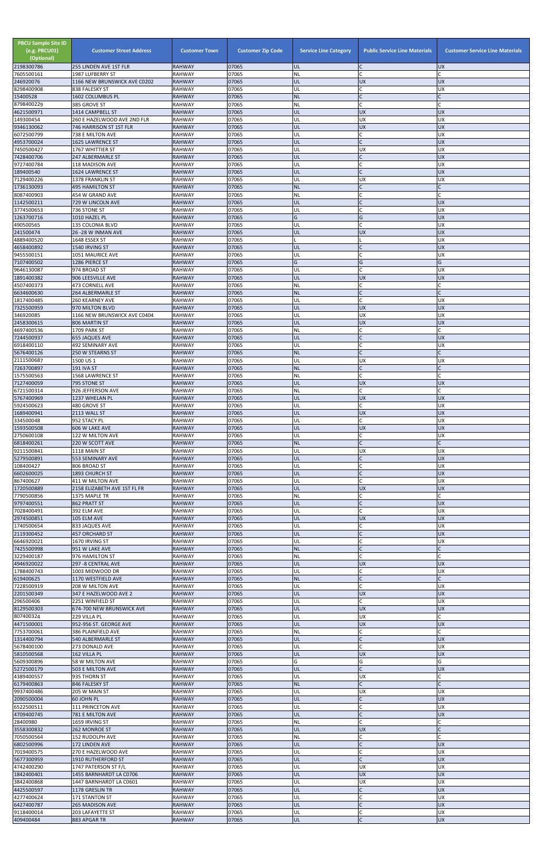| <b>PBCU Sample Site ID</b><br>(e.g. PBCU01)<br>(Optional)<br>2198300786 | <b>Customer Street Address</b><br>255 LINDEN AVE 1ST FLR | <b>Customer Town</b><br><b>RAHWAY</b> | <b>Customer Zip Code</b><br>07065 | <b>Service Line Category</b><br>UL | <b>Public Service Line Materials</b><br>IC. | <b>Customer Service Line Materials</b><br><b>UX</b> |
|-------------------------------------------------------------------------|----------------------------------------------------------|---------------------------------------|-----------------------------------|------------------------------------|---------------------------------------------|-----------------------------------------------------|
| 7605500161                                                              | 1987 LUFBERRY ST                                         | <b>RAHWAY</b>                         | 07065                             | NL                                 | lc.                                         |                                                     |
| 246920076                                                               | 1166 NEW BRUNSWICK AVE C0202<br>838 FALESKY ST           | <b>RAHWAY</b><br><b>RAHWAY</b>        | 07065<br>07065                    | UL<br>UL                           | <b>UX</b><br>lC.                            | <b>UX</b><br>UX                                     |
| 8298400908<br>15400528                                                  | 1602 COLUMBUS PL                                         | <b>RAHWAY</b>                         | 07065                             | <b>NL</b>                          | IC                                          |                                                     |
| 8798400229<br>4621500971                                                | 385 GROVE ST<br>1414 CAMPBELL ST                         | <b>RAHWAY</b><br><b>RAHWAY</b>        | 07065<br>07065                    | <b>NL</b><br>UL                    | lC.<br><b>UX</b>                            | <b>UX</b>                                           |
| 149300454                                                               | 260 E HAZELWOOD AVE 2ND FLR                              | <b>RAHWAY</b>                         | 07065                             | UL                                 | <b>UX</b>                                   | <b>UX</b>                                           |
| 9346130062                                                              | 746 HARRISON ST 1ST FLR                                  | <b>RAHWAY</b>                         | 07065                             | UL                                 | UX                                          | <b>UX</b>                                           |
| 6072500799<br>4953700024                                                | 738 E MILTON AVE<br><b>1625 LAWRENCE ST</b>              | <b>RAHWAY</b><br><b>RAHWAY</b>        | 07065<br>07065                    | UL<br>UL                           | lC.<br>lc.                                  | UX<br><b>UX</b>                                     |
| 7450500427                                                              | 1767 WHITTIER ST                                         | <b>RAHWAY</b>                         | 07065                             | UL                                 | <b>UX</b>                                   | <b>UX</b>                                           |
| 7428400706<br>9727400784                                                | 247 ALBERMARLE ST<br>118 MADISON AVE                     | <b>RAHWAY</b><br><b>RAHWAY</b>        | 07065<br>07065                    | UL<br>UL                           | lc.<br>lC.                                  | <b>UX</b><br>UX                                     |
| 189400540                                                               | 1624 LAWRENCE ST                                         | <b>RAHWAY</b>                         | 07065                             | UL                                 | lC.                                         | <b>UX</b>                                           |
| 7129400226                                                              | 1378 FRANKLIN ST                                         | <b>RAHWAY</b>                         | 07065<br>07065                    | UL                                 | UX<br>lc.                                   | <b>UX</b>                                           |
| 1736130093<br>8087400903                                                | <b>495 HAMILTON ST</b><br>454 W GRAND AVE                | <b>RAHWAY</b><br><b>RAHWAY</b>        | 07065                             | <b>NL</b><br>NL                    | lC.                                         | C                                                   |
| 1142500211                                                              | 729 W LINCOLN AVE                                        | <b>RAHWAY</b>                         | 07065                             | UL                                 | $\mathsf{C}$                                | <b>UX</b>                                           |
| 3774500653<br>1263700716                                                | 736 STONE ST<br>1010 HAZEL PL                            | <b>RAHWAY</b><br><b>RAHWAY</b>        | 07065<br>07065                    | UL<br>G                            | C<br>G                                      | <b>UX</b><br><b>UX</b>                              |
| 490500565                                                               | 135 COLONIA BLVD                                         | <b>RAHWAY</b>                         | 07065                             | UL                                 | lc.                                         | UX                                                  |
| 241500474<br>4889400520                                                 | 26 - 28 W INMAN AVE<br>1648 ESSEX ST                     | <b>RAHWAY</b><br><b>RAHWAY</b>        | 07065<br>07065                    | UL                                 | <b>UX</b>                                   | <b>UX</b><br><b>UX</b>                              |
| 4658400892                                                              | 1540 IRVING ST                                           | <b>RAHWAY</b>                         | 07065                             | UL                                 | $\overline{C}$                              | <b>UX</b>                                           |
| 9455500151                                                              | 1051 MAURICE AVE                                         | <b>RAHWAY</b>                         | 07065                             | UL                                 | lC.                                         | <b>UX</b>                                           |
| 7107400502<br>9646130087                                                | 1286 PIERCE ST<br>974 BROAD ST                           | <b>RAHWAY</b><br><b>RAHWAY</b>        | 07065<br>07065                    | G<br>UL                            | G<br>IC                                     | G<br>UX                                             |
| 1891400382                                                              | 906 LEESVILLE AVE                                        | <b>RAHWAY</b>                         | 07065                             | UL                                 | <b>UX</b>                                   | <b>UX</b>                                           |
| 4507400373<br>6634600630                                                | <b>473 CORNELL AVE</b><br>264 ALBERMARLE ST              | <b>RAHWAY</b><br><b>RAHWAY</b>        | 07065<br>07065                    | NL<br><b>NL</b>                    | lC.<br>$\overline{C}$                       | C                                                   |
| 1817400485                                                              | <b>260 KEARNEY AVE</b>                                   | <b>RAHWAY</b>                         | 07065                             | UL                                 | <b>C</b>                                    | <b>UX</b>                                           |
| 7325500959                                                              | 970 MILTON BLVD                                          | <b>RAHWAY</b>                         | 07065                             | UL                                 | <b>UX</b>                                   | <b>UX</b>                                           |
| 346920085<br>2458300615                                                 | 1166 NEW BRUNSWICK AVE C0404<br>806 MARTIN ST            | <b>RAHWAY</b><br><b>RAHWAY</b>        | 07065<br>07065                    | UL<br>UL                           | <b>UX</b><br><b>UX</b>                      | <b>UX</b><br><b>UX</b>                              |
| 4697400536                                                              | 1709 PARK ST                                             | <b>RAHWAY</b>                         | 07065                             | NL                                 | lC.                                         |                                                     |
| 7244500937<br>6918400110                                                | <b>655 JAQUES AVE</b><br>492 SEMINARY AVE                | <b>RAHWAY</b><br><b>RAHWAY</b>        | 07065<br>07065                    | UL<br>UL                           | $\mathsf{C}$<br>$\mathsf{C}$                | <b>UX</b><br>UX                                     |
| 5676400126                                                              | 250 W STEARNS ST                                         | <b>RAHWAY</b>                         | 07065                             | <b>NL</b>                          |                                             |                                                     |
| 2111500687                                                              | 1500 US 1                                                | <b>RAHWAY</b>                         | 07065                             | UL                                 | <b>UX</b>                                   | UX                                                  |
| 7263700897<br>1575500563                                                | <b>191 IVA ST</b><br>1568 LAWRENCE ST                    | <b>RAHWAY</b><br><b>RAHWAY</b>        | 07065<br>07065                    | <b>NL</b><br><b>NL</b>             | $\mathsf{C}$<br>lC.                         |                                                     |
| 7127400059                                                              | 795 STONE ST                                             | <b>RAHWAY</b>                         | 07065                             | UL                                 | <b>UX</b>                                   | <b>UX</b>                                           |
| 6721500314<br>5767400969                                                | 926 JEFFERSON AVE<br>1237 WHELAN PL                      | <b>RAHWAY</b><br><b>RAHWAY</b>        | 07065<br>07065                    | <b>NL</b><br>UL                    | lC.<br><b>UX</b>                            | <b>UX</b>                                           |
| 5924500623                                                              | 480 GROVE ST                                             | <b>RAHWAY</b>                         | 07065                             | UL                                 | lC.                                         | UX                                                  |
| 1689400941                                                              | 2113 WALL ST                                             | <b>RAHWAY</b>                         | 07065                             | UL                                 | <b>UX</b>                                   | <b>UX</b>                                           |
| 334500048<br>1593500508                                                 | 952 STACY PL<br>606 W LAKE AVE                           | <b>RAHWAY</b><br><b>RAHWAY</b>        | 07065<br>07065                    | UL<br>UL                           | lC.<br><b>UX</b>                            | <b>UX</b><br><b>UX</b>                              |
| 2750600108                                                              | 122 W MILTON AVE                                         | <b>RAHWAY</b>                         | 07065                             | UL                                 | C                                           | <b>UX</b>                                           |
| 6818400261<br>9211500841                                                | 220 W SCOTT AVE<br>1118 MAIN ST                          | <b>RAHWAY</b><br><b>RAHWAY</b>        | 07065<br>07065                    | <b>NL</b><br>UL                    | lC.<br><b>UX</b>                            | UX                                                  |
| 5279500891                                                              | 553 SEMINARY AVE                                         | <b>RAHWAY</b>                         | 07065                             | UL                                 | lC.                                         | <b>UX</b>                                           |
| 108400427<br>6602600025                                                 | 806 BROAD ST<br><b>1893 CHURCH ST</b>                    | <b>RAHWAY</b><br><b>RAHWAY</b>        | 07065<br>07065                    | UL<br>UL                           | <b>C</b><br>$\overline{C}$                  | UX<br><b>UX</b>                                     |
| 867400627                                                               | 411 W MILTON AVE                                         | <b>RAHWAY</b>                         | 07065                             | UL                                 | C                                           | <b>UX</b>                                           |
| 1720500889                                                              | 2158 ELIZABETH AVE 1ST FL FR                             | <b>RAHWAY</b>                         | 07065                             | UL                                 | <b>UX</b>                                   | <b>UX</b>                                           |
| 7790500856<br>9797400551                                                | 1375 MAPLE TR<br>862 PRATT ST                            | <b>RAHWAY</b><br><b>RAHWAY</b>        | 07065<br>07065                    | <b>NL</b><br>UL                    | C.<br>$\mathsf{C}$                          | <b>UX</b>                                           |
| 7028400491                                                              | 392 ELM AVE                                              | <b>RAHWAY</b>                         | 07065                             | UL                                 | lC.                                         | <b>UX</b>                                           |
| 2974500851<br>1740500654                                                | 105 ELM AVE<br>833 JAQUES AVE                            | <b>RAHWAY</b><br><b>RAHWAY</b>        | 07065<br>07065                    | UL<br>UL                           | <b>UX</b><br>lC.                            | <b>UX</b><br>UX                                     |
| 2119300452                                                              | <b>457 ORCHARD ST</b>                                    | <b>RAHWAY</b>                         | 07065                             | UL                                 | $\mathsf{C}$                                | <b>UX</b>                                           |
| 6646920021<br>7425500998                                                | 1670 IRVING ST<br>951 W LAKE AVE                         | <b>RAHWAY</b><br><b>RAHWAY</b>        | 07065<br>07065                    | UL<br><b>NL</b>                    | $\mathsf{C}$<br>IC                          | UX                                                  |
| 3229400187                                                              | 976 HAMILTON ST                                          | <b>RAHWAY</b>                         | 07065                             | NL                                 | lc.                                         |                                                     |
| 4946920022                                                              | 297 - 8 CENTRAL AVE                                      | <b>RAHWAY</b>                         | 07065                             | UL                                 | <b>UX</b>                                   | <b>UX</b>                                           |
| 1788400743<br>619400625                                                 | 1003 MIDWOOD DR<br>1170 WESTFIELD AVE                    | <b>RAHWAY</b><br><b>RAHWAY</b>        | 07065<br>07065                    | UL<br><b>NL</b>                    | C<br>$\overline{C}$                         | <b>UX</b>                                           |
| 7228500919                                                              | 208 W MILTON AVE                                         | <b>RAHWAY</b>                         | 07065                             | UL                                 | lC.                                         | <b>UX</b>                                           |
| 2201500349<br>296500406                                                 | 347 E HAZELWOOD AVE 2<br>2251 WINFIELD ST                | <b>RAHWAY</b><br><b>RAHWAY</b>        | 07065<br>07065                    | UL<br>UL                           | <b>UX</b><br>lC.                            | <b>UX</b><br>UX                                     |
| 8129500303                                                              | 674-700 NEW BRUNSWICK AVE                                | <b>RAHWAY</b>                         | 07065                             | UL                                 | <b>UX</b>                                   | <b>UX</b>                                           |
| 807400324                                                               | 229 VILLA PL                                             | <b>RAHWAY</b>                         | 07065<br>07065                    | UL                                 | <b>UX</b>                                   |                                                     |
| 4471500001<br>7753700061                                                | 952-956 ST. GEORGE AVE<br>386 PLAINFIELD AVE             | <b>RAHWAY</b><br><b>RAHWAY</b>        | 07065                             | UL<br>NL                           | <b>UX</b><br>C                              | <b>UX</b><br>C                                      |
| 1314400794                                                              | 540 ALBERMARLE ST                                        | <b>RAHWAY</b>                         | 07065                             | UL                                 | $\overline{C}$                              | <b>UX</b>                                           |
| 5678400100<br>5810500568                                                | 273 DONALD AVE<br>162 VILLA PL                           | <b>RAHWAY</b><br><b>RAHWAY</b>        | 07065<br>07065                    | UL<br>UL                           | C<br><b>UX</b>                              | <b>UX</b><br><b>UX</b>                              |
| 5609300896                                                              | 58 W MILTON AVE                                          | <b>RAHWAY</b>                         | 07065                             | G                                  | G                                           | G                                                   |
| 5272500179<br>4389400557                                                | 503 E MILTON AVE<br>935 THORN ST                         | <b>RAHWAY</b><br><b>RAHWAY</b>        | 07065<br>07065                    | IUL.<br>UL                         | <b>UX</b>                                   | <b>UX</b>                                           |
| 6179400863                                                              | 846 FALESKY ST                                           | <b>RAHWAY</b>                         | 07065                             | <b>NL</b>                          | $\mathsf{C}$                                |                                                     |
| 9937400486                                                              | 205 W MAIN ST                                            | <b>RAHWAY</b>                         | 07065                             | UL                                 | <b>UX</b>                                   | <b>UX</b>                                           |
| 2090500004<br>6522500511                                                | 60 JOHN PL<br>111 PRINCETON AVE                          | <b>RAHWAY</b><br><b>RAHWAY</b>        | 07065<br>07065                    | UL<br>UL                           | <b>C</b><br>C                               | <b>UX</b><br><b>UX</b>                              |
| 4709400745                                                              | 781 E MILTON AVE                                         | <b>RAHWAY</b>                         | 07065                             | UL                                 | $\overline{C}$                              | <b>UX</b>                                           |
| 28400980<br>3558300832                                                  | 1659 IRVING ST<br>262 MONROE ST                          | <b>RAHWAY</b><br><b>RAHWAY</b>        | 07065<br>07065                    | <b>NL</b><br>UL                    | lc.<br><b>UX</b>                            |                                                     |
| 7050500564                                                              | 152 RUDOLPH AVE                                          | <b>RAHWAY</b>                         | 07065                             | <b>NL</b>                          | lC.                                         |                                                     |
| 6802500996                                                              | 172 LINDEN AVE                                           | <b>RAHWAY</b>                         | 07065                             | UL                                 | $\mathsf C$                                 | <b>UX</b>                                           |
| 7019400575<br>5677300959                                                | 270 E HAZELWOOD AVE<br>1910 RUTHERFORD ST                | <b>RAHWAY</b><br><b>RAHWAY</b>        | 07065<br>07065                    | UL<br>UL                           | C<br>$\mathsf{C}$                           | <b>UX</b><br><b>UX</b>                              |
| 4742400290                                                              | 1747 PATERSON ST F/L                                     | <b>RAHWAY</b>                         | 07065                             | UL                                 | <b>UX</b>                                   | <b>UX</b>                                           |
| 1842400401<br>3842400868                                                | 1455 BARNHARDT LA C0706<br>1447 BARNHARDT LA C0601       | <b>RAHWAY</b><br><b>RAHWAY</b>        | 07065<br>07065                    | UL<br>UL                           | <b>UX</b><br><b>UX</b>                      | <b>UX</b><br>UX                                     |
| 4425500597                                                              | 1178 GRESLIN TR                                          | <b>RAHWAY</b>                         | 07065                             | UL                                 | $\mathsf{C}$                                | <b>UX</b>                                           |
| 4277400624                                                              | 171 STANTON ST                                           | <b>RAHWAY</b>                         | 07065                             | UL                                 | lC.                                         | <b>UX</b>                                           |
| 6427400787<br>9118400014                                                | <b>265 MADISON AVE</b><br>203 LAFAYETTE ST               | <b>RAHWAY</b><br><b>RAHWAY</b>        | 07065<br>07065                    | UL<br>UL                           | $\overline{C}$<br>C                         | <b>UX</b><br>ΧŊ                                     |
| 409400484                                                               | 883 APGAR TR                                             | <b>RAHWAY</b>                         | 07065                             | UL                                 | $\mathsf{C}$                                | UX                                                  |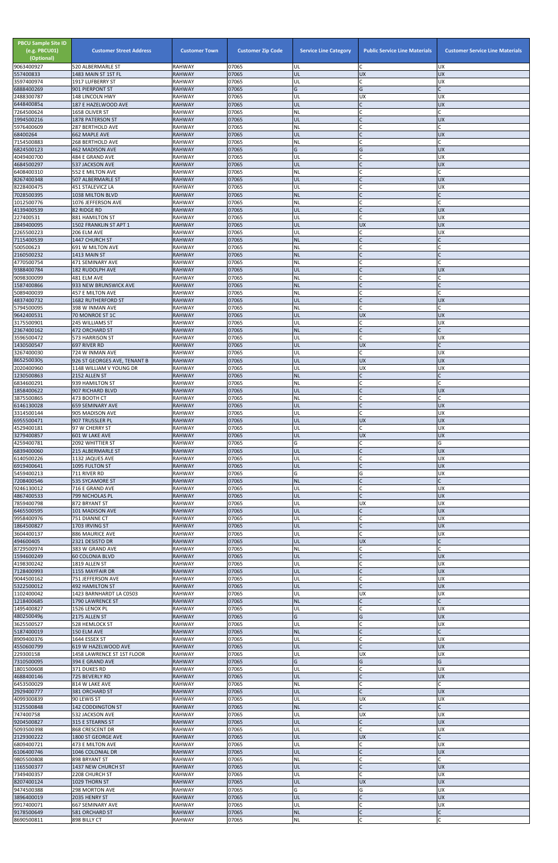| <b>UX</b><br>520 ALBERMARLE ST<br>UL<br><b>UX</b><br>557400833<br><b>RAHWAY</b><br>07065<br>UL<br><b>UX</b><br>1483 MAIN ST 1ST FL<br>$\mathsf{C}$<br>07065<br>UL<br><b>UX</b><br>1917 LUFBERRY ST<br>RAHWAY<br>G<br>6888400269<br>07065<br>Ġ<br><b>RAHWAY</b><br>901 PIERPONT ST<br>07065<br>148 LINCOLN HWY<br><b>RAHWAY</b><br>UL<br><b>UX</b><br><b>UX</b><br>UL<br>$\mathsf{C}$<br><b>RAHWAY</b><br>07065<br><b>UX</b><br>187 E HAZELWOOD AVE<br>$\mathsf{C}$<br>07065<br>NL<br>7264500624<br>1658 OLIVER ST<br>RAHWAY<br>$\mathsf{C}$<br>07065<br>ŰĹ<br><b>UX</b><br>1878 PATERSON ST<br><b>RAHWAY</b><br>07065<br><b>RAHWAY</b><br><b>287 BERTHOLD AVE</b><br>ΝL<br>68400264<br><b>662 MAPLE AVE</b><br>07065<br>UL<br><b>UX</b><br><b>RAHWAY</b><br>$\mathsf{C}$<br>268 BERTHOLD AVE<br>RAHWAY<br>07065<br>NL<br>Ġ<br>G<br>6824500123<br>07065<br><b>UX</b><br>462 MADISON AVE<br><b>RAHWAY</b><br>$\mathsf{C}$<br>07065<br><b>UX</b><br>484 E GRAND AVE<br>RAHWAY<br>UL<br>07065<br><b>537 JACKSON AVE</b><br><b>RAHWAY</b><br>UL<br><b>UX</b><br>6408400310<br>07065<br>552 E MILTON AVE<br>RAHWAY<br>NL<br>$\mathcal{C}$<br>07065<br>UL<br><b>UX</b><br>507 ALBERMARLE ST<br><b>RAHWAY</b><br>07065<br>$\mathsf{C}$<br>8228400475<br>UL<br><b>UX</b><br>451 STALEVICZ LA<br><b>RAHWAY</b><br>07065<br>7028500395<br><b>RAHWAY</b><br><b>NL</b><br>1038 MILTON BLVD<br>07065<br><b>RAHWAY</b><br>NL<br>1076 JEFFERSON AVE<br>$\mathsf{C}$<br>4139400539<br>82 RIDGE RD<br><b>RAHWAY</b><br>07065<br>UL<br><b>UX</b><br>$\mathsf{C}$<br>07065<br>UL<br><b>UX</b><br>881 HAMILTON ST<br><b>RAHWAY</b><br>07065<br><b>UX</b><br>1502 FRANKLIN ST APT 1<br><b>RAHWAY</b><br>UL<br><b>UX</b><br>2265500223<br>$\mathsf{C}$<br>206 ELM AVE<br>07065<br><b>RAHWAY</b><br>UL<br><b>UX</b><br><b>NL</b><br>$\mathsf{C}$<br>1447 CHURCH ST<br><b>RAHWAY</b><br>07065<br>$\mathsf{C}$<br>07065<br>500500623<br>RAHWAY<br>NL<br>691 W MILTON AVE<br>07065<br>NL<br>$\mathsf{C}$<br>2160500232<br>1413 MAIN ST<br><b>RAHWAY</b><br>07065<br>RAHWAY<br>NL<br>471 SEMINARY AVE<br>9388400784<br>07065<br>182 RUDOLPH AVE<br><b>RAHWAY</b><br>UL<br><b>UX</b><br>07065<br>$\mathsf{C}$<br>481 ELM AVE<br>RAHWAY<br>NL<br>07065<br>$\mathsf{C}$<br>933 NEW BRUNSWICK AVE<br><b>NL</b><br><b>RAHWAY</b><br>C<br>5089400039<br>07065<br>NL<br>457 E MILTON AVE<br><b>RAHWAY</b><br>07065<br>$\mathsf{C}$<br>1682 RUTHERFORD ST<br><b>RAHWAY</b><br>UL<br><b>UX</b><br>5794500095<br>07065<br>RAHWAY<br>NL<br>398 W INMAN AVE<br><b>RAHWAY</b><br>07065<br><b>UX</b><br><b>UX</b><br>70 MONROE ST 1C<br>UL<br>$\mathsf{C}$<br>07065<br>UL<br><b>UX</b><br>245 WILLIAMS ST<br>RAHWAY<br>$\mathsf{C}$<br>2367400162<br>07065<br><b>NL</b><br><b>472 ORCHARD ST</b><br><b>RAHWAY</b><br>$\mathsf{C}$<br>573 HARRISON ST<br>RAHWAY<br>07065<br>UL<br><b>UX</b><br>07065<br>UL<br><b>UX</b><br>697 RIVER RD<br><b>RAHWAY</b><br>3267400030<br>724 W INMAN AVE<br>RAHWAY<br>07065<br>UL<br>ΙUΧ<br>07065<br>UL<br><b>UX</b><br><b>UX</b><br>926 ST GEORGES AVE, TENANT B<br><b>RAHWAY</b><br>2020400960<br>RAHWAY<br>07065<br><b>UX</b><br><b>UX</b><br>1148 WILLIAM V YOUNG DR<br>UL<br>07065<br><b>NL</b><br>2152 ALLEN ST<br><b>RAHWAY</b><br>07065<br>939 HAMILTON ST<br>RAHWAY<br>ΝL<br>$\mathsf{C}$<br>07065<br>UL<br><b>UX</b><br>1858400622<br>907 RICHARD BLVD<br><b>RAHWAY</b><br>$\mathsf{C}$<br>07065<br>RAHWAY<br>NL<br>473 BOOTH CT<br>$\mathsf{C}$<br>07065<br><b>659 SEMINARY AVE</b><br><b>RAHWAY</b><br>UL<br><b>UX</b><br>$\mathsf{C}$<br>3314500144<br>905 MADISON AVE<br>RAHWAY<br>07065<br>UL<br><b>UX</b><br>07065<br>UL<br><b>UX</b><br><b>UX</b><br><b>RAHWAY</b><br>907 TRUSSLER PL<br>C<br>07065<br>UL<br><b>UX</b><br>4529400181<br>97 W CHERRY ST<br>RAHWAY<br><b>UX</b><br>07065<br><b>UX</b><br>601 W LAKE AVE<br><b>RAHWAY</b><br>UL<br>07065<br>G<br>G<br>2092 WHITTIER ST<br>RAHWAY<br>07065<br><b>UX</b><br>6839400060<br>215 ALBERMARLE ST<br><b>RAHWAY</b><br>UL<br>$\mathsf{C}$<br>07065<br>UL<br><b>UX</b><br>1132 JAQUES AVE<br>RAHWAY<br>$\mathsf{C}$<br>07065<br>UL<br><b>UX</b><br>6919400641<br>1095 FULTON ST<br><b>RAHWAY</b><br>07065<br>G<br>711 RIVER RD<br>RAHWAY<br>G<br><b>UX</b><br>07065<br><b>NL</b><br>535 SYCAMORE ST<br><b>RAHWAY</b><br>$\mathsf{C}$<br>07065<br><b>UX</b><br>9246130012<br>716 E GRAND AVE<br>RAHWAY<br>UL<br>$\mathsf{C}$<br>07065<br>UL<br><b>UX</b><br>799 NICHOLAS PL<br><b>RAHWAY</b><br>07065<br><b>UX</b><br>872 BRYANT ST<br>RAHWAY<br>UL<br><b>UX</b><br>6465500595<br>07065<br>UL<br><b>UX</b><br>101 MADISON AVE<br><b>RAHWAY</b><br>$\mathsf{C}$<br>RAHWAY<br>07065<br>UL<br><b>UX</b><br>751 DIANNE CT<br>$\mathsf{C}$<br>07065<br>UL<br><b>UX</b><br>1864500827<br>1703 IRVING ST<br><b>RAHWAY</b><br>$\mathsf C$<br>07065<br><b>UX</b><br>886 MAURICE AVE<br>RAHWAY<br>UL<br><b>RAHWAY</b><br>07065<br>UL<br><b>UX</b><br>2321 DESISTO DR<br>$\mathsf{C}$<br>8729500974<br>RAHWAY<br>07065<br>NL<br>383 W GRAND AVE<br>$\mathsf{C}$<br>07065<br><b>UX</b><br><b>RAHWAY</b><br>UL<br><b>60 COLONIA BLVD</b><br>$\mathsf{C}$<br>07065<br>UL<br><b>UX</b><br>1819 ALLEN ST<br>RAHWAY<br><b>UX</b><br>07065<br>1155 MAYFAIR DR<br><b>RAHWAY</b><br>UL<br><b>RAHWAY</b><br>07065<br><b>UX</b><br>751 JEFFERSON AVE<br>UL<br>$\mathsf{C}$<br><b>UX</b><br>5322500012<br><b>RAHWAY</b><br>07065<br>UL<br><b>492 HAMILTON ST</b><br>07065<br>UL<br><b>UX</b><br><b>UX</b><br>1423 BARNHARDT LA C0503<br>RAHWAY<br>07065<br>$\mathsf{C}$<br>1790 LAWRENCE ST<br><b>RAHWAY</b><br><b>NL</b><br>07065<br>1526 LENOX PL<br>RAHWAY<br>UL<br><b>UX</b><br>G<br>G<br>07065<br><b>UX</b><br>2175 ALLEN ST<br><b>RAHWAY</b><br>$\mathsf{C}$<br>07065<br><b>UX</b><br>3625500527<br>528 HEMLOCK ST<br><b>RAHWAY</b><br>UL<br>07065<br>$\mathsf{C}$<br><b>NL</b><br>150 ELM AVE<br><b>RAHWAY</b><br>$\mathsf{C}$<br><b>RAHWAY</b><br>07065<br><b>UX</b><br>1644 ESSEX ST<br>UL<br>4550600799<br>619 W HAZELWOOD AVE<br><b>RAHWAY</b><br>07065<br>UL<br><b>UX</b><br>1458 LAWRENCE ST 1ST FLOOR<br>RAHWAY<br>07065<br>UL<br><b>UX</b><br>UX<br>G<br>G<br>7310500095<br>07065<br>G<br>394 E GRAND AVE<br><b>RAHWAY</b><br>1801500608<br>07065<br>371 DUKES RD<br><b>RAHWAY</b><br>UL<br>UΧ<br><b>UX</b><br>07065<br>UL<br>725 BEVERLY RD<br><b>RAHWAY</b><br>6453500029<br>814 W LAKE AVE<br><b>RAHWAY</b><br>07065<br>NL<br>$\mathsf{C}$<br>07065<br>UL<br><b>UX</b><br>381 ORCHARD ST<br><b>RAHWAY</b><br>07065<br>UL<br><b>UX</b><br><b>UX</b><br>90 LEWIS ST<br>RAHWAY<br>$\overline{C}$<br>NL<br>3125500848<br>142 CODDINGTON ST<br><b>RAHWAY</b><br>07065<br>532 JACKSON AVE<br><b>RAHWAY</b><br>07065<br>UL<br><b>UX</b><br><b>UX</b><br>$\mathsf{C}$<br><b>UX</b><br>UL<br>9204500827<br>315 E STEARNS ST<br><b>RAHWAY</b><br>07065<br>$\mathsf{C}$<br>RAHWAY<br>07065<br>UL<br><b>UX</b><br>868 CRESCENT DR<br>07065<br>UL<br><b>RAHWAY</b><br><b>UX</b><br>1800 ST GEORGE AVE<br>$\mathsf{C}$<br>6809400721<br><b>RAHWAY</b><br>07065<br>UL<br><b>UX</b><br>473 E MILTON AVE<br>UL<br><b>UX</b><br>07065<br>1046 COLONIAL DR<br><b>RAHWAY</b><br>$\mathsf{C}$<br><b>RAHWAY</b><br>07065<br><b>NL</b><br>898 BRYANT ST<br>$\mathsf{C}$<br>UL<br>07065<br><b>UX</b><br>1437 NEW CHURCH ST<br><b>RAHWAY</b><br>$\mathsf C$<br><b>UX</b><br>2208 CHURCH ST<br><b>RAHWAY</b><br>07065<br>UL<br>8207400124<br>07065<br>UL<br><b>UX</b><br><b>UX</b><br>1029 THORN ST<br><b>RAHWAY</b><br>G<br><b>UX</b><br>298 MORTON AVE<br>RAHWAY<br>07065<br>G<br>$\mathsf{C}$<br>07065<br>UL<br><b>UX</b><br>2035 HENRY ST<br><b>RAHWAY</b><br>$\mathsf{C}$<br>RAHWAY<br>07065<br>UL<br><b>UX</b><br>9917400071<br>667 SEMINARY AVE<br><b>NL</b><br>07065<br>581 ORCHARD ST<br><b>RAHWAY</b><br>$\mathsf{C}$<br>$\sf NL$<br>Ċ<br>898 BILLY CT<br>07065<br>RAHWAY | <b>PBCU Sample Site ID</b><br>(e.g. PBCU01)<br>(Optional) | <b>Customer Street Address</b> | <b>Customer Town</b> | <b>Customer Zip Code</b> | <b>Service Line Category</b> | <b>Public Service Line Materials</b> | <b>Customer Service Line Materials</b> |
|---------------------------------------------------------------------------------------------------------------------------------------------------------------------------------------------------------------------------------------------------------------------------------------------------------------------------------------------------------------------------------------------------------------------------------------------------------------------------------------------------------------------------------------------------------------------------------------------------------------------------------------------------------------------------------------------------------------------------------------------------------------------------------------------------------------------------------------------------------------------------------------------------------------------------------------------------------------------------------------------------------------------------------------------------------------------------------------------------------------------------------------------------------------------------------------------------------------------------------------------------------------------------------------------------------------------------------------------------------------------------------------------------------------------------------------------------------------------------------------------------------------------------------------------------------------------------------------------------------------------------------------------------------------------------------------------------------------------------------------------------------------------------------------------------------------------------------------------------------------------------------------------------------------------------------------------------------------------------------------------------------------------------------------------------------------------------------------------------------------------------------------------------------------------------------------------------------------------------------------------------------------------------------------------------------------------------------------------------------------------------------------------------------------------------------------------------------------------------------------------------------------------------------------------------------------------------------------------------------------------------------------------------------------------------------------------------------------------------------------------------------------------------------------------------------------------------------------------------------------------------------------------------------------------------------------------------------------------------------------------------------------------------------------------------------------------------------------------------------------------------------------------------------------------------------------------------------------------------------------------------------------------------------------------------------------------------------------------------------------------------------------------------------------------------------------------------------------------------------------------------------------------------------------------------------------------------------------------------------------------------------------------------------------------------------------------------------------------------------------------------------------------------------------------------------------------------------------------------------------------------------------------------------------------------------------------------------------------------------------------------------------------------------------------------------------------------------------------------------------------------------------------------------------------------------------------------------------------------------------------------------------------------------------------------------------------------------------------------------------------------------------------------------------------------------------------------------------------------------------------------------------------------------------------------------------------------------------------------------------------------------------------------------------------------------------------------------------------------------------------------------------------------------------------------------------------------------------------------------------------------------------------------------------------------------------------------------------------------------------------------------------------------------------------------------------------------------------------------------------------------------------------------------------------------------------------------------------------------------------------------------------------------------------------------------------------------------------------------------------------------------------------------------------------------------------------------------------------------------------------------------------------------------------------------------------------------------------------------------------------------------------------------------------------------------------------------------------------------------------------------------------------------------------------------------------------------------------------------------------------------------------------------------------------------------------------------------------------------------------------------------------------------------------------------------------------------------------------------------------------------------------------------------------------------------------------------------------------------------------------------------------------------------------------------------------------------------------------------------------------------------------------------------------------------------------------------------------------------------------------------------------------------------------------------------------------------------------------------------------------------------------------------------------------------------------------------------------------------------------------------------------------------------------------------------------------------------------------------------------------------------------------------------------------------------------------------------------------------------------------------------------------------------------------------------------------------------------------------------------------------------------------------------------------------------------------------------------------------------------------------------------------------------------------------------------------------------------------------------------------------------------------------------------------------------------------------------------------------------------------------------------------------------------------------------------------------------------------------------------------------------------------------------------------------------------------------------------------------------------------------------------------------------------------------------------|-----------------------------------------------------------|--------------------------------|----------------------|--------------------------|------------------------------|--------------------------------------|----------------------------------------|
|                                                                                                                                                                                                                                                                                                                                                                                                                                                                                                                                                                                                                                                                                                                                                                                                                                                                                                                                                                                                                                                                                                                                                                                                                                                                                                                                                                                                                                                                                                                                                                                                                                                                                                                                                                                                                                                                                                                                                                                                                                                                                                                                                                                                                                                                                                                                                                                                                                                                                                                                                                                                                                                                                                                                                                                                                                                                                                                                                                                                                                                                                                                                                                                                                                                                                                                                                                                                                                                                                                                                                                                                                                                                                                                                                                                                                                                                                                                                                                                                                                                                                                                                                                                                                                                                                                                                                                                                                                                                                                                                                                                                                                                                                                                                                                                                                                                                                                                                                                                                                                                                                                                                                                                                                                                                                                                                                                                                                                                                                                                                                                                                                                                                                                                                                                                                                                                                                                                                                                                                                                                                                                                                                                                                                                                                                                                                                                                                                                                                                                                                                                                                                                                                                                                                                                                                                                                                                                                                                                                                                                                                                                                                                                                                                                                                                                                                                                                                                                                                                                                                                                                                                                                                                                                                                                                                               | 9063400927                                                |                                | <b>RAHWAY</b>        | 07065                    |                              |                                      |                                        |
|                                                                                                                                                                                                                                                                                                                                                                                                                                                                                                                                                                                                                                                                                                                                                                                                                                                                                                                                                                                                                                                                                                                                                                                                                                                                                                                                                                                                                                                                                                                                                                                                                                                                                                                                                                                                                                                                                                                                                                                                                                                                                                                                                                                                                                                                                                                                                                                                                                                                                                                                                                                                                                                                                                                                                                                                                                                                                                                                                                                                                                                                                                                                                                                                                                                                                                                                                                                                                                                                                                                                                                                                                                                                                                                                                                                                                                                                                                                                                                                                                                                                                                                                                                                                                                                                                                                                                                                                                                                                                                                                                                                                                                                                                                                                                                                                                                                                                                                                                                                                                                                                                                                                                                                                                                                                                                                                                                                                                                                                                                                                                                                                                                                                                                                                                                                                                                                                                                                                                                                                                                                                                                                                                                                                                                                                                                                                                                                                                                                                                                                                                                                                                                                                                                                                                                                                                                                                                                                                                                                                                                                                                                                                                                                                                                                                                                                                                                                                                                                                                                                                                                                                                                                                                                                                                                                                               | 3597400974                                                |                                |                      |                          |                              |                                      |                                        |
|                                                                                                                                                                                                                                                                                                                                                                                                                                                                                                                                                                                                                                                                                                                                                                                                                                                                                                                                                                                                                                                                                                                                                                                                                                                                                                                                                                                                                                                                                                                                                                                                                                                                                                                                                                                                                                                                                                                                                                                                                                                                                                                                                                                                                                                                                                                                                                                                                                                                                                                                                                                                                                                                                                                                                                                                                                                                                                                                                                                                                                                                                                                                                                                                                                                                                                                                                                                                                                                                                                                                                                                                                                                                                                                                                                                                                                                                                                                                                                                                                                                                                                                                                                                                                                                                                                                                                                                                                                                                                                                                                                                                                                                                                                                                                                                                                                                                                                                                                                                                                                                                                                                                                                                                                                                                                                                                                                                                                                                                                                                                                                                                                                                                                                                                                                                                                                                                                                                                                                                                                                                                                                                                                                                                                                                                                                                                                                                                                                                                                                                                                                                                                                                                                                                                                                                                                                                                                                                                                                                                                                                                                                                                                                                                                                                                                                                                                                                                                                                                                                                                                                                                                                                                                                                                                                                                               | 2488300787                                                |                                |                      |                          |                              |                                      |                                        |
|                                                                                                                                                                                                                                                                                                                                                                                                                                                                                                                                                                                                                                                                                                                                                                                                                                                                                                                                                                                                                                                                                                                                                                                                                                                                                                                                                                                                                                                                                                                                                                                                                                                                                                                                                                                                                                                                                                                                                                                                                                                                                                                                                                                                                                                                                                                                                                                                                                                                                                                                                                                                                                                                                                                                                                                                                                                                                                                                                                                                                                                                                                                                                                                                                                                                                                                                                                                                                                                                                                                                                                                                                                                                                                                                                                                                                                                                                                                                                                                                                                                                                                                                                                                                                                                                                                                                                                                                                                                                                                                                                                                                                                                                                                                                                                                                                                                                                                                                                                                                                                                                                                                                                                                                                                                                                                                                                                                                                                                                                                                                                                                                                                                                                                                                                                                                                                                                                                                                                                                                                                                                                                                                                                                                                                                                                                                                                                                                                                                                                                                                                                                                                                                                                                                                                                                                                                                                                                                                                                                                                                                                                                                                                                                                                                                                                                                                                                                                                                                                                                                                                                                                                                                                                                                                                                                                               | 6448400854                                                |                                |                      |                          |                              |                                      |                                        |
|                                                                                                                                                                                                                                                                                                                                                                                                                                                                                                                                                                                                                                                                                                                                                                                                                                                                                                                                                                                                                                                                                                                                                                                                                                                                                                                                                                                                                                                                                                                                                                                                                                                                                                                                                                                                                                                                                                                                                                                                                                                                                                                                                                                                                                                                                                                                                                                                                                                                                                                                                                                                                                                                                                                                                                                                                                                                                                                                                                                                                                                                                                                                                                                                                                                                                                                                                                                                                                                                                                                                                                                                                                                                                                                                                                                                                                                                                                                                                                                                                                                                                                                                                                                                                                                                                                                                                                                                                                                                                                                                                                                                                                                                                                                                                                                                                                                                                                                                                                                                                                                                                                                                                                                                                                                                                                                                                                                                                                                                                                                                                                                                                                                                                                                                                                                                                                                                                                                                                                                                                                                                                                                                                                                                                                                                                                                                                                                                                                                                                                                                                                                                                                                                                                                                                                                                                                                                                                                                                                                                                                                                                                                                                                                                                                                                                                                                                                                                                                                                                                                                                                                                                                                                                                                                                                                                               | 1994500216                                                |                                |                      |                          |                              |                                      |                                        |
|                                                                                                                                                                                                                                                                                                                                                                                                                                                                                                                                                                                                                                                                                                                                                                                                                                                                                                                                                                                                                                                                                                                                                                                                                                                                                                                                                                                                                                                                                                                                                                                                                                                                                                                                                                                                                                                                                                                                                                                                                                                                                                                                                                                                                                                                                                                                                                                                                                                                                                                                                                                                                                                                                                                                                                                                                                                                                                                                                                                                                                                                                                                                                                                                                                                                                                                                                                                                                                                                                                                                                                                                                                                                                                                                                                                                                                                                                                                                                                                                                                                                                                                                                                                                                                                                                                                                                                                                                                                                                                                                                                                                                                                                                                                                                                                                                                                                                                                                                                                                                                                                                                                                                                                                                                                                                                                                                                                                                                                                                                                                                                                                                                                                                                                                                                                                                                                                                                                                                                                                                                                                                                                                                                                                                                                                                                                                                                                                                                                                                                                                                                                                                                                                                                                                                                                                                                                                                                                                                                                                                                                                                                                                                                                                                                                                                                                                                                                                                                                                                                                                                                                                                                                                                                                                                                                                               | 5976400609                                                |                                |                      |                          |                              |                                      |                                        |
|                                                                                                                                                                                                                                                                                                                                                                                                                                                                                                                                                                                                                                                                                                                                                                                                                                                                                                                                                                                                                                                                                                                                                                                                                                                                                                                                                                                                                                                                                                                                                                                                                                                                                                                                                                                                                                                                                                                                                                                                                                                                                                                                                                                                                                                                                                                                                                                                                                                                                                                                                                                                                                                                                                                                                                                                                                                                                                                                                                                                                                                                                                                                                                                                                                                                                                                                                                                                                                                                                                                                                                                                                                                                                                                                                                                                                                                                                                                                                                                                                                                                                                                                                                                                                                                                                                                                                                                                                                                                                                                                                                                                                                                                                                                                                                                                                                                                                                                                                                                                                                                                                                                                                                                                                                                                                                                                                                                                                                                                                                                                                                                                                                                                                                                                                                                                                                                                                                                                                                                                                                                                                                                                                                                                                                                                                                                                                                                                                                                                                                                                                                                                                                                                                                                                                                                                                                                                                                                                                                                                                                                                                                                                                                                                                                                                                                                                                                                                                                                                                                                                                                                                                                                                                                                                                                                                               | 7154500883                                                |                                |                      |                          |                              |                                      |                                        |
|                                                                                                                                                                                                                                                                                                                                                                                                                                                                                                                                                                                                                                                                                                                                                                                                                                                                                                                                                                                                                                                                                                                                                                                                                                                                                                                                                                                                                                                                                                                                                                                                                                                                                                                                                                                                                                                                                                                                                                                                                                                                                                                                                                                                                                                                                                                                                                                                                                                                                                                                                                                                                                                                                                                                                                                                                                                                                                                                                                                                                                                                                                                                                                                                                                                                                                                                                                                                                                                                                                                                                                                                                                                                                                                                                                                                                                                                                                                                                                                                                                                                                                                                                                                                                                                                                                                                                                                                                                                                                                                                                                                                                                                                                                                                                                                                                                                                                                                                                                                                                                                                                                                                                                                                                                                                                                                                                                                                                                                                                                                                                                                                                                                                                                                                                                                                                                                                                                                                                                                                                                                                                                                                                                                                                                                                                                                                                                                                                                                                                                                                                                                                                                                                                                                                                                                                                                                                                                                                                                                                                                                                                                                                                                                                                                                                                                                                                                                                                                                                                                                                                                                                                                                                                                                                                                                                               | 4049400700                                                |                                |                      |                          |                              |                                      |                                        |
|                                                                                                                                                                                                                                                                                                                                                                                                                                                                                                                                                                                                                                                                                                                                                                                                                                                                                                                                                                                                                                                                                                                                                                                                                                                                                                                                                                                                                                                                                                                                                                                                                                                                                                                                                                                                                                                                                                                                                                                                                                                                                                                                                                                                                                                                                                                                                                                                                                                                                                                                                                                                                                                                                                                                                                                                                                                                                                                                                                                                                                                                                                                                                                                                                                                                                                                                                                                                                                                                                                                                                                                                                                                                                                                                                                                                                                                                                                                                                                                                                                                                                                                                                                                                                                                                                                                                                                                                                                                                                                                                                                                                                                                                                                                                                                                                                                                                                                                                                                                                                                                                                                                                                                                                                                                                                                                                                                                                                                                                                                                                                                                                                                                                                                                                                                                                                                                                                                                                                                                                                                                                                                                                                                                                                                                                                                                                                                                                                                                                                                                                                                                                                                                                                                                                                                                                                                                                                                                                                                                                                                                                                                                                                                                                                                                                                                                                                                                                                                                                                                                                                                                                                                                                                                                                                                                                               | 4684500297                                                |                                |                      |                          |                              |                                      |                                        |
|                                                                                                                                                                                                                                                                                                                                                                                                                                                                                                                                                                                                                                                                                                                                                                                                                                                                                                                                                                                                                                                                                                                                                                                                                                                                                                                                                                                                                                                                                                                                                                                                                                                                                                                                                                                                                                                                                                                                                                                                                                                                                                                                                                                                                                                                                                                                                                                                                                                                                                                                                                                                                                                                                                                                                                                                                                                                                                                                                                                                                                                                                                                                                                                                                                                                                                                                                                                                                                                                                                                                                                                                                                                                                                                                                                                                                                                                                                                                                                                                                                                                                                                                                                                                                                                                                                                                                                                                                                                                                                                                                                                                                                                                                                                                                                                                                                                                                                                                                                                                                                                                                                                                                                                                                                                                                                                                                                                                                                                                                                                                                                                                                                                                                                                                                                                                                                                                                                                                                                                                                                                                                                                                                                                                                                                                                                                                                                                                                                                                                                                                                                                                                                                                                                                                                                                                                                                                                                                                                                                                                                                                                                                                                                                                                                                                                                                                                                                                                                                                                                                                                                                                                                                                                                                                                                                                               | 8267400348                                                |                                |                      |                          |                              |                                      |                                        |
|                                                                                                                                                                                                                                                                                                                                                                                                                                                                                                                                                                                                                                                                                                                                                                                                                                                                                                                                                                                                                                                                                                                                                                                                                                                                                                                                                                                                                                                                                                                                                                                                                                                                                                                                                                                                                                                                                                                                                                                                                                                                                                                                                                                                                                                                                                                                                                                                                                                                                                                                                                                                                                                                                                                                                                                                                                                                                                                                                                                                                                                                                                                                                                                                                                                                                                                                                                                                                                                                                                                                                                                                                                                                                                                                                                                                                                                                                                                                                                                                                                                                                                                                                                                                                                                                                                                                                                                                                                                                                                                                                                                                                                                                                                                                                                                                                                                                                                                                                                                                                                                                                                                                                                                                                                                                                                                                                                                                                                                                                                                                                                                                                                                                                                                                                                                                                                                                                                                                                                                                                                                                                                                                                                                                                                                                                                                                                                                                                                                                                                                                                                                                                                                                                                                                                                                                                                                                                                                                                                                                                                                                                                                                                                                                                                                                                                                                                                                                                                                                                                                                                                                                                                                                                                                                                                                                               |                                                           |                                |                      |                          |                              |                                      |                                        |
|                                                                                                                                                                                                                                                                                                                                                                                                                                                                                                                                                                                                                                                                                                                                                                                                                                                                                                                                                                                                                                                                                                                                                                                                                                                                                                                                                                                                                                                                                                                                                                                                                                                                                                                                                                                                                                                                                                                                                                                                                                                                                                                                                                                                                                                                                                                                                                                                                                                                                                                                                                                                                                                                                                                                                                                                                                                                                                                                                                                                                                                                                                                                                                                                                                                                                                                                                                                                                                                                                                                                                                                                                                                                                                                                                                                                                                                                                                                                                                                                                                                                                                                                                                                                                                                                                                                                                                                                                                                                                                                                                                                                                                                                                                                                                                                                                                                                                                                                                                                                                                                                                                                                                                                                                                                                                                                                                                                                                                                                                                                                                                                                                                                                                                                                                                                                                                                                                                                                                                                                                                                                                                                                                                                                                                                                                                                                                                                                                                                                                                                                                                                                                                                                                                                                                                                                                                                                                                                                                                                                                                                                                                                                                                                                                                                                                                                                                                                                                                                                                                                                                                                                                                                                                                                                                                                                               | 1012500776                                                |                                |                      |                          |                              |                                      |                                        |
|                                                                                                                                                                                                                                                                                                                                                                                                                                                                                                                                                                                                                                                                                                                                                                                                                                                                                                                                                                                                                                                                                                                                                                                                                                                                                                                                                                                                                                                                                                                                                                                                                                                                                                                                                                                                                                                                                                                                                                                                                                                                                                                                                                                                                                                                                                                                                                                                                                                                                                                                                                                                                                                                                                                                                                                                                                                                                                                                                                                                                                                                                                                                                                                                                                                                                                                                                                                                                                                                                                                                                                                                                                                                                                                                                                                                                                                                                                                                                                                                                                                                                                                                                                                                                                                                                                                                                                                                                                                                                                                                                                                                                                                                                                                                                                                                                                                                                                                                                                                                                                                                                                                                                                                                                                                                                                                                                                                                                                                                                                                                                                                                                                                                                                                                                                                                                                                                                                                                                                                                                                                                                                                                                                                                                                                                                                                                                                                                                                                                                                                                                                                                                                                                                                                                                                                                                                                                                                                                                                                                                                                                                                                                                                                                                                                                                                                                                                                                                                                                                                                                                                                                                                                                                                                                                                                                               | 227400531                                                 |                                |                      |                          |                              |                                      |                                        |
|                                                                                                                                                                                                                                                                                                                                                                                                                                                                                                                                                                                                                                                                                                                                                                                                                                                                                                                                                                                                                                                                                                                                                                                                                                                                                                                                                                                                                                                                                                                                                                                                                                                                                                                                                                                                                                                                                                                                                                                                                                                                                                                                                                                                                                                                                                                                                                                                                                                                                                                                                                                                                                                                                                                                                                                                                                                                                                                                                                                                                                                                                                                                                                                                                                                                                                                                                                                                                                                                                                                                                                                                                                                                                                                                                                                                                                                                                                                                                                                                                                                                                                                                                                                                                                                                                                                                                                                                                                                                                                                                                                                                                                                                                                                                                                                                                                                                                                                                                                                                                                                                                                                                                                                                                                                                                                                                                                                                                                                                                                                                                                                                                                                                                                                                                                                                                                                                                                                                                                                                                                                                                                                                                                                                                                                                                                                                                                                                                                                                                                                                                                                                                                                                                                                                                                                                                                                                                                                                                                                                                                                                                                                                                                                                                                                                                                                                                                                                                                                                                                                                                                                                                                                                                                                                                                                                               | 2849400095                                                |                                |                      |                          |                              |                                      |                                        |
|                                                                                                                                                                                                                                                                                                                                                                                                                                                                                                                                                                                                                                                                                                                                                                                                                                                                                                                                                                                                                                                                                                                                                                                                                                                                                                                                                                                                                                                                                                                                                                                                                                                                                                                                                                                                                                                                                                                                                                                                                                                                                                                                                                                                                                                                                                                                                                                                                                                                                                                                                                                                                                                                                                                                                                                                                                                                                                                                                                                                                                                                                                                                                                                                                                                                                                                                                                                                                                                                                                                                                                                                                                                                                                                                                                                                                                                                                                                                                                                                                                                                                                                                                                                                                                                                                                                                                                                                                                                                                                                                                                                                                                                                                                                                                                                                                                                                                                                                                                                                                                                                                                                                                                                                                                                                                                                                                                                                                                                                                                                                                                                                                                                                                                                                                                                                                                                                                                                                                                                                                                                                                                                                                                                                                                                                                                                                                                                                                                                                                                                                                                                                                                                                                                                                                                                                                                                                                                                                                                                                                                                                                                                                                                                                                                                                                                                                                                                                                                                                                                                                                                                                                                                                                                                                                                                                               | 7115400539                                                |                                |                      |                          |                              |                                      |                                        |
|                                                                                                                                                                                                                                                                                                                                                                                                                                                                                                                                                                                                                                                                                                                                                                                                                                                                                                                                                                                                                                                                                                                                                                                                                                                                                                                                                                                                                                                                                                                                                                                                                                                                                                                                                                                                                                                                                                                                                                                                                                                                                                                                                                                                                                                                                                                                                                                                                                                                                                                                                                                                                                                                                                                                                                                                                                                                                                                                                                                                                                                                                                                                                                                                                                                                                                                                                                                                                                                                                                                                                                                                                                                                                                                                                                                                                                                                                                                                                                                                                                                                                                                                                                                                                                                                                                                                                                                                                                                                                                                                                                                                                                                                                                                                                                                                                                                                                                                                                                                                                                                                                                                                                                                                                                                                                                                                                                                                                                                                                                                                                                                                                                                                                                                                                                                                                                                                                                                                                                                                                                                                                                                                                                                                                                                                                                                                                                                                                                                                                                                                                                                                                                                                                                                                                                                                                                                                                                                                                                                                                                                                                                                                                                                                                                                                                                                                                                                                                                                                                                                                                                                                                                                                                                                                                                                                               |                                                           |                                |                      |                          |                              |                                      |                                        |
|                                                                                                                                                                                                                                                                                                                                                                                                                                                                                                                                                                                                                                                                                                                                                                                                                                                                                                                                                                                                                                                                                                                                                                                                                                                                                                                                                                                                                                                                                                                                                                                                                                                                                                                                                                                                                                                                                                                                                                                                                                                                                                                                                                                                                                                                                                                                                                                                                                                                                                                                                                                                                                                                                                                                                                                                                                                                                                                                                                                                                                                                                                                                                                                                                                                                                                                                                                                                                                                                                                                                                                                                                                                                                                                                                                                                                                                                                                                                                                                                                                                                                                                                                                                                                                                                                                                                                                                                                                                                                                                                                                                                                                                                                                                                                                                                                                                                                                                                                                                                                                                                                                                                                                                                                                                                                                                                                                                                                                                                                                                                                                                                                                                                                                                                                                                                                                                                                                                                                                                                                                                                                                                                                                                                                                                                                                                                                                                                                                                                                                                                                                                                                                                                                                                                                                                                                                                                                                                                                                                                                                                                                                                                                                                                                                                                                                                                                                                                                                                                                                                                                                                                                                                                                                                                                                                                               | 4770500754                                                |                                |                      |                          |                              |                                      |                                        |
|                                                                                                                                                                                                                                                                                                                                                                                                                                                                                                                                                                                                                                                                                                                                                                                                                                                                                                                                                                                                                                                                                                                                                                                                                                                                                                                                                                                                                                                                                                                                                                                                                                                                                                                                                                                                                                                                                                                                                                                                                                                                                                                                                                                                                                                                                                                                                                                                                                                                                                                                                                                                                                                                                                                                                                                                                                                                                                                                                                                                                                                                                                                                                                                                                                                                                                                                                                                                                                                                                                                                                                                                                                                                                                                                                                                                                                                                                                                                                                                                                                                                                                                                                                                                                                                                                                                                                                                                                                                                                                                                                                                                                                                                                                                                                                                                                                                                                                                                                                                                                                                                                                                                                                                                                                                                                                                                                                                                                                                                                                                                                                                                                                                                                                                                                                                                                                                                                                                                                                                                                                                                                                                                                                                                                                                                                                                                                                                                                                                                                                                                                                                                                                                                                                                                                                                                                                                                                                                                                                                                                                                                                                                                                                                                                                                                                                                                                                                                                                                                                                                                                                                                                                                                                                                                                                                                               | 9098300099                                                |                                |                      |                          |                              |                                      |                                        |
|                                                                                                                                                                                                                                                                                                                                                                                                                                                                                                                                                                                                                                                                                                                                                                                                                                                                                                                                                                                                                                                                                                                                                                                                                                                                                                                                                                                                                                                                                                                                                                                                                                                                                                                                                                                                                                                                                                                                                                                                                                                                                                                                                                                                                                                                                                                                                                                                                                                                                                                                                                                                                                                                                                                                                                                                                                                                                                                                                                                                                                                                                                                                                                                                                                                                                                                                                                                                                                                                                                                                                                                                                                                                                                                                                                                                                                                                                                                                                                                                                                                                                                                                                                                                                                                                                                                                                                                                                                                                                                                                                                                                                                                                                                                                                                                                                                                                                                                                                                                                                                                                                                                                                                                                                                                                                                                                                                                                                                                                                                                                                                                                                                                                                                                                                                                                                                                                                                                                                                                                                                                                                                                                                                                                                                                                                                                                                                                                                                                                                                                                                                                                                                                                                                                                                                                                                                                                                                                                                                                                                                                                                                                                                                                                                                                                                                                                                                                                                                                                                                                                                                                                                                                                                                                                                                                                               | 1587400866                                                |                                |                      |                          |                              |                                      |                                        |
|                                                                                                                                                                                                                                                                                                                                                                                                                                                                                                                                                                                                                                                                                                                                                                                                                                                                                                                                                                                                                                                                                                                                                                                                                                                                                                                                                                                                                                                                                                                                                                                                                                                                                                                                                                                                                                                                                                                                                                                                                                                                                                                                                                                                                                                                                                                                                                                                                                                                                                                                                                                                                                                                                                                                                                                                                                                                                                                                                                                                                                                                                                                                                                                                                                                                                                                                                                                                                                                                                                                                                                                                                                                                                                                                                                                                                                                                                                                                                                                                                                                                                                                                                                                                                                                                                                                                                                                                                                                                                                                                                                                                                                                                                                                                                                                                                                                                                                                                                                                                                                                                                                                                                                                                                                                                                                                                                                                                                                                                                                                                                                                                                                                                                                                                                                                                                                                                                                                                                                                                                                                                                                                                                                                                                                                                                                                                                                                                                                                                                                                                                                                                                                                                                                                                                                                                                                                                                                                                                                                                                                                                                                                                                                                                                                                                                                                                                                                                                                                                                                                                                                                                                                                                                                                                                                                                               | 4837400732                                                |                                |                      |                          |                              |                                      |                                        |
|                                                                                                                                                                                                                                                                                                                                                                                                                                                                                                                                                                                                                                                                                                                                                                                                                                                                                                                                                                                                                                                                                                                                                                                                                                                                                                                                                                                                                                                                                                                                                                                                                                                                                                                                                                                                                                                                                                                                                                                                                                                                                                                                                                                                                                                                                                                                                                                                                                                                                                                                                                                                                                                                                                                                                                                                                                                                                                                                                                                                                                                                                                                                                                                                                                                                                                                                                                                                                                                                                                                                                                                                                                                                                                                                                                                                                                                                                                                                                                                                                                                                                                                                                                                                                                                                                                                                                                                                                                                                                                                                                                                                                                                                                                                                                                                                                                                                                                                                                                                                                                                                                                                                                                                                                                                                                                                                                                                                                                                                                                                                                                                                                                                                                                                                                                                                                                                                                                                                                                                                                                                                                                                                                                                                                                                                                                                                                                                                                                                                                                                                                                                                                                                                                                                                                                                                                                                                                                                                                                                                                                                                                                                                                                                                                                                                                                                                                                                                                                                                                                                                                                                                                                                                                                                                                                                                               | 9642400531                                                |                                |                      |                          |                              |                                      |                                        |
|                                                                                                                                                                                                                                                                                                                                                                                                                                                                                                                                                                                                                                                                                                                                                                                                                                                                                                                                                                                                                                                                                                                                                                                                                                                                                                                                                                                                                                                                                                                                                                                                                                                                                                                                                                                                                                                                                                                                                                                                                                                                                                                                                                                                                                                                                                                                                                                                                                                                                                                                                                                                                                                                                                                                                                                                                                                                                                                                                                                                                                                                                                                                                                                                                                                                                                                                                                                                                                                                                                                                                                                                                                                                                                                                                                                                                                                                                                                                                                                                                                                                                                                                                                                                                                                                                                                                                                                                                                                                                                                                                                                                                                                                                                                                                                                                                                                                                                                                                                                                                                                                                                                                                                                                                                                                                                                                                                                                                                                                                                                                                                                                                                                                                                                                                                                                                                                                                                                                                                                                                                                                                                                                                                                                                                                                                                                                                                                                                                                                                                                                                                                                                                                                                                                                                                                                                                                                                                                                                                                                                                                                                                                                                                                                                                                                                                                                                                                                                                                                                                                                                                                                                                                                                                                                                                                                               | 3175500901                                                |                                |                      |                          |                              |                                      |                                        |
|                                                                                                                                                                                                                                                                                                                                                                                                                                                                                                                                                                                                                                                                                                                                                                                                                                                                                                                                                                                                                                                                                                                                                                                                                                                                                                                                                                                                                                                                                                                                                                                                                                                                                                                                                                                                                                                                                                                                                                                                                                                                                                                                                                                                                                                                                                                                                                                                                                                                                                                                                                                                                                                                                                                                                                                                                                                                                                                                                                                                                                                                                                                                                                                                                                                                                                                                                                                                                                                                                                                                                                                                                                                                                                                                                                                                                                                                                                                                                                                                                                                                                                                                                                                                                                                                                                                                                                                                                                                                                                                                                                                                                                                                                                                                                                                                                                                                                                                                                                                                                                                                                                                                                                                                                                                                                                                                                                                                                                                                                                                                                                                                                                                                                                                                                                                                                                                                                                                                                                                                                                                                                                                                                                                                                                                                                                                                                                                                                                                                                                                                                                                                                                                                                                                                                                                                                                                                                                                                                                                                                                                                                                                                                                                                                                                                                                                                                                                                                                                                                                                                                                                                                                                                                                                                                                                                               | 3596500472                                                |                                |                      |                          |                              |                                      |                                        |
|                                                                                                                                                                                                                                                                                                                                                                                                                                                                                                                                                                                                                                                                                                                                                                                                                                                                                                                                                                                                                                                                                                                                                                                                                                                                                                                                                                                                                                                                                                                                                                                                                                                                                                                                                                                                                                                                                                                                                                                                                                                                                                                                                                                                                                                                                                                                                                                                                                                                                                                                                                                                                                                                                                                                                                                                                                                                                                                                                                                                                                                                                                                                                                                                                                                                                                                                                                                                                                                                                                                                                                                                                                                                                                                                                                                                                                                                                                                                                                                                                                                                                                                                                                                                                                                                                                                                                                                                                                                                                                                                                                                                                                                                                                                                                                                                                                                                                                                                                                                                                                                                                                                                                                                                                                                                                                                                                                                                                                                                                                                                                                                                                                                                                                                                                                                                                                                                                                                                                                                                                                                                                                                                                                                                                                                                                                                                                                                                                                                                                                                                                                                                                                                                                                                                                                                                                                                                                                                                                                                                                                                                                                                                                                                                                                                                                                                                                                                                                                                                                                                                                                                                                                                                                                                                                                                                               | 1430500547                                                |                                |                      |                          |                              |                                      |                                        |
|                                                                                                                                                                                                                                                                                                                                                                                                                                                                                                                                                                                                                                                                                                                                                                                                                                                                                                                                                                                                                                                                                                                                                                                                                                                                                                                                                                                                                                                                                                                                                                                                                                                                                                                                                                                                                                                                                                                                                                                                                                                                                                                                                                                                                                                                                                                                                                                                                                                                                                                                                                                                                                                                                                                                                                                                                                                                                                                                                                                                                                                                                                                                                                                                                                                                                                                                                                                                                                                                                                                                                                                                                                                                                                                                                                                                                                                                                                                                                                                                                                                                                                                                                                                                                                                                                                                                                                                                                                                                                                                                                                                                                                                                                                                                                                                                                                                                                                                                                                                                                                                                                                                                                                                                                                                                                                                                                                                                                                                                                                                                                                                                                                                                                                                                                                                                                                                                                                                                                                                                                                                                                                                                                                                                                                                                                                                                                                                                                                                                                                                                                                                                                                                                                                                                                                                                                                                                                                                                                                                                                                                                                                                                                                                                                                                                                                                                                                                                                                                                                                                                                                                                                                                                                                                                                                                                               | 8652500305                                                |                                |                      |                          |                              |                                      |                                        |
|                                                                                                                                                                                                                                                                                                                                                                                                                                                                                                                                                                                                                                                                                                                                                                                                                                                                                                                                                                                                                                                                                                                                                                                                                                                                                                                                                                                                                                                                                                                                                                                                                                                                                                                                                                                                                                                                                                                                                                                                                                                                                                                                                                                                                                                                                                                                                                                                                                                                                                                                                                                                                                                                                                                                                                                                                                                                                                                                                                                                                                                                                                                                                                                                                                                                                                                                                                                                                                                                                                                                                                                                                                                                                                                                                                                                                                                                                                                                                                                                                                                                                                                                                                                                                                                                                                                                                                                                                                                                                                                                                                                                                                                                                                                                                                                                                                                                                                                                                                                                                                                                                                                                                                                                                                                                                                                                                                                                                                                                                                                                                                                                                                                                                                                                                                                                                                                                                                                                                                                                                                                                                                                                                                                                                                                                                                                                                                                                                                                                                                                                                                                                                                                                                                                                                                                                                                                                                                                                                                                                                                                                                                                                                                                                                                                                                                                                                                                                                                                                                                                                                                                                                                                                                                                                                                                                               | 1230500863                                                |                                |                      |                          |                              |                                      |                                        |
|                                                                                                                                                                                                                                                                                                                                                                                                                                                                                                                                                                                                                                                                                                                                                                                                                                                                                                                                                                                                                                                                                                                                                                                                                                                                                                                                                                                                                                                                                                                                                                                                                                                                                                                                                                                                                                                                                                                                                                                                                                                                                                                                                                                                                                                                                                                                                                                                                                                                                                                                                                                                                                                                                                                                                                                                                                                                                                                                                                                                                                                                                                                                                                                                                                                                                                                                                                                                                                                                                                                                                                                                                                                                                                                                                                                                                                                                                                                                                                                                                                                                                                                                                                                                                                                                                                                                                                                                                                                                                                                                                                                                                                                                                                                                                                                                                                                                                                                                                                                                                                                                                                                                                                                                                                                                                                                                                                                                                                                                                                                                                                                                                                                                                                                                                                                                                                                                                                                                                                                                                                                                                                                                                                                                                                                                                                                                                                                                                                                                                                                                                                                                                                                                                                                                                                                                                                                                                                                                                                                                                                                                                                                                                                                                                                                                                                                                                                                                                                                                                                                                                                                                                                                                                                                                                                                                               | 6834600291                                                |                                |                      |                          |                              |                                      |                                        |
|                                                                                                                                                                                                                                                                                                                                                                                                                                                                                                                                                                                                                                                                                                                                                                                                                                                                                                                                                                                                                                                                                                                                                                                                                                                                                                                                                                                                                                                                                                                                                                                                                                                                                                                                                                                                                                                                                                                                                                                                                                                                                                                                                                                                                                                                                                                                                                                                                                                                                                                                                                                                                                                                                                                                                                                                                                                                                                                                                                                                                                                                                                                                                                                                                                                                                                                                                                                                                                                                                                                                                                                                                                                                                                                                                                                                                                                                                                                                                                                                                                                                                                                                                                                                                                                                                                                                                                                                                                                                                                                                                                                                                                                                                                                                                                                                                                                                                                                                                                                                                                                                                                                                                                                                                                                                                                                                                                                                                                                                                                                                                                                                                                                                                                                                                                                                                                                                                                                                                                                                                                                                                                                                                                                                                                                                                                                                                                                                                                                                                                                                                                                                                                                                                                                                                                                                                                                                                                                                                                                                                                                                                                                                                                                                                                                                                                                                                                                                                                                                                                                                                                                                                                                                                                                                                                                                               | 3875500865                                                |                                |                      |                          |                              |                                      |                                        |
|                                                                                                                                                                                                                                                                                                                                                                                                                                                                                                                                                                                                                                                                                                                                                                                                                                                                                                                                                                                                                                                                                                                                                                                                                                                                                                                                                                                                                                                                                                                                                                                                                                                                                                                                                                                                                                                                                                                                                                                                                                                                                                                                                                                                                                                                                                                                                                                                                                                                                                                                                                                                                                                                                                                                                                                                                                                                                                                                                                                                                                                                                                                                                                                                                                                                                                                                                                                                                                                                                                                                                                                                                                                                                                                                                                                                                                                                                                                                                                                                                                                                                                                                                                                                                                                                                                                                                                                                                                                                                                                                                                                                                                                                                                                                                                                                                                                                                                                                                                                                                                                                                                                                                                                                                                                                                                                                                                                                                                                                                                                                                                                                                                                                                                                                                                                                                                                                                                                                                                                                                                                                                                                                                                                                                                                                                                                                                                                                                                                                                                                                                                                                                                                                                                                                                                                                                                                                                                                                                                                                                                                                                                                                                                                                                                                                                                                                                                                                                                                                                                                                                                                                                                                                                                                                                                                                               | 6146130028                                                |                                |                      |                          |                              |                                      |                                        |
|                                                                                                                                                                                                                                                                                                                                                                                                                                                                                                                                                                                                                                                                                                                                                                                                                                                                                                                                                                                                                                                                                                                                                                                                                                                                                                                                                                                                                                                                                                                                                                                                                                                                                                                                                                                                                                                                                                                                                                                                                                                                                                                                                                                                                                                                                                                                                                                                                                                                                                                                                                                                                                                                                                                                                                                                                                                                                                                                                                                                                                                                                                                                                                                                                                                                                                                                                                                                                                                                                                                                                                                                                                                                                                                                                                                                                                                                                                                                                                                                                                                                                                                                                                                                                                                                                                                                                                                                                                                                                                                                                                                                                                                                                                                                                                                                                                                                                                                                                                                                                                                                                                                                                                                                                                                                                                                                                                                                                                                                                                                                                                                                                                                                                                                                                                                                                                                                                                                                                                                                                                                                                                                                                                                                                                                                                                                                                                                                                                                                                                                                                                                                                                                                                                                                                                                                                                                                                                                                                                                                                                                                                                                                                                                                                                                                                                                                                                                                                                                                                                                                                                                                                                                                                                                                                                                                               | 6955500471                                                |                                |                      |                          |                              |                                      |                                        |
|                                                                                                                                                                                                                                                                                                                                                                                                                                                                                                                                                                                                                                                                                                                                                                                                                                                                                                                                                                                                                                                                                                                                                                                                                                                                                                                                                                                                                                                                                                                                                                                                                                                                                                                                                                                                                                                                                                                                                                                                                                                                                                                                                                                                                                                                                                                                                                                                                                                                                                                                                                                                                                                                                                                                                                                                                                                                                                                                                                                                                                                                                                                                                                                                                                                                                                                                                                                                                                                                                                                                                                                                                                                                                                                                                                                                                                                                                                                                                                                                                                                                                                                                                                                                                                                                                                                                                                                                                                                                                                                                                                                                                                                                                                                                                                                                                                                                                                                                                                                                                                                                                                                                                                                                                                                                                                                                                                                                                                                                                                                                                                                                                                                                                                                                                                                                                                                                                                                                                                                                                                                                                                                                                                                                                                                                                                                                                                                                                                                                                                                                                                                                                                                                                                                                                                                                                                                                                                                                                                                                                                                                                                                                                                                                                                                                                                                                                                                                                                                                                                                                                                                                                                                                                                                                                                                                               | 3279400857                                                |                                |                      |                          |                              |                                      |                                        |
|                                                                                                                                                                                                                                                                                                                                                                                                                                                                                                                                                                                                                                                                                                                                                                                                                                                                                                                                                                                                                                                                                                                                                                                                                                                                                                                                                                                                                                                                                                                                                                                                                                                                                                                                                                                                                                                                                                                                                                                                                                                                                                                                                                                                                                                                                                                                                                                                                                                                                                                                                                                                                                                                                                                                                                                                                                                                                                                                                                                                                                                                                                                                                                                                                                                                                                                                                                                                                                                                                                                                                                                                                                                                                                                                                                                                                                                                                                                                                                                                                                                                                                                                                                                                                                                                                                                                                                                                                                                                                                                                                                                                                                                                                                                                                                                                                                                                                                                                                                                                                                                                                                                                                                                                                                                                                                                                                                                                                                                                                                                                                                                                                                                                                                                                                                                                                                                                                                                                                                                                                                                                                                                                                                                                                                                                                                                                                                                                                                                                                                                                                                                                                                                                                                                                                                                                                                                                                                                                                                                                                                                                                                                                                                                                                                                                                                                                                                                                                                                                                                                                                                                                                                                                                                                                                                                                               | 4259400781                                                |                                |                      |                          |                              |                                      |                                        |
|                                                                                                                                                                                                                                                                                                                                                                                                                                                                                                                                                                                                                                                                                                                                                                                                                                                                                                                                                                                                                                                                                                                                                                                                                                                                                                                                                                                                                                                                                                                                                                                                                                                                                                                                                                                                                                                                                                                                                                                                                                                                                                                                                                                                                                                                                                                                                                                                                                                                                                                                                                                                                                                                                                                                                                                                                                                                                                                                                                                                                                                                                                                                                                                                                                                                                                                                                                                                                                                                                                                                                                                                                                                                                                                                                                                                                                                                                                                                                                                                                                                                                                                                                                                                                                                                                                                                                                                                                                                                                                                                                                                                                                                                                                                                                                                                                                                                                                                                                                                                                                                                                                                                                                                                                                                                                                                                                                                                                                                                                                                                                                                                                                                                                                                                                                                                                                                                                                                                                                                                                                                                                                                                                                                                                                                                                                                                                                                                                                                                                                                                                                                                                                                                                                                                                                                                                                                                                                                                                                                                                                                                                                                                                                                                                                                                                                                                                                                                                                                                                                                                                                                                                                                                                                                                                                                                               | 6140500226                                                |                                |                      |                          |                              |                                      |                                        |
|                                                                                                                                                                                                                                                                                                                                                                                                                                                                                                                                                                                                                                                                                                                                                                                                                                                                                                                                                                                                                                                                                                                                                                                                                                                                                                                                                                                                                                                                                                                                                                                                                                                                                                                                                                                                                                                                                                                                                                                                                                                                                                                                                                                                                                                                                                                                                                                                                                                                                                                                                                                                                                                                                                                                                                                                                                                                                                                                                                                                                                                                                                                                                                                                                                                                                                                                                                                                                                                                                                                                                                                                                                                                                                                                                                                                                                                                                                                                                                                                                                                                                                                                                                                                                                                                                                                                                                                                                                                                                                                                                                                                                                                                                                                                                                                                                                                                                                                                                                                                                                                                                                                                                                                                                                                                                                                                                                                                                                                                                                                                                                                                                                                                                                                                                                                                                                                                                                                                                                                                                                                                                                                                                                                                                                                                                                                                                                                                                                                                                                                                                                                                                                                                                                                                                                                                                                                                                                                                                                                                                                                                                                                                                                                                                                                                                                                                                                                                                                                                                                                                                                                                                                                                                                                                                                                                               | 5459400213                                                |                                |                      |                          |                              |                                      |                                        |
|                                                                                                                                                                                                                                                                                                                                                                                                                                                                                                                                                                                                                                                                                                                                                                                                                                                                                                                                                                                                                                                                                                                                                                                                                                                                                                                                                                                                                                                                                                                                                                                                                                                                                                                                                                                                                                                                                                                                                                                                                                                                                                                                                                                                                                                                                                                                                                                                                                                                                                                                                                                                                                                                                                                                                                                                                                                                                                                                                                                                                                                                                                                                                                                                                                                                                                                                                                                                                                                                                                                                                                                                                                                                                                                                                                                                                                                                                                                                                                                                                                                                                                                                                                                                                                                                                                                                                                                                                                                                                                                                                                                                                                                                                                                                                                                                                                                                                                                                                                                                                                                                                                                                                                                                                                                                                                                                                                                                                                                                                                                                                                                                                                                                                                                                                                                                                                                                                                                                                                                                                                                                                                                                                                                                                                                                                                                                                                                                                                                                                                                                                                                                                                                                                                                                                                                                                                                                                                                                                                                                                                                                                                                                                                                                                                                                                                                                                                                                                                                                                                                                                                                                                                                                                                                                                                                                               | 7208400546                                                |                                |                      |                          |                              |                                      |                                        |
|                                                                                                                                                                                                                                                                                                                                                                                                                                                                                                                                                                                                                                                                                                                                                                                                                                                                                                                                                                                                                                                                                                                                                                                                                                                                                                                                                                                                                                                                                                                                                                                                                                                                                                                                                                                                                                                                                                                                                                                                                                                                                                                                                                                                                                                                                                                                                                                                                                                                                                                                                                                                                                                                                                                                                                                                                                                                                                                                                                                                                                                                                                                                                                                                                                                                                                                                                                                                                                                                                                                                                                                                                                                                                                                                                                                                                                                                                                                                                                                                                                                                                                                                                                                                                                                                                                                                                                                                                                                                                                                                                                                                                                                                                                                                                                                                                                                                                                                                                                                                                                                                                                                                                                                                                                                                                                                                                                                                                                                                                                                                                                                                                                                                                                                                                                                                                                                                                                                                                                                                                                                                                                                                                                                                                                                                                                                                                                                                                                                                                                                                                                                                                                                                                                                                                                                                                                                                                                                                                                                                                                                                                                                                                                                                                                                                                                                                                                                                                                                                                                                                                                                                                                                                                                                                                                                                               | 4867400533                                                |                                |                      |                          |                              |                                      |                                        |
|                                                                                                                                                                                                                                                                                                                                                                                                                                                                                                                                                                                                                                                                                                                                                                                                                                                                                                                                                                                                                                                                                                                                                                                                                                                                                                                                                                                                                                                                                                                                                                                                                                                                                                                                                                                                                                                                                                                                                                                                                                                                                                                                                                                                                                                                                                                                                                                                                                                                                                                                                                                                                                                                                                                                                                                                                                                                                                                                                                                                                                                                                                                                                                                                                                                                                                                                                                                                                                                                                                                                                                                                                                                                                                                                                                                                                                                                                                                                                                                                                                                                                                                                                                                                                                                                                                                                                                                                                                                                                                                                                                                                                                                                                                                                                                                                                                                                                                                                                                                                                                                                                                                                                                                                                                                                                                                                                                                                                                                                                                                                                                                                                                                                                                                                                                                                                                                                                                                                                                                                                                                                                                                                                                                                                                                                                                                                                                                                                                                                                                                                                                                                                                                                                                                                                                                                                                                                                                                                                                                                                                                                                                                                                                                                                                                                                                                                                                                                                                                                                                                                                                                                                                                                                                                                                                                                               | 7859400798                                                |                                |                      |                          |                              |                                      |                                        |
|                                                                                                                                                                                                                                                                                                                                                                                                                                                                                                                                                                                                                                                                                                                                                                                                                                                                                                                                                                                                                                                                                                                                                                                                                                                                                                                                                                                                                                                                                                                                                                                                                                                                                                                                                                                                                                                                                                                                                                                                                                                                                                                                                                                                                                                                                                                                                                                                                                                                                                                                                                                                                                                                                                                                                                                                                                                                                                                                                                                                                                                                                                                                                                                                                                                                                                                                                                                                                                                                                                                                                                                                                                                                                                                                                                                                                                                                                                                                                                                                                                                                                                                                                                                                                                                                                                                                                                                                                                                                                                                                                                                                                                                                                                                                                                                                                                                                                                                                                                                                                                                                                                                                                                                                                                                                                                                                                                                                                                                                                                                                                                                                                                                                                                                                                                                                                                                                                                                                                                                                                                                                                                                                                                                                                                                                                                                                                                                                                                                                                                                                                                                                                                                                                                                                                                                                                                                                                                                                                                                                                                                                                                                                                                                                                                                                                                                                                                                                                                                                                                                                                                                                                                                                                                                                                                                                               | 9958400976                                                |                                |                      |                          |                              |                                      |                                        |
|                                                                                                                                                                                                                                                                                                                                                                                                                                                                                                                                                                                                                                                                                                                                                                                                                                                                                                                                                                                                                                                                                                                                                                                                                                                                                                                                                                                                                                                                                                                                                                                                                                                                                                                                                                                                                                                                                                                                                                                                                                                                                                                                                                                                                                                                                                                                                                                                                                                                                                                                                                                                                                                                                                                                                                                                                                                                                                                                                                                                                                                                                                                                                                                                                                                                                                                                                                                                                                                                                                                                                                                                                                                                                                                                                                                                                                                                                                                                                                                                                                                                                                                                                                                                                                                                                                                                                                                                                                                                                                                                                                                                                                                                                                                                                                                                                                                                                                                                                                                                                                                                                                                                                                                                                                                                                                                                                                                                                                                                                                                                                                                                                                                                                                                                                                                                                                                                                                                                                                                                                                                                                                                                                                                                                                                                                                                                                                                                                                                                                                                                                                                                                                                                                                                                                                                                                                                                                                                                                                                                                                                                                                                                                                                                                                                                                                                                                                                                                                                                                                                                                                                                                                                                                                                                                                                                               | 3604400137                                                |                                |                      |                          |                              |                                      |                                        |
|                                                                                                                                                                                                                                                                                                                                                                                                                                                                                                                                                                                                                                                                                                                                                                                                                                                                                                                                                                                                                                                                                                                                                                                                                                                                                                                                                                                                                                                                                                                                                                                                                                                                                                                                                                                                                                                                                                                                                                                                                                                                                                                                                                                                                                                                                                                                                                                                                                                                                                                                                                                                                                                                                                                                                                                                                                                                                                                                                                                                                                                                                                                                                                                                                                                                                                                                                                                                                                                                                                                                                                                                                                                                                                                                                                                                                                                                                                                                                                                                                                                                                                                                                                                                                                                                                                                                                                                                                                                                                                                                                                                                                                                                                                                                                                                                                                                                                                                                                                                                                                                                                                                                                                                                                                                                                                                                                                                                                                                                                                                                                                                                                                                                                                                                                                                                                                                                                                                                                                                                                                                                                                                                                                                                                                                                                                                                                                                                                                                                                                                                                                                                                                                                                                                                                                                                                                                                                                                                                                                                                                                                                                                                                                                                                                                                                                                                                                                                                                                                                                                                                                                                                                                                                                                                                                                                               | 494600405                                                 |                                |                      |                          |                              |                                      |                                        |
|                                                                                                                                                                                                                                                                                                                                                                                                                                                                                                                                                                                                                                                                                                                                                                                                                                                                                                                                                                                                                                                                                                                                                                                                                                                                                                                                                                                                                                                                                                                                                                                                                                                                                                                                                                                                                                                                                                                                                                                                                                                                                                                                                                                                                                                                                                                                                                                                                                                                                                                                                                                                                                                                                                                                                                                                                                                                                                                                                                                                                                                                                                                                                                                                                                                                                                                                                                                                                                                                                                                                                                                                                                                                                                                                                                                                                                                                                                                                                                                                                                                                                                                                                                                                                                                                                                                                                                                                                                                                                                                                                                                                                                                                                                                                                                                                                                                                                                                                                                                                                                                                                                                                                                                                                                                                                                                                                                                                                                                                                                                                                                                                                                                                                                                                                                                                                                                                                                                                                                                                                                                                                                                                                                                                                                                                                                                                                                                                                                                                                                                                                                                                                                                                                                                                                                                                                                                                                                                                                                                                                                                                                                                                                                                                                                                                                                                                                                                                                                                                                                                                                                                                                                                                                                                                                                                                               | 1594600249                                                |                                |                      |                          |                              |                                      |                                        |
|                                                                                                                                                                                                                                                                                                                                                                                                                                                                                                                                                                                                                                                                                                                                                                                                                                                                                                                                                                                                                                                                                                                                                                                                                                                                                                                                                                                                                                                                                                                                                                                                                                                                                                                                                                                                                                                                                                                                                                                                                                                                                                                                                                                                                                                                                                                                                                                                                                                                                                                                                                                                                                                                                                                                                                                                                                                                                                                                                                                                                                                                                                                                                                                                                                                                                                                                                                                                                                                                                                                                                                                                                                                                                                                                                                                                                                                                                                                                                                                                                                                                                                                                                                                                                                                                                                                                                                                                                                                                                                                                                                                                                                                                                                                                                                                                                                                                                                                                                                                                                                                                                                                                                                                                                                                                                                                                                                                                                                                                                                                                                                                                                                                                                                                                                                                                                                                                                                                                                                                                                                                                                                                                                                                                                                                                                                                                                                                                                                                                                                                                                                                                                                                                                                                                                                                                                                                                                                                                                                                                                                                                                                                                                                                                                                                                                                                                                                                                                                                                                                                                                                                                                                                                                                                                                                                                               | 4198300242<br>7128400993                                  |                                |                      |                          |                              |                                      |                                        |
|                                                                                                                                                                                                                                                                                                                                                                                                                                                                                                                                                                                                                                                                                                                                                                                                                                                                                                                                                                                                                                                                                                                                                                                                                                                                                                                                                                                                                                                                                                                                                                                                                                                                                                                                                                                                                                                                                                                                                                                                                                                                                                                                                                                                                                                                                                                                                                                                                                                                                                                                                                                                                                                                                                                                                                                                                                                                                                                                                                                                                                                                                                                                                                                                                                                                                                                                                                                                                                                                                                                                                                                                                                                                                                                                                                                                                                                                                                                                                                                                                                                                                                                                                                                                                                                                                                                                                                                                                                                                                                                                                                                                                                                                                                                                                                                                                                                                                                                                                                                                                                                                                                                                                                                                                                                                                                                                                                                                                                                                                                                                                                                                                                                                                                                                                                                                                                                                                                                                                                                                                                                                                                                                                                                                                                                                                                                                                                                                                                                                                                                                                                                                                                                                                                                                                                                                                                                                                                                                                                                                                                                                                                                                                                                                                                                                                                                                                                                                                                                                                                                                                                                                                                                                                                                                                                                                               | 9044500162                                                |                                |                      |                          |                              |                                      |                                        |
|                                                                                                                                                                                                                                                                                                                                                                                                                                                                                                                                                                                                                                                                                                                                                                                                                                                                                                                                                                                                                                                                                                                                                                                                                                                                                                                                                                                                                                                                                                                                                                                                                                                                                                                                                                                                                                                                                                                                                                                                                                                                                                                                                                                                                                                                                                                                                                                                                                                                                                                                                                                                                                                                                                                                                                                                                                                                                                                                                                                                                                                                                                                                                                                                                                                                                                                                                                                                                                                                                                                                                                                                                                                                                                                                                                                                                                                                                                                                                                                                                                                                                                                                                                                                                                                                                                                                                                                                                                                                                                                                                                                                                                                                                                                                                                                                                                                                                                                                                                                                                                                                                                                                                                                                                                                                                                                                                                                                                                                                                                                                                                                                                                                                                                                                                                                                                                                                                                                                                                                                                                                                                                                                                                                                                                                                                                                                                                                                                                                                                                                                                                                                                                                                                                                                                                                                                                                                                                                                                                                                                                                                                                                                                                                                                                                                                                                                                                                                                                                                                                                                                                                                                                                                                                                                                                                                               | 1102400042                                                |                                |                      |                          |                              |                                      |                                        |
|                                                                                                                                                                                                                                                                                                                                                                                                                                                                                                                                                                                                                                                                                                                                                                                                                                                                                                                                                                                                                                                                                                                                                                                                                                                                                                                                                                                                                                                                                                                                                                                                                                                                                                                                                                                                                                                                                                                                                                                                                                                                                                                                                                                                                                                                                                                                                                                                                                                                                                                                                                                                                                                                                                                                                                                                                                                                                                                                                                                                                                                                                                                                                                                                                                                                                                                                                                                                                                                                                                                                                                                                                                                                                                                                                                                                                                                                                                                                                                                                                                                                                                                                                                                                                                                                                                                                                                                                                                                                                                                                                                                                                                                                                                                                                                                                                                                                                                                                                                                                                                                                                                                                                                                                                                                                                                                                                                                                                                                                                                                                                                                                                                                                                                                                                                                                                                                                                                                                                                                                                                                                                                                                                                                                                                                                                                                                                                                                                                                                                                                                                                                                                                                                                                                                                                                                                                                                                                                                                                                                                                                                                                                                                                                                                                                                                                                                                                                                                                                                                                                                                                                                                                                                                                                                                                                                               | 1218400685<br>1495400827                                  |                                |                      |                          |                              |                                      |                                        |
|                                                                                                                                                                                                                                                                                                                                                                                                                                                                                                                                                                                                                                                                                                                                                                                                                                                                                                                                                                                                                                                                                                                                                                                                                                                                                                                                                                                                                                                                                                                                                                                                                                                                                                                                                                                                                                                                                                                                                                                                                                                                                                                                                                                                                                                                                                                                                                                                                                                                                                                                                                                                                                                                                                                                                                                                                                                                                                                                                                                                                                                                                                                                                                                                                                                                                                                                                                                                                                                                                                                                                                                                                                                                                                                                                                                                                                                                                                                                                                                                                                                                                                                                                                                                                                                                                                                                                                                                                                                                                                                                                                                                                                                                                                                                                                                                                                                                                                                                                                                                                                                                                                                                                                                                                                                                                                                                                                                                                                                                                                                                                                                                                                                                                                                                                                                                                                                                                                                                                                                                                                                                                                                                                                                                                                                                                                                                                                                                                                                                                                                                                                                                                                                                                                                                                                                                                                                                                                                                                                                                                                                                                                                                                                                                                                                                                                                                                                                                                                                                                                                                                                                                                                                                                                                                                                                                               | 4802500496                                                |                                |                      |                          |                              |                                      |                                        |
|                                                                                                                                                                                                                                                                                                                                                                                                                                                                                                                                                                                                                                                                                                                                                                                                                                                                                                                                                                                                                                                                                                                                                                                                                                                                                                                                                                                                                                                                                                                                                                                                                                                                                                                                                                                                                                                                                                                                                                                                                                                                                                                                                                                                                                                                                                                                                                                                                                                                                                                                                                                                                                                                                                                                                                                                                                                                                                                                                                                                                                                                                                                                                                                                                                                                                                                                                                                                                                                                                                                                                                                                                                                                                                                                                                                                                                                                                                                                                                                                                                                                                                                                                                                                                                                                                                                                                                                                                                                                                                                                                                                                                                                                                                                                                                                                                                                                                                                                                                                                                                                                                                                                                                                                                                                                                                                                                                                                                                                                                                                                                                                                                                                                                                                                                                                                                                                                                                                                                                                                                                                                                                                                                                                                                                                                                                                                                                                                                                                                                                                                                                                                                                                                                                                                                                                                                                                                                                                                                                                                                                                                                                                                                                                                                                                                                                                                                                                                                                                                                                                                                                                                                                                                                                                                                                                                               | 5187400019                                                |                                |                      |                          |                              |                                      |                                        |
|                                                                                                                                                                                                                                                                                                                                                                                                                                                                                                                                                                                                                                                                                                                                                                                                                                                                                                                                                                                                                                                                                                                                                                                                                                                                                                                                                                                                                                                                                                                                                                                                                                                                                                                                                                                                                                                                                                                                                                                                                                                                                                                                                                                                                                                                                                                                                                                                                                                                                                                                                                                                                                                                                                                                                                                                                                                                                                                                                                                                                                                                                                                                                                                                                                                                                                                                                                                                                                                                                                                                                                                                                                                                                                                                                                                                                                                                                                                                                                                                                                                                                                                                                                                                                                                                                                                                                                                                                                                                                                                                                                                                                                                                                                                                                                                                                                                                                                                                                                                                                                                                                                                                                                                                                                                                                                                                                                                                                                                                                                                                                                                                                                                                                                                                                                                                                                                                                                                                                                                                                                                                                                                                                                                                                                                                                                                                                                                                                                                                                                                                                                                                                                                                                                                                                                                                                                                                                                                                                                                                                                                                                                                                                                                                                                                                                                                                                                                                                                                                                                                                                                                                                                                                                                                                                                                                               | 8909400376                                                |                                |                      |                          |                              |                                      |                                        |
|                                                                                                                                                                                                                                                                                                                                                                                                                                                                                                                                                                                                                                                                                                                                                                                                                                                                                                                                                                                                                                                                                                                                                                                                                                                                                                                                                                                                                                                                                                                                                                                                                                                                                                                                                                                                                                                                                                                                                                                                                                                                                                                                                                                                                                                                                                                                                                                                                                                                                                                                                                                                                                                                                                                                                                                                                                                                                                                                                                                                                                                                                                                                                                                                                                                                                                                                                                                                                                                                                                                                                                                                                                                                                                                                                                                                                                                                                                                                                                                                                                                                                                                                                                                                                                                                                                                                                                                                                                                                                                                                                                                                                                                                                                                                                                                                                                                                                                                                                                                                                                                                                                                                                                                                                                                                                                                                                                                                                                                                                                                                                                                                                                                                                                                                                                                                                                                                                                                                                                                                                                                                                                                                                                                                                                                                                                                                                                                                                                                                                                                                                                                                                                                                                                                                                                                                                                                                                                                                                                                                                                                                                                                                                                                                                                                                                                                                                                                                                                                                                                                                                                                                                                                                                                                                                                                                               | 229300158                                                 |                                |                      |                          |                              |                                      |                                        |
|                                                                                                                                                                                                                                                                                                                                                                                                                                                                                                                                                                                                                                                                                                                                                                                                                                                                                                                                                                                                                                                                                                                                                                                                                                                                                                                                                                                                                                                                                                                                                                                                                                                                                                                                                                                                                                                                                                                                                                                                                                                                                                                                                                                                                                                                                                                                                                                                                                                                                                                                                                                                                                                                                                                                                                                                                                                                                                                                                                                                                                                                                                                                                                                                                                                                                                                                                                                                                                                                                                                                                                                                                                                                                                                                                                                                                                                                                                                                                                                                                                                                                                                                                                                                                                                                                                                                                                                                                                                                                                                                                                                                                                                                                                                                                                                                                                                                                                                                                                                                                                                                                                                                                                                                                                                                                                                                                                                                                                                                                                                                                                                                                                                                                                                                                                                                                                                                                                                                                                                                                                                                                                                                                                                                                                                                                                                                                                                                                                                                                                                                                                                                                                                                                                                                                                                                                                                                                                                                                                                                                                                                                                                                                                                                                                                                                                                                                                                                                                                                                                                                                                                                                                                                                                                                                                                                               |                                                           |                                |                      |                          |                              |                                      |                                        |
|                                                                                                                                                                                                                                                                                                                                                                                                                                                                                                                                                                                                                                                                                                                                                                                                                                                                                                                                                                                                                                                                                                                                                                                                                                                                                                                                                                                                                                                                                                                                                                                                                                                                                                                                                                                                                                                                                                                                                                                                                                                                                                                                                                                                                                                                                                                                                                                                                                                                                                                                                                                                                                                                                                                                                                                                                                                                                                                                                                                                                                                                                                                                                                                                                                                                                                                                                                                                                                                                                                                                                                                                                                                                                                                                                                                                                                                                                                                                                                                                                                                                                                                                                                                                                                                                                                                                                                                                                                                                                                                                                                                                                                                                                                                                                                                                                                                                                                                                                                                                                                                                                                                                                                                                                                                                                                                                                                                                                                                                                                                                                                                                                                                                                                                                                                                                                                                                                                                                                                                                                                                                                                                                                                                                                                                                                                                                                                                                                                                                                                                                                                                                                                                                                                                                                                                                                                                                                                                                                                                                                                                                                                                                                                                                                                                                                                                                                                                                                                                                                                                                                                                                                                                                                                                                                                                                               | 4688400146                                                |                                |                      |                          |                              |                                      |                                        |
|                                                                                                                                                                                                                                                                                                                                                                                                                                                                                                                                                                                                                                                                                                                                                                                                                                                                                                                                                                                                                                                                                                                                                                                                                                                                                                                                                                                                                                                                                                                                                                                                                                                                                                                                                                                                                                                                                                                                                                                                                                                                                                                                                                                                                                                                                                                                                                                                                                                                                                                                                                                                                                                                                                                                                                                                                                                                                                                                                                                                                                                                                                                                                                                                                                                                                                                                                                                                                                                                                                                                                                                                                                                                                                                                                                                                                                                                                                                                                                                                                                                                                                                                                                                                                                                                                                                                                                                                                                                                                                                                                                                                                                                                                                                                                                                                                                                                                                                                                                                                                                                                                                                                                                                                                                                                                                                                                                                                                                                                                                                                                                                                                                                                                                                                                                                                                                                                                                                                                                                                                                                                                                                                                                                                                                                                                                                                                                                                                                                                                                                                                                                                                                                                                                                                                                                                                                                                                                                                                                                                                                                                                                                                                                                                                                                                                                                                                                                                                                                                                                                                                                                                                                                                                                                                                                                                               | 2929400777                                                |                                |                      |                          |                              |                                      |                                        |
|                                                                                                                                                                                                                                                                                                                                                                                                                                                                                                                                                                                                                                                                                                                                                                                                                                                                                                                                                                                                                                                                                                                                                                                                                                                                                                                                                                                                                                                                                                                                                                                                                                                                                                                                                                                                                                                                                                                                                                                                                                                                                                                                                                                                                                                                                                                                                                                                                                                                                                                                                                                                                                                                                                                                                                                                                                                                                                                                                                                                                                                                                                                                                                                                                                                                                                                                                                                                                                                                                                                                                                                                                                                                                                                                                                                                                                                                                                                                                                                                                                                                                                                                                                                                                                                                                                                                                                                                                                                                                                                                                                                                                                                                                                                                                                                                                                                                                                                                                                                                                                                                                                                                                                                                                                                                                                                                                                                                                                                                                                                                                                                                                                                                                                                                                                                                                                                                                                                                                                                                                                                                                                                                                                                                                                                                                                                                                                                                                                                                                                                                                                                                                                                                                                                                                                                                                                                                                                                                                                                                                                                                                                                                                                                                                                                                                                                                                                                                                                                                                                                                                                                                                                                                                                                                                                                                               | 4099300839                                                |                                |                      |                          |                              |                                      |                                        |
|                                                                                                                                                                                                                                                                                                                                                                                                                                                                                                                                                                                                                                                                                                                                                                                                                                                                                                                                                                                                                                                                                                                                                                                                                                                                                                                                                                                                                                                                                                                                                                                                                                                                                                                                                                                                                                                                                                                                                                                                                                                                                                                                                                                                                                                                                                                                                                                                                                                                                                                                                                                                                                                                                                                                                                                                                                                                                                                                                                                                                                                                                                                                                                                                                                                                                                                                                                                                                                                                                                                                                                                                                                                                                                                                                                                                                                                                                                                                                                                                                                                                                                                                                                                                                                                                                                                                                                                                                                                                                                                                                                                                                                                                                                                                                                                                                                                                                                                                                                                                                                                                                                                                                                                                                                                                                                                                                                                                                                                                                                                                                                                                                                                                                                                                                                                                                                                                                                                                                                                                                                                                                                                                                                                                                                                                                                                                                                                                                                                                                                                                                                                                                                                                                                                                                                                                                                                                                                                                                                                                                                                                                                                                                                                                                                                                                                                                                                                                                                                                                                                                                                                                                                                                                                                                                                                                               | 747400758                                                 |                                |                      |                          |                              |                                      |                                        |
|                                                                                                                                                                                                                                                                                                                                                                                                                                                                                                                                                                                                                                                                                                                                                                                                                                                                                                                                                                                                                                                                                                                                                                                                                                                                                                                                                                                                                                                                                                                                                                                                                                                                                                                                                                                                                                                                                                                                                                                                                                                                                                                                                                                                                                                                                                                                                                                                                                                                                                                                                                                                                                                                                                                                                                                                                                                                                                                                                                                                                                                                                                                                                                                                                                                                                                                                                                                                                                                                                                                                                                                                                                                                                                                                                                                                                                                                                                                                                                                                                                                                                                                                                                                                                                                                                                                                                                                                                                                                                                                                                                                                                                                                                                                                                                                                                                                                                                                                                                                                                                                                                                                                                                                                                                                                                                                                                                                                                                                                                                                                                                                                                                                                                                                                                                                                                                                                                                                                                                                                                                                                                                                                                                                                                                                                                                                                                                                                                                                                                                                                                                                                                                                                                                                                                                                                                                                                                                                                                                                                                                                                                                                                                                                                                                                                                                                                                                                                                                                                                                                                                                                                                                                                                                                                                                                                               | 5093500398                                                |                                |                      |                          |                              |                                      |                                        |
|                                                                                                                                                                                                                                                                                                                                                                                                                                                                                                                                                                                                                                                                                                                                                                                                                                                                                                                                                                                                                                                                                                                                                                                                                                                                                                                                                                                                                                                                                                                                                                                                                                                                                                                                                                                                                                                                                                                                                                                                                                                                                                                                                                                                                                                                                                                                                                                                                                                                                                                                                                                                                                                                                                                                                                                                                                                                                                                                                                                                                                                                                                                                                                                                                                                                                                                                                                                                                                                                                                                                                                                                                                                                                                                                                                                                                                                                                                                                                                                                                                                                                                                                                                                                                                                                                                                                                                                                                                                                                                                                                                                                                                                                                                                                                                                                                                                                                                                                                                                                                                                                                                                                                                                                                                                                                                                                                                                                                                                                                                                                                                                                                                                                                                                                                                                                                                                                                                                                                                                                                                                                                                                                                                                                                                                                                                                                                                                                                                                                                                                                                                                                                                                                                                                                                                                                                                                                                                                                                                                                                                                                                                                                                                                                                                                                                                                                                                                                                                                                                                                                                                                                                                                                                                                                                                                                               | 2129300222                                                |                                |                      |                          |                              |                                      |                                        |
|                                                                                                                                                                                                                                                                                                                                                                                                                                                                                                                                                                                                                                                                                                                                                                                                                                                                                                                                                                                                                                                                                                                                                                                                                                                                                                                                                                                                                                                                                                                                                                                                                                                                                                                                                                                                                                                                                                                                                                                                                                                                                                                                                                                                                                                                                                                                                                                                                                                                                                                                                                                                                                                                                                                                                                                                                                                                                                                                                                                                                                                                                                                                                                                                                                                                                                                                                                                                                                                                                                                                                                                                                                                                                                                                                                                                                                                                                                                                                                                                                                                                                                                                                                                                                                                                                                                                                                                                                                                                                                                                                                                                                                                                                                                                                                                                                                                                                                                                                                                                                                                                                                                                                                                                                                                                                                                                                                                                                                                                                                                                                                                                                                                                                                                                                                                                                                                                                                                                                                                                                                                                                                                                                                                                                                                                                                                                                                                                                                                                                                                                                                                                                                                                                                                                                                                                                                                                                                                                                                                                                                                                                                                                                                                                                                                                                                                                                                                                                                                                                                                                                                                                                                                                                                                                                                                                               | 6106400746                                                |                                |                      |                          |                              |                                      |                                        |
|                                                                                                                                                                                                                                                                                                                                                                                                                                                                                                                                                                                                                                                                                                                                                                                                                                                                                                                                                                                                                                                                                                                                                                                                                                                                                                                                                                                                                                                                                                                                                                                                                                                                                                                                                                                                                                                                                                                                                                                                                                                                                                                                                                                                                                                                                                                                                                                                                                                                                                                                                                                                                                                                                                                                                                                                                                                                                                                                                                                                                                                                                                                                                                                                                                                                                                                                                                                                                                                                                                                                                                                                                                                                                                                                                                                                                                                                                                                                                                                                                                                                                                                                                                                                                                                                                                                                                                                                                                                                                                                                                                                                                                                                                                                                                                                                                                                                                                                                                                                                                                                                                                                                                                                                                                                                                                                                                                                                                                                                                                                                                                                                                                                                                                                                                                                                                                                                                                                                                                                                                                                                                                                                                                                                                                                                                                                                                                                                                                                                                                                                                                                                                                                                                                                                                                                                                                                                                                                                                                                                                                                                                                                                                                                                                                                                                                                                                                                                                                                                                                                                                                                                                                                                                                                                                                                                               | 9805500808<br>1165500377                                  |                                |                      |                          |                              |                                      |                                        |
|                                                                                                                                                                                                                                                                                                                                                                                                                                                                                                                                                                                                                                                                                                                                                                                                                                                                                                                                                                                                                                                                                                                                                                                                                                                                                                                                                                                                                                                                                                                                                                                                                                                                                                                                                                                                                                                                                                                                                                                                                                                                                                                                                                                                                                                                                                                                                                                                                                                                                                                                                                                                                                                                                                                                                                                                                                                                                                                                                                                                                                                                                                                                                                                                                                                                                                                                                                                                                                                                                                                                                                                                                                                                                                                                                                                                                                                                                                                                                                                                                                                                                                                                                                                                                                                                                                                                                                                                                                                                                                                                                                                                                                                                                                                                                                                                                                                                                                                                                                                                                                                                                                                                                                                                                                                                                                                                                                                                                                                                                                                                                                                                                                                                                                                                                                                                                                                                                                                                                                                                                                                                                                                                                                                                                                                                                                                                                                                                                                                                                                                                                                                                                                                                                                                                                                                                                                                                                                                                                                                                                                                                                                                                                                                                                                                                                                                                                                                                                                                                                                                                                                                                                                                                                                                                                                                                               | 7349400357                                                |                                |                      |                          |                              |                                      |                                        |
|                                                                                                                                                                                                                                                                                                                                                                                                                                                                                                                                                                                                                                                                                                                                                                                                                                                                                                                                                                                                                                                                                                                                                                                                                                                                                                                                                                                                                                                                                                                                                                                                                                                                                                                                                                                                                                                                                                                                                                                                                                                                                                                                                                                                                                                                                                                                                                                                                                                                                                                                                                                                                                                                                                                                                                                                                                                                                                                                                                                                                                                                                                                                                                                                                                                                                                                                                                                                                                                                                                                                                                                                                                                                                                                                                                                                                                                                                                                                                                                                                                                                                                                                                                                                                                                                                                                                                                                                                                                                                                                                                                                                                                                                                                                                                                                                                                                                                                                                                                                                                                                                                                                                                                                                                                                                                                                                                                                                                                                                                                                                                                                                                                                                                                                                                                                                                                                                                                                                                                                                                                                                                                                                                                                                                                                                                                                                                                                                                                                                                                                                                                                                                                                                                                                                                                                                                                                                                                                                                                                                                                                                                                                                                                                                                                                                                                                                                                                                                                                                                                                                                                                                                                                                                                                                                                                                               | 9474500388                                                |                                |                      |                          |                              |                                      |                                        |
|                                                                                                                                                                                                                                                                                                                                                                                                                                                                                                                                                                                                                                                                                                                                                                                                                                                                                                                                                                                                                                                                                                                                                                                                                                                                                                                                                                                                                                                                                                                                                                                                                                                                                                                                                                                                                                                                                                                                                                                                                                                                                                                                                                                                                                                                                                                                                                                                                                                                                                                                                                                                                                                                                                                                                                                                                                                                                                                                                                                                                                                                                                                                                                                                                                                                                                                                                                                                                                                                                                                                                                                                                                                                                                                                                                                                                                                                                                                                                                                                                                                                                                                                                                                                                                                                                                                                                                                                                                                                                                                                                                                                                                                                                                                                                                                                                                                                                                                                                                                                                                                                                                                                                                                                                                                                                                                                                                                                                                                                                                                                                                                                                                                                                                                                                                                                                                                                                                                                                                                                                                                                                                                                                                                                                                                                                                                                                                                                                                                                                                                                                                                                                                                                                                                                                                                                                                                                                                                                                                                                                                                                                                                                                                                                                                                                                                                                                                                                                                                                                                                                                                                                                                                                                                                                                                                                               | 3896400019                                                |                                |                      |                          |                              |                                      |                                        |
|                                                                                                                                                                                                                                                                                                                                                                                                                                                                                                                                                                                                                                                                                                                                                                                                                                                                                                                                                                                                                                                                                                                                                                                                                                                                                                                                                                                                                                                                                                                                                                                                                                                                                                                                                                                                                                                                                                                                                                                                                                                                                                                                                                                                                                                                                                                                                                                                                                                                                                                                                                                                                                                                                                                                                                                                                                                                                                                                                                                                                                                                                                                                                                                                                                                                                                                                                                                                                                                                                                                                                                                                                                                                                                                                                                                                                                                                                                                                                                                                                                                                                                                                                                                                                                                                                                                                                                                                                                                                                                                                                                                                                                                                                                                                                                                                                                                                                                                                                                                                                                                                                                                                                                                                                                                                                                                                                                                                                                                                                                                                                                                                                                                                                                                                                                                                                                                                                                                                                                                                                                                                                                                                                                                                                                                                                                                                                                                                                                                                                                                                                                                                                                                                                                                                                                                                                                                                                                                                                                                                                                                                                                                                                                                                                                                                                                                                                                                                                                                                                                                                                                                                                                                                                                                                                                                                               | 9178500649<br>8690500811                                  |                                |                      |                          |                              |                                      |                                        |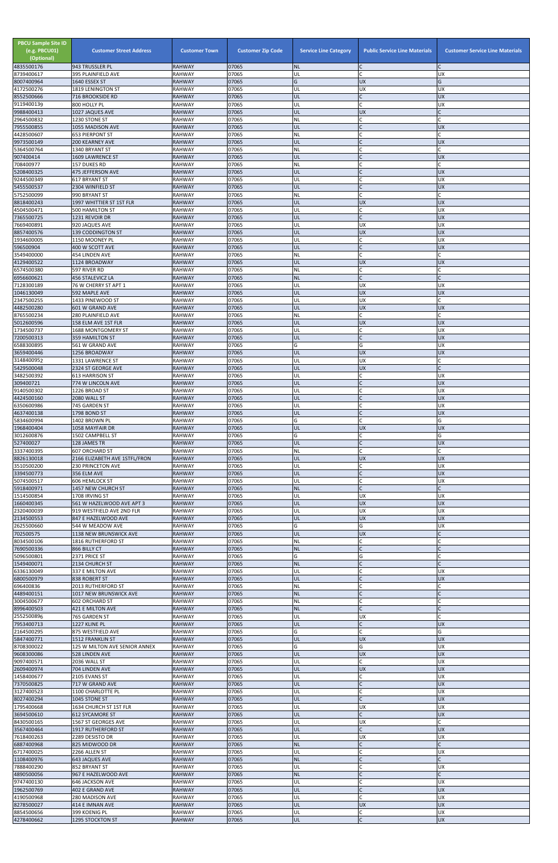| <b>PBCU Sample Site ID</b><br>(e.g. PBCU01)<br>(Optional)<br>4835500176 | <b>Customer Street Address</b><br>943 TRUSSLER PL      | <b>Customer Town</b><br><b>RAHWAY</b> | <b>Customer Zip Code</b><br>07065 | <b>Service Line Category</b><br><b>NL</b> | <b>Public Service Line Materials</b><br>C | <b>Customer Service Line Materials</b> |
|-------------------------------------------------------------------------|--------------------------------------------------------|---------------------------------------|-----------------------------------|-------------------------------------------|-------------------------------------------|----------------------------------------|
| 8739400617                                                              | 395 PLAINFIELD AVE                                     | <b>RAHWAY</b>                         | 07065                             | UL                                        | Ċ                                         | UX                                     |
| 8007400964<br>4172500276                                                | 1640 ESSEX ST<br>1819 LENINGTON ST                     | <b>RAHWAY</b><br><b>RAHWAY</b>        | 07065<br>07065                    | G<br>UL                                   | <b>UX</b><br>UX                           | G<br>UX                                |
| 8552500666                                                              | <b>716 BROOKSIDE RD</b>                                | <b>RAHWAY</b>                         | 07065                             | UL                                        |                                           | <b>UX</b>                              |
| 9119400139                                                              | 800 HOLLY PL                                           | <b>RAHWAY</b><br><b>RAHWAY</b>        | 07065<br>07065                    | UL<br>UL                                  | UX                                        | <b>UX</b>                              |
| 9988400413<br>2964500832                                                | 1027 JAQUES AVE<br>1230 STONE ST                       | <b>RAHWAY</b>                         | 07065                             | <b>NL</b>                                 | C                                         |                                        |
| 7955500855<br>4428500607                                                | 1055 MADISON AVE                                       | <b>RAHWAY</b>                         | 07065<br>07065                    | UL                                        | C<br>$\mathsf{C}$                         | <b>UX</b>                              |
| 9973500149                                                              | <b>653 PIERPONT ST</b><br><b>200 KEARNEY AVE</b>       | <b>RAHWAY</b><br><b>RAHWAY</b>        | 07065                             | <b>NL</b><br>UL                           |                                           | <b>UX</b>                              |
| 5364500764                                                              | 1340 BRYANT ST                                         | <b>RAHWAY</b>                         | 07065                             | <b>NL</b>                                 | $\mathsf{C}$                              |                                        |
| 907400414<br>708400977                                                  | 1609 LAWRENCE ST<br>157 DUKES RD                       | <b>RAHWAY</b><br><b>RAHWAY</b>        | 07065<br>07065                    | UL<br><b>NL</b>                           | $\overline{C}$                            | <b>UX</b>                              |
| 5208400325                                                              | 475 JEFFERSON AVE                                      | <b>RAHWAY</b>                         | 07065                             | UL                                        |                                           | UX                                     |
| 9244500349<br>5455500537                                                | <b>617 BRYANT ST</b><br>2304 WINFIELD ST               | <b>RAHWAY</b><br><b>RAHWAY</b>        | 07065<br>07065                    | UL<br>UL                                  | $\mathsf{C}$                              | UX<br><b>UX</b>                        |
| 5752500099                                                              | 990 BRYANT ST                                          | <b>RAHWAY</b>                         | 07065                             | <b>NL</b>                                 | C                                         |                                        |
| 8818400243<br>4504500471                                                | 1997 WHITTIER ST 1ST FLR<br><b>500 HAMILTON ST</b>     | <b>RAHWAY</b><br><b>RAHWAY</b>        | 07065<br>07065                    | UL<br>UL                                  | <b>UX</b><br>Ċ                            | <b>UX</b><br><b>UX</b>                 |
| 7365500725                                                              | 1231 REVOIR DR                                         | <b>RAHWAY</b>                         | 07065                             | UL                                        | $\mathsf{C}$                              | <b>UX</b>                              |
| 7669400891<br>8857400576                                                | 920 JAQUES AVE<br><b>139 CODDINGTON ST</b>             | <b>RAHWAY</b><br><b>RAHWAY</b>        | 07065<br>07065                    | UL<br>UL                                  | UX<br>UX                                  | UX<br>UX                               |
| 1934600005                                                              | 1150 MOONEY PL                                         | <b>RAHWAY</b>                         | 07065                             | UL                                        | $\mathsf{C}$                              | <b>UX</b>                              |
| 596500904<br>3549400000                                                 | 400 W SCOTT AVE<br>454 LINDEN AVE                      | <b>RAHWAY</b><br><b>RAHWAY</b>        | 07065<br>07065                    | UL<br><b>NL</b>                           | $\mathsf{C}$<br>$\mathsf{C}$              | <b>UX</b>                              |
| 4129400522                                                              | 1124 BROADWAY                                          | <b>RAHWAY</b>                         | 07065                             | UL                                        | UX                                        | <b>UX</b>                              |
| 6574500380<br>6956600621                                                | 597 RIVER RD<br>456 STALEVICZ LA                       | <b>RAHWAY</b><br><b>RAHWAY</b>        | 07065<br>07065                    | <b>NL</b><br><b>NL</b>                    | $\mathsf{C}$<br>Ċ                         |                                        |
| 7128300189                                                              | 76 W CHERRY ST APT 1                                   | <b>RAHWAY</b>                         | 07065                             | UL                                        | UX                                        | <b>UX</b>                              |
| 1046130049<br>2347500255                                                | 592 MAPLE AVE<br>1433 PINEWOOD ST                      | <b>RAHWAY</b><br><b>RAHWAY</b>        | 07065<br>07065                    | UL<br>UL                                  | <b>UX</b><br>UX                           | UX                                     |
| 4482500280                                                              | 601 W GRAND AVE                                        | <b>RAHWAY</b>                         | 07065                             | UL                                        | UX                                        | <b>UX</b>                              |
| 8765500234                                                              | 280 PLAINFIELD AVE                                     | <b>RAHWAY</b>                         | 07065                             | <b>NL</b>                                 | C                                         |                                        |
| 5012600596<br>1734500737                                                | 158 ELM AVE 1ST FLR<br>1688 MONTGOMERY ST              | <b>RAHWAY</b><br><b>RAHWAY</b>        | 07065<br>07065                    | UL<br>UL                                  | <b>UX</b><br>C                            | <b>UX</b><br>UX                        |
| 7200500313                                                              | 359 HAMILTON ST                                        | <b>RAHWAY</b>                         | 07065                             | UL                                        |                                           | <b>UX</b>                              |
| 6588300895<br>3659400446                                                | 561 W GRAND AVE<br>1256 BROADWAY                       | <b>RAHWAY</b><br><b>RAHWAY</b>        | 07065<br>07065                    | G<br><b>IUL</b>                           | G<br><b>UX</b>                            | UX<br>UX                               |
| 3148400952                                                              | 1331 LAWRENCE ST                                       | <b>RAHWAY</b>                         | 07065                             | UL                                        | UX                                        |                                        |
| 5429500048<br>3482500392                                                | 2324 ST GEORGE AVE<br><b>613 HARRISON ST</b>           | <b>RAHWAY</b><br><b>RAHWAY</b>        | 07065<br>07065                    | UL<br>UL                                  | UX<br>C                                   | UX                                     |
| 309400721                                                               | 774 W LINCOLN AVE                                      | <b>RAHWAY</b>                         | 07065                             | UL                                        |                                           | <b>UX</b>                              |
| 9140500302<br>4424500160                                                | 1226 BROAD ST<br>2080 WALL ST                          | <b>RAHWAY</b><br><b>RAHWAY</b>        | 07065<br>07065                    | UL<br>UL                                  | $\mathsf{C}$<br>C                         | UX<br><b>UX</b>                        |
| 6350600986                                                              | 745 GARDEN ST                                          | <b>RAHWAY</b>                         | 07065                             | UL                                        | C                                         | <b>UX</b>                              |
| 4637400138<br>5834600994                                                | 1798 BOND ST<br>1402 BROWN PL                          | <b>RAHWAY</b><br><b>RAHWAY</b>        | 07065<br>07065                    | UL<br>G                                   |                                           | <b>UX</b><br>G                         |
| 1968400404                                                              | 1058 MAYFAIR DR                                        | <b>RAHWAY</b>                         | 07065                             | UL                                        | <b>UX</b>                                 | <b>UX</b>                              |
| 3012600876<br>527400027                                                 | 1502 CAMPBELL ST<br>128 JAMES TR                       | <b>RAHWAY</b><br><b>RAHWAY</b>        | 07065<br>07065                    | G<br>UL                                   | C<br>$\mathsf{C}$                         | G<br><b>UX</b>                         |
| 3337400395                                                              | <b>607 ORCHARD ST</b>                                  | <b>RAHWAY</b>                         | 07065                             | <b>NL</b>                                 |                                           |                                        |
| 8826130018<br>3510500200                                                | 2166 ELIZABETH AVE 1STFL/FRON<br>230 PRINCETON AVE     | <b>RAHWAY</b><br><b>RAHWAY</b>        | 07065<br>07065                    | UL<br>UL                                  | <b>UX</b><br>Ċ                            | <b>UX</b><br>UX                        |
| 3394500773                                                              | 356 ELM AVE                                            | <b>RAHWAY</b>                         | 07065                             | UL                                        |                                           | <b>UX</b>                              |
| 5074500517<br>5918400971                                                | <b>606 HEMLOCK ST</b><br>1457 NEW CHURCH ST            | <b>RAHWAY</b><br><b>RAHWAY</b>        | 07065<br>07065                    | UL<br><b>NL</b>                           | $\mathsf{C}$                              | <b>UX</b>                              |
| 1514500854                                                              | 1708 IRVING ST                                         | <b>RAHWAY</b>                         | 07065                             | UL                                        | <b>UX</b>                                 | <b>UX</b>                              |
| 1660400345<br>2320400039                                                | 561 W HAZELWOOD AVE APT 3<br>919 WESTFIELD AVE 2ND FLR | <b>RAHWAY</b><br><b>RAHWAY</b>        | 07065<br>07065                    | UL<br>UL                                  | <b>UX</b><br>UX                           | <b>UX</b><br><b>UX</b>                 |
| 2134500553                                                              | 847 E HAZELWOOD AVE                                    | <b>RAHWAY</b>                         | 07065                             | UL                                        | <b>UX</b>                                 | <b>UX</b>                              |
| 2625500660                                                              | 544 W MEADOW AVE                                       | <b>RAHWAY</b>                         | 07065<br>07065                    | G                                         | G                                         | <b>UX</b>                              |
| 702500575<br>8034500106                                                 | 1138 NEW BRUNSWICK AVE<br>1816 RUTHERFORD ST           | <b>RAHWAY</b><br><b>RAHWAY</b>        | 07065                             | <b>UL</b><br><b>NL</b>                    | UX                                        |                                        |
| 7690500336                                                              | 866 BILLY CT                                           | <b>RAHWAY</b>                         | 07065                             | <b>NL</b>                                 |                                           |                                        |
| 5096500801<br>1549400071                                                | 2371 PRICE ST<br>2134 CHURCH ST                        | <b>RAHWAY</b><br><b>RAHWAY</b>        | 07065<br>07065                    | G<br><b>NL</b>                            | G<br>$\mathsf{C}$                         |                                        |
| 6336130049                                                              | 337 E MILTON AVE                                       | <b>RAHWAY</b>                         | 07065                             | UL                                        | C                                         | <b>UX</b>                              |
| 6800500979<br>696400836                                                 | 838 ROBERT ST<br>2013 RUTHERFORD ST                    | <b>RAHWAY</b><br><b>RAHWAY</b>        | 07065<br>07065                    | UL<br><b>NL</b>                           |                                           | <b>UX</b>                              |
| 4489400151                                                              | 1017 NEW BRUNSWICK AVE                                 | <b>RAHWAY</b>                         | 07065                             | <b>NL</b>                                 | $\mathsf{C}$                              |                                        |
| 3004500677<br>8996400503                                                | <b>602 ORCHARD ST</b><br>421 E MILTON AVE              | <b>RAHWAY</b><br><b>RAHWAY</b>        | 07065<br>07065                    | <b>NL</b><br><b>NL</b>                    |                                           |                                        |
| 2552500896                                                              | 765 GARDEN ST                                          | <b>RAHWAY</b>                         | 07065                             | UL                                        | UX                                        |                                        |
| 7953400713<br>2164500295                                                | 1227 KLINE PL<br>875 WESTFIELD AVE                     | <b>RAHWAY</b><br><b>RAHWAY</b>        | 07065<br>07065                    | UL<br>G                                   | $\mathsf{C}$                              | <b>UX</b><br>G                         |
| 5847400771                                                              | 1512 FRANKLIN ST                                       | <b>RAHWAY</b>                         | 07065                             | UL                                        | <b>UX</b>                                 | <b>UX</b>                              |
| 8708300022<br>9608300086                                                | 125 W MILTON AVE SENIOR ANNEX<br>528 LINDEN AVE        | <b>RAHWAY</b><br><b>RAHWAY</b>        | 07065<br>07065                    | G<br>UL                                   | G<br><b>UX</b>                            | <b>UX</b><br><b>UX</b>                 |
| 9097400571                                                              | 2036 WALL ST                                           | <b>RAHWAY</b>                         | 07065                             | UL                                        |                                           | UX                                     |
| 2609400974<br>1458400677                                                | 704 LINDEN AVE<br>2105 EVANS ST                        | <b>RAHWAY</b><br><b>RAHWAY</b>        | 07065<br>07065                    | IUL.<br>UL                                | UX                                        | <b>UX</b><br>UX                        |
| 7370500825                                                              | 717 W GRAND AVE                                        | <b>RAHWAY</b>                         | 07065                             | <b>UL</b>                                 | C                                         | <b>UX</b>                              |
| 3127400523<br>8027400294                                                | 1100 CHARLOTTE PL<br>1045 STONE ST                     | <b>RAHWAY</b><br><b>RAHWAY</b>        | 07065<br>07065                    | UL<br><b>UL</b>                           | C<br>$\mathsf{C}$                         | <b>UX</b><br><b>UX</b>                 |
| 1795400668                                                              | 1634 CHURCH ST 1ST FLR                                 | RAHWAY                                | 07065                             | UL                                        | UX                                        | UX                                     |
| 3694500610<br>8430500165                                                | <b>612 SYCAMORE ST</b><br>1567 ST GEORGES AVE          | <b>RAHWAY</b><br><b>RAHWAY</b>        | 07065<br>07065                    | UL<br>UL                                  | UX                                        | <b>UX</b>                              |
| 3567400464                                                              | <b>1917 RUTHERFORD ST</b>                              | <b>RAHWAY</b>                         | 07065                             | UL                                        | $\mathsf{C}$                              | <b>UX</b>                              |
| 7618400263<br>6887400968                                                | 2289 DESISTO DR<br>825 MIDWOOD DR                      | <b>RAHWAY</b><br><b>RAHWAY</b>        | 07065<br>07065                    | UL<br><b>NL</b>                           | UX                                        | UX                                     |
| 6717400025                                                              | 2266 ALLEN ST                                          | <b>RAHWAY</b>                         | 07065                             | UL                                        | Ċ                                         | <b>UX</b>                              |
| 1108400976                                                              | <b>643 JAQUES AVE</b>                                  | <b>RAHWAY</b>                         | 07065<br>07065                    | <b>NL</b><br>UL                           | C<br>Ċ                                    | <b>UX</b>                              |
| 7888400290<br>4890500056                                                | 852 BRYANT ST<br>967 E HAZELWOOD AVE                   | <b>RAHWAY</b><br><b>RAHWAY</b>        | 07065                             | <b>NL</b>                                 | C                                         | $\mathsf{C}$                           |
| 9747400130                                                              | 646 JACKSON AVE                                        | <b>RAHWAY</b>                         | 07065                             | UL                                        |                                           | <b>UX</b>                              |
| 1962500769<br>4190500968                                                | 402 E GRAND AVE<br>280 MADISON AVE                     | <b>RAHWAY</b><br><b>RAHWAY</b>        | 07065<br>07065                    | <b>UL</b><br>UL                           | $\mathsf{C}$                              | <b>UX</b><br>UX                        |
| 8278500027                                                              | 414 E IMNAN AVE                                        | <b>RAHWAY</b>                         | 07065                             | <b>UL</b>                                 | <b>UX</b>                                 | <b>UX</b>                              |
| 8854500656<br>4278400662                                                | 399 KOENIG PL<br>1295 STOCKTON ST                      | <b>RAHWAY</b><br><b>RAHWAY</b>        | 07065<br>07065                    | UL<br><b>UL</b>                           | C<br>$\mathsf{C}$                         | <b>UX</b><br>UX                        |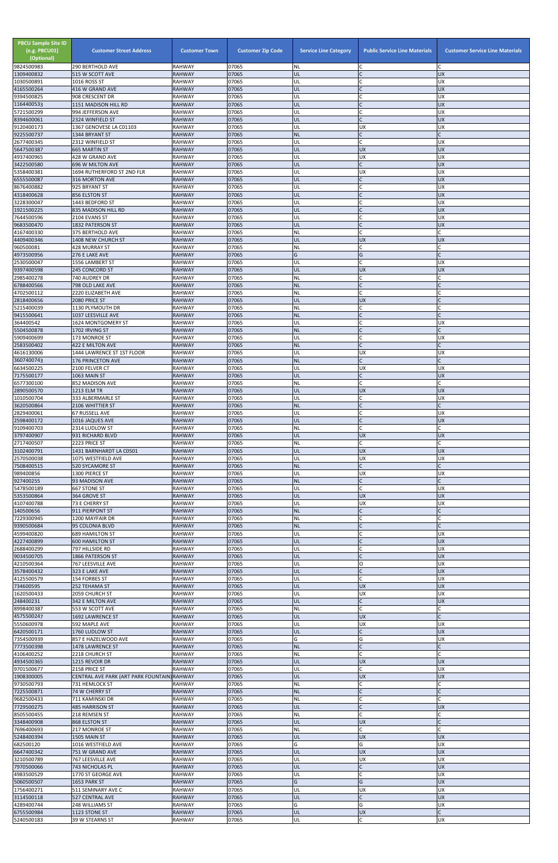| <b>PBCU Sample Site ID</b><br>(e.g. PBCU01)<br>(Optional)<br>9824500983 | <b>Customer Street Address</b><br>290 BERTHOLD AVE           | <b>Customer Town</b><br><b>RAHWAY</b> | <b>Customer Zip Code</b><br>07065 | <b>Service Line Category</b><br><b>NL</b> | <b>Public Service Line Materials</b><br>C | <b>Customer Service Line Materials</b> |
|-------------------------------------------------------------------------|--------------------------------------------------------------|---------------------------------------|-----------------------------------|-------------------------------------------|-------------------------------------------|----------------------------------------|
| 1309400832                                                              | 515 W SCOTT AVE                                              | <b>RAHWAY</b>                         | 07065                             | UL                                        |                                           | <b>UX</b>                              |
| 1030500891<br>4165500264                                                | 1016 ROSS ST<br>416 W GRAND AVE                              | <b>RAHWAY</b><br><b>RAHWAY</b>        | 07065<br>07065                    | UL<br>UL                                  | $\mathsf{C}$<br>$\overline{C}$            | <b>UX</b><br><b>UX</b>                 |
| 9394500825                                                              | 908 CRESCENT DR                                              | <b>RAHWAY</b>                         | 07065                             | UL                                        |                                           | UX                                     |
| 1164400533<br>5721500299                                                | 1151 MADISON HILL RD<br>994 JEFFERSON AVE                    | <b>RAHWAY</b><br><b>RAHWAY</b>        | 07065<br>07065                    | UL<br>UL                                  |                                           | <b>UX</b><br>UX                        |
| 8394600061                                                              | 2324 WINFIELD ST                                             | <b>RAHWAY</b>                         | 07065                             | UL                                        | $\mathsf{C}$                              | <b>UX</b>                              |
| 9120400173                                                              | 1367 GENOVESE LA C01103                                      | <b>RAHWAY</b>                         | 07065                             | UL                                        | UX                                        | UX                                     |
| 9225500737<br>2677400345                                                | 1344 BRYANT ST<br>2312 WINFIELD ST                           | <b>RAHWAY</b><br><b>RAHWAY</b>        | 07065<br>07065                    | <b>NL</b><br>UL                           | $\overline{C}$                            | UX                                     |
| 5647500387                                                              | <b>665 MARTIN ST</b>                                         | <b>RAHWAY</b>                         | 07065                             | UL                                        | <b>UX</b>                                 | <b>UX</b>                              |
| 4937400965<br>3422500580                                                | 428 W GRAND AVE<br>696 W MILTON AVE                          | <b>RAHWAY</b><br><b>RAHWAY</b>        | 07065<br>07065                    | UL<br>UL                                  | UX<br>$\mathsf{C}$                        | UX<br><b>UX</b>                        |
| 5358400381                                                              | 1694 RUTHERFORD ST 2ND FLR                                   | <b>RAHWAY</b>                         | 07065                             | UL                                        | UX                                        | UX                                     |
| 6555500087                                                              | 316 MORTON AVE                                               | <b>RAHWAY</b>                         | 07065                             | UL                                        |                                           | UX                                     |
| 8676400882<br>4318400628                                                | 925 BRYANT ST<br>856 ELSTON ST                               | <b>RAHWAY</b><br><b>RAHWAY</b>        | 07065<br>07065                    | UL<br>UL                                  | C                                         | <b>UX</b><br>UX                        |
| 3228300047                                                              | 1443 BEDFORD ST                                              | <b>RAHWAY</b>                         | 07065                             | UL                                        |                                           | UX                                     |
| 1921500225                                                              | 835 MADISON HILL RD                                          | <b>RAHWAY</b>                         | 07065<br>07065                    | UL<br>UL                                  | $\mathsf{C}$                              | <b>UX</b><br>UX                        |
| 7644500596<br>9683500470                                                | 2104 EVANS ST<br>1832 PATERSON ST                            | <b>RAHWAY</b><br><b>RAHWAY</b>        | 07065                             | UL                                        | $\mathsf{C}$                              | <b>UX</b>                              |
| 4167400330                                                              | 375 BERTHOLD AVE                                             | <b>RAHWAY</b>                         | 07065                             | <b>NL</b>                                 | $\mathsf{C}$                              |                                        |
| 4409400346<br>960500081                                                 | <b>1408 NEW CHURCH ST</b><br>428 MURRAY ST                   | <b>RAHWAY</b><br><b>RAHWAY</b>        | 07065<br>07065                    | UL<br><b>NL</b>                           | <b>UX</b><br>C                            | UX                                     |
| 4973500956                                                              | 276 E LAKE AVE                                               | <b>RAHWAY</b>                         | 07065                             | G                                         | G                                         |                                        |
| 2530500047                                                              | 1556 LAMBERT ST                                              | <b>RAHWAY</b>                         | 07065                             | UL                                        | Ċ                                         | UX                                     |
| 9397400598<br>2985400278                                                | 245 CONCORD ST<br>740 AUDREY DR                              | <b>RAHWAY</b><br><b>RAHWAY</b>        | 07065<br>07065                    | UL<br><b>NL</b>                           | <b>UX</b><br>Ċ                            | <b>UX</b>                              |
| 6788400566                                                              | 798 OLD LAKE AVE                                             | <b>RAHWAY</b>                         | 07065                             | <b>NL</b>                                 | $\Gamma$                                  |                                        |
| 4702500112<br>2818400656                                                | 2220 ELIZABETH AVE<br>2080 PRICE ST                          | <b>RAHWAY</b><br><b>RAHWAY</b>        | 07065<br>07065                    | <b>NL</b><br>UL                           | C<br>UX                                   |                                        |
| 5215400039                                                              | 1130 PLYMOUTH DR                                             | <b>RAHWAY</b>                         | 07065                             | <b>NL</b>                                 | C                                         |                                        |
| 9415500641                                                              | 1037 LEESVILLE AVE                                           | <b>RAHWAY</b>                         | 07065                             | <b>NL</b>                                 |                                           |                                        |
| 364400542<br>5504500878                                                 | 1624 MONTGOMERY ST<br>1702 IRVING ST                         | <b>RAHWAY</b><br><b>RAHWAY</b>        | 07065<br>07065                    | UL<br><b>NL</b>                           | $\Gamma$<br>$\overline{C}$                | UX                                     |
| 5909400699                                                              | 173 MONROE ST                                                | <b>RAHWAY</b>                         | 07065                             | UL                                        |                                           | <b>UX</b>                              |
| 2583500402                                                              | 422 E MILTON AVE                                             | <b>RAHWAY</b>                         | 07065                             | <b>NL</b>                                 |                                           |                                        |
| 4616130006<br>3607400743                                                | 1444 LAWRENCE ST 1ST FLOOR<br><b>176 PRINCETON AVE</b>       | <b>RAHWAY</b><br><b>RAHWAY</b>        | 07065<br>07065                    | UL<br><b>NL</b>                           | UX<br>$\mathsf{C}$                        | UX                                     |
| 6634500225                                                              | 2100 FELVER CT                                               | <b>RAHWAY</b>                         | 07065                             | UL                                        | UX                                        | <b>UX</b>                              |
| 7175500177<br>6577300100                                                | 1063 MAIN ST<br>852 MADISON AVE                              | <b>RAHWAY</b><br><b>RAHWAY</b>        | 07065<br>07065                    | UL<br><b>NL</b>                           | $\mathsf{C}$                              | <b>UX</b>                              |
| 2890500570                                                              | 1213 ELM TR                                                  | <b>RAHWAY</b>                         | 07065                             | UL                                        | <b>UX</b>                                 | <b>UX</b>                              |
| 1010500704                                                              | 333 ALBERMARLE ST                                            | <b>RAHWAY</b>                         | 07065                             | UL                                        | Ċ                                         | <b>UX</b>                              |
| 3620500864<br>2829400061                                                | 2106 WHITTIER ST<br>67 RUSSELL AVE                           | <b>RAHWAY</b><br><b>RAHWAY</b>        | 07065<br>07065                    | <b>NL</b><br>UL                           | C                                         | UX                                     |
| 2598400172                                                              | 1016 JAQUES AVE                                              | <b>RAHWAY</b>                         | 07065                             | UL                                        |                                           | UX                                     |
| 9109400703                                                              | 2314 LUDLOW ST                                               | <b>RAHWAY</b>                         | 07065<br>07065                    | <b>NL</b><br>UL                           | $\mathsf{C}$                              |                                        |
| 3797400907<br>2717400507                                                | 931 RICHARD BLVD<br>2223 PRICE ST                            | <b>RAHWAY</b><br><b>RAHWAY</b>        | 07065                             | <b>NL</b>                                 | <b>UX</b><br>C                            | <b>UX</b>                              |
| 3102400791                                                              | 1431 BARNHARDT LA C0501                                      | <b>RAHWAY</b>                         | 07065                             | UL                                        | <b>UX</b>                                 | <b>UX</b>                              |
| 2570500038<br>7508400515                                                | 1075 WESTFIELD AVE<br><b>520 SYCAMORE ST</b>                 | <b>RAHWAY</b><br><b>RAHWAY</b>        | 07065<br>07065                    | UL<br><b>NL</b>                           | UX<br>$\mathsf{C}$                        | <b>UX</b>                              |
| 989400856                                                               | 1300 PIERCE ST                                               | <b>RAHWAY</b>                         | 07065                             | UL                                        | UX                                        | <b>UX</b>                              |
| 927400255                                                               | 93 MADISON AVE                                               | <b>RAHWAY</b>                         | 07065                             | <b>NL</b>                                 | $\mathsf{C}$<br>$\mathsf{C}$              |                                        |
| 5478500189<br>5353500864                                                | 667 STONE ST<br>364 GROVE ST                                 | <b>RAHWAY</b><br><b>RAHWAY</b>        | 07065<br>07065                    | UL<br>UL                                  | <b>UX</b>                                 | <b>UX</b><br><b>UX</b>                 |
| 4107400788                                                              | 73 E CHERRY ST                                               | <b>RAHWAY</b>                         | 07065                             | UL                                        | UX                                        | <b>UX</b>                              |
| 140500656<br>7229300945                                                 | 911 PIERPONT ST<br>1200 MAYFAIR DR                           | <b>RAHWAY</b><br><b>RAHWAY</b>        | 07065<br>07065                    | <b>NL</b><br><b>NL</b>                    | $\mathsf{C}$                              |                                        |
| 9390500684                                                              | 95 COLONIA BLVD                                              | <b>RAHWAY</b>                         | 07065                             | <b>NL</b>                                 | $\mathsf{C}$                              |                                        |
| 4599400820                                                              | <b>689 HAMILTON ST</b>                                       | <b>RAHWAY</b>                         | 07065                             | UL                                        | Ċ                                         | <b>UX</b>                              |
| 4227400899<br>2688400299                                                | <b>600 HAMILTON ST</b><br>797 HILLSIDE RD                    | <b>RAHWAY</b><br><b>RAHWAY</b>        | 07065<br>07065                    | UL<br>UL                                  |                                           | <b>UX</b><br><b>UX</b>                 |
| 9034500705                                                              | 1866 PATERSON ST                                             | <b>RAHWAY</b>                         | 07065                             | UL                                        |                                           | <b>UX</b>                              |
| 4210500364<br>3578400432                                                | 767 LEESVILLE AVE<br>323 E LAKE AVE                          | <b>RAHWAY</b><br><b>RAHWAY</b>        | 07065<br>07065                    | UL<br>UL                                  | O<br>C                                    | <b>UX</b><br><b>UX</b>                 |
| 4125500579                                                              | 154 FORBES ST                                                | <b>RAHWAY</b>                         | 07065                             | UL                                        | $\mathsf{C}$                              | <b>UX</b>                              |
| 734600595                                                               | 252 TEHAMA ST                                                | <b>RAHWAY</b>                         | 07065                             | UL                                        | <b>UX</b>                                 | <b>UX</b>                              |
| 1620500433<br>248400231                                                 | 2059 CHURCH ST<br>342 E MILTON AVE                           | <b>RAHWAY</b><br><b>RAHWAY</b>        | 07065<br>07065                    | UL<br>UL                                  | UX<br>$\mathsf{C}$                        | UX<br><b>UX</b>                        |
| 8998400387                                                              | 553 W SCOTT AVE                                              | <b>RAHWAY</b>                         | 07065                             | <b>NL</b>                                 | Ċ                                         |                                        |
| 4575500247<br>5550600978                                                | 1692 LAWRENCE ST<br>592 MAPLE AVE                            | <b>RAHWAY</b><br><b>RAHWAY</b>        | 07065<br>07065                    | UL<br>UL                                  | <b>UX</b><br>UX                           | <b>UX</b>                              |
| 6420500171                                                              | 1760 LUDLOW ST                                               | <b>RAHWAY</b>                         | 07065                             | UL                                        | $\mathsf{C}$                              | <b>UX</b>                              |
| 7354500939                                                              | 857 E HAZELWOOD AVE                                          | <b>RAHWAY</b>                         | 07065                             | G                                         | G                                         | <b>UX</b>                              |
| 7773500398<br>4106400252                                                | 1478 LAWRENCE ST<br>2218 CHURCH ST                           | <b>RAHWAY</b><br><b>RAHWAY</b>        | 07065<br>07065                    | <b>NL</b><br><b>NL</b>                    | $\mathsf{C}$                              |                                        |
| 4934500365                                                              | <b>1215 REVOIR DR</b>                                        | <b>RAHWAY</b>                         | 07065                             | UL                                        | <b>UX</b>                                 | <b>UX</b>                              |
| 9701500677<br>1908300005                                                | 2158 PRICE ST<br>CENTRAL AVE PARK (ART PARK FOUNTAIN) RAHWAY | <b>RAHWAY</b>                         | 07065<br>07065                    | <b>UL</b><br>UL                           | UX                                        | UΧ<br>UX                               |
| 9730500793                                                              | 731 HEMLOCK ST                                               | <b>RAHWAY</b>                         | 07065                             | <b>NL</b>                                 | C                                         |                                        |
| 7225500871                                                              | 74 W CHERRY ST                                               | <b>RAHWAY</b>                         | 07065                             | <b>NL</b>                                 | C                                         |                                        |
| 9682500433<br>7729500275                                                | 711 KAMINSKI DR<br><b>485 HARRISON ST</b>                    | <b>RAHWAY</b><br><b>RAHWAY</b>        | 07065<br>07065                    | <b>NL</b><br><b>UL</b>                    | $\mathsf{C}$<br>C                         | <b>UX</b>                              |
| 8505500455                                                              | 218 REMSEN ST                                                | <b>RAHWAY</b>                         | 07065                             | <b>NL</b>                                 | Ċ                                         |                                        |
| 3348400908                                                              | 868 ELSTON ST                                                | <b>RAHWAY</b>                         | 07065                             | <b>UL</b>                                 | UX                                        |                                        |
| 7696400693<br>5248400394                                                | 217 MONROE ST<br>1505 MAIN ST                                | <b>RAHWAY</b><br><b>RAHWAY</b>        | 07065<br>07065                    | <b>NL</b><br>UL                           | C<br><b>UX</b>                            | <b>UX</b>                              |
| 682500120                                                               | 1016 WESTFIELD AVE                                           | <b>RAHWAY</b>                         | 07065                             | G                                         | G                                         | UX                                     |
| 6647400342<br>3210500789                                                | 751 W GRAND AVE<br>767 LEESVILLE AVE                         | <b>RAHWAY</b><br><b>RAHWAY</b>        | 07065<br>07065                    | UL<br>UL                                  | <b>UX</b><br>UX                           | <b>UX</b><br>UX                        |
| 7970500066                                                              | 743 NICHOLAS PL                                              | <b>RAHWAY</b>                         | 07065                             | UL                                        | C                                         | <b>UX</b>                              |
| 4983500529                                                              | 1770 ST GEORGE AVE                                           | <b>RAHWAY</b>                         | 07065                             | UL                                        | C                                         | UX                                     |
| 5060500507<br>1756400271                                                | 1653 PARK ST<br>511 SEMINARY AVE C                           | <b>RAHWAY</b><br><b>RAHWAY</b>        | 07065<br>07065                    | G<br>UL                                   | G<br>UX                                   | <b>UX</b><br><b>UX</b>                 |
| 3114500118                                                              | 527 CENTRAL AVE                                              | <b>RAHWAY</b>                         | 07065                             | UL                                        | C                                         | <b>UX</b>                              |
| 4289400744                                                              | 248 WILLIAMS ST                                              | <b>RAHWAY</b>                         | 07065                             | G                                         | G                                         | UX<br>$\mathsf{C}$                     |
| 6755500984<br>5240500183                                                | 1123 STONE ST<br>39 W STEARNS ST                             | <b>RAHWAY</b><br><b>RAHWAY</b>        | 07065<br>07065                    | UL<br>UL                                  | <b>UX</b><br>$\mathsf{C}$                 | UX                                     |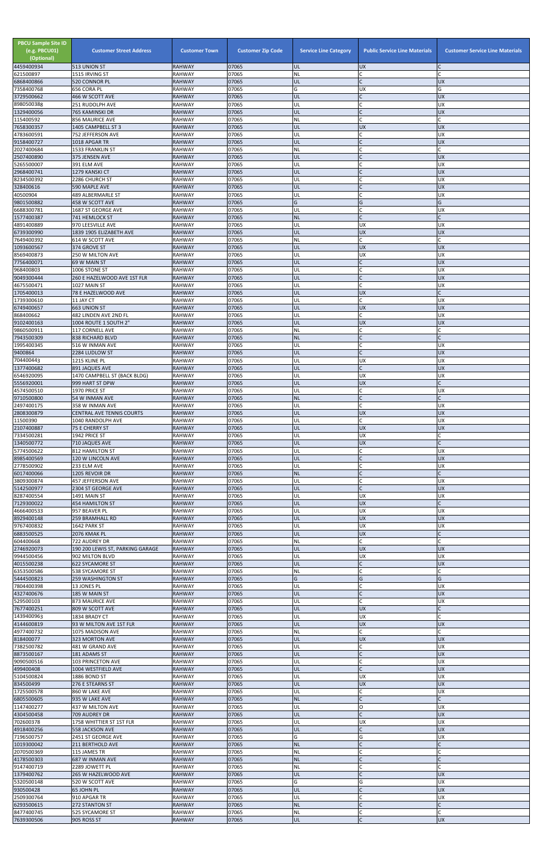| <b>PBCU Sample Site ID</b><br>(e.g. PBCU01)<br>(Optional)<br>4459400934 | <b>Customer Street Address</b><br>513 UNION ST        | <b>Customer Town</b><br><b>RAHWAY</b> | <b>Customer Zip Code</b><br>07065 | <b>Service Line Category</b><br>UL | <b>Public Service Line Materials</b><br><b>UX</b> | <b>Customer Service Line Materials</b> |
|-------------------------------------------------------------------------|-------------------------------------------------------|---------------------------------------|-----------------------------------|------------------------------------|---------------------------------------------------|----------------------------------------|
| 621500897                                                               | 1515 IRVING ST                                        | <b>RAHWAY</b>                         | 07065                             | <b>NL</b>                          | $\mathsf{C}$                                      |                                        |
| 6868400866                                                              | 520 CONNOR PL                                         | <b>RAHWAY</b>                         | 07065                             | UL                                 | $\mathsf{C}$                                      | <b>UX</b>                              |
| 7358400768<br>3729500662                                                | 656 CORA PL<br>466 W SCOTT AVE                        | <b>RAHWAY</b><br><b>RAHWAY</b>        | 07065<br>07065                    | G<br>UL                            | <b>UX</b><br>$\mathsf{C}$                         | G<br><b>UX</b>                         |
| 8980500388                                                              | 251 RUDOLPH AVE                                       | <b>RAHWAY</b>                         | 07065                             | UL                                 | $\mathsf{C}$                                      | <b>UX</b>                              |
| 1329400056<br>115400592                                                 | 765 KAMINSKI DR<br>856 MAURICE AVE                    | <b>RAHWAY</b><br>RAHWAY               | 07065<br>07065                    | UL<br><b>NL</b>                    | $\mathsf{C}$<br>$\mathsf{C}$                      | <b>UX</b><br>C                         |
| 7658300357                                                              | 1405 CAMPBELL ST 3                                    | <b>RAHWAY</b>                         | 07065                             | UL                                 | <b>UX</b>                                         | <b>UX</b>                              |
| 4783600591                                                              | 752 JEFFERSON AVE                                     | <b>RAHWAY</b>                         | 07065                             | UL                                 | $\mathsf{C}$                                      | <b>UX</b>                              |
| 9158400727<br>2027400684                                                | 1018 APGAR TR<br><b>1533 FRANKLIN ST</b>              | <b>RAHWAY</b><br><b>RAHWAY</b>        | 07065<br>07065                    | UL<br><b>NL</b>                    | $\sqrt{ }$                                        | <b>UX</b><br>$\mathsf{C}$              |
| 2507400890                                                              | 375 JENSEN AVE                                        | <b>RAHWAY</b>                         | 07065                             | UL                                 | $\mathsf{C}$                                      | <b>UX</b>                              |
| 5265500007<br>2968400741                                                | 391 ELM AVE<br>1279 KANSKI CT                         | <b>RAHWAY</b><br><b>RAHWAY</b>        | 07065<br>07065                    | UL<br>UL                           | $\overline{C}$<br>$\mathcal{C}$                   | UX<br><b>UX</b>                        |
| 8234500392                                                              | 2286 CHURCH ST                                        | <b>RAHWAY</b>                         | 07065                             | UL                                 | $\mathcal{C}$                                     | <b>UX</b>                              |
| 328400616                                                               | 590 MAPLE AVE                                         | <b>RAHWAY</b>                         | 07065                             | UL                                 | $\mathcal{C}$                                     | <b>UX</b>                              |
| 40500904<br>9801500882                                                  | 489 ALBERMARLE ST<br>458 W SCOTT AVE                  | <b>RAHWAY</b><br><b>RAHWAY</b>        | 07065<br>07065                    | UL<br>G                            | $\mathsf{C}$<br>G                                 | UX<br>G                                |
| 6688300781                                                              | 1687 ST GEORGE AVE                                    | <b>RAHWAY</b>                         | 07065                             | UL                                 |                                                   | <b>UX</b>                              |
| 1577400387                                                              | 741 HEMLOCK ST                                        | <b>RAHWAY</b>                         | 07065                             | <b>NL</b>                          | $\mathsf{C}$                                      | C                                      |
| 4891400889<br>6739300990                                                | 970 LEESVILLE AVE<br>1839 1905 ELIZABETH AVE          | <b>RAHWAY</b><br><b>RAHWAY</b>        | 07065<br>07065                    | UL<br>UL                           | <b>UX</b><br>UX                                   | <b>UX</b><br>UX                        |
| 7649400392                                                              | 614 W SCOTT AVE                                       | <b>RAHWAY</b>                         | 07065                             | <b>NL</b>                          | $\mathsf{C}$                                      | $\mathsf{C}$                           |
| 1093600567<br>8569400873                                                | 374 GROVE ST<br>250 W MILTON AVE                      | <b>RAHWAY</b><br><b>RAHWAY</b>        | 07065<br>07065                    | UL<br>UL                           | <b>UX</b><br><b>UX</b>                            | <b>UX</b><br><b>UX</b>                 |
| 7756400071                                                              | 69 W MAIN ST                                          | <b>RAHWAY</b>                         | 07065                             | UL                                 | $\mathsf{C}$                                      | <b>UX</b>                              |
| 968400803                                                               | 1006 STONE ST                                         | <b>RAHWAY</b>                         | 07065                             | UL                                 | $\mathsf{C}$                                      | <b>UX</b>                              |
| 9049300444<br>4675500471                                                | 260 E HAZELWOOD AVE 1ST FLR<br>1027 MAIN ST           | <b>RAHWAY</b><br><b>RAHWAY</b>        | 07065<br>07065                    | UL<br>UL                           | $\mathsf{C}$<br>$\mathsf{C}$                      | <b>UX</b><br><b>UX</b>                 |
| 1705400013                                                              | 78 E HAZELWOOD AVE                                    | <b>RAHWAY</b>                         | 07065                             | UL                                 | <b>UX</b>                                         | C                                      |
| 1739300610                                                              | 11 JAY CT                                             | <b>RAHWAY</b>                         | 07065                             | UL                                 | $\mathsf{C}$                                      | UX<br><b>UX</b>                        |
| 6749400657<br>868400662                                                 | <b>663 UNION ST</b><br>482 LINDEN AVE 2ND FL          | <b>RAHWAY</b><br><b>RAHWAY</b>        | 07065<br>07065                    | UL<br>UL                           | <b>UX</b><br>$\mathsf{C}$                         | <b>UX</b>                              |
| 9102400163                                                              | 1004 ROUTE 1 SOUTH 2"                                 | <b>RAHWAY</b>                         | 07065                             | UL                                 | <b>UX</b>                                         | <b>UX</b>                              |
| 9860500911<br>7943500309                                                | 117 CORNELL AVE<br><b>838 RICHARD BLVD</b>            | <b>RAHWAY</b><br><b>RAHWAY</b>        | 07065<br>07065                    | ΝL<br><b>NL</b>                    |                                                   |                                        |
| 1995400345                                                              | 516 W INMAN AVE                                       | <b>RAHWAY</b>                         | 07065                             | UL                                 |                                                   | UX                                     |
| 9400864                                                                 | 2284 LUDLOW ST                                        | <b>RAHWAY</b>                         | 07065                             | UL                                 |                                                   | <b>UX</b>                              |
| 704400443<br>1377400682                                                 | 1215 KLINE PL<br>891 JAQUES AVE                       | <b>RAHWAY</b><br><b>RAHWAY</b>        | 07065<br>07065                    | UL<br>UL                           | <b>UX</b><br>$\mathsf{C}$                         | <b>UX</b><br><b>UX</b>                 |
| 6546920095                                                              | 1470 CAMPBELL ST (BACK BLDG)                          | <b>RAHWAY</b>                         | 07065                             | UL                                 | <b>UX</b>                                         | <b>UX</b>                              |
| 5556920001<br>4574500510                                                | 999 HART ST DPW<br>1970 PRICE ST                      | <b>RAHWAY</b><br><b>RAHWAY</b>        | 07065<br>07065                    | UL<br>UL                           | <b>UX</b><br>C                                    | $\mathsf{C}$<br><b>UX</b>              |
| 9710500800                                                              | 54 W INMAN AVE                                        | <b>RAHWAY</b>                         | 07065                             | <b>NL</b>                          | $\mathsf{C}$                                      |                                        |
| 2497400175                                                              | 358 W INMAN AVE                                       | <b>RAHWAY</b>                         | 07065                             | UL                                 | $\mathsf{C}$                                      | <b>UX</b>                              |
| 2808300879<br>11500390                                                  | <b>CENTRAL AVE TENNIS COURTS</b><br>1040 RANDOLPH AVE | <b>RAHWAY</b><br><b>RAHWAY</b>        | 07065<br>07065                    | UL<br>UL                           | <b>UX</b><br>$\mathsf{C}$                         | <b>UX</b><br><b>UX</b>                 |
| 2107400887                                                              | 75 E CHERRY ST                                        | <b>RAHWAY</b>                         | 07065                             | UL                                 | <b>UX</b>                                         | <b>UX</b>                              |
| 7334500281<br>1340500772                                                | 1942 PRICE ST                                         | <b>RAHWAY</b><br><b>RAHWAY</b>        | 07065<br>07065                    | UL<br>UL                           | UX<br><b>UX</b>                                   |                                        |
| 5774500622                                                              | 710 JAQUES AVE<br>812 HAMILTON ST                     | <b>RAHWAY</b>                         | 07065                             | UL                                 | $\mathsf{C}$                                      | <b>UX</b>                              |
| 8985400569                                                              | 120 W LINCOLN AVE                                     | <b>RAHWAY</b>                         | 07065                             | UL                                 | $\mathsf{C}$                                      | <b>UX</b>                              |
| 2778500902<br>6017400066                                                | 233 ELM AVE<br>1205 REVOIR DR                         | <b>RAHWAY</b><br><b>RAHWAY</b>        | 07065<br>07065                    | UL<br><b>NL</b>                    | $\mathsf{C}$<br>$\mathsf C$                       | <b>UX</b>                              |
| 3809300874                                                              | <b>457 JEFFERSON AVE</b>                              | <b>RAHWAY</b>                         | 07065                             | UL                                 | $\mathsf{C}$                                      | UX                                     |
| 5142500977                                                              | 2304 ST GEORGE AVE                                    | <b>RAHWAY</b>                         | 07065                             | UL                                 | $\mathsf{C}$                                      | <b>UX</b>                              |
| 8287400554<br>7129300022                                                | 1491 MAIN ST<br><b>454 HAMILTON ST</b>                | <b>RAHWAY</b><br><b>RAHWAY</b>        | 07065<br>07065                    | UL<br>UL                           | <b>UX</b><br><b>UX</b>                            | <b>UX</b><br>$\mathsf{C}$              |
| 4666400533                                                              | 957 BEAVER PL                                         | <b>RAHWAY</b>                         | 07065                             | UL                                 | UX                                                | <b>UX</b>                              |
| 8929400148<br>9767400832                                                | <b>259 BRAMHALL RD</b><br>1642 PARK ST                | <b>RAHWAY</b><br><b>RAHWAY</b>        | 07065<br>07065                    | UL<br>UL                           | <b>UX</b><br><b>UX</b>                            | <b>UX</b><br><b>UX</b>                 |
| 6883500525                                                              | 2076 KMAK PL                                          | <b>RAHWAY</b>                         | 07065                             | UL                                 | <b>UX</b>                                         |                                        |
| 604400668                                                               | 722 AUDREY DR                                         | <b>RAHWAY</b>                         | 07065                             | NL                                 | $\mathsf{C}$                                      |                                        |
| 2746920073<br>9944500456                                                | 190 200 LEWIS ST, PARKING GARAGE<br>902 MILTON BLVD   | <b>RAHWAY</b><br><b>RAHWAY</b>        | 07065<br>07065                    | UL<br>UL                           | <b>UX</b><br>UX                                   | <b>UX</b><br><b>UX</b>                 |
| 4015500238                                                              | <b>622 SYCAMORE ST</b>                                | <b>RAHWAY</b>                         | 07065                             | UL                                 | $\mathsf{C}$                                      | <b>UX</b>                              |
| 6353500586<br>5444500823                                                | 538 SYCAMORE ST<br><b>259 WASHINGTON ST</b>           | <b>RAHWAY</b><br><b>RAHWAY</b>        | 07065<br>07065                    | NL<br>G                            | $\mathsf{C}$<br>G                                 | G                                      |
| 7804400398                                                              | 13 JONES PL                                           | <b>RAHWAY</b>                         | 07065                             | UL                                 |                                                   | <b>UX</b>                              |
| 4327400676                                                              | 185 W MAIN ST                                         | <b>RAHWAY</b>                         | 07065                             | UL                                 |                                                   | <b>UX</b>                              |
| 529500103<br>7677400251                                                 | 873 MAURICE AVE<br>809 W SCOTT AVE                    | <b>RAHWAY</b><br><b>RAHWAY</b>        | 07065<br>07065                    | UL<br>UL                           | $\mathsf{C}$<br><b>UX</b>                         | <b>UX</b>                              |
| 1439400963                                                              | 1834 BRADY CT                                         | <b>RAHWAY</b>                         | 07065                             | UL                                 | <b>UX</b>                                         |                                        |
| 4144600819<br>4977400732                                                | 93 W MILTON AVE 1ST FLR<br>1075 MADISON AVE           | <b>RAHWAY</b><br>RAHWAY               | 07065<br>07065                    | UL<br><b>NL</b>                    | <b>UX</b><br>$\mathsf{C}$                         | <b>UX</b><br>C                         |
| 818400077                                                               | 323 MORTON AVE                                        | <b>RAHWAY</b>                         | 07065                             | UL                                 | <b>UX</b>                                         | <b>UX</b>                              |
| 7382500782                                                              | 481 W GRAND AVE                                       | <b>RAHWAY</b>                         | 07065                             | UL                                 |                                                   | <b>UX</b>                              |
| 8873500167<br>9090500516                                                | 181 ADAMS ST<br>103 PRINCETON AVE                     | <b>RAHWAY</b><br><b>RAHWAY</b>        | 07065<br>07065                    | UL<br>UL                           | $\mathsf{C}$                                      | <b>UX</b><br>UX                        |
| 499400408                                                               | 1004 WESTFIELD AVE                                    | RAHWAY                                | 07065                             | IUL                                |                                                   | <b>UX</b>                              |
| 5104500824                                                              | 1886 BOND ST                                          | RAHWAY                                | 07065                             | UL                                 | <b>UX</b>                                         | <b>UX</b>                              |
| 834500499<br>1725500578                                                 | 276 E STEARNS ST<br>860 W LAKE AVE                    | <b>RAHWAY</b><br>RAHWAY               | 07065<br>07065                    | UL<br>UL                           | <b>UX</b><br>$\mathsf{C}$                         | <b>UX</b><br><b>UX</b>                 |
| 6805500605                                                              | 935 W LAKE AVE                                        | <b>RAHWAY</b>                         | 07065                             | <b>NL</b>                          | $\mathsf{C}$                                      | $\mathsf{C}$                           |
| 1147400277<br>4304500458                                                | 437 W MILTON AVE<br>709 AUDREY DR                     | RAHWAY<br><b>RAHWAY</b>               | 07065<br>07065                    | UL<br>UL                           | O<br>$\mathsf{C}$                                 | <b>UX</b><br><b>UX</b>                 |
| 702600378                                                               | 1758 WHITTIER ST 1ST FLR                              | RAHWAY                                | 07065                             | UL                                 | <b>UX</b>                                         | <b>UX</b>                              |
| 4918400256                                                              | 558 JACKSON AVE                                       | <b>RAHWAY</b>                         | 07065                             | UL                                 | $\mathsf{C}$                                      | <b>UX</b>                              |
| 7196500757<br>1019300042                                                | 2451 ST GEORGE AVE<br>211 BERTHOLD AVE                | RAHWAY<br><b>RAHWAY</b>               | 07065<br>07065                    | G<br><b>NL</b>                     | G<br>$\mathsf C$                                  | <b>UX</b><br>C                         |
| 2070500369                                                              | 115 JAMES TR                                          | RAHWAY                                | 07065                             | <b>NL</b>                          | $\mathsf{C}$                                      |                                        |
| 4178500303<br>9147400719                                                | 687 W INMAN AVE<br>2289 JOWETT PL                     | <b>RAHWAY</b><br>RAHWAY               | 07065<br>07065                    | <b>NL</b><br><b>NL</b>             | $\mathsf{C}$<br>$\mathsf{C}$                      | C                                      |
| 1379400762                                                              | 265 W HAZELWOOD AVE                                   | <b>RAHWAY</b>                         | 07065                             | UL                                 | $\mathsf{C}$                                      | <b>UX</b>                              |
| 5320500148                                                              | 520 W SCOTT AVE                                       | RAHWAY                                | 07065                             | G                                  | G                                                 | <b>UX</b>                              |
| 930500428<br>2509300764                                                 | 65 JOHN PL<br>910 APGAR TR                            | <b>RAHWAY</b><br>RAHWAY               | 07065<br>07065                    | UL<br>UL                           | $\overline{C}$<br>$\mathsf{C}$                    | <b>UX</b><br><b>UX</b>                 |
| 6293500615                                                              | 272 STANTON ST                                        | <b>RAHWAY</b>                         | 07065                             | <b>NL</b>                          | $\mathsf{C}$                                      | C                                      |
| 8477400745<br>7639300506                                                | 525 SYCAMORE ST<br>905 ROSS ST                        | RAHWAY<br><b>RAHWAY</b>               | 07065<br>07065                    | <b>NL</b><br><b>UL</b>             | $\mathsf{C}$<br>$\mathsf C$                       | C<br><b>UX</b>                         |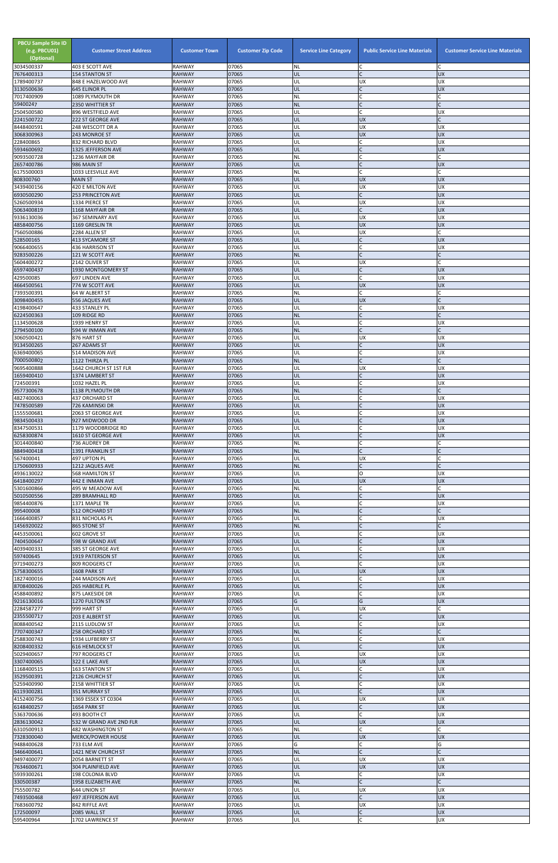| <b>PBCU Sample Site ID</b><br>(e.g. PBCU01)<br>(Optional)<br>3034500337 | <b>Customer Street Address</b>             | <b>Customer Town</b><br><b>RAHWAY</b> | <b>Customer Zip Code</b><br>07065 | <b>Service Line Category</b> | <b>Public Service Line Materials</b><br>C | <b>Customer Service Line Materials</b><br>C |
|-------------------------------------------------------------------------|--------------------------------------------|---------------------------------------|-----------------------------------|------------------------------|-------------------------------------------|---------------------------------------------|
| 7676400313                                                              | 403 E SCOTT AVE<br><b>154 STANTON ST</b>   | <b>RAHWAY</b>                         | 07065                             | <b>NL</b><br>UL              | $\mathsf{C}$                              | <b>UX</b>                                   |
| 1789400737                                                              | 848 E HAZELWOOD AVE                        | <b>RAHWAY</b>                         | 07065                             | UL                           | <b>UX</b>                                 | <b>UX</b>                                   |
| 3130500636<br>7017400909                                                | 645 ELINOR PL<br>1089 PLYMOUTH DR          | <b>RAHWAY</b><br><b>RAHWAY</b>        | 07065<br>07065                    | UL<br><b>NL</b>              | $\mathsf{C}$<br>$\mathsf{C}$              | <b>UX</b>                                   |
| 59400247                                                                | 2350 WHITTIER ST                           | <b>RAHWAY</b>                         | 07065                             | <b>NL</b>                    | $\mathcal{C}$                             |                                             |
| 2504500580                                                              | 896 WESTFIELD AVE                          | <b>RAHWAY</b>                         | 07065                             | UL                           | $\mathsf{C}$<br><b>UX</b>                 | <b>UX</b><br>C                              |
| 2241500722<br>8448400591                                                | 222 ST GEORGE AVE<br>248 WESCOTT DR A      | <b>RAHWAY</b><br>RAHWAY               | 07065<br>07065                    | UL<br>UL                     | UX                                        | UX                                          |
| 3068300963                                                              | 243 MONROE ST                              | <b>RAHWAY</b>                         | 07065                             | UL                           | <b>UX</b>                                 | <b>UX</b>                                   |
| 228400865<br>5934600692                                                 | 832 RICHARD BLVD<br>1325 JEFFERSON AVE     | <b>RAHWAY</b><br><b>RAHWAY</b>        | 07065<br>07065                    | UL<br>UL                     | $\mathsf{C}$                              | <b>UX</b><br><b>UX</b>                      |
| 9093500728                                                              | 1236 MAYFAIR DR                            | <b>RAHWAY</b>                         | 07065                             | <b>NL</b>                    | $\mathsf{C}$                              | $\mathsf{C}$                                |
| 2657400786                                                              | 986 MAIN ST                                | <b>RAHWAY</b>                         | 07065                             | UL                           | $\mathsf{C}$<br>$\mathsf{C}$              | <b>UX</b><br>$\mathsf{C}$                   |
| 6175500003<br>808300760                                                 | 1033 LEESVILLE AVE<br><b>MAIN ST</b>       | <b>RAHWAY</b><br><b>RAHWAY</b>        | 07065<br>07065                    | <b>NL</b><br>UL              | <b>UX</b>                                 | <b>UX</b>                                   |
| 3439400156                                                              | 420 E MILTON AVE                           | <b>RAHWAY</b>                         | 07065                             | UL                           | <b>UX</b>                                 | <b>UX</b>                                   |
| 6930500290<br>5260500934                                                | <b>253 PRINCETON AVE</b><br>1334 PIERCE ST | <b>RAHWAY</b><br><b>RAHWAY</b>        | 07065<br>07065                    | UL<br>UL                     | $\mathsf{C}$<br><b>UX</b>                 | <b>UX</b><br><b>UX</b>                      |
| 5063400819                                                              | 1168 MAYFAIR DR                            | <b>RAHWAY</b>                         | 07065                             | UL                           | $\mathsf{C}$                              | <b>UX</b>                                   |
| 9336130036                                                              | 367 SEMINARY AVE                           | <b>RAHWAY</b>                         | 07065                             | UL                           | <b>UX</b>                                 | <b>UX</b>                                   |
| 4858400756<br>7560500886                                                | 1169 GRESLIN TR<br>2284 ALLEN ST           | <b>RAHWAY</b><br><b>RAHWAY</b>        | 07065<br>07065                    | UL<br>UL                     | <b>UX</b><br>UX                           | <b>UX</b>                                   |
| 528500165                                                               | 413 SYCAMORE ST                            | <b>RAHWAY</b>                         | 07065                             | UL                           | $\mathsf{C}$                              | <b>UX</b>                                   |
| 9066400655<br>9283500226                                                | 436 HARRISON ST                            | <b>RAHWAY</b><br><b>RAHWAY</b>        | 07065<br>07065                    | UL<br><b>NL</b>              | $\mathsf{C}$<br>$\mathsf{C}$              | <b>UX</b><br>C                              |
| 5604400272                                                              | 121 W SCOTT AVE<br>2142 OLIVER ST          | <b>RAHWAY</b>                         | 07065                             | UL                           | <b>UX</b>                                 | $\Gamma$                                    |
| 6597400437                                                              | 1930 MONTGOMERY ST                         | <b>RAHWAY</b>                         | 07065                             | UL                           | $\mathsf{C}$                              | <b>UX</b>                                   |
| 429500085<br>4664500561                                                 | 697 LINDEN AVE<br>774 W SCOTT AVE          | <b>RAHWAY</b><br><b>RAHWAY</b>        | 07065<br>07065                    | UL<br>UL                     | $\mathsf{C}$<br><b>UX</b>                 | <b>UX</b><br><b>UX</b>                      |
| 7393500391                                                              | 64 W ALBERT ST                             | <b>RAHWAY</b>                         | 07065                             | <b>NL</b>                    | $\mathsf{C}$                              | C                                           |
| 3098400455                                                              | 556 JAQUES AVE                             | <b>RAHWAY</b>                         | 07065                             | UL                           | <b>UX</b>                                 | C                                           |
| 4198400647<br>6224500363                                                | 433 STANLEY PL<br>109 RIDGE RD             | <b>RAHWAY</b><br><b>RAHWAY</b>        | 07065<br>07065                    | UL<br><b>NL</b>              | $\mathsf{C}$<br>$\mathsf{C}$              | <b>UX</b><br>$\mathsf{C}$                   |
| 1134500628                                                              | 1939 HENRY ST                              | <b>RAHWAY</b>                         | 07065                             | UL                           | $\mathsf{C}$                              | <b>UX</b>                                   |
| 2794500100<br>3060500421                                                | 594 W INMAN AVE<br>876 HART ST             | <b>RAHWAY</b><br><b>RAHWAY</b>        | 07065<br>07065                    | <b>NL</b><br>UL              | $\mathsf{C}$<br><b>UX</b>                 | $\mathsf{C}$<br><b>UX</b>                   |
| 9134500265                                                              | 267 ADAMS ST                               | <b>RAHWAY</b>                         | 07065                             | UL                           | $\mathsf{C}$                              | <b>UX</b>                                   |
| 6369400065                                                              | 514 MADISON AVE                            | <b>RAHWAY</b>                         | 07065                             | UL                           |                                           | UX                                          |
| 7000500802<br>9695400888                                                | 1122 THIRZA PL<br>1642 CHURCH ST 1ST FLR   | <b>RAHWAY</b><br><b>RAHWAY</b>        | 07065<br>07065                    | <b>NL</b><br>UL              | $\mathsf{C}$<br><b>UX</b>                 | $\mathsf{C}$<br>UX                          |
| 1659400410                                                              | 1374 LAMBERT ST                            | <b>RAHWAY</b>                         | 07065                             | UL                           | $\mathsf{C}$                              | <b>UX</b>                                   |
| 724500391                                                               | 1032 HAZEL PL                              | <b>RAHWAY</b>                         | 07065                             | UL                           | $\mathsf{C}$<br>$\mathsf{C}$              | <b>UX</b><br>C                              |
| 9577300678<br>4827400063                                                | 1138 PLYMOUTH DR<br><b>437 ORCHARD ST</b>  | <b>RAHWAY</b><br>RAHWAY               | 07065<br>07065                    | <b>NL</b><br>UL              |                                           | <b>UX</b>                                   |
| 7478500589                                                              | 726 KAMINSKI DR                            | <b>RAHWAY</b>                         | 07065                             | UL                           |                                           | <b>UX</b>                                   |
| 1555500681<br>9834500433                                                | 2063 ST GEORGE AVE<br>927 MIDWOOD DR       | <b>RAHWAY</b><br><b>RAHWAY</b>        | 07065<br>07065                    | UL<br>UL                     | $\overline{C}$<br>$\mathsf{C}$            | <b>UX</b><br><b>UX</b>                      |
| 8347500531                                                              | 1179 WOODBRIDGE RD                         | <b>RAHWAY</b>                         | 07065                             | UL                           | $\mathsf{C}$                              | UX                                          |
| 6258300874                                                              | 1610 ST GEORGE AVE                         | <b>RAHWAY</b>                         | 07065                             | UL                           | $\mathsf{C}$                              | <b>UX</b>                                   |
| 3014400840<br>8849400418                                                | 736 AUDREY DR<br>1391 FRANKLIN ST          | <b>RAHWAY</b><br><b>RAHWAY</b>        | 07065<br>07065                    | <b>NL</b><br><b>NL</b>       | $\mathsf{C}$<br>$\mathsf{C}$              |                                             |
| 567400041                                                               | 497 UPTON PL                               | <b>RAHWAY</b>                         | 07065                             | UL                           | UX                                        | C                                           |
| 1750600933<br>4936130022                                                | 1212 JAQUES AVE<br>568 HAMILTON ST         | <b>RAHWAY</b><br><b>RAHWAY</b>        | 07065<br>07065                    | <b>NL</b><br>UL              | $\mathsf{C}$<br>$\circ$                   | <b>UX</b>                                   |
| 6418400297                                                              | 442 E INMAN AVE                            | <b>RAHWAY</b>                         | 07065                             | UL                           | <b>UX</b>                                 | <b>UX</b>                                   |
| 5301600866                                                              | 495 W MEADOW AVE                           | <b>RAHWAY</b>                         | 07065                             | NL                           | C                                         |                                             |
| 5010500556<br>9854400876                                                | <b>289 BRAMHALL RD</b><br>1371 MAPLE TR    | <b>RAHWAY</b><br><b>RAHWAY</b>        | 07065<br>07065                    | UL<br>UL                     | $\mathsf{C}$<br>$\mathsf{C}$              | <b>UX</b><br><b>UX</b>                      |
| 995400008                                                               | <b>512 ORCHARD ST</b>                      | <b>RAHWAY</b>                         | 07065                             | <b>NL</b>                    | $\mathsf{C}$                              |                                             |
| 1666400857<br>1456920022                                                | 831 NICHOLAS PL<br>865 STONE ST            | <b>RAHWAY</b><br><b>RAHWAY</b>        | 07065<br>07065                    | UL<br><b>NL</b>              | $\mathcal{C}$                             | <b>UX</b>                                   |
| 4453500061                                                              | 602 GROVE ST                               | RAHWAY                                | 07065                             | UL                           | $\mathsf{C}$                              | <b>UX</b>                                   |
| 7404500647                                                              | 598 W GRAND AVE                            | <b>RAHWAY</b>                         | 07065                             | UL                           | $\mathsf C$                               | UX                                          |
| 4039400331<br>597400645                                                 | 385 ST GEORGE AVE<br>1919 PATERSON ST      | <b>RAHWAY</b><br><b>RAHWAY</b>        | 07065<br>07065                    | UL<br>UL                     | $\mathsf{C}$<br>$\mathsf{C}$              | <b>UX</b><br><b>UX</b>                      |
| 9719400273                                                              | 809 RODGERS CT                             | <b>RAHWAY</b>                         | 07065                             | UL                           | $\mathsf{C}$                              | <b>UX</b>                                   |
| 5758300655<br>1827400016                                                | 1608 PARK ST                               | <b>RAHWAY</b><br><b>RAHWAY</b>        | 07065                             | UL                           | UX<br>$\mathsf{C}$                        | <b>UX</b><br><b>UX</b>                      |
| 8708400026                                                              | 244 MADISON AVE<br>265 HABERLE PL          | <b>RAHWAY</b>                         | 07065<br>07065                    | UL<br>UL                     |                                           | <b>UX</b>                                   |
| 4588400892                                                              | 875 LAKESIDE DR                            | <b>RAHWAY</b>                         | 07065                             | UL                           | $\mathsf{C}$                              | <b>UX</b>                                   |
| 9216130016<br>2284587277                                                | 1270 FULTON ST<br>999 HART ST              | <b>RAHWAY</b><br><b>RAHWAY</b>        | 07065<br>07065                    | G<br>UL                      | G<br><b>UX</b>                            | <b>UX</b>                                   |
| 2355500717                                                              | 203 E ALBERT ST                            | <b>RAHWAY</b>                         | 07065                             | UL                           | $\mathsf{C}$                              | <b>UX</b>                                   |
| 8088400542<br>7707400347                                                | 2115 LUDLOW ST<br><b>258 ORCHARD ST</b>    | <b>RAHWAY</b><br><b>RAHWAY</b>        | 07065<br>07065                    | UL<br><b>NL</b>              | $\mathsf{C}$                              | <b>UX</b><br>C                              |
| 2588300743                                                              | 1934 LUFBERRY ST                           | <b>RAHWAY</b>                         | 07065                             | UL                           | $\mathsf{C}$                              | <b>UX</b>                                   |
| 8208400332                                                              | <b>616 HEMLOCK ST</b>                      | <b>RAHWAY</b>                         | 07065                             | UL                           | $\mathsf{C}$                              | <b>UX</b>                                   |
| 5029400657<br>3307400065                                                | 797 RODGERS CT<br>322 E LAKE AVE           | <b>RAHWAY</b><br><b>RAHWAY</b>        | 07065<br>07065                    | UL<br>UL                     | <b>UX</b><br><b>UX</b>                    | <b>UX</b><br><b>UX</b>                      |
| 1168400515                                                              | 163 STANTON ST                             | RAHWAY                                | 07065                             | UL                           |                                           | UX                                          |
| 3529500391                                                              | 2126 CHURCH ST                             | <b>RAHWAY</b>                         | 07065                             | UL                           | $\mathsf{C}$                              | <b>UX</b>                                   |
| 5259400990<br>6119300281                                                | 2158 WHITTIER ST<br>351 MURRAY ST          | <b>RAHWAY</b><br><b>RAHWAY</b>        | 07065<br>07065                    | UL<br>UL                     | $\mathsf{C}$<br>$\mathsf{C}$              | <b>UX</b><br><b>UX</b>                      |
| 4152400756                                                              | 1369 ESSEX ST C0304                        | RAHWAY                                | 07065                             | UL                           | <b>UX</b>                                 | <b>UX</b>                                   |
| 6148400257<br>5363700636                                                | 1654 PARK ST<br>493 BOOTH CT               | <b>RAHWAY</b><br><b>RAHWAY</b>        | 07065<br>07065                    | UL<br>UL                     | $\mathsf{C}$<br>$\mathsf{C}$              | <b>UX</b><br><b>UX</b>                      |
| 2836130042                                                              | 532 W GRAND AVE 2ND FLR                    | <b>RAHWAY</b>                         | 07065                             | UL                           | <b>UX</b>                                 | <b>UX</b>                                   |
| 6310500913                                                              | 482 WASHINGTON ST                          | <b>RAHWAY</b>                         | 07065                             | <b>NL</b>                    | $\mathsf{C}$                              | $\mathsf{C}$                                |
| 7328300040<br>9488400628                                                | <b>MERCK/POWER HOUSE</b><br>733 ELM AVE    | <b>RAHWAY</b><br>RAHWAY               | 07065<br>07065                    | UL<br>G                      | <b>UX</b><br>$\mathsf{C}$                 | <b>UX</b><br>G                              |
| 3466400641                                                              | 1421 NEW CHURCH ST                         | <b>RAHWAY</b>                         | 07065                             | <b>NL</b>                    | $\mathsf{C}$                              |                                             |
| 9497400077<br>7634600671                                                | 2054 BARNETT ST<br>304 PLAINFIELD AVE      | RAHWAY                                | 07065<br>07065                    | UL<br>UL                     | <b>UX</b><br><b>UX</b>                    | <b>UX</b><br><b>UX</b>                      |
| 5939300261                                                              | 198 COLONIA BLVD                           | <b>RAHWAY</b><br>RAHWAY               | 07065                             | UL                           | $\mathsf{C}$                              | <b>UX</b>                                   |
| 330500387                                                               | 1958 ELIZABETH AVE                         | <b>RAHWAY</b>                         | 07065                             | <b>NL</b>                    | $\mathsf{C}$                              |                                             |
| 755500782<br>7493500468                                                 | 644 UNION ST<br>497 JEFFERSON AVE          | <b>RAHWAY</b><br>RAHWAY               | 07065<br>07065                    | UL<br>UL                     | <b>UX</b><br>$\mathsf{C}$                 | <b>UX</b><br><b>UX</b>                      |
| 7683600792                                                              | 842 RIFFLE AVE                             | RAHWAY                                | 07065                             | UL                           | <b>UX</b>                                 | <b>UX</b>                                   |
| 172500097<br>595400964                                                  | 2085 WALL ST<br>1702 LAWRENCE ST           | <b>RAHWAY</b><br>RAHWAY               | 07065<br>07065                    | UL<br>UL                     | $\mathsf{C}$<br>$\mathsf C$               | <b>UX</b><br>UX                             |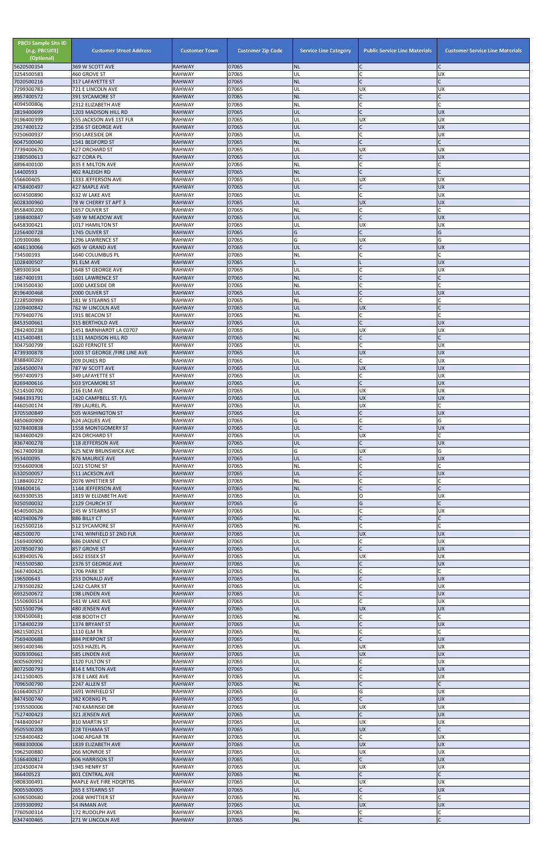| <b>PBCU Sample Site ID</b><br>(e.g. PBCU01)<br>(Optional) | <b>Customer Street Address</b>                  | <b>Customer Town</b>           | <b>Customer Zip Code</b> | <b>Service Line Category</b> | <b>Public Service Line Materials</b> | <b>Customer Service Line Materials</b> |
|-----------------------------------------------------------|-------------------------------------------------|--------------------------------|--------------------------|------------------------------|--------------------------------------|----------------------------------------|
| 5620500354<br>3254500583                                  | 369 W SCOTT AVE<br>460 GROVE ST                 | <b>RAHWAY</b><br><b>RAHWAY</b> | 07065<br>07065           | <b>NL</b><br>UL              | $\mathsf{C}$                         | <b>UX</b>                              |
| 7020500216                                                | 317 LAFAYETTE ST                                | <b>RAHWAY</b>                  | 07065                    | <b>NL</b>                    | $\mathsf{C}$                         |                                        |
| 7299300783<br>8957400572                                  | 721 E LINCOLN AVE<br><b>391 SYCAMORE ST</b>     | <b>RAHWAY</b><br><b>RAHWAY</b> | 07065<br>07065           | UL<br><b>NL</b>              | <b>UX</b>                            | <b>UX</b>                              |
| 4094500806                                                | 2312 ELIZABETH AVE                              | <b>RAHWAY</b>                  | 07065                    | <b>NL</b>                    |                                      |                                        |
| 2819400699<br>9196400399                                  | 1203 MADISON HILL RD<br>555 JACKSON AVE 1ST FLR | <b>RAHWAY</b><br><b>RAHWAY</b> | 07065<br>07065           | UL<br>UL                     | $\sqrt{ }$<br><b>UX</b>              | <b>UX</b><br><b>UX</b>                 |
| 2917400122                                                | 2356 ST GEORGE AVE                              | <b>RAHWAY</b>                  | 07065                    | UL                           |                                      | <b>UX</b>                              |
| 9250600937<br>6047500040                                  | 950 LAKESIDE DR<br>1541 BEDFORD ST              | <b>RAHWAY</b><br><b>RAHWAY</b> | 07065<br>07065           | UL<br><b>NL</b>              | $\mathsf{C}$<br>$\mathsf{C}$         | <b>UX</b>                              |
| 7739400670                                                | 427 ORCHARD ST                                  | <b>RAHWAY</b>                  | 07065                    | UL                           | <b>UX</b>                            | <b>UX</b>                              |
| 2380500613                                                | 627 CORA PL                                     | <b>RAHWAY</b>                  | 07065                    | UL                           | $\mathsf{C}$<br>$\mathsf{C}$         | <b>UX</b>                              |
| 8896400100<br>14400593                                    | 835 E MILTON AVE<br><b>402 RALEIGH RD</b>       | <b>RAHWAY</b><br><b>RAHWAY</b> | 07065<br>07065           | <b>NL</b><br><b>NL</b>       | iC.                                  |                                        |
| 556600405                                                 | 1333 JEFFERSON AVE                              | <b>RAHWAY</b>                  | 07065                    | UL                           | <b>UX</b>                            | <b>UX</b>                              |
| 4758400497<br>6074500890                                  | 427 MAPLE AVE<br>632 W LAKE AVE                 | <b>RAHWAY</b><br><b>RAHWAY</b> | 07065<br>07065           | UL<br>UL                     | $\mathsf{C}$<br>$\mathsf{C}$         | <b>UX</b><br><b>UX</b>                 |
| 6028300960                                                | 78 W CHERRY ST APT 3                            | <b>RAHWAY</b>                  | 07065                    | UL                           | <b>UX</b>                            | <b>UX</b>                              |
| 8558400200<br>1898400847                                  | 1657 OLIVER ST<br>549 W MEADOW AVE              | <b>RAHWAY</b><br><b>RAHWAY</b> | 07065<br>07065           | NL<br>UL                     | C<br>$\mathsf{C}$                    | <b>UX</b>                              |
| 6458300421                                                | 1017 HAMILTON ST                                | <b>RAHWAY</b>                  | 07065                    | UL                           | <b>UX</b>                            | <b>UX</b>                              |
| 2256400728<br>109300086                                   | 1745 OLIVER ST<br>1296 LAWRENCE ST              | <b>RAHWAY</b><br><b>RAHWAY</b> | 07065<br>07065           | G<br>Ġ                       | $\mathsf{C}$<br><b>UX</b>            | G<br>G                                 |
| 4046130066                                                | 605 W GRAND AVE                                 | <b>RAHWAY</b>                  | 07065                    | UL                           | $\mathsf{C}$                         | <b>UX</b>                              |
| 734500393                                                 | 1640 COLUMBUS PL                                | <b>RAHWAY</b>                  | 07065                    | NL                           | $\mathsf{C}$                         | $\mathsf{C}$                           |
| 1028400507<br>589300304                                   | 91 ELM AVE<br>1648 ST GEORGE AVE                | <b>RAHWAY</b><br><b>RAHWAY</b> | 07065<br>07065           | UL                           |                                      | <b>UX</b><br><b>UX</b>                 |
| 1667400191                                                | 1601 LAWRENCE ST                                | <b>RAHWAY</b>                  | 07065                    | <b>NL</b>                    | $\mathsf{C}$                         | $\mathsf{C}$                           |
| 1943500430<br>8196400468                                  | 1000 LAKESIDE DR<br>2000 OLIVER ST              | <b>RAHWAY</b><br><b>RAHWAY</b> | 07065<br>07065           | <b>NL</b><br>UL              | $\mathsf{C}$<br> c                   | C<br><b>UX</b>                         |
| 2228500989                                                | 181 W STEARNS ST                                | <b>RAHWAY</b>                  | 07065                    | <b>NL</b>                    | $\mathsf{C}$                         |                                        |
| 1209400842<br>7979400776                                  | 762 W LINCOLN AVE<br>1915 BEACON ST             | <b>RAHWAY</b><br><b>RAHWAY</b> | 07065<br>07065           | UL<br>NL                     | <b>UX</b><br>C                       |                                        |
| 8453500661                                                | 315 BERTHOLD AVE                                | <b>RAHWAY</b>                  | 07065                    | UL                           | $\mathsf{C}$                         | <b>UX</b>                              |
| 2842400238                                                | 1451 BARNHARDT LA C0707                         | <b>RAHWAY</b>                  | 07065<br>07065           | UL                           | <b>UX</b>                            | <b>UX</b>                              |
| 4115400481<br>3047500799                                  | 1131 MADISON HILL RD<br>1620 FERNOTE ST         | <b>RAHWAY</b><br><b>RAHWAY</b> | 07065                    | <b>NL</b><br>UL              |                                      | <b>UX</b>                              |
| 4739300878                                                | 1003 ST GEORGE /FIRE LINE AVE                   | RAHWAY                         | 07065                    | UL                           | <b>UX</b>                            | <b>IUX</b>                             |
| 8388400267<br>2654500074                                  | 209 DUKES RD<br>787 W SCOTT AVE                 | <b>RAHWAY</b><br><b>RAHWAY</b> | 07065<br>07065           | UL<br>UL                     | $\mathsf{C}$<br><b>UX</b>            | <b>UX</b><br><b>UX</b>                 |
| 9597400973                                                | 349 LAFAYETTE ST                                | <b>RAHWAY</b>                  | 07065                    | UL                           | C                                    | <b>UX</b>                              |
| 8269400616<br>5214500700                                  | 503 SYCAMORE ST<br>216 ELM AVE                  | <b>RAHWAY</b><br><b>RAHWAY</b> | 07065<br>07065           | UL<br>UL                     | $\mathsf C$<br><b>UX</b>             | <b>UX</b><br><b>UX</b>                 |
| 9484393791                                                | 1420 CAMPBELL ST. F/L                           | <b>RAHWAY</b>                  | 07065                    | UL                           | <b>UX</b>                            | <b>UX</b>                              |
| 4460500174<br>3705500849                                  | 789 LAUREL PL                                   | <b>RAHWAY</b>                  | 07065                    | UL                           | <b>UX</b><br>$\mathsf{C}$            |                                        |
| 4850600909                                                | 505 WASHINGTON ST<br>624 JAQUES AVE             | <b>RAHWAY</b><br><b>RAHWAY</b> | 07065<br>07065           | UL<br>G                      | $\mathsf{C}$                         | <b>UX</b><br>G                         |
| 9278400838                                                | 1558 MONTGOMERY ST                              | <b>RAHWAY</b>                  | 07065                    | UL                           | $\mathsf{C}$                         | <b>UX</b>                              |
| 3634600429<br>8367400278                                  | 424 ORCHARD ST<br>118 JEFFERSON AVE             | <b>RAHWAY</b><br><b>RAHWAY</b> | 07065<br>07065           | UL<br>UL                     | UX                                   | <b>UX</b>                              |
| 9617400938                                                | 625 NEW BRUNSWICK AVE                           | <b>RAHWAY</b>                  | 07065                    | G                            | <b>UX</b>                            | G                                      |
| 953400095<br>9356600908                                   | 876 MAURICE AVE<br>1021 STONE ST                | <b>RAHWAY</b><br><b>RAHWAY</b> | 07065<br>07065           | UL<br>NL                     | $\mathsf{C}$<br>$\mathsf{C}$         | <b>UX</b>                              |
| 6320500057                                                | 511 JACKSON AVE                                 | <b>RAHWAY</b>                  | 07065                    | UL                           | $\mathsf{C}$                         | <b>UX</b>                              |
| 1188400272<br>934600416                                   | 2076 WHITTIER ST<br>1144 JEFFERSON AVE          | <b>RAHWAY</b><br><b>RAHWAY</b> | 07065<br>07065           | <b>NL</b><br><b>NL</b>       |                                      |                                        |
| 6639300535                                                | 1819 W ELIZABETH AVE                            | <b>RAHWAY</b>                  | 07065                    | UL                           | O                                    | UX                                     |
| 9250500032<br>4540500526                                  | 2129 CHURCH ST<br>245 W STEARNS ST              | <b>RAHWAY</b><br><b>RAHWAY</b> | 07065<br>07065           | G<br>UL                      | G<br>$\mathsf{C}$                    | <b>UX</b>                              |
| 4029400679                                                | 886 BILLY CT                                    | <b>RAHWAY</b>                  | 07065                    | <b>NL</b>                    | $\mathsf{C}$                         |                                        |
| 1625500216                                                | 512 SYCAMORE ST                                 | <b>RAHWAY</b>                  | 07065                    | <b>NL</b>                    | $\mathsf{C}$                         | C                                      |
| 482500070<br>1569400900                                   | 1741 WINFIELD ST 2ND FLR<br>686 DIANNE CT       | <b>RAHWAY</b><br><b>RAHWAY</b> | 07065<br>07065           | UL<br>UL                     | <b>UX</b><br>C                       | <b>UX</b><br><b>UX</b>                 |
| 2078500730                                                | 857 GROVE ST                                    | <b>RAHWAY</b>                  | 07065                    | UL                           | IC.                                  | <b>UX</b>                              |
| 6189400576<br>7455500580                                  | 1652 ESSEX ST<br>2376 ST GEORGE AVE             | <b>RAHWAY</b><br><b>RAHWAY</b> | 07065<br>07065           | UL<br>UL                     | <b>UX</b><br>$\mathsf{C}$            | <b>UX</b><br><b>UX</b>                 |
| 3667400425                                                | 1706 PARK ST                                    | <b>RAHWAY</b>                  | 07065                    | NL                           | $\mathsf C$                          |                                        |
| 196500643<br>2783500282                                   | 253 DONALD AVE<br>1242 CLARK ST                 | <b>RAHWAY</b><br><b>RAHWAY</b> | 07065<br>07065           | UL<br>UL                     | $\mathsf{C}$<br>$\mathsf{C}$         | <b>UX</b><br><b>UX</b>                 |
| 6932500672                                                | 198 LINDEN AVE                                  | <b>RAHWAY</b>                  | 07065                    | UL                           | $\mathsf{C}$                         | <b>UX</b>                              |
| 1550600514<br>5015500796                                  | 541 W LAKE AVE                                  | RAHWAY<br><b>RAHWAY</b>        | 07065<br>07065           | UL<br>UL                     | C<br><b>UX</b>                       | <b>UX</b><br><b>UX</b>                 |
| 3304500681                                                | 480 JENSEN AVE<br>498 BOOTH CT                  | <b>RAHWAY</b>                  | 07065                    | <b>NL</b>                    |                                      |                                        |
| 1758400239                                                | 1374 BRYANT ST                                  | <b>RAHWAY</b>                  | 07065                    | UL                           |                                      | <b>UX</b>                              |
| 8821500251<br>7569400688                                  | <b>1110 ELM TR</b><br>884 PIERPONT ST           | <b>RAHWAY</b><br><b>RAHWAY</b> | 07065<br>07065           | NL<br>UL                     | $\mathsf{C}$<br>$\overline{C}$       | C<br><b>UX</b>                         |
| 8691400346                                                | 1053 HAZEL PL                                   | <b>RAHWAY</b>                  | 07065                    | UL                           | <b>UX</b>                            | <b>UX</b>                              |
| 9209300661<br>8005600992                                  | 585 LINDEN AVE<br>1120 FULTON ST                | <b>RAHWAY</b><br><b>RAHWAY</b> | 07065<br>07065           | UL<br>UL                     | <b>UX</b><br>C                       | <b>UX</b><br><b>UX</b>                 |
| 8072500793                                                | 814 E MILTON AVE                                | <b>RAHWAY</b>                  | 07065                    | UL                           | $\sim$                               | UX                                     |
| 2411500405<br>7096500790                                  | 378 E LAKE AVE<br>2247 ALLEN ST                 | <b>RAHWAY</b><br><b>RAHWAY</b> | 07065<br>07065           | UL<br><b>NL</b>              | $\mathsf{C}$                         | <b>UX</b>                              |
| 6166400537                                                | 1691 WINFIELD ST                                | <b>RAHWAY</b>                  | 07065                    | G                            | G                                    | <b>UX</b>                              |
| 8474500740                                                | 382 KOENIG PL                                   | <b>RAHWAY</b>                  | 07065                    | UL                           | $\mathsf{C}$                         | <b>UX</b>                              |
| 1935500006<br>7527400423                                  | 740 KAMINSKI DR<br>321 JENSEN AVE               | RAHWAY<br><b>RAHWAY</b>        | 07065<br>07065           | UL<br>UL                     | <b>UX</b><br>$\mathsf{C}$            | <b>UX</b><br><b>UX</b>                 |
| 7448400947                                                | 810 MARTIN ST                                   | <b>RAHWAY</b>                  | 07065                    | UL                           | <b>UX</b>                            | <b>UX</b>                              |
| 9505500208<br>3258400482                                  | 228 TEHAMA ST<br>1040 APGAR TR                  | <b>RAHWAY</b><br>RAHWAY        | 07065<br>07065           | UL<br>UL                     | <b>UX</b><br>$\mathsf{C}$            | $\mathsf{C}$<br><b>UX</b>              |
| 9888300006                                                | 1839 ELIZABETH AVE                              | <b>RAHWAY</b>                  | 07065                    | UL                           | <b>UX</b>                            | <b>UX</b>                              |
| 3962500880<br>5166400817                                  | 266 MONROE ST                                   | <b>RAHWAY</b>                  | 07065<br>07065           | UL<br>UL                     | UX<br>$\mathsf{C}$                   | <b>UX</b><br><b>UX</b>                 |
| 2024500474                                                | <b>606 HARRISON ST</b><br>1945 HENRY ST         | <b>RAHWAY</b><br>RAHWAY        | 07065                    | UL                           | <b>UX</b>                            | <b>UX</b>                              |
| 366400523                                                 | 801 CENTRAL AVE                                 | <b>RAHWAY</b>                  | 07065                    | <b>NL</b>                    | $\mathsf{C}$                         |                                        |
| 9808300491<br>9005500005                                  | MAPLE AVE FIRE HDQRTRS<br>265 E STEARNS ST      | <b>RAHWAY</b><br><b>RAHWAY</b> | 07065<br>07065           | UL<br>UL                     | UX<br>$\mathsf{C}$                   | <b>UX</b><br><b>UX</b>                 |
| 6396500680                                                | 2068 WHITTIER ST                                | RAHWAY                         | 07065                    | <b>NL</b>                    | $\mathsf{C}$                         |                                        |
| 2939300992<br>7760500314                                  | 54 INMAN AVE<br>172 RUDOLPH AVE                 | <b>RAHWAY</b><br><b>RAHWAY</b> | 07065<br>07065           | UL<br><b>NL</b>              | <b>UX</b><br>$\mathsf C$             | <b>UX</b>                              |
| 6347400465                                                | 271 W LINCOLN AVE                               | <b>RAHWAY</b>                  | 07065                    | NL                           | $\overline{C}$                       | $\overline{C}$                         |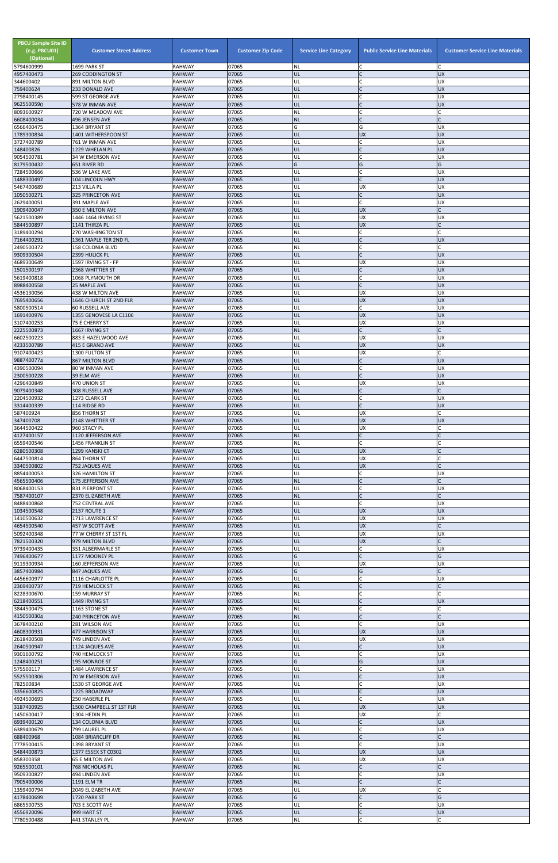| <b>PBCU Sample Site ID</b><br>(e.g. PBCU01)<br>(Optional)<br>5794600999 | <b>Customer Street Address</b><br>1699 PARK ST   | <b>Customer Town</b><br><b>RAHWAY</b> | <b>Customer Zip Code</b><br>07065 | <b>Service Line Category</b><br><b>NL</b> | <b>Public Service Line Materials</b> | <b>Customer Service Line Materials</b> |
|-------------------------------------------------------------------------|--------------------------------------------------|---------------------------------------|-----------------------------------|-------------------------------------------|--------------------------------------|----------------------------------------|
| 4957400473                                                              | <b>269 CODDINGTON ST</b>                         | <b>RAHWAY</b>                         | 07065                             | UL                                        |                                      | <b>UX</b>                              |
| 344600402<br>759400624                                                  | 891 MILTON BLVD                                  | RAHWAY                                | 07065<br>07065                    | UL<br>ŰĹ                                  | $\mathsf{C}$<br>$\mathsf{C}$         | <b>UX</b><br><b>UX</b>                 |
| 2798400145                                                              | 233 DONALD AVE<br>599 ST GEORGE AVE              | <b>RAHWAY</b><br>RAHWAY               | 07065                             | UL                                        |                                      | <b>UX</b>                              |
| 9625500590<br>8093600927                                                | 578 W INMAN AVE<br>720 W MEADOW AVE              | <b>RAHWAY</b><br>RAHWAY               | 07065<br>07065                    | UL<br>NL                                  | $\mathsf{C}$                         | <b>UX</b>                              |
| 6608400034                                                              | 496 JENSEN AVE                                   | <b>RAHWAY</b>                         | 07065                             | <b>NL</b>                                 | $\mathsf{C}$                         |                                        |
| 6566400475                                                              | 1364 BRYANT ST                                   | RAHWAY                                | 07065                             | G                                         | G                                    | <b>UX</b>                              |
| 1789300834<br>3727400789                                                | 1401 WITHERSPOON ST<br>761 W INMAN AVE           | <b>RAHWAY</b><br>RAHWAY               | 07065<br>07065                    | UL<br>UL                                  | <b>UX</b><br>$\mathsf{C}$            | <b>UX</b><br><b>UX</b>                 |
| 148400826                                                               | 1229 WHELAN PL                                   | <b>RAHWAY</b>                         | 07065                             | UL                                        | $\mathsf{C}$                         | <b>UX</b>                              |
| 9054500781<br>8179500432                                                | 34 W EMERSON AVE<br>651 RIVER RD                 | RAHWAY<br><b>RAHWAY</b>               | 07065<br>07065                    | UL<br>Ġ                                   | $\mathsf{C}$<br>G                    | <b>UX</b><br>G                         |
| 7284500666                                                              | 536 W LAKE AVE                                   | <b>RAHWAY</b>                         | 07065                             | UL                                        | $\mathsf{C}$                         | <b>UX</b>                              |
| 1488300497                                                              | 104 LINCOLN HWY                                  | <b>RAHWAY</b>                         | 07065                             | UL                                        | $\mathsf{C}$                         | <b>UX</b>                              |
| 5467400689<br>1050500271                                                | 213 VILLA PL<br><b>325 PRINCETON AVE</b>         | <b>RAHWAY</b><br><b>RAHWAY</b>        | 07065<br>07065                    | UL<br>UL                                  | <b>UX</b><br>$\mathsf{C}$            | <b>UX</b><br><b>UX</b>                 |
| 2629400051                                                              | 391 MAPLE AVE                                    | RAHWAY                                | 07065                             | UL                                        | $\mathsf{C}$                         | <b>UX</b>                              |
| 1909400047<br>5621500389                                                | 350 E MILTON AVE<br>1446 1464 IRVING ST          | <b>RAHWAY</b><br>RAHWAY               | 07065<br>07065                    | UL<br>UL                                  | <b>UX</b><br><b>UX</b>               | <b>UX</b>                              |
| 5844500897                                                              | 1141 THIRZA PL                                   | <b>RAHWAY</b>                         | 07065                             | UL                                        | <b>UX</b>                            |                                        |
| 3189400294                                                              | <b>270 WASHINGTON ST</b>                         | <b>RAHWAY</b>                         | 07065                             | NL                                        | $\mathsf{C}$                         |                                        |
| 7164400291<br>2490500372                                                | 1361 MAPLE TER 2ND FL<br><b>158 COLONIA BLVD</b> | <b>RAHWAY</b><br>RAHWAY               | 07065<br>07065                    | UL<br>NL                                  | $\mathsf{C}$<br>$\mathsf{C}$         | <b>UX</b>                              |
| 9309300504                                                              | 2399 HULICK PL                                   | <b>RAHWAY</b>                         | 07065                             | UL                                        | $\mathsf{C}$                         | <b>UX</b>                              |
| 4689300649                                                              | 1597 IRVING ST - FP                              | <b>RAHWAY</b>                         | 07065                             | UL                                        | <b>UX</b>                            | <b>UX</b>                              |
| 1501500197<br>5619400818                                                | <b>2368 WHITTIER ST</b><br>1068 PLYMOUTH DR      | <b>RAHWAY</b><br>RAHWAY               | 07065<br>07065                    | UL<br>UL                                  | $\mathsf{C}$                         | <b>UX</b><br><b>UX</b>                 |
| 8988400558                                                              | <b>25 MAPLE AVE</b>                              | <b>RAHWAY</b>                         | 07065                             | IJL                                       | $\mathsf{C}$                         | <b>UX</b>                              |
| 4536130056<br>7695400656                                                | 438 W MILTON AVE<br>1646 CHURCH ST 2ND FLR       | RAHWAY<br><b>RAHWAY</b>               | 07065<br>07065                    | UL<br>UL                                  | <b>UX</b><br><b>UX</b>               | <b>UX</b><br><b>UX</b>                 |
| 5800500514                                                              | 60 RUSSELL AVE                                   | <b>RAHWAY</b>                         | 07065                             | UL                                        | $\mathsf{C}$                         | <b>UX</b>                              |
| 1691400976                                                              | 1355 GENOVESE LA C1106                           | <b>RAHWAY</b>                         | 07065                             | UL                                        | <b>UX</b>                            | <b>UX</b>                              |
| 3107400253<br>2225500873                                                | 75 E CHERRY ST<br>1667 IRVING ST                 | RAHWAY<br><b>RAHWAY</b>               | 07065<br>07065                    | UL<br><b>NL</b>                           | <b>UX</b><br>$\mathsf{C}$            | <b>UX</b>                              |
| 6602500223                                                              | 883 E HAZELWOOD AVE                              | <b>RAHWAY</b>                         | 07065                             | UL                                        | <b>UX</b>                            | <b>UX</b>                              |
| 4233500789                                                              | 415 E GRAND AVE                                  | <b>RAHWAY</b>                         | 07065                             | UL                                        | <b>UX</b>                            | <b>UX</b>                              |
| 9107400423<br>9887400774                                                | 1300 FULTON ST<br><b>867 MILTON BLVD</b>         | <b>RAHWAY</b><br><b>RAHWAY</b>        | 07065<br>07065                    | UL<br>UL                                  | <b>UX</b><br>$\mathsf{C}$            | <b>UX</b>                              |
| 4390500094                                                              | 80 W INMAN AVE                                   | RAHWAY                                | 07065                             | UL                                        |                                      | <b>UX</b>                              |
| 2300500228<br>4296400849                                                | 39 ELM AVE<br>470 UNION ST                       | <b>RAHWAY</b><br>RAHWAY               | 07065<br>07065                    | UL<br>UL                                  | <b>UX</b>                            | <b>UX</b><br><b>UX</b>                 |
| 9079400348                                                              | 308 RUSSELL AVE                                  | RAHWAY                                | 07065                             | <b>NL</b>                                 | $\mathsf{C}$                         |                                        |
| 2204500932                                                              | 1273 CLARK ST                                    | RAHWAY                                | 07065                             | UL                                        | $\mathsf{C}$                         | <b>UX</b>                              |
| 3314400339<br>587400924                                                 | 114 RIDGE RD<br>856 THORN ST                     | <b>RAHWAY</b><br>RAHWAY               | 07065<br>07065                    | UL<br>UL                                  | $\mathsf{C}$<br><b>UX</b>            | <b>UX</b>                              |
| 347400708                                                               | 2148 WHITTIER ST                                 | <b>RAHWAY</b>                         | 07065                             | IJL                                       | <b>UX</b>                            | <b>UX</b>                              |
| 3644500422                                                              | 960 STACY PL                                     | RAHWAY                                | 07065<br>07065                    | UL<br><b>NL</b>                           | <b>UX</b><br>$\mathsf{C}$            |                                        |
| 4127400157<br>6559400546                                                | 1120 JEFFERSON AVE<br>1456 FRANKLIN ST           | <b>RAHWAY</b><br>RAHWAY               | 07065                             | <b>NL</b>                                 | $\mathsf{C}$                         |                                        |
| 6280500308                                                              | 1299 KANSKI CT                                   | <b>RAHWAY</b>                         | 07065                             | UL                                        | <b>UX</b>                            |                                        |
| 6447500814<br>3340500802                                                | 864 THORN ST<br>752 JAQUES AVE                   | RAHWAY<br><b>RAHWAY</b>               | 07065<br>07065                    | UL<br>UL                                  | <b>UX</b><br><b>UX</b>               |                                        |
| 8854400053                                                              | 326 HAMILTON ST                                  | RAHWAY                                | 07065                             | UL                                        |                                      | <b>UX</b>                              |
| 4565500406                                                              | 175 JEFFERSON AVE                                | <b>RAHWAY</b>                         | 07065                             | <b>NL</b>                                 | $\mathsf{C}$                         |                                        |
| 8068400153<br>7587400107                                                | 831 PIERPONT ST<br>2370 ELIZABETH AVE            | RAHWAY<br><b>RAHWAY</b>               | 07065<br>07065                    | UL<br><b>NL</b>                           | $\mathsf{C}$                         | <b>UX</b>                              |
| 8488400868                                                              | 752 CENTRAL AVE                                  | RAHWAY                                | 07065                             | UL                                        | C                                    | <b>UX</b>                              |
| 1034500548<br>1410500632                                                | <b>2137 ROUTE 1</b><br>1713 LAWRENCE ST          | <b>RAHWAY</b><br>RAHWAY               | 07065<br>07065                    | UL<br>UL                                  | <b>UX</b><br><b>UX</b>               | <b>UX</b><br><b>UX</b>                 |
| 4654500540                                                              | 457 W SCOTT AVE                                  | <b>RAHWAY</b>                         | 07065                             | UL                                        | <b>UX</b>                            |                                        |
| 5092400348                                                              | 77 W CHERRY ST 1ST FL                            | RAHWAY                                | 07065                             | UL                                        | <b>UX</b>                            | <b>UX</b>                              |
| 7821500320<br>9739400435                                                | 979 MILTON BLVD<br>351 ALBERMARLE ST             | <b>RAHWAY</b><br>RAHWAY               | 07065<br>07065                    | IJL<br>UL                                 | <b>UX</b><br>$\mathsf{C}$            | <b>UX</b>                              |
| 7496400677                                                              | 1177 MOONEY PL                                   | <b>RAHWAY</b>                         | 07065                             | G.                                        | $\mathsf{C}$                         | G                                      |
| 9119300934<br>3857400984                                                | 160 JEFFERSON AVE<br>847 JAQUES AVE              | RAHWAY<br><b>RAHWAY</b>               | 07065<br>07065                    | UL<br>G                                   | <b>UX</b><br>G                       | <b>UX</b>                              |
| 4456600977                                                              | 1116 CHARLOTTE PL                                | RAHWAY                                | 07065                             | UL                                        |                                      | <b>UX</b>                              |
| 2369400737                                                              | 719 HEMLOCK ST                                   | <b>RAHWAY</b>                         | 07065                             | <b>NL</b>                                 |                                      |                                        |
| 8228300670<br>6218400551                                                | <b>159 MURRAY ST</b><br>1449 IRVING ST           | RAHWAY<br><b>RAHWAY</b>               | 07065<br>07065                    | ΝL<br>UL                                  | $\mathsf{C}$<br>$\mathsf{C}$         | <b>UX</b>                              |
| 3844500475                                                              | 1163 STONE ST                                    | RAHWAY                                | 07065                             | NL                                        | $\mathsf{C}$                         |                                        |
| 4150500304<br>3678400210                                                | <b>240 PRINCETON AVE</b><br>281 WILSON AVE       | <b>RAHWAY</b><br>RAHWAY               | 07065<br>07065                    | <b>NL</b><br>UL                           | $\mathsf{C}$<br>$\mathsf{C}$         | <b>UX</b>                              |
| 4608300931                                                              | 477 HARRISON ST                                  | <b>RAHWAY</b>                         | 07065                             | UL                                        | <b>UX</b>                            | <b>UX</b>                              |
| 2618400508                                                              | 749 LINDEN AVE                                   | RAHWAY                                | 07065                             | UL                                        | UX                                   | <b>UX</b>                              |
| 2640500947<br>9301600792                                                | 1124 JAQUES AVE<br>740 HEMLOCK ST                | <b>RAHWAY</b><br>RAHWAY               | 07065<br>07065                    | UL<br>UL                                  | $\mathsf{C}$                         | <b>UX</b><br><b>UX</b>                 |
| 1248400251                                                              | <b>195 MONROE ST</b>                             | <b>RAHWAY</b>                         | 07065                             | G                                         | G                                    | <b>UX</b>                              |
| 575500117<br>5525500306                                                 | 1484 LAWRENCE ST<br>70 W EMERSON AVE             | <b>RAHWAY</b><br><b>RAHWAY</b>        | 07065<br>07065                    | UL<br>UL                                  | $\mathsf{C}$                         | <b>UX</b><br><b>UX</b>                 |
| 782500834                                                               | 1530 ST GEORGE AVE                               | <b>RAHWAY</b>                         | 07065                             | UL                                        | $\mathsf{C}$                         | <b>UX</b>                              |
| 3356600825                                                              | 1225 BROADWAY                                    | <b>RAHWAY</b>                         | 07065                             | UL                                        | $\mathsf{C}$                         | <b>UX</b>                              |
| 4924500693<br>3187400925                                                | 250 HABERLE PL<br>1500 CAMPBELL ST 1ST FLR       | RAHWAY<br><b>RAHWAY</b>               | 07065<br>07065                    | UL<br>UL                                  | $\mathsf{C}$<br><b>UX</b>            | <b>UX</b><br><b>UX</b>                 |
| 1450600417                                                              | 1304 HEDIN PL                                    | <b>RAHWAY</b>                         | 07065                             | UL                                        | <b>UX</b>                            |                                        |
| 6939400120                                                              | 134 COLONIA BLVD                                 | <b>RAHWAY</b>                         | 07065                             | UL                                        | $\mathsf{C}$                         | <b>UX</b>                              |
| 6389400679<br>688400968                                                 | 799 LAUREL PL<br>1084 BRIARCLIFF DR              | RAHWAY<br><b>RAHWAY</b>               | 07065<br>07065                    | UL<br><b>NL</b>                           | $\mathsf{C}$                         | <b>UX</b>                              |
| 7778500415                                                              | 1398 BRYANT ST                                   | <b>RAHWAY</b>                         | 07065                             | UL                                        | $\mathsf{C}$                         | <b>UX</b>                              |
| 5484400873<br>858300358                                                 | 1377 ESSEX ST C0302<br><b>65 E MILTON AVE</b>    | <b>RAHWAY</b><br>RAHWAY               | 07065<br>07065                    | UL<br>UL                                  | <b>UX</b><br><b>UX</b>               | <b>UX</b><br><b>UX</b>                 |
| 9265500101                                                              | 768 NICHOLAS PL                                  | <b>RAHWAY</b>                         | 07065                             | NL                                        | $\mathsf{C}$                         |                                        |
| 9509300827                                                              | 494 LINDEN AVE                                   | RAHWAY                                | 07065                             | UL                                        | $\mathsf{C}$                         | <b>UX</b>                              |
| 7905400006<br>1359400794                                                | <b>1191 ELM TR</b><br>2049 ELIZABETH AVE         | <b>RAHWAY</b><br>RAHWAY               | 07065<br>07065                    | <b>NL</b><br>UL                           | $\mathsf{C}$<br><b>UX</b>            |                                        |
| 4178400699                                                              | 1720 PARK ST                                     | <b>RAHWAY</b>                         | 07065                             | G                                         |                                      | G                                      |
| 6865500755<br>4556920096                                                | 703 E SCOTT AVE<br>999 HART ST                   | <b>RAHWAY</b><br><b>RAHWAY</b>        | 07065<br>07065                    | UL<br>UL                                  | $\mathsf{C}$<br>$\mathsf{C}$         | <b>UX</b><br><b>UX</b>                 |
| 7780500488                                                              | 441 STANLEY PL                                   | <b>RAHWAY</b>                         | 07065                             | <b>NL</b>                                 | C                                    |                                        |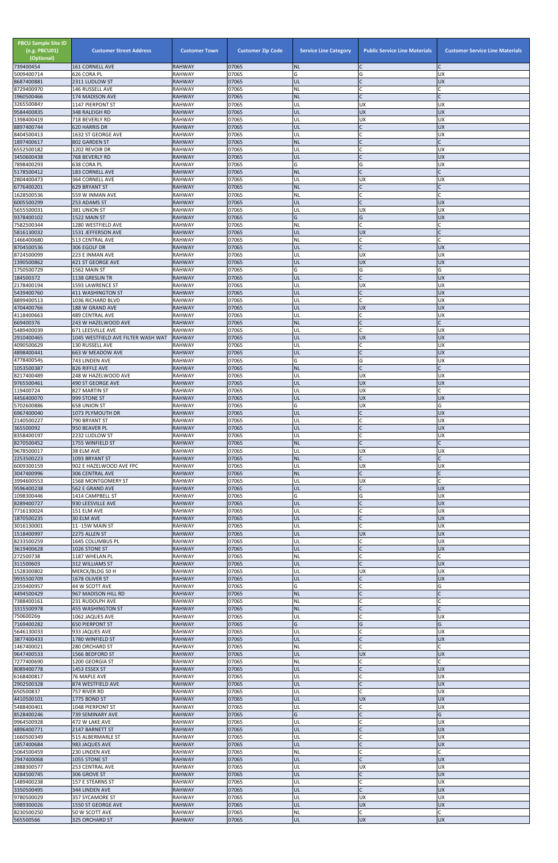| <b>PBCU Sample Site ID</b><br>(e.g. PBCU01)<br>(Optional)<br>739400454 | <b>Customer Street Address</b><br><b>161 CORNELL AVE</b> | <b>Customer Town</b><br><b>RAHWAY</b> | <b>Customer Zip Code</b><br>07065 | <b>Service Line Category</b><br><b>NL</b> | <b>Public Service Line Materials</b><br>IC | <b>Customer Service Line Materials</b> |
|------------------------------------------------------------------------|----------------------------------------------------------|---------------------------------------|-----------------------------------|-------------------------------------------|--------------------------------------------|----------------------------------------|
| 5009400714                                                             | 626 CORA PL                                              | <b>RAHWAY</b>                         | 07065                             | G                                         | G                                          | <b>UX</b>                              |
| 8687400881                                                             | 2311 LUDLOW ST                                           | <b>RAHWAY</b><br><b>RAHWAY</b>        | 07065<br>07065                    | UL<br>NL                                  | IC<br>lC.                                  | <b>UX</b>                              |
| 8729400970<br>1960500466                                               | 146 RUSSELL AVE<br>174 MADISON AVE                       | <b>RAHWAY</b>                         | 07065                             | <b>NL</b>                                 | IC                                         |                                        |
| 3265500847<br>9584400835                                               | 1147 PIERPONT ST                                         | <b>RAHWAY</b><br><b>RAHWAY</b>        | 07065<br>07065                    | UL<br>UL                                  | <b>UX</b><br>UX                            | UX<br><b>UX</b>                        |
| 1398400419                                                             | 348 RALEIGH RD<br>718 BEVERLY RD                         | <b>RAHWAY</b>                         | 07065                             | UL                                        | <b>UX</b>                                  | <b>UX</b>                              |
| 8897400744                                                             | 620 HARRIS DR                                            | <b>RAHWAY</b>                         | 07065                             | UL                                        | $\mathsf{C}$                               | <b>UX</b>                              |
| 8404500413<br>1897400617                                               | 1632 ST GEORGE AVE<br>802 GARDEN ST                      | <b>RAHWAY</b><br><b>RAHWAY</b>        | 07065<br>07065                    | UL<br><b>NL</b>                           | C<br>$\mathsf{C}$                          | <b>UX</b>                              |
| 6552500182                                                             | 1202 REVOIR DR                                           | <b>RAHWAY</b>                         | 07065                             | UL                                        | $\mathsf{C}$                               | <b>UX</b>                              |
| 3450600438<br>7898400293                                               | 768 BEVERLY RD<br>638 CORA PL                            | <b>RAHWAY</b><br><b>RAHWAY</b>        | 07065<br>07065                    | UL<br>Ġ                                   | lc.<br>G                                   | <b>UX</b><br>UX                        |
| 5178500412                                                             | <b>183 CORNELL AVE</b>                                   | <b>RAHWAY</b>                         | 07065                             | <b>NL</b>                                 | lC.                                        |                                        |
| 2804400473                                                             | 364 CORNELL AVE                                          | <b>RAHWAY</b>                         | 07065                             | UL                                        | <b>UX</b><br>$\overline{C}$                | <b>UX</b><br>C                         |
| 6776400201<br>1628500536                                               | <b>629 BRYANT ST</b><br>559 W INMAN AVE                  | <b>RAHWAY</b><br><b>RAHWAY</b>        | 07065<br>07065                    | <b>NL</b><br>NL                           | lC.                                        |                                        |
| 6005500299                                                             | 253 ADAMS ST                                             | <b>RAHWAY</b>                         | 07065                             | UL                                        | $\mathsf{C}$                               | <b>UX</b>                              |
| 5655500031<br>9378400102                                               | 381 UNION ST<br>1522 MAIN ST                             | <b>RAHWAY</b><br><b>RAHWAY</b>        | 07065<br>07065                    | UL<br>G                                   | <b>UX</b><br>G                             | <b>UX</b><br><b>UX</b>                 |
| 7582500344                                                             | 1280 WESTFIELD AVE                                       | <b>RAHWAY</b>                         | 07065                             | ΝL                                        | lc.                                        |                                        |
| 5816130032<br>1466400680                                               | 1531 JEFFERSON AVE<br>513 CENTRAL AVE                    | <b>RAHWAY</b><br><b>RAHWAY</b>        | 07065<br>07065                    | UL<br>NL                                  | <b>UX</b><br>lC.                           |                                        |
| 8704500536                                                             | 306 EGOLF DR                                             | <b>RAHWAY</b>                         | 07065                             | UL                                        | $\mathsf{C}$                               | <b>UX</b>                              |
| 8724500099<br>1390500862                                               | 223 E INMAN AVE<br>421 ST GEORGE AVE                     | <b>RAHWAY</b><br><b>RAHWAY</b>        | 07065<br>07065                    | UL<br>UL                                  | <b>UX</b><br><b>UX</b>                     | UX<br><b>UX</b>                        |
| 1750500729                                                             | 1562 MAIN ST                                             | <b>RAHWAY</b>                         | 07065                             | G                                         | G                                          | G                                      |
| 184500372                                                              | 1138 GRESLIN TR                                          | <b>RAHWAY</b>                         | 07065<br>07065                    | UL                                        | lc.                                        | <b>UX</b>                              |
| 2178400194<br>5439400760                                               | 1593 LAWRENCE ST<br>411 WASHINGTON ST                    | <b>RAHWAY</b><br><b>RAHWAY</b>        | 07065                             | UL<br>UL                                  | <b>UX</b><br>$\mathsf{C}$                  | UX<br><b>UX</b>                        |
| 8899400513                                                             | 1036 RICHARD BLVD                                        | <b>RAHWAY</b>                         | 07065                             | UL                                        | <b>C</b>                                   | <b>UX</b>                              |
| 4704400766<br>4118400663                                               | 188 W GRAND AVE<br><b>489 CENTRAL AVE</b>                | <b>RAHWAY</b><br><b>RAHWAY</b>        | 07065<br>07065                    | UL<br>UL                                  | <b>UX</b><br>lC.                           | <b>UX</b><br><b>UX</b>                 |
| 669400376                                                              | 243 W HAZELWOOD AVE                                      | <b>RAHWAY</b>                         | 07065                             | <b>NL</b>                                 | lC.                                        | C                                      |
| 5489400039<br>2910400465                                               | 671 LEESVILLE AVE<br>1045 WESTFIELD AVE FILTER WASH WAT  | <b>RAHWAY</b><br><b>RAHWAY</b>        | 07065<br>07065                    | UL<br>UL                                  | lC.<br><b>UX</b>                           | UX<br><b>UX</b>                        |
| 4090500629                                                             | 130 RUSSELL AVE                                          | <b>RAHWAY</b>                         | 07065                             | UL                                        | $\mathsf{C}$                               | UX                                     |
| 4898400441<br>4778400545                                               | 663 W MEADOW AVE                                         | <b>RAHWAY</b><br><b>RAHWAY</b>        | 07065<br>07065                    | UL<br>G                                   |                                            | <b>UX</b><br><b>UX</b>                 |
| 1053500387                                                             | 743 LINDEN AVE<br>826 RIFFLE AVE                         | <b>RAHWAY</b>                         | 07065                             | <b>NL</b>                                 | G<br>$\overline{C}$                        |                                        |
| 8217400489                                                             | 248 W HAZELWOOD AVE                                      | <b>RAHWAY</b>                         | 07065                             | UL                                        | <b>UX</b>                                  | UX                                     |
| 9765500461<br>119400724                                                | <b>490 ST GEORGE AVE</b><br>827 MARTIN ST                | <b>RAHWAY</b><br><b>RAHWAY</b>        | 07065<br>07065                    | UL<br>UL                                  | <b>UX</b><br><b>UX</b>                     | <b>UX</b>                              |
| 4456400070                                                             | 999 STONE ST                                             | <b>RAHWAY</b>                         | 07065                             | UL                                        | <b>UX</b>                                  | <b>UX</b>                              |
| 5702600886<br>6967400040                                               | <b>658 UNION ST</b><br>1073 PLYMOUTH DR                  | <b>RAHWAY</b><br><b>RAHWAY</b>        | 07065<br>07065                    | G<br>UL                                   | <b>UX</b><br>$\mathsf{C}$                  | G<br><b>UX</b>                         |
| 2140500227                                                             | 790 BRYANT ST                                            | <b>RAHWAY</b>                         | 07065                             | UL                                        | <b>C</b>                                   | <b>UX</b>                              |
| 365500092<br>8358400197                                                | 950 BEAVER PL<br>2232 LUDLOW ST                          | <b>RAHWAY</b><br><b>RAHWAY</b>        | 07065<br>07065                    | UL<br>UL                                  | $\mathsf{C}$<br>C                          | <b>UX</b><br>UX                        |
| 8270500452                                                             | 1755 WINFIELD ST                                         | <b>RAHWAY</b>                         | 07065                             | <b>NL</b>                                 | lC.                                        |                                        |
| 9678500017                                                             | 38 ELM AVE                                               | <b>RAHWAY</b>                         | 07065                             | UL                                        | <b>UX</b>                                  | UX                                     |
| 2253500223<br>6009300159                                               | 1093 BRYANT ST<br>902 E HAZELWOOD AVE FPC                | <b>RAHWAY</b><br><b>RAHWAY</b>        | 07065<br>07065                    | <b>NL</b><br>UL                           | lC.<br><b>UX</b>                           | C<br>UX                                |
| 3047400996                                                             | <b>306 CENTRAL AVE</b>                                   | <b>RAHWAY</b>                         | 07065                             | <b>NL</b>                                 | lC.                                        |                                        |
| 3994600553<br>9596400238                                               | 1568 MONTGOMERY ST<br>562 E GRAND AVE                    | <b>RAHWAY</b><br><b>RAHWAY</b>        | 07065<br>07065                    | UL<br>UL                                  | <b>UX</b><br>lC.                           | <b>UX</b>                              |
| 1098300446                                                             | 1414 CAMPBELL ST                                         | <b>RAHWAY</b>                         | 07065                             | G                                         | G                                          | <b>UX</b>                              |
| 8289400727<br>7716130024                                               | 930 LEESVILLE AVE<br>151 ELM AVE                         | <b>RAHWAY</b><br><b>RAHWAY</b>        | 07065<br>07065                    | UL<br>UL                                  | $\mathsf C$<br>lC.                         | <b>UX</b><br><b>UX</b>                 |
| 1870500235                                                             | 30 ELM AVE                                               | <b>RAHWAY</b>                         | 07065                             | UL                                        | $\mathsf{C}$                               | <b>UX</b>                              |
| 3016130001<br>1518400997                                               | 11 -15W MAIN ST<br>2275 ALLEN ST                         | <b>RAHWAY</b><br><b>RAHWAY</b>        | 07065<br>07065                    | UL<br>UL                                  | <b>C</b><br><b>UX</b>                      | <b>UX</b><br><b>UX</b>                 |
| 8233500259                                                             | 1645 COLUMBUS PL                                         | <b>RAHWAY</b>                         | 07065                             | UL                                        | lC.                                        | UX                                     |
| 3619400628                                                             | 1026 STONE ST                                            | <b>RAHWAY</b>                         | 07065                             | UL                                        | IC                                         | <b>UX</b>                              |
| 272500738<br>311500603                                                 | 1187 WHELAN PL<br>312 WILLIAMS ST                        | <b>RAHWAY</b><br><b>RAHWAY</b>        | 07065<br>07065                    | NL<br>UL                                  | <b>C</b><br>lc.                            | <b>UX</b>                              |
| 1528300802                                                             | MERCK/BLDG 50 H                                          | <b>RAHWAY</b>                         | 07065                             | UL                                        | <b>UX</b>                                  | <b>UX</b>                              |
| 9935500709<br>2359400957                                               | 1678 OLIVER ST<br>44 W SCOTT AVE                         | <b>RAHWAY</b><br><b>RAHWAY</b>        | 07065<br>07065                    | UL<br>G                                   | $\mathsf{C}$<br>$\mathsf{C}$               | <b>UX</b><br>G                         |
| 4494500429                                                             | 967 MADISON HILL RD                                      | <b>RAHWAY</b>                         | 07065                             | <b>NL</b>                                 | IC                                         |                                        |
| 7388400161<br>3315500978                                               | 231 RUDOLPH AVE<br><b>455 WASHINGTON ST</b>              | <b>RAHWAY</b><br><b>RAHWAY</b>        | 07065<br>07065                    | NL<br><b>NL</b>                           | C<br>$\mathsf{C}$                          |                                        |
| 750600269                                                              | 1062 JAQUES AVE                                          | <b>RAHWAY</b>                         | 07065                             | UL                                        | C                                          | UX                                     |
| 7169400282                                                             | <b>650 PIERPONT ST</b>                                   | <b>RAHWAY</b>                         | 07065                             | G                                         | G                                          | G                                      |
| 5646130033<br>3877400433                                               | 933 JAQUES AVE<br>1780 WINFIELD ST                       | RAHWAY<br><b>RAHWAY</b>               | 07065<br>07065                    | UL<br>UL                                  | lC.<br>$\overline{C}$                      | UX<br><b>UX</b>                        |
| 1467400021                                                             | 280 ORCHARD ST                                           | <b>RAHWAY</b>                         | 07065                             | <b>NL</b>                                 | $\mathsf{C}$                               |                                        |
| 9647400533<br>7277400690                                               | 1566 BEDFORD ST<br>1200 GEORGIA ST                       | <b>RAHWAY</b><br><b>RAHWAY</b>        | 07065<br>07065                    | UL<br>ΝL                                  | <b>UX</b><br>lC.                           | <b>UX</b>                              |
| 8089400778                                                             | 1453 ESSEX ST                                            | <b>RAHWAY</b>                         | 07065                             | IUL.                                      |                                            | <b>UX</b>                              |
| 6168400817<br>2902500328                                               | 76 MAPLE AVE<br>874 WESTFIELD AVE                        | <b>RAHWAY</b><br><b>RAHWAY</b>        | 07065<br>07065                    | UL<br>UL                                  | C<br>$\overline{C}$                        | UX<br><b>UX</b>                        |
| 650500837                                                              | 757 RIVER RD                                             | <b>RAHWAY</b>                         | 07065                             | UL                                        | <b>C</b>                                   | <b>UX</b>                              |
| 4410500101                                                             | 1775 BOND ST                                             | <b>RAHWAY</b>                         | 07065                             | UL                                        | <b>UX</b>                                  | <b>UX</b>                              |
| 5488400401<br>8528400246                                               | 1048 PIERPONT ST<br>739 SEMINARY AVE                     | <b>RAHWAY</b><br><b>RAHWAY</b>        | 07065<br>07065                    | UL<br>G                                   | C<br>$\mathsf{C}$                          | <b>UX</b><br>G                         |
| 9964500928                                                             | 472 W LAKE AVE                                           | <b>RAHWAY</b>                         | 07065                             | UL                                        | C                                          | <b>UX</b>                              |
| 4896400771<br>1660500349                                               | 2147 BARNETT ST<br>515 ALBERMARLE ST                     | <b>RAHWAY</b><br><b>RAHWAY</b>        | 07065<br>07065                    | UL<br>UL                                  | IC<br>lC.                                  | <b>UX</b><br><b>UX</b>                 |
| 1857400684                                                             | 983 JAQUES AVE                                           | <b>RAHWAY</b>                         | 07065                             | UL                                        | $\mathsf C$                                | X                                      |
| 5064500459<br>2947400068                                               | 230 LINDEN AVE<br>1055 STONE ST                          | <b>RAHWAY</b><br><b>RAHWAY</b>        | 07065<br>07065                    | <b>NL</b><br>UL                           | <b>C</b><br>$\mathsf{C}$                   | C<br><b>UX</b>                         |
| 2888300577                                                             | 253 CENTRAL AVE                                          | <b>RAHWAY</b>                         | 07065                             | UL                                        | <b>UX</b>                                  | <b>UX</b>                              |
| 4284500745                                                             | 306 GROVE ST                                             | <b>RAHWAY</b>                         | 07065                             | UL                                        | $\mathsf{C}$                               | <b>UX</b>                              |
| 1489400238<br>3350500495                                               | 157 E STEARNS ST<br>344 LINDEN AVE                       | <b>RAHWAY</b><br><b>RAHWAY</b>        | 07065<br>07065                    | UL<br><b>UL</b>                           | <b>C</b><br>lc.                            | <b>UX</b><br><b>UX</b>                 |
| 9780500029                                                             | 357 SYCAMORE ST                                          | <b>RAHWAY</b>                         | 07065                             | UL                                        | <b>UX</b>                                  | <b>UX</b>                              |
| 5989300026<br>8230500250                                               | 1550 ST GEORGE AVE<br>50 W SCOTT AVE                     | <b>RAHWAY</b><br><b>RAHWAY</b>        | 07065<br>07065                    | UL<br><b>NL</b>                           | <b>UX</b><br>$\mathsf{C}$                  | <b>UX</b><br>C                         |
| 565500566                                                              | 325 ORCHARD ST                                           | <b>RAHWAY</b>                         | 07065                             | UL                                        | <b>UX</b>                                  | UX                                     |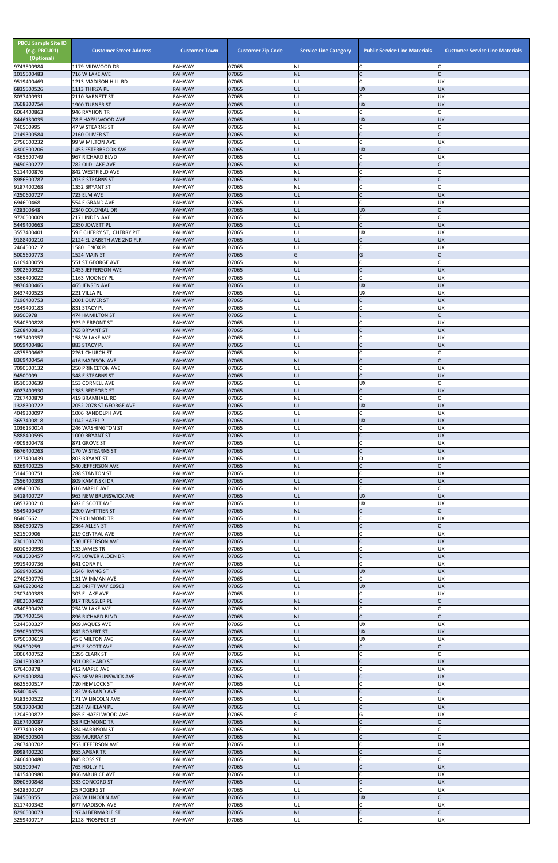| <b>PBCU Sample Site ID</b><br>(e.g. PBCU01)<br>(Optional)<br>9743500984 | <b>Customer Street Address</b><br>1179 MIDWOOD DR | <b>Customer Town</b><br><b>RAHWAY</b> | <b>Customer Zip Code</b><br>07065 | <b>Service Line Category</b><br><b>NL</b> | <b>Public Service Line Materials</b><br>IC | <b>Customer Service Line Materials</b> |
|-------------------------------------------------------------------------|---------------------------------------------------|---------------------------------------|-----------------------------------|-------------------------------------------|--------------------------------------------|----------------------------------------|
| 1015500483                                                              | 716 W LAKE AVE                                    | <b>RAHWAY</b>                         | 07065                             | <b>NL</b>                                 | $\mathsf{C}$                               |                                        |
| 9519400469                                                              | 1213 MADISON HILL RD                              | <b>RAHWAY</b><br><b>RAHWAY</b>        | 07065<br>07065                    | UL<br>UL                                  | <b>C</b><br><b>UX</b>                      | <b>UX</b><br>UX                        |
| 6835500526<br>8037400931                                                | 1113 THIRZA PL<br>2110 BARNETT ST                 | <b>RAHWAY</b>                         | 07065                             | UL                                        | $\mathsf{C}$                               | UX                                     |
| 7608300756<br>6064400863                                                | 1900 TURNER ST<br>946 RAYHON TR                   | <b>RAHWAY</b><br><b>RAHWAY</b>        | 07065<br>07065                    | UL<br>NL                                  | <b>UX</b><br>$\mathsf{C}$                  | UX                                     |
| 8446130035                                                              | 78 E HAZELWOOD AVE                                | <b>RAHWAY</b>                         | 07065                             | UL                                        | <b>UX</b>                                  | <b>UX</b>                              |
| 740500995                                                               | 47 W STEARNS ST                                   | <b>RAHWAY</b>                         | 07065                             | NL                                        | C                                          |                                        |
| 2149300584<br>2756600232                                                | 2160 OLIVER ST<br>99 W MILTON AVE                 | <b>RAHWAY</b><br><b>RAHWAY</b>        | 07065<br>07065                    | <b>NL</b><br>UL                           | $\mathsf{C}$<br>$\mathsf{C}$               | UX                                     |
| 4300500206                                                              | 1453 ESTERBROOK AVE                               | <b>RAHWAY</b>                         | 07065                             | UL                                        | <b>UX</b>                                  |                                        |
| 4365500749<br>9450600277                                                | 967 RICHARD BLVD<br>782 OLD LAKE AVE              | <b>RAHWAY</b><br><b>RAHWAY</b>        | 07065<br>07065                    | UL<br><b>NL</b>                           | $\mathsf{C}$<br>$\mathsf{C}$               | UX                                     |
| 5114400876                                                              | 842 WESTFIELD AVE                                 | <b>RAHWAY</b>                         | 07065                             | NL                                        |                                            |                                        |
| 8986500787                                                              | 203 E STEARNS ST                                  | <b>RAHWAY</b>                         | 07065                             | <b>NL</b>                                 |                                            |                                        |
| 9187400268<br>4250600727                                                | 1352 BRYANT ST<br>723 ELM AVE                     | <b>RAHWAY</b><br><b>RAHWAY</b>        | 07065<br>07065                    | NL<br>UL                                  | <b>C</b><br>$\mathsf{C}$                   | <b>UX</b>                              |
| 694600468                                                               | 554 E GRAND AVE                                   | <b>RAHWAY</b>                         | 07065                             | UL                                        | $\mathsf{C}$                               | UX                                     |
| 428300848<br>9720500009                                                 | 2340 COLONIAL DR<br>217 LINDEN AVE                | <b>RAHWAY</b><br><b>RAHWAY</b>        | 07065<br>07065                    | UL<br>NL                                  | <b>UX</b><br>$\mathsf{C}$                  |                                        |
| 5449400663                                                              | 2350 JOWETT PL                                    | <b>RAHWAY</b>                         | 07065                             | UL                                        | $\mathsf{C}$                               | <b>UX</b>                              |
| 3557400401                                                              | 59 E CHERRY ST, CHERRY PIT                        | <b>RAHWAY</b>                         | 07065                             | UL                                        | <b>UX</b>                                  | UX                                     |
| 9188400210<br>2464500217                                                | 2124 ELIZABETH AVE 2ND FLR<br>1580 LENOX PL       | <b>RAHWAY</b><br><b>RAHWAY</b>        | 07065<br>07065                    | UL<br>UL                                  | $\mathsf{C}$<br>$\mathsf{C}$               | <b>UX</b><br>UX                        |
| 5005600773                                                              | 1524 MAIN ST                                      | <b>RAHWAY</b>                         | 07065                             | G                                         | G                                          |                                        |
| 6169400059<br>3902600922                                                | 551 ST GEORGE AVE<br>1453 JEFFERSON AVE           | <b>RAHWAY</b><br><b>RAHWAY</b>        | 07065<br>07065                    | NL<br>UL                                  | $\mathsf{C}$<br>$\mathsf{C}$               | <b>UX</b>                              |
| 3366400022                                                              | 1163 MOONEY PL                                    | <b>RAHWAY</b>                         | 07065                             | UL                                        |                                            | UX                                     |
| 9876400465                                                              | <b>465 JENSEN AVE</b>                             | <b>RAHWAY</b>                         | 07065                             | UL                                        | <b>UX</b>                                  | <b>UX</b>                              |
| 8437400523<br>7196400753                                                | 221 VILLA PL<br>2001 OLIVER ST                    | <b>RAHWAY</b><br><b>RAHWAY</b>        | 07065<br>07065                    | UL<br>UL                                  | <b>UX</b><br>$\mathsf{C}$                  | UX<br>UX                               |
| 9349400183                                                              | 831 STACY PL                                      | <b>RAHWAY</b>                         | 07065                             | UL                                        | C                                          | UX                                     |
| 93500978                                                                | <b>474 HAMILTON ST</b>                            | <b>RAHWAY</b>                         | 07065<br>07065                    |                                           | $\mathsf{C}$                               |                                        |
| 3540500828<br>5268400814                                                | 923 PIERPONT ST<br>765 BRYANT ST                  | <b>RAHWAY</b><br><b>RAHWAY</b>        | 07065                             | UL<br>UL                                  | $\mathsf{C}$                               | UX<br><b>UX</b>                        |
| 1957400357                                                              | 158 W LAKE AVE                                    | <b>RAHWAY</b>                         | 07065                             | UL                                        | C                                          | UX                                     |
| 9059400486<br>4875500662                                                | 883 STACY PL<br>2261 CHURCH ST                    | <b>RAHWAY</b><br><b>RAHWAY</b>        | 07065<br>07065                    | UL<br><b>NL</b>                           |                                            | <b>UX</b>                              |
| 8369400456                                                              | <b>416 MADISON AVE</b>                            | <b>RAHWAY</b>                         | 07065                             | <b>NL</b>                                 | $\mathsf{C}$                               |                                        |
| 7090500132                                                              | <b>250 PRINCETON AVE</b>                          | <b>RAHWAY</b>                         | 07065                             | UL                                        | $\mathsf C$                                | <b>UX</b>                              |
| 94500009<br>8510500639                                                  | 348 E STEARNS ST<br><b>153 CORNELL AVE</b>        | <b>RAHWAY</b><br><b>RAHWAY</b>        | 07065<br>07065                    | UL<br>UL                                  | $\mathsf{C}$<br><b>UX</b>                  | <b>UX</b>                              |
| 6027400930                                                              | 1383 BEDFORD ST                                   | <b>RAHWAY</b>                         | 07065                             | UL                                        | $\mathsf{C}$                               | <b>UX</b>                              |
| 7267400879<br>1328300722                                                | <b>419 BRAMHALL RD</b><br>2052 2078 ST GEORGE AVE | <b>RAHWAY</b><br><b>RAHWAY</b>        | 07065<br>07065                    | NL<br>UL                                  | $\mathsf{C}$<br><b>UX</b>                  | <b>UX</b>                              |
| 4049300097                                                              | 1006 RANDOLPH AVE                                 | <b>RAHWAY</b>                         | 07065                             | UL                                        | C                                          | UX                                     |
| 3657400818                                                              | 1042 HAZEL PL                                     | <b>RAHWAY</b>                         | 07065                             | UL                                        | <b>UX</b>                                  | UX                                     |
| 1036130014<br>5888400595                                                | 246 WASHINGTON ST<br>1000 BRYANT ST               | <b>RAHWAY</b><br><b>RAHWAY</b>        | 07065<br>07065                    | UL<br>UL                                  | $\mathsf{C}$<br>$\mathsf{C}$               | <b>UX</b><br>UX                        |
| 4909300478                                                              | 871 GROVE ST                                      | <b>RAHWAY</b>                         | 07065                             | UL                                        | C                                          | <b>UX</b>                              |
| 6676400263<br>1277400439                                                | 170 W STEARNS ST<br>803 BRYANT ST                 | <b>RAHWAY</b><br><b>RAHWAY</b>        | 07065<br>07065                    | UL<br>UL                                  | lo                                         | <b>UX</b><br><b>UX</b>                 |
| 6269400225                                                              | 540 JEFFERSON AVE                                 | <b>RAHWAY</b>                         | 07065                             | <b>NL</b>                                 | $\mathsf{C}$                               |                                        |
| 5144500751                                                              | 288 STANTON ST                                    | <b>RAHWAY</b>                         | 07065                             | UL                                        | $\mathsf{C}$<br>$\mathsf{C}$               | <b>UX</b>                              |
| 7556400393<br>498400076                                                 | 809 KAMINSKI DR<br>616 MAPLE AVE                  | <b>RAHWAY</b><br><b>RAHWAY</b>        | 07065<br>07065                    | UL<br>NL                                  | $\mathsf{C}$                               | <b>UX</b>                              |
| 3418400727                                                              | 963 NEW BRUNSWICK AVE                             | <b>RAHWAY</b>                         | 07065                             | UL                                        | <b>UX</b>                                  | <b>UX</b>                              |
| 6853700210<br>5549400437                                                | 682 E SCOTT AVE<br>2200 WHITTIER ST               | <b>RAHWAY</b><br><b>RAHWAY</b>        | 07065<br>07065                    | UL<br><b>NL</b>                           | <b>UX</b>                                  | UX                                     |
| 86400662                                                                | 79 RICHMOND TR                                    | <b>RAHWAY</b>                         | 07065                             | UL                                        | $\mathsf{C}$                               | <b>UX</b>                              |
| 8560500275                                                              | 2364 ALLEN ST                                     | <b>RAHWAY</b>                         | 07065                             | <b>NL</b>                                 | $\mathsf{C}$                               |                                        |
| 521500906<br>2301600270                                                 | 219 CENTRAL AVE<br>530 JEFFERSON AVE              | <b>RAHWAY</b><br><b>RAHWAY</b>        | 07065<br>07065                    | UL<br>UL                                  | $\mathsf{C}$                               | <b>UX</b><br><b>UX</b>                 |
| 6010500998                                                              | 133 JAMES TR                                      | RAHWAY                                | 07065                             | UL                                        | C                                          | <b>UX</b>                              |
| 4083500457<br>9919400736                                                | 473 LOWER ALDEN DR<br>641 CORA PL                 | <b>RAHWAY</b><br><b>RAHWAY</b>        | 07065<br>07065                    | UL<br>UL                                  | $\mathsf{C}$<br>lC.                        | <b>UX</b><br><b>UX</b>                 |
| 3699400530                                                              | 1646 IRVING ST                                    | <b>RAHWAY</b>                         | 07065                             | UL                                        | <b>UX</b>                                  | UX                                     |
| 2740500776                                                              | 131 W INMAN AVE                                   | <b>RAHWAY</b>                         | 07065                             | UL                                        | $\mathsf{C}$                               | <b>UX</b><br><b>UX</b>                 |
| 6346920042<br>2307400383                                                | 123 DRIFT WAY C0503<br>303 E LAKE AVE             | <b>RAHWAY</b><br><b>RAHWAY</b>        | 07065<br>07065                    | UL<br>UL                                  | <b>UX</b><br>C                             | <b>UX</b>                              |
| 4802600402                                                              | 917 TRUSSLER PL                                   | <b>RAHWAY</b>                         | 07065                             | <b>NL</b>                                 | $\mathsf{C}$                               |                                        |
| 4340500420<br>7967400155                                                | 254 W LAKE AVE<br>896 RICHARD BLVD                | <b>RAHWAY</b><br><b>RAHWAY</b>        | 07065<br>07065                    | NL<br><b>NL</b>                           | C<br>$\mathsf{C}$                          |                                        |
| 5244500327                                                              | 909 JAQUES AVE                                    | <b>RAHWAY</b>                         | 07065                             | UL                                        | <b>UX</b>                                  | <b>UX</b>                              |
| 2930500725                                                              | 842 ROBERT ST                                     | <b>RAHWAY</b><br><b>RAHWAY</b>        | 07065                             | UL                                        | <b>UX</b>                                  | <b>UX</b>                              |
| 6750500619<br>354500259                                                 | 45 E MILTON AVE<br>423 E SCOTT AVE                | <b>RAHWAY</b>                         | 07065<br>07065                    | UL<br><b>NL</b>                           | <b>UX</b><br>$\mathsf{C}$                  | <b>UX</b>                              |
| 3006400752                                                              | 1295 CLARK ST                                     | <b>RAHWAY</b>                         | 07065                             | NL                                        |                                            |                                        |
| 3041500302<br>676400878                                                 | 501 ORCHARD ST<br>412 MAPLE AVE                   | <b>RAHWAY</b><br><b>RAHWAY</b>        | 07065<br>07065                    | UL<br>IUL.                                |                                            | <b>UX</b><br>UΧ                        |
| 6219400884                                                              | <b>653 NEW BRUNSWICK AVE</b>                      | <b>RAHWAY</b>                         | 07065                             | UL                                        | $\mathsf C$                                | <b>UX</b>                              |
| 6625500517                                                              | 720 HEMLOCK ST                                    | <b>RAHWAY</b>                         | 07065                             | UL                                        | $\mathsf{C}$                               | UX                                     |
| 63400465<br>9183500522                                                  | 182 W GRAND AVE<br>171 W LINCOLN AVE              | <b>RAHWAY</b><br>RAHWAY               | 07065<br>07065                    | <b>NL</b><br>UL                           | $\mathsf{C}$<br>C                          | <b>UX</b>                              |
| 5063700430                                                              | 1214 WHELAN PL                                    | <b>RAHWAY</b>                         | 07065                             | UL                                        | $\mathsf{C}$                               | <b>UX</b>                              |
| 1204500872<br>8167400087                                                | 865 E HAZELWOOD AVE<br><b>53 RICHMOND TR</b>      | <b>RAHWAY</b><br><b>RAHWAY</b>        | 07065<br>07065                    | G<br><b>NL</b>                            | G<br>$\mathsf{C}$                          | <b>UX</b>                              |
| 9777400339                                                              | 384 HARRISON ST                                   | RAHWAY                                | 07065                             | NL                                        | $\mathsf{C}$                               |                                        |
| 8040500504                                                              | 359 MURRAY ST                                     | <b>RAHWAY</b>                         | 07065                             | <b>NL</b>                                 | C                                          |                                        |
| 2867400702<br>6998400220                                                | 953 JEFFERSON AVE<br>955 APGAR TR                 | <b>RAHWAY</b><br><b>RAHWAY</b>        | 07065<br>07065                    | UL<br><b>NL</b>                           | $\mathsf{C}$<br>$\mathsf{C}$               | UΧ                                     |
| 2466400480                                                              | 845 ROSS ST                                       | <b>RAHWAY</b>                         | 07065                             | NL                                        | C                                          |                                        |
| 301500947<br>1415400980                                                 | 765 HOLLY PL<br>866 MAURICE AVE                   | <b>RAHWAY</b><br><b>RAHWAY</b>        | 07065<br>07065                    | UL<br>UL                                  | $\mathsf{C}$<br>C                          | <b>UX</b><br>UX                        |
| 8960500848                                                              | 333 CONCORD ST                                    | <b>RAHWAY</b>                         | 07065                             | UL                                        | $\mathsf{C}$                               | <b>UX</b>                              |
| 5428300107                                                              | 25 ROGERS ST                                      | <b>RAHWAY</b>                         | 07065                             | UL                                        |                                            | <b>UX</b>                              |
| 744500355<br>8117400342                                                 | 268 W LINCOLN AVE<br>677 MADISON AVE              | <b>RAHWAY</b><br>RAHWAY               | 07065<br>07065                    | UL<br>UL                                  | <b>UX</b><br>C.                            | UX                                     |
| 8290500073                                                              | 197 ALBERMARLE ST                                 | <b>RAHWAY</b>                         | 07065                             | <b>NL</b>                                 | $\mathsf C$                                |                                        |
| 3259400717                                                              | 2128 PROSPECT ST                                  | RAHWAY                                | 07065                             | UL                                        | C                                          | UX                                     |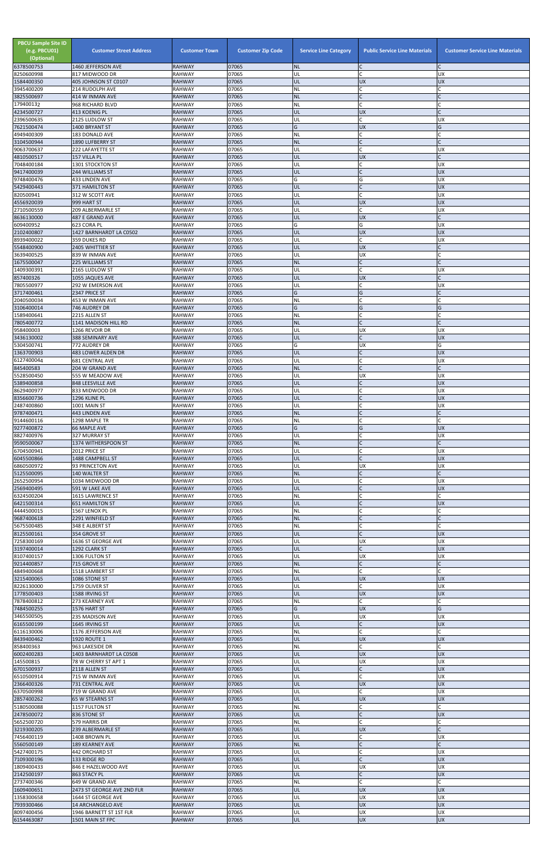| <b>PBCU Sample Site ID</b><br>(e.g. PBCU01)<br>(Optional)<br>6378500753 | <b>Customer Street Address</b><br>1460 JEFFERSON AVE | <b>Customer Town</b><br><b>RAHWAY</b> | <b>Customer Zip Code</b><br>07065 | <b>Service Line Category</b><br><b>NL</b> | <b>Public Service Line Materials</b><br>IC. | <b>Customer Service Line Materials</b> |
|-------------------------------------------------------------------------|------------------------------------------------------|---------------------------------------|-----------------------------------|-------------------------------------------|---------------------------------------------|----------------------------------------|
| 8250600998                                                              | 817 MIDWOOD DR                                       | <b>RAHWAY</b>                         | 07065                             | UL                                        | lc.                                         | <b>UX</b>                              |
| 1584400350                                                              | 405 JOHNSON ST C0107                                 | <b>RAHWAY</b><br><b>RAHWAY</b>        | 07065<br>07065                    | UL<br>NL                                  | <b>UX</b><br>lC.                            | <b>UX</b>                              |
| 3945400209<br>3825500697                                                | 214 RUDOLPH AVE<br>414 W INMAN AVE                   | <b>RAHWAY</b>                         | 07065                             | <b>NL</b>                                 | IC                                          |                                        |
| 179400132<br>4234500727                                                 | 968 RICHARD BLVD                                     | <b>RAHWAY</b><br><b>RAHWAY</b>        | 07065<br>07065                    | <b>NL</b><br>UL                           | C<br>UX                                     |                                        |
| 2396500635                                                              | 413 KOENIG PL<br>2125 LUDLOW ST                      | <b>RAHWAY</b>                         | 07065                             | UL                                        | <b>C</b>                                    | UX                                     |
| 7621500474                                                              | 1400 BRYANT ST                                       | <b>RAHWAY</b>                         | 07065                             | G                                         | <b>UX</b>                                   | G                                      |
| 4949400309<br>3104500944                                                | 183 DONALD AVE<br>1890 LUFBERRY ST                   | <b>RAHWAY</b><br><b>RAHWAY</b>        | 07065<br>07065                    | NL<br><b>NL</b>                           | lC.<br>$\mathsf{C}$                         |                                        |
| 9063700637                                                              | 222 LAFAYETTE ST                                     | <b>RAHWAY</b>                         | 07065                             | UL                                        | <b>C</b>                                    | UX                                     |
| 4810500517<br>7048400184                                                | 157 VILLA PL<br>1301 STOCKTON ST                     | <b>RAHWAY</b><br><b>RAHWAY</b>        | 07065<br>07065                    | UL<br>UL                                  | <b>UX</b><br>lC.                            | UX                                     |
| 9417400039                                                              | 244 WILLIAMS ST                                      | <b>RAHWAY</b>                         | 07065                             | UL                                        | IC                                          | <b>UX</b>                              |
| 9748400476                                                              | 433 LINDEN AVE                                       | <b>RAHWAY</b>                         | 07065<br>07065                    | G<br>UL                                   | G<br>$\mathsf{C}$                           | <b>UX</b>                              |
| 5429400443<br>820500941                                                 | 371 HAMILTON ST<br>312 W SCOTT AVE                   | <b>RAHWAY</b><br><b>RAHWAY</b>        | 07065                             | UL                                        | C.                                          | <b>UX</b><br>UX                        |
| 4556920039                                                              | 999 HART ST                                          | <b>RAHWAY</b>                         | 07065                             | UL                                        | <b>UX</b>                                   | <b>UX</b>                              |
| 2710500559<br>8636130000                                                | 209 ALBERMARLE ST<br>487 E GRAND AVE                 | <b>RAHWAY</b><br><b>RAHWAY</b>        | 07065<br>07065                    | UL<br>UL                                  | lC.<br><b>UX</b>                            | <b>UX</b>                              |
| 609400952                                                               | 623 CORA PL                                          | <b>RAHWAY</b>                         | 07065                             | G                                         | G                                           | UX                                     |
| 2102400807<br>8939400022                                                | 1427 BARNHARDT LA C0502<br>359 DUKES RD              | <b>RAHWAY</b><br><b>RAHWAY</b>        | 07065<br>07065                    | UL<br>UL                                  | <b>UX</b><br>lc.                            | <b>UX</b><br><b>UX</b>                 |
| 5548400900                                                              | 2405 WHITTIER ST                                     | <b>RAHWAY</b>                         | 07065                             | UL                                        | <b>UX</b>                                   |                                        |
| 3639400525<br>1675500047                                                | 839 W INMAN AVE<br>225 WILLIAMS ST                   | <b>RAHWAY</b><br><b>RAHWAY</b>        | 07065<br>07065                    | UL<br><b>NL</b>                           | <b>UX</b><br>$\mathsf{C}$                   |                                        |
| 1409300391                                                              | 2165 LUDLOW ST                                       | <b>RAHWAY</b>                         | 07065                             | UL                                        | C                                           | UX                                     |
| 857400326                                                               | 1055 JAQUES AVE                                      | <b>RAHWAY</b>                         | 07065<br>07065                    | UL                                        | <b>UX</b><br>lC.                            |                                        |
| 7805500977<br>3717400461                                                | 292 W EMERSON AVE<br>2347 PRICE ST                   | <b>RAHWAY</b><br><b>RAHWAY</b>        | 07065                             | UL<br>G                                   | G                                           | <b>UX</b>                              |
| 2040500034                                                              | 453 W INMAN AVE                                      | <b>RAHWAY</b>                         | 07065                             | NL                                        | C                                           |                                        |
| 3106400014<br>1589400641                                                | 746 AUDREY DR<br>2215 ALLEN ST                       | <b>RAHWAY</b><br><b>RAHWAY</b>        | 07065<br>07065                    | G<br>NL                                   | G<br>lC.                                    | G                                      |
| 7805400772                                                              | 1141 MADISON HILL RD                                 | <b>RAHWAY</b>                         | 07065                             | <b>NL</b>                                 | lC.                                         |                                        |
| 958400003<br>3436130002                                                 | 1266 REVOIR DR<br>388 SEMINARY AVE                   | <b>RAHWAY</b><br><b>RAHWAY</b>        | 07065<br>07065                    | UL<br>UL                                  | <b>UX</b><br>$\mathsf{C}$                   | UX<br><b>UX</b>                        |
| 5304500741                                                              | 772 AUDREY DR                                        | <b>RAHWAY</b>                         | 07065                             | G                                         | <b>UX</b>                                   | G                                      |
| 1363700903                                                              | 483 LOWER ALDEN DR                                   | <b>RAHWAY</b>                         | 07065<br>07065                    | UL<br>UL                                  | lC.                                         | <b>UX</b><br><b>UX</b>                 |
| 6127400044<br>845400583                                                 | <b>681 CENTRAL AVE</b><br>204 W GRAND AVE            | <b>RAHWAY</b><br><b>RAHWAY</b>        | 07065                             | <b>NL</b>                                 | $\mathsf{C}$                                |                                        |
| 5528500450                                                              | 555 W MEADOW AVE                                     | <b>RAHWAY</b>                         | 07065                             | UL                                        | <b>UX</b>                                   | <b>UX</b>                              |
| 5389400858<br>8629400977                                                | 848 LEESVILLE AVE<br>833 MIDWOOD DR                  | <b>RAHWAY</b><br><b>RAHWAY</b>        | 07065<br>07065                    | UL<br>UL                                  | lC.<br>lC.                                  | <b>UX</b><br>UX                        |
| 8356600736                                                              | 1296 KLINE PL                                        | <b>RAHWAY</b>                         | 07065                             | UL                                        | $\mathsf{C}$                                | <b>UX</b>                              |
| 2487400860<br>9787400471                                                | 1001 MAIN ST<br>443 LINDEN AVE                       | <b>RAHWAY</b><br><b>RAHWAY</b>        | 07065<br>07065                    | UL<br><b>NL</b>                           | $\mathsf{C}$<br>$\mathsf{C}$                | UX                                     |
| 9144600116                                                              | 1298 MAPLE TR                                        | <b>RAHWAY</b>                         | 07065                             | NL                                        | $\mathsf{C}$                                |                                        |
| 9277400872<br>8827400976                                                | <b>66 MAPLE AVE</b><br>327 MURRAY ST                 | <b>RAHWAY</b><br><b>RAHWAY</b>        | 07065<br>07065                    | G<br>UL                                   | G<br>C                                      | <b>UX</b><br>UX                        |
| 9590500067                                                              | 1374 WITHERSPOON ST                                  | <b>RAHWAY</b>                         | 07065                             | <b>NL</b>                                 | IC                                          |                                        |
| 6704500941                                                              | 2012 PRICE ST                                        | <b>RAHWAY</b>                         | 07065                             | UL                                        | lC.                                         | UX                                     |
| 6045500866<br>6860500972                                                | 1488 CAMPBELL ST<br>93 PRINCETON AVE                 | <b>RAHWAY</b><br><b>RAHWAY</b>        | 07065<br>07065                    | UL<br>UL                                  | lc.<br><b>UX</b>                            | <b>UX</b><br><b>UX</b>                 |
| 5125500095                                                              | 140 WALTER ST                                        | <b>RAHWAY</b>                         | 07065                             | <b>NL</b>                                 | $\mathsf{C}$                                |                                        |
| 2652500954<br>2569400495                                                | 1034 MIDWOOD DR<br>591 W LAKE AVE                    | <b>RAHWAY</b><br><b>RAHWAY</b>        | 07065<br>07065                    | UL<br>UL                                  | C<br>$\overline{C}$                         | UX<br><b>UX</b>                        |
| 6324500204                                                              | 1615 LAWRENCE ST                                     | <b>RAHWAY</b>                         | 07065                             | <b>NL</b>                                 | lC.                                         |                                        |
| 6421500314<br>4444500015                                                | <b>651 HAMILTON ST</b><br>1567 LENOX PL              | <b>RAHWAY</b><br><b>RAHWAY</b>        | 07065<br>07065                    | UL<br><b>NL</b>                           | $\mathsf{C}$<br>lC.                         | <b>UX</b>                              |
| 9687400618                                                              | 2291 WINFIELD ST                                     | <b>RAHWAY</b>                         | 07065                             | <b>NL</b>                                 | $\mathsf{C}$                                |                                        |
| 5675500485                                                              | 348 E ALBERT ST                                      | <b>RAHWAY</b>                         | 07065                             | <b>NL</b>                                 | C                                           | C                                      |
| 8125500161<br>7258300169                                                | 354 GROVE ST<br>1636 ST GEORGE AVE                   | <b>RAHWAY</b><br><b>RAHWAY</b>        | 07065<br>07065                    | UL<br>UL                                  | lc.<br><b>UX</b>                            | <b>UX</b><br>UX                        |
| 3197400014                                                              | 1292 CLARK ST                                        | <b>RAHWAY</b>                         | 07065                             | UL                                        | lC.                                         | <b>UX</b>                              |
| 8107400157<br>9214400857                                                | 1306 FULTON ST<br>715 GROVE ST                       | <b>RAHWAY</b><br><b>RAHWAY</b>        | 07065<br>07065                    | UL<br><b>NL</b>                           | <b>UX</b><br>$\mathsf{C}$                   | <b>UX</b>                              |
| 4849400668                                                              | 1518 LAMBERT ST                                      | <b>RAHWAY</b>                         | 07065                             | ΝL                                        | <b>C</b>                                    |                                        |
| 3215400065<br>8226130000                                                | 1086 STONE ST<br>1759 OLIVER ST                      | <b>RAHWAY</b><br><b>RAHWAY</b>        | 07065<br>07065                    | UL<br>UL                                  | <b>UX</b><br>lC.                            | <b>UX</b><br><b>UX</b>                 |
| 1778500403                                                              | 1588 IRVING ST                                       | <b>RAHWAY</b>                         | 07065                             | UL                                        | <b>UX</b>                                   | <b>UX</b>                              |
| 7878400812<br>7484500255                                                | 273 KEARNEY AVE<br>1576 HART ST                      | <b>RAHWAY</b><br><b>RAHWAY</b>        | 07065<br>07065                    | NL<br>G                                   | lC.<br><b>UX</b>                            | G                                      |
| 3465500505                                                              | 235 MADISON AVE                                      | <b>RAHWAY</b>                         | 07065                             | UL                                        | <b>UX</b>                                   | UX                                     |
| 6165500199                                                              | 1645 IRVING ST                                       | <b>RAHWAY</b>                         | 07065                             | UL                                        | $\mathsf{C}$                                | <b>UX</b>                              |
| 6116130006<br>8439400462                                                | 1176 JEFFERSON AVE<br>1920 ROUTE 1                   | <b>RAHWAY</b><br><b>RAHWAY</b>        | 07065<br>07065                    | ΝL<br>UL                                  | C.<br><b>UX</b>                             | C<br><b>UX</b>                         |
| 858400363                                                               | 963 LAKESIDE DR                                      | <b>RAHWAY</b>                         | 07065                             | <b>NL</b>                                 | lC.                                         |                                        |
| 6002400283<br>145500815                                                 | 1403 BARNHARDT LA C0508<br>78 W CHERRY ST APT 1      | <b>RAHWAY</b><br><b>RAHWAY</b>        | 07065<br>07065                    | UL<br>UL                                  | <b>UX</b><br><b>UX</b>                      | <b>UX</b><br>UX                        |
| 6701500937                                                              | 2118 ALLEN ST                                        | <b>RAHWAY</b>                         | 07065                             | IUL.                                      |                                             | <b>UX</b>                              |
| 6510500914<br>2366400326                                                | 715 W INMAN AVE<br>731 CENTRAL AVE                   | <b>RAHWAY</b><br><b>RAHWAY</b>        | 07065<br>07065                    | UL<br>UL                                  | <b>C</b><br><b>UX</b>                       | UX<br><b>UX</b>                        |
| 6370500998                                                              | 719 W GRAND AVE                                      | <b>RAHWAY</b>                         | 07065                             | UL                                        | C.                                          | <b>UX</b>                              |
| 2857400262                                                              | 65 W STEARNS ST                                      | <b>RAHWAY</b>                         | 07065                             | UL                                        | <b>UX</b>                                   | <b>UX</b>                              |
| 5180500088<br>2478500072                                                | 1157 FULTON ST<br>836 STONE ST                       | <b>RAHWAY</b><br><b>RAHWAY</b>        | 07065<br>07065                    | <b>NL</b><br>UL                           | C<br>$\overline{C}$                         | <b>UX</b>                              |
| 5652500720                                                              | 579 HARRIS DR                                        | <b>RAHWAY</b>                         | 07065                             | <b>NL</b>                                 | lc.                                         |                                        |
| 3219300205<br>7456400119                                                | 239 ALBERMARLE ST<br>1408 BROWN PL                   | <b>RAHWAY</b><br>RAHWAY               | 07065<br>07065                    | UL<br>UL                                  | <b>UX</b><br>lC.                            | UX                                     |
| 5560500149                                                              | 189 KEARNEY AVE                                      | <b>RAHWAY</b>                         | 07065                             | <b>NL</b>                                 | $\mathsf C$                                 |                                        |
| 5427400175                                                              | 442 ORCHARD ST                                       | <b>RAHWAY</b>                         | 07065                             | UL                                        | <b>C</b>                                    | <b>UX</b>                              |
| 7109300196<br>1809400433                                                | 133 RIDGE RD<br>846 E HAZELWOOD AVE                  | <b>RAHWAY</b><br><b>RAHWAY</b>        | 07065<br>07065                    | UL<br>UL                                  | $\mathsf{C}$<br><b>UX</b>                   | <b>UX</b><br><b>UX</b>                 |
| 2142500197                                                              | 863 STACY PL                                         | <b>RAHWAY</b>                         | 07065                             | UL                                        | $\mathsf{C}$                                | <b>UX</b>                              |
| 2737400346<br>1609400651                                                | 649 W GRAND AVE<br>2473 ST GEORGE AVE 2ND FLR        | <b>RAHWAY</b><br><b>RAHWAY</b>        | 07065<br>07065                    | <b>NL</b><br>UL                           | <b>C</b><br><b>UX</b>                       | <b>UX</b>                              |
| 1358300658                                                              | 1644 ST GEORGE AVE                                   | <b>RAHWAY</b>                         | 07065                             | UL                                        | <b>UX</b>                                   | <b>UX</b>                              |
| 7939300466<br>8097400456                                                | 14 ARCHANGELO AVE                                    | <b>RAHWAY</b><br><b>RAHWAY</b>        | 07065<br>07065                    | UL<br>UL                                  | <b>UX</b><br><b>UX</b>                      | <b>UX</b><br>UX                        |
| 6154463087                                                              | 1946 BARNETT ST 1ST FLR<br>1501 MAIN ST FPC          | <b>RAHWAY</b>                         | 07065                             | UL                                        | <b>UX</b>                                   | <b>UX</b>                              |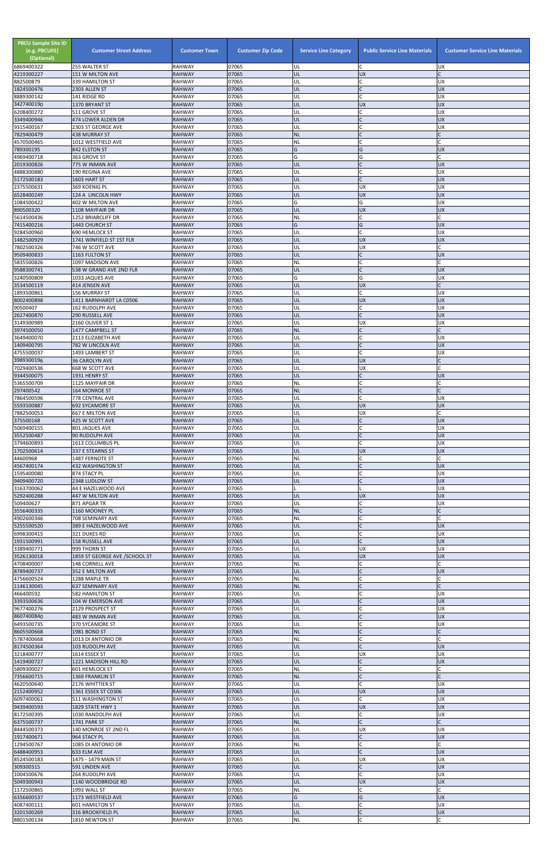| <b>PBCU Sample Site ID</b><br>(e.g. PBCU01)<br>(Optional)<br>6869400322 | <b>Customer Street Address</b><br>255 WALTER ST   | <b>Customer Town</b><br><b>RAHWAY</b> | <b>Customer Zip Code</b><br>07065 | <b>Service Line Category</b><br>UL | <b>Public Service Line Materials</b><br>C | <b>Customer Service Line Materials</b><br><b>UX</b> |
|-------------------------------------------------------------------------|---------------------------------------------------|---------------------------------------|-----------------------------------|------------------------------------|-------------------------------------------|-----------------------------------------------------|
| 4219300227                                                              | 151 W MILTON AVE                                  | <b>RAHWAY</b>                         | 07065                             | UL                                 | <b>UX</b>                                 |                                                     |
| 882500879                                                               | 339 HAMILTON ST                                   | RAHWAY                                | 07065                             | UL                                 | $\mathsf{C}$                              | <b>UX</b>                                           |
| 1824500476<br>8889300142                                                | 2303 ALLEN ST<br>141 RIDGE RD                     | <b>RAHWAY</b><br><b>RAHWAY</b>        | 07065<br>07065                    | UL<br>UL                           | $\mathsf{C}$<br>$\mathsf{C}$              | <b>UX</b><br>UX                                     |
| 3427400190                                                              | 1370 BRYANT ST                                    | <b>RAHWAY</b>                         | 07065                             | UL                                 | <b>UX</b>                                 | <b>UX</b>                                           |
| 6208400272<br>3349400946                                                | 511 GROVE ST<br>474 LOWER ALDEN DR                | RAHWAY<br><b>RAHWAY</b>               | 07065<br>07065                    | UL<br>UL                           | $\mathsf{C}$<br>$\mathsf{C}$              | <b>UX</b><br><b>UX</b>                              |
| 9315400167                                                              | 2303 ST GEORGE AVE                                | RAHWAY                                | 07065                             | UL                                 | $\mathsf{C}$                              | <b>UX</b>                                           |
| 7829400479<br>4570500465                                                | <b>438 MURRAY ST</b><br>1012 WESTFIELD AVE        | <b>RAHWAY</b><br>RAHWAY               | 07065<br>07065                    | <b>NL</b><br><b>NL</b>             | $\mathcal{C}$<br>$\mathsf{C}$             |                                                     |
| 789300195                                                               | 842 ELSTON ST                                     | <b>RAHWAY</b>                         | 07065                             | G                                  | G                                         | <b>UX</b>                                           |
| 4969400718<br>2019300826                                                | 363 GROVE ST<br>775 W INMAN AVE                   | RAHWAY<br><b>RAHWAY</b>               | 07065<br>07065                    | G<br>UL                            | G<br>$\mathsf{C}$                         | <b>UX</b>                                           |
| 4888300880                                                              | 190 REGINA AVE                                    | RAHWAY                                | 07065                             | UL                                 | $\mathsf{C}$                              | <b>UX</b>                                           |
| 5172500183<br>2375500631                                                | 1603 HART ST<br>369 KOENIG PL                     | <b>RAHWAY</b><br>RAHWAY               | 07065<br>07065                    | UL<br>UL                           | $\mathsf{C}$<br><b>UX</b>                 | <b>UX</b><br>UX                                     |
| 6528400249                                                              | 124 A LINCOLN HWY                                 | <b>RAHWAY</b>                         | 07065                             | UL                                 | <b>UX</b>                                 | <b>UX</b>                                           |
| 1084500422<br>890500320                                                 | 402 W MILTON AVE                                  | RAHWAY                                | 07065<br>07065                    | G<br>UL                            | G<br><b>UX</b>                            | <b>UX</b><br><b>UX</b>                              |
| 5614500436                                                              | 1108 MAYFAIR DR<br>1252 BRIARCLIFF DR             | <b>RAHWAY</b><br>RAHWAY               | 07065                             | <b>NL</b>                          | C                                         |                                                     |
| 7415400216                                                              | 1443 CHURCH ST                                    | <b>RAHWAY</b>                         | 07065                             | G                                  | G                                         | <b>UX</b>                                           |
| 9284500960<br>1482500929                                                | 690 HEMLOCK ST<br>1741 WINFIELD ST 1ST FLR        | <b>RAHWAY</b><br><b>RAHWAY</b>        | 07065<br>07065                    | UL<br>UL                           | $\mathsf{C}$<br><b>UX</b>                 | UX<br><b>UX</b>                                     |
| 7802500326                                                              | 746 W SCOTT AVE                                   | RAHWAY                                | 07065                             | UL                                 | UX                                        |                                                     |
| 9509400833<br>5835500826                                                | 1163 FULTON ST<br>1097 MADISON AVE                | <b>RAHWAY</b><br>RAHWAY               | 07065<br>07065                    | UL<br><b>NL</b>                    | $\mathsf{C}$<br>$\mathsf{C}$              | <b>UX</b>                                           |
| 9588300741                                                              | 538 W GRAND AVE 2ND FLR                           | <b>RAHWAY</b>                         | 07065                             | UL                                 | $\mathsf{C}$                              | <b>UX</b>                                           |
| 3240500809<br>3534500119                                                | 1033 JAQUES AVE<br>414 JENSEN AVE                 | RAHWAY<br><b>RAHWAY</b>               | 07065<br>07065                    | G<br>UL                            | G<br><b>UX</b>                            | <b>UX</b>                                           |
| 1893500861                                                              | <b>156 MURRAY ST</b>                              | RAHWAY                                | 07065                             | UL                                 | $\mathsf{C}$                              | UX                                                  |
| 8002400898                                                              | 1411 BARNHARDT LA C0506                           | <b>RAHWAY</b>                         | 07065                             | UL                                 | <b>UX</b>                                 | <b>UX</b>                                           |
| 90500407<br>2627400870                                                  | <b>162 RUDOLPH AVE</b><br>290 RUSSELL AVE         | RAHWAY<br><b>RAHWAY</b>               | 07065<br>07065                    | UL<br>UL                           | $\mathsf{C}$<br>$\mathsf{C}$              | <b>UX</b><br><b>UX</b>                              |
| 3149300989                                                              | 2160 OLIVER ST 1                                  | RAHWAY                                | 07065                             | UL                                 | <b>UX</b>                                 | <b>UX</b>                                           |
| 3974500050<br>3649400070                                                | 1477 CAMPBELL ST<br>2113 ELIZABETH AVE            | <b>RAHWAY</b><br>RAHWAY               | 07065<br>07065                    | <b>NL</b><br>UL                    | $\overline{C}$<br>$\mathsf{C}$            | <b>UX</b>                                           |
| 1409400795                                                              | 782 W LINCOLN AVE                                 | <b>RAHWAY</b>                         | 07065                             | UL                                 |                                           | <b>UX</b>                                           |
| 4755500037<br>3989300196                                                | 1493 LAMBERT ST<br><b>36 CAROLYN AVE</b>          | RAHWAY<br><b>RAHWAY</b>               | 07065<br>07065                    | UL<br>UL                           | <b>UX</b>                                 | <b>UX</b>                                           |
| 7029400536                                                              | 668 W SCOTT AVE                                   | RAHWAY                                | 07065                             | UL                                 | <b>UX</b>                                 |                                                     |
| 9344500075<br>5365500709                                                | 1931 HENRY ST                                     | <b>RAHWAY</b><br>RAHWAY               | 07065<br>07065                    | UL<br><b>NL</b>                    | $\mathsf{C}$<br>C                         | <b>UX</b>                                           |
| 297400542                                                               | 1125 MAYFAIR DR<br>164 MONROE ST                  | RAHWAY                                | 07065                             | <b>NL</b>                          | $\mathsf{C}$                              |                                                     |
| 7864500596                                                              | 778 CENTRAL AVE                                   | RAHWAY                                | 07065                             | UL                                 | $\mathsf{C}$                              | <b>UX</b>                                           |
| 5593500887<br>7882500053                                                | <b>692 SYCAMORE ST</b><br><b>667 E MILTON AVE</b> | <b>RAHWAY</b><br>RAHWAY               | 07065<br>07065                    | UL<br>UL                           | <b>UX</b><br>UX                           | <b>UX</b>                                           |
| 375500168                                                               | 425 W SCOTT AVE                                   | <b>RAHWAY</b>                         | 07065                             | UL                                 | $\mathsf{C}$                              | <b>UX</b>                                           |
| 5069400155<br>3552500487                                                | 801 JAQUES AVE<br>90 RUDOLPH AVE                  | RAHWAY<br><b>RAHWAY</b>               | 07065<br>07065                    | UL<br>UL                           | $\mathsf{C}$<br>$\mathsf{C}$              | UX<br><b>UX</b>                                     |
| 3794600893                                                              | 1613 COLUMBUS PL                                  | RAHWAY                                | 07065                             | UL                                 | $\mathsf{C}$                              | <b>UX</b>                                           |
| 1702500614<br>44600968                                                  | 337 E STEARNS ST<br>1487 FERNOTE ST               | <b>RAHWAY</b><br>RAHWAY               | 07065<br>07065                    | UL<br><b>NL</b>                    | <b>UX</b><br>C                            | <b>UX</b>                                           |
| 4567400174                                                              | 432 WASHINGTON ST                                 | <b>RAHWAY</b>                         | 07065                             | UL                                 | $\mathsf{C}$                              | <b>UX</b>                                           |
| 1595400080<br>9409400720                                                | 874 STACY PL<br>2348 LUDLOW ST                    | RAHWAY<br><b>RAHWAY</b>               | 07065<br>07065                    | UL<br>UL                           |                                           | UX<br><b>UX</b>                                     |
| 3163700062                                                              | 44 E HAZELWOOD AVE                                | RAHWAY                                | 07065                             |                                    |                                           | UX                                                  |
| 5292400288                                                              | 447 W MILTON AVE                                  | <b>RAHWAY</b>                         | 07065                             | UL                                 | <b>UX</b>                                 | <b>UX</b>                                           |
| 509400627<br>3556400335                                                 | 871 APGAR TR<br>1160 MOONEY PL                    | RAHWAY<br><b>RAHWAY</b>               | 07065<br>07065                    | UL<br><b>NL</b>                    | C<br>$\mathcal{C}$                        | <b>UX</b>                                           |
| 4902600346                                                              | 708 SEMINARY AVE                                  | RAHWAY                                | 07065                             | <b>NL</b>                          | $\mathsf{C}$                              |                                                     |
| 5255500520<br>6998300415                                                | 389 E HAZELWOOD AVE<br>321 DUKES RD               | <b>RAHWAY</b><br><b>RAHWAY</b>        | 07065<br>07065                    | UL<br>UL                           | $\mathsf{C}$<br>$\mathsf{C}$              | <b>UX</b><br><b>UX</b>                              |
| 1931500991                                                              | 158 RUSSELL AVE                                   | <b>RAHWAY</b>                         | 07065                             | UL                                 | $\mathsf{C}$                              | <b>UX</b>                                           |
| 3389400771<br>3526130018                                                | 999 THORN ST<br>1859 ST GEORGE AVE /SCHOOL ST     | RAHWAY<br><b>RAHWAY</b>               | 07065<br>07065                    | UL<br>UL                           | UX<br><b>UX</b>                           | <b>UX</b><br><b>UX</b>                              |
| 4708400007                                                              | 148 CORNELL AVE                                   | RAHWAY                                | 07065                             | <b>NL</b>                          | C                                         |                                                     |
| 8789400737                                                              | 352 E MILTON AVE                                  | <b>RAHWAY</b>                         | 07065                             | UL                                 | $\mathsf{C}$<br>$\mathsf{C}$              | <b>UX</b>                                           |
| 4756600524<br>1146130045                                                | 1288 MAPLE TR<br><b>637 SEMINARY AVE</b>          | RAHWAY<br><b>RAHWAY</b>               | 07065<br>07065                    | <b>NL</b><br><b>NL</b>             | $\mathsf{C}$                              |                                                     |
| 466400592                                                               | <b>582 HAMILTON ST</b>                            | RAHWAY                                | 07065                             | UL                                 | $\mathsf{C}$                              | <b>UX</b>                                           |
| 3393500636<br>9677400276                                                | 104 W EMERSON AVE<br>2129 PROSPECT ST             | <b>RAHWAY</b><br>RAHWAY               | 07065<br>07065                    | UL<br>UL                           | $\mathsf{C}$<br>C                         | <b>UX</b><br>UX                                     |
| 8607400840                                                              | 483 W INMAN AVE                                   | <b>RAHWAY</b>                         | 07065                             | UL                                 | $\mathsf{C}$                              | <b>UX</b>                                           |
| 6493500735<br>8605500668                                                | 370 SYCAMORE ST<br><b>1981 BOND ST</b>            | RAHWAY<br><b>RAHWAY</b>               | 07065<br>07065                    | UL<br><b>NL</b>                    | $\mathsf{C}$<br>$\mathsf{C}$              | <b>UX</b>                                           |
| 5787400668                                                              | 1013 DI ANTONIO DR                                | RAHWAY                                | 07065                             | <b>NL</b>                          | C                                         |                                                     |
| 8174500364<br>3218400777                                                | 103 RUDOLPH AVE<br>1614 ESSEX ST                  | <b>RAHWAY</b><br>RAHWAY               | 07065<br>07065                    | UL<br>UL                           | $\mathsf{C}$<br>UX                        | <b>UX</b><br><b>UX</b>                              |
| 1419400727                                                              | 1221 MADISON HILL RD                              | <b>RAHWAY</b>                         | 07065                             | UL                                 |                                           | <b>UX</b>                                           |
| 5809300027                                                              | 601 HEMLOCK ST                                    | <b>RAHWAY</b>                         | 07065                             | INL.                               |                                           |                                                     |
| 7356600715<br>4620500640                                                | <b>1369 FRANKLIN ST</b><br>2176 WHITTIER ST       | <b>RAHWAY</b><br><b>RAHWAY</b>        | 07065<br>07065                    | <b>NL</b><br>UL                    | $\mathsf{C}$<br>$\mathsf{C}$              | <b>UX</b>                                           |
| 2152400952                                                              | 1361 ESSEX ST C0306                               | <b>RAHWAY</b>                         | 07065                             | UL                                 | <b>UX</b>                                 | <b>UX</b>                                           |
| 6097400061<br>9439400593                                                | 511 WASHINGTON ST<br>1829 STATE HWY 1             | RAHWAY<br><b>RAHWAY</b>               | 07065<br>07065                    | UL<br>UL                           | C<br><b>UX</b>                            | <b>UX</b><br><b>UX</b>                              |
| 8172500395                                                              | 1030 RANDOLPH AVE                                 | RAHWAY                                | 07065                             | UL                                 | $\mathsf{C}$                              | <b>UX</b>                                           |
| 6375500737<br>8444500373                                                | 1741 PARK ST<br>140 MONROE ST 2ND FL              | <b>RAHWAY</b><br>RAHWAY               | 07065<br>07065                    | <b>NL</b><br>UL                    | $\mathsf{C}$<br><b>UX</b>                 | <b>UX</b>                                           |
| 1917400671                                                              | 964 STACY PL                                      | RAHWAY                                | 07065                             | UL                                 | $\mathsf{C}$                              | <b>UX</b>                                           |
| 1294500767<br>6488400953                                                | 1085 DI ANTONIO DR                                | <b>RAHWAY</b>                         | 07065<br>07065                    | <b>NL</b><br>UL                    | $\mathsf{C}$<br>$\mathsf{C}$              | <b>UX</b>                                           |
| 8524500183                                                              | 633 ELM AVE<br>1475 - 1479 MAIN ST                | <b>RAHWAY</b><br><b>RAHWAY</b>        | 07065                             | UL                                 | <b>UX</b>                                 | <b>UX</b>                                           |
| 309300315                                                               | 591 LINDEN AVE                                    | RAHWAY                                | 07065                             | UL                                 | $\mathsf{C}$                              | <b>UX</b>                                           |
| 1004500676<br>5049300943                                                | 264 RUDOLPH AVE<br>1140 WOODBRIDGE RD             | RAHWAY<br><b>RAHWAY</b>               | 07065<br>07065                    | UL<br>UL                           | $\mathsf{C}$<br><b>UX</b>                 | <b>UX</b><br><b>UX</b>                              |
| 1172500865                                                              | 1993 WALL ST                                      | RAHWAY                                | 07065                             | <b>NL</b>                          | C                                         |                                                     |
| 6356600537<br>4087400111                                                | 1173 WESTFIELD AVE<br><b>601 HAMILTON ST</b>      | <b>RAHWAY</b><br>RAHWAY               | 07065<br>07065                    | G<br>UL                            | G<br>$\mathsf{C}$                         | <b>UX</b><br>UX                                     |
| 3201500269                                                              | 316 BROOKFIELD PL                                 | <b>RAHWAY</b>                         | 07065                             | UL                                 | $\mathsf C$                               | <b>UX</b>                                           |
| 8801500134                                                              | 1810 NEWTON ST                                    | RAHWAY                                | 07065                             | NL                                 | $\mathsf{C}$                              |                                                     |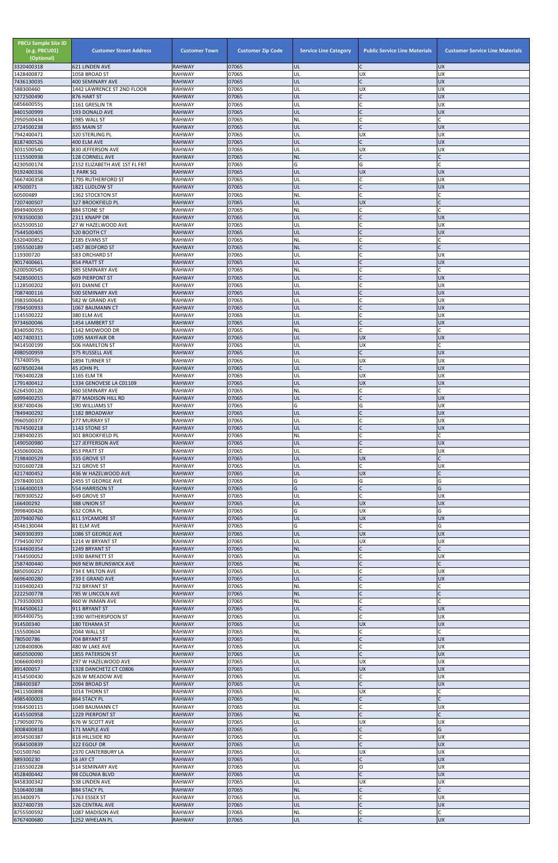| <b>PBCU Sample Site ID</b><br>(e.g. PBCU01)<br>(Optional) | <b>Customer Street Address</b>                          | <b>Customer Town</b>           | <b>Customer Zip Code</b> | <b>Service Line Category</b> | <b>Public Service Line Materials</b> | <b>Customer Service Line Materials</b> |
|-----------------------------------------------------------|---------------------------------------------------------|--------------------------------|--------------------------|------------------------------|--------------------------------------|----------------------------------------|
| 3320400318<br>1428400872                                  | 621 LINDEN AVE<br>1058 BROAD ST                         | <b>RAHWAY</b><br><b>RAHWAY</b> | 07065<br>07065           | <b>UL</b><br>UL              | C<br><b>UX</b>                       | <b>UX</b><br>UX                        |
| 7436130035                                                | <b>400 SEMINARY AVE</b>                                 | <b>RAHWAY</b>                  | 07065                    | UL                           | $\mathsf{C}$                         | <b>UX</b>                              |
| 588300460<br>3272500490                                   | 1442 LAWRENCE ST 2ND FLOOR<br>876 HART ST               | <b>RAHWAY</b><br><b>RAHWAY</b> | 07065<br>07065           | UL<br>UL                     | <b>UX</b><br>$\mathsf{C}$            | <b>UX</b><br><b>UX</b>                 |
| 6856600555                                                | 1161 GRESLIN TR                                         | <b>RAHWAY</b>                  | 07065                    | UL                           |                                      | UX                                     |
| 8401500999<br>2950500434                                  | 193 DONALD AVE<br>1985 WALL ST                          | <b>RAHWAY</b><br><b>RAHWAY</b> | 07065<br>07065           | UL<br><b>NL</b>              | $\mathsf{C}$<br>$\mathsf{C}$         | <b>UX</b>                              |
| 2724500238                                                | 855 MAIN ST                                             | <b>RAHWAY</b>                  | 07065                    | UL                           | $\mathsf{C}$                         | <b>UX</b>                              |
| 7942400471<br>8187400526                                  | 320 STERLING PL<br>400 ELM AVE                          | <b>RAHWAY</b><br><b>RAHWAY</b> | 07065<br>07065           | UL<br>UL                     | <b>UX</b><br>$\mathsf{C}$            | UX<br><b>UX</b>                        |
| 3031500540                                                | 830 JEFFERSON AVE                                       | RAHWAY                         | 07065                    | UL                           | <b>UX</b>                            | UX                                     |
| 1115500938<br>4230500174                                  | <b>128 CORNELL AVE</b><br>2152 ELIZABETH AVE 1ST FL FRT | <b>RAHWAY</b><br><b>RAHWAY</b> | 07065<br>07065           | <b>NL</b><br>G               | $\mathsf{C}$<br>G                    |                                        |
| 9192400336                                                | 1 PARK SQ                                               | <b>RAHWAY</b>                  | 07065                    | UL                           | <b>UX</b>                            | <b>UX</b>                              |
| 5667400358                                                | 1795 RUTHERFORD ST                                      | <b>RAHWAY</b>                  | 07065                    | UL                           | $\mathsf{C}$                         | UX                                     |
| 47500071<br>60500489                                      | 1821 LUDLOW ST<br><b>1362 STOCKTON ST</b>               | <b>RAHWAY</b><br><b>RAHWAY</b> | 07065<br>07065           | UL<br><b>NL</b>              | $\mathsf{C}$<br>$\mathsf{C}$         | <b>UX</b>                              |
| 7207400507                                                | 327 BROOKFIELD PL                                       | <b>RAHWAY</b>                  | 07065                    | UL                           | <b>UX</b>                            |                                        |
| 8949400659<br>9783500030                                  | 884 STONE ST<br>2311 KNAPP DR                           | <b>RAHWAY</b><br><b>RAHWAY</b> | 07065<br>07065           | <b>NL</b><br>UL              | C<br>$\mathsf{C}$                    | <b>UX</b>                              |
| 6525500510                                                | 27 W HAZELWOOD AVE                                      | <b>RAHWAY</b>                  | 07065                    | UL                           | $\mathsf{C}$                         | UX                                     |
| 7544500405<br>6320400852                                  | 520 BOOTH CT<br>2185 EVANS ST                           | <b>RAHWAY</b><br><b>RAHWAY</b> | 07065<br>07065           | UL<br><b>NL</b>              | $\mathcal{C}$                        | <b>UX</b>                              |
| 1955500189                                                | 1457 BEDFORD ST                                         | <b>RAHWAY</b>                  | 07065                    | NL                           |                                      |                                        |
| 119300720                                                 | 583 ORCHARD ST                                          | RAHWAY                         | 07065                    | UL                           | <b>C</b>                             | UX                                     |
| 9017400661<br>6200500545                                  | 854 PRATT ST<br>385 SEMINARY AVE                        | <b>RAHWAY</b><br><b>RAHWAY</b> | 07065<br>07065           | UL<br><b>NL</b>              | $\mathsf{C}$<br>C                    | <b>UX</b>                              |
| 5428500015                                                | <b>609 PIERPONT ST</b>                                  | <b>RAHWAY</b>                  | 07065                    | UL                           | $\mathsf{C}$                         | <b>UX</b>                              |
| 1128500202<br>7087400116                                  | 691 DIANNE CT<br>500 SEMINARY AVE                       | <b>RAHWAY</b><br><b>RAHWAY</b> | 07065<br>07065           | UL<br><b>UL</b>              | $\mathsf{C}$<br>$\mathsf{C}$         | UX<br><b>UX</b>                        |
| 3983500643                                                | 582 W GRAND AVE                                         | <b>RAHWAY</b>                  | 07065                    | UL                           | C                                    | <b>UX</b>                              |
| 7394500933<br>1145500222                                  | 1067 BAUMANN CT<br>380 ELM AVE                          | <b>RAHWAY</b><br><b>RAHWAY</b> | 07065<br>07065           | UL<br>UL                     | C                                    | <b>UX</b><br><b>UX</b>                 |
| 9734600046                                                | 1454 LAMBERT ST                                         | <b>RAHWAY</b>                  | 07065                    | UL                           | $\mathsf{C}$                         | <b>UX</b>                              |
| 8340500755                                                | 1142 MIDWOOD DR                                         | <b>RAHWAY</b>                  | 07065<br>07065           | <b>NL</b>                    | $\mathsf{C}$                         |                                        |
| 4017400311<br>9414500199                                  | 1095 MAYFAIR DR<br>506 HAMILTON ST                      | <b>RAHWAY</b><br><b>RAHWAY</b> | 07065                    | UL<br>UL                     | <b>UX</b><br><b>UX</b>               | <b>UX</b>                              |
| 4980500959                                                | 375 RUSSELL AVE                                         | RAHWAY                         | 07065                    | <b>IUL</b>                   |                                      | UX                                     |
| 737400595<br>6078500244                                   | 1894 TURNER ST<br>45 JOHN PL                            | RAHWAY<br><b>RAHWAY</b>        | 07065<br>07065           | UL<br>UL                     | <b>UX</b><br>$\mathsf{C}$            | UX<br><b>UX</b>                        |
| 7063400228                                                | 1165 ELM TR                                             | <b>RAHWAY</b>                  | 07065                    | UL                           | <b>UX</b>                            | <b>UX</b>                              |
| 1791400412<br>6264500120                                  | 1334 GENOVESE LA C01109<br>460 SEMINARY AVE             | <b>RAHWAY</b><br>RAHWAY        | 07065<br>07065           | UL<br><b>NL</b>              | <b>UX</b><br>C                       | <b>UX</b>                              |
| 6999400255                                                | 877 MADISON HILL RD                                     | <b>RAHWAY</b>                  | 07065                    | UL                           | $\mathsf{C}$                         | <b>UX</b>                              |
| 8387400436<br>7849400292                                  | 190 WILLIAMS ST                                         | <b>RAHWAY</b>                  | 07065<br>07065           | G<br>UL                      | G<br>$\mathsf{C}$                    | UX<br><b>UX</b>                        |
| 9960500377                                                | 1182 BROADWAY<br>277 MURRAY ST                          | <b>RAHWAY</b><br>RAHWAY        | 07065                    | UL                           | $\mathsf{C}$                         | UX                                     |
| 7674500218                                                | 1143 STONE ST                                           | <b>RAHWAY</b>                  | 07065                    | UL                           | $\mathsf{C}$                         | <b>UX</b>                              |
| 2389400235<br>1490500980                                  | <b>301 BROOKFIELD PL</b><br>127 JEFFERSON AVE           | <b>RAHWAY</b><br><b>RAHWAY</b> | 07065<br>07065           | NL<br>UL                     | C<br>$\mathsf{C}$                    | <b>UX</b>                              |
| 4350600026                                                | 853 PRATT ST                                            | RAHWAY                         | 07065                    | UL                           | $\mathsf{C}$                         | <b>UX</b>                              |
| 7198400529<br>9201600728                                  | 335 GROVE ST<br>321 GROVE ST                            | <b>RAHWAY</b><br>RAHWAY        | 07065<br>07065           | UL<br>UL                     | <b>UX</b><br>$\mathsf{C}$            | UX                                     |
| 4217400452                                                | 436 W HAZELWOOD AVE                                     | <b>RAHWAY</b>                  | 07065                    | UL                           | <b>UX</b>                            |                                        |
| 2978400103                                                | 2455 ST GEORGE AVE                                      | <b>RAHWAY</b><br><b>RAHWAY</b> | 07065<br>07065           | G<br>G                       | G<br>$\mathsf{C}$                    | G<br>G                                 |
| 1166400019<br>7809300522                                  | 554 HARRISON ST<br>649 GROVE ST                         | RAHWAY                         | 07065                    | UL                           | $\mathsf{C}$                         | UX                                     |
| 166400292                                                 | 388 UNION ST                                            | <b>RAHWAY</b>                  | 07065                    | UL                           | <b>UX</b>                            | <b>ND</b>                              |
| 9998400426<br>2079400760                                  | 632 CORA PL<br>611 SYCAMORE ST                          | <b>RAHWAY</b><br><b>RAHWAY</b> | 07065<br>07065           | G<br>UL                      | <b>UX</b><br><b>UX</b>               | G<br><b>UX</b>                         |
| 4546130044                                                | 81 ELM AVE                                              | RAHWAY                         | 07065                    | G                            | lC.                                  | G                                      |
| 3409300393<br>7794500707                                  | 1086 ST GEORGE AVE<br>1214 W BRYANT ST                  | <b>RAHWAY</b><br><b>RAHWAY</b> | 07065<br>07065           | UL<br>UL                     | <b>UX</b><br><b>UX</b>               | <b>UX</b><br><b>UX</b>                 |
| 5144600354                                                | 1249 BRYANT ST                                          | <b>RAHWAY</b>                  | 07065                    | <b>NL</b>                    | $\mathsf{C}$                         |                                        |
| 7344500052<br>2587400440                                  | 1930 BARNETT ST<br>969 NEW BRUNSWICK AVE                | <b>RAHWAY</b><br><b>RAHWAY</b> | 07065<br>07065           | UL<br><b>NL</b>              | $\mathsf{C}$<br>$\mathsf{C}$         | UX                                     |
| 8850500257                                                | 734 E MILTON AVE                                        | <b>RAHWAY</b>                  | 07065                    | UL                           | $\mathsf{C}$                         | UX                                     |
| 6696400280                                                | 239 E GRAND AVE                                         | <b>RAHWAY</b>                  | 07065                    | UL                           | $\mathsf{C}$                         | <b>UX</b>                              |
| 3169400243<br>2222500778                                  | 732 BRYANT ST<br>785 W LINCOLN AVE                      | RAHWAY<br><b>RAHWAY</b>        | 07065<br>07065           | <b>NL</b><br><b>NL</b>       | C<br>$\mathsf{C}$                    |                                        |
| 1793500093                                                | 460 W INMAN AVE                                         | RAHWAY                         | 07065                    | <b>NL</b>                    | C                                    |                                        |
| 9144500612<br>8954400755                                  | 911 BRYANT ST<br>1390 WITHERSPOON ST                    | <b>RAHWAY</b><br><b>RAHWAY</b> | 07065<br>07065           | UL<br>UL                     | $\mathsf{C}$                         | <b>UX</b><br>UX                        |
| 914500340                                                 | 180 TEHAMA ST                                           | <b>RAHWAY</b>                  | 07065                    | UL                           | <b>UX</b>                            | <b>UX</b>                              |
| 155500604<br>780500786                                    | 2044 WALL ST                                            | RAHWAY<br><b>RAHWAY</b>        | 07065<br>07065           | <b>NL</b><br>UL              | $\mathsf{C}$<br>$\mathsf C$          | <b>UX</b>                              |
| 1208400806                                                | 704 BRYANT ST<br>480 W LAKE AVE                         | <b>RAHWAY</b>                  | 07065                    | UL                           | C                                    | <b>UX</b>                              |
| 6850500090                                                | <b>1855 PATERSON ST</b>                                 | <b>RAHWAY</b>                  | 07065                    | UL                           |                                      | <b>UX</b>                              |
| 3066600493<br>891400057                                   | 297 W HAZELWOOD AVE<br>1328 DANCHETZ CT C0806           | <b>RAHWAY</b><br><b>RAHWAY</b> | 07065<br>07065           | UL<br>UL                     | <b>UX</b><br><b>UX</b>               | UX<br>UX                               |
| 4154500430                                                | 626 W MEADOW AVE                                        | <b>RAHWAY</b>                  | 07065                    | UL                           | $\mathsf{C}$                         | UX                                     |
| 288400387<br>9411500898                                   | 2094 BROAD ST<br>1014 THORN ST                          | <b>RAHWAY</b><br><b>RAHWAY</b> | 07065<br>07065           | UL<br>UL                     | $\mathsf{C}$<br><b>UX</b>            | <b>UX</b>                              |
| 4985400003                                                | 864 STACY PL                                            | <b>RAHWAY</b>                  | 07065                    | <b>NL</b>                    | $\mathsf{C}$                         |                                        |
| 9364500115<br>4145500958                                  | 1049 BAUMANN CT<br>1229 PIERPONT ST                     | <b>RAHWAY</b><br><b>RAHWAY</b> | 07065<br>07065           | UL<br><b>NL</b>              | $\mathsf{C}$<br>$\mathsf{C}$         | <b>UX</b>                              |
| 1790500776                                                | 676 W SCOTT AVE                                         | <b>RAHWAY</b>                  | 07065                    | UL                           | <b>UX</b>                            | UX                                     |
| 3008400818                                                | 171 MAPLE AVE                                           | <b>RAHWAY</b>                  | 07065                    | G                            | $\mathsf{C}$                         | G                                      |
| 8934500387<br>9584500839                                  | 818 HILLSIDE RD<br>322 EGOLF DR                         | <b>RAHWAY</b><br><b>RAHWAY</b> | 07065<br>07065           | UL<br>UL                     | $\mathsf{C}$<br>$\mathsf{C}$         | <b>UX</b><br><b>UX</b>                 |
| 501500760                                                 | 2370 CANTERBURY LA                                      | <b>RAHWAY</b>                  | 07065                    | UL                           | <b>UX</b>                            | UX                                     |
| 889300230<br>2165500228                                   | 16 JAY CT<br>514 SEMINARY AVE                           | <b>RAHWAY</b><br><b>RAHWAY</b> | 07065<br>07065           | UL<br>UL                     | $\mathsf{C}$<br>O                    | XŊ<br><b>UX</b>                        |
| 4528400442                                                | 98 COLONIA BLVD                                         | <b>RAHWAY</b>                  | 07065                    | UL                           | $\mathsf{C}$                         | <b>UX</b>                              |
| 8458300342<br>5106400188                                  | 538 LINDEN AVE<br>884 STACY PL                          | <b>RAHWAY</b><br><b>RAHWAY</b> | 07065<br>07065           | UL<br><b>NL</b>              | <b>UX</b><br>$\mathsf{C}$            | <b>UX</b>                              |
| 853400975                                                 | 1763 ESSEX ST                                           | <b>RAHWAY</b>                  | 07065                    | UL                           | $\mathsf{C}$                         | <b>UX</b>                              |
| 8327400739                                                | 326 CENTRAL AVE                                         | <b>RAHWAY</b>                  | 07065                    | UL                           | $\mathsf{C}$                         | <b>UX</b>                              |
| 8755500592<br>6767400680                                  | 1087 MADISON AVE<br>1252 WHELAN PL                      | <b>RAHWAY</b><br><b>RAHWAY</b> | 07065<br>07065           | <b>NL</b><br>UL.             | C<br>$\mathsf{C}$                    | <b>UX</b>                              |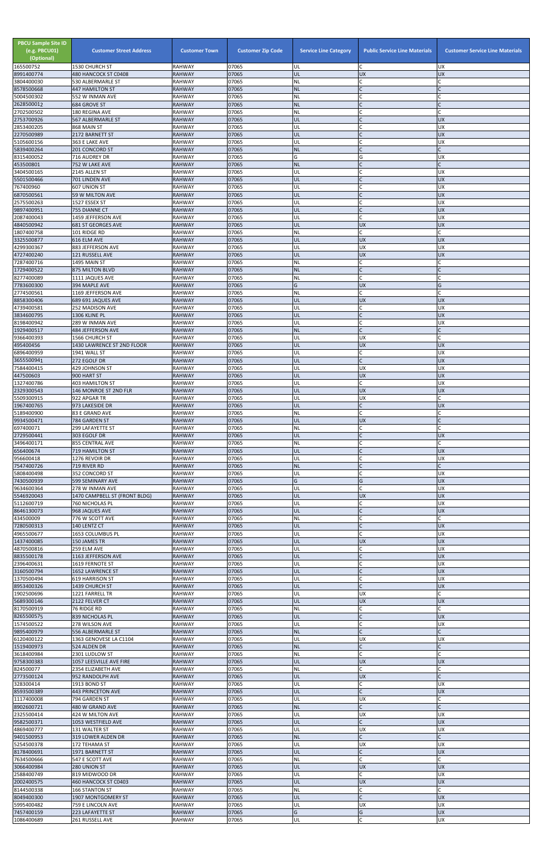| <b>PBCU Sample Site ID</b><br>(e.g. PBCU01)<br>(Optional)<br>165500752 | <b>Customer Street Address</b><br>1530 CHURCH ST | <b>Customer Town</b><br><b>RAHWAY</b> | <b>Customer Zip Code</b><br>07065 | <b>Service Line Category</b><br>UL | <b>Public Service Line Materials</b><br>C | <b>Customer Service Line Materials</b><br><b>UX</b> |
|------------------------------------------------------------------------|--------------------------------------------------|---------------------------------------|-----------------------------------|------------------------------------|-------------------------------------------|-----------------------------------------------------|
| 8991400774                                                             | 480 HANCOCK ST C0408                             | <b>RAHWAY</b>                         | 07065                             | UL                                 | <b>UX</b>                                 | <b>UX</b>                                           |
| 3804400030<br>8578500668                                               | 530 ALBERMARLE ST                                | <b>RAHWAY</b><br><b>RAHWAY</b>        | 07065<br>07065                    | <b>NL</b><br><b>NL</b>             | C<br>$\mathsf{C}$                         | C<br>$\mathsf{C}$                                   |
| 5004500302                                                             | <b>447 HAMILTON ST</b><br>552 W INMAN AVE        | <b>RAHWAY</b>                         | 07065                             | <b>NL</b>                          |                                           |                                                     |
| 2628500012<br>2702500502                                               | 684 GROVE ST<br>180 REGINA AVE                   | <b>RAHWAY</b><br><b>RAHWAY</b>        | 07065<br>07065                    | <b>NL</b><br>NL                    | $\mathsf{C}$                              |                                                     |
| 2753700926                                                             | 567 ALBERMARLE ST                                | <b>RAHWAY</b>                         | 07065                             | UL                                 | $\mathsf{C}$                              | <b>UX</b>                                           |
| 2853400205                                                             | 868 MAIN ST                                      | <b>RAHWAY</b>                         | 07065                             | UL                                 | C                                         | <b>UX</b>                                           |
| 2270500989<br>5105600156                                               | 2172 BARNETT ST<br>363 E LAKE AVE                | <b>RAHWAY</b><br><b>RAHWAY</b>        | 07065<br>07065                    | UL<br>UL                           |                                           | <b>UX</b><br><b>UX</b>                              |
| 5839400264                                                             | 201 CONCORD ST                                   | <b>RAHWAY</b>                         | 07065                             | <b>NL</b>                          | $\mathsf{C}$                              | $\mathsf{C}$                                        |
| 8315400052<br>453500801                                                | 716 AUDREY DR<br>752 W LAKE AVE                  | <b>RAHWAY</b><br><b>RAHWAY</b>        | 07065<br>07065                    | G<br><b>NL</b>                     | G                                         | <b>UX</b>                                           |
| 3404500165                                                             | 2145 ALLEN ST                                    | <b>RAHWAY</b>                         | 07065                             | UL                                 |                                           | <b>UX</b>                                           |
| 5501500466                                                             | 701 LINDEN AVE                                   | <b>RAHWAY</b>                         | 07065<br>07065                    | UL<br>UL                           | $\mathsf{C}$<br>$\mathsf{C}$              | <b>UX</b><br><b>UX</b>                              |
| 767400960<br>6870500561                                                | 607 UNION ST<br>59 W MILTON AVE                  | <b>RAHWAY</b><br><b>RAHWAY</b>        | 07065                             | UL                                 | $\mathsf{C}$                              | <b>UX</b>                                           |
| 2575500263                                                             | 1527 ESSEX ST                                    | <b>RAHWAY</b>                         | 07065                             | UL                                 |                                           | <b>UX</b>                                           |
| 9897400951<br>2087400043                                               | 755 DIANNE CT<br>1459 JEFFERSON AVE              | <b>RAHWAY</b><br><b>RAHWAY</b>        | 07065<br>07065                    | UL<br>UL                           | $\mathsf{C}$<br>$\mathsf{C}$              | <b>UX</b><br><b>UX</b>                              |
| 4840500942                                                             | <b>681 ST GEORGES AVE</b>                        | <b>RAHWAY</b>                         | 07065                             | UL                                 | <b>UX</b>                                 | <b>UX</b>                                           |
| 1807400758<br>3325500877                                               | 101 RIDGE RD<br>616 ELM AVE                      | <b>RAHWAY</b><br><b>RAHWAY</b>        | 07065<br>07065                    | NL<br>UL                           | $\mathsf{C}$<br><b>UX</b>                 | <b>UX</b>                                           |
| 4299300367                                                             | 883 JEFFERSON AVE                                | <b>RAHWAY</b>                         | 07065                             | UL                                 | UX                                        | <b>UX</b>                                           |
| 4727400240                                                             | 121 RUSSELL AVE                                  | <b>RAHWAY</b>                         | 07065                             | UL                                 | <b>UX</b><br>C                            | <b>UX</b>                                           |
| 7287400716<br>1729400522                                               | 1495 MAIN ST<br>875 MILTON BLVD                  | <b>RAHWAY</b><br><b>RAHWAY</b>        | 07065<br>07065                    | NL<br><b>NL</b>                    | $\mathsf{C}$                              |                                                     |
| 8277400089                                                             | 1111 JAQUES AVE                                  | <b>RAHWAY</b>                         | 07065                             | <b>NL</b>                          | $\mathsf{C}$                              |                                                     |
| 7783600300<br>2774500561                                               | 394 MAPLE AVE<br>1169 JEFFERSON AVE              | <b>RAHWAY</b><br><b>RAHWAY</b>        | 07065<br>07065                    | G<br><b>NL</b>                     | <b>UX</b><br>$\mathsf{C}$                 | G<br>C                                              |
| 8858300406                                                             | 689 691 JAQUES AVE                               | <b>RAHWAY</b>                         | 07065                             | UL                                 | <b>UX</b>                                 | <b>UX</b>                                           |
| 4739400581<br>3834600795                                               | 252 MADISON AVE<br>1306 KLINE PL                 | <b>RAHWAY</b><br><b>RAHWAY</b>        | 07065<br>07065                    | UL<br>UL                           | $\mathsf{C}$<br>$\mathsf{C}$              | <b>UX</b><br><b>UX</b>                              |
| 8198400942                                                             | 289 W INMAN AVE                                  | <b>RAHWAY</b>                         | 07065                             | UL                                 | $\mathsf{C}$                              | <b>UX</b>                                           |
| 1929400517<br>9366400393                                               | 484 JEFFERSON AVE                                | <b>RAHWAY</b><br><b>RAHWAY</b>        | 07065<br>07065                    | <b>NL</b><br>UL                    | $\mathsf{C}$<br><b>UX</b>                 |                                                     |
| 495400456                                                              | 1566 CHURCH ST<br>1430 LAWRENCE ST 2ND FLOOR     | <b>RAHWAY</b>                         | 07065                             | UL                                 | <b>UX</b>                                 | <b>UX</b>                                           |
| 6896400959                                                             | <b>1941 WALL ST</b>                              | <b>RAHWAY</b>                         | 07065                             | UL                                 |                                           | UX                                                  |
| 3655500941<br>7584400415                                               | 272 EGOLF DR<br>429 JOHNSON ST                   | <b>RAHWAY</b><br><b>RAHWAY</b>        | 07065<br>07065                    | UL<br>UL                           | $\mathsf{C}$<br><b>UX</b>                 | <b>UX</b><br><b>UX</b>                              |
| 447500603                                                              | 900 HART ST                                      | <b>RAHWAY</b>                         | 07065                             | UL                                 | <b>UX</b>                                 | <b>UX</b>                                           |
| 1327400786<br>2329300543                                               | 403 HAMILTON ST<br>146 MONROE ST 2ND FLR         | <b>RAHWAY</b><br><b>RAHWAY</b>        | 07065<br>07065                    | UL<br>UL                           | C<br><b>UX</b>                            | <b>UX</b><br><b>UX</b>                              |
| 5509300915                                                             | 922 APGAR TR                                     | <b>RAHWAY</b>                         | 07065                             | UL                                 | <b>UX</b>                                 |                                                     |
| 1967400765<br>5189400900                                               | 973 LAKESIDE DR<br>83 E GRAND AVE                | <b>RAHWAY</b><br><b>RAHWAY</b>        | 07065<br>07065                    | UL<br><b>NL</b>                    | $\mathsf{C}$                              | <b>UX</b>                                           |
| 9934500471                                                             | 784 GARDEN ST                                    | <b>RAHWAY</b>                         | 07065                             | UL                                 | <b>UX</b>                                 |                                                     |
| 697400071                                                              | 299 LAFAYETTE ST                                 | <b>RAHWAY</b>                         | 07065                             | NL                                 | C                                         |                                                     |
| 2729500441<br>3496400171                                               | 303 EGOLF DR<br>855 CENTRAL AVE                  | <b>RAHWAY</b><br><b>RAHWAY</b>        | 07065<br>07065                    | UL<br><b>NL</b>                    | $\mathsf{C}$<br>C                         | <b>UX</b>                                           |
| 656400674                                                              | <b>719 HAMILTON ST</b>                           | <b>RAHWAY</b>                         | 07065                             | UL                                 | $\mathsf{C}$                              | <b>UX</b>                                           |
| 956600418<br>7547400726                                                | 1276 REVOIR DR<br>719 RIVER RD                   | <b>RAHWAY</b><br><b>RAHWAY</b>        | 07065<br>07065                    | UL<br><b>NL</b>                    | $\mathsf{C}$<br>$\mathsf{C}$              | <b>UX</b><br>$\mathsf{C}$                           |
| 5808400498                                                             | 352 CONCORD ST                                   | <b>RAHWAY</b>                         | 07065                             | UL                                 |                                           | <b>UX</b>                                           |
| 7430500939<br>9634600364                                               | 599 SEMINARY AVE<br>278 W INMAN AVE              | <b>RAHWAY</b><br><b>RAHWAY</b>        | 07065<br>07065                    | G<br>UL                            | G<br>$\mathsf{C}$                         | <b>UX</b><br><b>UX</b>                              |
| 5546920043                                                             | 1470 CAMPBELL ST (FRONT BLDG)                    | <b>RAHWAY</b>                         | 07065                             | UL                                 | <b>UX</b>                                 | <b>UX</b>                                           |
| 5112600719<br>8646130073                                               | 760 NICHOLAS PL<br>968 JAQUES AVE                | <b>RAHWAY</b><br><b>RAHWAY</b>        | 07065<br>07065                    | UL<br>UL                           | С<br>$\mathsf{C}$                         | <b>UX</b><br><b>UX</b>                              |
| 434500009                                                              | 776 W SCOTT AVE                                  | <b>RAHWAY</b>                         | 07065                             | NL                                 |                                           |                                                     |
| 7280500313                                                             | 140 LENTZ CT                                     | <b>RAHWAY</b>                         | 07065                             | UL                                 | $\mathsf{C}$<br>$\mathsf{C}$              | <b>UX</b>                                           |
| 4965500677<br>1437400085                                               | 1653 COLUMBUS PL<br>150 JAMES TR                 | <b>RAHWAY</b><br><b>RAHWAY</b>        | 07065<br>07065                    | UL<br>UL                           | <b>UX</b>                                 | <b>UX</b><br><b>UX</b>                              |
| 4870500816                                                             | 259 ELM AVE                                      | <b>RAHWAY</b>                         | 07065                             | UL                                 | C                                         | <b>UX</b>                                           |
| 8835500178<br>2396400631                                               | 1163 JEFFERSON AVE<br>1619 FERNOTE ST            | <b>RAHWAY</b><br><b>RAHWAY</b>        | 07065<br>07065                    | UL<br>UL                           | $\mathsf{C}$<br>$\mathsf{C}$              | <b>UX</b><br><b>UX</b>                              |
| 3160500794                                                             | 1652 LAWRENCE ST                                 | <b>RAHWAY</b>                         | 07065                             | UL                                 | $\mathsf C$                               | <b>UX</b>                                           |
| 1370500494<br>8953400326                                               | 619 HARRISON ST<br>1439 CHURCH ST                | <b>RAHWAY</b><br><b>RAHWAY</b>        | 07065<br>07065                    | UL<br>UL                           | $\mathsf{C}$<br>$\mathsf{C}$              | <b>UX</b><br><b>UX</b>                              |
| 1902500696                                                             | 1221 FARRELL TR                                  | <b>RAHWAY</b>                         | 07065                             | UL                                 | <b>UX</b>                                 |                                                     |
| 5689300146                                                             | 2122 FELVER CT                                   | <b>RAHWAY</b>                         | 07065<br>07065                    | UL                                 | <b>UX</b><br>$\mathsf{C}$                 | <b>UX</b>                                           |
| 8170500919<br>8265500575                                               | 76 RIDGE RD<br>839 NICHOLAS PL                   | <b>RAHWAY</b><br><b>RAHWAY</b>        | 07065                             | NL<br>UL                           | $\mathsf{C}$                              | <b>UX</b>                                           |
| 1574500522                                                             | 278 WILSON AVE                                   | <b>RAHWAY</b>                         | 07065                             | UL                                 | $\overline{C}$                            | <b>UX</b>                                           |
| 9895400979<br>6120400122                                               | 556 ALBERMARLE ST<br>1363 GENOVESE LA C1104      | <b>RAHWAY</b><br><b>RAHWAY</b>        | 07065<br>07065                    | <b>NL</b><br>UL                    | $\mathsf{C}$<br><b>UX</b>                 | <b>UX</b>                                           |
| 1519400973                                                             | 524 ALDEN DR                                     | <b>RAHWAY</b>                         | 07065                             | <b>NL</b>                          | $\mathsf{C}$                              |                                                     |
| 3618400984<br>9758300383                                               | 2301 LUDLOW ST<br>1057 LEESVILLE AVE FIRE        | <b>RAHWAY</b><br><b>RAHWAY</b>        | 07065<br>07065                    | NL<br>UL                           | <b>UX</b>                                 | <b>UX</b>                                           |
| 824500077                                                              | 2354 ELIZABETH AVE                               | <b>RAHWAY</b>                         | 07065                             | <b>NL</b>                          |                                           |                                                     |
| 2773500124<br>328300414                                                | 952 RANDOLPH AVE                                 | <b>RAHWAY</b>                         | 07065                             | UL                                 | <b>UX</b>                                 | C                                                   |
| 8593500389                                                             | 1913 BOND ST<br>443 PRINCETON AVE                | <b>RAHWAY</b><br><b>RAHWAY</b>        | 07065<br>07065                    | UL<br>UL                           | C<br>$\mathsf{C}$                         | <b>UX</b><br><b>UX</b>                              |
| 1117400008                                                             | 794 GARDEN ST                                    | RAHWAY                                | 07065                             | UL                                 | <b>UX</b>                                 |                                                     |
| 8902600721<br>2325500414                                               | 480 W GRAND AVE<br>424 W MILTON AVE              | <b>RAHWAY</b><br><b>RAHWAY</b>        | 07065<br>07065                    | <b>NL</b><br>UL                    | $\mathsf{C}$<br><b>UX</b>                 | C<br><b>UX</b>                                      |
| 9582500371                                                             | 1053 WESTFIELD AVE                               | <b>RAHWAY</b>                         | 07065                             | UL                                 | $\mathsf{C}$                              | <b>UX</b>                                           |
| 4869400777<br>9401500953                                               | 131 WALTER ST<br>319 LOWER ALDEN DR              | <b>RAHWAY</b><br><b>RAHWAY</b>        | 07065<br>07065                    | UL<br><b>NL</b>                    | <b>UX</b><br>$\mathsf{C}$                 | <b>UX</b><br>$\mathsf{C}$                           |
| 5254500378                                                             | 172 TEHAMA ST                                    | <b>RAHWAY</b>                         | 07065                             | UL                                 | <b>UX</b>                                 | <b>UX</b>                                           |
| 8178400691<br>7634500666                                               | 1971 BARNETT ST<br>547 E SCOTT AVE               | <b>RAHWAY</b><br><b>RAHWAY</b>        | 07065<br>07065                    | UL<br><b>NL</b>                    | $\mathsf{C}$<br>$\mathsf{C}$              | <b>UX</b>                                           |
| 3066400984                                                             | 280 UNION ST                                     | <b>RAHWAY</b>                         | 07065                             | UL                                 | <b>UX</b>                                 | <b>UX</b>                                           |
| 2588400749                                                             | 819 MIDWOOD DR                                   | <b>RAHWAY</b>                         | 07065                             | UL                                 | C                                         | <b>UX</b>                                           |
| 2002400575<br>8144500338                                               | 460 HANCOCK ST C0403<br>166 STANTON ST           | <b>RAHWAY</b><br>RAHWAY               | 07065<br>07065                    | UL<br><b>NL</b>                    | <b>UX</b>                                 | <b>UX</b>                                           |
| 8049400300                                                             | 1907 MONTGOMERY ST                               | <b>RAHWAY</b>                         | 07065                             | UL                                 | $\mathsf{C}$                              | <b>UX</b>                                           |
| 5995400482<br>7457400159                                               | 759 E LINCOLN AVE                                | <b>RAHWAY</b><br><b>RAHWAY</b>        | 07065<br>07065                    | UL<br>G                            | <b>UX</b><br>G                            | <b>UX</b><br><b>UX</b>                              |
| 1086400689                                                             | 223 LAFAYETTE ST<br>261 RUSSELL AVE              | RAHWAY                                | 07065                             | UL                                 | C                                         | <b>UX</b>                                           |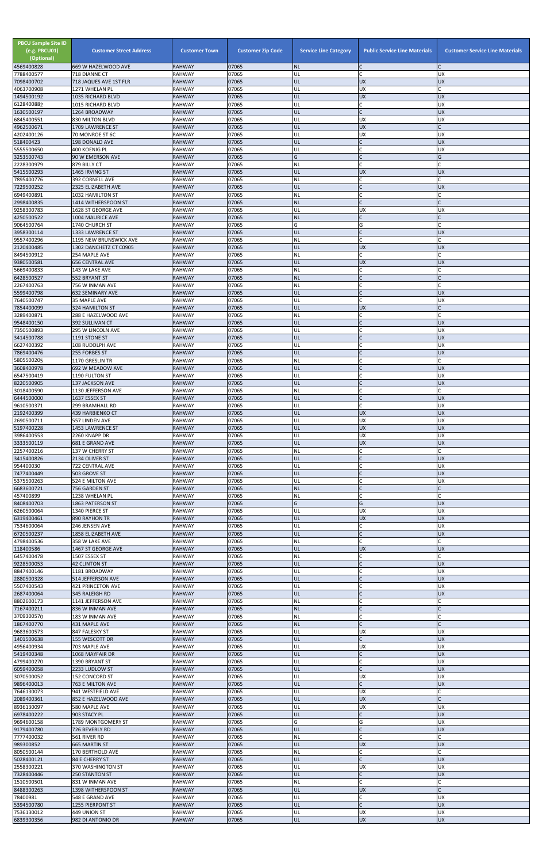| <b>PBCU Sample Site ID</b><br>(e.g. PBCU01)<br>(Optional)<br>4569400828 | <b>Customer Street Address</b><br>669 W HAZELWOOD AVE | <b>Customer Town</b><br><b>RAHWAY</b> | <b>Customer Zip Code</b><br>07065 | <b>Service Line Category</b><br><b>NL</b> | <b>Public Service Line Materials</b><br>IC. | <b>Customer Service Line Materials</b> |
|-------------------------------------------------------------------------|-------------------------------------------------------|---------------------------------------|-----------------------------------|-------------------------------------------|---------------------------------------------|----------------------------------------|
| 7788400577                                                              | 718 DIANNE CT                                         | <b>RAHWAY</b>                         | 07065                             | UL                                        | <b>C</b>                                    | <b>UX</b>                              |
| 7098400702                                                              | 718 JAQUES AVE 1ST FLR<br>1271 WHELAN PL              | <b>RAHWAY</b><br><b>RAHWAY</b>        | 07065<br>07065                    | UL<br>UL                                  | <b>UX</b><br><b>UX</b>                      | <b>UX</b>                              |
| 4063700908<br>1494500192                                                | 1035 RICHARD BLVD                                     | <b>RAHWAY</b>                         | 07065                             | UL                                        | <b>UX</b>                                   | <b>UX</b>                              |
| 6128400882<br>1630500197                                                | 1015 RICHARD BLVD                                     | <b>RAHWAY</b><br><b>RAHWAY</b>        | 07065<br>07065                    | UL<br>UL                                  | lC.<br>$\overline{C}$                       | UX<br><b>UX</b>                        |
| 6845400551                                                              | 1264 BROADWAY<br>830 MILTON BLVD                      | <b>RAHWAY</b>                         | 07065                             | UL                                        | <b>UX</b>                                   | <b>UX</b>                              |
| 4962500671                                                              | <b>1709 LAWRENCE ST</b>                               | <b>RAHWAY</b>                         | 07065                             | UL                                        | UX                                          |                                        |
| 4202400126<br>518400423                                                 | 70 MONROE ST 6C<br><b>198 DONALD AVE</b>              | <b>RAHWAY</b><br><b>RAHWAY</b>        | 07065<br>07065                    | UL<br>UL                                  | <b>UX</b><br>$\mathsf{C}$                   | UX<br><b>UX</b>                        |
| 5555500650                                                              | 400 KOENIG PL                                         | <b>RAHWAY</b>                         | 07065                             | UL                                        | lC.                                         | <b>UX</b>                              |
| 3253500743<br>2228300979                                                | 90 W EMERSON AVE<br>879 BILLY CT                      | <b>RAHWAY</b><br><b>RAHWAY</b>        | 07065<br>07065                    | G<br>NL                                   | lc.<br>lc.                                  | G                                      |
| 5415500293                                                              | 1465 IRVING ST                                        | <b>RAHWAY</b>                         | 07065                             | UL                                        | <b>UX</b>                                   | <b>UX</b>                              |
| 7895400776<br>7229500252                                                | 392 CORNELL AVE                                       | <b>RAHWAY</b>                         | 07065<br>07065                    | NL<br>UL                                  | lC.<br>$\overline{C}$                       | <b>UX</b>                              |
| 6949400891                                                              | 2325 ELIZABETH AVE<br>1032 HAMILTON ST                | <b>RAHWAY</b><br><b>RAHWAY</b>        | 07065                             | NL                                        | lC.                                         |                                        |
| 2998400835                                                              | 1414 WITHERSPOON ST                                   | <b>RAHWAY</b>                         | 07065                             | <b>NL</b>                                 | $\mathcal{C}$                               |                                        |
| 9258300783<br>4250500522                                                | 1628 ST GEORGE AVE<br>1004 MAURICE AVE                | <b>RAHWAY</b><br><b>RAHWAY</b>        | 07065<br>07065                    | UL<br><b>NL</b>                           | <b>UX</b><br>lC.                            | UX                                     |
| 9064500764                                                              | 1740 CHURCH ST                                        | <b>RAHWAY</b>                         | 07065                             | G                                         | G                                           |                                        |
| 3958300114<br>9557400296                                                | 1333 LAWRENCE ST<br>1195 NEW BRUNSWICK AVE            | <b>RAHWAY</b><br><b>RAHWAY</b>        | 07065<br>07065                    | UL<br>NL                                  | $\mathsf{C}$<br>lc.                         | <b>UX</b>                              |
| 2120400485                                                              | 1302 DANCHETZ CT C0905                                | <b>RAHWAY</b>                         | 07065                             | UL                                        | UX                                          | <b>UX</b>                              |
| 8494500912<br>9380500581                                                | 254 MAPLE AVE<br><b>656 CENTRAL AVE</b>               | <b>RAHWAY</b><br><b>RAHWAY</b>        | 07065<br>07065                    | NL<br>UL                                  | lC.<br><b>UX</b>                            | <b>UX</b>                              |
| 5669400833                                                              | 143 W LAKE AVE                                        | <b>RAHWAY</b>                         | 07065                             | NL                                        | C                                           |                                        |
| 6428500527                                                              | 552 BRYANT ST                                         | <b>RAHWAY</b>                         | 07065<br>07065                    | <b>NL</b>                                 | $\mathsf{C}$<br>C                           |                                        |
| 2267400763<br>5599400798                                                | 756 W INMAN AVE<br><b>632 SEMINARY AVE</b>            | <b>RAHWAY</b><br><b>RAHWAY</b>        | 07065                             | NL<br>UL                                  | lc.                                         | <b>UX</b>                              |
| 7640500747                                                              | 35 MAPLE AVE                                          | <b>RAHWAY</b>                         | 07065                             | UL                                        | <b>C</b>                                    | <b>UX</b>                              |
| 7854400099<br>3289400871                                                | <b>324 HAMILTON ST</b><br>288 E HAZELWOOD AVE         | <b>RAHWAY</b><br><b>RAHWAY</b>        | 07065<br>07065                    | UL<br>NL                                  | <b>UX</b><br>lC.                            |                                        |
| 9548400150                                                              | 392 SULLIVAN CT                                       | <b>RAHWAY</b>                         | 07065                             | UL                                        | lC.                                         | <b>UX</b>                              |
| 7350500893<br>3414500788                                                | 295 W LINCOLN AVE<br>1191 STONE ST                    | <b>RAHWAY</b><br><b>RAHWAY</b>        | 07065<br>07065                    | UL<br>UL                                  | lC.<br>$\mathsf{C}$                         | UX<br><b>UX</b>                        |
| 6627400392                                                              | 108 RUDOLPH AVE                                       | <b>RAHWAY</b>                         | 07065                             | UL                                        | $\mathsf{C}$                                | UX                                     |
| 7869400476                                                              | <b>255 FORBES ST</b>                                  | <b>RAHWAY</b><br><b>RAHWAY</b>        | 07065<br>07065                    | UL<br><b>NL</b>                           | C                                           | <b>UX</b>                              |
| 5805500205<br>3608400978                                                | 1170 GRESLIN TR<br>692 W MEADOW AVE                   | <b>RAHWAY</b>                         | 07065                             | UL                                        | $\mathsf C$                                 | <b>UX</b>                              |
| 6547500419                                                              | 1190 FULTON ST                                        | <b>RAHWAY</b>                         | 07065                             | UL                                        | C                                           | UX                                     |
| 8220500905<br>3018400590                                                | 137 JACKSON AVE<br>1130 JEFFERSON AVE                 | <b>RAHWAY</b><br><b>RAHWAY</b>        | 07065<br>07065                    | UL<br><b>NL</b>                           | $\overline{C}$<br>lC.                       | <b>UX</b>                              |
| 6444500000                                                              | 1637 ESSEX ST                                         | <b>RAHWAY</b>                         | 07065                             | UL                                        | $\mathsf{C}$                                | <b>UX</b>                              |
| 9610500371<br>2192400399                                                | 299 BRAMHALL RD<br>439 HARBIENKO CT                   | <b>RAHWAY</b><br><b>RAHWAY</b>        | 07065<br>07065                    | UL<br>UL                                  | <b>C</b><br><b>UX</b>                       | UX<br><b>UX</b>                        |
| 2690500711                                                              | 557 LINDEN AVE                                        | <b>RAHWAY</b>                         | 07065                             | UL                                        | <b>UX</b>                                   | <b>UX</b>                              |
| 5197400228<br>3986400553                                                | 1453 LAWRENCE ST<br>2260 KNAPP DR                     | <b>RAHWAY</b><br><b>RAHWAY</b>        | 07065<br>07065                    | UL<br>UL                                  | <b>UX</b><br><b>UX</b>                      | <b>UX</b><br>UX                        |
| 3333500119                                                              | <b>681 E GRAND AVE</b>                                | <b>RAHWAY</b>                         | 07065                             | UL                                        | <b>UX</b>                                   | <b>UX</b>                              |
| 2257400216                                                              | 137 W CHERRY ST                                       | <b>RAHWAY</b>                         | 07065                             | <b>NL</b>                                 | lC.                                         |                                        |
| 3415400826<br>954400030                                                 | 2134 OLIVER ST<br>722 CENTRAL AVE                     | <b>RAHWAY</b><br><b>RAHWAY</b>        | 07065<br>07065                    | UL<br>UL                                  | $\mathsf{C}$<br><b>C</b>                    | <b>UX</b><br>UX                        |
| 7477400449                                                              | 503 GROVE ST                                          | <b>RAHWAY</b>                         | 07065                             | UL                                        | $\overline{C}$                              | <b>UX</b>                              |
| 5375500263<br>6683600721                                                | 524 E MILTON AVE<br>756 GARDEN ST                     | <b>RAHWAY</b><br><b>RAHWAY</b>        | 07065<br>07065                    | UL<br><b>NL</b>                           | C<br>$\overline{C}$                         | UX                                     |
| 457400899                                                               | 1238 WHELAN PL                                        | <b>RAHWAY</b>                         | 07065                             | <b>NL</b>                                 | $\mathsf C$                                 |                                        |
| 8408400703<br>6260500064                                                | 1863 PATERSON ST<br>1340 PIERCE ST                    | <b>RAHWAY</b><br><b>RAHWAY</b>        | 07065<br>07065                    | G<br>UL                                   | G<br><b>UX</b>                              | <b>UX</b><br><b>UX</b>                 |
| 6319400461                                                              | <b>890 RAYHON TR</b>                                  | <b>RAHWAY</b>                         | 07065                             | UL                                        | <b>UX</b>                                   | <b>UX</b>                              |
| 7534600064<br>6720500237                                                | 246 JENSEN AVE<br>1858 ELIZABETH AVE                  | <b>RAHWAY</b><br><b>RAHWAY</b>        | 07065<br>07065                    | UL<br>UL                                  | C<br>$\mathsf{C}$                           | <b>UX</b><br><b>UX</b>                 |
| 4798400536                                                              | 358 W LAKE AVE                                        | <b>RAHWAY</b>                         | 07065                             | NL                                        | lc.                                         |                                        |
| 118400586                                                               | 1467 ST GEORGE AVE                                    | <b>RAHWAY</b>                         | 07065                             | UL                                        | <b>UX</b>                                   | <b>UX</b>                              |
| 6457400478<br>9228500053                                                | 1507 ESSEX ST<br><b>42 CLINTON ST</b>                 | <b>RAHWAY</b><br><b>RAHWAY</b>        | 07065<br>07065                    | NL<br>UL                                  | lC.<br>$\overline{C}$                       | <b>UX</b>                              |
| 8847400146                                                              | 1181 BROADWAY                                         | <b>RAHWAY</b>                         | 07065                             | UL                                        | C                                           | <b>UX</b>                              |
| 2880500328<br>5507400543                                                | 514 JEFFERSON AVE<br>421 PRINCETON AVE                | <b>RAHWAY</b><br><b>RAHWAY</b>        | 07065<br>07065                    | UL<br>UL                                  | $\mathsf{C}$<br>$\mathsf{C}$                | <b>UX</b><br><b>UX</b>                 |
| 2687400064                                                              | 345 RALEIGH RD                                        | <b>RAHWAY</b>                         | 07065                             | UL                                        | IC                                          | <b>UX</b>                              |
| 8802600173<br>7167400211                                                | 1141 JEFFERSON AVE<br>836 W INMAN AVE                 | <b>RAHWAY</b><br><b>RAHWAY</b>        | 07065<br>07065                    | NL<br><b>NL</b>                           | C<br>$\mathsf{C}$                           |                                        |
| 3709300570                                                              | 183 W INMAN AVE                                       | <b>RAHWAY</b>                         | 07065                             | <b>NL</b>                                 | lC.                                         |                                        |
| 1867400770                                                              | 431 MAPLE AVE                                         | <b>RAHWAY</b>                         | 07065                             | <b>NL</b>                                 | $\mathsf{C}$                                |                                        |
| 9683600573<br>1401500638                                                | 847 FALESKY ST<br>155 WESCOTT DR                      | <b>RAHWAY</b><br><b>RAHWAY</b>        | 07065<br>07065                    | UL<br>UL                                  | <b>UX</b><br>$\mathsf{C}$                   | UX<br><b>UX</b>                        |
| 4956400934                                                              | 703 MAPLE AVE                                         | <b>RAHWAY</b>                         | 07065                             | UL                                        | <b>UX</b>                                   | <b>UX</b>                              |
| 5419400348<br>4799400270                                                | 1068 MAYFAIR DR<br>1390 BRYANT ST                     | <b>RAHWAY</b><br><b>RAHWAY</b>        | 07065<br>07065                    | UL<br>UL                                  | $\mathsf{C}$<br>$\mathsf{C}$                | <b>UX</b><br>UX                        |
| 6059400058                                                              | 2233 LUDLOW ST                                        | <b>RAHWAY</b>                         | 07065                             | IUL.                                      |                                             | <b>UX</b>                              |
| 3070500052<br>9896400013                                                | 152 CONCORD ST<br>763 E MILTON AVE                    | <b>RAHWAY</b><br><b>RAHWAY</b>        | 07065<br>07065                    | UL<br>UL                                  | <b>UX</b><br>$\mathsf{C}$                   | <b>UX</b><br><b>UX</b>                 |
| 7646130073                                                              | 941 WESTFIELD AVE                                     | <b>RAHWAY</b>                         | 07065                             | UL                                        | <b>UX</b>                                   | C                                      |
| 2089400361                                                              | 852 E HAZELWOOD AVE                                   | <b>RAHWAY</b>                         | 07065                             | UL                                        | <b>UX</b>                                   | C                                      |
| 8936130097<br>6978400222                                                | 580 MAPLE AVE<br>903 STACY PL                         | <b>RAHWAY</b><br><b>RAHWAY</b>        | 07065<br>07065                    | UL<br>UL                                  | <b>UX</b><br>$\mathsf{C}$                   | UX<br><b>UX</b>                        |
| 9694600158                                                              | 1789 MONTGOMERY ST                                    | <b>RAHWAY</b>                         | 07065                             | G                                         | G                                           | <b>UX</b>                              |
| 9179400780<br>7777400032                                                | 726 BEVERLY RD<br>561 RIVER RD                        | <b>RAHWAY</b><br><b>RAHWAY</b>        | 07065<br>07065                    | UL<br><b>NL</b>                           | lC.<br>lC.                                  | <b>UX</b>                              |
| 989300852                                                               | 665 MARTIN ST                                         | <b>RAHWAY</b>                         | 07065                             | UL                                        | <b>UX</b>                                   | <b>UX</b>                              |
| 8050500144<br>5028400121                                                | 170 BERTHOLD AVE<br>84 E CHERRY ST                    | <b>RAHWAY</b><br><b>RAHWAY</b>        | 07065<br>07065                    | <b>NL</b><br>UL                           | lC.<br>$\mathsf{C}$                         | C<br><b>UX</b>                         |
| 2558300221                                                              | 370 WASHINGTON ST                                     | <b>RAHWAY</b>                         | 07065                             | UL                                        | <b>UX</b>                                   | <b>UX</b>                              |
| 7328400446                                                              | <b>250 STANTON ST</b>                                 | <b>RAHWAY</b>                         | 07065                             | UL                                        | $\mathsf{C}$                                | <b>UX</b>                              |
| 1510500501<br>8488300263                                                | 831 W INMAN AVE<br>1398 WITHERSPOON ST                | <b>RAHWAY</b><br><b>RAHWAY</b>        | 07065<br>07065                    | <b>NL</b><br>UL                           | <b>C</b><br><b>UX</b>                       |                                        |
| 78400981                                                                | 548 E GRAND AVE                                       | <b>RAHWAY</b>                         | 07065                             | UL                                        | C                                           | <b>UX</b>                              |
| 5394500780<br>7536130012                                                | 1255 PIERPONT ST<br>449 UNION ST                      | <b>RAHWAY</b><br><b>RAHWAY</b>        | 07065<br>07065                    | UL<br>UL                                  | lc.<br><b>UX</b>                            | <b>UX</b><br>UX                        |
| 6839300356                                                              | 982 DI ANTONIO DR                                     | <b>RAHWAY</b>                         | 07065                             | UL                                        | <b>UX</b>                                   | UX                                     |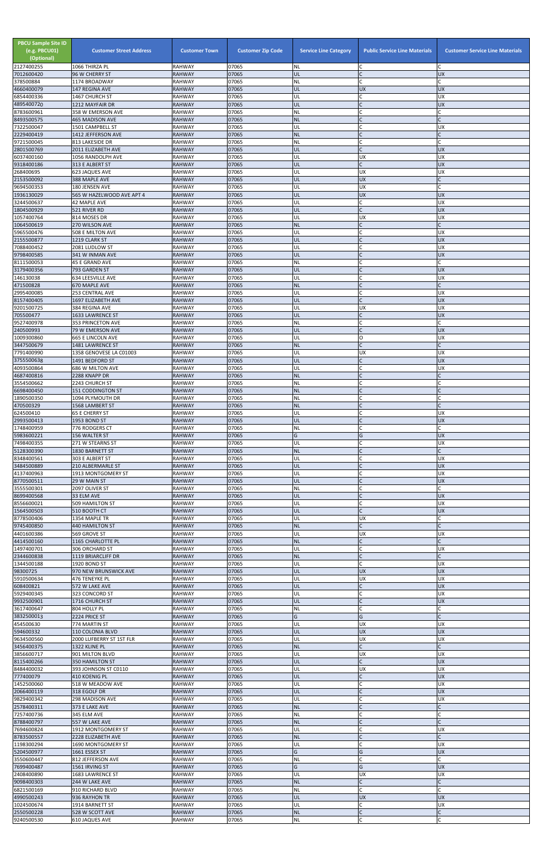| <b>PBCU Sample Site ID</b><br>(e.g. PBCU01)<br>(Optional)<br>2127400255 | <b>Customer Street Address</b><br>1066 THIRZA PL | <b>Customer Town</b><br><b>RAHWAY</b> | <b>Customer Zip Code</b><br>07065 | <b>Service Line Category</b><br><b>NL</b> | <b>Public Service Line Materials</b><br>C | <b>Customer Service Line Materials</b><br>C |
|-------------------------------------------------------------------------|--------------------------------------------------|---------------------------------------|-----------------------------------|-------------------------------------------|-------------------------------------------|---------------------------------------------|
| 7012600420                                                              | 96 W CHERRY ST                                   | <b>RAHWAY</b>                         | 07065                             | UL                                        |                                           | <b>UX</b>                                   |
| 378500884<br>4660400079                                                 | 1174 BROADWAY                                    | <b>RAHWAY</b>                         | 07065<br>07065                    | NL<br>UL                                  | $\Gamma$<br><b>UX</b>                     | <b>UX</b>                                   |
| 6854400336                                                              | 147 REGINA AVE<br>1467 CHURCH ST                 | <b>RAHWAY</b><br><b>RAHWAY</b>        | 07065                             | UL                                        | $\mathsf{C}$                              | <b>UX</b>                                   |
| 4895400720<br>8783600961                                                | 1212 MAYFAIR DR<br>358 W EMERSON AVE             | <b>RAHWAY</b><br><b>RAHWAY</b>        | 07065<br>07065                    | UL<br>NL                                  | $\mathsf{C}$<br>$\mathsf{C}$              | <b>UX</b>                                   |
| 8493500575                                                              | <b>465 MADISON AVE</b>                           | <b>RAHWAY</b>                         | 07065                             | <b>NL</b>                                 | $\mathsf{C}$                              | $\mathsf{C}$                                |
| 7322500047<br>2229400419                                                | 1501 CAMPBELL ST<br>1412 JEFFERSON AVE           | <b>RAHWAY</b><br><b>RAHWAY</b>        | 07065<br>07065                    | UL<br><b>NL</b>                           | C<br>$\mathsf{C}$                         | <b>UX</b><br>$\mathsf{C}$                   |
| 9721500045                                                              | 813 LAKESIDE DR                                  | <b>RAHWAY</b>                         | 07065                             | NL                                        |                                           |                                             |
| 2801500769                                                              | 2011 ELIZABETH AVE                               | <b>RAHWAY</b>                         | 07065<br>07065                    | UL                                        | $\sqrt{ }$                                | <b>UX</b>                                   |
| 6037400160<br>9318400186                                                | 1056 RANDOLPH AVE<br>313 E ALBERT ST             | <b>RAHWAY</b><br><b>RAHWAY</b>        | 07065                             | UL<br>UL                                  | <b>UX</b><br>$\mathsf C$                  | <b>UX</b><br><b>UX</b>                      |
| 268400695<br>2153500092                                                 | 623 JAQUES AVE<br>388 MAPLE AVE                  | <b>RAHWAY</b><br><b>RAHWAY</b>        | 07065<br>07065                    | UL<br>UL                                  | <b>UX</b><br><b>UX</b>                    | <b>UX</b>                                   |
| 9694500353                                                              | 180 JENSEN AVE                                   | <b>RAHWAY</b>                         | 07065                             | UL                                        | UX                                        | $\mathsf{C}$                                |
| 1936130029                                                              | 565 W HAZELWOOD AVE APT 4                        | <b>RAHWAY</b>                         | 07065                             | UL                                        | <b>UX</b><br>$\mathsf{C}$                 | <b>UX</b>                                   |
| 3244500637<br>1804500929                                                | <b>42 MAPLE AVE</b><br>521 RIVER RD              | <b>RAHWAY</b><br><b>RAHWAY</b>        | 07065<br>07065                    | UL<br>UL                                  | $\overline{C}$                            | <b>UX</b><br><b>UX</b>                      |
| 1057400764                                                              | 814 MOSES DR                                     | <b>RAHWAY</b>                         | 07065                             | UL                                        | <b>UX</b>                                 | <b>UX</b><br>$\mathsf{C}$                   |
| 1064500619<br>5965500476                                                | 270 WILSON AVE<br>508 E MILTON AVE               | <b>RAHWAY</b><br><b>RAHWAY</b>        | 07065<br>07065                    | <b>NL</b><br>UL                           | $\mathsf{C}$<br>$\mathsf C$               | <b>UX</b>                                   |
| 2155500877                                                              | 1219 CLARK ST                                    | <b>RAHWAY</b>                         | 07065                             | UL                                        | $\mathsf{C}$                              | <b>UX</b>                                   |
| 7088400452<br>9798400585                                                | 2081 LUDLOW ST<br>341 W INMAN AVE                | <b>RAHWAY</b><br><b>RAHWAY</b>        | 07065<br>07065                    | UL<br>UL                                  | $\mathsf{C}$                              | <b>UX</b><br><b>UX</b>                      |
| 8111500053                                                              | 45 E GRAND AVE                                   | <b>RAHWAY</b>                         | 07065                             | NL                                        | $\mathsf{C}$                              | $\mathsf{C}$                                |
| 3179400356<br>146130038                                                 | 793 GARDEN ST<br>634 LEESVILLE AVE               | <b>RAHWAY</b><br><b>RAHWAY</b>        | 07065<br>07065                    | UL<br>UL                                  |                                           | <b>UX</b><br><b>UX</b>                      |
| 471500828                                                               | 670 MAPLE AVE                                    | <b>RAHWAY</b>                         | 07065                             | <b>NL</b>                                 | $\mathsf{C}$                              |                                             |
| 2995400085<br>8157400405                                                | <b>253 CENTRAL AVE</b><br>1697 ELIZABETH AVE     | <b>RAHWAY</b><br><b>RAHWAY</b>        | 07065<br>07065                    | UL<br>UL                                  | $\mathsf{C}$<br>$\mathsf{C}$              | <b>UX</b><br><b>UX</b>                      |
| 9201500725                                                              | 384 REGINA AVE                                   | <b>RAHWAY</b>                         | 07065                             | UL                                        | <b>UX</b>                                 | <b>UX</b>                                   |
| 705500477<br>9527400978                                                 | 1633 LAWRENCE ST<br>353 PRINCETON AVE            | <b>RAHWAY</b><br><b>RAHWAY</b>        | 07065<br>07065                    | UL<br><b>NL</b>                           | $\mathsf{C}$<br>$\mathsf{C}$              | <b>UX</b><br>C                              |
| 240500993                                                               | 79 W EMERSON AVE                                 | <b>RAHWAY</b>                         | 07065                             | UL                                        | $\mathsf{C}$                              | <b>UX</b>                                   |
| 1009300860<br>3447500679                                                | <b>665 E LINCOLN AVE</b><br>1481 LAWRENCE ST     | <b>RAHWAY</b><br><b>RAHWAY</b>        | 07065<br>07065                    | UL<br><b>NL</b>                           | O                                         | <b>UX</b>                                   |
| 7791400990                                                              | 1358 GENOVESE LA C01003                          | <b>RAHWAY</b>                         | 07065                             | UL                                        | <b>UX</b>                                 | <b>UX</b>                                   |
| 3755500638<br>4093500864                                                | 1491 BEDFORD ST<br>686 W MILTON AVE              | <b>RAHWAY</b><br><b>RAHWAY</b>        | 07065<br>07065                    | UL<br>UL                                  | $\mathsf{C}$                              | <b>UX</b><br><b>UX</b>                      |
| 4687400816                                                              | 2288 KNAPP DR                                    | <b>RAHWAY</b>                         | 07065                             | <b>NL</b>                                 |                                           |                                             |
| 3554500662                                                              | 2243 CHURCH ST                                   | <b>RAHWAY</b>                         | 07065                             | <b>NL</b>                                 | $\mathsf{C}$                              |                                             |
| 6698400450<br>1890500350                                                | 151 CODDINGTON ST<br>1094 PLYMOUTH DR            | <b>RAHWAY</b><br><b>RAHWAY</b>        | 07065<br>07065                    | <b>NL</b><br>NL                           | $\mathsf{C}$                              |                                             |
| 470500329                                                               | 1568 LAMBERT ST                                  | <b>RAHWAY</b>                         | 07065                             | <b>NL</b>                                 | $\mathsf{C}$                              |                                             |
| 624500410<br>2993500413                                                 | <b>65 E CHERRY ST</b><br>1953 BOND ST            | <b>RAHWAY</b><br><b>RAHWAY</b>        | 07065<br>07065                    | UL<br>UL                                  | $\mathsf{C}$                              | <b>UX</b><br><b>UX</b>                      |
| 1748400959                                                              | 776 RODGERS CT                                   | <b>RAHWAY</b>                         | 07065                             | NL                                        | C                                         |                                             |
| 5983600221<br>7498400355                                                | 156 WALTER ST<br>271 W STEARNS ST                | <b>RAHWAY</b><br><b>RAHWAY</b>        | 07065<br>07065                    | G<br>UL                                   | G<br>C                                    | <b>UX</b><br><b>UX</b>                      |
| 5128300390                                                              | 1830 BARNETT ST                                  | <b>RAHWAY</b>                         | 07065                             | <b>NL</b>                                 |                                           | $\mathsf{C}$                                |
| 8348400561<br>3484500889                                                | 303 E ALBERT ST<br>210 ALBERMARLE ST             | <b>RAHWAY</b><br><b>RAHWAY</b>        | 07065<br>07065                    | UL<br>UL                                  | $\mathsf{C}$<br>$\mathsf{C}$              | <b>UX</b><br><b>UX</b>                      |
| 4137400963                                                              | 1913 MONTGOMERY ST                               | <b>RAHWAY</b>                         | 07065                             | UL                                        | $\mathsf{C}$                              | <b>UX</b>                                   |
| 8770500511<br>3555500301                                                | 29 W MAIN ST<br>2097 OLIVER ST                   | <b>RAHWAY</b><br><b>RAHWAY</b>        | 07065<br>07065                    | UL<br>NL                                  | $\mathsf{C}$                              | <b>UX</b>                                   |
| 8699400568                                                              | 33 ELM AVE                                       | <b>RAHWAY</b>                         | 07065                             | UL                                        | $\mathsf{C}$                              | <b>UX</b>                                   |
| 8556600021<br>1564500503                                                | 509 HAMILTON ST<br>510 BOOTH CT                  | <b>RAHWAY</b><br><b>RAHWAY</b>        | 07065<br>07065                    | UL<br>UL                                  | $\mathsf{C}$<br>$\mathsf{C}$              | <b>UX</b><br><b>UX</b>                      |
| 8778500406                                                              | 1354 MAPLE TR                                    | <b>RAHWAY</b>                         | 07065                             | UL                                        | <b>UX</b>                                 |                                             |
| 9745400850<br>4401600386                                                | <b>440 HAMILTON ST</b><br>569 GROVE ST           | <b>RAHWAY</b><br><b>RAHWAY</b>        | 07065<br>07065                    | <b>NL</b><br>UL                           | $\mathsf{C}$<br><b>UX</b>                 | UX                                          |
| 4414500160                                                              | 1165 CHARLOTTE PL                                | <b>RAHWAY</b>                         | 07065                             | <b>NL</b>                                 | $\mathsf C$                               |                                             |
| 1497400701<br>2344600838                                                | 306 ORCHARD ST<br>1119 BRIARCLIFF DR             | <b>RAHWAY</b><br><b>RAHWAY</b>        | 07065<br>07065                    | UL<br><b>NL</b>                           | $\mathsf{C}$<br>$\mathsf{C}$              | <b>UX</b>                                   |
| 1344500188                                                              | 1920 BOND ST                                     | <b>RAHWAY</b>                         | 07065                             | UL                                        | $\mathsf{C}$                              | <b>UX</b>                                   |
| 98300725<br>5910500634                                                  | 970 NEW BRUNSWICK AVE<br>476 TENEYKE PL          | <b>RAHWAY</b><br><b>RAHWAY</b>        | 07065<br>07065                    | UL<br>UL                                  | <b>UX</b><br><b>UX</b>                    | <b>UX</b><br><b>UX</b>                      |
| 608400821                                                               | 572 W LAKE AVE                                   | <b>RAHWAY</b>                         | 07065                             | UL                                        | $\overline{C}$                            | <b>UX</b>                                   |
| 5929400345<br>9932500901                                                | 323 CONCORD ST<br>1716 CHURCH ST                 | <b>RAHWAY</b><br><b>RAHWAY</b>        | 07065<br>07065                    | UL<br>UL                                  | $\mathsf{C}$<br>$\mathsf{C}$              | <b>UX</b><br><b>UX</b>                      |
| 3617400647                                                              | 804 HOLLY PL                                     | <b>RAHWAY</b>                         | 07065                             | NL                                        | $\mathsf{C}$                              |                                             |
| 3832500013<br>454500630                                                 | 2224 PRICE ST<br>774 MARTIN ST                   | <b>RAHWAY</b><br><b>RAHWAY</b>        | 07065<br>07065                    | G<br>UL                                   | G<br><b>UX</b>                            | <b>UX</b>                                   |
| 594600332                                                               | 110 COLONIA BLVD                                 | <b>RAHWAY</b>                         | 07065                             | UL                                        | <b>UX</b>                                 | <b>UX</b>                                   |
| 9634500560<br>3456400375                                                | 2000 LUFBERRY ST 1ST FLR<br>1322 KLINE PL        | <b>RAHWAY</b><br><b>RAHWAY</b>        | 07065<br>07065                    | UL<br><b>NL</b>                           | <b>UX</b><br>$\mathsf{C}$                 | <b>UX</b>                                   |
| 3856600717                                                              | 901 MILTON BLVD                                  | <b>RAHWAY</b>                         | 07065                             | UL                                        | <b>UX</b>                                 | <b>UX</b>                                   |
| 8115400266<br>8484400032                                                | <b>350 HAMILTON ST</b><br>393 JOHNSON ST C0110   | <b>RAHWAY</b><br>RAHWAY               | 07065<br>07065                    | UL<br> UL                                 | $\mathsf{C}$<br><b>UX</b>                 | <b>UX</b><br><b>UX</b>                      |
| 777400079                                                               | 410 KOENIG PL                                    | <b>RAHWAY</b>                         | 07065                             | UL                                        | $\mathsf{C}$                              | <b>UX</b>                                   |
| 1452500060<br>2066400119                                                | 518 W MEADOW AVE<br>318 EGOLF DR                 | <b>RAHWAY</b><br><b>RAHWAY</b>        | 07065<br>07065                    | UL<br>UL                                  | $\mathsf{C}$<br>$\mathsf{C}$              | <b>UX</b><br><b>UX</b>                      |
| 9829400342                                                              | 298 MADISON AVE                                  | RAHWAY                                | 07065                             | UL                                        | $\mathsf{C}$                              | <b>UX</b>                                   |
| 2578400311<br>7257400736                                                | 373 E LAKE AVE<br>345 ELM AVE                    | <b>RAHWAY</b><br><b>RAHWAY</b>        | 07065<br>07065                    | <b>NL</b><br>NL                           | $\mathsf{C}$                              |                                             |
| 8788400797                                                              | 557 W LAKE AVE                                   | <b>RAHWAY</b>                         | 07065                             | <b>NL</b>                                 |                                           |                                             |
| 7694600824                                                              | 1912 MONTGOMERY ST<br>2228 ELIZABETH AVE         | RAHWAY                                | 07065<br>07065                    | UL<br><b>NL</b>                           | $\mathsf{C}$<br>$\mathsf{C}$              | <b>UX</b><br>C                              |
| 8783500557<br>1198300294                                                | 1690 MONTGOMERY ST                               | <b>RAHWAY</b><br><b>RAHWAY</b>        | 07065                             | UL                                        | $\mathsf C$                               | <b>UX</b>                                   |
| 5204500977                                                              | 1661 ESSEX ST                                    | <b>RAHWAY</b>                         | 07065                             | G                                         | G                                         | <b>UX</b>                                   |
| 3550600447<br>7699400487                                                | 812 JEFFERSON AVE<br>1561 IRVING ST              | <b>RAHWAY</b><br><b>RAHWAY</b>        | 07065<br>07065                    | <b>NL</b><br>G                            | C<br>G                                    | Ċ<br><b>UX</b>                              |
| 2408400890                                                              | 1683 LAWRENCE ST                                 | RAHWAY                                | 07065                             | UL                                        | <b>UX</b>                                 | <b>UX</b>                                   |
| 9098400303<br>6821500169                                                | 244 W LAKE AVE<br>910 RICHARD BLVD               | <b>RAHWAY</b><br><b>RAHWAY</b>        | 07065<br>07065                    | <b>NL</b><br><b>NL</b>                    | $\mathsf C$<br>$\mathsf{C}$               |                                             |
| 4990500243                                                              | 936 RAYHON TR                                    | <b>RAHWAY</b>                         | 07065                             | UL                                        | <b>UX</b>                                 | <b>UX</b>                                   |
| 1024500674<br>2550500228                                                | 1914 BARNETT ST<br>528 W SCOTT AVE               | RAHWAY<br><b>RAHWAY</b>               | 07065<br>07065                    | UL<br><b>NL</b>                           | $\mathsf{C}$<br>$\mathsf{C}$              | <b>UX</b><br>C                              |
| 9240500530                                                              | 610 JAQUES AVE                                   | RAHWAY                                | 07065                             | $\mathsf{NL}\,$                           | $\mathsf C$                               | $\mathsf{C}$                                |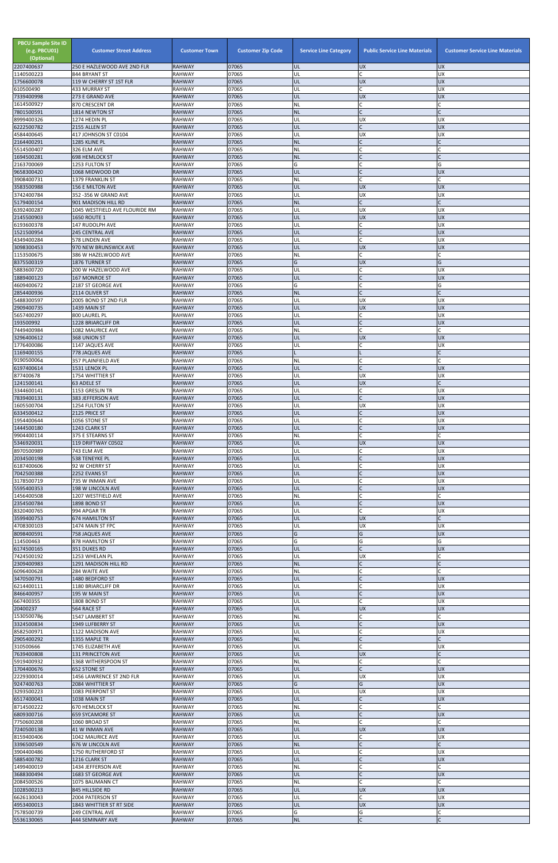| <b>PBCU Sample Site ID</b><br>(e.g. PBCU01)<br>(Optional)<br>2207400637 | <b>Customer Street Address</b><br>250 E HAZLEWOOD AVE 2ND FLR | <b>Customer Town</b><br><b>RAHWAY</b> | <b>Customer Zip Code</b><br>07065 | <b>Service Line Category</b><br>UL | <b>Public Service Line Materials</b><br><b>UX</b> | <b>Customer Service Line Materials</b><br><b>UX</b> |
|-------------------------------------------------------------------------|---------------------------------------------------------------|---------------------------------------|-----------------------------------|------------------------------------|---------------------------------------------------|-----------------------------------------------------|
| 1140500223                                                              | 844 BRYANT ST                                                 | <b>RAHWAY</b>                         | 07065                             | UL                                 | C.                                                | <b>UX</b>                                           |
| 1756600078                                                              | 119 W CHERRY ST 1ST FLR<br><b>433 MURRAY ST</b>               | <b>RAHWAY</b><br><b>RAHWAY</b>        | 07065<br>07065                    | UL<br>UL                           | UX<br>lc.                                         | <b>UX</b><br>UX                                     |
| 610500490<br>7339400998                                                 | 273 E GRAND AVE                                               | <b>RAHWAY</b>                         | 07065                             | UL                                 | <b>UX</b>                                         | <b>UX</b>                                           |
| 1614500927<br>7801500591                                                | 870 CRESCENT DR<br>1814 NEWTON ST                             | <b>RAHWAY</b><br><b>RAHWAY</b>        | 07065<br>07065                    | <b>NL</b><br><b>NL</b>             | lC.<br>lc.                                        |                                                     |
| 8999400326                                                              | 1274 HEDIN PL                                                 | <b>RAHWAY</b>                         | 07065                             | UL                                 | <b>UX</b>                                         | UX                                                  |
| 6222500782                                                              | 2155 ALLEN ST                                                 | <b>RAHWAY</b>                         | 07065                             | UL                                 | $\mathsf{C}$                                      | <b>UX</b>                                           |
| 4584400645<br>2164400291                                                | 417 JOHNSON ST C0104<br>1285 KLINE PL                         | <b>RAHWAY</b><br><b>RAHWAY</b>        | 07065<br>07065                    | UL<br><b>NL</b>                    | <b>UX</b><br>$\mathsf{C}$                         | UX                                                  |
| 5514500407                                                              | 326 ELM AVE                                                   | <b>RAHWAY</b>                         | 07065                             | NL                                 | $\mathsf{C}$                                      |                                                     |
| 1694500281<br>2163700069                                                | <b>698 HEMLOCK ST</b><br>1253 FULTON ST                       | <b>RAHWAY</b><br><b>RAHWAY</b>        | 07065<br>07065                    | <b>NL</b><br>G                     | lc.<br>C                                          | G                                                   |
| 9658300420                                                              | 1068 MIDWOOD DR                                               | <b>RAHWAY</b>                         | 07065                             | UL                                 | IC                                                | <b>UX</b>                                           |
| 3908400731                                                              | 1379 FRANKLIN ST                                              | <b>RAHWAY</b>                         | 07065<br>07065                    | NL<br>UL                           | lc.<br><b>UX</b>                                  | <b>UX</b>                                           |
| 3583500988<br>3742400784                                                | 156 E MILTON AVE<br>352 - 356 W GRAND AVE                     | <b>RAHWAY</b><br><b>RAHWAY</b>        | 07065                             | UL                                 | <b>UX</b>                                         | UX                                                  |
| 5179400154                                                              | 901 MADISON HILL RD                                           | <b>RAHWAY</b>                         | 07065                             | <b>NL</b>                          | $\mathsf{C}$                                      |                                                     |
| 6392400287<br>2145500903                                                | 1045 WESTFIELD AVE FLOURIDE RM<br>1650 ROUTE 1                | <b>RAHWAY</b><br><b>RAHWAY</b>        | 07065<br>07065                    | UL<br>UL                           | <b>UX</b><br><b>UX</b>                            | UX<br><b>UX</b>                                     |
| 6193600378                                                              | 147 RUDOLPH AVE                                               | <b>RAHWAY</b>                         | 07065                             | UL                                 | lC.                                               | UX                                                  |
| 1521500954<br>4349400284                                                | <b>245 CENTRAL AVE</b><br>578 LINDEN AVE                      | <b>RAHWAY</b><br><b>RAHWAY</b>        | 07065<br>07065                    | UL<br>UL                           | $\mathsf{C}$<br>lc.                               | <b>UX</b><br><b>UX</b>                              |
| 3098300453                                                              | 970 NEW BRUNSWICK AVE                                         | <b>RAHWAY</b>                         | 07065                             | UL                                 | <b>UX</b>                                         | <b>UX</b>                                           |
| 1153500675<br>8375500319                                                | 386 W HAZELWOOD AVE<br>1876 TURNER ST                         | <b>RAHWAY</b><br><b>RAHWAY</b>        | 07065<br>07065                    | NL<br>G                            | lC.<br><b>UX</b>                                  | G                                                   |
| 5883600720                                                              | 200 W HAZELWOOD AVE                                           | <b>RAHWAY</b>                         | 07065                             | UL                                 | C                                                 | UX                                                  |
| 1889400123                                                              | <b>167 MONROE ST</b>                                          | <b>RAHWAY</b>                         | 07065<br>07065                    | UL                                 | $\mathsf{C}$<br>C                                 | <b>UX</b>                                           |
| 4609400672<br>2854400936                                                | 2187 ST GEORGE AVE<br>2114 OLIVER ST                          | <b>RAHWAY</b><br><b>RAHWAY</b>        | 07065                             | G<br><b>NL</b>                     | lc.                                               | G                                                   |
| 5488300597                                                              | 2005 BOND ST 2ND FLR                                          | <b>RAHWAY</b>                         | 07065                             | UL                                 | <b>UX</b>                                         | <b>UX</b>                                           |
| 2909400735<br>5657400297                                                | 1439 MAIN ST<br>800 LAUREL PL                                 | <b>RAHWAY</b><br><b>RAHWAY</b>        | 07065<br>07065                    | UL<br>UL                           | <b>UX</b><br>lC.                                  | <b>UX</b><br><b>UX</b>                              |
| 193500992                                                               | 1228 BRIARCLIFF DR                                            | <b>RAHWAY</b>                         | 07065                             | UL                                 | lC.                                               | <b>UX</b>                                           |
| 7449400984<br>3296400612                                                | 1082 MAURICE AVE<br>368 UNION ST                              | <b>RAHWAY</b><br><b>RAHWAY</b>        | 07065<br>07065                    | NL<br>UL                           | lC.<br><b>UX</b>                                  | <b>UX</b>                                           |
| 1776400086                                                              | 1147 JAQUES AVE                                               | <b>RAHWAY</b>                         | 07065                             | UL                                 | lC.                                               | UX                                                  |
| 1169400155                                                              | 778 JAQUES AVE                                                | <b>RAHWAY</b>                         | 07065<br>07065                    |                                    | lC.                                               |                                                     |
| 9190500064<br>6197400614                                                | 357 PLAINFIELD AVE<br>1531 LENOX PL                           | <b>RAHWAY</b><br><b>RAHWAY</b>        | 07065                             | <b>NL</b><br>UL                    | $\overline{C}$                                    | <b>UX</b>                                           |
| 877400678                                                               | 1754 WHITTIER ST                                              | <b>RAHWAY</b>                         | 07065                             | UL                                 | <b>UX</b>                                         | <b>UX</b>                                           |
| 1241500141<br>3344600141                                                | 63 ADELE ST<br>1153 GRESLIN TR                                | <b>RAHWAY</b><br><b>RAHWAY</b>        | 07065<br>07065                    | UL<br>UL                           | <b>UX</b><br>lC.                                  | UX                                                  |
| 7839400131                                                              | 383 JEFFERSON AVE                                             | <b>RAHWAY</b>                         | 07065                             | UL                                 | $\mathsf{C}$                                      | <b>UX</b>                                           |
| 1605500704<br>6334500412                                                | 1254 FULTON ST<br>2125 PRICE ST                               | <b>RAHWAY</b><br><b>RAHWAY</b>        | 07065<br>07065                    | UL<br>UL                           | <b>UX</b><br>$\mathsf{C}$                         | UX<br><b>UX</b>                                     |
| 1954400644                                                              | 1056 STONE ST                                                 | <b>RAHWAY</b>                         | 07065                             | UL                                 | $\mathsf{C}$                                      | <b>UX</b>                                           |
| 1444500180<br>9904400114                                                | 1243 CLARK ST<br>375 E STEARNS ST                             | <b>RAHWAY</b><br><b>RAHWAY</b>        | 07065<br>07065                    | UL<br>NL                           | $\mathsf{C}$<br>C.                                | <b>UX</b>                                           |
| 5346920031                                                              | 119 DRIFTWAY C0502                                            | <b>RAHWAY</b>                         | 07065                             | UL                                 | <b>UX</b>                                         | <b>UX</b>                                           |
| 8970500989                                                              | 743 ELM AVE                                                   | <b>RAHWAY</b>                         | 07065                             | UL                                 | lC.                                               | UX                                                  |
| 2034500198<br>6187400606                                                | 538 TENEYKE PL<br>92 W CHERRY ST                              | <b>RAHWAY</b><br><b>RAHWAY</b>        | 07065<br>07065                    | UL<br>UL                           | $\mathsf{C}$<br><b>C</b>                          | <b>UX</b><br>UX                                     |
| 7042500388                                                              | 2252 EVANS ST                                                 | <b>RAHWAY</b>                         | 07065                             | UL                                 | $\mathsf{C}$                                      | <b>UX</b>                                           |
| 3178500719<br>5595400353                                                | 735 W INMAN AVE<br>198 W LINCOLN AVE                          | <b>RAHWAY</b><br><b>RAHWAY</b>        | 07065<br>07065                    | UL<br>UL                           | $\overline{C}$                                    | <b>UX</b><br><b>UX</b>                              |
| 1456400508                                                              | 1207 WESTFIELD AVE                                            | <b>RAHWAY</b>                         | 07065                             | <b>NL</b>                          | lC.                                               |                                                     |
| 2354500784<br>8320400765                                                | 1898 BOND ST<br>994 APGAR TR                                  | <b>RAHWAY</b><br><b>RAHWAY</b>        | 07065<br>07065                    | UL<br>UL                           | $\mathsf C$<br>lC.                                | <b>UX</b><br><b>UX</b>                              |
| 3599400753                                                              | <b>674 HAMILTON ST</b>                                        | <b>RAHWAY</b>                         | 07065                             | UL                                 | <b>UX</b>                                         |                                                     |
| 4708300103<br>8098400591                                                | 1474 MAIN ST FPC<br>758 JAQUES AVE                            | <b>RAHWAY</b><br><b>RAHWAY</b>        | 07065<br>07065                    | UL<br>G                            | <b>UX</b><br>G                                    | UX<br><b>UX</b>                                     |
| 114500463                                                               | 878 HAMILTON ST                                               | <b>RAHWAY</b>                         | 07065                             | G                                  | G                                                 | G                                                   |
| 6174500165                                                              | 351 DUKES RD                                                  | <b>RAHWAY</b>                         | 07065                             | UL                                 | lC.                                               | <b>UX</b>                                           |
| 7424500192<br>2309400983                                                | 1253 WHELAN PL<br>1291 MADISON HILL RD                        | <b>RAHWAY</b><br><b>RAHWAY</b>        | 07065<br>07065                    | UL<br><b>NL</b>                    | <b>UX</b><br>$\mathsf{C}$                         |                                                     |
| 6096400628                                                              | 284 WAITE AVE                                                 | <b>RAHWAY</b>                         | 07065                             | ΝL                                 | C                                                 |                                                     |
| 3470500791<br>6214400111                                                | 1480 BEDFORD ST<br>1180 BRIARCLIFF DR                         | <b>RAHWAY</b><br><b>RAHWAY</b>        | 07065<br>07065                    | UL<br>UL                           | $\mathsf{C}$<br>$\mathsf{C}$                      | <b>UX</b><br><b>UX</b>                              |
| 8466400957                                                              | 195 W MAIN ST                                                 | <b>RAHWAY</b>                         | 07065                             | UL                                 | lc.                                               | <b>UX</b>                                           |
| 667400355<br>20400237                                                   | 1808 BOND ST<br>564 RACE ST                                   | <b>RAHWAY</b><br><b>RAHWAY</b>        | 07065<br>07065                    | UL<br>UL                           | lC.<br><b>UX</b>                                  | UX<br><b>UX</b>                                     |
| 1530500786                                                              | 1547 LAMBERT ST                                               | <b>RAHWAY</b>                         | 07065                             | <b>NL</b>                          | lC.                                               |                                                     |
| 3324500834                                                              | 1949 LUFBERRY ST                                              | <b>RAHWAY</b>                         | 07065                             | UL                                 | $\overline{C}$                                    | <b>UX</b>                                           |
| 8582500971<br>2905400292                                                | 1122 MADISON AVE<br>1355 MAPLE TR                             | <b>RAHWAY</b><br><b>RAHWAY</b>        | 07065<br>07065                    | UL<br><b>NL</b>                    | C<br>$\overline{C}$                               | <b>UX</b>                                           |
| 310500666                                                               | 1745 ELIZABETH AVE                                            | <b>RAHWAY</b>                         | 07065                             | UL                                 | C                                                 | UX                                                  |
| 7639400808<br>5919400932                                                | <b>131 PRINCETON AVE</b><br>1368 WITHERSPOON ST               | <b>RAHWAY</b><br><b>RAHWAY</b>        | 07065<br>07065                    | UL<br>ΝL                           | <b>UX</b><br>C                                    |                                                     |
| 1704400676                                                              | 652 STONE ST                                                  | <b>RAHWAY</b>                         | 07065                             | IUL.                               |                                                   | <b>UX</b>                                           |
| 2229300014<br>9247400763                                                | 1456 LAWRENCE ST 2ND FLR<br>2084 WHITTIER ST                  | <b>RAHWAY</b><br><b>RAHWAY</b>        | 07065<br>07065                    | UL<br>G                            | <b>UX</b><br>G                                    | UX<br><b>UX</b>                                     |
| 3293500223                                                              | 1083 PIERPONT ST                                              | <b>RAHWAY</b>                         | 07065                             | UL                                 | <b>UX</b>                                         | <b>UX</b>                                           |
| 6517400041                                                              | 1038 MAIN ST                                                  | <b>RAHWAY</b>                         | 07065                             | UL                                 | <b>C</b>                                          | <b>UX</b>                                           |
| 8714500222<br>6809300716                                                | 670 HEMLOCK ST<br><b>659 SYCAMORE ST</b>                      | <b>RAHWAY</b><br><b>RAHWAY</b>        | 07065<br>07065                    | <b>NL</b><br>UL                    | C<br>$\overline{C}$                               | <b>UX</b>                                           |
| 7750600208                                                              | 1060 BROAD ST                                                 | <b>RAHWAY</b>                         | 07065                             | <b>NL</b>                          | lc.                                               |                                                     |
| 7240500138<br>8159400406                                                | 41 W INMAN AVE<br>1042 MAURICE AVE                            | <b>RAHWAY</b><br><b>RAHWAY</b>        | 07065<br>07065                    | UL<br>UL                           | <b>UX</b><br>lC.                                  | <b>UX</b><br><b>UX</b>                              |
| 3396500549                                                              | 676 W LINCOLN AVE                                             | <b>RAHWAY</b>                         | 07065                             | <b>NL</b>                          | $\mathsf{C}$                                      |                                                     |
| 3904400486<br>5885400782                                                | 1750 RUTHERFORD ST<br>1216 CLARK ST                           | <b>RAHWAY</b><br><b>RAHWAY</b>        | 07065<br>07065                    | UL<br>UL                           | <b>C</b><br>$\mathsf{C}$                          | <b>UX</b><br><b>UX</b>                              |
| 1499400019                                                              | 1434 JEFFERSON AVE                                            | <b>RAHWAY</b>                         | 07065                             | <b>NL</b>                          | C                                                 |                                                     |
| 3688300494                                                              | 1683 ST GEORGE AVE                                            | <b>RAHWAY</b>                         | 07065                             | UL                                 | $\mathsf{C}$                                      | <b>UX</b>                                           |
| 2084500526<br>1028500213                                                | 1075 BAUMANN CT<br>845 HILLSIDE RD                            | <b>RAHWAY</b><br><b>RAHWAY</b>        | 07065<br>07065                    | <b>NL</b><br>UL                    | <b>C</b><br><b>UX</b>                             | <b>UX</b>                                           |
| 6626130043                                                              | 2004 PATERSON ST                                              | <b>RAHWAY</b>                         | 07065                             | UL                                 | lC.                                               | <b>UX</b>                                           |
| 4953400013<br>7578500739                                                | 1843 WHITTIER ST RT SIDE<br>249 CENTRAL AVE                   | <b>RAHWAY</b><br><b>RAHWAY</b>        | 07065<br>07065                    | UL<br>G                            | <b>UX</b><br>G                                    | <b>UX</b>                                           |
| 5536130065                                                              | 444 SEMINARY AVE                                              | <b>RAHWAY</b>                         | 07065                             | NL                                 | $\mathsf{C}$                                      | C                                                   |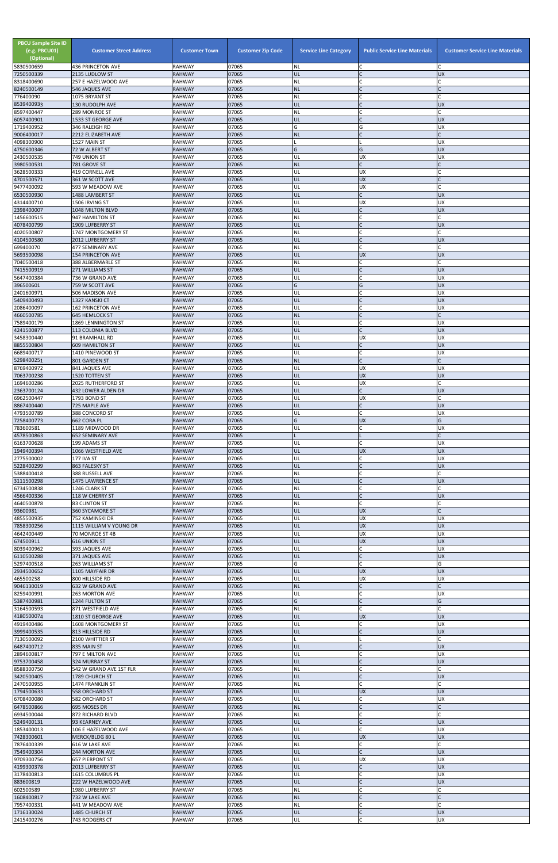| <b>RAHWAY</b><br>07065<br>UL<br><b>UX</b><br>2135 LUDLOW ST<br>07065<br>257 E HAZELWOOD AVE<br><b>RAHWAY</b><br>NL<br>07065<br>$\mathsf{C}$<br><b>NL</b><br>8240500149<br>546 JAQUES AVE<br><b>RAHWAY</b><br>$\mathsf{C}$<br>07065<br><b>NL</b><br>1075 BRYANT ST<br><b>RAHWAY</b><br>07065<br>130 RUDOLPH AVE<br>UL<br><b>UX</b><br><b>RAHWAY</b><br>8597400447<br>07065<br>$\mathsf{C}$<br>289 MONROE ST<br><b>RAHWAY</b><br>NL<br>$\mathsf{C}$<br>07065<br>UL<br><b>UX</b><br>6057400901<br>1533 ST GEORGE AVE<br><b>RAHWAY</b><br>07065<br>G<br>G<br><b>RAHWAY</b><br><b>UX</b><br>346 RALEIGH RD<br>9006400017<br>07065<br>2212 ELIZABETH AVE<br><b>RAHWAY</b><br><b>NL</b><br>$\mathsf{C}$<br>4098300900<br>07065<br><b>UX</b><br>1527 MAIN ST<br><b>RAHWAY</b><br>G<br><b>UX</b><br>07065<br>72 W ALBERT ST<br><b>RAHWAY</b><br>G<br>07065<br><b>UX</b><br><b>UX</b><br>749 UNION ST<br><b>RAHWAY</b><br>UL<br>$\mathsf C$<br>3980500531<br><b>NL</b><br>07065<br><b>RAHWAY</b><br>781 GROVE ST<br>07065<br>419 CORNELL AVE<br><b>RAHWAY</b><br>UL<br><b>UX</b><br>4701500571<br>07065<br><b>UX</b><br>361 W SCOTT AVE<br><b>RAHWAY</b><br>UL<br>07065<br>UX<br>UL<br>$\mathsf{C}$<br>9477400092<br>593 W MEADOW AVE<br><b>RAHWAY</b><br>07065<br>UL<br>$\mathsf{C}$<br><b>UX</b><br><b>RAHWAY</b><br>1488 LAMBERT ST<br>07065<br><b>UX</b><br><b>RAHWAY</b><br>1506 IRVING ST<br>UL<br><b>UX</b><br>2398400007<br>07065<br>UL<br><b>UX</b><br>1048 MILTON BLVD<br><b>RAHWAY</b><br>$\mathsf{C}$<br>07065<br><b>NL</b><br>947 HAMILTON ST<br><b>RAHWAY</b><br>$\mathsf{C}$<br>07065<br>UL<br><b>UX</b><br>1909 LUFBERRY ST<br><b>RAHWAY</b><br>$\mathsf C$<br>4020500807<br>07065<br>NL<br>1747 MONTGOMERY ST<br><b>RAHWAY</b><br>4104500580<br>07065<br>$\mathsf{C}$<br><b>RAHWAY</b><br>UL<br><b>UX</b><br>2012 LUFBERRY ST<br>$\mathsf{C}$<br>07065<br>NL<br><b>RAHWAY</b><br>477 SEMINARY AVE<br>07065<br><b>RAHWAY</b><br>UL<br><b>UX</b><br><b>UX</b><br>5693500098<br><b>154 PRINCETON AVE</b><br>07065<br>C<br>NL<br>7040500418<br>388 ALBERMARLE ST<br><b>RAHWAY</b><br>07065<br><b>RAHWAY</b><br><b>UX</b><br>271 WILLIAMS ST<br>UL<br>5647400384<br><b>RAHWAY</b><br>07065<br><b>UX</b><br>736 W GRAND AVE<br>UL<br>G<br>G<br>07065<br><b>UX</b><br>396500601<br><b>RAHWAY</b><br>759 W SCOTT AVE<br>$\mathsf{C}$<br>07065<br>UL<br><b>UX</b><br><b>RAHWAY</b><br>506 MADISON AVE<br>$\mathsf{C}$<br>07065<br><b>UX</b><br>1327 KANSKI CT<br><b>RAHWAY</b><br>UL<br>07065<br>2086400097<br><b>RAHWAY</b><br>UL<br><b>UX</b><br><b>162 PRINCETON AVE</b><br>4660500785<br><b>NL</b><br><b>RAHWAY</b><br>07065<br><b>645 HEMLOCK ST</b><br>07065<br>$\mathsf{C}$<br><b>RAHWAY</b><br>UL<br><b>UX</b><br><b>1869 LENNINGTON ST</b><br>07065<br>$\mathsf{C}$<br>4241500877<br>UL<br><b>UX</b><br>113 COLONIA BLVD<br><b>RAHWAY</b><br><b>UX</b><br>3458300440<br>07065<br>91 BRAMHALL RD<br><b>RAHWAY</b><br>UL<br><b>UX</b><br><b>UX</b><br>07065<br>UL<br><b>609 HAMILTON ST</b><br><b>RAHWAY</b><br>1410 PINEWOOD ST<br><b>RAHWAY</b><br>07065<br>UL<br>UX.<br>$\mathsf{C}$<br>$\mathsf{C}$<br><b>NL</b><br>07065<br>5298400251<br>801 GARDEN ST<br><b>RAHWAY</b><br>07065<br><b>RAHWAY</b><br>UL<br><b>UX</b><br><b>UX</b><br>841 JAQUES AVE<br>07065<br>UL<br><b>UX</b><br><b>UX</b><br>1520 TOTTEN ST<br><b>RAHWAY</b><br>07065<br>UL<br><b>UX</b><br>$\mathsf{C}$<br>1694600286<br>2025 RUTHERFORD ST<br><b>RAHWAY</b><br>$\mathsf{C}$<br>07065<br>UL<br><b>UX</b><br>432 LOWER ALDEN DR<br><b>RAHWAY</b><br>07065<br>UL<br><b>UX</b><br>1793 BOND ST<br><b>RAHWAY</b><br>$\mathsf C$<br>8867400440<br><b>RAHWAY</b><br>07065<br>UL<br><b>UX</b><br>725 MAPLE AVE<br>4793500789<br>$\mathsf{C}$<br><b>RAHWAY</b><br>07065<br>UL<br><b>UX</b><br>388 CONCORD ST<br>G<br><b>UX</b><br>G<br>662 CORA PL<br><b>RAHWAY</b><br>07065<br>07065<br>C<br><b>UX</b><br><b>RAHWAY</b><br>UL<br>1189 MIDWOOD DR<br>07065<br>$\mathsf{C}$<br>4578500863<br>652 SEMINARY AVE<br><b>RAHWAY</b><br>$\mathsf{C}$<br>07065<br><b>UX</b><br>199 ADAMS ST<br><b>RAHWAY</b><br>UL<br><b>UX</b><br>07065<br>UL<br><b>UX</b><br>1066 WESTFIELD AVE<br><b>RAHWAY</b><br>07065<br>C<br><b>UX</b><br>2775500002<br>177 IVA ST<br><b>RAHWAY</b><br>UL<br>$\mathsf{C}$<br>07065<br>UL<br><b>UX</b><br>863 FALESKY ST<br><b>RAHWAY</b><br>$\mathsf{C}$<br>07065<br>388 RUSSELL AVE<br><b>RAHWAY</b><br>NL<br>$\mathsf{C}$<br>07065<br>3111500298<br><b>RAHWAY</b><br>UL<br><b>UX</b><br>1475 LAWRENCE ST<br><b>RAHWAY</b><br>07065<br>NL<br>1246 CLARK ST<br>$\mathsf{C}$<br>07065<br>UL<br><b>UX</b><br><b>RAHWAY</b><br>118 W CHERRY ST<br>$\mathsf{C}$<br>07065<br>NL<br>$\mathsf{C}$<br>4640500878<br><b>RAHWAY</b><br>83 CLINTON ST<br><b>RAHWAY</b><br>07065<br>UL<br><b>UX</b><br>$\mathsf{C}$<br><b>360 SYCAMORE ST</b><br>07065<br><b>UX</b><br><b>UX</b><br>752 KAMINSKI DR<br><b>RAHWAY</b><br>UL<br>07065<br><b>UX</b><br><b>UX</b><br>7858300256<br>1115 WILLIAM V YOUNG DR<br><b>RAHWAY</b><br>UL<br>07065<br>UL<br><b>UX</b><br><b>UX</b><br>70 MONROE ST 4B<br><b>RAHWAY</b><br><b>UX</b><br>07065<br>UL<br><b>UX</b><br><b>616 UNION ST</b><br><b>RAHWAY</b><br>C<br>8039400962<br><b>RAHWAY</b><br>07065<br>UL<br><b>UX</b><br>393 JAQUES AVE<br>$\mathsf{C}$<br>6110500288<br><b>RAHWAY</b><br>07065<br>UL<br><b>UX</b><br>371 JAQUES AVE<br>$\mathsf{C}$<br>07065<br>G<br>G<br><b>RAHWAY</b><br>263 WILLIAMS ST<br>07065<br><b>UX</b><br><b>UX</b><br>2934500652<br>UL<br>1105 MAYFAIR DR<br><b>RAHWAY</b><br><b>UX</b><br>465500258<br>07065<br>UL<br><b>UX</b><br>800 HILLSIDE RD<br><b>RAHWAY</b><br>$\mathsf{C}$<br>$\mathsf{C}$<br>07065<br><b>NL</b><br>632 W GRAND AVE<br><b>RAHWAY</b><br>$\mathsf{C}$<br>07065<br>263 MORTON AVE<br><b>RAHWAY</b><br>UL<br><b>UX</b><br>G<br>$\mathsf{C}$<br>G<br>07065<br>5387400981<br>1244 FULTON ST<br><b>RAHWAY</b><br>$\mathsf C$<br>07065<br><b>RAHWAY</b><br><b>NL</b><br>871 WESTFIELD AVE<br>07065<br>1810 ST GEORGE AVE<br><b>RAHWAY</b><br>UL<br><b>UX</b><br><b>UX</b><br>C<br>4919400486<br>07065<br>UL<br><b>UX</b><br>1608 MONTGOMERY ST<br><b>RAHWAY</b><br>$\mathsf{C}$<br>07065<br>UL<br><b>UX</b><br>3999400535<br>813 HILLSIDE RD<br><b>RAHWAY</b><br>07065<br>$\mathsf{C}$<br>2100 WHITTIER ST<br><b>RAHWAY</b><br>6487400712<br>07065<br><b>UX</b><br>835 MAIN ST<br><b>RAHWAY</b><br>UL<br>2894600817<br>07065<br>UL<br><b>UX</b><br>797 E MILTON AVE<br><b>RAHWAY</b><br>UL<br><b>UX</b><br>07065<br><b>324 MURRAY ST</b><br><b>RAHWAY</b><br> 542 W GRAND AVE 1ST FLR<br>RAHWAY<br>07065<br>INL<br>3420500405<br>$\mathsf{C}$<br><b>UX</b><br><b>RAHWAY</b><br>07065<br>UL<br>1789 CHURCH ST<br>C<br><b>RAHWAY</b><br>07065<br><b>NL</b><br>1474 FRANKLIN ST<br><b>UX</b><br><b>UX</b><br>07065<br>UL<br>558 ORCHARD ST<br><b>RAHWAY</b><br>C<br>07065<br>UL<br><b>UX</b><br>6708400080<br>582 ORCHARD ST<br><b>RAHWAY</b><br>$\mathsf{C}$<br>07065<br><b>NL</b><br>695 MOSES DR<br><b>RAHWAY</b><br><b>RAHWAY</b><br>07065<br>NL<br>872 RICHARD BLVD<br>5249400131<br>$\mathsf{C}$<br>07065<br>UL<br><b>UX</b><br>93 KEARNEY AVE<br><b>RAHWAY</b><br>$\mathsf{C}$<br>07065<br><b>UX</b><br>RAHWAY<br>UL<br>106 E HAZELWOOD AVE<br><b>UX</b><br>07065<br>UL<br><b>UX</b><br><b>RAHWAY</b><br>MERCK/BLDG 80 L<br>07065<br>NL<br>C<br>7876400339<br>616 W LAKE AVE<br><b>RAHWAY</b><br>7549400304<br>$\mathsf{C}$<br>07065<br>UL<br><b>UX</b><br>244 MORTON AVE<br><b>RAHWAY</b><br><b>RAHWAY</b><br>07065<br>UL<br><b>UX</b><br><b>UX</b><br><b>657 PIERPONT ST</b><br>$\mathsf{C}$<br><b>UX</b><br>07065<br>UL<br>2013 LUFBERRY ST<br><b>RAHWAY</b><br>C<br>07065<br>UL<br><b>UX</b><br>3178400813<br>1615 COLUMBUS PL<br>RAHWAY<br>UL<br>$\mathsf{C}$<br><b>UX</b><br><b>RAHWAY</b><br>07065<br>222 W HAZELWOOD AVE<br>$\mathsf{C}$<br><b>NL</b><br><b>RAHWAY</b><br>07065<br>1980 LUFBERRY ST<br>$\mathsf C$<br><b>NL</b><br>1608400817<br><b>RAHWAY</b><br>07065<br>$\mathsf{C}$<br>732 W LAKE AVE<br>$\mathsf{C}$<br>07065<br><b>NL</b><br>RAHWAY<br>C<br>441 W MEADOW AVE<br>$\mathsf{C}$<br>07065<br>UL<br><b>RAHWAY</b><br><b>UX</b><br>1485 CHURCH ST<br>$\mathsf C$<br>UX<br>2415400276<br>UL<br>743 RODGERS CT<br>RAHWAY<br>07065 | <b>PBCU Sample Site ID</b><br>(e.g. PBCU01)<br>(Optional) | <b>Customer Street Address</b> | <b>Customer Town</b><br><b>RAHWAY</b> | <b>Customer Zip Code</b><br>07065 | <b>Service Line Category</b> | <b>Public Service Line Materials</b><br>$\subset$ | <b>Customer Service Line Materials</b><br>C |
|----------------------------------------------------------------------------------------------------------------------------------------------------------------------------------------------------------------------------------------------------------------------------------------------------------------------------------------------------------------------------------------------------------------------------------------------------------------------------------------------------------------------------------------------------------------------------------------------------------------------------------------------------------------------------------------------------------------------------------------------------------------------------------------------------------------------------------------------------------------------------------------------------------------------------------------------------------------------------------------------------------------------------------------------------------------------------------------------------------------------------------------------------------------------------------------------------------------------------------------------------------------------------------------------------------------------------------------------------------------------------------------------------------------------------------------------------------------------------------------------------------------------------------------------------------------------------------------------------------------------------------------------------------------------------------------------------------------------------------------------------------------------------------------------------------------------------------------------------------------------------------------------------------------------------------------------------------------------------------------------------------------------------------------------------------------------------------------------------------------------------------------------------------------------------------------------------------------------------------------------------------------------------------------------------------------------------------------------------------------------------------------------------------------------------------------------------------------------------------------------------------------------------------------------------------------------------------------------------------------------------------------------------------------------------------------------------------------------------------------------------------------------------------------------------------------------------------------------------------------------------------------------------------------------------------------------------------------------------------------------------------------------------------------------------------------------------------------------------------------------------------------------------------------------------------------------------------------------------------------------------------------------------------------------------------------------------------------------------------------------------------------------------------------------------------------------------------------------------------------------------------------------------------------------------------------------------------------------------------------------------------------------------------------------------------------------------------------------------------------------------------------------------------------------------------------------------------------------------------------------------------------------------------------------------------------------------------------------------------------------------------------------------------------------------------------------------------------------------------------------------------------------------------------------------------------------------------------------------------------------------------------------------------------------------------------------------------------------------------------------------------------------------------------------------------------------------------------------------------------------------------------------------------------------------------------------------------------------------------------------------------------------------------------------------------------------------------------------------------------------------------------------------------------------------------------------------------------------------------------------------------------------------------------------------------------------------------------------------------------------------------------------------------------------------------------------------------------------------------------------------------------------------------------------------------------------------------------------------------------------------------------------------------------------------------------------------------------------------------------------------------------------------------------------------------------------------------------------------------------------------------------------------------------------------------------------------------------------------------------------------------------------------------------------------------------------------------------------------------------------------------------------------------------------------------------------------------------------------------------------------------------------------------------------------------------------------------------------------------------------------------------------------------------------------------------------------------------------------------------------------------------------------------------------------------------------------------------------------------------------------------------------------------------------------------------------------------------------------------------------------------------------------------------------------------------------------------------------------------------------------------------------------------------------------------------------------------------------------------------------------------------------------------------------------------------------------------------------------------------------------------------------------------------------------------------------------------------------------------------------------------------------------------------------------------------------------------------------------------------------------------------------------------------------------------------------------------------------------------------------------------------------------------------------------------------------------------------------------------------------------------------------------------------------------------------------------------------------------------------------------------------------------------------------------------------------------------------------------------------------------------------------------------------------------------------------------------------------------------------------------------------------------------------------------------------------------------------------------------------------------------------------------------------------------------------------------------------------------------------------------------------------------------------------------------------------------------------------------------------------------------------------------------------------------------------------------------------------------------------------------------------------------------------------------------------------------------------------------|-----------------------------------------------------------|--------------------------------|---------------------------------------|-----------------------------------|------------------------------|---------------------------------------------------|---------------------------------------------|
|                                                                                                                                                                                                                                                                                                                                                                                                                                                                                                                                                                                                                                                                                                                                                                                                                                                                                                                                                                                                                                                                                                                                                                                                                                                                                                                                                                                                                                                                                                                                                                                                                                                                                                                                                                                                                                                                                                                                                                                                                                                                                                                                                                                                                                                                                                                                                                                                                                                                                                                                                                                                                                                                                                                                                                                                                                                                                                                                                                                                                                                                                                                                                                                                                                                                                                                                                                                                                                                                                                                                                                                                                                                                                                                                                                                                                                                                                                                                                                                                                                                                                                                                                                                                                                                                                                                                                                                                                                                                                                                                                                                                                                                                                                                                                                                                                                                                                                                                                                                                                                                                                                                                                                                                                                                                                                                                                                                                                                                                                                                                                                                                                                                                                                                                                                                                                                                                                                                                                                                                                                                                                                                                                                                                                                                                                                                                                                                                                                                                                                                                                                                                                                                                                                                                                                                                                                                                                                                                                                                                                                                                                                                                                                                                                                                                                                                                                                                                                                                                                                                                                                                                                                                                                                                                                                                                                                                                                                                                                                                                                                                                                                                                                                                                                            | 5830500659<br>7250500339                                  | 436 PRINCETON AVE              |                                       |                                   | <b>NL</b>                    |                                                   |                                             |
|                                                                                                                                                                                                                                                                                                                                                                                                                                                                                                                                                                                                                                                                                                                                                                                                                                                                                                                                                                                                                                                                                                                                                                                                                                                                                                                                                                                                                                                                                                                                                                                                                                                                                                                                                                                                                                                                                                                                                                                                                                                                                                                                                                                                                                                                                                                                                                                                                                                                                                                                                                                                                                                                                                                                                                                                                                                                                                                                                                                                                                                                                                                                                                                                                                                                                                                                                                                                                                                                                                                                                                                                                                                                                                                                                                                                                                                                                                                                                                                                                                                                                                                                                                                                                                                                                                                                                                                                                                                                                                                                                                                                                                                                                                                                                                                                                                                                                                                                                                                                                                                                                                                                                                                                                                                                                                                                                                                                                                                                                                                                                                                                                                                                                                                                                                                                                                                                                                                                                                                                                                                                                                                                                                                                                                                                                                                                                                                                                                                                                                                                                                                                                                                                                                                                                                                                                                                                                                                                                                                                                                                                                                                                                                                                                                                                                                                                                                                                                                                                                                                                                                                                                                                                                                                                                                                                                                                                                                                                                                                                                                                                                                                                                                                                                            | 8318400690                                                |                                |                                       |                                   |                              |                                                   |                                             |
|                                                                                                                                                                                                                                                                                                                                                                                                                                                                                                                                                                                                                                                                                                                                                                                                                                                                                                                                                                                                                                                                                                                                                                                                                                                                                                                                                                                                                                                                                                                                                                                                                                                                                                                                                                                                                                                                                                                                                                                                                                                                                                                                                                                                                                                                                                                                                                                                                                                                                                                                                                                                                                                                                                                                                                                                                                                                                                                                                                                                                                                                                                                                                                                                                                                                                                                                                                                                                                                                                                                                                                                                                                                                                                                                                                                                                                                                                                                                                                                                                                                                                                                                                                                                                                                                                                                                                                                                                                                                                                                                                                                                                                                                                                                                                                                                                                                                                                                                                                                                                                                                                                                                                                                                                                                                                                                                                                                                                                                                                                                                                                                                                                                                                                                                                                                                                                                                                                                                                                                                                                                                                                                                                                                                                                                                                                                                                                                                                                                                                                                                                                                                                                                                                                                                                                                                                                                                                                                                                                                                                                                                                                                                                                                                                                                                                                                                                                                                                                                                                                                                                                                                                                                                                                                                                                                                                                                                                                                                                                                                                                                                                                                                                                                                                            | 776400090                                                 |                                |                                       |                                   |                              |                                                   |                                             |
|                                                                                                                                                                                                                                                                                                                                                                                                                                                                                                                                                                                                                                                                                                                                                                                                                                                                                                                                                                                                                                                                                                                                                                                                                                                                                                                                                                                                                                                                                                                                                                                                                                                                                                                                                                                                                                                                                                                                                                                                                                                                                                                                                                                                                                                                                                                                                                                                                                                                                                                                                                                                                                                                                                                                                                                                                                                                                                                                                                                                                                                                                                                                                                                                                                                                                                                                                                                                                                                                                                                                                                                                                                                                                                                                                                                                                                                                                                                                                                                                                                                                                                                                                                                                                                                                                                                                                                                                                                                                                                                                                                                                                                                                                                                                                                                                                                                                                                                                                                                                                                                                                                                                                                                                                                                                                                                                                                                                                                                                                                                                                                                                                                                                                                                                                                                                                                                                                                                                                                                                                                                                                                                                                                                                                                                                                                                                                                                                                                                                                                                                                                                                                                                                                                                                                                                                                                                                                                                                                                                                                                                                                                                                                                                                                                                                                                                                                                                                                                                                                                                                                                                                                                                                                                                                                                                                                                                                                                                                                                                                                                                                                                                                                                                                                            | 8539400933                                                |                                |                                       |                                   |                              |                                                   |                                             |
|                                                                                                                                                                                                                                                                                                                                                                                                                                                                                                                                                                                                                                                                                                                                                                                                                                                                                                                                                                                                                                                                                                                                                                                                                                                                                                                                                                                                                                                                                                                                                                                                                                                                                                                                                                                                                                                                                                                                                                                                                                                                                                                                                                                                                                                                                                                                                                                                                                                                                                                                                                                                                                                                                                                                                                                                                                                                                                                                                                                                                                                                                                                                                                                                                                                                                                                                                                                                                                                                                                                                                                                                                                                                                                                                                                                                                                                                                                                                                                                                                                                                                                                                                                                                                                                                                                                                                                                                                                                                                                                                                                                                                                                                                                                                                                                                                                                                                                                                                                                                                                                                                                                                                                                                                                                                                                                                                                                                                                                                                                                                                                                                                                                                                                                                                                                                                                                                                                                                                                                                                                                                                                                                                                                                                                                                                                                                                                                                                                                                                                                                                                                                                                                                                                                                                                                                                                                                                                                                                                                                                                                                                                                                                                                                                                                                                                                                                                                                                                                                                                                                                                                                                                                                                                                                                                                                                                                                                                                                                                                                                                                                                                                                                                                                                            |                                                           |                                |                                       |                                   |                              |                                                   |                                             |
|                                                                                                                                                                                                                                                                                                                                                                                                                                                                                                                                                                                                                                                                                                                                                                                                                                                                                                                                                                                                                                                                                                                                                                                                                                                                                                                                                                                                                                                                                                                                                                                                                                                                                                                                                                                                                                                                                                                                                                                                                                                                                                                                                                                                                                                                                                                                                                                                                                                                                                                                                                                                                                                                                                                                                                                                                                                                                                                                                                                                                                                                                                                                                                                                                                                                                                                                                                                                                                                                                                                                                                                                                                                                                                                                                                                                                                                                                                                                                                                                                                                                                                                                                                                                                                                                                                                                                                                                                                                                                                                                                                                                                                                                                                                                                                                                                                                                                                                                                                                                                                                                                                                                                                                                                                                                                                                                                                                                                                                                                                                                                                                                                                                                                                                                                                                                                                                                                                                                                                                                                                                                                                                                                                                                                                                                                                                                                                                                                                                                                                                                                                                                                                                                                                                                                                                                                                                                                                                                                                                                                                                                                                                                                                                                                                                                                                                                                                                                                                                                                                                                                                                                                                                                                                                                                                                                                                                                                                                                                                                                                                                                                                                                                                                                                            | 1719400952                                                |                                |                                       |                                   |                              |                                                   |                                             |
|                                                                                                                                                                                                                                                                                                                                                                                                                                                                                                                                                                                                                                                                                                                                                                                                                                                                                                                                                                                                                                                                                                                                                                                                                                                                                                                                                                                                                                                                                                                                                                                                                                                                                                                                                                                                                                                                                                                                                                                                                                                                                                                                                                                                                                                                                                                                                                                                                                                                                                                                                                                                                                                                                                                                                                                                                                                                                                                                                                                                                                                                                                                                                                                                                                                                                                                                                                                                                                                                                                                                                                                                                                                                                                                                                                                                                                                                                                                                                                                                                                                                                                                                                                                                                                                                                                                                                                                                                                                                                                                                                                                                                                                                                                                                                                                                                                                                                                                                                                                                                                                                                                                                                                                                                                                                                                                                                                                                                                                                                                                                                                                                                                                                                                                                                                                                                                                                                                                                                                                                                                                                                                                                                                                                                                                                                                                                                                                                                                                                                                                                                                                                                                                                                                                                                                                                                                                                                                                                                                                                                                                                                                                                                                                                                                                                                                                                                                                                                                                                                                                                                                                                                                                                                                                                                                                                                                                                                                                                                                                                                                                                                                                                                                                                                            |                                                           |                                |                                       |                                   |                              |                                                   |                                             |
|                                                                                                                                                                                                                                                                                                                                                                                                                                                                                                                                                                                                                                                                                                                                                                                                                                                                                                                                                                                                                                                                                                                                                                                                                                                                                                                                                                                                                                                                                                                                                                                                                                                                                                                                                                                                                                                                                                                                                                                                                                                                                                                                                                                                                                                                                                                                                                                                                                                                                                                                                                                                                                                                                                                                                                                                                                                                                                                                                                                                                                                                                                                                                                                                                                                                                                                                                                                                                                                                                                                                                                                                                                                                                                                                                                                                                                                                                                                                                                                                                                                                                                                                                                                                                                                                                                                                                                                                                                                                                                                                                                                                                                                                                                                                                                                                                                                                                                                                                                                                                                                                                                                                                                                                                                                                                                                                                                                                                                                                                                                                                                                                                                                                                                                                                                                                                                                                                                                                                                                                                                                                                                                                                                                                                                                                                                                                                                                                                                                                                                                                                                                                                                                                                                                                                                                                                                                                                                                                                                                                                                                                                                                                                                                                                                                                                                                                                                                                                                                                                                                                                                                                                                                                                                                                                                                                                                                                                                                                                                                                                                                                                                                                                                                                                            | 4750600346                                                |                                |                                       |                                   |                              |                                                   |                                             |
|                                                                                                                                                                                                                                                                                                                                                                                                                                                                                                                                                                                                                                                                                                                                                                                                                                                                                                                                                                                                                                                                                                                                                                                                                                                                                                                                                                                                                                                                                                                                                                                                                                                                                                                                                                                                                                                                                                                                                                                                                                                                                                                                                                                                                                                                                                                                                                                                                                                                                                                                                                                                                                                                                                                                                                                                                                                                                                                                                                                                                                                                                                                                                                                                                                                                                                                                                                                                                                                                                                                                                                                                                                                                                                                                                                                                                                                                                                                                                                                                                                                                                                                                                                                                                                                                                                                                                                                                                                                                                                                                                                                                                                                                                                                                                                                                                                                                                                                                                                                                                                                                                                                                                                                                                                                                                                                                                                                                                                                                                                                                                                                                                                                                                                                                                                                                                                                                                                                                                                                                                                                                                                                                                                                                                                                                                                                                                                                                                                                                                                                                                                                                                                                                                                                                                                                                                                                                                                                                                                                                                                                                                                                                                                                                                                                                                                                                                                                                                                                                                                                                                                                                                                                                                                                                                                                                                                                                                                                                                                                                                                                                                                                                                                                                                            | 2430500535                                                |                                |                                       |                                   |                              |                                                   |                                             |
|                                                                                                                                                                                                                                                                                                                                                                                                                                                                                                                                                                                                                                                                                                                                                                                                                                                                                                                                                                                                                                                                                                                                                                                                                                                                                                                                                                                                                                                                                                                                                                                                                                                                                                                                                                                                                                                                                                                                                                                                                                                                                                                                                                                                                                                                                                                                                                                                                                                                                                                                                                                                                                                                                                                                                                                                                                                                                                                                                                                                                                                                                                                                                                                                                                                                                                                                                                                                                                                                                                                                                                                                                                                                                                                                                                                                                                                                                                                                                                                                                                                                                                                                                                                                                                                                                                                                                                                                                                                                                                                                                                                                                                                                                                                                                                                                                                                                                                                                                                                                                                                                                                                                                                                                                                                                                                                                                                                                                                                                                                                                                                                                                                                                                                                                                                                                                                                                                                                                                                                                                                                                                                                                                                                                                                                                                                                                                                                                                                                                                                                                                                                                                                                                                                                                                                                                                                                                                                                                                                                                                                                                                                                                                                                                                                                                                                                                                                                                                                                                                                                                                                                                                                                                                                                                                                                                                                                                                                                                                                                                                                                                                                                                                                                                                            | 3628500333                                                |                                |                                       |                                   |                              |                                                   |                                             |
|                                                                                                                                                                                                                                                                                                                                                                                                                                                                                                                                                                                                                                                                                                                                                                                                                                                                                                                                                                                                                                                                                                                                                                                                                                                                                                                                                                                                                                                                                                                                                                                                                                                                                                                                                                                                                                                                                                                                                                                                                                                                                                                                                                                                                                                                                                                                                                                                                                                                                                                                                                                                                                                                                                                                                                                                                                                                                                                                                                                                                                                                                                                                                                                                                                                                                                                                                                                                                                                                                                                                                                                                                                                                                                                                                                                                                                                                                                                                                                                                                                                                                                                                                                                                                                                                                                                                                                                                                                                                                                                                                                                                                                                                                                                                                                                                                                                                                                                                                                                                                                                                                                                                                                                                                                                                                                                                                                                                                                                                                                                                                                                                                                                                                                                                                                                                                                                                                                                                                                                                                                                                                                                                                                                                                                                                                                                                                                                                                                                                                                                                                                                                                                                                                                                                                                                                                                                                                                                                                                                                                                                                                                                                                                                                                                                                                                                                                                                                                                                                                                                                                                                                                                                                                                                                                                                                                                                                                                                                                                                                                                                                                                                                                                                                                            |                                                           |                                |                                       |                                   |                              |                                                   |                                             |
|                                                                                                                                                                                                                                                                                                                                                                                                                                                                                                                                                                                                                                                                                                                                                                                                                                                                                                                                                                                                                                                                                                                                                                                                                                                                                                                                                                                                                                                                                                                                                                                                                                                                                                                                                                                                                                                                                                                                                                                                                                                                                                                                                                                                                                                                                                                                                                                                                                                                                                                                                                                                                                                                                                                                                                                                                                                                                                                                                                                                                                                                                                                                                                                                                                                                                                                                                                                                                                                                                                                                                                                                                                                                                                                                                                                                                                                                                                                                                                                                                                                                                                                                                                                                                                                                                                                                                                                                                                                                                                                                                                                                                                                                                                                                                                                                                                                                                                                                                                                                                                                                                                                                                                                                                                                                                                                                                                                                                                                                                                                                                                                                                                                                                                                                                                                                                                                                                                                                                                                                                                                                                                                                                                                                                                                                                                                                                                                                                                                                                                                                                                                                                                                                                                                                                                                                                                                                                                                                                                                                                                                                                                                                                                                                                                                                                                                                                                                                                                                                                                                                                                                                                                                                                                                                                                                                                                                                                                                                                                                                                                                                                                                                                                                                                            | 6530500930                                                |                                |                                       |                                   |                              |                                                   |                                             |
|                                                                                                                                                                                                                                                                                                                                                                                                                                                                                                                                                                                                                                                                                                                                                                                                                                                                                                                                                                                                                                                                                                                                                                                                                                                                                                                                                                                                                                                                                                                                                                                                                                                                                                                                                                                                                                                                                                                                                                                                                                                                                                                                                                                                                                                                                                                                                                                                                                                                                                                                                                                                                                                                                                                                                                                                                                                                                                                                                                                                                                                                                                                                                                                                                                                                                                                                                                                                                                                                                                                                                                                                                                                                                                                                                                                                                                                                                                                                                                                                                                                                                                                                                                                                                                                                                                                                                                                                                                                                                                                                                                                                                                                                                                                                                                                                                                                                                                                                                                                                                                                                                                                                                                                                                                                                                                                                                                                                                                                                                                                                                                                                                                                                                                                                                                                                                                                                                                                                                                                                                                                                                                                                                                                                                                                                                                                                                                                                                                                                                                                                                                                                                                                                                                                                                                                                                                                                                                                                                                                                                                                                                                                                                                                                                                                                                                                                                                                                                                                                                                                                                                                                                                                                                                                                                                                                                                                                                                                                                                                                                                                                                                                                                                                                                            | 4314400710                                                |                                |                                       |                                   |                              |                                                   |                                             |
|                                                                                                                                                                                                                                                                                                                                                                                                                                                                                                                                                                                                                                                                                                                                                                                                                                                                                                                                                                                                                                                                                                                                                                                                                                                                                                                                                                                                                                                                                                                                                                                                                                                                                                                                                                                                                                                                                                                                                                                                                                                                                                                                                                                                                                                                                                                                                                                                                                                                                                                                                                                                                                                                                                                                                                                                                                                                                                                                                                                                                                                                                                                                                                                                                                                                                                                                                                                                                                                                                                                                                                                                                                                                                                                                                                                                                                                                                                                                                                                                                                                                                                                                                                                                                                                                                                                                                                                                                                                                                                                                                                                                                                                                                                                                                                                                                                                                                                                                                                                                                                                                                                                                                                                                                                                                                                                                                                                                                                                                                                                                                                                                                                                                                                                                                                                                                                                                                                                                                                                                                                                                                                                                                                                                                                                                                                                                                                                                                                                                                                                                                                                                                                                                                                                                                                                                                                                                                                                                                                                                                                                                                                                                                                                                                                                                                                                                                                                                                                                                                                                                                                                                                                                                                                                                                                                                                                                                                                                                                                                                                                                                                                                                                                                                                            | 1456600515                                                |                                |                                       |                                   |                              |                                                   |                                             |
|                                                                                                                                                                                                                                                                                                                                                                                                                                                                                                                                                                                                                                                                                                                                                                                                                                                                                                                                                                                                                                                                                                                                                                                                                                                                                                                                                                                                                                                                                                                                                                                                                                                                                                                                                                                                                                                                                                                                                                                                                                                                                                                                                                                                                                                                                                                                                                                                                                                                                                                                                                                                                                                                                                                                                                                                                                                                                                                                                                                                                                                                                                                                                                                                                                                                                                                                                                                                                                                                                                                                                                                                                                                                                                                                                                                                                                                                                                                                                                                                                                                                                                                                                                                                                                                                                                                                                                                                                                                                                                                                                                                                                                                                                                                                                                                                                                                                                                                                                                                                                                                                                                                                                                                                                                                                                                                                                                                                                                                                                                                                                                                                                                                                                                                                                                                                                                                                                                                                                                                                                                                                                                                                                                                                                                                                                                                                                                                                                                                                                                                                                                                                                                                                                                                                                                                                                                                                                                                                                                                                                                                                                                                                                                                                                                                                                                                                                                                                                                                                                                                                                                                                                                                                                                                                                                                                                                                                                                                                                                                                                                                                                                                                                                                                                            | 4078400799                                                |                                |                                       |                                   |                              |                                                   |                                             |
|                                                                                                                                                                                                                                                                                                                                                                                                                                                                                                                                                                                                                                                                                                                                                                                                                                                                                                                                                                                                                                                                                                                                                                                                                                                                                                                                                                                                                                                                                                                                                                                                                                                                                                                                                                                                                                                                                                                                                                                                                                                                                                                                                                                                                                                                                                                                                                                                                                                                                                                                                                                                                                                                                                                                                                                                                                                                                                                                                                                                                                                                                                                                                                                                                                                                                                                                                                                                                                                                                                                                                                                                                                                                                                                                                                                                                                                                                                                                                                                                                                                                                                                                                                                                                                                                                                                                                                                                                                                                                                                                                                                                                                                                                                                                                                                                                                                                                                                                                                                                                                                                                                                                                                                                                                                                                                                                                                                                                                                                                                                                                                                                                                                                                                                                                                                                                                                                                                                                                                                                                                                                                                                                                                                                                                                                                                                                                                                                                                                                                                                                                                                                                                                                                                                                                                                                                                                                                                                                                                                                                                                                                                                                                                                                                                                                                                                                                                                                                                                                                                                                                                                                                                                                                                                                                                                                                                                                                                                                                                                                                                                                                                                                                                                                                            |                                                           |                                |                                       |                                   |                              |                                                   |                                             |
|                                                                                                                                                                                                                                                                                                                                                                                                                                                                                                                                                                                                                                                                                                                                                                                                                                                                                                                                                                                                                                                                                                                                                                                                                                                                                                                                                                                                                                                                                                                                                                                                                                                                                                                                                                                                                                                                                                                                                                                                                                                                                                                                                                                                                                                                                                                                                                                                                                                                                                                                                                                                                                                                                                                                                                                                                                                                                                                                                                                                                                                                                                                                                                                                                                                                                                                                                                                                                                                                                                                                                                                                                                                                                                                                                                                                                                                                                                                                                                                                                                                                                                                                                                                                                                                                                                                                                                                                                                                                                                                                                                                                                                                                                                                                                                                                                                                                                                                                                                                                                                                                                                                                                                                                                                                                                                                                                                                                                                                                                                                                                                                                                                                                                                                                                                                                                                                                                                                                                                                                                                                                                                                                                                                                                                                                                                                                                                                                                                                                                                                                                                                                                                                                                                                                                                                                                                                                                                                                                                                                                                                                                                                                                                                                                                                                                                                                                                                                                                                                                                                                                                                                                                                                                                                                                                                                                                                                                                                                                                                                                                                                                                                                                                                                                            | 699400070                                                 |                                |                                       |                                   |                              |                                                   |                                             |
|                                                                                                                                                                                                                                                                                                                                                                                                                                                                                                                                                                                                                                                                                                                                                                                                                                                                                                                                                                                                                                                                                                                                                                                                                                                                                                                                                                                                                                                                                                                                                                                                                                                                                                                                                                                                                                                                                                                                                                                                                                                                                                                                                                                                                                                                                                                                                                                                                                                                                                                                                                                                                                                                                                                                                                                                                                                                                                                                                                                                                                                                                                                                                                                                                                                                                                                                                                                                                                                                                                                                                                                                                                                                                                                                                                                                                                                                                                                                                                                                                                                                                                                                                                                                                                                                                                                                                                                                                                                                                                                                                                                                                                                                                                                                                                                                                                                                                                                                                                                                                                                                                                                                                                                                                                                                                                                                                                                                                                                                                                                                                                                                                                                                                                                                                                                                                                                                                                                                                                                                                                                                                                                                                                                                                                                                                                                                                                                                                                                                                                                                                                                                                                                                                                                                                                                                                                                                                                                                                                                                                                                                                                                                                                                                                                                                                                                                                                                                                                                                                                                                                                                                                                                                                                                                                                                                                                                                                                                                                                                                                                                                                                                                                                                                                            |                                                           |                                |                                       |                                   |                              |                                                   |                                             |
|                                                                                                                                                                                                                                                                                                                                                                                                                                                                                                                                                                                                                                                                                                                                                                                                                                                                                                                                                                                                                                                                                                                                                                                                                                                                                                                                                                                                                                                                                                                                                                                                                                                                                                                                                                                                                                                                                                                                                                                                                                                                                                                                                                                                                                                                                                                                                                                                                                                                                                                                                                                                                                                                                                                                                                                                                                                                                                                                                                                                                                                                                                                                                                                                                                                                                                                                                                                                                                                                                                                                                                                                                                                                                                                                                                                                                                                                                                                                                                                                                                                                                                                                                                                                                                                                                                                                                                                                                                                                                                                                                                                                                                                                                                                                                                                                                                                                                                                                                                                                                                                                                                                                                                                                                                                                                                                                                                                                                                                                                                                                                                                                                                                                                                                                                                                                                                                                                                                                                                                                                                                                                                                                                                                                                                                                                                                                                                                                                                                                                                                                                                                                                                                                                                                                                                                                                                                                                                                                                                                                                                                                                                                                                                                                                                                                                                                                                                                                                                                                                                                                                                                                                                                                                                                                                                                                                                                                                                                                                                                                                                                                                                                                                                                                                            | 7415500919                                                |                                |                                       |                                   |                              |                                                   |                                             |
|                                                                                                                                                                                                                                                                                                                                                                                                                                                                                                                                                                                                                                                                                                                                                                                                                                                                                                                                                                                                                                                                                                                                                                                                                                                                                                                                                                                                                                                                                                                                                                                                                                                                                                                                                                                                                                                                                                                                                                                                                                                                                                                                                                                                                                                                                                                                                                                                                                                                                                                                                                                                                                                                                                                                                                                                                                                                                                                                                                                                                                                                                                                                                                                                                                                                                                                                                                                                                                                                                                                                                                                                                                                                                                                                                                                                                                                                                                                                                                                                                                                                                                                                                                                                                                                                                                                                                                                                                                                                                                                                                                                                                                                                                                                                                                                                                                                                                                                                                                                                                                                                                                                                                                                                                                                                                                                                                                                                                                                                                                                                                                                                                                                                                                                                                                                                                                                                                                                                                                                                                                                                                                                                                                                                                                                                                                                                                                                                                                                                                                                                                                                                                                                                                                                                                                                                                                                                                                                                                                                                                                                                                                                                                                                                                                                                                                                                                                                                                                                                                                                                                                                                                                                                                                                                                                                                                                                                                                                                                                                                                                                                                                                                                                                                                            |                                                           |                                |                                       |                                   |                              |                                                   |                                             |
|                                                                                                                                                                                                                                                                                                                                                                                                                                                                                                                                                                                                                                                                                                                                                                                                                                                                                                                                                                                                                                                                                                                                                                                                                                                                                                                                                                                                                                                                                                                                                                                                                                                                                                                                                                                                                                                                                                                                                                                                                                                                                                                                                                                                                                                                                                                                                                                                                                                                                                                                                                                                                                                                                                                                                                                                                                                                                                                                                                                                                                                                                                                                                                                                                                                                                                                                                                                                                                                                                                                                                                                                                                                                                                                                                                                                                                                                                                                                                                                                                                                                                                                                                                                                                                                                                                                                                                                                                                                                                                                                                                                                                                                                                                                                                                                                                                                                                                                                                                                                                                                                                                                                                                                                                                                                                                                                                                                                                                                                                                                                                                                                                                                                                                                                                                                                                                                                                                                                                                                                                                                                                                                                                                                                                                                                                                                                                                                                                                                                                                                                                                                                                                                                                                                                                                                                                                                                                                                                                                                                                                                                                                                                                                                                                                                                                                                                                                                                                                                                                                                                                                                                                                                                                                                                                                                                                                                                                                                                                                                                                                                                                                                                                                                                                            | 2401600971                                                |                                |                                       |                                   |                              |                                                   |                                             |
|                                                                                                                                                                                                                                                                                                                                                                                                                                                                                                                                                                                                                                                                                                                                                                                                                                                                                                                                                                                                                                                                                                                                                                                                                                                                                                                                                                                                                                                                                                                                                                                                                                                                                                                                                                                                                                                                                                                                                                                                                                                                                                                                                                                                                                                                                                                                                                                                                                                                                                                                                                                                                                                                                                                                                                                                                                                                                                                                                                                                                                                                                                                                                                                                                                                                                                                                                                                                                                                                                                                                                                                                                                                                                                                                                                                                                                                                                                                                                                                                                                                                                                                                                                                                                                                                                                                                                                                                                                                                                                                                                                                                                                                                                                                                                                                                                                                                                                                                                                                                                                                                                                                                                                                                                                                                                                                                                                                                                                                                                                                                                                                                                                                                                                                                                                                                                                                                                                                                                                                                                                                                                                                                                                                                                                                                                                                                                                                                                                                                                                                                                                                                                                                                                                                                                                                                                                                                                                                                                                                                                                                                                                                                                                                                                                                                                                                                                                                                                                                                                                                                                                                                                                                                                                                                                                                                                                                                                                                                                                                                                                                                                                                                                                                                                            | 5409400493                                                |                                |                                       |                                   |                              |                                                   |                                             |
|                                                                                                                                                                                                                                                                                                                                                                                                                                                                                                                                                                                                                                                                                                                                                                                                                                                                                                                                                                                                                                                                                                                                                                                                                                                                                                                                                                                                                                                                                                                                                                                                                                                                                                                                                                                                                                                                                                                                                                                                                                                                                                                                                                                                                                                                                                                                                                                                                                                                                                                                                                                                                                                                                                                                                                                                                                                                                                                                                                                                                                                                                                                                                                                                                                                                                                                                                                                                                                                                                                                                                                                                                                                                                                                                                                                                                                                                                                                                                                                                                                                                                                                                                                                                                                                                                                                                                                                                                                                                                                                                                                                                                                                                                                                                                                                                                                                                                                                                                                                                                                                                                                                                                                                                                                                                                                                                                                                                                                                                                                                                                                                                                                                                                                                                                                                                                                                                                                                                                                                                                                                                                                                                                                                                                                                                                                                                                                                                                                                                                                                                                                                                                                                                                                                                                                                                                                                                                                                                                                                                                                                                                                                                                                                                                                                                                                                                                                                                                                                                                                                                                                                                                                                                                                                                                                                                                                                                                                                                                                                                                                                                                                                                                                                                                            |                                                           |                                |                                       |                                   |                              |                                                   |                                             |
|                                                                                                                                                                                                                                                                                                                                                                                                                                                                                                                                                                                                                                                                                                                                                                                                                                                                                                                                                                                                                                                                                                                                                                                                                                                                                                                                                                                                                                                                                                                                                                                                                                                                                                                                                                                                                                                                                                                                                                                                                                                                                                                                                                                                                                                                                                                                                                                                                                                                                                                                                                                                                                                                                                                                                                                                                                                                                                                                                                                                                                                                                                                                                                                                                                                                                                                                                                                                                                                                                                                                                                                                                                                                                                                                                                                                                                                                                                                                                                                                                                                                                                                                                                                                                                                                                                                                                                                                                                                                                                                                                                                                                                                                                                                                                                                                                                                                                                                                                                                                                                                                                                                                                                                                                                                                                                                                                                                                                                                                                                                                                                                                                                                                                                                                                                                                                                                                                                                                                                                                                                                                                                                                                                                                                                                                                                                                                                                                                                                                                                                                                                                                                                                                                                                                                                                                                                                                                                                                                                                                                                                                                                                                                                                                                                                                                                                                                                                                                                                                                                                                                                                                                                                                                                                                                                                                                                                                                                                                                                                                                                                                                                                                                                                                                            | 7589400179                                                |                                |                                       |                                   |                              |                                                   |                                             |
|                                                                                                                                                                                                                                                                                                                                                                                                                                                                                                                                                                                                                                                                                                                                                                                                                                                                                                                                                                                                                                                                                                                                                                                                                                                                                                                                                                                                                                                                                                                                                                                                                                                                                                                                                                                                                                                                                                                                                                                                                                                                                                                                                                                                                                                                                                                                                                                                                                                                                                                                                                                                                                                                                                                                                                                                                                                                                                                                                                                                                                                                                                                                                                                                                                                                                                                                                                                                                                                                                                                                                                                                                                                                                                                                                                                                                                                                                                                                                                                                                                                                                                                                                                                                                                                                                                                                                                                                                                                                                                                                                                                                                                                                                                                                                                                                                                                                                                                                                                                                                                                                                                                                                                                                                                                                                                                                                                                                                                                                                                                                                                                                                                                                                                                                                                                                                                                                                                                                                                                                                                                                                                                                                                                                                                                                                                                                                                                                                                                                                                                                                                                                                                                                                                                                                                                                                                                                                                                                                                                                                                                                                                                                                                                                                                                                                                                                                                                                                                                                                                                                                                                                                                                                                                                                                                                                                                                                                                                                                                                                                                                                                                                                                                                                                            |                                                           |                                |                                       |                                   |                              |                                                   |                                             |
|                                                                                                                                                                                                                                                                                                                                                                                                                                                                                                                                                                                                                                                                                                                                                                                                                                                                                                                                                                                                                                                                                                                                                                                                                                                                                                                                                                                                                                                                                                                                                                                                                                                                                                                                                                                                                                                                                                                                                                                                                                                                                                                                                                                                                                                                                                                                                                                                                                                                                                                                                                                                                                                                                                                                                                                                                                                                                                                                                                                                                                                                                                                                                                                                                                                                                                                                                                                                                                                                                                                                                                                                                                                                                                                                                                                                                                                                                                                                                                                                                                                                                                                                                                                                                                                                                                                                                                                                                                                                                                                                                                                                                                                                                                                                                                                                                                                                                                                                                                                                                                                                                                                                                                                                                                                                                                                                                                                                                                                                                                                                                                                                                                                                                                                                                                                                                                                                                                                                                                                                                                                                                                                                                                                                                                                                                                                                                                                                                                                                                                                                                                                                                                                                                                                                                                                                                                                                                                                                                                                                                                                                                                                                                                                                                                                                                                                                                                                                                                                                                                                                                                                                                                                                                                                                                                                                                                                                                                                                                                                                                                                                                                                                                                                                                            | 8855500804                                                |                                |                                       |                                   |                              |                                                   |                                             |
|                                                                                                                                                                                                                                                                                                                                                                                                                                                                                                                                                                                                                                                                                                                                                                                                                                                                                                                                                                                                                                                                                                                                                                                                                                                                                                                                                                                                                                                                                                                                                                                                                                                                                                                                                                                                                                                                                                                                                                                                                                                                                                                                                                                                                                                                                                                                                                                                                                                                                                                                                                                                                                                                                                                                                                                                                                                                                                                                                                                                                                                                                                                                                                                                                                                                                                                                                                                                                                                                                                                                                                                                                                                                                                                                                                                                                                                                                                                                                                                                                                                                                                                                                                                                                                                                                                                                                                                                                                                                                                                                                                                                                                                                                                                                                                                                                                                                                                                                                                                                                                                                                                                                                                                                                                                                                                                                                                                                                                                                                                                                                                                                                                                                                                                                                                                                                                                                                                                                                                                                                                                                                                                                                                                                                                                                                                                                                                                                                                                                                                                                                                                                                                                                                                                                                                                                                                                                                                                                                                                                                                                                                                                                                                                                                                                                                                                                                                                                                                                                                                                                                                                                                                                                                                                                                                                                                                                                                                                                                                                                                                                                                                                                                                                                                            | 6689400717                                                |                                |                                       |                                   |                              |                                                   |                                             |
|                                                                                                                                                                                                                                                                                                                                                                                                                                                                                                                                                                                                                                                                                                                                                                                                                                                                                                                                                                                                                                                                                                                                                                                                                                                                                                                                                                                                                                                                                                                                                                                                                                                                                                                                                                                                                                                                                                                                                                                                                                                                                                                                                                                                                                                                                                                                                                                                                                                                                                                                                                                                                                                                                                                                                                                                                                                                                                                                                                                                                                                                                                                                                                                                                                                                                                                                                                                                                                                                                                                                                                                                                                                                                                                                                                                                                                                                                                                                                                                                                                                                                                                                                                                                                                                                                                                                                                                                                                                                                                                                                                                                                                                                                                                                                                                                                                                                                                                                                                                                                                                                                                                                                                                                                                                                                                                                                                                                                                                                                                                                                                                                                                                                                                                                                                                                                                                                                                                                                                                                                                                                                                                                                                                                                                                                                                                                                                                                                                                                                                                                                                                                                                                                                                                                                                                                                                                                                                                                                                                                                                                                                                                                                                                                                                                                                                                                                                                                                                                                                                                                                                                                                                                                                                                                                                                                                                                                                                                                                                                                                                                                                                                                                                                                                            | 8769400972                                                |                                |                                       |                                   |                              |                                                   |                                             |
|                                                                                                                                                                                                                                                                                                                                                                                                                                                                                                                                                                                                                                                                                                                                                                                                                                                                                                                                                                                                                                                                                                                                                                                                                                                                                                                                                                                                                                                                                                                                                                                                                                                                                                                                                                                                                                                                                                                                                                                                                                                                                                                                                                                                                                                                                                                                                                                                                                                                                                                                                                                                                                                                                                                                                                                                                                                                                                                                                                                                                                                                                                                                                                                                                                                                                                                                                                                                                                                                                                                                                                                                                                                                                                                                                                                                                                                                                                                                                                                                                                                                                                                                                                                                                                                                                                                                                                                                                                                                                                                                                                                                                                                                                                                                                                                                                                                                                                                                                                                                                                                                                                                                                                                                                                                                                                                                                                                                                                                                                                                                                                                                                                                                                                                                                                                                                                                                                                                                                                                                                                                                                                                                                                                                                                                                                                                                                                                                                                                                                                                                                                                                                                                                                                                                                                                                                                                                                                                                                                                                                                                                                                                                                                                                                                                                                                                                                                                                                                                                                                                                                                                                                                                                                                                                                                                                                                                                                                                                                                                                                                                                                                                                                                                                                            | 7063700238                                                |                                |                                       |                                   |                              |                                                   |                                             |
|                                                                                                                                                                                                                                                                                                                                                                                                                                                                                                                                                                                                                                                                                                                                                                                                                                                                                                                                                                                                                                                                                                                                                                                                                                                                                                                                                                                                                                                                                                                                                                                                                                                                                                                                                                                                                                                                                                                                                                                                                                                                                                                                                                                                                                                                                                                                                                                                                                                                                                                                                                                                                                                                                                                                                                                                                                                                                                                                                                                                                                                                                                                                                                                                                                                                                                                                                                                                                                                                                                                                                                                                                                                                                                                                                                                                                                                                                                                                                                                                                                                                                                                                                                                                                                                                                                                                                                                                                                                                                                                                                                                                                                                                                                                                                                                                                                                                                                                                                                                                                                                                                                                                                                                                                                                                                                                                                                                                                                                                                                                                                                                                                                                                                                                                                                                                                                                                                                                                                                                                                                                                                                                                                                                                                                                                                                                                                                                                                                                                                                                                                                                                                                                                                                                                                                                                                                                                                                                                                                                                                                                                                                                                                                                                                                                                                                                                                                                                                                                                                                                                                                                                                                                                                                                                                                                                                                                                                                                                                                                                                                                                                                                                                                                                                            | 2363700124                                                |                                |                                       |                                   |                              |                                                   |                                             |
|                                                                                                                                                                                                                                                                                                                                                                                                                                                                                                                                                                                                                                                                                                                                                                                                                                                                                                                                                                                                                                                                                                                                                                                                                                                                                                                                                                                                                                                                                                                                                                                                                                                                                                                                                                                                                                                                                                                                                                                                                                                                                                                                                                                                                                                                                                                                                                                                                                                                                                                                                                                                                                                                                                                                                                                                                                                                                                                                                                                                                                                                                                                                                                                                                                                                                                                                                                                                                                                                                                                                                                                                                                                                                                                                                                                                                                                                                                                                                                                                                                                                                                                                                                                                                                                                                                                                                                                                                                                                                                                                                                                                                                                                                                                                                                                                                                                                                                                                                                                                                                                                                                                                                                                                                                                                                                                                                                                                                                                                                                                                                                                                                                                                                                                                                                                                                                                                                                                                                                                                                                                                                                                                                                                                                                                                                                                                                                                                                                                                                                                                                                                                                                                                                                                                                                                                                                                                                                                                                                                                                                                                                                                                                                                                                                                                                                                                                                                                                                                                                                                                                                                                                                                                                                                                                                                                                                                                                                                                                                                                                                                                                                                                                                                                                            | 6962500447                                                |                                |                                       |                                   |                              |                                                   |                                             |
|                                                                                                                                                                                                                                                                                                                                                                                                                                                                                                                                                                                                                                                                                                                                                                                                                                                                                                                                                                                                                                                                                                                                                                                                                                                                                                                                                                                                                                                                                                                                                                                                                                                                                                                                                                                                                                                                                                                                                                                                                                                                                                                                                                                                                                                                                                                                                                                                                                                                                                                                                                                                                                                                                                                                                                                                                                                                                                                                                                                                                                                                                                                                                                                                                                                                                                                                                                                                                                                                                                                                                                                                                                                                                                                                                                                                                                                                                                                                                                                                                                                                                                                                                                                                                                                                                                                                                                                                                                                                                                                                                                                                                                                                                                                                                                                                                                                                                                                                                                                                                                                                                                                                                                                                                                                                                                                                                                                                                                                                                                                                                                                                                                                                                                                                                                                                                                                                                                                                                                                                                                                                                                                                                                                                                                                                                                                                                                                                                                                                                                                                                                                                                                                                                                                                                                                                                                                                                                                                                                                                                                                                                                                                                                                                                                                                                                                                                                                                                                                                                                                                                                                                                                                                                                                                                                                                                                                                                                                                                                                                                                                                                                                                                                                                                            |                                                           |                                |                                       |                                   |                              |                                                   |                                             |
|                                                                                                                                                                                                                                                                                                                                                                                                                                                                                                                                                                                                                                                                                                                                                                                                                                                                                                                                                                                                                                                                                                                                                                                                                                                                                                                                                                                                                                                                                                                                                                                                                                                                                                                                                                                                                                                                                                                                                                                                                                                                                                                                                                                                                                                                                                                                                                                                                                                                                                                                                                                                                                                                                                                                                                                                                                                                                                                                                                                                                                                                                                                                                                                                                                                                                                                                                                                                                                                                                                                                                                                                                                                                                                                                                                                                                                                                                                                                                                                                                                                                                                                                                                                                                                                                                                                                                                                                                                                                                                                                                                                                                                                                                                                                                                                                                                                                                                                                                                                                                                                                                                                                                                                                                                                                                                                                                                                                                                                                                                                                                                                                                                                                                                                                                                                                                                                                                                                                                                                                                                                                                                                                                                                                                                                                                                                                                                                                                                                                                                                                                                                                                                                                                                                                                                                                                                                                                                                                                                                                                                                                                                                                                                                                                                                                                                                                                                                                                                                                                                                                                                                                                                                                                                                                                                                                                                                                                                                                                                                                                                                                                                                                                                                                                            | 7258400773                                                |                                |                                       |                                   |                              |                                                   |                                             |
|                                                                                                                                                                                                                                                                                                                                                                                                                                                                                                                                                                                                                                                                                                                                                                                                                                                                                                                                                                                                                                                                                                                                                                                                                                                                                                                                                                                                                                                                                                                                                                                                                                                                                                                                                                                                                                                                                                                                                                                                                                                                                                                                                                                                                                                                                                                                                                                                                                                                                                                                                                                                                                                                                                                                                                                                                                                                                                                                                                                                                                                                                                                                                                                                                                                                                                                                                                                                                                                                                                                                                                                                                                                                                                                                                                                                                                                                                                                                                                                                                                                                                                                                                                                                                                                                                                                                                                                                                                                                                                                                                                                                                                                                                                                                                                                                                                                                                                                                                                                                                                                                                                                                                                                                                                                                                                                                                                                                                                                                                                                                                                                                                                                                                                                                                                                                                                                                                                                                                                                                                                                                                                                                                                                                                                                                                                                                                                                                                                                                                                                                                                                                                                                                                                                                                                                                                                                                                                                                                                                                                                                                                                                                                                                                                                                                                                                                                                                                                                                                                                                                                                                                                                                                                                                                                                                                                                                                                                                                                                                                                                                                                                                                                                                                                            | 783600581                                                 |                                |                                       |                                   |                              |                                                   |                                             |
|                                                                                                                                                                                                                                                                                                                                                                                                                                                                                                                                                                                                                                                                                                                                                                                                                                                                                                                                                                                                                                                                                                                                                                                                                                                                                                                                                                                                                                                                                                                                                                                                                                                                                                                                                                                                                                                                                                                                                                                                                                                                                                                                                                                                                                                                                                                                                                                                                                                                                                                                                                                                                                                                                                                                                                                                                                                                                                                                                                                                                                                                                                                                                                                                                                                                                                                                                                                                                                                                                                                                                                                                                                                                                                                                                                                                                                                                                                                                                                                                                                                                                                                                                                                                                                                                                                                                                                                                                                                                                                                                                                                                                                                                                                                                                                                                                                                                                                                                                                                                                                                                                                                                                                                                                                                                                                                                                                                                                                                                                                                                                                                                                                                                                                                                                                                                                                                                                                                                                                                                                                                                                                                                                                                                                                                                                                                                                                                                                                                                                                                                                                                                                                                                                                                                                                                                                                                                                                                                                                                                                                                                                                                                                                                                                                                                                                                                                                                                                                                                                                                                                                                                                                                                                                                                                                                                                                                                                                                                                                                                                                                                                                                                                                                                                            | 6163700628                                                |                                |                                       |                                   |                              |                                                   |                                             |
|                                                                                                                                                                                                                                                                                                                                                                                                                                                                                                                                                                                                                                                                                                                                                                                                                                                                                                                                                                                                                                                                                                                                                                                                                                                                                                                                                                                                                                                                                                                                                                                                                                                                                                                                                                                                                                                                                                                                                                                                                                                                                                                                                                                                                                                                                                                                                                                                                                                                                                                                                                                                                                                                                                                                                                                                                                                                                                                                                                                                                                                                                                                                                                                                                                                                                                                                                                                                                                                                                                                                                                                                                                                                                                                                                                                                                                                                                                                                                                                                                                                                                                                                                                                                                                                                                                                                                                                                                                                                                                                                                                                                                                                                                                                                                                                                                                                                                                                                                                                                                                                                                                                                                                                                                                                                                                                                                                                                                                                                                                                                                                                                                                                                                                                                                                                                                                                                                                                                                                                                                                                                                                                                                                                                                                                                                                                                                                                                                                                                                                                                                                                                                                                                                                                                                                                                                                                                                                                                                                                                                                                                                                                                                                                                                                                                                                                                                                                                                                                                                                                                                                                                                                                                                                                                                                                                                                                                                                                                                                                                                                                                                                                                                                                                                            | 1949400394                                                |                                |                                       |                                   |                              |                                                   |                                             |
|                                                                                                                                                                                                                                                                                                                                                                                                                                                                                                                                                                                                                                                                                                                                                                                                                                                                                                                                                                                                                                                                                                                                                                                                                                                                                                                                                                                                                                                                                                                                                                                                                                                                                                                                                                                                                                                                                                                                                                                                                                                                                                                                                                                                                                                                                                                                                                                                                                                                                                                                                                                                                                                                                                                                                                                                                                                                                                                                                                                                                                                                                                                                                                                                                                                                                                                                                                                                                                                                                                                                                                                                                                                                                                                                                                                                                                                                                                                                                                                                                                                                                                                                                                                                                                                                                                                                                                                                                                                                                                                                                                                                                                                                                                                                                                                                                                                                                                                                                                                                                                                                                                                                                                                                                                                                                                                                                                                                                                                                                                                                                                                                                                                                                                                                                                                                                                                                                                                                                                                                                                                                                                                                                                                                                                                                                                                                                                                                                                                                                                                                                                                                                                                                                                                                                                                                                                                                                                                                                                                                                                                                                                                                                                                                                                                                                                                                                                                                                                                                                                                                                                                                                                                                                                                                                                                                                                                                                                                                                                                                                                                                                                                                                                                                                            | 5228400299                                                |                                |                                       |                                   |                              |                                                   |                                             |
|                                                                                                                                                                                                                                                                                                                                                                                                                                                                                                                                                                                                                                                                                                                                                                                                                                                                                                                                                                                                                                                                                                                                                                                                                                                                                                                                                                                                                                                                                                                                                                                                                                                                                                                                                                                                                                                                                                                                                                                                                                                                                                                                                                                                                                                                                                                                                                                                                                                                                                                                                                                                                                                                                                                                                                                                                                                                                                                                                                                                                                                                                                                                                                                                                                                                                                                                                                                                                                                                                                                                                                                                                                                                                                                                                                                                                                                                                                                                                                                                                                                                                                                                                                                                                                                                                                                                                                                                                                                                                                                                                                                                                                                                                                                                                                                                                                                                                                                                                                                                                                                                                                                                                                                                                                                                                                                                                                                                                                                                                                                                                                                                                                                                                                                                                                                                                                                                                                                                                                                                                                                                                                                                                                                                                                                                                                                                                                                                                                                                                                                                                                                                                                                                                                                                                                                                                                                                                                                                                                                                                                                                                                                                                                                                                                                                                                                                                                                                                                                                                                                                                                                                                                                                                                                                                                                                                                                                                                                                                                                                                                                                                                                                                                                                                            | 5388400418                                                |                                |                                       |                                   |                              |                                                   |                                             |
|                                                                                                                                                                                                                                                                                                                                                                                                                                                                                                                                                                                                                                                                                                                                                                                                                                                                                                                                                                                                                                                                                                                                                                                                                                                                                                                                                                                                                                                                                                                                                                                                                                                                                                                                                                                                                                                                                                                                                                                                                                                                                                                                                                                                                                                                                                                                                                                                                                                                                                                                                                                                                                                                                                                                                                                                                                                                                                                                                                                                                                                                                                                                                                                                                                                                                                                                                                                                                                                                                                                                                                                                                                                                                                                                                                                                                                                                                                                                                                                                                                                                                                                                                                                                                                                                                                                                                                                                                                                                                                                                                                                                                                                                                                                                                                                                                                                                                                                                                                                                                                                                                                                                                                                                                                                                                                                                                                                                                                                                                                                                                                                                                                                                                                                                                                                                                                                                                                                                                                                                                                                                                                                                                                                                                                                                                                                                                                                                                                                                                                                                                                                                                                                                                                                                                                                                                                                                                                                                                                                                                                                                                                                                                                                                                                                                                                                                                                                                                                                                                                                                                                                                                                                                                                                                                                                                                                                                                                                                                                                                                                                                                                                                                                                                                            | 6734500838                                                |                                |                                       |                                   |                              |                                                   |                                             |
|                                                                                                                                                                                                                                                                                                                                                                                                                                                                                                                                                                                                                                                                                                                                                                                                                                                                                                                                                                                                                                                                                                                                                                                                                                                                                                                                                                                                                                                                                                                                                                                                                                                                                                                                                                                                                                                                                                                                                                                                                                                                                                                                                                                                                                                                                                                                                                                                                                                                                                                                                                                                                                                                                                                                                                                                                                                                                                                                                                                                                                                                                                                                                                                                                                                                                                                                                                                                                                                                                                                                                                                                                                                                                                                                                                                                                                                                                                                                                                                                                                                                                                                                                                                                                                                                                                                                                                                                                                                                                                                                                                                                                                                                                                                                                                                                                                                                                                                                                                                                                                                                                                                                                                                                                                                                                                                                                                                                                                                                                                                                                                                                                                                                                                                                                                                                                                                                                                                                                                                                                                                                                                                                                                                                                                                                                                                                                                                                                                                                                                                                                                                                                                                                                                                                                                                                                                                                                                                                                                                                                                                                                                                                                                                                                                                                                                                                                                                                                                                                                                                                                                                                                                                                                                                                                                                                                                                                                                                                                                                                                                                                                                                                                                                                                            | 4566400336                                                |                                |                                       |                                   |                              |                                                   |                                             |
|                                                                                                                                                                                                                                                                                                                                                                                                                                                                                                                                                                                                                                                                                                                                                                                                                                                                                                                                                                                                                                                                                                                                                                                                                                                                                                                                                                                                                                                                                                                                                                                                                                                                                                                                                                                                                                                                                                                                                                                                                                                                                                                                                                                                                                                                                                                                                                                                                                                                                                                                                                                                                                                                                                                                                                                                                                                                                                                                                                                                                                                                                                                                                                                                                                                                                                                                                                                                                                                                                                                                                                                                                                                                                                                                                                                                                                                                                                                                                                                                                                                                                                                                                                                                                                                                                                                                                                                                                                                                                                                                                                                                                                                                                                                                                                                                                                                                                                                                                                                                                                                                                                                                                                                                                                                                                                                                                                                                                                                                                                                                                                                                                                                                                                                                                                                                                                                                                                                                                                                                                                                                                                                                                                                                                                                                                                                                                                                                                                                                                                                                                                                                                                                                                                                                                                                                                                                                                                                                                                                                                                                                                                                                                                                                                                                                                                                                                                                                                                                                                                                                                                                                                                                                                                                                                                                                                                                                                                                                                                                                                                                                                                                                                                                                                            | 93600981                                                  |                                |                                       |                                   |                              |                                                   |                                             |
|                                                                                                                                                                                                                                                                                                                                                                                                                                                                                                                                                                                                                                                                                                                                                                                                                                                                                                                                                                                                                                                                                                                                                                                                                                                                                                                                                                                                                                                                                                                                                                                                                                                                                                                                                                                                                                                                                                                                                                                                                                                                                                                                                                                                                                                                                                                                                                                                                                                                                                                                                                                                                                                                                                                                                                                                                                                                                                                                                                                                                                                                                                                                                                                                                                                                                                                                                                                                                                                                                                                                                                                                                                                                                                                                                                                                                                                                                                                                                                                                                                                                                                                                                                                                                                                                                                                                                                                                                                                                                                                                                                                                                                                                                                                                                                                                                                                                                                                                                                                                                                                                                                                                                                                                                                                                                                                                                                                                                                                                                                                                                                                                                                                                                                                                                                                                                                                                                                                                                                                                                                                                                                                                                                                                                                                                                                                                                                                                                                                                                                                                                                                                                                                                                                                                                                                                                                                                                                                                                                                                                                                                                                                                                                                                                                                                                                                                                                                                                                                                                                                                                                                                                                                                                                                                                                                                                                                                                                                                                                                                                                                                                                                                                                                                                            | 4855500935                                                |                                |                                       |                                   |                              |                                                   |                                             |
|                                                                                                                                                                                                                                                                                                                                                                                                                                                                                                                                                                                                                                                                                                                                                                                                                                                                                                                                                                                                                                                                                                                                                                                                                                                                                                                                                                                                                                                                                                                                                                                                                                                                                                                                                                                                                                                                                                                                                                                                                                                                                                                                                                                                                                                                                                                                                                                                                                                                                                                                                                                                                                                                                                                                                                                                                                                                                                                                                                                                                                                                                                                                                                                                                                                                                                                                                                                                                                                                                                                                                                                                                                                                                                                                                                                                                                                                                                                                                                                                                                                                                                                                                                                                                                                                                                                                                                                                                                                                                                                                                                                                                                                                                                                                                                                                                                                                                                                                                                                                                                                                                                                                                                                                                                                                                                                                                                                                                                                                                                                                                                                                                                                                                                                                                                                                                                                                                                                                                                                                                                                                                                                                                                                                                                                                                                                                                                                                                                                                                                                                                                                                                                                                                                                                                                                                                                                                                                                                                                                                                                                                                                                                                                                                                                                                                                                                                                                                                                                                                                                                                                                                                                                                                                                                                                                                                                                                                                                                                                                                                                                                                                                                                                                                                            | 4642400449                                                |                                |                                       |                                   |                              |                                                   |                                             |
|                                                                                                                                                                                                                                                                                                                                                                                                                                                                                                                                                                                                                                                                                                                                                                                                                                                                                                                                                                                                                                                                                                                                                                                                                                                                                                                                                                                                                                                                                                                                                                                                                                                                                                                                                                                                                                                                                                                                                                                                                                                                                                                                                                                                                                                                                                                                                                                                                                                                                                                                                                                                                                                                                                                                                                                                                                                                                                                                                                                                                                                                                                                                                                                                                                                                                                                                                                                                                                                                                                                                                                                                                                                                                                                                                                                                                                                                                                                                                                                                                                                                                                                                                                                                                                                                                                                                                                                                                                                                                                                                                                                                                                                                                                                                                                                                                                                                                                                                                                                                                                                                                                                                                                                                                                                                                                                                                                                                                                                                                                                                                                                                                                                                                                                                                                                                                                                                                                                                                                                                                                                                                                                                                                                                                                                                                                                                                                                                                                                                                                                                                                                                                                                                                                                                                                                                                                                                                                                                                                                                                                                                                                                                                                                                                                                                                                                                                                                                                                                                                                                                                                                                                                                                                                                                                                                                                                                                                                                                                                                                                                                                                                                                                                                                                            | 674500911                                                 |                                |                                       |                                   |                              |                                                   |                                             |
|                                                                                                                                                                                                                                                                                                                                                                                                                                                                                                                                                                                                                                                                                                                                                                                                                                                                                                                                                                                                                                                                                                                                                                                                                                                                                                                                                                                                                                                                                                                                                                                                                                                                                                                                                                                                                                                                                                                                                                                                                                                                                                                                                                                                                                                                                                                                                                                                                                                                                                                                                                                                                                                                                                                                                                                                                                                                                                                                                                                                                                                                                                                                                                                                                                                                                                                                                                                                                                                                                                                                                                                                                                                                                                                                                                                                                                                                                                                                                                                                                                                                                                                                                                                                                                                                                                                                                                                                                                                                                                                                                                                                                                                                                                                                                                                                                                                                                                                                                                                                                                                                                                                                                                                                                                                                                                                                                                                                                                                                                                                                                                                                                                                                                                                                                                                                                                                                                                                                                                                                                                                                                                                                                                                                                                                                                                                                                                                                                                                                                                                                                                                                                                                                                                                                                                                                                                                                                                                                                                                                                                                                                                                                                                                                                                                                                                                                                                                                                                                                                                                                                                                                                                                                                                                                                                                                                                                                                                                                                                                                                                                                                                                                                                                                                            |                                                           |                                |                                       |                                   |                              |                                                   |                                             |
|                                                                                                                                                                                                                                                                                                                                                                                                                                                                                                                                                                                                                                                                                                                                                                                                                                                                                                                                                                                                                                                                                                                                                                                                                                                                                                                                                                                                                                                                                                                                                                                                                                                                                                                                                                                                                                                                                                                                                                                                                                                                                                                                                                                                                                                                                                                                                                                                                                                                                                                                                                                                                                                                                                                                                                                                                                                                                                                                                                                                                                                                                                                                                                                                                                                                                                                                                                                                                                                                                                                                                                                                                                                                                                                                                                                                                                                                                                                                                                                                                                                                                                                                                                                                                                                                                                                                                                                                                                                                                                                                                                                                                                                                                                                                                                                                                                                                                                                                                                                                                                                                                                                                                                                                                                                                                                                                                                                                                                                                                                                                                                                                                                                                                                                                                                                                                                                                                                                                                                                                                                                                                                                                                                                                                                                                                                                                                                                                                                                                                                                                                                                                                                                                                                                                                                                                                                                                                                                                                                                                                                                                                                                                                                                                                                                                                                                                                                                                                                                                                                                                                                                                                                                                                                                                                                                                                                                                                                                                                                                                                                                                                                                                                                                                                            | 5297400518                                                |                                |                                       |                                   |                              |                                                   |                                             |
|                                                                                                                                                                                                                                                                                                                                                                                                                                                                                                                                                                                                                                                                                                                                                                                                                                                                                                                                                                                                                                                                                                                                                                                                                                                                                                                                                                                                                                                                                                                                                                                                                                                                                                                                                                                                                                                                                                                                                                                                                                                                                                                                                                                                                                                                                                                                                                                                                                                                                                                                                                                                                                                                                                                                                                                                                                                                                                                                                                                                                                                                                                                                                                                                                                                                                                                                                                                                                                                                                                                                                                                                                                                                                                                                                                                                                                                                                                                                                                                                                                                                                                                                                                                                                                                                                                                                                                                                                                                                                                                                                                                                                                                                                                                                                                                                                                                                                                                                                                                                                                                                                                                                                                                                                                                                                                                                                                                                                                                                                                                                                                                                                                                                                                                                                                                                                                                                                                                                                                                                                                                                                                                                                                                                                                                                                                                                                                                                                                                                                                                                                                                                                                                                                                                                                                                                                                                                                                                                                                                                                                                                                                                                                                                                                                                                                                                                                                                                                                                                                                                                                                                                                                                                                                                                                                                                                                                                                                                                                                                                                                                                                                                                                                                                                            |                                                           |                                |                                       |                                   |                              |                                                   |                                             |
|                                                                                                                                                                                                                                                                                                                                                                                                                                                                                                                                                                                                                                                                                                                                                                                                                                                                                                                                                                                                                                                                                                                                                                                                                                                                                                                                                                                                                                                                                                                                                                                                                                                                                                                                                                                                                                                                                                                                                                                                                                                                                                                                                                                                                                                                                                                                                                                                                                                                                                                                                                                                                                                                                                                                                                                                                                                                                                                                                                                                                                                                                                                                                                                                                                                                                                                                                                                                                                                                                                                                                                                                                                                                                                                                                                                                                                                                                                                                                                                                                                                                                                                                                                                                                                                                                                                                                                                                                                                                                                                                                                                                                                                                                                                                                                                                                                                                                                                                                                                                                                                                                                                                                                                                                                                                                                                                                                                                                                                                                                                                                                                                                                                                                                                                                                                                                                                                                                                                                                                                                                                                                                                                                                                                                                                                                                                                                                                                                                                                                                                                                                                                                                                                                                                                                                                                                                                                                                                                                                                                                                                                                                                                                                                                                                                                                                                                                                                                                                                                                                                                                                                                                                                                                                                                                                                                                                                                                                                                                                                                                                                                                                                                                                                                                            | 9046130019                                                |                                |                                       |                                   |                              |                                                   |                                             |
|                                                                                                                                                                                                                                                                                                                                                                                                                                                                                                                                                                                                                                                                                                                                                                                                                                                                                                                                                                                                                                                                                                                                                                                                                                                                                                                                                                                                                                                                                                                                                                                                                                                                                                                                                                                                                                                                                                                                                                                                                                                                                                                                                                                                                                                                                                                                                                                                                                                                                                                                                                                                                                                                                                                                                                                                                                                                                                                                                                                                                                                                                                                                                                                                                                                                                                                                                                                                                                                                                                                                                                                                                                                                                                                                                                                                                                                                                                                                                                                                                                                                                                                                                                                                                                                                                                                                                                                                                                                                                                                                                                                                                                                                                                                                                                                                                                                                                                                                                                                                                                                                                                                                                                                                                                                                                                                                                                                                                                                                                                                                                                                                                                                                                                                                                                                                                                                                                                                                                                                                                                                                                                                                                                                                                                                                                                                                                                                                                                                                                                                                                                                                                                                                                                                                                                                                                                                                                                                                                                                                                                                                                                                                                                                                                                                                                                                                                                                                                                                                                                                                                                                                                                                                                                                                                                                                                                                                                                                                                                                                                                                                                                                                                                                                                            | 8259400991                                                |                                |                                       |                                   |                              |                                                   |                                             |
|                                                                                                                                                                                                                                                                                                                                                                                                                                                                                                                                                                                                                                                                                                                                                                                                                                                                                                                                                                                                                                                                                                                                                                                                                                                                                                                                                                                                                                                                                                                                                                                                                                                                                                                                                                                                                                                                                                                                                                                                                                                                                                                                                                                                                                                                                                                                                                                                                                                                                                                                                                                                                                                                                                                                                                                                                                                                                                                                                                                                                                                                                                                                                                                                                                                                                                                                                                                                                                                                                                                                                                                                                                                                                                                                                                                                                                                                                                                                                                                                                                                                                                                                                                                                                                                                                                                                                                                                                                                                                                                                                                                                                                                                                                                                                                                                                                                                                                                                                                                                                                                                                                                                                                                                                                                                                                                                                                                                                                                                                                                                                                                                                                                                                                                                                                                                                                                                                                                                                                                                                                                                                                                                                                                                                                                                                                                                                                                                                                                                                                                                                                                                                                                                                                                                                                                                                                                                                                                                                                                                                                                                                                                                                                                                                                                                                                                                                                                                                                                                                                                                                                                                                                                                                                                                                                                                                                                                                                                                                                                                                                                                                                                                                                                                                            | 3164500593                                                |                                |                                       |                                   |                              |                                                   |                                             |
|                                                                                                                                                                                                                                                                                                                                                                                                                                                                                                                                                                                                                                                                                                                                                                                                                                                                                                                                                                                                                                                                                                                                                                                                                                                                                                                                                                                                                                                                                                                                                                                                                                                                                                                                                                                                                                                                                                                                                                                                                                                                                                                                                                                                                                                                                                                                                                                                                                                                                                                                                                                                                                                                                                                                                                                                                                                                                                                                                                                                                                                                                                                                                                                                                                                                                                                                                                                                                                                                                                                                                                                                                                                                                                                                                                                                                                                                                                                                                                                                                                                                                                                                                                                                                                                                                                                                                                                                                                                                                                                                                                                                                                                                                                                                                                                                                                                                                                                                                                                                                                                                                                                                                                                                                                                                                                                                                                                                                                                                                                                                                                                                                                                                                                                                                                                                                                                                                                                                                                                                                                                                                                                                                                                                                                                                                                                                                                                                                                                                                                                                                                                                                                                                                                                                                                                                                                                                                                                                                                                                                                                                                                                                                                                                                                                                                                                                                                                                                                                                                                                                                                                                                                                                                                                                                                                                                                                                                                                                                                                                                                                                                                                                                                                                                            | 4180500074                                                |                                |                                       |                                   |                              |                                                   |                                             |
|                                                                                                                                                                                                                                                                                                                                                                                                                                                                                                                                                                                                                                                                                                                                                                                                                                                                                                                                                                                                                                                                                                                                                                                                                                                                                                                                                                                                                                                                                                                                                                                                                                                                                                                                                                                                                                                                                                                                                                                                                                                                                                                                                                                                                                                                                                                                                                                                                                                                                                                                                                                                                                                                                                                                                                                                                                                                                                                                                                                                                                                                                                                                                                                                                                                                                                                                                                                                                                                                                                                                                                                                                                                                                                                                                                                                                                                                                                                                                                                                                                                                                                                                                                                                                                                                                                                                                                                                                                                                                                                                                                                                                                                                                                                                                                                                                                                                                                                                                                                                                                                                                                                                                                                                                                                                                                                                                                                                                                                                                                                                                                                                                                                                                                                                                                                                                                                                                                                                                                                                                                                                                                                                                                                                                                                                                                                                                                                                                                                                                                                                                                                                                                                                                                                                                                                                                                                                                                                                                                                                                                                                                                                                                                                                                                                                                                                                                                                                                                                                                                                                                                                                                                                                                                                                                                                                                                                                                                                                                                                                                                                                                                                                                                                                                            |                                                           |                                |                                       |                                   |                              |                                                   |                                             |
|                                                                                                                                                                                                                                                                                                                                                                                                                                                                                                                                                                                                                                                                                                                                                                                                                                                                                                                                                                                                                                                                                                                                                                                                                                                                                                                                                                                                                                                                                                                                                                                                                                                                                                                                                                                                                                                                                                                                                                                                                                                                                                                                                                                                                                                                                                                                                                                                                                                                                                                                                                                                                                                                                                                                                                                                                                                                                                                                                                                                                                                                                                                                                                                                                                                                                                                                                                                                                                                                                                                                                                                                                                                                                                                                                                                                                                                                                                                                                                                                                                                                                                                                                                                                                                                                                                                                                                                                                                                                                                                                                                                                                                                                                                                                                                                                                                                                                                                                                                                                                                                                                                                                                                                                                                                                                                                                                                                                                                                                                                                                                                                                                                                                                                                                                                                                                                                                                                                                                                                                                                                                                                                                                                                                                                                                                                                                                                                                                                                                                                                                                                                                                                                                                                                                                                                                                                                                                                                                                                                                                                                                                                                                                                                                                                                                                                                                                                                                                                                                                                                                                                                                                                                                                                                                                                                                                                                                                                                                                                                                                                                                                                                                                                                                                            | 7130500092                                                |                                |                                       |                                   |                              |                                                   |                                             |
|                                                                                                                                                                                                                                                                                                                                                                                                                                                                                                                                                                                                                                                                                                                                                                                                                                                                                                                                                                                                                                                                                                                                                                                                                                                                                                                                                                                                                                                                                                                                                                                                                                                                                                                                                                                                                                                                                                                                                                                                                                                                                                                                                                                                                                                                                                                                                                                                                                                                                                                                                                                                                                                                                                                                                                                                                                                                                                                                                                                                                                                                                                                                                                                                                                                                                                                                                                                                                                                                                                                                                                                                                                                                                                                                                                                                                                                                                                                                                                                                                                                                                                                                                                                                                                                                                                                                                                                                                                                                                                                                                                                                                                                                                                                                                                                                                                                                                                                                                                                                                                                                                                                                                                                                                                                                                                                                                                                                                                                                                                                                                                                                                                                                                                                                                                                                                                                                                                                                                                                                                                                                                                                                                                                                                                                                                                                                                                                                                                                                                                                                                                                                                                                                                                                                                                                                                                                                                                                                                                                                                                                                                                                                                                                                                                                                                                                                                                                                                                                                                                                                                                                                                                                                                                                                                                                                                                                                                                                                                                                                                                                                                                                                                                                                                            |                                                           |                                |                                       |                                   |                              |                                                   |                                             |
|                                                                                                                                                                                                                                                                                                                                                                                                                                                                                                                                                                                                                                                                                                                                                                                                                                                                                                                                                                                                                                                                                                                                                                                                                                                                                                                                                                                                                                                                                                                                                                                                                                                                                                                                                                                                                                                                                                                                                                                                                                                                                                                                                                                                                                                                                                                                                                                                                                                                                                                                                                                                                                                                                                                                                                                                                                                                                                                                                                                                                                                                                                                                                                                                                                                                                                                                                                                                                                                                                                                                                                                                                                                                                                                                                                                                                                                                                                                                                                                                                                                                                                                                                                                                                                                                                                                                                                                                                                                                                                                                                                                                                                                                                                                                                                                                                                                                                                                                                                                                                                                                                                                                                                                                                                                                                                                                                                                                                                                                                                                                                                                                                                                                                                                                                                                                                                                                                                                                                                                                                                                                                                                                                                                                                                                                                                                                                                                                                                                                                                                                                                                                                                                                                                                                                                                                                                                                                                                                                                                                                                                                                                                                                                                                                                                                                                                                                                                                                                                                                                                                                                                                                                                                                                                                                                                                                                                                                                                                                                                                                                                                                                                                                                                                                            | 9753700458                                                |                                |                                       |                                   |                              |                                                   |                                             |
|                                                                                                                                                                                                                                                                                                                                                                                                                                                                                                                                                                                                                                                                                                                                                                                                                                                                                                                                                                                                                                                                                                                                                                                                                                                                                                                                                                                                                                                                                                                                                                                                                                                                                                                                                                                                                                                                                                                                                                                                                                                                                                                                                                                                                                                                                                                                                                                                                                                                                                                                                                                                                                                                                                                                                                                                                                                                                                                                                                                                                                                                                                                                                                                                                                                                                                                                                                                                                                                                                                                                                                                                                                                                                                                                                                                                                                                                                                                                                                                                                                                                                                                                                                                                                                                                                                                                                                                                                                                                                                                                                                                                                                                                                                                                                                                                                                                                                                                                                                                                                                                                                                                                                                                                                                                                                                                                                                                                                                                                                                                                                                                                                                                                                                                                                                                                                                                                                                                                                                                                                                                                                                                                                                                                                                                                                                                                                                                                                                                                                                                                                                                                                                                                                                                                                                                                                                                                                                                                                                                                                                                                                                                                                                                                                                                                                                                                                                                                                                                                                                                                                                                                                                                                                                                                                                                                                                                                                                                                                                                                                                                                                                                                                                                                                            | 8588300750                                                |                                |                                       |                                   |                              |                                                   |                                             |
|                                                                                                                                                                                                                                                                                                                                                                                                                                                                                                                                                                                                                                                                                                                                                                                                                                                                                                                                                                                                                                                                                                                                                                                                                                                                                                                                                                                                                                                                                                                                                                                                                                                                                                                                                                                                                                                                                                                                                                                                                                                                                                                                                                                                                                                                                                                                                                                                                                                                                                                                                                                                                                                                                                                                                                                                                                                                                                                                                                                                                                                                                                                                                                                                                                                                                                                                                                                                                                                                                                                                                                                                                                                                                                                                                                                                                                                                                                                                                                                                                                                                                                                                                                                                                                                                                                                                                                                                                                                                                                                                                                                                                                                                                                                                                                                                                                                                                                                                                                                                                                                                                                                                                                                                                                                                                                                                                                                                                                                                                                                                                                                                                                                                                                                                                                                                                                                                                                                                                                                                                                                                                                                                                                                                                                                                                                                                                                                                                                                                                                                                                                                                                                                                                                                                                                                                                                                                                                                                                                                                                                                                                                                                                                                                                                                                                                                                                                                                                                                                                                                                                                                                                                                                                                                                                                                                                                                                                                                                                                                                                                                                                                                                                                                                                            | 2470500955                                                |                                |                                       |                                   |                              |                                                   |                                             |
|                                                                                                                                                                                                                                                                                                                                                                                                                                                                                                                                                                                                                                                                                                                                                                                                                                                                                                                                                                                                                                                                                                                                                                                                                                                                                                                                                                                                                                                                                                                                                                                                                                                                                                                                                                                                                                                                                                                                                                                                                                                                                                                                                                                                                                                                                                                                                                                                                                                                                                                                                                                                                                                                                                                                                                                                                                                                                                                                                                                                                                                                                                                                                                                                                                                                                                                                                                                                                                                                                                                                                                                                                                                                                                                                                                                                                                                                                                                                                                                                                                                                                                                                                                                                                                                                                                                                                                                                                                                                                                                                                                                                                                                                                                                                                                                                                                                                                                                                                                                                                                                                                                                                                                                                                                                                                                                                                                                                                                                                                                                                                                                                                                                                                                                                                                                                                                                                                                                                                                                                                                                                                                                                                                                                                                                                                                                                                                                                                                                                                                                                                                                                                                                                                                                                                                                                                                                                                                                                                                                                                                                                                                                                                                                                                                                                                                                                                                                                                                                                                                                                                                                                                                                                                                                                                                                                                                                                                                                                                                                                                                                                                                                                                                                                                            | 1794500633                                                |                                |                                       |                                   |                              |                                                   |                                             |
|                                                                                                                                                                                                                                                                                                                                                                                                                                                                                                                                                                                                                                                                                                                                                                                                                                                                                                                                                                                                                                                                                                                                                                                                                                                                                                                                                                                                                                                                                                                                                                                                                                                                                                                                                                                                                                                                                                                                                                                                                                                                                                                                                                                                                                                                                                                                                                                                                                                                                                                                                                                                                                                                                                                                                                                                                                                                                                                                                                                                                                                                                                                                                                                                                                                                                                                                                                                                                                                                                                                                                                                                                                                                                                                                                                                                                                                                                                                                                                                                                                                                                                                                                                                                                                                                                                                                                                                                                                                                                                                                                                                                                                                                                                                                                                                                                                                                                                                                                                                                                                                                                                                                                                                                                                                                                                                                                                                                                                                                                                                                                                                                                                                                                                                                                                                                                                                                                                                                                                                                                                                                                                                                                                                                                                                                                                                                                                                                                                                                                                                                                                                                                                                                                                                                                                                                                                                                                                                                                                                                                                                                                                                                                                                                                                                                                                                                                                                                                                                                                                                                                                                                                                                                                                                                                                                                                                                                                                                                                                                                                                                                                                                                                                                                                            | 6478500866                                                |                                |                                       |                                   |                              |                                                   |                                             |
|                                                                                                                                                                                                                                                                                                                                                                                                                                                                                                                                                                                                                                                                                                                                                                                                                                                                                                                                                                                                                                                                                                                                                                                                                                                                                                                                                                                                                                                                                                                                                                                                                                                                                                                                                                                                                                                                                                                                                                                                                                                                                                                                                                                                                                                                                                                                                                                                                                                                                                                                                                                                                                                                                                                                                                                                                                                                                                                                                                                                                                                                                                                                                                                                                                                                                                                                                                                                                                                                                                                                                                                                                                                                                                                                                                                                                                                                                                                                                                                                                                                                                                                                                                                                                                                                                                                                                                                                                                                                                                                                                                                                                                                                                                                                                                                                                                                                                                                                                                                                                                                                                                                                                                                                                                                                                                                                                                                                                                                                                                                                                                                                                                                                                                                                                                                                                                                                                                                                                                                                                                                                                                                                                                                                                                                                                                                                                                                                                                                                                                                                                                                                                                                                                                                                                                                                                                                                                                                                                                                                                                                                                                                                                                                                                                                                                                                                                                                                                                                                                                                                                                                                                                                                                                                                                                                                                                                                                                                                                                                                                                                                                                                                                                                                                            | 6934500044                                                |                                |                                       |                                   |                              |                                                   |                                             |
|                                                                                                                                                                                                                                                                                                                                                                                                                                                                                                                                                                                                                                                                                                                                                                                                                                                                                                                                                                                                                                                                                                                                                                                                                                                                                                                                                                                                                                                                                                                                                                                                                                                                                                                                                                                                                                                                                                                                                                                                                                                                                                                                                                                                                                                                                                                                                                                                                                                                                                                                                                                                                                                                                                                                                                                                                                                                                                                                                                                                                                                                                                                                                                                                                                                                                                                                                                                                                                                                                                                                                                                                                                                                                                                                                                                                                                                                                                                                                                                                                                                                                                                                                                                                                                                                                                                                                                                                                                                                                                                                                                                                                                                                                                                                                                                                                                                                                                                                                                                                                                                                                                                                                                                                                                                                                                                                                                                                                                                                                                                                                                                                                                                                                                                                                                                                                                                                                                                                                                                                                                                                                                                                                                                                                                                                                                                                                                                                                                                                                                                                                                                                                                                                                                                                                                                                                                                                                                                                                                                                                                                                                                                                                                                                                                                                                                                                                                                                                                                                                                                                                                                                                                                                                                                                                                                                                                                                                                                                                                                                                                                                                                                                                                                                                            | 1853400013                                                |                                |                                       |                                   |                              |                                                   |                                             |
|                                                                                                                                                                                                                                                                                                                                                                                                                                                                                                                                                                                                                                                                                                                                                                                                                                                                                                                                                                                                                                                                                                                                                                                                                                                                                                                                                                                                                                                                                                                                                                                                                                                                                                                                                                                                                                                                                                                                                                                                                                                                                                                                                                                                                                                                                                                                                                                                                                                                                                                                                                                                                                                                                                                                                                                                                                                                                                                                                                                                                                                                                                                                                                                                                                                                                                                                                                                                                                                                                                                                                                                                                                                                                                                                                                                                                                                                                                                                                                                                                                                                                                                                                                                                                                                                                                                                                                                                                                                                                                                                                                                                                                                                                                                                                                                                                                                                                                                                                                                                                                                                                                                                                                                                                                                                                                                                                                                                                                                                                                                                                                                                                                                                                                                                                                                                                                                                                                                                                                                                                                                                                                                                                                                                                                                                                                                                                                                                                                                                                                                                                                                                                                                                                                                                                                                                                                                                                                                                                                                                                                                                                                                                                                                                                                                                                                                                                                                                                                                                                                                                                                                                                                                                                                                                                                                                                                                                                                                                                                                                                                                                                                                                                                                                                            | 7428300601                                                |                                |                                       |                                   |                              |                                                   |                                             |
|                                                                                                                                                                                                                                                                                                                                                                                                                                                                                                                                                                                                                                                                                                                                                                                                                                                                                                                                                                                                                                                                                                                                                                                                                                                                                                                                                                                                                                                                                                                                                                                                                                                                                                                                                                                                                                                                                                                                                                                                                                                                                                                                                                                                                                                                                                                                                                                                                                                                                                                                                                                                                                                                                                                                                                                                                                                                                                                                                                                                                                                                                                                                                                                                                                                                                                                                                                                                                                                                                                                                                                                                                                                                                                                                                                                                                                                                                                                                                                                                                                                                                                                                                                                                                                                                                                                                                                                                                                                                                                                                                                                                                                                                                                                                                                                                                                                                                                                                                                                                                                                                                                                                                                                                                                                                                                                                                                                                                                                                                                                                                                                                                                                                                                                                                                                                                                                                                                                                                                                                                                                                                                                                                                                                                                                                                                                                                                                                                                                                                                                                                                                                                                                                                                                                                                                                                                                                                                                                                                                                                                                                                                                                                                                                                                                                                                                                                                                                                                                                                                                                                                                                                                                                                                                                                                                                                                                                                                                                                                                                                                                                                                                                                                                                                            |                                                           |                                |                                       |                                   |                              |                                                   |                                             |
|                                                                                                                                                                                                                                                                                                                                                                                                                                                                                                                                                                                                                                                                                                                                                                                                                                                                                                                                                                                                                                                                                                                                                                                                                                                                                                                                                                                                                                                                                                                                                                                                                                                                                                                                                                                                                                                                                                                                                                                                                                                                                                                                                                                                                                                                                                                                                                                                                                                                                                                                                                                                                                                                                                                                                                                                                                                                                                                                                                                                                                                                                                                                                                                                                                                                                                                                                                                                                                                                                                                                                                                                                                                                                                                                                                                                                                                                                                                                                                                                                                                                                                                                                                                                                                                                                                                                                                                                                                                                                                                                                                                                                                                                                                                                                                                                                                                                                                                                                                                                                                                                                                                                                                                                                                                                                                                                                                                                                                                                                                                                                                                                                                                                                                                                                                                                                                                                                                                                                                                                                                                                                                                                                                                                                                                                                                                                                                                                                                                                                                                                                                                                                                                                                                                                                                                                                                                                                                                                                                                                                                                                                                                                                                                                                                                                                                                                                                                                                                                                                                                                                                                                                                                                                                                                                                                                                                                                                                                                                                                                                                                                                                                                                                                                                            | 9709300756                                                |                                |                                       |                                   |                              |                                                   |                                             |
|                                                                                                                                                                                                                                                                                                                                                                                                                                                                                                                                                                                                                                                                                                                                                                                                                                                                                                                                                                                                                                                                                                                                                                                                                                                                                                                                                                                                                                                                                                                                                                                                                                                                                                                                                                                                                                                                                                                                                                                                                                                                                                                                                                                                                                                                                                                                                                                                                                                                                                                                                                                                                                                                                                                                                                                                                                                                                                                                                                                                                                                                                                                                                                                                                                                                                                                                                                                                                                                                                                                                                                                                                                                                                                                                                                                                                                                                                                                                                                                                                                                                                                                                                                                                                                                                                                                                                                                                                                                                                                                                                                                                                                                                                                                                                                                                                                                                                                                                                                                                                                                                                                                                                                                                                                                                                                                                                                                                                                                                                                                                                                                                                                                                                                                                                                                                                                                                                                                                                                                                                                                                                                                                                                                                                                                                                                                                                                                                                                                                                                                                                                                                                                                                                                                                                                                                                                                                                                                                                                                                                                                                                                                                                                                                                                                                                                                                                                                                                                                                                                                                                                                                                                                                                                                                                                                                                                                                                                                                                                                                                                                                                                                                                                                                                            | 4199300378                                                |                                |                                       |                                   |                              |                                                   |                                             |
|                                                                                                                                                                                                                                                                                                                                                                                                                                                                                                                                                                                                                                                                                                                                                                                                                                                                                                                                                                                                                                                                                                                                                                                                                                                                                                                                                                                                                                                                                                                                                                                                                                                                                                                                                                                                                                                                                                                                                                                                                                                                                                                                                                                                                                                                                                                                                                                                                                                                                                                                                                                                                                                                                                                                                                                                                                                                                                                                                                                                                                                                                                                                                                                                                                                                                                                                                                                                                                                                                                                                                                                                                                                                                                                                                                                                                                                                                                                                                                                                                                                                                                                                                                                                                                                                                                                                                                                                                                                                                                                                                                                                                                                                                                                                                                                                                                                                                                                                                                                                                                                                                                                                                                                                                                                                                                                                                                                                                                                                                                                                                                                                                                                                                                                                                                                                                                                                                                                                                                                                                                                                                                                                                                                                                                                                                                                                                                                                                                                                                                                                                                                                                                                                                                                                                                                                                                                                                                                                                                                                                                                                                                                                                                                                                                                                                                                                                                                                                                                                                                                                                                                                                                                                                                                                                                                                                                                                                                                                                                                                                                                                                                                                                                                                                            | 883600819                                                 |                                |                                       |                                   |                              |                                                   |                                             |
|                                                                                                                                                                                                                                                                                                                                                                                                                                                                                                                                                                                                                                                                                                                                                                                                                                                                                                                                                                                                                                                                                                                                                                                                                                                                                                                                                                                                                                                                                                                                                                                                                                                                                                                                                                                                                                                                                                                                                                                                                                                                                                                                                                                                                                                                                                                                                                                                                                                                                                                                                                                                                                                                                                                                                                                                                                                                                                                                                                                                                                                                                                                                                                                                                                                                                                                                                                                                                                                                                                                                                                                                                                                                                                                                                                                                                                                                                                                                                                                                                                                                                                                                                                                                                                                                                                                                                                                                                                                                                                                                                                                                                                                                                                                                                                                                                                                                                                                                                                                                                                                                                                                                                                                                                                                                                                                                                                                                                                                                                                                                                                                                                                                                                                                                                                                                                                                                                                                                                                                                                                                                                                                                                                                                                                                                                                                                                                                                                                                                                                                                                                                                                                                                                                                                                                                                                                                                                                                                                                                                                                                                                                                                                                                                                                                                                                                                                                                                                                                                                                                                                                                                                                                                                                                                                                                                                                                                                                                                                                                                                                                                                                                                                                                                                            | 602500589                                                 |                                |                                       |                                   |                              |                                                   |                                             |
|                                                                                                                                                                                                                                                                                                                                                                                                                                                                                                                                                                                                                                                                                                                                                                                                                                                                                                                                                                                                                                                                                                                                                                                                                                                                                                                                                                                                                                                                                                                                                                                                                                                                                                                                                                                                                                                                                                                                                                                                                                                                                                                                                                                                                                                                                                                                                                                                                                                                                                                                                                                                                                                                                                                                                                                                                                                                                                                                                                                                                                                                                                                                                                                                                                                                                                                                                                                                                                                                                                                                                                                                                                                                                                                                                                                                                                                                                                                                                                                                                                                                                                                                                                                                                                                                                                                                                                                                                                                                                                                                                                                                                                                                                                                                                                                                                                                                                                                                                                                                                                                                                                                                                                                                                                                                                                                                                                                                                                                                                                                                                                                                                                                                                                                                                                                                                                                                                                                                                                                                                                                                                                                                                                                                                                                                                                                                                                                                                                                                                                                                                                                                                                                                                                                                                                                                                                                                                                                                                                                                                                                                                                                                                                                                                                                                                                                                                                                                                                                                                                                                                                                                                                                                                                                                                                                                                                                                                                                                                                                                                                                                                                                                                                                                                            | 7957400331                                                |                                |                                       |                                   |                              |                                                   |                                             |
|                                                                                                                                                                                                                                                                                                                                                                                                                                                                                                                                                                                                                                                                                                                                                                                                                                                                                                                                                                                                                                                                                                                                                                                                                                                                                                                                                                                                                                                                                                                                                                                                                                                                                                                                                                                                                                                                                                                                                                                                                                                                                                                                                                                                                                                                                                                                                                                                                                                                                                                                                                                                                                                                                                                                                                                                                                                                                                                                                                                                                                                                                                                                                                                                                                                                                                                                                                                                                                                                                                                                                                                                                                                                                                                                                                                                                                                                                                                                                                                                                                                                                                                                                                                                                                                                                                                                                                                                                                                                                                                                                                                                                                                                                                                                                                                                                                                                                                                                                                                                                                                                                                                                                                                                                                                                                                                                                                                                                                                                                                                                                                                                                                                                                                                                                                                                                                                                                                                                                                                                                                                                                                                                                                                                                                                                                                                                                                                                                                                                                                                                                                                                                                                                                                                                                                                                                                                                                                                                                                                                                                                                                                                                                                                                                                                                                                                                                                                                                                                                                                                                                                                                                                                                                                                                                                                                                                                                                                                                                                                                                                                                                                                                                                                                                            | 1716130024                                                |                                |                                       |                                   |                              |                                                   |                                             |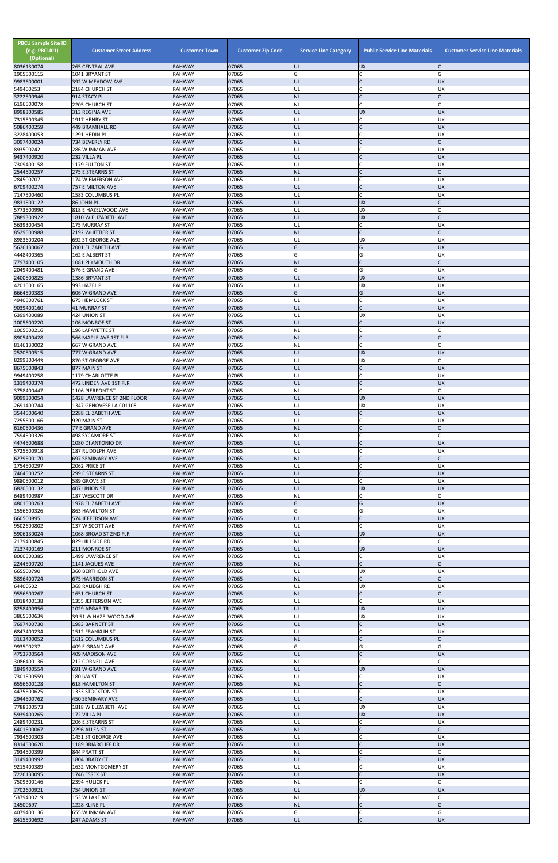| <b>PBCU Sample Site ID</b><br>(e.g. PBCU01)<br>(Optional)<br>8036130074 | <b>Customer Street Address</b><br><b>265 CENTRAL AVE</b> | <b>Customer Town</b><br><b>RAHWAY</b> | <b>Customer Zip Code</b><br>07065 | <b>Service Line Category</b><br>UL | <b>Public Service Line Materials</b><br><b>UX</b> | <b>Customer Service Line Materials</b> |
|-------------------------------------------------------------------------|----------------------------------------------------------|---------------------------------------|-----------------------------------|------------------------------------|---------------------------------------------------|----------------------------------------|
| 1905500115                                                              | 1041 BRYANT ST                                           | <b>RAHWAY</b>                         | 07065                             | G                                  | lC.                                               | G                                      |
| 9983600001                                                              | 392 W MEADOW AVE                                         | <b>RAHWAY</b><br><b>RAHWAY</b>        | 07065<br>07065                    | UL<br>UL                           | IC<br>lC.                                         | <b>UX</b>                              |
| 549400253<br>3222500946                                                 | 2184 CHURCH ST<br>914 STACY PL                           | <b>RAHWAY</b>                         | 07065                             | <b>NL</b>                          | IC                                                | UX                                     |
| 6196500078                                                              | 2205 CHURCH ST<br>313 REGINA AVE                         | <b>RAHWAY</b><br><b>RAHWAY</b>        | 07065<br>07065                    | <b>NL</b><br>UL                    | $\mathsf{C}$<br>UX                                | <b>UX</b>                              |
| 8998300585<br>7315500345                                                | 1917 HENRY ST                                            | <b>RAHWAY</b>                         | 07065                             | UL                                 | lC.                                               | <b>UX</b>                              |
| 5086400259                                                              | <b>449 BRAMHALL RD</b>                                   | <b>RAHWAY</b>                         | 07065                             | UL                                 | $\mathsf{C}$                                      | <b>UX</b>                              |
| 3228400053<br>3097400024                                                | 1291 HEDIN PL<br>734 BEVERLY RD                          | <b>RAHWAY</b><br><b>RAHWAY</b>        | 07065<br>07065                    | UL<br><b>NL</b>                    | C<br>$\mathsf{C}$                                 | <b>UX</b>                              |
| 893500242                                                               | 286 W INMAN AVE                                          | <b>RAHWAY</b>                         | 07065                             | UL                                 | $\mathsf{C}$                                      | <b>UX</b>                              |
| 9437400920<br>7309400158                                                | 232 VILLA PL<br>1179 FULTON ST                           | <b>RAHWAY</b><br><b>RAHWAY</b>        | 07065<br>07065                    | UL<br>UL                           | lc.<br>C                                          | <b>UX</b><br><b>UX</b>                 |
| 2544500257                                                              | 275 E STEARNS ST                                         | <b>RAHWAY</b>                         | 07065                             | <b>NL</b>                          | IC                                                |                                        |
| 284500707                                                               | 174 W EMERSON AVE                                        | <b>RAHWAY</b>                         | 07065                             | UL                                 | <b>C</b><br>$\mathsf{C}$                          | <b>UX</b>                              |
| 6709400274<br>7147500460                                                | 757 E MILTON AVE<br>1583 COLUMBUS PL                     | <b>RAHWAY</b><br><b>RAHWAY</b>        | 07065<br>07065                    | UL<br>UL                           | C.                                                | <b>UX</b><br><b>UX</b>                 |
| 9831500122                                                              | 86 JOHN PL                                               | <b>RAHWAY</b>                         | 07065                             | UL                                 | <b>UX</b>                                         |                                        |
| 5773500990<br>7889300922                                                | 818 E HAZELWOOD AVE<br>1810 W ELIZABETH AVE              | <b>RAHWAY</b><br><b>RAHWAY</b>        | 07065<br>07065                    | UL<br>UL                           | UX<br><b>UX</b>                                   |                                        |
| 5639300454                                                              | 175 MURRAY ST                                            | <b>RAHWAY</b>                         | 07065                             | UL                                 | lC.                                               | UX                                     |
| 8529500988<br>8983600204                                                | 2192 WHITTIER ST<br>692 ST GEORGE AVE                    | <b>RAHWAY</b><br><b>RAHWAY</b>        | 07065<br>07065                    | <b>NL</b><br>UL                    | $\overline{C}$<br><b>UX</b>                       | UX                                     |
| 5626130067                                                              | 2001 ELIZABETH AVE                                       | <b>RAHWAY</b>                         | 07065                             | G                                  | G                                                 | UX                                     |
| 4448400365<br>7797400105                                                | 162 E ALBERT ST<br>1081 PLYMOUTH DR                      | <b>RAHWAY</b><br><b>RAHWAY</b>        | 07065<br>07065                    | G<br><b>NL</b>                     | G<br>lc.                                          | <b>UX</b>                              |
| 2049400481                                                              | 576 E GRAND AVE                                          | <b>RAHWAY</b>                         | 07065                             | G                                  | G                                                 | UX                                     |
| 2400500825                                                              | 1386 BRYANT ST                                           | <b>RAHWAY</b>                         | 07065<br>07065                    | UL                                 | <b>UX</b>                                         | <b>UX</b>                              |
| 4201500165<br>6664500383                                                | 993 HAZEL PL<br>606 W GRAND AVE                          | <b>RAHWAY</b><br><b>RAHWAY</b>        | 07065                             | UL<br>G                            | <b>UX</b><br>G                                    | <b>UX</b><br><b>UX</b>                 |
| 4940500761                                                              | <b>675 HEMLOCK ST</b>                                    | <b>RAHWAY</b>                         | 07065                             | UL                                 | $\mathsf C$                                       | <b>UX</b>                              |
| 9039400160<br>6399400089                                                | <b>41 MURRAY ST</b><br>424 UNION ST                      | <b>RAHWAY</b><br><b>RAHWAY</b>        | 07065<br>07065                    | UL<br>UL                           | lc.<br><b>UX</b>                                  | <b>UX</b><br><b>UX</b>                 |
| 1005600220                                                              | 106 MONROE ST                                            | <b>RAHWAY</b>                         | 07065                             | UL                                 | lC.                                               | <b>UX</b>                              |
| 1005500216<br>8905400428                                                | 196 LAFAYETTE ST<br>566 MAPLE AVE 1ST FLR                | <b>RAHWAY</b><br><b>RAHWAY</b>        | 07065<br>07065                    | NL<br><b>NL</b>                    | lC.<br>$\mathsf{C}$                               |                                        |
| 8146130002                                                              | 667 W GRAND AVE                                          | <b>RAHWAY</b>                         | 07065                             | NL                                 | $\mathsf{C}$                                      |                                        |
| 2520500515                                                              | 777 W GRAND AVE                                          | <b>RAHWAY</b>                         | 07065<br>07065                    | IUL<br>UL                          | <b>UX</b><br><b>UX</b>                            | <b>UX</b>                              |
| 8299300443<br>8675500843                                                | 870 ST GEORGE AVE<br>877 MAIN ST                         | <b>RAHWAY</b><br><b>RAHWAY</b>        | 07065                             | UL                                 |                                                   | <b>UX</b>                              |
| 9949400258                                                              | 1179 CHARLOTTE PL                                        | <b>RAHWAY</b>                         | 07065                             | UL                                 | C                                                 | UX                                     |
| 1319400374<br>3758400447                                                | 472 LINDEN AVE 1ST FLR<br>1106 PIERPONT ST               | <b>RAHWAY</b><br><b>RAHWAY</b>        | 07065<br>07065                    | UL<br><b>NL</b>                    | $\mathsf{C}$<br><b>C</b>                          | <b>UX</b>                              |
| 9099300054                                                              | 1428 LAWRENCE ST 2ND FLOOR                               | <b>RAHWAY</b>                         | 07065                             | UL                                 | <b>UX</b>                                         | <b>UX</b>                              |
| 2691400744<br>3544500640                                                | 1347 GENOVESE LA C01108<br>2288 ELIZABETH AVE            | <b>RAHWAY</b><br><b>RAHWAY</b>        | 07065<br>07065                    | UL<br>UL                           | <b>UX</b><br>$\mathsf{C}$                         | UX<br><b>UX</b>                        |
| 7255500166                                                              | 920 MAIN ST                                              | <b>RAHWAY</b>                         | 07065                             | UL                                 | $\mathsf{C}$                                      | <b>UX</b>                              |
| 6160500436<br>7594500326                                                | 77 E GRAND AVE<br>498 SYCAMORE ST                        | <b>RAHWAY</b><br><b>RAHWAY</b>        | 07065<br>07065                    | <b>NL</b><br>NL                    | lC.<br>C                                          |                                        |
| 4474500688                                                              | 1080 DI ANTONIO DR                                       | <b>RAHWAY</b>                         | 07065                             | UL                                 | IC                                                | <b>UX</b>                              |
| 5725500918                                                              | 187 RUDOLPH AVE                                          | <b>RAHWAY</b>                         | 07065                             | UL                                 | $\mathsf{C}$                                      | UX                                     |
| 6279500170<br>1754500297                                                | 697 SEMINARY AVE<br>2062 PRICE ST                        | <b>RAHWAY</b><br><b>RAHWAY</b>        | 07065<br>07065                    | <b>NL</b><br>UL                    | lC.<br>lC.                                        | UX                                     |
| 7464500252                                                              | 299 E STEARNS ST                                         | <b>RAHWAY</b>                         | 07065                             | UL                                 | $\overline{C}$                                    | <b>UX</b>                              |
| 9880500012<br>6820500132                                                | 589 GROVE ST<br>407 UNION ST                             | <b>RAHWAY</b><br><b>RAHWAY</b>        | 07065<br>07065                    | UL<br>UL                           | C<br><b>UX</b>                                    | <b>UX</b><br><b>UX</b>                 |
| 6489400987                                                              | 187 WESCOTT DR                                           | <b>RAHWAY</b>                         | 07065                             | <b>NL</b>                          | C.                                                |                                        |
| 4801500263<br>1556600326                                                | 1978 ELIZABETH AVE<br><b>863 HAMILTON ST</b>             | <b>RAHWAY</b><br><b>RAHWAY</b>        | 07065<br>07065                    | G<br>G                             | G<br>G                                            | <b>UX</b><br><b>UX</b>                 |
| 660500995                                                               | 574 JEFFERSON AVE                                        | <b>RAHWAY</b>                         | 07065                             | UL                                 | $\mathsf{C}$                                      | <b>UX</b>                              |
| 9502600802<br>5906130024                                                | 137 W SCOTT AVE<br>1068 BROAD ST 2ND FLR                 | <b>RAHWAY</b><br><b>RAHWAY</b>        | 07065<br>07065                    | UL<br>UL                           | lC.<br><b>UX</b>                                  | <b>UX</b><br><b>UX</b>                 |
| 2179400845                                                              | 829 HILLSIDE RD                                          | <b>RAHWAY</b>                         | 07065                             | NL                                 | lC.                                               |                                        |
| 7137400169                                                              | 211 MONROE ST                                            | <b>RAHWAY</b>                         | 07065                             | UL                                 | <b>UX</b>                                         | <b>UX</b>                              |
| 8060500385<br>2244500720                                                | 1499 LAWRENCE ST<br>1141 JAQUES AVE                      | <b>RAHWAY</b><br><b>RAHWAY</b>        | 07065<br>07065                    | UL<br><b>NL</b>                    | C<br>$\overline{C}$                               | <b>UX</b>                              |
| 665500790                                                               | 360 BERTHOLD AVE                                         | <b>RAHWAY</b>                         | 07065                             | UL                                 | <b>UX</b>                                         | <b>UX</b>                              |
| 5896400724<br>64400502                                                  | <b>675 HARRISON ST</b><br>368 RALIEGH RD                 | <b>RAHWAY</b><br><b>RAHWAY</b>        | 07065<br>07065                    | <b>NL</b><br>UL                    | $\mathsf{C}$<br><b>UX</b>                         | UX                                     |
| 9556600267                                                              | 1651 CHURCH ST                                           | <b>RAHWAY</b>                         | 07065                             | <b>NL</b>                          | $\mathsf{C}$                                      |                                        |
| 8018400138<br>8258400956                                                | 1355 JEFFERSON AVE<br>1029 APGAR TR                      | <b>RAHWAY</b><br><b>RAHWAY</b>        | 07065<br>07065                    | UL<br>UL                           | lc.<br><b>UX</b>                                  | UX<br><b>UX</b>                        |
| 3865500635                                                              | 39 51 W HAZELWOOD AVE                                    | <b>RAHWAY</b>                         | 07065                             | UL                                 | <b>UX</b>                                         | UX                                     |
| 7697400730                                                              | 1983 BARNETT ST                                          | <b>RAHWAY</b>                         | 07065                             | UL                                 | $\mathsf{C}$                                      | <b>UX</b>                              |
| 6847400234<br>3163400052                                                | 1512 FRANKLIN ST<br>1612 COLUMBUS PL                     | <b>RAHWAY</b><br><b>RAHWAY</b>        | 07065<br>07065                    | UL<br><b>NL</b>                    | C<br>$\overline{C}$                               | <b>UX</b>                              |
| 993500237                                                               | 409 E GRAND AVE                                          | <b>RAHWAY</b>                         | 07065                             | G                                  | G                                                 | G                                      |
| 4753700564<br>3086400136                                                | <b>409 MADISON AVE</b><br>212 CORNELL AVE                | <b>RAHWAY</b><br><b>RAHWAY</b>        | 07065<br>07065                    | UL<br>ΝL                           | $\mathsf{C}$                                      | <b>UX</b>                              |
| 1849400554                                                              | 691 W GRAND AVE                                          | <b>RAHWAY</b>                         | 07065                             | IUL.                               | <b>UX</b>                                         | <b>IDX</b>                             |
| 7301500559<br>6556600128                                                | 180 IVA ST<br><b>618 HAMILTON ST</b>                     | <b>RAHWAY</b><br><b>RAHWAY</b>        | 07065<br>07065                    | UL<br><b>NL</b>                    | C<br>$\mathsf{C}$                                 | X                                      |
| 4475500625                                                              | 1333 STOCKTON ST                                         | <b>RAHWAY</b>                         | 07065                             | UL                                 | C                                                 | <b>UX</b>                              |
| 2944500762                                                              | <b>450 SEMINARY AVE</b>                                  | <b>RAHWAY</b>                         | 07065                             | UL                                 | $\mathsf{C}$                                      | <b>UX</b>                              |
| 7788300573<br>5939400265                                                | 1818 W ELIZABETH AVE<br>172 VILLA PL                     | <b>RAHWAY</b><br><b>RAHWAY</b>        | 07065<br>07065                    | UL<br>UL                           | <b>UX</b><br>UX                                   | <b>UX</b><br><b>UX</b>                 |
| 2489400231                                                              | 206 E STEARNS ST                                         | <b>RAHWAY</b>                         | 07065                             | UL                                 | lC.                                               | <b>UX</b>                              |
| 6401500067<br>7934600303                                                | 2296 ALLEN ST<br>1451 ST GEORGE AVE                      | <b>RAHWAY</b><br><b>RAHWAY</b>        | 07065<br>07065                    | <b>NL</b><br>UL                    | lC.<br>lC.                                        | UX                                     |
| 8314500620                                                              | 1189 BRIARCLIFF DR                                       | <b>RAHWAY</b>                         | 07065                             | UL                                 | $\mathsf{C}$                                      | X                                      |
| 7934500399<br>3149400992                                                | 844 PRATT ST<br>1804 BRADY CT                            | <b>RAHWAY</b><br><b>RAHWAY</b>        | 07065<br>07065                    | <b>NL</b><br>UL                    | <b>C</b><br>$\mathsf{C}$                          | <b>UX</b>                              |
| 9215400389                                                              | 1632 MONTGOMERY ST                                       | <b>RAHWAY</b>                         | 07065                             | UL                                 | C                                                 | <b>UX</b>                              |
| 7226130095                                                              | 1746 ESSEX ST                                            | <b>RAHWAY</b>                         | 07065                             | UL                                 | $\overline{C}$                                    | <b>UX</b>                              |
| 7509300146<br>7702600921                                                | 2394 HULICK PL<br>754 UNION ST                           | <b>RAHWAY</b><br><b>RAHWAY</b>        | 07065<br>07065                    | <b>NL</b><br>UL                    | <b>C</b><br><b>UX</b>                             | <b>UX</b>                              |
| 5379400219                                                              | 153 W LAKE AVE                                           | <b>RAHWAY</b>                         | 07065                             | NL                                 | lC.                                               | C                                      |
| 14500697<br>4079400136                                                  | 1228 KLINE PL<br>655 W INMAN AVE                         | <b>RAHWAY</b><br><b>RAHWAY</b>        | 07065<br>07065                    | <b>NL</b><br>G                     | $\overline{C}$<br>C                               | C<br>G                                 |
| 8415500692                                                              | 247 ADAMS ST                                             | <b>RAHWAY</b>                         | 07065                             | UL                                 | $\mathsf{C}$                                      | UX                                     |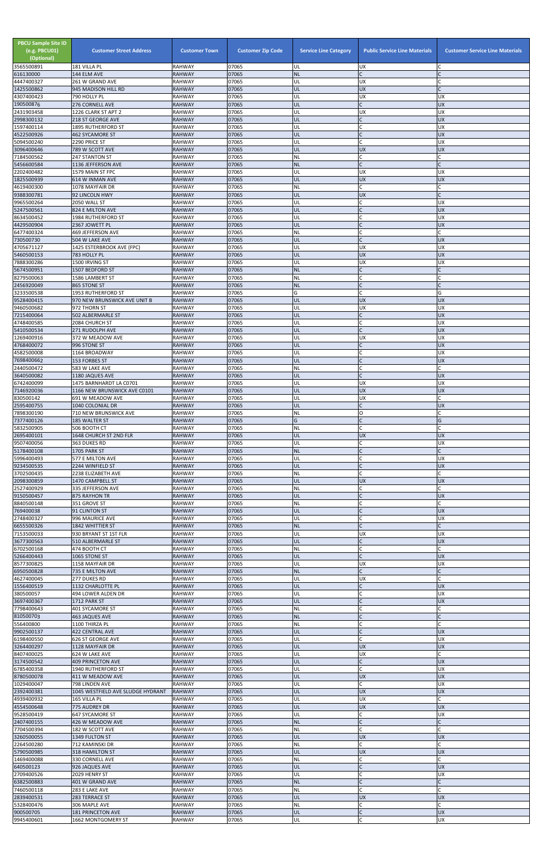| <b>PBCU Sample Site ID</b><br>(e.g. PBCU01)<br>(Optional) | <b>Customer Street Address</b>                      | <b>Customer Town</b>           | <b>Customer Zip Code</b> | <b>Service Line Category</b> | <b>Public Service Line Materials</b> | <b>Customer Service Line Materials</b> |
|-----------------------------------------------------------|-----------------------------------------------------|--------------------------------|--------------------------|------------------------------|--------------------------------------|----------------------------------------|
| 3565500891<br>616130000                                   | 181 VILLA PL<br>144 ELM AVE                         | <b>RAHWAY</b><br><b>RAHWAY</b> | 07065<br>07065           | UL<br><b>NL</b>              | <b>UX</b><br>$\mathsf{C}$            |                                        |
| 4447400327                                                | 261 W GRAND AVE                                     | <b>RAHWAY</b>                  | 07065                    | UL                           | <b>UX</b>                            |                                        |
| 1425500862<br>4307400423                                  | 945 MADISON HILL RD<br>790 HOLLY PL                 | <b>RAHWAY</b><br><b>RAHWAY</b> | 07065<br>07065           | UL<br>UL                     | <b>UX</b><br><b>UX</b>               | <b>UX</b>                              |
| 190500876                                                 | 276 CORNELL AVE                                     | <b>RAHWAY</b>                  | 07065                    | UL                           | $\mathsf{C}$                         | <b>UX</b>                              |
| 2431903458<br>2998300132                                  | 1226 CLARK ST APT 2<br><b>218 ST GEORGE AVE</b>     | RAHWAY<br><b>RAHWAY</b>        | 07065<br>07065           | UL<br>ŰĹ                     | <b>UX</b><br>$\overline{C}$          | <b>UX</b><br><b>UX</b>                 |
| 1597400114                                                | <b>1895 RUTHERFORD ST</b>                           | RAHWAY                         | 07065                    | UL                           |                                      | <b>UX</b>                              |
| 4522500926<br>5094500240                                  | <b>462 SYCAMORE ST</b><br>2290 PRICE ST             | <b>RAHWAY</b><br>RAHWAY        | 07065<br>07065           | UL<br>UL                     | $\mathsf{C}$                         | <b>UX</b><br><b>UX</b>                 |
| 3096400646                                                | 789 W SCOTT AVE                                     | <b>RAHWAY</b>                  | 07065                    | UL                           | <b>UX</b>                            | <b>UX</b>                              |
| 7184500562<br>5456600584                                  | 247 STANTON ST<br>1136 JEFFERSON AVE                | RAHWAY<br><b>RAHWAY</b>        | 07065<br>07065           | NL<br><b>NL</b>              | $\mathsf{C}$<br>$\mathsf{C}$         |                                        |
| 2202400482                                                | 1579 MAIN ST FPC                                    | RAHWAY                         | 07065                    | UL                           | <b>UX</b>                            | <b>UX</b>                              |
| 1825500939<br>4619400300                                  | 614 W INMAN AVE<br>1078 MAYFAIR DR                  | <b>RAHWAY</b><br><b>RAHWAY</b> | 07065<br>07065           | UL<br>NL                     | <b>UX</b><br>IC.                     | <b>UX</b>                              |
| 9388300781                                                | 92 LINCOLN HWY                                      | <b>RAHWAY</b>                  | 07065                    | IJL                          | <b>UX</b>                            |                                        |
| 9965500264<br>5247500561                                  | 2050 WALL ST<br>824 E MILTON AVE                    | <b>RAHWAY</b><br><b>RAHWAY</b> | 07065<br>07065           | UL<br>UL                     | $\mathsf{C}$<br>$\mathsf{C}$         | <b>UX</b><br><b>UX</b>                 |
| 8634500452                                                | 1984 RUTHERFORD ST                                  | <b>RAHWAY</b>                  | 07065                    | UL                           | $\mathsf{C}$                         | <b>UX</b>                              |
| 4429500904<br>6477400324                                  | 2367 JOWETT PL<br>469 JEFFERSON AVE                 | <b>RAHWAY</b><br><b>RAHWAY</b> | 07065<br>07065           | UL<br>NL                     | $\mathsf{C}$<br>$\mathsf{C}$         | <b>UX</b>                              |
| 730500730                                                 | 504 W LAKE AVE                                      | <b>RAHWAY</b>                  | 07065                    | UL                           | $\mathsf{C}$                         | <b>UX</b>                              |
| 4705671127<br>5460500153                                  | 1425 ESTERBROOK AVE (FPC)<br>783 HOLLY PL           | RAHWAY<br><b>RAHWAY</b>        | 07065<br>07065           | UL<br>UL                     | <b>UX</b><br><b>UX</b>               | <b>UX</b><br><b>UX</b>                 |
| 7888300286                                                | 1500 IRVING ST                                      | RAHWAY                         | 07065                    | UL                           | <b>UX</b>                            | UX                                     |
| 5674500951<br>8279500063                                  | 1507 BEDFORD ST<br>1586 LAMBERT ST                  | <b>RAHWAY</b><br>RAHWAY        | 07065<br>07065           | <b>NL</b><br>NL              | $\mathsf{C}$                         |                                        |
| 2456920049                                                | 865 STONE ST                                        | <b>RAHWAY</b>                  | 07065                    | <b>NL</b>                    | $\mathsf{C}$                         |                                        |
| 3233500538<br>9528400415                                  | 1953 RUTHERFORD ST<br>970 NEW BRUNSWICK AVE UNIT B  | <b>RAHWAY</b><br><b>RAHWAY</b> | 07065<br>07065           | G<br>UL                      | $\mathsf{C}$<br><b>UX</b>            | G<br><b>UX</b>                         |
| 9460500682                                                | 972 THORN ST                                        | RAHWAY                         | 07065                    | UL                           | UX                                   | <b>UX</b>                              |
| 7215400064<br>4748400585                                  | 502 ALBERMARLE ST<br>2084 CHURCH ST                 | <b>RAHWAY</b><br>RAHWAY        | 07065<br>07065           | IJL<br>UL                    | $\mathsf{C}$<br>$\mathsf{C}$         | <b>UX</b><br><b>UX</b>                 |
| 5410500534                                                | 271 RUDOLPH AVE                                     | <b>RAHWAY</b>                  | 07065                    | UL                           | $\mathsf{C}$                         | <b>UX</b>                              |
| 1269400916                                                | 372 W MEADOW AVE                                    | RAHWAY                         | 07065<br>07065           | UL<br>UL                     | <b>UX</b><br>$\mathsf{C}$            | <b>UX</b><br><b>UX</b>                 |
| 4768400072<br>4582500008                                  | 996 STONE ST<br>1164 BROADWAY                       | <b>RAHWAY</b><br>RAHWAY        | 07065                    | UL                           |                                      | ΙUΧ                                    |
| 7698400662                                                | <b>153 FORBES ST</b>                                | <b>RAHWAY</b>                  | 07065                    | UL                           | $\mathsf{C}$<br>$\mathsf{C}$         | <b>UX</b>                              |
| 2440500472<br>3640500082                                  | 583 W LAKE AVE<br>1180 JAQUES AVE                   | RAHWAY<br><b>RAHWAY</b>        | 07065<br>07065           | NL<br>UL                     |                                      | <b>UX</b>                              |
| 6742400099                                                | 1475 BARNHARDT LA C0701                             | RAHWAY                         | 07065                    | UL                           | <b>UX</b>                            | <b>UX</b>                              |
| 7146920036<br>830500142                                   | 1166 NEW BRUNSWICK AVE C0101<br>691 W MEADOW AVE    | <b>RAHWAY</b><br>RAHWAY        | 07065<br>07065           | UL<br>UL                     | <b>UX</b><br>UX                      | <b>UX</b>                              |
| 2595400755                                                | 1040 COLONIAL DR                                    | <b>RAHWAY</b>                  | 07065                    | UL                           |                                      | <b>UX</b>                              |
| 7898300190<br>7377400126                                  | 710 NEW BRUNSWICK AVE<br>185 WALTER ST              | RAHWAY<br><b>RAHWAY</b>        | 07065<br>07065           | NL<br>G                      | O<br>$\mathsf{C}$                    | G                                      |
| 5832500905                                                | 506 BOOTH CT                                        | RAHWAY                         | 07065                    | NL                           | C                                    |                                        |
| 2695400101<br>9507400056                                  | 1648 CHURCH ST 2ND FLR<br>363 DUKES RD              | <b>RAHWAY</b><br>RAHWAY        | 07065<br>07065           | UL<br>UL                     | <b>UX</b>                            | <b>UX</b><br><b>UX</b>                 |
| 5178400108                                                | 1705 PARK ST                                        | <b>RAHWAY</b>                  | 07065                    | <b>NL</b>                    |                                      |                                        |
| 5996400493<br>9234500535                                  | 577 E MILTON AVE<br>2244 WINFIELD ST                | RAHWAY<br><b>RAHWAY</b>        | 07065<br>07065           | UL<br>UL                     | $\mathsf{C}$<br>$\mathsf{C}$         | <b>UX</b><br><b>UX</b>                 |
| 3702500435                                                | 2238 ELIZABETH AVE                                  | RAHWAY                         | 07065                    | <b>NL</b>                    |                                      |                                        |
| 2098300859<br>2527400929                                  | 1470 CAMPBELL ST<br>335 JEFFERSON AVE               | <b>RAHWAY</b><br>RAHWAY        | 07065<br>07065           | UL<br>NL                     | <b>UX</b><br>C                       | <b>UX</b>                              |
| 9150500457                                                | 875 RAYHON TR                                       | <b>RAHWAY</b>                  | 07065                    | UL                           | $\mathsf{C}$                         | <b>UX</b>                              |
| 8840500148<br>769400038                                   | 351 GROVE ST<br>91 CLINTON ST                       | RAHWAY<br><b>RAHWAY</b>        | 07065<br>07065           | ΝL<br>UL                     |                                      | <b>UX</b>                              |
| 2748400327                                                | 996 MAURICE AVE                                     | RAHWAY                         | 07065                    | UL                           | $\mathsf{C}$                         | <b>UX</b>                              |
| 6655500326<br>7153500033                                  | 1842 WHITTIER ST<br>930 BRYANT ST 1ST FLR           | <b>RAHWAY</b><br>RAHWAY        | 07065<br>07065           | <b>NL</b><br>UL              | $\mathsf{C}$<br><b>UX</b>            | UX                                     |
| 3677300563                                                | 510 ALBERMARLE ST                                   | <b>RAHWAY</b>                  | 07065                    | UL                           |                                      | <b>UX</b>                              |
| 6702500168<br>5266400443                                  | 474 BOOTH CT<br>1065 STONE ST                       | RAHWAY<br><b>RAHWAY</b>        | 07065<br>07065           | NL<br>UL                     | $\mathsf{C}$<br>$\mathsf{C}$         | <b>UX</b>                              |
| 8577300825                                                | 1158 MAYFAIR DR                                     | RAHWAY                         | 07065                    | UL                           | <b>UX</b>                            | <b>UX</b>                              |
| 6950500828<br>4627400045                                  | 735 E MILTON AVE<br>277 DUKES RD                    | <b>RAHWAY</b><br><b>RAHWAY</b> | 07065<br>07065           | <b>NL</b><br>UL              | <b>UX</b>                            |                                        |
| 1556400519                                                | 1132 CHARLOTTE PL                                   | <b>RAHWAY</b>                  | 07065                    | UL                           | $\mathsf{C}$                         | <b>UX</b>                              |
| 380500057<br>3697400367                                   | 494 LOWER ALDEN DR<br>1712 PARK ST                  | RAHWAY<br><b>RAHWAY</b>        | 07065<br>07065           | UL<br>UL                     | $\mathsf C$<br>$\mathsf{C}$          | <b>UX</b><br><b>UX</b>                 |
| 7798400643                                                | 401 SYCAMORE ST                                     | RAHWAY                         | 07065                    | NL                           |                                      |                                        |
| 810500703<br>556400800                                    | <b>463 JAQUES AVE</b><br>1100 THIRZA PL             | <b>RAHWAY</b><br><b>RAHWAY</b> | 07065<br>07065           | <b>NL</b><br>ΝL              | $\mathsf{C}$                         |                                        |
| 9902500137                                                | 422 CENTRAL AVE                                     | <b>RAHWAY</b>                  | 07065                    | UL                           | $\mathsf{C}$                         | <b>UX</b>                              |
| 6198400550<br>3264400297                                  | 626 ST GEORGE AVE<br>1128 MAYFAIR DR                | RAHWAY<br><b>RAHWAY</b>        | 07065<br>07065           | UL<br>UL                     | $\mathsf{C}$<br><b>UX</b>            | <b>UX</b><br><b>UX</b>                 |
| 8407400025                                                | 624 W LAKE AVE                                      | RAHWAY                         | 07065                    | UL                           | UX                                   |                                        |
| 3174500542<br>6785400358                                  | 409 PRINCETON AVE<br>1940 RUTHERFORD ST             | <b>RAHWAY</b><br><b>RAHWAY</b> | 07065<br>07065           | UL<br>UL                     | <b>C</b>                             | <b>UX</b><br>UX                        |
| 8780500078                                                | 411 W MEADOW AVE                                    | <b>RAHWAY</b>                  | 07065                    | UL                           | <b>UX</b>                            | <b>UX</b>                              |
| 1029400047<br>2392400381                                  | 798 LINDEN AVE<br>1045 WESTFIELD AVE SLUDGE HYDRANT | RAHWAY<br><b>RAHWAY</b>        | 07065<br>07065           | UL<br>UL                     | <b>UX</b>                            | <b>UX</b><br><b>UX</b>                 |
| 4939400932                                                | 165 VILLA PL                                        | RAHWAY                         | 07065                    | UL                           | <b>UX</b>                            |                                        |
| 4554500648<br>9528500419                                  | 775 AUDREY DR<br>647 SYCAMORE ST                    | <b>RAHWAY</b><br>RAHWAY        | 07065<br>07065           | UL<br>UL                     | <b>UX</b><br>$\mathsf{C}$            | <b>UX</b><br><b>UX</b>                 |
| 2407400155                                                | 426 W MEADOW AVE                                    | <b>RAHWAY</b>                  | 07065                    | <b>NL</b>                    | $\mathsf C$                          |                                        |
| 7704500394<br>3260500055                                  | 182 W SCOTT AVE<br>1349 FULTON ST                   | RAHWAY<br><b>RAHWAY</b>        | 07065<br>07065           | NL<br>UL                     | $\mathsf{C}$<br><b>UX</b>            | <b>UX</b>                              |
| 2264500280                                                | 712 KAMINSKI DR                                     | <b>RAHWAY</b>                  | 07065                    | NL                           | C                                    |                                        |
| 5790500985<br>1469400088                                  | 318 HAMILTON ST<br>330 CORNELL AVE                  | <b>RAHWAY</b><br><b>RAHWAY</b> | 07065<br>07065           | UL<br>NL                     | <b>UX</b><br>$\mathsf{C}$            | <b>UX</b>                              |
| 640500123                                                 | 926 JAQUES AVE                                      | <b>RAHWAY</b>                  | 07065                    | UL                           | $\mathsf{C}$                         | <b>UX</b>                              |
| 2709400526<br>6382500883                                  | 2029 HENRY ST<br>401 W GRAND AVE                    | <b>RAHWAY</b><br><b>RAHWAY</b> | 07065<br>07065           | UL<br><b>NL</b>              | $\mathsf{C}$<br>$\mathsf{C}$         | <b>UX</b>                              |
| 7460500118                                                | 283 E LAKE AVE                                      | RAHWAY                         | 07065                    | NL                           | $\mathsf{C}$                         |                                        |
| 2839400531<br>5328400476                                  | 283 TERRACE ST<br>306 MAPLE AVE                     | <b>RAHWAY</b><br>RAHWAY        | 07065<br>07065           | UL<br>NL                     | <b>UX</b><br>C                       | <b>UX</b>                              |
| 900500705                                                 | <b>181 PRINCETON AVE</b>                            | <b>RAHWAY</b>                  | 07065                    | UL                           |                                      | <b>UX</b>                              |
| 9945400601                                                | 1662 MONTGOMERY ST                                  | RAHWAY                         | 07065                    | UL                           | $\mathsf{C}$                         | <b>UX</b>                              |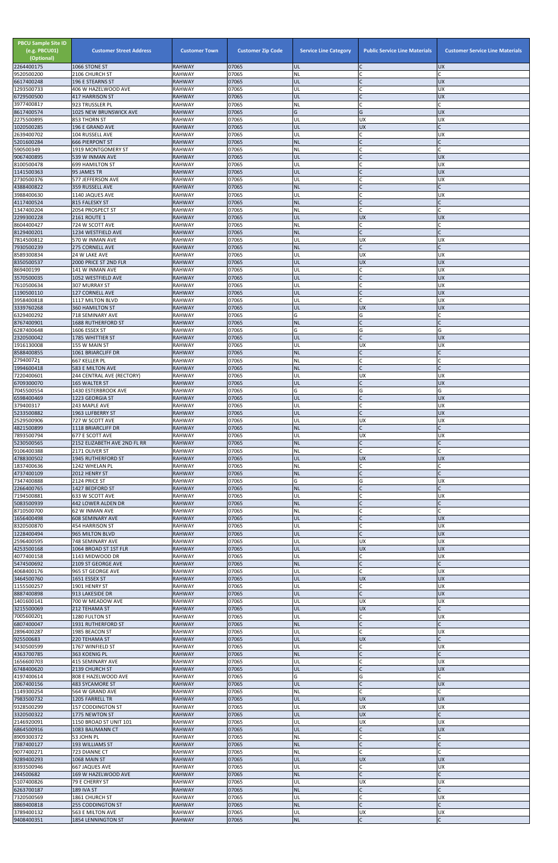| <b>PBCU Sample Site ID</b><br>(e.g. PBCU01)<br>(Optional)<br>2264400175 | <b>Customer Street Address</b><br>1066 STONE ST | <b>Customer Town</b><br><b>RAHWAY</b> | <b>Customer Zip Code</b><br>07065 | <b>Service Line Category</b><br>UL | <b>Public Service Line Materials</b><br>IC | <b>Customer Service Line Materials</b><br><b>UX</b> |
|-------------------------------------------------------------------------|-------------------------------------------------|---------------------------------------|-----------------------------------|------------------------------------|--------------------------------------------|-----------------------------------------------------|
| 9520500200                                                              | 2106 CHURCH ST                                  | <b>RAHWAY</b>                         | 07065                             | <b>NL</b>                          | C                                          |                                                     |
| 6617400248                                                              | 196 E STEARNS ST                                | <b>RAHWAY</b>                         | 07065                             | UL                                 | IC                                         | <b>UX</b>                                           |
| 1293500733<br>6729500500                                                | 406 W HAZELWOOD AVE<br><b>417 HARRISON ST</b>   | <b>RAHWAY</b><br><b>RAHWAY</b>        | 07065<br>07065                    | UL<br>UL                           | lC.<br>IC                                  | UX<br><b>UX</b>                                     |
| 3977400817                                                              | 923 TRUSSLER PL                                 | <b>RAHWAY</b>                         | 07065                             | <b>NL</b>                          | C                                          |                                                     |
| 8617400574<br>2275500895                                                | 1025 NEW BRUNSWICK AVE<br>853 THORN ST          | <b>RAHWAY</b><br><b>RAHWAY</b>        | 07065<br>07065                    | G<br>UL                            | G<br><b>UX</b>                             | <b>UX</b><br><b>UX</b>                              |
| 1020500285                                                              | 196 E GRAND AVE                                 | <b>RAHWAY</b>                         | 07065                             | UL                                 | UX                                         |                                                     |
| 2639400702<br>5201600284                                                | 104 RUSSELL AVE<br><b>666 PIERPONT ST</b>       | <b>RAHWAY</b><br><b>RAHWAY</b>        | 07065<br>07065                    | UL<br><b>NL</b>                    | C<br>$\mathsf{C}$                          | UX                                                  |
| 590500349                                                               | 1919 MONTGOMERY ST                              | <b>RAHWAY</b>                         | 07065                             | NL                                 | $\mathsf{C}$                               | $\mathsf{C}$                                        |
| 9067400895<br>8100500478                                                | 539 W INMAN AVE<br><b>699 HAMILTON ST</b>       | <b>RAHWAY</b><br><b>RAHWAY</b>        | 07065<br>07065                    | UL<br>UL                           | lc.<br>C                                   | <b>UX</b><br><b>UX</b>                              |
| 1141500363                                                              | 95 JAMES TR                                     | <b>RAHWAY</b>                         | 07065                             | UL                                 | IC                                         | <b>UX</b>                                           |
| 2730500376<br>4388400822                                                | 577 JEFFERSON AVE<br>359 RUSSELL AVE            | <b>RAHWAY</b><br><b>RAHWAY</b>        | 07065<br>07065                    | UL<br><b>NL</b>                    | C<br>lc.                                   | <b>UX</b><br>C                                      |
| 3988400630                                                              | 1140 JAQUES AVE                                 | <b>RAHWAY</b>                         | 07065                             | UL                                 | lC.                                        | <b>UX</b>                                           |
| 4117400524<br>1347400204                                                | 815 FALESKY ST                                  | <b>RAHWAY</b><br><b>RAHWAY</b>        | 07065<br>07065                    | <b>NL</b><br><b>NL</b>             | $\mathsf{C}$<br>C                          |                                                     |
| 2299300228                                                              | 2054 PROSPECT ST<br>2161 ROUTE 1                | <b>RAHWAY</b>                         | 07065                             | UL                                 | <b>UX</b>                                  | <b>UX</b>                                           |
| 8604400427                                                              | 724 W SCOTT AVE                                 | <b>RAHWAY</b>                         | 07065                             | NL                                 | lC.                                        |                                                     |
| 8129400201<br>7814500812                                                | 1234 WESTFIELD AVE<br>570 W INMAN AVE           | <b>RAHWAY</b><br><b>RAHWAY</b>        | 07065<br>07065                    | <b>NL</b><br>UL                    | $\overline{C}$<br><b>UX</b>                | UX                                                  |
| 7930500239                                                              | <b>275 CORNELL AVE</b>                          | <b>RAHWAY</b>                         | 07065                             | <b>NL</b>                          | $\mathsf{C}$                               |                                                     |
| 8589300834<br>8350500537                                                | 24 W LAKE AVE<br>2000 PRICE ST 2ND FLR          | <b>RAHWAY</b><br><b>RAHWAY</b>        | 07065<br>07065                    | UL<br>UL                           | <b>UX</b><br><b>UX</b>                     | UX<br><b>UX</b>                                     |
| 869400199                                                               | 141 W INMAN AVE                                 | <b>RAHWAY</b>                         | 07065                             | UL                                 | C                                          | UX                                                  |
| 3570500035<br>7610500634                                                | 1052 WESTFIELD AVE<br><b>307 MURRAY ST</b>      | <b>RAHWAY</b><br><b>RAHWAY</b>        | 07065<br>07065                    | UL<br>UL                           | $\mathsf{C}$<br>C                          | <b>UX</b><br><b>UX</b>                              |
| 1190500110                                                              | 127 CORNELL AVE                                 | <b>RAHWAY</b>                         | 07065                             | UL                                 | lc.                                        | <b>UX</b>                                           |
| 3958400818                                                              | 1117 MILTON BLVD                                | <b>RAHWAY</b>                         | 07065                             | UL                                 | <b>C</b>                                   | <b>UX</b>                                           |
| 3339760268<br>6329400292                                                | <b>360 HAMILTON ST</b><br>718 SEMINARY AVE      | <b>RAHWAY</b><br><b>RAHWAY</b>        | 07065<br>07065                    | UL<br>Ġ                            | <b>UX</b><br>G                             | <b>UX</b>                                           |
| 8767400901                                                              | 1688 RUTHERFORD ST                              | <b>RAHWAY</b>                         | 07065                             | <b>NL</b>                          | lC.                                        | $\mathsf{C}$                                        |
| 6287400648<br>2320500042                                                | 1606 ESSEX ST<br>1785 WHITTIER ST               | <b>RAHWAY</b><br><b>RAHWAY</b>        | 07065<br>07065                    | G<br>UL                            | G<br>$\mathsf{C}$                          | G<br><b>UX</b>                                      |
| 1916130008                                                              | 155 W MAIN ST                                   | <b>RAHWAY</b>                         | 07065                             | UL                                 | <b>UX</b>                                  | UX                                                  |
| 8588400855<br>279400721                                                 | 1061 BRIARCLIFF DR<br>667 KELLER PL             | <b>RAHWAY</b><br><b>RAHWAY</b>        | 07065<br>07065                    | <b>NL</b><br>NL                    | lC.                                        |                                                     |
| 1994600418                                                              | 583 E MILTON AVE                                | <b>RAHWAY</b>                         | 07065                             | <b>NL</b>                          | $\mathsf{C}$                               |                                                     |
| 7220400601<br>6709300070                                                | 244 CENTRAL AVE (RECTORY)<br>165 WALTER ST      | <b>RAHWAY</b><br><b>RAHWAY</b>        | 07065<br>07065                    | UL<br>UL                           | <b>UX</b><br>lC.                           | UX<br><b>UX</b>                                     |
| 7045500554                                                              | 1430 ESTERBROOK AVE                             | <b>RAHWAY</b>                         | 07065                             | G                                  | G                                          | G                                                   |
| 6598400469                                                              | 1223 GEORGIA ST                                 | <b>RAHWAY</b>                         | 07065                             | UL                                 | $\mathsf{C}$                               | <b>UX</b>                                           |
| 379400317<br>5233500882                                                 | 243 MAPLE AVE<br>1963 LUFBERRY ST               | <b>RAHWAY</b><br><b>RAHWAY</b>        | 07065<br>07065                    | UL<br>UL                           | $\mathsf{C}$<br>lc.                        | <b>UX</b><br><b>UX</b>                              |
| 2529500906                                                              | 727 W SCOTT AVE                                 | <b>RAHWAY</b>                         | 07065                             | UL                                 | <b>UX</b>                                  | <b>UX</b>                                           |
| 4821500899<br>7893500794                                                | 1118 BRIARCLIFF DR<br>677 E SCOTT AVE           | <b>RAHWAY</b><br><b>RAHWAY</b>        | 07065<br>07065                    | <b>NL</b><br>UL                    | lC.<br><b>UX</b>                           | <b>UX</b>                                           |
| 5230500565                                                              | 2152 ELIZABETH AVE 2ND FL RR                    | <b>RAHWAY</b>                         | 07065                             | <b>NL</b>                          | lC.                                        |                                                     |
| 9106400388<br>4788300502                                                | 2171 OLIVER ST<br>1945 RUTHERFORD ST            | <b>RAHWAY</b><br><b>RAHWAY</b>        | 07065<br>07065                    | NL<br>UL                           | lc.<br><b>UX</b>                           | <b>UX</b>                                           |
| 1837400636                                                              | 1242 WHELAN PL                                  | <b>RAHWAY</b>                         | 07065                             | NL                                 | lC.                                        |                                                     |
| 4737400109                                                              | 2012 HENRY ST                                   | <b>RAHWAY</b>                         | 07065                             | <b>NL</b><br>G                     | $\overline{C}$                             |                                                     |
| 7347400888<br>2266400765                                                | 2124 PRICE ST<br>1427 BEDFORD ST                | <b>RAHWAY</b><br><b>RAHWAY</b>        | 07065<br>07065                    | <b>NL</b>                          | G<br>$\overline{C}$                        | UX                                                  |
| 7194500881                                                              | 633 W SCOTT AVE                                 | <b>RAHWAY</b>                         | 07065                             | UL                                 | lC.                                        | UX                                                  |
| 5083500939<br>8710500700                                                | 442 LOWER ALDEN DR<br>62 W INMAN AVE            | <b>RAHWAY</b><br><b>RAHWAY</b>        | 07065<br>07065                    | <b>NL</b><br>NL                    | $\mathsf{C}$<br>lC.                        |                                                     |
| 1656400498                                                              | <b>608 SEMINARY AVE</b>                         | <b>RAHWAY</b>                         | 07065                             | UL                                 | $\mathsf{C}$                               | <b>UX</b>                                           |
| 8320500870<br>1228400494                                                | 454 HARRISON ST<br>965 MILTON BLVD              | <b>RAHWAY</b><br><b>RAHWAY</b>        | 07065<br>07065                    | UL<br>UL                           | lC.<br>lc.                                 | UX<br><b>UX</b>                                     |
| 2596400595                                                              | 748 SEMINARY AVE                                | <b>RAHWAY</b>                         | 07065                             | UL                                 | <b>UX</b>                                  | UX                                                  |
| 4253500168<br>4077400158                                                | 1064 BROAD ST 1ST FLR<br>1143 MIDWOOD DR        | <b>RAHWAY</b><br><b>RAHWAY</b>        | 07065<br>07065                    | UL<br>UL                           | <b>UX</b><br>lC.                           | <b>UX</b><br><b>UX</b>                              |
| 5474500692                                                              | 2109 ST GEORGE AVE                              | <b>RAHWAY</b>                         | 07065                             | <b>NL</b>                          | $\mathsf{C}$                               |                                                     |
| 4068400176                                                              | 965 ST GEORGE AVE                               | <b>RAHWAY</b>                         | 07065                             | UL                                 | <b>C</b>                                   | <b>UX</b>                                           |
| 3464500760<br>1155500257                                                | 1651 ESSEX ST<br>1901 HENRY ST                  | <b>RAHWAY</b><br><b>RAHWAY</b>        | 07065<br>07065                    | UL<br>UL                           | <b>UX</b><br>lC.                           | <b>UX</b><br>UX                                     |
| 8887400898                                                              | 913 LAKESIDE DR                                 | <b>RAHWAY</b>                         | 07065                             | UL                                 | lc.                                        | <b>UX</b>                                           |
| 1401600141<br>3215500069                                                | 700 W MEADOW AVE<br>212 TEHAMA ST               | <b>RAHWAY</b><br><b>RAHWAY</b>        | 07065<br>07065                    | UL<br>UL                           | <b>UX</b><br><b>UX</b>                     | UX                                                  |
| 7005600201                                                              | 1280 FULTON ST                                  | <b>RAHWAY</b>                         | 07065                             | UL                                 | lC.                                        | UX                                                  |
| 6807400047<br>2896400287                                                | 1931 RUTHERFORD ST<br>1985 BEACON ST            | <b>RAHWAY</b><br><b>RAHWAY</b>        | 07065<br>07065                    | <b>NL</b><br>UL                    | $\mathsf{C}$<br>lC.                        | UX                                                  |
| 925500683                                                               | 220 TEHAMA ST                                   | <b>RAHWAY</b>                         | 07065                             | UL                                 | <b>UX</b>                                  |                                                     |
| 3430500599<br>4363700785                                                | 1767 WINFIELD ST                                | <b>RAHWAY</b>                         | 07065<br>07065                    | UL<br><b>NL</b>                    | lC.                                        | UX                                                  |
| 1656600703                                                              | 363 KOENIG PL<br><b>415 SEMINARY AVE</b>        | <b>RAHWAY</b><br><b>RAHWAY</b>        | 07065                             | UL                                 |                                            | UX                                                  |
| 6748400620                                                              | 2139 CHURCH ST                                  | <b>RAHWAY</b>                         | 07065                             | IUL.                               |                                            | <b>UX</b>                                           |
| 4197400614<br>2067400156                                                | 808 E HAZELWOOD AVE<br><b>483 SYCAMORE ST</b>   | <b>RAHWAY</b><br><b>RAHWAY</b>        | 07065<br>07065                    | G<br>UL                            | G<br>$\overline{C}$                        | <b>UX</b>                                           |
| 1149300254                                                              | 564 W GRAND AVE                                 | <b>RAHWAY</b>                         | 07065                             | <b>NL</b>                          | <b>C</b>                                   | C                                                   |
| 7983500732<br>9328500299                                                | 1205 FARRELL TR<br>157 CODDINGTON ST            | <b>RAHWAY</b><br><b>RAHWAY</b>        | 07065<br>07065                    | UL<br>UL                           | <b>UX</b><br><b>UX</b>                     | <b>UX</b><br><b>UX</b>                              |
| 3320500322                                                              | 1775 NEWTON ST                                  | <b>RAHWAY</b>                         | 07065                             | UL                                 | <b>UX</b>                                  |                                                     |
| 2146920091<br>6864500916                                                | 1150 BROAD ST UNIT 101<br>1083 BAUMANN CT       | <b>RAHWAY</b><br><b>RAHWAY</b>        | 07065<br>07065                    | UL<br>UL                           | <b>UX</b><br>lC.                           | <b>UX</b><br><b>UX</b>                              |
| 8909300372                                                              | 53 JOHN PL                                      | <b>RAHWAY</b>                         | 07065                             | NL                                 | lC.                                        |                                                     |
| 7387400127                                                              | 193 WILLIAMS ST                                 | <b>RAHWAY</b>                         | 07065                             | <b>NL</b>                          | $\mathsf C$                                |                                                     |
| 9077400271<br>9289400293                                                | 723 DIANNE CT<br>1068 MAIN ST                   | <b>RAHWAY</b><br><b>RAHWAY</b>        | 07065<br>07065                    | <b>NL</b><br>UL                    | <b>C</b><br><b>UX</b>                      | <b>UX</b>                                           |
| 8393500946                                                              | 667 JAQUES AVE                                  | <b>RAHWAY</b>                         | 07065                             | UL                                 | C                                          | <b>UX</b>                                           |
| 244500682<br>5107400826                                                 | 169 W HAZELWOOD AVE<br>79 E CHERRY ST           | <b>RAHWAY</b><br><b>RAHWAY</b>        | 07065<br>07065                    | <b>NL</b><br>UL                    | $\mathsf{C}$<br><b>UX</b>                  | <b>UX</b>                                           |
| 6263700187                                                              | <b>189 IVA ST</b>                               | <b>RAHWAY</b>                         | 07065                             | <b>NL</b>                          | $\mathsf{C}$                               |                                                     |
| 7320500569<br>8869400818                                                | 1861 CHURCH ST<br>255 CODDINGTON ST             | <b>RAHWAY</b><br><b>RAHWAY</b>        | 07065<br>07065                    | UL<br><b>NL</b>                    | lC.<br>lc.                                 | <b>UX</b>                                           |
| 3789400132                                                              | 563 E MILTON AVE                                | <b>RAHWAY</b>                         | 07065                             | UL                                 | <b>UX</b>                                  | <b>UX</b>                                           |
| 9408400351                                                              | 1854 LENNINGTON ST                              | <b>RAHWAY</b>                         | 07065                             | NL                                 | $\mathsf{C}$                               | C                                                   |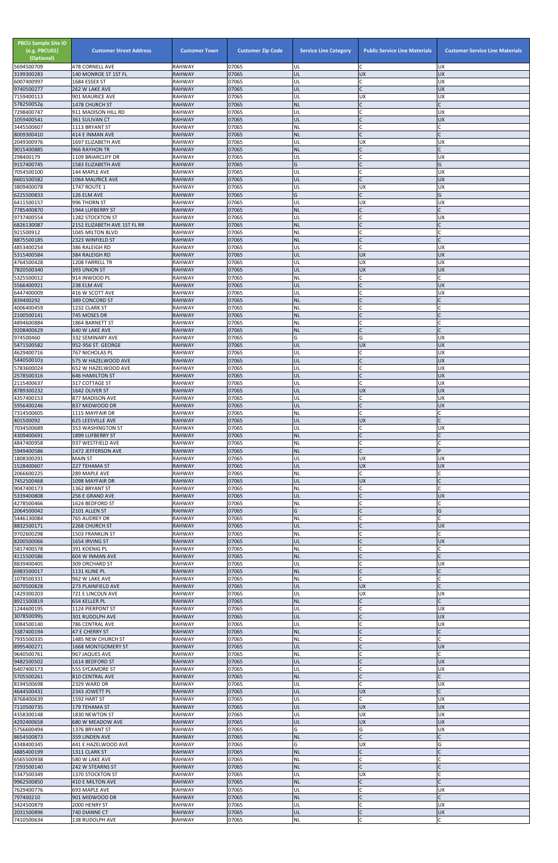| <b>PBCU Sample Site ID</b><br>(e.g. PBCU01)<br>(Optional) | <b>Customer Street Address</b>           | <b>Customer Town</b>           | <b>Customer Zip Code</b> | <b>Service Line Category</b> | <b>Public Service Line Materials</b> | <b>Customer Service Line Materials</b> |
|-----------------------------------------------------------|------------------------------------------|--------------------------------|--------------------------|------------------------------|--------------------------------------|----------------------------------------|
| 5694500709<br>3199300283                                  | 478 CORNELL AVE<br>140 MONROE ST 1ST FL  | <b>RAHWAY</b><br><b>RAHWAY</b> | 07065<br>07065           | UL<br>UL                     | C<br><b>UX</b>                       | <b>UX</b><br><b>UX</b>                 |
| 6007400997                                                | 1684 ESSEX ST                            | <b>RAHWAY</b>                  | 07065                    | UL                           | C                                    | <b>UX</b>                              |
| 9740500277<br>7159400113                                  | 262 W LAKE AVE<br>901 MAURICE AVE        | <b>RAHWAY</b><br><b>RAHWAY</b> | 07065<br>07065           | UL<br>UL                     | $\mathsf C$<br><b>UX</b>             | <b>UX</b><br><b>UX</b>                 |
| 5782500526                                                | 1478 CHURCH ST                           | <b>RAHWAY</b>                  | 07065                    | <b>NL</b>                    | $\mathsf{C}$                         | $\mathsf{C}$                           |
| 7298400747<br>1059400541                                  | 911 MADISON HILL RD<br>361 SULIVAN CT    | <b>RAHWAY</b><br><b>RAHWAY</b> | 07065<br>07065           | UL<br>UL                     | $\sqrt{ }$<br>$\mathsf{C}$           | <b>UX</b><br><b>UX</b>                 |
| 3445500607                                                | 1113 BRYANT ST                           | <b>RAHWAY</b>                  | 07065                    | <b>NL</b>                    | $\mathsf{C}$                         |                                        |
| 8009300410<br>2049300976                                  | 414 E INMAN AVE<br>1697 ELIZABETH AVE    | <b>RAHWAY</b><br><b>RAHWAY</b> | 07065<br>07065           | <b>NL</b><br>UL              | $\mathsf{C}$<br><b>UX</b>            | $\mathsf{C}$<br><b>UX</b>              |
| 9015400885                                                | 966 RAYHON TR                            | <b>RAHWAY</b>                  | 07065                    | <b>NL</b>                    | $\mathsf{C}$                         | $\mathsf{C}$                           |
| 298400179                                                 | 1109 BRIARCLIFF DR                       | <b>RAHWAY</b>                  | 07065                    | UL                           | $\mathsf{C}$<br>$\mathcal{C}$        | <b>UX</b>                              |
| 9157400745<br>7054500100                                  | 1583 ELIZABETH AVE<br>144 MAPLE AVE      | <b>RAHWAY</b><br><b>RAHWAY</b> | 07065<br>07065           | G<br>UL                      |                                      | G<br><b>UX</b>                         |
| 6601500582                                                | <b>1064 MAURICE AVE</b>                  | <b>RAHWAY</b>                  | 07065                    | UL                           | $\sqrt{ }$                           | <b>UX</b>                              |
| 3809400078<br>6225500833                                  | 1747 ROUTE 1<br>126 ELM AVE              | <b>RAHWAY</b><br><b>RAHWAY</b> | 07065<br>07065           | UL<br>G                      | <b>UX</b><br>$\mathsf{C}$            | <b>UX</b><br>G                         |
| 6411500157                                                | 996 THORN ST                             | <b>RAHWAY</b>                  | 07065                    | UL                           | <b>UX</b>                            | <b>UX</b>                              |
| 7785400870<br>9737400554                                  | 1944 LUFBERRY ST<br>1282 STOCKTON ST     | <b>RAHWAY</b><br><b>RAHWAY</b> | 07065<br>07065           | <b>NL</b><br>UL              | $\mathsf{C}$<br>$\mathsf{C}$         | <b>UX</b>                              |
| 6826130087                                                | 2152 ELIZABETH AVE 1ST FL RR             | <b>RAHWAY</b>                  | 07065                    | <b>NL</b>                    | $\mathsf{C}$                         | $\mathsf{C}$                           |
| 921500912<br>8875500185                                   | 1045 MILTON BLVD<br>2323 WINFIELD ST     | <b>RAHWAY</b><br><b>RAHWAY</b> | 07065<br>07065           | NL<br><b>NL</b>              | $\mathsf{C}$                         | $\mathsf{C}$                           |
| 4853400254                                                | 386 RALEIGH RD                           | <b>RAHWAY</b>                  | 07065                    | UL                           | $\mathsf{C}$                         | <b>UX</b>                              |
| 5315400584<br>4764500428                                  | 384 RALEIGH RD<br>1208 FARRELL TR        | <b>RAHWAY</b><br><b>RAHWAY</b> | 07065<br>07065           | UL<br>UL                     | <b>UX</b><br>UX                      | <b>UX</b><br><b>UX</b>                 |
| 7820500340                                                | 393 UNION ST                             | <b>RAHWAY</b>                  | 07065                    | UL                           | <b>UX</b>                            | <b>UX</b>                              |
| 5325500012                                                | 914 INWOOD PL                            | <b>RAHWAY</b><br><b>RAHWAY</b> | 07065<br>07065           | NL<br>UL                     | $\mathsf{C}$<br>$\mathsf{C}$         | $\mathsf{C}$<br><b>UX</b>              |
| 5566400921<br>6447400009                                  | 238 ELM AVE<br>416 W SCOTT AVE           | <b>RAHWAY</b>                  | 07065                    | UL                           | $\mathsf{C}$                         | <b>UX</b>                              |
| 839400292                                                 | 389 CONCORD ST                           | <b>RAHWAY</b>                  | 07065                    | <b>NL</b>                    |                                      |                                        |
| 4006400459<br>2100500141                                  | 1232 CLARK ST<br>745 MOSES DR            | <b>RAHWAY</b><br><b>RAHWAY</b> | 07065<br>07065           | NL<br><b>NL</b>              | $\overline{C}$                       |                                        |
| 4894600884                                                | 1864 BARNETT ST                          | <b>RAHWAY</b>                  | 07065                    | NL                           | $\mathsf{C}$                         | C                                      |
| 9208400629<br>974500460                                   | 640 W LAKE AVE<br>332 SEMINARY AVE       | <b>RAHWAY</b><br><b>RAHWAY</b> | 07065<br>07065           | <b>NL</b><br>G               | $\mathsf{C}$<br>G                    | <b>UX</b>                              |
| 5471500582                                                | 952-956 ST. GEORGE                       | <b>RAHWAY</b>                  | 07065                    | UL                           | <b>UX</b>                            | <b>UX</b>                              |
| 4629400716<br>5440500103                                  | 767 NICHOLAS PL<br>575 W HAZELWOOD AVE   | RAHWAY<br><b>RAHWAY</b>        | 07065<br>07065           | UL<br>UL                     | $\mathsf{C}$                         | UX.<br><b>UX</b>                       |
| 5783600024                                                | 652 W HAZELWOOD AVE                      | <b>RAHWAY</b>                  | 07065                    | UL                           |                                      | <b>UX</b>                              |
| 2578500316<br>2115400637                                  | <b>646 HAMILTON ST</b><br>317 COTTAGE ST | <b>RAHWAY</b><br><b>RAHWAY</b> | 07065<br>07065           | UL<br>UL                     | $\mathsf{C}$                         | <b>UX</b><br><b>UX</b>                 |
| 8789300232                                                | 1642 OLIVER ST                           | <b>RAHWAY</b>                  | 07065                    | UL                           | <b>UX</b>                            | <b>UX</b>                              |
| 4357400153                                                | 877 MADISON AVE                          | <b>RAHWAY</b>                  | 07065                    | UL                           | C                                    | <b>UX</b>                              |
| 5956400246<br>7314500605                                  | 837 MIDWOOD DR<br>1115 MAYFAIR DR        | <b>RAHWAY</b><br><b>RAHWAY</b> | 07065<br>07065           | UL<br><b>NL</b>              | $\mathsf{C}$<br>$\mathsf{C}$         | <b>UX</b><br>$\mathsf{C}$              |
| 401500092                                                 | 625 LEESVILLE AVE                        | <b>RAHWAY</b>                  | 07065                    | UL                           | <b>UX</b>                            | $\mathsf{C}$                           |
| 7034500689<br>4309400691                                  | 353 WASHINGTON ST<br>1899 LUFBERRY ST    | <b>RAHWAY</b><br><b>RAHWAY</b> | 07065<br>07065           | UL<br><b>NL</b>              | $\mathsf{C}$                         | <b>UX</b>                              |
| 4847400958                                                | 937 WESTFIELD AVE                        | <b>RAHWAY</b>                  | 07065                    | <b>NL</b>                    | $\mathsf{C}$                         |                                        |
| 5949400586<br>1808300291                                  | 1472 JEFFERSON AVE<br><b>MAIN ST</b>     | <b>RAHWAY</b><br><b>RAHWAY</b> | 07065<br>07065           | <b>NL</b><br>UL              | $\mathsf{C}$<br><b>UX</b>            | P<br><b>UX</b>                         |
| 1528400607                                                | 227 TEHAMA ST                            | <b>RAHWAY</b>                  | 07065                    | UL                           | <b>UX</b>                            | <b>UX</b>                              |
| 2066600225<br>7452500468                                  | 289 MAPLE AVE<br>1098 MAYFAIR DR         | <b>RAHWAY</b><br><b>RAHWAY</b> | 07065<br>07065           | <b>NL</b><br>UL              | $\mathsf{C}$<br><b>UX</b>            |                                        |
| 9047400173                                                | 1362 BRYANT ST                           | <b>RAHWAY</b>                  | 07065                    | ΝL                           | C                                    |                                        |
| 5339400808<br>4278500466                                  | 256 E GRAND AVE<br>1624 BEDFORD ST       | <b>RAHWAY</b><br><b>RAHWAY</b> | 07065<br>07065           | UL<br>NL                     | $\mathsf{C}$<br>$\mathsf{C}$         | <b>UX</b>                              |
| 2064500042                                                | 2101 ALLEN ST                            | <b>RAHWAY</b>                  | 07065                    | G                            |                                      | G                                      |
| 5446130084<br>8832500171                                  | 765 AUDREY DR<br>2268 CHURCH ST          | <b>RAHWAY</b><br><b>RAHWAY</b> | 07065<br>07065           | NL<br>UL                     | $\mathsf{C}$                         | <b>UX</b>                              |
| 9702600298                                                | <b>1503 FRANKLIN ST</b>                  | <b>RAHWAY</b>                  | 07065                    | <b>NL</b>                    | $\mathsf{C}$                         |                                        |
| 8200500066<br>5817400578                                  | 1654 IRVING ST<br>391 KOENIG PL          | <b>RAHWAY</b><br><b>RAHWAY</b> | 07065<br>07065           | UL<br><b>NL</b>              | $\mathcal{C}$                        | <b>UX</b><br>$\mathsf{C}$              |
| 4115500586                                                | 604 W INMAN AVE                          | <b>RAHWAY</b>                  | 07065                    | <b>NL</b>                    | $\mathcal{C}$                        |                                        |
| 8839400405<br>6983500017                                  | 309 ORCHARD ST                           | <b>RAHWAY</b><br><b>RAHWAY</b> | 07065<br>07065           | UL<br><b>NL</b>              | $\mathsf{C}$<br>$\overline{C}$       | <b>UX</b>                              |
| 1078500331                                                | 1131 KLINE PL<br>962 W LAKE AVE          | <b>RAHWAY</b>                  | 07065                    | <b>NL</b>                    | $\mathsf{C}$                         |                                        |
| 6070500828                                                | 273 PLAINFIELD AVE                       | <b>RAHWAY</b>                  | 07065                    | UL                           | <b>UX</b>                            |                                        |
| 1429300203<br>8921500819                                  | 721 E LINCOLN AVE<br>654 KELLER PL       | <b>RAHWAY</b><br><b>RAHWAY</b> | 07065<br>07065           | UL<br><b>NL</b>              | <b>UX</b><br>$\mathsf{C}$            | <b>UX</b>                              |
| 1244600195                                                | 1124 PIERPONT ST                         | <b>RAHWAY</b>                  | 07065                    | UL                           | $\mathsf{C}$                         | <b>UX</b>                              |
| 3078500995<br>3084500140                                  | 301 RUDOLPH AVE<br>786 CENTRAL AVE       | <b>RAHWAY</b><br><b>RAHWAY</b> | 07065<br>07065           | UL<br>UL                     |                                      | <b>UX</b><br><b>UX</b>                 |
| 3387400194                                                | 47 E CHERRY ST                           | <b>RAHWAY</b>                  | 07065                    | <b>NL</b>                    | $\mathsf{C}$                         | $\mathsf{C}$                           |
| 7935500335<br>8995400271                                  | 1485 NEW CHURCH ST<br>1668 MONTGOMERY ST | <b>RAHWAY</b><br><b>RAHWAY</b> | 07065<br>07065           | NL<br>UL                     | $\mathsf{C}$<br>$\mathsf{C}$         | <b>UX</b>                              |
| 9640500761                                                | 967 JAQUES AVE                           | <b>RAHWAY</b>                  | 07065                    | NL                           |                                      |                                        |
| 9482500502<br>6407400173                                  | 1614 BEDFORD ST<br>555 SYCAMORE ST       | <b>RAHWAY</b><br><b>RAHWAY</b> | 07065<br>07065           | UL<br>UL                     |                                      | <b>UX</b><br><b>UX</b>                 |
| 5705500261                                                | 810 CENTRAL AVE                          | <b>RAHWAY</b>                  | 07065                    | <b>NL</b>                    | $\mathsf{C}$                         |                                        |
| 8194500698<br>4644500431                                  | 2329 WARD DR<br>2343 JOWETT PL           | <b>RAHWAY</b><br><b>RAHWAY</b> | 07065<br>07065           | UL<br>UL                     | C<br><b>UX</b>                       | <b>UX</b><br>$\mathsf{C}$              |
| 8768400639                                                | 1592 HART ST                             | <b>RAHWAY</b>                  | 07065                    | <b>UL</b>                    | $\mathsf{C}$                         | <b>UX</b>                              |
| 7110500735<br>4358300148                                  | 179 TEHAMA ST<br>1830 NEWTON ST          | <b>RAHWAY</b><br><b>RAHWAY</b> | 07065<br>07065           | UL<br>UL                     | <b>UX</b><br><b>UX</b>               | <b>UX</b><br><b>UX</b>                 |
| 4292400658                                                | 680 W MEADOW AVE                         | <b>RAHWAY</b>                  | 07065                    | UL                           | <b>UX</b>                            | <b>UX</b>                              |
| 5756600494                                                | 1376 BRYANT ST                           | <b>RAHWAY</b>                  | 07065                    | G<br><b>NL</b>               | G<br>$\mathsf{C}$                    | <b>UX</b><br>$\mathsf{C}$              |
| 8654500873<br>4348400345                                  | 359 LINDEN AVE<br>441 E HAZELWOOD AVE    | <b>RAHWAY</b><br><b>RAHWAY</b> | 07065<br>07065           | G                            | <b>UX</b>                            | G                                      |
| 4885400199                                                | 1311 CLARK ST                            | <b>RAHWAY</b>                  | 07065                    | <b>NL</b>                    | $\mathsf{C}$                         |                                        |
| 6565500938<br>7293500140                                  | 580 W LAKE AVE<br>242 W STEARNS ST       | <b>RAHWAY</b><br><b>RAHWAY</b> | 07065<br>07065           | <b>NL</b><br><b>NL</b>       | $\mathsf{C}$<br>$\mathsf{C}$         | C                                      |
| 5347500349                                                | 1370 STOCKTON ST                         | RAHWAY                         | 07065                    | UL                           | <b>UX</b>                            |                                        |
| 9962500850<br>7629400776                                  | 410 E MILTON AVE<br>693 MAPLE AVE        | <b>RAHWAY</b><br><b>RAHWAY</b> | 07065<br>07065           | <b>NL</b><br>UL              | $\mathsf{C}$                         | <b>UX</b>                              |
| 797400210                                                 | 901 MIDWOOD DR                           | <b>RAHWAY</b>                  | 07065                    | <b>NL</b>                    | $\mathsf{C}$                         | $\mathsf{C}$                           |
| 3424500879<br>2031500896                                  | 2000 HENRY ST<br>740 DIANNE CT           | <b>RAHWAY</b><br><b>RAHWAY</b> | 07065<br>07065           | UL<br>UL                     |                                      | <b>UX</b><br><b>UX</b>                 |
| 7410500634                                                | 138 RUDOLPH AVE                          | RAHWAY                         | 07065                    | NL                           | C                                    | $\mathsf{C}$                           |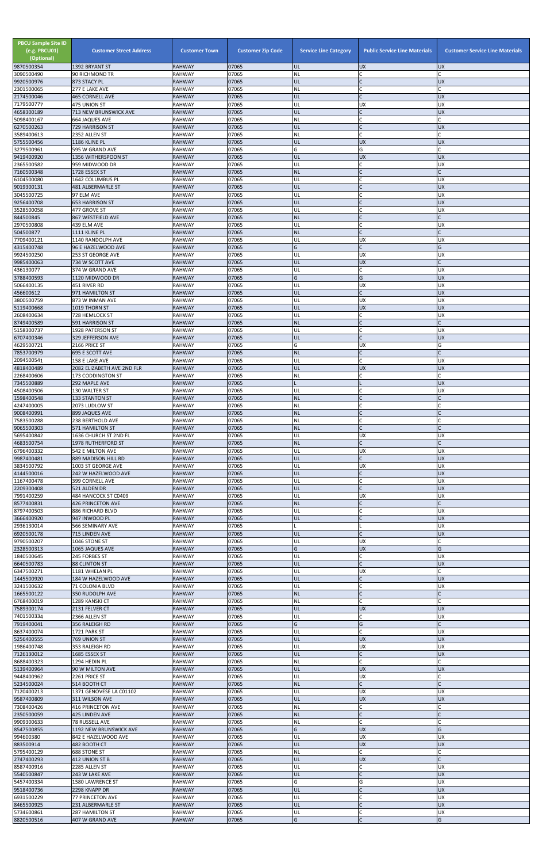| <b>PBCU Sample Site ID</b><br>(e.g. PBCU01)<br>(Optional)<br>9870500354 | <b>Customer Street Address</b><br>1392 BRYANT ST | <b>Customer Town</b><br><b>RAHWAY</b> | <b>Customer Zip Code</b><br>07065 | <b>Service Line Category</b><br>UL | <b>Public Service Line Materials</b><br><b>UX</b> | <b>Customer Service Line Materials</b><br><b>UX</b> |
|-------------------------------------------------------------------------|--------------------------------------------------|---------------------------------------|-----------------------------------|------------------------------------|---------------------------------------------------|-----------------------------------------------------|
| 3090500490                                                              | 90 RICHMOND TR                                   | <b>RAHWAY</b>                         | 07065                             | <b>NL</b>                          | C                                                 |                                                     |
| 9920500976                                                              | 873 STACY PL<br>277 E LAKE AVE                   | <b>RAHWAY</b>                         | 07065<br>07065                    | UL<br>NL                           | $\mathsf{C}$<br>C                                 | <b>UX</b>                                           |
| 2301500065<br>2174500046                                                | <b>465 CORNELL AVE</b>                           | <b>RAHWAY</b><br><b>RAHWAY</b>        | 07065                             | UL                                 | $\mathsf{C}$                                      | <b>UX</b>                                           |
| 7179500777<br>4658300189                                                | 475 UNION ST<br>713 NEW BRUNSWICK AVE            | <b>RAHWAY</b><br><b>RAHWAY</b>        | 07065<br>07065                    | UL<br>UL                           | <b>UX</b><br>$\mathsf{C}$                         | <b>UX</b><br><b>UX</b>                              |
| 5098400167                                                              | 664 JAQUES AVE                                   | <b>RAHWAY</b>                         | 07065                             | <b>NL</b>                          | $\mathsf{C}$                                      |                                                     |
| 6270500263                                                              | 729 HARRISON ST                                  | <b>RAHWAY</b>                         | 07065                             | UL                                 | $\mathsf{C}$                                      | <b>UX</b>                                           |
| 3589400613<br>5755500456                                                | 2352 ALLEN ST<br>1186 KLINE PL                   | <b>RAHWAY</b><br><b>RAHWAY</b>        | 07065<br>07065                    | <b>NL</b><br>UL                    | $\mathsf{C}$<br><b>UX</b>                         | <b>UX</b>                                           |
| 3279500961                                                              | 595 W GRAND AVE                                  | <b>RAHWAY</b>                         | 07065                             | G                                  | G                                                 | C                                                   |
| 9419400920<br>2365500582                                                | 1356 WITHERSPOON ST<br>959 MIDWOOD DR            | <b>RAHWAY</b><br><b>RAHWAY</b>        | 07065<br>07065                    | UL<br>UL                           | <b>UX</b><br>$\mathsf{C}$                         | <b>UX</b><br><b>UX</b>                              |
| 7160500348                                                              | 1728 ESSEX ST                                    | <b>RAHWAY</b>                         | 07065                             | <b>NL</b>                          |                                                   | $\mathsf{C}$                                        |
| 6104500080                                                              | 1642 COLUMBUS PL                                 | <b>RAHWAY</b>                         | 07065<br>07065                    | UL<br>UL                           | $\mathsf{C}$<br>$\mathsf{C}$                      | <b>UX</b><br><b>UX</b>                              |
| 9019300131<br>3045500725                                                | 481 ALBERMARLE ST<br>97 ELM AVE                  | <b>RAHWAY</b><br><b>RAHWAY</b>        | 07065                             | UL                                 | C                                                 | <b>UX</b>                                           |
| 9256400708                                                              | <b>653 HARRISON ST</b>                           | <b>RAHWAY</b>                         | 07065                             | UL                                 |                                                   | <b>UX</b>                                           |
| 3528500058<br>844500845                                                 | 477 GROVE ST<br>867 WESTFIELD AVE                | <b>RAHWAY</b><br><b>RAHWAY</b>        | 07065<br>07065                    | UL<br><b>NL</b>                    | $\mathsf{C}$                                      | <b>UX</b><br>$\mathsf{C}$                           |
| 2970500808                                                              | 439 ELM AVE                                      | <b>RAHWAY</b>                         | 07065                             | UL                                 | C                                                 | <b>UX</b>                                           |
| 504500877<br>7709400121                                                 | 1111 KLINE PL<br>1140 RANDOLPH AVE               | <b>RAHWAY</b><br><b>RAHWAY</b>        | 07065<br>07065                    | <b>NL</b><br>UL                    | $\mathsf{C}$<br><b>UX</b>                         | <b>UX</b>                                           |
| 4315400748                                                              | 96 E HAZELWOOD AVE                               | <b>RAHWAY</b>                         | 07065                             | G                                  | $\mathsf{C}$                                      | G                                                   |
| 9924500250                                                              | 253 ST GEORGE AVE                                | <b>RAHWAY</b>                         | 07065                             | UL<br>UL                           | <b>UX</b><br><b>UX</b>                            | <b>UX</b>                                           |
| 9985400063<br>436130077                                                 | 734 W SCOTT AVE<br>374 W GRAND AVE               | <b>RAHWAY</b><br><b>RAHWAY</b>        | 07065<br>07065                    | UL                                 | $\mathsf{C}$                                      | <b>UX</b>                                           |
| 3788400593                                                              | 1120 MIDWOOD DR                                  | <b>RAHWAY</b>                         | 07065                             | G                                  | G                                                 | <b>UX</b>                                           |
| 5066400135<br>456600612                                                 | 451 RIVER RD<br>971 HAMILTON ST                  | <b>RAHWAY</b><br><b>RAHWAY</b>        | 07065<br>07065                    | UL<br>UL                           | UX<br>$\mathsf{C}$                                | <b>UX</b><br><b>UX</b>                              |
| 3800500759                                                              | 873 W INMAN AVE                                  | <b>RAHWAY</b>                         | 07065                             | UL                                 | UX                                                | <b>UX</b>                                           |
| 5119400668                                                              | 1019 THORN ST                                    | <b>RAHWAY</b>                         | 07065                             | UL                                 | <b>UX</b>                                         | <b>UX</b>                                           |
| 2608400634<br>8749400589                                                | 728 HEMLOCK ST<br>591 HARRISON ST                | <b>RAHWAY</b><br><b>RAHWAY</b>        | 07065<br>07065                    | UL<br><b>NL</b>                    | C<br>$\mathsf{C}$                                 | <b>UX</b><br>$\mathsf{C}$                           |
| 5158300737                                                              | 1928 PATERSON ST                                 | <b>RAHWAY</b>                         | 07065                             | UL                                 | $\mathsf{C}$                                      | <b>UX</b>                                           |
| 6707400346<br>4629500721                                                | 329 JEFFERSON AVE<br>2166 PRICE ST               | <b>RAHWAY</b><br><b>RAHWAY</b>        | 07065<br>07065                    | UL<br>G                            | $\mathsf{C}$<br><b>UX</b>                         | <b>UX</b><br>G                                      |
| 7853700979                                                              | <b>695 E SCOTT AVE</b>                           | <b>RAHWAY</b>                         | 07065                             | <b>NL</b>                          |                                                   |                                                     |
| 2094500541                                                              | 158 E LAKE AVE                                   | <b>RAHWAY</b>                         | 07065                             | UL                                 | $\mathsf{C}$                                      | <b>UX</b>                                           |
| 4818400489<br>2268400606                                                | 2082 ELIZABETH AVE 2ND FLR<br>173 CODDINGTON ST  | <b>RAHWAY</b><br><b>RAHWAY</b>        | 07065<br>07065                    | UL<br><b>NL</b>                    | <b>UX</b>                                         | <b>UX</b>                                           |
| 7345500889                                                              | 292 MAPLE AVE                                    | <b>RAHWAY</b>                         | 07065                             |                                    |                                                   | <b>UX</b>                                           |
| 4508400506<br>1598400548                                                | 130 WALTER ST<br><b>133 STANTON ST</b>           | <b>RAHWAY</b><br><b>RAHWAY</b>        | 07065<br>07065                    | UL<br><b>NL</b>                    | $\mathsf{C}$<br>$\mathsf{C}$                      | <b>UX</b>                                           |
| 4247400005                                                              | 2073 LUDLOW ST                                   | <b>RAHWAY</b>                         | 07065                             | <b>NL</b>                          |                                                   |                                                     |
| 9008400991                                                              | 899 JAQUES AVE                                   | <b>RAHWAY</b>                         | 07065                             | <b>NL</b>                          | $\mathsf{C}$                                      |                                                     |
| 7583500288<br>9065500303                                                | 238 BERTHOLD AVE<br>571 HAMILTON ST              | <b>RAHWAY</b><br><b>RAHWAY</b>        | 07065<br>07065                    | ΝL<br><b>NL</b>                    | $\mathsf{C}$                                      |                                                     |
| 5695400842                                                              | 1636 CHURCH ST 2ND FL                            | <b>RAHWAY</b>                         | 07065                             | UL                                 | <b>UX</b>                                         | <b>UX</b>                                           |
| 4683500754<br>6796400332                                                | <b>1978 RUTHERFORD ST</b><br>542 E MILTON AVE    | <b>RAHWAY</b><br><b>RAHWAY</b>        | 07065<br>07065                    | <b>NL</b><br>UL                    | $\mathsf{C}$<br><b>UX</b>                         | <b>UX</b>                                           |
| 9987400481                                                              | 889 MADISON HILL RD                              | <b>RAHWAY</b>                         | 07065                             | UL                                 | $\mathsf{C}$                                      | <b>UX</b>                                           |
| 3834500792<br>4144500016                                                | 1003 ST GEORGE AVE<br>242 W HAZELWOOD AVE        | <b>RAHWAY</b><br><b>RAHWAY</b>        | 07065<br>07065                    | UL<br>UL                           | <b>UX</b>                                         | <b>UX</b><br><b>UX</b>                              |
| 1167400478                                                              | 399 CORNELL AVE                                  | <b>RAHWAY</b>                         | 07065                             | UL                                 | $\mathsf{C}$                                      | <b>UX</b>                                           |
| 2209300408                                                              | 521 ALDEN DR                                     | <b>RAHWAY</b>                         | 07065                             | UL                                 | $\mathsf{C}$                                      | <b>UX</b>                                           |
| 7991400259<br>8577400831                                                | 484 HANCOCK ST C0409<br><b>426 PRINCETON AVE</b> | <b>RAHWAY</b><br><b>RAHWAY</b>        | 07065<br>07065                    | UL<br><b>NL</b>                    | <b>UX</b><br>$\mathsf{C}$                         | <b>UX</b>                                           |
| 8797400503                                                              | 886 RICHARD BLVD                                 | <b>RAHWAY</b>                         | 07065                             | UL                                 | $\mathsf{C}$                                      | <b>UX</b>                                           |
| 3666400920<br>2936130014                                                | 947 INWOOD PL<br>566 SEMINARY AVE                | <b>RAHWAY</b><br><b>RAHWAY</b>        | 07065<br>07065                    | UL                                 | $\mathsf{C}$                                      | <b>UX</b><br><b>UX</b>                              |
| 6920500178                                                              | 715 LINDEN AVE                                   | <b>RAHWAY</b>                         | 07065                             | UL                                 | $\mathsf{C}$                                      | <b>UX</b>                                           |
| 9790500207                                                              | 1046 STONE ST                                    | <b>RAHWAY</b>                         | 07065                             | UL<br>G                            | <b>UX</b>                                         | G                                                   |
| 2328500313<br>1840500645                                                | 1065 JAQUES AVE<br>245 FORBES ST                 | <b>RAHWAY</b><br><b>RAHWAY</b>        | 07065<br>07065                    | UL                                 | <b>UX</b><br>C                                    | <b>UX</b>                                           |
| 6640500783                                                              | 88 CLINTON ST                                    | <b>RAHWAY</b>                         | 07065                             | UL                                 | $\mathsf{C}$                                      | <b>UX</b>                                           |
| 6347500271<br>1445500920                                                | 1181 WHELAN PL<br>184 W HAZELWOOD AVE            | <b>RAHWAY</b><br><b>RAHWAY</b>        | 07065<br>07065                    | UL<br>UL                           | <b>UX</b><br>$\mathsf{C}$                         | <b>UX</b>                                           |
| 3241500632                                                              | 71 COLONIA BLVD                                  | <b>RAHWAY</b>                         | 07065                             | UL                                 | $\mathsf{C}$                                      | <b>UX</b>                                           |
| 1665500122<br>6768400019                                                | 350 RUDOLPH AVE<br>1289 KANSKI CT                | <b>RAHWAY</b><br><b>RAHWAY</b>        | 07065<br>07065                    | <b>NL</b><br>NL                    | $\mathsf{C}$<br>C                                 | $\mathsf{C}$                                        |
| 7589300174                                                              | 2131 FELVER CT                                   | <b>RAHWAY</b>                         | 07065                             | UL                                 | <b>UX</b>                                         | <b>UX</b>                                           |
| 7401500334                                                              | 2366 ALLEN ST                                    | <b>RAHWAY</b>                         | 07065                             | UL                                 | $\mathsf{C}$                                      | <b>UX</b>                                           |
| 7919400041<br>8637400074                                                | 356 RALEIGH RD<br>1721 PARK ST                   | <b>RAHWAY</b><br><b>RAHWAY</b>        | 07065<br>07065                    | G<br>UL                            | G<br>$\mathsf{C}$                                 | <b>UX</b>                                           |
| 5256400555                                                              | 769 UNION ST                                     | <b>RAHWAY</b>                         | 07065                             | UL                                 | <b>UX</b>                                         | <b>UX</b>                                           |
| 1986400748<br>7126130012                                                | 353 RALEIGH RD<br>1685 ESSEX ST                  | RAHWAY<br><b>RAHWAY</b>               | 07065<br>07065                    | UL<br>UL                           | <b>UX</b>                                         | <b>UX</b><br><b>UX</b>                              |
| 8688400323                                                              | 1294 HEDIN PL                                    | <b>RAHWAY</b>                         | 07065                             | NL                                 |                                                   |                                                     |
| 5139400964                                                              | 90 W MILTON AVE                                  | <b>RAHWAY</b>                         | 07065                             | UL                                 | <b>UX</b>                                         | <b>IDX</b>                                          |
| 9448400962<br>5234500024                                                | 2261 PRICE ST<br>514 BOOTH CT                    | <b>RAHWAY</b><br><b>RAHWAY</b>        | 07065<br>07065                    | UL<br><b>NL</b>                    | <b>UX</b><br>$\mathsf{C}$                         |                                                     |
| 7120400213                                                              | 1371 GENOVESE LA C01102                          | RAHWAY                                | 07065                             | UL                                 | <b>UX</b>                                         | <b>UX</b>                                           |
| 9587400809<br>7308400426                                                | 311 WILSON AVE<br>416 PRINCETON AVE              | <b>RAHWAY</b><br><b>RAHWAY</b>        | 07065<br>07065                    | <b>UL</b><br>NL                    | <b>UX</b><br>C                                    | <b>UX</b>                                           |
| 2350500059                                                              | 425 LINDEN AVE                                   | <b>RAHWAY</b>                         | 07065                             | <b>NL</b>                          | $\mathsf{C}$                                      |                                                     |
| 9909300633                                                              | 78 RUSSELL AVE                                   | <b>RAHWAY</b>                         | 07065<br>07065                    | <b>NL</b><br>G                     | $\mathsf{C}$<br><b>UX</b>                         | G                                                   |
| 8547500855<br>994600380                                                 | 1192 NEW BRUNSWICK AVE<br>842 E HAZELWOOD AVE    | <b>RAHWAY</b><br>RAHWAY               | 07065                             | UL                                 | <b>UX</b>                                         | <b>UX</b>                                           |
| 883500914                                                               | 482 BOOTH CT                                     | <b>RAHWAY</b>                         | 07065                             | UL                                 | <b>UX</b>                                         | <b>UX</b>                                           |
| 5795400129<br>2747400293                                                | 688 STONE ST<br>412 UNION ST B                   | <b>RAHWAY</b><br><b>RAHWAY</b>        | 07065<br>07065                    | <b>NL</b><br>UL                    | $\mathsf{C}$<br><b>UX</b>                         |                                                     |
| 8587400916                                                              | 2285 ALLEN ST                                    | RAHWAY                                | 07065                             | UL                                 | $\mathsf{C}$                                      | <b>UX</b>                                           |
| 5540500847                                                              | 243 W LAKE AVE                                   | <b>RAHWAY</b>                         | 07065                             | UL                                 | $\mathsf{C}$                                      | <b>UX</b>                                           |
| 5457400334<br>9518400736                                                | 1580 LAWRENCE ST<br>2298 KNAPP DR                | <b>RAHWAY</b><br><b>RAHWAY</b>        | 07065<br>07065                    | G<br>UL                            | G                                                 | <b>UX</b><br><b>UX</b>                              |
| 6931500229                                                              | 77 PRINCETON AVE                                 | <b>RAHWAY</b>                         | 07065                             | UL                                 |                                                   | <b>UX</b>                                           |
| 8465500925<br>5734600861                                                | 231 ALBERMARLE ST<br>287 HAMILTON ST             | <b>RAHWAY</b><br><b>RAHWAY</b>        | 07065<br>07065                    | UL<br>UL                           | $\mathsf{C}$<br>$\mathsf C$                       | <b>UX</b><br>UX                                     |
| 8820500516                                                              | 407 W GRAND AVE                                  | <b>RAHWAY</b>                         | 07065                             | G                                  | $\mathsf C$                                       | G                                                   |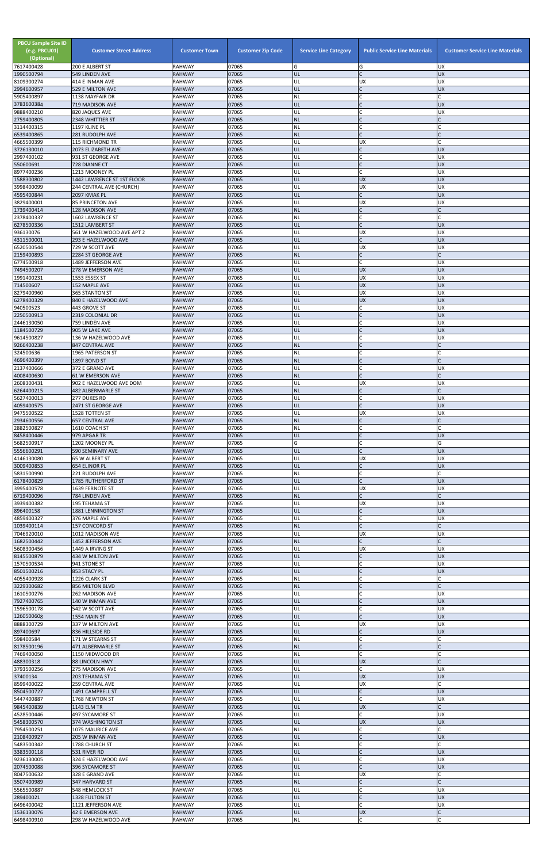| <b>PBCU Sample Site ID</b><br>(e.g. PBCU01)<br>(Optional)<br>7617400428 | <b>Customer Street Address</b><br>200 E ALBERT ST  | <b>Customer Town</b><br><b>RAHWAY</b> | <b>Customer Zip Code</b><br>07065 | <b>Service Line Category</b><br>G | <b>Public Service Line Materials</b><br>G | <b>Customer Service Line Materials</b><br><b>UX</b> |
|-------------------------------------------------------------------------|----------------------------------------------------|---------------------------------------|-----------------------------------|-----------------------------------|-------------------------------------------|-----------------------------------------------------|
| 1990500794                                                              | 549 LINDEN AVE                                     | <b>RAHWAY</b>                         | 07065                             | UL                                | $\mathsf{C}$                              | <b>UX</b>                                           |
| 8109300274<br>2994600957                                                | 414 E INMAN AVE                                    | <b>RAHWAY</b><br><b>RAHWAY</b>        | 07065<br>07065                    | UL<br>UL                          | <b>UX</b><br>IC.                          | <b>UX</b><br><b>UX</b>                              |
| 5905400897                                                              | 529 E MILTON AVE<br>1138 MAYFAIR DR                | <b>RAHWAY</b>                         | 07065                             | <b>NL</b>                         |                                           |                                                     |
| 3783600384<br>9888400210                                                | 719 MADISON AVE                                    | <b>RAHWAY</b><br><b>RAHWAY</b>        | 07065<br>07065                    | UL<br>UL                          | $\mathsf{C}$                              | <b>UX</b><br><b>UX</b>                              |
| 2759400805                                                              | 820 JAQUES AVE<br>2348 WHITTIER ST                 | <b>RAHWAY</b>                         | 07065                             | <b>NL</b>                         | $\mathsf{C}$                              |                                                     |
| 3114400315                                                              | 1197 KLINE PL                                      | <b>RAHWAY</b>                         | 07065                             | NL                                | C                                         |                                                     |
| 6539400865<br>4665500399                                                | 281 RUDOLPH AVE<br>115 RICHMOND TR                 | <b>RAHWAY</b><br><b>RAHWAY</b>        | 07065<br>07065                    | <b>NL</b><br>UL                   | <b>UX</b>                                 |                                                     |
| 3726130010                                                              | 2073 ELIZABETH AVE                                 | <b>RAHWAY</b>                         | 07065                             | UL                                | $\mathsf{C}$                              | <b>UX</b>                                           |
| 2997400102<br>550600691                                                 | 931 ST GEORGE AVE<br>728 DIANNE CT                 | <b>RAHWAY</b><br><b>RAHWAY</b>        | 07065<br>07065                    | UL<br>UL                          | $\mathsf{C}$<br>$\mathsf{C}$              | <b>UX</b><br><b>UX</b>                              |
| 8977400236                                                              | 1213 MOONEY PL                                     | <b>RAHWAY</b>                         | 07065                             | UL                                | $\mathsf{C}$                              | <b>UX</b>                                           |
| 1588300802                                                              | 1442 LAWRENCE ST 1ST FLOOR                         | <b>RAHWAY</b>                         | 07065                             | UL                                | <b>UX</b>                                 | <b>UX</b>                                           |
| 3998400099<br>4595400844                                                | 244 CENTRAL AVE (CHURCH)<br>2097 KMAK PL           | <b>RAHWAY</b><br><b>RAHWAY</b>        | 07065<br>07065                    | UL<br>UL                          | <b>UX</b><br>$\mathsf{C}$                 | <b>UX</b><br><b>UX</b>                              |
| 3829400001                                                              | <b>85 PRINCETON AVE</b>                            | <b>RAHWAY</b>                         | 07065                             | UL                                | <b>UX</b>                                 | <b>UX</b>                                           |
| 1739400414<br>2378400337                                                | <b>128 MADISON AVE</b><br>1602 LAWRENCE ST         | <b>RAHWAY</b><br><b>RAHWAY</b>        | 07065<br>07065                    | <b>NL</b><br><b>NL</b>            | $\mathsf{C}$<br>$\mathsf{C}$              | $\mathsf{C}$                                        |
| 6278500336                                                              | 1512 LAMBERT ST                                    | <b>RAHWAY</b>                         | 07065                             | UL                                | $\mathsf{C}$                              | <b>UX</b>                                           |
| 936130076                                                               | 561 W HAZELWOOD AVE APT 2                          | <b>RAHWAY</b>                         | 07065                             | UL                                | <b>UX</b>                                 | <b>UX</b>                                           |
| 4311500001<br>6520500544                                                | 293 E HAZELWOOD AVE<br>729 W SCOTT AVE             | <b>RAHWAY</b><br><b>RAHWAY</b>        | 07065<br>07065                    | UL<br>UL                          | $\mathsf{C}$<br><b>UX</b>                 | <b>UX</b><br><b>UX</b>                              |
| 2159400893                                                              | 2284 ST GEORGE AVE                                 | <b>RAHWAY</b>                         | 07065                             | <b>NL</b>                         | $\mathsf{C}$                              |                                                     |
| 6774500918                                                              | 1489 JEFFERSON AVE                                 | <b>RAHWAY</b>                         | 07065                             | UL                                | $\mathsf{C}$                              | <b>UX</b>                                           |
| 7494500207<br>1991400231                                                | 278 W EMERSON AVE<br>1553 ESSEX ST                 | <b>RAHWAY</b><br><b>RAHWAY</b>        | 07065<br>07065                    | UL<br>UL                          | <b>UX</b><br>UX                           | <b>UX</b><br><b>UX</b>                              |
| 714500607                                                               | 152 MAPLE AVE                                      | <b>RAHWAY</b>                         | 07065                             | UL                                | <b>UX</b>                                 | <b>UX</b>                                           |
| 8279400960<br>6278400329                                                | 365 STANTON ST<br>840 E HAZELWOOD AVE              | <b>RAHWAY</b><br><b>RAHWAY</b>        | 07065<br>07065                    | UL<br>UL                          | <b>UX</b><br><b>UX</b>                    | <b>UX</b><br><b>UX</b>                              |
| 940500523                                                               | 443 GROVE ST                                       | <b>RAHWAY</b>                         | 07065                             | UL                                | $\mathsf{C}$                              | <b>UX</b>                                           |
| 2250500913                                                              | 2319 COLONIAL DR                                   | <b>RAHWAY</b>                         | 07065                             | UL                                | $\mathsf{C}$                              | <b>UX</b>                                           |
| 2446130050<br>1184500729                                                | 759 LINDEN AVE<br>905 W LAKE AVE                   | <b>RAHWAY</b><br><b>RAHWAY</b>        | 07065<br>07065                    | UL<br>UL                          | $\mathsf{C}$<br>IC.                       | <b>UX</b><br><b>UX</b>                              |
| 9614500827                                                              | 136 W HAZELWOOD AVE                                | <b>RAHWAY</b>                         | 07065                             | UL                                |                                           | <b>UX</b>                                           |
| 9266400238                                                              | 847 CENTRAL AVE                                    | <b>RAHWAY</b>                         | 07065                             | <b>NL</b>                         |                                           |                                                     |
| 324500636<br>4696400397                                                 | 1965 PATERSON ST<br>1897 BOND ST                   | <b>RAHWAY</b><br><b>RAHWAY</b>        | 07065<br>07065                    | NL<br><b>NL</b>                   | $\mathsf{C}$                              |                                                     |
| 2137400666                                                              | 372 E GRAND AVE                                    | <b>RAHWAY</b>                         | 07065                             | UL                                | $\mathsf{C}$                              | <b>UX</b>                                           |
| 4008400630<br>2608300431                                                | <b>61 W EMERSON AVE</b><br>902 E HAZELWOOD AVE DOM | <b>RAHWAY</b><br><b>RAHWAY</b>        | 07065<br>07065                    | <b>NL</b><br>UL                   | $\mathsf{C}$<br><b>UX</b>                 | <b>UX</b>                                           |
| 6264400215                                                              | 482 ALBERMARLE ST                                  | <b>RAHWAY</b>                         | 07065                             | <b>NL</b>                         | $\mathsf{C}$                              | $\mathsf{C}$                                        |
| 5627400013                                                              | 277 DUKES RD                                       | <b>RAHWAY</b>                         | 07065                             | UL                                | $\mathsf{C}$                              | <b>UX</b>                                           |
| 4059400575<br>9475500522                                                | 2471 ST GEORGE AVE<br>1528 TOTTEN ST               | <b>RAHWAY</b><br><b>RAHWAY</b>        | 07065<br>07065                    | UL<br>UL                          | $\mathsf{C}$<br><b>UX</b>                 | <b>UX</b><br><b>UX</b>                              |
| 2934600556                                                              | <b>657 CENTRAL AVE</b>                             | <b>RAHWAY</b>                         | 07065                             | <b>NL</b>                         |                                           |                                                     |
| 2882500827                                                              | 1610 COACH ST                                      | <b>RAHWAY</b>                         | 07065                             | ΝL                                | $\mathsf{C}$                              |                                                     |
| 8458400446<br>5682500917                                                | 979 APGAR TR<br>1202 MOONEY PL                     | <b>RAHWAY</b><br><b>RAHWAY</b>        | 07065<br>07065                    | UL<br>G                           | $\mathsf{C}$<br>$\mathsf{C}$              | <b>UX</b><br>G                                      |
| 5556600291                                                              | 590 SEMINARY AVE                                   | <b>RAHWAY</b>                         | 07065                             | UL                                | $\mathsf{C}$                              | <b>UX</b>                                           |
| 4146130080<br>3009400853                                                | 65 W ALBERT ST<br>654 ELINOR PL                    | <b>RAHWAY</b><br><b>RAHWAY</b>        | 07065<br>07065                    | UL<br>UL                          | <b>UX</b><br>$\mathsf{C}$                 | <b>UX</b><br><b>UX</b>                              |
| 5831500990                                                              | 221 RUDOLPH AVE                                    | <b>RAHWAY</b>                         | 07065                             | <b>NL</b>                         |                                           |                                                     |
| 6178400829                                                              | 1785 RUTHERFORD ST                                 | <b>RAHWAY</b>                         | 07065                             | UL                                |                                           | <b>UX</b>                                           |
| 3995400578<br>6719400096                                                | 1639 FERNOTE ST<br>784 LINDEN AVE                  | <b>RAHWAY</b><br><b>RAHWAY</b>        | 07065<br>07065                    | UL<br><b>NL</b>                   | UX<br>$\mathsf{C}$                        | <b>UX</b>                                           |
| 3939400382                                                              | 195 TEHAMA ST                                      | <b>RAHWAY</b>                         | 07065                             | UL                                | <b>UX</b>                                 | <b>UX</b>                                           |
| 896400158<br>4859400327                                                 | 1881 LENNINGTON ST<br>376 MAPLE AVE                | <b>RAHWAY</b><br><b>RAHWAY</b>        | 07065<br>07065                    | UL<br>UL                          | $\mathsf{C}$<br>C                         | <b>UX</b><br><b>UX</b>                              |
| 1039400114                                                              | 157 CONCORD ST                                     | <b>RAHWAY</b>                         | 07065                             | <b>NL</b>                         | $\mathsf{C}$                              | $\mathsf{C}$                                        |
| 7046920010                                                              | 1012 MADISON AVE                                   | <b>RAHWAY</b>                         | 07065                             | UL                                | <b>UX</b>                                 | <b>UX</b>                                           |
| 1682500442<br>5608300456                                                | 1452 JEFFERSON AVE<br>1449 A IRVING ST             | <b>RAHWAY</b><br><b>RAHWAY</b>        | 07065<br>07065                    | <b>NL</b><br>UL                   | <b>UX</b>                                 | <b>UX</b>                                           |
| 8145500879                                                              | 434 W MILTON AVE                                   | <b>RAHWAY</b>                         | 07065                             | UL                                | $\mathsf{C}$                              | <b>UX</b>                                           |
| 1570500534<br>8501500216                                                | 941 STONE ST<br>853 STACY PL                       | <b>RAHWAY</b><br><b>RAHWAY</b>        | 07065<br>07065                    | UL<br>UL                          | $\mathsf{C}$<br>$\mathsf C$               | <b>UX</b><br><b>UX</b>                              |
| 4055400928                                                              | 1226 CLARK ST                                      | <b>RAHWAY</b>                         | 07065                             | <b>NL</b>                         |                                           |                                                     |
| 3229300682                                                              | 856 MILTON BLVD                                    | <b>RAHWAY</b>                         | 07065                             | <b>NL</b>                         |                                           |                                                     |
| 1610500276<br>7927400765                                                | 262 MADISON AVE<br>140 W INMAN AVE                 | <b>RAHWAY</b><br><b>RAHWAY</b>        | 07065<br>07065                    | UL<br>UL                          | $\mathsf{C}$<br>$\mathsf{C}$              | <b>UX</b><br><b>UX</b>                              |
| 1596500178                                                              | 542 W SCOTT AVE                                    | <b>RAHWAY</b>                         | 07065                             | UL                                | $\mathsf{C}$                              | <b>UX</b>                                           |
| 1260500608<br>8888300729                                                | 1554 MAIN ST<br>337 W MILTON AVE                   | <b>RAHWAY</b><br><b>RAHWAY</b>        | 07065<br>07065                    | UL<br>UL                          | $\mathsf{C}$<br><b>UX</b>                 | <b>UX</b><br><b>UX</b>                              |
| 897400697                                                               | 836 HILLSIDE RD                                    | <b>RAHWAY</b>                         | 07065                             | UL                                | $\mathsf{C}$                              | <b>UX</b>                                           |
| 598400584<br>8178500196                                                 | 171 W STEARNS ST                                   | <b>RAHWAY</b>                         | 07065                             | NL                                | $\mathsf{C}$<br>$\mathsf{C}$              |                                                     |
| 7469400050                                                              | 471 ALBERMARLE ST<br>1150 MIDWOOD DR               | <b>RAHWAY</b><br><b>RAHWAY</b>        | 07065<br>07065                    | <b>NL</b><br><b>NL</b>            |                                           |                                                     |
| 488300318                                                               | <b>88 LINCOLN HWY</b>                              | <b>RAHWAY</b>                         | 07065                             | UL                                | <b>UX</b>                                 |                                                     |
| 3793500256<br>37400134                                                  | 275 MADISON AVE<br>203 TEHAMA ST                   | <b>RAHWAY</b><br><b>RAHWAY</b>        | 07065<br>07065                    | UL<br>UL                          | <b>UX</b>                                 | <b>UX</b><br><b>UX</b>                              |
| 8599400022                                                              | 259 CENTRAL AVE                                    | <b>RAHWAY</b>                         | 07065                             | UL                                | <b>UX</b>                                 |                                                     |
| 8504500727                                                              | 1491 CAMPBELL ST                                   | <b>RAHWAY</b>                         | 07065                             | UL                                | $\mathsf{C}$                              | <b>UX</b>                                           |
| 5447400887<br>9845400839                                                | 1768 NEWTON ST<br>1143 ELM TR                      | RAHWAY<br><b>RAHWAY</b>               | 07065<br>07065                    | UL<br>UL                          | $\mathsf{C}$<br>UX                        | <b>UX</b><br>Ċ                                      |
| 4528500446                                                              | 497 SYCAMORE ST                                    | <b>RAHWAY</b>                         | 07065                             | UL                                | C                                         | <b>UX</b>                                           |
| 5458300570<br>7954500251                                                | <b>374 WASHINGTON ST</b><br>1075 MAURICE AVE       | <b>RAHWAY</b><br>RAHWAY               | 07065<br>07065                    | UL<br><b>NL</b>                   | <b>UX</b><br>C                            | <b>UX</b>                                           |
| 2108400927                                                              | 205 W INMAN AVE                                    | <b>RAHWAY</b>                         | 07065                             | <b>UL</b>                         | $\mathsf{C}$                              | <b>UX</b>                                           |
| 5483500342                                                              | 1788 CHURCH ST                                     | <b>RAHWAY</b>                         | 07065                             | NL                                | $\mathsf C$                               |                                                     |
| 3383500118<br>9236130005                                                | 531 RIVER RD<br>324 E HAZELWOOD AVE                | <b>RAHWAY</b><br><b>RAHWAY</b>        | 07065<br>07065                    | UL<br>UL                          | $\mathsf{C}$<br>C                         | <b>UX</b><br><b>UX</b>                              |
| 2074500088                                                              | 396 SYCAMORE ST                                    | <b>RAHWAY</b>                         | 07065                             | UL                                | $\mathsf{C}$                              | <b>UX</b>                                           |
| 8047500632                                                              | 328 E GRAND AVE                                    | <b>RAHWAY</b>                         | 07065                             | UL                                | <b>UX</b>                                 |                                                     |
| 3507400989<br>5565500887                                                | 347 HARVARD ST<br>548 HEMLOCK ST                   | <b>RAHWAY</b><br>RAHWAY               | 07065<br>07065                    | <b>NL</b><br>UL                   |                                           | <b>UX</b>                                           |
| 289400021                                                               | 1328 FULTON ST                                     | <b>RAHWAY</b>                         | 07065                             | UL                                |                                           | <b>UX</b>                                           |
| 6496400042<br>1536130076                                                | 1121 JEFFERSON AVE<br>42 E EMERSON AVE             | <b>RAHWAY</b><br><b>RAHWAY</b>        | 07065<br>07065                    | UL<br>UL                          | $\mathsf{C}$<br><b>UX</b>                 | <b>UX</b><br>$\mathsf{C}$                           |
| 6498400910                                                              | 298 W HAZELWOOD AVE                                | <b>RAHWAY</b>                         | 07065                             | <b>NL</b>                         | $\mathsf C$                               | C                                                   |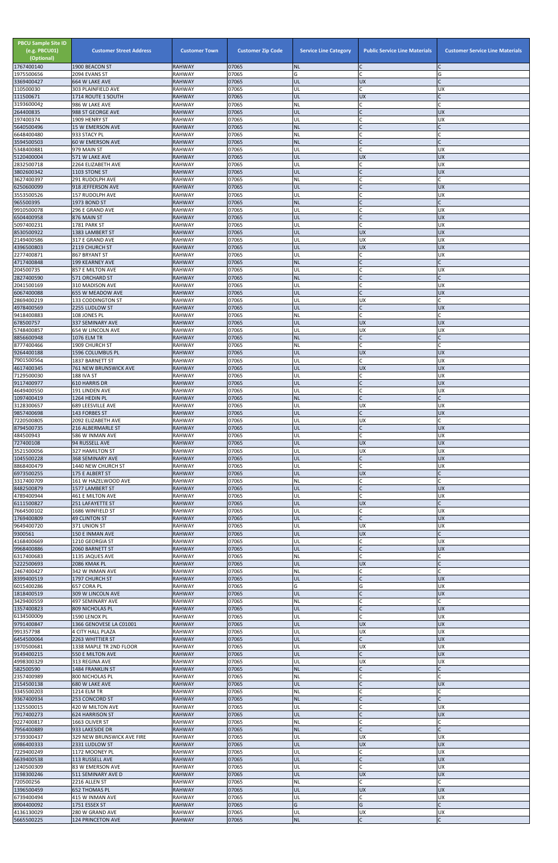| <b>PBCU Sample Site ID</b><br>(e.g. PBCU01)<br>(Optional)<br>1767400140 | <b>Customer Street Address</b><br>1900 BEACON ST | <b>Customer Town</b><br><b>RAHWAY</b> | <b>Customer Zip Code</b><br>07065 | <b>Service Line Category</b><br><b>NL</b> | <b>Public Service Line Materials</b><br>IC. | <b>Customer Service Line Materials</b> |
|-------------------------------------------------------------------------|--------------------------------------------------|---------------------------------------|-----------------------------------|-------------------------------------------|---------------------------------------------|----------------------------------------|
| 1975500656                                                              | 2094 EVANS ST                                    | <b>RAHWAY</b>                         | 07065                             | G                                         | lc.                                         | G                                      |
| 3369400427                                                              | 664 W LAKE AVE<br>303 PLAINFIELD AVE             | <b>RAHWAY</b><br><b>RAHWAY</b>        | 07065<br>07065                    | UL<br>UL                                  | <b>UX</b><br>lc.                            | $\mathsf{C}$<br><b>UX</b>              |
| 110500030<br>111500671                                                  | 1714 ROUTE 1 SOUTH                               | <b>RAHWAY</b>                         | 07065                             | UL                                        | <b>UX</b>                                   |                                        |
| 3193600042<br>264400835                                                 | 986 W LAKE AVE<br>988 ST GEORGE AVE              | <b>RAHWAY</b><br><b>RAHWAY</b>        | 07065<br>07065                    | <b>NL</b><br>UL                           | C<br>IC                                     | $\Gamma$<br><b>UX</b>                  |
| 197400374                                                               | 1909 HENRY ST                                    | <b>RAHWAY</b>                         | 07065                             | UL                                        | lC.                                         | <b>UX</b>                              |
| 5640500496<br>6648400480                                                | <b>15 W EMERSON AVE</b>                          | <b>RAHWAY</b>                         | 07065<br>07065                    | <b>NL</b>                                 | $\mathsf{C}$                                |                                        |
| 3594500503                                                              | 933 STACY PL<br><b>60 W EMERSON AVE</b>          | <b>RAHWAY</b><br><b>RAHWAY</b>        | 07065                             | <b>NL</b><br><b>NL</b>                    | C<br>$\mathsf{C}$                           | $\mathsf{C}$                           |
| 5348400881                                                              | 979 MAIN ST                                      | <b>RAHWAY</b>                         | 07065                             | UL                                        | <b>C</b>                                    | <b>UX</b>                              |
| 5120400004<br>2832500718                                                | 571 W LAKE AVE<br>2264 ELIZABETH AVE             | <b>RAHWAY</b><br><b>RAHWAY</b>        | 07065<br>07065                    | UL<br>UL                                  | <b>UX</b><br>C                              | <b>UX</b><br><b>UX</b>                 |
| 3802600342                                                              | 1103 STONE ST                                    | <b>RAHWAY</b>                         | 07065                             | UL                                        | $\mathsf{C}$                                | <b>UX</b>                              |
| 3627400397<br>6250600099                                                | 291 RUDOLPH AVE<br>918 JEFFERSON AVE             | <b>RAHWAY</b><br><b>RAHWAY</b>        | 07065<br>07065                    | <b>NL</b><br>UL                           | C<br>lc.                                    | C<br><b>UX</b>                         |
| 3553500526                                                              | 157 RUDOLPH AVE                                  | <b>RAHWAY</b>                         | 07065                             | UL                                        | lC.                                         | <b>UX</b>                              |
| 965500395<br>9910500078                                                 | 1973 BOND ST<br>296 E GRAND AVE                  | <b>RAHWAY</b><br><b>RAHWAY</b>        | 07065<br>07065                    | <b>NL</b><br>UL                           | IC<br>C                                     | $\mathsf{C}$<br><b>UX</b>              |
| 6504400958                                                              | 876 MAIN ST                                      | <b>RAHWAY</b>                         | 07065                             | UL                                        | lc.                                         | <b>UX</b>                              |
| 5097400231                                                              | 1781 PARK ST                                     | <b>RAHWAY</b>                         | 07065                             | UL                                        | lc.                                         | <b>UX</b>                              |
| 8530500922<br>2149400586                                                | 1383 LAMBERT ST<br>317 E GRAND AVE               | <b>RAHWAY</b><br><b>RAHWAY</b>        | 07065<br>07065                    | UL<br>UL                                  | <b>UX</b><br><b>UX</b>                      | <b>UX</b><br><b>UX</b>                 |
| 4396500803                                                              | 2119 CHURCH ST                                   | <b>RAHWAY</b>                         | 07065                             | UL                                        | UX                                          | <b>UX</b>                              |
| 2277400871<br>4717400848                                                | 867 BRYANT ST<br>199 KEARNEY AVE                 | <b>RAHWAY</b><br><b>RAHWAY</b>        | 07065<br>07065                    | UL<br><b>NL</b>                           | lC.<br>$\overline{C}$                       | <b>UX</b><br>$\mathsf{C}$              |
| 204500735                                                               | 857 E MILTON AVE                                 | <b>RAHWAY</b>                         | 07065                             | UL                                        | C                                           | <b>UX</b>                              |
| 2827400590<br>2041500169                                                | 571 ORCHARD ST<br>310 MADISON AVE                | <b>RAHWAY</b><br><b>RAHWAY</b>        | 07065<br>07065                    | <b>NL</b><br>UL                           | $\mathsf{C}$<br>C                           | $\mathsf{C}$<br><b>UX</b>              |
| 6067400088                                                              | 655 W MEADOW AVE                                 | <b>RAHWAY</b>                         | 07065                             | UL                                        | lc.                                         | <b>UX</b>                              |
| 2869400219                                                              | 133 CODDINGTON ST                                | <b>RAHWAY</b>                         | 07065                             | UL                                        | <b>UX</b>                                   |                                        |
| 4978400569<br>9418400883                                                | 2255 LUDLOW ST<br>108 JONES PL                   | <b>RAHWAY</b><br><b>RAHWAY</b>        | 07065<br>07065                    | UL<br><b>NL</b>                           | lC.<br>lC.                                  | <b>UX</b>                              |
| 678500757                                                               | <b>337 SEMINARY AVE</b>                          | <b>RAHWAY</b>                         | 07065                             | UL                                        | <b>UX</b>                                   | <b>UX</b>                              |
| 5748400857<br>8856600948                                                | 654 W LINCOLN AVE<br>1076 ELM TR                 | <b>RAHWAY</b><br><b>RAHWAY</b>        | 07065<br>07065                    | UL<br><b>NL</b>                           | <b>UX</b><br>$\mathsf{C}$                   | <b>UX</b><br>$\Gamma$                  |
| 8777400466                                                              | 1909 CHURCH ST                                   | <b>RAHWAY</b>                         | 07065                             | <b>NL</b>                                 | $\mathsf{C}$                                | $\mathsf{C}$                           |
| 9264400188<br>7901500564                                                | 1596 COLUMBUS PL<br>1837 BARNETT ST              | <b>RAHWAY</b><br><b>RAHWAY</b>        | 07065<br>07065                    | <b>UL</b><br>UL                           | <b>UX</b><br>lC.                            | <b>UX</b><br><b>UX</b>                 |
| 4617400345                                                              | <b>761 NEW BRUNSWICK AVE</b>                     | <b>RAHWAY</b>                         | 07065                             | UL                                        | <b>UX</b>                                   | <b>UX</b>                              |
| 7129500030<br>9117400977                                                | <b>188 IVA ST</b><br>610 HARRIS DR               | <b>RAHWAY</b><br><b>RAHWAY</b>        | 07065<br>07065                    | UL<br>UL                                  | lC.<br>$\mathsf{C}$                         | UX<br><b>UX</b>                        |
| 4649400550                                                              | <b>191 LINDEN AVE</b>                            | <b>RAHWAY</b>                         | 07065                             | UL                                        | <b>C</b>                                    | <b>UX</b>                              |
| 1097400419                                                              | 1264 HEDIN PL                                    | <b>RAHWAY</b>                         | 07065                             | <b>NL</b>                                 | $\mathsf{C}$                                | $\mathsf{C}$                           |
| 3128300657<br>9857400698                                                | 689 LEESVILLE AVE<br>143 FORBES ST               | <b>RAHWAY</b><br><b>RAHWAY</b>        | 07065<br>07065                    | UL<br>UL                                  | <b>UX</b><br>lC.                            | <b>UX</b><br><b>UX</b>                 |
| 7220500805                                                              | 2092 ELIZABETH AVE                               | <b>RAHWAY</b>                         | 07065                             | UL                                        | <b>UX</b>                                   | C                                      |
| 8794500735<br>484500943                                                 | 216 ALBERMARLE ST<br>586 W INMAN AVE             | <b>RAHWAY</b><br><b>RAHWAY</b>        | 07065<br>07065                    | UL<br>UL                                  | $\mathsf{C}$<br><b>C</b>                    | <b>UX</b><br><b>UX</b>                 |
| 727400108                                                               | 94 RUSSELL AVE                                   | <b>RAHWAY</b>                         | 07065                             | UL                                        | <b>UX</b>                                   | <b>UX</b>                              |
| 3521500056<br>1045500228                                                | 327 HAMILTON ST<br>368 SEMINARY AVE              | <b>RAHWAY</b><br><b>RAHWAY</b>        | 07065<br>07065                    | UL<br>UL                                  | <b>UX</b><br>lC.                            | <b>UX</b><br><b>UX</b>                 |
| 8868400479                                                              | 1440 NEW CHURCH ST                               | <b>RAHWAY</b>                         | 07065                             | UL                                        | lc.                                         | <b>UX</b>                              |
| 6973500255                                                              | 175 E ALBERT ST                                  | <b>RAHWAY</b>                         | 07065                             | UL                                        | <b>UX</b>                                   | $\mathsf{C}$                           |
| 3317400709<br>8482500879                                                | 161 W HAZELWOOD AVE<br>1577 LAMBERT ST           | <b>RAHWAY</b><br><b>RAHWAY</b>        | 07065<br>07065                    | <b>NL</b><br>UL                           | lC.<br>$\mathsf C$                          | <b>UX</b>                              |
| 4789400944                                                              | 461 E MILTON AVE                                 | <b>RAHWAY</b>                         | 07065                             | UL                                        | <b>C</b>                                    | <b>UX</b>                              |
| 6111500827<br>7664500102                                                | 251 LAFAYETTE ST<br>1686 WINFIELD ST             | <b>RAHWAY</b><br><b>RAHWAY</b>        | 07065<br>07065                    | UL<br>UL                                  | <b>UX</b><br>lC.                            | <b>UX</b>                              |
| 1769400809                                                              | <b>49 CLINTON ST</b>                             | <b>RAHWAY</b>                         | 07065                             | UL                                        | lc.                                         | <b>UX</b>                              |
| 9649400720<br>9300561                                                   | 371 UNION ST<br>150 E INMAN AVE                  | <b>RAHWAY</b><br><b>RAHWAY</b>        | 07065<br>07065                    | UL<br><b>UL</b>                           | <b>UX</b><br><b>UX</b>                      | <b>UX</b><br>$\mathsf{C}$              |
| 4168400669                                                              | 1210 GEORGIA ST                                  | <b>RAHWAY</b>                         | 07065                             | UL                                        | lC.                                         | <b>UX</b>                              |
| 9968400886                                                              | 2060 BARNETT ST                                  | <b>RAHWAY</b><br><b>RAHWAY</b>        | 07065<br>07065                    | UL<br><b>NL</b>                           | lC.<br><b>C</b>                             | <b>UX</b><br>C                         |
| 6317400683<br>5222500693                                                | 1135 JAQUES AVE<br>2086 KMAK PL                  | <b>RAHWAY</b>                         | 07065                             | UL                                        | <b>UX</b>                                   | $\mathsf{C}$                           |
| 2467400427                                                              | 342 W INMAN AVE                                  | <b>RAHWAY</b>                         | 07065                             | <b>NL</b>                                 | C                                           | C                                      |
| 8399400519<br>6015400286                                                | 1797 CHURCH ST<br>657 CORA PL                    | <b>RAHWAY</b><br><b>RAHWAY</b>        | 07065<br>07065                    | UL<br>G                                   | $\mathsf{C}$<br>G                           | <b>UX</b><br><b>UX</b>                 |
| 1818400519                                                              | 309 W LINCOLN AVE                                | <b>RAHWAY</b>                         | 07065                             | UL                                        | lc.                                         | <b>UX</b>                              |
| 3429400559<br>1357400823                                                | 497 SEMINARY AVE<br>809 NICHOLAS PL              | <b>RAHWAY</b><br><b>RAHWAY</b>        | 07065<br>07065                    | <b>NL</b><br>UL                           | lC.<br>$\mathsf{C}$                         | C<br><b>UX</b>                         |
| 6134500009                                                              | 1590 LENOX PL                                    | <b>RAHWAY</b>                         | 07065                             | UL                                        | lc.                                         | <b>UX</b>                              |
| 9791400847<br>991357798                                                 | 1366 GENOVESE LA C01001<br>4 CITY HALL PLAZA     | <b>RAHWAY</b><br><b>RAHWAY</b>        | 07065<br>07065                    | UL<br>UL                                  | <b>UX</b><br><b>UX</b>                      | <b>UX</b><br><b>UX</b>                 |
| 6454500064                                                              | 2263 WHITTIER ST                                 | <b>RAHWAY</b>                         | 07065                             | UL                                        | $\mathsf{C}$                                | <b>UX</b>                              |
| 1970500681                                                              | 1338 MAPLE TR 2ND FLOOR                          | <b>RAHWAY</b>                         | 07065                             | UL                                        | <b>UX</b>                                   | <b>UX</b>                              |
| 9149400215<br>4998300329                                                | 550 E MILTON AVE<br>313 REGINA AVE               | <b>RAHWAY</b><br><b>RAHWAY</b>        | 07065<br>07065                    | UL<br>UL                                  | $\mathsf{C}$<br><b>UX</b>                   | <b>UX</b><br><b>UX</b>                 |
| 582500590                                                               | 1484 FRANKLIN ST                                 | <b>RAHWAY</b>                         | 07065                             | INL.                                      |                                             |                                        |
| 2357400989<br>2154500138                                                | 800 NICHOLAS PL<br>680 W LAKE AVE                | <b>RAHWAY</b><br><b>RAHWAY</b>        | 07065<br>07065                    | <b>NL</b><br><b>UL</b>                    | $\mathsf C$<br>$\mathsf{C}$                 | C<br><b>UX</b>                         |
| 3345500203                                                              | <b>1214 ELM TR</b>                               | <b>RAHWAY</b>                         | 07065                             | <b>NL</b>                                 | lC.                                         | C                                      |
| 9367400934                                                              | 253 CONCORD ST                                   | <b>RAHWAY</b>                         | 07065                             | NL                                        | $\mathsf{C}$                                | C                                      |
| 1325500015<br>7917400273                                                | 420 W MILTON AVE<br><b>624 HARRISON ST</b>       | RAHWAY<br><b>RAHWAY</b>               | 07065<br>07065                    | UL<br>UL                                  | C<br>$\overline{C}$                         | <b>UX</b><br><b>UX</b>                 |
| 9227400817                                                              | 1663 OLIVER ST                                   | <b>RAHWAY</b>                         | 07065                             | <b>NL</b>                                 | C                                           |                                        |
| 7956400889<br>3739300437                                                | 933 LAKESIDE DR<br>329 NEW BRUNSWICK AVE FIRE    | <b>RAHWAY</b><br>RAHWAY               | 07065<br>07065                    | <b>NL</b><br>UL                           | lC.<br><b>UX</b>                            | <b>UX</b>                              |
| 6986400333                                                              | 2331 LUDLOW ST                                   | <b>RAHWAY</b>                         | 07065                             | UL                                        | <b>UX</b>                                   | UX                                     |
| 7229400249<br>6639400538                                                | 1172 MOONEY PL<br>113 RUSSELL AVE                | <b>RAHWAY</b><br><b>RAHWAY</b>        | 07065<br>07065                    | UL<br>UL                                  | C<br>$\mathsf{C}$                           | <b>UX</b><br><b>UX</b>                 |
| 1240500309                                                              | 83 W EMERSON AVE                                 | RAHWAY                                | 07065                             | UL                                        | <b>C</b>                                    | <b>UX</b>                              |
| 3198300246<br>720500256                                                 | 511 SEMINARY AVE D<br>2216 ALLEN ST              | <b>RAHWAY</b><br><b>RAHWAY</b>        | 07065<br>07065                    | UL<br><b>NL</b>                           | <b>UX</b><br>lc.                            | <b>UX</b><br>$\mathsf{C}$              |
| 1396500459                                                              | <b>652 THOMAS PL</b>                             | <b>RAHWAY</b>                         | 07065                             | UL                                        | <b>UX</b>                                   | <b>UX</b>                              |
| 6739400494                                                              | 415 W INMAN AVE                                  | <b>RAHWAY</b>                         | 07065                             | UL                                        | lC.                                         | <b>UX</b><br>$\mathsf{C}$              |
| 8904400092<br>4136130029                                                | 1751 ESSEX ST<br>280 W GRAND AVE                 | <b>RAHWAY</b><br>RAHWAY               | 07065<br>07065                    | G<br>UL                                   | G<br><b>UX</b>                              | <b>UX</b>                              |
| 5665500225                                                              | 124 PRINCETON AVE                                | <b>RAHWAY</b>                         | 07065                             | <b>NL</b>                                 | $\mathsf{C}$                                | $\mathsf{C}$                           |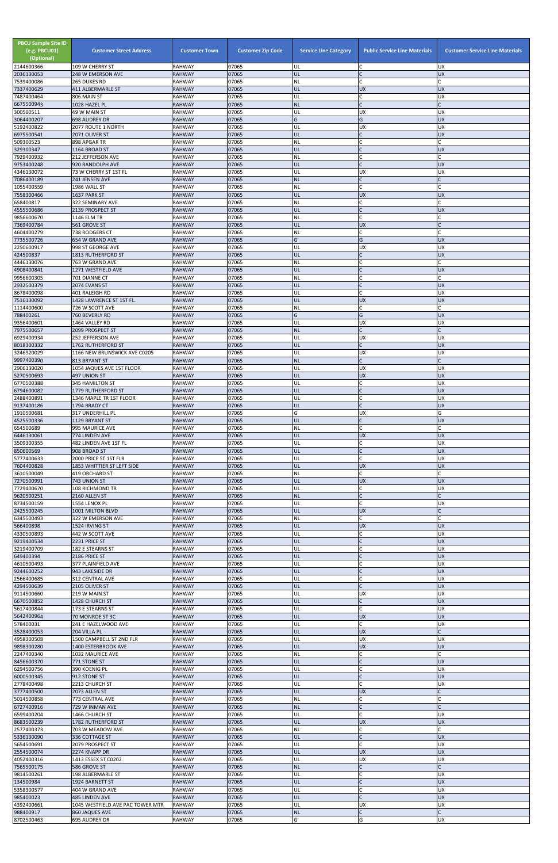| <b>PBCU Sample Site ID</b><br>(e.g. PBCU01)<br>(Optional)<br>2144600366 | <b>Customer Street Address</b><br>109 W CHERRY ST   | <b>Customer Town</b><br><b>RAHWAY</b> | <b>Customer Zip Code</b><br>07065 | <b>Service Line Category</b><br>UL | <b>Public Service Line Materials</b><br>IC | <b>Customer Service Line Materials</b><br><b>UX</b> |
|-------------------------------------------------------------------------|-----------------------------------------------------|---------------------------------------|-----------------------------------|------------------------------------|--------------------------------------------|-----------------------------------------------------|
| 2036130053                                                              | 248 W EMERSON AVE                                   | <b>RAHWAY</b>                         | 07065                             | UL                                 | $\mathsf{C}$                               | <b>UX</b>                                           |
| 7539400086<br>7337400629                                                | 265 DUKES RD<br>411 ALBERMARLE ST                   | <b>RAHWAY</b><br><b>RAHWAY</b>        | 07065<br>07065                    | NL<br>UL                           | $\mathsf{C}$<br><b>UX</b>                  | <b>UX</b>                                           |
| 7487400464                                                              | 806 MAIN ST                                         | <b>RAHWAY</b>                         | 07065                             | UL                                 | $\mathsf{C}$                               | <b>UX</b>                                           |
| 6675500943<br>300500511                                                 | 1028 HAZEL PL<br>49 W MAIN ST                       | <b>RAHWAY</b><br><b>RAHWAY</b>        | 07065<br>07065                    | <b>NL</b><br>UL                    | $\mathsf{C}$<br><b>UX</b>                  | <b>UX</b>                                           |
| 3064400207                                                              | <b>698 AUDREY DR</b>                                | <b>RAHWAY</b>                         | 07065<br>07065                    | G                                  | G                                          | <b>UX</b>                                           |
| 5192400822<br>6975500541                                                | 2077 ROUTE 1 NORTH<br>2071 OLIVER ST                | <b>RAHWAY</b><br><b>RAHWAY</b>        | 07065                             | UL<br>UL                           | <b>UX</b><br>$\mathsf{C}$                  | UX<br><b>UX</b>                                     |
| 509300523<br>329300347                                                  | 898 APGAR TR<br>1164 BROAD ST                       | <b>RAHWAY</b><br><b>RAHWAY</b>        | 07065<br>07065                    | NL<br>UL                           | $\mathsf{C}$<br>$\mathsf{C}$               | <b>UX</b>                                           |
| 7929400932                                                              | 212 JEFFERSON AVE                                   | <b>RAHWAY</b>                         | 07065                             | NL                                 | $\mathsf{C}$                               |                                                     |
| 9753400248<br>4346130072                                                | 920 RANDOLPH AVE<br>73 W CHERRY ST 1ST FL           | <b>RAHWAY</b><br><b>RAHWAY</b>        | 07065<br>07065                    | UL<br>UL                           | $\mathsf{C}$<br>UX                         | <b>UX</b><br>UX                                     |
| 7086400189                                                              | 241 JENSEN AVE                                      | <b>RAHWAY</b>                         | 07065                             | <b>NL</b>                          | $\mathsf{C}$                               |                                                     |
| 1055400559<br>7558300466                                                | 1986 WALL ST<br>1637 PARK ST                        | <b>RAHWAY</b><br><b>RAHWAY</b>        | 07065<br>07065                    | NL<br>UL                           | lC.<br><b>UX</b>                           | <b>UX</b>                                           |
| 658400817                                                               | 322 SEMINARY AVE                                    | <b>RAHWAY</b>                         | 07065                             | NL                                 | C                                          |                                                     |
| 4555500686<br>9856600670                                                | 2139 PROSPECT ST<br><b>1146 ELM TR</b>              | <b>RAHWAY</b><br><b>RAHWAY</b>        | 07065<br>07065                    | UL<br>NL                           | $\mathsf{C}$<br>$\mathsf{C}$               | <b>UX</b>                                           |
| 7369400784                                                              | 561 GROVE ST                                        | <b>RAHWAY</b>                         | 07065                             | UL                                 | <b>UX</b>                                  |                                                     |
| 4604400279<br>7735500726                                                | 738 RODGERS CT<br>654 W GRAND AVE                   | <b>RAHWAY</b><br><b>RAHWAY</b>        | 07065<br>07065                    | NL<br>G                            | $\mathsf{C}$<br>G                          | <b>UX</b>                                           |
| 2250600917                                                              | 998 ST GEORGE AVE                                   | <b>RAHWAY</b>                         | 07065                             | UL                                 | <b>UX</b>                                  | UX                                                  |
| 424500837<br>4446130076                                                 | 1813 RUTHERFORD ST<br>763 W GRAND AVE               | <b>RAHWAY</b><br><b>RAHWAY</b>        | 07065<br>07065                    | UL<br>NL                           | $\mathsf{C}$<br>$\mathsf{C}$               | <b>UX</b>                                           |
| 4908400841                                                              | 1271 WESTFIELD AVE                                  | <b>RAHWAY</b>                         | 07065                             | UL                                 |                                            | <b>UX</b>                                           |
| 9956600305<br>2932500379                                                | 701 DIANNE CT<br>2074 EVANS ST                      | <b>RAHWAY</b><br><b>RAHWAY</b>        | 07065<br>07065                    | <b>NL</b><br>UL                    | $\mathsf{C}$                               | <b>UX</b>                                           |
| 8678400098                                                              | 401 RALEIGH RD                                      | <b>RAHWAY</b>                         | 07065                             | UL                                 | lC.                                        | UX                                                  |
| 7516130092<br>1114400600                                                | 1428 LAWRENCE ST 1ST FL.<br>726 W SCOTT AVE         | <b>RAHWAY</b><br><b>RAHWAY</b>        | 07065<br>07065                    | UL<br>NL                           | <b>UX</b><br>$\mathsf{C}$                  | UX                                                  |
| 788400261                                                               | 760 BEVERLY RD                                      | <b>RAHWAY</b>                         | 07065                             | G                                  | G                                          | <b>UX</b>                                           |
| 9356400601<br>7975500657                                                | 1464 VALLEY RD<br>2099 PROSPECT ST                  | <b>RAHWAY</b><br><b>RAHWAY</b>        | 07065<br>07065                    | UL<br><b>NL</b>                    | <b>UX</b><br>$\mathsf{C}$                  | UX                                                  |
| 6929400934                                                              | 252 JEFFERSON AVE                                   | <b>RAHWAY</b>                         | 07065                             | UL                                 | <b>UX</b>                                  | UX                                                  |
| 8018300332<br>3246920029                                                | 1762 RUTHERFORD ST<br>1166 NEW BRUNSWICK AVE C0205  | <b>RAHWAY</b><br><b>RAHWAY</b>        | 07065<br>07065                    | UL<br>UL                           | $\mathsf{C}$<br><b>UX</b>                  | <b>UX</b><br>UX                                     |
| 9997400390                                                              | 813 BRYANT ST                                       | <b>RAHWAY</b>                         | 07065                             | <b>NL</b>                          | $\mathsf{C}$                               |                                                     |
| 2906130020<br>5270500693                                                | 1054 JAQUES AVE 1ST FLOOR<br>497 UNION ST           | <b>RAHWAY</b><br><b>RAHWAY</b>        | 07065<br>07065                    | UL<br>UL                           | <b>UX</b><br><b>UX</b>                     | <b>UX</b><br><b>UX</b>                              |
| 6770500388                                                              | <b>345 HAMILTON ST</b>                              | <b>RAHWAY</b>                         | 07065                             | UL                                 | C                                          | <b>UX</b>                                           |
| 6794600082<br>2488400891                                                | 1779 RUTHERFORD ST<br>1346 MAPLE TR 1ST FLOOR       | <b>RAHWAY</b><br><b>RAHWAY</b>        | 07065<br>07065                    | UL<br>UL                           | $\mathsf{C}$<br>$\mathsf{C}$               | <b>UX</b><br>UX                                     |
| 9137400186                                                              | 1794 BRADY CT                                       | <b>RAHWAY</b>                         | 07065                             | UL                                 | $\mathsf{C}$                               | <b>UX</b>                                           |
| 1910500681<br>4525500336                                                | 317 UNDERHILL PL<br>1129 BRYANT ST                  | <b>RAHWAY</b><br><b>RAHWAY</b>        | 07065<br>07065                    | G<br>UL                            | <b>UX</b><br>C                             | G<br><b>UX</b>                                      |
| 654500689                                                               | 995 MAURICE AVE                                     | <b>RAHWAY</b>                         | 07065                             | NL                                 | lc.                                        |                                                     |
| 6446130061<br>3509300355                                                | 774 LINDEN AVE<br>482 LINDEN AVE 1ST FL             | <b>RAHWAY</b><br><b>RAHWAY</b>        | 07065<br>07065                    | UL<br>UL                           | <b>UX</b><br>C                             | <b>UX</b><br><b>UX</b>                              |
| 850600569                                                               | 908 BROAD ST                                        | <b>RAHWAY</b>                         | 07065                             | UL                                 | $\mathsf{C}$                               | <b>UX</b>                                           |
| 5777400633<br>7604400828                                                | 2000 PRICE ST 1ST FLR<br>1853 WHITTIER ST LEFT SIDE | <b>RAHWAY</b><br><b>RAHWAY</b>        | 07065<br>07065                    | UL<br>UL                           | $\mathsf{C}$<br><b>UX</b>                  | <b>UX</b><br><b>UX</b>                              |
| 3610500049                                                              | 419 ORCHARD ST                                      | <b>RAHWAY</b>                         | 07065                             | NL                                 | $\mathsf{C}$                               |                                                     |
| 7270500991<br>7729400670                                                | 743 UNION ST<br><b>108 RICHMOND TR</b>              | <b>RAHWAY</b><br><b>RAHWAY</b>        | 07065<br>07065                    | UL<br>UL                           | <b>UX</b><br>C                             | <b>UX</b><br>UX                                     |
| 9620500251                                                              | 2160 ALLEN ST                                       | <b>RAHWAY</b>                         | 07065                             | <b>NL</b>                          | $\mathsf{C}$                               |                                                     |
| 8734500159<br>2425500245                                                | 1554 LENOX PL<br>1001 MILTON BLVD                   | <b>RAHWAY</b><br><b>RAHWAY</b>        | 07065<br>07065                    | UL<br>UL                           | $\mathsf{C}$<br><b>UX</b>                  | <b>UX</b>                                           |
| 6345500493                                                              | 322 W EMERSON AVE                                   | <b>RAHWAY</b>                         | 07065                             | <b>NL</b>                          | C                                          |                                                     |
| 566400898<br>4330500893                                                 | 1524 IRVING ST<br>442 W SCOTT AVE                   | <b>RAHWAY</b><br><b>RAHWAY</b>        | 07065<br>07065                    | UL<br>UL                           | <b>UX</b><br>$\mathsf{C}$                  | <b>UX</b><br>UX                                     |
| 9219400534                                                              | 2231 PRICE ST                                       | <b>RAHWAY</b>                         | 07065                             | UL                                 | $\mathsf{C}$                               | <b>UX</b>                                           |
| 3219400709<br>649400394                                                 | 182 E STEARNS ST<br>2186 PRICE ST                   | <b>RAHWAY</b><br><b>RAHWAY</b>        | 07065<br>07065                    | UL<br>UL                           | C<br>$\mathsf{C}$                          | <b>UX</b><br><b>UX</b>                              |
| 4610500493                                                              | 377 PLAINFIELD AVE                                  | <b>RAHWAY</b>                         | 07065                             | UL                                 | $\mathsf{C}$                               | <b>UX</b>                                           |
| 9244600252<br>2566400685                                                | 943 LAKESIDE DR<br>312 CENTRAL AVE                  | <b>RAHWAY</b><br><b>RAHWAY</b>        | 07065<br>07065                    | UL<br>UL                           | $\mathsf{C}$<br>$\mathsf{C}$               | UX<br>UX                                            |
| 4294500639                                                              | 2105 OLIVER ST                                      | <b>RAHWAY</b>                         | 07065                             | UL                                 | $\mathsf{C}$                               | <b>UX</b>                                           |
| 9114500660<br>6670500852                                                | 219 W MAIN ST<br>1428 CHURCH ST                     | <b>RAHWAY</b><br><b>RAHWAY</b>        | 07065<br>07065                    | UL<br>UL                           | <b>UX</b><br>$\mathsf{C}$                  | <b>UX</b><br><b>UX</b>                              |
| 5617400844<br>5642400964                                                | 173 E STEARNS ST                                    | <b>RAHWAY</b>                         | 07065<br>07065                    | UL<br>UL                           | $\mathsf{C}$<br><b>UX</b>                  | UX<br><b>UX</b>                                     |
| 578400031                                                               | 70 MONROE ST 3C<br>241 E HAZELWOOD AVE              | <b>RAHWAY</b><br><b>RAHWAY</b>        | 07065                             | UL                                 | $\mathsf{C}$                               | UX                                                  |
| 3528400053<br>4958300508                                                | 204 VILLA PL<br>1500 CAMPBELL ST 2ND FLR            | <b>RAHWAY</b><br><b>RAHWAY</b>        | 07065<br>07065                    | UL<br>UL                           | <b>UX</b><br><b>UX</b>                     | <b>UX</b>                                           |
| 9898300280                                                              | 1400 ESTERBROOK AVE                                 | <b>RAHWAY</b>                         | 07065                             | UL                                 | <b>UX</b>                                  | <b>UX</b>                                           |
| 2247400340<br>8456600370                                                | 1032 MAURICE AVE<br>771 STONE ST                    | <b>RAHWAY</b><br><b>RAHWAY</b>        | 07065<br>07065                    | NL<br>UL                           | C                                          | <b>UX</b>                                           |
| 6294500756                                                              | 390 KOENIG PL                                       | <b>RAHWAY</b>                         | 07065                             | IUL.                               |                                            | UΧ                                                  |
| 6000500345<br>2778400498                                                | 912 STONE ST<br>2213 CHURCH ST                      | <b>RAHWAY</b><br><b>RAHWAY</b>        | 07065<br>07065                    | UL<br>UL                           | $\mathsf C$<br>$\mathsf{C}$                | <b>UX</b><br>UX                                     |
| 3777400500                                                              | 2073 ALLEN ST                                       | <b>RAHWAY</b>                         | 07065                             | UL                                 | <b>UX</b>                                  |                                                     |
| 5014500858<br>6727400916                                                | 773 CENTRAL AVE<br>729 W INMAN AVE                  | RAHWAY<br><b>RAHWAY</b>               | 07065<br>07065                    | <b>NL</b><br><b>NL</b>             | C<br>$\mathsf{C}$                          |                                                     |
| 6599400204                                                              | 1466 CHURCH ST                                      | <b>RAHWAY</b>                         | 07065                             | UL                                 | $\mathsf{C}$                               | <b>UX</b>                                           |
| 8683500239<br>2577400373                                                | 1782 RUTHERFORD ST<br>703 W MEADOW AVE              | <b>RAHWAY</b><br>RAHWAY               | 07065<br>07065                    | UL<br>NL                           | <b>UX</b><br>C                             | <b>UX</b>                                           |
| 5336130090                                                              | 336 COTTAGE ST                                      | <b>RAHWAY</b>                         | 07065                             | UL                                 | $\mathsf{C}$                               | UX                                                  |
| 5654500691<br>2554500074                                                | 2079 PROSPECT ST<br>2274 KNAPP DR                   | <b>RAHWAY</b><br><b>RAHWAY</b>        | 07065<br>07065                    | UL<br>UL                           | $\mathsf{C}$<br><b>UX</b>                  | UX<br><b>UX</b>                                     |
| 4052400316                                                              | 1413 ESSEX ST C0202                                 | <b>RAHWAY</b>                         | 07065                             | UL                                 | <b>UX</b>                                  | <b>UX</b>                                           |
| 7565500175<br>9814500261                                                | 586 GROVE ST<br>198 ALBERMARLE ST                   | <b>RAHWAY</b><br><b>RAHWAY</b>        | 07065<br>07065                    | <b>NL</b><br>UL                    | $\mathsf{C}$<br>$\mathsf{C}$               | <b>UX</b>                                           |
| 134500984                                                               | 1924 BARNETT ST                                     | <b>RAHWAY</b>                         | 07065                             | UL                                 | $\mathsf{C}$                               | <b>UX</b>                                           |
| 5358300577<br>985400023                                                 | 404 W GRAND AVE<br>485 LINDEN AVE                   | <b>RAHWAY</b><br><b>RAHWAY</b>        | 07065<br>07065                    | UL<br>UL                           | C                                          | <b>UX</b><br>UX                                     |
| 4392400661                                                              | 1045 WESTFIELD AVE PAC TOWER MTR                    | <b>RAHWAY</b>                         | 07065                             | UL                                 | <b>UX</b>                                  | <b>UX</b>                                           |
| 988400917<br>8702500463                                                 | 860 JAQUES AVE<br>695 AUDREY DR                     | <b>RAHWAY</b><br>RAHWAY               | 07065<br>07065                    | NL<br>G                            | $\mathsf C$<br>G                           | UX                                                  |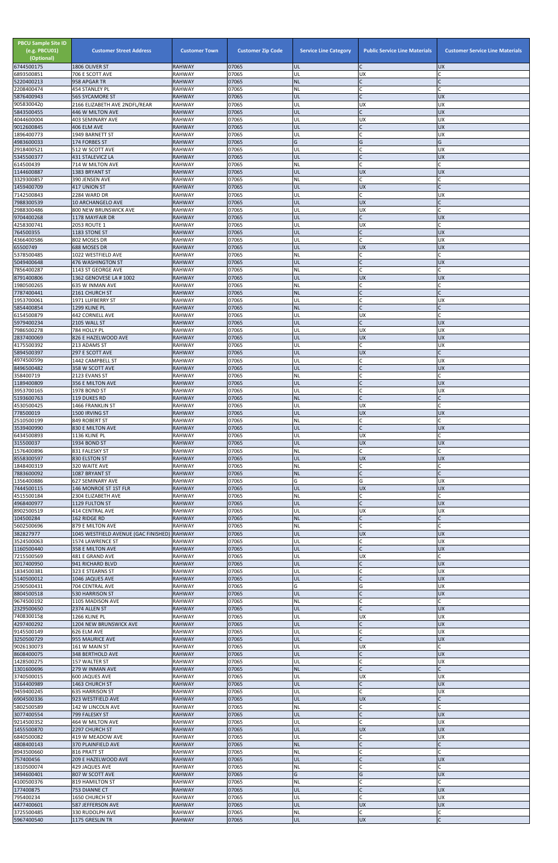| <b>PBCU Sample Site ID</b><br>(e.g. PBCU01)<br>(Optional)<br>6744500175 | <b>Customer Street Address</b><br>1806 OLIVER ST  | <b>Customer Town</b><br><b>RAHWAY</b> | <b>Customer Zip Code</b><br>07065 | <b>Service Line Category</b><br>UL | <b>Public Service Line Materials</b><br>C | <b>Customer Service Line Materials</b><br><b>UX</b> |
|-------------------------------------------------------------------------|---------------------------------------------------|---------------------------------------|-----------------------------------|------------------------------------|-------------------------------------------|-----------------------------------------------------|
| 6893500851                                                              | 706 E SCOTT AVE                                   | <b>RAHWAY</b>                         | 07065                             | UL                                 | <b>UX</b>                                 | $\mathsf{C}$                                        |
| 5220400213                                                              | 958 APGAR TR                                      | <b>RAHWAY</b>                         | 07065                             | <b>NL</b>                          | $\mathsf{C}$                              |                                                     |
| 2208400474<br>5876400943                                                | 454 STANLEY PL<br><b>565 SYCAMORE ST</b>          | <b>RAHWAY</b><br><b>RAHWAY</b>        | 07065<br>07065                    | NL<br>UL                           | $\mathsf{C}$<br>$\mathsf{C}$              | <b>UX</b>                                           |
| 9058300420                                                              | 2166 ELIZABETH AVE 2NDFL/REAR                     | <b>RAHWAY</b>                         | 07065                             | UL                                 | <b>UX</b>                                 | <b>UX</b>                                           |
| 5843500455<br>4044600004                                                | 446 W MILTON AVE<br>403 SEMINARY AVE              | <b>RAHWAY</b><br><b>RAHWAY</b>        | 07065<br>07065                    | UL<br>UL                           | $\mathsf{C}$<br><b>UX</b>                 | <b>UX</b><br><b>UX</b>                              |
| 9012600845                                                              | 406 ELM AVE                                       | <b>RAHWAY</b>                         | 07065                             | UL                                 | $\mathsf{C}$                              | <b>UX</b>                                           |
| 1896400773<br>4983600033                                                | 1949 BARNETT ST<br>174 FORBES ST                  | <b>RAHWAY</b><br><b>RAHWAY</b>        | 07065<br>07065                    | UL<br>G                            | $\mathsf{C}$<br>G                         | <b>UX</b><br>G                                      |
| 2918400521                                                              | 512 W SCOTT AVE                                   | <b>RAHWAY</b>                         | 07065                             | UL                                 | $\mathcal{C}$                             | <b>UX</b>                                           |
| 5345500377<br>614500439                                                 | 431 STALEVICZ LA<br>714 W MILTON AVE              | <b>RAHWAY</b><br><b>RAHWAY</b>        | 07065<br>07065                    | UL<br>NL                           | $\mathsf{C}$<br>$\mathsf{C}$              | <b>UX</b>                                           |
| 1144600887                                                              | 1383 BRYANT ST                                    | <b>RAHWAY</b>                         | 07065                             | UL                                 | <b>UX</b>                                 | <b>UX</b>                                           |
| 3329300857<br>1459400709                                                | 390 JENSEN AVE<br>417 UNION ST                    | <b>RAHWAY</b><br><b>RAHWAY</b>        | 07065<br>07065                    | NL<br>UL                           | $\mathsf{C}$<br><b>UX</b>                 | $\mathsf{C}$                                        |
| 7142500843                                                              | 2284 WARD DR                                      | <b>RAHWAY</b>                         | 07065                             | UL                                 | $\mathsf{C}$                              | <b>UX</b>                                           |
| 7988300539<br>2988300486                                                | <b>10 ARCHANGELO AVE</b><br>800 NEW BRUNSWICK AVE | <b>RAHWAY</b>                         | 07065<br>07065                    | UL                                 | <b>UX</b>                                 | $\mathsf{C}$                                        |
| 9704400268                                                              | 1178 MAYFAIR DR                                   | <b>RAHWAY</b><br><b>RAHWAY</b>        | 07065                             | UL<br>UL                           | <b>UX</b><br>$\mathsf{C}$                 | <b>UX</b>                                           |
| 4258300741                                                              | 2053 ROUTE 1                                      | <b>RAHWAY</b>                         | 07065                             | UL                                 | <b>UX</b>                                 | $\mathsf{C}$                                        |
| 764500355<br>4366400586                                                 | 1183 STONE ST<br>802 MOSES DR                     | <b>RAHWAY</b><br><b>RAHWAY</b>        | 07065<br>07065                    | UL<br>UL                           | $\mathsf C$<br>$\mathsf{C}$               | <b>UX</b><br><b>UX</b>                              |
| 65500749                                                                | 688 MOSES DR                                      | <b>RAHWAY</b>                         | 07065                             | UL                                 | <b>UX</b>                                 | <b>UX</b>                                           |
| 5378500485<br>5049400648                                                | 1022 WESTFIELD AVE<br>476 WASHINGTON ST           | <b>RAHWAY</b><br><b>RAHWAY</b>        | 07065<br>07065                    | NL<br>UL                           | $\mathsf{C}$<br>Ic.                       | C<br><b>UX</b>                                      |
| 7856400287                                                              | 1143 ST GEORGE AVE                                | <b>RAHWAY</b>                         | 07065                             | NL                                 | $\mathcal{C}$                             |                                                     |
| 8791400806<br>1980500265                                                | 1362 GENOVESE LA # 1002<br>635 W INMAN AVE        | <b>RAHWAY</b><br><b>RAHWAY</b>        | 07065<br>07065                    | UL<br>NL                           | <b>UX</b><br>$\mathsf{C}$                 | <b>UX</b><br>C                                      |
| 7787400441                                                              | 2161 CHURCH ST                                    | <b>RAHWAY</b>                         | 07065                             | <b>NL</b>                          | $\mathsf{C}$                              | $\mathsf{C}$                                        |
| 1953700061<br>5854400854                                                | 1971 LUFBERRY ST<br>1299 KLINE PL                 | <b>RAHWAY</b><br><b>RAHWAY</b>        | 07065<br>07065                    | UL<br><b>NL</b>                    | $\mathsf{C}$<br>$\mathcal{C}$             | <b>UX</b>                                           |
| 6154500879                                                              | 442 CORNELL AVE                                   | <b>RAHWAY</b>                         | 07065                             | UL                                 | <b>UX</b>                                 | $\mathsf{C}$                                        |
| 5979400234                                                              | 2105 WALL ST                                      | <b>RAHWAY</b>                         | 07065                             | UL                                 | $\mathsf{C}$                              | <b>UX</b>                                           |
| 7986500278<br>2837400069                                                | 784 HOLLY PL<br>826 E HAZELWOOD AVE               | <b>RAHWAY</b><br><b>RAHWAY</b>        | 07065<br>07065                    | UL<br>UL                           | <b>UX</b><br><b>UX</b>                    | <b>UX</b><br><b>UX</b>                              |
| 4175500392                                                              | 213 ADAMS ST                                      | <b>RAHWAY</b>                         | 07065                             | UL                                 | $\mathsf{C}$                              | <b>UX</b>                                           |
| 5894500397<br>4974500599                                                | 297 E SCOTT AVE<br>1442 CAMPBELL ST               | <b>RAHWAY</b><br><b>RAHWAY</b>        | 07065<br>07065                    | IUL<br>UL                          | <b>UX</b><br>$\mathsf{C}$                 | <b>UX</b>                                           |
| 8496500482                                                              | 358 W SCOTT AVE                                   | <b>RAHWAY</b>                         | 07065                             | UL                                 | $\mathsf{C}$                              | <b>UX</b>                                           |
| 358400719<br>1189400809                                                 | 2123 EVANS ST<br>356 E MILTON AVE                 | <b>RAHWAY</b><br><b>RAHWAY</b>        | 07065<br>07065                    | <b>NL</b><br>UL                    | $\mathsf{C}$                              | <b>UX</b>                                           |
| 3953700165                                                              | 1978 BOND ST                                      | <b>RAHWAY</b>                         | 07065                             | UL                                 | $\mathsf{C}$                              | <b>UX</b>                                           |
| 5193600763<br>4530500425                                                | 119 DUKES RD<br>1466 FRANKLIN ST                  | <b>RAHWAY</b><br><b>RAHWAY</b>        | 07065<br>07065                    | <b>NL</b><br>UL                    | $\mathsf{C}$<br><b>UX</b>                 | $\mathsf{C}$                                        |
| 778500019                                                               | 1500 IRVING ST                                    | <b>RAHWAY</b>                         | 07065                             | UL                                 | <b>UX</b>                                 | <b>UX</b>                                           |
| 2510500199                                                              | 849 ROBERT ST                                     | <b>RAHWAY</b>                         | 07065                             | NL                                 | $\mathsf{C}$<br>$\mathsf{C}$              |                                                     |
| 3539400990<br>6434500893                                                | 830 E MILTON AVE<br>1136 KLINE PL                 | <b>RAHWAY</b><br><b>RAHWAY</b>        | 07065<br>07065                    | UL<br>UL                           | <b>UX</b>                                 | <b>UX</b><br>$\mathsf{C}$                           |
| 315500037                                                               | 1934 BOND ST                                      | <b>RAHWAY</b>                         | 07065                             | UL                                 | <b>UX</b>                                 | <b>UX</b>                                           |
| 1576400896<br>8558300597                                                | 831 FALESKY ST<br>830 ELSTON ST                   | <b>RAHWAY</b><br><b>RAHWAY</b>        | 07065<br>07065                    | <b>NL</b><br>UL                    | $\mathsf{C}$<br><b>UX</b>                 | $\mathsf{C}$<br><b>UX</b>                           |
| 1848400319                                                              | 320 WAITE AVE                                     | <b>RAHWAY</b>                         | 07065                             | <b>NL</b>                          | $\mathsf{C}$                              | $\mathsf{C}$                                        |
| 7883600092<br>1356400886                                                | 1087 BRYANT ST<br>627 SEMINARY AVE                | <b>RAHWAY</b><br><b>RAHWAY</b>        | 07065<br>07065                    | <b>NL</b><br>G                     | $\overline{C}$<br>G                       | <b>UX</b>                                           |
| 7444500115                                                              | 146 MONROE ST 1ST FLR                             | <b>RAHWAY</b>                         | 07065                             | UL                                 | <b>UX</b>                                 | <b>UX</b>                                           |
| 4515500184<br>4968400977                                                | 2304 ELIZABETH AVE<br>1129 FULTON ST              | <b>RAHWAY</b><br><b>RAHWAY</b>        | 07065<br>07065                    | <b>NL</b><br>UL                    | $\mathsf{C}$<br>$\mathsf{C}$              | C<br><b>UX</b>                                      |
| 8902500519                                                              | 414 CENTRAL AVE                                   | <b>RAHWAY</b>                         | 07065                             | UL                                 | <b>UX</b>                                 | <b>UX</b>                                           |
| 104500284<br>5602500696                                                 | 162 RIDGE RD<br>879 E MILTON AVE                  | <b>RAHWAY</b><br><b>RAHWAY</b>        | 07065<br>07065                    | <b>NL</b><br><b>NL</b>             | $\mathsf{C}$<br>$\mathsf{C}$              | $\mathsf{C}$                                        |
| 382827977                                                               | 1045 WESTFIELD AVENUE (GAC FINISHED) RAHWAY       |                                       | 07065                             | <b>UL</b>                          | <b>UX</b>                                 | <b>UX</b>                                           |
| 3524500063<br>1160500440                                                | 1574 LAWRENCE ST<br>358 E MILTON AVE              | <b>RAHWAY</b><br><b>RAHWAY</b>        | 07065<br>07065                    | UL<br>UL                           | $\mathsf C$<br>$\mathsf{C}$               | <b>UX</b><br><b>UX</b>                              |
| 7215500569                                                              | 481 E GRAND AVE                                   | <b>RAHWAY</b>                         | 07065                             | UL                                 | <b>UX</b>                                 | C                                                   |
| 3017400950<br>1834500381                                                | 941 RICHARD BLVD                                  | <b>RAHWAY</b><br><b>RAHWAY</b>        | 07065<br>07065                    | UL<br>UL                           | $\mathsf{C}$<br>$\mathsf{C}$              | <b>UX</b><br><b>UX</b>                              |
| 5140500012                                                              | 323 E STEARNS ST<br>1046 JAQUES AVE               | <b>RAHWAY</b>                         | 07065                             | UL                                 |                                           | <b>UX</b>                                           |
| 2590500431                                                              | 704 CENTRAL AVE                                   | <b>RAHWAY</b>                         | 07065                             | G                                  | G                                         | <b>UX</b>                                           |
| 8804500518<br>9674500192                                                | <b>530 HARRISON ST</b><br>1105 MADISON AVE        | <b>RAHWAY</b><br><b>RAHWAY</b>        | 07065<br>07065                    | UL<br><b>NL</b>                    | $\mathsf{C}$<br>$\mathsf{C}$              | <b>UX</b><br>$\mathsf{C}$                           |
| 2329500650                                                              | 2374 ALLEN ST                                     | <b>RAHWAY</b>                         | 07065                             | UL                                 | $\overline{C}$                            | <b>UX</b>                                           |
| 7408300158<br>4297400292                                                | 1266 KLINE PL<br>1204 NEW BRUNSWICK AVE           | <b>RAHWAY</b><br><b>RAHWAY</b>        | 07065<br>07065                    | UL<br>UL                           | <b>UX</b><br>$\mathsf{C}$                 | <b>UX</b><br><b>UX</b>                              |
| 9145500149                                                              | 626 ELM AVE                                       | <b>RAHWAY</b>                         | 07065                             | UL                                 | $\mathsf{C}$                              | <b>UX</b>                                           |
| 3250500729<br>9026130073                                                | 955 MAURICE AVE<br>161 W MAIN ST                  | <b>RAHWAY</b><br><b>RAHWAY</b>        | 07065<br>07065                    | UL<br>UL                           | $\mathsf{C}$<br><b>UX</b>                 | <b>UX</b>                                           |
| 8608400075                                                              | 348 BERTHOLD AVE                                  | <b>RAHWAY</b>                         | 07065                             | UL                                 |                                           | <b>UX</b>                                           |
| 1428500275<br>1301600696                                                | 157 WALTER ST<br>279 W INMAN AVE                  | <b>RAHWAY</b><br>RAHWAY               | 07065<br>07065                    | UL<br>INL                          | $\mathsf{C}$                              | <b>UX</b>                                           |
| 3740500015                                                              | 600 JAQUES AVE                                    | <b>RAHWAY</b>                         | 07065                             | UL                                 | <b>UX</b>                                 | <b>UX</b>                                           |
| 3164400989                                                              | 1463 CHURCH ST                                    | <b>RAHWAY</b>                         | 07065                             | UL                                 | $\mathsf{C}$<br>$\mathsf{C}$              | <b>UX</b>                                           |
| 9459400245<br>6904500336                                                | <b>635 HARRISON ST</b><br>923 WESTFIELD AVE       | <b>RAHWAY</b><br><b>RAHWAY</b>        | 07065<br>07065                    | UL<br>UL                           | <b>UX</b>                                 | <b>UX</b><br>$\overline{C}$                         |
| 5802500589                                                              | 142 W LINCOLN AVE                                 | <b>RAHWAY</b>                         | 07065                             | NL                                 |                                           |                                                     |
| 3077400554<br>9214500352                                                | 799 FALESKY ST<br>464 W MILTON AVE                | <b>RAHWAY</b><br><b>RAHWAY</b>        | 07065<br>07065                    | UL<br>UL                           | $\mathsf{C}$<br>$\mathsf{C}$              | <b>UX</b><br><b>UX</b>                              |
| 1455500870                                                              | 2297 CHURCH ST                                    | <b>RAHWAY</b>                         | 07065                             | UL                                 | <b>UX</b>                                 | <b>UX</b>                                           |
| 6840500082<br>4808400143                                                | 419 W MEADOW AVE<br>370 PLAINFIELD AVE            | <b>RAHWAY</b><br><b>RAHWAY</b>        | 07065<br>07065                    | UL<br><b>NL</b>                    | $\mathsf{C}$<br>$\mathsf{C}$              | <b>UX</b>                                           |
| 8943500660                                                              | 816 PRATT ST                                      | <b>RAHWAY</b>                         | 07065                             | <b>NL</b>                          | $\mathsf{C}$                              | $\mathsf{C}$                                        |
| 757400456<br>1810500074                                                 | 209 E HAZELWOOD AVE<br>429 JAQUES AVE             | <b>RAHWAY</b><br><b>RAHWAY</b>        | 07065<br>07065                    | UL<br><b>NL</b>                    | $\mathsf{C}$<br>$\mathsf{C}$              | <b>UX</b><br>$\mathsf{C}$                           |
| 3494600401                                                              | 807 W SCOTT AVE                                   | <b>RAHWAY</b>                         | 07065                             | G                                  | G                                         | <b>UX</b>                                           |
| 4100500376<br>177400875                                                 | 819 HAMILTON ST<br>753 DIANNE CT                  | <b>RAHWAY</b><br><b>RAHWAY</b>        | 07065<br>07065                    | NL<br>UL                           | $\mathsf{C}$                              | <b>UX</b>                                           |
| 795400234                                                               | 1650 CHURCH ST                                    | RAHWAY                                | 07065                             | UL                                 | $\mathsf{C}$                              | <b>UX</b>                                           |
| 4477400601                                                              | 587 JEFFERSON AVE                                 | <b>RAHWAY</b>                         | 07065                             | UL                                 | <b>UX</b>                                 | <b>UX</b>                                           |
| 3725500485<br>5967400540                                                | 330 RUDOLPH AVE<br>1175 GRESLIN TR                | <b>RAHWAY</b><br><b>RAHWAY</b>        | 07065<br>07065                    | <b>NL</b><br>UL                    | $\mathsf{C}$<br>UX                        | C<br>$\overline{C}$                                 |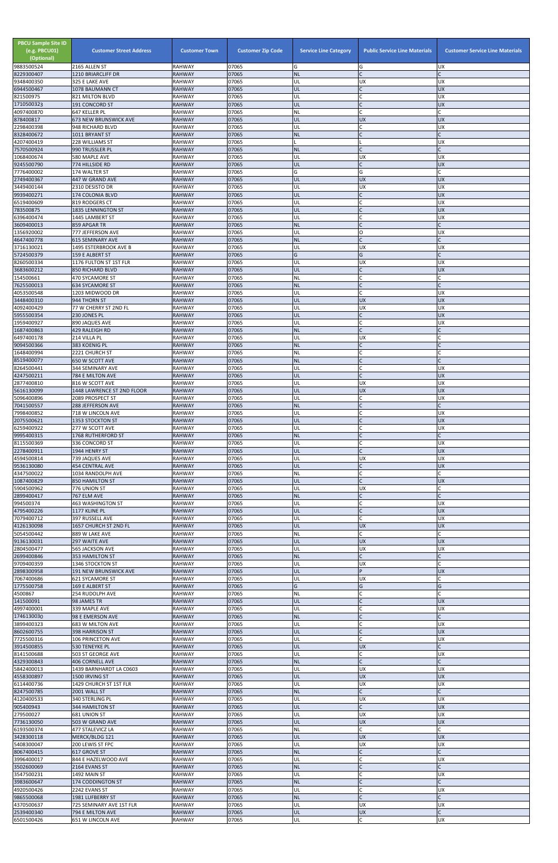| <b>PBCU Sample Site ID</b><br>(e.g. PBCU01)<br>(Optional)<br>9883500524 | <b>Customer Street Address</b><br>2165 ALLEN ST | <b>Customer Town</b><br><b>RAHWAY</b> | <b>Customer Zip Code</b><br>07065 | <b>Service Line Category</b><br>G | <b>Public Service Line Materials</b><br>G | <b>Customer Service Line Materials</b><br><b>UX</b> |
|-------------------------------------------------------------------------|-------------------------------------------------|---------------------------------------|-----------------------------------|-----------------------------------|-------------------------------------------|-----------------------------------------------------|
| 8229300407                                                              | 1210 BRIARCLIFF DR                              | <b>RAHWAY</b>                         | 07065                             | <b>NL</b>                         | $\mathsf{C}$                              |                                                     |
| 9348400350<br>6944500467                                                | 325 E LAKE AVE<br>1078 BAUMANN CT               | <b>RAHWAY</b><br><b>RAHWAY</b>        | 07065<br>07065                    | UL<br>UL                          | <b>UX</b><br>$\overline{C}$               | <b>UX</b><br><b>UX</b>                              |
| 821500975                                                               | 821 MILTON BLVD                                 | <b>RAHWAY</b>                         | 07065                             | UL                                |                                           | <b>UX</b>                                           |
| 1710500323<br>4097400870                                                | 191 CONCORD ST<br>647 KELLER PL                 | <b>RAHWAY</b><br><b>RAHWAY</b>        | 07065<br>07065                    | UL<br>NL                          | $\mathsf{C}$<br>$\mathsf{C}$              | <b>UX</b>                                           |
| 878400817                                                               | <b>673 NEW BRUNSWICK AVE</b>                    | <b>RAHWAY</b>                         | 07065                             | UL                                | <b>UX</b>                                 | <b>UX</b>                                           |
| 2298400398                                                              | 948 RICHARD BLVD                                | <b>RAHWAY</b>                         | 07065                             | UL                                | C                                         | <b>UX</b>                                           |
| 8328400672<br>4207400419                                                | 1011 BRYANT ST<br>228 WILLIAMS ST               | <b>RAHWAY</b><br><b>RAHWAY</b>        | 07065<br>07065                    | <b>NL</b>                         |                                           | <b>UX</b>                                           |
| 7570500924                                                              | 990 TRUSSLER PL                                 | <b>RAHWAY</b>                         | 07065                             | <b>NL</b>                         | $\mathsf{C}$                              | $\mathsf{C}$                                        |
| 1068400674<br>9245500790                                                | 580 MAPLE AVE<br>774 HILLSIDE RD                | <b>RAHWAY</b><br><b>RAHWAY</b>        | 07065<br>07065                    | UL<br>UL                          | <b>UX</b><br>$\mathsf{C}$                 | <b>UX</b><br><b>UX</b>                              |
| 7776400002                                                              | 174 WALTER ST                                   | <b>RAHWAY</b>                         | 07065                             | G                                 | G                                         | $\mathsf{C}$                                        |
| 2749400367                                                              | 447 W GRAND AVE                                 | <b>RAHWAY</b>                         | 07065                             | UL                                | <b>UX</b>                                 | <b>UX</b>                                           |
| 3449400144<br>9939400271                                                | 2310 DESISTO DR<br><b>174 COLONIA BLVD</b>      | <b>RAHWAY</b><br><b>RAHWAY</b>        | 07065<br>07065                    | UL<br>UL                          | <b>UX</b><br>$\mathsf{C}$                 | <b>UX</b><br><b>UX</b>                              |
| 6519400609                                                              | 819 RODGERS CT                                  | <b>RAHWAY</b>                         | 07065                             | UL                                |                                           | <b>UX</b>                                           |
| 783500875<br>6396400474                                                 | <b>1835 LENNINGTON ST</b><br>1445 LAMBERT ST    | <b>RAHWAY</b><br><b>RAHWAY</b>        | 07065<br>07065                    | UL<br>UL                          | $\mathsf{C}$<br>$\mathsf{C}$              | <b>UX</b><br><b>UX</b>                              |
| 3609400013                                                              | 859 APGAR TR                                    | <b>RAHWAY</b>                         | 07065                             | <b>NL</b>                         | $\mathsf{C}$                              |                                                     |
| 1356920002<br>4647400778                                                | 777 JEFFERSON AVE<br><b>615 SEMINARY AVE</b>    | <b>RAHWAY</b><br><b>RAHWAY</b>        | 07065<br>07065                    | UL<br><b>NL</b>                   | O<br>$\mathsf{C}$                         | <b>UX</b>                                           |
| 3716130021                                                              | 1495 ESTERBROOK AVE B                           | <b>RAHWAY</b>                         | 07065                             | UL                                | <b>UX</b>                                 | <b>UX</b>                                           |
| 5724500379                                                              | 159 E ALBERT ST                                 | <b>RAHWAY</b>                         | 07065                             | G                                 | G                                         |                                                     |
| 8260500334<br>3683600212                                                | 1176 FULTON ST 1ST FLR<br>850 RICHARD BLVD      | <b>RAHWAY</b><br><b>RAHWAY</b>        | 07065<br>07065                    | UL<br>UL                          | <b>UX</b><br>$\mathsf{C}$                 | <b>UX</b><br><b>UX</b>                              |
| 154500661                                                               | 470 SYCAMORE ST                                 | <b>RAHWAY</b>                         | 07065                             | <b>NL</b>                         | $\mathsf{C}$                              |                                                     |
| 7625500013<br>4053500548                                                | <b>634 SYCAMORE ST</b><br>1203 MIDWOOD DR       | <b>RAHWAY</b><br><b>RAHWAY</b>        | 07065<br>07065                    | <b>NL</b><br>UL                   | $\mathsf{C}$<br>$\mathsf{C}$              | <b>UX</b>                                           |
| 3448400310                                                              | 944 THORN ST                                    | <b>RAHWAY</b>                         | 07065                             | UL                                | <b>UX</b>                                 | <b>UX</b>                                           |
| 4092400429                                                              | 77 W CHERRY ST 2ND FL                           | <b>RAHWAY</b>                         | 07065                             | UL                                | <b>UX</b>                                 | <b>UX</b>                                           |
| 5955500354<br>1959400927                                                | 230 JONES PL<br>890 JAQUES AVE                  | <b>RAHWAY</b><br><b>RAHWAY</b>        | 07065<br>07065                    | UL<br>UL                          | $\mathsf{C}$<br>$\mathsf{C}$              | <b>UX</b><br><b>UX</b>                              |
| 1687400863                                                              | 429 RALEIGH RD                                  | <b>RAHWAY</b>                         | 07065                             | <b>NL</b>                         | $\mathsf{C}$                              | $\mathsf{C}$                                        |
| 6497400178<br>9094500366                                                | 214 VILLA PL                                    | <b>RAHWAY</b>                         | 07065<br>07065                    | UL<br><b>NL</b>                   | <b>UX</b>                                 |                                                     |
| 1648400994                                                              | 383 KOENIG PL<br>2221 CHURCH ST                 | <b>RAHWAY</b><br><b>RAHWAY</b>        | 07065                             | NL                                |                                           |                                                     |
| 8519400077                                                              | 650 W SCOTT AVE                                 | <b>RAHWAY</b>                         | 07065                             | <b>NL</b>                         | $\mathsf{C}$                              |                                                     |
| 8264500441<br>4247500211                                                | 344 SEMINARY AVE<br>784 E MILTON AVE            | <b>RAHWAY</b><br><b>RAHWAY</b>        | 07065<br>07065                    | UL<br>UL                          | $\mathsf{C}$<br>$\mathsf{C}$              | <b>UX</b><br><b>UX</b>                              |
| 2877400810                                                              | 816 W SCOTT AVE                                 | <b>RAHWAY</b>                         | 07065                             | UL                                | <b>UX</b>                                 | <b>UX</b>                                           |
| 5616130099                                                              | 1448 LAWRENCE ST 2ND FLOOR                      | <b>RAHWAY</b>                         | 07065<br>07065                    | UL<br>UL                          | <b>UX</b><br>C                            | <b>UX</b><br><b>UX</b>                              |
| 5096400896<br>7041500557                                                | 2089 PROSPECT ST<br>288 JEFFERSON AVE           | <b>RAHWAY</b><br><b>RAHWAY</b>        | 07065                             | <b>NL</b>                         | $\mathsf{C}$                              |                                                     |
| 7998400852                                                              | 718 W LINCOLN AVE                               | <b>RAHWAY</b>                         | 07065                             | UL                                |                                           | <b>UX</b>                                           |
| 2075500621<br>6259400922                                                | 1353 STOCKTON ST<br>277 W SCOTT AVE             | <b>RAHWAY</b><br><b>RAHWAY</b>        | 07065<br>07065                    | UL<br>UL                          | $\mathsf{C}$                              | <b>UX</b><br><b>UX</b>                              |
| 9995400315                                                              | 1768 RUTHERFORD ST                              | <b>RAHWAY</b>                         | 07065                             | <b>NL</b>                         | $\mathsf{C}$                              |                                                     |
| 8115500369<br>2278400911                                                | 336 CONCORD ST                                  | <b>RAHWAY</b><br><b>RAHWAY</b>        | 07065<br>07065                    | UL<br>UL                          | $\mathsf{C}$<br>$\mathsf{C}$              | <b>UX</b><br><b>UX</b>                              |
| 4594500814                                                              | 1944 HENRY ST<br>739 JAQUES AVE                 | <b>RAHWAY</b>                         | 07065                             | UL                                | <b>UX</b>                                 | <b>UX</b>                                           |
| 9536130080                                                              | <b>454 CENTRAL AVE</b>                          | <b>RAHWAY</b>                         | 07065                             | UL                                | $\overline{C}$                            | <b>UX</b>                                           |
| 4347500022<br>1087400829                                                | 1034 RANDOLPH AVE<br>850 HAMILTON ST            | <b>RAHWAY</b><br><b>RAHWAY</b>        | 07065<br>07065                    | <b>NL</b><br>UL                   |                                           | <b>UX</b>                                           |
| 5904500962                                                              | 776 UNION ST                                    | <b>RAHWAY</b>                         | 07065                             | UL                                | <b>UX</b>                                 |                                                     |
| 2899400417<br>994500374                                                 | 767 ELM AVE<br><b>463 WASHINGTON ST</b>         | <b>RAHWAY</b><br><b>RAHWAY</b>        | 07065<br>07065                    | <b>NL</b><br>UL                   | $\mathsf{C}$<br>$\mathsf C$               | <b>UX</b>                                           |
| 4795400226                                                              | 1177 KLINE PL                                   | <b>RAHWAY</b>                         | 07065                             | UL                                | $\mathsf{C}$                              | <b>UX</b>                                           |
| 7079400712                                                              | 397 RUSSELL AVE                                 | <b>RAHWAY</b>                         | 07065                             | UL                                | C                                         | <b>UX</b>                                           |
| 4126130098<br>5054500442                                                | 1657 CHURCH ST 2ND FL<br>889 W LAKE AVE         | <b>RAHWAY</b><br><b>RAHWAY</b>        | 07065<br>07065                    | UL<br>NL                          | <b>UX</b><br>$\mathsf{C}$                 | <b>UX</b>                                           |
| 9136130031                                                              | 297 WAITE AVE                                   | <b>RAHWAY</b>                         | 07065                             | UL                                | <b>UX</b>                                 | <b>UX</b>                                           |
| 2804500477<br>2699400846                                                | 565 JACKSON AVE<br>353 HAMILTON ST              | <b>RAHWAY</b><br><b>RAHWAY</b>        | 07065<br>07065                    | UL<br><b>NL</b>                   | <b>UX</b><br>$\mathsf{C}$                 | <b>UX</b>                                           |
| 9709400359                                                              | 1346 STOCKTON ST                                | <b>RAHWAY</b>                         | 07065                             | UL                                | <b>UX</b>                                 |                                                     |
| 2898300958                                                              | 191 NEW BRUNSWICK AVE                           | <b>RAHWAY</b><br><b>RAHWAY</b>        | 07065                             | UL                                | P                                         | <b>UX</b>                                           |
| 7067400686<br>1775500758                                                | 621 SYCAMORE ST<br>169 E ALBERT ST              | <b>RAHWAY</b>                         | 07065<br>07065                    | UL<br>G                           | <b>UX</b><br>G                            | G                                                   |
| 4500867                                                                 | 254 RUDOLPH AVE                                 | <b>RAHWAY</b>                         | 07065                             | NL                                | $\mathsf{C}$                              |                                                     |
| 141500091<br>4997400001                                                 | 98 JAMES TR<br>339 MAPLE AVE                    | <b>RAHWAY</b><br><b>RAHWAY</b>        | 07065<br>07065                    | UL<br>UL                          | $\mathsf{C}$<br>$\mathsf{C}$              | <b>UX</b><br><b>UX</b>                              |
| 1746130030                                                              | 98 E EMERSON AVE                                | <b>RAHWAY</b>                         | 07065                             | <b>NL</b>                         |                                           |                                                     |
| 3899400323<br>8602600755                                                | 683 W MILTON AVE<br>398 HARRISON ST             | <b>RAHWAY</b><br><b>RAHWAY</b>        | 07065<br>07065                    | UL<br>UL                          | $\overline{C}$<br>$\mathsf{C}$            | <b>UX</b><br><b>UX</b>                              |
| 7725500316                                                              | 106 PRINCETON AVE                               | <b>RAHWAY</b>                         | 07065                             | UL                                | $\mathsf{C}$                              | <b>UX</b>                                           |
| 3914500855                                                              | 530 TENEYKE PL                                  | <b>RAHWAY</b>                         | 07065                             | UL                                | <b>UX</b>                                 |                                                     |
| 8141500688<br>4329300843                                                | 503 ST GEORGE AVE<br>406 CORNELL AVE            | <b>RAHWAY</b><br><b>RAHWAY</b>        | 07065<br>07065                    | UL<br><b>NL</b>                   |                                           | <b>UX</b>                                           |
| 5842400013                                                              | 1439 BARNHARDT LA C0603                         | <b>RAHWAY</b>                         | 07065                             | UL                                | <b>UX</b>                                 | <b>UX</b>                                           |
| 4558300897<br>6114400736                                                | 1500 IRVING ST<br>1429 CHURCH ST 1ST FLR        | <b>RAHWAY</b><br><b>RAHWAY</b>        | 07065<br>07065                    | UL<br>UL                          | <b>UX</b><br><b>UX</b>                    | <b>UX</b><br><b>UX</b>                              |
| 8247500785                                                              | 2001 WALL ST                                    | <b>RAHWAY</b>                         | 07065                             | <b>NL</b>                         | $\mathsf{C}$                              | C                                                   |
| 4120400533                                                              | 340 STERLING PL                                 | RAHWAY                                | 07065                             | UL                                | <b>UX</b>                                 | <b>UX</b>                                           |
| 905400943<br>279500027                                                  | 344 HAMILTON ST<br>681 UNION ST                 | <b>RAHWAY</b><br><b>RAHWAY</b>        | 07065<br>07065                    | UL<br>UL                          | $\mathsf{C}$<br><b>UX</b>                 | <b>UX</b><br><b>UX</b>                              |
| 7736130050                                                              | 503 W GRAND AVE                                 | <b>RAHWAY</b>                         | 07065                             | UL                                | <b>UX</b>                                 | <b>UX</b>                                           |
| 6193500374<br>3428300118                                                | 477 STALEVICZ LA<br>MERCK/BLDG 121              | RAHWAY<br><b>RAHWAY</b>               | 07065<br>07065                    | <b>NL</b><br><b>UL</b>            | $\mathsf{C}$<br><b>UX</b>                 | <b>UX</b>                                           |
| 5408300047                                                              | 200 LEWIS ST FPC                                | <b>RAHWAY</b>                         | 07065                             | UL                                | UX                                        | UX                                                  |
| 8067400415                                                              | 617 GROVE ST                                    | <b>RAHWAY</b>                         | 07065                             | <b>NL</b>                         | $\mathsf{C}$                              |                                                     |
| 3996400017<br>3502600069                                                | 844 E HAZELWOOD AVE<br>2164 EVANS ST            | <b>RAHWAY</b><br><b>RAHWAY</b>        | 07065<br>07065                    | UL<br><b>NL</b>                   | C<br>$\mathsf{C}$                         | <b>UX</b>                                           |
| 3547500231                                                              | 1492 MAIN ST                                    | <b>RAHWAY</b>                         | 07065                             | UL                                | $\mathsf{C}$                              | <b>UX</b>                                           |
| 3983600647<br>4920500426                                                | <b>174 CODDINGTON ST</b><br>2242 EVANS ST       | <b>RAHWAY</b><br>RAHWAY               | 07065<br>07065                    | <b>NL</b><br>UL                   |                                           | <b>UX</b>                                           |
| 9865500068                                                              | 1981 LUFBERRY ST                                | <b>RAHWAY</b>                         | 07065                             | <b>NL</b>                         | $\mathsf{C}$                              | C                                                   |
| 4370500637                                                              | 725 SEMINARY AVE 1ST FLR                        | <b>RAHWAY</b>                         | 07065                             | UL                                | <b>UX</b>                                 | <b>UX</b>                                           |
| 2539400340<br>6501500426                                                | 794 E MILTON AVE<br>651 W LINCOLN AVE           | <b>RAHWAY</b><br>RAHWAY               | 07065<br>07065                    | UL<br>UL                          | <b>UX</b><br>$\mathsf{C}$                 | $\mathsf{C}$<br><b>UX</b>                           |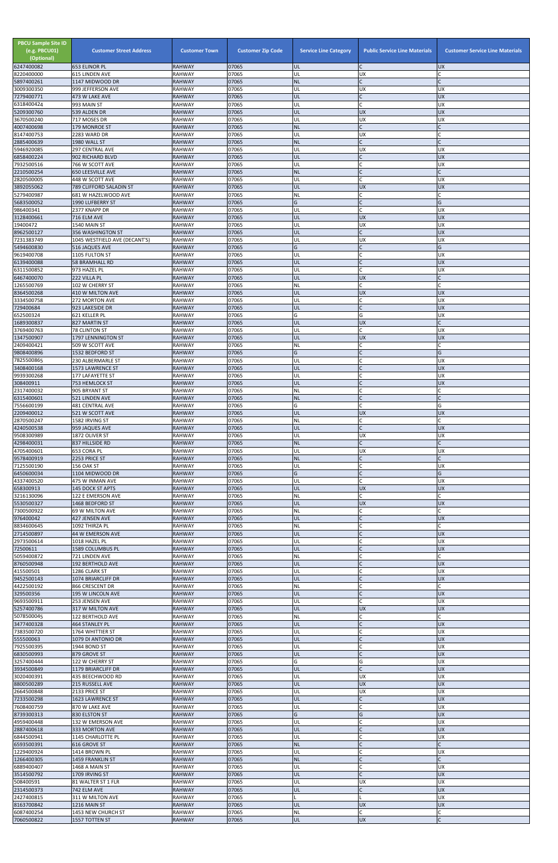| <b>PBCU Sample Site ID</b><br>(e.g. PBCU01)<br>(Optional)<br>6247400082 | <b>Customer Street Address</b><br><b>653 ELINOR PL</b> | <b>Customer Town</b><br><b>RAHWAY</b> | <b>Customer Zip Code</b><br>07065 | <b>Service Line Category</b><br>UL | <b>Public Service Line Materials</b><br>lC. | <b>Customer Service Line Materials</b><br><b>UX</b> |
|-------------------------------------------------------------------------|--------------------------------------------------------|---------------------------------------|-----------------------------------|------------------------------------|---------------------------------------------|-----------------------------------------------------|
| 8220400000                                                              | 615 LINDEN AVE                                         | <b>RAHWAY</b>                         | 07065                             | UL                                 | <b>UX</b>                                   |                                                     |
| 5897400261<br>3009300350                                                | 1147 MIDWOOD DR<br>999 JEFFERSON AVE                   | <b>RAHWAY</b><br><b>RAHWAY</b>        | 07065<br>07065                    | <b>NL</b><br>UL                    | lC.<br><b>UX</b>                            | UX                                                  |
| 7279400771                                                              | 473 W LAKE AVE                                         | <b>RAHWAY</b>                         | 07065                             | UL                                 | lC.                                         | <b>UX</b>                                           |
| 6318400424<br>5209300760                                                | 993 MAIN ST<br>539 ALDEN DR                            | <b>RAHWAY</b><br><b>RAHWAY</b>        | 07065<br>07065                    | UL<br>UL                           | lC.<br><b>UX</b>                            | UX<br><b>UX</b>                                     |
| 3670500240                                                              | 717 MOSES DR                                           | <b>RAHWAY</b>                         | 07065                             | UL                                 | <b>UX</b>                                   | <b>UX</b>                                           |
| 4007400698<br>8147400753                                                | <b>179 MONROE ST</b><br>2283 WARD DR                   | <b>RAHWAY</b><br><b>RAHWAY</b>        | 07065<br>07065                    | <b>NL</b><br>UL                    | $\mathsf{C}$<br><b>UX</b>                   |                                                     |
| 2885400639                                                              | 1980 WALL ST                                           | <b>RAHWAY</b>                         | 07065                             | <b>NL</b>                          | $\mathsf{C}$                                |                                                     |
| 5946920085<br>6858400224                                                | 297 CENTRAL AVE<br>902 RICHARD BLVD                    | <b>RAHWAY</b><br><b>RAHWAY</b>        | 07065<br>07065                    | UL<br>UL                           | <b>UX</b><br>lc.                            | UX<br><b>UX</b>                                     |
| 7932500516                                                              | 766 W SCOTT AVE                                        | <b>RAHWAY</b>                         | 07065                             | UL                                 | $\mathsf{C}$                                | <b>UX</b>                                           |
| 2210500254<br>2820500005                                                | <b>650 LEESVILLE AVE</b><br>448 W SCOTT AVE            | <b>RAHWAY</b><br><b>RAHWAY</b>        | 07065<br>07065                    | <b>NL</b><br>UL                    | IC<br>lc.                                   | <b>UX</b>                                           |
| 3892055062                                                              | 789 CLIFFORD SALADIN ST                                | <b>RAHWAY</b>                         | 07065                             | UL                                 | <b>UX</b>                                   | <b>UX</b>                                           |
| 5279400987<br>5683500052                                                | 681 W HAZELWOOD AVE<br>1990 LUFBERRY ST                | <b>RAHWAY</b><br><b>RAHWAY</b>        | 07065<br>07065                    | NL<br>G                            | lC.<br>$\mathsf{C}$                         | G                                                   |
| 986400341                                                               | 2377 KNAPP DR                                          | <b>RAHWAY</b>                         | 07065                             | UL                                 | lC.                                         | <b>UX</b>                                           |
| 3128400661<br>19400472                                                  | 716 ELM AVE<br>1540 MAIN ST                            | <b>RAHWAY</b><br><b>RAHWAY</b>        | 07065<br>07065                    | UL<br>UL                           | <b>UX</b><br><b>UX</b>                      | <b>UX</b><br>UX                                     |
| 8962500127                                                              | <b>356 WASHINGTON ST</b>                               | <b>RAHWAY</b>                         | 07065                             | UL                                 | $\mathsf{C}$                                | <b>UX</b>                                           |
| 7231383749<br>5494600830                                                | 1045 WESTFIELD AVE (DECANT'S)<br>516 JAQUES AVE        | <b>RAHWAY</b><br><b>RAHWAY</b>        | 07065<br>07065                    | UL<br>G                            | <b>UX</b><br>$\mathsf{C}$                   | <b>UX</b><br>G                                      |
| 9619400708                                                              | 1105 FULTON ST                                         | <b>RAHWAY</b>                         | 07065                             | UL                                 | lC.                                         | UX                                                  |
| 6139400088<br>6311500852                                                | <b>58 BRAMHALL RD</b><br>973 HAZEL PL                  | <b>RAHWAY</b><br><b>RAHWAY</b>        | 07065<br>07065                    | UL<br>UL                           | lc.<br>C                                    | <b>UX</b><br>UX                                     |
| 6467400070                                                              | 222 VILLA PL                                           | <b>RAHWAY</b>                         | 07065                             | UL                                 | <b>UX</b>                                   |                                                     |
| 1265500769<br>8364500268                                                | 102 W CHERRY ST<br>410 W MILTON AVE                    | <b>RAHWAY</b><br><b>RAHWAY</b>        | 07065<br>07065                    | NL<br>UL                           | lC.<br><b>UX</b>                            | $\mathsf{C}$<br><b>UX</b>                           |
| 3334500758                                                              | 272 MORTON AVE                                         | <b>RAHWAY</b>                         | 07065                             | UL                                 | C                                           | <b>UX</b>                                           |
| 729400684<br>652500324                                                  | 923 LAKESIDE DR<br>621 KELLER PL                       | <b>RAHWAY</b><br><b>RAHWAY</b>        | 07065<br>07065                    | UL<br>Ġ                            | lC.<br>G                                    | <b>UX</b><br><b>UX</b>                              |
| 1689300837                                                              | 827 MARTIN ST                                          | <b>RAHWAY</b>                         | 07065                             | UL                                 | <b>UX</b>                                   | $\mathsf{C}$                                        |
| 3769400763<br>1347500907                                                | <b>78 CLINTON ST</b><br>1797 LENNINGTON ST             | <b>RAHWAY</b><br><b>RAHWAY</b>        | 07065<br>07065                    | UL<br>UL                           | C.<br><b>UX</b>                             | UX<br><b>UX</b>                                     |
| 2409400421                                                              | 509 W SCOTT AVE                                        | <b>RAHWAY</b>                         | 07065                             | NL                                 | lc.                                         |                                                     |
| 9808400896<br>7825500865                                                | 1532 BEDFORD ST<br>230 ALBERMARLE ST                   | <b>RAHWAY</b><br><b>RAHWAY</b>        | 07065<br>07065                    | IG<br>UL                           | C                                           | G<br><b>UX</b>                                      |
| 3408400168                                                              | 1573 LAWRENCE ST                                       | <b>RAHWAY</b>                         | 07065                             | UL                                 | $\mathsf C$                                 | <b>XD</b>                                           |
| 9939300268<br>308400911                                                 | 177 LAFAYETTE ST<br>753 HEMLOCK ST                     | <b>RAHWAY</b><br><b>RAHWAY</b>        | 07065<br>07065                    | UL<br>UL                           | C<br>$\overline{C}$                         | <b>UX</b><br><b>UX</b>                              |
| 2317400032                                                              | 905 BRYANT ST                                          | <b>RAHWAY</b>                         | 07065                             | <b>NL</b>                          | $\mathsf{C}$                                |                                                     |
| 6315400601<br>7556600199                                                | <b>521 LINDEN AVE</b><br><b>481 CENTRAL AVE</b>        | <b>RAHWAY</b><br><b>RAHWAY</b>        | 07065<br>07065                    | <b>NL</b><br>G                     | $\mathsf{C}$<br><b>C</b>                    | G                                                   |
| 2209400012                                                              | 521 W SCOTT AVE                                        | <b>RAHWAY</b>                         | 07065                             | UL                                 | <b>UX</b>                                   | <b>UX</b>                                           |
| 2870500247<br>4240500538                                                | 1582 IRVING ST<br>959 JAQUES AVE                       | <b>RAHWAY</b><br><b>RAHWAY</b>        | 07065<br>07065                    | NL<br>UL                           | C<br>lc.                                    | <b>UX</b>                                           |
| 9508300989                                                              | 1872 OLIVER ST                                         | <b>RAHWAY</b>                         | 07065                             | UL                                 | <b>UX</b>                                   | UX                                                  |
| 4298400031<br>4705400601                                                | 837 HILLSIDE RD<br>653 CORA PL                         | <b>RAHWAY</b><br><b>RAHWAY</b>        | 07065<br>07065                    | <b>NL</b><br>UL                    | lC.<br><b>UX</b>                            | UX                                                  |
| 9578400919                                                              | 2253 PRICE ST                                          | <b>RAHWAY</b>                         | 07065                             | <b>NL</b>                          | $\mathsf{C}$                                | C                                                   |
| 7125500190<br>6450600034                                                | 156 OAK ST<br>1104 MIDWOOD DR                          | <b>RAHWAY</b><br><b>RAHWAY</b>        | 07065<br>07065                    | UL<br>G                            | <b>C</b><br>$\overline{C}$                  | UX<br>G                                             |
| 4337400520                                                              | 475 W INMAN AVE                                        | <b>RAHWAY</b>                         | 07065                             | UL                                 | C                                           | UX                                                  |
| 658300913<br>3216130096                                                 | 145 DOCK ST APTS<br>122 E EMERSON AVE                  | <b>RAHWAY</b><br><b>RAHWAY</b>        | 07065<br>07065                    | UL<br><b>NL</b>                    | <b>UX</b><br>C.                             | <b>UX</b>                                           |
| 5530500327                                                              | 1468 BEDFORD ST                                        | <b>RAHWAY</b>                         | 07065                             | UL                                 | <b>UX</b>                                   | <b>UX</b>                                           |
| 7300500922<br>976400042                                                 | 69 W MILTON AVE<br>427 JENSEN AVE                      | <b>RAHWAY</b><br><b>RAHWAY</b>        | 07065<br>07065                    | <b>NL</b><br>UL                    | lC.<br>$\mathsf{C}$                         | <b>UX</b>                                           |
| 8834600645                                                              | 1092 THIRZA PL                                         | <b>RAHWAY</b>                         | 07065                             | <b>NL</b>                          | lC.                                         | C                                                   |
| 2714500897<br>2973500614                                                | 44 W EMERSON AVE<br>1018 HAZEL PL                      | <b>RAHWAY</b><br><b>RAHWAY</b>        | 07065<br>07065                    | UL<br>UL                           | $\overline{C}$<br>$\mathsf{C}$              | <b>UX</b><br><b>UX</b>                              |
| 72500611                                                                | 1589 COLUMBUS PL                                       | <b>RAHWAY</b>                         | 07065                             | UL                                 |                                             | <b>UX</b>                                           |
| 5059400872<br>8760500948                                                | 721 LINDEN AVE<br>192 BERTHOLD AVE                     | <b>RAHWAY</b><br><b>RAHWAY</b>        | 07065<br>07065                    | NL<br>UL                           | $\mathsf{C}$<br>$\mathsf{C}$                | <b>UX</b>                                           |
| 415500501                                                               | 1286 CLARK ST                                          | <b>RAHWAY</b>                         | 07065                             | UL                                 | C                                           | <b>UX</b>                                           |
| 9452500143<br>4422500192                                                | 1074 BRIARCLIFF DR<br>866 CRESCENT DR                  | <b>RAHWAY</b><br><b>RAHWAY</b>        | 07065<br>07065                    | UL<br><b>NL</b>                    | $\mathsf{C}$<br>$\mathsf{C}$                | <b>UX</b>                                           |
| 329500356                                                               | 195 W LINCOLN AVE                                      | <b>RAHWAY</b>                         | 07065                             | UL                                 | $\overline{C}$                              | <b>UX</b>                                           |
| 9693500911<br>5257400786                                                | 253 JENSEN AVE<br>317 W MILTON AVE                     | <b>RAHWAY</b><br><b>RAHWAY</b>        | 07065<br>07065                    | UL<br>UL                           | lC.<br><b>UX</b>                            | UX<br><b>UX</b>                                     |
| 5078500045                                                              | 122 BERTHOLD AVE                                       | <b>RAHWAY</b>                         | 07065                             | <b>NL</b>                          | lC.                                         |                                                     |
| 3477400328<br>7383500720                                                | <b>464 STANLEY PL</b><br>1764 WHITTIER ST              | <b>RAHWAY</b><br><b>RAHWAY</b>        | 07065<br>07065                    | UL<br>UL                           | $\overline{C}$<br>C                         | <b>UX</b><br>UX                                     |
| 555500063                                                               | 1079 DI ANTONIO DR                                     | <b>RAHWAY</b>                         | 07065                             | UL                                 | $\overline{C}$                              | <b>UX</b>                                           |
| 7925500395<br>6830500993                                                | 1944 BOND ST<br>879 GROVE ST                           | <b>RAHWAY</b><br><b>RAHWAY</b>        | 07065<br>07065                    | UL<br>UL                           | $\mathsf{C}$                                | <b>UX</b><br><b>UX</b>                              |
| 3257400444                                                              | 122 W CHERRY ST                                        | <b>RAHWAY</b>                         | 07065                             | G                                  | G                                           | UX                                                  |
| 3934500849<br>3020400391                                                | 1179 BRIARCLIFF DR<br>435 BEECHWOOD RD                 | <b>RAHWAY</b><br><b>RAHWAY</b>        | 07065<br>07065                    | IUL.<br>UL                         | <b>UX</b>                                   | <b>UX</b><br>UX                                     |
| 8800500289                                                              | 215 RUSSELL AVE                                        | <b>RAHWAY</b>                         | 07065                             | UL                                 | <b>UX</b>                                   | <b>UX</b>                                           |
| 2664500848<br>7233500298                                                | 2133 PRICE ST<br>1623 LAWRENCE ST                      | <b>RAHWAY</b><br><b>RAHWAY</b>        | 07065<br>07065                    | UL<br>UL                           | <b>UX</b><br>$\mathsf{C}$                   | <b>UX</b><br><b>UX</b>                              |
| 7608400759                                                              | 870 W LAKE AVE                                         | <b>RAHWAY</b>                         | 07065                             | UL                                 | C                                           | <b>UX</b>                                           |
| 8739300313<br>4959400448                                                | 830 ELSTON ST<br>132 W EMERSON AVE                     | <b>RAHWAY</b><br><b>RAHWAY</b>        | 07065<br>07065                    | G<br>UL                            | G<br>C                                      | <b>UX</b><br><b>UX</b>                              |
| 2887400618                                                              | 333 MORTON AVE                                         | <b>RAHWAY</b>                         | 07065                             | UL                                 | IC                                          | <b>UX</b>                                           |
| 6844500941<br>6593500391                                                | 1145 CHARLOTTE PL<br>616 GROVE ST                      | <b>RAHWAY</b><br><b>RAHWAY</b>        | 07065<br>07065                    | UL<br><b>NL</b>                    | lC.<br>$\mathsf{C}$                         | <b>UX</b>                                           |
| 1229400924                                                              | 1414 BROWN PL                                          | <b>RAHWAY</b>                         | 07065                             | UL                                 | <b>C</b>                                    | <b>UX</b>                                           |
| 1266400305<br>6889400407                                                | 1459 FRANKLIN ST<br>1468 A MAIN ST                     | <b>RAHWAY</b><br><b>RAHWAY</b>        | 07065<br>07065                    | <b>NL</b><br>UL                    | $\mathsf{C}$<br>C                           | C<br>UX                                             |
| 3514500792                                                              | 1709 IRVING ST                                         | <b>RAHWAY</b>                         | 07065                             | UL                                 | $\mathsf{C}$                                | <b>UX</b>                                           |
| 508400591<br>2314500373                                                 | 81 WALTER ST 1 FLR<br>742 ELM AVE                      | <b>RAHWAY</b><br><b>RAHWAY</b>        | 07065<br>07065                    | UL<br>UL                           | <b>UX</b><br>$\mathsf{C}$                   | <b>UX</b><br><b>UX</b>                              |
| 2427400815                                                              | 311 W MILTON AVE                                       | <b>RAHWAY</b>                         | 07065                             |                                    |                                             | <b>UX</b>                                           |
| 8163700842<br>6087400254                                                | 1216 MAIN ST<br>1453 NEW CHURCH ST                     | <b>RAHWAY</b><br><b>RAHWAY</b>        | 07065<br>07065                    | UL<br><b>NL</b>                    | <b>UX</b><br>$\mathsf{C}$                   | <b>UX</b><br>C                                      |
| 7060500822                                                              | 1557 TOTTEN ST                                         | <b>RAHWAY</b>                         | 07065                             | UL                                 | <b>UX</b>                                   | C                                                   |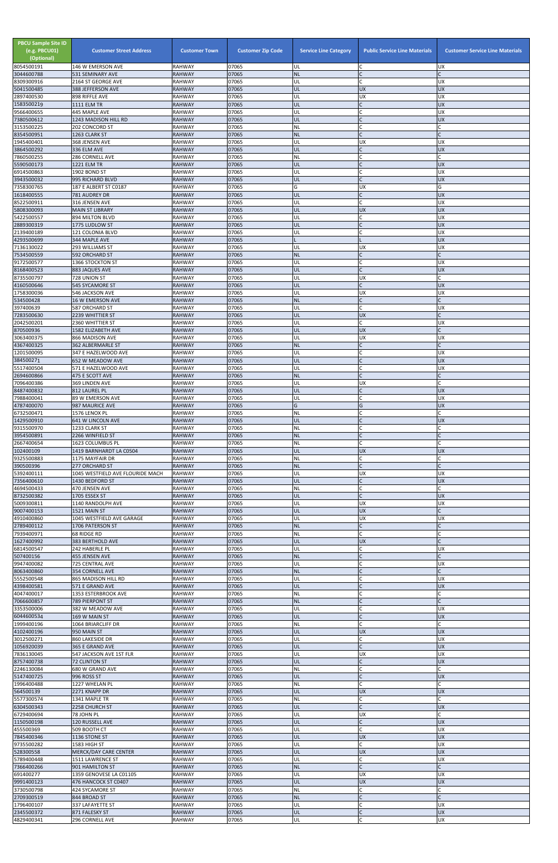| <b>PBCU Sample Site ID</b><br>(e.g. PBCU01)<br>(Optional)<br>8054500191 | <b>Customer Street Address</b><br>146 W EMERSON AVE | <b>Customer Town</b><br><b>RAHWAY</b> | <b>Customer Zip Code</b><br>07065 | <b>Service Line Category</b><br>UL | <b>Public Service Line Materials</b><br>$\mathsf{C}$ | <b>Customer Service Line Materials</b><br><b>UX</b> |
|-------------------------------------------------------------------------|-----------------------------------------------------|---------------------------------------|-----------------------------------|------------------------------------|------------------------------------------------------|-----------------------------------------------------|
| 3044600788                                                              | 531 SEMINARY AVE                                    | <b>RAHWAY</b>                         | 07065                             | <b>NL</b>                          | $\mathsf{C}$                                         |                                                     |
| 8309300916<br>5041500485                                                | 2164 ST GEORGE AVE<br>388 JEFFERSON AVE             | <b>RAHWAY</b><br><b>RAHWAY</b>        | 07065<br>07065                    | UL<br>UL                           | $\mathsf{C}$<br><b>UX</b>                            | <b>UX</b><br><b>UX</b>                              |
| 2897400530                                                              | 898 RIFFLE AVE                                      | <b>RAHWAY</b>                         | 07065                             | UL                                 | <b>UX</b>                                            | <b>UX</b>                                           |
| 1583500219<br>9566400655                                                | <b>1111 ELM TR</b><br>445 MAPLE AVE                 | <b>RAHWAY</b><br><b>RAHWAY</b>        | 07065<br>07065                    | UL<br>UL                           | $\mathsf{C}$<br>$\mathsf{C}$                         | <b>UX</b><br><b>UX</b>                              |
| 7380500612                                                              | 1243 MADISON HILL RD                                | <b>RAHWAY</b>                         | 07065                             | UL                                 | $\mathsf{C}$                                         | <b>UX</b>                                           |
| 3153500225                                                              | <b>202 CONCORD ST</b>                               | <b>RAHWAY</b>                         | 07065                             | NL                                 | C                                                    |                                                     |
| 8354500951<br>1945400401                                                | 1263 CLARK ST<br>368 JENSEN AVE                     | <b>RAHWAY</b><br><b>RAHWAY</b>        | 07065<br>07065                    | <b>NL</b><br>UL                    | <b>UX</b>                                            | <b>UX</b>                                           |
| 3864500292                                                              | 336 ELM AVE                                         | <b>RAHWAY</b>                         | 07065                             | UL                                 | $\mathsf{C}$                                         | <b>UX</b>                                           |
| 7860500255<br>5590500173                                                | 286 CORNELL AVE<br><b>1221 ELM TR</b>               | <b>RAHWAY</b><br><b>RAHWAY</b>        | 07065<br>07065                    | NL<br>UL                           | $\mathsf{C}$<br>$\mathsf{C}$                         | <b>UX</b>                                           |
| 6914500863                                                              | 1902 BOND ST                                        | <b>RAHWAY</b>                         | 07065                             | UL                                 | $\mathsf{C}$                                         | <b>UX</b>                                           |
| 3943500032<br>7358300765                                                | 995 RICHARD BLVD                                    | <b>RAHWAY</b>                         | 07065<br>07065                    | UL<br>G                            | $\mathsf{C}$<br><b>UX</b>                            | <b>UX</b><br>G                                      |
| 1618400555                                                              | 187 E ALBERT ST C0187<br>781 AUDREY DR              | <b>RAHWAY</b><br><b>RAHWAY</b>        | 07065                             | UL                                 | $\mathsf{C}$                                         | <b>UX</b>                                           |
| 8522500911                                                              | 316 JENSEN AVE                                      | <b>RAHWAY</b>                         | 07065                             | UL                                 | $\mathsf{C}$                                         | <b>UX</b>                                           |
| 5808300093<br>5422500557                                                | <b>MAIN ST LIBRARY</b><br>894 MILTON BLVD           | <b>RAHWAY</b><br><b>RAHWAY</b>        | 07065<br>07065                    | UL<br>UL                           | <b>UX</b><br>C                                       | <b>UX</b><br><b>UX</b>                              |
| 2889300319                                                              | 1775 LUDLOW ST                                      | <b>RAHWAY</b>                         | 07065                             | UL                                 | $\mathsf{C}$                                         | <b>UX</b>                                           |
| 2139400189<br>4293500699                                                | 121 COLONIA BLVD<br>344 MAPLE AVE                   | <b>RAHWAY</b><br><b>RAHWAY</b>        | 07065<br>07065                    | UL                                 | $\mathsf{C}$                                         | <b>UX</b><br><b>UX</b>                              |
| 7136130022                                                              | 293 WILLIAMS ST                                     | <b>RAHWAY</b>                         | 07065                             | UL                                 | UX                                                   | <b>UX</b>                                           |
| 7534500559<br>9172500577                                                | 592 ORCHARD ST<br>1366 STOCKTON ST                  | <b>RAHWAY</b><br><b>RAHWAY</b>        | 07065<br>07065                    | <b>NL</b><br>UL                    | $\mathsf{C}$<br>$\mathsf{C}$                         | <b>UX</b>                                           |
| 8168400523                                                              | 883 JAQUES AVE                                      | <b>RAHWAY</b>                         | 07065                             | UL                                 | $\mathsf{C}$                                         | <b>UX</b>                                           |
| 8735500797                                                              | 728 UNION ST                                        | <b>RAHWAY</b>                         | 07065<br>07065                    | UL                                 | <b>UX</b><br>$\mathsf{C}$                            | <b>UX</b>                                           |
| 4160500646<br>1758300036                                                | <b>545 SYCAMORE ST</b><br>546 JACKSON AVE           | <b>RAHWAY</b><br>RAHWAY               | 07065                             | UL<br>UL                           | <b>UX</b>                                            | <b>UX</b>                                           |
| 534500428                                                               | <b>16 W EMERSON AVE</b>                             | <b>RAHWAY</b>                         | 07065                             | <b>NL</b>                          | $\mathsf C$                                          |                                                     |
| 397400639<br>7283500630                                                 | 587 ORCHARD ST<br>2239 WHITTIER ST                  | <b>RAHWAY</b><br><b>RAHWAY</b>        | 07065<br>07065                    | UL<br>UL                           | $\mathsf{C}$<br><b>UX</b>                            | <b>UX</b>                                           |
| 2042500201                                                              | 2360 WHITTIER ST                                    | <b>RAHWAY</b>                         | 07065                             | UL                                 | $\mathsf{C}$                                         | <b>UX</b>                                           |
| 870500936<br>3063400375                                                 | 1582 ELIZABETH AVE<br>866 MADISON AVE               | <b>RAHWAY</b><br><b>RAHWAY</b>        | 07065<br>07065                    | UL<br>UL                           | <b>UX</b><br><b>UX</b>                               | <b>UX</b>                                           |
| 4367400325                                                              | <b>362 ALBERMARLE ST</b>                            | <b>RAHWAY</b>                         | 07065                             | <b>NL</b>                          |                                                      | $\mathsf{C}$                                        |
| 1201500095                                                              | 347 E HAZELWOOD AVE                                 | <b>RAHWAY</b>                         | 07065<br>07065                    | UL<br>UL                           | $\mathsf{C}$                                         | UX<br><b>UX</b>                                     |
| 384500271<br>5517400504                                                 | 652 W MEADOW AVE<br>571 E HAZELWOOD AVE             | <b>RAHWAY</b><br><b>RAHWAY</b>        | 07065                             | UL                                 | $\mathsf{C}$                                         | <b>UX</b>                                           |
| 2694600866                                                              | 475 E SCOTT AVE                                     | <b>RAHWAY</b>                         | 07065                             | <b>NL</b>                          | $\mathsf{C}$                                         |                                                     |
| 7096400386<br>8487400832                                                | 369 LINDEN AVE<br>812 LAUREL PL                     | <b>RAHWAY</b><br><b>RAHWAY</b>        | 07065<br>07065                    | UL<br>UL                           | <b>UX</b><br>$\mathsf{C}$                            | <b>UX</b>                                           |
| 7988400041                                                              | 89 W EMERSON AVE                                    | <b>RAHWAY</b>                         | 07065                             | UL                                 | $\mathsf{C}$                                         | <b>UX</b>                                           |
| 4787400070<br>6732500471                                                | 987 MAURICE AVE<br>1576 LENOX PL                    | <b>RAHWAY</b><br><b>RAHWAY</b>        | 07065<br>07065                    | G<br>NL                            | G                                                    | <b>UX</b>                                           |
| 1429500910                                                              | 641 W LINCOLN AVE                                   | <b>RAHWAY</b>                         | 07065                             | UL                                 |                                                      | <b>UX</b>                                           |
| 9315500970<br>3954500891                                                | 1233 CLARK ST<br>2266 WINFIELD ST                   | <b>RAHWAY</b><br><b>RAHWAY</b>        | 07065<br>07065                    | NL<br><b>NL</b>                    | $\mathsf{C}$<br>$\mathsf{C}$                         |                                                     |
| 2667400654                                                              | 1623 COLUMBUS PL                                    | <b>RAHWAY</b>                         | 07065                             | <b>NL</b>                          | $\mathsf{C}$                                         |                                                     |
| 102400109<br>9325500883                                                 | 1419 BARNHARDT LA C0504                             | <b>RAHWAY</b><br><b>RAHWAY</b>        | 07065<br>07065                    | UL<br><b>NL</b>                    | <b>UX</b><br>C                                       | <b>UX</b><br>C                                      |
| 390500396                                                               | 1175 MAYFAIR DR<br>277 ORCHARD ST                   | <b>RAHWAY</b>                         | 07065                             | <b>NL</b>                          | $\mathsf{C}$                                         | $\mathsf{C}$                                        |
| 5392400111                                                              | 1045 WESTFIELD AVE FLOURIDE MACH                    | <b>RAHWAY</b>                         | 07065                             | UL                                 | <b>UX</b>                                            | <b>UX</b>                                           |
| 7356400610<br>4694500433                                                | 1430 BEDFORD ST<br>470 JENSEN AVE                   | <b>RAHWAY</b><br><b>RAHWAY</b>        | 07065<br>07065                    | UL<br>NL                           | $\mathsf{C}$<br>$\mathsf{C}$                         | <b>UX</b>                                           |
| 8732500382                                                              | 1705 ESSEX ST                                       | <b>RAHWAY</b>                         | 07065                             | UL                                 | $\mathsf{C}$                                         | <b>UX</b>                                           |
| 5009300811<br>9007400153                                                | 1140 RANDOLPH AVE<br>1521 MAIN ST                   | <b>RAHWAY</b><br><b>RAHWAY</b>        | 07065<br>07065                    | UL<br>UL                           | <b>UX</b><br><b>UX</b>                               | <b>UX</b>                                           |
| 4910400860                                                              | 1045 WESTFIELD AVE GARAGE                           | <b>RAHWAY</b>                         | 07065                             | UL                                 | <b>UX</b>                                            | <b>UX</b>                                           |
| 2789400112<br>7939400971                                                | 1706 PATERSON ST<br>68 RIDGE RD                     | <b>RAHWAY</b><br><b>RAHWAY</b>        | 07065<br>07065                    | <b>NL</b><br>NL                    | $\mathsf{C}$<br>$\mathsf{C}$                         | $\mathsf{C}$                                        |
| 1627400992                                                              | 383 BERTHOLD AVE                                    | <b>RAHWAY</b>                         | 07065                             | UL                                 | <b>UX</b>                                            |                                                     |
| 6814500547                                                              | 242 HABERLE PL<br>455 JENSEN AVE                    | <b>RAHWAY</b><br><b>RAHWAY</b>        | 07065<br>07065                    | UL<br><b>NL</b>                    | C<br>$\mathsf{C}$                                    | <b>UX</b>                                           |
| 507400156<br>9947400082                                                 | 725 CENTRAL AVE                                     | <b>RAHWAY</b>                         | 07065                             | UL                                 | $\mathsf{C}$                                         | <b>UX</b>                                           |
| 8063400860                                                              | <b>354 CORNELL AVE</b>                              | <b>RAHWAY</b>                         | 07065                             | <b>NL</b>                          | $\mathsf{C}$                                         |                                                     |
| 5552500548<br>4398400581                                                | 865 MADISON HILL RD<br>571 E GRAND AVE              | <b>RAHWAY</b><br><b>RAHWAY</b>        | 07065<br>07065                    | UL<br>UL                           |                                                      | <b>UX</b><br><b>UX</b>                              |
| 4047400017                                                              | 1353 ESTERBROOK AVE                                 | <b>RAHWAY</b>                         | 07065                             | <b>NL</b>                          | $\mathsf{C}$                                         |                                                     |
| 7066600857<br>3353500006                                                | <b>789 PIERPONT ST</b><br>382 W MEADOW AVE          | <b>RAHWAY</b><br><b>RAHWAY</b>        | 07065<br>07065                    | <b>NL</b><br>UL                    | $\mathsf{C}$<br>$\mathsf{C}$                         | <b>UX</b>                                           |
| 6044600534                                                              | 169 W MAIN ST                                       | <b>RAHWAY</b>                         | 07065                             | UL                                 | $\mathsf{C}$                                         | <b>UX</b>                                           |
| 1999400196                                                              | 1064 BRIARCLIFF DR                                  | <b>RAHWAY</b><br><b>RAHWAY</b>        | 07065<br>07065                    | NL<br>UL                           | $\mathsf{C}$<br><b>UX</b>                            | <b>UX</b>                                           |
| 4102400196<br>3012500271                                                | 950 MAIN ST<br>860 LAKESIDE DR                      | <b>RAHWAY</b>                         | 07065                             | UL                                 | C                                                    | <b>UX</b>                                           |
| 1056920039                                                              | 365 E GRAND AVE                                     | <b>RAHWAY</b>                         | 07065                             | UL                                 | $\mathsf{C}$                                         | <b>UX</b>                                           |
| 7836130045<br>8757400738                                                | 547 JACKSON AVE 1ST FLR<br>72 CLINTON ST            | <b>RAHWAY</b><br><b>RAHWAY</b>        | 07065<br>07065                    | UL<br>UL                           | UX                                                   | <b>UX</b><br><b>UX</b>                              |
| 2246130084                                                              | 680 W GRAND AVE                                     | <b>RAHWAY</b>                         | 07065                             | <b>NL</b>                          |                                                      |                                                     |
| 5147400725<br>1996400488                                                | 996 ROSS ST<br>1227 WHELAN PL                       | <b>RAHWAY</b><br><b>RAHWAY</b>        | 07065<br>07065                    | UL<br><b>NL</b>                    | $\overline{C}$<br>$\mathsf{C}$                       | <b>UX</b>                                           |
| 564500139                                                               | 2271 KNAPP DR                                       | <b>RAHWAY</b>                         | 07065                             | UL                                 | <b>UX</b>                                            | <b>UX</b>                                           |
| 5577300574<br>6304500343                                                | 1341 MAPLE TR<br>2258 CHURCH ST                     | RAHWAY<br><b>RAHWAY</b>               | 07065<br>07065                    | <b>NL</b><br>UL                    | C<br>$\mathsf{C}$                                    | <b>UX</b>                                           |
| 6729400694                                                              | 78 JOHN PL                                          | <b>RAHWAY</b>                         | 07065                             | UL                                 | <b>UX</b>                                            | Ċ                                                   |
| 1150500198                                                              | 120 RUSSELL AVE                                     | <b>RAHWAY</b>                         | 07065                             | UL                                 | $\mathsf{C}$                                         | <b>UX</b>                                           |
| 455500369<br>7845400346                                                 | 509 BOOTH CT<br>1136 STONE ST                       | RAHWAY<br><b>RAHWAY</b>               | 07065<br>07065                    | UL<br><b>UL</b>                    | $\mathsf{C}$<br><b>UX</b>                            | <b>UX</b><br><b>UX</b>                              |
| 9735500282                                                              | 1583 HIGH ST                                        | <b>RAHWAY</b>                         | 07065                             | UL                                 | $\mathsf{C}$                                         | <b>UX</b>                                           |
| 528300558<br>5789400448                                                 | <b>MERCK/DAY CARE CENTER</b><br>1511 LAWRENCE ST    | <b>RAHWAY</b><br><b>RAHWAY</b>        | 07065<br>07065                    | UL<br>UL                           | <b>UX</b><br>C                                       | <b>UX</b><br><b>UX</b>                              |
| 7366400266                                                              | 901 HAMILTON ST                                     | <b>RAHWAY</b>                         | 07065                             | <b>NL</b>                          | $\mathsf{C}$                                         | C                                                   |
| 691400277<br>9991400123                                                 | 1359 GENOVESE LA C01105<br>476 HANCOCK ST C0407     | <b>RAHWAY</b><br><b>RAHWAY</b>        | 07065<br>07065                    | UL<br>UL                           | <b>UX</b><br><b>UX</b>                               | <b>UX</b><br><b>UX</b>                              |
| 3730500798                                                              | 424 SYCAMORE ST                                     | RAHWAY                                | 07065                             | <b>NL</b>                          |                                                      |                                                     |
| 2709300519                                                              | 844 BROAD ST                                        | <b>RAHWAY</b>                         | 07065                             | <b>NL</b>                          |                                                      |                                                     |
| 1796400107<br>2345500372                                                | 337 LAFAYETTE ST<br>871 FALESKY ST                  | <b>RAHWAY</b><br><b>RAHWAY</b>        | 07065<br>07065                    | UL<br>UL                           | $\mathsf{C}$<br>$\mathsf C$                          | <b>UX</b><br><b>UX</b>                              |
| 4829400341                                                              | 296 CORNELL AVE                                     | RAHWAY                                | 07065                             | UL                                 | C                                                    | <b>UX</b>                                           |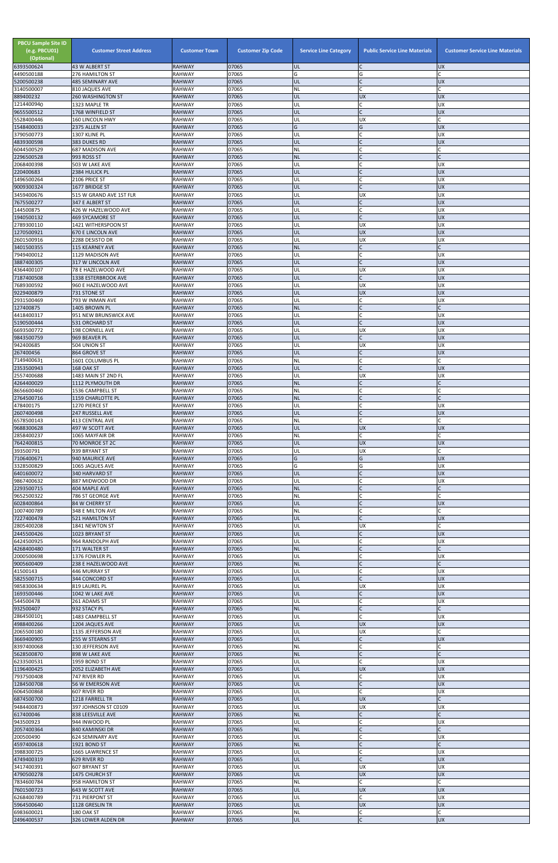| <b>PBCU Sample Site ID</b><br>(e.g. PBCU01)<br>(Optional)<br>6393500624 | <b>Customer Street Address</b><br>43 W ALBERT ST | <b>Customer Town</b><br><b>RAHWAY</b> | <b>Customer Zip Code</b><br>07065 | <b>Service Line Category</b><br>UL | <b>Public Service Line Materials</b><br>$\mathsf{C}$ | <b>Customer Service Line Materials</b><br><b>UX</b> |
|-------------------------------------------------------------------------|--------------------------------------------------|---------------------------------------|-----------------------------------|------------------------------------|------------------------------------------------------|-----------------------------------------------------|
| 4490500188                                                              | 276 HAMILTON ST                                  | <b>RAHWAY</b>                         | 07065                             | G                                  | G                                                    |                                                     |
| 5200500238                                                              | <b>485 SEMINARY AVE</b>                          | <b>RAHWAY</b>                         | 07065                             | UL                                 | $\mathsf{C}$                                         | <b>UX</b>                                           |
| 3140500007<br>889400232                                                 | 810 JAQUES AVE<br><b>260 WASHINGTON ST</b>       | RAHWAY<br><b>RAHWAY</b>               | 07065<br>07065                    | <b>NL</b><br>UL                    | $\mathsf{C}$<br><b>UX</b>                            | <b>UX</b>                                           |
| 1214400940                                                              | 1323 MAPLE TR                                    | <b>RAHWAY</b>                         | 07065                             | UL                                 | $\mathsf{C}$                                         | UX                                                  |
| 9655500512<br>5528400446                                                | 1768 WINFIELD ST<br><b>160 LINCOLN HWY</b>       | <b>RAHWAY</b><br><b>RAHWAY</b>        | 07065<br>07065                    | UL<br>UL                           | $\mathsf{C}$<br><b>UX</b>                            | <b>UX</b><br>C                                      |
| 1548400033                                                              | 2375 ALLEN ST                                    | <b>RAHWAY</b>                         | 07065                             | G                                  | G                                                    | <b>UX</b>                                           |
| 3790500773                                                              | 1307 KLINE PL                                    | <b>RAHWAY</b>                         | 07065                             | UL                                 | C                                                    | UX                                                  |
| 4839300598<br>6044500529                                                | 383 DUKES RD<br><b>687 MADISON AVE</b>           | <b>RAHWAY</b><br><b>RAHWAY</b>        | 07065<br>07065                    | UL<br><b>NL</b>                    | $\mathsf{C}$                                         | <b>UX</b>                                           |
| 2296500528                                                              | 993 ROSS ST                                      | <b>RAHWAY</b>                         | 07065                             | <b>NL</b>                          | $\mathsf{C}$                                         |                                                     |
| 2068400398                                                              | 503 W LAKE AVE                                   | <b>RAHWAY</b>                         | 07065                             | UL                                 | $\mathsf{C}$                                         | UX                                                  |
| 220400683<br>1496500264                                                 | 2384 HULICK PL<br>2106 PRICE ST                  | <b>RAHWAY</b><br><b>RAHWAY</b>        | 07065<br>07065                    | UL<br>UL                           | $\mathsf{C}$<br>C                                    | <b>UX</b><br><b>UX</b>                              |
| 9009300324                                                              | 1677 BRIDGE ST                                   | <b>RAHWAY</b>                         | 07065                             | UL                                 | $\mathsf{C}$                                         | <b>UX</b>                                           |
| 3459400676                                                              | 515 W GRAND AVE 1ST FLR                          | <b>RAHWAY</b>                         | 07065                             | UL                                 | <b>UX</b>                                            | <b>UX</b>                                           |
| 7675500277<br>144500875                                                 | 347 E ALBERT ST<br>426 W HAZELWOOD AVE           | <b>RAHWAY</b><br><b>RAHWAY</b>        | 07065<br>07065                    | UL<br>UL                           | $\mathsf{C}$<br>C                                    | <b>UX</b><br>UX                                     |
| 1940500132                                                              | <b>469 SYCAMORE ST</b>                           | <b>RAHWAY</b>                         | 07065                             | UL                                 | $\mathsf{C}$                                         | <b>UX</b>                                           |
| 2789300110<br>1270500921                                                | 1421 WITHERSPOON ST                              | <b>RAHWAY</b>                         | 07065                             | UL                                 | <b>UX</b><br><b>UX</b>                               | <b>UX</b><br>UX                                     |
| 2601500916                                                              | <b>670 E LINCOLN AVE</b><br>2288 DESISTO DR      | <b>RAHWAY</b><br><b>RAHWAY</b>        | 07065<br>07065                    | UL<br>UL                           | <b>UX</b>                                            | UX                                                  |
| 3401500355                                                              | <b>115 KEARNEY AVE</b>                           | <b>RAHWAY</b>                         | 07065                             | <b>NL</b>                          | $\mathsf{C}$                                         |                                                     |
| 7949400012                                                              | 1129 MADISON AVE                                 | <b>RAHWAY</b>                         | 07065<br>07065                    | UL<br>UL                           | <b>C</b><br>$\mathsf{C}$                             | UX<br><b>UX</b>                                     |
| 3887400305<br>4364400107                                                | 317 W LINCOLN AVE<br>78 E HAZELWOOD AVE          | <b>RAHWAY</b><br><b>RAHWAY</b>        | 07065                             | UL                                 | UX                                                   | <b>UX</b>                                           |
| 7187400508                                                              | <b>1338 ESTERBROOK AVE</b>                       | <b>RAHWAY</b>                         | 07065                             | UL                                 | $\mathsf{C}$                                         | <b>UX</b>                                           |
| 7689300592<br>9229400879                                                | 960 E HAZELWOOD AVE<br>731 STONE ST              | <b>RAHWAY</b><br><b>RAHWAY</b>        | 07065<br>07065                    | UL<br>UL                           | <b>UX</b><br>UX                                      | <b>UX</b><br><b>UX</b>                              |
| 2931500469                                                              | 793 W INMAN AVE                                  | <b>RAHWAY</b>                         | 07065                             | UL                                 | C                                                    | <b>UX</b>                                           |
| 127400875                                                               | 1405 BROWN PL                                    | <b>RAHWAY</b>                         | 07065                             | <b>NL</b>                          | $\mathcal{C}$                                        |                                                     |
| 4418400317<br>5190500444                                                | 951 NEW BRUNSWICK AVE<br>531 ORCHARD ST          | <b>RAHWAY</b><br><b>RAHWAY</b>        | 07065<br>07065                    | UL<br>UL                           | C<br>$\mathsf{C}$                                    | UX<br><b>UX</b>                                     |
| 6693500772                                                              | 198 CORNELL AVE                                  | <b>RAHWAY</b>                         | 07065                             | UL                                 | <b>UX</b>                                            | UX                                                  |
| 9843500759                                                              | 969 BEAVER PL                                    | <b>RAHWAY</b>                         | 07065                             | UL                                 | $\mathsf{C}$                                         | <b>UX</b>                                           |
| 942400685<br>267400456                                                  | 504 UNION ST<br>864 GROVE ST                     | <b>RAHWAY</b><br><b>RAHWAY</b>        | 07065<br>07065                    | UL<br><b>IUL</b>                   | <b>UX</b>                                            | <b>UX</b><br><b>UX</b>                              |
| 7149400631                                                              | 1601 COLUMBUS PL                                 | RAHWAY                                | 07065                             | <b>NL</b>                          | C.                                                   |                                                     |
| 2353500943                                                              | 168 OAK ST                                       | <b>RAHWAY</b>                         | 07065                             | UL                                 | $\mathsf{C}$                                         | <b>UX</b>                                           |
| 2557400688<br>4264400029                                                | 1483 MAIN ST 2ND FL<br>1112 PLYMOUTH DR          | <b>RAHWAY</b><br><b>RAHWAY</b>        | 07065<br>07065                    | UL<br><b>NL</b>                    | <b>UX</b><br>$\mathsf{C}$                            | UX                                                  |
| 8656600460                                                              | 1536 CAMPBELL ST                                 | <b>RAHWAY</b>                         | 07065                             | <b>NL</b>                          | $\mathsf{C}$                                         |                                                     |
| 2764500716                                                              | 1159 CHARLOTTE PL                                | <b>RAHWAY</b>                         | 07065                             | <b>NL</b>                          | $\mathsf{C}$                                         |                                                     |
| 478400175<br>2607400498                                                 | 1270 PIERCE ST<br><b>247 RUSSELL AVE</b>         | <b>RAHWAY</b><br><b>RAHWAY</b>        | 07065<br>07065                    | UL<br>UL                           | $\mathsf C$<br>$\mathsf{C}$                          | <b>UX</b><br><b>UX</b>                              |
| 6578500143                                                              | 413 CENTRAL AVE                                  | RAHWAY                                | 07065                             | <b>NL</b>                          | $\mathsf{C}$                                         |                                                     |
| 9688300628                                                              | 497 W SCOTT AVE                                  | <b>RAHWAY</b>                         | 07065                             | UL                                 | <b>UX</b>                                            | <b>UX</b>                                           |
| 2858400237<br>7642400815                                                | 1065 MAYFAIR DR<br>70 MONROE ST 2C               | RAHWAY<br><b>RAHWAY</b>               | 07065<br>07065                    | <b>NL</b><br>UL                    | $\mathsf{C}$<br><b>UX</b>                            | <b>UX</b>                                           |
| 393500791                                                               | 939 BRYANT ST                                    | <b>RAHWAY</b>                         | 07065                             | UL                                 | <b>UX</b>                                            |                                                     |
| 7106400671                                                              | 940 MAURICE AVE                                  | <b>RAHWAY</b>                         | 07065                             | G                                  | G                                                    | <b>UX</b>                                           |
| 3328500829<br>6401600072                                                | 1065 JAQUES AVE<br>340 HARVARD ST                | RAHWAY<br><b>RAHWAY</b>               | 07065<br>07065                    | G<br>UL                            | G<br>$\mathsf C$                                     | <b>UX</b><br>UX                                     |
| 9867400632                                                              | 887 MIDWOOD DR                                   | <b>RAHWAY</b>                         | 07065                             | UL                                 | $\mathsf{C}$                                         | <b>UX</b>                                           |
| 2293500715                                                              | 404 MAPLE AVE                                    | <b>RAHWAY</b>                         | 07065                             | <b>NL</b>                          | $\mathsf{C}$<br>$\mathsf{C}$                         |                                                     |
| 9652500322<br>6028400864                                                | 786 ST GEORGE AVE<br>84 W CHERRY ST              | RAHWAY<br><b>RAHWAY</b>               | 07065<br>07065                    | <b>NL</b><br>UL                    | $\mathsf{C}$                                         | <b>UX</b>                                           |
| 1007400789                                                              | 348 E MILTON AVE                                 | <b>RAHWAY</b>                         | 07065                             | <b>NL</b>                          | C                                                    |                                                     |
| 7227400478<br>2805400208                                                | <b>521 HAMILTON ST</b><br>1841 NEWTON ST         | <b>RAHWAY</b><br><b>RAHWAY</b>        | 07065<br>07065                    | UL<br>UL                           | $\mathsf{C}$<br><b>UX</b>                            | <b>UX</b>                                           |
| 2445500426                                                              | 1023 BRYANT ST                                   | <b>RAHWAY</b>                         | 07065                             | UL                                 | $\mathsf{C}$                                         | <b>UX</b>                                           |
| 6424500925                                                              | 964 RANDOLPH AVE                                 | <b>RAHWAY</b>                         | 07065                             | UL                                 | $\mathsf C$                                          | <b>UX</b>                                           |
| 4268400480<br>2000500698                                                | 171 WALTER ST<br>1376 FOWLER PL                  | <b>RAHWAY</b><br><b>RAHWAY</b>        | 07065<br>07065                    | <b>NL</b><br>UL                    | $\mathsf{C}$<br>C                                    | <b>UX</b>                                           |
| 9005600409                                                              | 238 E HAZELWOOD AVE                              | <b>RAHWAY</b>                         | 07065                             | <b>NL</b>                          | $\mathsf{C}$                                         | $\Gamma$                                            |
| 41500143                                                                | 446 MURRAY ST                                    | <b>RAHWAY</b>                         | 07065                             | UL                                 | $\mathsf{C}$                                         | <b>UX</b>                                           |
| 5825500715<br>9858300634                                                | 344 CONCORD ST<br>819 LAUREL PL                  | <b>RAHWAY</b><br><b>RAHWAY</b>        | 07065<br>07065                    | UL<br>UL                           | $\mathsf{C}$<br><b>UX</b>                            | <b>UX</b><br><b>UX</b>                              |
| 1693500446                                                              | 1042 W LAKE AVE                                  | <b>RAHWAY</b>                         | 07065                             | UL                                 | C                                                    | <b>UX</b>                                           |
| 544500478                                                               | 261 ADAMS ST                                     | RAHWAY                                | 07065                             | UL                                 | C.                                                   | <b>UX</b>                                           |
| 932500407<br>2864500101                                                 | 932 STACY PL<br>1483 CAMPBELL ST                 | <b>RAHWAY</b><br><b>RAHWAY</b>        | 07065<br>07065                    | <b>NL</b><br>UL                    | $\mathsf{C}$<br>$\mathsf{C}$                         | <b>UX</b>                                           |
| 4988400266                                                              | 1204 JAQUES AVE                                  | <b>RAHWAY</b>                         | 07065                             | UL                                 | <b>UX</b>                                            | <b>UX</b>                                           |
| 2065500180                                                              | 1135 JEFFERSON AVE                               | <b>RAHWAY</b><br><b>RAHWAY</b>        | 07065<br>07065                    | UL<br>UL                           | <b>UX</b><br>$\mathsf{C}$                            | C<br><b>UX</b>                                      |
| 3669400905<br>8397400068                                                | 255 W STEARNS ST<br>130 JEFFERSON AVE            | <b>RAHWAY</b>                         | 07065                             | <b>NL</b>                          | $\mathsf{C}$                                         |                                                     |
| 5628500870                                                              | 898 W LAKE AVE                                   | <b>RAHWAY</b>                         | 07065                             | <b>NL</b>                          |                                                      |                                                     |
| 6233500531                                                              | 1959 BOND ST                                     | <b>RAHWAY</b>                         | 07065                             | UL                                 |                                                      | UX                                                  |
| 1196400425<br>7937500408                                                | <b>2052 ELIZABETH AVE</b><br>747 RIVER RD        | RAHWAY<br><b>RAHWAY</b>               | 07065<br>07065                    | IUL.<br>UL                         | <b>UX</b><br>$\mathsf{C}$                            | <b>UX</b><br><b>UX</b>                              |
| 1284500708                                                              | 56 W EMERSON AVE                                 | <b>RAHWAY</b>                         | 07065                             | UL                                 | $\mathsf{C}$                                         | <b>UX</b>                                           |
| 6064500868<br>6874500700                                                | 607 RIVER RD                                     | <b>RAHWAY</b>                         | 07065<br>07065                    | UL<br>UL                           | $\mathsf{C}$<br><b>UX</b>                            | <b>UX</b><br>C                                      |
| 9484400873                                                              | 1218 FARRELL TR<br>397 JOHNSON ST C0109          | <b>RAHWAY</b><br><b>RAHWAY</b>        | 07065                             | UL                                 | <b>UX</b>                                            | UX                                                  |
| 617400046                                                               | 838 LEESVILLE AVE                                | <b>RAHWAY</b>                         | 07065                             | <b>NL</b>                          |                                                      |                                                     |
| 943500923<br>2057400364                                                 | 944 INWOOD PL<br>840 KAMINSKI DR                 | <b>RAHWAY</b><br><b>RAHWAY</b>        | 07065<br>07065                    | UL<br><b>NL</b>                    | C<br>$\mathsf{C}$                                    | UX                                                  |
| 200500490                                                               | <b>624 SEMINARY AVE</b>                          | <b>RAHWAY</b>                         | 07065                             | UL                                 | <b>C</b>                                             | <b>UX</b>                                           |
| 4597400618                                                              | 1921 BOND ST                                     | <b>RAHWAY</b>                         | 07065                             | <b>NL</b>                          | $\mathsf{C}$                                         |                                                     |
| 3988300725<br>4749400319                                                | 1665 LAWRENCE ST<br>629 RIVER RD                 | <b>RAHWAY</b><br><b>RAHWAY</b>        | 07065<br>07065                    | UL<br>UL                           | $\mathsf{C}$<br>$\mathsf{C}$                         | <b>UX</b><br><b>UX</b>                              |
| 3417400391                                                              | 607 BRYANT ST                                    | <b>RAHWAY</b>                         | 07065                             | UL                                 | <b>UX</b>                                            | <b>UX</b>                                           |
| 4790500278                                                              | 1475 CHURCH ST                                   | <b>RAHWAY</b>                         | 07065                             | UL                                 | <b>UX</b>                                            | <b>UX</b>                                           |
| 7834600784<br>7601500723                                                | 958 HAMILTON ST<br>643 W SCOTT AVE               | <b>RAHWAY</b><br><b>RAHWAY</b>        | 07065<br>07065                    | <b>NL</b><br><b>UL</b>             | $\mathsf{C}$<br><b>UX</b>                            | <b>UX</b>                                           |
| 6268400789                                                              | 731 PIERPONT ST                                  | <b>RAHWAY</b>                         | 07065                             | UL                                 | $\mathsf{C}$                                         | UX                                                  |
| 5964500640                                                              | 1128 GRESLIN TR                                  | <b>RAHWAY</b>                         | 07065                             | UL                                 | <b>UX</b>                                            | <b>UX</b>                                           |
| 6983600021<br>2496400537                                                | 180 OAK ST<br>326 LOWER ALDEN DR                 | <b>RAHWAY</b><br><b>RAHWAY</b>        | 07065<br>07065                    | <b>NL</b><br><b>UL</b>             | $\mathsf{C}$<br>$\mathsf C$                          | Ċ<br><b>UX</b>                                      |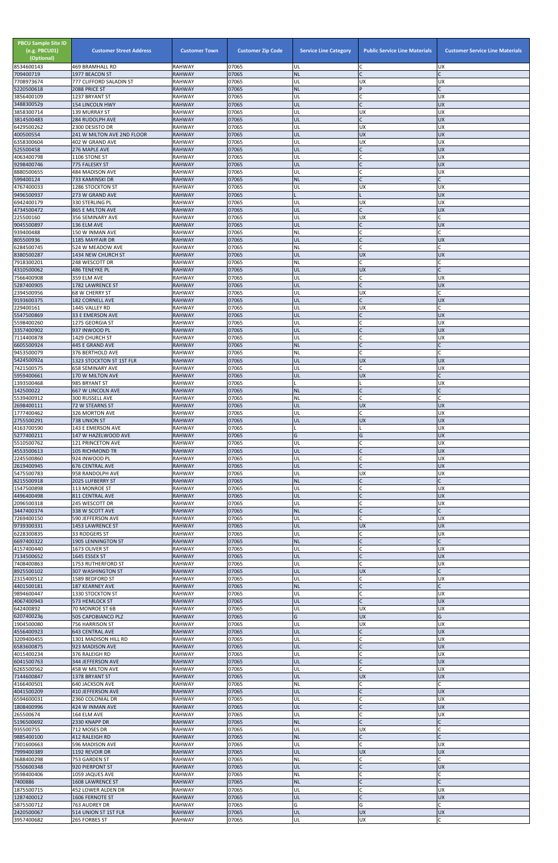| <b>PBCU Sample Site ID</b><br>(e.g. PBCU01)<br>(Optional)<br>8534600143 | <b>Customer Street Address</b><br>469 BRAMHALL RD | <b>Customer Town</b><br><b>RAHWAY</b> | <b>Customer Zip Code</b><br>07065 | <b>Service Line Category</b><br>UL | <b>Public Service Line Materials</b><br>C | <b>Customer Service Line Materials</b><br><b>UX</b> |
|-------------------------------------------------------------------------|---------------------------------------------------|---------------------------------------|-----------------------------------|------------------------------------|-------------------------------------------|-----------------------------------------------------|
| 709400719                                                               | 1977 BEACON ST                                    | <b>RAHWAY</b>                         | 07065                             | <b>NL</b>                          | $\mathsf{C}$                              |                                                     |
| 7708973674<br>5220500618                                                | 777 CLIFFORD SALADIN ST<br>2088 PRICE ST          | <b>RAHWAY</b><br><b>RAHWAY</b>        | 07065<br>07065                    | UL<br><b>NL</b>                    | <b>UX</b><br>P                            | <b>UX</b><br>$\mathsf{C}$                           |
| 3856400109                                                              | 1237 BRYANT ST                                    | <b>RAHWAY</b>                         | 07065                             | UL                                 | $\mathsf{C}$                              | <b>UX</b>                                           |
| 3488300529<br>3858300714                                                | <b>154 LINCOLN HWY</b><br>139 MURRAY ST           | <b>RAHWAY</b><br><b>RAHWAY</b>        | 07065<br>07065                    | UL<br>UL                           | $\mathsf{C}$<br>UX                        | <b>UX</b><br><b>UX</b>                              |
| 3814500483                                                              | 284 RUDOLPH AVE                                   | <b>RAHWAY</b>                         | 07065                             | UL                                 | $\mathsf{C}$                              | <b>UX</b>                                           |
| 6429500262                                                              | 2300 DESISTO DR                                   | <b>RAHWAY</b>                         | 07065                             | UL                                 | UX                                        | <b>UX</b>                                           |
| 400500554<br>6358300604                                                 | 241 W MILTON AVE 2ND FLOOR<br>402 W GRAND AVE     | <b>RAHWAY</b><br><b>RAHWAY</b>        | 07065<br>07065                    | UL<br>UL                           | <b>UX</b><br><b>UX</b>                    | <b>UX</b><br><b>UX</b>                              |
| 525500458                                                               | 276 MAPLE AVE                                     | <b>RAHWAY</b>                         | 07065                             | UL                                 | $\mathsf{C}$                              | <b>UX</b>                                           |
| 4063400798<br>9298400746                                                | 1106 STONE ST<br>775 FALESKY ST                   | <b>RAHWAY</b><br><b>RAHWAY</b>        | 07065<br>07065                    | UL<br>UL                           | $\mathsf{C}$<br>$\mathcal{C}$             | UX<br><b>UX</b>                                     |
| 8880500655                                                              | <b>484 MADISON AVE</b>                            | <b>RAHWAY</b>                         | 07065                             | UL                                 |                                           | <b>UX</b>                                           |
| 599400124                                                               | 733 KAMINSKI DR                                   | <b>RAHWAY</b>                         | 07065                             | <b>NL</b>                          | $\mathsf{C}$                              |                                                     |
| 4767400033<br>9496500937                                                | 1286 STOCKTON ST<br>273 W GRAND AVE               | <b>RAHWAY</b><br><b>RAHWAY</b>        | 07065<br>07065                    | UL                                 | <b>UX</b>                                 | <b>UX</b><br><b>UX</b>                              |
| 6942400179                                                              | 330 STERLING PL                                   | <b>RAHWAY</b>                         | 07065                             | UL                                 | <b>UX</b>                                 | <b>UX</b>                                           |
| 4734500472<br>225500160                                                 | 865 E MILTON AVE<br>356 SEMINARY AVE              | <b>RAHWAY</b><br><b>RAHWAY</b>        | 07065<br>07065                    | UL<br>UL                           | $\mathsf{C}$<br><b>UX</b>                 | <b>UX</b><br>C                                      |
| 9045500897                                                              | 136 ELM AVE                                       | <b>RAHWAY</b>                         | 07065                             | UL                                 | $\mathsf{C}$                              | <b>UX</b>                                           |
| 939400488                                                               | 150 W INMAN AVE                                   | <b>RAHWAY</b>                         | 07065                             | <b>NL</b>                          | $\overline{C}$                            |                                                     |
| 805500936<br>6284500745                                                 | 1185 MAYFAIR DR<br>524 W MEADOW AVE               | <b>RAHWAY</b><br><b>RAHWAY</b>        | 07065<br>07065                    | UL<br>NL                           | $\mathsf{C}$<br>$\mathsf{C}$              | <b>UX</b>                                           |
| 8380500287                                                              | 1434 NEW CHURCH ST                                | <b>RAHWAY</b>                         | 07065                             | UL                                 | <b>UX</b>                                 | <b>UX</b>                                           |
| 7918300201<br>4310500062                                                | 248 WESCOTT DR<br>486 TENEYKE PL                  | <b>RAHWAY</b><br><b>RAHWAY</b>        | 07065<br>07065                    | NL<br>UL                           | $\mathsf{C}$<br><b>UX</b>                 |                                                     |
| 7566400908                                                              | 359 ELM AVE                                       | <b>RAHWAY</b>                         | 07065                             | UL                                 | $\mathsf{C}$                              | <b>UX</b>                                           |
| 5287400905                                                              | 1782 LAWRENCE ST                                  | <b>RAHWAY</b>                         | 07065                             | UL                                 | $\mathsf{C}$                              | <b>UX</b>                                           |
| 2394500956<br>9193600375                                                | 68 W CHERRY ST<br><b>182 CORNELL AVE</b>          | <b>RAHWAY</b><br><b>RAHWAY</b>        | 07065<br>07065                    | UL<br>UL                           | <b>UX</b><br>$\mathsf{C}$                 | $\mathsf{C}$<br><b>UX</b>                           |
| 229400161                                                               | 1445 VALLEY RD                                    | <b>RAHWAY</b>                         | 07065                             | UL                                 | <b>UX</b>                                 | $\mathsf{C}$                                        |
| 5547500869                                                              | 33 E EMERSON AVE                                  | <b>RAHWAY</b><br><b>RAHWAY</b>        | 07065<br>07065                    | UL<br>UL                           | $\mathsf{C}$<br>$\mathsf{C}$              | <b>UX</b><br><b>UX</b>                              |
| 5598400260<br>3357400902                                                | 1275 GEORGIA ST<br>937 INWOOD PL                  | <b>RAHWAY</b>                         | 07065                             | UL                                 | $\mathsf{C}$                              | <b>UX</b>                                           |
| 7114400878                                                              | 1429 CHURCH ST                                    | <b>RAHWAY</b>                         | 07065                             | UL                                 |                                           | UX                                                  |
| 6605500924<br>9453500079                                                | 445 E GRAND AVE<br>376 BERTHOLD AVE               | <b>RAHWAY</b><br><b>RAHWAY</b>        | 07065<br>07065                    | <b>NL</b><br>ΝL                    |                                           |                                                     |
| 5424500924                                                              | 1323 STOCKTON ST 1ST FLR                          | <b>RAHWAY</b>                         | 07065                             | UL                                 | <b>UX</b>                                 | <b>UX</b>                                           |
| 7421500575                                                              | <b>658 SEMINARY AVE</b>                           | <b>RAHWAY</b>                         | 07065                             | UL                                 | $\mathsf{C}$                              | <b>UX</b>                                           |
| 5959400661<br>1393500468                                                | 170 W MILTON AVE<br>985 BRYANT ST                 | <b>RAHWAY</b><br><b>RAHWAY</b>        | 07065<br>07065                    | UL                                 | <b>UX</b>                                 | <b>UX</b>                                           |
| 142500022                                                               | 667 W LINCOLN AVE                                 | <b>RAHWAY</b>                         | 07065                             | <b>NL</b>                          | $\mathsf{C}$                              | C                                                   |
| 5539400912<br>2698400111                                                | 300 RUSSELL AVE<br>72 W STEARNS ST                | <b>RAHWAY</b><br><b>RAHWAY</b>        | 07065<br>07065                    | NL<br>UL                           | $\mathsf{C}$<br><b>UX</b>                 | <b>UX</b>                                           |
| 1777400462                                                              | 326 MORTON AVE                                    | <b>RAHWAY</b>                         | 07065                             | UL                                 | $\mathsf{C}$                              | <b>UX</b>                                           |
| 2755500291                                                              | 738 UNION ST                                      | <b>RAHWAY</b>                         | 07065                             | UL                                 | <b>UX</b>                                 | <b>UX</b>                                           |
| 4163700590<br>5277400211                                                | 143 E EMERSON AVE<br>147 W HAZELWOOD AVE          | <b>RAHWAY</b><br><b>RAHWAY</b>        | 07065<br>07065                    | G                                  | G                                         | <b>UX</b><br><b>UX</b>                              |
| 5510500762                                                              | 121 PRINCETON AVE                                 | <b>RAHWAY</b>                         | 07065                             | UL                                 | $\mathsf{C}$                              | <b>UX</b>                                           |
| 4553500613<br>2245500860                                                | <b>105 RICHMOND TR</b><br>924 INWOOD PL           | <b>RAHWAY</b><br><b>RAHWAY</b>        | 07065<br>07065                    | UL<br>UL                           | $\mathsf{C}$<br>$\mathsf{C}$              | <b>UX</b><br><b>UX</b>                              |
| 2619400945                                                              | <b>676 CENTRAL AVE</b>                            | <b>RAHWAY</b>                         | 07065                             | UL                                 | $\mathsf{C}$                              | <b>UX</b>                                           |
| 5475500783                                                              | 958 RANDOLPH AVE                                  | <b>RAHWAY</b>                         | 07065                             | UL                                 | <b>UX</b>                                 | UX                                                  |
| 8215500918<br>1547500898                                                | 2025 LUFBERRY ST<br>113 MONROE ST                 | <b>RAHWAY</b><br><b>RAHWAY</b>        | 07065<br>07065                    | <b>NL</b><br>UL                    | $\mathsf{C}$                              | <b>UX</b>                                           |
| 4496400498                                                              | 811 CENTRAL AVE                                   | <b>RAHWAY</b>                         | 07065                             | UL                                 | $\mathsf{C}$                              | <b>UX</b>                                           |
| 2096500318<br>3447400374                                                | 245 WESCOTT DR<br>338 W SCOTT AVE                 | <b>RAHWAY</b><br><b>RAHWAY</b>        | 07065<br>07065                    | UL<br><b>NL</b>                    | $\mathsf{C}$<br>$\mathcal{C}$             | <b>UX</b>                                           |
| 7269400150                                                              | 590 JEFFERSON AVE                                 | RAHWAY                                | 07065                             | UL                                 | $\mathsf{C}$                              | <b>UX</b>                                           |
| 9739300331                                                              | 1453 LAWRENCE ST                                  | <b>RAHWAY</b>                         | 07065                             | UL                                 | <b>UX</b><br>$\mathsf{C}$                 | <b>UX</b>                                           |
| 6228300835<br>6697400322                                                | 33 RODGERS ST<br><b>1905 LENNINGTON ST</b>        | <b>RAHWAY</b><br><b>RAHWAY</b>        | 07065<br>07065                    | UL<br><b>NL</b>                    |                                           | UX                                                  |
| 4157400440                                                              | 1673 OLIVER ST                                    | <b>RAHWAY</b>                         | 07065                             | UL                                 |                                           | <b>UX</b>                                           |
| 7134500652<br>7408400863                                                | 1645 ESSEX ST<br>1753 RUTHERFORD ST               | <b>RAHWAY</b><br><b>RAHWAY</b>        | 07065<br>07065                    | UL<br>UL                           | $\mathsf{C}$<br>$\mathsf{C}$              | <b>UX</b><br><b>UX</b>                              |
| 8925500102                                                              | 307 WASHINGTON ST                                 | <b>RAHWAY</b>                         | 07065                             | UL                                 | <b>UX</b>                                 |                                                     |
| 2315400512                                                              | 1589 BEDFORD ST                                   | <b>RAHWAY</b>                         | 07065                             | UL                                 | $\mathsf{C}$                              | <b>UX</b>                                           |
| 4401500181<br>9894600447                                                | 187 KEARNEY AVE<br>1330 STOCKTON ST               | <b>RAHWAY</b><br><b>RAHWAY</b>        | 07065<br>07065                    | <b>NL</b><br>UL                    | $\mathsf{C}$<br>$\mathsf{C}$              | <b>UX</b>                                           |
| 4067400943                                                              | 573 HEMLOCK ST                                    | RAHWAY                                | 07065                             | UL                                 | $\mathsf{C}$                              | <b>UX</b>                                           |
| 642400892<br>6207400236                                                 | 70 MONROE ST 6B<br>505 CAPOBIANCO PLZ             | <b>RAHWAY</b><br><b>RAHWAY</b>        | 07065<br>07065                    | UL<br>G                            | <b>UX</b><br><b>UX</b>                    | <b>UX</b><br>G                                      |
| 1904500080                                                              | 756 HARRISON ST                                   | <b>RAHWAY</b>                         | 07065                             | UL                                 | <b>UX</b>                                 | <b>UX</b>                                           |
| 4556400923                                                              | <b>643 CENTRAL AVE</b>                            | <b>RAHWAY</b><br><b>RAHWAY</b>        | 07065<br>07065                    | UL<br>UL                           | $\mathsf{C}$<br>$\mathsf{C}$              | <b>UX</b><br>UX                                     |
| 3209400455<br>6583600875                                                | 1301 MADISON HILL RD<br>923 MADISON AVE           | <b>RAHWAY</b>                         | 07065                             | UL                                 | $\mathcal{C}$                             | <b>UX</b>                                           |
| 4015400234                                                              | 376 RALEIGH RD                                    | <b>RAHWAY</b>                         | 07065                             | UL                                 |                                           | UX                                                  |
| 6041500763<br>6265500562                                                | 344 JEFFERSON AVE<br>458 W MILTON AVE             | <b>RAHWAY</b><br><b>RAHWAY</b>        | 07065<br>07065                    | UL<br>UL                           |                                           | <b>UX</b><br>ļUΧ                                    |
| 7144600847                                                              | 1378 BRYANT ST                                    | <b>RAHWAY</b>                         | 07065                             | UL                                 | <b>UX</b>                                 | UX                                                  |
| 4166400501                                                              | <b>640 JACKSON AVE</b>                            | <b>RAHWAY</b>                         | 07065                             | <b>NL</b>                          | $\mathsf{C}$<br>$\mathsf{C}$              |                                                     |
| 4041500209<br>6594600031                                                | 410 JEFFERSON AVE<br>2360 COLONIAL DR             | <b>RAHWAY</b><br>RAHWAY               | 07065<br>07065                    | UL<br>UL                           | $\mathsf{C}$                              | <b>UX</b><br><b>UX</b>                              |
| 1808400996                                                              | 424 W INMAN AVE                                   | <b>RAHWAY</b>                         | 07065                             | UL                                 | $\mathsf{C}$                              | <b>UX</b>                                           |
| 265500674<br>5196500692                                                 | 164 ELM AVE<br>2330 KNAPP DR                      | RAHWAY<br><b>RAHWAY</b>               | 07065<br>07065                    | UL<br><b>NL</b>                    | $\mathsf{C}$<br>$\mathsf{C}$              | <b>UX</b>                                           |
| 935500755                                                               | 712 MOSES DR                                      | RAHWAY                                | 07065                             | UL                                 | <b>UX</b>                                 | C                                                   |
| 9885400100                                                              | 412 RALEIGH RD                                    | <b>RAHWAY</b>                         | 07065                             | <b>NL</b>                          | $\mathsf{C}$                              | $\mathsf{C}$                                        |
| 7301600663<br>7999400389                                                | 596 MADISON AVE<br>1192 REVOIR DR                 | RAHWAY<br><b>RAHWAY</b>               | 07065<br>07065                    | UL<br>UL                           | $\mathsf C$<br><b>UX</b>                  | <b>UX</b><br><b>UX</b>                              |
| 3688400298                                                              | 753 GARDEN ST                                     | RAHWAY                                | 07065                             | <b>NL</b>                          | C                                         |                                                     |
| 7550600348<br>9598400406                                                | 920 PIERPONT ST<br>1059 JAQUES AVE                | <b>RAHWAY</b><br>RAHWAY               | 07065<br>07065                    | UL<br><b>NL</b>                    | $\mathsf{C}$<br>$\mathsf{C}$              | <b>UX</b>                                           |
| 7400886                                                                 | 1608 LAWRENCE ST                                  | <b>RAHWAY</b>                         | 07065                             | <b>NL</b>                          |                                           |                                                     |
| 1875500715                                                              | 452 LOWER ALDEN DR                                | RAHWAY                                | 07065                             | UL                                 |                                           | <b>UX</b>                                           |
| 1287400012<br>5875500712                                                | <b>1606 FERNOTE ST</b><br>763 AUDREY DR           | <b>RAHWAY</b><br>RAHWAY               | 07065<br>07065                    | UL<br>G                            | $\mathsf{C}$<br>G                         | UX<br>C                                             |
| 2420500067                                                              | 514 UNION ST 1ST FLR                              | <b>RAHWAY</b>                         | 07065                             | UL                                 | <b>UX</b>                                 | <b>UX</b>                                           |
| 3957400682                                                              | 265 FORBES ST                                     | RAHWAY                                | 07065                             | UL                                 | <b>UX</b>                                 | C                                                   |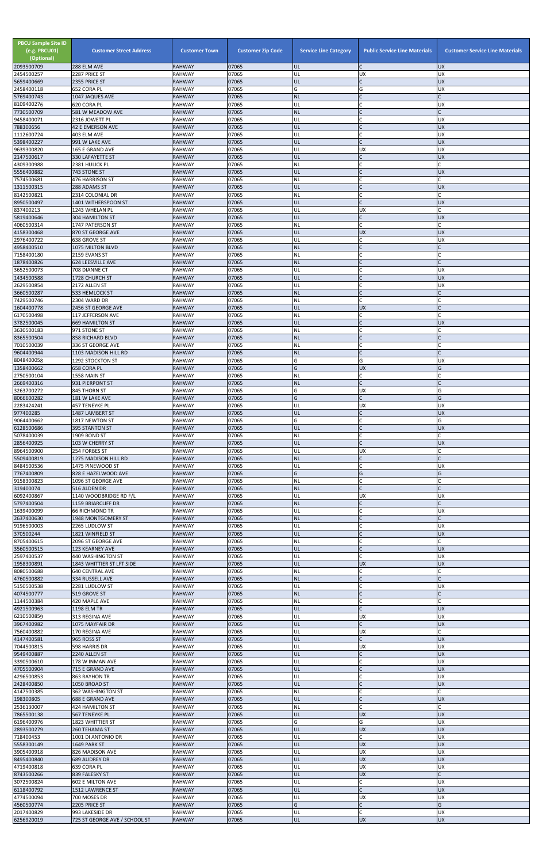| <b>PBCU Sample Site ID</b><br>(e.g. PBCU01)<br>(Optional)<br>2093500709 | <b>Customer Street Address</b><br>288 ELM AVE   | <b>Customer Town</b><br><b>RAHWAY</b> | <b>Customer Zip Code</b><br>07065 | <b>Service Line Category</b><br>UL | <b>Public Service Line Materials</b><br>$\mathsf{C}$ | <b>Customer Service Line Materials</b><br><b>UX</b> |
|-------------------------------------------------------------------------|-------------------------------------------------|---------------------------------------|-----------------------------------|------------------------------------|------------------------------------------------------|-----------------------------------------------------|
| 2454500257                                                              | 2287 PRICE ST                                   | <b>RAHWAY</b>                         | 07065                             | UL                                 | UX                                                   | <b>UX</b>                                           |
| 5659400669                                                              | 2355 PRICE ST                                   | <b>RAHWAY</b>                         | 07065                             | UL                                 | $\mathsf{C}$                                         | <b>UX</b>                                           |
| 2458400118<br>5769400743                                                | 652 CORA PL<br>1047 JAQUES AVE                  | <b>RAHWAY</b><br><b>RAHWAY</b>        | 07065<br>07065                    | G<br><b>NL</b>                     | G                                                    | UX                                                  |
| 8109400276                                                              | 620 CORA PL                                     | <b>RAHWAY</b>                         | 07065                             | UL                                 | $\mathcal{C}$                                        | UX                                                  |
| 7730500709<br>9458400071                                                | 581 W MEADOW AVE<br>2316 JOWETT PL              | <b>RAHWAY</b><br><b>RAHWAY</b>        | 07065<br>07065                    | <b>NL</b><br>UL                    | $\mathsf{C}$                                         | <b>UX</b>                                           |
| 788300656                                                               | <b>42 E EMERSON AVE</b>                         | <b>RAHWAY</b>                         | 07065                             | UL                                 | $\mathsf{C}$                                         | <b>UX</b>                                           |
| 1112600724<br>5398400227                                                | 403 ELM AVE<br>991 W LAKE AVE                   | <b>RAHWAY</b><br><b>RAHWAY</b>        | 07065<br>07065                    | UL<br>UL                           | $\mathsf{C}$<br>$\mathsf{C}$                         | <b>UX</b><br><b>UX</b>                              |
| 9639300820                                                              | 165 E GRAND AVE                                 | <b>RAHWAY</b>                         | 07065                             | UL                                 | <b>UX</b>                                            | <b>UX</b>                                           |
| 2147500617<br>4309300988                                                | 330 LAFAYETTE ST<br>2381 HULICK PL              | <b>RAHWAY</b><br><b>RAHWAY</b>        | 07065<br>07065                    | UL<br><b>NL</b>                    | $\mathsf{C}$<br>$\mathsf{C}$                         | <b>UX</b>                                           |
| 5556400882                                                              | 743 STONE ST                                    | <b>RAHWAY</b>                         | 07065                             | UL                                 |                                                      | <b>UX</b>                                           |
| 7574500681<br>1311500315                                                | 476 HARRISON ST<br>288 ADAMS ST                 | <b>RAHWAY</b><br><b>RAHWAY</b>        | 07065<br>07065                    | NL<br>UL                           | $\mathsf{C}$<br>$\mathsf{C}$                         | <b>UX</b>                                           |
| 8142500821                                                              | 2314 COLONIAL DR                                | <b>RAHWAY</b>                         | 07065                             | NL                                 | $\mathsf{C}$                                         |                                                     |
| 8950500497<br>837400213                                                 | 1401 WITHERSPOON ST                             | <b>RAHWAY</b><br><b>RAHWAY</b>        | 07065<br>07065                    | UL<br>UL                           | <b>UX</b>                                            | <b>UX</b><br>C                                      |
| 5819400646                                                              | 1243 WHELAN PL<br><b>304 HAMILTON ST</b>        | <b>RAHWAY</b>                         | 07065                             | UL                                 | $\mathsf{C}$                                         | <b>UX</b>                                           |
| 4060500314                                                              | 1747 PATERSON ST                                | <b>RAHWAY</b>                         | 07065                             | NL                                 | $\mathsf{C}$                                         |                                                     |
| 4158300468<br>2976400722                                                | 870 ST GEORGE AVE<br>638 GROVE ST               | <b>RAHWAY</b><br><b>RAHWAY</b>        | 07065<br>07065                    | UL<br>UL                           | <b>UX</b><br>$\mathsf{C}$                            | <b>UX</b><br><b>UX</b>                              |
| 4958400510                                                              | 1075 MILTON BLVD                                | <b>RAHWAY</b>                         | 07065                             | <b>NL</b>                          | $\mathsf{C}$                                         | C                                                   |
| 7158400180<br>1878400826                                                | 2159 EVANS ST<br>624 LEESVILLE AVE              | <b>RAHWAY</b><br><b>RAHWAY</b>        | 07065<br>07065                    | NL<br><b>NL</b>                    | $\mathsf{C}$<br>$\mathsf{C}$                         |                                                     |
| 3652500073                                                              | 708 DIANNE CT                                   | <b>RAHWAY</b>                         | 07065                             | UL                                 |                                                      | <b>UX</b>                                           |
| 1434500588<br>2629500854                                                | 1728 CHURCH ST<br>2172 ALLEN ST                 | <b>RAHWAY</b><br><b>RAHWAY</b>        | 07065<br>07065                    | UL<br>UL                           | $\mathsf{C}$                                         | <b>UX</b><br><b>UX</b>                              |
| 3660500287                                                              | 533 HEMLOCK ST                                  | <b>RAHWAY</b>                         | 07065                             | <b>NL</b>                          | $\mathsf{C}$                                         | $\mathsf{C}$                                        |
| 7429500746                                                              | 2304 WARD DR                                    | <b>RAHWAY</b>                         | 07065                             | NL                                 | $\mathsf{C}$                                         |                                                     |
| 1604400778<br>6170500498                                                | 2456 ST GEORGE AVE<br>117 JEFFERSON AVE         | <b>RAHWAY</b><br><b>RAHWAY</b>        | 07065<br>07065                    | UL<br>NL                           | <b>UX</b><br>$\mathsf{C}$                            |                                                     |
| 3782500045                                                              | <b>669 HAMILTON ST</b>                          | <b>RAHWAY</b>                         | 07065                             | UL                                 | $\mathsf{C}$                                         | <b>UX</b>                                           |
| 3630500183<br>8365500504                                                | 971 STONE ST<br><b>858 RICHARD BLVD</b>         | <b>RAHWAY</b><br><b>RAHWAY</b>        | 07065<br>07065                    | NL<br><b>NL</b>                    | $\mathsf{C}$                                         |                                                     |
| 7010500039                                                              | 336 ST GEORGE AVE                               | <b>RAHWAY</b>                         | 07065                             | NL                                 |                                                      |                                                     |
| 9604400944<br>8048400058                                                | 1103 MADISON HILL RD<br><b>1292 STOCKTON ST</b> | <b>RAHWAY</b><br><b>RAHWAY</b>        | 07065<br>07065                    | <b>NL</b><br>G                     | G                                                    | <b>UX</b>                                           |
| 1358400662                                                              | <b>658 CORA PL</b>                              | <b>RAHWAY</b>                         | 07065                             | G                                  | <b>UX</b>                                            | G                                                   |
| 2750500104<br>2669400316                                                | 1558 MAIN ST<br>931 PIERPONT ST                 | <b>RAHWAY</b><br><b>RAHWAY</b>        | 07065<br>07065                    | <b>NL</b><br><b>NL</b>             | C<br>$\mathsf{C}$                                    |                                                     |
| 3263700272                                                              | 845 THORN ST                                    | <b>RAHWAY</b>                         | 07065                             | G                                  | <b>UX</b>                                            | G                                                   |
| 8066600282                                                              | 181 W LAKE AVE                                  | <b>RAHWAY</b>                         | 07065                             | G                                  | $\mathsf{C}$                                         | G                                                   |
| 2283424241<br>977400285                                                 | <b>457 TENEYKE PL</b><br>1487 LAMBERT ST        | <b>RAHWAY</b><br><b>RAHWAY</b>        | 07065<br>07065                    | UL<br>UL                           | <b>UX</b><br>$\mathsf{C}$                            | <b>UX</b><br><b>UX</b>                              |
| 9064400662                                                              | 1817 NEWTON ST                                  | <b>RAHWAY</b>                         | 07065                             | G                                  | $\mathsf{C}$                                         | G                                                   |
| 6128500686<br>5078400039                                                | 395 STANTON ST<br>1909 BOND ST                  | <b>RAHWAY</b><br><b>RAHWAY</b>        | 07065<br>07065                    | UL<br>NL                           | $\mathsf{C}$<br>$\mathsf{C}$                         | <b>UX</b>                                           |
| 2856400925                                                              | 103 W CHERRY ST                                 | <b>RAHWAY</b>                         | 07065                             | UL                                 | $\mathcal{C}$                                        | <b>UX</b>                                           |
| 8964500900<br>5509400819                                                | 254 FORBES ST<br>1275 MADISON HILL RD           | <b>RAHWAY</b><br><b>RAHWAY</b>        | 07065<br>07065                    | UL<br><b>NL</b>                    | <b>UX</b><br>$\mathsf{C}$                            | $\mathsf{C}$                                        |
| 8484500536                                                              | 1475 PINEWOOD ST                                | RAHWAY                                | 07065                             | UL                                 | $\mathsf{C}$                                         | <b>UX</b>                                           |
| 7767400809                                                              | 828 E HAZELWOOD AVE                             | <b>RAHWAY</b>                         | 07065                             | G                                  | G                                                    | G                                                   |
| 9158300823<br>319400074                                                 | 1096 ST GEORGE AVE<br>516 ALDEN DR              | <b>RAHWAY</b><br><b>RAHWAY</b>        | 07065<br>07065                    | <b>NL</b><br><b>NL</b>             | $\mathsf{C}$                                         |                                                     |
| 6092400867                                                              | 1140 WOODBRIDGE RD F/L                          | <b>RAHWAY</b>                         | 07065                             | UL                                 | <b>UX</b>                                            | <b>UX</b>                                           |
| 5797400504<br>1639400099                                                | 1159 BRIARCLIFF DR<br>66 RICHMOND TR            | <b>RAHWAY</b><br><b>RAHWAY</b>        | 07065<br>07065                    | <b>NL</b><br>UL                    | $\mathsf{C}$                                         | <b>UX</b>                                           |
| 2637400630                                                              | 1948 MONTGOMERY ST                              | <b>RAHWAY</b>                         | 07065                             | <b>NL</b>                          | $\mathsf{C}$                                         |                                                     |
| 9196500003<br>370500244                                                 | 2265 LUDLOW ST<br>1821 WINFIELD ST              | <b>RAHWAY</b><br><b>RAHWAY</b>        | 07065<br>07065                    | UL<br>UL                           | $\mathsf{C}$<br>$\mathsf{C}$                         | <b>UX</b><br><b>UX</b>                              |
| 8705400615                                                              | 2096 ST GEORGE AVE                              | <b>RAHWAY</b>                         | 07065                             | <b>NL</b>                          |                                                      |                                                     |
| 3560500515<br>2597400537                                                | 123 KEARNEY AVE<br>440 WASHINGTON ST            | <b>RAHWAY</b><br><b>RAHWAY</b>        | 07065<br>07065                    | UL<br>UL                           | $\mathsf{C}$                                         | <b>UX</b><br>UX                                     |
| 1958300891                                                              | 1843 WHITTIER ST LFT SIDE                       | <b>RAHWAY</b>                         | 07065                             | UL                                 | <b>UX</b>                                            | <b>UX</b>                                           |
| 8080500688                                                              | 640 CENTRAL AVE                                 | <b>RAHWAY</b>                         | 07065                             | NL                                 | C                                                    |                                                     |
| 4760500882<br>5150500538                                                | 334 RUSSELL AVE<br>2281 LUDLOW ST               | <b>RAHWAY</b><br><b>RAHWAY</b>        | 07065<br>07065                    | <b>NL</b><br>UL                    |                                                      | UX                                                  |
| 4074500777                                                              | 519 GROVE ST                                    | <b>RAHWAY</b>                         | 07065                             | <b>NL</b>                          | $\mathsf{C}$                                         | C                                                   |
| 1144500384<br>4921500963                                                | 420 MAPLE AVE<br><b>1198 ELM TR</b>             | RAHWAY<br><b>RAHWAY</b>               | 07065<br>07065                    | NL<br>UL                           | $\mathsf{C}$                                         | <b>UX</b>                                           |
| 6210500859                                                              | 313 REGINA AVE                                  | <b>RAHWAY</b>                         | 07065                             | UL                                 | <b>UX</b>                                            | <b>UX</b>                                           |
| 3967400982<br>7560400882                                                | 1075 MAYFAIR DR<br>170 REGINA AVE               | <b>RAHWAY</b><br>RAHWAY               | 07065<br>07065                    | UL<br>UL                           | $\mathsf{C}$<br><b>UX</b>                            | <b>UX</b><br>C                                      |
| 4147400581                                                              | 965 ROSS ST                                     | <b>RAHWAY</b>                         | 07065                             | UL                                 | $\mathsf{C}$                                         | <b>UX</b>                                           |
| 7044500815<br>9549400887                                                | 598 HARRIS DR<br>2240 ALLEN ST                  | <b>RAHWAY</b>                         | 07065<br>07065                    | UL<br>UL                           | <b>UX</b>                                            | <b>UX</b><br><b>UX</b>                              |
| 3390500610                                                              | 178 W INMAN AVE                                 | <b>RAHWAY</b><br><b>RAHWAY</b>        | 07065                             | UL                                 |                                                      | <b>UX</b>                                           |
| 4705500904                                                              | 715 E GRAND AVE                                 | <b>RAHWAY</b>                         | 07065                             | UL                                 |                                                      | UX                                                  |
| 4296500853<br>2428400850                                                | <b>863 RAYHON TR</b><br>1050 BROAD ST           | RAHWAY<br><b>RAHWAY</b>               | 07065<br>07065                    | UL<br>UL                           | $\mathsf C$<br>$\mathsf{C}$                          | UX<br><b>UX</b>                                     |
| 4147500385                                                              | 362 WASHINGTON ST                               | RAHWAY                                | 07065                             | <b>NL</b>                          | $\mathsf{C}$                                         | C                                                   |
| 198300805<br>2536130007                                                 | <b>688 E GRAND AVE</b><br>424 HAMILTON ST       | <b>RAHWAY</b><br>RAHWAY               | 07065<br>07065                    | UL<br>NL                           | $\mathsf{C}$<br>$\mathsf{C}$                         | <b>UX</b>                                           |
| 7865500138                                                              | 567 TENEYKE PL                                  | <b>RAHWAY</b>                         | 07065                             | UL                                 | <b>UX</b>                                            | <b>UX</b>                                           |
| 6196400976<br>2893500279                                                | 1823 WHITTIER ST<br>260 TEHAMA ST               | RAHWAY<br><b>RAHWAY</b>               | 07065<br>07065                    | G<br>UL                            | G<br><b>UX</b>                                       | <b>UX</b><br><b>UX</b>                              |
| 718400453                                                               | 1001 DI ANTONIO DR                              | RAHWAY                                | 07065                             | UL                                 | $\mathsf{C}$                                         | <b>UX</b>                                           |
| 5558300149                                                              | 1649 PARK ST                                    | <b>RAHWAY</b>                         | 07065                             | UL                                 | <b>UX</b>                                            | UX                                                  |
| 3905400918<br>8495400840                                                | 826 MADISON AVE<br>689 AUDREY DR                | RAHWAY<br><b>RAHWAY</b>               | 07065<br>07065                    | UL<br>UL                           | <b>UX</b><br><b>UX</b>                               | <b>UX</b><br><b>UX</b>                              |
| 4719400818                                                              | 639 CORA PL                                     | RAHWAY                                | 07065                             | UL                                 | <b>UX</b>                                            | UX                                                  |
| 8743500266<br>3072500824                                                | 839 FALESKY ST<br><b>602 E MILTON AVE</b>       | <b>RAHWAY</b><br>RAHWAY               | 07065<br>07065                    | UL<br>UL                           | <b>UX</b><br>$\mathsf{C}$                            | $\mathsf{C}$<br><b>UX</b>                           |
| 6118400792                                                              | 1512 LAWRENCE ST                                | <b>RAHWAY</b>                         | 07065                             | UL                                 | $\mathsf{C}$                                         | <b>UX</b>                                           |
| 4774500094<br>4560500774                                                | 700 MOSES DR<br>2205 PRICE ST                   | <b>RAHWAY</b><br><b>RAHWAY</b>        | 07065<br>07065                    | UL<br>G                            | <b>UX</b><br>$\mathsf{C}$                            | <b>UX</b><br>G                                      |
| 2017400829                                                              | 993 LAKESIDE DR                                 | RAHWAY                                | 07065                             | UL                                 | $\mathsf{C}$                                         | <b>UX</b>                                           |
| 6256920019                                                              | 725 ST GEORGE AVE / SCHOOL ST                   | <b>RAHWAY</b>                         | 07065                             | UL                                 | <b>UX</b>                                            | <b>UX</b>                                           |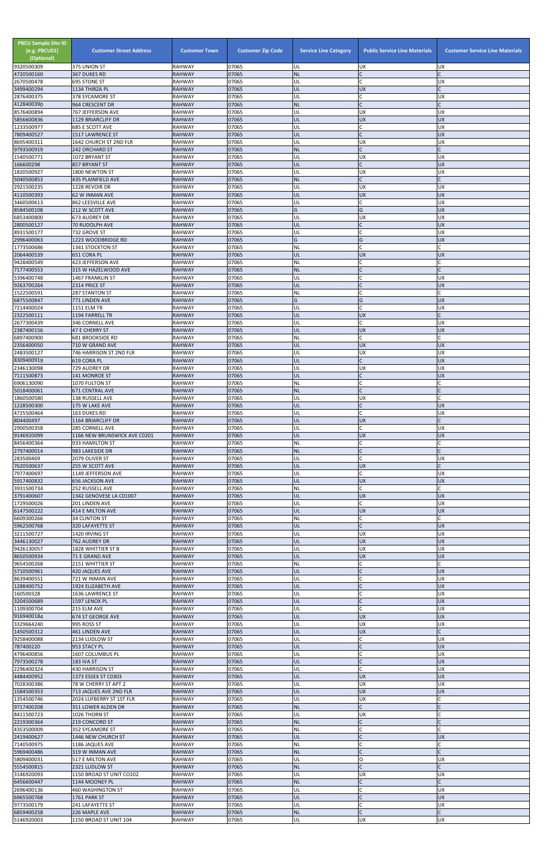| <b>PBCU Sample Site ID</b><br>(e.g. PBCU01)<br>(Optional)<br>9320500309 | <b>Customer Street Address</b><br>375 UNION ST  | <b>Customer Town</b><br><b>RAHWAY</b> | <b>Customer Zip Code</b><br>07065 | <b>Service Line Category</b><br>UL | <b>Public Service Line Materials</b><br><b>UX</b> | <b>Customer Service Line Materials</b><br><b>UX</b> |
|-------------------------------------------------------------------------|-------------------------------------------------|---------------------------------------|-----------------------------------|------------------------------------|---------------------------------------------------|-----------------------------------------------------|
| 4720500160                                                              | 367 DUKES RD                                    | <b>RAHWAY</b>                         | 07065                             | <b>NL</b>                          | $\mathsf{C}$                                      |                                                     |
| 2670500478<br>3499400294                                                | 695 STONE ST                                    | <b>RAHWAY</b><br><b>RAHWAY</b>        | 07065<br>07065                    | UL<br>UL                           | $\mathsf{C}$<br><b>UX</b>                         | <b>UX</b><br>$\mathsf{C}$                           |
| 2876400375                                                              | 1134 THIRZA PL<br>378 SYCAMORE ST               | <b>RAHWAY</b>                         | 07065                             | UL                                 | $\mathsf{C}$                                      | <b>UX</b>                                           |
| 4128400390                                                              | 964 CRESCENT DR<br>767 JEFFERSON AVE            | <b>RAHWAY</b><br><b>RAHWAY</b>        | 07065<br>07065                    | <b>NL</b><br>UL                    | $\mathsf{C}$<br>UX                                | $\mathsf{C}$<br><b>UX</b>                           |
| 8576400894<br>5856600836                                                | 1129 BRIARCLIFF DR                              | <b>RAHWAY</b>                         | 07065                             | UL                                 | <b>UX</b>                                         | <b>UX</b>                                           |
| 1233500977                                                              | 685 E SCOTT AVE                                 | <b>RAHWAY</b>                         | 07065                             | UL                                 | $\mathsf{C}$                                      | UX                                                  |
| 7809400527<br>8695400311                                                | 1517 LAWRENCE ST<br>1642 CHURCH ST 2ND FLR      | <b>RAHWAY</b><br><b>RAHWAY</b>        | 07065<br>07065                    | UL<br>UL                           | $\mathcal{C}$<br><b>UX</b>                        | <b>UX</b><br><b>UX</b>                              |
| 9793500919                                                              | 242 ORCHARD ST                                  | <b>RAHWAY</b>                         | 07065                             | <b>NL</b>                          | $\mathsf{C}$                                      | C                                                   |
| 1540500771<br>166600298                                                 | 1072 BRYANT ST<br>857 BRYANT ST                 | <b>RAHWAY</b><br><b>RAHWAY</b>        | 07065<br>07065                    | UL<br>UL                           | <b>UX</b><br>$\mathsf{C}$                         | <b>UX</b><br><b>UX</b>                              |
| 1820500927                                                              | 1800 NEWTON ST                                  | <b>RAHWAY</b>                         | 07065                             | UL                                 | <b>UX</b>                                         | <b>UX</b>                                           |
| 5040500853                                                              | <b>435 PLAINFIELD AVE</b>                       | <b>RAHWAY</b>                         | 07065                             | <b>NL</b>                          | $\mathsf{C}$                                      |                                                     |
| 2921500235<br>4110500393                                                | 1228 REVOIR DR<br>62 W INMAN AVE                | RAHWAY<br><b>RAHWAY</b>               | 07065<br>07065                    | UL<br>UL                           | <b>UX</b><br><b>UX</b>                            | <b>UX</b><br><b>UX</b>                              |
| 3460500613                                                              | 862 LEESVILLE AVE                               | <b>RAHWAY</b>                         | 07065                             | UL                                 | C                                                 | <b>UX</b>                                           |
| 8584500108<br>6853400800                                                | 212 W SCOTT AVE<br>673 AUDREY DR                | <b>RAHWAY</b><br><b>RAHWAY</b>        | 07065<br>07065                    | G<br>UL                            | G<br><b>UX</b>                                    | <b>UX</b><br><b>UX</b>                              |
| 2800500127                                                              | 70 RUDOLPH AVE                                  | <b>RAHWAY</b>                         | 07065                             | UL                                 | $\mathsf{C}$                                      | <b>UX</b>                                           |
| 8931500177<br>2996400063                                                | 732 GROVE ST<br>1223 WOODBRIDGE RD              | <b>RAHWAY</b><br><b>RAHWAY</b>        | 07065<br>07065                    | UL<br>G                            | $\mathsf{C}$<br>G                                 | UX<br><b>UX</b>                                     |
| 1773500686                                                              | 1341 STOCKTON ST                                | <b>RAHWAY</b>                         | 07065                             | NL                                 | $\mathsf{C}$                                      |                                                     |
| 2064400539                                                              | 651 CORA PL                                     | <b>RAHWAY</b>                         | 07065                             | UL<br>NL                           | <b>UX</b><br>$\mathsf{C}$                         | <b>UX</b>                                           |
| 9428400549<br>7177400553                                                | 423 JEFFERSON AVE<br>315 W HAZELWOOD AVE        | <b>RAHWAY</b><br><b>RAHWAY</b>        | 07065<br>07065                    | <b>NL</b>                          |                                                   |                                                     |
| 5396400748                                                              | 1467 FRANKLIN ST                                | <b>RAHWAY</b>                         | 07065                             | UL                                 | $\mathsf{C}$                                      | <b>UX</b>                                           |
| 9263700264<br>1522500591                                                | 2314 PRICE ST<br>287 STANTON ST                 | <b>RAHWAY</b><br><b>RAHWAY</b>        | 07065<br>07065                    | UL<br><b>NL</b>                    | $\mathcal{C}$<br>$\mathsf{C}$                     | <b>UX</b><br>$\mathsf{C}$                           |
| 6875500847                                                              | 771 LINDEN AVE                                  | <b>RAHWAY</b>                         | 07065                             | G                                  | G                                                 | <b>UX</b>                                           |
| 7214400024<br>2322500111                                                | <b>1151 ELM TR</b><br>1194 FARRELL TR           | <b>RAHWAY</b><br><b>RAHWAY</b>        | 07065<br>07065                    | UL<br>UL                           | $\mathsf{C}$<br><b>UX</b>                         | UX                                                  |
| 2677300439                                                              | 346 CORNELL AVE                                 | RAHWAY                                | 07065                             | UL                                 | C                                                 | <b>UX</b>                                           |
| 2387400156<br>6897400900                                                | 47 E CHERRY ST<br><b>681 BROOKSIDE RD</b>       | <b>RAHWAY</b><br><b>RAHWAY</b>        | 07065<br>07065                    | UL<br>NL                           | <b>UX</b><br>$\mathsf{C}$                         | <b>UX</b>                                           |
| 2356400050                                                              | 710 W GRAND AVE                                 | <b>RAHWAY</b>                         | 07065                             | UL                                 | <b>UX</b>                                         | <b>UX</b>                                           |
| 2483500127                                                              | 746 HARRISON ST 2ND FLR                         | <b>RAHWAY</b>                         | 07065                             | UL                                 | <b>UX</b>                                         | <b>UX</b>                                           |
| 8309400919<br>2346130098                                                | 619 CORA PL<br>729 AUDREY DR                    | <b>RAHWAY</b><br><b>RAHWAY</b>        | 07065<br>07065                    | UL<br>UL                           | $\mathsf{C}$<br><b>UX</b>                         | <b>UX</b><br>UX                                     |
| 7111500873                                                              | 141 MONROE ST                                   | <b>RAHWAY</b>                         | 07065                             | UL                                 |                                                   | <b>UX</b>                                           |
| 6906130090<br>5018400061                                                | 1070 FULTON ST<br>671 CENTRAL AVE               | <b>RAHWAY</b><br><b>RAHWAY</b>        | 07065<br>07065                    | NL<br><b>NL</b>                    | $\mathsf{C}$                                      | C                                                   |
| 1860500580                                                              | 138 RUSSELL AVE                                 | <b>RAHWAY</b>                         | 07065                             | UL                                 | <b>UX</b>                                         |                                                     |
| 1228500300<br>4725500464                                                | 175 W LAKE AVE<br>163 DUKES RD                  | <b>RAHWAY</b><br><b>RAHWAY</b>        | 07065<br>07065                    | UL<br>UL                           | $\mathsf{C}$                                      | <b>UX</b><br><b>UX</b>                              |
| 804400497                                                               | 1164 BRIARCLIFF DR                              | <b>RAHWAY</b>                         | 07065                             | UL                                 | <b>UX</b>                                         |                                                     |
| 2900500358                                                              | <b>285 CORNELL AVE</b>                          | <b>RAHWAY</b>                         | 07065                             | UL                                 | $\mathsf{C}$                                      | <b>UX</b>                                           |
| 9146920099<br>8456400364                                                | 1166 NEW BRUNSWICK AVE C0201<br>933 HAMILTON ST | <b>RAHWAY</b><br><b>RAHWAY</b>        | 07065<br>07065                    | UL<br><b>NL</b>                    | <b>UX</b><br>C                                    | UX                                                  |
| 2797400014                                                              | 983 LAKESIDE DR                                 | <b>RAHWAY</b>                         | 07065                             | <b>NL</b>                          | $\mathsf{C}$                                      |                                                     |
| 283500469<br>7620500637                                                 | 2079 OLIVER ST<br>255 W SCOTT AVE               | <b>RAHWAY</b><br><b>RAHWAY</b>        | 07065<br>07065                    | UL<br>UL                           | $\mathsf{C}$<br><b>UX</b>                         | <b>UX</b><br>$\mathsf{C}$                           |
| 7977400697                                                              | 1149 JEFFERSON AVE                              | <b>RAHWAY</b>                         | 07065                             | UL                                 | $\mathsf{C}$                                      | <b>UX</b>                                           |
| 5917400832<br>3931500734                                                | <b>656 JACKSON AVE</b><br>252 RUSSELL AVE       | <b>RAHWAY</b><br><b>RAHWAY</b>        | 07065<br>07065                    | UL<br>NL                           | <b>UX</b><br>$\mathsf{C}$                         | <b>UX</b>                                           |
| 3791400607                                                              | 1342 GENOVESE LA C01007                         | <b>RAHWAY</b>                         | 07065                             | UL                                 | <b>UX</b>                                         | <b>UX</b>                                           |
| 1729500026<br>6147500222                                                | 201 LINDEN AVE<br>414 E MILTON AVE              | <b>RAHWAY</b><br><b>RAHWAY</b>        | 07065<br>07065                    | UL<br>UL                           | $\mathsf{C}$<br><b>UX</b>                         | <b>UX</b><br><b>UX</b>                              |
| 6609300266                                                              | 34 CLINTON ST                                   | <b>RAHWAY</b>                         | 07065                             | <b>NL</b>                          | $\mathsf{C}$                                      |                                                     |
| 5962500768                                                              | 320 LAFAYETTE ST                                | <b>RAHWAY</b>                         | 07065                             | UL                                 | $\mathsf{C}$                                      | <b>UX</b>                                           |
| 3211500727<br>3446130027                                                | 1420 IRVING ST<br>762 AUDREY DR                 | RAHWAY<br><b>RAHWAY</b>               | 07065<br>07065                    | UL<br>UL                           | <b>UX</b><br><b>UX</b>                            | UX<br><b>UX</b>                                     |
| 9426130057                                                              | 1828 WHITTIER ST B                              | <b>RAHWAY</b>                         | 07065                             | UL                                 | <b>UX</b>                                         | <b>UX</b>                                           |
| 8650500934<br>9654500268                                                | 71 E GRAND AVE<br>2151 WHITTIER ST              | <b>RAHWAY</b><br><b>RAHWAY</b>        | 07065<br>07065                    | UL<br><b>NL</b>                    | <b>UX</b><br>$\mathsf{C}$                         | <b>UX</b><br>C                                      |
| 5710500961                                                              | 420 JAQUES AVE                                  | <b>RAHWAY</b>                         | 07065                             | UL                                 | $\mathsf{C}$                                      | <b>UX</b>                                           |
| 8639400551<br>1288400752                                                | 721 W INMAN AVE<br>1924 ELIZABETH AVE           | <b>RAHWAY</b><br><b>RAHWAY</b>        | 07065<br>07065                    | UL<br>UL                           | $\mathsf{C}$<br>$\mathsf{C}$                      | <b>UX</b><br><b>UX</b>                              |
| 160500328                                                               | 1636 LAWRENCE ST                                | <b>RAHWAY</b>                         | 07065                             | UL                                 | $\mathsf{C}$                                      | <b>UX</b>                                           |
| 3204500689                                                              | 1597 LENOX PL                                   | RAHWAY<br><b>RAHWAY</b>               | 07065<br>07065                    | UL                                 | $\mathsf{C}$<br>$\mathsf{C}$                      | <b>UX</b><br>UX                                     |
| 1109300704<br>9169400184                                                | 215 ELM AVE<br>674 ST GEORGE AVE                | <b>RAHWAY</b>                         | 07065                             | UL<br>UL                           | <b>UX</b>                                         | <b>UX</b>                                           |
| 3329664240                                                              | 995 ROSS ST                                     | <b>RAHWAY</b>                         | 07065                             | UL                                 | UX                                                | <b>UX</b>                                           |
| 1450500312<br>9258400088                                                | 461 LINDEN AVE<br>2134 LUDLOW ST                | <b>RAHWAY</b><br><b>RAHWAY</b>        | 07065<br>07065                    | UL<br>UL                           | <b>UX</b><br>$\mathsf{C}$                         | C<br><b>UX</b>                                      |
| 787400220                                                               | 953 STACY PL                                    | <b>RAHWAY</b>                         | 07065                             | UL                                 | $\mathsf{C}$                                      | <b>UX</b>                                           |
| 4796400856<br>7973500278                                                | 1607 COLUMBUS PL<br><b>183 IVA ST</b>           | <b>RAHWAY</b><br><b>RAHWAY</b>        | 07065<br>07065                    | UL<br>UL                           |                                                   | UX<br><b>UX</b>                                     |
| 2296400324                                                              | 430 HARRISON ST                                 | <b>RAHWAY</b>                         | 07065                             | UL                                 | C                                                 | Jυx                                                 |
| 4484400952                                                              | 1373 ESSEX ST C0303                             | <b>RAHWAY</b>                         | 07065                             | UL                                 | <b>UX</b>                                         | <b>UX</b>                                           |
| 7028300386<br>1584500353                                                | 78 W CHERRY ST APT 2<br>713 JAQUES AVE 2ND FLR  | RAHWAY<br>RAHWAY                      | 07065<br>07065                    | UL<br>UL                           | <b>UX</b><br><b>UX</b>                            | <b>UX</b><br><b>UX</b>                              |
| 1354500746                                                              | 2024 LUFBERRY ST 1ST FLR                        | RAHWAY                                | 07065                             | UL                                 | <b>UX</b>                                         | C                                                   |
| 9717400208<br>8411500723                                                | 351 LOWER ALDEN DR<br>1026 THORN ST             | <b>RAHWAY</b><br>RAHWAY               | 07065<br>07065                    | <b>NL</b><br>UL                    | $\mathsf{C}$<br><b>UX</b>                         |                                                     |
| 2219300364                                                              | 219 CONCORD ST                                  | <b>RAHWAY</b>                         | 07065                             | <b>NL</b>                          | $\mathsf{C}$                                      |                                                     |
| 4353500009<br>2419400627                                                | 352 SYCAMORE ST<br>1446 NEW CHURCH ST           | <b>RAHWAY</b><br><b>RAHWAY</b>        | 07065<br>07065                    | <b>NL</b><br><b>UL</b>             | $\mathsf{C}$<br>$\mathsf{C}$                      | <b>UX</b>                                           |
| 7140500975                                                              | 1186 JAQUES AVE                                 | RAHWAY                                | 07065                             | NL                                 | $\mathsf C$                                       |                                                     |
| 5969400486<br>5809400031                                                | 319 W INMAN AVE                                 | <b>RAHWAY</b><br>RAHWAY               | 07065<br>07065                    | <b>NL</b><br>UL                    | $\mathsf{C}$<br>O                                 | <b>UX</b>                                           |
| 5554500815                                                              | 517 E MILTON AVE<br>2321 LUDLOW ST              | <b>RAHWAY</b>                         | 07065                             | <b>NL</b>                          | $\mathsf{C}$                                      |                                                     |
| 3146920093                                                              | 1150 BROAD ST UNIT CO102                        | RAHWAY                                | 07065                             | UL                                 | <b>UX</b>                                         | <b>UX</b>                                           |
| 6456600447<br>2696400136                                                | 1144 MOONEY PL<br>460 WASHINGTON ST             | <b>RAHWAY</b><br>RAHWAY               | 07065<br>07065                    | <b>NL</b><br>UL                    |                                                   | <b>UX</b>                                           |
| 6965500768                                                              | 1761 PARK ST                                    | <b>RAHWAY</b>                         | 07065                             | UL                                 |                                                   | <b>UX</b>                                           |
| 9773500179<br>6859400258                                                | 241 LAFAYETTE ST<br>226 MAPLE AVE               | RAHWAY<br><b>RAHWAY</b>               | 07065<br>07065                    | UL<br>NL                           | $\mathsf{C}$<br>$\mathsf{C}$                      | <b>UX</b><br>$\mathsf{C}$                           |
| 5146920003                                                              | 1150 BROAD ST UNIT 104                          | RAHWAY                                | 07065                             | UL                                 | <b>UX</b>                                         | <b>UX</b>                                           |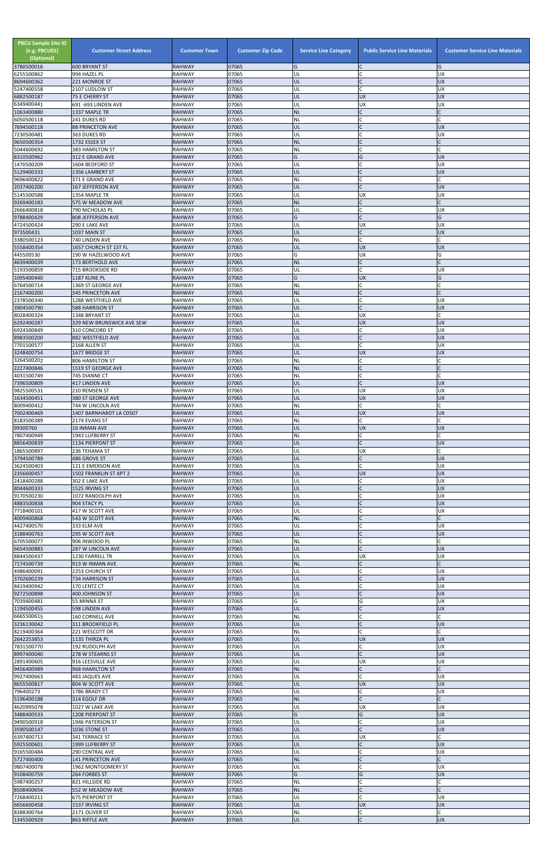| <b>PBCU Sample Site ID</b><br>(e.g. PBCU01)<br>(Optional) | <b>Customer Street Address</b>               | <b>Customer Town</b>           | <b>Customer Zip Code</b> | <b>Service Line Category</b> | <b>Public Service Line Materials</b> | <b>Customer Service Line Materials</b> |
|-----------------------------------------------------------|----------------------------------------------|--------------------------------|--------------------------|------------------------------|--------------------------------------|----------------------------------------|
| 3780500016<br>6255500862                                  | <b>600 BRYANT ST</b><br>994 HAZEL PL         | <b>RAHWAY</b><br><b>RAHWAY</b> | 07065<br>07065           | G<br>UL                      | C                                    | G<br><b>UX</b>                         |
| 8694600362                                                | 221 MONROE ST                                | <b>RAHWAY</b>                  | 07065                    | UL                           | $\mathsf{C}$                         | <b>UX</b>                              |
| 5247400558<br>6882500187                                  | 2107 LUDLOW ST<br>75 E CHERRY ST             | <b>RAHWAY</b><br><b>RAHWAY</b> | 07065<br>07065           | UL<br>UL                     | $\mathsf{C}$<br><b>UX</b>            | UX<br><b>UX</b>                        |
| 6349400441                                                | 691-693 LINDEN AVE                           | <b>RAHWAY</b>                  | 07065                    | UL                           | <b>UX</b>                            | UX                                     |
| 1063400880                                                | 1337 MAPLE TR                                | <b>RAHWAY</b>                  | 07065<br>07065           | <b>NL</b>                    | $\mathsf{C}$<br>$\mathsf{C}$         |                                        |
| 6050500118<br>7694500118                                  | 241 DUKES RD<br><b>88 PRINCETON AVE</b>      | <b>RAHWAY</b><br><b>RAHWAY</b> | 07065                    | <b>NL</b><br>UL              |                                      | <b>UX</b>                              |
| 7230500481                                                | 363 DUKES RD                                 | <b>RAHWAY</b>                  | 07065                    | UL                           |                                      | UX                                     |
| 9650500354<br>5044600692                                  | 1732 ESSEX ST<br>383 HAMILTON ST             | <b>RAHWAY</b><br>RAHWAY        | 07065<br>07065           | <b>NL</b><br><b>NL</b>       | $\mathsf{C}$<br><b>C</b>             |                                        |
| 8310500962                                                | 312 E GRAND AVE                              | <b>RAHWAY</b>                  | 07065                    | G                            | G                                    | <b>UX</b>                              |
| 1470500209<br>5129400333                                  | 1604 BEDFORD ST<br>1356 LAMBERT ST           | <b>RAHWAY</b><br><b>RAHWAY</b> | 07065<br>07065           | UL<br>UL                     | C<br>$\mathsf{C}$                    | UX<br><b>UX</b>                        |
| 9696400822                                                | 371 E GRAND AVE                              | <b>RAHWAY</b>                  | 07065                    | <b>NL</b>                    | <b>C</b>                             |                                        |
| 2037400200                                                | <b>167 JEFFERSON AVE</b>                     | <b>RAHWAY</b>                  | 07065                    | UL                           | $\mathsf{C}$                         | <b>UX</b>                              |
| 5145500588<br>9269400183                                  | 1354 MAPLE TR<br>575 W MEADOW AVE            | <b>RAHWAY</b><br><b>RAHWAY</b> | 07065<br>07065           | UL<br><b>NL</b>              | <b>UX</b><br>$\mathsf{C}$            | UX                                     |
| 2666400818                                                | <b>790 NICHOLAS PL</b>                       | <b>RAHWAY</b>                  | 07065                    | UL                           | $\mathsf{C}$                         | <b>UX</b>                              |
| 9788400429<br>4724500424                                  | 808 JEFFERSON AVE<br>290 E LAKE AVE          | <b>RAHWAY</b><br><b>RAHWAY</b> | 07065<br>07065           | G<br>UL                      | $\mathsf{C}$<br><b>UX</b>            | G<br><b>UX</b>                         |
| 973500431                                                 | 1037 MAIN ST                                 | <b>RAHWAY</b>                  | 07065                    | UL                           | $\mathsf{C}$                         | <b>UX</b>                              |
| 3380500123                                                | 740 LINDEN AVE                               | <b>RAHWAY</b>                  | 07065<br>07065           | <b>NL</b>                    | C                                    |                                        |
| 5558400354<br>445500530                                   | 1657 CHURCH ST 1ST FL<br>190 W HAZELWOOD AVE | <b>RAHWAY</b><br><b>RAHWAY</b> | 07065                    | UL<br>G                      | <b>UX</b><br><b>UX</b>               | <b>UX</b><br>G                         |
| 4639400039                                                | 173 BERTHOLD AVE                             | <b>RAHWAY</b>                  | 07065                    | NL                           | $\mathsf{C}$                         |                                        |
| 5193500859<br>1095400440                                  | 715 BROOKSIDE RD<br>1187 KLINE PL            | <b>RAHWAY</b><br><b>RAHWAY</b> | 07065<br>07065           | UL<br>G                      | $\mathsf{C}$<br><b>UX</b>            | UX<br>G                                |
| 6764500714                                                | 1369 ST GEORGE AVE                           | RAHWAY                         | 07065                    | <b>NL</b>                    | C                                    |                                        |
| 2167400200<br>2378500340                                  | 345 PRINCETON AVE                            | <b>RAHWAY</b>                  | 07065                    | <b>NL</b>                    | $\mathsf{C}$<br>$\mathsf{C}$         |                                        |
| 3904500790                                                | 1288 WESTFIELD AVE<br><b>588 HARRISON ST</b> | <b>RAHWAY</b><br><b>RAHWAY</b> | 07065<br>07065           | UL<br>UL                     | $\mathsf{C}$                         | UX<br><b>UX</b>                        |
| 8028400324                                                | 1348 BRYANT ST                               | <b>RAHWAY</b>                  | 07065                    | UL                           | <b>UX</b>                            |                                        |
| 6292400287<br>6924500849                                  | 329 NEW BRUNSWICK AVE SEW<br>310 CONCORD ST  | <b>RAHWAY</b><br><b>RAHWAY</b> | 07065<br>07065           | UL<br>UL                     | <b>UX</b><br>C                       | <b>UX</b><br><b>UX</b>                 |
| 8983500200                                                | 882 WESTFIELD AVE                            | <b>RAHWAY</b>                  | 07065                    | UL                           |                                      | <b>UX</b>                              |
| 7701500577                                                | 2168 ALLEN ST                                | <b>RAHWAY</b>                  | 07065                    | UL                           | $\mathsf{C}$                         | <b>UX</b>                              |
| 3248400754<br>3264500202                                  | 1677 BRIDGE ST<br>806 HAMILTON ST            | RAHWAY<br><b>RAHWAY</b>        | 07065<br>07065           | IUL<br><b>NL</b>             | <b>UX</b><br>$\mathsf{C}$            | <b>UX</b>                              |
| 2227400846                                                | 1519 ST GEORGE AVE                           | <b>RAHWAY</b>                  | 07065                    | <b>NL</b>                    | $\mathsf{C}$                         |                                        |
| 4031500749<br>7396500809                                  | 745 DIANNE CT<br>417 LINDEN AVE              | <b>RAHWAY</b><br><b>RAHWAY</b> | 07065<br>07065           | <b>NL</b><br>UL              | $\mathsf{C}$                         | <b>UX</b>                              |
| 9825500531                                                | 210 REMSEN ST                                | RAHWAY                         | 07065                    | UL                           | <b>UX</b>                            | UX                                     |
| 1634500451                                                | 380 ST GEORGE AVE                            | <b>RAHWAY</b>                  | 07065                    | UL                           | <b>UX</b>                            | <b>XD</b>                              |
| 8009400412<br>7002400469                                  | 744 W LINCOLN AVE<br>1407 BARNHARDT LA C0507 | <b>RAHWAY</b><br><b>RAHWAY</b> | 07065<br>07065           | <b>NL</b><br>UL              | $\mathsf{C}$<br><b>UX</b>            | <b>UX</b>                              |
| 8183500389                                                | 2174 EVANS ST                                | <b>RAHWAY</b>                  | 07065                    | <b>NL</b>                    | $\mathsf{C}$                         |                                        |
| 99300760<br>7807400949                                    | <b>16 INMAN AVE</b><br>1943 LUFBERRY ST      | <b>RAHWAY</b><br><b>RAHWAY</b> | 07065<br>07065           | UL<br><b>NL</b>              | <b>UX</b><br>C                       | <b>UX</b>                              |
| 8856400839                                                | 1134 PIERPONT ST                             | <b>RAHWAY</b>                  | 07065                    | UL                           | $\mathsf{C}$                         | <b>UX</b>                              |
| 1865500897                                                | 236 TEHAMA ST                                | RAHWAY                         | 07065                    | UL                           | <b>UX</b>                            |                                        |
| 3794500789<br>3624500403                                  | 486 GROVE ST<br>121 E EMERSON AVE            | <b>RAHWAY</b><br>RAHWAY        | 07065<br>07065           | UL<br>UL                     | $\mathsf{C}$<br>$\mathsf{C}$         | <b>UX</b><br>UX                        |
| 2356600457                                                | 1502 FRANKLIN ST APT 2                       | <b>RAHWAY</b>                  | 07065                    | UL                           | <b>UX</b>                            | <b>UX</b>                              |
| 2418400288<br>8044600333                                  | 302 E LAKE AVE<br>1525 IRVING ST             | RAHWAY<br><b>RAHWAY</b>        | 07065<br>07065           | UL<br>UL                     | C<br>$\mathsf{C}$                    | UX<br><b>UX</b>                        |
| 9170500230                                                | 1072 RANDOLPH AVE                            | RAHWAY                         | 07065                    | UL                           | $\mathsf{C}$                         | <b>UX</b>                              |
| 4883500838<br>7718400101                                  | 904 STACY PL<br>417 W SCOTT AVE              | <b>RAHWAY</b><br><b>RAHWAY</b> | 07065<br>07065           | UL<br>UL                     |                                      | <b>UX</b><br>UX                        |
| 4009400868                                                | 543 W SCOTT AVE                              | <b>RAHWAY</b>                  | 07065                    | <b>NL</b>                    |                                      |                                        |
| 4427400570                                                | 333 ELM AVE                                  | RAHWAY                         | 07065                    | UL                           | <b>C</b>                             | UX                                     |
| 3188400763<br>6705500077                                  | 295 W SCOTT AVE<br>906 INWOOD PL             | <b>RAHWAY</b><br><b>RAHWAY</b> | 07065<br>07065           | UL<br><b>NL</b>              | $\mathsf C$<br>$\mathsf{C}$          | <b>UX</b>                              |
| 6654500883                                                | 287 W LINCOLN AVE                            | <b>RAHWAY</b>                  | 07065                    | UL                           |                                      | <b>UX</b>                              |
| 8844500437<br>7174500739                                  | 1230 FARRELL TR<br>913 W INMAN AVE           | RAHWAY<br><b>RAHWAY</b>        | 07065<br>07065           | UL<br><b>NL</b>              | <b>UX</b><br>$\mathsf{C}$            | <b>UX</b>                              |
| 4986400091                                                | 2253 CHURCH ST                               | <b>RAHWAY</b>                  | 07065                    | UL                           | C                                    | UX                                     |
| 3702600239                                                | 734 HARRISON ST                              | <b>RAHWAY</b>                  | 07065                    | UL                           |                                      | <b>UX</b>                              |
| 8419400942<br>9272500898                                  | 170 LENTZ CT<br>400 JOHNSON ST               | <b>RAHWAY</b><br><b>RAHWAY</b> | 07065<br>07065           | UL<br>UL                     | $\mathsf{C}$<br>$\mathsf{C}$         | <b>UX</b><br><b>UX</b>                 |
| 7039400481                                                | 55 MINNA ST                                  | RAHWAY                         | 07065                    | G                            | G                                    | <b>UX</b>                              |
| 1194500455<br>6665500615                                  | 598 LINDEN AVE<br><b>160 CORNELL AVE</b>     | <b>RAHWAY</b><br><b>RAHWAY</b> | 07065<br>07065           | UL<br><b>NL</b>              | C                                    | <b>UX</b>                              |
| 3236130042                                                | 311 BROOKFIELD PL                            | <b>RAHWAY</b>                  | 07065                    | UL                           | $\mathsf{C}$                         | <b>UX</b>                              |
| 8219400364<br>2642253853                                  | 221 WESCOTT DR                               | <b>RAHWAY</b>                  | 07065<br>07065           | <b>NL</b><br>UL              | $\mathsf{C}$<br><b>UX</b>            | <b>UX</b>                              |
| 7831500770                                                | 1135 THIRZA PL<br>192 RUDOLPH AVE            | <b>RAHWAY</b><br><b>RAHWAY</b> | 07065                    | UL                           | $\mathsf{C}$                         | <b>UX</b>                              |
| 8997400040                                                | 278 W STEARNS ST                             | <b>RAHWAY</b>                  | 07065                    | UL                           | $\mathsf{C}$                         | <b>UX</b>                              |
| 2891400605<br>9456400989                                  | 916 LEESVILLE AVE<br>968 HAMILTON ST         | RAHWAY<br><b>RAHWAY</b>        | 07065<br>07065           | UL<br>INL                    | <b>UX</b>                            | UX                                     |
| 9927400663                                                | 483 JAQUES AVE                               | <b>RAHWAY</b>                  | 07065                    | UL                           | $\mathsf{C}$                         | UX                                     |
| 8655500817<br>796400273                                   | 804 W SCOTT AVE<br>1786 BRADY CT             | <b>RAHWAY</b><br><b>RAHWAY</b> | 07065<br>07065           | <b>UL</b><br>UL              | <b>UX</b><br>C                       | <b>UX</b><br>UX                        |
| 5196400188                                                | 314 EGOLF DR                                 | <b>RAHWAY</b>                  | 07065                    | <b>NL</b>                    | $\mathsf{C}$                         |                                        |
| 4620995078                                                | 1027 W LAKE AVE                              | <b>RAHWAY</b>                  | 07065                    | UL                           | <b>UX</b>                            | <b>UX</b>                              |
| 3488400533<br>9490500918                                  | 1208 PIERPONT ST<br>1946 PATERSON ST         | <b>RAHWAY</b><br><b>RAHWAY</b> | 07065<br>07065           | G<br>UL                      | G<br>$\mathsf{C}$                    | <b>UX</b><br><b>UX</b>                 |
| 3590500147                                                | 1036 STONE ST                                | <b>RAHWAY</b>                  | 07065                    | UL                           | $\mathsf{C}$                         | <b>UX</b>                              |
| 6397400713<br>5925500601                                  | 341 TERRACE ST<br>1999 LUFBERRY ST           | <b>RAHWAY</b><br><b>RAHWAY</b> | 07065<br>07065           | UL<br>UL                     | <b>UX</b><br>$\mathsf{C}$            | <b>UX</b>                              |
| 9165500484                                                | <b>290 CENTRAL AVE</b>                       | <b>RAHWAY</b>                  | 07065                    | UL                           | $\mathsf{C}$                         | UX                                     |
| 5727400400                                                | 141 PRINCETON AVE                            | <b>RAHWAY</b>                  | 07065                    | <b>NL</b>                    | $\mathsf{C}$                         |                                        |
| 9807400078<br>9108400759                                  | 1962 MONTGOMERY ST<br>264 FORBES ST          | <b>RAHWAY</b><br><b>RAHWAY</b> | 07065<br>07065           | UL<br>G                      | C<br>G                               | UX<br>XŊ                               |
| 5987400257                                                | 821 HILLSIDE RD                              | <b>RAHWAY</b>                  | 07065                    | <b>NL</b>                    | $\mathsf{C}$                         |                                        |
| 8508400654<br>7268400211                                  | 552 W MEADOW AVE<br><b>675 PIERPONT ST</b>   | <b>RAHWAY</b><br><b>RAHWAY</b> | 07065<br>07065           | <b>NL</b><br>UL              | $\mathsf{C}$<br>C                    | UX                                     |
| 6656600458                                                | 1537 IRVING ST                               | <b>RAHWAY</b>                  | 07065                    | <b>UL</b>                    | <b>UX</b>                            | <b>UX</b>                              |
| 8388300764<br>1345500929                                  | 2171 OLIVER ST<br>863 RIFFLE AVE             | <b>RAHWAY</b><br><b>RAHWAY</b> | 07065<br>07065           | <b>NL</b><br>UL              | $\mathsf{C}$<br>$\mathsf C$          | <b>UX</b>                              |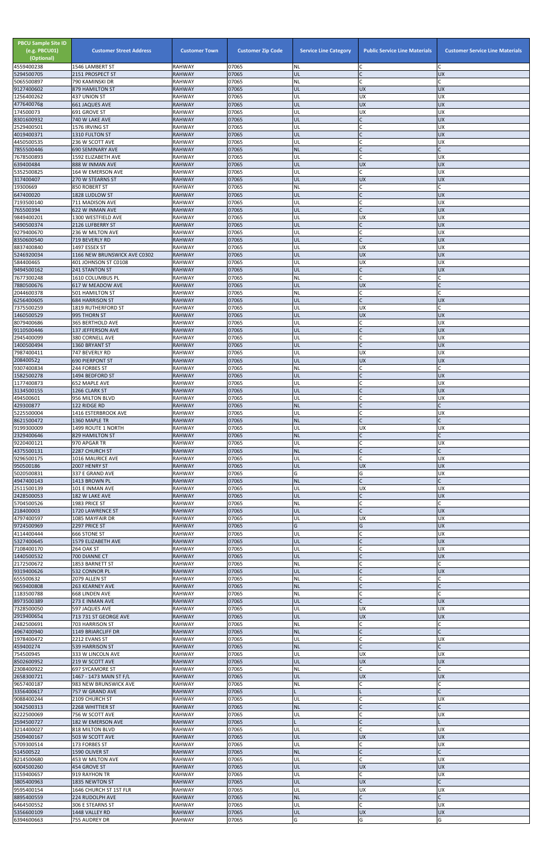| <b>PBCU Sample Site ID</b><br>(e.g. PBCU01)<br>(Optional)<br>4559400238 | <b>Customer Street Address</b><br>1546 LAMBERT ST | <b>Customer Town</b><br><b>RAHWAY</b> | <b>Customer Zip Code</b><br>07065 | <b>Service Line Category</b><br><b>NL</b> | <b>Public Service Line Materials</b> | <b>Customer Service Line Materials</b> |
|-------------------------------------------------------------------------|---------------------------------------------------|---------------------------------------|-----------------------------------|-------------------------------------------|--------------------------------------|----------------------------------------|
| 5294500705                                                              | 2151 PROSPECT ST                                  | <b>RAHWAY</b>                         | 07065                             | UL                                        | $\mathsf{C}$                         | <b>UX</b>                              |
| 5065500897<br>9127400602                                                | 790 KAMINSKI DR                                   | RAHWAY<br><b>RAHWAY</b>               | 07065<br>07065                    | NL<br>ŰĹ                                  | $\mathsf{C}$<br><b>UX</b>            | <b>UX</b>                              |
| 1256400262                                                              | 879 HAMILTON ST<br>437 UNION ST                   | <b>RAHWAY</b>                         | 07065                             | UL                                        | <b>UX</b>                            | <b>UX</b>                              |
| 4776400768<br>174500073                                                 | <b>661 JAQUES AVE</b><br>691 GROVE ST             | <b>RAHWAY</b><br>RAHWAY               | 07065<br>07065                    | UL<br>UL                                  | <b>UX</b><br>UX                      | <b>UX</b><br><b>UX</b>                 |
| 8301600932                                                              | 740 W LAKE AVE                                    | <b>RAHWAY</b>                         | 07065                             | UL                                        | $\mathsf{C}$                         | <b>UX</b>                              |
| 2529400501                                                              | 1576 IRVING ST                                    | RAHWAY                                | 07065                             | UL                                        | $\mathsf{C}$                         | <b>UX</b>                              |
| 4019400371<br>4450500535                                                | 1310 FULTON ST<br>236 W SCOTT AVE                 | <b>RAHWAY</b><br>RAHWAY               | 07065<br>07065                    | UL<br>UL                                  | $\mathsf{C}$                         | <b>UX</b><br><b>UX</b>                 |
| 7855500446                                                              | 690 SEMINARY AVE                                  | <b>RAHWAY</b>                         | 07065                             | <b>NL</b>                                 | $\mathsf{C}$                         |                                        |
| 7678500893<br>639400484                                                 | 1592 ELIZABETH AVE<br>888 W INMAN AVE             | RAHWAY<br><b>RAHWAY</b>               | 07065<br>07065                    | UL<br>IJL                                 | $\mathsf{C}$<br><b>UX</b>            | <b>UX</b><br><b>UX</b>                 |
| 5352500825                                                              | 164 W EMERSON AVE                                 | <b>RAHWAY</b>                         | 07065                             | UL                                        | C                                    | <b>UX</b>                              |
| 317400407                                                               | 270 W STEARNS ST                                  | <b>RAHWAY</b>                         | 07065                             | UL                                        | <b>UX</b><br>$\mathsf{C}$            | <b>UX</b>                              |
| 19300669<br>647400020                                                   | 850 ROBERT ST<br>1828 LUDLOW ST                   | <b>RAHWAY</b><br><b>RAHWAY</b>        | 07065<br>07065                    | NL<br>UL                                  | $\mathsf{C}$                         | <b>UX</b>                              |
| 7193500140                                                              | 711 MADISON AVE                                   | RAHWAY                                | 07065                             | UL                                        |                                      | <b>UX</b>                              |
| 765500394<br>9849400201                                                 | 622 W INMAN AVE<br>1300 WESTFIELD AVE             | <b>RAHWAY</b><br><b>RAHWAY</b>        | 07065<br>07065                    | UL<br>UL                                  | $\mathsf{C}$<br><b>UX</b>            | <b>UX</b><br><b>UX</b>                 |
| 5490500374                                                              | 2126 LUFBERRY ST                                  | <b>RAHWAY</b>                         | 07065                             | UL                                        | $\mathsf{C}$                         | <b>UX</b>                              |
| 9279400670<br>8350600540                                                | 236 W MILTON AVE<br>719 BEVERLY RD                | <b>RAHWAY</b><br><b>RAHWAY</b>        | 07065<br>07065                    | UL<br>UL                                  | $\mathsf{C}$<br>$\mathsf{C}$         | <b>UX</b><br><b>UX</b>                 |
| 8837400840                                                              | 1497 ESSEX ST                                     | RAHWAY                                | 07065                             | UL                                        | UX                                   | <b>UX</b>                              |
| 5246920034                                                              | 1166 NEW BRUNSWICK AVE C0302                      | <b>RAHWAY</b>                         | 07065                             | UL                                        | <b>UX</b>                            | <b>UX</b>                              |
| 584400465<br>9494500162                                                 | 401 JOHNSON ST C0108<br>241 STANTON ST            | <b>RAHWAY</b><br><b>RAHWAY</b>        | 07065<br>07065                    | UL<br>UL                                  | <b>UX</b><br>$\mathsf{C}$            | UX<br><b>UX</b>                        |
| 7677300248                                                              | 1610 COLUMBUS PL                                  | RAHWAY                                | 07065                             | NL                                        | $\mathsf{C}$                         |                                        |
| 7880500676<br>2044600378                                                | 617 W MEADOW AVE<br>501 HAMILTON ST               | <b>RAHWAY</b><br>RAHWAY               | 07065<br>07065                    | IJL<br>NL                                 | <b>UX</b><br>$\mathsf{C}$            |                                        |
| 6256400605                                                              | <b>684 HARRISON ST</b>                            | <b>RAHWAY</b>                         | 07065                             | UL                                        | $\mathsf C$                          | <b>UX</b>                              |
| 7375500259                                                              | 1819 RUTHERFORD ST                                | <b>RAHWAY</b>                         | 07065                             | UL                                        | <b>UX</b>                            |                                        |
| 1460500529<br>8079400686                                                | 995 THORN ST<br>365 BERTHOLD AVE                  | <b>RAHWAY</b><br>RAHWAY               | 07065<br>07065                    | UL<br>UL                                  | <b>UX</b><br>C                       | <b>UX</b><br><b>UX</b>                 |
| 9110500446                                                              | 137 JEFFERSON AVE                                 | <b>RAHWAY</b>                         | 07065                             | UL                                        | C                                    | <b>UX</b>                              |
| 2945400099<br>1400500494                                                | 380 CORNELL AVE<br>1360 BRYANT ST                 | <b>RAHWAY</b><br><b>RAHWAY</b>        | 07065<br>07065                    | UL<br>UL                                  |                                      | <b>UX</b><br><b>UX</b>                 |
| 7987400411                                                              | 747 BEVERLY RD                                    | <b>RAHWAY</b>                         | 07065                             | UL                                        | <b>UX</b>                            | UX                                     |
| 208400522                                                               | <b>690 PIERPONT ST</b>                            | <b>RAHWAY</b>                         | 07065                             | UL                                        | <b>UX</b>                            | <b>UX</b>                              |
| 9307400834<br>1582500278                                                | 244 FORBES ST<br>1494 BEDFORD ST                  | RAHWAY<br><b>RAHWAY</b>               | 07065<br>07065                    | NL<br>UL                                  |                                      | <b>UX</b>                              |
| 1177400873                                                              | 652 MAPLE AVE                                     | RAHWAY                                | 07065                             | UL                                        |                                      | <b>UX</b>                              |
| 3134500155<br>494500601                                                 | 1266 CLARK ST<br>956 MILTON BLVD                  | RAHWAY<br>RAHWAY                      | 07065<br>07065                    | UL<br>UL                                  | $\mathsf{C}$<br>C                    | <b>UX</b><br><b>UX</b>                 |
| 429300877                                                               | 122 RIDGE RD                                      | <b>RAHWAY</b>                         | 07065                             | <b>NL</b>                                 | $\mathsf{C}$                         |                                        |
| 5225500004                                                              | 1416 ESTERBROOK AVE                               | RAHWAY                                | 07065                             | UL                                        |                                      | <b>UX</b>                              |
| 8621500472<br>9199300009                                                | 1360 MAPLE TR<br>1499 ROUTE 1 NORTH               | <b>RAHWAY</b><br>RAHWAY               | 07065<br>07065                    | <b>NL</b><br>UL                           | $\mathsf{C}$<br><b>UX</b>            | <b>UX</b>                              |
| 2329400646                                                              | 829 HAMILTON ST                                   | <b>RAHWAY</b>                         | 07065                             | <b>NL</b>                                 | $\mathsf{C}$                         |                                        |
| 9220400121<br>4375500131                                                | 970 APGAR TR<br>2287 CHURCH ST                    | RAHWAY<br><b>RAHWAY</b>               | 07065<br>07065                    | UL<br><b>NL</b>                           | $\mathsf{C}$<br>$\mathsf{C}$         | <b>UX</b>                              |
| 9296500175                                                              | 1016 MAURICE AVE                                  | RAHWAY                                | 07065                             | UL                                        | $\mathsf{C}$                         | <b>UX</b>                              |
| 950500186<br>5020500831                                                 | 2007 HENRY ST<br>337 E GRAND AVE                  | <b>RAHWAY</b><br>RAHWAY               | 07065<br>07065                    | UL<br>Ġ                                   | <b>UX</b><br>G                       | <b>UX</b><br><b>UX</b>                 |
| 4947400143                                                              | 1413 BROWN PL                                     | <b>RAHWAY</b>                         | 07065                             | NL                                        |                                      |                                        |
| 2511500139                                                              | 101 E INMAN AVE                                   | RAHWAY                                | 07065                             | UL                                        | <b>UX</b>                            | <b>UX</b>                              |
| 2428500053<br>5704500526                                                | 182 W LAKE AVE<br>1983 PRICE ST                   | <b>RAHWAY</b><br>RAHWAY               | 07065<br>07065                    | UL<br>NL                                  | $\mathsf{C}$<br>$\mathsf C$          | <b>UX</b>                              |
| 218400003                                                               | 1720 LAWRENCE ST                                  | <b>RAHWAY</b>                         | 07065                             | UL                                        | $\mathsf{C}$                         | <b>UX</b>                              |
| 4797400597<br>9724500969                                                | 1085 MAYFAIR DR<br>2297 PRICE ST                  | RAHWAY<br><b>RAHWAY</b>               | 07065<br>07065                    | UL<br>G                                   | <b>UX</b><br>G                       | <b>UX</b><br><b>UX</b>                 |
| 4114400444                                                              | 666 STONE ST                                      | RAHWAY                                | 07065                             | UL                                        | C                                    | <b>UX</b>                              |
| 5327400645                                                              | 1579 ELIZABETH AVE                                | <b>RAHWAY</b>                         | 07065                             | UL                                        |                                      | <b>UX</b>                              |
| 7108400170<br>1440500532                                                | 264 OAK ST<br>700 DIANNE CT                       | RAHWAY<br><b>RAHWAY</b>               | 07065<br>07065                    | UL<br>UL                                  | $\mathsf{C}$                         | <b>UX</b><br><b>UX</b>                 |
| 2172500672                                                              | 1853 BARNETT ST                                   | RAHWAY                                | 07065                             | NL                                        | $\mathsf{C}$                         |                                        |
| 9319400626<br>655500632                                                 | 532 CONNOR PL<br>2079 ALLEN ST                    | <b>RAHWAY</b><br>RAHWAY               | 07065<br>07065                    | UL<br><b>NL</b>                           | $\mathsf{C}$                         | <b>UX</b>                              |
| 9659400808                                                              | <b>263 KEARNEY AVE</b>                            | <b>RAHWAY</b>                         | 07065                             | <b>NL</b>                                 |                                      |                                        |
| 1183500788<br>8973500389                                                | 668 LINDEN AVE<br>273 E INMAN AVE                 | RAHWAY<br><b>RAHWAY</b>               | 07065<br>07065                    | ΝL<br>UL                                  | $\mathsf{C}$<br>$\mathsf{C}$         | <b>UX</b>                              |
| 7328500050                                                              | 597 JAQUES AVE                                    | RAHWAY                                | 07065                             | UL                                        | <b>UX</b>                            | <b>UX</b>                              |
| 2919400654                                                              | 713 731 ST GEORGE AVE                             | <b>RAHWAY</b>                         | 07065                             | UL                                        | <b>UX</b>                            | <b>UX</b>                              |
| 2482500691<br>4967400940                                                | 703 HARRISON ST<br>1149 BRIARCLIFF DR             | RAHWAY<br><b>RAHWAY</b>               | 07065<br>07065                    | NL<br><b>NL</b>                           | $\mathsf{C}$<br>$\mathsf{C}$         |                                        |
| 1978400472                                                              | 2212 EVANS ST                                     | RAHWAY                                | 07065                             | UL                                        | $\mathsf{C}$                         | <b>UX</b>                              |
| 459400274<br>754500945                                                  | 539 HARRISON ST<br>333 W LINCOLN AVE              | <b>RAHWAY</b><br>RAHWAY               | 07065<br>07065                    | <b>NL</b><br>UL                           | <b>UX</b>                            | <b>UX</b>                              |
| 8502600952                                                              | 219 W SCOTT AVE                                   | <b>RAHWAY</b>                         | 07065                             | IJL                                       | <b>UX</b>                            | <b>UX</b>                              |
| 2308400922                                                              | 697 SYCAMORE ST                                   | <b>RAHWAY</b>                         | 07065                             | NL                                        |                                      |                                        |
| 2658300721<br>9657400187                                                | 1467 - 1473 MAIN ST F/L<br>983 NEW BRUNSWICK AVE  | <b>RAHWAY</b><br><b>RAHWAY</b>        | 07065<br>07065                    | UL<br>NL                                  | <b>UX</b>                            | XŊ                                     |
| 3356400617                                                              | 757 W GRAND AVE                                   | <b>RAHWAY</b>                         | 07065                             |                                           |                                      |                                        |
| 9088400244<br>3042500313                                                | 2109 CHURCH ST<br>2268 WHITTIER ST                | RAHWAY<br><b>RAHWAY</b>               | 07065<br>07065                    | UL<br><b>NL</b>                           | $\mathsf{C}$<br>$\mathsf{C}$         | <b>UX</b>                              |
| 8222500069                                                              | 756 W SCOTT AVE                                   | RAHWAY                                | 07065                             | UL                                        | $\mathsf{C}$                         | <b>UX</b>                              |
| 2594500727                                                              | 182 W EMERSON AVE                                 | <b>RAHWAY</b>                         | 07065                             |                                           | $\mathsf{C}$                         |                                        |
| 3214400027<br>2509400167                                                | 818 MILTON BLVD<br>503 W SCOTT AVE                | RAHWAY<br><b>RAHWAY</b>               | 07065<br>07065                    | UL<br>UL                                  | <b>UX</b>                            | <b>UX</b><br><b>UX</b>                 |
| 5709300514                                                              | 173 FORBES ST                                     | <b>RAHWAY</b>                         | 07065                             | UL                                        | $\mathsf C$                          | <b>UX</b>                              |
| 514500522<br>8214500680                                                 | 1590 OLIVER ST<br>453 W MILTON AVE                | <b>RAHWAY</b><br>RAHWAY               | 07065<br>07065                    | <b>NL</b><br>UL                           | $\mathsf{C}$<br>C                    | <b>UX</b>                              |
| 6004500260                                                              | 454 GROVE ST                                      | <b>RAHWAY</b>                         | 07065                             | UL                                        | <b>UX</b>                            | <b>UX</b>                              |
| 3159400657                                                              | 919 RAYHON TR                                     | RAHWAY                                | 07065                             | UL                                        | $\mathsf{C}$                         | <b>UX</b>                              |
| 3805400963<br>9595400154                                                | 1835 NEWTON ST<br>1646 CHURCH ST 1ST FLR          | <b>RAHWAY</b><br>RAHWAY               | 07065<br>07065                    | UL<br>UL                                  | <b>UX</b><br><b>UX</b>               | <b>UX</b>                              |
| 8895400559                                                              | <b>224 RUDOLPH AVE</b>                            | <b>RAHWAY</b>                         | 07065                             | <b>NL</b>                                 | $\mathsf{C}$                         |                                        |
| 6464500552<br>5356600109                                                | 306 E STEARNS ST<br>1448 VALLEY RD                | RAHWAY<br><b>RAHWAY</b>               | 07065<br>07065                    | UL<br>UL                                  | $\mathsf{C}$<br><b>UX</b>            | <b>UX</b><br><b>UX</b>                 |
| 6394600663                                                              | 755 AUDREY DR                                     | <b>RAHWAY</b>                         | 07065                             | G                                         | G                                    | G                                      |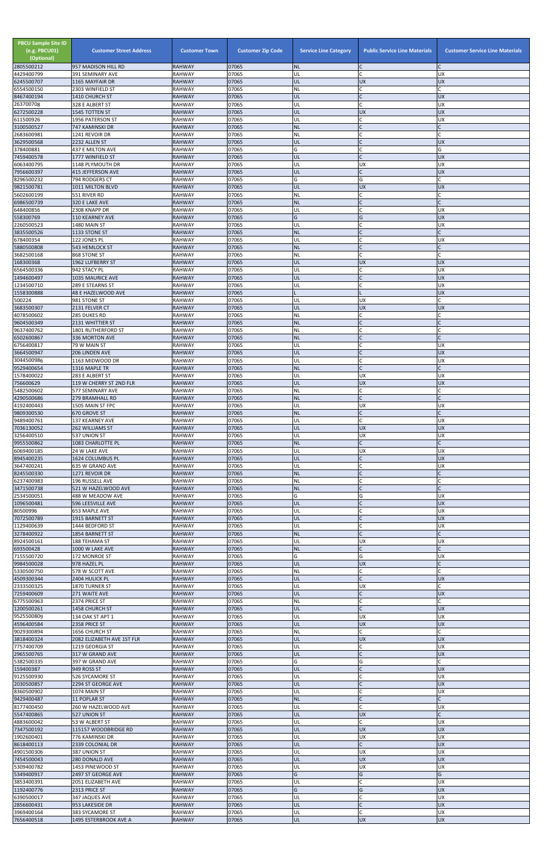| <b>PBCU Sample Site ID</b><br>(e.g. PBCU01)<br>(Optional)<br>2805500212 | <b>Customer Street Address</b><br>957 MADISON HILL RD | <b>Customer Town</b><br><b>RAHWAY</b> | <b>Customer Zip Code</b><br>07065 | <b>Service Line Category</b><br><b>NL</b> | <b>Public Service Line Materials</b><br>C | <b>Customer Service Line Materials</b> |
|-------------------------------------------------------------------------|-------------------------------------------------------|---------------------------------------|-----------------------------------|-------------------------------------------|-------------------------------------------|----------------------------------------|
| 4429400799                                                              | 391 SEMINARY AVE                                      | <b>RAHWAY</b>                         | 07065                             | UL                                        | $\mathsf{C}$                              | UX                                     |
| 6245500707                                                              | 1165 MAYFAIR DR                                       | <b>RAHWAY</b><br><b>RAHWAY</b>        | 07065<br>07065                    | UL<br>NL                                  | <b>UX</b><br>$\mathsf{C}$                 | <b>UX</b>                              |
| 6554500150<br>8467400194                                                | 2303 WINFIELD ST<br>1410 CHURCH ST                    | <b>RAHWAY</b>                         | 07065                             | UL                                        | $\mathsf{C}$                              | <b>UX</b>                              |
| 263700708<br>6272500228                                                 | 328 E ALBERT ST<br>1545 TOTTEN ST                     | <b>RAHWAY</b><br><b>RAHWAY</b>        | 07065<br>07065                    | UL<br>UL                                  | $\mathsf{C}$<br><b>UX</b>                 | UX<br>UX                               |
| 611500926                                                               | 1956 PATERSON ST                                      | <b>RAHWAY</b>                         | 07065                             | UL                                        | $\mathsf{C}$                              | <b>UX</b>                              |
| 3100500527<br>2683600981                                                | 747 KAMINSKI DR                                       | <b>RAHWAY</b>                         | 07065<br>07065                    | <b>NL</b>                                 | $\mathsf{C}$                              |                                        |
| 3629500568                                                              | 1241 REVOIR DR<br>2232 ALLEN ST                       | <b>RAHWAY</b><br><b>RAHWAY</b>        | 07065                             | NL<br>UL                                  | C<br>$\mathsf{C}$                         | <b>UX</b>                              |
| 378400881                                                               | 437 E MILTON AVE                                      | RAHWAY                                | 07065                             | G                                         | <b>C</b>                                  | G                                      |
| 7459400578<br>6063400795                                                | 1777 WINFIELD ST<br>1148 PLYMOUTH DR                  | <b>RAHWAY</b><br><b>RAHWAY</b>        | 07065<br>07065                    | UL<br>UL                                  | $\mathsf{C}$<br><b>UX</b>                 | <b>UX</b><br>UX                        |
| 7956600397                                                              | <b>415 JEFFERSON AVE</b>                              | <b>RAHWAY</b>                         | 07065                             | UL                                        | $\mathsf{C}$                              | UX                                     |
| 8296500232<br>9821500781                                                | 794 RODGERS CT<br>1011 MILTON BLVD                    | <b>RAHWAY</b><br><b>RAHWAY</b>        | 07065<br>07065                    | G<br>UL                                   | G<br><b>UX</b>                            | <b>UX</b>                              |
| 5602600199                                                              | 551 RIVER RD                                          | <b>RAHWAY</b>                         | 07065                             | NL                                        | C                                         |                                        |
| 6986500739<br>648400856                                                 | 320 E LAKE AVE<br>2308 KNAPP DR                       | <b>RAHWAY</b><br><b>RAHWAY</b>        | 07065<br>07065                    | <b>NL</b><br>UL                           | $\mathsf{C}$<br>$\mathsf{C}$              | UX                                     |
| 558300769                                                               | <b>110 KEARNEY AVE</b>                                | <b>RAHWAY</b>                         | 07065                             | G                                         | G                                         | <b>UX</b>                              |
| 2260500523<br>3835500526                                                | 1480 MAIN ST<br>1133 STONE ST                         | RAHWAY<br><b>RAHWAY</b>               | 07065<br>07065                    | UL<br><b>NL</b>                           | C                                         | UX                                     |
| 678400354                                                               | 122 JONES PL                                          | <b>RAHWAY</b>                         | 07065                             | UL                                        | C                                         | UX                                     |
| 5880500808<br>3682500168                                                | 543 HEMLOCK ST<br>868 STONE ST                        | <b>RAHWAY</b><br><b>RAHWAY</b>        | 07065<br>07065                    | <b>NL</b><br>NL                           | $\mathsf{C}$<br><b>C</b>                  |                                        |
| 168300368                                                               | 1962 LUFBERRY ST                                      | <b>RAHWAY</b>                         | 07065                             | UL                                        | <b>UX</b>                                 | <b>UX</b>                              |
| 6564500336                                                              | 942 STACY PL                                          | <b>RAHWAY</b>                         | 07065<br>07065                    | UL<br>UL                                  | $\mathsf{C}$<br>$\mathsf{C}$              | <b>UX</b><br><b>UX</b>                 |
| 1494600497<br>1234500710                                                | 1035 MAURICE AVE<br>289 E STEARNS ST                  | <b>RAHWAY</b><br><b>RAHWAY</b>        | 07065                             | UL                                        | $\mathsf{C}$                              | <b>UX</b>                              |
| 1558300888                                                              | 48 E HAZELWOOD AVE                                    | <b>RAHWAY</b>                         | 07065                             |                                           |                                           | UX                                     |
| 500224<br>3683500307                                                    | 981 STONE ST<br>2131 FELVER CT                        | <b>RAHWAY</b><br><b>RAHWAY</b>        | 07065<br>07065                    | UL<br>UL                                  | <b>UX</b><br><b>UX</b>                    | <b>UX</b>                              |
| 4078500602                                                              | 285 DUKES RD                                          | <b>RAHWAY</b>                         | 07065                             | NL                                        | C                                         |                                        |
| 9604500349<br>9637400762                                                | 2131 WHITTIER ST<br>1801 RUTHERFORD ST                | <b>RAHWAY</b><br><b>RAHWAY</b>        | 07065<br>07065                    | <b>NL</b><br>NL                           | $\mathsf{C}$<br>$\mathsf{C}$              |                                        |
| 6502600867                                                              | 336 MORTON AVE                                        | <b>RAHWAY</b>                         | 07065                             | <b>NL</b>                                 | $\mathsf{C}$                              |                                        |
| 6756400817<br>3664500947                                                | 79 W MAIN ST<br>206 LINDEN AVE                        | <b>RAHWAY</b><br><b>RAHWAY</b>        | 07065<br>07065                    | UL<br>UL                                  |                                           | UX<br><b>UX</b>                        |
| 3044500986                                                              | 1163 MIDWOOD DR                                       | <b>RAHWAY</b>                         | 07065                             | UL                                        | $\mathsf{C}$                              | <b>UX</b>                              |
| 9529400654                                                              | 1316 MAPLE TR                                         | <b>RAHWAY</b>                         | 07065                             | <b>NL</b>                                 | $\mathsf{C}$                              |                                        |
| 1578400022<br>756600629                                                 | 283 E ALBERT ST<br>119 W CHERRY ST 2ND FLR            | <b>RAHWAY</b><br><b>RAHWAY</b>        | 07065<br>07065                    | UL<br>UL                                  | <b>UX</b><br><b>UX</b>                    | UX<br><b>UX</b>                        |
| 5482500602                                                              | 577 SEMINARY AVE                                      | <b>RAHWAY</b>                         | 07065                             | NL                                        | $\mathsf{C}$                              |                                        |
| 4290500686<br>4192400443                                                | <b>279 BRAMHALL RD</b><br>1505 MAIN ST FPC            | <b>RAHWAY</b><br><b>RAHWAY</b>        | 07065<br>07065                    | <b>NL</b><br>UL                           | $\mathsf{C}$<br><b>UX</b>                 | <b>UX</b>                              |
| 9809300530                                                              | 670 GROVE ST                                          | <b>RAHWAY</b>                         | 07065                             | <b>NL</b>                                 | $\mathsf{C}$                              |                                        |
| 9489400761<br>7036130052                                                | 137 KEARNEY AVE<br>262 WILLIAMS ST                    | <b>RAHWAY</b><br><b>RAHWAY</b>        | 07065<br>07065                    | UL<br>UL                                  | $\mathsf{C}$<br><b>UX</b>                 | <b>UX</b><br><b>UX</b>                 |
| 3256400510                                                              | 537 UNION ST                                          | <b>RAHWAY</b>                         | 07065                             | UL                                        | <b>UX</b>                                 | UX                                     |
| 9955500862<br>6069400185                                                | 1083 CHARLOTTE PL<br>24 W LAKE AVE                    | <b>RAHWAY</b><br><b>RAHWAY</b>        | 07065<br>07065                    | <b>NL</b><br>UL                           | $\mathsf{C}$<br><b>UX</b>                 | UX                                     |
| 8945400235                                                              | 1624 COLUMBUS PL                                      | <b>RAHWAY</b>                         | 07065                             | UL                                        | $\mathsf{C}$                              | <b>UX</b>                              |
| 3647400241<br>8245500330                                                | 635 W GRAND AVE<br>1271 REVOIR DR                     | <b>RAHWAY</b><br><b>RAHWAY</b>        | 07065<br>07065                    | UL<br><b>NL</b>                           | $\mathsf{C}$<br>$\mathsf{C}$              | UX                                     |
| 6237400983                                                              | 196 RUSSELL AVE                                       | <b>RAHWAY</b>                         | 07065                             | <b>NL</b>                                 |                                           |                                        |
| 3471500738<br>2534500051                                                | 521 W HAZELWOOD AVE<br>488 W MEADOW AVE               | <b>RAHWAY</b><br><b>RAHWAY</b>        | 07065<br>07065                    | <b>NL</b><br>G                            | G                                         | UX                                     |
| 1096500481                                                              | 596 LEESVILLE AVE                                     | <b>RAHWAY</b>                         | 07065                             | UL                                        | $\mathsf{C}$                              | <b>UX</b>                              |
| 80500996<br>7072500789                                                  | 653 MAPLE AVE                                         | <b>RAHWAY</b><br><b>RAHWAY</b>        | 07065<br>07065                    | UL<br>UL                                  | C<br>$\mathsf{C}$                         | UX<br><b>UX</b>                        |
| 1129400639                                                              | 1915 BARNETT ST<br>1444 BEDFORD ST                    | <b>RAHWAY</b>                         | 07065                             | UL                                        | $\mathsf{C}$                              | <b>UX</b>                              |
| 3278400922                                                              | 1854 BARNETT ST                                       | <b>RAHWAY</b>                         | 07065                             | <b>NL</b>                                 | $\mathsf{C}$                              |                                        |
| 8924500161<br>693500428                                                 | 188 TEHAMA ST<br>1000 W LAKE AVE                      | <b>RAHWAY</b><br><b>RAHWAY</b>        | 07065<br>07065                    | UL<br><b>NL</b>                           | <b>UX</b><br>$\mathsf{C}$                 | <b>UX</b>                              |
| 7155500720                                                              | 172 MONROE ST                                         | <b>RAHWAY</b>                         | 07065                             | G                                         | G                                         | <b>UX</b>                              |
| 9984500028<br>5330500750                                                | 978 HAZEL PL<br>578 W SCOTT AVE                       | <b>RAHWAY</b><br><b>RAHWAY</b>        | 07065<br>07065                    | UL<br>NL                                  | <b>UX</b><br>C                            |                                        |
| 4509300344                                                              | 2404 HULICK PL                                        | <b>RAHWAY</b>                         | 07065                             | UL                                        | $\mathsf{C}$                              | <b>UX</b>                              |
| 2333500325<br>7259400609                                                | 1870 TURNER ST<br>271 WAITE AVE                       | <b>RAHWAY</b><br><b>RAHWAY</b>        | 07065<br>07065                    | UL<br>UL                                  | <b>UX</b><br>$\mathsf{C}$                 | <b>UX</b>                              |
| 6775500963                                                              | 2374 PRICE ST                                         | RAHWAY                                | 07065                             | NL                                        | $\mathsf{C}$                              |                                        |
| 1200500261<br>9525500809                                                | <b>1458 CHURCH ST</b><br>134 OAK ST APT 1             | <b>RAHWAY</b><br><b>RAHWAY</b>        | 07065<br>07065                    | UL<br>UL                                  | $\mathsf{C}$<br><b>UX</b>                 | UX<br><b>UX</b>                        |
| 4596400584                                                              | 2358 PRICE ST                                         | <b>RAHWAY</b>                         | 07065                             | UL                                        | <b>UX</b>                                 | <b>UX</b>                              |
| 9029300894<br>3818400324                                                | 1656 CHURCH ST<br>2082 ELIZABETH AVE 1ST FLR          | <b>RAHWAY</b><br><b>RAHWAY</b>        | 07065<br>07065                    | NL<br>UL                                  | C<br><b>UX</b>                            | <b>UX</b>                              |
| 7757400709                                                              | 1219 GEORGIA ST                                       | <b>RAHWAY</b>                         | 07065                             | UL                                        | C                                         | <b>UX</b>                              |
| 2965500765                                                              | 317 W GRAND AVE                                       | <b>RAHWAY</b><br><b>RAHWAY</b>        | 07065<br>07065                    | UL<br>G                                   | G                                         | <b>UX</b>                              |
| 5382500335<br>159400387                                                 | 397 W GRAND AVE<br>949 ROSS ST                        | <b>RAHWAY</b>                         | 07065                             | IUL.                                      |                                           | <b>UX</b>                              |
| 9125500930                                                              | 526 SYCAMORE ST                                       | <b>RAHWAY</b>                         | 07065                             | UL                                        | $\mathsf C$                               | UX                                     |
| 2030500857<br>8360500902                                                | 2294 ST GEORGE AVE<br>1074 MAIN ST                    | <b>RAHWAY</b><br><b>RAHWAY</b>        | 07065<br>07065                    | UL<br>UL                                  | $\mathsf{C}$<br>C                         | <b>UX</b><br><b>UX</b>                 |
| 9429400487                                                              | 11 POPLAR ST                                          | <b>RAHWAY</b>                         | 07065                             | NL                                        | $\mathsf{C}$                              |                                        |
| 8177400450<br>5547400865                                                | 260 W HAZELWOOD AVE<br>527 UNION ST                   | <b>RAHWAY</b><br><b>RAHWAY</b>        | 07065<br>07065                    | UL<br>UL                                  | $\mathsf{C}$<br><b>UX</b>                 | <b>UX</b>                              |
| 4883600042                                                              | 53 W ALBERT ST                                        | <b>RAHWAY</b>                         | 07065                             | UL                                        | $\mathsf{C}$                              | <b>UX</b>                              |
| 7347500192<br>1902600401                                                | 115157 WOODBRIDGE RD<br>776 KAMINSKI DR               | <b>RAHWAY</b><br><b>RAHWAY</b>        | 07065<br>07065                    | UL<br>UL                                  | <b>UX</b><br><b>UX</b>                    | <b>UX</b><br>UX                        |
| 8618400113                                                              | 2339 COLONIAL DR                                      | <b>RAHWAY</b>                         | 07065                             | UL                                        | $\mathsf{C}$                              | UX                                     |
| 4901500306<br>7454500043                                                | 387 UNION ST<br>280 DONALD AVE                        | <b>RAHWAY</b><br><b>RAHWAY</b>        | 07065<br>07065                    | UL<br>UL                                  | <b>UX</b><br><b>UX</b>                    | UX<br><b>UX</b>                        |
| 5309400782                                                              | 1453 PINEWOOD ST                                      | RAHWAY                                | 07065                             | UL                                        | <b>UX</b>                                 | <b>UX</b>                              |
| 5349400917                                                              | 2497 ST GEORGE AVE                                    | <b>RAHWAY</b>                         | 07065                             | G                                         | G                                         | G                                      |
| 3853400391<br>1192400776                                                | 2051 ELIZABETH AVE<br>2313 PRICE ST                   | RAHWAY<br><b>RAHWAY</b>               | 07065<br>07065                    | UL<br>G                                   | $\mathsf{C}$<br>G                         | UX<br><b>UX</b>                        |
| 6390500017                                                              | 347 JAQUES AVE                                        | <b>RAHWAY</b>                         | 07065                             | UL                                        | $\mathsf{C}$                              | UX                                     |
| 2856600431<br>3969400164                                                | 953 LAKESIDE DR<br>383 SYCAMORE ST                    | <b>RAHWAY</b><br>RAHWAY               | 07065<br>07065                    | UL<br>UL                                  | $\mathsf{C}$<br>C.                        | <b>UX</b><br><b>UX</b>                 |
| 7656400518                                                              | 1495 ESTERBROOK AVE A                                 | <b>RAHWAY</b>                         | 07065                             | UL                                        | <b>UX</b>                                 | <b>UX</b>                              |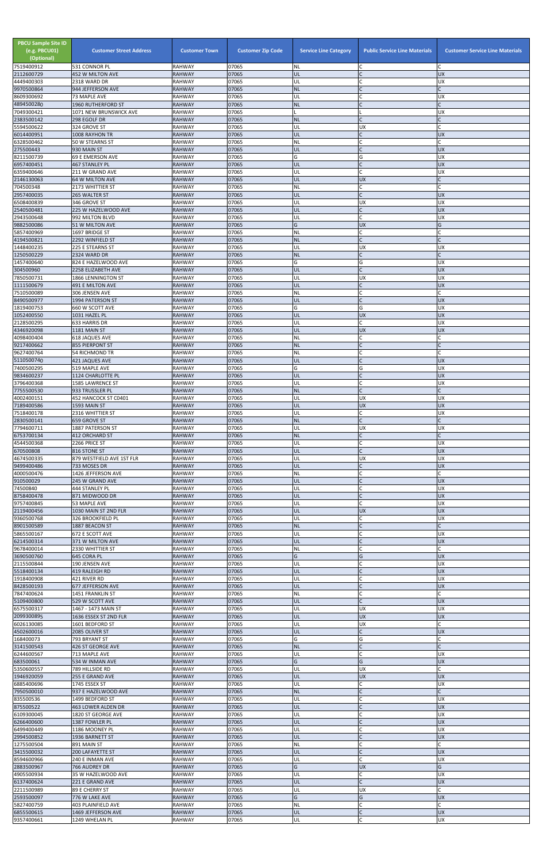| <b>PBCU Sample Site ID</b><br>(e.g. PBCU01)<br>(Optional)<br>7519400912 | <b>Customer Street Address</b><br>531 CONNOR PL | <b>Customer Town</b><br><b>RAHWAY</b> | <b>Customer Zip Code</b><br>07065 | <b>Service Line Category</b><br><b>NL</b> | <b>Public Service Line Materials</b><br>C | <b>Customer Service Line Materials</b> |
|-------------------------------------------------------------------------|-------------------------------------------------|---------------------------------------|-----------------------------------|-------------------------------------------|-------------------------------------------|----------------------------------------|
| 2112600729                                                              | <b>452 W MILTON AVE</b>                         | <b>RAHWAY</b>                         | 07065                             | UL                                        | $\mathsf{C}$                              | <b>UX</b>                              |
| 4449400303<br>9970500864                                                | 2318 WARD DR                                    | <b>RAHWAY</b><br><b>RAHWAY</b>        | 07065<br>07065                    | UL<br><b>NL</b>                           | C<br>lc.                                  | <b>UX</b>                              |
| 8609300692                                                              | 944 JEFFERSON AVE<br>73 MAPLE AVE               | <b>RAHWAY</b>                         | 07065                             | UL                                        | C                                         | UX                                     |
| 4894500280<br>7049300421                                                | 1960 RUTHERFORD ST<br>1071 NEW BRUNSWICK AVE    | <b>RAHWAY</b><br><b>RAHWAY</b>        | 07065<br>07065                    | <b>NL</b>                                 | $\mathsf{C}$                              | <b>UX</b>                              |
| 2383500142                                                              | 298 EGOLF DR                                    | <b>RAHWAY</b>                         | 07065                             | <b>NL</b>                                 | lc.                                       | C                                      |
| 5594500622                                                              | 324 GROVE ST                                    | <b>RAHWAY</b>                         | 07065                             | UL                                        | <b>UX</b>                                 |                                        |
| 6014400951<br>6328500462                                                | 1008 RAYHON TR<br>50 W STEARNS ST               | <b>RAHWAY</b><br><b>RAHWAY</b>        | 07065<br>07065                    | UL<br>NL                                  | $\mathsf{C}$<br>C                         | <b>UX</b>                              |
| 275500443                                                               | 930 MAIN ST                                     | <b>RAHWAY</b>                         | 07065                             | UL                                        | IC                                        | <b>UX</b>                              |
| 8211500739<br>6957400451                                                | 69 E EMERSON AVE<br>467 STANLEY PL              | <b>RAHWAY</b><br><b>RAHWAY</b>        | 07065<br>07065                    | G<br>UL                                   | G<br>IC                                   | UX<br><b>UX</b>                        |
| 6359400646                                                              | 211 W GRAND AVE                                 | <b>RAHWAY</b>                         | 07065                             | UL                                        | C                                         | <b>UX</b>                              |
| 2146130063                                                              | <b>64 W MILTON AVE</b>                          | <b>RAHWAY</b>                         | 07065                             | UL                                        | <b>UX</b>                                 |                                        |
| 704500348<br>2957400035                                                 | 2173 WHITTIER ST<br>265 WALTER ST               | <b>RAHWAY</b><br><b>RAHWAY</b>        | 07065<br>07065                    | NL<br>UL                                  | <b>C</b><br>$\overline{C}$                | $\mathsf{C}$<br><b>UX</b>              |
| 6508400839                                                              | 346 GROVE ST                                    | <b>RAHWAY</b>                         | 07065                             | UL                                        | <b>UX</b>                                 | UX                                     |
| 2540500481<br>2943500648                                                | 225 W HAZELWOOD AVE<br>992 MILTON BLVD          | <b>RAHWAY</b><br><b>RAHWAY</b>        | 07065<br>07065                    | UL<br>UL                                  | $\mathsf{C}$<br>lc.                       | <b>UX</b><br><b>UX</b>                 |
| 9882500086                                                              | 51 W MILTON AVE                                 | <b>RAHWAY</b>                         | 07065                             | G                                         | <b>UX</b>                                 | G                                      |
| 5857400969<br>4194500821                                                | 1697 BRIDGE ST<br>2292 WINFIELD ST              | <b>RAHWAY</b><br><b>RAHWAY</b>        | 07065<br>07065                    | NL<br><b>NL</b>                           | lC.<br>lc.                                |                                        |
| 1448400235                                                              | 225 E STEARNS ST                                | <b>RAHWAY</b>                         | 07065                             | UL                                        | <b>UX</b>                                 | <b>UX</b>                              |
| 1250500229                                                              | 2324 WARD DR                                    | <b>RAHWAY</b>                         | 07065                             | <b>NL</b>                                 | lC.                                       |                                        |
| 1457400640<br>304500960                                                 | 824 E HAZELWOOD AVE<br>2258 ELIZABETH AVE       | <b>RAHWAY</b><br><b>RAHWAY</b>        | 07065<br>07065                    | G<br>UL                                   | G<br>$\mathsf{C}$                         | UX<br><b>UX</b>                        |
| 7850500731                                                              | 1866 LENNINGTON ST                              | <b>RAHWAY</b>                         | 07065                             | UL                                        | <b>UX</b>                                 | UX                                     |
| 1111500679<br>7510500089                                                | <b>491 E MILTON AVE</b><br>306 JENSEN AVE       | <b>RAHWAY</b><br><b>RAHWAY</b>        | 07065<br>07065                    | UL<br>NL                                  | lC.<br><b>C</b>                           | <b>UX</b><br>$\mathsf{C}$              |
| 8490500977                                                              | 1994 PATERSON ST                                | <b>RAHWAY</b>                         | 07065                             | UL                                        | $\overline{C}$                            | <b>UX</b>                              |
| 1819400753                                                              | 660 W SCOTT AVE                                 | <b>RAHWAY</b>                         | 07065                             | G                                         | G                                         | UX                                     |
| 1052400550<br>2128500295                                                | 1031 HAZEL PL<br>633 HARRIS DR                  | <b>RAHWAY</b><br><b>RAHWAY</b>        | 07065<br>07065                    | UL<br>UL                                  | <b>UX</b><br>lC.                          | <b>UX</b><br>UX                        |
| 4346920098                                                              | 1181 MAIN ST                                    | <b>RAHWAY</b>                         | 07065                             | UL                                        | <b>UX</b>                                 | <b>UX</b>                              |
| 4098400404<br>9217400662                                                | <b>618 JAQUES AVE</b><br><b>855 PIERPONT ST</b> | <b>RAHWAY</b><br><b>RAHWAY</b>        | 07065<br>07065                    | NL<br><b>NL</b>                           | C                                         |                                        |
| 9627400764                                                              | <b>54 RICHMOND TR</b>                           | <b>RAHWAY</b>                         | 07065                             | <b>NL</b>                                 |                                           |                                        |
| 5110500740                                                              | 421 JAQUES AVE                                  | <b>RAHWAY</b>                         | 07065                             | UL                                        | IC                                        | <b>UX</b>                              |
| 7400500295<br>9834600237                                                | 519 MAPLE AVE<br>1124 CHARLOTTE PL              | <b>RAHWAY</b><br><b>RAHWAY</b>        | 07065<br>07065                    | G<br>UL                                   | G<br>IC                                   | ΧŊ<br><b>UX</b>                        |
| 3796400368                                                              | 1585 LAWRENCE ST                                | <b>RAHWAY</b>                         | 07065                             | UL                                        | lC.                                       | <b>UX</b>                              |
| 7755500530<br>4002400151                                                | 933 TRUSSLER PL<br>452 HANCOCK ST C0401         | <b>RAHWAY</b><br><b>RAHWAY</b>        | 07065<br>07065                    | <b>NL</b><br>UL                           | $\overline{C}$<br><b>UX</b>               | C<br><b>UX</b>                         |
| 7189400586                                                              | 1593 MAIN ST                                    | <b>RAHWAY</b>                         | 07065                             | UL                                        | <b>UX</b>                                 | <b>UX</b>                              |
| 7518400178                                                              | 2316 WHITTIER ST                                | <b>RAHWAY</b>                         | 07065                             | UL                                        | lC.<br>lC.                                | <b>UX</b>                              |
| 2830500141<br>7794600711                                                | 659 GROVE ST<br>1887 PATERSON ST                | <b>RAHWAY</b><br><b>RAHWAY</b>        | 07065<br>07065                    | <b>NL</b><br>UL                           | <b>UX</b>                                 | UX                                     |
| 6753700134                                                              | <b>412 ORCHARD ST</b>                           | <b>RAHWAY</b>                         | 07065                             | <b>NL</b>                                 | $\mathsf{C}$                              |                                        |
| 4544500368<br>670500808                                                 | 2266 PRICE ST<br>816 STONE ST                   | <b>RAHWAY</b><br><b>RAHWAY</b>        | 07065<br>07065                    | UL<br>UL                                  | lC.<br>lc.                                | UX<br><b>UX</b>                        |
| 4674500335                                                              | 879 WESTFIELD AVE 1ST FLR                       | <b>RAHWAY</b>                         | 07065                             | UL                                        | <b>UX</b>                                 | UX                                     |
| 9499400486<br>4000500476                                                | 733 MOSES DR<br>1426 JEFFERSON AVE              | <b>RAHWAY</b><br><b>RAHWAY</b>        | 07065<br>07065                    | <b>UL</b><br><b>NL</b>                    | $\mathsf{C}$<br>$\mathsf{C}$              | <b>UX</b>                              |
| 910500029                                                               | 245 W GRAND AVE                                 | <b>RAHWAY</b>                         | 07065                             | UL                                        |                                           | <b>UX</b>                              |
| 74500840                                                                | 444 STANLEY PL                                  | <b>RAHWAY</b>                         | 07065                             | UL                                        | $\mathsf{C}$<br>$\mathsf{C}$              | <b>UX</b>                              |
| 8758400478<br>9757400845                                                | 871 MIDWOOD DR<br>53 MAPLE AVE                  | <b>RAHWAY</b><br><b>RAHWAY</b>        | 07065<br>07065                    | UL<br>UL                                  | C.                                        | <b>UX</b><br><b>UX</b>                 |
| 2119400456                                                              | 1030 MAIN ST 2ND FLR                            | <b>RAHWAY</b>                         | 07065                             | UL                                        | <b>UX</b>                                 | <b>UX</b>                              |
| 9360500768<br>8901500589                                                | 326 BROOKFIELD PL<br>1887 BEACON ST             | <b>RAHWAY</b><br><b>RAHWAY</b>        | 07065<br>07065                    | UL<br><b>NL</b>                           | lC.<br>$\mathsf{C}$                       | <b>UX</b><br>C                         |
| 5865500167                                                              | 672 E SCOTT AVE                                 | <b>RAHWAY</b>                         | 07065                             | UL                                        | lC.                                       | UX                                     |
| 6214500314<br>9678400014                                                | 371 W MILTON AVE<br>2330 WHITTIER ST            | <b>RAHWAY</b><br><b>RAHWAY</b>        | 07065<br>07065                    | UL<br>NL                                  | $\overline{C}$<br>C                       | <b>UX</b>                              |
| 3690500760                                                              | 645 CORA PL                                     | <b>RAHWAY</b>                         | 07065                             | G                                         | G                                         | <b>UX</b>                              |
| 2115500844<br>5518400134                                                | 190 JENSEN AVE<br>419 RALEIGH RD                | <b>RAHWAY</b><br><b>RAHWAY</b>        | 07065<br>07065                    | UL<br>UL                                  | $\mathsf C$<br>$\mathsf C$                | <b>UX</b><br><b>UX</b>                 |
| 1918400908                                                              | 421 RIVER RD                                    | <b>RAHWAY</b>                         | 07065                             | UL                                        | $\mathsf{C}$                              | <b>UX</b>                              |
| 8428500193                                                              | 677 JEFFERSON AVE                               | <b>RAHWAY</b>                         | 07065                             | UL                                        | $\mathsf{C}$                              | <b>UX</b>                              |
| 7847400624<br>5109400800                                                | 1451 FRANKLIN ST<br>529 W SCOTT AVE             | <b>RAHWAY</b><br><b>RAHWAY</b>        | 07065<br>07065                    | <b>NL</b><br>UL                           | <b>C</b><br>lc.                           | <b>UX</b>                              |
| 6575500317                                                              | 1467 - 1473 MAIN ST                             | <b>RAHWAY</b>                         | 07065                             | UL                                        | <b>UX</b>                                 | <b>UX</b>                              |
| 2099300895<br>6026130085                                                | 1636 ESSEX ST 2ND FLR<br>1601 BEDFORD ST        | <b>RAHWAY</b><br><b>RAHWAY</b>        | 07065<br>07065                    | UL<br>UL                                  | <b>UX</b><br><b>UX</b>                    | <b>UX</b>                              |
| 4502600016                                                              | 2085 OLIVER ST                                  | <b>RAHWAY</b>                         | 07065                             | UL                                        | lC.                                       | <b>UX</b>                              |
| 168400073<br>3141500543                                                 | 793 BRYANT ST<br>426 ST GEORGE AVE              | <b>RAHWAY</b><br><b>RAHWAY</b>        | 07065<br>07065                    | G<br><b>NL</b>                            | G<br>$\mathsf{C}$                         |                                        |
| 6244600567                                                              | 713 MAPLE AVE                                   | <b>RAHWAY</b>                         | 07065                             | UL                                        |                                           | UX                                     |
| 683500061                                                               | 534 W INMAN AVE                                 | <b>RAHWAY</b>                         | 07065                             | G                                         | G                                         | <b>UX</b>                              |
| 5350600557<br>1946920059                                                | 789 HILLSIDE RD<br>255 E GRAND AVE              | <b>RAHWAY</b><br><b>RAHWAY</b>        | 07065<br>07065                    | IUL.<br>UL                                | UX<br><b>UX</b>                           | <b>ND</b>                              |
| 6885400696                                                              | 1745 ESSEX ST                                   | <b>RAHWAY</b>                         | 07065                             | UL                                        | C                                         | <b>UX</b>                              |
| 7950500010<br>835500536                                                 | 937 E HAZELWOOD AVE<br>1499 BEDFORD ST          | <b>RAHWAY</b><br><b>RAHWAY</b>        | 07065<br>07065                    | <b>NL</b><br>UL                           | $\mathsf{C}$<br>C                         | C<br><b>UX</b>                         |
| 875500522                                                               | 463 LOWER ALDEN DR                              | <b>RAHWAY</b>                         | 07065                             | UL                                        | $\mathsf{C}$                              | <b>UX</b>                              |
| 6109300045<br>6266400600                                                | 1820 ST GEORGE AVE<br>1387 FOWLER PL            | <b>RAHWAY</b><br><b>RAHWAY</b>        | 07065<br>07065                    | UL<br>UL                                  | $\mathsf{C}$<br>$\mathsf{C}$              | <b>UX</b><br><b>UX</b>                 |
| 6499400449                                                              | 1186 MOONEY PL                                  | <b>RAHWAY</b>                         | 07065                             | UL                                        | C                                         | <b>UX</b>                              |
| 2994500852                                                              | 1936 BARNETT ST                                 | <b>RAHWAY</b>                         | 07065                             | UL                                        | lC.                                       | <b>UX</b>                              |
| 1275500504<br>3415500032                                                | 891 MAIN ST<br>200 LAFAYETTE ST                 | <b>RAHWAY</b><br><b>RAHWAY</b>        | 07065<br>07065                    | NL<br>UL                                  | $\mathsf C$<br>$\overline{C}$             | <b>UX</b>                              |
| 8594600966                                                              | 240 E INMAN AVE                                 | <b>RAHWAY</b>                         | 07065                             | UL                                        | C.                                        | <b>UX</b>                              |
| 2883500967<br>4905500934                                                | 766 AUDREY DR<br>35 W HAZELWOOD AVE             | <b>RAHWAY</b><br><b>RAHWAY</b>        | 07065<br>07065                    | G<br>UL                                   | <b>UX</b><br>C.                           | G<br><b>UX</b>                         |
| 6137400624                                                              | 221 E GRAND AVE                                 | <b>RAHWAY</b>                         | 07065                             | UL                                        | $\overline{C}$                            | <b>UX</b>                              |
| 2211500989                                                              | 89 E CHERRY ST                                  | <b>RAHWAY</b>                         | 07065                             | UL                                        | <b>UX</b>                                 |                                        |
| 2593500097<br>5827400759                                                | 776 W LAKE AVE<br>403 PLAINFIELD AVE            | <b>RAHWAY</b><br><b>RAHWAY</b>        | 07065<br>07065                    | G<br><b>NL</b>                            | G<br>$\mathsf C$                          | <b>UX</b><br>C                         |
| 6855500615                                                              | 1469 JEFFERSON AVE                              | <b>RAHWAY</b>                         | 07065                             | UL                                        | $\mathsf C$                               | <b>UX</b>                              |
| 9357400661                                                              | 1249 WHELAN PL                                  | RAHWAY                                | 07065                             | UL                                        | C                                         | UX                                     |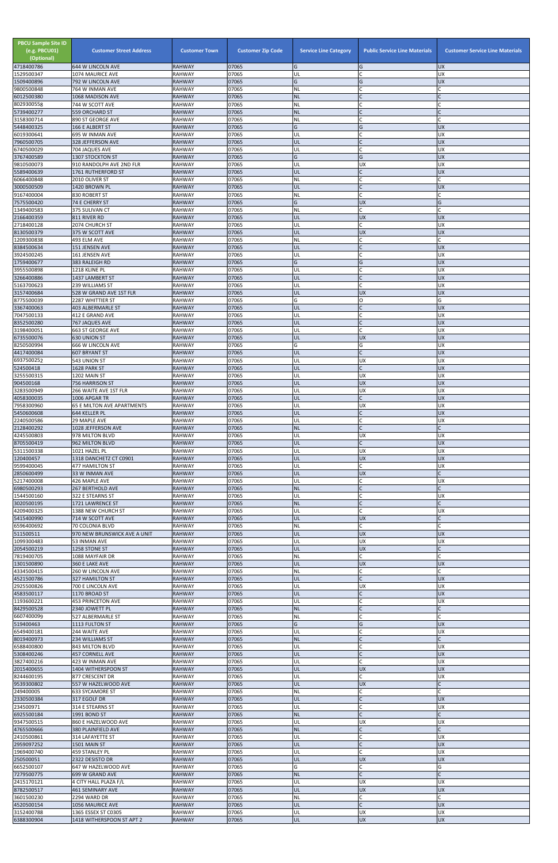| <b>PBCU Sample Site ID</b><br>(e.g. PBCU01)<br>(Optional)<br>4718400786 | <b>Customer Street Address</b><br>644 W LINCOLN AVE | <b>Customer Town</b><br><b>RAHWAY</b> | <b>Customer Zip Code</b><br>07065 | <b>Service Line Category</b><br>G | <b>Public Service Line Materials</b><br>G | <b>Customer Service Line Materials</b><br><b>UX</b> |
|-------------------------------------------------------------------------|-----------------------------------------------------|---------------------------------------|-----------------------------------|-----------------------------------|-------------------------------------------|-----------------------------------------------------|
| 1529500347                                                              | 1074 MAURICE AVE                                    | <b>RAHWAY</b>                         | 07065                             | UL                                | C                                         | <b>UX</b>                                           |
| 1509400896<br>9800500848                                                | 792 W LINCOLN AVE<br>764 W INMAN AVE                | <b>RAHWAY</b><br><b>RAHWAY</b>        | 07065<br>07065                    | G<br><b>NL</b>                    | G<br>lC.                                  | <b>UX</b>                                           |
| 6012500380                                                              | 1068 MADISON AVE                                    | <b>RAHWAY</b>                         | 07065                             | <b>NL</b>                         | $\mathsf{C}$                              |                                                     |
| 8029300558<br>5739400277                                                | 744 W SCOTT AVE<br><b>559 ORCHARD ST</b>            | <b>RAHWAY</b><br><b>RAHWAY</b>        | 07065<br>07065                    | <b>NL</b><br><b>NL</b>            | IC<br>IC                                  |                                                     |
| 3158300714                                                              | 890 ST GEORGE AVE                                   | <b>RAHWAY</b>                         | 07065                             | NL                                | <b>C</b>                                  |                                                     |
| 5448400325                                                              | 166 E ALBERT ST                                     | <b>RAHWAY</b>                         | 07065                             | G                                 | G                                         | <b>UX</b>                                           |
| 6019300641<br>7960500705                                                | 695 W INMAN AVE<br>328 JEFFERSON AVE                | <b>RAHWAY</b><br><b>RAHWAY</b>        | 07065<br>07065                    | UL<br>UL                          | C<br>$\mathsf{C}$                         | UX<br><b>UX</b>                                     |
| 6740500029                                                              | 704 JAQUES AVE                                      | <b>RAHWAY</b>                         | 07065                             | UL                                | $\mathsf{C}$                              | <b>UX</b>                                           |
| 3767400589<br>9810500073                                                | 1307 STOCKTON ST<br>910 RANDOLPH AVE 2ND FLR        | <b>RAHWAY</b><br><b>RAHWAY</b>        | 07065<br>07065                    | G<br>UL                           | G<br>UX                                   | <b>UX</b><br>UX                                     |
| 5589400639                                                              | 1761 RUTHERFORD ST                                  | <b>RAHWAY</b>                         | 07065                             | UL                                | lC.                                       | <b>UX</b>                                           |
| 6066400848                                                              | 2010 OLIVER ST                                      | <b>RAHWAY</b>                         | 07065                             | NL                                | <b>C</b><br>$\mathsf{C}$                  |                                                     |
| 3000500509<br>9167400004                                                | 1420 BROWN PL<br>830 ROBERT ST                      | <b>RAHWAY</b><br><b>RAHWAY</b>        | 07065<br>07065                    | UL<br>NL                          | C.                                        | <b>UX</b>                                           |
| 7575500420                                                              | 74 E CHERRY ST                                      | <b>RAHWAY</b>                         | 07065                             | G                                 | <b>UX</b>                                 | G                                                   |
| 1349400583<br>2166400359                                                | 375 SULIVAN CT<br>811 RIVER RD                      | <b>RAHWAY</b><br><b>RAHWAY</b>        | 07065<br>07065                    | NL<br>UL                          | lC.<br><b>UX</b>                          | <b>UX</b>                                           |
| 2718400128                                                              | 2074 CHURCH ST                                      | <b>RAHWAY</b>                         | 07065                             | UL                                | lC.                                       | UX                                                  |
| 8130500379<br>1209300838                                                | 375 W SCOTT AVE<br>493 ELM AVE                      | <b>RAHWAY</b><br><b>RAHWAY</b>        | 07065<br>07065                    | UL<br>NL                          | <b>UX</b><br>lC.                          | <b>UX</b>                                           |
| 8384500634                                                              | 151 JENSEN AVE                                      | <b>RAHWAY</b>                         | 07065                             | UL                                | $\overline{C}$                            | <b>UX</b>                                           |
| 3924500245                                                              | 161 JENSEN AVE                                      | <b>RAHWAY</b>                         | 07065<br>07065                    | UL<br>G                           | lC.<br>G                                  | UX                                                  |
| 1759400677<br>3955500898                                                | 383 RALEIGH RD<br>1218 KLINE PL                     | <b>RAHWAY</b><br><b>RAHWAY</b>        | 07065                             | UL                                | IC                                        | <b>UX</b><br>UX                                     |
| 3266400886                                                              | 1437 LAMBERT ST                                     | <b>RAHWAY</b>                         | 07065                             | UL                                | c                                         | <b>UX</b>                                           |
| 5163700623<br>3157400684                                                | 239 WILLIAMS ST<br>528 W GRAND AVE 1ST FLR          | <b>RAHWAY</b><br><b>RAHWAY</b>        | 07065<br>07065                    | UL<br>UL                          | C<br><b>UX</b>                            | UX<br><b>UX</b>                                     |
| 8775500039                                                              | 2287 WHITTIER ST                                    | <b>RAHWAY</b>                         | 07065                             | G                                 | lo                                        | G                                                   |
| 3367400063<br>7047500133                                                | 403 ALBERMARLE ST<br>412 E GRAND AVE                | <b>RAHWAY</b><br><b>RAHWAY</b>        | 07065<br>07065                    | UL<br>UL                          | lC.<br>lC.                                | <b>UX</b><br><b>UX</b>                              |
| 8352500280                                                              | 767 JAQUES AVE                                      | <b>RAHWAY</b>                         | 07065                             | UL                                | lC.                                       | <b>UX</b>                                           |
| 3198400051<br>6735500076                                                | 663 ST GEORGE AVE                                   | <b>RAHWAY</b><br><b>RAHWAY</b>        | 07065<br>07065                    | UL<br>UL                          | lC.<br><b>UX</b>                          | UX<br><b>UX</b>                                     |
| 8250500994                                                              | <b>630 UNION ST</b><br>666 W LINCOLN AVE            | <b>RAHWAY</b>                         | 07065                             | G                                 | G                                         | UX                                                  |
| 4417400084                                                              | <b>607 BRYANT ST</b>                                | <b>RAHWAY</b>                         | 07065                             | UL                                |                                           | <b>UX</b>                                           |
| 6937500252<br>524500418                                                 | 543 UNION ST<br>1628 PARK ST                        | <b>RAHWAY</b><br><b>RAHWAY</b>        | 07065<br>07065                    | UL<br>UL                          | <b>UX</b><br>$\overline{C}$               | <b>UX</b><br><b>ND</b>                              |
| 3255500315                                                              | 1202 MAIN ST                                        | <b>RAHWAY</b>                         | 07065                             | UL                                | <b>UX</b>                                 | <b>UX</b>                                           |
| 904500168<br>3283500949                                                 | 756 HARRISON ST<br>266 WAITE AVE 1ST FLR            | <b>RAHWAY</b><br><b>RAHWAY</b>        | 07065<br>07065                    | UL<br>UL                          | <b>UX</b><br><b>UX</b>                    | <b>UX</b><br>UX                                     |
| 4058300035                                                              | 1006 APGAR TR                                       | <b>RAHWAY</b>                         | 07065                             | UL                                | $\mathsf{C}$                              | <b>UX</b>                                           |
| 7958300960<br>5450600608                                                | <b>65 E MILTON AVE APARTMENTS</b><br>644 KELLER PL  | <b>RAHWAY</b><br><b>RAHWAY</b>        | 07065<br>07065                    | UL<br>UL                          | UX<br>$\mathsf{C}$                        | UX<br><b>UX</b>                                     |
| 2240500586                                                              | 29 MAPLE AVE                                        | <b>RAHWAY</b>                         | 07065                             | UL                                | lC.                                       | <b>UX</b>                                           |
| 2128400292                                                              | 1028 JEFFERSON AVE                                  | <b>RAHWAY</b>                         | 07065                             | <b>NL</b>                         | lc.                                       |                                                     |
| 4245500803<br>8705500419                                                | 978 MILTON BLVD<br>962 MILTON BLVD                  | <b>RAHWAY</b><br><b>RAHWAY</b>        | 07065<br>07065                    | UL<br>UL                          | <b>UX</b><br>lC.                          | <b>UX</b><br><b>UX</b>                              |
| 5311500338                                                              | 1021 HAZEL PL                                       | <b>RAHWAY</b>                         | 07065                             | UL                                | <b>UX</b>                                 | UX                                                  |
| 120400457<br>9599400045                                                 | 1318 DANCHETZ CT C0901<br>477 HAMILTON ST           | <b>RAHWAY</b><br><b>RAHWAY</b>        | 07065<br>07065                    | UL<br>UL                          | <b>UX</b><br>lc.                          | <b>UX</b><br>UX                                     |
| 2850600499                                                              | 33 W INMAN AVE                                      | <b>RAHWAY</b>                         | 07065                             | UL                                | <b>UX</b>                                 |                                                     |
| 5217400008<br>6980500293                                                | 426 MAPLE AVE<br><b>267 BERTHOLD AVE</b>            | <b>RAHWAY</b><br><b>RAHWAY</b>        | 07065<br>07065                    | UL<br><b>NL</b>                   | lC.<br>$\overline{C}$                     | UX                                                  |
| 1544500160                                                              | 322 E STEARNS ST                                    | <b>RAHWAY</b>                         | 07065                             | UL                                | $\mathsf C$                               | <b>UX</b>                                           |
| 3020500195<br>4209400325                                                | 1721 LAWRENCE ST                                    | <b>RAHWAY</b>                         | 07065<br>07065                    | <b>NL</b>                         | $\mathsf C$<br>lC.                        |                                                     |
| 5415400990                                                              | 1388 NEW CHURCH ST<br>714 W SCOTT AVE               | <b>RAHWAY</b><br><b>RAHWAY</b>        | 07065                             | UL<br>UL                          | <b>UX</b>                                 | UX                                                  |
| 6596400692                                                              | 70 COLONIA BLVD                                     | <b>RAHWAY</b>                         | 07065                             | <b>NL</b>                         | lC.                                       | C                                                   |
| 511500511<br>1099300483                                                 | 970 NEW BRUNSWICK AVE A UNIT<br>53 INMAN AVE        | <b>RAHWAY</b><br><b>RAHWAY</b>        | 07065<br>07065                    | UL<br>UL                          | <b>UX</b><br><b>UX</b>                    | <b>UX</b><br>UX                                     |
| 2054500219                                                              | 1258 STONE ST                                       | <b>RAHWAY</b>                         | 07065                             | UL                                | <b>UX</b>                                 |                                                     |
| 7819400705<br>1301500890                                                | 1088 MAYFAIR DR<br>360 E LAKE AVE                   | <b>RAHWAY</b><br><b>RAHWAY</b>        | 07065<br>07065                    | NL<br>UL                          | lC.<br><b>UX</b>                          | <b>UX</b>                                           |
| 4334500415                                                              | 260 W LINCOLN AVE                                   | <b>RAHWAY</b>                         | 07065                             | ΝL                                | C                                         |                                                     |
| 4521500786                                                              | 327 HAMILTON ST                                     | <b>RAHWAY</b><br><b>RAHWAY</b>        | 07065                             | UL                                | $\mathsf{C}$                              | <b>UX</b>                                           |
| 2925500826<br>4583500117                                                | 700 E LINCOLN AVE<br>1170 BROAD ST                  | <b>RAHWAY</b>                         | 07065<br>07065                    | UL<br>UL                          | <b>UX</b><br>lC.                          | <b>UX</b><br><b>UX</b>                              |
| 1193600221                                                              | 453 PRINCETON AVE                                   | <b>RAHWAY</b>                         | 07065                             | UL                                | lC.                                       | UX                                                  |
| 8429500528<br>6607400099                                                | 2340 JOWETT PL<br>527 ALBERMARLE ST                 | <b>RAHWAY</b><br><b>RAHWAY</b>        | 07065<br>07065                    | <b>NL</b><br>NL                   | $\overline{C}$<br>C                       |                                                     |
| 519400463                                                               | 1113 FULTON ST                                      | <b>RAHWAY</b>                         | 07065                             | G                                 | G                                         | <b>UX</b>                                           |
| 6549400181<br>8019400973                                                | 244 WAITE AVE<br>234 WILLIAMS ST                    | <b>RAHWAY</b><br><b>RAHWAY</b>        | 07065<br>07065                    | UL<br><b>NL</b>                   | lC.<br>$\mathsf{C}$                       | <b>UX</b>                                           |
| 6588400800                                                              | 843 MILTON BLVD                                     | <b>RAHWAY</b>                         | 07065                             | UL                                | $\mathsf{C}$                              | <b>UX</b>                                           |
| 5308400246                                                              | <b>457 CORNELL AVE</b>                              | <b>RAHWAY</b>                         | 07065                             | UL<br>UL                          | $\mathsf{C}$                              | <b>UX</b>                                           |
| 3827400216<br>2015400655                                                | 423 W INMAN AVE<br>1404 WITHERSPOON ST              | <b>RAHWAY</b><br><b>RAHWAY</b>        | 07065<br>07065                    | IUL.                              | <b>UX</b>                                 | UX<br><b>UX</b>                                     |
| 8244600195                                                              | 877 CRESCENT DR                                     | <b>RAHWAY</b>                         | 07065                             | UL                                | <b>C</b>                                  | <b>UX</b>                                           |
| 9539300802<br>249400005                                                 | 557 W HAZELWOOD AVE<br><b>633 SYCAMORE ST</b>       | <b>RAHWAY</b><br><b>RAHWAY</b>        | 07065<br>07065                    | UL<br><b>NL</b>                   | <b>UX</b><br>C                            | C                                                   |
| 2330500384                                                              | 317 EGOLF DR                                        | <b>RAHWAY</b>                         | 07065                             | UL                                | $\mathsf{C}$                              | <b>UX</b>                                           |
| 234500971<br>6925500184                                                 | 314 E STEARNS ST<br>1991 BOND ST                    | <b>RAHWAY</b><br><b>RAHWAY</b>        | 07065<br>07065                    | UL<br><b>NL</b>                   | C<br>lC.                                  | <b>UX</b>                                           |
| 9347500515                                                              | 860 E HAZELWOOD AVE                                 | <b>RAHWAY</b>                         | 07065                             | UL                                | <b>UX</b>                                 | UX                                                  |
| 4765500666                                                              | 380 PLAINFIELD AVE                                  | <b>RAHWAY</b>                         | 07065                             | <b>NL</b>                         | lC.<br>lC.                                |                                                     |
| 2410500861<br>2959097252                                                | 314 LAFAYETTE ST<br>1501 MAIN ST                    | <b>RAHWAY</b><br><b>RAHWAY</b>        | 07065<br>07065                    | UL<br>UL                          | $\mathsf C$                               | UX<br>X                                             |
| 1969400740                                                              | 459 STANLEY PL                                      | <b>RAHWAY</b>                         | 07065                             | UL                                | <b>C</b>                                  | <b>UX</b>                                           |
| 250500051<br>6652500107                                                 | 2322 DESISTO DR<br>647 W HAZELWOOD AVE              | <b>RAHWAY</b><br><b>RAHWAY</b>        | 07065<br>07065                    | UL<br>G                           | <b>UX</b><br>C                            | <b>UX</b><br>G                                      |
| 7279500775                                                              | 699 W GRAND AVE                                     | <b>RAHWAY</b>                         | 07065                             | <b>NL</b>                         | $\mathsf{C}$                              |                                                     |
| 2415170121<br>8782500517                                                | 4 CITY HALL PLAZA F/L<br><b>461 SEMINARY AVE</b>    | <b>RAHWAY</b><br><b>RAHWAY</b>        | 07065<br>07065                    | UL<br>UL                          | <b>UX</b><br><b>UX</b>                    | UX<br><b>UX</b>                                     |
| 3601500230                                                              | 2294 WARD DR                                        | <b>RAHWAY</b>                         | 07065                             | NL                                | C                                         | C                                                   |
| 4520500154                                                              | 1056 MAURICE AVE                                    | <b>RAHWAY</b>                         | 07065                             | UL                                | $\mathsf{C}$                              | <b>UX</b>                                           |
| 3152400788<br>6388300904                                                | 1365 ESSEX ST C0305<br>1418 WITHERSPOON ST APT 2    | <b>RAHWAY</b><br><b>RAHWAY</b>        | 07065<br>07065                    | UL<br>UL                          | <b>UX</b><br><b>UX</b>                    | UX<br><b>UX</b>                                     |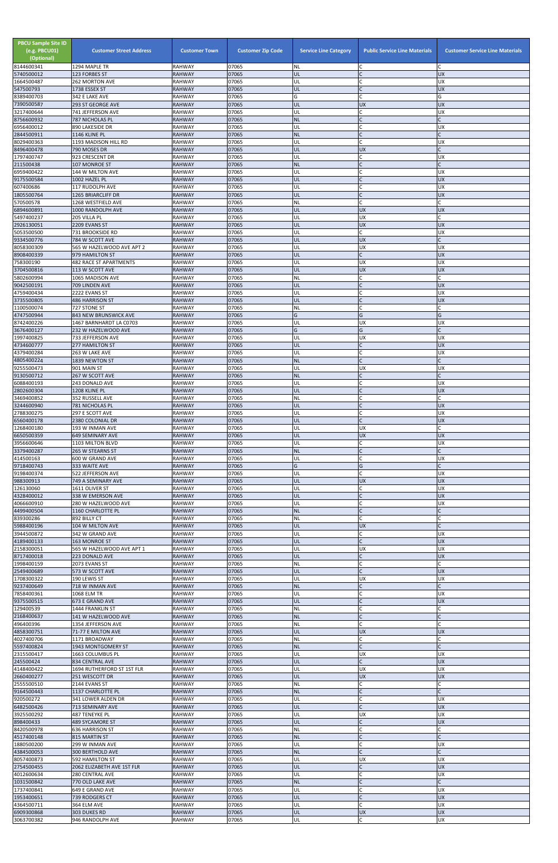| <b>PBCU Sample Site ID</b><br>(e.g. PBCU01)<br>(Optional) | <b>Customer Street Address</b>                | <b>Customer Town</b>           | <b>Customer Zip Code</b> | <b>Service Line Category</b> | <b>Public Service Line Materials</b> | <b>Customer Service Line Materials</b> |
|-----------------------------------------------------------|-----------------------------------------------|--------------------------------|--------------------------|------------------------------|--------------------------------------|----------------------------------------|
| 8144600341<br>5740500012                                  | 1294 MAPLE TR<br>123 FORBES ST                | <b>RAHWAY</b><br><b>RAHWAY</b> | 07065<br>07065           | <b>NL</b><br>UL              | ١C                                   | <b>UX</b>                              |
| 1664500487                                                | 262 MORTON AVE                                | <b>RAHWAY</b>                  | 07065                    | UL                           | C                                    | <b>UX</b>                              |
| 547500793<br>8389400703                                   | 1738 ESSEX ST<br>342 E LAKE AVE               | <b>RAHWAY</b><br><b>RAHWAY</b> | 07065<br>07065           | UL<br>G                      | lc.<br>lC.                           | <b>UX</b><br>G                         |
| 7390500587                                                | <b>293 ST GEORGE AVE</b>                      | <b>RAHWAY</b>                  | 07065                    | UL                           | <b>UX</b>                            | <b>UX</b>                              |
| 3217400644<br>8756600932                                  | 741 JEFFERSON AVE<br><b>787 NICHOLAS PL</b>   | <b>RAHWAY</b><br><b>RAHWAY</b> | 07065<br>07065           | UL<br><b>NL</b>              | lC.<br>IC                            | <b>UX</b>                              |
| 6956400012                                                | 890 LAKESIDE DR                               | <b>RAHWAY</b>                  | 07065                    | UL                           | lC.<br>$\mathsf{C}$                  | UX                                     |
| 2844500911<br>8029400363                                  | 1146 KLINE PL<br>1193 MADISON HILL RD         | <b>RAHWAY</b><br><b>RAHWAY</b> | 07065<br>07065           | <b>NL</b><br>UL              | $\mathsf{C}$                         | UX                                     |
| 8496400478<br>1797400747                                  | 790 MOSES DR                                  | <b>RAHWAY</b>                  | 07065<br>07065           | UL<br>UL                     | <b>UX</b><br>lC.                     | <b>UX</b>                              |
| 211500438                                                 | 923 CRESCENT DR<br>107 MONROE ST              | <b>RAHWAY</b><br><b>RAHWAY</b> | 07065                    | <b>NL</b>                    | $\overline{C}$                       |                                        |
| 6959400422<br>9175500584                                  | 144 W MILTON AVE<br>1002 HAZEL PL             | <b>RAHWAY</b><br><b>RAHWAY</b> | 07065<br>07065           | UL<br>UL                     | IC<br>$\mathsf{C}$                   | UX<br><b>UX</b>                        |
| 607400686                                                 | 117 RUDOLPH AVE                               | <b>RAHWAY</b>                  | 07065                    | UL                           | $\mathsf{C}$                         | UX                                     |
| 1805500764<br>570500578                                   | 1265 BRIARCLIFF DR<br>1268 WESTFIELD AVE      | <b>RAHWAY</b><br><b>RAHWAY</b> | 07065<br>07065           | UL<br><b>NL</b>              | lC.<br>lC.                           | <b>UX</b>                              |
| 6894600891                                                | 1000 RANDOLPH AVE                             | <b>RAHWAY</b>                  | 07065                    | UL                           | <b>UX</b>                            | <b>UX</b>                              |
| 5497400237<br>2926130051                                  | 205 VILLA PL<br>2209 EVANS ST                 | <b>RAHWAY</b><br><b>RAHWAY</b> | 07065<br>07065           | UL<br>UL                     | <b>UX</b><br><b>UX</b>               | C<br><b>UX</b>                         |
| 5053500500                                                | 731 BROOKSIDE RD                              | <b>RAHWAY</b>                  | 07065                    | UL                           | <b>C</b>                             | <b>UX</b>                              |
| 9334500776<br>8058300309                                  | 784 W SCOTT AVE<br>565 W HAZELWOOD AVE APT 2  | <b>RAHWAY</b><br><b>RAHWAY</b> | 07065<br>07065           | UL<br>UL                     | <b>UX</b><br><b>UX</b>               | UX                                     |
| 8908400339                                                | 979 HAMILTON ST                               | <b>RAHWAY</b>                  | 07065                    | UL                           | lC.                                  | <b>UX</b>                              |
| 758300190<br>3704500816                                   | 482 RACE ST APARTMENTS<br>113 W SCOTT AVE     | <b>RAHWAY</b><br><b>RAHWAY</b> | 07065<br>07065           | UL<br>UL                     | <b>UX</b><br><b>UX</b>               | UX<br><b>UX</b>                        |
| 5802600994                                                | 1065 MADISON AVE                              | <b>RAHWAY</b>                  | 07065                    | NL                           | $\mathsf{C}$                         |                                        |
| 9042500191<br>4759400434                                  | 709 LINDEN AVE<br>2222 EVANS ST               | <b>RAHWAY</b><br><b>RAHWAY</b> | 07065<br>07065           | UL<br>UL                     | $\mathsf{C}$<br><b>C</b>             | <b>UX</b><br><b>UX</b>                 |
| 3735500805                                                | 486 HARRISON ST                               | <b>RAHWAY</b>                  | 07065                    | UL                           | lc.                                  | <b>UX</b>                              |
| 1100500074<br>4747500944                                  | 727 STONE ST<br>843 NEW BRUNSWICK AVE         | <b>RAHWAY</b><br><b>RAHWAY</b> | 07065<br>07065           | NL<br>G                      | C<br>G                               | G                                      |
| 8742400226                                                | 1467 BARNHARDT LA C0703                       | <b>RAHWAY</b>                  | 07065                    | UL                           | <b>UX</b>                            | <b>UX</b>                              |
| 3676400127<br>1997400825                                  | 232 W HAZELWOOD AVE<br>733 JEFFERSON AVE      | <b>RAHWAY</b><br><b>RAHWAY</b> | 07065<br>07065           | G<br>UL                      | G<br><b>UX</b>                       | <b>UX</b>                              |
| 4734600777                                                | <b>277 HAMILTON ST</b>                        | <b>RAHWAY</b>                  | 07065                    | UL                           | lc.                                  | <b>UX</b>                              |
| 4379400284<br>4805400224                                  | 263 W LAKE AVE<br>1839 NEWTON ST              | <b>RAHWAY</b><br><b>RAHWAY</b> | 07065<br>07065           | UL<br><b>NL</b>              | IC.<br>IC                            | UΧ                                     |
| 9255500473                                                | 901 MAIN ST                                   | <b>RAHWAY</b>                  | 07065                    | UL                           | <b>UX</b>                            | UX                                     |
| 9130500712<br>6088400193                                  | 267 W SCOTT AVE<br>243 DONALD AVE             | <b>RAHWAY</b><br><b>RAHWAY</b> | 07065<br>07065           | <b>NL</b><br>UL              | $\mathsf{C}$<br>C                    | UX                                     |
| 2802600304                                                | 1208 KLINE PL                                 | <b>RAHWAY</b>                  | 07065                    | UL                           | $\overline{C}$                       | <b>UX</b>                              |
| 3469400852<br>3244600940                                  | 352 RUSSELL AVE<br>781 NICHOLAS PL            | <b>RAHWAY</b><br><b>RAHWAY</b> | 07065<br>07065           | <b>NL</b><br>UL              | C<br>$\mathsf C$                     | <b>UX</b>                              |
| 2788300275                                                | 297 E SCOTT AVE                               | <b>RAHWAY</b>                  | 07065                    | UL                           | lC.<br>lc.                           | UX                                     |
| 6560400178<br>1268400180                                  | 2380 COLONIAL DR<br>193 W INMAN AVE           | <b>RAHWAY</b><br><b>RAHWAY</b> | 07065<br>07065           | UL<br>UL                     | <b>UX</b>                            | <b>UX</b><br>C                         |
| 6650500359<br>3956600646                                  | <b>649 SEMINARY AVE</b><br>1103 MILTON BLVD   | <b>RAHWAY</b><br><b>RAHWAY</b> | 07065<br>07065           | UL<br>UL                     | <b>UX</b><br>lC.                     | <b>UX</b><br><b>UX</b>                 |
| 3379400287                                                | 265 W STEARNS ST                              | <b>RAHWAY</b>                  | 07065                    | <b>NL</b>                    | IC                                   |                                        |
| 414500163<br>9718400743                                   | 600 W GRAND AVE<br>333 WAITE AVE              | <b>RAHWAY</b><br><b>RAHWAY</b> | 07065<br>07065           | UL<br>G                      | C<br>G                               | <b>UX</b><br>C                         |
| 9198400374                                                | 522 JEFFERSON AVE                             | <b>RAHWAY</b>                  | 07065                    | UL                           | <b>C</b>                             | <b>UX</b>                              |
| 988300913<br>126130060                                    | 749 A SEMINARY AVE<br>1611 OLIVER ST          | <b>RAHWAY</b><br><b>RAHWAY</b> | 07065<br>07065           | UL<br>UL                     | <b>UX</b><br>lC.                     | <b>UX</b><br>UX                        |
| 4328400012                                                | 338 W EMERSON AVE                             | <b>RAHWAY</b>                  | 07065                    | UL                           | lC.                                  | <b>UX</b>                              |
| 4066600910<br>4499400504                                  | 280 W HAZELWOOD AVE<br>1160 CHARLOTTE PL      | <b>RAHWAY</b><br><b>RAHWAY</b> | 07065<br>07065           | UL<br><b>NL</b>              | lC.<br>$\mathsf C$                   | UX                                     |
| 839300286                                                 | 892 BILLY CT                                  | <b>RAHWAY</b>                  | 07065                    | NL                           | lC.<br><b>UX</b>                     |                                        |
| 5988400196<br>3944500872                                  | 104 W MILTON AVE<br>342 W GRAND AVE           | <b>RAHWAY</b><br><b>RAHWAY</b> | 07065<br>07065           | UL<br>UL                     | C.                                   | UX                                     |
| 4189400133                                                | <b>163 MONROE ST</b>                          | <b>RAHWAY</b>                  | 07065                    | UL                           | $\mathsf{C}$                         | <b>UX</b>                              |
| 2158300051<br>8717400018                                  | 565 W HAZELWOOD AVE APT 1<br>223 DONALD AVE   | <b>RAHWAY</b><br><b>RAHWAY</b> | 07065<br>07065           | UL<br>UL                     | <b>UX</b><br>$\mathsf{C}$            | UX<br><b>UX</b>                        |
| 1998400159<br>2549400689                                  | 2073 EVANS ST<br>573 W SCOTT AVE              | <b>RAHWAY</b><br><b>RAHWAY</b> | 07065<br>07065           | NL<br>UL                     | <b>C</b><br>lC.                      | <b>UX</b>                              |
| 1708300322                                                | 190 LEWIS ST                                  | <b>RAHWAY</b>                  | 07065                    | UL                           | <b>UX</b>                            | <b>UX</b>                              |
| 9237400649<br>7858400361                                  | 718 W INMAN AVE<br>1068 ELM TR                | <b>RAHWAY</b><br><b>RAHWAY</b> | 07065<br>07065           | <b>NL</b><br>UL              | $\mathsf{C}$<br>lC.                  | <b>UX</b>                              |
| 9375500515                                                | 673 E GRAND AVE                               | <b>RAHWAY</b>                  | 07065                    | UL                           | $\mathsf{C}$                         | <b>UX</b>                              |
| 129400539<br>2168400637                                   | 1444 FRANKLIN ST<br>141 W HAZELWOOD AVE       | <b>RAHWAY</b><br><b>RAHWAY</b> | 07065<br>07065           | <b>NL</b><br><b>NL</b>       | <b>C</b><br>$\mathsf{C}$             |                                        |
| 496400396                                                 | 1354 JEFFERSON AVE                            | <b>RAHWAY</b>                  | 07065                    | <b>NL</b>                    | lc.                                  |                                        |
| 4858300751<br>4027400706                                  | 71-77 E MILTON AVE<br>1171 BROADWAY           | <b>RAHWAY</b><br><b>RAHWAY</b> | 07065<br>07065           | UL<br>NL                     | <b>UX</b><br>lC.                     | <b>UX</b>                              |
| 5597400824                                                | 1943 MONTGOMERY ST                            | <b>RAHWAY</b>                  | 07065                    | <b>NL</b>                    | $\overline{C}$                       |                                        |
| 2315500417<br>245500424                                   | 1663 COLUMBUS PL<br>834 CENTRAL AVE           | <b>RAHWAY</b><br><b>RAHWAY</b> | 07065<br>07065           | UL<br>UL                     | <b>UX</b><br>lC.                     | UX<br><b>UX</b>                        |
| 4148400422                                                | 1694 RUTHERFORD ST 1ST FLR                    | RAHWAY                         | 07065                    | UL                           | UX                                   | Jυχ                                    |
| 2660400277<br>2555500510                                  | 251 WESCOTT DR<br>2144 EVANS ST               | <b>RAHWAY</b><br><b>RAHWAY</b> | 07065<br>07065           | UL<br><b>NL</b>              | <b>UX</b><br>$\mathsf{C}$            | <b>UX</b>                              |
| 9164500443                                                | 1137 CHARLOTTE PL                             | <b>RAHWAY</b>                  | 07065                    | <b>NL</b>                    | $\mathsf{C}$                         |                                        |
| 920500272<br>6482500426                                   | 341 LOWER ALDEN DR<br>713 SEMINARY AVE        | <b>RAHWAY</b><br><b>RAHWAY</b> | 07065<br>07065           | UL<br><b>UL</b>              | C<br>$\mathsf{C}$                    | UX<br><b>UX</b>                        |
| 3925500292                                                | 487 TENEYKE PL                                | <b>RAHWAY</b>                  | 07065                    | UL                           | <b>UX</b>                            | X                                      |
| 898400433<br>8420500978                                   | <b>489 SYCAMORE ST</b><br>636 HARRISON ST     | <b>RAHWAY</b><br><b>RAHWAY</b> | 07065<br>07065           | UL<br>ΝL                     | $\overline{C}$<br>lC.                | <b>UX</b><br>C                         |
| 4517400148                                                | 815 MARTIN ST                                 | <b>RAHWAY</b>                  | 07065                    | <b>NL</b>                    | $\mathsf{C}$<br>lC.                  |                                        |
| 1880500200<br>4384500053                                  | 299 W INMAN AVE<br>300 BERTHOLD AVE           | <b>RAHWAY</b><br><b>RAHWAY</b> | 07065<br>07065           | UL<br><b>NL</b>              | lc.                                  | UX                                     |
| 8057400873<br>2754500455                                  | 592 HAMILTON ST<br>2062 ELIZABETH AVE 1ST FLR | <b>RAHWAY</b><br><b>RAHWAY</b> | 07065<br>07065           | UL<br>UL                     | <b>UX</b><br>l C                     | UX<br><b>UX</b>                        |
| 4012600634                                                | 280 CENTRAL AVE                               | <b>RAHWAY</b>                  | 07065                    | UL                           | $\mathsf C$                          | <b>UX</b>                              |
| 1031500842<br>1737400841                                  | 770 OLD LAKE AVE<br>649 E GRAND AVE           | <b>RAHWAY</b><br><b>RAHWAY</b> | 07065<br>07065           | <b>NL</b><br>UL              | $\mathsf C$<br>lC.                   | <b>UX</b>                              |
| 1953400651                                                | 739 RODGERS CT                                | <b>RAHWAY</b>                  | 07065                    | UL                           | $\overline{C}$                       | <b>UX</b>                              |
| 4364500711<br>6909300868                                  | 364 ELM AVE<br>303 DUKES RD                   | <b>RAHWAY</b><br><b>RAHWAY</b> | 07065<br>07065           | UL<br><b>UL</b>              | <b>C</b><br><b>UX</b>                | <b>UX</b><br><b>UX</b>                 |
| 3063700382                                                | 946 RANDOLPH AVE                              | <b>RAHWAY</b>                  | 07065                    | UL                           | $\mathsf C$                          | UX                                     |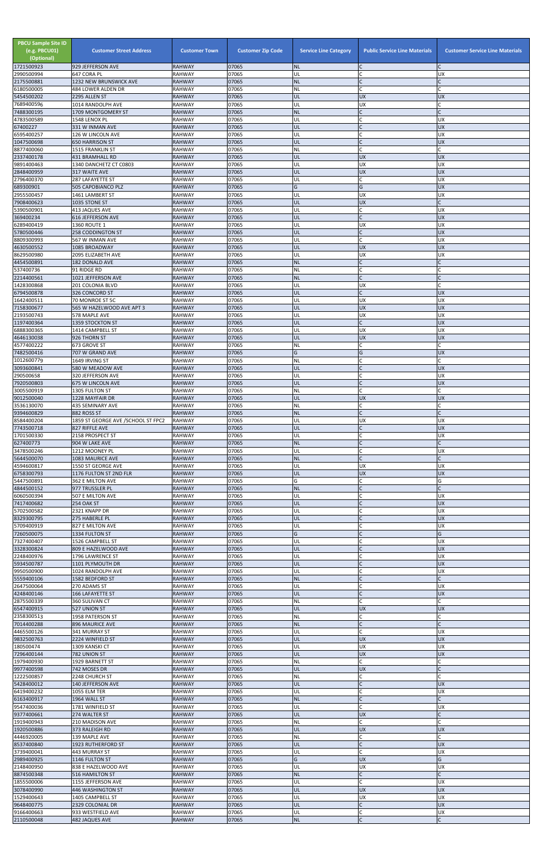| <b>PBCU Sample Site ID</b><br>(e.g. PBCU01)<br>(Optional)<br>1721500923 | <b>Customer Street Address</b><br>929 JEFFERSON AVE | <b>Customer Town</b><br><b>RAHWAY</b> | <b>Customer Zip Code</b><br>07065 | <b>Service Line Category</b><br><b>NL</b> | <b>Public Service Line Materials</b> | <b>Customer Service Line Materials</b> |
|-------------------------------------------------------------------------|-----------------------------------------------------|---------------------------------------|-----------------------------------|-------------------------------------------|--------------------------------------|----------------------------------------|
| 2990500994                                                              | 647 CORA PL                                         | <b>RAHWAY</b>                         | 07065                             | UL                                        | $\mathsf{C}$                         | <b>UX</b>                              |
| 2175500881<br>6180500005                                                | 1232 NEW BRUNSWICK AVE<br>484 LOWER ALDEN DR        | <b>RAHWAY</b><br><b>RAHWAY</b>        | 07065<br>07065                    | <b>NL</b><br>NL                           | $\mathsf{C}$<br>$\mathsf{C}$         | C<br>C                                 |
| 5454500202                                                              | 2295 ALLEN ST                                       | <b>RAHWAY</b>                         | 07065                             | UL                                        | <b>UX</b>                            | <b>UX</b>                              |
| 7689400596<br>7488300195                                                | 1014 RANDOLPH AVE<br>1709 MONTGOMERY ST             | <b>RAHWAY</b><br><b>RAHWAY</b>        | 07065<br>07065                    | UL<br><b>NL</b>                           | <b>UX</b><br>$\mathsf{C}$            | $\mathsf{C}$                           |
| 4783500589                                                              | 1548 LENOX PL                                       | <b>RAHWAY</b>                         | 07065                             | UL                                        | $\mathsf{C}$                         | <b>UX</b>                              |
| 67400227                                                                | 331 W INMAN AVE                                     | <b>RAHWAY</b>                         | 07065                             | UL                                        | $\mathsf{C}$                         | <b>UX</b>                              |
| 6595400257<br>1047500698                                                | 126 W LINCOLN AVE<br><b>650 HARRISON ST</b>         | <b>RAHWAY</b><br><b>RAHWAY</b>        | 07065<br>07065                    | UL<br>UL                                  | $\mathsf{C}$                         | <b>UX</b><br><b>UX</b>                 |
| 8877400060                                                              | 1515 FRANKLIN ST                                    | <b>RAHWAY</b>                         | 07065                             | <b>NL</b>                                 | $\mathsf{C}$                         | C                                      |
| 2337400178<br>9891400463                                                | 431 BRAMHALL RD<br>1340 DANCHETZ CT C0803           | <b>RAHWAY</b><br><b>RAHWAY</b>        | 07065<br>07065                    | UL<br>UL                                  | <b>UX</b><br>UX                      | <b>UX</b><br><b>UX</b>                 |
| 2848400959                                                              | 317 WAITE AVE                                       | <b>RAHWAY</b>                         | 07065                             | UL                                        | <b>UX</b>                            | <b>UX</b>                              |
| 2796400370                                                              | 287 LAFAYETTE ST                                    | <b>RAHWAY</b>                         | 07065<br>07065                    | UL<br>G                                   | $\mathsf{C}$<br>G                    | <b>UX</b>                              |
| 689300901<br>2955500457                                                 | 505 CAPOBIANCO PLZ<br>1461 LAMBERT ST               | <b>RAHWAY</b><br><b>RAHWAY</b>        | 07065                             | UL                                        | <b>UX</b>                            | <b>UX</b><br><b>UX</b>                 |
| 7908400623                                                              | 1035 STONE ST                                       | <b>RAHWAY</b>                         | 07065                             | UL                                        | <b>UX</b>                            | $\mathsf{C}$                           |
| 5390500901<br>369400234                                                 | 413 JAQUES AVE<br>616 JEFFERSON AVE                 | <b>RAHWAY</b><br><b>RAHWAY</b>        | 07065<br>07065                    | UL<br>UL                                  | $\mathsf{C}$<br>$\mathsf{C}$         | <b>UX</b><br><b>UX</b>                 |
| 6289400419                                                              | 1360 ROUTE 1                                        | <b>RAHWAY</b>                         | 07065                             | UL                                        | <b>UX</b>                            | <b>UX</b>                              |
| 5780500446<br>8809300993                                                | <b>258 CODDINGTON ST</b><br>567 W INMAN AVE         | <b>RAHWAY</b><br><b>RAHWAY</b>        | 07065<br>07065                    | UL<br>UL                                  | $\mathsf{C}$<br>$\mathsf{C}$         | <b>UX</b><br><b>UX</b>                 |
| 4630500552                                                              | 1085 BROADWAY                                       | <b>RAHWAY</b>                         | 07065                             | UL                                        | <b>UX</b>                            | <b>UX</b>                              |
| 8629500980                                                              | 2095 ELIZABETH AVE                                  | <b>RAHWAY</b>                         | 07065<br>07065                    | UL                                        | <b>UX</b><br>$\mathsf{C}$            | <b>UX</b><br>$\mathsf{C}$              |
| 4454500891<br>537400736                                                 | 182 DONALD AVE<br>91 RIDGE RD                       | <b>RAHWAY</b><br><b>RAHWAY</b>        | 07065                             | <b>NL</b><br><b>NL</b>                    | $\mathsf{C}$                         | $\Gamma$                               |
| 2214400561                                                              | 1021 JEFFERSON AVE                                  | <b>RAHWAY</b>                         | 07065                             | <b>NL</b>                                 | $\mathsf{C}$                         | $\mathsf{C}$                           |
| 1428300868<br>6794500878                                                | 201 COLONIA BLVD<br>326 CONCORD ST                  | <b>RAHWAY</b><br><b>RAHWAY</b>        | 07065<br>07065                    | UL<br>UL                                  | <b>UX</b><br>$\mathsf{C}$            | $\Gamma$<br><b>UX</b>                  |
| 1642400511                                                              | 70 MONROE ST 5C                                     | <b>RAHWAY</b>                         | 07065                             | UL                                        | UX                                   | <b>UX</b>                              |
| 7158300677<br>2193500743                                                | 565 W HAZELWOOD AVE APT 3<br>578 MAPLE AVE          | <b>RAHWAY</b><br><b>RAHWAY</b>        | 07065<br>07065                    | UL<br>UL                                  | <b>UX</b><br><b>UX</b>               | <b>UX</b><br><b>UX</b>                 |
| 1197400364                                                              | 1359 STOCKTON ST                                    | <b>RAHWAY</b>                         | 07065                             | UL                                        | $\mathsf{C}$                         | <b>UX</b>                              |
| 6888300365<br>4646130038                                                | 1414 CAMPBELL ST<br>926 THORN ST                    | <b>RAHWAY</b><br><b>RAHWAY</b>        | 07065<br>07065                    | UL<br>UL                                  | <b>UX</b><br><b>UX</b>               | <b>UX</b><br><b>UX</b>                 |
| 4577400222                                                              | 673 GROVE ST                                        | <b>RAHWAY</b>                         | 07065                             | ΝL                                        | $\mathsf{C}$                         | $\mathsf{C}$                           |
| 7482500416                                                              | 707 W GRAND AVE                                     | <b>RAHWAY</b>                         | 07065                             | IG                                        | O                                    | <b>UX</b>                              |
| 1012600779<br>3093600841                                                | 1649 IRVING ST<br>580 W MEADOW AVE                  | <b>RAHWAY</b><br><b>RAHWAY</b>        | 07065<br>07065                    | <b>NL</b><br>UL                           | $\mathsf{C}$                         | C<br><b>UX</b>                         |
| 290500658                                                               | 320 JEFFERSON AVE                                   | <b>RAHWAY</b>                         | 07065                             | UL                                        |                                      | <b>UX</b>                              |
| 7920500803<br>3005500919                                                | 675 W LINCOLN AVE<br><b>1305 FULTON ST</b>          | <b>RAHWAY</b><br><b>RAHWAY</b>        | 07065<br>07065                    | UL<br><b>NL</b>                           | $\mathsf{C}$<br>$\mathsf{C}$         | <b>UX</b><br>C                         |
| 9012500040                                                              | 1228 MAYFAIR DR                                     | <b>RAHWAY</b>                         | 07065                             | UL                                        | <b>UX</b>                            | <b>UX</b>                              |
| 3536130070<br>9394600829                                                | <b>435 SEMINARY AVE</b><br>882 ROSS ST              | <b>RAHWAY</b><br><b>RAHWAY</b>        | 07065<br>07065                    | <b>NL</b><br><b>NL</b>                    | $\mathsf{C}$                         |                                        |
| 8584400204                                                              | 1859 ST GEORGE AVE /SCHOOL ST FPC2                  | <b>RAHWAY</b>                         | 07065                             | UL                                        | <b>UX</b>                            | <b>UX</b>                              |
| 7743500718                                                              | 827 RIFFLE AVE                                      | <b>RAHWAY</b>                         | 07065                             | UL                                        | $\mathsf{C}$                         | <b>UX</b>                              |
| 1701500330<br>627400773                                                 | 2158 PROSPECT ST<br>904 W LAKE AVE                  | <b>RAHWAY</b><br><b>RAHWAY</b>        | 07065<br>07065                    | UL<br><b>NL</b>                           | $\mathsf{C}$<br>$\mathsf{C}$         | <b>UX</b>                              |
| 3478500246                                                              | 1212 MOONEY PL                                      | <b>RAHWAY</b>                         | 07065                             | UL                                        | $\mathsf{C}$                         | <b>UX</b>                              |
| 5644500070<br>4594600817                                                | 1083 MAURICE AVE<br>1550 ST GEORGE AVE              | <b>RAHWAY</b><br><b>RAHWAY</b>        | 07065<br>07065                    | <b>NL</b><br>UL                           | $\mathsf{C}$<br><b>UX</b>            | $\mathsf{C}$<br><b>UX</b>              |
| 6758300793                                                              | 1176 FULTON ST 2ND FLR                              | <b>RAHWAY</b>                         | 07065                             | UL                                        | <b>UX</b>                            | <b>UX</b>                              |
| 5447500891<br>4844500152                                                | 362 E MILTON AVE<br>977 TRUSSLER PL                 | <b>RAHWAY</b><br><b>RAHWAY</b>        | 07065<br>07065                    | G<br><b>NL</b>                            | $\mathsf{C}$<br>$\mathsf{C}$         | G                                      |
| 6060500394                                                              | 507 E MILTON AVE                                    | <b>RAHWAY</b>                         | 07065                             | UL                                        | $\mathsf{C}$                         | <b>UX</b>                              |
| 7417400682<br>5702500582                                                | <b>254 OAK ST</b><br>2321 KNAPP DR                  | <b>RAHWAY</b><br><b>RAHWAY</b>        | 07065<br>07065                    | UL<br>UL                                  | $\mathsf{C}$                         | <b>UX</b><br><b>UX</b>                 |
| 8329300795                                                              | 275 HABERLE PL                                      | <b>RAHWAY</b>                         | 07065                             | UL                                        | $\mathsf{C}$                         | <b>UX</b>                              |
| 5709400919                                                              | 827 E MILTON AVE                                    | <b>RAHWAY</b>                         | 07065                             | UL                                        | $\mathsf{C}$                         | <b>UX</b>                              |
| 7260500075<br>7327400407                                                | 1334 FULTON ST<br>1526 CAMPBELL ST                  | <b>RAHWAY</b><br><b>RAHWAY</b>        | 07065<br>07065                    | G<br>UL                                   | $\mathsf{C}$<br>$\mathsf{C}$         | G<br><b>UX</b>                         |
| 3328300824                                                              | 809 E HAZELWOOD AVE                                 | <b>RAHWAY</b>                         | 07065                             | UL                                        |                                      | <b>UX</b>                              |
| 2248400976<br>5934500787                                                | 1796 LAWRENCE ST<br>1101 PLYMOUTH DR                | <b>RAHWAY</b><br><b>RAHWAY</b>        | 07065<br>07065                    | UL<br>UL                                  | $\overline{C}$<br>$\mathsf{C}$       | <b>UX</b><br><b>UX</b>                 |
| 9950500900                                                              | 1024 RANDOLPH AVE                                   | <b>RAHWAY</b>                         | 07065                             | UL                                        | $\mathsf{C}$                         | <b>UX</b>                              |
| 5559400106<br>2647500064                                                | 1582 BEDFORD ST<br>270 ADAMS ST                     | <b>RAHWAY</b><br><b>RAHWAY</b>        | 07065<br>07065                    | <b>NL</b><br>UL                           | $\mathsf{C}$                         | <b>UX</b>                              |
| 4248400146                                                              | <b>166 LAFAYETTE ST</b>                             | <b>RAHWAY</b>                         | 07065                             | UL                                        | $\mathsf{C}$                         | <b>UX</b>                              |
| 2875500339                                                              | 360 SULIVAN CT                                      | <b>RAHWAY</b>                         | 07065                             | NL                                        | $\mathsf{C}$                         |                                        |
| 6547400915<br>2358300513                                                | 527 UNION ST<br>1958 PATERSON ST                    | <b>RAHWAY</b><br><b>RAHWAY</b>        | 07065<br>07065                    | UL<br><b>NL</b>                           | <b>UX</b><br>$\mathsf{C}$            | <b>UX</b><br>$\mathsf{C}$              |
| 7014400288                                                              | <b>896 MAURICE AVE</b>                              | <b>RAHWAY</b>                         | 07065                             | <b>NL</b>                                 | $\mathsf C$                          | C                                      |
| 4465500126<br>9832500763                                                | 341 MURRAY ST<br>2224 WINFIELD ST                   | <b>RAHWAY</b><br><b>RAHWAY</b>        | 07065<br>07065                    | UL<br>UL                                  | $\mathsf{C}$<br><b>UX</b>            | <b>UX</b><br><b>UX</b>                 |
| 180500474                                                               | 1309 KANSKI CT                                      | <b>RAHWAY</b>                         | 07065                             | UL                                        | <b>UX</b>                            | <b>UX</b>                              |
| 7296400144<br>1979400930                                                | 782 UNION ST<br>1929 BARNETT ST                     | <b>RAHWAY</b><br><b>RAHWAY</b>        | 07065<br>07065                    | UL<br>NL                                  | <b>UX</b><br>$\mathsf{C}$            | <b>UX</b>                              |
| 9977400598                                                              | 742 MOSES DR                                        | <b>RAHWAY</b>                         | 07065                             | IUL.                                      | <b>UX</b>                            |                                        |
| 1222500857<br>5428400012                                                | 2248 CHURCH ST<br>140 JEFFERSON AVE                 | <b>RAHWAY</b><br><b>RAHWAY</b>        | 07065                             | NL                                        | $\mathsf C$                          | C                                      |
| 6419400232                                                              | 1055 ELM TER                                        | <b>RAHWAY</b>                         | 07065<br>07065                    | UL<br>UL                                  | $\mathsf{C}$<br>$\mathsf{C}$         | <b>UX</b><br><b>UX</b>                 |
| 6163400917                                                              | 1964 WALL ST                                        | <b>RAHWAY</b>                         | 07065                             | <b>NL</b>                                 | $\mathsf{C}$                         | C                                      |
| 9547400036<br>9377400661                                                | 1781 WINFIELD ST<br>274 WALTER ST                   | <b>RAHWAY</b><br><b>RAHWAY</b>        | 07065<br>07065                    | UL<br>UL                                  | $\mathsf{C}$<br><b>UX</b>            | <b>UX</b>                              |
| 1919400943                                                              | 210 MADISON AVE                                     | <b>RAHWAY</b>                         | 07065                             | <b>NL</b>                                 | $\mathsf{C}$                         |                                        |
| 1920500886<br>4446920005                                                | 373 RALEIGH RD<br>139 MAPLE AVE                     | <b>RAHWAY</b><br><b>RAHWAY</b>        | 07065<br>07065                    | UL<br><b>NL</b>                           | <b>UX</b><br>$\mathsf{C}$            | <b>UX</b><br>$\mathsf{C}$              |
| 8537400840                                                              | 1923 RUTHERFORD ST                                  | <b>RAHWAY</b>                         | 07065                             | UL                                        | $\overline{C}$                       | <b>UX</b>                              |
| 3739400041<br>2989400925                                                | 443 MURRAY ST<br>1146 FULTON ST                     | <b>RAHWAY</b><br><b>RAHWAY</b>        | 07065<br>07065                    | UL<br>G                                   | $\mathsf C$<br><b>UX</b>             | <b>UX</b><br>G                         |
| 2148400950                                                              | 838 E HAZELWOOD AVE                                 | <b>RAHWAY</b>                         | 07065                             | UL                                        | <b>UX</b>                            | <b>UX</b>                              |
| 8874500348                                                              | 516 HAMILTON ST                                     | <b>RAHWAY</b>                         | 07065                             | <b>NL</b>                                 | $\mathsf C$                          | $\mathsf{C}$                           |
| 1855500006<br>3078400990                                                | 1155 JEFFERSON AVE<br>446 WASHINGTON ST             | <b>RAHWAY</b><br><b>RAHWAY</b>        | 07065<br>07065                    | UL<br>UL                                  | $\mathsf{C}$<br><b>UX</b>            | <b>UX</b><br><b>UX</b>                 |
| 1529400643                                                              | 1405 CAMPBELL ST                                    | <b>RAHWAY</b>                         | 07065                             | UL                                        | <b>UX</b>                            | <b>UX</b>                              |
| 9648400775<br>9166400663                                                | 2329 COLONIAL DR<br>933 WESTFIELD AVE               | <b>RAHWAY</b><br><b>RAHWAY</b>        | 07065<br>07065                    | UL<br>UL                                  | $\mathsf{C}$<br>$\mathsf C$          | <b>UX</b><br>UX                        |
| 2110500048                                                              | 482 JAQUES AVE                                      | <b>RAHWAY</b>                         | 07065                             | <b>NL</b>                                 | $\overline{C}$                       | $\mathsf{C}$                           |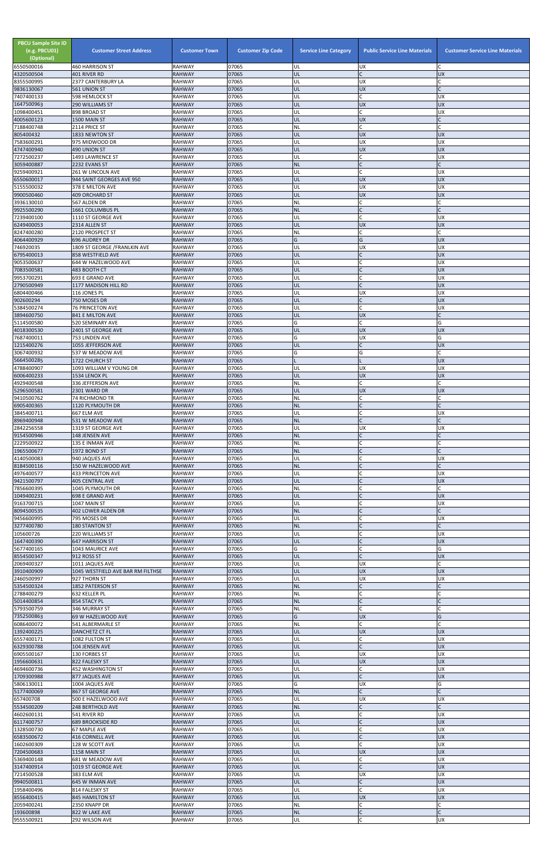| <b>PBCU Sample Site ID</b><br>(e.g. PBCU01)<br>(Optional)<br>6550500016 | <b>Customer Street Address</b><br>460 HARRISON ST | <b>Customer Town</b><br><b>RAHWAY</b> | <b>Customer Zip Code</b><br>07065 | <b>Service Line Category</b><br>UL | <b>Public Service Line Materials</b><br>UX | <b>Customer Service Line Materials</b> |
|-------------------------------------------------------------------------|---------------------------------------------------|---------------------------------------|-----------------------------------|------------------------------------|--------------------------------------------|----------------------------------------|
| 4320500504                                                              | 401 RIVER RD                                      | <b>RAHWAY</b>                         | 07065                             | UL                                 | lc.                                        | <b>UX</b>                              |
| 8355500995<br>9836130067                                                | 2377 CANTERBURY LA<br>561 UNION ST                | <b>RAHWAY</b><br><b>RAHWAY</b>        | 07065<br>07065                    | UL<br>UL                           | <b>UX</b><br><b>UX</b>                     | C                                      |
| 7407400133                                                              | <b>598 HEMLOCK ST</b>                             | <b>RAHWAY</b>                         | 07065                             | UL                                 | lC.                                        | UX                                     |
| 1647500963<br>1098400451                                                | 290 WILLIAMS ST<br>898 BROAD ST                   | <b>RAHWAY</b><br><b>RAHWAY</b>        | 07065<br>07065                    | UL<br>UL                           | <b>UX</b><br><b>C</b>                      | <b>UX</b><br><b>UX</b>                 |
| 4005600123                                                              | 1500 MAIN ST                                      | <b>RAHWAY</b>                         | 07065                             | UL                                 | <b>UX</b>                                  | C                                      |
| 7188400748                                                              | 2114 PRICE ST                                     | <b>RAHWAY</b>                         | 07065                             | NL                                 | C.                                         | C                                      |
| 805400432<br>7583600291                                                 | 1833 NEWTON ST<br>975 MIDWOOD DR                  | <b>RAHWAY</b><br><b>RAHWAY</b>        | 07065<br>07065                    | UL<br>UL                           | <b>UX</b><br><b>UX</b>                     | <b>UX</b><br><b>UX</b>                 |
| 4747400940                                                              | 490 UNION ST                                      | <b>RAHWAY</b>                         | 07065                             | UL                                 | UX                                         | <b>UX</b>                              |
| 7272500237<br>3059400887                                                | 1493 LAWRENCE ST<br>2232 EVANS ST                 | <b>RAHWAY</b><br><b>RAHWAY</b>        | 07065<br>07065                    | UL<br><b>NL</b>                    | lc.<br>lC.                                 | UX                                     |
| 9259400921                                                              | 261 W LINCOLN AVE                                 | <b>RAHWAY</b>                         | 07065                             | UL                                 | lC.                                        | UX                                     |
| 6550600017                                                              | 944 SAINT GEORGES AVE 950                         | <b>RAHWAY</b>                         | 07065                             | UL                                 | <b>UX</b>                                  | <b>UX</b>                              |
| 5155500032<br>9900500460                                                | 378 E MILTON AVE<br><b>409 ORCHARD ST</b>         | <b>RAHWAY</b><br><b>RAHWAY</b>        | 07065<br>07065                    | UL<br>UL                           | <b>UX</b><br><b>UX</b>                     | UX<br><b>UX</b>                        |
| 3936130010                                                              | 567 ALDEN DR                                      | <b>RAHWAY</b>                         | 07065                             | NL                                 | C                                          |                                        |
| 9925500290<br>7239400100                                                | 1661 COLUMBUS PL<br>1110 ST GEORGE AVE            | <b>RAHWAY</b><br><b>RAHWAY</b>        | 07065<br>07065                    | <b>NL</b><br>UL                    | lC.<br>lc.                                 | UX                                     |
| 6249400053                                                              | 2314 ALLEN ST                                     | <b>RAHWAY</b>                         | 07065                             | UL                                 | <b>UX</b>                                  | <b>UX</b>                              |
| 8247400280                                                              | 2120 PROSPECT ST                                  | <b>RAHWAY</b>                         | 07065                             | NL                                 | lC.                                        |                                        |
| 4064400929<br>746920035                                                 | 696 AUDREY DR<br>1809 ST GEORGE / FRANLKIN AVE    | <b>RAHWAY</b><br><b>RAHWAY</b>        | 07065<br>07065                    | G<br>UL                            | G<br><b>UX</b>                             | <b>UX</b><br><b>UX</b>                 |
| 6795400013                                                              | 858 WESTFIELD AVE                                 | <b>RAHWAY</b>                         | 07065                             | UL                                 | lC.                                        | <b>UX</b>                              |
| 9053500637<br>7083500581                                                | 644 W HAZELWOOD AVE<br>483 BOOTH CT               | <b>RAHWAY</b><br><b>RAHWAY</b>        | 07065<br>07065                    | UL<br>UL                           | <b>C</b><br>$\mathcal{C}$                  | UX<br><b>UX</b>                        |
| 9953700291                                                              | 693 E GRAND AVE                                   | <b>RAHWAY</b>                         | 07065                             | UL                                 | C                                          | <b>UX</b>                              |
| 2790500949                                                              | 1177 MADISON HILL RD                              | <b>RAHWAY</b>                         | 07065                             | UL                                 | IC                                         | <b>UX</b>                              |
| 6804400466<br>902600294                                                 | 116 JONES PL<br>750 MOSES DR                      | <b>RAHWAY</b><br><b>RAHWAY</b>        | 07065<br>07065                    | UL<br>UL                           | <b>UX</b><br>$\mathsf C$                   | <b>UX</b><br><b>UX</b>                 |
| 5384500274                                                              | <b>76 PRINCETON AVE</b>                           | <b>RAHWAY</b>                         | 07065                             | UL                                 | lc.                                        | UX                                     |
| 3894600750                                                              | 841 E MILTON AVE                                  | <b>RAHWAY</b>                         | 07065                             | UL                                 | <b>UX</b>                                  |                                        |
| 5114500580<br>4018300530                                                | 520 SEMINARY AVE<br>2401 ST GEORGE AVE            | <b>RAHWAY</b><br><b>RAHWAY</b>        | 07065<br>07065                    | G<br>UL                            | C.<br><b>UX</b>                            | G<br><b>UX</b>                         |
| 7687400011                                                              | 753 LINDEN AVE                                    | <b>RAHWAY</b>                         | 07065                             | G                                  | <b>UX</b>                                  | G                                      |
| 1215400276<br>3067400932                                                | 1055 JEFFERSON AVE<br>537 W MEADOW AVE            | <b>RAHWAY</b><br><b>RAHWAY</b>        | 07065<br>07065                    | UL                                 | $\mathsf{C}$                               | <b>UX</b>                              |
| 5664500285                                                              | 1722 CHURCH ST                                    | <b>RAHWAY</b>                         | 07065                             |                                    | G                                          | <b>UX</b>                              |
| 4788400907                                                              | 1093 WILLIAM V YOUNG DR                           | <b>RAHWAY</b>                         | 07065                             | UL                                 | <b>UX</b>                                  | <b>UX</b>                              |
| 6006400233<br>4929400548                                                | 1534 LENOX PL<br>336 JEFFERSON AVE                | <b>RAHWAY</b><br><b>RAHWAY</b>        | 07065<br>07065                    | UL<br>NL                           | <b>UX</b><br>lC.                           | <b>UX</b>                              |
| 5296500581                                                              | 2301 WARD DR                                      | <b>RAHWAY</b>                         | 07065                             | UL                                 | <b>UX</b>                                  | <b>UX</b>                              |
| 9410500762<br>6905400365                                                | <b>74 RICHMOND TR</b><br>1120 PLYMOUTH DR         | <b>RAHWAY</b><br><b>RAHWAY</b>        | 07065<br>07065                    | <b>NL</b><br><b>NL</b>             | C.<br>$\overline{C}$                       |                                        |
| 3845400711                                                              | 667 ELM AVE                                       | <b>RAHWAY</b>                         | 07065                             | UL                                 | $\mathsf{C}$                               | UX                                     |
| 8969400948                                                              | 531 W MEADOW AVE                                  | <b>RAHWAY</b>                         | 07065                             | <b>NL</b>                          | IC                                         |                                        |
| 2842256558<br>9154500946                                                | 1319 ST GEORGE AVE<br>148 JENSEN AVE              | <b>RAHWAY</b><br><b>RAHWAY</b>        | 07065<br>07065                    | UL<br><b>NL</b>                    | <b>UX</b><br>$\mathsf{C}$                  | UX                                     |
| 2229500922                                                              | 135 E INMAN AVE                                   | <b>RAHWAY</b>                         | 07065                             | <b>NL</b>                          | C                                          |                                        |
| 1965500677                                                              | 1972 BOND ST                                      | <b>RAHWAY</b><br><b>RAHWAY</b>        | 07065<br>07065                    | <b>NL</b><br>UL                    | $\mathsf{C}$<br>lC.                        |                                        |
| 4140500083<br>8184500116                                                | 940 JAQUES AVE<br>150 W HAZELWOOD AVE             | <b>RAHWAY</b>                         | 07065                             | <b>NL</b>                          | $\overline{C}$                             | UX                                     |
| 4976400577                                                              | <b>433 PRINCETON AVE</b>                          | <b>RAHWAY</b>                         | 07065                             | UL                                 | $\mathsf{C}$                               | UX                                     |
| 9421500797<br>7856600395                                                | <b>405 CENTRAL AVE</b><br>1045 PLYMOUTH DR        | <b>RAHWAY</b><br><b>RAHWAY</b>        | 07065<br>07065                    | UL<br>NL                           | $\mathsf{C}$                               | <b>UX</b>                              |
| 1049400231                                                              | 698 E GRAND AVE                                   | <b>RAHWAY</b>                         | 07065                             | UL                                 | $\mathsf{C}$                               | <b>UX</b>                              |
| 9163700715<br>8094500535                                                | 1047 MAIN ST<br>402 LOWER ALDEN DR                | <b>RAHWAY</b><br><b>RAHWAY</b>        | 07065<br>07065                    | UL<br><b>NL</b>                    | C<br>$\mathsf{C}$                          | <b>UX</b>                              |
| 9456600995                                                              | 795 MOSES DR                                      | <b>RAHWAY</b>                         | 07065                             | UL                                 | $\mathsf{C}$                               | UX                                     |
| 3277400780                                                              | <b>180 STANTON ST</b>                             | <b>RAHWAY</b>                         | 07065                             | <b>NL</b>                          | lC.                                        | C                                      |
| 105600726<br>1647400390                                                 | 220 WILLIAMS ST<br><b>647 HARRISON ST</b>         | <b>RAHWAY</b><br><b>RAHWAY</b>        | 07065<br>07065                    | UL<br>UL                           | lC.<br>$\mathsf{C}$                        | UX<br><b>UX</b>                        |
| 5677400165                                                              | 1043 MAURICE AVE                                  | <b>RAHWAY</b>                         | 07065                             | G                                  | C                                          | G                                      |
| 8554500347<br>2069400327                                                | 912 ROSS ST<br>1011 JAQUES AVE                    | <b>RAHWAY</b><br><b>RAHWAY</b>        | 07065<br>07065                    | UL<br>UL                           | $\overline{C}$<br><b>UX</b>                | <b>UX</b>                              |
| 3910400909                                                              | 1045 WESTFIELD AVE BAR RM FILTHSE                 | <b>RAHWAY</b>                         | 07065                             | UL                                 | <b>UX</b>                                  | <b>UX</b>                              |
| 2460500997                                                              | 927 THORN ST                                      | <b>RAHWAY</b>                         | 07065                             | UL                                 | <b>UX</b>                                  | UX                                     |
| 5354500324<br>2788400279                                                | 1852 PATERSON ST<br>632 KELLER PL                 | <b>RAHWAY</b><br><b>RAHWAY</b>        | 07065<br>07065                    | <b>NL</b><br>NL                    | $\mathsf{C}$<br><b>C</b>                   |                                        |
| 5014400854                                                              | 854 STACY PL                                      | <b>RAHWAY</b>                         | 07065                             | <b>NL</b>                          | $\overline{C}$                             |                                        |
| 5793500759<br>7352500863                                                | 346 MURRAY ST<br>69 W HAZELWOOD AVE               | <b>RAHWAY</b><br><b>RAHWAY</b>        | 07065<br>07065                    | ΝL<br>G                            | lc.<br><b>UX</b>                           | G                                      |
| 6086400072                                                              | 541 ALBERMARLE ST                                 | <b>RAHWAY</b>                         | 07065                             | NL                                 | C.                                         | C                                      |
| 1392400225                                                              | DANCHETZ CT FL                                    | <b>RAHWAY</b>                         | 07065                             | UL                                 | <b>UX</b>                                  | <b>UX</b>                              |
| 6557400171<br>6329300788                                                | 1082 FULTON ST<br>104 JENSEN AVE                  | <b>RAHWAY</b><br><b>RAHWAY</b>        | 07065<br>07065                    | UL<br>UL                           | C<br>lC.                                   | <b>UX</b><br><b>UX</b>                 |
| 6905500167                                                              | 130 FORBES ST                                     | <b>RAHWAY</b>                         | 07065                             | UL                                 | UX                                         | UX                                     |
| 1956600631<br>4694600736                                                | 822 FALESKY ST<br>452 WASHINGTON ST               | <b>RAHWAY</b><br><b>RAHWAY</b>        | 07065<br>07065                    | UL                                 | <b>UX</b>                                  | <b>UX</b>                              |
| 1709300988                                                              | 877 JAQUES AVE                                    | <b>RAHWAY</b>                         | 07065                             | IUL.<br>UL                         | $\mathsf{C}$                               | ΙUΧ<br><b>ND</b>                       |
| 5806130011                                                              | 1004 JAQUES AVE                                   | <b>RAHWAY</b>                         | 07065                             | G                                  | <b>UX</b>                                  | G                                      |
| 5177400069<br>657400708                                                 | 867 ST GEORGE AVE<br>500 E HAZELWOOD AVE          | <b>RAHWAY</b><br><b>RAHWAY</b>        | 07065<br>07065                    | <b>NL</b><br>UL                    | $\mathsf{C}$<br><b>UX</b>                  | C<br>UX                                |
| 5534500209                                                              | 248 BERTHOLD AVE                                  | <b>RAHWAY</b>                         | 07065                             | <b>NL</b>                          | $\mathsf C$                                |                                        |
| 4602600131<br>6117400757                                                | 541 RIVER RD<br><b>689 BROOKSIDE RD</b>           | <b>RAHWAY</b><br><b>RAHWAY</b>        | 07065<br>07065                    | UL<br>UL                           | C<br>$\mathsf{C}$                          | <b>UX</b><br><b>UX</b>                 |
| 1328500730                                                              | 67 MAPLE AVE                                      | <b>RAHWAY</b>                         | 07065                             | UL                                 | C                                          | <b>UX</b>                              |
| 6583500672                                                              | 416 CORNELL AVE                                   | <b>RAHWAY</b>                         | 07065                             | UL                                 | $\mathsf{C}$                               | <b>UX</b>                              |
| 1602600309<br>7204500683                                                | 128 W SCOTT AVE<br>1158 MAIN ST                   | <b>RAHWAY</b><br><b>RAHWAY</b>        | 07065<br>07065                    | UL<br>UL                           | <b>C</b><br><b>UX</b>                      | X<br><b>UX</b>                         |
| 5369400148                                                              | 681 W MEADOW AVE                                  | <b>RAHWAY</b>                         | 07065                             | UL                                 | C                                          | <b>UX</b>                              |
| 3147400914<br>7214500528                                                | 1019 ST GEORGE AVE<br>383 ELM AVE                 | <b>RAHWAY</b><br><b>RAHWAY</b>        | 07065<br>07065                    | UL<br>UL                           | $\overline{C}$<br><b>UX</b>                | <b>UX</b><br><b>UX</b>                 |
| 9940500811                                                              | 645 W INMAN AVE                                   | <b>RAHWAY</b>                         | 07065                             | UL                                 | lC.                                        | <b>UX</b>                              |
| 1958400496                                                              | 814 FALESKY ST                                    | <b>RAHWAY</b>                         | 07065                             | UL                                 | lc.                                        | <b>UX</b>                              |
| 8556400415<br>2059400241                                                | 845 HAMILTON ST<br>2350 KNAPP DR                  | <b>RAHWAY</b><br><b>RAHWAY</b>        | 07065<br>07065                    | UL<br><b>NL</b>                    | <b>UX</b><br>C                             | <b>UX</b>                              |
| 193600898                                                               | 822 W LAKE AVE                                    | <b>RAHWAY</b>                         | 07065                             | <b>NL</b>                          | $\mathsf C$                                | $\mathsf{C}$                           |
| 9555500921                                                              | 292 WILSON AVE                                    | RAHWAY                                | 07065                             | UL                                 | C                                          | UX                                     |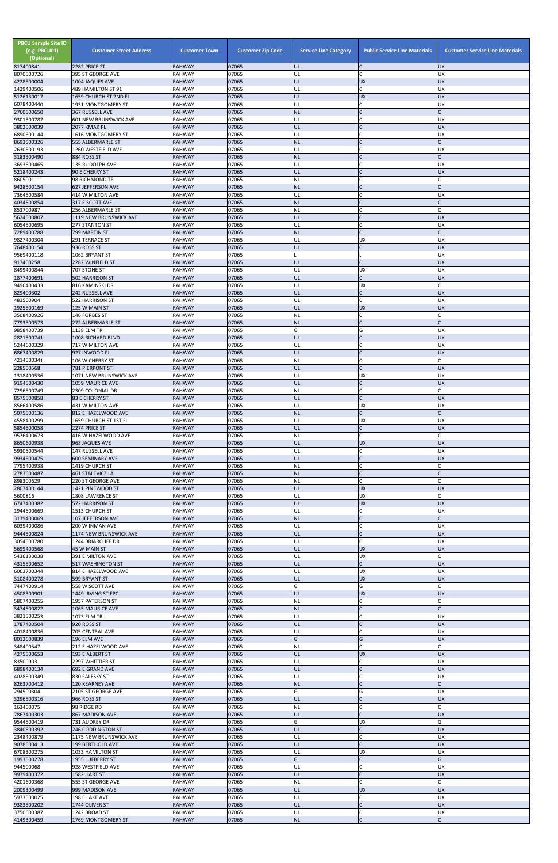| <b>PBCU Sample Site ID</b><br>(e.g. PBCU01)<br>(Optional)<br>817400841 | <b>Customer Street Address</b><br>2282 PRICE ST | <b>Customer Town</b><br><b>RAHWAY</b> | <b>Customer Zip Code</b><br>07065 | <b>Service Line Category</b><br>UL | <b>Public Service Line Materials</b><br>C | <b>Customer Service Line Materials</b><br><b>UX</b> |
|------------------------------------------------------------------------|-------------------------------------------------|---------------------------------------|-----------------------------------|------------------------------------|-------------------------------------------|-----------------------------------------------------|
| 8070500726                                                             | 395 ST GEORGE AVE                               | <b>RAHWAY</b>                         | 07065                             | UL                                 | $\mathsf{C}$                              | <b>UX</b>                                           |
| 4228500004                                                             | 1004 JAQUES AVE                                 | <b>RAHWAY</b>                         | 07065<br>07065                    | UL<br>UL                           | <b>UX</b><br>$\mathsf{C}$                 | <b>UX</b><br>UX                                     |
| 1429400506<br>5126130017                                               | 489 HAMILTON ST 91<br>1659 CHURCH ST 2ND FL     | <b>RAHWAY</b><br><b>RAHWAY</b>        | 07065                             | UL                                 | <b>UX</b>                                 | <b>UX</b>                                           |
| 6078400440<br>2760500650                                               | 1931 MONTGOMERY ST<br>367 RUSSELL AVE           | <b>RAHWAY</b><br><b>RAHWAY</b>        | 07065<br>07065                    | UL<br><b>NL</b>                    | C<br>$\mathsf{C}$                         | <b>UX</b>                                           |
| 9301500787                                                             | 601 NEW BRUNSWICK AVE                           | <b>RAHWAY</b>                         | 07065                             | UL                                 | $\mathsf{C}$                              | <b>UX</b>                                           |
| 3802500039                                                             | 2077 KMAK PL                                    | <b>RAHWAY</b>                         | 07065                             | UL                                 | $\mathsf{C}$                              | <b>UX</b>                                           |
| 6890500144<br>8693500326                                               | 1616 MONTGOMERY ST<br>555 ALBERMARLE ST         | <b>RAHWAY</b><br><b>RAHWAY</b>        | 07065<br>07065                    | UL<br><b>NL</b>                    |                                           | <b>UX</b>                                           |
| 2630500193                                                             | 1260 WESTFIELD AVE                              | <b>RAHWAY</b>                         | 07065                             | UL                                 | $\mathsf{C}$                              | <b>UX</b>                                           |
| 3183500490<br>3693500465                                               | 884 ROSS ST<br>135 RUDOLPH AVE                  | <b>RAHWAY</b><br><b>RAHWAY</b>        | 07065<br>07065                    | <b>NL</b><br>UL                    | $\mathsf{C}$<br>$\mathcal{C}$             | $\mathsf{C}$<br><b>UX</b>                           |
| 5218400243                                                             | 90 E CHERRY ST                                  | <b>RAHWAY</b>                         | 07065                             | UL                                 |                                           | <b>UX</b>                                           |
| 860500111                                                              | 98 RICHMOND TR                                  | <b>RAHWAY</b>                         | 07065                             | NL                                 | $\mathsf{C}$<br>$\mathsf{C}$              | $\mathsf{C}$                                        |
| 9428500154<br>7364500584                                               | 627 JEFFERSON AVE<br>414 W MILTON AVE           | <b>RAHWAY</b><br><b>RAHWAY</b>        | 07065<br>07065                    | <b>NL</b><br>UL                    | $\mathsf{C}$                              | <b>UX</b>                                           |
| 4034500854                                                             | 317 E SCOTT AVE                                 | <b>RAHWAY</b>                         | 07065                             | <b>NL</b>                          |                                           |                                                     |
| 853700987<br>5624500807                                                | 256 ALBERMARLE ST<br>1119 NEW BRUNSWICK AVE     | <b>RAHWAY</b><br><b>RAHWAY</b>        | 07065<br>07065                    | <b>NL</b><br>UL                    | $\mathcal{C}$<br>$\mathsf{C}$             | <b>UX</b>                                           |
| 6054500695                                                             | <b>277 STANTON ST</b>                           | <b>RAHWAY</b>                         | 07065                             | UL                                 | $\mathsf{C}$                              | UX                                                  |
| 7289400788<br>9827400304                                               | 799 MARTIN ST<br>291 TERRACE ST                 | <b>RAHWAY</b><br><b>RAHWAY</b>        | 07065<br>07065                    | <b>NL</b><br>UL                    | $\mathsf{C}$<br><b>UX</b>                 | <b>UX</b>                                           |
| 7648400154                                                             | 936 ROSS ST                                     | <b>RAHWAY</b>                         | 07065                             | UL                                 | $\mathsf{C}$                              | <b>UX</b>                                           |
| 9569400118                                                             | 1062 BRYANT ST                                  | <b>RAHWAY</b>                         | 07065                             | UL                                 | $\mathsf{C}$                              | UX<br><b>UX</b>                                     |
| 917400258<br>8499400844                                                | 2282 WINFIELD ST<br>707 STONE ST                | <b>RAHWAY</b><br><b>RAHWAY</b>        | 07065<br>07065                    | UL                                 | <b>UX</b>                                 | <b>UX</b>                                           |
| 1877400691                                                             | 502 HARRISON ST                                 | <b>RAHWAY</b>                         | 07065                             | UL                                 | $\mathsf{C}$                              | <b>UX</b>                                           |
| 9496400433<br>829400302                                                | 816 KAMINSKI DR<br>242 RUSSELL AVE              | <b>RAHWAY</b><br><b>RAHWAY</b>        | 07065<br>07065                    | UL<br>UL                           | <b>UX</b><br>$\mathsf{C}$                 | C<br><b>UX</b>                                      |
| 483500904                                                              | 522 HARRISON ST                                 | <b>RAHWAY</b>                         | 07065                             | UL                                 | $\mathsf{C}$                              | <b>UX</b>                                           |
| 1925500169<br>3508400926                                               | 125 W MAIN ST<br>146 FORBES ST                  | <b>RAHWAY</b><br><b>RAHWAY</b>        | 07065<br>07065                    | UL<br>NL                           | <b>UX</b><br>$\mathsf{C}$                 | <b>UX</b>                                           |
| 7793500573                                                             | 272 ALBERMARLE ST                               | <b>RAHWAY</b>                         | 07065                             | <b>NL</b>                          | $\mathsf{C}$                              | $\mathsf{C}$                                        |
| 9858400739                                                             | <b>1138 ELM TR</b>                              | <b>RAHWAY</b>                         | 07065                             | G                                  | G                                         | <b>UX</b>                                           |
| 2821500741<br>5244600329                                               | 1008 RICHARD BLVD<br>717 W MILTON AVE           | <b>RAHWAY</b><br><b>RAHWAY</b>        | 07065<br>07065                    | UL<br>UL                           | $\mathcal{C}$                             | <b>UX</b><br><b>UX</b>                              |
| 6867400829                                                             | 927 INWOOD PL                                   | <b>RAHWAY</b>                         | 07065                             | UL                                 |                                           | <b>UX</b>                                           |
| 4214500341<br>228500568                                                | 106 W CHERRY ST<br><b>781 PIERPONT ST</b>       | <b>RAHWAY</b><br><b>RAHWAY</b>        | 07065<br>07065                    | <b>NL</b><br>UL                    | $\mathsf{C}$<br>$\mathsf{C}$              | $\mathsf{C}$<br><b>UX</b>                           |
| 1318400536                                                             | 1071 NEW BRUNSWICK AVE                          | <b>RAHWAY</b>                         | 07065                             | UL                                 | <b>UX</b>                                 | <b>UX</b>                                           |
| 9194500430                                                             | <b>1059 MAURICE AVE</b>                         | <b>RAHWAY</b>                         | 07065                             | UL                                 | $\mathsf{C}$                              | <b>UX</b>                                           |
| 7296500749<br>8575500858                                               | 2309 COLONIAL DR<br>83 E CHERRY ST              | <b>RAHWAY</b><br><b>RAHWAY</b>        | 07065<br>07065                    | <b>NL</b><br>UL                    | $\mathsf{C}$<br>$\mathsf{C}$              | C<br><b>UX</b>                                      |
| 8566400586                                                             | 431 W MILTON AVE                                | <b>RAHWAY</b>                         | 07065                             | UL                                 | <b>UX</b>                                 | <b>UX</b>                                           |
| 5075500136<br>4558400299                                               | 812 E HAZELWOOD AVE<br>1659 CHURCH ST 1ST FL    | <b>RAHWAY</b><br><b>RAHWAY</b>        | 07065<br>07065                    | <b>NL</b><br>UL                    | $\mathsf{C}$<br><b>UX</b>                 | $\mathsf{C}$<br><b>UX</b>                           |
| 5854500058                                                             | 2274 PRICE ST                                   | <b>RAHWAY</b>                         | 07065                             | UL                                 | $\mathsf{C}$                              | <b>UX</b>                                           |
| 9576400673                                                             | 416 W HAZELWOOD AVE                             | <b>RAHWAY</b>                         | 07065                             | NL                                 | $\mathsf{C}$                              |                                                     |
| 8650600938<br>5930500544                                               | 968 JAQUES AVE<br>147 RUSSELL AVE               | <b>RAHWAY</b><br><b>RAHWAY</b>        | 07065<br>07065                    | UL<br>UL                           | <b>UX</b><br>C                            | <b>UX</b><br><b>UX</b>                              |
| 9934600475                                                             | <b>600 SEMINARY AVE</b>                         | <b>RAHWAY</b>                         | 07065                             | UL                                 | $\mathsf{C}$                              | <b>UX</b>                                           |
| 7795400938<br>2783600487                                               | 1419 CHURCH ST<br>461 STALEVICZ LA              | <b>RAHWAY</b><br><b>RAHWAY</b>        | 07065<br>07065                    | <b>NL</b><br><b>NL</b>             | $\mathsf{C}$<br>$\mathsf{C}$              |                                                     |
| 898300629                                                              | 220 ST GEORGE AVE                               | <b>RAHWAY</b>                         | 07065                             | <b>NL</b>                          |                                           |                                                     |
| 2807400144<br>5600816                                                  | 1421 PINEWOOD ST<br>1808 LAWRENCE ST            | <b>RAHWAY</b><br><b>RAHWAY</b>        | 07065<br>07065                    | UL<br>UL                           | <b>UX</b><br><b>UX</b>                    | <b>UX</b><br>C                                      |
| 6747400382                                                             | 572 HARRISON ST                                 | <b>RAHWAY</b>                         | 07065                             | UL                                 | <b>UX</b>                                 | <b>UX</b>                                           |
| 1944500669                                                             | 1513 CHURCH ST                                  | <b>RAHWAY</b>                         | 07065                             | UL                                 | C                                         | <b>UX</b>                                           |
| 3139400069<br>6039400086                                               | 107 JEFFERSON AVE<br>200 W INMAN AVE            | <b>RAHWAY</b><br><b>RAHWAY</b>        | 07065<br>07065                    | <b>NL</b><br>UL                    | $\mathsf{C}$<br>$\mathsf{C}$              | <b>UX</b>                                           |
| 9444500824                                                             | 1174 NEW BRUNSWICK AVE                          | <b>RAHWAY</b>                         | 07065                             | UL                                 | $\mathsf{C}$                              | <b>UX</b>                                           |
| 3054500780<br>5699400568                                               | 1244 BRIARCLIFF DR<br>45 W MAIN ST              | <b>RAHWAY</b><br><b>RAHWAY</b>        | 07065<br>07065                    | UL<br>UL                           | $\mathsf{C}$<br><b>UX</b>                 | <b>UX</b><br><b>UX</b>                              |
| 5436130038                                                             | 391 E MILTON AVE                                | <b>RAHWAY</b>                         | 07065                             | UL                                 | UX                                        | C                                                   |
| 4315500652<br>6063700344                                               | <b>517 WASHINGTON ST</b>                        | <b>RAHWAY</b><br><b>RAHWAY</b>        | 07065<br>07065                    | UL<br>UL                           | $\mathsf{C}$<br><b>UX</b>                 | <b>UX</b><br><b>UX</b>                              |
| 3108400278                                                             | 814 E HAZELWOOD AVE<br>599 BRYANT ST            | <b>RAHWAY</b>                         | 07065                             | UL                                 | <b>UX</b>                                 | <b>UX</b>                                           |
| 7447400914                                                             | 558 W SCOTT AVE                                 | RAHWAY                                | 07065                             | G                                  | G                                         | C                                                   |
| 4508300901<br>5807400255                                               | 1449 IRVING ST FPC<br>1957 PATERSON ST          | <b>RAHWAY</b><br>RAHWAY               | 07065<br>07065                    | UL<br>NL                           | <b>UX</b>                                 | <b>UX</b>                                           |
| 3474500822                                                             | 1065 MAURICE AVE                                | <b>RAHWAY</b>                         | 07065                             | <b>NL</b>                          |                                           |                                                     |
| 3821500253<br>1787400504                                               | 1073 ELM TR<br>920 ROSS ST                      | <b>RAHWAY</b><br><b>RAHWAY</b>        | 07065<br>07065                    | UL<br>UL                           | $\overline{C}$<br>$\mathsf{C}$            | <b>UX</b><br><b>UX</b>                              |
| 4018400836                                                             | 705 CENTRAL AVE                                 | <b>RAHWAY</b>                         | 07065                             | UL                                 | $\mathsf{C}$                              | UX                                                  |
| 8012600839<br>348400547                                                | 196 ELM AVE<br>212 E HAZELWOOD AVE              | <b>RAHWAY</b>                         | 07065<br>07065                    | G<br><b>NL</b>                     | G<br>$\mathsf{C}$                         | <b>UX</b><br>$\mathsf{C}$                           |
| 4275500653                                                             | 193 E ALBERT ST                                 | RAHWAY<br><b>RAHWAY</b>               | 07065                             | UL                                 | <b>UX</b>                                 | <b>UX</b>                                           |
| 83500903                                                               | 2297 WHITTIER ST                                | <b>RAHWAY</b>                         | 07065                             | UL                                 | $\mathsf{C}$                              | <b>UX</b>                                           |
| 6898400134<br>4028500349                                               | 692 E GRAND AVE<br>830 FALESKY ST               | <b>RAHWAY</b><br><b>RAHWAY</b>        | 07065<br>07065                    | UL.<br>UL                          | $\mathsf{C}$                              | <b>IDX</b><br><b>UX</b>                             |
| 8263700412                                                             | 120 KEARNEY AVE                                 | <b>RAHWAY</b>                         | 07065                             | <b>NL</b>                          | $\mathsf{C}$                              |                                                     |
| 294500304<br>3296500316                                                | 2105 ST GEORGE AVE<br>966 ROSS ST               | RAHWAY<br><b>RAHWAY</b>               | 07065<br>07065                    | G<br>UL                            | G<br>$\mathsf{C}$                         | <b>UX</b><br><b>UX</b>                              |
| 163400075                                                              | 98 RIDGE RD                                     | RAHWAY                                | 07065                             | NL                                 | $\mathsf{C}$                              |                                                     |
| 7867400303                                                             | 867 MADISON AVE                                 | <b>RAHWAY</b>                         | 07065                             | UL                                 | $\mathsf{C}$                              | <b>UX</b>                                           |
| 9544500419<br>3840500392                                               | 731 AUDREY DR<br>246 CODDINGTON ST              | RAHWAY<br><b>RAHWAY</b>               | 07065<br>07065                    | G<br>UL                            | <b>UX</b><br>$\mathsf{C}$                 | G<br><b>UX</b>                                      |
| 2348400879                                                             | 1175 NEW BRUNSWICK AVE                          | RAHWAY                                | 07065                             | UL                                 | $\mathsf{C}$                              | <b>UX</b>                                           |
| 9078500413<br>6708300275                                               | 199 BERTHOLD AVE<br>1033 HAMILTON ST            | <b>RAHWAY</b><br>RAHWAY               | 07065<br>07065                    | UL<br>UL                           | $\mathsf C$<br><b>UX</b>                  | UX<br><b>UX</b>                                     |
| 1993500278                                                             | 1955 LUFBERRY ST                                | RAHWAY                                | 07065                             | G                                  | $\mathsf{C}$                              | G                                                   |
| 944500068                                                              | 928 WESTFIELD AVE                               | RAHWAY                                | 07065                             | UL                                 | $\mathsf{C}$                              | <b>UX</b>                                           |
| 9979400372<br>4201600368                                               | 1582 HART ST<br>555 ST GEORGE AVE               | <b>RAHWAY</b><br><b>RAHWAY</b>        | 07065<br>07065                    | UL<br><b>NL</b>                    | $\mathsf{C}$<br>$\mathsf{C}$              | <b>UX</b><br>$\mathsf{C}$                           |
| 2009300499                                                             | 999 MADISON AVE                                 | <b>RAHWAY</b>                         | 07065                             | UL                                 | <b>UX</b>                                 | <b>UX</b>                                           |
| 5973500025<br>9383500202                                               | 198 E LAKE AVE<br>1744 OLIVER ST                | <b>RAHWAY</b><br><b>RAHWAY</b>        | 07065<br>07065                    | UL<br>UL                           | C<br>$\mathsf{C}$                         | <b>UX</b><br><b>UX</b>                              |
| 3750600387                                                             | 1242 BROAD ST                                   | RAHWAY                                | 07065                             | UL                                 | $\mathsf C$                               | <b>UX</b>                                           |
| 4149300459                                                             | 1769 MONTGOMERY ST                              | <b>RAHWAY</b>                         | 07065                             | $\sf NL$                           | $\mathsf{C}$                              | $\mathsf{C}$                                        |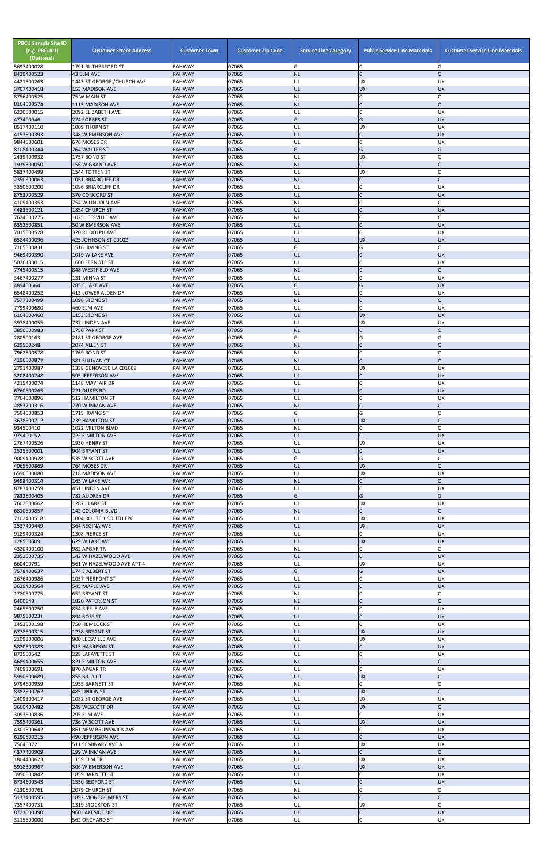| <b>PBCU Sample Site ID</b><br>(e.g. PBCU01)<br>(Optional)<br>5697400028 | <b>Customer Street Address</b><br>1791 RUTHERFORD ST | <b>Customer Town</b><br><b>RAHWAY</b> | <b>Customer Zip Code</b><br>07065 | <b>Service Line Category</b><br>G | <b>Public Service Line Materials</b><br>C | <b>Customer Service Line Materials</b><br>G |
|-------------------------------------------------------------------------|------------------------------------------------------|---------------------------------------|-----------------------------------|-----------------------------------|-------------------------------------------|---------------------------------------------|
| 8429400523                                                              | 43 ELM AVE                                           | <b>RAHWAY</b>                         | 07065                             | <b>NL</b>                         | $\mathsf{C}$                              |                                             |
| 4421500263<br>3707400418                                                | 1443 ST GEORGE / CHURCH AVE                          | <b>RAHWAY</b><br><b>RAHWAY</b>        | 07065<br>07065                    | UL<br>UL                          | <b>UX</b><br><b>UX</b>                    | <b>UX</b><br><b>UX</b>                      |
| 8756400525                                                              | 153 MADISON AVE<br>75 W MAIN ST                      | <b>RAHWAY</b>                         | 07065                             | <b>NL</b>                         |                                           |                                             |
| 8164500574<br>6220500015                                                | 1115 MADISON AVE<br>2092 ELIZABETH AVE               | <b>RAHWAY</b><br><b>RAHWAY</b>        | 07065<br>07065                    | <b>NL</b><br>UL                   | $\mathsf{C}$<br>$\mathsf{C}$              | <b>UX</b>                                   |
| 477400946                                                               | 274 FORBES ST                                        | <b>RAHWAY</b>                         | 07065                             | G                                 | G                                         | <b>UX</b>                                   |
| 8517400110<br>4153500393                                                | 1009 THORN ST<br>348 W EMERSON AVE                   | <b>RAHWAY</b><br><b>RAHWAY</b>        | 07065<br>07065                    | UL<br>UL                          | <b>UX</b>                                 | <b>UX</b><br><b>UX</b>                      |
| 9844500601                                                              | 676 MOSES DR                                         | <b>RAHWAY</b>                         | 07065                             | UL                                | $\mathsf{C}$                              | <b>UX</b>                                   |
| 8108400344<br>2439400932                                                | 264 WALTER ST<br>1757 BOND ST                        | <b>RAHWAY</b><br><b>RAHWAY</b>        | 07065<br>07065                    | G<br>UL                           | G<br><b>UX</b>                            | G                                           |
| 1939300050                                                              | 156 W GRAND AVE                                      | <b>RAHWAY</b>                         | 07065                             | <b>NL</b>                         | $\mathsf{C}$                              |                                             |
| 5837400499<br>2350600063                                                | 1544 TOTTEN ST<br>1051 BRIARCLIFF DR                 | <b>RAHWAY</b><br><b>RAHWAY</b>        | 07065<br>07065                    | UL<br><b>NL</b>                   | <b>UX</b><br>$\mathsf{C}$                 |                                             |
| 3350600200                                                              | 1096 BRIARCLIFF DR                                   | <b>RAHWAY</b>                         | 07065                             | UL                                | $\mathsf{C}$                              | <b>UX</b>                                   |
| 8753700529<br>4109400353                                                | 370 CONCORD ST<br>754 W LINCOLN AVE                  | <b>RAHWAY</b><br><b>RAHWAY</b>        | 07065<br>07065                    | UL<br><b>NL</b>                   | $\mathsf{C}$                              | <b>UX</b>                                   |
| 4483500121                                                              | 1854 CHURCH ST                                       | <b>RAHWAY</b>                         | 07065                             | UL                                | $\mathsf{C}$                              | <b>UX</b>                                   |
| 7624500275<br>6352500851                                                | 1025 LEESVILLE AVE<br>50 W EMERSON AVE               | <b>RAHWAY</b><br><b>RAHWAY</b>        | 07065<br>07065                    | <b>NL</b><br>UL                   | $\mathsf{C}$<br>$\mathsf{C}$              | r<br><b>UX</b>                              |
| 7015500528                                                              | 320 RUDOLPH AVE                                      | <b>RAHWAY</b>                         | 07065                             | UL                                | $\mathsf{C}$                              | <b>UX</b>                                   |
| 6584400096<br>7165500831                                                | 425 JOHNSON ST C0102<br>1516 IRVING ST               | <b>RAHWAY</b><br><b>RAHWAY</b>        | 07065<br>07065                    | UL<br>G                           | <b>UX</b><br>G                            | <b>UX</b>                                   |
| 9469400390                                                              | 1019 W LAKE AVE                                      | <b>RAHWAY</b>                         | 07065                             | UL                                | $\mathsf{C}$                              | <b>UX</b>                                   |
| 5026130015<br>7745400515                                                | 1600 FERNOTE ST<br>848 WESTFIELD AVE                 | <b>RAHWAY</b><br><b>RAHWAY</b>        | 07065<br>07065                    | UL<br><b>NL</b>                   | C                                         | <b>UX</b>                                   |
| 3467400277                                                              | 131 MINNA ST                                         | <b>RAHWAY</b>                         | 07065                             | UL                                |                                           | <b>UX</b>                                   |
| 489400664<br>6548400252                                                 | 285 E LAKE AVE<br>413 LOWER ALDEN DR                 | <b>RAHWAY</b><br><b>RAHWAY</b>        | 07065<br>07065                    | G<br>UL                           | G<br>$\mathsf{C}$                         | <b>UX</b><br><b>UX</b>                      |
| 7577300499                                                              | 1096 STONE ST                                        | <b>RAHWAY</b>                         | 07065                             | <b>NL</b>                         | $\overline{C}$                            |                                             |
| 7799400680<br>6164500460                                                | 460 ELM AVE<br>1153 STONE ST                         | <b>RAHWAY</b><br><b>RAHWAY</b>        | 07065<br>07065                    | UL<br>UL                          | $\mathsf{C}$<br><b>UX</b>                 | <b>UX</b><br><b>UX</b>                      |
| 3978400055                                                              | 737 LINDEN AVE                                       | <b>RAHWAY</b>                         | 07065                             | UL                                | <b>UX</b>                                 | <b>UX</b>                                   |
| 3850500983<br>280500163                                                 | 1756 PARK ST<br>2181 ST GEORGE AVE                   | <b>RAHWAY</b><br><b>RAHWAY</b>        | 07065<br>07065                    | <b>NL</b><br>G                    | $\mathsf{C}$<br>G                         | $\mathsf{C}$<br>G                           |
| 629500248                                                               | 2074 ALLEN ST                                        | <b>RAHWAY</b>                         | 07065                             | <b>NL</b>                         |                                           |                                             |
| 7962500578<br>4196500877                                                | 1769 BOND ST<br><b>381 SULIVAN CT</b>                | <b>RAHWAY</b><br><b>RAHWAY</b>        | 07065<br>07065                    | NL<br><b>NL</b>                   | $\mathsf{C}$                              |                                             |
| 2791400987                                                              | 1338 GENOVESE LA C01008                              | <b>RAHWAY</b>                         | 07065                             | UL                                | <b>UX</b>                                 | <b>UX</b>                                   |
| 3208400748<br>4215400074                                                | <b>595 JEFFERSON AVE</b><br>1148 MAYFAIR DR          | <b>RAHWAY</b><br><b>RAHWAY</b>        | 07065<br>07065                    | UL<br>UL                          |                                           | <b>UX</b><br><b>UX</b>                      |
| 6760500265                                                              | 221 DUKES RD                                         | <b>RAHWAY</b>                         | 07065                             | UL                                | $\mathsf{C}$                              | <b>UX</b>                                   |
| 7764500896<br>2853700316                                                | <b>512 HAMILTON ST</b><br>270 W INMAN AVE            | <b>RAHWAY</b><br><b>RAHWAY</b>        | 07065<br>07065                    | UL<br><b>NL</b>                   | C<br>$\mathsf{C}$                         | <b>UX</b>                                   |
| 7504500853                                                              | 1715 IRVING ST                                       | <b>RAHWAY</b>                         | 07065                             | G                                 | G                                         |                                             |
| 3678500712<br>934500410                                                 | <b>239 HAMILTON ST</b><br>1022 MILTON BLVD           | <b>RAHWAY</b><br><b>RAHWAY</b>        | 07065<br>07065                    | UL<br>NL                          | <b>UX</b><br>$\mathsf{C}$                 |                                             |
| 979400152<br>2767400526                                                 | 722 E MILTON AVE<br>1930 HENRY ST                    | <b>RAHWAY</b><br><b>RAHWAY</b>        | 07065<br>07065                    | UL<br>UL                          | $\mathsf C$<br><b>UX</b>                  | <b>UX</b><br><b>UX</b>                      |
| 1525500001                                                              | 904 BRYANT ST                                        | <b>RAHWAY</b>                         | 07065                             | UL                                | $\mathsf{C}$                              | <b>UX</b>                                   |
| 9009400928<br>4065500869                                                | 535 W SCOTT AVE<br>764 MOSES DR                      | <b>RAHWAY</b><br><b>RAHWAY</b>        | 07065<br>07065                    | G<br>UL                           | G<br><b>UX</b>                            | C<br>$\mathsf{C}$                           |
| 6590500080                                                              | 218 MADISON AVE                                      | <b>RAHWAY</b>                         | 07065                             | UL                                | <b>UX</b>                                 | <b>UX</b>                                   |
| 9498400314<br>8787400259                                                | 165 W LAKE AVE<br>451 LINDEN AVE                     | <b>RAHWAY</b><br><b>RAHWAY</b>        | 07065<br>07065                    | <b>NL</b><br>UL                   | $\mathsf{C}$<br>$\mathsf{C}$              | <b>UX</b>                                   |
| 7832500405                                                              | 782 AUDREY DR                                        | <b>RAHWAY</b>                         | 07065                             | G                                 | G                                         | G                                           |
| 7602500662<br>6810500857                                                | 1287 CLARK ST<br><b>142 COLONIA BLVD</b>             | <b>RAHWAY</b><br><b>RAHWAY</b>        | 07065<br>07065                    | UL<br><b>NL</b>                   | <b>UX</b><br>$\mathsf{C}$                 | <b>UX</b>                                   |
| 7102400518                                                              | 1004 ROUTE 1 SOUTH FPC                               | <b>RAHWAY</b>                         | 07065                             | UL                                | <b>UX</b>                                 | <b>UX</b>                                   |
| 1537400449<br>9189400324                                                | 364 REGINA AVE<br>1308 PIERCE ST                     | <b>RAHWAY</b><br><b>RAHWAY</b>        | 07065<br>07065                    | UL<br>UL                          | <b>UX</b><br>$\mathsf{C}$                 | <b>UX</b><br><b>UX</b>                      |
| 128500509                                                               | 629 W LAKE AVE                                       | <b>RAHWAY</b>                         | 07065                             | UL                                | <b>UX</b>                                 | <b>UX</b>                                   |
| 4320400100<br>2352500735                                                | 982 APGAR TR<br>142 W HAZELWOOD AVE                  | <b>RAHWAY</b><br><b>RAHWAY</b>        | 07065<br>07065                    | <b>NL</b><br>UL                   | C<br>$\mathsf{C}$                         | <b>UX</b>                                   |
| 660400791                                                               | 561 W HAZELWOOD AVE APT 4                            | <b>RAHWAY</b>                         | 07065<br>07065                    | UL                                | <b>UX</b>                                 | <b>UX</b><br><b>UX</b>                      |
| 7578400637<br>1676400986                                                | 174 E ALBERT ST<br>1057 PIERPONT ST                  | <b>RAHWAY</b><br><b>RAHWAY</b>        | 07065                             | G<br>UL                           | G<br>$\mathsf{C}$                         | <b>UX</b>                                   |
| 3629400564                                                              | 545 MAPLE AVE<br><b>652 BRYANT ST</b>                | <b>RAHWAY</b><br><b>RAHWAY</b>        | 07065<br>07065                    | UL<br><b>NL</b>                   | $\mathsf{C}$<br>$\mathsf{C}$              | <b>UX</b><br>C                              |
| 1780500775<br>6400848                                                   | 1820 PATERSON ST                                     | <b>RAHWAY</b>                         | 07065                             | <b>NL</b>                         | $\mathsf{C}$                              | $\mathsf{C}$                                |
| 2465500250<br>9875500231                                                | 854 RIFFLE AVE<br>894 ROSS ST                        | <b>RAHWAY</b><br><b>RAHWAY</b>        | 07065<br>07065                    | UL<br>UL                          | $\mathsf{C}$<br>$\mathsf{C}$              | <b>UX</b><br><b>UX</b>                      |
| 1453500198                                                              | 750 HEMLOCK ST                                       | RAHWAY                                | 07065                             | UL                                | $\mathsf{C}$                              | <b>UX</b>                                   |
| 6778500315<br>2109300006                                                | 1238 BRYANT ST<br>900 LEESVILLE AVE                  | <b>RAHWAY</b><br><b>RAHWAY</b>        | 07065<br>07065                    | UL<br>UL                          | <b>UX</b><br><b>UX</b>                    | <b>UX</b><br><b>UX</b>                      |
| 5820500383                                                              | 515 HARRISON ST                                      | <b>RAHWAY</b>                         | 07065                             | UL                                | $\mathsf{C}$                              | <b>UX</b>                                   |
| 873500542<br>4689400655                                                 | 228 LAFAYETTE ST<br>821 E MILTON AVE                 | <b>RAHWAY</b><br><b>RAHWAY</b>        | 07065<br>07065                    | UL<br><b>NL</b>                   |                                           | <b>UX</b>                                   |
| 7409300691                                                              | 870 APGAR TR                                         | <b>RAHWAY</b>                         | 07065                             | UL                                |                                           | ļUΧ                                         |
| 5990500689<br>9794600959                                                | 855 BILLY CT<br>1955 BARNETT ST                      | <b>RAHWAY</b><br><b>RAHWAY</b>        | 07065<br>07065                    | UL<br><b>NL</b>                   | <b>UX</b><br>$\mathsf{C}$                 |                                             |
| 8382500762                                                              | 485 UNION ST                                         | <b>RAHWAY</b>                         | 07065                             | UL                                | <b>UX</b>                                 |                                             |
| 2409300417<br>3660400482                                                | 1082 ST GEORGE AVE<br>249 WESCOTT DR                 | RAHWAY<br><b>RAHWAY</b>               | 07065<br>07065                    | UL<br>UL                          | <b>UX</b><br><b>UX</b>                    | <b>UX</b><br>Ċ                              |
| 3093500836                                                              | 295 ELM AVE                                          | <b>RAHWAY</b>                         | 07065                             | UL                                | C                                         | <b>UX</b>                                   |
| 7595400361<br>4301500642                                                | 736 W SCOTT AVE<br><b>861 NEW BRUNSWICK AVE</b>      | <b>RAHWAY</b><br><b>RAHWAY</b>        | 07065<br>07065                    | UL<br>UL                          | <b>UX</b><br>C                            | <b>UX</b><br><b>UX</b>                      |
| 6190500215<br>756400721                                                 | 490 JEFFERSON AVE                                    | <b>RAHWAY</b><br><b>RAHWAY</b>        | 07065<br>07065                    | <b>UL</b><br>UL                   | $\mathsf{C}$<br><b>UX</b>                 | <b>UX</b><br><b>UX</b>                      |
| 4377400909                                                              | 511 SEMINARY AVE A<br>199 W INMAN AVE                | <b>RAHWAY</b>                         | 07065                             | <b>NL</b>                         | $\mathsf{C}$                              |                                             |
| 1804400623<br>5918300967                                                | 1159 ELM TR<br>306 W EMERSON AVE                     | <b>RAHWAY</b><br><b>RAHWAY</b>        | 07065<br>07065                    | UL<br>UL                          | <b>UX</b><br><b>UX</b>                    | <b>UX</b><br><b>UX</b>                      |
| 3950500842                                                              | 1859 BARNETT ST                                      | <b>RAHWAY</b>                         | 07065                             | UL                                | C                                         | <b>UX</b>                                   |
| 6734600543<br>4130500761                                                | 1550 BEDFORD ST<br>2079 CHURCH ST                    | <b>RAHWAY</b><br><b>RAHWAY</b>        | 07065<br>07065                    | UL<br><b>NL</b>                   |                                           | <b>UX</b>                                   |
| 5137400595                                                              | 1892 MONTGOMERY ST                                   | <b>RAHWAY</b>                         | 07065                             | <b>NL</b>                         | $\mathsf{C}$                              |                                             |
| 7357400731<br>8721500390                                                | 1319 STOCKTON ST<br>960 LAKESIDE DR                  | <b>RAHWAY</b><br><b>RAHWAY</b>        | 07065<br>07065                    | UL<br>UL                          | <b>UX</b><br>$\mathsf C$                  | C<br><b>UX</b>                              |
| 3115500000                                                              | 562 ORCHARD ST                                       | RAHWAY                                | 07065                             | UL                                | C                                         | <b>UX</b>                                   |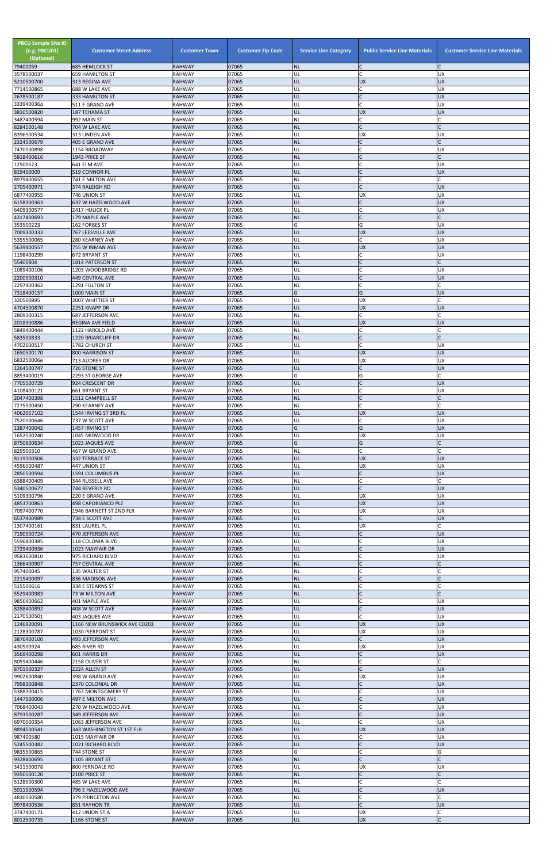| <b>PBCU Sample Site ID</b><br>(e.g. PBCU01)<br>(Optional)<br>79400059 | <b>Customer Street Address</b><br><b>685 HEMLOCK ST</b> | <b>Customer Town</b><br><b>RAHWAY</b> | <b>Customer Zip Code</b><br>07065 | <b>Service Line Category</b><br>ΝL | <b>Public Service Line Materials</b> | <b>Customer Service Line Materials</b> |
|-----------------------------------------------------------------------|---------------------------------------------------------|---------------------------------------|-----------------------------------|------------------------------------|--------------------------------------|----------------------------------------|
| 3578500037                                                            | <b>659 HAMILTON ST</b>                                  | <b>RAHWAY</b>                         | 07065                             | UL                                 |                                      | <b>UX</b>                              |
| 5210500700                                                            | 313 REGINA AVE                                          | <b>RAHWAY</b>                         | 07065                             | UL                                 | <b>UX</b>                            | <b>UX</b>                              |
| 7714500865<br>2678500187                                              | 688 W LAKE AVE<br>333 HAMILTON ST                       | RAHWAY<br><b>RAHWAY</b>               | 07065<br>07065                    | UL<br>UL                           | C<br>$\mathsf C$                     | <b>UX</b><br><b>UX</b>                 |
| 3339400364                                                            | 511 E GRAND AVE                                         | <b>RAHWAY</b>                         | 07065                             | UL                                 | $\mathsf{C}$                         | <b>UX</b>                              |
| 3810500820<br>3487400594                                              | 187 TEHAMA ST<br>992 MAIN ST                            | <b>RAHWAY</b><br>RAHWAY               | 07065<br>07065                    | UL<br>NL                           | <b>UX</b><br>$\mathsf{C}$            | <b>UX</b>                              |
| 8284500148                                                            | 704 W LAKE AVE                                          | <b>RAHWAY</b>                         | 07065                             | <b>NL</b>                          | $\mathsf{C}$                         |                                        |
| 8396500534                                                            | 313 LINDEN AVE                                          | RAHWAY                                | 07065                             | UL                                 | <b>UX</b>                            | <b>UX</b>                              |
| 2324500679<br>7470500898                                              | 405 E GRAND AVE<br>1154 BROADWAY                        | <b>RAHWAY</b><br>RAHWAY               | 07065<br>07065                    | <b>NL</b><br>UL                    | $\mathsf{C}$<br>$\mathsf{C}$         | <b>UX</b>                              |
| 5818400616                                                            | 1943 PRICE ST                                           | <b>RAHWAY</b>                         | 07065                             | <b>NL</b>                          | $\mathsf{C}$                         |                                        |
| 12500523                                                              | 641 ELM AVE                                             | <b>RAHWAY</b>                         | 07065                             | UL                                 | $\mathsf{C}$                         | <b>UX</b>                              |
| 819400009<br>8979400655                                               | 519 CONNOR PL<br>741 E MILTON AVE                       | <b>RAHWAY</b><br>RAHWAY               | 07065<br>07065                    | UL<br>NL                           | $\mathsf{C}$<br>$\mathsf{C}$         | <b>UX</b>                              |
| 2705400971                                                            | 374 RALEIGH RD                                          | <b>RAHWAY</b>                         | 07065                             | UL                                 | $\mathsf{C}$                         | <b>UX</b>                              |
| 6877400955<br>6158300363                                              | 746 UNION ST<br>637 W HAZELWOOD AVE                     | RAHWAY<br><b>RAHWAY</b>               | 07065<br>07065                    | UL                                 | <b>UX</b>                            | <b>UX</b><br><b>UX</b>                 |
| 6409300577                                                            | 2417 HULICK PL                                          | RAHWAY                                | 07065                             | UL<br>UL                           |                                      | <b>UX</b>                              |
| 4317400693                                                            | 179 MAPLE AVE                                           | <b>RAHWAY</b>                         | 07065                             | <b>NL</b>                          | $\mathsf{C}$                         |                                        |
| 353500223<br>7009300333                                               | 162 FORBES ST<br>767 LEESVILLE AVE                      | RAHWAY<br><b>RAHWAY</b>               | 07065<br>07065                    | G<br>UL                            | G<br><b>UX</b>                       | <b>UX</b><br><b>UX</b>                 |
| 5355500065                                                            | <b>280 KEARNEY AVE</b>                                  | <b>RAHWAY</b>                         | 07065                             | UL                                 | C                                    | <b>UX</b>                              |
| 5639400557                                                            | 755 W INMAN AVE                                         | <b>RAHWAY</b>                         | 07065                             | UL                                 | <b>UX</b>                            | <b>UX</b>                              |
| 1198400299<br>55400804                                                | 672 BRYANT ST<br>1814 PATERSON ST                       | RAHWAY<br><b>RAHWAY</b>               | 07065<br>07065                    | UL<br><b>NL</b>                    | $\mathsf{C}$<br>$\mathsf{C}$         | <b>UX</b>                              |
| 1089400106                                                            | 1203 WOODBRIDGE RD                                      | RAHWAY                                | 07065                             | UL                                 |                                      | <b>UX</b>                              |
| 2200500310                                                            | <b>449 CENTRAL AVE</b>                                  | <b>RAHWAY</b>                         | 07065<br>07065                    | UL                                 | $\mathsf{C}$                         | <b>UX</b>                              |
| 2297400362<br>7318400157                                              | 1291 FULTON ST<br>1000 MAIN ST                          | RAHWAY<br><b>RAHWAY</b>               | 07065                             | NL<br>G                            | G                                    | <b>UX</b>                              |
| 320500895                                                             | 2007 WHITTIER ST                                        | RAHWAY                                | 07065                             | UL                                 | <b>UX</b>                            |                                        |
| 4704500870<br>2809300315                                              | 2251 KNAPP DR<br>687 JEFFERSON AVE                      | <b>RAHWAY</b><br>RAHWAY               | 07065<br>07065                    | UL<br>NL                           | <b>UX</b><br>$\mathsf{C}$            | <b>UX</b>                              |
| 2018300886                                                            | REGINA AVE FIELD                                        | <b>RAHWAY</b>                         | 07065                             | UL                                 | <b>UX</b>                            | <b>UX</b>                              |
| 5849400444                                                            | 1122 HAROLD AVE                                         | RAHWAY                                | 07065                             | NL                                 | $\mathsf{C}$                         |                                        |
| 583500833<br>4702600517                                               | 1220 BRIARCLIFF DR<br>1782 CHURCH ST                    | <b>RAHWAY</b><br><b>RAHWAY</b>        | 07065<br>07065                    | <b>NL</b><br>UL                    |                                      | <b>UX</b>                              |
| 1650500170                                                            | 800 HARRISON ST                                         | <b>RAHWAY</b>                         | 07065                             | UL                                 | <b>UX</b>                            | <b>UX</b>                              |
| 6832500066                                                            | 713 AUDREY DR                                           | RAHWAY                                | 07065                             | UL                                 | <b>UX</b>                            | <b>UX</b>                              |
| 1264500747<br>8853400019                                              | 726 STONE ST<br>2293 ST GEORGE AVE                      | <b>RAHWAY</b><br>RAHWAY               | 07065<br>07065                    | UL<br>G                            | $\mathsf{C}$<br>G                    | <b>UX</b>                              |
| 7705500729                                                            | 924 CRESCENT DR                                         | <b>RAHWAY</b>                         | 07065                             | UL                                 | $\mathsf{C}$                         | <b>UX</b>                              |
| 4108400121                                                            | <b>661 BRYANT ST</b>                                    | <b>RAHWAY</b>                         | 07065<br>07065                    | UL                                 | $\mathsf{C}$<br>$\mathsf{C}$         | <b>UX</b>                              |
| 2047400398<br>7275500450                                              | 1512 CAMPBELL ST<br><b>290 KEARNEY AVE</b>              | <b>RAHWAY</b><br>RAHWAY               | 07065                             | <b>NL</b><br>NL                    | $\mathsf{C}$                         |                                        |
| 4062057102                                                            | 1544 IRVING ST 3RD FL                                   | <b>RAHWAY</b>                         | 07065                             | UL                                 | <b>UX</b>                            | <b>UX</b>                              |
| 7520500646<br>1387400042                                              | 737 W SCOTT AVE<br>1457 IRVING ST                       | RAHWAY<br><b>RAHWAY</b>               | 07065<br>07065                    | UL<br>G                            | $\mathsf{C}$<br>G                    | <b>UX</b><br><b>UX</b>                 |
| 1652500240                                                            | 1045 MIDWOOD DR                                         | RAHWAY                                | 07065                             | UL                                 | <b>UX</b>                            | UX                                     |
| 8750600634                                                            | 1023 JAQUES AVE                                         | <b>RAHWAY</b>                         | 07065                             | Ġ                                  | G                                    |                                        |
| 829500310<br>8119300506                                               | 467 W GRAND AVE<br>332 TERRACE ST                       | RAHWAY<br><b>RAHWAY</b>               | 07065<br>07065                    | NL<br>UL                           | $\mathsf{C}$<br><b>UX</b>            | <b>UX</b>                              |
| 4596500487                                                            | 447 UNION ST                                            | RAHWAY                                | 07065                             | UL                                 | <b>UX</b>                            | <b>UX</b>                              |
| 2850500594                                                            | 1591 COLUMBUS PL                                        | <b>RAHWAY</b>                         | 07065                             | UL                                 | $\mathsf C$<br>$\mathsf{C}$          | <b>UX</b>                              |
| 6388400409<br>5340500677                                              | 344 RUSSELL AVE<br>744 BEVERLY RD                       | RAHWAY<br><b>RAHWAY</b>               | 07065<br>07065                    | <b>NL</b><br>UL                    | $\mathsf{C}$                         | <b>UX</b>                              |
| 5109300796                                                            | 220 E GRAND AVE                                         | RAHWAY                                | 07065                             | UL                                 | <b>UX</b>                            | <b>UX</b>                              |
| 4853700863<br>7097400770                                              | <b>498 CAPOBIANCO PLZ</b><br>1946 BARNETT ST 2ND FLR    | <b>RAHWAY</b><br>RAHWAY               | 07065<br>07065                    | UL<br>UL                           | <b>UX</b><br><b>UX</b>               | <b>UX</b><br><b>UX</b>                 |
| 6537400989                                                            | 734 E SCOTT AVE                                         | <b>RAHWAY</b>                         | 07065                             | UL                                 |                                      | <b>UX</b>                              |
| 1307400161                                                            | 831 LAUREL PL                                           | RAHWAY                                | 07065                             | UL                                 | <b>UX</b>                            |                                        |
| 7190500724<br>5596400385                                              | 470 JEFFERSON AVE<br>118 COLONIA BLVD                   | <b>RAHWAY</b><br>RAHWAY               | 07065<br>07065                    | UL<br>UL                           | $\mathsf{C}$<br>$\mathsf{C}$         | <b>UX</b><br><b>UX</b>                 |
| 2729400936                                                            | 1023 MAYFAIR DR                                         | <b>RAHWAY</b>                         | 07065                             | UL                                 |                                      | <b>UX</b>                              |
| 9583600810                                                            | 975 RICHARD BLVD                                        | RAHWAY                                | 07065                             | UL                                 | $\mathsf{C}$                         | <b>UX</b>                              |
| 1366400907<br>957400045                                               | 757 CENTRAL AVE<br>135 WALTER ST                        | RAHWAY<br>RAHWAY                      | 07065<br>07065                    | <b>NL</b><br>NL                    | C                                    |                                        |
| 2215400097                                                            | 836 MADISON AVE                                         | <b>RAHWAY</b>                         | 07065                             | <b>NL</b>                          |                                      |                                        |
| 515500616<br>5529400983                                               | 334 E STEARNS ST<br>73 W MILTON AVE                     | RAHWAY<br><b>RAHWAY</b>               | 07065<br>07065                    | NL<br>ΝL                           |                                      |                                        |
| 9856400662                                                            | 401 MAPLE AVE                                           | RAHWAY                                | 07065                             | UL                                 | $\mathsf{C}$                         | <b>UX</b>                              |
| 8288400892<br>2170500501                                              | 408 W SCOTT AVE                                         | <b>RAHWAY</b>                         | 07065                             | UL                                 | $\mathsf C$<br>$\mathsf{C}$          | <b>UX</b>                              |
| 1246920091                                                            | 403 JAQUES AVE<br>1166 NEW BRUNSWICK AVE C0203          | RAHWAY<br><b>RAHWAY</b>               | 07065<br>07065                    | UL<br>UL                           | <b>UX</b>                            | <b>UX</b><br><b>UX</b>                 |
| 2128300787                                                            | 1030 PIERPONT ST                                        | RAHWAY                                | 07065                             | UL                                 | <b>UX</b>                            | <b>UX</b>                              |
| 3876400100                                                            | 493 JEFFERSON AVE                                       | <b>RAHWAY</b><br><b>RAHWAY</b>        | 07065<br>07065                    | UL<br>UL                           | $\mathsf{C}$<br><b>UX</b>            | <b>UX</b><br><b>UX</b>                 |
| 430500924<br>3569400298                                               | 685 RIVER RD<br>601 HARRIS DR                           | <b>RAHWAY</b>                         | 07065                             | UL                                 |                                      | <b>UX</b>                              |
| 8059400446                                                            | 2158 OLIVER ST                                          | RAHWAY                                | 07065                             | NL                                 | $\mathsf{C}$                         |                                        |
| 8701500327<br>9902600840                                              | 2224 ALLEN ST<br>398 W GRAND AVE                        | RAHWAY<br>RAHWAY                      | 07065<br>07065                    | UL<br>UL                           | <b>UX</b>                            | <b>IDX</b><br><b>UX</b>                |
| 7998300848                                                            | 2370 COLONIAL DR                                        | <b>RAHWAY</b>                         | 07065                             | UL                                 |                                      | <b>UX</b>                              |
| 5388300415                                                            | 1763 MONTGOMERY ST                                      | RAHWAY                                | 07065                             | UL                                 | $\mathsf{C}$                         | <b>UX</b>                              |
| 1447500006<br>7068400043                                              | 497 E MILTON AVE<br>270 W HAZELWOOD AVE                 | <b>RAHWAY</b><br>RAHWAY               | 07065<br>07065                    | UL<br>UL                           | $\mathsf{C}$                         | <b>UX</b><br><b>UX</b>                 |
| 8793500287                                                            | 349 JEFFERSON AVE                                       | <b>RAHWAY</b>                         | 07065                             | UL                                 |                                      | <b>UX</b>                              |
| 6970500354<br>8894500541                                              | 1063 JEFFERSON AVE                                      | <b>RAHWAY</b><br><b>RAHWAY</b>        | 07065<br>07065                    | UL<br>UL                           | $\mathsf{C}$<br><b>UX</b>            | <b>UX</b><br><b>UX</b>                 |
| 987400580                                                             | 343 WASHINGTON ST 1ST FLR<br>1015 MAYFAIR DR            | RAHWAY                                | 07065                             | UL                                 | $\mathsf{C}$                         | <b>UX</b>                              |
| 5245500382                                                            | 1021 RICHARD BLVD                                       | <b>RAHWAY</b>                         | 07065                             | UL                                 | $\mathsf C$                          | <b>UX</b>                              |
| 9835500865<br>9328400695                                              | 744 STONE ST<br>1105 BRYANT ST                          | RAHWAY<br><b>RAHWAY</b>               | 07065<br>07065                    | Ġ<br><b>NL</b>                     | $\mathsf{C}$<br>$\mathsf{C}$         | G                                      |
| 3411500078                                                            | 800 FERNDALE RD                                         | <b>RAHWAY</b>                         | 07065                             | UL                                 | <b>UX</b>                            | <b>UX</b>                              |
| 9350500120                                                            | 2100 PRICE ST                                           | <b>RAHWAY</b>                         | 07065                             | <b>NL</b>                          | $\mathsf{C}$                         |                                        |
| 5128500300<br>5011500594                                              | 485 W LAKE AVE<br>796 E HAZELWOOD AVE                   | <b>RAHWAY</b><br><b>RAHWAY</b>        | 07065<br>07065                    | ΝL<br>UL                           | $\mathsf{C}$<br>$\mathsf{C}$         | <b>UX</b>                              |
| 4830500580                                                            | 379 PRINCETON AVE                                       | RAHWAY                                | 07065                             | NL                                 | $\mathsf{C}$                         |                                        |
| 9978400536                                                            | 851 RAYHON TR                                           | <b>RAHWAY</b>                         | 07065                             | UL                                 | $\mathsf{C}$                         | <b>UX</b>                              |
| 3747400171<br>8012500735                                              | 412 UNION ST A<br>1166 STONE ST                         | RAHWAY<br><b>RAHWAY</b>               | 07065<br>07065                    | UL<br>UL                           | <b>UX</b><br><b>UX</b>               | $\mathsf{C}$                           |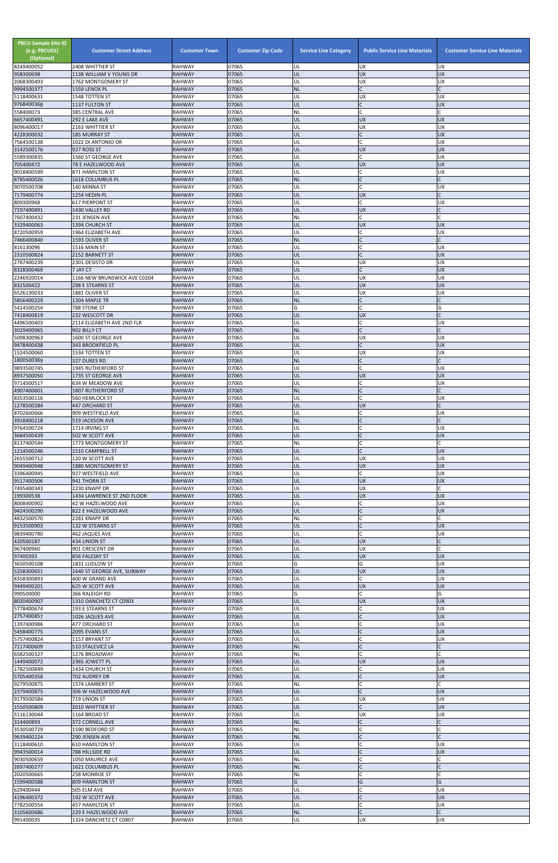| <b>PBCU Sample Site ID</b><br>(e.g. PBCU01)<br>(Optional)<br>8249400052 | <b>Customer Street Address</b><br>2408 WHITTIER ST | <b>Customer Town</b><br><b>RAHWAY</b> | <b>Customer Zip Code</b><br>07065 | <b>Service Line Category</b><br>UL | <b>Public Service Line Materials</b><br><b>UX</b> | <b>Customer Service Line Materials</b><br><b>UX</b> |
|-------------------------------------------------------------------------|----------------------------------------------------|---------------------------------------|-----------------------------------|------------------------------------|---------------------------------------------------|-----------------------------------------------------|
| 958300698                                                               | 1138 WILLIAM V YOUNG DR                            | <b>RAHWAY</b>                         | 07065                             | UL                                 | <b>UX</b>                                         | <b>UX</b>                                           |
| 2068300493<br>9994500377                                                | 1762 MONTGOMERY ST<br>1559 LENOX PL                | <b>RAHWAY</b><br><b>RAHWAY</b>        | 07065<br>07065                    | UL<br><b>NL</b>                    | <b>UX</b><br>$\mathsf{C}$                         | <b>UX</b><br>$\mathsf{C}$                           |
| 5118400631                                                              | 1548 TOTTEN ST                                     | <b>RAHWAY</b>                         | 07065                             | UL                                 | <b>UX</b>                                         | <b>UX</b>                                           |
| 9768400368<br>558400073                                                 | 1137 FULTON ST<br>385 CENTRAL AVE                  | <b>RAHWAY</b><br><b>RAHWAY</b>        | 07065<br>07065                    | UL<br>NL                           | $\mathsf{C}$<br>$\mathsf{C}$                      | <b>UX</b>                                           |
| 6657400491                                                              | 292 E LAKE AVE                                     | <b>RAHWAY</b>                         | 07065                             | UL                                 | <b>UX</b>                                         | <b>UX</b>                                           |
| 8096400017<br>4228300032                                                | 2163 WHITTIER ST<br><b>185 MURRAY ST</b>           | <b>RAHWAY</b><br><b>RAHWAY</b>        | 07065<br>07065                    | UL<br>UL                           | UX<br>$\mathsf{C}$                                | <b>UX</b><br><b>UX</b>                              |
| 7564500138                                                              | 1022 DI ANTONIO DR                                 | <b>RAHWAY</b>                         | 07065                             | UL                                 | C                                                 | <b>UX</b>                                           |
| 3142500176<br>5589300835                                                | 927 ROSS ST<br>1560 ST GEORGE AVE                  | <b>RAHWAY</b><br><b>RAHWAY</b>        | 07065<br>07065                    | UL<br>UL                           | <b>UX</b><br>$\mathsf{C}$                         | <b>UX</b><br><b>UX</b>                              |
| 705400472                                                               | 78 E HAZELWOOD AVE                                 | <b>RAHWAY</b>                         | 07065                             | UL                                 | <b>UX</b>                                         | <b>UX</b>                                           |
| 9018400599<br>8785400026                                                | 871 HAMILTON ST<br>1618 COLUMBUS PL                | <b>RAHWAY</b><br><b>RAHWAY</b>        | 07065<br>07065                    | UL<br><b>NL</b>                    | C<br>$\mathsf{C}$                                 | <b>UX</b>                                           |
| 9070500708                                                              | 140 MINNA ST                                       | <b>RAHWAY</b>                         | 07065                             | UL                                 | $\mathsf{C}$                                      | <b>UX</b>                                           |
| 7179400774<br>809300968                                                 | 1254 HEDIN PL<br><b>617 PIERPONT ST</b>            | <b>RAHWAY</b><br><b>RAHWAY</b>        | 07065<br>07065                    | UL<br>UL                           | <b>UX</b><br>C                                    | <b>UX</b>                                           |
| 7197400891                                                              | 1430 VALLEY RD                                     | <b>RAHWAY</b>                         | 07065                             | UL                                 | <b>UX</b>                                         | $\mathsf{C}$                                        |
| 7607400432<br>3329400063                                                | 231 JENSEN AVE<br>1394 CHURCH ST                   | <b>RAHWAY</b><br><b>RAHWAY</b>        | 07065<br>07065                    | <b>NL</b><br>UL                    | C<br><b>UX</b>                                    | <b>UX</b>                                           |
| 8720500959                                                              | 1964 ELIZABETH AVE                                 | <b>RAHWAY</b>                         | 07065                             | UL                                 | C                                                 | <b>UX</b>                                           |
| 7466400840<br>816130096                                                 | 1593 OLIVER ST                                     | <b>RAHWAY</b><br><b>RAHWAY</b>        | 07065<br>07065                    | <b>NL</b><br>UL                    | $\mathsf{C}$<br>$\mathcal{C}$                     | <b>UX</b>                                           |
| 2310500824                                                              | 1516 MAIN ST<br>2152 BARNETT ST                    | <b>RAHWAY</b>                         | 07065                             | UL                                 | $\mathsf{C}$                                      | <b>UX</b>                                           |
| 2787400239                                                              | 2301 DESISTO DR                                    | <b>RAHWAY</b>                         | 07065                             | UL                                 | <b>UX</b><br>$\mathsf{C}$                         | <b>UX</b><br><b>UX</b>                              |
| 8328300469<br>2246920014                                                | 7 JAY CT<br>1166 NEW BRUNSWICK AVE C0204           | <b>RAHWAY</b><br><b>RAHWAY</b>        | 07065<br>07065                    | UL<br>UL                           | <b>UX</b>                                         | <b>UX</b>                                           |
| 832500422                                                               | 298 E STEARNS ST                                   | <b>RAHWAY</b>                         | 07065                             | UL                                 | <b>UX</b>                                         | <b>UX</b>                                           |
| 6526130033<br>5856400229                                                | 1881 OLIVER ST<br>1304 MAPLE TR                    | RAHWAY<br><b>RAHWAY</b>               | 07065<br>07065                    | UL<br><b>NL</b>                    | <b>UX</b><br>$\mathsf C$                          | <b>UX</b>                                           |
| 5414500254                                                              | 788 STONE ST                                       | <b>RAHWAY</b>                         | 07065                             | G                                  | $\mathsf{C}$                                      | G                                                   |
| 7418400819<br>4496500403                                                | 232 WESCOTT DR<br>2114 ELIZABETH AVE 2ND FLR       | <b>RAHWAY</b><br>RAHWAY               | 07065<br>07065                    | UL<br>UL                           | <b>UX</b><br>$\mathsf{C}$                         | <b>UX</b>                                           |
| 3029400965                                                              | 902 BILLY CT                                       | <b>RAHWAY</b>                         | 07065                             | <b>NL</b>                          | $\mathsf{C}$                                      |                                                     |
| 5098300963<br>9478400438                                                | 1600 ST GEORGE AVE<br>343 BROOKFIELD PL            | <b>RAHWAY</b><br><b>RAHWAY</b>        | 07065<br>07065                    | UL<br>UL                           | <b>UX</b>                                         | <b>UX</b><br><b>UX</b>                              |
| 1524500060                                                              | 1534 TOTTEN ST                                     | <b>RAHWAY</b>                         | 07065                             | UL                                 | <b>UX</b>                                         | <b>UX</b>                                           |
| 1800500369<br>9893500745                                                | 327 DUKES RD<br><b>1945 RUTHERFORD ST</b>          | <b>RAHWAY</b><br><b>RAHWAY</b>        | 07065<br>07065                    | <b>NL</b><br>UL                    | $\mathsf{C}$                                      | <b>UX</b>                                           |
| 8937500050                                                              | 1735 ST GEORGE AVE                                 | <b>RAHWAY</b>                         | 07065                             | UL                                 | <b>UX</b>                                         | <b>UX</b>                                           |
| 9714500517<br>4907400601                                                | 634 W MEADOW AVE<br>1807 RUTHERFORD ST             | <b>RAHWAY</b><br><b>RAHWAY</b>        | 07065<br>07065                    | UL<br><b>NL</b>                    | C<br>$\mathsf{C}$                                 | <b>UX</b><br>$\mathsf{C}$                           |
| 8353500116                                                              | 560 HEMLOCK ST                                     | <b>RAHWAY</b>                         | 07065                             | UL                                 | C                                                 | <b>UX</b>                                           |
| 1278500284<br>8702600666                                                | 447 ORCHARD ST<br>909 WESTFIELD AVE                | <b>RAHWAY</b><br><b>RAHWAY</b>        | 07065<br>07065                    | UL<br>UL                           | <b>UX</b>                                         | <b>UX</b>                                           |
| 3918400218                                                              | 519 JACKSON AVE                                    | <b>RAHWAY</b>                         | 07065                             | <b>NL</b>                          |                                                   |                                                     |
| 9764500724<br>3684500439                                                | 1714 IRVING ST<br>502 W SCOTT AVE                  | <b>RAHWAY</b><br><b>RAHWAY</b>        | 07065<br>07065                    | UL<br>UL                           | $\mathsf{C}$<br>$\mathsf{C}$                      | <b>UX</b><br><b>UX</b>                              |
| 8137400544                                                              | 1773 MONTGOMERY ST                                 | <b>RAHWAY</b>                         | 07065                             | <b>NL</b>                          | $\mathsf{C}$                                      |                                                     |
| 1214500246<br>2655500712                                                | 1510 CAMPBELL ST<br>120 W SCOTT AVE                | <b>RAHWAY</b><br><b>RAHWAY</b>        | 07065<br>07065                    | UL<br>UL                           | $\mathsf{C}$<br><b>UX</b>                         | <b>UX</b><br><b>UX</b>                              |
| 9049400948                                                              | 1880 MONTGOMERY ST                                 | <b>RAHWAY</b>                         | 07065                             | UL                                 | <b>UX</b>                                         | <b>UX</b>                                           |
| 3396400945<br>9517400506                                                | 927 WESTFIELD AVE<br>941 THORN ST                  | <b>RAHWAY</b><br><b>RAHWAY</b>        | 07065<br>07065                    | UL<br>UL                           | <b>UX</b>                                         | <b>UX</b><br><b>UX</b>                              |
| 7495400343                                                              | 2230 KNAPP DR                                      | <b>RAHWAY</b>                         | 07065                             | UL                                 | UX                                                |                                                     |
| 199300538<br>8008400902                                                 | 1434 LAWRENCE ST 2ND FLOOR<br>42 W HAZELWOOD AVE   | <b>RAHWAY</b><br><b>RAHWAY</b>        | 07065<br>07065                    | UL<br>UL                           | <b>UX</b><br>С                                    | <b>UX</b><br><b>UX</b>                              |
| 9424500290                                                              | 822 E HAZELWOOD AVE                                | <b>RAHWAY</b>                         | 07065                             | UL                                 | $\mathsf{C}$                                      | <b>UX</b>                                           |
| 4832500570<br>9153500903                                                | 2281 KNAPP DR<br>132 W STEARNS ST                  | <b>RAHWAY</b><br><b>RAHWAY</b>        | 07065<br>07065                    | <b>NL</b><br>UL                    | $\mathsf{C}$<br>$\mathsf{C}$                      | <b>UX</b>                                           |
| 9839400780                                                              | 462 JAQUES AVE                                     | <b>RAHWAY</b>                         | 07065                             | UL                                 | $\mathsf{C}$                                      | <b>UX</b>                                           |
| 420500187<br>967400960                                                  | 434 UNION ST<br>901 CRESCENT DR                    | <b>RAHWAY</b><br><b>RAHWAY</b>        | 07065<br>07065                    | UL<br>UL                           | <b>UX</b><br><b>UX</b>                            |                                                     |
| 97400393                                                                | 856 FALESKY ST                                     | <b>RAHWAY</b>                         | 07065                             | UL                                 | <b>UX</b>                                         | <b>UX</b>                                           |
| 3650500108<br>5258300651                                                | 1831 LUDLOW ST<br>1640 ST GEORGE AVE, SUBWAY       | <b>RAHWAY</b><br><b>RAHWAY</b>        | 07065<br>07065                    | G<br>UL                            | G<br><b>UX</b>                                    | <b>UX</b><br><b>UX</b>                              |
| 8358300893                                                              | 400 W GRAND AVE                                    | <b>RAHWAY</b>                         | 07065                             | UL                                 | C                                                 | <b>UX</b>                                           |
| 9449400201                                                              | 625 W SCOTT AVE                                    | <b>RAHWAY</b>                         | 07065                             | UL                                 | <b>UX</b><br>$\mathsf{C}$                         | <b>UX</b>                                           |
| 990500000<br>8020400907                                                 | 366 RALEIGH RD<br>1310 DANCHETZ CT C0903           | <b>RAHWAY</b><br><b>RAHWAY</b>        | 07065<br>07065                    | G<br>UL                            | <b>UX</b>                                         | G<br><b>UX</b>                                      |
| 5778400674                                                              | 193 E STEARNS ST                                   | <b>RAHWAY</b>                         | 07065                             | UL                                 | C                                                 | <b>UX</b>                                           |
| 2757400857<br>1397400986                                                | 1026 JAQUES AVE<br>477 ORCHARD ST                  | <b>RAHWAY</b><br>RAHWAY               | 07065<br>07065                    | UL<br>UL                           | $\overline{C}$                                    | <b>UX</b><br><b>UX</b>                              |
| 5458400775                                                              | 2095 EVANS ST                                      | <b>RAHWAY</b>                         | 07065                             | UL                                 | $\mathsf{C}$                                      | <b>UX</b>                                           |
| 5757400824<br>7117400609                                                | 1157 BRYANT ST<br>510 STALEVICZ LA                 | <b>RAHWAY</b><br><b>RAHWAY</b>        | 07065<br>07065                    | UL<br><b>NL</b>                    | $\mathsf{C}$<br>$\mathsf{C}$                      | <b>UX</b>                                           |
| 6582500327                                                              | 1276 BROADWAY                                      | <b>RAHWAY</b>                         | 07065                             | <b>NL</b>                          |                                                   |                                                     |
| 1449400072<br>1782500849                                                | 2365 JOWETT PL<br>1434 CHURCH ST                   | <b>RAHWAY</b><br><b>RAHWAY</b>        | 07065<br>07065                    | UL<br>UL                           | <b>UX</b>                                         | <b>UX</b><br><b>UX</b>                              |
| 5705400358                                                              | 702 AUDREY DR                                      | <b>RAHWAY</b>                         | 07065                             | UL                                 | $\overline{C}$                                    | <b>UX</b>                                           |
| 9279500875<br>2379400875                                                | 1574 LAMBERT ST<br>306 W HAZELWOOD AVE             | <b>RAHWAY</b><br><b>RAHWAY</b>        | 07065<br>07065                    | <b>NL</b><br>UL                    | $\mathsf{C}$<br>$\mathsf{C}$                      | <b>UX</b>                                           |
| 9179500584                                                              | 719 UNION ST                                       | RAHWAY                                | 07065                             | UL                                 | <b>UX</b>                                         | <b>UX</b>                                           |
| 1550500809<br>5116130044                                                | 2010 WHITTIER ST<br>1164 BROAD ST                  | <b>RAHWAY</b><br><b>RAHWAY</b>        | 07065<br>07065                    | UL<br>UL                           | $\mathsf{C}$<br><b>UX</b>                         | <b>UX</b><br><b>UX</b>                              |
| 314400893                                                               | 372 CORNELL AVE                                    | <b>RAHWAY</b>                         | 07065                             | <b>NL</b>                          | $\mathsf{C}$                                      |                                                     |
| 3530500729<br>9639400224                                                | 1590 BEDFORD ST<br>290 JENSEN AVE                  | RAHWAY<br><b>RAHWAY</b>               | 07065<br>07065                    | <b>NL</b><br><b>NL</b>             | $\mathsf{C}$<br>$\mathsf{C}$                      | $\mathsf{C}$                                        |
| 3118400610                                                              | <b>610 HAMILTON ST</b>                             | <b>RAHWAY</b>                         | 07065                             | UL                                 | $\mathsf{C}$                                      | <b>UX</b>                                           |
| 9943500014<br>9030500659                                                | 788 HILLSIDE RD<br>1050 MAURICE AVE                | <b>RAHWAY</b><br><b>RAHWAY</b>        | 07065<br>07065                    | UL<br><b>NL</b>                    | $\mathsf{C}$                                      | <b>UX</b>                                           |
| 2697400277                                                              | 1621 COLUMBUS PL                                   | <b>RAHWAY</b>                         | 07065                             | <b>NL</b>                          | $\mathsf{C}$                                      |                                                     |
| 2020500665<br>1599400588                                                | 258 MONROE ST<br><b>809 HAMILTON ST</b>            | <b>RAHWAY</b><br><b>RAHWAY</b>        | 07065<br>07065                    | NL<br>G                            | $\mathsf{C}$<br>G                                 | G                                                   |
| 629400444                                                               | 505 ELM AVE                                        | RAHWAY                                | 07065                             | UL                                 |                                                   | <b>UX</b>                                           |
| 4196400372<br>7782500554                                                | 192 W SCOTT AVE<br>457 HAMILTON ST                 | <b>RAHWAY</b><br><b>RAHWAY</b>        | 07065<br>07065                    | UL<br>UL                           | $\mathsf{C}$                                      | <b>UX</b><br><b>UX</b>                              |
| 3105600686                                                              | 229 E HAZELWOOD AVE                                | <b>RAHWAY</b>                         | 07065                             | NL                                 | $\overline{C}$                                    | $\mathsf{C}$                                        |
| 991400035                                                               | 1324 DANCHETZ CT C0807                             | RAHWAY                                | 07065                             | UL                                 | <b>UX</b>                                         | <b>UX</b>                                           |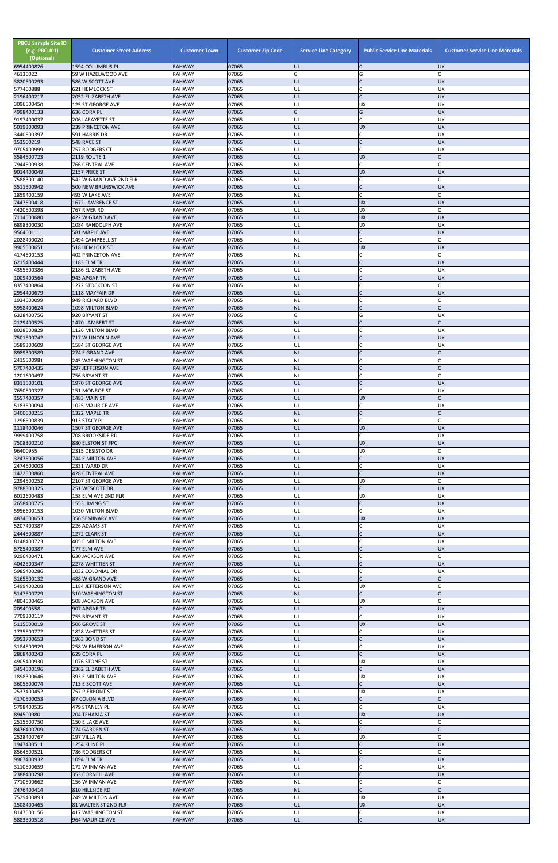| <b>PBCU Sample Site ID</b><br>(e.g. PBCU01)<br>(Optional)<br>6954400826 | <b>Customer Street Address</b><br>1594 COLUMBUS PL | <b>Customer Town</b><br><b>RAHWAY</b> | <b>Customer Zip Code</b><br>07065 | <b>Service Line Category</b><br><b>UL</b> | <b>Public Service Line Materials</b><br>IC | <b>Customer Service Line Materials</b><br><b>UX</b> |
|-------------------------------------------------------------------------|----------------------------------------------------|---------------------------------------|-----------------------------------|-------------------------------------------|--------------------------------------------|-----------------------------------------------------|
| 46130022                                                                | 59 W HAZELWOOD AVE                                 | <b>RAHWAY</b>                         | 07065                             | G                                         | G                                          |                                                     |
| 3820500293                                                              | 586 W SCOTT AVE                                    | <b>RAHWAY</b>                         | 07065                             | UL                                        | IC                                         | <b>UX</b>                                           |
| 577400888<br>2196400217                                                 | <b>621 HEMLOCK ST</b><br>2052 ELIZABETH AVE        | <b>RAHWAY</b><br><b>RAHWAY</b>        | 07065<br>07065                    | UL<br>UL                                  | lC.<br>$\mathsf{C}$                        | <b>UX</b><br><b>UX</b>                              |
| 3096500450                                                              | <b>125 ST GEORGE AVE</b>                           | <b>RAHWAY</b>                         | 07065                             | UL                                        | <b>UX</b>                                  | UX                                                  |
| 4998400133<br>9197400037                                                | 636 CORA PL<br>206 LAFAYETTE ST                    | <b>RAHWAY</b><br><b>RAHWAY</b>        | 07065<br>07065                    | G<br>UL                                   | G<br><b>C</b>                              | <b>UX</b><br>UX                                     |
| 5019300093                                                              | <b>239 PRINCETON AVE</b>                           | <b>RAHWAY</b>                         | 07065                             | UL                                        | <b>UX</b>                                  | <b>UX</b>                                           |
| 3440500397                                                              | 591 HARRIS DR                                      | <b>RAHWAY</b>                         | 07065                             | UL                                        | lC.                                        | UX                                                  |
| 153500219<br>9705400999                                                 | 548 RACE ST<br>757 RODGERS CT                      | <b>RAHWAY</b><br><b>RAHWAY</b>        | 07065<br>07065                    | UL<br>UL                                  | $\mathsf{C}$<br>C                          | <b>UX</b><br><b>UX</b>                              |
| 3584500723                                                              | 2119 ROUTE 1                                       | <b>RAHWAY</b>                         | 07065                             | <b>UL</b>                                 | <b>UX</b>                                  |                                                     |
| 7944500938                                                              | 766 CENTRAL AVE                                    | <b>RAHWAY</b>                         | 07065                             | <b>NL</b>                                 | <b>C</b>                                   |                                                     |
| 9014400049<br>7588300140                                                | 2157 PRICE ST<br>542 W GRAND AVE 2ND FLR           | <b>RAHWAY</b><br><b>RAHWAY</b>        | 07065<br>07065                    | UL<br>NL                                  | <b>UX</b><br>lC.                           | <b>UX</b>                                           |
| 3511500942                                                              | 500 NEW BRUNSWICK AVE                              | <b>RAHWAY</b>                         | 07065                             | UL                                        | lc.                                        | <b>UX</b>                                           |
| 1859400159<br>7447500418                                                | 493 W LAKE AVE<br><b>1672 LAWRENCE ST</b>          | <b>RAHWAY</b><br><b>RAHWAY</b>        | 07065<br>07065                    | NL<br>UL                                  | lC.<br><b>UX</b>                           | <b>UX</b>                                           |
| 4420500398                                                              | 767 RIVER RD                                       | <b>RAHWAY</b>                         | 07065                             | UL                                        | <b>UX</b>                                  |                                                     |
| 7114500680                                                              | 422 W GRAND AVE                                    | <b>RAHWAY</b>                         | 07065                             | UL                                        | <b>UX</b>                                  | <b>UX</b>                                           |
| 6898300030<br>956400111                                                 | 1084 RANDOLPH AVE<br>581 MAPLE AVE                 | <b>RAHWAY</b><br><b>RAHWAY</b>        | 07065<br>07065                    | UL<br>UL                                  | <b>UX</b><br>$\mathsf C$                   | <b>UX</b><br>UX                                     |
| 2028400020                                                              | 1494 CAMPBELL ST                                   | <b>RAHWAY</b>                         | 07065                             | <b>NL</b>                                 | lC.                                        |                                                     |
| 9905500651                                                              | <b>518 HEMLOCK ST</b>                              | <b>RAHWAY</b>                         | 07065                             | UL                                        | <b>UX</b>                                  | <b>UX</b>                                           |
| 4174500153<br>6215400444                                                | <b>402 PRINCETON AVE</b><br>1183 ELM TR            | <b>RAHWAY</b><br><b>RAHWAY</b>        | 07065<br>07065                    | NL<br>UL                                  | C<br>lc.                                   | C<br><b>UX</b>                                      |
| 4355500386                                                              | 2186 ELIZABETH AVE                                 | <b>RAHWAY</b>                         | 07065                             | UL                                        | C                                          | <b>UX</b>                                           |
| 1009400564                                                              | 943 APGAR TR                                       | <b>RAHWAY</b>                         | 07065                             | UL                                        | IC<br>C                                    | <b>UX</b>                                           |
| 8357400864<br>2954400679                                                | 1272 STOCKTON ST<br>1118 MAYFAIR DR                | <b>RAHWAY</b><br><b>RAHWAY</b>        | 07065<br>07065                    | NL<br>UL                                  | lc.                                        | <b>UX</b>                                           |
| 1934500099                                                              | 949 RICHARD BLVD                                   | <b>RAHWAY</b>                         | 07065                             | NL                                        | lC.                                        |                                                     |
| 5958400624<br>6328400756                                                | 1098 MILTON BLVD<br>920 BRYANT ST                  | <b>RAHWAY</b><br><b>RAHWAY</b>        | 07065<br>07065                    | <b>NL</b><br>G                            | $\mathsf{C}$<br>G                          | UX                                                  |
| 2129400525                                                              | 1470 LAMBERT ST                                    | <b>RAHWAY</b>                         | 07065                             | <b>NL</b>                                 | IC                                         | $\mathsf{C}$                                        |
| 8028500829                                                              | 1126 MILTON BLVD                                   | <b>RAHWAY</b>                         | 07065                             | UL                                        | lC.                                        | UX                                                  |
| 7501500742<br>3589300609                                                | 717 W LINCOLN AVE<br>1584 ST GEORGE AVE            | <b>RAHWAY</b><br><b>RAHWAY</b>        | 07065<br>07065                    | UL<br>UL                                  | $\mathsf{C}$                               | <b>UX</b><br>UX                                     |
| 8989300589                                                              | 274 E GRAND AVE                                    | <b>RAHWAY</b>                         | 07065                             | <b>NL</b>                                 |                                            |                                                     |
| 2415500981                                                              | 245 WASHINGTON ST                                  | <b>RAHWAY</b>                         | 07065                             | <b>NL</b>                                 | lC.                                        |                                                     |
| 5707400435<br>1201600497                                                | <b>297 JEFFERSON AVE</b><br>756 BRYANT ST          | <b>RAHWAY</b><br><b>RAHWAY</b>        | 07065<br>07065                    | <b>NL</b><br><b>NL</b>                    | $\mathsf C$<br>C                           |                                                     |
| 8311500101                                                              | 1970 ST GEORGE AVE                                 | <b>RAHWAY</b>                         | 07065                             | UL                                        | lC.                                        | <b>UX</b>                                           |
| 7650500327                                                              | 151 MONROE ST                                      | <b>RAHWAY</b>                         | 07065                             | UL                                        | lc.                                        | <b>UX</b>                                           |
| 1557400357<br>5183500094                                                | 1483 MAIN ST<br>1025 MAURICE AVE                   | <b>RAHWAY</b><br><b>RAHWAY</b>        | 07065<br>07065                    | UL<br>UL                                  | <b>UX</b><br>C                             | <b>UX</b>                                           |
| 3400500215                                                              | 1322 MAPLE TR                                      | <b>RAHWAY</b>                         | 07065                             | <b>NL</b>                                 | $\mathsf{C}$                               |                                                     |
| 1296500839<br>1118400046                                                | 913 STACY PL<br>1507 ST GEORGE AVE                 | <b>RAHWAY</b><br><b>RAHWAY</b>        | 07065<br>07065                    | NL<br>UL                                  | <b>C</b><br><b>UX</b>                      | <b>UX</b>                                           |
| 9999400758                                                              | 708 BROOKSIDE RD                                   | <b>RAHWAY</b>                         | 07065                             | UL                                        | C.                                         | UX                                                  |
| 7508300210                                                              | 880 ELSTON ST FPC                                  | <b>RAHWAY</b>                         | 07065                             | UL                                        | <b>UX</b>                                  | <b>UX</b>                                           |
| 96400955<br>3247500056                                                  | 2315 DESISTO DR<br>744 E MILTON AVE                | <b>RAHWAY</b><br><b>RAHWAY</b>        | 07065<br>07065                    | UL<br>UL                                  | <b>UX</b><br>lC.                           | <b>UX</b>                                           |
| 2474500003                                                              | 2331 WARD DR                                       | <b>RAHWAY</b>                         | 07065                             | UL                                        | C                                          | <b>UX</b>                                           |
| 1422500860<br>2294500252                                                | <b>428 CENTRAL AVE</b>                             | <b>RAHWAY</b>                         | 07065                             | UL                                        | $\mathsf C$                                | <b>UX</b>                                           |
| 9788300325                                                              | 2107 ST GEORGE AVE<br>251 WESCOTT DR               | <b>RAHWAY</b><br><b>RAHWAY</b>        | 07065<br>07065                    | UL<br>UL                                  | <b>UX</b><br>lC.                           | <b>UX</b>                                           |
| 6012600483                                                              | 158 ELM AVE 2ND FLR                                | <b>RAHWAY</b>                         | 07065                             | UL                                        | <b>UX</b>                                  | UX                                                  |
| 2658400725<br>5956600153                                                | 1553 IRVING ST<br>1030 MILTON BLVD                 | <b>RAHWAY</b><br><b>RAHWAY</b>        | 07065<br>07065                    | UL<br>UL                                  | $\mathsf{C}$<br>lC.                        | <b>UX</b><br><b>UX</b>                              |
| 4874500653                                                              | 356 SEMINARY AVE                                   | <b>RAHWAY</b>                         | 07065                             | UL                                        | <b>UX</b>                                  | <b>UX</b>                                           |
| 5207400387                                                              | 226 ADAMS ST                                       | <b>RAHWAY</b>                         | 07065                             | UL                                        | lC.                                        | UX                                                  |
| 2444500887<br>8148400723                                                | 1272 CLARK ST<br>405 E MILTON AVE                  | <b>RAHWAY</b><br><b>RAHWAY</b>        | 07065<br>07065                    | UL<br>UL                                  | $\mathsf{C}$<br>C                          | <b>UX</b><br><b>UX</b>                              |
| 5785400387                                                              | 177 ELM AVE                                        | <b>RAHWAY</b>                         | 07065                             | UL                                        | IC                                         | <b>UX</b>                                           |
| 9296400471                                                              | 630 JACKSON AVE                                    | <b>RAHWAY</b>                         | 07065                             | NL                                        | $\mathsf{C}$<br>$\mathsf{C}$               |                                                     |
| 4042500347<br>5985400286                                                | 2278 WHITTIER ST<br>1032 COLONIAL DR               | <b>RAHWAY</b><br><b>RAHWAY</b>        | 07065<br>07065                    | UL<br>UL                                  | C.                                         | <b>UX</b><br><b>UX</b>                              |
| 3165500132                                                              | 488 W GRAND AVE                                    | <b>RAHWAY</b>                         | 07065                             | <b>NL</b>                                 | lC.                                        |                                                     |
| 5499400208<br>5147500729                                                | 1184 JEFFERSON AVE<br>310 WASHINGTON ST            | <b>RAHWAY</b><br><b>RAHWAY</b>        | 07065<br>07065                    | UL<br><b>NL</b>                           | <b>UX</b><br>lC.                           |                                                     |
| 4804500465                                                              | 508 JACKSON AVE                                    | <b>RAHWAY</b>                         | 07065                             | UL                                        | <b>UX</b>                                  |                                                     |
| 209400558                                                               | 907 APGAR TR                                       | <b>RAHWAY</b>                         | 07065                             | UL                                        | $\mathsf C$                                | <b>UX</b>                                           |
| 7709300117<br>5115500019                                                | 755 BRYANT ST<br>506 GROVE ST                      | <b>RAHWAY</b><br><b>RAHWAY</b>        | 07065<br>07065                    | UL<br>UL                                  | lC.<br><b>UX</b>                           | <b>UX</b><br><b>UX</b>                              |
| 1735500772                                                              | 1828 WHITTIER ST                                   | <b>RAHWAY</b>                         | 07065                             | UL                                        | lC.                                        | <b>UX</b>                                           |
| 2953700653<br>3184500929                                                | 1963 BOND ST<br>258 W EMERSON AVE                  | <b>RAHWAY</b><br><b>RAHWAY</b>        | 07065<br>07065                    | UL<br>UL                                  | $\mathsf{C}$<br>lC.                        | <b>UX</b><br><b>UX</b>                              |
| 2868400243                                                              | 629 CORA PL                                        | <b>RAHWAY</b>                         | 07065                             | UL                                        |                                            | <b>UX</b>                                           |
| 4905400930                                                              | 1076 STONE ST                                      | <b>RAHWAY</b>                         | 07065                             | UL                                        | <b>UX</b>                                  | <b>UX</b>                                           |
| 3454500196<br>1898300646                                                | 2362 ELIZABETH AVE<br>393 E MILTON AVE             | <b>RAHWAY</b><br><b>RAHWAY</b>        | 07065<br>07065                    | IUL<br>UL                                 | <b>UX</b>                                  | <b>UX</b><br>X                                      |
| 3605500074                                                              | 713 E SCOTT AVE                                    | <b>RAHWAY</b>                         | 07065                             | UL                                        | $\mathsf{C}$                               | <b>UX</b>                                           |
| 2537400452                                                              | 757 PIERPONT ST                                    | <b>RAHWAY</b>                         | 07065                             | UL                                        | <b>UX</b>                                  | <b>UX</b>                                           |
| 4170500053<br>5798400535                                                | 87 COLONIA BLVD<br>479 STANLEY PL                  | <b>RAHWAY</b><br><b>RAHWAY</b>        | 07065<br>07065                    | NL<br>UL                                  | $\mathsf{C}$<br>lC.                        | $\mathsf{C}$<br>UX                                  |
| 894500980                                                               | 204 TEHAMA ST                                      | <b>RAHWAY</b>                         | 07065                             | UL                                        | <b>UX</b>                                  | <b>UX</b>                                           |
| 2515500750                                                              | 150 E LAKE AVE<br>774 GARDEN ST                    | <b>RAHWAY</b><br><b>RAHWAY</b>        | 07065<br>07065                    | <b>NL</b><br><b>NL</b>                    | lC.<br>$\overline{C}$                      |                                                     |
| 8476400709<br>2528400767                                                | 197 VILLA PL                                       | <b>RAHWAY</b>                         | 07065                             | UL                                        | <b>UX</b>                                  | C                                                   |
| 1947400511                                                              | 1254 KLINE PL                                      | <b>RAHWAY</b>                         | 07065                             | UL                                        | $\mathsf{C}$                               | <b>UX</b>                                           |
| 8564500521<br>9967400932                                                | 786 RODGERS CT<br>1094 ELM TR                      | <b>RAHWAY</b><br><b>RAHWAY</b>        | 07065<br>07065                    | <b>NL</b><br>UL                           | $\mathsf{C}$<br>$\mathsf{C}$               | <b>UX</b>                                           |
| 3110500659                                                              | 172 W INMAN AVE                                    | <b>RAHWAY</b>                         | 07065                             | UL                                        | <b>C</b>                                   | <b>UX</b>                                           |
| 2388400298                                                              | 353 CORNELL AVE                                    | <b>RAHWAY</b>                         | 07065                             | UL                                        | $\mathsf{C}$                               | <b>UX</b>                                           |
| 7710500662<br>7476400414                                                | 156 W INMAN AVE<br>810 HILLSIDE RD                 | <b>RAHWAY</b><br><b>RAHWAY</b>        | 07065<br>07065                    | <b>NL</b><br><b>NL</b>                    | C<br>lc.                                   |                                                     |
| 7529400893                                                              | 249 W MILTON AVE                                   | <b>RAHWAY</b>                         | 07065                             | UL                                        | <b>UX</b>                                  | <b>UX</b>                                           |
| 1508400465                                                              | 81 WALTER ST 2ND FLR                               | <b>RAHWAY</b>                         | 07065                             | UL                                        | <b>UX</b>                                  | <b>UX</b>                                           |
| 8147500156<br>5883500518                                                | 417 WASHINGTON ST<br>964 MAURICE AVE               | <b>RAHWAY</b><br><b>RAHWAY</b>        | 07065<br>07065                    | UL<br>UL                                  | C<br>$\mathsf C$                           | <b>UX</b><br><b>ND</b>                              |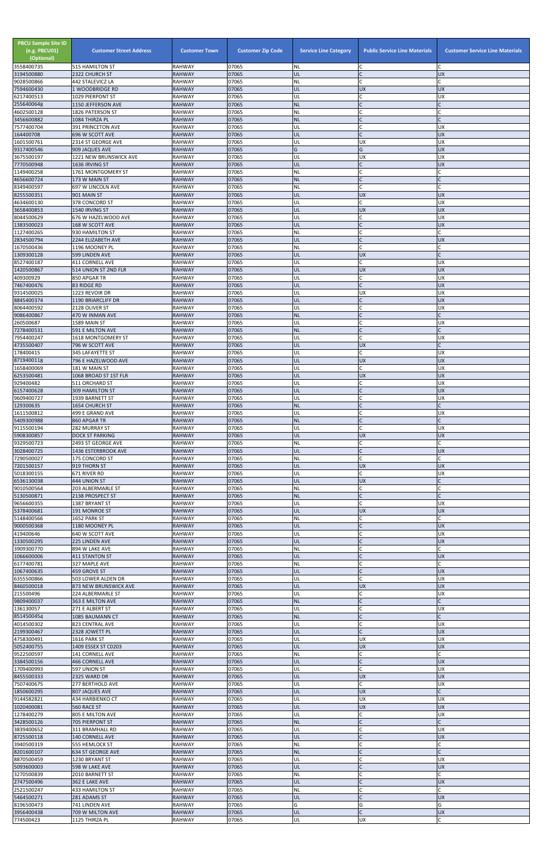| $\mathsf{C}$<br>07065<br>UL<br>2322 CHURCH ST<br><b>RAHWAY</b><br><b>UX</b><br>$\mathsf{C}$<br>07065<br><b>NL</b><br>442 STALEVICZ LA<br><b>RAHWAY</b><br>C<br>07065<br>UL<br>7594600430<br><b>RAHWAY</b><br><b>UX</b><br><b>UX</b><br>1 WOODBRIDGE RD<br>07065<br>$\mathsf{C}$<br><b>UX</b><br>1029 PIERPONT ST<br><b>RAHWAY</b><br>UL<br>2556400648<br>07065<br>$\mathsf{C}$<br><b>NL</b><br>1150 JEFFERSON AVE<br><b>RAHWAY</b><br>$\mathsf{C}$<br>07065<br>NL<br>4602500128<br><b>RAHWAY</b><br>C<br>1826 PATERSON ST<br>$\mathsf{C}$<br>07065<br><b>NL</b><br>C<br>1084 THIRZA PL<br><b>RAHWAY</b><br>7577400704<br>07065<br>$\mathsf{C}$<br>391 PRINCETON AVE<br><b>RAHWAY</b><br>UL<br><b>UX</b><br>164400708<br>07065<br>696 W SCOTT AVE<br><b>RAHWAY</b><br>UL<br><b>UX</b><br>07065<br><b>RAHWAY</b><br>UL<br><b>UX</b><br><b>UX</b><br>2314 ST GEORGE AVE<br>07065<br>G<br>G<br><b>UX</b><br><b>RAHWAY</b><br>9317400546<br>909 JAQUES AVE<br>07065<br>UL<br><b>UX</b><br>UX<br>3675500197<br>1221 NEW BRUNSWICK AVE<br>RAHWAY<br>07065<br><b>UX</b><br><b>RAHWAY</b><br>UL<br>$\mathsf{C}$<br>1636 IRVING ST<br>07065<br>1149400258<br><b>RAHWAY</b><br><b>NL</b><br>$\sqrt{ }$<br>1761 MONTGOMERY ST<br>$\mathsf{C}$<br>07065<br><b>NL</b><br><b>RAHWAY</b><br>173 W MAIN ST<br>$\mathsf{C}$<br>07065<br><b>NL</b><br>697 W LINCOLN AVE<br>RAHWAY<br>$\mathsf{C}$<br>8255500351<br>07065<br>901 MAIN ST<br><b>RAHWAY</b><br>UL<br><b>UX</b><br><b>UX</b><br>07065<br>C<br><b>UX</b><br>378 CONCORD ST<br><b>RAHWAY</b><br>UL<br>UL<br><b>UX</b><br><b>UX</b><br><b>RAHWAY</b><br>07065<br>1540 IRVING ST<br>07065<br><b>UX</b><br>UL<br>C<br>8044500629<br>676 W HAZELWOOD AVE<br><b>RAHWAY</b><br>$\mathsf{C}$<br>07065<br><b>UX</b><br>UL<br>168 W SCOTT AVE<br><b>RAHWAY</b><br>$\mathsf{C}$<br><b>RAHWAY</b><br>07065<br><b>NL</b><br>930 HAMILTON ST<br>$\overline{C}$<br>2834500794<br>07065<br>2244 ELIZABETH AVE<br><b>RAHWAY</b><br>UL<br><b>UX</b><br>$\mathsf{C}$<br>07065<br>1196 MOONEY PL<br><b>RAHWAY</b><br>NL<br>07065<br><b>RAHWAY</b><br>UL<br><b>UX</b><br>$\mathsf{C}$<br>599 LINDEN AVE<br>07065<br>$\mathsf{C}$<br>8527400187<br><b>RAHWAY</b><br>UL<br>UX<br>411 CORNELL AVE<br>07065<br><b>UX</b><br><b>RAHWAY</b><br>UL<br><b>UX</b><br>514 UNION ST 2ND FLR<br>409300929<br>07065<br>$\mathsf{C}$<br><b>UX</b><br><b>RAHWAY</b><br>UL<br>850 APGAR TR<br>$\mathsf{C}$<br>07065<br><b>UX</b><br>7467400476<br>UL<br>83 RIDGE RD<br><b>RAHWAY</b><br><b>RAHWAY</b><br>07065<br>UL<br><b>UX</b><br><b>UX</b><br>1223 REVOIR DR<br>$\mathsf{C}$<br><b>ND</b><br>07065<br>UL<br>8845400374<br>1190 BRIARCLIFF DR<br><b>RAHWAY</b><br>8064400592<br>07065<br>2128 OLIVER ST<br><b>RAHWAY</b><br>UL<br>UX<br>07065<br>$\mathcal{C}$<br>470 W INMAN AVE<br><b>RAHWAY</b><br><b>NL</b><br>$\mathsf{C}$<br>260500687<br>07065<br>1589 MAIN ST<br><b>RAHWAY</b><br>UL<br><b>UX</b><br>07065<br><b>NL</b><br>$\mathsf{C}$<br>7278400531<br>$\mathsf{C}$<br>591 E MILTON AVE<br><b>RAHWAY</b><br>$\sqrt{ }$<br>07065<br>UL<br><b>UX</b><br>1618 MONTGOMERY ST<br><b>RAHWAY</b><br>4735500407<br>UL<br>07065<br><b>UX</b><br>796 W SCOTT AVE<br><b>RAHWAY</b><br>178400415<br>345 LAFAYETTE ST<br><b>RAHWAY</b><br>07065<br>UL<br><b>UX</b><br>07065<br>UL<br><b>UX</b><br><b>UX</b><br>796 E HAZELWOOD AVE<br><b>RAHWAY</b><br>07065<br>$\mathsf{C}$<br><b>UX</b><br>1658400069<br>181 W MAIN ST<br><b>RAHWAY</b><br>UL<br>07065<br><b>UX</b><br>1068 BROAD ST 1ST FLR<br><b>RAHWAY</b><br>UL<br><b>UX</b><br><b>RAHWAY</b><br>07065<br>UL<br>C<br><b>UX</b><br>511 ORCHARD ST<br>$\mathsf{C}$<br>07065<br>UL<br><b>UX</b><br>6157400628<br><b>309 HAMILTON ST</b><br><b>RAHWAY</b><br>$\mathsf{C}$<br>07065<br>UL<br><b>UX</b><br><b>RAHWAY</b><br>1939 BARNETT ST<br>$\mathsf{C}$<br>07065<br><b>NL</b><br>1654 CHURCH ST<br><b>RAHWAY</b><br>1611500812<br>07065<br>UL<br>499 E GRAND AVE<br><b>RAHWAY</b><br><b>UX</b><br>07065<br><b>NL</b><br>860 APGAR TR<br><b>RAHWAY</b><br>$\mathsf{C}$<br>07065<br>282 MURRAY ST<br><b>RAHWAY</b><br>UL<br><b>UX</b><br>UX<br>07065<br>UL<br><b>UX</b><br>5908300857<br><b>RAHWAY</b><br><b>DOCK ST PARKING</b><br>2493 ST GEORGE AVE<br><b>RAHWAY</b><br>07065<br><b>NL</b><br>C<br>$\mathsf{C}$<br>3028400725<br>07065<br>UL<br><b>UX</b><br>1436 ESTERBROOK AVE<br><b>RAHWAY</b><br>$\mathsf{C}$<br>07065<br><b>NL</b><br><b>RAHWAY</b><br>C<br>175 CONCORD ST<br>07065<br>UL<br><b>UX</b><br><b>UX</b><br>919 THORN ST<br><b>RAHWAY</b><br>$\mathsf{C}$<br>07065<br>UL<br><b>UX</b><br>5018300155<br>671 RIVER RD<br><b>RAHWAY</b><br>07065<br>UL<br>444 UNION ST<br><b>RAHWAY</b><br><b>UX</b><br>07065<br>NL<br>C<br>9010500564<br>203 ALBERMARLE ST<br><b>RAHWAY</b><br>$\mathsf{C}$<br>07065<br><b>NL</b><br>5130500871<br><b>RAHWAY</b><br>$\mathsf{C}$<br>2138 PROSPECT ST<br>07065<br>$\mathsf{C}$<br><b>RAHWAY</b><br>UL<br><b>UX</b><br>1387 BRYANT ST<br>07065<br>5378400681<br><b>RAHWAY</b><br>UL<br><b>UX</b><br><b>UX</b><br>191 MONROE ST<br>07065<br><b>NL</b><br>C<br>1652 PARK ST<br><b>RAHWAY</b><br>$\mathsf{C}$<br>07065<br>UL<br><b>UX</b><br><b>RAHWAY</b><br>1180 MOONEY PL<br>$\mathsf{C}$<br>07065<br>UL<br>UX<br>419400646<br>640 W SCOTT AVE<br><b>RAHWAY</b><br>07065<br>UL<br><b>UX</b><br>225 LINDEN AVE<br><b>RAHWAY</b><br>07065<br><b>NL</b><br>894 W LAKE AVE<br><b>RAHWAY</b><br>$\overline{C}$<br>1066600006<br><b>RAHWAY</b><br>07065<br>UL<br><b>UX</b><br><b>411 STANTON ST</b><br>$\mathsf{C}$<br>07065<br><b>NL</b><br>RAHWAY<br>327 MAPLE AVE<br>C<br>07065<br>$\mathsf{C}$<br><b>RAHWAY</b><br>UL<br><b>UX</b><br>459 GROVE ST<br>$\mathcal{C}$<br>07065<br><b>UX</b><br>6355500866<br>503 LOWER ALDEN DR<br><b>RAHWAY</b><br>UL<br>873 NEW BRUNSWICK AVE<br>07065<br>UL<br><b>UX</b><br><b>UX</b><br><b>RAHWAY</b><br>07065<br>C<br><b>UX</b><br>224 ALBERMARLE ST<br><b>RAHWAY</b><br>UL<br>$\mathsf{C}$<br>07065<br><b>NL</b><br>9809400037<br><b>RAHWAY</b><br>363 E MILTON AVE<br>07065<br><b>UX</b><br>271 E ALBERT ST<br><b>RAHWAY</b><br>UL<br>$\overline{C}$<br>$\mathsf{C}$<br>8514500454<br>07065<br><b>NL</b><br>1085 BAUMANN CT<br><b>RAHWAY</b><br>$\mathsf{C}$<br>07065<br>4014500302<br>823 CENTRAL AVE<br><b>RAHWAY</b><br>UL<br><b>UX</b><br>$\mathsf{C}$<br>07065<br>UL<br><b>UX</b><br><b>RAHWAY</b><br>2328 JOWETT PL<br><b>UX</b><br>4758300491<br><b>RAHWAY</b><br>07065<br>UL<br><b>UX</b><br>1616 PARK ST<br><b>UX</b><br>07065<br>UL<br><b>UX</b><br>1409 ESSEX ST C0203<br><b>RAHWAY</b><br>07065<br><b>NL</b><br>141 CORNELL AVE<br><b>RAHWAY</b><br>UL<br>3384500156<br><b>RAHWAY</b><br>07065<br><b>UX</b><br>466 CORNELL AVE<br>597 UNION ST<br><b>RAHWAY</b><br>07065<br>UL<br>C<br>ļUΧ<br>UL<br><b>UX</b><br><b>UX</b><br>8455500333<br><b>RAHWAY</b><br>07065<br>2325 WARD DR<br>$\mathsf{C}$<br>7507400675<br><b>UX</b><br>277 BERTHOLD AVE<br><b>RAHWAY</b><br>07065<br>UL<br><b>UX</b><br>807 JAQUES AVE<br><b>RAHWAY</b><br>07065<br>UL<br>C<br>07065<br><b>UX</b><br>9144582821<br>UL<br><b>UX</b><br>434 HARBIENKO CT<br>RAHWAY<br>07065<br>UL<br><b>UX</b><br><b>UX</b><br>560 RACE ST<br><b>RAHWAY</b><br>$\mathsf{C}$<br><b>UX</b><br>805 E MILTON AVE<br>RAHWAY<br>07065<br>UL<br>$\mathsf{C}$<br>$\mathsf{C}$<br>3428500126<br><b>NL</b><br>07065<br><b>705 PIERPONT ST</b><br><b>RAHWAY</b><br>$\mathsf{C}$<br>07065<br><b>UX</b><br>311 BRAMHALL RD<br>RAHWAY<br>UL<br>UL<br><b>UX</b><br>07065<br>$\mathsf{C}$<br>140 CORNELL AVE<br><b>RAHWAY</b><br>$\mathsf C$<br>07065<br>NL<br>3940500319<br>555 HEMLOCK ST<br>RAHWAY<br>$\mathsf{C}$<br><b>NL</b><br>07065<br>$\mathsf{C}$<br>634 ST GEORGE AVE<br><b>RAHWAY</b><br>07065<br>$\mathsf{C}$<br>8870500459<br>1230 BRYANT ST<br>RAHWAY<br>UL<br><b>UX</b><br>UL<br>$\mathsf{C}$<br>07065<br><b>UX</b><br><b>RAHWAY</b><br>598 W LAKE AVE<br>07065<br><b>NL</b><br>$\mathsf{C}$<br>RAHWAY<br>2010 BARNETT ST<br>UL<br><b>UX</b><br>2747500496<br><b>RAHWAY</b><br>07065<br>362 E LAKE AVE<br>07065<br><b>NL</b><br>433 HAMILTON ST<br>RAHWAY<br>07065<br>UL<br><b>UX</b><br>281 ADAMS ST<br><b>RAHWAY</b><br>G<br>G<br>G<br>07065<br>8196500473<br>741 LINDEN AVE<br><b>RAHWAY</b><br>$\overline{C}$<br><b>UX</b><br>07065<br>UL<br>709 W MILTON AVE<br><b>RAHWAY</b><br>774500423<br>UL<br><b>UX</b><br>C<br>1125 THIRZA PL<br>RAHWAY<br>07065 | <b>PBCU Sample Site ID</b><br>(e.g. PBCU01)<br>(Optional)<br>3558400735 | <b>Customer Street Address</b><br><b>515 HAMILTON ST</b> | <b>Customer Town</b><br><b>RAHWAY</b> | <b>Customer Zip Code</b><br>07065 | <b>Service Line Category</b><br><b>NL</b> | <b>Public Service Line Materials</b><br>C | <b>Customer Service Line Materials</b><br>C |
|-------------------------------------------------------------------------------------------------------------------------------------------------------------------------------------------------------------------------------------------------------------------------------------------------------------------------------------------------------------------------------------------------------------------------------------------------------------------------------------------------------------------------------------------------------------------------------------------------------------------------------------------------------------------------------------------------------------------------------------------------------------------------------------------------------------------------------------------------------------------------------------------------------------------------------------------------------------------------------------------------------------------------------------------------------------------------------------------------------------------------------------------------------------------------------------------------------------------------------------------------------------------------------------------------------------------------------------------------------------------------------------------------------------------------------------------------------------------------------------------------------------------------------------------------------------------------------------------------------------------------------------------------------------------------------------------------------------------------------------------------------------------------------------------------------------------------------------------------------------------------------------------------------------------------------------------------------------------------------------------------------------------------------------------------------------------------------------------------------------------------------------------------------------------------------------------------------------------------------------------------------------------------------------------------------------------------------------------------------------------------------------------------------------------------------------------------------------------------------------------------------------------------------------------------------------------------------------------------------------------------------------------------------------------------------------------------------------------------------------------------------------------------------------------------------------------------------------------------------------------------------------------------------------------------------------------------------------------------------------------------------------------------------------------------------------------------------------------------------------------------------------------------------------------------------------------------------------------------------------------------------------------------------------------------------------------------------------------------------------------------------------------------------------------------------------------------------------------------------------------------------------------------------------------------------------------------------------------------------------------------------------------------------------------------------------------------------------------------------------------------------------------------------------------------------------------------------------------------------------------------------------------------------------------------------------------------------------------------------------------------------------------------------------------------------------------------------------------------------------------------------------------------------------------------------------------------------------------------------------------------------------------------------------------------------------------------------------------------------------------------------------------------------------------------------------------------------------------------------------------------------------------------------------------------------------------------------------------------------------------------------------------------------------------------------------------------------------------------------------------------------------------------------------------------------------------------------------------------------------------------------------------------------------------------------------------------------------------------------------------------------------------------------------------------------------------------------------------------------------------------------------------------------------------------------------------------------------------------------------------------------------------------------------------------------------------------------------------------------------------------------------------------------------------------------------------------------------------------------------------------------------------------------------------------------------------------------------------------------------------------------------------------------------------------------------------------------------------------------------------------------------------------------------------------------------------------------------------------------------------------------------------------------------------------------------------------------------------------------------------------------------------------------------------------------------------------------------------------------------------------------------------------------------------------------------------------------------------------------------------------------------------------------------------------------------------------------------------------------------------------------------------------------------------------------------------------------------------------------------------------------------------------------------------------------------------------------------------------------------------------------------------------------------------------------------------------------------------------------------------------------------------------------------------------------------------------------------------------------------------------------------------------------------------------------------------------------------------------------------------------------------------------------------------------------------------------------------------------------------------------------------------------------------------------------------------------------------------------------------------------------------------------------------------------------------------------------------------------------------------------------------------------------------------------------------------------------------------------------------------------------------------------------------------------------------------------------------------------------------------------------------------------------------------------------------------------------------------------------------------------------------------------------------------------------------------------------------------------------------------------------------------------------------------------------------------------------------------------------------------------------------------------------------------------------------------------------------------------------------------------------------------------------------------------------------------------------------------------------------------------------------------------------------------------------------------------------------------------------------------------|-------------------------------------------------------------------------|----------------------------------------------------------|---------------------------------------|-----------------------------------|-------------------------------------------|-------------------------------------------|---------------------------------------------|
|                                                                                                                                                                                                                                                                                                                                                                                                                                                                                                                                                                                                                                                                                                                                                                                                                                                                                                                                                                                                                                                                                                                                                                                                                                                                                                                                                                                                                                                                                                                                                                                                                                                                                                                                                                                                                                                                                                                                                                                                                                                                                                                                                                                                                                                                                                                                                                                                                                                                                                                                                                                                                                                                                                                                                                                                                                                                                                                                                                                                                                                                                                                                                                                                                                                                                                                                                                                                                                                                                                                                                                                                                                                                                                                                                                                                                                                                                                                                                                                                                                                                                                                                                                                                                                                                                                                                                                                                                                                                                                                                                                                                                                                                                                                                                                                                                                                                                                                                                                                                                                                                                                                                                                                                                                                                                                                                                                                                                                                                                                                                                                                                                                                                                                                                                                                                                                                                                                                                                                                                                                                                                                                                                                                                                                                                                                                                                                                                                                                                                                                                                                                                                                                                                                                                                                                                                                                                                                                                                                                                                                                                                                                                                                                                                                                                                                                                                                                                                                                                                                                                                                                                                                                                                                                                                                                                                                                                                                                                                                                                                                                                                                                                                                                                                                                                                                                                                                         | 3194500880                                                              |                                                          |                                       |                                   |                                           |                                           |                                             |
|                                                                                                                                                                                                                                                                                                                                                                                                                                                                                                                                                                                                                                                                                                                                                                                                                                                                                                                                                                                                                                                                                                                                                                                                                                                                                                                                                                                                                                                                                                                                                                                                                                                                                                                                                                                                                                                                                                                                                                                                                                                                                                                                                                                                                                                                                                                                                                                                                                                                                                                                                                                                                                                                                                                                                                                                                                                                                                                                                                                                                                                                                                                                                                                                                                                                                                                                                                                                                                                                                                                                                                                                                                                                                                                                                                                                                                                                                                                                                                                                                                                                                                                                                                                                                                                                                                                                                                                                                                                                                                                                                                                                                                                                                                                                                                                                                                                                                                                                                                                                                                                                                                                                                                                                                                                                                                                                                                                                                                                                                                                                                                                                                                                                                                                                                                                                                                                                                                                                                                                                                                                                                                                                                                                                                                                                                                                                                                                                                                                                                                                                                                                                                                                                                                                                                                                                                                                                                                                                                                                                                                                                                                                                                                                                                                                                                                                                                                                                                                                                                                                                                                                                                                                                                                                                                                                                                                                                                                                                                                                                                                                                                                                                                                                                                                                                                                                                                                         | 9028500866                                                              |                                                          |                                       |                                   |                                           |                                           |                                             |
|                                                                                                                                                                                                                                                                                                                                                                                                                                                                                                                                                                                                                                                                                                                                                                                                                                                                                                                                                                                                                                                                                                                                                                                                                                                                                                                                                                                                                                                                                                                                                                                                                                                                                                                                                                                                                                                                                                                                                                                                                                                                                                                                                                                                                                                                                                                                                                                                                                                                                                                                                                                                                                                                                                                                                                                                                                                                                                                                                                                                                                                                                                                                                                                                                                                                                                                                                                                                                                                                                                                                                                                                                                                                                                                                                                                                                                                                                                                                                                                                                                                                                                                                                                                                                                                                                                                                                                                                                                                                                                                                                                                                                                                                                                                                                                                                                                                                                                                                                                                                                                                                                                                                                                                                                                                                                                                                                                                                                                                                                                                                                                                                                                                                                                                                                                                                                                                                                                                                                                                                                                                                                                                                                                                                                                                                                                                                                                                                                                                                                                                                                                                                                                                                                                                                                                                                                                                                                                                                                                                                                                                                                                                                                                                                                                                                                                                                                                                                                                                                                                                                                                                                                                                                                                                                                                                                                                                                                                                                                                                                                                                                                                                                                                                                                                                                                                                                                                         | 6217400513                                                              |                                                          |                                       |                                   |                                           |                                           |                                             |
|                                                                                                                                                                                                                                                                                                                                                                                                                                                                                                                                                                                                                                                                                                                                                                                                                                                                                                                                                                                                                                                                                                                                                                                                                                                                                                                                                                                                                                                                                                                                                                                                                                                                                                                                                                                                                                                                                                                                                                                                                                                                                                                                                                                                                                                                                                                                                                                                                                                                                                                                                                                                                                                                                                                                                                                                                                                                                                                                                                                                                                                                                                                                                                                                                                                                                                                                                                                                                                                                                                                                                                                                                                                                                                                                                                                                                                                                                                                                                                                                                                                                                                                                                                                                                                                                                                                                                                                                                                                                                                                                                                                                                                                                                                                                                                                                                                                                                                                                                                                                                                                                                                                                                                                                                                                                                                                                                                                                                                                                                                                                                                                                                                                                                                                                                                                                                                                                                                                                                                                                                                                                                                                                                                                                                                                                                                                                                                                                                                                                                                                                                                                                                                                                                                                                                                                                                                                                                                                                                                                                                                                                                                                                                                                                                                                                                                                                                                                                                                                                                                                                                                                                                                                                                                                                                                                                                                                                                                                                                                                                                                                                                                                                                                                                                                                                                                                                                                         |                                                                         |                                                          |                                       |                                   |                                           |                                           |                                             |
|                                                                                                                                                                                                                                                                                                                                                                                                                                                                                                                                                                                                                                                                                                                                                                                                                                                                                                                                                                                                                                                                                                                                                                                                                                                                                                                                                                                                                                                                                                                                                                                                                                                                                                                                                                                                                                                                                                                                                                                                                                                                                                                                                                                                                                                                                                                                                                                                                                                                                                                                                                                                                                                                                                                                                                                                                                                                                                                                                                                                                                                                                                                                                                                                                                                                                                                                                                                                                                                                                                                                                                                                                                                                                                                                                                                                                                                                                                                                                                                                                                                                                                                                                                                                                                                                                                                                                                                                                                                                                                                                                                                                                                                                                                                                                                                                                                                                                                                                                                                                                                                                                                                                                                                                                                                                                                                                                                                                                                                                                                                                                                                                                                                                                                                                                                                                                                                                                                                                                                                                                                                                                                                                                                                                                                                                                                                                                                                                                                                                                                                                                                                                                                                                                                                                                                                                                                                                                                                                                                                                                                                                                                                                                                                                                                                                                                                                                                                                                                                                                                                                                                                                                                                                                                                                                                                                                                                                                                                                                                                                                                                                                                                                                                                                                                                                                                                                                                         | 3456600882                                                              |                                                          |                                       |                                   |                                           |                                           |                                             |
|                                                                                                                                                                                                                                                                                                                                                                                                                                                                                                                                                                                                                                                                                                                                                                                                                                                                                                                                                                                                                                                                                                                                                                                                                                                                                                                                                                                                                                                                                                                                                                                                                                                                                                                                                                                                                                                                                                                                                                                                                                                                                                                                                                                                                                                                                                                                                                                                                                                                                                                                                                                                                                                                                                                                                                                                                                                                                                                                                                                                                                                                                                                                                                                                                                                                                                                                                                                                                                                                                                                                                                                                                                                                                                                                                                                                                                                                                                                                                                                                                                                                                                                                                                                                                                                                                                                                                                                                                                                                                                                                                                                                                                                                                                                                                                                                                                                                                                                                                                                                                                                                                                                                                                                                                                                                                                                                                                                                                                                                                                                                                                                                                                                                                                                                                                                                                                                                                                                                                                                                                                                                                                                                                                                                                                                                                                                                                                                                                                                                                                                                                                                                                                                                                                                                                                                                                                                                                                                                                                                                                                                                                                                                                                                                                                                                                                                                                                                                                                                                                                                                                                                                                                                                                                                                                                                                                                                                                                                                                                                                                                                                                                                                                                                                                                                                                                                                                                         |                                                                         |                                                          |                                       |                                   |                                           |                                           |                                             |
|                                                                                                                                                                                                                                                                                                                                                                                                                                                                                                                                                                                                                                                                                                                                                                                                                                                                                                                                                                                                                                                                                                                                                                                                                                                                                                                                                                                                                                                                                                                                                                                                                                                                                                                                                                                                                                                                                                                                                                                                                                                                                                                                                                                                                                                                                                                                                                                                                                                                                                                                                                                                                                                                                                                                                                                                                                                                                                                                                                                                                                                                                                                                                                                                                                                                                                                                                                                                                                                                                                                                                                                                                                                                                                                                                                                                                                                                                                                                                                                                                                                                                                                                                                                                                                                                                                                                                                                                                                                                                                                                                                                                                                                                                                                                                                                                                                                                                                                                                                                                                                                                                                                                                                                                                                                                                                                                                                                                                                                                                                                                                                                                                                                                                                                                                                                                                                                                                                                                                                                                                                                                                                                                                                                                                                                                                                                                                                                                                                                                                                                                                                                                                                                                                                                                                                                                                                                                                                                                                                                                                                                                                                                                                                                                                                                                                                                                                                                                                                                                                                                                                                                                                                                                                                                                                                                                                                                                                                                                                                                                                                                                                                                                                                                                                                                                                                                                                                         | 1601500761                                                              |                                                          |                                       |                                   |                                           |                                           |                                             |
|                                                                                                                                                                                                                                                                                                                                                                                                                                                                                                                                                                                                                                                                                                                                                                                                                                                                                                                                                                                                                                                                                                                                                                                                                                                                                                                                                                                                                                                                                                                                                                                                                                                                                                                                                                                                                                                                                                                                                                                                                                                                                                                                                                                                                                                                                                                                                                                                                                                                                                                                                                                                                                                                                                                                                                                                                                                                                                                                                                                                                                                                                                                                                                                                                                                                                                                                                                                                                                                                                                                                                                                                                                                                                                                                                                                                                                                                                                                                                                                                                                                                                                                                                                                                                                                                                                                                                                                                                                                                                                                                                                                                                                                                                                                                                                                                                                                                                                                                                                                                                                                                                                                                                                                                                                                                                                                                                                                                                                                                                                                                                                                                                                                                                                                                                                                                                                                                                                                                                                                                                                                                                                                                                                                                                                                                                                                                                                                                                                                                                                                                                                                                                                                                                                                                                                                                                                                                                                                                                                                                                                                                                                                                                                                                                                                                                                                                                                                                                                                                                                                                                                                                                                                                                                                                                                                                                                                                                                                                                                                                                                                                                                                                                                                                                                                                                                                                                                         |                                                                         |                                                          |                                       |                                   |                                           |                                           |                                             |
|                                                                                                                                                                                                                                                                                                                                                                                                                                                                                                                                                                                                                                                                                                                                                                                                                                                                                                                                                                                                                                                                                                                                                                                                                                                                                                                                                                                                                                                                                                                                                                                                                                                                                                                                                                                                                                                                                                                                                                                                                                                                                                                                                                                                                                                                                                                                                                                                                                                                                                                                                                                                                                                                                                                                                                                                                                                                                                                                                                                                                                                                                                                                                                                                                                                                                                                                                                                                                                                                                                                                                                                                                                                                                                                                                                                                                                                                                                                                                                                                                                                                                                                                                                                                                                                                                                                                                                                                                                                                                                                                                                                                                                                                                                                                                                                                                                                                                                                                                                                                                                                                                                                                                                                                                                                                                                                                                                                                                                                                                                                                                                                                                                                                                                                                                                                                                                                                                                                                                                                                                                                                                                                                                                                                                                                                                                                                                                                                                                                                                                                                                                                                                                                                                                                                                                                                                                                                                                                                                                                                                                                                                                                                                                                                                                                                                                                                                                                                                                                                                                                                                                                                                                                                                                                                                                                                                                                                                                                                                                                                                                                                                                                                                                                                                                                                                                                                                                         | 7770500948                                                              |                                                          |                                       |                                   |                                           |                                           |                                             |
|                                                                                                                                                                                                                                                                                                                                                                                                                                                                                                                                                                                                                                                                                                                                                                                                                                                                                                                                                                                                                                                                                                                                                                                                                                                                                                                                                                                                                                                                                                                                                                                                                                                                                                                                                                                                                                                                                                                                                                                                                                                                                                                                                                                                                                                                                                                                                                                                                                                                                                                                                                                                                                                                                                                                                                                                                                                                                                                                                                                                                                                                                                                                                                                                                                                                                                                                                                                                                                                                                                                                                                                                                                                                                                                                                                                                                                                                                                                                                                                                                                                                                                                                                                                                                                                                                                                                                                                                                                                                                                                                                                                                                                                                                                                                                                                                                                                                                                                                                                                                                                                                                                                                                                                                                                                                                                                                                                                                                                                                                                                                                                                                                                                                                                                                                                                                                                                                                                                                                                                                                                                                                                                                                                                                                                                                                                                                                                                                                                                                                                                                                                                                                                                                                                                                                                                                                                                                                                                                                                                                                                                                                                                                                                                                                                                                                                                                                                                                                                                                                                                                                                                                                                                                                                                                                                                                                                                                                                                                                                                                                                                                                                                                                                                                                                                                                                                                                                         | 4656600724                                                              |                                                          |                                       |                                   |                                           |                                           |                                             |
|                                                                                                                                                                                                                                                                                                                                                                                                                                                                                                                                                                                                                                                                                                                                                                                                                                                                                                                                                                                                                                                                                                                                                                                                                                                                                                                                                                                                                                                                                                                                                                                                                                                                                                                                                                                                                                                                                                                                                                                                                                                                                                                                                                                                                                                                                                                                                                                                                                                                                                                                                                                                                                                                                                                                                                                                                                                                                                                                                                                                                                                                                                                                                                                                                                                                                                                                                                                                                                                                                                                                                                                                                                                                                                                                                                                                                                                                                                                                                                                                                                                                                                                                                                                                                                                                                                                                                                                                                                                                                                                                                                                                                                                                                                                                                                                                                                                                                                                                                                                                                                                                                                                                                                                                                                                                                                                                                                                                                                                                                                                                                                                                                                                                                                                                                                                                                                                                                                                                                                                                                                                                                                                                                                                                                                                                                                                                                                                                                                                                                                                                                                                                                                                                                                                                                                                                                                                                                                                                                                                                                                                                                                                                                                                                                                                                                                                                                                                                                                                                                                                                                                                                                                                                                                                                                                                                                                                                                                                                                                                                                                                                                                                                                                                                                                                                                                                                                                         | 8349400597                                                              |                                                          |                                       |                                   |                                           |                                           |                                             |
|                                                                                                                                                                                                                                                                                                                                                                                                                                                                                                                                                                                                                                                                                                                                                                                                                                                                                                                                                                                                                                                                                                                                                                                                                                                                                                                                                                                                                                                                                                                                                                                                                                                                                                                                                                                                                                                                                                                                                                                                                                                                                                                                                                                                                                                                                                                                                                                                                                                                                                                                                                                                                                                                                                                                                                                                                                                                                                                                                                                                                                                                                                                                                                                                                                                                                                                                                                                                                                                                                                                                                                                                                                                                                                                                                                                                                                                                                                                                                                                                                                                                                                                                                                                                                                                                                                                                                                                                                                                                                                                                                                                                                                                                                                                                                                                                                                                                                                                                                                                                                                                                                                                                                                                                                                                                                                                                                                                                                                                                                                                                                                                                                                                                                                                                                                                                                                                                                                                                                                                                                                                                                                                                                                                                                                                                                                                                                                                                                                                                                                                                                                                                                                                                                                                                                                                                                                                                                                                                                                                                                                                                                                                                                                                                                                                                                                                                                                                                                                                                                                                                                                                                                                                                                                                                                                                                                                                                                                                                                                                                                                                                                                                                                                                                                                                                                                                                                                         | 4634600130                                                              |                                                          |                                       |                                   |                                           |                                           |                                             |
|                                                                                                                                                                                                                                                                                                                                                                                                                                                                                                                                                                                                                                                                                                                                                                                                                                                                                                                                                                                                                                                                                                                                                                                                                                                                                                                                                                                                                                                                                                                                                                                                                                                                                                                                                                                                                                                                                                                                                                                                                                                                                                                                                                                                                                                                                                                                                                                                                                                                                                                                                                                                                                                                                                                                                                                                                                                                                                                                                                                                                                                                                                                                                                                                                                                                                                                                                                                                                                                                                                                                                                                                                                                                                                                                                                                                                                                                                                                                                                                                                                                                                                                                                                                                                                                                                                                                                                                                                                                                                                                                                                                                                                                                                                                                                                                                                                                                                                                                                                                                                                                                                                                                                                                                                                                                                                                                                                                                                                                                                                                                                                                                                                                                                                                                                                                                                                                                                                                                                                                                                                                                                                                                                                                                                                                                                                                                                                                                                                                                                                                                                                                                                                                                                                                                                                                                                                                                                                                                                                                                                                                                                                                                                                                                                                                                                                                                                                                                                                                                                                                                                                                                                                                                                                                                                                                                                                                                                                                                                                                                                                                                                                                                                                                                                                                                                                                                                                         | 3658400853                                                              |                                                          |                                       |                                   |                                           |                                           |                                             |
|                                                                                                                                                                                                                                                                                                                                                                                                                                                                                                                                                                                                                                                                                                                                                                                                                                                                                                                                                                                                                                                                                                                                                                                                                                                                                                                                                                                                                                                                                                                                                                                                                                                                                                                                                                                                                                                                                                                                                                                                                                                                                                                                                                                                                                                                                                                                                                                                                                                                                                                                                                                                                                                                                                                                                                                                                                                                                                                                                                                                                                                                                                                                                                                                                                                                                                                                                                                                                                                                                                                                                                                                                                                                                                                                                                                                                                                                                                                                                                                                                                                                                                                                                                                                                                                                                                                                                                                                                                                                                                                                                                                                                                                                                                                                                                                                                                                                                                                                                                                                                                                                                                                                                                                                                                                                                                                                                                                                                                                                                                                                                                                                                                                                                                                                                                                                                                                                                                                                                                                                                                                                                                                                                                                                                                                                                                                                                                                                                                                                                                                                                                                                                                                                                                                                                                                                                                                                                                                                                                                                                                                                                                                                                                                                                                                                                                                                                                                                                                                                                                                                                                                                                                                                                                                                                                                                                                                                                                                                                                                                                                                                                                                                                                                                                                                                                                                                                                         | 1383500023                                                              |                                                          |                                       |                                   |                                           |                                           |                                             |
|                                                                                                                                                                                                                                                                                                                                                                                                                                                                                                                                                                                                                                                                                                                                                                                                                                                                                                                                                                                                                                                                                                                                                                                                                                                                                                                                                                                                                                                                                                                                                                                                                                                                                                                                                                                                                                                                                                                                                                                                                                                                                                                                                                                                                                                                                                                                                                                                                                                                                                                                                                                                                                                                                                                                                                                                                                                                                                                                                                                                                                                                                                                                                                                                                                                                                                                                                                                                                                                                                                                                                                                                                                                                                                                                                                                                                                                                                                                                                                                                                                                                                                                                                                                                                                                                                                                                                                                                                                                                                                                                                                                                                                                                                                                                                                                                                                                                                                                                                                                                                                                                                                                                                                                                                                                                                                                                                                                                                                                                                                                                                                                                                                                                                                                                                                                                                                                                                                                                                                                                                                                                                                                                                                                                                                                                                                                                                                                                                                                                                                                                                                                                                                                                                                                                                                                                                                                                                                                                                                                                                                                                                                                                                                                                                                                                                                                                                                                                                                                                                                                                                                                                                                                                                                                                                                                                                                                                                                                                                                                                                                                                                                                                                                                                                                                                                                                                                                         | 1127400265                                                              |                                                          |                                       |                                   |                                           |                                           |                                             |
|                                                                                                                                                                                                                                                                                                                                                                                                                                                                                                                                                                                                                                                                                                                                                                                                                                                                                                                                                                                                                                                                                                                                                                                                                                                                                                                                                                                                                                                                                                                                                                                                                                                                                                                                                                                                                                                                                                                                                                                                                                                                                                                                                                                                                                                                                                                                                                                                                                                                                                                                                                                                                                                                                                                                                                                                                                                                                                                                                                                                                                                                                                                                                                                                                                                                                                                                                                                                                                                                                                                                                                                                                                                                                                                                                                                                                                                                                                                                                                                                                                                                                                                                                                                                                                                                                                                                                                                                                                                                                                                                                                                                                                                                                                                                                                                                                                                                                                                                                                                                                                                                                                                                                                                                                                                                                                                                                                                                                                                                                                                                                                                                                                                                                                                                                                                                                                                                                                                                                                                                                                                                                                                                                                                                                                                                                                                                                                                                                                                                                                                                                                                                                                                                                                                                                                                                                                                                                                                                                                                                                                                                                                                                                                                                                                                                                                                                                                                                                                                                                                                                                                                                                                                                                                                                                                                                                                                                                                                                                                                                                                                                                                                                                                                                                                                                                                                                                                         | 1670500436                                                              |                                                          |                                       |                                   |                                           |                                           |                                             |
|                                                                                                                                                                                                                                                                                                                                                                                                                                                                                                                                                                                                                                                                                                                                                                                                                                                                                                                                                                                                                                                                                                                                                                                                                                                                                                                                                                                                                                                                                                                                                                                                                                                                                                                                                                                                                                                                                                                                                                                                                                                                                                                                                                                                                                                                                                                                                                                                                                                                                                                                                                                                                                                                                                                                                                                                                                                                                                                                                                                                                                                                                                                                                                                                                                                                                                                                                                                                                                                                                                                                                                                                                                                                                                                                                                                                                                                                                                                                                                                                                                                                                                                                                                                                                                                                                                                                                                                                                                                                                                                                                                                                                                                                                                                                                                                                                                                                                                                                                                                                                                                                                                                                                                                                                                                                                                                                                                                                                                                                                                                                                                                                                                                                                                                                                                                                                                                                                                                                                                                                                                                                                                                                                                                                                                                                                                                                                                                                                                                                                                                                                                                                                                                                                                                                                                                                                                                                                                                                                                                                                                                                                                                                                                                                                                                                                                                                                                                                                                                                                                                                                                                                                                                                                                                                                                                                                                                                                                                                                                                                                                                                                                                                                                                                                                                                                                                                                                         | 1309300128                                                              |                                                          |                                       |                                   |                                           |                                           |                                             |
|                                                                                                                                                                                                                                                                                                                                                                                                                                                                                                                                                                                                                                                                                                                                                                                                                                                                                                                                                                                                                                                                                                                                                                                                                                                                                                                                                                                                                                                                                                                                                                                                                                                                                                                                                                                                                                                                                                                                                                                                                                                                                                                                                                                                                                                                                                                                                                                                                                                                                                                                                                                                                                                                                                                                                                                                                                                                                                                                                                                                                                                                                                                                                                                                                                                                                                                                                                                                                                                                                                                                                                                                                                                                                                                                                                                                                                                                                                                                                                                                                                                                                                                                                                                                                                                                                                                                                                                                                                                                                                                                                                                                                                                                                                                                                                                                                                                                                                                                                                                                                                                                                                                                                                                                                                                                                                                                                                                                                                                                                                                                                                                                                                                                                                                                                                                                                                                                                                                                                                                                                                                                                                                                                                                                                                                                                                                                                                                                                                                                                                                                                                                                                                                                                                                                                                                                                                                                                                                                                                                                                                                                                                                                                                                                                                                                                                                                                                                                                                                                                                                                                                                                                                                                                                                                                                                                                                                                                                                                                                                                                                                                                                                                                                                                                                                                                                                                                                         | 1420500867                                                              |                                                          |                                       |                                   |                                           |                                           |                                             |
|                                                                                                                                                                                                                                                                                                                                                                                                                                                                                                                                                                                                                                                                                                                                                                                                                                                                                                                                                                                                                                                                                                                                                                                                                                                                                                                                                                                                                                                                                                                                                                                                                                                                                                                                                                                                                                                                                                                                                                                                                                                                                                                                                                                                                                                                                                                                                                                                                                                                                                                                                                                                                                                                                                                                                                                                                                                                                                                                                                                                                                                                                                                                                                                                                                                                                                                                                                                                                                                                                                                                                                                                                                                                                                                                                                                                                                                                                                                                                                                                                                                                                                                                                                                                                                                                                                                                                                                                                                                                                                                                                                                                                                                                                                                                                                                                                                                                                                                                                                                                                                                                                                                                                                                                                                                                                                                                                                                                                                                                                                                                                                                                                                                                                                                                                                                                                                                                                                                                                                                                                                                                                                                                                                                                                                                                                                                                                                                                                                                                                                                                                                                                                                                                                                                                                                                                                                                                                                                                                                                                                                                                                                                                                                                                                                                                                                                                                                                                                                                                                                                                                                                                                                                                                                                                                                                                                                                                                                                                                                                                                                                                                                                                                                                                                                                                                                                                                                         |                                                                         |                                                          |                                       |                                   |                                           |                                           |                                             |
|                                                                                                                                                                                                                                                                                                                                                                                                                                                                                                                                                                                                                                                                                                                                                                                                                                                                                                                                                                                                                                                                                                                                                                                                                                                                                                                                                                                                                                                                                                                                                                                                                                                                                                                                                                                                                                                                                                                                                                                                                                                                                                                                                                                                                                                                                                                                                                                                                                                                                                                                                                                                                                                                                                                                                                                                                                                                                                                                                                                                                                                                                                                                                                                                                                                                                                                                                                                                                                                                                                                                                                                                                                                                                                                                                                                                                                                                                                                                                                                                                                                                                                                                                                                                                                                                                                                                                                                                                                                                                                                                                                                                                                                                                                                                                                                                                                                                                                                                                                                                                                                                                                                                                                                                                                                                                                                                                                                                                                                                                                                                                                                                                                                                                                                                                                                                                                                                                                                                                                                                                                                                                                                                                                                                                                                                                                                                                                                                                                                                                                                                                                                                                                                                                                                                                                                                                                                                                                                                                                                                                                                                                                                                                                                                                                                                                                                                                                                                                                                                                                                                                                                                                                                                                                                                                                                                                                                                                                                                                                                                                                                                                                                                                                                                                                                                                                                                                                         | 9314500025                                                              |                                                          |                                       |                                   |                                           |                                           |                                             |
|                                                                                                                                                                                                                                                                                                                                                                                                                                                                                                                                                                                                                                                                                                                                                                                                                                                                                                                                                                                                                                                                                                                                                                                                                                                                                                                                                                                                                                                                                                                                                                                                                                                                                                                                                                                                                                                                                                                                                                                                                                                                                                                                                                                                                                                                                                                                                                                                                                                                                                                                                                                                                                                                                                                                                                                                                                                                                                                                                                                                                                                                                                                                                                                                                                                                                                                                                                                                                                                                                                                                                                                                                                                                                                                                                                                                                                                                                                                                                                                                                                                                                                                                                                                                                                                                                                                                                                                                                                                                                                                                                                                                                                                                                                                                                                                                                                                                                                                                                                                                                                                                                                                                                                                                                                                                                                                                                                                                                                                                                                                                                                                                                                                                                                                                                                                                                                                                                                                                                                                                                                                                                                                                                                                                                                                                                                                                                                                                                                                                                                                                                                                                                                                                                                                                                                                                                                                                                                                                                                                                                                                                                                                                                                                                                                                                                                                                                                                                                                                                                                                                                                                                                                                                                                                                                                                                                                                                                                                                                                                                                                                                                                                                                                                                                                                                                                                                                                         |                                                                         |                                                          |                                       |                                   |                                           |                                           |                                             |
|                                                                                                                                                                                                                                                                                                                                                                                                                                                                                                                                                                                                                                                                                                                                                                                                                                                                                                                                                                                                                                                                                                                                                                                                                                                                                                                                                                                                                                                                                                                                                                                                                                                                                                                                                                                                                                                                                                                                                                                                                                                                                                                                                                                                                                                                                                                                                                                                                                                                                                                                                                                                                                                                                                                                                                                                                                                                                                                                                                                                                                                                                                                                                                                                                                                                                                                                                                                                                                                                                                                                                                                                                                                                                                                                                                                                                                                                                                                                                                                                                                                                                                                                                                                                                                                                                                                                                                                                                                                                                                                                                                                                                                                                                                                                                                                                                                                                                                                                                                                                                                                                                                                                                                                                                                                                                                                                                                                                                                                                                                                                                                                                                                                                                                                                                                                                                                                                                                                                                                                                                                                                                                                                                                                                                                                                                                                                                                                                                                                                                                                                                                                                                                                                                                                                                                                                                                                                                                                                                                                                                                                                                                                                                                                                                                                                                                                                                                                                                                                                                                                                                                                                                                                                                                                                                                                                                                                                                                                                                                                                                                                                                                                                                                                                                                                                                                                                                                         | 9086400867                                                              |                                                          |                                       |                                   |                                           |                                           |                                             |
|                                                                                                                                                                                                                                                                                                                                                                                                                                                                                                                                                                                                                                                                                                                                                                                                                                                                                                                                                                                                                                                                                                                                                                                                                                                                                                                                                                                                                                                                                                                                                                                                                                                                                                                                                                                                                                                                                                                                                                                                                                                                                                                                                                                                                                                                                                                                                                                                                                                                                                                                                                                                                                                                                                                                                                                                                                                                                                                                                                                                                                                                                                                                                                                                                                                                                                                                                                                                                                                                                                                                                                                                                                                                                                                                                                                                                                                                                                                                                                                                                                                                                                                                                                                                                                                                                                                                                                                                                                                                                                                                                                                                                                                                                                                                                                                                                                                                                                                                                                                                                                                                                                                                                                                                                                                                                                                                                                                                                                                                                                                                                                                                                                                                                                                                                                                                                                                                                                                                                                                                                                                                                                                                                                                                                                                                                                                                                                                                                                                                                                                                                                                                                                                                                                                                                                                                                                                                                                                                                                                                                                                                                                                                                                                                                                                                                                                                                                                                                                                                                                                                                                                                                                                                                                                                                                                                                                                                                                                                                                                                                                                                                                                                                                                                                                                                                                                                                                         |                                                                         |                                                          |                                       |                                   |                                           |                                           |                                             |
|                                                                                                                                                                                                                                                                                                                                                                                                                                                                                                                                                                                                                                                                                                                                                                                                                                                                                                                                                                                                                                                                                                                                                                                                                                                                                                                                                                                                                                                                                                                                                                                                                                                                                                                                                                                                                                                                                                                                                                                                                                                                                                                                                                                                                                                                                                                                                                                                                                                                                                                                                                                                                                                                                                                                                                                                                                                                                                                                                                                                                                                                                                                                                                                                                                                                                                                                                                                                                                                                                                                                                                                                                                                                                                                                                                                                                                                                                                                                                                                                                                                                                                                                                                                                                                                                                                                                                                                                                                                                                                                                                                                                                                                                                                                                                                                                                                                                                                                                                                                                                                                                                                                                                                                                                                                                                                                                                                                                                                                                                                                                                                                                                                                                                                                                                                                                                                                                                                                                                                                                                                                                                                                                                                                                                                                                                                                                                                                                                                                                                                                                                                                                                                                                                                                                                                                                                                                                                                                                                                                                                                                                                                                                                                                                                                                                                                                                                                                                                                                                                                                                                                                                                                                                                                                                                                                                                                                                                                                                                                                                                                                                                                                                                                                                                                                                                                                                                                         | 7954400247                                                              |                                                          |                                       |                                   |                                           |                                           |                                             |
|                                                                                                                                                                                                                                                                                                                                                                                                                                                                                                                                                                                                                                                                                                                                                                                                                                                                                                                                                                                                                                                                                                                                                                                                                                                                                                                                                                                                                                                                                                                                                                                                                                                                                                                                                                                                                                                                                                                                                                                                                                                                                                                                                                                                                                                                                                                                                                                                                                                                                                                                                                                                                                                                                                                                                                                                                                                                                                                                                                                                                                                                                                                                                                                                                                                                                                                                                                                                                                                                                                                                                                                                                                                                                                                                                                                                                                                                                                                                                                                                                                                                                                                                                                                                                                                                                                                                                                                                                                                                                                                                                                                                                                                                                                                                                                                                                                                                                                                                                                                                                                                                                                                                                                                                                                                                                                                                                                                                                                                                                                                                                                                                                                                                                                                                                                                                                                                                                                                                                                                                                                                                                                                                                                                                                                                                                                                                                                                                                                                                                                                                                                                                                                                                                                                                                                                                                                                                                                                                                                                                                                                                                                                                                                                                                                                                                                                                                                                                                                                                                                                                                                                                                                                                                                                                                                                                                                                                                                                                                                                                                                                                                                                                                                                                                                                                                                                                                                         |                                                                         |                                                          |                                       |                                   |                                           |                                           |                                             |
|                                                                                                                                                                                                                                                                                                                                                                                                                                                                                                                                                                                                                                                                                                                                                                                                                                                                                                                                                                                                                                                                                                                                                                                                                                                                                                                                                                                                                                                                                                                                                                                                                                                                                                                                                                                                                                                                                                                                                                                                                                                                                                                                                                                                                                                                                                                                                                                                                                                                                                                                                                                                                                                                                                                                                                                                                                                                                                                                                                                                                                                                                                                                                                                                                                                                                                                                                                                                                                                                                                                                                                                                                                                                                                                                                                                                                                                                                                                                                                                                                                                                                                                                                                                                                                                                                                                                                                                                                                                                                                                                                                                                                                                                                                                                                                                                                                                                                                                                                                                                                                                                                                                                                                                                                                                                                                                                                                                                                                                                                                                                                                                                                                                                                                                                                                                                                                                                                                                                                                                                                                                                                                                                                                                                                                                                                                                                                                                                                                                                                                                                                                                                                                                                                                                                                                                                                                                                                                                                                                                                                                                                                                                                                                                                                                                                                                                                                                                                                                                                                                                                                                                                                                                                                                                                                                                                                                                                                                                                                                                                                                                                                                                                                                                                                                                                                                                                                                         | 8719400118                                                              |                                                          |                                       |                                   |                                           |                                           |                                             |
|                                                                                                                                                                                                                                                                                                                                                                                                                                                                                                                                                                                                                                                                                                                                                                                                                                                                                                                                                                                                                                                                                                                                                                                                                                                                                                                                                                                                                                                                                                                                                                                                                                                                                                                                                                                                                                                                                                                                                                                                                                                                                                                                                                                                                                                                                                                                                                                                                                                                                                                                                                                                                                                                                                                                                                                                                                                                                                                                                                                                                                                                                                                                                                                                                                                                                                                                                                                                                                                                                                                                                                                                                                                                                                                                                                                                                                                                                                                                                                                                                                                                                                                                                                                                                                                                                                                                                                                                                                                                                                                                                                                                                                                                                                                                                                                                                                                                                                                                                                                                                                                                                                                                                                                                                                                                                                                                                                                                                                                                                                                                                                                                                                                                                                                                                                                                                                                                                                                                                                                                                                                                                                                                                                                                                                                                                                                                                                                                                                                                                                                                                                                                                                                                                                                                                                                                                                                                                                                                                                                                                                                                                                                                                                                                                                                                                                                                                                                                                                                                                                                                                                                                                                                                                                                                                                                                                                                                                                                                                                                                                                                                                                                                                                                                                                                                                                                                                                         | 6253500481                                                              |                                                          |                                       |                                   |                                           |                                           |                                             |
|                                                                                                                                                                                                                                                                                                                                                                                                                                                                                                                                                                                                                                                                                                                                                                                                                                                                                                                                                                                                                                                                                                                                                                                                                                                                                                                                                                                                                                                                                                                                                                                                                                                                                                                                                                                                                                                                                                                                                                                                                                                                                                                                                                                                                                                                                                                                                                                                                                                                                                                                                                                                                                                                                                                                                                                                                                                                                                                                                                                                                                                                                                                                                                                                                                                                                                                                                                                                                                                                                                                                                                                                                                                                                                                                                                                                                                                                                                                                                                                                                                                                                                                                                                                                                                                                                                                                                                                                                                                                                                                                                                                                                                                                                                                                                                                                                                                                                                                                                                                                                                                                                                                                                                                                                                                                                                                                                                                                                                                                                                                                                                                                                                                                                                                                                                                                                                                                                                                                                                                                                                                                                                                                                                                                                                                                                                                                                                                                                                                                                                                                                                                                                                                                                                                                                                                                                                                                                                                                                                                                                                                                                                                                                                                                                                                                                                                                                                                                                                                                                                                                                                                                                                                                                                                                                                                                                                                                                                                                                                                                                                                                                                                                                                                                                                                                                                                                                                         | 929400482                                                               |                                                          |                                       |                                   |                                           |                                           |                                             |
|                                                                                                                                                                                                                                                                                                                                                                                                                                                                                                                                                                                                                                                                                                                                                                                                                                                                                                                                                                                                                                                                                                                                                                                                                                                                                                                                                                                                                                                                                                                                                                                                                                                                                                                                                                                                                                                                                                                                                                                                                                                                                                                                                                                                                                                                                                                                                                                                                                                                                                                                                                                                                                                                                                                                                                                                                                                                                                                                                                                                                                                                                                                                                                                                                                                                                                                                                                                                                                                                                                                                                                                                                                                                                                                                                                                                                                                                                                                                                                                                                                                                                                                                                                                                                                                                                                                                                                                                                                                                                                                                                                                                                                                                                                                                                                                                                                                                                                                                                                                                                                                                                                                                                                                                                                                                                                                                                                                                                                                                                                                                                                                                                                                                                                                                                                                                                                                                                                                                                                                                                                                                                                                                                                                                                                                                                                                                                                                                                                                                                                                                                                                                                                                                                                                                                                                                                                                                                                                                                                                                                                                                                                                                                                                                                                                                                                                                                                                                                                                                                                                                                                                                                                                                                                                                                                                                                                                                                                                                                                                                                                                                                                                                                                                                                                                                                                                                                                         | 9609400727                                                              |                                                          |                                       |                                   |                                           |                                           |                                             |
|                                                                                                                                                                                                                                                                                                                                                                                                                                                                                                                                                                                                                                                                                                                                                                                                                                                                                                                                                                                                                                                                                                                                                                                                                                                                                                                                                                                                                                                                                                                                                                                                                                                                                                                                                                                                                                                                                                                                                                                                                                                                                                                                                                                                                                                                                                                                                                                                                                                                                                                                                                                                                                                                                                                                                                                                                                                                                                                                                                                                                                                                                                                                                                                                                                                                                                                                                                                                                                                                                                                                                                                                                                                                                                                                                                                                                                                                                                                                                                                                                                                                                                                                                                                                                                                                                                                                                                                                                                                                                                                                                                                                                                                                                                                                                                                                                                                                                                                                                                                                                                                                                                                                                                                                                                                                                                                                                                                                                                                                                                                                                                                                                                                                                                                                                                                                                                                                                                                                                                                                                                                                                                                                                                                                                                                                                                                                                                                                                                                                                                                                                                                                                                                                                                                                                                                                                                                                                                                                                                                                                                                                                                                                                                                                                                                                                                                                                                                                                                                                                                                                                                                                                                                                                                                                                                                                                                                                                                                                                                                                                                                                                                                                                                                                                                                                                                                                                                         | 129300635                                                               |                                                          |                                       |                                   |                                           |                                           |                                             |
|                                                                                                                                                                                                                                                                                                                                                                                                                                                                                                                                                                                                                                                                                                                                                                                                                                                                                                                                                                                                                                                                                                                                                                                                                                                                                                                                                                                                                                                                                                                                                                                                                                                                                                                                                                                                                                                                                                                                                                                                                                                                                                                                                                                                                                                                                                                                                                                                                                                                                                                                                                                                                                                                                                                                                                                                                                                                                                                                                                                                                                                                                                                                                                                                                                                                                                                                                                                                                                                                                                                                                                                                                                                                                                                                                                                                                                                                                                                                                                                                                                                                                                                                                                                                                                                                                                                                                                                                                                                                                                                                                                                                                                                                                                                                                                                                                                                                                                                                                                                                                                                                                                                                                                                                                                                                                                                                                                                                                                                                                                                                                                                                                                                                                                                                                                                                                                                                                                                                                                                                                                                                                                                                                                                                                                                                                                                                                                                                                                                                                                                                                                                                                                                                                                                                                                                                                                                                                                                                                                                                                                                                                                                                                                                                                                                                                                                                                                                                                                                                                                                                                                                                                                                                                                                                                                                                                                                                                                                                                                                                                                                                                                                                                                                                                                                                                                                                                                         | 5409300988                                                              |                                                          |                                       |                                   |                                           |                                           |                                             |
|                                                                                                                                                                                                                                                                                                                                                                                                                                                                                                                                                                                                                                                                                                                                                                                                                                                                                                                                                                                                                                                                                                                                                                                                                                                                                                                                                                                                                                                                                                                                                                                                                                                                                                                                                                                                                                                                                                                                                                                                                                                                                                                                                                                                                                                                                                                                                                                                                                                                                                                                                                                                                                                                                                                                                                                                                                                                                                                                                                                                                                                                                                                                                                                                                                                                                                                                                                                                                                                                                                                                                                                                                                                                                                                                                                                                                                                                                                                                                                                                                                                                                                                                                                                                                                                                                                                                                                                                                                                                                                                                                                                                                                                                                                                                                                                                                                                                                                                                                                                                                                                                                                                                                                                                                                                                                                                                                                                                                                                                                                                                                                                                                                                                                                                                                                                                                                                                                                                                                                                                                                                                                                                                                                                                                                                                                                                                                                                                                                                                                                                                                                                                                                                                                                                                                                                                                                                                                                                                                                                                                                                                                                                                                                                                                                                                                                                                                                                                                                                                                                                                                                                                                                                                                                                                                                                                                                                                                                                                                                                                                                                                                                                                                                                                                                                                                                                                                                         | 9115500194                                                              |                                                          |                                       |                                   |                                           |                                           |                                             |
|                                                                                                                                                                                                                                                                                                                                                                                                                                                                                                                                                                                                                                                                                                                                                                                                                                                                                                                                                                                                                                                                                                                                                                                                                                                                                                                                                                                                                                                                                                                                                                                                                                                                                                                                                                                                                                                                                                                                                                                                                                                                                                                                                                                                                                                                                                                                                                                                                                                                                                                                                                                                                                                                                                                                                                                                                                                                                                                                                                                                                                                                                                                                                                                                                                                                                                                                                                                                                                                                                                                                                                                                                                                                                                                                                                                                                                                                                                                                                                                                                                                                                                                                                                                                                                                                                                                                                                                                                                                                                                                                                                                                                                                                                                                                                                                                                                                                                                                                                                                                                                                                                                                                                                                                                                                                                                                                                                                                                                                                                                                                                                                                                                                                                                                                                                                                                                                                                                                                                                                                                                                                                                                                                                                                                                                                                                                                                                                                                                                                                                                                                                                                                                                                                                                                                                                                                                                                                                                                                                                                                                                                                                                                                                                                                                                                                                                                                                                                                                                                                                                                                                                                                                                                                                                                                                                                                                                                                                                                                                                                                                                                                                                                                                                                                                                                                                                                                                         | 9329500723                                                              |                                                          |                                       |                                   |                                           |                                           |                                             |
|                                                                                                                                                                                                                                                                                                                                                                                                                                                                                                                                                                                                                                                                                                                                                                                                                                                                                                                                                                                                                                                                                                                                                                                                                                                                                                                                                                                                                                                                                                                                                                                                                                                                                                                                                                                                                                                                                                                                                                                                                                                                                                                                                                                                                                                                                                                                                                                                                                                                                                                                                                                                                                                                                                                                                                                                                                                                                                                                                                                                                                                                                                                                                                                                                                                                                                                                                                                                                                                                                                                                                                                                                                                                                                                                                                                                                                                                                                                                                                                                                                                                                                                                                                                                                                                                                                                                                                                                                                                                                                                                                                                                                                                                                                                                                                                                                                                                                                                                                                                                                                                                                                                                                                                                                                                                                                                                                                                                                                                                                                                                                                                                                                                                                                                                                                                                                                                                                                                                                                                                                                                                                                                                                                                                                                                                                                                                                                                                                                                                                                                                                                                                                                                                                                                                                                                                                                                                                                                                                                                                                                                                                                                                                                                                                                                                                                                                                                                                                                                                                                                                                                                                                                                                                                                                                                                                                                                                                                                                                                                                                                                                                                                                                                                                                                                                                                                                                                         | 7290500027                                                              |                                                          |                                       |                                   |                                           |                                           |                                             |
|                                                                                                                                                                                                                                                                                                                                                                                                                                                                                                                                                                                                                                                                                                                                                                                                                                                                                                                                                                                                                                                                                                                                                                                                                                                                                                                                                                                                                                                                                                                                                                                                                                                                                                                                                                                                                                                                                                                                                                                                                                                                                                                                                                                                                                                                                                                                                                                                                                                                                                                                                                                                                                                                                                                                                                                                                                                                                                                                                                                                                                                                                                                                                                                                                                                                                                                                                                                                                                                                                                                                                                                                                                                                                                                                                                                                                                                                                                                                                                                                                                                                                                                                                                                                                                                                                                                                                                                                                                                                                                                                                                                                                                                                                                                                                                                                                                                                                                                                                                                                                                                                                                                                                                                                                                                                                                                                                                                                                                                                                                                                                                                                                                                                                                                                                                                                                                                                                                                                                                                                                                                                                                                                                                                                                                                                                                                                                                                                                                                                                                                                                                                                                                                                                                                                                                                                                                                                                                                                                                                                                                                                                                                                                                                                                                                                                                                                                                                                                                                                                                                                                                                                                                                                                                                                                                                                                                                                                                                                                                                                                                                                                                                                                                                                                                                                                                                                                                         | 7201500157                                                              |                                                          |                                       |                                   |                                           |                                           |                                             |
|                                                                                                                                                                                                                                                                                                                                                                                                                                                                                                                                                                                                                                                                                                                                                                                                                                                                                                                                                                                                                                                                                                                                                                                                                                                                                                                                                                                                                                                                                                                                                                                                                                                                                                                                                                                                                                                                                                                                                                                                                                                                                                                                                                                                                                                                                                                                                                                                                                                                                                                                                                                                                                                                                                                                                                                                                                                                                                                                                                                                                                                                                                                                                                                                                                                                                                                                                                                                                                                                                                                                                                                                                                                                                                                                                                                                                                                                                                                                                                                                                                                                                                                                                                                                                                                                                                                                                                                                                                                                                                                                                                                                                                                                                                                                                                                                                                                                                                                                                                                                                                                                                                                                                                                                                                                                                                                                                                                                                                                                                                                                                                                                                                                                                                                                                                                                                                                                                                                                                                                                                                                                                                                                                                                                                                                                                                                                                                                                                                                                                                                                                                                                                                                                                                                                                                                                                                                                                                                                                                                                                                                                                                                                                                                                                                                                                                                                                                                                                                                                                                                                                                                                                                                                                                                                                                                                                                                                                                                                                                                                                                                                                                                                                                                                                                                                                                                                                                         | 6536130038                                                              |                                                          |                                       |                                   |                                           |                                           |                                             |
|                                                                                                                                                                                                                                                                                                                                                                                                                                                                                                                                                                                                                                                                                                                                                                                                                                                                                                                                                                                                                                                                                                                                                                                                                                                                                                                                                                                                                                                                                                                                                                                                                                                                                                                                                                                                                                                                                                                                                                                                                                                                                                                                                                                                                                                                                                                                                                                                                                                                                                                                                                                                                                                                                                                                                                                                                                                                                                                                                                                                                                                                                                                                                                                                                                                                                                                                                                                                                                                                                                                                                                                                                                                                                                                                                                                                                                                                                                                                                                                                                                                                                                                                                                                                                                                                                                                                                                                                                                                                                                                                                                                                                                                                                                                                                                                                                                                                                                                                                                                                                                                                                                                                                                                                                                                                                                                                                                                                                                                                                                                                                                                                                                                                                                                                                                                                                                                                                                                                                                                                                                                                                                                                                                                                                                                                                                                                                                                                                                                                                                                                                                                                                                                                                                                                                                                                                                                                                                                                                                                                                                                                                                                                                                                                                                                                                                                                                                                                                                                                                                                                                                                                                                                                                                                                                                                                                                                                                                                                                                                                                                                                                                                                                                                                                                                                                                                                                                         |                                                                         |                                                          |                                       |                                   |                                           |                                           |                                             |
|                                                                                                                                                                                                                                                                                                                                                                                                                                                                                                                                                                                                                                                                                                                                                                                                                                                                                                                                                                                                                                                                                                                                                                                                                                                                                                                                                                                                                                                                                                                                                                                                                                                                                                                                                                                                                                                                                                                                                                                                                                                                                                                                                                                                                                                                                                                                                                                                                                                                                                                                                                                                                                                                                                                                                                                                                                                                                                                                                                                                                                                                                                                                                                                                                                                                                                                                                                                                                                                                                                                                                                                                                                                                                                                                                                                                                                                                                                                                                                                                                                                                                                                                                                                                                                                                                                                                                                                                                                                                                                                                                                                                                                                                                                                                                                                                                                                                                                                                                                                                                                                                                                                                                                                                                                                                                                                                                                                                                                                                                                                                                                                                                                                                                                                                                                                                                                                                                                                                                                                                                                                                                                                                                                                                                                                                                                                                                                                                                                                                                                                                                                                                                                                                                                                                                                                                                                                                                                                                                                                                                                                                                                                                                                                                                                                                                                                                                                                                                                                                                                                                                                                                                                                                                                                                                                                                                                                                                                                                                                                                                                                                                                                                                                                                                                                                                                                                                                         | 9656600355                                                              |                                                          |                                       |                                   |                                           |                                           |                                             |
|                                                                                                                                                                                                                                                                                                                                                                                                                                                                                                                                                                                                                                                                                                                                                                                                                                                                                                                                                                                                                                                                                                                                                                                                                                                                                                                                                                                                                                                                                                                                                                                                                                                                                                                                                                                                                                                                                                                                                                                                                                                                                                                                                                                                                                                                                                                                                                                                                                                                                                                                                                                                                                                                                                                                                                                                                                                                                                                                                                                                                                                                                                                                                                                                                                                                                                                                                                                                                                                                                                                                                                                                                                                                                                                                                                                                                                                                                                                                                                                                                                                                                                                                                                                                                                                                                                                                                                                                                                                                                                                                                                                                                                                                                                                                                                                                                                                                                                                                                                                                                                                                                                                                                                                                                                                                                                                                                                                                                                                                                                                                                                                                                                                                                                                                                                                                                                                                                                                                                                                                                                                                                                                                                                                                                                                                                                                                                                                                                                                                                                                                                                                                                                                                                                                                                                                                                                                                                                                                                                                                                                                                                                                                                                                                                                                                                                                                                                                                                                                                                                                                                                                                                                                                                                                                                                                                                                                                                                                                                                                                                                                                                                                                                                                                                                                                                                                                                                         | 5148400566                                                              |                                                          |                                       |                                   |                                           |                                           |                                             |
|                                                                                                                                                                                                                                                                                                                                                                                                                                                                                                                                                                                                                                                                                                                                                                                                                                                                                                                                                                                                                                                                                                                                                                                                                                                                                                                                                                                                                                                                                                                                                                                                                                                                                                                                                                                                                                                                                                                                                                                                                                                                                                                                                                                                                                                                                                                                                                                                                                                                                                                                                                                                                                                                                                                                                                                                                                                                                                                                                                                                                                                                                                                                                                                                                                                                                                                                                                                                                                                                                                                                                                                                                                                                                                                                                                                                                                                                                                                                                                                                                                                                                                                                                                                                                                                                                                                                                                                                                                                                                                                                                                                                                                                                                                                                                                                                                                                                                                                                                                                                                                                                                                                                                                                                                                                                                                                                                                                                                                                                                                                                                                                                                                                                                                                                                                                                                                                                                                                                                                                                                                                                                                                                                                                                                                                                                                                                                                                                                                                                                                                                                                                                                                                                                                                                                                                                                                                                                                                                                                                                                                                                                                                                                                                                                                                                                                                                                                                                                                                                                                                                                                                                                                                                                                                                                                                                                                                                                                                                                                                                                                                                                                                                                                                                                                                                                                                                                                         | 9000500368                                                              |                                                          |                                       |                                   |                                           |                                           |                                             |
|                                                                                                                                                                                                                                                                                                                                                                                                                                                                                                                                                                                                                                                                                                                                                                                                                                                                                                                                                                                                                                                                                                                                                                                                                                                                                                                                                                                                                                                                                                                                                                                                                                                                                                                                                                                                                                                                                                                                                                                                                                                                                                                                                                                                                                                                                                                                                                                                                                                                                                                                                                                                                                                                                                                                                                                                                                                                                                                                                                                                                                                                                                                                                                                                                                                                                                                                                                                                                                                                                                                                                                                                                                                                                                                                                                                                                                                                                                                                                                                                                                                                                                                                                                                                                                                                                                                                                                                                                                                                                                                                                                                                                                                                                                                                                                                                                                                                                                                                                                                                                                                                                                                                                                                                                                                                                                                                                                                                                                                                                                                                                                                                                                                                                                                                                                                                                                                                                                                                                                                                                                                                                                                                                                                                                                                                                                                                                                                                                                                                                                                                                                                                                                                                                                                                                                                                                                                                                                                                                                                                                                                                                                                                                                                                                                                                                                                                                                                                                                                                                                                                                                                                                                                                                                                                                                                                                                                                                                                                                                                                                                                                                                                                                                                                                                                                                                                                                                         | 1330500295                                                              |                                                          |                                       |                                   |                                           |                                           |                                             |
|                                                                                                                                                                                                                                                                                                                                                                                                                                                                                                                                                                                                                                                                                                                                                                                                                                                                                                                                                                                                                                                                                                                                                                                                                                                                                                                                                                                                                                                                                                                                                                                                                                                                                                                                                                                                                                                                                                                                                                                                                                                                                                                                                                                                                                                                                                                                                                                                                                                                                                                                                                                                                                                                                                                                                                                                                                                                                                                                                                                                                                                                                                                                                                                                                                                                                                                                                                                                                                                                                                                                                                                                                                                                                                                                                                                                                                                                                                                                                                                                                                                                                                                                                                                                                                                                                                                                                                                                                                                                                                                                                                                                                                                                                                                                                                                                                                                                                                                                                                                                                                                                                                                                                                                                                                                                                                                                                                                                                                                                                                                                                                                                                                                                                                                                                                                                                                                                                                                                                                                                                                                                                                                                                                                                                                                                                                                                                                                                                                                                                                                                                                                                                                                                                                                                                                                                                                                                                                                                                                                                                                                                                                                                                                                                                                                                                                                                                                                                                                                                                                                                                                                                                                                                                                                                                                                                                                                                                                                                                                                                                                                                                                                                                                                                                                                                                                                                                                         | 3909300770                                                              |                                                          |                                       |                                   |                                           |                                           |                                             |
|                                                                                                                                                                                                                                                                                                                                                                                                                                                                                                                                                                                                                                                                                                                                                                                                                                                                                                                                                                                                                                                                                                                                                                                                                                                                                                                                                                                                                                                                                                                                                                                                                                                                                                                                                                                                                                                                                                                                                                                                                                                                                                                                                                                                                                                                                                                                                                                                                                                                                                                                                                                                                                                                                                                                                                                                                                                                                                                                                                                                                                                                                                                                                                                                                                                                                                                                                                                                                                                                                                                                                                                                                                                                                                                                                                                                                                                                                                                                                                                                                                                                                                                                                                                                                                                                                                                                                                                                                                                                                                                                                                                                                                                                                                                                                                                                                                                                                                                                                                                                                                                                                                                                                                                                                                                                                                                                                                                                                                                                                                                                                                                                                                                                                                                                                                                                                                                                                                                                                                                                                                                                                                                                                                                                                                                                                                                                                                                                                                                                                                                                                                                                                                                                                                                                                                                                                                                                                                                                                                                                                                                                                                                                                                                                                                                                                                                                                                                                                                                                                                                                                                                                                                                                                                                                                                                                                                                                                                                                                                                                                                                                                                                                                                                                                                                                                                                                                                         | 6177400781                                                              |                                                          |                                       |                                   |                                           |                                           |                                             |
|                                                                                                                                                                                                                                                                                                                                                                                                                                                                                                                                                                                                                                                                                                                                                                                                                                                                                                                                                                                                                                                                                                                                                                                                                                                                                                                                                                                                                                                                                                                                                                                                                                                                                                                                                                                                                                                                                                                                                                                                                                                                                                                                                                                                                                                                                                                                                                                                                                                                                                                                                                                                                                                                                                                                                                                                                                                                                                                                                                                                                                                                                                                                                                                                                                                                                                                                                                                                                                                                                                                                                                                                                                                                                                                                                                                                                                                                                                                                                                                                                                                                                                                                                                                                                                                                                                                                                                                                                                                                                                                                                                                                                                                                                                                                                                                                                                                                                                                                                                                                                                                                                                                                                                                                                                                                                                                                                                                                                                                                                                                                                                                                                                                                                                                                                                                                                                                                                                                                                                                                                                                                                                                                                                                                                                                                                                                                                                                                                                                                                                                                                                                                                                                                                                                                                                                                                                                                                                                                                                                                                                                                                                                                                                                                                                                                                                                                                                                                                                                                                                                                                                                                                                                                                                                                                                                                                                                                                                                                                                                                                                                                                                                                                                                                                                                                                                                                                                         | 1067400635                                                              |                                                          |                                       |                                   |                                           |                                           |                                             |
|                                                                                                                                                                                                                                                                                                                                                                                                                                                                                                                                                                                                                                                                                                                                                                                                                                                                                                                                                                                                                                                                                                                                                                                                                                                                                                                                                                                                                                                                                                                                                                                                                                                                                                                                                                                                                                                                                                                                                                                                                                                                                                                                                                                                                                                                                                                                                                                                                                                                                                                                                                                                                                                                                                                                                                                                                                                                                                                                                                                                                                                                                                                                                                                                                                                                                                                                                                                                                                                                                                                                                                                                                                                                                                                                                                                                                                                                                                                                                                                                                                                                                                                                                                                                                                                                                                                                                                                                                                                                                                                                                                                                                                                                                                                                                                                                                                                                                                                                                                                                                                                                                                                                                                                                                                                                                                                                                                                                                                                                                                                                                                                                                                                                                                                                                                                                                                                                                                                                                                                                                                                                                                                                                                                                                                                                                                                                                                                                                                                                                                                                                                                                                                                                                                                                                                                                                                                                                                                                                                                                                                                                                                                                                                                                                                                                                                                                                                                                                                                                                                                                                                                                                                                                                                                                                                                                                                                                                                                                                                                                                                                                                                                                                                                                                                                                                                                                                                         | 8460500018                                                              |                                                          |                                       |                                   |                                           |                                           |                                             |
|                                                                                                                                                                                                                                                                                                                                                                                                                                                                                                                                                                                                                                                                                                                                                                                                                                                                                                                                                                                                                                                                                                                                                                                                                                                                                                                                                                                                                                                                                                                                                                                                                                                                                                                                                                                                                                                                                                                                                                                                                                                                                                                                                                                                                                                                                                                                                                                                                                                                                                                                                                                                                                                                                                                                                                                                                                                                                                                                                                                                                                                                                                                                                                                                                                                                                                                                                                                                                                                                                                                                                                                                                                                                                                                                                                                                                                                                                                                                                                                                                                                                                                                                                                                                                                                                                                                                                                                                                                                                                                                                                                                                                                                                                                                                                                                                                                                                                                                                                                                                                                                                                                                                                                                                                                                                                                                                                                                                                                                                                                                                                                                                                                                                                                                                                                                                                                                                                                                                                                                                                                                                                                                                                                                                                                                                                                                                                                                                                                                                                                                                                                                                                                                                                                                                                                                                                                                                                                                                                                                                                                                                                                                                                                                                                                                                                                                                                                                                                                                                                                                                                                                                                                                                                                                                                                                                                                                                                                                                                                                                                                                                                                                                                                                                                                                                                                                                                                         | 215500496                                                               |                                                          |                                       |                                   |                                           |                                           |                                             |
|                                                                                                                                                                                                                                                                                                                                                                                                                                                                                                                                                                                                                                                                                                                                                                                                                                                                                                                                                                                                                                                                                                                                                                                                                                                                                                                                                                                                                                                                                                                                                                                                                                                                                                                                                                                                                                                                                                                                                                                                                                                                                                                                                                                                                                                                                                                                                                                                                                                                                                                                                                                                                                                                                                                                                                                                                                                                                                                                                                                                                                                                                                                                                                                                                                                                                                                                                                                                                                                                                                                                                                                                                                                                                                                                                                                                                                                                                                                                                                                                                                                                                                                                                                                                                                                                                                                                                                                                                                                                                                                                                                                                                                                                                                                                                                                                                                                                                                                                                                                                                                                                                                                                                                                                                                                                                                                                                                                                                                                                                                                                                                                                                                                                                                                                                                                                                                                                                                                                                                                                                                                                                                                                                                                                                                                                                                                                                                                                                                                                                                                                                                                                                                                                                                                                                                                                                                                                                                                                                                                                                                                                                                                                                                                                                                                                                                                                                                                                                                                                                                                                                                                                                                                                                                                                                                                                                                                                                                                                                                                                                                                                                                                                                                                                                                                                                                                                                                         | 136130057                                                               |                                                          |                                       |                                   |                                           |                                           |                                             |
|                                                                                                                                                                                                                                                                                                                                                                                                                                                                                                                                                                                                                                                                                                                                                                                                                                                                                                                                                                                                                                                                                                                                                                                                                                                                                                                                                                                                                                                                                                                                                                                                                                                                                                                                                                                                                                                                                                                                                                                                                                                                                                                                                                                                                                                                                                                                                                                                                                                                                                                                                                                                                                                                                                                                                                                                                                                                                                                                                                                                                                                                                                                                                                                                                                                                                                                                                                                                                                                                                                                                                                                                                                                                                                                                                                                                                                                                                                                                                                                                                                                                                                                                                                                                                                                                                                                                                                                                                                                                                                                                                                                                                                                                                                                                                                                                                                                                                                                                                                                                                                                                                                                                                                                                                                                                                                                                                                                                                                                                                                                                                                                                                                                                                                                                                                                                                                                                                                                                                                                                                                                                                                                                                                                                                                                                                                                                                                                                                                                                                                                                                                                                                                                                                                                                                                                                                                                                                                                                                                                                                                                                                                                                                                                                                                                                                                                                                                                                                                                                                                                                                                                                                                                                                                                                                                                                                                                                                                                                                                                                                                                                                                                                                                                                                                                                                                                                                                         |                                                                         |                                                          |                                       |                                   |                                           |                                           |                                             |
|                                                                                                                                                                                                                                                                                                                                                                                                                                                                                                                                                                                                                                                                                                                                                                                                                                                                                                                                                                                                                                                                                                                                                                                                                                                                                                                                                                                                                                                                                                                                                                                                                                                                                                                                                                                                                                                                                                                                                                                                                                                                                                                                                                                                                                                                                                                                                                                                                                                                                                                                                                                                                                                                                                                                                                                                                                                                                                                                                                                                                                                                                                                                                                                                                                                                                                                                                                                                                                                                                                                                                                                                                                                                                                                                                                                                                                                                                                                                                                                                                                                                                                                                                                                                                                                                                                                                                                                                                                                                                                                                                                                                                                                                                                                                                                                                                                                                                                                                                                                                                                                                                                                                                                                                                                                                                                                                                                                                                                                                                                                                                                                                                                                                                                                                                                                                                                                                                                                                                                                                                                                                                                                                                                                                                                                                                                                                                                                                                                                                                                                                                                                                                                                                                                                                                                                                                                                                                                                                                                                                                                                                                                                                                                                                                                                                                                                                                                                                                                                                                                                                                                                                                                                                                                                                                                                                                                                                                                                                                                                                                                                                                                                                                                                                                                                                                                                                                                         | 2199300467                                                              |                                                          |                                       |                                   |                                           |                                           |                                             |
|                                                                                                                                                                                                                                                                                                                                                                                                                                                                                                                                                                                                                                                                                                                                                                                                                                                                                                                                                                                                                                                                                                                                                                                                                                                                                                                                                                                                                                                                                                                                                                                                                                                                                                                                                                                                                                                                                                                                                                                                                                                                                                                                                                                                                                                                                                                                                                                                                                                                                                                                                                                                                                                                                                                                                                                                                                                                                                                                                                                                                                                                                                                                                                                                                                                                                                                                                                                                                                                                                                                                                                                                                                                                                                                                                                                                                                                                                                                                                                                                                                                                                                                                                                                                                                                                                                                                                                                                                                                                                                                                                                                                                                                                                                                                                                                                                                                                                                                                                                                                                                                                                                                                                                                                                                                                                                                                                                                                                                                                                                                                                                                                                                                                                                                                                                                                                                                                                                                                                                                                                                                                                                                                                                                                                                                                                                                                                                                                                                                                                                                                                                                                                                                                                                                                                                                                                                                                                                                                                                                                                                                                                                                                                                                                                                                                                                                                                                                                                                                                                                                                                                                                                                                                                                                                                                                                                                                                                                                                                                                                                                                                                                                                                                                                                                                                                                                                                                         | 5052400755                                                              |                                                          |                                       |                                   |                                           |                                           |                                             |
|                                                                                                                                                                                                                                                                                                                                                                                                                                                                                                                                                                                                                                                                                                                                                                                                                                                                                                                                                                                                                                                                                                                                                                                                                                                                                                                                                                                                                                                                                                                                                                                                                                                                                                                                                                                                                                                                                                                                                                                                                                                                                                                                                                                                                                                                                                                                                                                                                                                                                                                                                                                                                                                                                                                                                                                                                                                                                                                                                                                                                                                                                                                                                                                                                                                                                                                                                                                                                                                                                                                                                                                                                                                                                                                                                                                                                                                                                                                                                                                                                                                                                                                                                                                                                                                                                                                                                                                                                                                                                                                                                                                                                                                                                                                                                                                                                                                                                                                                                                                                                                                                                                                                                                                                                                                                                                                                                                                                                                                                                                                                                                                                                                                                                                                                                                                                                                                                                                                                                                                                                                                                                                                                                                                                                                                                                                                                                                                                                                                                                                                                                                                                                                                                                                                                                                                                                                                                                                                                                                                                                                                                                                                                                                                                                                                                                                                                                                                                                                                                                                                                                                                                                                                                                                                                                                                                                                                                                                                                                                                                                                                                                                                                                                                                                                                                                                                                                                         | 9522500597                                                              |                                                          |                                       |                                   |                                           |                                           |                                             |
|                                                                                                                                                                                                                                                                                                                                                                                                                                                                                                                                                                                                                                                                                                                                                                                                                                                                                                                                                                                                                                                                                                                                                                                                                                                                                                                                                                                                                                                                                                                                                                                                                                                                                                                                                                                                                                                                                                                                                                                                                                                                                                                                                                                                                                                                                                                                                                                                                                                                                                                                                                                                                                                                                                                                                                                                                                                                                                                                                                                                                                                                                                                                                                                                                                                                                                                                                                                                                                                                                                                                                                                                                                                                                                                                                                                                                                                                                                                                                                                                                                                                                                                                                                                                                                                                                                                                                                                                                                                                                                                                                                                                                                                                                                                                                                                                                                                                                                                                                                                                                                                                                                                                                                                                                                                                                                                                                                                                                                                                                                                                                                                                                                                                                                                                                                                                                                                                                                                                                                                                                                                                                                                                                                                                                                                                                                                                                                                                                                                                                                                                                                                                                                                                                                                                                                                                                                                                                                                                                                                                                                                                                                                                                                                                                                                                                                                                                                                                                                                                                                                                                                                                                                                                                                                                                                                                                                                                                                                                                                                                                                                                                                                                                                                                                                                                                                                                                                         | 1709400993                                                              |                                                          |                                       |                                   |                                           |                                           |                                             |
|                                                                                                                                                                                                                                                                                                                                                                                                                                                                                                                                                                                                                                                                                                                                                                                                                                                                                                                                                                                                                                                                                                                                                                                                                                                                                                                                                                                                                                                                                                                                                                                                                                                                                                                                                                                                                                                                                                                                                                                                                                                                                                                                                                                                                                                                                                                                                                                                                                                                                                                                                                                                                                                                                                                                                                                                                                                                                                                                                                                                                                                                                                                                                                                                                                                                                                                                                                                                                                                                                                                                                                                                                                                                                                                                                                                                                                                                                                                                                                                                                                                                                                                                                                                                                                                                                                                                                                                                                                                                                                                                                                                                                                                                                                                                                                                                                                                                                                                                                                                                                                                                                                                                                                                                                                                                                                                                                                                                                                                                                                                                                                                                                                                                                                                                                                                                                                                                                                                                                                                                                                                                                                                                                                                                                                                                                                                                                                                                                                                                                                                                                                                                                                                                                                                                                                                                                                                                                                                                                                                                                                                                                                                                                                                                                                                                                                                                                                                                                                                                                                                                                                                                                                                                                                                                                                                                                                                                                                                                                                                                                                                                                                                                                                                                                                                                                                                                                                         |                                                                         |                                                          |                                       |                                   |                                           |                                           |                                             |
|                                                                                                                                                                                                                                                                                                                                                                                                                                                                                                                                                                                                                                                                                                                                                                                                                                                                                                                                                                                                                                                                                                                                                                                                                                                                                                                                                                                                                                                                                                                                                                                                                                                                                                                                                                                                                                                                                                                                                                                                                                                                                                                                                                                                                                                                                                                                                                                                                                                                                                                                                                                                                                                                                                                                                                                                                                                                                                                                                                                                                                                                                                                                                                                                                                                                                                                                                                                                                                                                                                                                                                                                                                                                                                                                                                                                                                                                                                                                                                                                                                                                                                                                                                                                                                                                                                                                                                                                                                                                                                                                                                                                                                                                                                                                                                                                                                                                                                                                                                                                                                                                                                                                                                                                                                                                                                                                                                                                                                                                                                                                                                                                                                                                                                                                                                                                                                                                                                                                                                                                                                                                                                                                                                                                                                                                                                                                                                                                                                                                                                                                                                                                                                                                                                                                                                                                                                                                                                                                                                                                                                                                                                                                                                                                                                                                                                                                                                                                                                                                                                                                                                                                                                                                                                                                                                                                                                                                                                                                                                                                                                                                                                                                                                                                                                                                                                                                                                         | 1850600295                                                              |                                                          |                                       |                                   |                                           |                                           |                                             |
|                                                                                                                                                                                                                                                                                                                                                                                                                                                                                                                                                                                                                                                                                                                                                                                                                                                                                                                                                                                                                                                                                                                                                                                                                                                                                                                                                                                                                                                                                                                                                                                                                                                                                                                                                                                                                                                                                                                                                                                                                                                                                                                                                                                                                                                                                                                                                                                                                                                                                                                                                                                                                                                                                                                                                                                                                                                                                                                                                                                                                                                                                                                                                                                                                                                                                                                                                                                                                                                                                                                                                                                                                                                                                                                                                                                                                                                                                                                                                                                                                                                                                                                                                                                                                                                                                                                                                                                                                                                                                                                                                                                                                                                                                                                                                                                                                                                                                                                                                                                                                                                                                                                                                                                                                                                                                                                                                                                                                                                                                                                                                                                                                                                                                                                                                                                                                                                                                                                                                                                                                                                                                                                                                                                                                                                                                                                                                                                                                                                                                                                                                                                                                                                                                                                                                                                                                                                                                                                                                                                                                                                                                                                                                                                                                                                                                                                                                                                                                                                                                                                                                                                                                                                                                                                                                                                                                                                                                                                                                                                                                                                                                                                                                                                                                                                                                                                                                                         | 1020400081                                                              |                                                          |                                       |                                   |                                           |                                           |                                             |
|                                                                                                                                                                                                                                                                                                                                                                                                                                                                                                                                                                                                                                                                                                                                                                                                                                                                                                                                                                                                                                                                                                                                                                                                                                                                                                                                                                                                                                                                                                                                                                                                                                                                                                                                                                                                                                                                                                                                                                                                                                                                                                                                                                                                                                                                                                                                                                                                                                                                                                                                                                                                                                                                                                                                                                                                                                                                                                                                                                                                                                                                                                                                                                                                                                                                                                                                                                                                                                                                                                                                                                                                                                                                                                                                                                                                                                                                                                                                                                                                                                                                                                                                                                                                                                                                                                                                                                                                                                                                                                                                                                                                                                                                                                                                                                                                                                                                                                                                                                                                                                                                                                                                                                                                                                                                                                                                                                                                                                                                                                                                                                                                                                                                                                                                                                                                                                                                                                                                                                                                                                                                                                                                                                                                                                                                                                                                                                                                                                                                                                                                                                                                                                                                                                                                                                                                                                                                                                                                                                                                                                                                                                                                                                                                                                                                                                                                                                                                                                                                                                                                                                                                                                                                                                                                                                                                                                                                                                                                                                                                                                                                                                                                                                                                                                                                                                                                                                         | 1278400279                                                              |                                                          |                                       |                                   |                                           |                                           |                                             |
|                                                                                                                                                                                                                                                                                                                                                                                                                                                                                                                                                                                                                                                                                                                                                                                                                                                                                                                                                                                                                                                                                                                                                                                                                                                                                                                                                                                                                                                                                                                                                                                                                                                                                                                                                                                                                                                                                                                                                                                                                                                                                                                                                                                                                                                                                                                                                                                                                                                                                                                                                                                                                                                                                                                                                                                                                                                                                                                                                                                                                                                                                                                                                                                                                                                                                                                                                                                                                                                                                                                                                                                                                                                                                                                                                                                                                                                                                                                                                                                                                                                                                                                                                                                                                                                                                                                                                                                                                                                                                                                                                                                                                                                                                                                                                                                                                                                                                                                                                                                                                                                                                                                                                                                                                                                                                                                                                                                                                                                                                                                                                                                                                                                                                                                                                                                                                                                                                                                                                                                                                                                                                                                                                                                                                                                                                                                                                                                                                                                                                                                                                                                                                                                                                                                                                                                                                                                                                                                                                                                                                                                                                                                                                                                                                                                                                                                                                                                                                                                                                                                                                                                                                                                                                                                                                                                                                                                                                                                                                                                                                                                                                                                                                                                                                                                                                                                                                                         | 3839400652                                                              |                                                          |                                       |                                   |                                           |                                           |                                             |
|                                                                                                                                                                                                                                                                                                                                                                                                                                                                                                                                                                                                                                                                                                                                                                                                                                                                                                                                                                                                                                                                                                                                                                                                                                                                                                                                                                                                                                                                                                                                                                                                                                                                                                                                                                                                                                                                                                                                                                                                                                                                                                                                                                                                                                                                                                                                                                                                                                                                                                                                                                                                                                                                                                                                                                                                                                                                                                                                                                                                                                                                                                                                                                                                                                                                                                                                                                                                                                                                                                                                                                                                                                                                                                                                                                                                                                                                                                                                                                                                                                                                                                                                                                                                                                                                                                                                                                                                                                                                                                                                                                                                                                                                                                                                                                                                                                                                                                                                                                                                                                                                                                                                                                                                                                                                                                                                                                                                                                                                                                                                                                                                                                                                                                                                                                                                                                                                                                                                                                                                                                                                                                                                                                                                                                                                                                                                                                                                                                                                                                                                                                                                                                                                                                                                                                                                                                                                                                                                                                                                                                                                                                                                                                                                                                                                                                                                                                                                                                                                                                                                                                                                                                                                                                                                                                                                                                                                                                                                                                                                                                                                                                                                                                                                                                                                                                                                                                         | 8725500118                                                              |                                                          |                                       |                                   |                                           |                                           |                                             |
|                                                                                                                                                                                                                                                                                                                                                                                                                                                                                                                                                                                                                                                                                                                                                                                                                                                                                                                                                                                                                                                                                                                                                                                                                                                                                                                                                                                                                                                                                                                                                                                                                                                                                                                                                                                                                                                                                                                                                                                                                                                                                                                                                                                                                                                                                                                                                                                                                                                                                                                                                                                                                                                                                                                                                                                                                                                                                                                                                                                                                                                                                                                                                                                                                                                                                                                                                                                                                                                                                                                                                                                                                                                                                                                                                                                                                                                                                                                                                                                                                                                                                                                                                                                                                                                                                                                                                                                                                                                                                                                                                                                                                                                                                                                                                                                                                                                                                                                                                                                                                                                                                                                                                                                                                                                                                                                                                                                                                                                                                                                                                                                                                                                                                                                                                                                                                                                                                                                                                                                                                                                                                                                                                                                                                                                                                                                                                                                                                                                                                                                                                                                                                                                                                                                                                                                                                                                                                                                                                                                                                                                                                                                                                                                                                                                                                                                                                                                                                                                                                                                                                                                                                                                                                                                                                                                                                                                                                                                                                                                                                                                                                                                                                                                                                                                                                                                                                                         | 8201600107                                                              |                                                          |                                       |                                   |                                           |                                           |                                             |
|                                                                                                                                                                                                                                                                                                                                                                                                                                                                                                                                                                                                                                                                                                                                                                                                                                                                                                                                                                                                                                                                                                                                                                                                                                                                                                                                                                                                                                                                                                                                                                                                                                                                                                                                                                                                                                                                                                                                                                                                                                                                                                                                                                                                                                                                                                                                                                                                                                                                                                                                                                                                                                                                                                                                                                                                                                                                                                                                                                                                                                                                                                                                                                                                                                                                                                                                                                                                                                                                                                                                                                                                                                                                                                                                                                                                                                                                                                                                                                                                                                                                                                                                                                                                                                                                                                                                                                                                                                                                                                                                                                                                                                                                                                                                                                                                                                                                                                                                                                                                                                                                                                                                                                                                                                                                                                                                                                                                                                                                                                                                                                                                                                                                                                                                                                                                                                                                                                                                                                                                                                                                                                                                                                                                                                                                                                                                                                                                                                                                                                                                                                                                                                                                                                                                                                                                                                                                                                                                                                                                                                                                                                                                                                                                                                                                                                                                                                                                                                                                                                                                                                                                                                                                                                                                                                                                                                                                                                                                                                                                                                                                                                                                                                                                                                                                                                                                                                         | 5093600003                                                              |                                                          |                                       |                                   |                                           |                                           |                                             |
|                                                                                                                                                                                                                                                                                                                                                                                                                                                                                                                                                                                                                                                                                                                                                                                                                                                                                                                                                                                                                                                                                                                                                                                                                                                                                                                                                                                                                                                                                                                                                                                                                                                                                                                                                                                                                                                                                                                                                                                                                                                                                                                                                                                                                                                                                                                                                                                                                                                                                                                                                                                                                                                                                                                                                                                                                                                                                                                                                                                                                                                                                                                                                                                                                                                                                                                                                                                                                                                                                                                                                                                                                                                                                                                                                                                                                                                                                                                                                                                                                                                                                                                                                                                                                                                                                                                                                                                                                                                                                                                                                                                                                                                                                                                                                                                                                                                                                                                                                                                                                                                                                                                                                                                                                                                                                                                                                                                                                                                                                                                                                                                                                                                                                                                                                                                                                                                                                                                                                                                                                                                                                                                                                                                                                                                                                                                                                                                                                                                                                                                                                                                                                                                                                                                                                                                                                                                                                                                                                                                                                                                                                                                                                                                                                                                                                                                                                                                                                                                                                                                                                                                                                                                                                                                                                                                                                                                                                                                                                                                                                                                                                                                                                                                                                                                                                                                                                                         | 3270500839                                                              |                                                          |                                       |                                   |                                           |                                           |                                             |
|                                                                                                                                                                                                                                                                                                                                                                                                                                                                                                                                                                                                                                                                                                                                                                                                                                                                                                                                                                                                                                                                                                                                                                                                                                                                                                                                                                                                                                                                                                                                                                                                                                                                                                                                                                                                                                                                                                                                                                                                                                                                                                                                                                                                                                                                                                                                                                                                                                                                                                                                                                                                                                                                                                                                                                                                                                                                                                                                                                                                                                                                                                                                                                                                                                                                                                                                                                                                                                                                                                                                                                                                                                                                                                                                                                                                                                                                                                                                                                                                                                                                                                                                                                                                                                                                                                                                                                                                                                                                                                                                                                                                                                                                                                                                                                                                                                                                                                                                                                                                                                                                                                                                                                                                                                                                                                                                                                                                                                                                                                                                                                                                                                                                                                                                                                                                                                                                                                                                                                                                                                                                                                                                                                                                                                                                                                                                                                                                                                                                                                                                                                                                                                                                                                                                                                                                                                                                                                                                                                                                                                                                                                                                                                                                                                                                                                                                                                                                                                                                                                                                                                                                                                                                                                                                                                                                                                                                                                                                                                                                                                                                                                                                                                                                                                                                                                                                                                         | 2521500247                                                              |                                                          |                                       |                                   |                                           |                                           |                                             |
|                                                                                                                                                                                                                                                                                                                                                                                                                                                                                                                                                                                                                                                                                                                                                                                                                                                                                                                                                                                                                                                                                                                                                                                                                                                                                                                                                                                                                                                                                                                                                                                                                                                                                                                                                                                                                                                                                                                                                                                                                                                                                                                                                                                                                                                                                                                                                                                                                                                                                                                                                                                                                                                                                                                                                                                                                                                                                                                                                                                                                                                                                                                                                                                                                                                                                                                                                                                                                                                                                                                                                                                                                                                                                                                                                                                                                                                                                                                                                                                                                                                                                                                                                                                                                                                                                                                                                                                                                                                                                                                                                                                                                                                                                                                                                                                                                                                                                                                                                                                                                                                                                                                                                                                                                                                                                                                                                                                                                                                                                                                                                                                                                                                                                                                                                                                                                                                                                                                                                                                                                                                                                                                                                                                                                                                                                                                                                                                                                                                                                                                                                                                                                                                                                                                                                                                                                                                                                                                                                                                                                                                                                                                                                                                                                                                                                                                                                                                                                                                                                                                                                                                                                                                                                                                                                                                                                                                                                                                                                                                                                                                                                                                                                                                                                                                                                                                                                                         | 5464500271                                                              |                                                          |                                       |                                   |                                           |                                           |                                             |
|                                                                                                                                                                                                                                                                                                                                                                                                                                                                                                                                                                                                                                                                                                                                                                                                                                                                                                                                                                                                                                                                                                                                                                                                                                                                                                                                                                                                                                                                                                                                                                                                                                                                                                                                                                                                                                                                                                                                                                                                                                                                                                                                                                                                                                                                                                                                                                                                                                                                                                                                                                                                                                                                                                                                                                                                                                                                                                                                                                                                                                                                                                                                                                                                                                                                                                                                                                                                                                                                                                                                                                                                                                                                                                                                                                                                                                                                                                                                                                                                                                                                                                                                                                                                                                                                                                                                                                                                                                                                                                                                                                                                                                                                                                                                                                                                                                                                                                                                                                                                                                                                                                                                                                                                                                                                                                                                                                                                                                                                                                                                                                                                                                                                                                                                                                                                                                                                                                                                                                                                                                                                                                                                                                                                                                                                                                                                                                                                                                                                                                                                                                                                                                                                                                                                                                                                                                                                                                                                                                                                                                                                                                                                                                                                                                                                                                                                                                                                                                                                                                                                                                                                                                                                                                                                                                                                                                                                                                                                                                                                                                                                                                                                                                                                                                                                                                                                                                         | 3956400438                                                              |                                                          |                                       |                                   |                                           |                                           |                                             |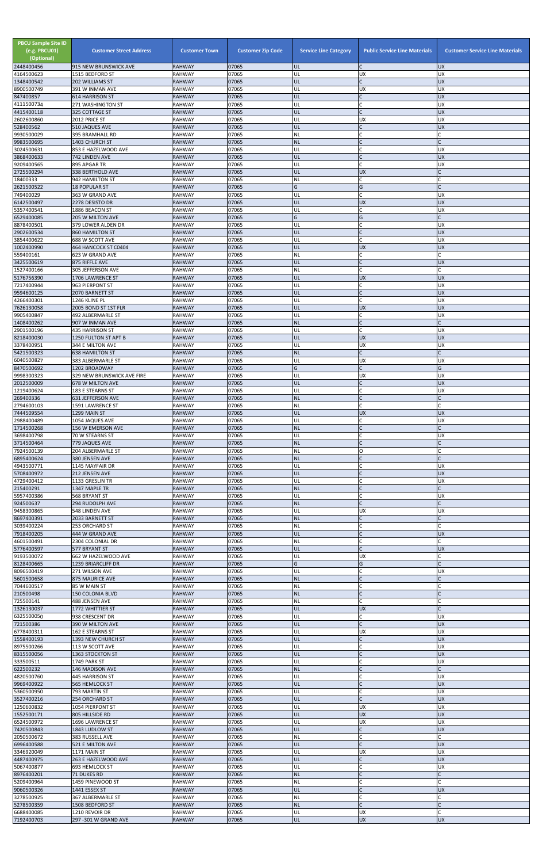| <b>PBCU Sample Site ID</b><br>(e.g. PBCU01)<br>(Optional) | <b>Customer Street Address</b>               | <b>Customer Town</b>           | <b>Customer Zip Code</b> | <b>Service Line Category</b> | <b>Public Service Line Materials</b> | <b>Customer Service Line Materials</b> |
|-----------------------------------------------------------|----------------------------------------------|--------------------------------|--------------------------|------------------------------|--------------------------------------|----------------------------------------|
| 2448400456<br>4164500623                                  | 915 NEW BRUNSWICK AVE<br>1515 BEDFORD ST     | <b>RAHWAY</b><br><b>RAHWAY</b> | 07065<br>07065           | UL<br>UL                     | C<br>UX                              | <b>UX</b><br><b>UX</b>                 |
| 1348400542                                                | 202 WILLIAMS ST                              | <b>RAHWAY</b>                  | 07065                    | UL                           | $\mathsf{C}$                         | <b>UX</b>                              |
| 8900500749<br>847400857                                   | 391 W INMAN AVE<br><b>614 HARRISON ST</b>    | <b>RAHWAY</b><br><b>RAHWAY</b> | 07065<br>07065           | UL<br>UL                     | <b>UX</b><br>$\mathsf{C}$            | <b>UX</b><br><b>UX</b>                 |
| 4111500734                                                | 271 WASHINGTON ST                            | <b>RAHWAY</b>                  | 07065                    | UL                           |                                      | <b>UX</b>                              |
| 4415400118<br>2602600860                                  | 325 COTTAGE ST<br>2012 PRICE ST              | <b>RAHWAY</b><br><b>RAHWAY</b> | 07065<br>07065           | UL<br>UL                     | $\sqrt{ }$<br><b>UX</b>              | <b>UX</b><br><b>UX</b>                 |
| 528400562                                                 | 510 JAQUES AVE                               | <b>RAHWAY</b>                  | 07065                    | UL                           |                                      | <b>UX</b>                              |
| 9930500029<br>9983500695                                  | 395 BRAMHALL RD<br>1403 CHURCH ST            | <b>RAHWAY</b><br><b>RAHWAY</b> | 07065<br>07065           | <b>NL</b><br><b>NL</b>       | $\mathsf{C}$<br>$\mathsf{C}$         | $\mathsf{C}$                           |
| 3024500631                                                | 853 E HAZELWOOD AVE                          | <b>RAHWAY</b>                  | 07065                    | UL                           | C                                    | <b>UX</b>                              |
| 3868400633<br>9209400565                                  | 742 LINDEN AVE<br>895 APGAR TR               | <b>RAHWAY</b><br><b>RAHWAY</b> | 07065<br>07065           | UL<br>UL                     | $\mathsf{C}$<br>$\mathsf{C}$         | <b>UX</b><br><b>UX</b>                 |
| 2725500294                                                | 338 BERTHOLD AVE                             | <b>RAHWAY</b>                  | 07065                    | UL                           | <b>UX</b>                            |                                        |
| 18400333                                                  | 942 HAMILTON ST                              | <b>RAHWAY</b>                  | 07065                    | ΝL                           | $\mathsf{C}$                         |                                        |
| 2621500522<br>749400029                                   | <b>18 POPULAR ST</b><br>363 W GRAND AVE      | <b>RAHWAY</b><br><b>RAHWAY</b> | 07065<br>07065           | G<br>UL                      | G<br>$\mathsf{C}$                    | $\mathsf{C}$<br><b>UX</b>              |
| 6142500497                                                | 2278 DESISTO DR                              | <b>RAHWAY</b>                  | 07065                    | UL                           | <b>UX</b>                            | <b>UX</b>                              |
| 5357400541<br>6529400085                                  | 1886 BEACON ST<br>205 W MILTON AVE           | <b>RAHWAY</b><br><b>RAHWAY</b> | 07065<br>07065           | UL<br>G                      | C<br>G                               | <b>UX</b><br>$\mathsf{C}$              |
| 8878400501                                                | 379 LOWER ALDEN DR                           | <b>RAHWAY</b>                  | 07065                    | UL                           | C                                    | <b>UX</b>                              |
| 2902600534<br>3854400622                                  | <b>860 HAMILTON ST</b><br>688 W SCOTT AVE    | <b>RAHWAY</b><br><b>RAHWAY</b> | 07065<br>07065           | UL<br>UL                     | $\mathsf{C}$                         | <b>UX</b><br><b>UX</b>                 |
| 1002400990                                                | 464 HANCOCK ST C0404                         | <b>RAHWAY</b>                  | 07065                    | UL                           | <b>UX</b>                            | <b>UX</b>                              |
| 559400161                                                 | 623 W GRAND AVE                              | RAHWAY                         | 07065                    | NL                           | $\mathsf{C}$                         | C                                      |
| 3425500619<br>1527400166                                  | 875 RIFFLE AVE<br>305 JEFFERSON AVE          | <b>RAHWAY</b><br><b>RAHWAY</b> | 07065<br>07065           | UL<br><b>NL</b>              | $\mathsf C$<br>$\mathsf{C}$          | <b>UX</b>                              |
| 5176756390                                                | 1706 LAWRENCE ST                             | <b>RAHWAY</b>                  | 07065                    | UL                           | <b>UX</b>                            | <b>UX</b>                              |
| 7217400944<br>9594600125                                  | 963 PIERPONT ST<br>2070 BARNETT ST           | <b>RAHWAY</b><br><b>RAHWAY</b> | 07065<br>07065           | UL<br>UL                     | C<br>$\mathsf{C}$                    | <b>UX</b><br><b>UX</b>                 |
| 4266400301                                                | 1246 KLINE PL                                | <b>RAHWAY</b>                  | 07065                    | UL                           | $\mathsf{C}$                         | <b>UX</b>                              |
| 7626130058<br>9905400847                                  | 2005 BOND ST 1ST FLR<br>492 ALBERMARLE ST    | <b>RAHWAY</b><br><b>RAHWAY</b> | 07065<br>07065           | UL<br>UL                     | <b>UX</b><br>C                       | <b>UX</b><br><b>UX</b>                 |
| 1408400262                                                | 907 W INMAN AVE                              | <b>RAHWAY</b>                  | 07065                    | <b>NL</b>                    | $\mathsf{C}$                         | $\mathsf{C}$                           |
| 2901500196<br>8218400030                                  | 435 HARRISON ST                              | <b>RAHWAY</b>                  | 07065<br>07065           | UL                           | $\mathsf{C}$                         | <b>UX</b><br><b>UX</b>                 |
| 3378400951                                                | 1250 FULTON ST APT B<br>344 E MILTON AVE     | <b>RAHWAY</b><br><b>RAHWAY</b> | 07065                    | UL<br>UL                     | <b>UX</b><br><b>UX</b>               | <b>UX</b>                              |
| 5421500323                                                | 638 HAMILTON ST                              | <b>RAHWAY</b>                  | 07065                    | NL                           |                                      |                                        |
| 6040500827<br>8470500692                                  | 383 ALBERMARLE ST<br>1202 BROADWAY           | <b>RAHWAY</b><br><b>RAHWAY</b> | 07065<br>07065           | UL<br>G                      | <b>UX</b>                            | <b>UX</b><br>G                         |
| 9998300323                                                | 329 NEW BRUNSWICK AVE FIRE                   | <b>RAHWAY</b>                  | 07065                    | UL                           | <b>UX</b>                            | <b>UX</b>                              |
| 2012500009<br>1219400624                                  | 678 W MILTON AVE<br>183 E STEARNS ST         | <b>RAHWAY</b><br>RAHWAY        | 07065<br>07065           | UL<br>UL                     | $\mathsf{C}$<br>$\mathsf{C}$         | <b>UX</b><br><b>UX</b>                 |
| 269400336                                                 | 631 JEFFERSON AVE                            | <b>RAHWAY</b>                  | 07065                    | <b>NL</b>                    | $\mathsf{C}$                         |                                        |
| 2794600103                                                | 1591 LAWRENCE ST                             | <b>RAHWAY</b>                  | 07065                    | NL                           | $\mathsf{C}$                         |                                        |
| 7444509554<br>2988400489                                  | 1299 MAIN ST<br>1054 JAQUES AVE              | <b>RAHWAY</b><br><b>RAHWAY</b> | 07065<br>07065           | UL<br>UL                     | <b>UX</b><br>C                       | <b>UX</b><br><b>UX</b>                 |
| 1714500268                                                | 156 W EMERSON AVE                            | <b>RAHWAY</b>                  | 07065                    | <b>NL</b>                    | $\mathsf{C}$                         |                                        |
| 3698400798<br>3714500464                                  | 70 W STEARNS ST<br>779 JAQUES AVE            | <b>RAHWAY</b><br><b>RAHWAY</b> | 07065<br>07065           | UL<br><b>NL</b>              |                                      | UX                                     |
| 7924500139                                                | 204 ALBERMARLE ST                            | <b>RAHWAY</b>                  | 07065                    | NL                           | O                                    |                                        |
| 6895400624<br>4943500771                                  | 380 JENSEN AVE<br>1145 MAYFAIR DR            | <b>RAHWAY</b><br><b>RAHWAY</b> | 07065<br>07065           | <b>NL</b><br>UL              | $\mathsf{C}$<br>C                    | <b>UX</b>                              |
| 5708400972                                                | 212 JENSEN AVE                               | <b>RAHWAY</b>                  | 07065                    | UL                           | $\mathsf{C}$                         | <b>UX</b>                              |
| 4729400412<br>215400291                                   | 1133 GRESLIN TR<br>1347 MAPLE TR             | <b>RAHWAY</b><br><b>RAHWAY</b> | 07065<br>07065           | UL<br><b>NL</b>              |                                      | <b>UX</b>                              |
| 5957400386                                                | 568 BRYANT ST                                | <b>RAHWAY</b>                  | 07065                    | UL                           | C                                    | UX                                     |
| 924500637<br>9458300865                                   | 294 RUDOLPH AVE<br>548 LINDEN AVE            | <b>RAHWAY</b><br><b>RAHWAY</b> | 07065<br>07065           | <b>NL</b><br>UL              | $\mathsf{C}$<br><b>UX</b>            | <b>UX</b>                              |
| 8697400391                                                | 2033 BARNETT ST                              | <b>RAHWAY</b>                  | 07065                    | <b>NL</b>                    | $\mathsf{C}$                         |                                        |
| 3039400224                                                | <b>253 ORCHARD ST</b>                        | RAHWAY                         | 07065                    | <b>NL</b>                    | $\mathsf{C}$                         |                                        |
| 7918400205<br>4601500491                                  | 444 W GRAND AVE<br>2304 COLONIAL DR          | <b>RAHWAY</b><br><b>RAHWAY</b> | 07065<br>07065           | UL<br><b>NL</b>              | $\mathsf{C}$<br>C                    | <b>UX</b>                              |
| 5776400597                                                | 577 BRYANT ST                                | <b>RAHWAY</b>                  | 07065                    | UL                           |                                      | <b>UX</b>                              |
| 9193500072<br>8128400665                                  | 662 W HAZELWOOD AVE<br>1239 BRIARCLIFF DR    | <b>RAHWAY</b><br><b>RAHWAY</b> | 07065<br>07065           | UL<br>G                      | <b>UX</b><br>G                       | $\mathsf{C}$                           |
| 8096500419                                                | 271 WILSON AVE                               | <b>RAHWAY</b>                  | 07065                    | UL                           | $\mathsf C$                          | <b>UX</b>                              |
| 5601500658<br>7044600517                                  | 875 MAURICE AVE<br>85 W MAIN ST              | <b>RAHWAY</b><br><b>RAHWAY</b> | 07065<br>07065           | <b>NL</b><br><b>NL</b>       | $\mathsf{C}$<br>$\mathsf{C}$         |                                        |
| 210500498                                                 | 150 COLONIA BLVD                             | <b>RAHWAY</b>                  | 07065                    | <b>NL</b>                    | $\mathsf{C}$                         |                                        |
| 725500141<br>1326130037                                   | 488 JENSEN AVE<br>1772 WHITTIER ST           | <b>RAHWAY</b><br><b>RAHWAY</b> | 07065<br>07065           | NL<br>UL                     | C<br><b>UX</b>                       |                                        |
| 6325500050                                                | 938 CRESCENT DR                              | <b>RAHWAY</b>                  | 07065                    | UL                           |                                      | <b>UX</b>                              |
| 721500386                                                 | 390 W MILTON AVE                             | <b>RAHWAY</b>                  | 07065                    | UL                           | $\mathsf{C}$                         | <b>UX</b>                              |
| 6778400311<br>1558400193                                  | 162 E STEARNS ST<br>1393 NEW CHURCH ST       | <b>RAHWAY</b><br><b>RAHWAY</b> | 07065<br>07065           | UL<br>UL                     | <b>UX</b><br>$\mathsf C$             | <b>UX</b><br><b>UX</b>                 |
| 8975500266                                                | 113 W SCOTT AVE                              | <b>RAHWAY</b>                  | 07065                    | UL                           | $\mathsf{C}$                         | <b>UX</b>                              |
| 8315500056<br>333500511                                   | 1363 STOCKTON ST<br>1749 PARK ST             | <b>RAHWAY</b><br><b>RAHWAY</b> | 07065<br>07065           | UL<br>UL                     | $\mathsf{C}$                         | <b>UX</b><br><b>UX</b>                 |
| 622500232                                                 | 146 MADISON AVE                              | <b>RAHWAY</b>                  | 07065                    | NL                           |                                      |                                        |
| 4820500760<br>9969400922                                  | 445 HARRISON ST                              | <b>RAHWAY</b><br><b>RAHWAY</b> | 07065<br>07065           | UL<br>UL                     | $\mathsf{C}$                         | <b>UX</b><br><b>UX</b>                 |
| 5360500950                                                | 565 HEMLOCK ST<br>793 MARTIN ST              | <b>RAHWAY</b>                  | 07065                    | UL                           | $\mathsf{C}$                         | <b>UX</b>                              |
| 3527400216                                                | 254 ORCHARD ST                               | <b>RAHWAY</b>                  | 07065                    | UL                           | $\mathsf{C}$                         | <b>UX</b>                              |
| 1250600832<br>1552500171                                  | 1054 PIERPONT ST<br>805 HILLSIDE RD          | RAHWAY<br><b>RAHWAY</b>        | 07065<br>07065           | UL<br>UL                     | <b>UX</b><br><b>UX</b>               | <b>UX</b><br><b>UX</b>                 |
| 6524500972                                                | 1696 LAWRENCE ST                             | <b>RAHWAY</b>                  | 07065                    | UL                           | <b>UX</b>                            | <b>UX</b>                              |
| 7420500843<br>2050500672                                  | 1843 LUDLOW ST<br>383 RUSSELL AVE            | <b>RAHWAY</b><br>RAHWAY        | 07065<br>07065           | UL<br>NL                     | $\mathsf{C}$<br>$\mathsf{C}$         | <b>UX</b><br>C                         |
| 6996400588                                                | 521 E MILTON AVE                             | <b>RAHWAY</b>                  | 07065                    | UL                           |                                      | <b>UX</b>                              |
| 3346920049<br>4487400975                                  | 1171 MAIN ST                                 | <b>RAHWAY</b><br><b>RAHWAY</b> | 07065<br>07065           | UL<br>UL                     | <b>UX</b><br>$\mathsf C$             | <b>UX</b><br><b>UX</b>                 |
| 5067400877                                                | 263 E HAZELWOOD AVE<br><b>693 HEMLOCK ST</b> | RAHWAY                         | 07065                    | UL                           | $\mathsf C$                          | <b>UX</b>                              |
| 8976400201                                                | <b>71 DUKES RD</b>                           | <b>RAHWAY</b>                  | 07065                    | <b>NL</b>                    | $\mathsf{C}$                         |                                        |
| 5209400964<br>9060500326                                  | 1459 PINEWOOD ST<br>1441 ESSEX ST            | <b>RAHWAY</b><br><b>RAHWAY</b> | 07065<br>07065           | <b>NL</b><br>UL              | $\mathsf{C}$<br>$\mathsf{C}$         | <b>UX</b>                              |
| 3278500925                                                | 367 ALBERMARLE ST                            | RAHWAY                         | 07065                    | <b>NL</b>                    | $\mathsf{C}$                         |                                        |
| 5278500359<br>6688400085                                  | 1508 BEDFORD ST<br>1210 REVOIR DR            | <b>RAHWAY</b><br><b>RAHWAY</b> | 07065<br>07065           | <b>NL</b><br>UL              | $\mathsf{C}$<br><b>UX</b>            |                                        |
| 7192400703                                                | 297 -301 W GRAND AVE                         | <b>RAHWAY</b>                  | 07065                    | <b>UL</b>                    | <b>UX</b>                            | <b>UX</b>                              |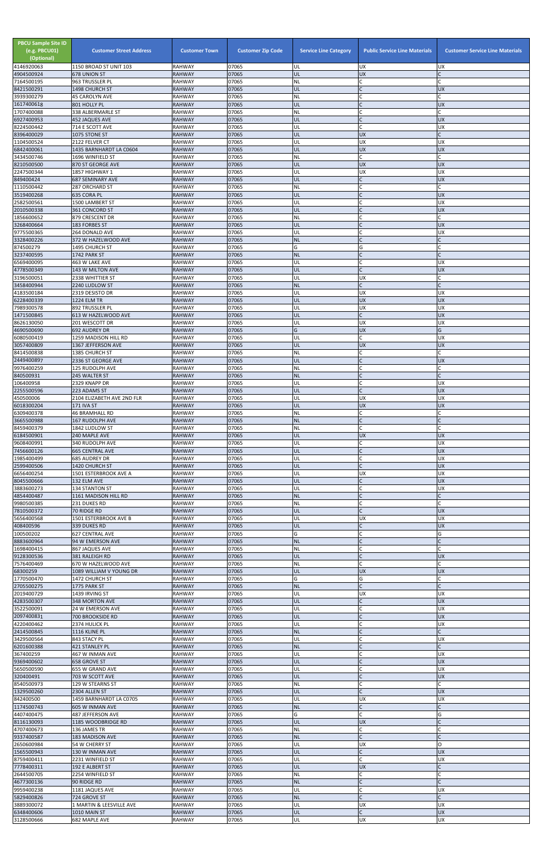| <b>PBCU Sample Site ID</b><br>(e.g. PBCU01)<br>(Optional)<br>4146920063 | <b>Customer Street Address</b><br>1150 BROAD ST UNIT 103 | <b>Customer Town</b><br><b>RAHWAY</b> | <b>Customer Zip Code</b><br>07065 | <b>Service Line Category</b><br>UL | <b>Public Service Line Materials</b><br>UX | <b>Customer Service Line Materials</b><br>UX |
|-------------------------------------------------------------------------|----------------------------------------------------------|---------------------------------------|-----------------------------------|------------------------------------|--------------------------------------------|----------------------------------------------|
| 4904500924                                                              | 678 UNION ST                                             | <b>RAHWAY</b>                         | 07065                             | UL                                 | UX                                         |                                              |
| 7164500195<br>8421500291                                                | 963 TRUSSLER PL<br>1498 CHURCH ST                        | <b>RAHWAY</b><br><b>RAHWAY</b>        | 07065<br>07065                    | NL<br>UL                           | lC.<br>lc.                                 | <b>UX</b>                                    |
| 3939300279                                                              | <b>45 CAROLYN AVE</b>                                    | <b>RAHWAY</b>                         | 07065                             | NL                                 | C                                          |                                              |
| 1617400618<br>1707400088                                                | 801 HOLLY PL<br>338 ALBERMARLE ST                        | <b>RAHWAY</b><br><b>RAHWAY</b>        | 07065<br>07065                    | UL<br><b>NL</b>                    | IC<br>C                                    | <b>UX</b>                                    |
| 6927400953                                                              | 452 JAQUES AVE                                           | <b>RAHWAY</b>                         | 07065                             | UL                                 | $\mathsf{C}$                               | <b>UX</b>                                    |
| 8224500442<br>8396400029                                                | 714 E SCOTT AVE<br>1075 STONE ST                         | <b>RAHWAY</b><br><b>RAHWAY</b>        | 07065<br>07065                    | UL<br>UL                           | <b>C</b><br><b>UX</b>                      | <b>UX</b>                                    |
| 1104500524                                                              | 2122 FELVER CT                                           | <b>RAHWAY</b>                         | 07065                             | UL                                 | <b>UX</b>                                  | UX                                           |
| 6842400061<br>3434500746                                                | 1435 BARNHARDT LA C0604<br>1696 WINFIELD ST              | <b>RAHWAY</b><br><b>RAHWAY</b>        | 07065<br>07065                    | UL<br>NL                           | UX<br>lc.                                  | <b>UX</b>                                    |
| 8210500500                                                              | 870 ST GEORGE AVE                                        | <b>RAHWAY</b>                         | 07065                             | UL                                 | <b>UX</b>                                  | <b>UX</b>                                    |
| 2247500344<br>849400424                                                 | 1857 HIGHWAY 1<br><b>687 SEMINARY AVE</b>                | <b>RAHWAY</b><br><b>RAHWAY</b>        | 07065<br>07065                    | UL<br>UL                           | <b>UX</b><br>$\mathsf{C}$                  | UX<br><b>UX</b>                              |
| 1110500442                                                              | 287 ORCHARD ST                                           | <b>RAHWAY</b>                         | 07065                             | NL                                 | <b>C</b>                                   |                                              |
| 3519400268<br>2582500561                                                | 635 CORA PL<br>1500 LAMBERT ST                           | <b>RAHWAY</b><br><b>RAHWAY</b>        | 07065<br>07065                    | UL<br>UL                           | $\mathsf{C}$<br>IC                         | <b>UX</b><br>UX                              |
| 2010500338                                                              | 361 CONCORD ST                                           | <b>RAHWAY</b>                         | 07065<br>07065                    | UL                                 | $\mathsf{C}$<br>C                          | <b>UX</b>                                    |
| 1856600652<br>3268400664                                                | 879 CRESCENT DR<br>183 FORBES ST                         | <b>RAHWAY</b><br><b>RAHWAY</b>        | 07065                             | NL<br>UL                           | lC.                                        | <b>UX</b>                                    |
| 9775500365<br>3328400226                                                | 264 DONALD AVE<br>372 W HAZELWOOD AVE                    | <b>RAHWAY</b><br><b>RAHWAY</b>        | 07065<br>07065                    | UL<br><b>NL</b>                    | $\mathsf{C}$<br>IC                         | <b>UX</b>                                    |
| 874500279                                                               | 1495 CHURCH ST                                           | <b>RAHWAY</b>                         | 07065                             | Ġ                                  | G                                          |                                              |
| 3237400595<br>6569400095                                                | 1742 PARK ST<br>463 W LAKE AVE                           | <b>RAHWAY</b><br><b>RAHWAY</b>        | 07065<br>07065                    | <b>NL</b><br>UL                    | lC.<br><b>C</b>                            | UX                                           |
| 4778500349                                                              | 143 W MILTON AVE                                         | <b>RAHWAY</b>                         | 07065                             | UL                                 | $\mathsf{C}$                               | <b>UX</b>                                    |
| 3196500051<br>3458400944                                                | 2338 WHITTIER ST<br>2240 LUDLOW ST                       | <b>RAHWAY</b><br><b>RAHWAY</b>        | 07065<br>07065                    | UL<br><b>NL</b>                    | <b>UX</b><br>lC.                           |                                              |
| 4183500184                                                              | 2319 DESISTO DR                                          | <b>RAHWAY</b>                         | 07065                             | UL                                 | <b>UX</b>                                  | UX                                           |
| 6228400339<br>7989300578                                                | <b>1224 ELM TR</b><br>892 TRUSSLER PL                    | <b>RAHWAY</b><br><b>RAHWAY</b>        | 07065<br>07065                    | UL<br>UL                           | <b>UX</b><br><b>UX</b>                     | <b>XD</b><br>UX                              |
| 1471500845                                                              | 613 W HAZELWOOD AVE                                      | <b>RAHWAY</b>                         | 07065                             | UL                                 | $\mathsf{C}$                               | <b>UX</b>                                    |
| 8626130050<br>4690500690                                                | 201 WESCOTT DR<br><b>692 AUDREY DR</b>                   | <b>RAHWAY</b><br><b>RAHWAY</b>        | 07065<br>07065                    | UL<br>G                            | <b>UX</b><br><b>UX</b>                     | <b>UX</b><br>G                               |
| 6080500419                                                              | 1259 MADISON HILL RD                                     | <b>RAHWAY</b>                         | 07065                             | UL                                 | C                                          | UX                                           |
| 3057400809<br>8414500838                                                | 1367 JEFFERSON AVE<br><b>1385 CHURCH ST</b>              | <b>RAHWAY</b><br><b>RAHWAY</b>        | 07065<br>07065                    | UL<br><b>NL</b>                    | <b>UX</b>                                  | <b>UX</b>                                    |
| 2449400897                                                              | 2336 ST GEORGE AVE                                       | <b>RAHWAY</b>                         | 07065                             | UL                                 | $\mathsf{C}$                               | <b>UX</b>                                    |
| 9976400259<br>840500931                                                 | 125 RUDOLPH AVE<br>245 WALTER ST                         | <b>RAHWAY</b><br><b>RAHWAY</b>        | 07065<br>07065                    | NL<br><b>NL</b>                    | C<br>IC                                    |                                              |
| 106400958<br>2255500596                                                 | 2329 KNAPP DR<br>223 ADAMS ST                            | <b>RAHWAY</b><br><b>RAHWAY</b>        | 07065<br>07065                    | UL<br>UL                           | lC.<br>lc.                                 | UX<br><b>UX</b>                              |
| 450500006                                                               | 2104 ELIZABETH AVE 2ND FLR                               | <b>RAHWAY</b>                         | 07065                             | UL                                 | <b>UX</b>                                  | UX                                           |
| 6018300204<br>6309400378                                                | <b>171 IVA ST</b><br><b>46 BRAMHALL RD</b>               | <b>RAHWAY</b><br><b>RAHWAY</b>        | 07065<br>07065                    | UL<br><b>NL</b>                    | <b>UX</b><br>lC.                           | <b>UX</b>                                    |
| 3665500988                                                              | 167 RUDOLPH AVE                                          | <b>RAHWAY</b>                         | 07065                             | <b>NL</b>                          | $\overline{C}$                             |                                              |
| 8459400379<br>6184500901                                                | 1842 LUDLOW ST<br>240 MAPLE AVE                          | <b>RAHWAY</b><br><b>RAHWAY</b>        | 07065<br>07065                    | NL<br>UL                           | lC.<br><b>UX</b>                           | <b>UX</b>                                    |
| 9608400991<br>7456600126                                                | 340 RUDOLPH AVE<br><b>665 CENTRAL AVE</b>                | <b>RAHWAY</b><br><b>RAHWAY</b>        | 07065<br>07065                    | UL<br>UL                           | lC.<br>$\mathsf{C}$                        | UX<br><b>UX</b>                              |
| 1985400499                                                              | 685 AUDREY DR                                            | <b>RAHWAY</b>                         | 07065                             | UL                                 | lC.                                        | UX                                           |
| 2599400506<br>6656400254                                                | 1420 CHURCH ST<br>1501 ESTERBROOK AVE A                  | <b>RAHWAY</b><br><b>RAHWAY</b>        | 07065<br>07065                    | UL<br>UL                           | lc.<br>UX                                  | <b>UX</b><br><b>UX</b>                       |
| 8045500666<br>3883600273                                                | 132 ELM AVE                                              | <b>RAHWAY</b>                         | 07065<br>07065                    | UL<br>UL                           | $\mathsf{C}$<br>$\mathsf{C}$               | <b>UX</b><br><b>UX</b>                       |
| 4854400487                                                              | 134 STANTON ST<br>1161 MADISON HILL RD                   | <b>RAHWAY</b><br><b>RAHWAY</b>        | 07065                             | <b>NL</b>                          | $\mathsf{C}$                               |                                              |
| 9980500385<br>7810500372                                                | 231 DUKES RD<br>70 RIDGE RD                              | <b>RAHWAY</b><br><b>RAHWAY</b>        | 07065<br>07065                    | NL<br>UL                           | C<br>lC.                                   | <b>UX</b>                                    |
| 5656400568                                                              | 1501 ESTERBROOK AVE B                                    | <b>RAHWAY</b>                         | 07065                             | UL                                 | <b>UX</b>                                  | <b>UX</b>                                    |
| 408400596<br>100500202                                                  | 339 DUKES RD<br><b>627 CENTRAL AVE</b>                   | <b>RAHWAY</b><br><b>RAHWAY</b>        | 07065<br>07065                    | UL<br>G                            | lC.<br>lC.                                 | <b>UX</b><br>G                               |
| 8883600964                                                              | 94 W EMERSON AVE                                         | <b>RAHWAY</b>                         | 07065                             | <b>NL</b>                          | $\mathsf{C}$                               |                                              |
| 1698400415<br>9128300536                                                | 867 JAQUES AVE<br>381 RALEIGH RD                         | <b>RAHWAY</b><br><b>RAHWAY</b>        | 07065<br>07065                    | NL<br>UL                           | C<br>$\overline{C}$                        | <b>UX</b>                                    |
| 7576400469<br>68300259                                                  | 670 W HAZELWOOD AVE<br>1089 WILLIAM V YOUNG DR           | <b>RAHWAY</b><br><b>RAHWAY</b>        | 07065<br>07065                    | <b>NL</b><br>UL                    | <b>C</b><br><b>UX</b>                      | <b>UX</b>                                    |
| 1770500470                                                              | 1472 CHURCH ST                                           | <b>RAHWAY</b>                         | 07065                             | G                                  | G                                          |                                              |
| 2705500275<br>2019400729                                                | 1775 PARK ST<br>1439 IRVING ST                           | <b>RAHWAY</b><br><b>RAHWAY</b>        | 07065<br>07065                    | <b>NL</b><br>UL                    | $\mathsf{C}$<br><b>UX</b>                  | UX                                           |
| 4283500307                                                              | 348 MORTON AVE                                           | <b>RAHWAY</b>                         | 07065                             | UL                                 | $\mathsf{C}$                               | <b>UX</b>                                    |
| 3522500091<br>2097400831                                                | 24 W EMERSON AVE<br>700 BROOKSIDE RD                     | <b>RAHWAY</b><br><b>RAHWAY</b>        | 07065<br>07065                    | UL<br>UL                           | C<br>IC                                    | UX<br><b>UX</b>                              |
| 4220400462                                                              | 2374 HULICK PL                                           | <b>RAHWAY</b>                         | 07065                             | UL                                 | <b>C</b>                                   | <b>UX</b>                                    |
| 2414500845<br>3429500564                                                | 1116 KLINE PL<br>843 STACY PL                            | <b>RAHWAY</b><br><b>RAHWAY</b>        | 07065<br>07065                    | <b>NL</b><br>UL                    | $\mathsf{C}$<br>lC.                        | <b>UX</b>                                    |
| 6201600388<br>367400259                                                 | <b>421 STANLEY PL</b><br>467 W INMAN AVE                 | <b>RAHWAY</b><br><b>RAHWAY</b>        | 07065<br>07065                    | <b>NL</b><br>UL                    | $\mathsf{C}$                               | UX                                           |
| 9369400602                                                              | 658 GROVE ST                                             | <b>RAHWAY</b>                         | 07065                             | UL                                 |                                            | <b>UX</b>                                    |
| 5650500590<br>320400491                                                 | 655 W GRAND AVE<br>703 W SCOTT AVE                       | <b>RAHWAY</b><br><b>RAHWAY</b>        | 07065<br>07065                    | IUL.<br>UL                         | $\mathsf C$                                | ΙUΧ<br><b>ND</b>                             |
| 8540500973<br>1329500260                                                | 129 W STEARNS ST                                         | <b>RAHWAY</b><br><b>RAHWAY</b>        | 07065<br>07065                    | <b>NL</b><br>UL                    | lC.<br>$\mathsf{C}$                        | <b>UX</b>                                    |
| 842400500                                                               | 2304 ALLEN ST<br>1459 BARNHARDT LA C0705                 | <b>RAHWAY</b>                         | 07065                             | UL                                 | <b>UX</b>                                  | <b>UX</b>                                    |
| 1174500743<br>4407400475                                                | 605 W INMAN AVE<br><b>487 JEFFERSON AVE</b>              | <b>RAHWAY</b><br><b>RAHWAY</b>        | 07065<br>07065                    | NL<br>G                            | $\mathsf{C}$<br><b>C</b>                   | G                                            |
| 8116130093                                                              | 1185 WOODBRIDGE RD                                       | <b>RAHWAY</b>                         | 07065                             | UL                                 | <b>UX</b>                                  |                                              |
| 4707400673<br>9337400587                                                | 136 JAMES TR<br>183 MADISON AVE                          | <b>RAHWAY</b><br><b>RAHWAY</b>        | 07065<br>07065                    | NL<br><b>NL</b>                    | lC.<br>$\mathsf{C}$                        |                                              |
| 2650600984                                                              | 54 W CHERRY ST                                           | <b>RAHWAY</b>                         | 07065                             | UL                                 | <b>UX</b>                                  | O                                            |
| 1565500943<br>8759400411                                                | 130 W INMAN AVE<br>2231 WINFIELD ST                      | <b>RAHWAY</b><br><b>RAHWAY</b>        | 07065<br>07065                    | UL<br>UL                           | $\mathsf{C}$<br>C.                         | <b>UX</b><br><b>UX</b>                       |
| 7778400311<br>2644500705                                                | 192 E ALBERT ST<br>2254 WINFIELD ST                      | <b>RAHWAY</b><br><b>RAHWAY</b>        | 07065<br>07065                    | UL<br><b>NL</b>                    | <b>UX</b><br>lC.                           |                                              |
| 4677300136                                                              | 90 RIDGE RD                                              | <b>RAHWAY</b>                         | 07065                             | <b>NL</b>                          | $\mathsf{C}$                               |                                              |
| 9959400238<br>5829400826                                                | 1181 JAQUES AVE<br>724 GROVE ST                          | <b>RAHWAY</b><br><b>RAHWAY</b>        | 07065<br>07065                    | UL<br><b>NL</b>                    | lC.<br>$\mathsf{C}$                        | UX                                           |
| 3889300072                                                              | 1 MARTIN & LEESVILLE AVE                                 | <b>RAHWAY</b>                         | 07065                             | UL                                 | <b>UX</b>                                  | <b>UX</b>                                    |
| 6348400606<br>3128500666                                                | 1010 MAIN ST<br>682 MAPLE AVE                            | <b>RAHWAY</b><br>RAHWAY               | 07065<br>07065                    | UL<br>UL                           | $\mathsf C$<br><b>UX</b>                   | <b>XN</b><br>UX                              |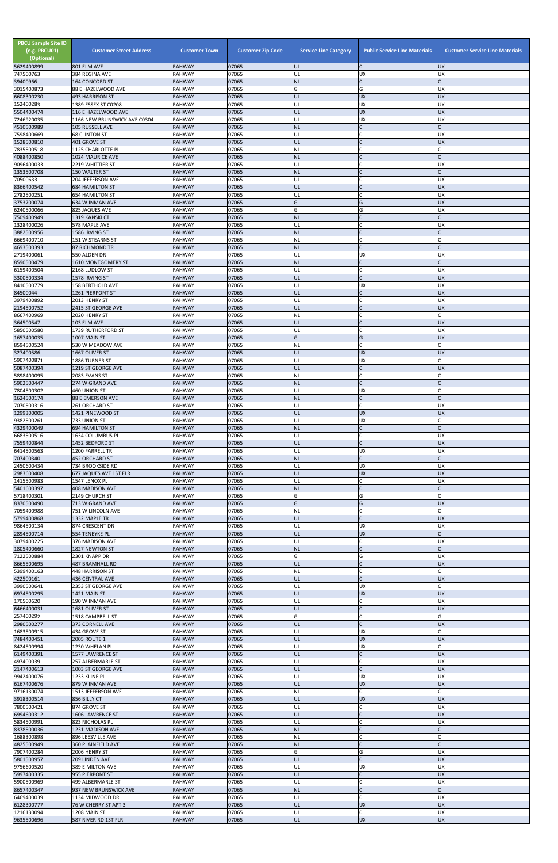| <b>PBCU Sample Site ID</b><br>(e.g. PBCU01)<br>(Optional) | <b>Customer Street Address</b>                      | <b>Customer Town</b>           | <b>Customer Zip Code</b> | <b>Service Line Category</b> | <b>Public Service Line Materials</b> | <b>Customer Service Line Materials</b> |
|-----------------------------------------------------------|-----------------------------------------------------|--------------------------------|--------------------------|------------------------------|--------------------------------------|----------------------------------------|
| 5629400899<br>747500763                                   | 801 ELM AVE<br>384 REGINA AVE                       | <b>RAHWAY</b><br><b>RAHWAY</b> | 07065<br>07065           | <b>UL</b><br>UL              | C<br>UX                              | <b>UX</b><br>UX                        |
| 39400966                                                  | 164 CONCORD ST                                      | <b>RAHWAY</b>                  | 07065                    | <b>NL</b>                    | $\mathsf{C}$                         |                                        |
| 3015400873<br>6608300230                                  | 88 E HAZELWOOD AVE<br>493 HARRISON ST               | RAHWAY<br><b>RAHWAY</b>        | 07065<br>07065           | G<br>UL                      | G<br><b>UX</b>                       | UX<br><b>UX</b>                        |
| 152400283                                                 | 1389 ESSEX ST C0208                                 | <b>RAHWAY</b>                  | 07065                    | UL                           | <b>UX</b>                            | UX                                     |
| 5504400474<br>7246920035                                  | 116 E HAZELWOOD AVE<br>1166 NEW BRUNSWICK AVE C0304 | <b>RAHWAY</b><br><b>RAHWAY</b> | 07065<br>07065           | UL<br>UL                     | <b>UX</b><br><b>UX</b>               | <b>UX</b><br>UX                        |
| 4510500989                                                | 105 RUSSELL AVE                                     | <b>RAHWAY</b>                  | 07065                    | <b>NL</b>                    | $\mathsf{C}$                         |                                        |
| 7598400669<br>1528500810                                  | <b>68 CLINTON ST</b><br>401 GROVE ST                | <b>RAHWAY</b><br><b>RAHWAY</b> | 07065<br>07065           | UL<br>UL                     | C<br>$\mathsf{C}$                    | UX<br><b>UX</b>                        |
| 7835500518                                                | 1125 CHARLOTTE PL                                   | <b>RAHWAY</b>                  | 07065                    | NL                           | l C                                  |                                        |
| 4088400850                                                | 1024 MAURICE AVE                                    | <b>RAHWAY</b>                  | 07065                    | <b>NL</b>                    | $\mathsf{C}$                         |                                        |
| 9096400033<br>1353500708                                  | 2219 WHITTIER ST<br>150 WALTER ST                   | <b>RAHWAY</b><br><b>RAHWAY</b> | 07065<br>07065           | UL<br><b>NL</b>              | C                                    | <b>UX</b>                              |
| 70500633                                                  | 204 JEFFERSON AVE                                   | <b>RAHWAY</b>                  | 07065                    | UL                           |                                      | UX                                     |
| 8366400542<br>2782500251                                  | <b>684 HAMILTON ST</b><br><b>654 HAMILTON ST</b>    | <b>RAHWAY</b><br><b>RAHWAY</b> | 07065<br>07065           | UL<br>UL                     | $\mathsf{C}$<br>C                    | UX<br>UX                               |
| 3753700074                                                | 634 W INMAN AVE                                     | <b>RAHWAY</b>                  | 07065                    | G                            | G                                    | <b>UX</b>                              |
| 6240500066                                                | 825 JAQUES AVE                                      | <b>RAHWAY</b>                  | 07065                    | G                            | G                                    | UX                                     |
| 7509400949<br>1328400026                                  | 1319 KANSKI CT<br>578 MAPLE AVE                     | <b>RAHWAY</b><br>RAHWAY        | 07065<br>07065           | <b>NL</b><br>UL              | $\mathsf{C}$<br>C                    | UX                                     |
| 3882500956                                                | 1586 IRVING ST                                      | <b>RAHWAY</b>                  | 07065                    | <b>NL</b>                    | $\mathsf{C}$                         |                                        |
| 6669400710<br>4693500393                                  | 151 W STEARNS ST<br>87 RICHMOND TR                  | <b>RAHWAY</b><br><b>RAHWAY</b> | 07065<br>07065           | NL<br><b>NL</b>              | $\mathsf{C}$                         |                                        |
| 2719400061                                                | 550 ALDEN DR                                        | <b>RAHWAY</b>                  | 07065                    | UL                           | <b>UX</b>                            | <b>UX</b>                              |
| 8590500479                                                | 1610 MONTGOMERY ST                                  | <b>RAHWAY</b>                  | 07065                    | <b>NL</b>                    | $\mathsf{C}$                         |                                        |
| 6159400504<br>3300500334                                  | 2168 LUDLOW ST<br>1578 IRVING ST                    | <b>RAHWAY</b><br><b>RAHWAY</b> | 07065<br>07065           | UL<br>UL                     | $\mathsf{C}$<br>$\mathsf{C}$         | UX<br><b>UX</b>                        |
| 8410500779                                                | <b>158 BERTHOLD AVE</b>                             | RAHWAY                         | 07065                    | UL                           | <b>UX</b>                            | <b>UX</b>                              |
| 84500044                                                  | 1261 PIERPONT ST                                    | <b>RAHWAY</b>                  | 07065<br>07065           | UL                           | $\overline{C}$<br>$\mathsf{C}$       | <b>UX</b>                              |
| 3979400892<br>2194500752                                  | 2013 HENRY ST<br>2415 ST GEORGE AVE                 | <b>RAHWAY</b><br><b>RAHWAY</b> | 07065                    | UL<br>UL                     |                                      | UX<br>UX                               |
| 8667400969                                                | 2020 HENRY ST                                       | <b>RAHWAY</b>                  | 07065                    | NL                           | C                                    |                                        |
| 364500547<br>5850500580                                   | 103 ELM AVE<br>1739 RUTHERFORD ST                   | <b>RAHWAY</b><br><b>RAHWAY</b> | 07065<br>07065           | UL<br>UL                     | $\mathsf{C}$<br>C                    | <b>UX</b><br>UX                        |
| 1657400035                                                | 1007 MAIN ST                                        | <b>RAHWAY</b>                  | 07065                    | G                            | G                                    | <b>UX</b>                              |
| 8594500524                                                | 530 W MEADOW AVE                                    | <b>RAHWAY</b>                  | 07065                    | NL                           |                                      |                                        |
| 327400586<br>5907400871                                   | 1667 OLIVER ST<br>1886 TURNER ST                    | RAHWAY<br><b>RAHWAY</b>        | 07065<br>07065           | IUL<br>UL                    | <b>UX</b><br><b>UX</b>               | <b>UX</b>                              |
| 5087400394                                                | 1219 ST GEORGE AVE                                  | <b>RAHWAY</b>                  | 07065                    | UL                           |                                      | <b>UX</b>                              |
| 5898400095<br>5902500447                                  | 2083 EVANS ST<br>274 W GRAND AVE                    | <b>RAHWAY</b><br><b>RAHWAY</b> | 07065<br>07065           | NL<br><b>NL</b>              | C<br>$\mathsf{C}$                    |                                        |
| 7804500302                                                | 460 UNION ST                                        | RAHWAY                         | 07065                    | UL                           | <b>UX</b>                            |                                        |
| 1624500174                                                | <b>88 E EMERSON AVE</b>                             | <b>RAHWAY</b>                  | 07065                    | <b>NL</b>                    | $\mathsf{C}$                         |                                        |
| 7070500316<br>1299300005                                  | 261 ORCHARD ST<br>1421 PINEWOOD ST                  | <b>RAHWAY</b><br>RAHWAY        | 07065<br>07065           | UL<br>UL                     | $\mathsf{C}$<br><b>UX</b>            | UX<br><b>UX</b>                        |
| 9382500261                                                | 733 UNION ST                                        | <b>RAHWAY</b>                  | 07065                    | UL                           | <b>UX</b>                            |                                        |
| 4329400049<br>6683500516                                  | <b>694 HAMILTON ST</b><br>1634 COLUMBUS PL          | <b>RAHWAY</b><br><b>RAHWAY</b> | 07065<br>07065           | <b>NL</b><br>UL              | $\mathsf{C}$<br>C                    | <b>UX</b>                              |
| 7559400844                                                | 1452 BEDFORD ST                                     | <b>RAHWAY</b>                  | 07065                    | UL                           | $\mathsf{C}$                         | <b>UX</b>                              |
| 6414500563                                                | 1200 FARRELL TR                                     | <b>RAHWAY</b>                  | 07065                    | UL                           | <b>UX</b>                            | UX                                     |
| 707400340<br>2450600434                                   | 452 ORCHARD ST<br>734 BROOKSIDE RD                  | <b>RAHWAY</b><br>RAHWAY        | 07065<br>07065           | <b>NL</b><br>UL              | $\mathsf{C}$<br><b>UX</b>            | UX                                     |
| 2983600408                                                | 677 JAQUES AVE 1ST FLR                              | <b>RAHWAY</b>                  | 07065                    | UL                           | <b>UX</b>                            | <b>UX</b>                              |
| 1415500983<br>5401600397                                  | 1547 LENOX PL<br>408 MADISON AVE                    | RAHWAY<br><b>RAHWAY</b>        | 07065<br>07065           | UL<br><b>NL</b>              | C<br>$\mathsf{C}$                    | <b>UX</b>                              |
| 5718400301                                                | 2149 CHURCH ST                                      | <b>RAHWAY</b>                  | 07065                    | G                            | G                                    |                                        |
| 8370500490                                                | 713 W GRAND AVE                                     | <b>RAHWAY</b>                  | 07065                    | G                            | G                                    | <b>UX</b>                              |
| 7059400988<br>5799400868                                  | 751 W LINCOLN AVE<br>1332 MAPLE TR                  | <b>RAHWAY</b><br><b>RAHWAY</b> | 07065<br>07065           | NL<br>UL                     | $\mathsf{C}$<br>$\mathsf{C}$         | <b>UX</b>                              |
| 9864500134                                                | 874 CRESCENT DR                                     | <b>RAHWAY</b>                  | 07065                    | UL                           | <b>UX</b>                            | <b>UX</b>                              |
| 2894500714<br>3079400225                                  | 554 TENEYKE PL<br>376 MADISON AVE                   | <b>RAHWAY</b><br><b>RAHWAY</b> | 07065<br>07065           | UL<br>UL                     | <b>UX</b><br>C                       | <b>UX</b>                              |
| 1805400660                                                | 1827 NEWTON ST                                      | <b>RAHWAY</b>                  | 07065                    | <b>NL</b>                    | $\mathsf{C}$                         |                                        |
| 7122500884                                                | 2301 KNAPP DR                                       | <b>RAHWAY</b>                  | 07065                    | G                            | G                                    | UX                                     |
| 8665500695<br>5399400163                                  | 487 BRAMHALL RD<br>448 HARRISON ST                  | <b>RAHWAY</b><br><b>RAHWAY</b> | 07065<br>07065           | UL<br>NL                     | $\mathsf{C}$<br>C                    | UX                                     |
| 422500161                                                 | <b>436 CENTRAL AVE</b>                              | <b>RAHWAY</b>                  | 07065                    | UL                           | $\mathsf{C}$                         | <b>UX</b>                              |
| 3990500641                                                | 2353 ST GEORGE AVE                                  | <b>RAHWAY</b>                  | 07065<br>07065           | UL<br>UL                     | <b>UX</b><br><b>UX</b>               | <b>UX</b>                              |
| 6974500295<br>170500620                                   | 1421 MAIN ST<br>190 W INMAN AVE                     | <b>RAHWAY</b><br><b>RAHWAY</b> | 07065                    | UL                           | C                                    | UX                                     |
| 6466400031                                                | 1681 OLIVER ST                                      | <b>RAHWAY</b>                  | 07065                    | UL                           | $\mathsf{C}$                         | <b>UX</b>                              |
| 257400292<br>2980500277                                   | 1518 CAMPBELL ST<br>373 CORNELL AVE                 | <b>RAHWAY</b><br><b>RAHWAY</b> | 07065<br>07065           | G<br>UL                      | $\mathsf{C}$                         | G<br><b>UX</b>                         |
| 1683500915                                                | 434 GROVE ST                                        | <b>RAHWAY</b>                  | 07065                    | UL                           | <b>UX</b>                            |                                        |
| 7484400451<br>8424500994                                  | <b>2005 ROUTE 1</b><br>1230 WHELAN PL               | <b>RAHWAY</b><br><b>RAHWAY</b> | 07065<br>07065           | UL<br>UL                     | <b>UX</b><br><b>UX</b>               | <b>UX</b>                              |
| 6149400391                                                | 1577 LAWRENCE ST                                    | <b>RAHWAY</b>                  | 07065                    | UL                           | C                                    | <b>UX</b>                              |
| 497400039                                                 | 257 ALBERMARLE ST                                   | <b>RAHWAY</b>                  | 07065                    | UL                           | $\mathsf{C}$                         | <b>UX</b>                              |
| 2147400613<br>9942400076                                  | 1003 ST GEORGE AVE<br>1233 KLINE PL                 | <b>RAHWAY</b><br><b>RAHWAY</b> | 07065<br>07065           | UL<br>UL                     | <b>UX</b>                            | <b>UX</b><br>UX                        |
| 6167400676                                                | 879 W INMAN AVE                                     | <b>RAHWAY</b>                  | 07065                    | UL                           | <b>UX</b>                            | <b>UX</b>                              |
| 9716130074<br>3918300514                                  | 1513 JEFFERSON AVE<br>856 BILLY CT                  | <b>RAHWAY</b><br><b>RAHWAY</b> | 07065<br>07065           | NL<br>UL                     | C<br><b>UX</b>                       | <b>UX</b>                              |
| 7800500421                                                | 874 GROVE ST                                        | <b>RAHWAY</b>                  | 07065                    | UL                           | C                                    | UX                                     |
| 6994600312                                                | 1606 LAWRENCE ST                                    | <b>RAHWAY</b>                  | 07065                    | UL                           | $\mathsf{C}$                         | UX                                     |
| 5834500991<br>8378500036                                  | 823 NICHOLAS PL<br>1231 MADISON AVE                 | <b>RAHWAY</b><br><b>RAHWAY</b> | 07065<br>07065           | UL<br><b>NL</b>              | $\mathsf{C}$<br>$\mathsf{C}$         | <b>UX</b>                              |
| 1688300898                                                | 896 LEESVILLE AVE                                   | RAHWAY                         | 07065                    | NL                           | $\mathsf{C}$                         |                                        |
| 4825500949                                                | 360 PLAINFIELD AVE<br>2006 HENRY ST                 | <b>RAHWAY</b>                  | 07065                    | <b>NL</b><br>G               |                                      |                                        |
| 7907400284<br>5801500957                                  | 209 LINDEN AVE                                      | <b>RAHWAY</b><br><b>RAHWAY</b> | 07065<br>07065           | UL                           | G<br>$\mathsf{C}$                    | <b>UX</b><br>UX                        |
| 9756600520                                                | 389 E MILTON AVE                                    | RAHWAY                         | 07065                    | UL                           | <b>UX</b>                            | <b>UX</b>                              |
| 5997400335<br>5900500969                                  | 955 PIERPONT ST<br>499 ALBERMARLE ST                | <b>RAHWAY</b><br>RAHWAY        | 07065<br>07065           | UL<br>UL                     | $\mathsf{C}$<br>$\mathsf{C}$         | <b>UX</b><br><b>UX</b>                 |
| 8657400347                                                | 937 NEW BRUNSWICK AVE                               | <b>RAHWAY</b>                  | 07065                    | <b>NL</b>                    | $\mathsf{C}$                         |                                        |
| 6469400039<br>6128300777                                  | 1134 MIDWOOD DR                                     | <b>RAHWAY</b>                  | 07065<br>07065           | UL<br>UL                     | $\mathsf{C}$<br><b>UX</b>            | <b>UX</b><br><b>UX</b>                 |
| 1216130094                                                | 76 W CHERRY ST APT 3<br>1208 MAIN ST                | <b>RAHWAY</b><br><b>RAHWAY</b> | 07065                    | UL                           | $\mathsf{C}$                         | UX                                     |
| 9635500696                                                | 587 RIVER RD 1ST FLR                                | <b>RAHWAY</b>                  | 07065                    | UL.                          | <b>UX</b>                            | <b>AD</b>                              |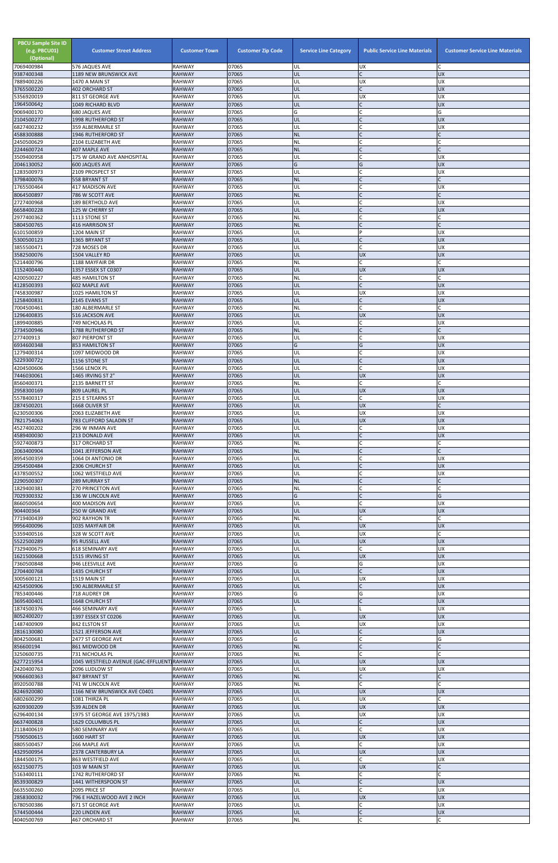| <b>PBCU Sample Site ID</b><br>(e.g. PBCU01)<br>(Optional)<br>7069400984 | <b>Customer Street Address</b><br>576 JAQUES AVE                     | <b>Customer Town</b><br><b>RAHWAY</b> | <b>Customer Zip Code</b><br>07065 | <b>Service Line Category</b><br>UL | <b>Public Service Line Materials</b><br><b>UX</b> | <b>Customer Service Line Materials</b> |
|-------------------------------------------------------------------------|----------------------------------------------------------------------|---------------------------------------|-----------------------------------|------------------------------------|---------------------------------------------------|----------------------------------------|
| 9387400348                                                              | 1189 NEW BRUNSWICK AVE                                               | <b>RAHWAY</b>                         | 07065                             | UL                                 | $\mathsf{C}$                                      | <b>UX</b>                              |
| 7889400226<br>3765500220                                                | 1470 A MAIN ST<br><b>402 ORCHARD ST</b>                              | <b>RAHWAY</b><br><b>RAHWAY</b>        | 07065<br>07065                    | UL<br>UL                           | <b>UX</b><br>$\mathsf{C}$                         | <b>UX</b><br><b>UX</b>                 |
| 5356920019                                                              | 811 ST GEORGE AVE                                                    | <b>RAHWAY</b>                         | 07065                             | UL                                 | <b>UX</b>                                         | <b>UX</b>                              |
| 1964500642<br>9069400170                                                | 1049 RICHARD BLVD                                                    | <b>RAHWAY</b><br><b>RAHWAY</b>        | 07065<br>07065                    | UL<br>G                            | $\mathsf{C}$<br>$\mathsf{C}$                      | <b>UX</b><br>G                         |
| 2104500277                                                              | <b>680 JAQUES AVE</b><br>1998 RUTHERFORD ST                          | <b>RAHWAY</b>                         | 07065                             | UL                                 | $\mathsf{C}$                                      | <b>UX</b>                              |
| 6827400232                                                              | 359 ALBERMARLE ST                                                    | <b>RAHWAY</b>                         | 07065                             | UL                                 | C                                                 | <b>UX</b>                              |
| 4588300888<br>2450500629                                                | <b>1946 RUTHERFORD ST</b><br>2104 ELIZABETH AVE                      | <b>RAHWAY</b><br><b>RAHWAY</b>        | 07065<br>07065                    | <b>NL</b><br><b>NL</b>             |                                                   |                                        |
| 2244600724                                                              | 407 MAPLE AVE                                                        | <b>RAHWAY</b>                         | 07065                             | <b>NL</b>                          | <b>IC</b>                                         | $\mathsf{C}$                           |
| 3509400958<br>2046130052                                                | 175 W GRAND AVE ANHOSPITAL<br><b>600 JAQUES AVE</b>                  | <b>RAHWAY</b><br><b>RAHWAY</b>        | 07065<br>07065                    | UL<br>G                            | $\mathsf{C}$<br>G                                 | <b>UX</b><br><b>UX</b>                 |
| 1283500973                                                              | 2109 PROSPECT ST                                                     | <b>RAHWAY</b>                         | 07065                             | UL                                 |                                                   | <b>UX</b>                              |
| 3798400076                                                              | 558 BRYANT ST                                                        | <b>RAHWAY</b>                         | 07065                             | <b>NL</b>                          | $\mathsf{C}$<br>$\mathsf{C}$                      |                                        |
| 1765500464<br>8064500897                                                | 417 MADISON AVE<br>786 W SCOTT AVE                                   | <b>RAHWAY</b><br><b>RAHWAY</b>        | 07065<br>07065                    | UL<br><b>NL</b>                    | $\mathsf{C}$                                      | <b>UX</b>                              |
| 2727400968                                                              | 189 BERTHOLD AVE                                                     | <b>RAHWAY</b>                         | 07065                             | UL                                 |                                                   | <b>UX</b>                              |
| 6658400228<br>2977400362                                                | 125 W CHERRY ST<br>1113 STONE ST                                     | <b>RAHWAY</b><br><b>RAHWAY</b>        | 07065<br>07065                    | UL<br><b>NL</b>                    | $\mathsf{C}$<br>$\mathsf{C}$                      | <b>UX</b><br>r                         |
| 5804500765                                                              | 416 HARRISON ST                                                      | <b>RAHWAY</b>                         | 07065                             | <b>NL</b>                          | $\mathsf{C}$                                      | $\mathsf{C}$                           |
| 6101500859<br>5300500123                                                | 1204 MAIN ST<br>1365 BRYANT ST                                       | <b>RAHWAY</b><br><b>RAHWAY</b>        | 07065<br>07065                    | UL<br>UL                           | P<br>$\mathsf{C}$                                 | <b>UX</b><br><b>UX</b>                 |
| 3855500471                                                              | 728 MOSES DR                                                         | <b>RAHWAY</b>                         | 07065                             | UL                                 | $\mathsf{C}$                                      | <b>UX</b>                              |
| 3582500076                                                              | 1504 VALLEY RD                                                       | <b>RAHWAY</b>                         | 07065<br>07065                    | UL                                 | <b>UX</b><br>$\mathsf{C}$                         | <b>UX</b>                              |
| 5214400796<br>1152400440                                                | 1188 MAYFAIR DR<br>1357 ESSEX ST C0307                               | <b>RAHWAY</b><br><b>RAHWAY</b>        | 07065                             | NL<br>UL                           | <b>UX</b>                                         | <b>UX</b>                              |
| 4200500227                                                              | <b>485 HAMILTON ST</b>                                               | <b>RAHWAY</b>                         | 07065                             | <b>NL</b>                          | $\mathsf{C}$                                      |                                        |
| 4128500393<br>7458300987                                                | 602 MAPLE AVE<br>1025 HAMILTON ST                                    | <b>RAHWAY</b><br><b>RAHWAY</b>        | 07065<br>07065                    | UL<br>UL                           | $\mathsf{C}$<br><b>UX</b>                         | <b>UX</b><br><b>UX</b>                 |
| 1258400831                                                              | 2145 EVANS ST                                                        | <b>RAHWAY</b>                         | 07065                             | UL                                 | $\mathsf C$                                       | <b>UX</b>                              |
| 7004500461<br>1296400835                                                | 180 ALBERMARLE ST<br><b>516 JACKSON AVE</b>                          | <b>RAHWAY</b><br><b>RAHWAY</b>        | 07065<br>07065                    | <b>NL</b><br>UL                    | $\mathsf{C}$<br><b>UX</b>                         | <b>UX</b>                              |
| 1899400885                                                              | 749 NICHOLAS PL                                                      | <b>RAHWAY</b>                         | 07065                             | UL                                 | C                                                 | <b>UX</b>                              |
| 2734500946<br>277400913                                                 | 1788 RUTHERFORD ST                                                   | <b>RAHWAY</b>                         | 07065<br>07065                    | <b>NL</b>                          | $\mathsf{C}$<br>$\mathsf{C}$                      | $\mathsf{C}$<br><b>UX</b>              |
| 6934600348                                                              | 807 PIERPONT ST<br>853 HAMILTON ST                                   | <b>RAHWAY</b><br><b>RAHWAY</b>        | 07065                             | UL<br>G                            | G                                                 | <b>UX</b>                              |
| 1279400314                                                              | 1097 MIDWOOD DR                                                      | <b>RAHWAY</b>                         | 07065                             | UL                                 |                                                   | UX                                     |
| 5229300722<br>4204500606                                                | 1156 STONE ST<br>1566 LENOX PL                                       | <b>RAHWAY</b><br><b>RAHWAY</b>        | 07065<br>07065                    | UL<br>UL                           | $\mathsf{C}$<br>$\mathsf{C}$                      | <b>UX</b><br><b>UX</b>                 |
| 7446030061                                                              | 1465 IRVING ST 2"                                                    | <b>RAHWAY</b>                         | 07065                             | UL                                 | <b>UX</b>                                         | <b>UX</b>                              |
| 8560400371<br>2958300169                                                | 2135 BARNETT ST<br>809 LAUREL PL                                     | <b>RAHWAY</b><br><b>RAHWAY</b>        | 07065<br>07065                    | <b>NL</b><br>UL                    | C<br><b>UX</b>                                    | <b>UX</b>                              |
| 5578400317                                                              | 215 E STEARNS ST                                                     | <b>RAHWAY</b>                         | 07065                             | UL                                 | C                                                 | <b>UX</b>                              |
| 2874500201<br>6230500306                                                | 1668 OLIVER ST<br>2063 ELIZABETH AVE                                 | <b>RAHWAY</b><br><b>RAHWAY</b>        | 07065<br>07065                    | UL<br>UL                           | <b>UX</b><br><b>UX</b>                            | <b>UX</b>                              |
| 7821754063                                                              | 783 CLIFFORD SALADIN ST                                              | <b>RAHWAY</b>                         | 07065                             | UL                                 | <b>UX</b>                                         | <b>UX</b>                              |
| 4527400202                                                              | 296 W INMAN AVE                                                      | <b>RAHWAY</b>                         | 07065                             | UL                                 | C                                                 | <b>UX</b>                              |
| 4589400030<br>5927400873                                                | <b>213 DONALD AVE</b><br>317 ORCHARD ST                              | <b>RAHWAY</b><br><b>RAHWAY</b>        | 07065<br>07065                    | UL<br><b>NL</b>                    | $\mathsf{C}$<br>C                                 | <b>UX</b>                              |
| 2063400904                                                              | 1041 JEFFERSON AVE                                                   | <b>RAHWAY</b>                         | 07065                             | <b>NL</b>                          | $\mathsf{C}$                                      |                                        |
| 8954500359<br>2954500484                                                | 1064 DI ANTONIO DR<br>2306 CHURCH ST                                 | <b>RAHWAY</b><br><b>RAHWAY</b>        | 07065<br>07065                    | UL<br>UL                           | $\mathsf{C}$<br>$\mathsf{C}$                      | <b>UX</b><br><b>UX</b>                 |
| 4378500552                                                              | 1062 WESTFIELD AVE                                                   | <b>RAHWAY</b>                         | 07065                             | UL                                 |                                                   | <b>UX</b>                              |
| 2290500307<br>1829400381                                                | <b>289 MURRAY ST</b><br><b>270 PRINCETON AVE</b>                     | <b>RAHWAY</b><br><b>RAHWAY</b>        | 07065<br>07065                    | <b>NL</b><br>NL                    | $\mathsf{C}$                                      |                                        |
| 7029300332                                                              | 136 W LINCOLN AVE                                                    | <b>RAHWAY</b>                         | 07065                             | G                                  | $\mathsf{C}$                                      | G                                      |
| 8660500654<br>904400364                                                 | 400 MADISON AVE<br>250 W GRAND AVE                                   | <b>RAHWAY</b><br><b>RAHWAY</b>        | 07065<br>07065                    | UL<br>UL                           | C<br><b>UX</b>                                    | <b>UX</b><br><b>UX</b>                 |
| 7719400439                                                              | 902 RAYHON TR                                                        | <b>RAHWAY</b>                         | 07065                             | NL                                 | $\mathsf{C}$                                      |                                        |
| 9956400096                                                              | 1035 MAYFAIR DR                                                      | <b>RAHWAY</b>                         | 07065                             | UL                                 | <b>UX</b>                                         | <b>UX</b>                              |
| 5359400516<br>5522500289                                                | 328 W SCOTT AVE<br>95 RUSSELL AVE                                    | <b>RAHWAY</b><br><b>RAHWAY</b>        | 07065<br>07065                    | UL<br>UL                           | <b>UX</b><br><b>UX</b>                            | <b>UX</b>                              |
| 7329400675                                                              | <b>618 SEMINARY AVE</b>                                              | <b>RAHWAY</b>                         | 07065                             | UL                                 | $\mathsf{C}$                                      | <b>UX</b>                              |
| 1621500668<br>7360500848                                                | 1515 IRVING ST<br>946 LEESVILLE AVE                                  | <b>RAHWAY</b><br><b>RAHWAY</b>        | 07065<br>07065                    | UL<br>G                            | <b>UX</b><br>G                                    | <b>UX</b><br><b>UX</b>                 |
| 2704400768                                                              | 1435 CHURCH ST                                                       | <b>RAHWAY</b>                         | 07065                             | UL                                 | $\mathsf{C}$                                      | <b>UX</b>                              |
| 3005600121<br>4254500906                                                | 1519 MAIN ST<br>190 ALBERMARLE ST                                    | <b>RAHWAY</b><br><b>RAHWAY</b>        | 07065<br>07065                    | UL<br>UL                           | <b>UX</b><br>$\mathsf{C}$                         | <b>UX</b><br><b>UX</b>                 |
| 7853400446                                                              | 718 AUDREY DR                                                        | <b>RAHWAY</b>                         | 07065                             | G                                  | G                                                 | <b>UX</b>                              |
| 3695400401                                                              | 1648 CHURCH ST                                                       | <b>RAHWAY</b>                         | 07065                             | UL                                 | $\mathsf{C}$                                      | <b>UX</b>                              |
| 1874500376<br>8052400207                                                | 466 SEMINARY AVE<br>1397 ESSEX ST C0206                              | <b>RAHWAY</b><br><b>RAHWAY</b>        | 07065<br>07065                    | UL                                 | <b>UX</b>                                         | <b>UX</b><br><b>UX</b>                 |
| 1487400909                                                              | 842 ELSTON ST                                                        | RAHWAY                                | 07065                             | UL                                 | UX                                                | <b>UX</b>                              |
| 2816130080<br>8042500681                                                | 1521 JEFFERSON AVE<br>2477 ST GEORGE AVE                             | <b>RAHWAY</b><br><b>RAHWAY</b>        | 07065<br>07065                    | UL<br>G                            | $\mathsf{C}$<br>$\mathsf{C}$                      | <b>UX</b><br>G                         |
| 856600194                                                               | 861 MIDWOOD DR                                                       | <b>RAHWAY</b>                         | 07065                             | <b>NL</b>                          | $\mathsf{C}$                                      |                                        |
| 3250600735<br>6277215954                                                | <b>731 NICHOLAS PL</b><br>1045 WESTFIELD AVENUE (GAC-EFFLUENT)RAHWAY | <b>RAHWAY</b>                         | 07065<br>07065                    | NL<br>UL                           | <b>UX</b>                                         | <b>UX</b>                              |
| 2420400763                                                              | 2096 LUDLOW ST                                                       | <b>RAHWAY</b>                         | 07065                             | UL                                 | <b>UX</b>                                         | ļUΧ                                    |
| 9066600363                                                              | 847 BRYANT ST                                                        | <b>RAHWAY</b>                         | 07065                             | <b>NL</b>                          | $\overline{C}$                                    |                                        |
| 8920500788<br>8246920080                                                | 741 W LINCOLN AVE<br>1166 NEW BRUNSWICK AVE C0401                    | <b>RAHWAY</b><br><b>RAHWAY</b>        | 07065<br>07065                    | <b>NL</b><br>UL                    | $\mathsf C$<br><b>UX</b>                          | <b>UX</b>                              |
| 6802600299                                                              | 1081 THIRZA PL                                                       | RAHWAY                                | 07065                             | UL                                 | <b>UX</b>                                         | C                                      |
| 6209300209<br>6296400134                                                | 539 ALDEN DR<br>1975 ST GEORGE AVE 1975/1983                         | <b>RAHWAY</b><br><b>RAHWAY</b>        | 07065<br>07065                    | UL<br>UL                           | <b>UX</b><br>UX                                   | <b>UX</b><br><b>UX</b>                 |
| 6637400828                                                              | 1629 COLUMBUS PL                                                     | <b>RAHWAY</b>                         | 07065                             | UL                                 | $\mathsf{C}$                                      | <b>UX</b>                              |
| 2118400619<br>7590500615                                                | 580 SEMINARY AVE<br>1600 HART ST                                     | <b>RAHWAY</b><br><b>RAHWAY</b>        | 07065<br>07065                    | UL<br><b>UL</b>                    | $\mathsf{C}$<br><b>UX</b>                         | <b>UX</b><br><b>UX</b>                 |
| 8805500457                                                              | 266 MAPLE AVE                                                        | <b>RAHWAY</b>                         | 07065                             | UL                                 | $\mathsf{C}$                                      | <b>UX</b>                              |
| 4329500954                                                              | <b>2378 CANTERBURY LA</b>                                            | <b>RAHWAY</b>                         | 07065                             | UL                                 | <b>UX</b>                                         | <b>UX</b>                              |
| 1844500175<br>6521500775                                                | 863 WESTFIELD AVE<br>103 W MAIN ST                                   | <b>RAHWAY</b><br><b>RAHWAY</b>        | 07065<br>07065                    | UL<br>UL                           | $\mathsf{C}$<br><b>UX</b>                         | <b>UX</b><br>C                         |
| 5163400111                                                              | 1742 RUTHERFORD ST                                                   | <b>RAHWAY</b>                         | 07065                             | NL                                 | C                                                 | Ċ                                      |
| 8539300829<br>6635500260                                                | 1441 WITHERSPOON ST<br>2095 PRICE ST                                 | <b>RAHWAY</b><br>RAHWAY               | 07065<br>07065                    | UL<br>UL                           |                                                   | <b>UX</b><br><b>UX</b>                 |
| 2858300032                                                              | 796 E HAZELWOOD AVE 2 INCH                                           | <b>RAHWAY</b>                         | 07065                             | UL                                 | <b>UX</b>                                         | <b>UX</b>                              |
| 6780500386<br>5744500444                                                | 671 ST GEORGE AVE<br>220 LINDEN AVE                                  | <b>RAHWAY</b><br><b>RAHWAY</b>        | 07065<br>07065                    | UL<br>UL                           | $\mathsf{C}$<br>$\mathsf C$                       | <b>UX</b><br>UX                        |
| 4040500769                                                              | 467 ORCHARD ST                                                       | RAHWAY                                | 07065                             | $\sf NL$                           | C                                                 |                                        |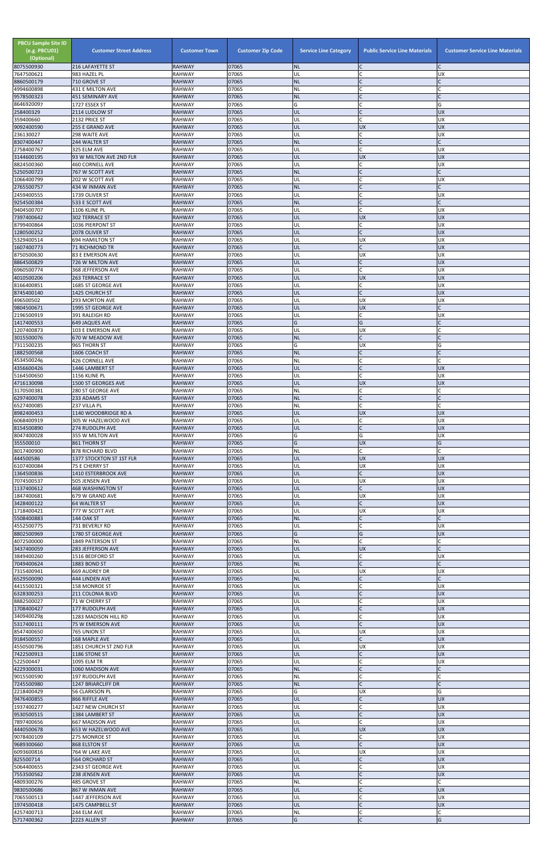| <b>PBCU Sample Site ID</b><br>(e.g. PBCU01)<br>(Optional)<br>8075500930 | <b>Customer Street Address</b><br>216 LAFAYETTE ST | <b>Customer Town</b><br><b>RAHWAY</b> | <b>Customer Zip Code</b><br>07065 | <b>Service Line Category</b><br><b>NL</b> | <b>Public Service Line Materials</b><br>$\mathsf{C}$ | <b>Customer Service Line Materials</b> |
|-------------------------------------------------------------------------|----------------------------------------------------|---------------------------------------|-----------------------------------|-------------------------------------------|------------------------------------------------------|----------------------------------------|
| 7647500621                                                              | 983 HAZEL PL                                       | <b>RAHWAY</b>                         | 07065                             | UL                                        | $\mathcal{C}$                                        | <b>UX</b>                              |
| 8860500179                                                              | 710 GROVE ST                                       | <b>RAHWAY</b>                         | 07065<br>07065                    | <b>NL</b><br>NL                           | $\mathsf{C}$                                         | C                                      |
| 4994600898<br>9578500323                                                | 431 E MILTON AVE<br><b>451 SEMINARY AVE</b>        | RAHWAY<br><b>RAHWAY</b>               | 07065                             | <b>NL</b>                                 |                                                      |                                        |
| 8646920097                                                              | 1727 ESSEX ST                                      | <b>RAHWAY</b><br><b>RAHWAY</b>        | 07065<br>07065                    | G<br>UL                                   | $\mathsf{C}$                                         | G<br><b>UX</b>                         |
| 258400329<br>359400660                                                  | 2114 LUDLOW ST<br>2132 PRICE ST                    | <b>RAHWAY</b>                         | 07065                             | UL                                        | $\mathsf{C}$                                         | <b>UX</b>                              |
| 9092400590                                                              | 255 E GRAND AVE                                    | <b>RAHWAY</b>                         | 07065                             | UL                                        | <b>UX</b>                                            | <b>UX</b>                              |
| 236130027<br>8307400447                                                 | 298 WAITE AVE<br>244 WALTER ST                     | <b>RAHWAY</b><br><b>RAHWAY</b>        | 07065<br>07065                    | UL<br><b>NL</b>                           | C<br>$\mathsf{C}$                                    | <b>UX</b>                              |
| 2758400767                                                              | 325 ELM AVE                                        | RAHWAY                                | 07065                             | UL                                        | $\mathsf{C}$                                         | <b>UX</b>                              |
| 3144600195<br>8824500360                                                | 93 W MILTON AVE 2ND FLR<br>460 CORNELL AVE         | <b>RAHWAY</b><br><b>RAHWAY</b>        | 07065<br>07065                    | UL<br>UL                                  | <b>UX</b><br>$\mathsf{C}$                            | <b>UX</b><br><b>UX</b>                 |
| 5250500723                                                              | 767 W SCOTT AVE                                    | <b>RAHWAY</b>                         | 07065                             | <b>NL</b>                                 |                                                      | $\mathsf{C}$                           |
| 1066400799<br>2765500757                                                | 202 W SCOTT AVE                                    | <b>RAHWAY</b>                         | 07065<br>07065                    | UL<br><b>NL</b>                           | $\mathsf{C}$<br>$\mathsf{C}$                         | <b>UX</b><br>$\mathsf{C}$              |
| 2459400555                                                              | 434 W INMAN AVE<br>1739 OLIVER ST                  | <b>RAHWAY</b><br><b>RAHWAY</b>        | 07065                             | UL                                        | $\mathsf{C}$                                         | <b>UX</b>                              |
| 9254500384                                                              | 533 E SCOTT AVE                                    | <b>RAHWAY</b>                         | 07065                             | <b>NL</b>                                 |                                                      |                                        |
| 9404500707<br>7397400642                                                | 1106 KLINE PL<br>302 TERRACE ST                    | <b>RAHWAY</b><br><b>RAHWAY</b>        | 07065<br>07065                    | UL<br>UL                                  | $\mathsf{C}$<br><b>UX</b>                            | <b>UX</b><br><b>UX</b>                 |
| 8799400864                                                              | 1036 PIERPONT ST                                   | <b>RAHWAY</b>                         | 07065                             | UL                                        | $\mathsf{C}$                                         | UX                                     |
| 1280500252<br>5329400514                                                | 2078 OLIVER ST<br><b>694 HAMILTON ST</b>           | <b>RAHWAY</b><br><b>RAHWAY</b>        | 07065<br>07065                    | UL<br>UL                                  | $\mathsf{C}$<br><b>UX</b>                            | <b>UX</b><br><b>UX</b>                 |
| 1607400773                                                              | <b>71 RICHMOND TR</b>                              | <b>RAHWAY</b>                         | 07065                             | UL                                        | $\mathsf{C}$                                         | <b>UX</b>                              |
| 8750500630<br>8864500829                                                | 83 E EMERSON AVE<br>726 W MILTON AVE               | RAHWAY<br><b>RAHWAY</b>               | 07065<br>07065                    | UL<br>UL                                  | <b>UX</b><br>$\mathsf{C}$                            | UX<br><b>UX</b>                        |
| 6960500774                                                              | 368 JEFFERSON AVE                                  | <b>RAHWAY</b>                         | 07065                             | UL                                        | $\mathcal{C}$                                        | <b>UX</b>                              |
| 4010500206                                                              | 263 TERRACE ST                                     | <b>RAHWAY</b>                         | 07065<br>07065                    | UL                                        | <b>UX</b><br>$\mathsf{C}$                            | <b>UX</b>                              |
| 8166400851<br>8745400140                                                | 1685 ST GEORGE AVE<br>1425 CHURCH ST               | <b>RAHWAY</b><br><b>RAHWAY</b>        | 07065                             | UL<br>UL                                  | $\mathsf{C}$                                         | <b>UX</b><br><b>UX</b>                 |
| 496500502                                                               | 293 MORTON AVE                                     | <b>RAHWAY</b>                         | 07065                             | UL                                        | UX                                                   | <b>UX</b>                              |
| 9804500671<br>2196500919                                                | 1995 ST GEORGE AVE<br>391 RALEIGH RD               | <b>RAHWAY</b><br><b>RAHWAY</b>        | 07065<br>07065                    | UL<br>UL                                  | <b>UX</b><br>C                                       | UX                                     |
| 1417400553                                                              | <b>649 JAQUES AVE</b>                              | <b>RAHWAY</b>                         | 07065                             | G                                         | G                                                    |                                        |
| 1207400873<br>3015500076                                                | 103 E EMERSON AVE<br>670 W MEADOW AVE              | <b>RAHWAY</b><br><b>RAHWAY</b>        | 07065<br>07065                    | UL<br><b>NL</b>                           | <b>UX</b><br>$\mathsf{C}$                            | C                                      |
| 7311500235                                                              | 965 THORN ST                                       | <b>RAHWAY</b>                         | 07065                             | G                                         | <b>UX</b>                                            | G                                      |
| 1882500568                                                              | 1606 COACH ST                                      | <b>RAHWAY</b><br><b>RAHWAY</b>        | 07065<br>07065                    | <b>NL</b><br><b>NL</b>                    | $\mathsf{C}$                                         | $\mathsf{C}$                           |
| 4534500246<br>4356600426                                                | 426 CORNELL AVE<br>1446 LAMBERT ST                 | <b>RAHWAY</b>                         | 07065                             | UL                                        |                                                      | <b>UX</b>                              |
| 5164500650                                                              | 1156 KLINE PL                                      | <b>RAHWAY</b>                         | 07065                             | UL                                        |                                                      | <b>UX</b>                              |
| 4716130098<br>3170500381                                                | 1500 ST GEORGES AVE<br>280 ST GEORGE AVE           | <b>RAHWAY</b><br>RAHWAY               | 07065<br>07065                    | UL<br><b>NL</b>                           | <b>UX</b><br>C                                       | <b>UX</b>                              |
| 6297400078                                                              | 233 ADAMS ST                                       | <b>RAHWAY</b>                         | 07065                             | <b>NL</b>                                 | $\mathsf{C}$                                         | C                                      |
| 6527400085<br>8982400453                                                | 237 VILLA PL<br>1140 WOODBRIDGE RD A               | <b>RAHWAY</b><br><b>RAHWAY</b>        | 07065<br>07065                    | <b>NL</b><br>UL                           | $\mathsf{C}$<br><b>UX</b>                            | <b>UX</b>                              |
| 6068400919                                                              | 305 W HAZELWOOD AVE                                | <b>RAHWAY</b>                         | 07065                             | UL                                        | C                                                    | <b>UX</b>                              |
| 8154500890<br>8047400028                                                | 274 RUDOLPH AVE<br>355 W MILTON AVE                | <b>RAHWAY</b><br><b>RAHWAY</b>        | 07065<br>07065                    | UL<br>G                                   | $\mathsf{C}$<br>G                                    | <b>UX</b><br><b>UX</b>                 |
| 355500010                                                               | 861 THORN ST                                       | <b>RAHWAY</b>                         | 07065                             | G                                         | <b>UX</b>                                            | G                                      |
| 8017400900                                                              | 878 RICHARD BLVD                                   | <b>RAHWAY</b>                         | 07065                             | <b>NL</b>                                 | $\mathsf{C}$                                         |                                        |
| 444500586<br>6107400084                                                 | 1377 STOCKTON ST 1ST FLR<br>75 E CHERRY ST         | <b>RAHWAY</b><br>RAHWAY               | 07065<br>07065                    | UL<br>UL                                  | <b>UX</b><br><b>UX</b>                               | <b>UX</b><br>UX                        |
| 1364500836                                                              | 1410 ESTERBROOK AVE                                | <b>RAHWAY</b>                         | 07065                             | UL                                        |                                                      | <b>UX</b>                              |
| 7074500537<br>1137400612                                                | 505 JENSEN AVE<br><b>468 WASHINGTON ST</b>         | <b>RAHWAY</b><br><b>RAHWAY</b>        | 07065<br>07065                    | UL<br>UL                                  | <b>UX</b><br>$\mathsf{C}$                            | <b>UX</b><br><b>UX</b>                 |
| 1847400681                                                              | 679 W GRAND AVE                                    | <b>RAHWAY</b>                         | 07065                             | UL                                        | <b>UX</b>                                            | UX                                     |
| 3428400122<br>1718400421                                                | <b>64 WALTER ST</b><br>777 W SCOTT AVE             | <b>RAHWAY</b><br><b>RAHWAY</b>        | 07065<br>07065                    | UL<br>UL                                  | $\mathsf{C}$<br><b>UX</b>                            | <b>UX</b><br><b>UX</b>                 |
| 5508400883                                                              | <b>144 OAK ST</b>                                  | <b>RAHWAY</b>                         | 07065                             | <b>NL</b>                                 | $\mathsf{C}$                                         |                                        |
| 4552500775<br>8802500969                                                | 731 BEVERLY RD<br>1780 ST GEORGE AVE               | <b>RAHWAY</b><br><b>RAHWAY</b>        | 07065<br>07065                    | UL<br>G                                   | $\mathsf{C}$<br>G                                    | <b>UX</b><br><b>UX</b>                 |
| 4072500000                                                              | 1849 PATERSON ST                                   | <b>RAHWAY</b>                         | 07065                             | <b>NL</b>                                 | $\mathcal{C}$                                        |                                        |
| 3437400059                                                              | 283 JEFFERSON AVE                                  | <b>RAHWAY</b>                         | 07065                             | UL                                        | <b>UX</b>                                            |                                        |
| 3849400260<br>7049400624                                                | 1516 BEDFORD ST<br>1883 BOND ST                    | <b>RAHWAY</b><br><b>RAHWAY</b>        | 07065<br>07065                    | UL<br><b>NL</b>                           | C<br>$\mathsf{C}$                                    | <b>UX</b>                              |
| 7315400941                                                              | 669 AUDREY DR                                      | <b>RAHWAY</b>                         | 07065                             | UL                                        | <b>UX</b>                                            | <b>UX</b>                              |
| 6529500090<br>4415500321                                                | 444 LINDEN AVE<br>158 MONROE ST                    | <b>RAHWAY</b><br><b>RAHWAY</b>        | 07065<br>07065                    | <b>NL</b><br>UL                           |                                                      | <b>UX</b>                              |
| 6328300253                                                              | 211 COLONIA BLVD                                   | <b>RAHWAY</b>                         | 07065                             | UL                                        | $\mathsf{C}$                                         | <b>UX</b>                              |
| 8882500027<br>1708400427                                                | 71 W CHERRY ST<br>177 RUDOLPH AVE                  | RAHWAY<br><b>RAHWAY</b>               | 07065<br>07065                    | UL<br>UL                                  |                                                      | UX<br><b>UX</b>                        |
| 3409400298                                                              | 1283 MADISON HILL RD                               | <b>RAHWAY</b>                         | 07065                             | UL                                        | $\mathsf{C}$                                         | <b>UX</b>                              |
| 5317400111                                                              | 75 W EMERSON AVE                                   | <b>RAHWAY</b>                         | 07065                             | UL                                        | $\mathsf{C}$                                         | <b>UX</b>                              |
| 8547400650<br>9184500557                                                | 765 UNION ST<br>168 MAPLE AVE                      | <b>RAHWAY</b><br><b>RAHWAY</b>        | 07065<br>07065                    | UL<br>UL                                  | <b>UX</b><br>$\mathsf{C}$                            | UX<br><b>UX</b>                        |
| 4550500796                                                              | 1851 CHURCH ST 2ND FLR                             | <b>RAHWAY</b>                         | 07065                             | UL                                        | <b>UX</b>                                            | <b>UX</b>                              |
| 7422500913<br>522500447                                                 | 1186 STONE ST<br>1095 ELM TR                       | <b>RAHWAY</b><br><b>RAHWAY</b>        | 07065<br>07065                    | UL<br>UL                                  |                                                      | <b>UX</b><br><b>UX</b>                 |
| 4229300031                                                              | 1060 MADISON AVE                                   | <b>RAHWAY</b>                         | 07065                             | <b>NL</b>                                 |                                                      |                                        |
| 9015500590<br>7245500980                                                | 197 RUDOLPH AVE<br>1247 BRIARCLIFF DR              | RAHWAY<br><b>RAHWAY</b>               | 07065<br>07065                    | <b>NL</b><br><b>NL</b>                    | $\mathsf{C}$<br>$\mathsf{C}$                         |                                        |
| 2218400429                                                              | 56 CLARKSON PL                                     | RAHWAY                                | 07065                             | G                                         | <b>UX</b>                                            | G                                      |
| 9476400855                                                              | 866 RIFFLE AVE                                     | <b>RAHWAY</b>                         | 07065                             | UL                                        | $\mathsf{C}$                                         | <b>UX</b>                              |
| 1937400277<br>9530500515                                                | 1427 NEW CHURCH ST<br>1384 LAMBERT ST              | RAHWAY<br><b>RAHWAY</b>               | 07065<br>07065                    | UL<br>UL                                  | $\mathsf{C}$<br>$\mathsf{C}$                         | <b>UX</b><br><b>UX</b>                 |
| 7897400656                                                              | 667 MADISON AVE                                    | RAHWAY                                | 07065                             | UL                                        | $\mathsf{C}$                                         | <b>UX</b>                              |
| 4440500678<br>9078400109                                                | 653 W HAZELWOOD AVE<br>275 MONROE ST               | <b>RAHWAY</b><br>RAHWAY               | 07065<br>07065                    | UL<br>UL                                  | <b>UX</b><br>$\mathsf{C}$                            | <b>UX</b><br><b>UX</b>                 |
| 9689300660                                                              | 868 ELSTON ST                                      | <b>RAHWAY</b>                         | 07065                             | UL                                        | $\mathsf C$                                          | UX                                     |
| 6093600816<br>825500714                                                 | 764 W LAKE AVE                                     | RAHWAY<br>RAHWAY                      | 07065<br>07065                    | UL<br>UL                                  | <b>UX</b><br>$\mathsf{C}$                            | <b>UX</b><br><b>UX</b>                 |
| 5064400655                                                              | <b>564 ORCHARD ST</b><br>2343 ST GEORGE AVE        | RAHWAY                                | 07065                             | UL                                        | $\mathsf{C}$                                         | <b>UX</b>                              |
| 7553500562                                                              | 238 JENSEN AVE                                     | <b>RAHWAY</b>                         | 07065                             | UL                                        | $\mathsf{C}$                                         | <b>UX</b>                              |
| 4809300276<br>9830500686                                                | 485 GROVE ST<br>867 W INMAN AVE                    | <b>RAHWAY</b><br><b>RAHWAY</b>        | 07065<br>07065                    | <b>NL</b><br>UL                           | $\mathsf{C}$                                         | $\mathsf{C}$<br><b>UX</b>              |
| 7065500513                                                              | 1447 JEFFERSON AVE                                 | <b>RAHWAY</b>                         | 07065                             | UL                                        |                                                      | <b>UX</b>                              |
| 1974500418<br>4257400713                                                | 1475 CAMPBELL ST                                   | <b>RAHWAY</b><br>RAHWAY               | 07065<br>07065                    | UL<br>NL                                  | $\mathsf{C}$<br>$\mathsf C$                          | <b>UX</b>                              |
| 5717400362                                                              | 244 ELM AVE<br>2223 ALLEN ST                       | <b>RAHWAY</b>                         | 07065                             | G                                         | $\mathsf{C}$                                         | G                                      |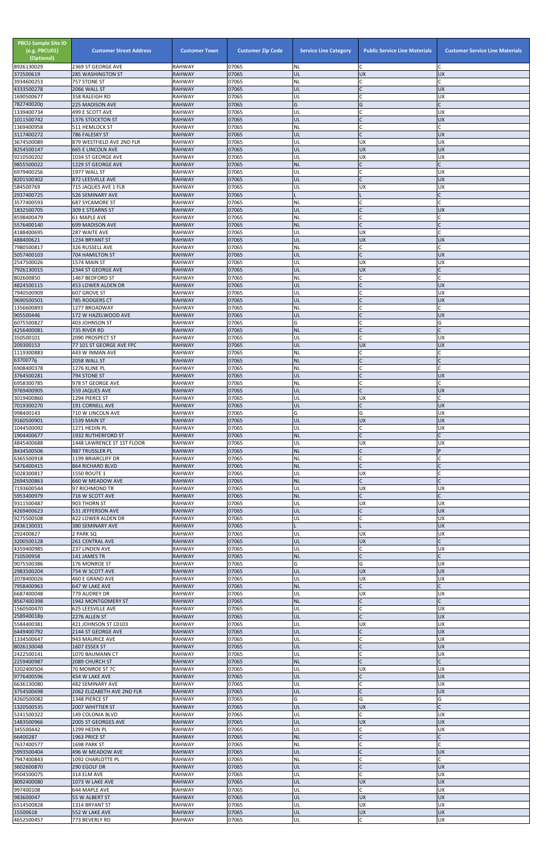| <b>PBCU Sample Site ID</b><br>(e.g. PBCU01)<br>(Optional) | <b>Customer Street Address</b>                          | <b>Customer Town</b>           | <b>Customer Zip Code</b> | <b>Service Line Category</b> | <b>Public Service Line Materials</b>        | <b>Customer Service Line Materials</b> |
|-----------------------------------------------------------|---------------------------------------------------------|--------------------------------|--------------------------|------------------------------|---------------------------------------------|----------------------------------------|
| 8926130029<br>372500619                                   | 2369 ST GEORGE AVE<br><b>285 WASHINGTON ST</b>          | <b>RAHWAY</b><br><b>RAHWAY</b> | 07065<br>07065           | NL<br>UL                     | C<br><b>UX</b>                              | C<br><b>UX</b>                         |
| 3934600253                                                | 757 STONE ST                                            | RAHWAY                         | 07065                    | NL                           | C                                           |                                        |
| 4333500278<br>1690500677                                  | 2066 WALL ST<br>358 RALEIGH RD                          | <b>RAHWAY</b><br><b>RAHWAY</b> | 07065<br>07065           | UL<br>UL                     | $\mathsf{C}$<br>$\mathsf{C}$                | <b>UX</b><br><b>UX</b>                 |
| 7827400200                                                | 225 MADISON AVE                                         | <b>RAHWAY</b>                  | 07065                    | Ġ                            | G                                           | $\mathsf{C}$                           |
| 1339400734<br>1011500742                                  | 499 E SCOTT AVE<br>1376 STOCKTON ST                     | <b>RAHWAY</b><br><b>RAHWAY</b> | 07065<br>07065           | UL<br>UL                     | $\mathcal{C}_{\mathcal{C}}$<br>$\mathsf{C}$ | <b>UX</b><br><b>UX</b>                 |
| 1369400958                                                | 511 HEMLOCK ST                                          | <b>RAHWAY</b>                  | 07065                    | NL                           | $\mathsf{C}$                                |                                        |
| 3117400272<br>3674500089                                  | 786 FALESKY ST<br>879 WESTFIELD AVE 2ND FLR             | <b>RAHWAY</b><br><b>RAHWAY</b> | 07065<br>07065           | UL<br>UL                     | $\mathsf{C}$<br><b>UX</b>                   | <b>UX</b><br><b>UX</b>                 |
| 8254500147                                                | <b>665 E LINCOLN AVE</b>                                | <b>RAHWAY</b>                  | 07065                    | UL                           | <b>UX</b>                                   | <b>UX</b>                              |
| 9210500202<br>9855500022                                  | 1034 ST GEORGE AVE<br>1229 ST GEORGE AVE                | <b>RAHWAY</b><br><b>RAHWAY</b> | 07065<br>07065           | UL<br><b>NL</b>              | <b>UX</b><br>$\mathsf{C}$                   | <b>UX</b><br>$\mathsf{C}$              |
| 6979400256                                                | 1977 WALL ST                                            | <b>RAHWAY</b>                  | 07065                    | UL                           |                                             | <b>UX</b>                              |
| 8201500302<br>584500769                                   | 872 LEESVILLE AVE<br>715 JAQUES AVE 1 FLR               | <b>RAHWAY</b><br>RAHWAY        | 07065<br>07065           | IJL<br>UL                    | $\Gamma$<br><b>UX</b>                       | <b>UX</b><br><b>UX</b>                 |
| 2937400725                                                | 526 SEMINARY AVE                                        | <b>RAHWAY</b>                  | 07065                    |                              |                                             |                                        |
| 3577400593<br>1832500705                                  | <b>687 SYCAMORE ST</b><br>309 E STEARNS ST              | <b>RAHWAY</b><br><b>RAHWAY</b> | 07065<br>07065           | NL<br>UL                     | $\mathsf{C}$                                | <b>UX</b>                              |
| 8598400479                                                | 61 MAPLE AVE                                            | RAHWAY                         | 07065                    | NL                           | $\mathsf{C}$                                | C                                      |
| 5576400140<br>4188400695                                  | 699 MADISON AVE<br>287 WAITE AVE                        | <b>RAHWAY</b><br><b>RAHWAY</b> | 07065<br>07065           | <b>NL</b><br>UL              | $\mathsf{C}$<br><b>UX</b>                   |                                        |
| 488400621                                                 | 1234 BRYANT ST                                          | <b>RAHWAY</b>                  | 07065                    | UL                           | <b>UX</b>                                   | <b>UX</b>                              |
| 7980500817<br>5057400103                                  | 326 RUSSELL AVE<br>704 HAMILTON ST                      | RAHWAY<br><b>RAHWAY</b>        | 07065<br>07065           | NL<br>UL                     | C<br>$\mathsf{C}$                           | $\mathsf{C}$<br><b>UX</b>              |
| 2547500026                                                | 1574 MAIN ST                                            | RAHWAY                         | 07065                    | UL                           | <b>UX</b>                                   | <b>UX</b>                              |
| 7926130015<br>802600850                                   | 2344 ST GEORGE AVE<br>1467 BEDFORD ST                   | <b>RAHWAY</b><br>RAHWAY        | 07065<br>07065           | UL<br>NL                     | <b>UX</b><br>C                              | $\mathsf{C}$                           |
| 4824500115                                                | 453 LOWER ALDEN DR                                      | <b>RAHWAY</b>                  | 07065                    | UL                           | $\mathsf{C}$                                | <b>UX</b>                              |
| 7940500909                                                | 607 GROVE ST                                            | RAHWAY                         | 07065<br>07065           | UL                           | $\mathsf{C}$                                | <b>UX</b><br><b>UX</b>                 |
| 9690500501<br>1356600893                                  | 785 RODGERS CT<br>1277 BROADWAY                         | <b>RAHWAY</b><br><b>RAHWAY</b> | 07065                    | IJL<br>NL                    |                                             | $\mathsf{C}$                           |
| 905500446                                                 | 172 W HAZELWOOD AVE                                     | <b>RAHWAY</b>                  | 07065                    | UL                           | $\mathsf{C}$<br>$\mathsf{C}$                | <b>UX</b>                              |
| 6075500827<br>4256400081                                  | 403 JOHNSON ST<br>735 RIVER RD                          | RAHWAY<br><b>RAHWAY</b>        | 07065<br>07065           | G<br><b>NL</b>               | $\mathsf{C}$                                | G                                      |
| 350500101                                                 | 2090 PROSPECT ST                                        | <b>RAHWAY</b>                  | 07065                    | UL                           | $\mathsf{C}$                                | <b>UX</b>                              |
| 209300153<br>1119300883                                   | 77 101 ST GEORGE AVE FPC<br>443 W INMAN AVE             | <b>RAHWAY</b><br>RAHWAY        | 07065<br>07065           | UL<br>NL                     | <b>UX</b>                                   | <b>UX</b>                              |
| 63700776                                                  | 2058 WALL ST                                            | <b>RAHWAY</b>                  | 07065                    | <b>NL</b>                    | $\mathsf{C}$                                | $\mathsf{C}$                           |
| 6908400378<br>3764500281                                  | 1276 KLINE PL<br>794 STONE ST                           | <b>RAHWAY</b><br><b>RAHWAY</b> | 07065<br>07065           | ΝL<br>UL                     |                                             | <b>UX</b>                              |
| 6958300785                                                | 978 ST GEORGE AVE                                       | RAHWAY                         | 07065                    | NL                           | $\mathsf{C}$                                | C                                      |
| 9769400905<br>3019400860                                  | 559 JAQUES AVE<br>1294 PIERCE ST                        | <b>RAHWAY</b><br>RAHWAY        | 07065<br>07065           | UL<br>UL                     | $\mathsf{C}$<br><b>UX</b>                   | <b>UX</b>                              |
| 7019300270                                                | <b>191 CORNELL AVE</b>                                  | <b>RAHWAY</b>                  | 07065                    | UL                           | $\mathsf{C}$                                | <b>UX</b>                              |
| 998400143<br>9160500901                                   | 710 W LINCOLN AVE<br>1539 MAIN ST                       | RAHWAY<br><b>RAHWAY</b>        | 07065<br>07065           | G<br>UL                      | G<br><b>UX</b>                              | <b>UX</b><br><b>UX</b>                 |
| 1044500092                                                | 1271 HEDIN PL                                           | RAHWAY                         | 07065                    | UL                           | C                                           | <b>UX</b>                              |
| 1904400677<br>4845400688                                  | <b>1932 RUTHERFORD ST</b><br>1448 LAWRENCE ST 1ST FLOOR | <b>RAHWAY</b><br>RAHWAY        | 07065<br>07065           | <b>NL</b><br>UL              | $\mathsf{C}$<br><b>UX</b>                   | <b>UX</b>                              |
| 8434500506                                                | 987 TRUSSLER PL                                         | <b>RAHWAY</b>                  | 07065                    | <b>NL</b>                    | $\mathsf{C}$                                | P                                      |
| 6365500918<br>5476400415                                  | 1199 BRIARCLIFF DR<br><b>864 RICHARD BLVD</b>           | RAHWAY<br><b>RAHWAY</b>        | 07065<br>07065           | NL<br><b>NL</b>              | $\mathsf{C}$<br>$\mathsf{C}$                |                                        |
| 5028300817                                                | 1550 ROUTE 1                                            | RAHWAY                         | 07065                    | UL                           | <b>UX</b>                                   |                                        |
| 2694500863<br>7193600544                                  | 660 W MEADOW AVE<br>97 RICHMOND TR                      | <b>RAHWAY</b><br><b>RAHWAY</b> | 07065<br>07065           | <b>NL</b><br>UL              | <b>UX</b>                                   | <b>UX</b>                              |
| 5953400979                                                | 716 W SCOTT AVE                                         | <b>RAHWAY</b>                  | 07065                    | <b>NL</b>                    | $\mathsf{C}$                                | $\mathsf{C}$                           |
| 9311500487<br>4269400623                                  | 903 THORN ST<br>531 JEFFERSON AVE                       | RAHWAY<br><b>RAHWAY</b>        | 07065<br>07065           | UL<br>UL                     | <b>UX</b><br>$\mathsf{C}$                   | <b>UX</b><br><b>UX</b>                 |
| 9275500508                                                | 422 LOWER ALDEN DR                                      | RAHWAY                         | 07065                    | UL                           |                                             | <b>UX</b>                              |
| 2436130031<br>292400827                                   | 380 SEMINARY AVE<br>2 PARK SQ                           | <b>RAHWAY</b><br>RAHWAY        | 07065<br>07065           | UL                           | <b>UX</b>                                   | <b>UX</b><br><b>UX</b>                 |
| 3200500128                                                | 261 CENTRAL AVE                                         | <b>RAHWAY</b>                  | 07065                    | UL                           | <b>UX</b>                                   | $\Gamma$                               |
| 4359400985<br>710500958                                   | 237 LINDEN AVE<br>141 JAMES TR                          | <b>RAHWAY</b><br><b>RAHWAY</b> | 07065<br>07065           | UL<br>ΝL                     | C<br>$\mathsf{C}$                           | <b>UX</b><br>C                         |
| 9075500386                                                | 176 MONROE ST                                           | RAHWAY                         | 07065                    | G                            | G                                           | UX                                     |
| 2983500204<br>2078400026                                  | 754 W SCOTT AVE<br>460 E GRAND AVE                      | <b>RAHWAY</b><br>RAHWAY        | 07065<br>07065           | UL<br>UL                     | <b>UX</b><br><b>UX</b>                      | <b>UX</b><br><b>UX</b>                 |
| 7958400963                                                | 647 W LAKE AVE                                          | <b>RAHWAY</b>                  | 07065                    | <b>NL</b>                    | $\mathsf{C}$                                |                                        |
| 6687400048<br>8567400398                                  | 779 AUDREY DR<br>1942 MONTGOMERY ST                     | RAHWAY<br><b>RAHWAY</b>        | 07065<br>07065           | UL<br><b>NL</b>              | <b>UX</b><br>$\mathsf{C}$                   | <b>UX</b>                              |
| 1560500470                                                | 625 LEESVILLE AVE                                       | <b>RAHWAY</b>                  | 07065                    | UL                           | $\mathsf{C}$                                | <b>UX</b>                              |
| 2589400189<br>5584400381                                  | 2276 ALLEN ST<br>421 JOHNSON ST C0103                   | <b>RAHWAY</b><br>RAHWAY        | 07065<br>07065           | UL<br>UL                     | <b>UX</b>                                   | <b>UX</b><br><b>UX</b>                 |
| 6449400792                                                | 2144 ST GEORGE AVE                                      | <b>RAHWAY</b>                  | 07065                    | UL                           | $\mathsf{C}$                                | <b>UX</b>                              |
| 1334500647<br>8026130048                                  | 943 MAURICE AVE<br>1607 ESSEX ST                        | RAHWAY<br><b>RAHWAY</b>        | 07065<br>07065           | UL<br>UL                     | $\mathsf C$                                 | <b>UX</b><br><b>UX</b>                 |
| 2422500141                                                | 1070 BAUMANN CT                                         | RAHWAY                         | 07065                    | UL                           |                                             | <b>UX</b>                              |
| 2259400987<br>3202400504                                  | 2089 CHURCH ST<br>70 MONROE ST 7C                       | RAHWAY<br><b>RAHWAY</b>        | 07065<br>07065           | <b>NL</b><br>UL              | <b>UX</b>                                   | $\mathsf{C}$<br><b>INX</b>             |
| 9776400596                                                | 454 W LAKE AVE                                          | <b>RAHWAY</b>                  | 07065                    | UL                           |                                             | <b>UX</b>                              |
| 6636130080<br>3754500698                                  | 482 SEMINARY AVE<br>2062 ELIZABETH AVE 2ND FLR          | RAHWAY<br><b>RAHWAY</b>        | 07065<br>07065           | UL<br>UL                     | C<br>$\mathsf C$                            | <b>UX</b><br><b>UX</b>                 |
| 4260500082                                                | 1348 PIERCE ST                                          | RAHWAY                         | 07065                    | G                            | G                                           | G                                      |
| 1320500535<br>5241500322                                  | 2007 WHITTIER ST<br><b>149 COLONIA BLVD</b>             | <b>RAHWAY</b><br>RAHWAY        | 07065<br>07065           | UL<br>UL                     | <b>UX</b><br>C                              | <b>UX</b>                              |
| 1483500966                                                | 2005 ST GEORGES AVE                                     | <b>RAHWAY</b>                  | 07065                    | UL                           | <b>UX</b>                                   | <b>UX</b>                              |
| 345500442<br>66400287                                     | 1299 HEDIN PL<br>1963 PRICE ST                          | RAHWAY<br><b>RAHWAY</b>        | 07065<br>07065           | UL<br><b>NL</b>              | $\mathsf{C}$<br>$\mathsf{C}$                | <b>UX</b><br>$\mathsf{C}$              |
| 7637400577                                                | 1698 PARK ST                                            | <b>RAHWAY</b>                  | 07065                    | NL                           |                                             |                                        |
| 5993500404<br>7947400843                                  | 496 W MEADOW AVE<br>1092 CHARLOTTE PL                   | <b>RAHWAY</b><br><b>RAHWAY</b> | 07065<br>07065           | UL<br>ΝL                     | $\mathsf{C}$                                | <b>UX</b><br>C                         |
| 3602600870                                                | 290 EGOLF DR                                            | <b>RAHWAY</b>                  | 07065                    | UL                           | $\mathsf C$                                 | <b>UX</b>                              |
| 9504500075                                                | 314 ELM AVE                                             | <b>RAHWAY</b>                  | 07065                    | UL                           | C                                           | <b>UX</b>                              |
| 8092400080<br>997400108                                   | 1073 W LAKE AVE<br>644 MAPLE AVE                        | <b>RAHWAY</b><br>RAHWAY        | 07065<br>07065           | UL<br>UL                     | <b>UX</b><br>$\mathsf{C}$                   | <b>UX</b><br><b>UX</b>                 |
| 983600047                                                 | 55 W ALBERT ST                                          | <b>RAHWAY</b>                  | 07065                    | UL                           | <b>UX</b>                                   | <b>UX</b>                              |
| 6514500828<br>15500618                                    | 1314 BRYANT ST<br>552 W LAKE AVE                        | RAHWAY<br><b>RAHWAY</b>        | 07065<br>07065           | UL<br>UL                     | <b>UX</b><br><b>UX</b>                      | <b>UX</b><br><b>UX</b>                 |
| 4652500457                                                | 773 BEVERLY RD                                          | RAHWAY                         | 07065                    | UL                           | C                                           | UX                                     |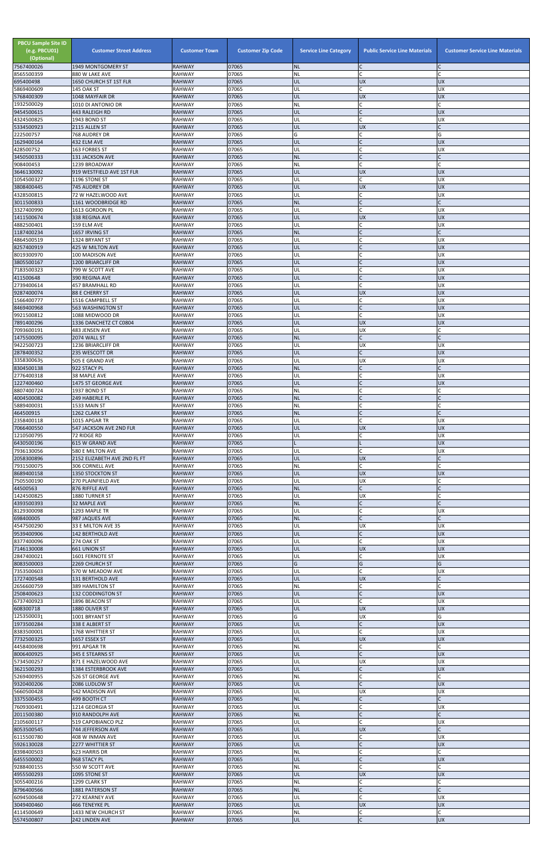| <b>PBCU Sample Site ID</b><br>(e.g. PBCU01)<br>(Optional)<br>7567400026 | <b>Customer Street Address</b><br>1949 MONTGOMERY ST | <b>Customer Town</b><br><b>RAHWAY</b> | <b>Customer Zip Code</b><br>07065 | <b>Service Line Category</b><br><b>NL</b> | <b>Public Service Line Materials</b><br>$\mathsf{C}$ | <b>Customer Service Line Materials</b> |
|-------------------------------------------------------------------------|------------------------------------------------------|---------------------------------------|-----------------------------------|-------------------------------------------|------------------------------------------------------|----------------------------------------|
| 8565500359                                                              | 880 W LAKE AVE                                       | <b>RAHWAY</b>                         | 07065                             | <b>NL</b>                                 | $\mathsf{C}$                                         |                                        |
| 695400498                                                               | 1650 CHURCH ST 1ST FLR<br>145 OAK ST                 | <b>RAHWAY</b><br><b>RAHWAY</b>        | 07065<br>07065                    | UL<br>UL                                  | <b>UX</b><br>$\mathsf{C}$                            | <b>UX</b><br><b>UX</b>                 |
| 5869400609<br>5768400309                                                | 1048 MAYFAIR DR                                      | <b>RAHWAY</b>                         | 07065                             | UL                                        | <b>UX</b>                                            | <b>UX</b>                              |
| 1932500029<br>9454500615                                                | 1010 DI ANTONIO DR                                   | <b>RAHWAY</b><br><b>RAHWAY</b>        | 07065<br>07065                    | <b>NL</b><br>UL                           | C<br>$\mathsf{C}$                                    | $\mathsf{C}$<br><b>UX</b>              |
| 4324500825                                                              | 443 RALEIGH RD<br>1943 BOND ST                       | <b>RAHWAY</b>                         | 07065                             | UL                                        | $\mathsf{C}$                                         | <b>UX</b>                              |
| 5334500923                                                              | 2115 ALLEN ST                                        | <b>RAHWAY</b>                         | 07065                             | UL                                        | <b>UX</b>                                            |                                        |
| 222500757<br>1629400164                                                 | 768 AUDREY DR<br>432 ELM AVE                         | <b>RAHWAY</b><br><b>RAHWAY</b>        | 07065<br>07065                    | G<br>UL                                   | C<br>$\mathsf{C}$                                    | G<br><b>UX</b>                         |
| 428500752                                                               | 163 FORBES ST                                        | <b>RAHWAY</b>                         | 07065                             | UL                                        | $\mathsf{C}$                                         | <b>UX</b>                              |
| 3450500333<br>908400453                                                 | 131 JACKSON AVE<br>1239 BROADWAY                     | <b>RAHWAY</b><br><b>RAHWAY</b>        | 07065<br>07065                    | <b>NL</b><br>NL                           | <b>C</b><br>$\mathsf{C}$                             | $\mathsf{C}$                           |
| 3646130092                                                              | 919 WESTFIELD AVE 1ST FLR                            | <b>RAHWAY</b>                         | 07065                             | UL                                        | <b>UX</b>                                            | <b>UX</b>                              |
| 1054500327                                                              | 1196 STONE ST                                        | <b>RAHWAY</b>                         | 07065<br>07065                    | UL                                        | $\mathsf{C}$                                         | <b>UX</b>                              |
| 3808400445<br>4328500815                                                | 745 AUDREY DR<br>72 W HAZELWOOD AVE                  | <b>RAHWAY</b><br><b>RAHWAY</b>        | 07065                             | UL<br>UL                                  | <b>UX</b><br>C                                       | <b>UX</b><br><b>UX</b>                 |
| 3011500833                                                              | 1161 WOODBRIDGE RD                                   | <b>RAHWAY</b>                         | 07065                             | <b>NL</b>                                 | $\mathsf{C}$                                         |                                        |
| 3327400990<br>1411500674                                                | 1613 GORDON PL<br>338 REGINA AVE                     | <b>RAHWAY</b><br><b>RAHWAY</b>        | 07065<br>07065                    | UL<br>UL                                  | C<br><b>UX</b>                                       | <b>UX</b><br><b>UX</b>                 |
| 4882500401                                                              | 159 ELM AVE                                          | <b>RAHWAY</b>                         | 07065                             | UL                                        | $\mathsf{C}$                                         | <b>UX</b>                              |
| 1187400234<br>4864500519                                                | 1657 IRVING ST<br>1324 BRYANT ST                     | <b>RAHWAY</b><br><b>RAHWAY</b>        | 07065<br>07065                    | <b>NL</b><br>UL                           | $\mathsf{C}$                                         | <b>UX</b>                              |
| 8257400919                                                              | 425 W MILTON AVE                                     | <b>RAHWAY</b>                         | 07065                             | UL                                        | $\mathsf{C}$                                         | <b>UX</b>                              |
| 8019300970<br>3805500167                                                | 100 MADISON AVE<br>1200 BRIARCLIFF DR                | <b>RAHWAY</b><br><b>RAHWAY</b>        | 07065<br>07065                    | UL<br>UL                                  | $\mathsf{C}$<br>$\mathsf{C}$                         | <b>UX</b><br><b>UX</b>                 |
| 7183500323                                                              | 799 W SCOTT AVE                                      | <b>RAHWAY</b>                         | 07065                             | UL                                        |                                                      | <b>UX</b>                              |
| 411500648                                                               | 390 REGINA AVE                                       | <b>RAHWAY</b>                         | 07065<br>07065                    | UL                                        | $\mathsf{C}$                                         | <b>UX</b>                              |
| 2739400614<br>9287400074                                                | 457 BRAMHALL RD<br>88 E CHERRY ST                    | <b>RAHWAY</b><br><b>RAHWAY</b>        | 07065                             | UL<br>UL                                  | <b>UX</b>                                            | <b>UX</b><br><b>UX</b>                 |
| 1566400777                                                              | 1516 CAMPBELL ST                                     | <b>RAHWAY</b>                         | 07065                             | UL                                        | $\mathsf{C}$                                         | <b>UX</b>                              |
| 8469400968<br>9921500812                                                | 563 WASHINGTON ST<br>1088 MIDWOOD DR                 | <b>RAHWAY</b><br><b>RAHWAY</b>        | 07065<br>07065                    | UL<br>UL                                  | $\mathsf{C}$<br>$\mathsf{C}$                         | <b>UX</b><br><b>UX</b>                 |
| 7891400296                                                              | 1336 DANCHETZ CT C0804                               | <b>RAHWAY</b>                         | 07065                             | UL                                        | <b>UX</b>                                            | <b>UX</b>                              |
| 7093600191<br>1475500095                                                | 483 JENSEN AVE<br>2074 WALL ST                       | <b>RAHWAY</b><br><b>RAHWAY</b>        | 07065<br>07065                    | UL<br><b>NL</b>                           | <b>UX</b><br>$\overline{C}$                          |                                        |
| 9422500723                                                              | 1236 BRIARCLIFF DR                                   | <b>RAHWAY</b>                         | 07065                             | UL                                        | <b>UX</b>                                            | <b>UX</b>                              |
| 2878400352                                                              | 235 WESCOTT DR                                       | <b>RAHWAY</b><br><b>RAHWAY</b>        | 07065<br>07065                    | UL<br>UL                                  | <b>UX</b>                                            | <b>UX</b><br><b>UX</b>                 |
| 3358300635<br>8304500138                                                | 505 E GRAND AVE<br>922 STACY PL                      | <b>RAHWAY</b>                         | 07065                             | <b>NL</b>                                 |                                                      |                                        |
| 2776400318                                                              | 38 MAPLE AVE                                         | <b>RAHWAY</b>                         | 07065                             | UL                                        |                                                      | <b>UX</b>                              |
| 1227400460<br>8807400724                                                | 1475 ST GEORGE AVE<br>1937 BOND ST                   | <b>RAHWAY</b><br><b>RAHWAY</b>        | 07065<br>07065                    | UL<br><b>NL</b>                           | $\mathsf{C}$<br>$\mathsf{C}$                         | <b>UX</b>                              |
| 4004500082                                                              | 249 HABERLE PL                                       | <b>RAHWAY</b>                         | 07065                             | <b>NL</b>                                 | $\mathsf{C}$                                         |                                        |
| 5889400031<br>464500915                                                 | 1533 MAIN ST<br>1262 CLARK ST                        | <b>RAHWAY</b><br><b>RAHWAY</b>        | 07065<br>07065                    | <b>NL</b><br><b>NL</b>                    | $\mathsf{C}$                                         |                                        |
| 2358400118                                                              | 1015 APGAR TR                                        | <b>RAHWAY</b>                         | 07065                             | UL                                        | $\mathsf{C}$                                         | <b>UX</b>                              |
| 7066400550<br>1210500795                                                | 547 JACKSON AVE 2ND FLR<br>72 RIDGE RD               | <b>RAHWAY</b><br><b>RAHWAY</b>        | 07065<br>07065                    | UL<br>UL                                  | <b>UX</b><br>C                                       | <b>UX</b><br><b>UX</b>                 |
| 6430500196                                                              | 615 W GRAND AVE                                      | <b>RAHWAY</b>                         | 07065                             |                                           |                                                      | <b>UX</b>                              |
| 7936130056                                                              | 580 E MILTON AVE                                     | <b>RAHWAY</b>                         | 07065                             | UL                                        |                                                      | <b>UX</b>                              |
| 2058300896<br>7931500075                                                | 2152 ELIZABETH AVE 2ND FL FT<br>306 CORNELL AVE      | <b>RAHWAY</b><br><b>RAHWAY</b>        | 07065<br>07065                    | UL<br>NL                                  | <b>UX</b><br>$\mathsf{C}$                            | $\mathsf{C}$                           |
| 8689400158                                                              | 1350 STOCKTON ST                                     | <b>RAHWAY</b>                         | 07065                             | UL                                        | <b>UX</b>                                            | <b>UX</b>                              |
| 7505500190<br>44500563                                                  | 270 PLAINFIELD AVE<br>876 RIFFLE AVE                 | <b>RAHWAY</b><br><b>RAHWAY</b>        | 07065<br>07065                    | UL<br><b>NL</b>                           | <b>UX</b><br>$\mathsf{C}$                            |                                        |
| 1424500825                                                              | 1880 TURNER ST                                       | <b>RAHWAY</b>                         | 07065                             | UL                                        | <b>UX</b>                                            |                                        |
| 4393500393<br>8129300098                                                | <b>32 MAPLE AVE</b><br>1293 MAPLE TR                 | <b>RAHWAY</b><br><b>RAHWAY</b>        | 07065<br>07065                    | <b>NL</b><br>UL                           | C<br>C                                               | <b>UX</b>                              |
| 698400005                                                               | 987 JAQUES AVE                                       | <b>RAHWAY</b>                         | 07065                             | <b>NL</b>                                 | $\mathsf{C}$                                         |                                        |
| 4547500290<br>9539400906                                                | 33 E MILTON AVE 35<br><b>142 BERTHOLD AVE</b>        | <b>RAHWAY</b><br><b>RAHWAY</b>        | 07065<br>07065                    | UL<br>UL                                  | <b>UX</b><br>$\mathsf{C}$                            | <b>UX</b><br><b>UX</b>                 |
| 8377400096                                                              | <b>274 OAK ST</b>                                    | <b>RAHWAY</b>                         | 07065                             | UL                                        |                                                      | <b>UX</b>                              |
| 7146130008                                                              | <b>661 UNION ST</b>                                  | <b>RAHWAY</b>                         | 07065                             | UL                                        | <b>UX</b>                                            | <b>UX</b>                              |
| 2847400021<br>8083500003                                                | 1601 FERNOTE ST<br>2269 CHURCH ST                    | <b>RAHWAY</b><br><b>RAHWAY</b>        | 07065<br>07065                    | UL<br>G                                   | C<br>G                                               | <b>UX</b><br>G                         |
| 7353500603                                                              | 570 W MEADOW AVE                                     | <b>RAHWAY</b>                         | 07065                             | UL                                        | $\mathsf{C}$                                         | <b>UX</b>                              |
| 1727400548<br>2656600759                                                | 131 BERTHOLD AVE<br>389 HAMILTON ST                  | <b>RAHWAY</b><br><b>RAHWAY</b>        | 07065<br>07065                    | UL<br><b>NL</b>                           | <b>UX</b><br>C                                       |                                        |
| 2508400623                                                              | <b>132 CODDINGTON ST</b>                             | <b>RAHWAY</b>                         | 07065                             | UL                                        | $\mathsf{C}$                                         | <b>UX</b>                              |
| 6737400923<br>608300718                                                 | 1896 BEACON ST<br>1880 OLIVER ST                     | RAHWAY<br><b>RAHWAY</b>               | 07065<br>07065                    | UL<br>UL                                  | C<br><b>UX</b>                                       | <b>UX</b><br><b>UX</b>                 |
| 1253500031                                                              | 1001 BRYANT ST                                       | <b>RAHWAY</b>                         | 07065                             | G                                         | <b>UX</b>                                            | G                                      |
| 1973500284                                                              | 338 E ALBERT ST                                      | <b>RAHWAY</b>                         | 07065                             | UL                                        | $\mathsf{C}$                                         | <b>UX</b>                              |
| 8383500001<br>7732500325                                                | 1768 WHITTIER ST<br>1657 ESSEX ST                    | <b>RAHWAY</b><br><b>RAHWAY</b>        | 07065<br>07065                    | UL<br>UL                                  | $\mathsf{C}$<br><b>UX</b>                            | <b>UX</b><br><b>UX</b>                 |
| 4458400698                                                              | 991 APGAR TR                                         | <b>RAHWAY</b>                         | 07065                             | <b>NL</b>                                 | $\mathsf{C}$                                         | $\mathsf{C}$                           |
| 8006400925<br>5734500257                                                | 345 E STEARNS ST<br>871 E HAZELWOOD AVE              | <b>RAHWAY</b><br><b>RAHWAY</b>        | 07065<br>07065                    | UL<br>UL                                  | <b>UX</b>                                            | <b>UX</b><br><b>UX</b>                 |
| 3621500293                                                              | 1384 ESTERBROOK AVE                                  | <b>RAHWAY</b>                         | 07065                             | UL.                                       |                                                      | <b>IDX</b>                             |
| 5269400955<br>9320400206                                                | 526 ST GEORGE AVE<br>2086 LUDLOW ST                  | <b>RAHWAY</b><br><b>RAHWAY</b>        | 07065<br>07065                    | <b>NL</b><br>UL                           | $\mathsf C$<br>$\mathsf{C}$                          | <b>UX</b>                              |
| 5660500428                                                              | 542 MADISON AVE                                      | <b>RAHWAY</b>                         | 07065                             | UL                                        | UX                                                   | UX                                     |
| 3375500455                                                              | 499 BOOTH CT                                         | <b>RAHWAY</b>                         | 07065                             | <b>NL</b>                                 | $\mathsf{C}$                                         |                                        |
| 7609300491<br>2011500380                                                | 1214 GEORGIA ST<br>910 RANDOLPH AVE                  | <b>RAHWAY</b><br><b>RAHWAY</b>        | 07065<br>07065                    | UL<br><b>NL</b>                           | $\mathsf{C}$<br>$\mathsf{C}$                         | <b>UX</b>                              |
| 2105600117                                                              | 519 CAPOBIANCO PLZ                                   | RAHWAY                                | 07065                             | UL                                        | $\mathsf{C}$                                         | <b>UX</b>                              |
| 8053500545<br>6115500780                                                | 744 JEFFERSON AVE<br>408 W INMAN AVE                 | <b>RAHWAY</b><br>RAHWAY               | 07065<br>07065                    | UL<br>UL                                  | <b>UX</b><br>C                                       | <b>UX</b>                              |
| 5926130028                                                              | 2277 WHITTIER ST                                     | <b>RAHWAY</b>                         | 07065                             | UL                                        | $\mathsf{C}$                                         | UX                                     |
| 8398400503<br>6455500002                                                | 623 HARRIS DR<br>968 STACY PL                        | <b>RAHWAY</b><br><b>RAHWAY</b>        | 07065<br>07065                    | <b>NL</b><br>UL                           | $\mathsf C$<br>$\mathsf{C}$                          | <b>UX</b>                              |
| 9288400155                                                              | 550 W SCOTT AVE                                      | <b>RAHWAY</b>                         | 07065                             | <b>NL</b>                                 | $\mathsf{C}$                                         | C                                      |
| 4955500293                                                              | 1095 STONE ST                                        | <b>RAHWAY</b>                         | 07065                             | UL                                        | <b>UX</b><br>$\mathsf{C}$                            | <b>UX</b>                              |
| 3055400216<br>8796400566                                                | 1299 CLARK ST<br>1881 PATERSON ST                    | <b>RAHWAY</b><br><b>RAHWAY</b>        | 07065<br>07065                    | <b>NL</b><br><b>NL</b>                    |                                                      |                                        |
| 6094500648                                                              | 272 KEARNEY AVE                                      | <b>RAHWAY</b>                         | 07065                             | UL                                        | $\mathsf{C}$                                         | <b>UX</b>                              |
| 3049400460<br>4114500649                                                | <b>466 TENEYKE PL</b><br>1433 NEW CHURCH ST          | <b>RAHWAY</b><br><b>RAHWAY</b>        | 07065<br>07065                    | UL<br>NL                                  | <b>UX</b><br>$\mathsf C$                             | <b>UX</b>                              |
| 5574500807                                                              | 242 LINDEN AVE                                       | <b>RAHWAY</b>                         | 07065                             | UL                                        | $\mathsf C$                                          | <b>UX</b>                              |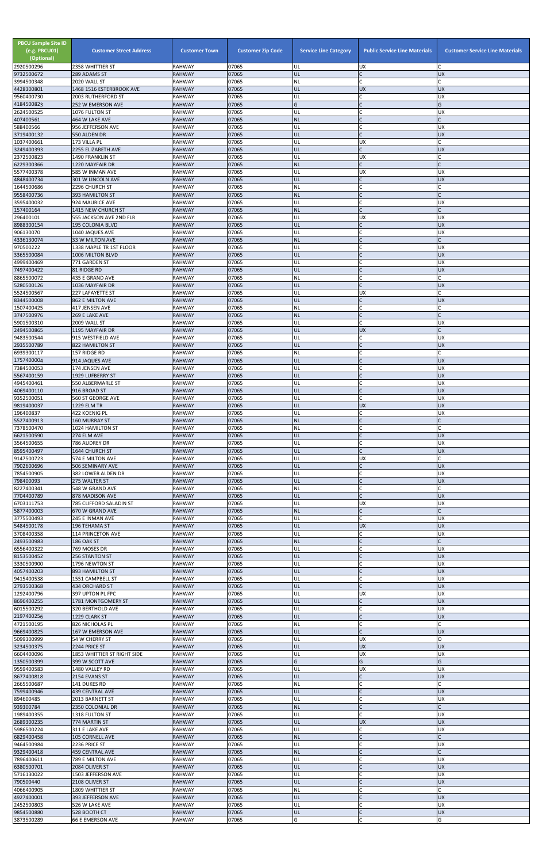| <b>PBCU Sample Site ID</b><br>(e.g. PBCU01)<br>(Optional)<br>2920500296 | <b>Customer Street Address</b><br>2358 WHITTIER ST | <b>Customer Town</b><br><b>RAHWAY</b> | <b>Customer Zip Code</b><br>07065 | <b>Service Line Category</b><br>UL | <b>Public Service Line Materials</b><br><b>UX</b> | <b>Customer Service Line Materials</b> |
|-------------------------------------------------------------------------|----------------------------------------------------|---------------------------------------|-----------------------------------|------------------------------------|---------------------------------------------------|----------------------------------------|
| 9732500672                                                              | 289 ADAMS ST                                       | <b>RAHWAY</b>                         | 07065                             | UL                                 | $\mathsf{C}$                                      | <b>UX</b>                              |
| 3994500348                                                              | 2020 WALL ST                                       | RAHWAY<br><b>RAHWAY</b>               | 07065<br>07065                    | NL<br>ŰĹ                           | $\mathsf{C}$<br><b>UX</b>                         | <b>UX</b>                              |
| 4428300801<br>9560400730                                                | 1468 1516 ESTERBROOK AVE<br>2003 RUTHERFORD ST     | <b>RAHWAY</b>                         | 07065                             | UL                                 |                                                   | <b>UX</b>                              |
| 4184500823<br>2624500525                                                | 252 W EMERSON AVE                                  | <b>RAHWAY</b><br>RAHWAY               | 07065<br>07065                    | Ġ<br>UL                            | $\mathsf{C}$                                      | G<br><b>UX</b>                         |
| 407400561                                                               | 1076 FULTON ST<br>464 W LAKE AVE                   | <b>RAHWAY</b>                         | 07065                             | <b>NL</b>                          | $\mathsf{C}$                                      |                                        |
| 588400566                                                               | 956 JEFFERSON AVE                                  | RAHWAY                                | 07065                             | UL                                 | C                                                 | <b>UX</b>                              |
| 3719400132<br>1037400661                                                | 550 ALDEN DR<br>173 VILLA PL                       | <b>RAHWAY</b><br>RAHWAY               | 07065<br>07065                    | UL<br>UL                           | <b>UX</b>                                         | <b>UX</b>                              |
| 3249400393                                                              | 2255 ELIZABETH AVE                                 | <b>RAHWAY</b>                         | 07065                             | UL                                 | $\mathsf{C}$                                      | <b>UX</b>                              |
| 2372500823<br>6229300366                                                | 1490 FRANKLIN ST<br>1220 MAYFAIR DR                | RAHWAY<br><b>RAHWAY</b>               | 07065<br>07065                    | UL<br><b>NL</b>                    | <b>UX</b><br>$\mathsf{C}$                         |                                        |
| 5577400378                                                              | 585 W INMAN AVE                                    | <b>RAHWAY</b>                         | 07065                             | UL                                 | <b>UX</b>                                         | <b>UX</b>                              |
| 4848400734                                                              | 301 W LINCOLN AVE                                  | <b>RAHWAY</b>                         | 07065                             | UL                                 | $\mathsf{C}$                                      | <b>UX</b>                              |
| 1644500686<br>9558400736                                                | 2296 CHURCH ST<br>393 HAMILTON ST                  | RAHWAY<br><b>RAHWAY</b>               | 07065<br>07065                    | NL<br><b>NL</b>                    | $\mathsf{C}$<br>$\mathsf{C}$                      |                                        |
| 3595400032                                                              | 924 MAURICE AVE                                    | RAHWAY                                | 07065                             | UL                                 |                                                   | <b>UX</b>                              |
| 157400164<br>296400101                                                  | 1415 NEW CHURCH ST<br>555 JACKSON AVE 2ND FLR      | <b>RAHWAY</b><br>RAHWAY               | 07065<br>07065                    | <b>NL</b><br>UL                    | $\mathsf{C}$<br><b>UX</b>                         | <b>UX</b>                              |
| 8988300154                                                              | <b>195 COLONIA BLVD</b>                            | <b>RAHWAY</b>                         | 07065                             | UL                                 | $\mathsf{C}$                                      | <b>UX</b>                              |
| 906130070                                                               | 1040 JAQUES AVE                                    | <b>RAHWAY</b>                         | 07065                             | UL                                 | $\mathsf{C}$                                      | <b>UX</b>                              |
| 4336130074<br>970500222                                                 | 33 W MILTON AVE<br>1338 MAPLE TR 1ST FLOOR         | <b>RAHWAY</b><br>RAHWAY               | 07065<br>07065                    | <b>NL</b><br>UL                    |                                                   | <b>UX</b>                              |
| 3365500084                                                              | 1006 MILTON BLVD                                   | <b>RAHWAY</b>                         | 07065                             | UL                                 | $\mathsf{C}$                                      | <b>UX</b>                              |
| 4999400469<br>7497400422                                                | 771 GARDEN ST<br>81 RIDGE RD                       | <b>RAHWAY</b><br><b>RAHWAY</b>        | 07065<br>07065                    | UL<br>UL                           | $\mathsf{C}$                                      | <b>UX</b><br><b>UX</b>                 |
| 8865500072                                                              | 435 E GRAND AVE                                    | RAHWAY                                | 07065                             | NL                                 | $\mathsf{C}$                                      |                                        |
| 5280500126                                                              | 1036 MAYFAIR DR                                    | <b>RAHWAY</b>                         | 07065                             | UL                                 | $\mathsf{C}$                                      | <b>UX</b>                              |
| 5524500567<br>8344500008                                                | <b>227 LAFAYETTE ST</b><br>862 E MILTON AVE        | RAHWAY<br><b>RAHWAY</b>               | 07065<br>07065                    | UL<br>UL                           | <b>UX</b><br>$\mathsf{C}$                         | <b>UX</b>                              |
| 1507400425                                                              | 417 JENSEN AVE                                     | <b>RAHWAY</b>                         | 07065                             | NL                                 |                                                   |                                        |
| 3747500976                                                              | 269 E LAKE AVE                                     | <b>RAHWAY</b>                         | 07065                             | <b>NL</b>                          | $\mathsf{C}$<br>$\mathsf{C}$                      |                                        |
| 5901500310<br>2494500865                                                | 2009 WALL ST<br>1195 MAYFAIR DR                    | RAHWAY<br><b>RAHWAY</b>               | 07065<br>07065                    | UL<br>UL                           | <b>UX</b>                                         | UX                                     |
| 9483500544                                                              | 915 WESTFIELD AVE                                  | <b>RAHWAY</b>                         | 07065                             | UL                                 |                                                   | <b>UX</b>                              |
| 2935500789<br>6939300117                                                | 822 HAMILTON ST<br>157 RIDGE RD                    | <b>RAHWAY</b><br><b>RAHWAY</b>        | 07065<br>07065                    | UL<br>ΝL                           |                                                   | <b>UX</b>                              |
| 1757400004                                                              | 914 JAQUES AVE                                     | <b>RAHWAY</b>                         | 07065                             | UL                                 |                                                   | <b>UX</b>                              |
| 7384500053                                                              | 174 JENSEN AVE                                     | RAHWAY                                | 07065                             | UL                                 |                                                   | <b>UX</b>                              |
| 5567400159<br>4945400461                                                | 1929 LUFBERRY ST<br>550 ALBERMARLE ST              | <b>RAHWAY</b><br>RAHWAY               | 07065<br>07065                    | UL<br>UL                           |                                                   | <b>UX</b><br><b>UX</b>                 |
| 4069400110                                                              | 916 BROAD ST                                       | <b>RAHWAY</b>                         | 07065                             | UL                                 | $\mathsf{C}$                                      | <b>UX</b>                              |
| 9352500051<br>9819400037                                                | 560 ST GEORGE AVE<br><b>1229 ELM TR</b>            | RAHWAY<br><b>RAHWAY</b>               | 07065<br>07065                    | UL<br>UL                           | C<br><b>UX</b>                                    | <b>UX</b><br><b>UX</b>                 |
| 196400837                                                               | 422 KOENIG PL                                      | RAHWAY                                | 07065                             | UL                                 |                                                   | <b>UX</b>                              |
| 5527400913                                                              | <b>160 MURRAY ST</b>                               | <b>RAHWAY</b>                         | 07065                             | <b>NL</b>                          |                                                   |                                        |
| 7378500470<br>6621500590                                                | 1024 HAMILTON ST<br>274 ELM AVE                    | RAHWAY<br><b>RAHWAY</b>               | 07065<br>07065                    | ΝL<br>UL                           | $\mathsf{C}$<br>$\mathsf{C}$                      | <b>UX</b>                              |
| 3564500655                                                              | 786 AUDREY DR                                      | RAHWAY                                | 07065                             | UL                                 | $\mathsf{C}$                                      | <b>UX</b>                              |
| 8595400497<br>9147500723                                                | 1644 CHURCH ST<br>574 E MILTON AVE                 | <b>RAHWAY</b><br>RAHWAY               | 07065<br>07065                    | UL<br>UL                           | $\mathsf{C}$<br><b>UX</b>                         | <b>UX</b>                              |
| 7902600696                                                              | 506 SEMINARY AVE                                   | <b>RAHWAY</b>                         | 07065                             | UL                                 | $\overline{C}$                                    | <b>UX</b>                              |
| 7854500905                                                              | 382 LOWER ALDEN DR                                 | RAHWAY                                | 07065                             | UL                                 |                                                   | <b>UX</b>                              |
| 798400093<br>8227400341                                                 | 275 WALTER ST<br>548 W GRAND AVE                   | <b>RAHWAY</b><br>RAHWAY               | 07065<br>07065                    | UL<br>NL                           | $\mathsf{C}$                                      | <b>UX</b>                              |
| 7704400789                                                              | 878 MADISON AVE                                    | <b>RAHWAY</b>                         | 07065                             | UL                                 | $\mathsf{C}$                                      | <b>UX</b>                              |
| 6703111753<br>5877400003                                                | 785 CLIFFORD SALADIN ST<br>670 W GRAND AVE         | RAHWAY<br><b>RAHWAY</b>               | 07065<br>07065                    | UL<br><b>NL</b>                    | <b>UX</b>                                         | <b>UX</b>                              |
| 3775500493                                                              | 245 E INMAN AVE                                    | RAHWAY                                | 07065                             | UL                                 |                                                   | <b>UX</b>                              |
| 5484500178                                                              | 196 TEHAMA ST                                      | <b>RAHWAY</b>                         | 07065                             | UL                                 | <b>UX</b><br>$\mathsf{C}$                         | <b>UX</b>                              |
| 3708400358<br>2493500983                                                | 114 PRINCETON AVE<br>186 OAK ST                    | RAHWAY<br><b>RAHWAY</b>               | 07065<br>07065                    | UL<br><b>NL</b>                    |                                                   | <b>UX</b>                              |
| 6556400322                                                              | 769 MOSES DR                                       | RAHWAY                                | 07065                             | UL                                 |                                                   | <b>UX</b>                              |
| 8153500452<br>3330500900                                                | <b>256 STANTON ST</b><br>1796 NEWTON ST            | <b>RAHWAY</b><br>RAHWAY               | 07065<br>07065                    | UL<br>UL                           | $\mathsf{C}$<br>$\mathsf{C}$                      | <b>UX</b><br><b>UX</b>                 |
| 4057400203                                                              | 893 HAMILTON ST                                    | <b>RAHWAY</b>                         | 07065                             | UL                                 | $\mathsf{C}$                                      | <b>UX</b>                              |
| 9415400538                                                              | 1551 CAMPBELL ST                                   | RAHWAY                                | 07065                             | UL                                 | $\mathsf{C}$                                      | <b>UX</b>                              |
| 2793500368<br>1292400796                                                | 434 ORCHARD ST<br>397 UPTON PL FPC                 | <b>RAHWAY</b><br>RAHWAY               | 07065<br>07065                    | UL<br>UL                           | $\mathsf{C}$<br><b>UX</b>                         | <b>UX</b><br><b>UX</b>                 |
| 8696400255                                                              | 1781 MONTGOMERY ST                                 | <b>RAHWAY</b>                         | 07065                             | UL                                 | $\mathsf{C}$                                      | <b>UX</b>                              |
| 6015500292<br>2197400256                                                | 320 BERTHOLD AVE<br>1229 CLARK ST                  | RAHWAY<br><b>RAHWAY</b>               | 07065<br>07065                    | UL<br>UL                           | $\mathsf{C}$                                      | <b>UX</b><br><b>UX</b>                 |
| 4721500195                                                              | 826 NICHOLAS PL                                    | RAHWAY                                | 07065                             | NL                                 | $\mathsf{C}$                                      |                                        |
| 9669400825<br>5099300999                                                | 167 W EMERSON AVE                                  | <b>RAHWAY</b>                         | 07065<br>07065                    | UL<br>UL                           | $\mathsf{C}$<br><b>UX</b>                         | <b>UX</b><br>O                         |
| 3234500375                                                              | 54 W CHERRY ST<br>2244 PRICE ST                    | RAHWAY<br><b>RAHWAY</b>               | 07065                             | UL                                 | <b>UX</b>                                         | <b>UX</b>                              |
| 6604400096                                                              | <b>1853 WHITTIER ST RIGHT SIDE</b>                 | RAHWAY                                | 07065                             | UL                                 | UX                                                | <b>UX</b>                              |
| 1350500399<br>9559400583                                                | 399 W SCOTT AVE<br>1480 VALLEY RD                  | <b>RAHWAY</b><br><b>RAHWAY</b>        | 07065<br>07065                    | G<br>UL                            | G<br><b>UX</b>                                    | G<br><b>UX</b>                         |
| 8677400818                                                              | 2154 EVANS ST                                      | <b>RAHWAY</b>                         | 07065                             | UL                                 | $\overline{C}$                                    | <b>UX</b>                              |
| 2665500687                                                              | 141 DUKES RD                                       | <b>RAHWAY</b>                         | 07065                             | <b>NL</b>                          | $\mathsf{C}$<br>$\mathsf{C}$                      |                                        |
| 7599400946<br>894600485                                                 | 439 CENTRAL AVE<br>2013 BARNETT ST                 | <b>RAHWAY</b><br>RAHWAY               | 07065<br>07065                    | UL<br>UL                           | $\mathsf{C}$                                      | <b>UX</b><br><b>UX</b>                 |
| 939300784                                                               | 2350 COLONIAL DR                                   | <b>RAHWAY</b>                         | 07065                             | <b>NL</b>                          | $\mathsf{C}$                                      |                                        |
| 1989400355<br>2689300235                                                | 1318 FULTON ST<br>774 MARTIN ST                    | <b>RAHWAY</b><br><b>RAHWAY</b>        | 07065<br>07065                    | UL<br>UL                           | $\mathsf{C}$<br><b>UX</b>                         | <b>UX</b><br><b>UX</b>                 |
| 5986500224                                                              | 311 E LAKE AVE                                     | RAHWAY                                | 07065                             | UL                                 | $\mathsf{C}$                                      | <b>UX</b>                              |
| 6829400458                                                              | 105 CORNELL AVE                                    | <b>RAHWAY</b>                         | 07065                             | <b>NL</b>                          | $\mathsf{C}$                                      |                                        |
| 9464500984<br>9329400418                                                | 2236 PRICE ST<br><b>459 CENTRAL AVE</b>            | <b>RAHWAY</b><br><b>RAHWAY</b>        | 07065<br>07065                    | UL<br><b>NL</b>                    | $\mathsf{C}$<br>$\mathsf{C}$                      | <b>UX</b>                              |
| 7896400611                                                              | 789 E MILTON AVE                                   | RAHWAY                                | 07065                             | UL                                 |                                                   | <b>UX</b>                              |
| 6380500701<br>5716130022                                                | 2084 OLIVER ST<br>1503 JEFFERSON AVE               | <b>RAHWAY</b><br>RAHWAY               | 07065<br>07065                    | UL<br>UL                           | $\mathsf{C}$                                      | <b>UX</b><br><b>UX</b>                 |
| 790500440                                                               | 2108 OLIVER ST                                     | <b>RAHWAY</b>                         | 07065                             | UL                                 |                                                   | <b>UX</b>                              |
| 4066400905                                                              | 1809 WHITTIER ST                                   | RAHWAY                                | 07065                             | NL                                 |                                                   |                                        |
| 4927400001<br>2452500803                                                | 393 JEFFERSON AVE<br>526 W LAKE AVE                | <b>RAHWAY</b><br><b>RAHWAY</b>        | 07065<br>07065                    | UL<br>UL                           | $\mathsf{C}$                                      | <b>UX</b><br><b>UX</b>                 |
| 9854500880                                                              | 528 BOOTH CT                                       | <b>RAHWAY</b>                         | 07065                             | UL                                 | $\mathsf{C}$                                      | <b>UX</b>                              |
| 3873500289                                                              | 66 E EMERSON AVE                                   | <b>RAHWAY</b>                         | 07065                             | G                                  | C                                                 | G                                      |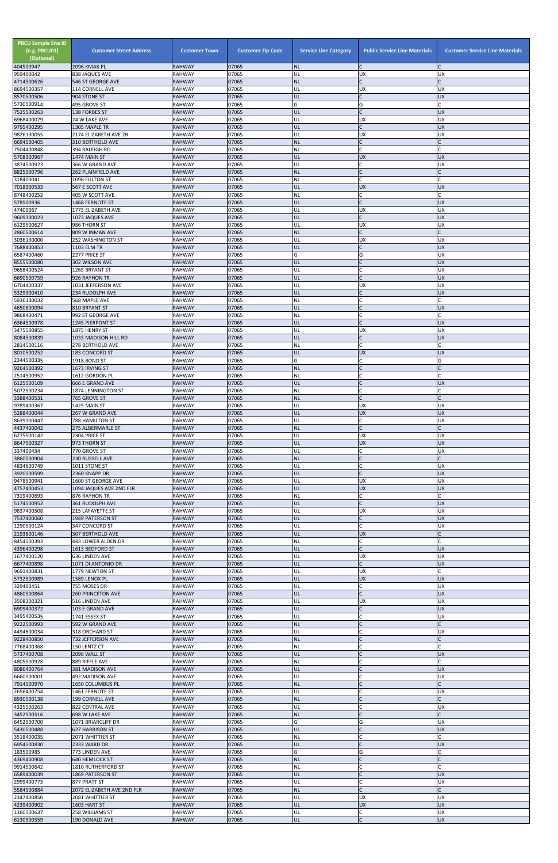| <b>PBCU Sample Site ID</b><br>(e.g. PBCU01)<br>(Optional)<br>404500947 | <b>Customer Street Address</b><br>2096 KMAK PL | <b>Customer Town</b><br><b>RAHWAY</b> | <b>Customer Zip Code</b><br>07065 | <b>Service Line Category</b><br><b>NL</b> | <b>Public Service Line Materials</b><br>lC. | <b>Customer Service Line Materials</b> |
|------------------------------------------------------------------------|------------------------------------------------|---------------------------------------|-----------------------------------|-------------------------------------------|---------------------------------------------|----------------------------------------|
| 959400042                                                              | 838 JAQUES AVE                                 | RAHWAY                                | 07065                             | UL                                        | <b>UX</b>                                   | <b>UX</b>                              |
| 4714500626                                                             | 546 ST GEORGE AVE                              | <b>RAHWAY</b>                         | 07065                             | <b>NL</b>                                 | l <sub>C</sub>                              |                                        |
| 8694500357<br>8570500506                                               | 114 CORNELL AVE<br>904 STONE ST                | RAHWAY<br><b>RAHWAY</b>               | 07065<br>07065                    | UL<br>UL                                  | <b>UX</b><br>l <sub>C</sub>                 | UX<br><b>UX</b>                        |
| 5730500914                                                             | 495 GROVE ST                                   | <b>RAHWAY</b>                         | 07065                             | G                                         | G                                           |                                        |
| 7525500263<br>6968400079                                               | 138 FORBES ST<br>24 W LAKE AVE                 | <b>RAHWAY</b><br>RAHWAY               | 07065<br>07065                    | UL<br>UL                                  | $\mathsf C$<br><b>UX</b>                    | <b>UX</b><br><b>UX</b>                 |
| 9795400295                                                             | 1305 MAPLE TR                                  | <b>RAHWAY</b>                         | 07065                             | UL                                        | <b>C</b>                                    | UX                                     |
| 9826130055                                                             | 2174 ELIZABETH AVE 2R                          | <b>RAHWAY</b>                         | 07065                             | UL                                        | <b>UX</b>                                   | UX                                     |
| 6694500405<br>7504400848                                               | 310 BERTHOLD AVE<br>394 RALEIGH RD             | <b>RAHWAY</b><br>RAHWAY               | 07065<br>07065                    | <b>NL</b><br><b>NL</b>                    | <b>C</b><br>C                               |                                        |
| 5708300967                                                             | 1474 MAIN ST                                   | <b>RAHWAY</b>                         | 07065                             | UL                                        | <b>UX</b>                                   | <b>UX</b>                              |
| 3874500923<br>8825500796                                               | 366 W GRAND AVE<br><b>262 PLAINFIELD AVE</b>   | <b>RAHWAY</b><br><b>RAHWAY</b>        | 07065<br>07065                    | UL<br><b>NL</b>                           | C<br>$\mathsf{C}$                           | UX                                     |
| 318400041                                                              | 1096 FULTON ST                                 | RAHWAY                                | 07065                             | NL                                        | <b>C</b>                                    |                                        |
| 7018300533                                                             | 567 E SCOTT AVE                                | <b>RAHWAY</b>                         | 07065                             | UL                                        | <b>UX</b>                                   | <b>UX</b>                              |
| 8748400252<br>578500936                                                | 405 W SCOTT AVE<br>1468 FERNOTE ST             | <b>RAHWAY</b><br><b>RAHWAY</b>        | 07065<br>07065                    | NL<br>UL                                  | C.<br>IC                                    | <b>UX</b>                              |
| 47400067                                                               | 1773 ELIZABETH AVE                             | RAHWAY                                | 07065                             | UL                                        | <b>UX</b>                                   | UX                                     |
| 9609300023                                                             | 1073 JAQUES AVE                                | <b>RAHWAY</b>                         | 07065                             | UL                                        | l <sub>C</sub>                              | <b>UX</b>                              |
| 6129500627<br>2860500614                                               | 986 THORN ST<br>809 W INMAN AVE                | RAHWAY<br><b>RAHWAY</b>               | 07065<br>07065                    | UL<br><b>NL</b>                           | <b>UX</b><br>l <sub>C</sub>                 | UΧ                                     |
| 3036130000                                                             | 252 WASHINGTON ST                              | <b>RAHWAY</b>                         | 07065                             | UL                                        | <b>UX</b>                                   | UX                                     |
| 7688400453<br>6587400460                                               | 1103 ELM TR<br>2277 PRICE ST                   | <b>RAHWAY</b><br><b>RAHWAY</b>        | 07065<br>07065                    | UL<br>G                                   | <b>C</b><br>G                               | UX<br><b>UX</b>                        |
| 8555500080                                                             | 302 WILSON AVE                                 | <b>RAHWAY</b>                         | 07065                             | UL                                        | $\mathsf{C}$                                | UX                                     |
| 9658400524                                                             | 1265 BRYANT ST                                 | RAHWAY                                | 07065                             | UL                                        | $\mathsf{C}$                                | <b>UX</b>                              |
| 6690500759<br>6704400337                                               | 926 RAYHON TR<br>1031 JEFFERSON AVE            | <b>RAHWAY</b><br>RAHWAY               | 07065<br>07065                    | UL<br>UL                                  | $\mathsf{C}$<br><b>UX</b>                   | <b>UX</b><br><b>UX</b>                 |
| 5329300410                                                             | 234 RUDOLPH AVE                                | <b>RAHWAY</b>                         | 07065                             | UL                                        | l <sub>C</sub>                              | UX                                     |
| 5936130032                                                             | 568 MAPLE AVE                                  | <b>RAHWAY</b>                         | 07065                             | NL                                        | $\mathsf C$<br>l <sub>C</sub>               |                                        |
| 4650600094<br>9868400471                                               | 810 BRYANT ST<br>992 ST GEORGE AVE             | <b>RAHWAY</b><br>RAHWAY               | 07065<br>07065                    | UL<br>NL                                  | <b>C</b>                                    | <b>UX</b>                              |
| 6364500978                                                             | 1245 PIERPONT ST                               | <b>RAHWAY</b>                         | 07065                             | UL                                        | l <sub>C</sub>                              | <b>UX</b>                              |
| 3475500855<br>8084500839                                               | 1875 HENRY ST<br>1033 MADISON HILL RD          | RAHWAY<br><b>RAHWAY</b>               | 07065<br>07065                    | UL<br>UL                                  | <b>UX</b><br>$\mathsf{C}$                   | UX<br><b>UX</b>                        |
| 2814500116                                                             | 278 BERTHOLD AVE                               | RAHWAY                                | 07065                             | <b>NL</b>                                 | $\mathsf{C}$                                |                                        |
| 8010500252                                                             | <b>183 CONCORD ST</b>                          | <b>RAHWAY</b>                         | 07065                             | UL                                        | <b>UX</b>                                   | <b>UX</b>                              |
| 2344500335<br>9264500392                                               | 1918 BOND ST<br>1673 IRVING ST                 | RAHWAY<br><b>RAHWAY</b>               | 07065<br>07065                    | G<br><b>NL</b>                            | $\mathsf{C}$                                | G                                      |
| 2514500952                                                             | 1612 GORDON PL                                 | <b>RAHWAY</b>                         | 07065                             | <b>NL</b>                                 | C                                           |                                        |
| 6125500109<br>5072500234                                               | <b>666 E GRAND AVE</b><br>1874 LENNINGTON ST   | <b>RAHWAY</b><br>RAHWAY               | 07065<br>07065                    | UL<br><b>NL</b>                           | $\overline{C}$<br>C                         | <b>UX</b>                              |
| 3388400531                                                             | 765 GROVE ST                                   | <b>RAHWAY</b>                         | 07065                             | <b>NL</b>                                 | $\mathsf{C}$                                |                                        |
| 9789400367                                                             | 1425 MAIN ST                                   | <b>RAHWAY</b>                         | 07065                             | UL                                        | <b>UX</b>                                   | <b>UX</b>                              |
| 5288400044<br>8639300447                                               | 267 W GRAND AVE<br><b>788 HAMILTON ST</b>      | <b>RAHWAY</b><br>RAHWAY               | 07065<br>07065                    | UL<br>UL                                  | <b>UX</b><br>C                              | <b>UX</b><br><b>UX</b>                 |
| 4437400042                                                             | 275 ALBERMARLE ST                              | <b>RAHWAY</b>                         | 07065                             | <b>NL</b>                                 | lc.                                         |                                        |
| 6275500142                                                             | 2304 PRICE ST                                  | RAHWAY                                | 07065                             | UL                                        | <b>UX</b>                                   | <b>UX</b>                              |
| 8647500327<br>337400434                                                | 973 THORN ST<br>770 GROVE ST                   | <b>RAHWAY</b><br>RAHWAY               | 07065<br>07065                    | UL<br>UL                                  | <b>UX</b><br>$\mathsf{C}$                   | <b>UX</b><br><b>UX</b>                 |
| 3860500904                                                             | 230 RUSSELL AVE                                | <b>RAHWAY</b>                         | 07065                             | <b>NL</b>                                 | <b>C</b>                                    |                                        |
| 4834600749<br>3920500599                                               | 1011 STONE ST<br>2360 KNAPP DR                 | RAHWAY<br><b>RAHWAY</b>               | 07065<br>07065                    | UL<br>UL                                  | C<br>l <sub>C</sub>                         | UX<br><b>UX</b>                        |
| 9478500941                                                             | 1600 ST GEORGE AVE                             | <b>RAHWAY</b>                         | 07065                             | UL                                        | UX                                          | <b>UX</b>                              |
| 4757400453                                                             | 1094 JAQUES AVE 2ND FLR                        | <b>RAHWAY</b>                         | 07065                             | UL                                        | <b>UX</b>                                   | <b>UX</b>                              |
| 7319400693<br>5174500952                                               | 876 RAYHON TR<br>361 RUDOLPH AVE               | RAHWAY<br><b>RAHWAY</b>               | 07065<br>07065                    | <b>NL</b><br>UL                           | C<br>$\mathsf{C}$                           | <b>UX</b>                              |
| 9837400508                                                             | <b>215 LAFAYETTE ST</b>                        | RAHWAY                                | 07065                             | UL                                        | <b>UX</b>                                   | <b>UX</b>                              |
| 7537400060<br>1290500124                                               | 1949 PATERSON ST<br>347 CONCORD ST             | <b>RAHWAY</b><br>RAHWAY               | 07065<br>07065                    | UL<br>UL                                  | $\mathsf{C}$<br>$\mathsf{C}$                | <b>UX</b><br><b>UX</b>                 |
| 2193600146                                                             | <b>307 BERTHOLD AVE</b>                        | <b>RAHWAY</b>                         | 07065                             | UL                                        | <b>UX</b>                                   |                                        |
| 8454500393                                                             | 443 LOWER ALDEN DR                             | RAHWAY                                | 07065                             | <b>NL</b>                                 | $\mathsf{C}$                                |                                        |
| 4396400298<br>1677400120                                               | 1613 BEDFORD ST<br>636 LINDEN AVE              | <b>RAHWAY</b><br>RAHWAY               | 07065<br>07065                    | UL<br>UL                                  | l <sub>C</sub><br><b>UX</b>                 | <b>UX</b><br><b>UX</b>                 |
| 6677400898                                                             | 1071 DI ANTONIO DR                             | <b>RAHWAY</b>                         | 07065                             | UL                                        | $\mathsf{C}$                                | <b>UX</b>                              |
| 9691400831                                                             | 1779 NEWTON ST                                 | RAHWAY                                | 07065                             | UL                                        | <b>UX</b>                                   |                                        |
| 5732500989<br>329400451                                                | 1589 LENOX PL<br>755 MOSES DR                  | <b>RAHWAY</b><br>RAHWAY               | 07065<br>07065                    | UL<br>UL                                  | <b>UX</b><br>$\mathsf{C}$                   | <b>UX</b><br><b>UX</b>                 |
| 4860500864                                                             | <b>260 PRINCETON AVE</b>                       | <b>RAHWAY</b>                         | 07065                             | UL                                        | lc.                                         | <b>UX</b>                              |
| 3508300321<br>6909400372                                               | 516 LINDEN AVE<br>103 E GRAND AVE              | RAHWAY<br><b>RAHWAY</b>               | 07065<br>07065                    | UL<br>UL                                  | <b>UX</b><br>IC                             | <b>UX</b><br>UX                        |
| 3495400535                                                             | 1741 ESSEX ST                                  | RAHWAY                                | 07065                             | UL                                        | C                                           | <b>UX</b>                              |
| 9222500993                                                             | 592 W GRAND AVE                                | <b>RAHWAY</b>                         | 07065                             | <b>NL</b>                                 | $\overline{C}$                              |                                        |
| 4494600034<br>9228400850                                               | 318 ORCHARD ST<br>732 JEFFERSON AVE            | RAHWAY<br><b>RAHWAY</b>               | 07065<br>07065                    | UL<br><b>NL</b>                           | $\mathsf{C}$<br><b>C</b>                    | <b>UX</b>                              |
| 7768400368                                                             | 150 LENTZ CT                                   | RAHWAY                                | 07065                             | <b>NL</b>                                 | $\mathsf{C}$                                |                                        |
| 5737400708<br>4805500928                                               | 2096 WALL ST                                   | <b>RAHWAY</b><br><b>RAHWAY</b>        | 07065<br>07065                    | UL<br>NL                                  |                                             | <b>UX</b>                              |
| 8086400764                                                             | 889 RIFFLE AVE<br>381 MADISON AVE              | <b>RAHWAY</b>                         | 07065                             | UL.                                       |                                             | <b>UX</b>                              |
| 6660500001                                                             | 492 MADISON AVE                                | <b>RAHWAY</b>                         | 07065                             | UL                                        | C                                           | <b>UX</b>                              |
| 7914500970<br>2656400754                                               | 1650 COLUMBUS PL<br>1461 FERNOTE ST            | <b>RAHWAY</b><br><b>RAHWAY</b>        | 07065<br>07065                    | <b>NL</b><br>UL                           | <b>C</b><br>$\mathsf{C}$                    | <b>UX</b>                              |
| 8930500138                                                             | 199 CORNELL AVE                                | <b>RAHWAY</b>                         | 07065                             | <b>NL</b>                                 | $\overline{C}$                              |                                        |
| 4325500263                                                             | 822 CENTRAL AVE                                | RAHWAY                                | 07065                             | UL                                        | $\mathsf{C}$                                | <b>UX</b>                              |
| 3452500516<br>6452500700                                               | 698 W LAKE AVE<br>1071 BRIARCLIFF DR           | <b>RAHWAY</b><br><b>RAHWAY</b>        | 07065<br>07065                    | <b>NL</b><br>G                            | $\mathsf{C}$<br>G                           | <b>UX</b>                              |
| 5430500488                                                             | <b>627 HARRISON ST</b>                         | <b>RAHWAY</b>                         | 07065                             | UL                                        | IC                                          | <b>UX</b>                              |
| 3518400035                                                             | 2071 WHITTIER ST                               | RAHWAY                                | 07065                             | <b>NL</b>                                 | $\mathsf{C}$                                |                                        |
| 6954500830<br>183500985                                                | 2333 WARD DR<br>773 LINDEN AVE                 | <b>RAHWAY</b><br><b>RAHWAY</b>        | 07065<br>07065                    | UL<br>G                                   | $\mathsf{C}$<br>G                           | <b>UX</b>                              |
| 4369400908                                                             | <b>640 HEMLOCK ST</b>                          | <b>RAHWAY</b>                         | 07065                             | <b>NL</b>                                 | $\mathsf{C}$                                |                                        |
| 9914500642<br>6589400039                                               | 1810 RUTHERFORD ST<br>1869 PATERSON ST         | RAHWAY<br><b>RAHWAY</b>               | 07065<br>07065                    | <b>NL</b><br>UL                           | $\mathsf{C}$<br><b>C</b>                    | <b>UX</b>                              |
| 2999400773                                                             | 877 PRATT ST                                   | <b>RAHWAY</b>                         | 07065                             | UL                                        | <b>C</b>                                    | <b>UX</b>                              |
| 5584500884                                                             | 2072 ELIZABETH AVE 2ND FLR                     | <b>RAHWAY</b>                         | 07065                             | <b>NL</b>                                 | $\mathsf{C}$                                |                                        |
| 2347400850<br>4239400902                                               | 2081 WHITTIER ST<br>1603 HART ST               | RAHWAY<br><b>RAHWAY</b>               | 07065<br>07065                    | UL<br>UL                                  | <b>UX</b><br><b>UX</b>                      | <b>UX</b><br><b>UX</b>                 |
| 1360500637                                                             | 258 WILLIAMS ST                                | <b>RAHWAY</b>                         | 07065                             | UL                                        | C                                           | <b>UX</b>                              |
| 6130500559                                                             | 190 DONALD AVE                                 | <b>RAHWAY</b>                         | 07065                             | UL                                        | $\mathsf{C}$                                | <b>UX</b>                              |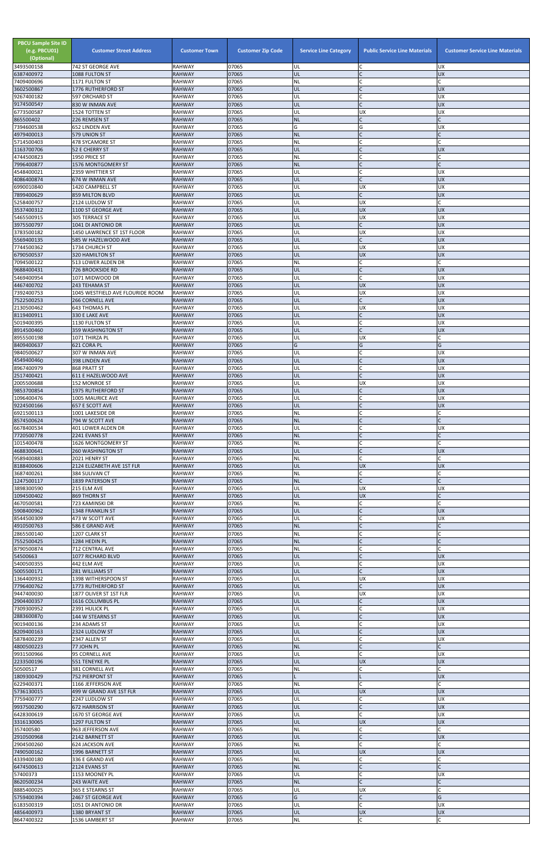| <b>PBCU Sample Site ID</b><br>(e.g. PBCU01)<br>(Optional)<br>3493500158 | <b>Customer Street Address</b><br>742 ST GEORGE AVE | <b>Customer Town</b><br><b>RAHWAY</b> | <b>Customer Zip Code</b><br>07065 | <b>Service Line Category</b><br>UL | <b>Public Service Line Materials</b><br>C | <b>Customer Service Line Materials</b><br><b>UX</b> |
|-------------------------------------------------------------------------|-----------------------------------------------------|---------------------------------------|-----------------------------------|------------------------------------|-------------------------------------------|-----------------------------------------------------|
| 6387400972                                                              | 1088 FULTON ST                                      | <b>RAHWAY</b>                         | 07065                             | UL                                 |                                           | <b>UX</b>                                           |
| 7409400696<br>3602500867                                                | 1171 FULTON ST<br>1776 RUTHERFORD ST                | <b>RAHWAY</b><br><b>RAHWAY</b>        | 07065<br>07065                    | <b>NL</b><br>UL                    | $\mathsf{C}$<br>$\mathsf{C}$              | C<br><b>UX</b>                                      |
| 9267400182                                                              | 597 ORCHARD ST                                      | <b>RAHWAY</b>                         | 07065                             | UL                                 |                                           | <b>UX</b>                                           |
| 9174500547<br>6773500587                                                | 830 W INMAN AVE                                     | <b>RAHWAY</b>                         | 07065<br>07065                    | UL                                 | $\mathsf{C}$<br>UX                        | <b>UX</b><br><b>UX</b>                              |
| 865500402                                                               | 1524 TOTTEN ST<br>226 REMSEN ST                     | <b>RAHWAY</b><br><b>RAHWAY</b>        | 07065                             | UL<br><b>NL</b>                    | $\mathsf{C}$                              |                                                     |
| 7394600538                                                              | 652 LINDEN AVE                                      | <b>RAHWAY</b>                         | 07065                             | G                                  | G                                         | <b>UX</b>                                           |
| 4979400013<br>5714500403                                                | 579 UNION ST<br>478 SYCAMORE ST                     | <b>RAHWAY</b><br><b>RAHWAY</b>        | 07065<br>07065                    | <b>NL</b><br><b>NL</b>             |                                           |                                                     |
| 1163700706                                                              | 52 E CHERRY ST                                      | <b>RAHWAY</b>                         | 07065                             | UL                                 | $\mathsf{C}$                              | <b>UX</b>                                           |
| 4744500823<br>7996400877                                                | 1950 PRICE ST<br>1576 MONTGOMERY ST                 | <b>RAHWAY</b><br><b>RAHWAY</b>        | 07065<br>07065                    | NL<br><b>NL</b>                    | $\mathsf{C}$                              |                                                     |
| 4548400021                                                              | 2359 WHITTIER ST                                    | <b>RAHWAY</b>                         | 07065                             | UL                                 | C                                         | <b>UX</b>                                           |
| 4086400874                                                              | 674 W INMAN AVE                                     | <b>RAHWAY</b>                         | 07065                             | UL                                 | $\mathsf{C}$                              | <b>UX</b>                                           |
| 6990010840<br>7899400629                                                | 1420 CAMPBELL ST<br>859 MILTON BLVD                 | <b>RAHWAY</b><br><b>RAHWAY</b>        | 07065<br>07065                    | UL<br>UL                           | <b>UX</b><br>$\mathsf{C}$                 | <b>UX</b><br><b>UX</b>                              |
| 5258400757                                                              | 2124 LUDLOW ST                                      | <b>RAHWAY</b>                         | 07065                             | UL                                 | <b>UX</b>                                 |                                                     |
| 3537400312<br>5465500915                                                | 1100 ST GEORGE AVE<br><b>305 TERRACE ST</b>         | <b>RAHWAY</b><br><b>RAHWAY</b>        | 07065<br>07065                    | UL<br>UL                           | <b>UX</b><br>UX                           | <b>UX</b><br><b>UX</b>                              |
| 3975500797                                                              | 1041 DI ANTONIO DR                                  | <b>RAHWAY</b>                         | 07065                             | UL                                 | $\mathsf{C}$                              | <b>UX</b>                                           |
| 3783500182<br>5569400135                                                | 1450 LAWRENCE ST 1ST FLOOR<br>585 W HAZELWOOD AVE   | <b>RAHWAY</b><br><b>RAHWAY</b>        | 07065<br>07065                    | UL<br>UL                           | <b>UX</b><br>$\mathsf{C}$                 | <b>UX</b><br><b>UX</b>                              |
| 7744500362                                                              | 1734 CHURCH ST                                      | <b>RAHWAY</b>                         | 07065                             | UL                                 | UX                                        | <b>UX</b>                                           |
| 6790500537                                                              | 320 HAMILTON ST                                     | <b>RAHWAY</b>                         | 07065                             | UL                                 | <b>UX</b>                                 | <b>UX</b>                                           |
| 7094500122<br>9688400431                                                | 513 LOWER ALDEN DR<br>726 BROOKSIDE RD              | <b>RAHWAY</b><br><b>RAHWAY</b>        | 07065<br>07065                    | NL<br>UL                           | C<br>$\mathsf{C}$                         | <b>UX</b>                                           |
| 5469400954                                                              | 1071 MIDWOOD DR                                     | <b>RAHWAY</b>                         | 07065                             | UL                                 | $\mathsf{C}$                              | <b>UX</b>                                           |
| 4467400702<br>7392400753                                                | 243 TEHAMA ST<br>1045 WESTFIELD AVE FLOURIDE ROOM   | <b>RAHWAY</b><br><b>RAHWAY</b>        | 07065<br>07065                    | UL<br>UL                           | <b>UX</b><br><b>UX</b>                    | <b>UX</b><br><b>UX</b>                              |
| 7522500253                                                              | <b>266 CORNELL AVE</b>                              | <b>RAHWAY</b>                         | 07065                             | UL                                 | $\mathsf C$                               | <b>UX</b>                                           |
| 2130500462                                                              | 643 THOMAS PL                                       | <b>RAHWAY</b>                         | 07065                             | UL                                 | <b>UX</b>                                 | <b>UX</b>                                           |
| 8119400911<br>5019400395                                                | 330 E LAKE AVE<br>1130 FULTON ST                    | <b>RAHWAY</b><br><b>RAHWAY</b>        | 07065<br>07065                    | UL<br>UL                           | $\mathsf{C}$<br>$\mathsf{C}$              | <b>UX</b><br><b>UX</b>                              |
| 8914500460                                                              | 359 WASHINGTON ST                                   | <b>RAHWAY</b>                         | 07065                             | UL                                 | $\mathsf{C}$                              | <b>UX</b>                                           |
| 8955500198<br>8409400637                                                | 1071 THIRZA PL                                      | <b>RAHWAY</b>                         | 07065<br>07065                    | UL<br>G                            | <b>UX</b><br>G                            | G                                                   |
| 9840500627                                                              | 621 CORA PL<br>307 W INMAN AVE                      | <b>RAHWAY</b><br><b>RAHWAY</b>        | 07065                             | UL                                 |                                           | UX                                                  |
| 4549400460                                                              | 398 LINDEN AVE                                      | <b>RAHWAY</b>                         | 07065                             | UL                                 | $\mathsf{C}$                              | <b>UX</b>                                           |
| 8967400979<br>2517400421                                                | 868 PRATT ST<br>611 E HAZELWOOD AVE                 | <b>RAHWAY</b><br><b>RAHWAY</b>        | 07065<br>07065                    | UL<br>UL                           | $\mathsf{C}$<br>$\mathsf{C}$              | <b>UX</b><br><b>UX</b>                              |
| 2005500688                                                              | 152 MONROE ST                                       | <b>RAHWAY</b>                         | 07065                             | UL                                 | <b>UX</b>                                 | <b>UX</b>                                           |
| 9853700854<br>1096400476                                                | <b>1975 RUTHERFORD ST</b><br>1005 MAURICE AVE       | <b>RAHWAY</b><br><b>RAHWAY</b>        | 07065<br>07065                    | UL<br>UL                           | $\mathsf{C}$<br>C                         | <b>UX</b><br><b>UX</b>                              |
| 9224500166                                                              | <b>657 E SCOTT AVE</b>                              | <b>RAHWAY</b>                         | 07065                             | UL                                 | $\mathsf{C}$                              | <b>UX</b>                                           |
| 6921500113                                                              | 1001 LAKESIDE DR                                    | <b>RAHWAY</b>                         | 07065                             | <b>NL</b>                          |                                           |                                                     |
| 8574500624<br>6678400534                                                | 794 W SCOTT AVE<br>401 LOWER ALDEN DR               | <b>RAHWAY</b><br><b>RAHWAY</b>        | 07065<br>07065                    | <b>NL</b><br>UL                    | $\mathsf{C}$                              | <b>UX</b>                                           |
| 7720500778                                                              | 2241 EVANS ST                                       | <b>RAHWAY</b>                         | 07065                             | <b>NL</b>                          | $\mathsf{C}$                              |                                                     |
| 1015400478<br>4688300641                                                | 1626 MONTGOMERY ST<br><b>260 WASHINGTON ST</b>      | <b>RAHWAY</b><br><b>RAHWAY</b>        | 07065<br>07065                    | <b>NL</b><br>UL                    | C<br>$\mathsf{C}$                         | <b>UX</b>                                           |
| 9589400883                                                              | 2021 HENRY ST                                       | <b>RAHWAY</b>                         | 07065                             | <b>NL</b>                          | $\mathsf{C}$                              | C                                                   |
| 8188400606                                                              | 2124 ELIZABETH AVE 1ST FLR                          | <b>RAHWAY</b>                         | 07065                             | UL                                 | <b>UX</b>                                 | <b>UX</b>                                           |
| 3687400261<br>1247500117                                                | 384 SULIVAN CT<br>1839 PATERSON ST                  | <b>RAHWAY</b><br><b>RAHWAY</b>        | 07065<br>07065                    | <b>NL</b><br><b>NL</b>             |                                           |                                                     |
| 3898300590                                                              | 215 ELM AVE                                         | <b>RAHWAY</b>                         | 07065                             | UL                                 | UX                                        | <b>UX</b>                                           |
| 1094500402<br>4670500581                                                | 869 THORN ST<br>723 KAMINSKI DR                     | <b>RAHWAY</b><br><b>RAHWAY</b>        | 07065<br>07065                    | UL<br>NL                           | <b>UX</b><br>С                            |                                                     |
| 5908400962                                                              | 1348 FRANKLIN ST                                    | <b>RAHWAY</b>                         | 07065                             | UL                                 | $\mathsf{C}$                              | <b>UX</b>                                           |
| 8544500309                                                              | 473 W SCOTT AVE                                     | <b>RAHWAY</b><br><b>RAHWAY</b>        | 07065<br>07065                    | UL<br><b>NL</b>                    | $\mathsf{C}$                              | <b>UX</b><br>$\mathsf{C}$                           |
| 4910500763<br>2865500140                                                | 586 E GRAND AVE<br>1207 CLARK ST                    | <b>RAHWAY</b>                         | 07065                             | NL                                 | C                                         |                                                     |
| 7552500425                                                              | 1284 HEDIN PL                                       | <b>RAHWAY</b>                         | 07065                             | <b>NL</b>                          |                                           |                                                     |
| 8790500874<br>54500663                                                  | 712 CENTRAL AVE<br>1077 RICHARD BLVD                | <b>RAHWAY</b><br><b>RAHWAY</b>        | 07065<br>07065                    | <b>NL</b><br>UL                    | $\mathsf{C}$                              | <b>UX</b>                                           |
| 5400500355                                                              | 442 ELM AVE                                         | <b>RAHWAY</b>                         | 07065                             | UL                                 | $\mathsf{C}$                              | <b>UX</b>                                           |
| 5005500171<br>1364400932                                                | 281 WILLIAMS ST                                     | <b>RAHWAY</b><br><b>RAHWAY</b>        | 07065<br>07065                    | UL<br>UL                           | $\mathsf{C}$<br><b>UX</b>                 | <b>UX</b><br><b>UX</b>                              |
| 7796400762                                                              | 1398 WITHERSPOON ST<br>1773 RUTHERFORD ST           | <b>RAHWAY</b>                         | 07065                             | UL                                 | $\mathsf{C}$                              | <b>UX</b>                                           |
| 9447400030                                                              | 1877 OLIVER ST 1ST FLR                              | <b>RAHWAY</b>                         | 07065                             | UL                                 | <b>UX</b>                                 | <b>UX</b>                                           |
| 2904400357<br>7309300952                                                | 1616 COLUMBUS PL<br>2391 HULICK PL                  | <b>RAHWAY</b><br><b>RAHWAY</b>        | 07065<br>07065                    | UL<br>UL                           | $\mathsf{C}$<br>$\mathsf{C}$              | <b>UX</b><br><b>UX</b>                              |
| 2883600870                                                              | 144 W STEARNS ST                                    | <b>RAHWAY</b>                         | 07065                             | UL                                 |                                           | <b>UX</b>                                           |
| 9019400136<br>8209400163                                                | 234 ADAMS ST<br>2324 LUDLOW ST                      | RAHWAY<br><b>RAHWAY</b>               | 07065<br>07065                    | UL<br>UL                           | $\overline{C}$<br>$\mathsf{C}$            | <b>UX</b><br><b>UX</b>                              |
| 5878400239                                                              | 2347 ALLEN ST                                       | <b>RAHWAY</b>                         | 07065                             | UL                                 | $\mathsf{C}$                              | <b>UX</b>                                           |
| 4800500223<br>9931500966                                                | 77 JOHN PL<br>95 CORNELL AVE                        | <b>RAHWAY</b><br><b>RAHWAY</b>        | 07065<br>07065                    | <b>NL</b><br>UL                    | $\mathsf{C}$                              | <b>UX</b>                                           |
| 2233500196                                                              | <b>551 TENEYKE PL</b>                               | <b>RAHWAY</b>                         | 07065                             | UL                                 | <b>UX</b>                                 | <b>UX</b>                                           |
| 50500517                                                                | 381 CORNELL AVE                                     | <b>RAHWAY</b>                         | 07065                             | NL.                                |                                           |                                                     |
| 1809300429<br>6229400371                                                | <b>752 PIERPONT ST</b><br>1166 JEFFERSON AVE        | <b>RAHWAY</b><br><b>RAHWAY</b>        | 07065<br>07065                    | <b>NL</b>                          | $\mathsf{C}$                              | <b>UX</b>                                           |
| 5736130015                                                              | 499 W GRAND AVE 1ST FLR                             | <b>RAHWAY</b>                         | 07065                             | UL                                 | <b>UX</b>                                 | <b>UX</b>                                           |
| 7759400777<br>9937500290                                                | 2247 LUDLOW ST<br>672 HARRISON ST                   | RAHWAY<br><b>RAHWAY</b>               | 07065<br>07065                    | UL<br>UL                           | C<br>$\mathsf{C}$                         | <b>UX</b><br><b>UX</b>                              |
| 6428300619                                                              | 1670 ST GEORGE AVE                                  | <b>RAHWAY</b>                         | 07065                             | UL                                 | C                                         | <b>UX</b>                                           |
| 3316130065                                                              | 1297 FULTON ST                                      | <b>RAHWAY</b>                         | 07065                             | UL                                 | <b>UX</b><br>C                            | <b>UX</b>                                           |
| 357400580<br>2910500968                                                 | 963 JEFFERSON AVE<br>2142 BARNETT ST                | RAHWAY<br><b>RAHWAY</b>               | 07065<br>07065                    | <b>NL</b><br><b>UL</b>             | $\mathsf{C}$                              | <b>UX</b>                                           |
| 2904500260                                                              | 624 JACKSON AVE                                     | <b>RAHWAY</b>                         | 07065                             | NL                                 | $\mathsf{C}$                              |                                                     |
| 7490500162<br>4339400180                                                | 1996 BARNETT ST<br>336 E GRAND AVE                  | <b>RAHWAY</b><br><b>RAHWAY</b>        | 07065<br>07065                    | UL<br><b>NL</b>                    | <b>UX</b><br>C                            | <b>UX</b>                                           |
| 6474500613                                                              | 2124 EVANS ST                                       | <b>RAHWAY</b>                         | 07065                             | <b>NL</b>                          | $\mathsf{C}$                              |                                                     |
| 57400373                                                                | 1153 MOONEY PL                                      | <b>RAHWAY</b>                         | 07065                             | UL                                 | $\mathsf{C}$<br>$\mathsf{C}$              | <b>UX</b>                                           |
| 8620500234<br>8885400025                                                | 243 WAITE AVE<br>365 E STEARNS ST                   | <b>RAHWAY</b><br>RAHWAY               | 07065<br>07065                    | <b>NL</b><br>UL                    | <b>UX</b>                                 |                                                     |
| 5759400394                                                              | 2467 ST GEORGE AVE                                  | <b>RAHWAY</b>                         | 07065                             | G                                  | $\mathsf{C}$                              | G                                                   |
| 6183500319<br>4856400973                                                | 1051 DI ANTONIO DR<br>1380 BRYANT ST                | <b>RAHWAY</b><br><b>RAHWAY</b>        | 07065<br>07065                    | UL<br>UL                           | $\mathsf{C}$<br><b>UX</b>                 | <b>UX</b><br>UX                                     |
| 8647400322                                                              | 1536 LAMBERT ST                                     | RAHWAY                                | 07065                             | $\sf NL$                           | $\mathsf{C}$                              |                                                     |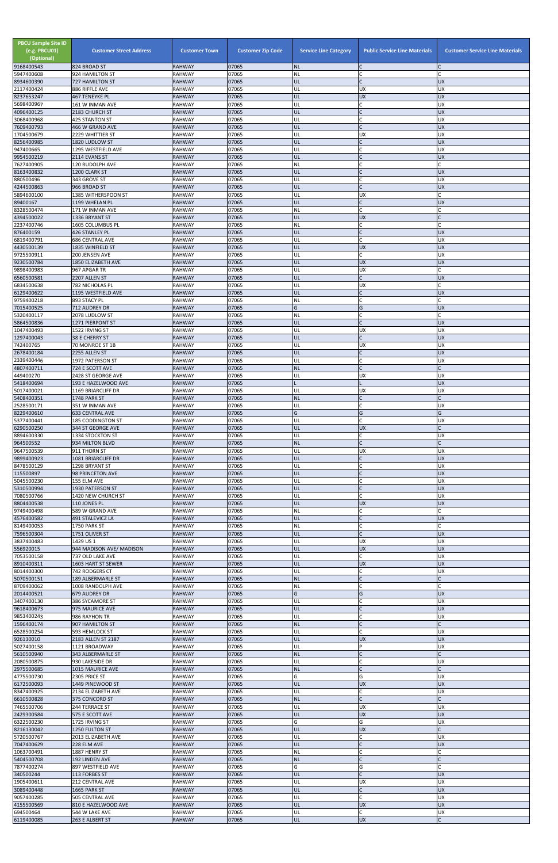| <b>PBCU Sample Site ID</b><br>(e.g. PBCU01)<br>(Optional)<br>9168400543 | <b>Customer Street Address</b><br>824 BROAD ST | <b>Customer Town</b><br>RAHWAY | <b>Customer Zip Code</b><br>07065 | <b>Service Line Category</b><br><b>NL</b> | <b>Public Service Line Materials</b><br>IC | <b>Customer Service Line Materials</b> |
|-------------------------------------------------------------------------|------------------------------------------------|--------------------------------|-----------------------------------|-------------------------------------------|--------------------------------------------|----------------------------------------|
| 5947400608                                                              | 924 HAMILTON ST                                | <b>RAHWAY</b>                  | 07065                             | NL                                        | <b>C</b>                                   |                                        |
| 8934600390                                                              | <b>727 HAMILTON ST</b><br>886 RIFFLE AVE       | <b>RAHWAY</b><br><b>RAHWAY</b> | 07065<br>07065                    | UL<br>UL                                  | lc.<br><b>UX</b>                           | <b>UX</b><br>UX                        |
| 2117400424<br>8237653247                                                | 467 TENEYKE PL                                 | <b>RAHWAY</b>                  | 07065                             | UL                                        | <b>UX</b>                                  | <b>UX</b>                              |
| 5698400967<br>4096400125                                                | 161 W INMAN AVE                                | <b>RAHWAY</b><br><b>RAHWAY</b> | 07065<br>07065                    | UL<br>UL                                  | lC.<br>$\overline{C}$                      | UX<br><b>XD</b>                        |
| 3068400968                                                              | 2183 CHURCH ST<br><b>425 STANTON ST</b>        | <b>RAHWAY</b>                  | 07065                             | UL                                        | <b>C</b>                                   | <b>UX</b>                              |
| 7609400793                                                              | 466 W GRAND AVE                                | <b>RAHWAY</b>                  | 07065                             | UL                                        | $\overline{C}$                             | <b>UX</b>                              |
| 1704500679<br>8256400985                                                | 2229 WHITTIER ST<br>1820 LUDLOW ST             | <b>RAHWAY</b><br><b>RAHWAY</b> | 07065<br>07065                    | UL<br>UL                                  | <b>UX</b><br>$\mathsf{C}$                  | <b>UX</b><br><b>UX</b>                 |
| 947400665                                                               | 1295 WESTFIELD AVE                             | <b>RAHWAY</b>                  | 07065                             | UL                                        | $\mathsf{C}$                               | <b>UX</b>                              |
| 9954500219<br>7627400905                                                | 2114 EVANS ST<br>120 RUDOLPH AVE               | <b>RAHWAY</b><br><b>RAHWAY</b> | 07065<br>07065                    | UL<br>NL                                  | lc.<br>C                                   | <b>UX</b>                              |
| 8163400832                                                              | 1200 CLARK ST                                  | <b>RAHWAY</b>                  | 07065                             | UL                                        | IC                                         | <b>UX</b>                              |
| 880500496                                                               | 343 GROVE ST                                   | <b>RAHWAY</b>                  | 07065                             | UL                                        | <b>C</b><br>lc.                            | <b>UX</b>                              |
| 4244500863<br>5894600100                                                | 966 BROAD ST<br>1385 WITHERSPOON ST            | <b>RAHWAY</b><br><b>RAHWAY</b> | 07065<br>07065                    | UL<br>UL                                  | <b>UX</b>                                  | <b>UX</b>                              |
| 89400167                                                                | 1199 WHELAN PL                                 | <b>RAHWAY</b>                  | 07065                             | UL                                        | $\mathsf{C}$                               | <b>UX</b>                              |
| 8328500474<br>4394500022                                                | 171 W INMAN AVE<br>1336 BRYANT ST              | <b>RAHWAY</b><br><b>RAHWAY</b> | 07065<br>07065                    | <b>NL</b><br>UL                           | lC.<br><b>UX</b>                           |                                        |
| 2237400746                                                              | 1605 COLUMBUS PL                               | <b>RAHWAY</b>                  | 07065                             | NL                                        | lC.                                        |                                        |
| 876400159<br>6819400791                                                 | <b>426 STANLEY PL</b><br>686 CENTRAL AVE       | <b>RAHWAY</b><br><b>RAHWAY</b> | 07065<br>07065                    | UL<br>UL                                  | $\mathsf{C}$<br>lc.                        | <b>UX</b><br><b>UX</b>                 |
| 4430500139                                                              | 1835 WINFIELD ST                               | <b>RAHWAY</b>                  | 07065                             | UL                                        | UX                                         | <b>UX</b>                              |
| 9725500911                                                              | 200 JENSEN AVE                                 | <b>RAHWAY</b>                  | 07065                             | UL                                        | C.                                         | UX                                     |
| 9230500784<br>9898400983                                                | 1850 ELIZABETH AVE<br>967 APGAR TR             | <b>RAHWAY</b><br><b>RAHWAY</b> | 07065<br>07065                    | UL<br>UL                                  | <b>UX</b><br><b>UX</b>                     | <b>UX</b>                              |
| 6560500581                                                              | 2207 ALLEN ST                                  | <b>RAHWAY</b>                  | 07065                             | UL                                        | lc.                                        | <b>UX</b>                              |
| 6834500638<br>6129400622                                                | 782 NICHOLAS PL<br>1195 WESTFIELD AVE          | <b>RAHWAY</b><br><b>RAHWAY</b> | 07065<br>07065                    | UL<br>UL                                  | <b>UX</b><br>$\mathsf{C}$                  | <b>UX</b>                              |
| 9759400218                                                              | 893 STACY PL                                   | <b>RAHWAY</b>                  | 07065                             | NL                                        | $\mathsf C$                                |                                        |
| 7015400525                                                              | 712 AUDREY DR                                  | <b>RAHWAY</b>                  | 07065                             | G                                         | G                                          | <b>UX</b>                              |
| 5320400117<br>5864500836                                                | 2078 LUDLOW ST<br>1271 PIERPONT ST             | <b>RAHWAY</b><br><b>RAHWAY</b> | 07065<br>07065                    | NL<br>UL                                  | lC.<br>lC.                                 | <b>UX</b>                              |
| 1047400493                                                              | 1522 IRVING ST                                 | <b>RAHWAY</b>                  | 07065                             | UL                                        | <b>UX</b>                                  | UX                                     |
| 1297400043<br>742400765                                                 | 38 E CHERRY ST<br>70 MONROE ST 1B              | <b>RAHWAY</b><br><b>RAHWAY</b> | 07065<br>07065                    | UL<br>UL                                  | $\mathsf{C}$<br><b>UX</b>                  | <b>UX</b><br>UX                        |
| 2678400184                                                              | 2255 ALLEN ST                                  | <b>RAHWAY</b>                  | 07065                             | UL                                        |                                            | <b>UX</b>                              |
| 2339400446                                                              | 1972 PATERSON ST                               | <b>RAHWAY</b>                  | 07065                             | UL                                        | lC.                                        | <b>UX</b>                              |
| 4807400711<br>449400270                                                 | 724 E SCOTT AVE<br>2428 ST GEORGE AVE          | <b>RAHWAY</b><br><b>RAHWAY</b> | 07065<br>07065                    | <b>NL</b><br>UL                           | $\mathsf{C}$<br><b>UX</b>                  | UX                                     |
| 5418400694                                                              | 193 E HAZELWOOD AVE                            | <b>RAHWAY</b>                  | 07065                             |                                           |                                            | <b>UX</b>                              |
| 5017400021<br>5408400351                                                | 1169 BRIARCLIFF DR<br>1748 PARK ST             | <b>RAHWAY</b><br><b>RAHWAY</b> | 07065<br>07065                    | UL<br><b>NL</b>                           | <b>UX</b><br>$\mathsf{C}$                  | UX                                     |
| 2528500171                                                              | 351 W INMAN AVE                                | <b>RAHWAY</b>                  | 07065                             | UL                                        | $\mathsf{C}$                               | UX                                     |
| 8229400610                                                              | <b>633 CENTRAL AVE</b>                         | <b>RAHWAY</b>                  | 07065                             | G                                         | G                                          | G                                      |
| 5377400441<br>6290500250                                                | <b>185 CODDINGTON ST</b><br>344 ST GEORGE AVE  | <b>RAHWAY</b><br><b>RAHWAY</b> | 07065<br>07065                    | UL<br>UL                                  | lc.<br><b>UX</b>                           | <b>UX</b>                              |
| 8894600330                                                              | 1334 STOCKTON ST                               | <b>RAHWAY</b>                  | 07065                             | UL                                        | C                                          | <b>UX</b>                              |
| 964500552<br>9647500539                                                 | 934 MILTON BLVD<br>911 THORN ST                | <b>RAHWAY</b><br><b>RAHWAY</b> | 07065<br>07065                    | <b>NL</b><br>UL                           | lC.<br><b>UX</b>                           | UX                                     |
| 9899400923                                                              | 1081 BRIARCLIFF DR                             | <b>RAHWAY</b>                  | 07065                             | UL                                        | lC.                                        | <b>UX</b>                              |
| 8478500129                                                              | 1298 BRYANT ST                                 | <b>RAHWAY</b>                  | 07065                             | UL                                        | <b>C</b>                                   | UX                                     |
| 115500897<br>5045500230                                                 | 98 PRINCETON AVE<br>155 ELM AVE                | <b>RAHWAY</b><br><b>RAHWAY</b> | 07065<br>07065                    | UL<br>UL                                  | $\mathsf{C}$<br>C                          | <b>UX</b><br><b>UX</b>                 |
| 5310500994                                                              | 1930 PATERSON ST                               | <b>RAHWAY</b>                  | 07065                             | UL                                        | $\overline{C}$                             | <b>UX</b>                              |
| 7080500766<br>8804400538                                                | 1420 NEW CHURCH ST<br>110 JONES PL             | <b>RAHWAY</b><br><b>RAHWAY</b> | 07065<br>07065                    | UL<br>UL                                  | <b>C</b><br><b>UX</b>                      | <b>UX</b><br><b>UX</b>                 |
| 9749400498                                                              | 589 W GRAND AVE                                | <b>RAHWAY</b>                  | 07065                             | NL                                        | lC.                                        |                                        |
| 4576400582                                                              | 491 STALEVICZ LA                               | <b>RAHWAY</b>                  | 07065                             | UL                                        | $\mathsf{C}$                               | <b>UX</b>                              |
| 8149400053<br>7596500304                                                | 1750 PARK ST<br>1751 OLIVER ST                 | <b>RAHWAY</b><br><b>RAHWAY</b> | 07065<br>07065                    | <b>NL</b><br>UL                           | C<br>lc.                                   | C<br><b>UX</b>                         |
| 3837400483                                                              | 1429 US 1                                      | <b>RAHWAY</b>                  | 07065                             | UL                                        | UX                                         | UX                                     |
| 556920015<br>7053500158                                                 | 944 MADISON AVE/MADISON<br>737 OLD LAKE AVE    | <b>RAHWAY</b><br><b>RAHWAY</b> | 07065<br>07065                    | UL<br>UL                                  | <b>UX</b><br>lC.                           | <b>UX</b><br><b>UX</b>                 |
| 8910400311                                                              | 1603 HART ST SEWER                             | <b>RAHWAY</b>                  | 07065                             | UL                                        | <b>UX</b>                                  | <b>UX</b>                              |
| 8014400300                                                              | 742 RODGERS CT                                 | <b>RAHWAY</b>                  | 07065                             | UL                                        | C                                          | <b>UX</b>                              |
| 5070500151<br>8709400062                                                | 189 ALBERMARLE ST<br>1008 RANDOLPH AVE         | <b>RAHWAY</b><br><b>RAHWAY</b> | 07065<br>07065                    | <b>NL</b><br>NL                           | $\mathsf{C}$<br>$\mathsf{C}$               |                                        |
| 2014400521                                                              | 679 AUDREY DR                                  | <b>RAHWAY</b>                  | 07065                             | G                                         | G                                          | <b>UX</b>                              |
| 3407400130<br>9618400673                                                | 386 SYCAMORE ST<br>975 MAURICE AVE             | <b>RAHWAY</b><br><b>RAHWAY</b> | 07065<br>07065                    | UL<br>UL                                  | $\mathsf{C}$<br>$\mathsf C$                | UX<br><b>UX</b>                        |
| 9853400243                                                              | 986 RAYHON TR                                  | <b>RAHWAY</b>                  | 07065                             | UL                                        | C                                          | UX                                     |
| 1596400174                                                              | 907 HAMILTON ST                                | <b>RAHWAY</b><br><b>RAHWAY</b> | 07065<br>07065                    | <b>NL</b><br>UL                           | $\mathsf{C}$<br>lC.                        |                                        |
| 6528500254<br>926130010                                                 | 593 HEMLOCK ST<br>2183 ALLEN ST 2187           | <b>RAHWAY</b>                  | 07065                             | UL                                        | <b>UX</b>                                  | UX<br><b>UX</b>                        |
| 5027400158                                                              | 1121 BROADWAY                                  | <b>RAHWAY</b>                  | 07065                             | UL                                        | P                                          | <b>UX</b>                              |
| 5610500940<br>2080500875                                                | 343 ALBERMARLE ST<br>930 LAKESIDE DR           | <b>RAHWAY</b><br><b>RAHWAY</b> | 07065<br>07065                    | <b>NL</b><br>UL                           | $\mathsf{C}$                               | UX                                     |
| 2975500685                                                              | 1015 MAURICE AVE                               | <b>RAHWAY</b>                  | 07065                             | NL                                        |                                            |                                        |
| 4775500730<br>6172500093                                                | 2305 PRICE ST<br>1449 PINEWOOD ST              | <b>RAHWAY</b><br><b>RAHWAY</b> | 07065<br>07065                    | G<br>UL                                   | G<br><b>UX</b>                             | <b>UX</b><br><b>UX</b>                 |
| 8347400925                                                              | 2134 ELIZABETH AVE                             | <b>RAHWAY</b>                  | 07065                             | UL                                        | C                                          | <b>UX</b>                              |
| 6610500828                                                              | 375 CONCORD ST                                 | <b>RAHWAY</b>                  | 07065                             | <b>NL</b>                                 | $\mathsf{C}$                               |                                        |
| 7465500706<br>2429300584                                                | 244 TERRACE ST<br>575 E SCOTT AVE              | <b>RAHWAY</b><br><b>RAHWAY</b> | 07065<br>07065                    | UL<br>UL                                  | <b>UX</b><br><b>UX</b>                     | <b>UX</b><br><b>UX</b>                 |
| 6322500230                                                              | 1725 IRVING ST                                 | <b>RAHWAY</b>                  | 07065                             | G                                         | G                                          | <b>UX</b>                              |
| 8216130042                                                              | 1250 FULTON ST                                 | <b>RAHWAY</b>                  | 07065                             | UL                                        | <b>UX</b>                                  |                                        |
| 5720500767<br>7047400629                                                | 2013 ELIZABETH AVE<br>228 ELM AVE              | <b>RAHWAY</b><br><b>RAHWAY</b> | 07065<br>07065                    | UL<br>UL                                  | lC.<br>$\mathsf C$                         | UX<br>X                                |
| 1063700491                                                              | 1887 HENRY ST                                  | <b>RAHWAY</b>                  | 07065                             | <b>NL</b>                                 | <b>C</b>                                   |                                        |
| 5404500708<br>7877400274                                                | 192 LINDEN AVE<br>897 WESTFIELD AVE            | <b>RAHWAY</b><br><b>RAHWAY</b> | 07065<br>07065                    | <b>NL</b><br>G                            | $\mathsf{C}$<br>G                          |                                        |
| 340500244                                                               | 113 FORBES ST                                  | <b>RAHWAY</b>                  | 07065                             | UL                                        | $\mathsf{C}$                               | <b>UX</b>                              |
| 1905400611                                                              | 212 CENTRAL AVE                                | <b>RAHWAY</b>                  | 07065                             | UL                                        | <b>UX</b>                                  | <b>UX</b>                              |
| 3089400448<br>9057400285                                                | 1665 PARK ST<br>505 CENTRAL AVE                | <b>RAHWAY</b><br><b>RAHWAY</b> | 07065<br>07065                    | UL<br>UL                                  | $\mathsf{C}$<br><b>C</b>                   | <b>UX</b><br><b>UX</b>                 |
| 4155500569                                                              | 810 E HAZELWOOD AVE                            | <b>RAHWAY</b>                  | 07065                             | UL                                        | <b>UX</b>                                  | <b>UX</b>                              |
| 694500464<br>6119400085                                                 | 544 W LAKE AVE<br>263 E ALBERT ST              | <b>RAHWAY</b><br><b>RAHWAY</b> | 07065<br>07065                    | UL<br>UL                                  | $\mathsf{C}$<br><b>UX</b>                  | <b>UX</b><br>$\mathsf{C}$              |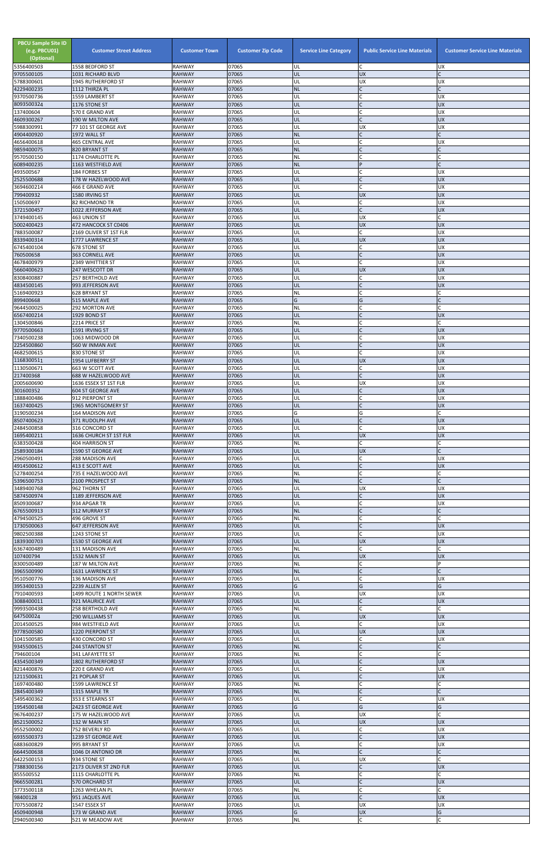| <b>PBCU Sample Site ID</b><br>(e.g. PBCU01)<br>(Optional)<br>5356400503 | <b>Customer Street Address</b>                 | <b>Customer Town</b><br><b>RAHWAY</b> | <b>Customer Zip Code</b><br>07065 | <b>Service Line Category</b> | <b>Public Service Line Materials</b><br>C | <b>Customer Service Line Materials</b> |
|-------------------------------------------------------------------------|------------------------------------------------|---------------------------------------|-----------------------------------|------------------------------|-------------------------------------------|----------------------------------------|
| 9705500105                                                              | 1558 BEDFORD ST<br>1031 RICHARD BLVD           | <b>RAHWAY</b>                         | 07065                             | UL<br>UL                     | <b>UX</b>                                 | <b>UX</b><br>$\mathsf{C}$              |
| 5788300601                                                              | 1945 RUTHERFORD ST                             | <b>RAHWAY</b>                         | 07065                             | UL                           | <b>UX</b>                                 | <b>UX</b>                              |
| 4229400235<br>9370500736                                                | 1112 THIRZA PL<br>1559 LAMBERT ST              | <b>RAHWAY</b><br><b>RAHWAY</b>        | 07065<br>07065                    | <b>NL</b><br>UL              | $\mathsf{C}$<br>$\mathsf{C}$              | $\mathsf{C}$<br><b>UX</b>              |
| 8093500324                                                              | 1176 STONE ST                                  | <b>RAHWAY</b>                         | 07065                             | UL                           | $\mathcal{C}$                             | <b>UX</b>                              |
| 137400604                                                               | 570 E GRAND AVE                                | <b>RAHWAY</b>                         | 07065                             | UL                           | $\mathsf{C}$<br>$\mathsf{C}$              | <b>UX</b>                              |
| 4609300267<br>5988300991                                                | 190 W MILTON AVE<br>77 101 ST GEORGE AVE       | <b>RAHWAY</b><br><b>RAHWAY</b>        | 07065<br>07065                    | UL<br>UL                     | <b>UX</b>                                 | <b>UX</b><br><b>UX</b>                 |
| 4904400920                                                              | 1972 WALL ST                                   | <b>RAHWAY</b>                         | 07065                             | <b>NL</b>                    | $\mathsf{C}$                              |                                        |
| 4656400618<br>9859400075                                                | <b>465 CENTRAL AVE</b><br>820 BRYANT ST        | <b>RAHWAY</b><br><b>RAHWAY</b>        | 07065<br>07065                    | UL<br><b>NL</b>              | $\sqrt{ }$                                | UX<br>C                                |
| 9570500150                                                              | 1174 CHARLOTTE PL                              | <b>RAHWAY</b>                         | 07065                             | <b>NL</b>                    | C                                         | $\mathsf{C}$                           |
| 6089400235                                                              | 1163 WESTFIELD AVE                             | <b>RAHWAY</b>                         | 07065                             | <b>NL</b>                    | P<br>$\mathsf{C}$                         |                                        |
| 493500567<br>2525500688                                                 | 184 FORBES ST<br>178 W HAZELWOOD AVE           | <b>RAHWAY</b><br><b>RAHWAY</b>        | 07065<br>07065                    | UL<br>UL                     | $\mathsf{C}$                              | UX<br><b>UX</b>                        |
| 3694600214                                                              | 466 E GRAND AVE                                | <b>RAHWAY</b>                         | 07065                             | UL                           | $\mathsf{C}$                              | <b>UX</b>                              |
| 799400932<br>150500697                                                  | 1580 IRVING ST<br>82 RICHMOND TR               | <b>RAHWAY</b><br><b>RAHWAY</b>        | 07065<br>07065                    | UL<br>UL                     | <b>UX</b><br>$\mathsf{C}$                 | <b>UX</b><br><b>UX</b>                 |
| 3721500457                                                              | 1022 JEFFERSON AVE                             | <b>RAHWAY</b>                         | 07065                             | UL                           | $\mathsf{C}$                              | <b>UX</b>                              |
| 3749400145                                                              | <b>463 UNION ST</b>                            | <b>RAHWAY</b>                         | 07065                             | UL                           | <b>UX</b>                                 | C                                      |
| 5002400423<br>7883500087                                                | 472 HANCOCK ST C0406<br>2169 OLIVER ST 1ST FLR | <b>RAHWAY</b><br><b>RAHWAY</b>        | 07065<br>07065                    | UL<br>UL                     | <b>UX</b><br>$\mathsf C$                  | <b>UX</b><br>UX                        |
| 8339400314                                                              | 1777 LAWRENCE ST                               | <b>RAHWAY</b>                         | 07065                             | UL                           | <b>UX</b>                                 | <b>UX</b>                              |
| 6745400104                                                              | 678 STONE ST                                   | <b>RAHWAY</b>                         | 07065                             | UL                           | $\mathsf{C}$<br>$\mathsf{C}$              | <b>UX</b>                              |
| 760500658<br>4678400979                                                 | 363 CORNELL AVE<br><b>2349 WHITTIER ST</b>     | <b>RAHWAY</b><br><b>RAHWAY</b>        | 07065<br>07065                    | UL<br>UL                     | $\mathsf{C}$                              | <b>UX</b><br><b>UX</b>                 |
| 5660400623                                                              | 247 WESCOTT DR                                 | <b>RAHWAY</b>                         | 07065                             | UL                           | <b>UX</b>                                 | <b>UX</b>                              |
| 8308400887<br>4834500145                                                | <b>257 BERTHOLD AVE</b><br>993 JEFFERSON AVE   | <b>RAHWAY</b><br><b>RAHWAY</b>        | 07065<br>07065                    | UL<br>UL                     | C<br>$\mathsf{C}$                         | <b>UX</b><br><b>UX</b>                 |
| 5169400923                                                              | 628 BRYANT ST                                  | <b>RAHWAY</b>                         | 07065                             | <b>NL</b>                    | $\mathsf{C}$                              | C                                      |
| 899400668                                                               | 515 MAPLE AVE                                  | <b>RAHWAY</b>                         | 07065                             | G                            | G                                         |                                        |
| 9644500025<br>6567400214                                                | 292 MORTON AVE<br>1929 BOND ST                 | <b>RAHWAY</b><br><b>RAHWAY</b>        | 07065<br>07065                    | <b>NL</b><br>UL              | $\mathsf{C}$                              | <b>UX</b>                              |
| 1304500846                                                              | 2214 PRICE ST                                  | <b>RAHWAY</b>                         | 07065                             | <b>NL</b>                    | $\mathsf{C}$                              | $\mathsf{C}$                           |
| 9770500663                                                              | 1591 IRVING ST                                 | <b>RAHWAY</b>                         | 07065<br>07065                    | UL                           | $\mathsf{C}$                              | <b>UX</b><br><b>UX</b>                 |
| 7340500238<br>2254500860                                                | 1063 MIDWOOD DR<br>560 W INMAN AVE             | <b>RAHWAY</b><br><b>RAHWAY</b>        | 07065                             | UL<br>UL                     |                                           | <b>UX</b>                              |
| 4682500615                                                              | 830 STONE ST                                   | <b>RAHWAY</b>                         | 07065                             | UL                           |                                           | <b>UX</b>                              |
| 1168300511<br>1130500671                                                | 1954 LUFBERRY ST<br>663 W SCOTT AVE            | <b>RAHWAY</b><br><b>RAHWAY</b>        | 07065<br>07065                    | UL<br>UL                     | <b>UX</b><br>C                            | <b>UX</b><br><b>UX</b>                 |
| 217400368                                                               | 688 W HAZELWOOD AVE                            | <b>RAHWAY</b>                         | 07065                             | UL                           | $\mathcal{C}$                             | <b>UX</b>                              |
| 2005600690                                                              | 1636 ESSEX ST 1ST FLR                          | <b>RAHWAY</b>                         | 07065                             | UL                           | <b>UX</b>                                 | <b>UX</b>                              |
| 301600352<br>1888400486                                                 | <b>604 ST GEORGE AVE</b><br>912 PIERPONT ST    | <b>RAHWAY</b><br>RAHWAY               | 07065<br>07065                    | UL<br>UL                     | $\mathsf{C}$<br>$\mathsf{C}$              | <b>UX</b><br>UX                        |
| 1637400425                                                              | 1965 MONTGOMERY ST                             | <b>RAHWAY</b>                         | 07065                             | UL                           |                                           | <b>UX</b>                              |
| 3190500234<br>8507400623                                                | 164 MADISON AVE                                | <b>RAHWAY</b><br><b>RAHWAY</b>        | 07065<br>07065                    | G<br>UL                      | G<br>$\mathsf{C}$                         | $\mathsf{C}$<br><b>UX</b>              |
| 2484500858                                                              | 371 RUDOLPH AVE<br>316 CONCORD ST              | <b>RAHWAY</b>                         | 07065                             | UL                           | $\mathsf{C}$                              | UX                                     |
| 1695400211                                                              | 1636 CHURCH ST 1ST FLR                         | <b>RAHWAY</b>                         | 07065                             | UL                           | <b>UX</b>                                 | <b>UX</b>                              |
| 6383500428<br>2589300184                                                | 404 HARRISON ST<br>1590 ST GEORGE AVE          | <b>RAHWAY</b><br><b>RAHWAY</b>        | 07065<br>07065                    | <b>NL</b><br>UL              | $\mathsf{C}$<br><b>UX</b>                 |                                        |
| 2960500491                                                              | 288 MADISON AVE                                | <b>RAHWAY</b>                         | 07065                             | UL                           | C                                         | <b>UX</b>                              |
| 4914500612<br>5278400254                                                | 413 E SCOTT AVE                                | <b>RAHWAY</b><br><b>RAHWAY</b>        | 07065<br>07065                    | UL                           | $\mathsf{C}$<br>$\mathsf{C}$              | <b>UX</b>                              |
| 5396500753                                                              | 735 E HAZELWOOD AVE<br>2100 PROSPECT ST        | <b>RAHWAY</b>                         | 07065                             | NL<br><b>NL</b>              | $\mathsf{C}$                              |                                        |
| 3489400768                                                              | 962 THORN ST                                   | <b>RAHWAY</b>                         | 07065                             | UL                           | <b>UX</b>                                 | UX                                     |
| 5874500974<br>8509300687                                                | 1189 JEFFERSON AVE<br>934 APGAR TR             | <b>RAHWAY</b><br><b>RAHWAY</b>        | 07065<br>07065                    | UL<br>UL                     | $\mathsf{C}$<br>$\mathsf{C}$              | <b>UX</b><br><b>UX</b>                 |
| 6765500913                                                              | 312 MURRAY ST                                  | <b>RAHWAY</b>                         | 07065                             | <b>NL</b>                    | $\mathsf{C}$                              |                                        |
| 4794500525                                                              | 496 GROVE ST                                   | <b>RAHWAY</b>                         | 07065<br>07065                    | <b>NL</b>                    | $\mathsf{C}$                              | <b>UX</b>                              |
| 1730500063<br>9802500388                                                | <b>647 JEFFERSON AVE</b><br>1243 STONE ST      | <b>RAHWAY</b><br>RAHWAY               | 07065                             | UL<br>UL                     | $\mathsf{C}$                              | UX                                     |
| 1839300703                                                              | 1530 ST GEORGE AVE                             | <b>RAHWAY</b>                         | 07065                             | UL                           | <b>UX</b>                                 | <b>XD</b>                              |
| 6367400489<br>107400794                                                 | 131 MADISON AVE<br>1532 MAIN ST                | <b>RAHWAY</b><br><b>RAHWAY</b>        | 07065<br>07065                    | <b>NL</b><br>UL              | $\mathsf{C}$<br><b>UX</b>                 | <b>UX</b>                              |
| 8300500489                                                              | 187 W MILTON AVE                               | <b>RAHWAY</b>                         | 07065                             | <b>NL</b>                    | $\mathsf{C}$                              | P                                      |
| 3965500990                                                              | 1631 LAWRENCE ST                               | <b>RAHWAY</b>                         | 07065                             | <b>NL</b>                    | $\mathsf{C}$                              | $\mathsf{C}$                           |
| 9510500776<br>3953400153                                                | 136 MADISON AVE<br>2239 ALLEN ST               | <b>RAHWAY</b><br><b>RAHWAY</b>        | 07065<br>07065                    | UL<br>G                      | $\mathsf{C}$<br>G                         | <b>UX</b><br>G                         |
| 7910400593                                                              | 1499 ROUTE 1 NORTH SEWER                       | <b>RAHWAY</b>                         | 07065                             | UL                           | <b>UX</b>                                 | <b>UX</b>                              |
| 3088400011<br>9993500438                                                | 921 MAURICE AVE<br>258 BERTHOLD AVE            | <b>RAHWAY</b><br><b>RAHWAY</b>        | 07065<br>07065                    | UL<br>NL                     | $\mathsf{C}$<br>$\mathsf{C}$              | <b>UX</b>                              |
| 647500024                                                               | <b>290 WILLIAMS ST</b>                         | <b>RAHWAY</b>                         | 07065                             | UL                           | <b>UX</b>                                 | <b>UX</b>                              |
| 2014500525                                                              | 984 WESTFIELD AVE                              | <b>RAHWAY</b>                         | 07065                             | UL                           | $\mathsf{C}$                              | <b>UX</b>                              |
| 9778500580<br>1041500585                                                | 1220 PIERPONT ST<br>430 CONCORD ST             | <b>RAHWAY</b><br><b>RAHWAY</b>        | 07065<br>07065                    | UL<br>UL                     | <b>UX</b><br>$\mathsf{C}$                 | <b>UX</b><br>UX                        |
| 9345500615                                                              | 244 STANTON ST                                 | <b>RAHWAY</b>                         | 07065                             | <b>NL</b>                    |                                           |                                        |
| 794600104<br>4354500349                                                 | 341 LAFAYETTE ST<br><b>1802 RUTHERFORD ST</b>  | <b>RAHWAY</b><br><b>RAHWAY</b>        | 07065<br>07065                    | <b>NL</b><br>UL              | $\mathsf{C}$                              | <b>UX</b>                              |
| 8214400876                                                              | 220 E GRAND AVE                                | RAHWAY                                | 07065                             | UL                           |                                           | JΠ                                     |
| 1211500631                                                              | 21 POPLAR ST                                   | <b>RAHWAY</b>                         | 07065                             | UL                           | $\mathsf{C}$                              | <b>UX</b>                              |
| 1697400480<br>2845400349                                                | 1599 LAWRENCE ST<br>1315 MAPLE TR              | RAHWAY<br><b>RAHWAY</b>               | 07065<br>07065                    | <b>NL</b><br><b>NL</b>       | $\mathsf{C}$<br>$\mathsf{C}$              |                                        |
| 5495400362                                                              | 353 E STEARNS ST                               | RAHWAY                                | 07065                             | UL                           | $\mathsf{C}$                              | <b>UX</b>                              |
| 1954500148                                                              | 2423 ST GEORGE AVE                             | <b>RAHWAY</b>                         | 07065                             | G                            | G                                         | G                                      |
| 9676400237<br>8521500052                                                | 175 W HAZELWOOD AVE<br>132 W MAIN ST           | RAHWAY<br><b>RAHWAY</b>               | 07065<br>07065                    | UL<br>UL                     | <b>UX</b><br><b>UX</b>                    | <b>UX</b>                              |
| 9552500002                                                              | 752 BEVERLY RD                                 | RAHWAY                                | 07065                             | UL                           | $\mathsf{C}$                              | <b>UX</b>                              |
| 6935500373<br>6883600829                                                | 1239 ST GEORGE AVE<br>995 BRYANT ST            | <b>RAHWAY</b><br>RAHWAY               | 07065<br>07065                    | UL<br>UL                     | $\mathsf{C}$<br>$\mathsf{C}$              | <b>UX</b><br><b>UX</b>                 |
| 6644500638                                                              | 1046 DI ANTONIO DR                             | <b>RAHWAY</b>                         | 07065                             | <b>NL</b>                    | $\mathsf{C}$                              |                                        |
| 6422500153                                                              | 934 STONE ST                                   | RAHWAY                                | 07065                             | UL                           | <b>UX</b>                                 |                                        |
| 7388300156<br>855500552                                                 | 2173 OLIVER ST 2ND FLR<br>1115 CHARLOTTE PL    | <b>RAHWAY</b><br>RAHWAY               | 07065<br>07065                    | UL<br>NL                     | $\mathsf{C}$<br>$\mathsf{C}$              | <b>UX</b>                              |
| 9665500281                                                              | 570 ORCHARD ST                                 | <b>RAHWAY</b>                         | 07065                             | UL                           | $\mathsf{C}$                              | <b>UX</b>                              |
| 3773500118<br>98400128                                                  | 1263 WHELAN PL                                 | RAHWAY<br><b>RAHWAY</b>               | 07065<br>07065                    | <b>NL</b><br>UL              | $\mathsf{C}$<br>$\overline{C}$            | $\mathsf{C}$<br><b>UX</b>              |
| 7075500872                                                              | 951 JAQUES AVE<br>1547 ESSEX ST                | RAHWAY                                | 07065                             | UL                           | <b>UX</b>                                 | <b>UX</b>                              |
| 4509400948<br>2940500340                                                | 173 W GRAND AVE<br>521 W MEADOW AVE            | <b>RAHWAY</b><br>RAHWAY               | 07065<br>07065                    | G<br>$\sf NL$                | <b>UX</b><br>$\mathsf C$                  | G<br>$\mathsf{C}$                      |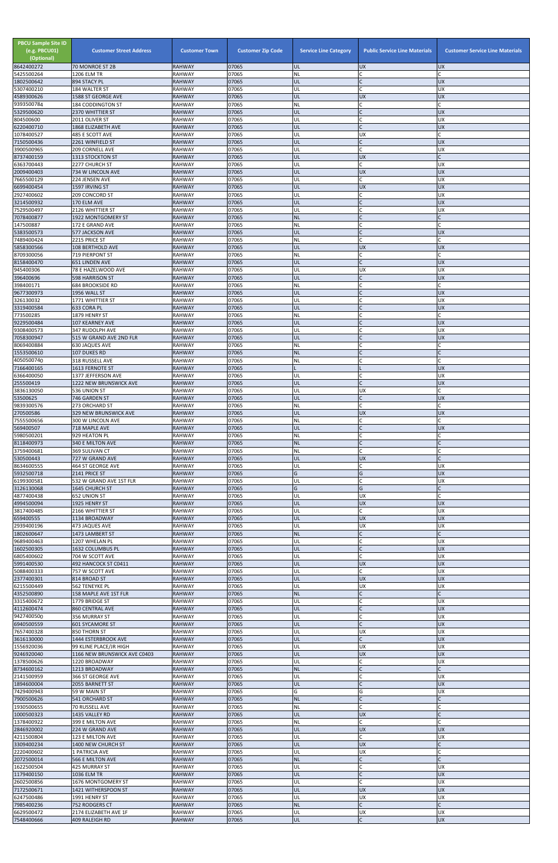| <b>PBCU Sample Site ID</b><br>(e.g. PBCU01)<br>(Optional)<br>8642400272 | <b>Customer Street Address</b><br>70 MONROE ST 2B | <b>Customer Town</b><br><b>RAHWAY</b> | <b>Customer Zip Code</b><br>07065 | <b>Service Line Category</b><br>UL | <b>Public Service Line Materials</b><br><b>UX</b> | <b>Customer Service Line Materials</b><br><b>UX</b> |
|-------------------------------------------------------------------------|---------------------------------------------------|---------------------------------------|-----------------------------------|------------------------------------|---------------------------------------------------|-----------------------------------------------------|
| 5425500264                                                              | 1206 ELM TR                                       | <b>RAHWAY</b>                         | 07065                             | <b>NL</b>                          | lC.                                               |                                                     |
| 1802500642                                                              | 894 STACY PL<br>184 WALTER ST                     | <b>RAHWAY</b><br><b>RAHWAY</b>        | 07065<br>07065                    | UL<br>UL                           | lC.<br>lc.                                        | <b>UX</b><br>UX                                     |
| 5307400210<br>4589300626                                                | 1588 ST GEORGE AVE                                | <b>RAHWAY</b>                         | 07065                             | UL                                 | <b>UX</b>                                         | <b>UX</b>                                           |
| 9393500784<br>5329500620                                                | <b>184 CODDINGTON ST</b>                          | <b>RAHWAY</b><br><b>RAHWAY</b>        | 07065<br>07065                    | <b>NL</b><br>UL                    | lC.<br>$\overline{C}$                             | <b>UX</b>                                           |
| 804500600                                                               | 2370 WHITTIER ST<br>2011 OLIVER ST                | <b>RAHWAY</b>                         | 07065                             | UL                                 | <b>C</b>                                          | <b>UX</b>                                           |
| 6220400710                                                              | 1868 ELIZABETH AVE                                | <b>RAHWAY</b>                         | 07065                             | UL                                 | $\overline{C}$                                    | <b>UX</b>                                           |
| 1078400527<br>7150500436                                                | 485 E SCOTT AVE<br>2261 WINFIELD ST               | <b>RAHWAY</b><br><b>RAHWAY</b>        | 07065<br>07065                    | UL<br>UL                           | <b>UX</b><br>$\mathsf{C}$                         | <b>UX</b>                                           |
| 3900500965                                                              | 209 CORNELL AVE                                   | <b>RAHWAY</b>                         | 07065                             | UL                                 | <b>C</b>                                          | <b>UX</b>                                           |
| 8737400159<br>6363700443                                                | 1313 STOCKTON ST<br>2277 CHURCH ST                | <b>RAHWAY</b><br><b>RAHWAY</b>        | 07065<br>07065                    | UL<br>UL                           | <b>UX</b><br>lC.                                  | UX                                                  |
| 2009400403                                                              | 734 W LINCOLN AVE                                 | <b>RAHWAY</b>                         | 07065                             | UL                                 | <b>UX</b>                                         | <b>UX</b>                                           |
| 7665500129<br>6699400454                                                | 224 JENSEN AVE                                    | <b>RAHWAY</b>                         | 07065<br>07065                    | UL<br>UL                           | <b>C</b><br><b>UX</b>                             | <b>UX</b><br><b>UX</b>                              |
| 2927400602                                                              | 1597 IRVING ST<br>209 CONCORD ST                  | <b>RAHWAY</b><br><b>RAHWAY</b>        | 07065                             | UL                                 | lC.                                               | UX                                                  |
| 3214500932                                                              | 170 ELM AVE                                       | <b>RAHWAY</b>                         | 07065                             | UL                                 | $\mathsf{C}$                                      | <b>UX</b>                                           |
| 7529500497<br>7078400877                                                | 2126 WHITTIER ST<br>1922 MONTGOMERY ST            | <b>RAHWAY</b><br><b>RAHWAY</b>        | 07065<br>07065                    | UL<br><b>NL</b>                    | C<br><b>C</b>                                     | <b>UX</b>                                           |
| 147500887                                                               | 172 E GRAND AVE                                   | <b>RAHWAY</b>                         | 07065                             | NL                                 | lC.                                               |                                                     |
| 5383500573<br>7489400424                                                | 577 JACKSON AVE<br>2215 PRICE ST                  | <b>RAHWAY</b><br><b>RAHWAY</b>        | 07065<br>07065                    | UL<br>NL                           | $\overline{C}$<br>C                               | <b>UX</b>                                           |
| 5858300566                                                              | 108 BERTHOLD AVE                                  | <b>RAHWAY</b>                         | 07065                             | UL                                 | UX                                                | <b>UX</b>                                           |
| 8709300056                                                              | 719 PIERPONT ST                                   | <b>RAHWAY</b>                         | 07065                             | NL                                 | lC.<br>lc.                                        |                                                     |
| 8158400470<br>945400306                                                 | <b>651 LINDEN AVE</b><br>78 E HAZELWOOD AVE       | <b>RAHWAY</b><br><b>RAHWAY</b>        | 07065<br>07065                    | UL<br>UL                           | <b>UX</b>                                         | <b>UX</b><br>UX                                     |
| 396400696                                                               | <b>598 HARRISON ST</b>                            | <b>RAHWAY</b>                         | 07065                             | UL                                 | $\mathsf{C}$                                      | <b>UX</b>                                           |
| 398400171<br>9677300973                                                 | <b>684 BROOKSIDE RD</b><br>1956 WALL ST           | <b>RAHWAY</b><br><b>RAHWAY</b>        | 07065<br>07065                    | NL<br>UL                           | C<br>lc.                                          | <b>UX</b>                                           |
| 326130032                                                               | 1771 WHITTIER ST                                  | <b>RAHWAY</b>                         | 07065                             | UL                                 | C                                                 | <b>UX</b>                                           |
| 3319400584                                                              | 633 CORA PL                                       | <b>RAHWAY</b>                         | 07065                             | UL                                 | IC                                                | <b>UX</b>                                           |
| 773500285<br>9229500484                                                 | 1879 HENRY ST<br>107 KEARNEY AVE                  | <b>RAHWAY</b><br><b>RAHWAY</b>        | 07065<br>07065                    | NL<br>UL                           | C<br>lC.                                          | <b>UX</b>                                           |
| 9308400573                                                              | 347 RUDOLPH AVE                                   | <b>RAHWAY</b>                         | 07065                             | UL                                 | lC.                                               | UX                                                  |
| 7058300947<br>8069400884                                                | 515 W GRAND AVE 2ND FLR<br><b>630 JAQUES AVE</b>  | <b>RAHWAY</b><br><b>RAHWAY</b>        | 07065<br>07065                    | UL<br>NL                           | $\mathsf{C}$<br>$\mathsf{C}$                      | <b>UX</b>                                           |
| 1553500610                                                              | 107 DUKES RD                                      | <b>RAHWAY</b>                         | 07065                             | <b>NL</b>                          |                                                   |                                                     |
| 4050500740                                                              | 318 RUSSELL AVE                                   | <b>RAHWAY</b>                         | 07065                             | NL                                 | C                                                 |                                                     |
| 7166400165<br>6366400050                                                | 1613 FERNOTE ST<br>1377 JEFFERSON AVE             | <b>RAHWAY</b><br><b>RAHWAY</b>        | 07065<br>07065                    | UL                                 | C                                                 | <b>UX</b><br>UX                                     |
| 255500419                                                               | 1222 NEW BRUNSWICK AVE                            | <b>RAHWAY</b>                         | 07065                             | UL                                 | lc.                                               | <b>UX</b>                                           |
| 3836130050<br>53500625                                                  | 536 UNION ST<br>746 GARDEN ST                     | <b>RAHWAY</b><br><b>RAHWAY</b>        | 07065<br>07065                    | UL<br>UL                           | <b>UX</b><br>$\mathsf{C}$                         | <b>UX</b>                                           |
| 9839300576                                                              | 273 ORCHARD ST                                    | <b>RAHWAY</b>                         | 07065                             | <b>NL</b>                          | C                                                 |                                                     |
| 270500586                                                               | 329 NEW BRUNSWICK AVE                             | <b>RAHWAY</b>                         | 07065                             | UL                                 | <b>UX</b>                                         | <b>UX</b>                                           |
| 7555500656<br>569400507                                                 | 300 W LINCOLN AVE<br>718 MAPLE AVE                | <b>RAHWAY</b><br><b>RAHWAY</b>        | 07065<br>07065                    | NL<br>UL                           | lC.<br>$\mathsf{C}$                               | <b>UX</b>                                           |
| 5980500201                                                              | 929 HEATON PL                                     | <b>RAHWAY</b>                         | 07065                             | NL                                 | C                                                 |                                                     |
| 8118400973<br>3759400681                                                | 340 E MILTON AVE<br>369 SULIVAN CT                | <b>RAHWAY</b><br><b>RAHWAY</b>        | 07065<br>07065                    | <b>NL</b><br>NL                    | lC.<br>lc.                                        |                                                     |
| 530500443                                                               | 727 W GRAND AVE                                   | <b>RAHWAY</b>                         | 07065                             | UL                                 | <b>UX</b>                                         | $\mathsf{C}$                                        |
| 8634600555                                                              | 464 ST GEORGE AVE                                 | <b>RAHWAY</b>                         | 07065                             | UL                                 | lC.                                               | UX                                                  |
| 5932500718<br>6199300581                                                | 2141 PRICE ST<br>532 W GRAND AVE 1ST FLR          | <b>RAHWAY</b><br><b>RAHWAY</b>        | 07065<br>07065                    | G<br>UL                            | G<br>C                                            | <b>UX</b><br>UX                                     |
| 3126130068                                                              | 1645 CHURCH ST                                    | <b>RAHWAY</b>                         | 07065                             | G                                  | G                                                 |                                                     |
| 4877400438<br>4994500094                                                | 652 UNION ST<br>1925 HENRY ST                     | <b>RAHWAY</b><br><b>RAHWAY</b>        | 07065<br>07065                    | UL<br>UL                           | <b>UX</b><br><b>UX</b>                            | <b>UX</b>                                           |
| 3817400485                                                              | 2166 WHITTIER ST                                  | <b>RAHWAY</b>                         | 07065                             | UL                                 | lC.                                               | <b>UX</b>                                           |
| 659400555                                                               | 1134 BROADWAY                                     | <b>RAHWAY</b>                         | 07065                             | UL                                 | <b>UX</b>                                         | <b>UX</b>                                           |
| 2939400196<br>1802600647                                                | 473 JAQUES AVE<br>1473 LAMBERT ST                 | <b>RAHWAY</b><br><b>RAHWAY</b>        | 07065<br>07065                    | UL<br><b>NL</b>                    | <b>UX</b><br>$\mathsf{C}$                         | <b>UX</b>                                           |
| 9689400463                                                              | 1207 WHELAN PL                                    | <b>RAHWAY</b>                         | 07065                             | UL                                 | $\mathsf{C}$                                      | UX                                                  |
| 1602500305<br>6805400602                                                | 1632 COLUMBUS PL<br>704 W SCOTT AVE               | <b>RAHWAY</b><br><b>RAHWAY</b>        | 07065<br>07065                    | UL<br>UL                           | IC<br><b>C</b>                                    | <b>UX</b><br><b>UX</b>                              |
| 5991400530                                                              | 492 HANCOCK ST C0411                              | <b>RAHWAY</b>                         | 07065                             | UL                                 | <b>UX</b>                                         | <b>UX</b>                                           |
| 5088400333                                                              | 757 W SCOTT AVE                                   | <b>RAHWAY</b>                         | 07065                             | UL                                 | C.                                                | <b>UX</b>                                           |
| 2377400301<br>6215500449                                                | 814 BROAD ST<br>562 TENEYKE PL                    | <b>RAHWAY</b><br><b>RAHWAY</b>        | 07065<br>07065                    | UL<br>UL                           | <b>UX</b><br><b>UX</b>                            | <b>UX</b><br><b>UX</b>                              |
| 4352500890                                                              | 158 MAPLE AVE 1ST FLR                             | <b>RAHWAY</b>                         | 07065                             | <b>NL</b>                          | $\mathsf{C}$                                      |                                                     |
| 3315400672<br>4112600474                                                | 1779 BRIDGE ST<br><b>860 CENTRAL AVE</b>          | <b>RAHWAY</b><br><b>RAHWAY</b>        | 07065<br>07065                    | UL<br>UL                           | lC.<br>$\mathsf{C}$                               | UX<br><b>UX</b>                                     |
| 9427400500                                                              | 356 MURRAY ST                                     | <b>RAHWAY</b>                         | 07065                             | UL                                 | lC.                                               | UX                                                  |
| 6940500559<br>7657400328                                                | <b>601 SYCAMORE ST</b><br>850 THORN ST            | <b>RAHWAY</b><br><b>RAHWAY</b>        | 07065<br>07065                    | UL<br>UL                           | $\mathsf{C}$<br><b>UX</b>                         | <b>UX</b><br>UX                                     |
| 3616130000                                                              | 1444 ESTERBROOK AVE                               | <b>RAHWAY</b>                         | 07065                             | UL                                 | $\mathsf{C}$                                      | <b>UX</b>                                           |
| 1556920036                                                              | 99 KLINE PLACE/JR HIGH                            | <b>RAHWAY</b>                         | 07065                             | UL                                 | <b>UX</b>                                         | <b>UX</b>                                           |
| 9246920040<br>1378500626                                                | 1166 NEW BRUNSWICK AVE C0403<br>1220 BROADWAY     | <b>RAHWAY</b><br><b>RAHWAY</b>        | 07065<br>07065                    | UL<br>UL                           | <b>UX</b><br>lC.                                  | <b>UX</b><br>UX                                     |
| 8734600162                                                              | 1213 BROADWAY                                     | <b>RAHWAY</b>                         | 07065                             | NL                                 |                                                   |                                                     |
| 2141500959<br>1894600004                                                | 366 ST GEORGE AVE<br>2055 BARNETT ST              | <b>RAHWAY</b><br><b>RAHWAY</b>        | 07065<br>07065                    | UL<br>UL                           | $\mathsf C$<br>$\overline{C}$                     | <b>UX</b><br><b>UX</b>                              |
| 7429400943                                                              | 59 W MAIN ST                                      | <b>RAHWAY</b>                         | 07065                             | G                                  | G                                                 | <b>UX</b>                                           |
| 7900500626                                                              | 541 ORCHARD ST                                    | <b>RAHWAY</b>                         | 07065                             | <b>NL</b>                          | $\mathsf{C}$                                      |                                                     |
| 1930500655<br>1000500323                                                | 70 RUSSELL AVE<br>1435 VALLEY RD                  | <b>RAHWAY</b><br><b>RAHWAY</b>        | 07065<br>07065                    | ΝL<br>UL                           | lC.<br><b>UX</b>                                  |                                                     |
| 1378400922                                                              | 399 E MILTON AVE                                  | <b>RAHWAY</b>                         | 07065                             | <b>NL</b>                          | lc.                                               |                                                     |
| 2846920002<br>4211500804                                                | 224 W GRAND AVE<br>123 E MILTON AVE               | <b>RAHWAY</b><br><b>RAHWAY</b>        | 07065<br>07065                    | UL<br>UL                           | <b>UX</b><br>C.                                   | <b>UX</b><br><b>UX</b>                              |
| 3309400234                                                              | 1400 NEW CHURCH ST                                | <b>RAHWAY</b>                         | 07065                             | UL                                 | <b>UX</b>                                         |                                                     |
| 2220400602                                                              | 1 PATRICIA AVE                                    | <b>RAHWAY</b>                         | 07065                             | UL                                 | <b>UX</b>                                         |                                                     |
| 2072500014<br>1622500504                                                | 566 E MILTON AVE<br>425 MURRAY ST                 | <b>RAHWAY</b><br><b>RAHWAY</b>        | 07065<br>07065                    | <b>NL</b><br>UL                    | $\mathsf{C}$<br>$\mathsf C$                       | UX                                                  |
| 1179400150                                                              | 1036 ELM TR                                       | <b>RAHWAY</b>                         | 07065                             | UL                                 | $\mathsf{C}$                                      | <b>UX</b>                                           |
| 2602500856<br>7172500671                                                | 1676 MONTGOMERY ST                                | <b>RAHWAY</b>                         | 07065                             | UL                                 | <b>C</b>                                          | <b>UX</b>                                           |
| 6247500486                                                              | 1421 WITHERSPOON ST<br>1991 HENRY ST              | <b>RAHWAY</b><br><b>RAHWAY</b>        | 07065<br>07065                    | UL<br>UL                           | <b>UX</b><br><b>UX</b>                            | <b>UX</b><br><b>UX</b>                              |
| 7985400236                                                              | 752 RODGERS CT                                    | <b>RAHWAY</b>                         | 07065                             | <b>NL</b>                          | $\mathsf{C}$                                      |                                                     |
| 6629500472<br>7548400666                                                | 2174 ELIZABETH AVE 1F<br>409 RALEIGH RD           | <b>RAHWAY</b><br><b>RAHWAY</b>        | 07065<br>07065                    | UL<br>UL                           | <b>UX</b><br>$\mathsf{C}$                         | <b>UX</b><br><b>UX</b>                              |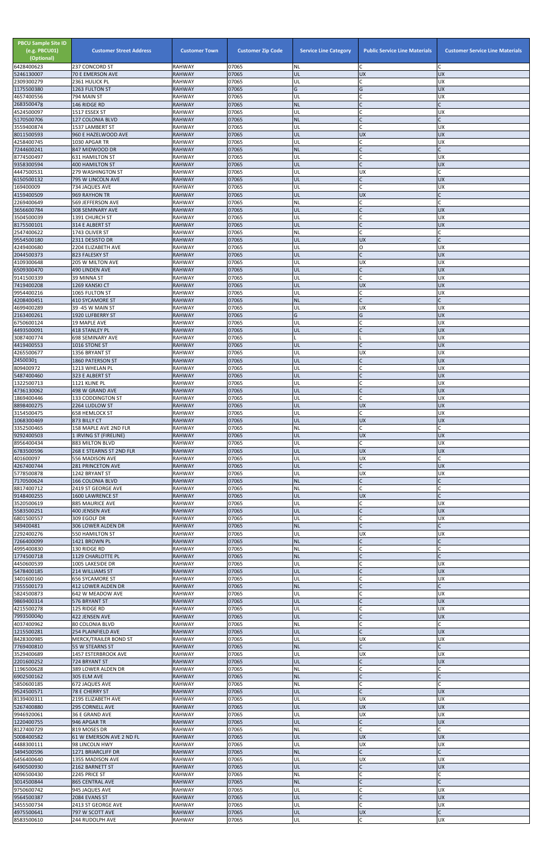| <b>PBCU Sample Site ID</b><br>(e.g. PBCU01)<br>(Optional)<br>6428400623 | <b>Customer Street Address</b><br>237 CONCORD ST | <b>Customer Town</b><br><b>RAHWAY</b> | <b>Customer Zip Code</b><br>07065 | <b>Service Line Category</b><br><b>NL</b> | <b>Public Service Line Materials</b><br>C | <b>Customer Service Line Materials</b> |
|-------------------------------------------------------------------------|--------------------------------------------------|---------------------------------------|-----------------------------------|-------------------------------------------|-------------------------------------------|----------------------------------------|
| 5246130007                                                              | 70 E EMERSON AVE                                 | <b>RAHWAY</b>                         | 07065                             | UL                                        | <b>UX</b>                                 | <b>UX</b>                              |
| 2309300279<br>1175500380                                                | 2361 HULICK PL<br>1263 FULTON ST                 | RAHWAY<br><b>RAHWAY</b>               | 07065<br>07065                    | UL<br>Ġ                                   | $\mathsf{C}$<br>G                         | <b>UX</b><br><b>UX</b>                 |
| 4657400556                                                              | 794 MAIN ST                                      | <b>RAHWAY</b>                         | 07065                             | UL                                        |                                           | <b>UX</b>                              |
| 2683500478<br>4524500097                                                | 146 RIDGE RD<br>1517 ESSEX ST                    | <b>RAHWAY</b><br>RAHWAY               | 07065<br>07065                    | <b>NL</b><br>UL                           | $\mathsf{C}$                              | <b>UX</b>                              |
| 5170500706                                                              | 127 COLONIA BLVD                                 | <b>RAHWAY</b>                         | 07065                             | <b>NL</b>                                 | $\mathsf{C}$                              |                                        |
| 3559400874<br>8011500593                                                | 1537 LAMBERT ST<br>960 E HAZELWOOD AVE           | RAHWAY<br><b>RAHWAY</b>               | 07065<br>07065                    | UL<br>UL                                  | C<br><b>UX</b>                            | <b>UX</b><br><b>UX</b>                 |
| 4258400745                                                              | 1030 APGAR TR                                    | RAHWAY                                | 07065                             | UL                                        | C                                         | <b>UX</b>                              |
| 7244600241                                                              | 847 MIDWOOD DR                                   | <b>RAHWAY</b>                         | 07065                             | <b>NL</b>                                 | $\mathsf{C}$<br>$\mathsf{C}$              |                                        |
| 8774500497<br>9358300594                                                | 631 HAMILTON ST<br><b>400 HAMILTON ST</b>        | RAHWAY<br><b>RAHWAY</b>               | 07065<br>07065                    | UL<br>IJL                                 | $\mathsf{C}$                              | <b>UX</b><br><b>UX</b>                 |
| 4447500531                                                              | <b>279 WASHINGTON ST</b>                         | <b>RAHWAY</b>                         | 07065                             | UL                                        | <b>UX</b><br>$\mathsf{C}$                 |                                        |
| 6150500132<br>169400009                                                 | 795 W LINCOLN AVE<br>734 JAQUES AVE              | <b>RAHWAY</b><br>RAHWAY               | 07065<br>07065                    | UL<br>UL                                  | $\mathsf{C}$                              | <b>UX</b><br><b>UX</b>                 |
| 4159400509                                                              | 969 RAYHON TR                                    | <b>RAHWAY</b>                         | 07065                             | UL                                        | <b>UX</b>                                 |                                        |
| 2269400649<br>3656600784                                                | 569 JEFFERSON AVE<br>308 SEMINARY AVE            | RAHWAY<br><b>RAHWAY</b>               | 07065<br>07065                    | NL<br>UL                                  | C<br>$\mathsf{C}$                         | <b>UX</b>                              |
| 3504500039                                                              | 1391 CHURCH ST                                   | RAHWAY                                | 07065                             | UL                                        | $\mathsf{C}$                              | <b>UX</b>                              |
| 8175500101<br>2547400622                                                | 314 E ALBERT ST<br>1743 OLIVER ST                | <b>RAHWAY</b><br><b>RAHWAY</b>        | 07065<br>07065                    | UL<br>NL                                  | $\mathsf{C}$<br>$\mathsf{C}$              | <b>UX</b>                              |
| 9554500180                                                              | 2311 DESISTO DR                                  | <b>RAHWAY</b>                         | 07065                             | UL                                        | <b>UX</b>                                 |                                        |
| 4249400680<br>2044500373                                                | 2204 ELIZABETH AVE<br>823 FALESKY ST             | RAHWAY<br><b>RAHWAY</b>               | 07065<br>07065                    | UL<br>UL                                  | O<br>$\mathsf{C}$                         | <b>UX</b><br><b>UX</b>                 |
| 4109300648                                                              | 205 W MILTON AVE                                 | <b>RAHWAY</b>                         | 07065                             | UL                                        | <b>UX</b>                                 | <b>UX</b>                              |
| 6509300470<br>9141500339                                                | 490 LINDEN AVE<br>39 MINNA ST                    | <b>RAHWAY</b><br>RAHWAY               | 07065<br>07065                    | UL<br>UL                                  | $\mathsf{C}$<br>$\mathsf{C}$              | <b>UX</b><br><b>UX</b>                 |
| 7419400208                                                              | 1269 KANSKI CT                                   | <b>RAHWAY</b>                         | 07065                             | UL                                        | <b>UX</b>                                 | <b>UX</b>                              |
| 9954400216<br>4208400451                                                | 1065 FULTON ST<br><b>410 SYCAMORE ST</b>         | RAHWAY<br><b>RAHWAY</b>               | 07065<br>07065                    | UL<br><b>NL</b>                           | $\mathsf{C}$<br>$\mathsf C$               | <b>UX</b>                              |
| 4699400289                                                              | 39 -45 W MAIN ST                                 | <b>RAHWAY</b>                         | 07065                             | UL                                        | <b>UX</b>                                 | <b>UX</b>                              |
| 2163400261                                                              | 1920 LUFBERRY ST                                 | <b>RAHWAY</b>                         | 07065<br>07065                    | G                                         | G<br>$\mathsf{C}$                         | <b>UX</b><br><b>UX</b>                 |
| 6750600124<br>4493500091                                                | 19 MAPLE AVE<br><b>418 STANLEY PL</b>            | RAHWAY<br><b>RAHWAY</b>               | 07065                             | UL<br>UL                                  | $\mathsf{C}$                              | <b>UX</b>                              |
| 3087400774                                                              | 698 SEMINARY AVE                                 | <b>RAHWAY</b>                         | 07065                             |                                           |                                           | <b>UX</b>                              |
| 4419400553<br>4265500677                                                | 1016 STONE ST<br>1356 BRYANT ST                  | <b>RAHWAY</b><br><b>RAHWAY</b>        | 07065<br>07065                    | UL<br>UL                                  | UX                                        | <b>UX</b><br>UX                        |
| 24500301                                                                | 1860 PATERSON ST                                 | <b>RAHWAY</b>                         | 07065                             | UL                                        |                                           | <b>UX</b>                              |
| 809400972<br>5487400460                                                 | 1213 WHELAN PL<br>323 E ALBERT ST                | RAHWAY<br><b>RAHWAY</b>               | 07065<br>07065                    | UL<br>UL                                  |                                           | <b>UX</b><br><b>UX</b>                 |
| 1322500713                                                              | 1121 KLINE PL                                    | RAHWAY                                | 07065                             | UL                                        |                                           | <b>UX</b>                              |
| 4736130062<br>1869400446                                                | 498 W GRAND AVE<br><b>133 CODDINGTON ST</b>      | RAHWAY<br>RAHWAY                      | 07065<br>07065                    | UL<br>UL                                  | $\mathsf{C}$<br>$\mathsf{C}$              | <b>UX</b><br><b>UX</b>                 |
| 8898400275                                                              | 2264 LUDLOW ST                                   | <b>RAHWAY</b>                         | 07065                             | UL                                        | <b>UX</b>                                 | <b>UX</b>                              |
| 3154500475<br>1068300469                                                | <b>658 HEMLOCK ST</b><br>873 BILLY CT            | RAHWAY<br><b>RAHWAY</b>               | 07065<br>07065                    | UL<br>IJL                                 | <b>UX</b>                                 | <b>UX</b><br><b>UX</b>                 |
| 3352500465                                                              | 158 MAPLE AVE 2ND FLR                            | RAHWAY                                | 07065                             | NL                                        | $\mathsf{C}$                              |                                        |
| 9292400503<br>8956400434                                                | 1 IRVING ST (FIRELINE)<br>883 MILTON BLVD        | <b>RAHWAY</b><br>RAHWAY               | 07065<br>07065                    | UL<br>UL                                  | <b>UX</b><br>C                            | <b>UX</b><br><b>UX</b>                 |
| 6783500596                                                              | 268 E STEARNS ST 2ND FLR                         | <b>RAHWAY</b>                         | 07065                             | UL                                        | <b>UX</b>                                 | <b>UX</b>                              |
| 401600097<br>4267400744                                                 | 556 MADISON AVE<br>281 PRINCETON AVE             | RAHWAY<br><b>RAHWAY</b>               | 07065<br>07065                    | UL<br>UL                                  | <b>UX</b><br>$\mathsf{C}$                 | <b>UX</b>                              |
| 5778500878                                                              | 1242 BRYANT ST                                   | RAHWAY                                | 07065                             | UL                                        | <b>UX</b>                                 | <b>UX</b>                              |
| 7170500624<br>8817400712                                                | <b>166 COLONIA BLVD</b><br>2419 ST GEORGE AVE    | <b>RAHWAY</b><br>RAHWAY               | 07065<br>07065                    | <b>NL</b><br>NL                           | $\mathsf{C}$                              |                                        |
| 9148400255                                                              | 1600 LAWRENCE ST                                 | <b>RAHWAY</b>                         | 07065                             | UL                                        | <b>UX</b>                                 |                                        |
| 3520500619<br>5583500251                                                | 885 MAURICE AVE<br>400 JENSEN AVE                | RAHWAY<br><b>RAHWAY</b>               | 07065<br>07065                    | UL<br>UL                                  | С<br>$\mathsf{C}$                         | <b>UX</b><br><b>UX</b>                 |
| 6801500557                                                              | 309 EGOLF DR                                     | RAHWAY                                | 07065                             | UL                                        |                                           | <b>UX</b>                              |
| 349400481<br>2292400276                                                 | 306 LOWER ALDEN DR<br>550 HAMILTON ST            | <b>RAHWAY</b><br>RAHWAY               | 07065<br>07065                    | <b>NL</b><br>UL                           | $\mathsf{C}$<br><b>UX</b>                 | <b>UX</b>                              |
| 7266400099                                                              | 1421 BROWN PL                                    | <b>RAHWAY</b>                         | 07065                             | <b>NL</b>                                 |                                           |                                        |
| 4995400830<br>1774500718                                                | 130 RIDGE RD<br>1129 CHARLOTTE PL                | RAHWAY<br><b>RAHWAY</b>               | 07065<br>07065                    | NL<br><b>NL</b>                           | $\mathsf{C}$                              |                                        |
| 4450600539                                                              | 1005 LAKESIDE DR                                 | RAHWAY                                | 07065                             | UL                                        | $\mathsf{C}$                              | <b>UX</b>                              |
| 5478400185<br>3401600160                                                | 214 WILLIAMS ST                                  | <b>RAHWAY</b>                         | 07065<br>07065                    | UL                                        | $\mathsf{C}$                              | <b>UX</b><br><b>UX</b>                 |
| 7355500173                                                              | <b>656 SYCAMORE ST</b><br>412 LOWER ALDEN DR     | RAHWAY<br><b>RAHWAY</b>               | 07065                             | UL<br><b>NL</b>                           |                                           |                                        |
| 5824500873                                                              | 642 W MEADOW AVE                                 | RAHWAY                                | 07065                             | UL                                        | $\mathsf{C}$<br>$\mathsf{C}$              | <b>UX</b>                              |
| 9869400314<br>4215500278                                                | 576 BRYANT ST<br>125 RIDGE RD                    | <b>RAHWAY</b><br>RAHWAY               | 07065<br>07065                    | UL<br>UL                                  | $\mathsf{C}$                              | <b>UX</b><br><b>UX</b>                 |
| 7993500040                                                              | 422 JENSEN AVE                                   | <b>RAHWAY</b>                         | 07065                             | UL                                        |                                           | <b>UX</b>                              |
| 4037400962<br>1215500281                                                | <b>80 COLONIA BLVD</b><br>254 PLAINFIELD AVE     | RAHWAY<br><b>RAHWAY</b>               | 07065<br>07065                    | NL<br>UL                                  | $\mathsf{C}$<br>$\mathsf{C}$              | <b>UX</b>                              |
| 8428300985                                                              | MERCK/TRAILER BOND ST                            | RAHWAY                                | 07065                             | UL                                        | <b>UX</b>                                 | <b>UX</b>                              |
| 7769400810<br>3529400689                                                | 55 W STEARNS ST<br>1457 ESTERBROOK AVE           | <b>RAHWAY</b><br>RAHWAY               | 07065<br>07065                    | <b>NL</b><br>UL                           | UX                                        | <b>UX</b>                              |
| 2201600252                                                              | 724 BRYANT ST                                    | <b>RAHWAY</b>                         | 07065                             | IJL                                       |                                           | <b>UX</b>                              |
| 1196500628<br>6902500162                                                | 389 LOWER ALDEN DR<br>305 ELM AVE                | <b>RAHWAY</b><br><b>RAHWAY</b>        | 07065<br>07065                    | NL<br>NL                                  | $\mathsf C$                               |                                        |
| 5850600185                                                              | 672 JAQUES AVE                                   | <b>RAHWAY</b>                         | 07065                             | <b>NL</b>                                 | $\mathsf{C}$                              |                                        |
| 9524500571<br>8139400311                                                | 78 E CHERRY ST<br>2195 ELIZABETH AVE             | <b>RAHWAY</b><br>RAHWAY               | 07065<br>07065                    | UL<br>UL                                  | $\mathsf{C}$<br><b>UX</b>                 | <b>UX</b><br><b>UX</b>                 |
| 5267400880                                                              | 295 CORNELL AVE                                  | <b>RAHWAY</b>                         | 07065                             | UL                                        | <b>UX</b>                                 | <b>UX</b>                              |
| 9946920061<br>1220400755                                                | 36 E GRAND AVE<br>946 APGAR TR                   | <b>RAHWAY</b><br><b>RAHWAY</b>        | 07065<br>07065                    | UL<br>UL                                  | <b>UX</b><br>iC.                          | <b>UX</b><br><b>UX</b>                 |
| 8127400729                                                              | 819 MOSES DR                                     | <b>RAHWAY</b>                         | 07065                             | NL                                        | $\mathsf{C}$                              |                                        |
| 5008400582<br>4488300111                                                | 61 W EMERSON AVE 2 ND FL<br>98 LINCOLN HWY       | <b>RAHWAY</b><br><b>RAHWAY</b>        | 07065<br>07065                    | UL<br>UL                                  | <b>UX</b><br>X                            | <b>UX</b><br><b>UX</b>                 |
| 3494500596                                                              | 1271 BRIARCLIFF DR                               | <b>RAHWAY</b>                         | 07065                             | <b>NL</b>                                 | $\mathsf{C}$                              |                                        |
| 6456400640<br>6490500930                                                | 1355 MADISON AVE<br>2162 BARNETT ST              | RAHWAY<br><b>RAHWAY</b>               | 07065<br>07065                    | UL<br>UL                                  | <b>UX</b><br>$\mathsf{C}$                 | <b>UX</b><br><b>UX</b>                 |
| 4096500430                                                              | 2245 PRICE ST                                    | RAHWAY                                | 07065                             | NL                                        | $\mathsf{C}$                              |                                        |
| 3014500844<br>9750600742                                                | <b>865 CENTRAL AVE</b><br>945 JAQUES AVE         | <b>RAHWAY</b><br>RAHWAY               | 07065<br>07065                    | <b>NL</b><br>UL                           |                                           | <b>UX</b>                              |
| 9564500387                                                              | 2084 EVANS ST                                    | <b>RAHWAY</b>                         | 07065                             | UL                                        |                                           | <b>UX</b>                              |
| 3455500734                                                              | 2413 ST GEORGE AVE                               | RAHWAY                                | 07065                             | UL                                        | $\mathsf{C}$                              | <b>UX</b><br>C                         |
| 4975500641<br>8583500610                                                | 797 W SCOTT AVE<br>244 RUDOLPH AVE               | <b>RAHWAY</b><br>RAHWAY               | 07065<br>07065                    | UL<br>UL                                  | <b>UX</b><br>$\mathsf{C}$                 | UX                                     |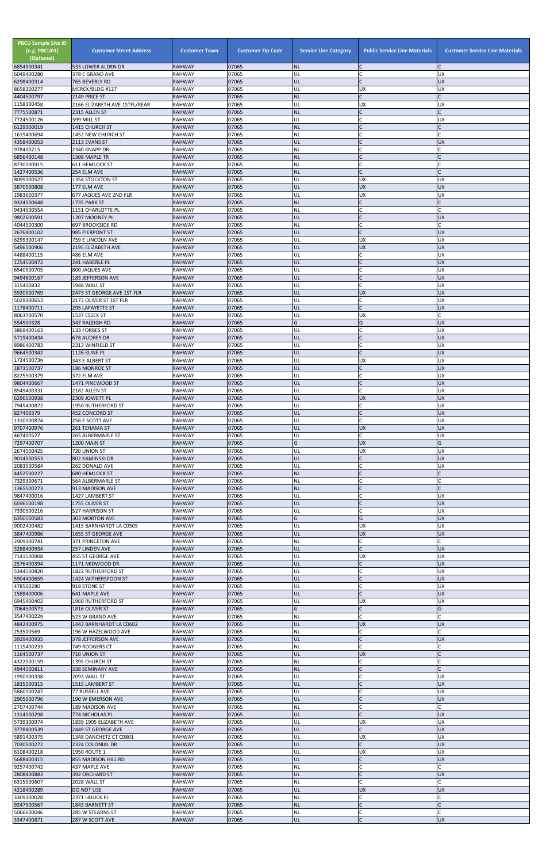| <b>PBCU Sample Site ID</b><br>(e.g. PBCU01)<br>(Optional)<br>6854500341 | <b>Customer Street Address</b><br>533 LOWER ALDEN DR | <b>Customer Town</b><br><b>RAHWAY</b> | <b>Customer Zip Code</b><br>07065 | <b>Service Line Category</b><br><b>NL</b> | <b>Public Service Line Materials</b> | <b>Customer Service Line Materials</b> |
|-------------------------------------------------------------------------|------------------------------------------------------|---------------------------------------|-----------------------------------|-------------------------------------------|--------------------------------------|----------------------------------------|
| 6049400280                                                              | 378 E GRAND AVE                                      | <b>RAHWAY</b>                         | 07065                             | UL                                        | $\mathsf{C}$                         | <b>UX</b>                              |
| 6298400314                                                              | 765 BEVERLY RD                                       | <b>RAHWAY</b><br><b>RAHWAY</b>        | 07065<br>07065                    | UL<br>UL                                  | $\mathsf{C}$<br><b>UX</b>            | <b>UX</b><br><b>UX</b>                 |
| 8658300277<br>4404500797                                                | MERCK/BLDG #127<br>2149 PRICE ST                     | <b>RAHWAY</b>                         | 07065                             | <b>NL</b>                                 |                                      |                                        |
| 1158300458<br>7775500871                                                | 2166 ELIZABETH AVE 1STFL/REAR<br>2315 ALLEN ST       | <b>RAHWAY</b><br><b>RAHWAY</b>        | 07065<br>07065                    | UL<br><b>NL</b>                           | <b>UX</b><br>$\mathsf{C}$            | <b>UX</b>                              |
| 7724500126                                                              | 399 MILL ST                                          | <b>RAHWAY</b>                         | 07065                             | UL                                        | $\mathsf{C}$                         | <b>UX</b>                              |
| 6129300019                                                              | 1415 CHURCH ST                                       | <b>RAHWAY</b>                         | 07065<br>07065                    | <b>NL</b>                                 | $\mathsf{C}$                         |                                        |
| 1619400694<br>4358400053                                                | 1452 NEW CHURCH ST<br>2113 EVANS ST                  | <b>RAHWAY</b><br><b>RAHWAY</b>        | 07065                             | NL<br>UL                                  |                                      | <b>UX</b>                              |
| 978400215                                                               | 2340 KNAPP DR                                        | <b>RAHWAY</b>                         | 07065                             | <b>NL</b>                                 | $\mathsf{C}$                         | C                                      |
| 6856400148<br>8730500915                                                | 1308 MAPLE TR<br>611 HEMLOCK ST                      | <b>RAHWAY</b><br><b>RAHWAY</b>        | 07065<br>07065                    | <b>NL</b><br>NL                           | $\mathsf{C}$                         | $\mathsf{C}$                           |
| 1427400536                                                              | 254 ELM AVE                                          | <b>RAHWAY</b>                         | 07065                             | <b>NL</b>                                 | $\mathcal{C}$                        |                                        |
| 8099300527<br>3870500808                                                | 1354 STOCKTON ST<br>177 ELM AVE                      | <b>RAHWAY</b><br><b>RAHWAY</b>        | 07065<br>07065                    | UL<br>UL                                  | UX<br><b>UX</b>                      | <b>UX</b><br><b>UX</b>                 |
| 1983600377                                                              | 677 JAQUES AVE 2ND FLR                               | <b>RAHWAY</b>                         | 07065                             | UL                                        | <b>UX</b>                            | <b>UX</b>                              |
| 9324500648<br>9434500554                                                | 1735 PARK ST<br>1151 CHARLOTTE PL                    | <b>RAHWAY</b><br><b>RAHWAY</b>        | 07065<br>07065                    | <b>NL</b><br><b>NL</b>                    | $\mathsf{C}$<br>$\mathsf{C}$         | $\Gamma$<br>$\mathsf{C}$               |
| 9802600591                                                              | 1207 MOONEY PL                                       | <b>RAHWAY</b>                         | 07065                             | UL                                        | $\mathsf{C}$                         | <b>UX</b>                              |
| 4044500300<br>2676400102                                                | <b>697 BROOKSIDE RD</b><br>985 PIERPONT ST           | <b>RAHWAY</b><br><b>RAHWAY</b>        | 07065<br>07065                    | NL<br>UL                                  | $\mathsf{C}$<br>$\mathsf{C}$         | <b>UX</b>                              |
| 6299300147                                                              | 759 E LINCOLN AVE                                    | <b>RAHWAY</b>                         | 07065                             | UL                                        | <b>UX</b>                            | <b>UX</b>                              |
| 5496500906                                                              | 2195 ELIZABETH AVE                                   | <b>RAHWAY</b>                         | 07065<br>07065                    | UL                                        | <b>UX</b><br>C                       | <b>UX</b>                              |
| 4488400115<br>1254500472                                                | 486 ELM AVE<br>241 HABERLE PL                        | <b>RAHWAY</b><br><b>RAHWAY</b>        | 07065                             | UL<br>UL                                  | $\mathsf{C}$                         | <b>UX</b><br><b>UX</b>                 |
| 6540500705                                                              | 800 JAQUES AVE                                       | <b>RAHWAY</b>                         | 07065                             | UL                                        | $\mathcal{C}$                        | <b>UX</b>                              |
| 9494600167<br>315400832                                                 | 183 JEFFERSON AVE<br>1948 WALL ST                    | <b>RAHWAY</b><br><b>RAHWAY</b>        | 07065<br>07065                    | UL<br>UL                                  | $\mathsf{C}$<br>$\mathsf{C}$         | <b>UX</b><br><b>UX</b>                 |
| 5920500769                                                              | 2473 ST GEORGE AVE 1ST FLR                           | <b>RAHWAY</b>                         | 07065                             | UL                                        | <b>UX</b>                            | <b>UX</b>                              |
| 5029300653<br>1178400711                                                | 2173 OLIVER ST 1ST FLR<br><b>295 LAFAYETTE ST</b>    | <b>RAHWAY</b><br><b>RAHWAY</b>        | 07065<br>07065                    | UL<br>UL                                  | $\mathsf{C}$<br>$\mathsf{C}$         | <b>UX</b><br><b>UX</b>                 |
| 8063700570                                                              | 1537 ESSEX ST                                        | <b>RAHWAY</b>                         | 07065                             | UL                                        | <b>UX</b>                            |                                        |
| 554500328<br>3869400163                                                 | 347 RALEIGH RD<br>133 FORBES ST                      | <b>RAHWAY</b><br><b>RAHWAY</b>        | 07065<br>07065                    | G<br>UL                                   | G<br>$\mathsf{C}$                    | <b>UX</b><br><b>UX</b>                 |
| 5719400434                                                              | <b>678 AUDREY DR</b>                                 | <b>RAHWAY</b>                         | 07065                             | UL                                        | $\mathcal{C}$                        | <b>UX</b>                              |
| 8986400783                                                              | 2313 WINFIELD ST<br>1126 KLINE PL                    | <b>RAHWAY</b><br><b>RAHWAY</b>        | 07065<br>07065                    | UL                                        |                                      | <b>UX</b>                              |
| 9664500342<br>1724500739                                                | 343 E ALBERT ST                                      | <b>RAHWAY</b>                         | 07065                             | <b>UL</b><br>UL                           | <b>UX</b>                            | <b>UX</b><br><b>UX</b>                 |
| 1873500737                                                              | 186 MONROE ST                                        | <b>RAHWAY</b>                         | 07065                             | UL                                        |                                      | <b>UX</b>                              |
| 8225500379<br>9804400667                                                | 372 ELM AVE<br>1471 PINEWOOD ST                      | <b>RAHWAY</b><br><b>RAHWAY</b>        | 07065<br>07065                    | UL<br>UL                                  | $\mathsf{C}$<br>$\mathsf{C}$         | <b>UX</b><br><b>UX</b>                 |
| 8549400331                                                              | 2182 ALLEN ST                                        | <b>RAHWAY</b>                         | 07065                             | UL                                        | $\mathsf{C}$                         | <b>UX</b>                              |
| 6296500938<br>7945400872                                                | 2309 JOWETT PL<br>1950 RUTHERFORD ST                 | <b>RAHWAY</b><br><b>RAHWAY</b>        | 07065<br>07065                    | UL<br>UL                                  | <b>UX</b><br>$\mathsf{C}$            | <b>UX</b><br><b>UX</b>                 |
| 827400379                                                               | 452 CONCORD ST                                       | <b>RAHWAY</b>                         | 07065                             | UL                                        | $\mathsf{C}$                         | <b>UX</b>                              |
| 1310500874<br>9707400976                                                | 256 E SCOTT AVE<br>261 TEHAMA ST                     | <b>RAHWAY</b><br><b>RAHWAY</b>        | 07065<br>07065                    | UL<br>UL                                  | $\mathsf{C}$<br><b>UX</b>            | <b>UX</b><br><b>UX</b>                 |
| 467400527                                                               | 265 ALBERMARLE ST                                    | <b>RAHWAY</b>                         | 07065                             | UL                                        | $\mathsf{C}$                         | <b>UX</b>                              |
| 7297400707<br>2674500425                                                | 1200 MAIN ST                                         | <b>RAHWAY</b>                         | 07065<br>07065                    | G<br>UL                                   | <b>UX</b><br><b>UX</b>               | G<br><b>UX</b>                         |
| 9014500553                                                              | 720 UNION ST<br>802 KAMINSKI DR                      | <b>RAHWAY</b><br><b>RAHWAY</b>        | 07065                             | UL                                        | $\mathsf{C}$                         | <b>UX</b>                              |
| 2083500584                                                              | 262 DONALD AVE                                       | <b>RAHWAY</b>                         | 07065                             | UL                                        | $\mathsf{C}$                         | <b>UX</b>                              |
| 4452500227<br>7329300671                                                | <b>680 HEMLOCK ST</b><br>564 ALBERMARLE ST           | <b>RAHWAY</b><br><b>RAHWAY</b>        | 07065<br>07065                    | <b>NL</b><br><b>NL</b>                    | $\mathsf{C}$                         |                                        |
| 1365500273                                                              | 913 MADISON AVE                                      | <b>RAHWAY</b>                         | 07065                             | <b>NL</b>                                 | $\mathsf{C}$                         | C                                      |
| 9847400016<br>6596500198                                                | 1427 LAMBERT ST<br>1755 OLIVER ST                    | <b>RAHWAY</b><br><b>RAHWAY</b>        | 07065<br>07065                    | UL<br>UL                                  | $\mathsf{C}$<br>$\mathsf{C}$         | <b>UX</b><br><b>UX</b>                 |
| 7330500216                                                              | <b>527 HARRISON ST</b>                               | <b>RAHWAY</b>                         | 07065                             | UL                                        | $\mathsf{C}$                         | <b>UX</b>                              |
| 6350500583<br>9002400482                                                | 303 MORTON AVE<br>1415 BARNHARDT LA C0505            | <b>RAHWAY</b><br><b>RAHWAY</b>        | 07065<br>07065                    | G<br>UL                                   | G<br><b>UX</b>                       | <b>UX</b><br><b>UX</b>                 |
| 3847400986                                                              | 1655 ST GEORGE AVE                                   | <b>RAHWAY</b>                         | 07065                             | UL                                        | <b>UX</b>                            | <b>UX</b>                              |
| 2909300741<br>3288400934                                                | 371 PRINCETON AVE<br><b>257 LINDEN AVE</b>           | <b>RAHWAY</b><br><b>RAHWAY</b>        | 07065<br>07065                    | <b>NL</b><br>UL                           | $\mathsf{C}$<br>$\mathsf{C}$         | <b>UX</b>                              |
| 7141500908                                                              | 455 ST GEORGE AVE                                    | <b>RAHWAY</b>                         | 07065                             | UL                                        | UX                                   | <b>UX</b>                              |
| 2576400394<br>5344500820                                                | 1171 MIDWOOD DR<br><b>1822 RUTHERFORD ST</b>         | <b>RAHWAY</b><br><b>RAHWAY</b>        | 07065<br>07065                    | UL<br>UL                                  | $\mathsf{C}$<br>$\mathsf{C}$         | <b>UX</b><br><b>UX</b>                 |
| 5904400659                                                              | 1424 WITHERSPOON ST                                  | <b>RAHWAY</b>                         | 07065                             | UL                                        |                                      | <b>UX</b>                              |
| 478500280                                                               | 918 STONE ST                                         | <b>RAHWAY</b><br><b>RAHWAY</b>        | 07065<br>07065                    | UL<br>UL                                  | $\mathsf{C}$<br>$\mathsf{C}$         | <b>UX</b><br><b>UX</b>                 |
| 1588400006<br>6945400402                                                | 641 MAPLE AVE<br>1960 RUTHERFORD ST                  | <b>RAHWAY</b>                         | 07065                             | UL                                        | <b>UX</b>                            | <b>UX</b>                              |
| 7064500573                                                              | 1816 OLIVER ST                                       | <b>RAHWAY</b>                         | 07065                             | G                                         | $\mathsf{C}$<br>$\mathsf{C}$         | G                                      |
| 3547400229<br>4842400975                                                | 523 W GRAND AVE<br>1443 BARNHARDT LA C0602           | <b>RAHWAY</b><br><b>RAHWAY</b>        | 07065<br>07065                    | <b>NL</b><br>UL                           | <b>UX</b>                            | C<br><b>UX</b>                         |
| 253500569                                                               | 196 W HAZELWOOD AVE                                  | <b>RAHWAY</b>                         | 07065                             | <b>NL</b>                                 | $\mathsf{C}$                         | C                                      |
| 3929400935<br>1115400233                                                | 378 JEFFERSON AVE<br>749 RODGERS CT                  | <b>RAHWAY</b><br><b>RAHWAY</b>        | 07065<br>07065                    | UL<br><b>NL</b>                           | $\mathsf{C}$<br>$\mathcal{C}$        | <b>UX</b><br>$\Gamma$                  |
| 1164500737                                                              | 710 UNION ST                                         | <b>RAHWAY</b>                         | 07065                             | UL                                        | <b>UX</b>                            |                                        |
| 4322500159<br>4944500811                                                | 1395 CHURCH ST<br>338 SEMINARY AVE                   | <b>RAHWAY</b><br><b>RAHWAY</b>        | 07065<br>07065                    | NL<br>INL.                                | $\mathsf{C}$                         |                                        |
| 1950500338                                                              | 2093 WALL ST                                         | <b>RAHWAY</b>                         | 07065                             | UL                                        | $\mathsf C$                          | <b>UX</b>                              |
| 1835500315<br>5860500247                                                | 1515 LAMBERT ST<br>77 RUSSELL AVE                    | <b>RAHWAY</b><br><b>RAHWAY</b>        | 07065<br>07065                    | UL<br>UL                                  | $\mathsf{C}$<br>$\mathsf{C}$         | <b>UX</b><br><b>UX</b>                 |
| 2905500796                                                              | 190 W EMERSON AVE                                    | <b>RAHWAY</b>                         | 07065                             | UL                                        | $\mathsf{C}$                         | <b>UX</b>                              |
| 2707400744<br>1314500298                                                | 189 MADISON AVE                                      | <b>RAHWAY</b>                         | 07065                             | <b>NL</b><br>UL                           | $\mathsf{C}$<br>$\mathsf{C}$         | C                                      |
| 5739300974                                                              | 774 NICHOLAS PL<br>1839 1905 ELIZABETH AVE           | <b>RAHWAY</b><br><b>RAHWAY</b>        | 07065<br>07065                    | UL                                        | <b>UX</b>                            | <b>UX</b><br><b>UX</b>                 |
| 3778400539                                                              | 2449 ST GEORGE AVE                                   | <b>RAHWAY</b>                         | 07065                             | UL                                        | $\mathsf{C}$                         | <b>UX</b>                              |
| 5891400375<br>7030500272                                                | 1348 DANCHETZ CT C0801<br>2324 COLONIAL DR           | <b>RAHWAY</b><br><b>RAHWAY</b>        | 07065<br>07065                    | UL<br>UL                                  | <b>UX</b><br>$\mathsf{C}$            | <b>UX</b><br><b>UX</b>                 |
| 6108400218                                                              | 1950 ROUTE 1                                         | <b>RAHWAY</b>                         | 07065                             | UL                                        | <b>UX</b>                            | <b>UX</b>                              |
| 5688400315<br>9257400742                                                | 855 MADISON HILL RD<br>437 MAPLE AVE                 | <b>RAHWAY</b><br><b>RAHWAY</b>        | 07065<br>07065                    | UL<br><b>NL</b>                           | $\mathsf{C}$<br>$\mathsf{C}$         | <b>UX</b><br>C                         |
| 2808400883                                                              | 392 ORCHARD ST                                       | <b>RAHWAY</b>                         | 07065                             | UL                                        | $\mathsf{C}$                         | <b>UX</b>                              |
| 6315500607<br>4218400289                                                | 2028 WALL ST<br><b>DO NOT USE</b>                    | <b>RAHWAY</b><br><b>RAHWAY</b>        | 07065<br>07065                    | <b>NL</b><br>UL                           | $\mathsf{C}$<br><b>UX</b>            | <b>UX</b>                              |
| 3309300028                                                              | 2371 HULICK PL                                       | <b>RAHWAY</b>                         | 07065                             | NL                                        | $\mathsf{C}$                         |                                        |
| 9247500567                                                              | 1843 BARNETT ST                                      | <b>RAHWAY</b>                         | 07065                             | <b>NL</b>                                 | $\mathsf{C}$                         | C                                      |
| 5066600046<br>3347400871                                                | 285 W STEARNS ST<br>287 W SCOTT AVE                  | <b>RAHWAY</b><br><b>RAHWAY</b>        | 07065<br>07065                    | <b>NL</b><br>UL.                          | $\mathsf{C}$<br>$\mathsf C$          | C<br><b>UX</b>                         |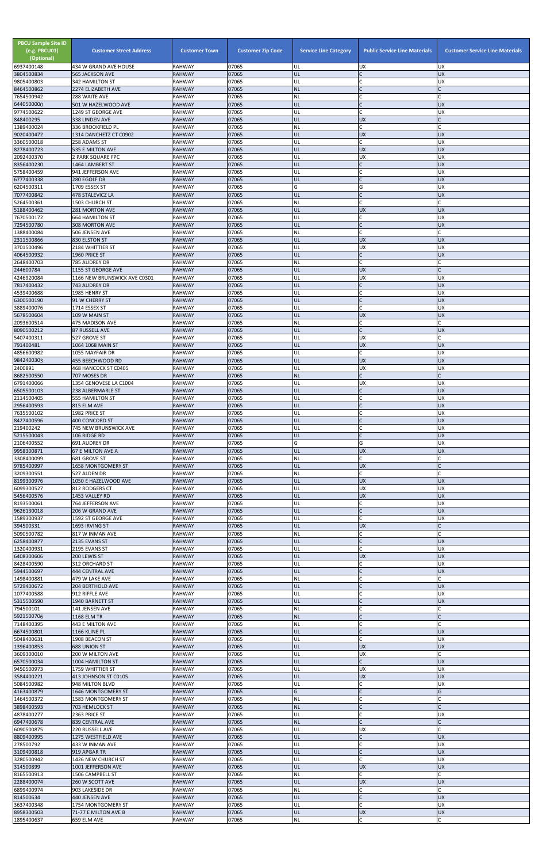| 07065<br>UL<br>$\mathsf{C}$<br><b>UX</b><br><b>565 JACKSON AVE</b><br><b>RAHWAY</b><br>$\mathsf{C}$<br><b>RAHWAY</b><br>07065<br>UL<br><b>UX</b><br>342 HAMILTON ST<br>lc.<br>07065<br><b>NL</b><br>8464500862<br><b>RAHWAY</b><br>2274 ELIZABETH AVE<br>07065<br>C<br><b>RAHWAY</b><br>288 WAITE AVE<br>NL<br>07065<br>IC<br>501 W HAZELWOOD AVE<br><b>RAHWAY</b><br>UL<br><b>UX</b><br>lc.<br>07065<br><b>UX</b><br>9774500622<br>1249 ST GEORGE AVE<br><b>RAHWAY</b><br>UL<br>07065<br>UL<br><b>UX</b><br><b>RAHWAY</b><br>338 LINDEN AVE<br>C<br>07065<br>C.<br>336 BROOKFIELD PL<br><b>RAHWAY</b><br>NL<br>C<br>9020400472<br>07065<br>1314 DANCHETZ CT C0902<br><b>RAHWAY</b><br>UL<br><b>UX</b><br><b>UX</b><br>07065<br>lC.<br>3360500018<br>258 ADAMS ST<br><b>RAHWAY</b><br>UL<br><b>UX</b><br>07065<br>UL<br><b>UX</b><br><b>RAHWAY</b><br><b>UX</b><br>535 E MILTON AVE<br>07065<br>UL<br><b>UX</b><br>UX<br>2 PARK SQUARE FPC<br><b>RAHWAY</b><br>8356400230<br>07065<br>$\mathsf{C}$<br><b>UX</b><br><b>RAHWAY</b><br>UL<br>1464 LAMBERT ST<br>07065<br>941 JEFFERSON AVE<br><b>RAHWAY</b><br>UL<br>C<br>UX<br>IC<br><b>UX</b><br>07065<br><b>RAHWAY</b><br>UL<br>280 EGOLF DR<br>G<br>07065<br>1709 ESSEX ST<br>G<br>UX<br>6204500311<br><b>RAHWAY</b><br>$\overline{C}$<br>7077400842<br>07065<br><b>UX</b><br>478 STALEVICZ LA<br><b>RAHWAY</b><br>UL<br>07065<br>C<br><b>RAHWAY</b><br>NL<br>1503 CHURCH ST<br>5188400462<br>07065<br>UL<br><b>RAHWAY</b><br><b>UX</b><br><b>UX</b><br>281 MORTON AVE<br>07065<br><b>UX</b><br>7670500172<br>UL<br>lC.<br><b>664 HAMILTON ST</b><br><b>RAHWAY</b><br>lc.<br>07065<br><b>RAHWAY</b><br>UL<br><b>UX</b><br>308 MORTON AVE<br><b>C</b><br>07065<br><b>RAHWAY</b><br>NL<br>506 JENSEN AVE<br>2311500866<br>07065<br>830 ELSTON ST<br><b>RAHWAY</b><br>UL<br><b>UX</b><br><b>UX</b><br>07065<br><b>UX</b><br>3701500496<br>2184 WHITTIER ST<br><b>RAHWAY</b><br>UL<br><b>UX</b><br>07065<br>lC.<br><b>RAHWAY</b><br>UL<br><b>UX</b><br>1960 PRICE ST<br><b>C</b><br>07065<br><b>RAHWAY</b><br>NL<br>785 AUDREY DR<br>244600784<br>07065<br>1155 ST GEORGE AVE<br><b>RAHWAY</b><br>UL<br><b>UX</b><br>07065<br><b>RAHWAY</b><br>UL<br><b>UX</b><br>UX<br>1166 NEW BRUNSWICK AVE C0301<br>07065<br><b>UX</b><br><b>RAHWAY</b><br>UL<br>lC.<br>743 AUDREY DR<br><b>C</b><br><b>RAHWAY</b><br>07065<br>UL<br><b>UX</b><br>4539400688<br>1985 HENRY ST<br>$\mathsf C$<br><b>UX</b><br>6300500190<br>07065<br>UL<br><b>RAHWAY</b><br>91 W CHERRY ST<br>lc.<br>07065<br>1714 ESSEX ST<br><b>RAHWAY</b><br>UL<br>UX<br>07065<br><b>UX</b><br><b>RAHWAY</b><br>UL<br><b>UX</b><br>109 W MAIN ST<br>07065<br>NL<br>lC.<br>2093600514<br><b>RAHWAY</b><br>475 MADISON AVE<br>lc.<br>07065<br><b>RAHWAY</b><br>UL<br><b>UX</b><br>87 RUSSELL AVE<br><b>RAHWAY</b><br>07065<br>UL<br><b>UX</b><br>527 GROVE ST<br>791400481<br>07065<br>UL<br><b>UX</b><br><b>UX</b><br>1064 1068 MAIN ST<br><b>RAHWAY</b><br>4856600982<br>1055 MAYFAIR DR<br><b>RAHWAY</b><br>07065<br>UL<br><b>UX</b><br>IC.<br>07065<br><b>UL</b><br><b>UX</b><br><b>UX</b><br>455 BEECHWOOD RD<br><b>RAHWAY</b><br>07065<br><b>UX</b><br><b>RAHWAY</b><br>UL<br><b>UX</b><br>468 HANCOCK ST C0405<br>8682500550<br>07065<br>lC.<br><b>RAHWAY</b><br><b>NL</b><br>707 MOSES DR<br>07065<br>1354 GENOVESE LA C1004<br><b>RAHWAY</b><br>UL<br><b>UX</b><br><b>UX</b><br>07065<br>UL<br>lC.<br><b>RAHWAY</b><br><b>UX</b><br>238 ALBERMARLE ST<br>lC.<br>07065<br>UL<br>UX<br>555 HAMILTON ST<br><b>RAHWAY</b><br>$\overline{C}$<br><b>UX</b><br>2956400593<br>07065<br>UL<br>815 ELM AVE<br><b>RAHWAY</b><br>C<br>07065<br>UL<br>UX<br>1982 PRICE ST<br><b>RAHWAY</b><br>07065<br>UL<br><b>UX</b><br>400 CONCORD ST<br><b>RAHWAY</b><br>lC.<br>07065<br><b>UX</b><br>219400242<br>745 NEW BRUNSWICK AVE<br><b>RAHWAY</b><br>UL<br>$\overline{C}$<br><b>UX</b><br>5215500043<br>07065<br>UL<br><b>RAHWAY</b><br>106 RIDGE RD<br>691 AUDREY DR<br><b>RAHWAY</b><br>07065<br>G<br>G<br><b>UX</b><br>9958300871<br>07065<br>UL<br><b>UX</b><br><b>UX</b><br>67 E MILTON AVE A<br><b>RAHWAY</b><br>07065<br><b>NL</b><br>lC.<br>3308400099<br><b>RAHWAY</b><br>681 GROVE ST<br>07065<br>UL<br><b>UX</b><br>1658 MONTGOMERY ST<br><b>RAHWAY</b><br>lC.<br><b>RAHWAY</b><br>07065<br>NL<br>527 ALDEN DR<br>8199300976<br>07065<br>UL<br>1050 E HAZELWOOD AVE<br><b>RAHWAY</b><br><b>UX</b><br><b>UX</b><br><b>UX</b><br>07065<br>UL<br><b>UX</b><br>812 RODGERS CT<br><b>RAHWAY</b><br>07065<br>UL<br><b>UX</b><br><b>UX</b><br><b>RAHWAY</b><br>1453 VALLEY RD<br>07065<br><b>UX</b><br>8193500061<br><b>RAHWAY</b><br>UL<br>C<br>764 JEFFERSON AVE<br>9626130018<br>07065<br>lC.<br>206 W GRAND AVE<br><b>RAHWAY</b><br>UL<br><b>UX</b><br>lC.<br>07065<br>UL<br><b>UX</b><br>1592 ST GEORGE AVE<br><b>RAHWAY</b><br>UL<br>07065<br><b>UX</b><br>1693 IRVING ST<br><b>RAHWAY</b><br>$\mathsf{C}$<br>lC.<br>07065<br><b>NL</b><br>5090500782<br>817 W INMAN AVE<br><b>RAHWAY</b><br>$\overline{C}$<br>07065<br>UL<br><b>UX</b><br>2135 EVANS ST<br><b>RAHWAY</b><br>lC.<br>07065<br>UL<br>UX<br>2195 EVANS ST<br><b>RAHWAY</b><br><b>UX</b><br><b>UX</b><br>07065<br>UL<br>6408300606<br>200 LEWIS ST<br><b>RAHWAY</b><br>C<br>07065<br>UL<br><b>UX</b><br>8428400590<br>312 ORCHARD ST<br><b>RAHWAY</b><br>07065<br>$\mathsf C$<br><b>UX</b><br><b>RAHWAY</b><br>UL<br><b>444 CENTRAL AVE</b><br>$\mathsf{C}$<br>07065<br><b>NL</b><br>479 W LAKE AVE<br><b>RAHWAY</b><br>5729400672<br>$\mathsf{C}$<br>07065<br>UL<br><b>UX</b><br>204 BERTHOLD AVE<br><b>RAHWAY</b><br>C<br>07065<br>UL<br>UX<br>912 RIFFLE AVE<br><b>RAHWAY</b><br>$\mathsf{C}$<br>07065<br>UL<br><b>UX</b><br>1940 BARNETT ST<br><b>RAHWAY</b><br>$\mathsf{C}$<br>794500101<br>07065<br>NL<br>141 JENSEN AVE<br><b>RAHWAY</b><br>IC<br>1168 ELM TR<br>07065<br><b>NL</b><br><b>RAHWAY</b><br><b>C</b><br>07065<br><b>RAHWAY</b><br>NL<br>C<br>443 E MILTON AVE<br>$\mathsf{C}$<br>07065<br>UL<br>1166 KLINE PL<br><b>RAHWAY</b><br><b>UX</b><br><b>C</b><br>07065<br><b>RAHWAY</b><br>UL<br>UX<br>5048400631<br>1908 BEACON ST<br>07065<br><b>UX</b><br>688 UNION ST<br><b>RAHWAY</b><br>UL<br><b>UX</b><br>07065<br>UL<br><b>UX</b><br>200 W MILTON AVE<br><b>RAHWAY</b><br>UL<br>$\mathsf{C}$<br>6570500034<br><b>RAHWAY</b><br>07065<br><b>UX</b><br>1004 HAMILTON ST<br>07065<br>9450500973<br>1759 WHITTIER ST<br><b>RAHWAY</b><br>UX.<br>IUL.<br><b>UX</b><br><b>UX</b><br>UL<br><b>UX</b><br><b>RAHWAY</b><br>07065<br>413 JOHNSON ST C0105<br>5084500982<br>C<br><b>RAHWAY</b><br>07065<br>UL<br><b>UX</b><br>948 MILTON BLVD<br>4163400879<br>$\mathsf{C}$<br>1646 MONTGOMERY ST<br><b>RAHWAY</b><br>07065<br>G<br>G<br>07065<br>C<br><b>NL</b><br>1583 MONTGOMERY ST<br><b>RAHWAY</b><br>C<br>07065<br><b>NL</b><br>$\mathsf{C}$<br><b>RAHWAY</b><br>703 HEMLOCK ST<br>UL<br>C<br>4878400277<br><b>RAHWAY</b><br>07065<br>2363 PRICE ST<br>UX<br>lc.<br>6947400678<br><b>NL</b><br>07065<br>839 CENTRAL AVE<br><b>RAHWAY</b><br>07065<br>UL<br><b>UX</b><br>220 RUSSELL AVE<br><b>RAHWAY</b><br>$\mathsf{C}$<br>07065<br>UL<br><b>UX</b><br>1275 WESTFIELD AVE<br><b>RAHWAY</b><br>$\mathsf C$<br>X<br>278500792<br>07065<br>UL<br><b>RAHWAY</b><br>433 W INMAN AVE<br>$\overline{C}$<br><b>UX</b><br>919 APGAR TR<br>07065<br>UL<br><b>RAHWAY</b><br>07065<br>C.<br><b>UX</b><br>1426 NEW CHURCH ST<br><b>RAHWAY</b><br>UL<br>UL<br>07065<br><b>UX</b><br><b>UX</b><br>1001 JEFFERSON AVE<br><b>RAHWAY</b><br>07065<br><b>NL</b><br>C.<br>8165500913<br><b>RAHWAY</b><br>1506 CAMPBELL ST<br>UL<br><b>RAHWAY</b><br>07065<br><b>UX</b><br><b>UX</b><br>260 W SCOTT AVE<br>lC.<br><b>RAHWAY</b><br>07065<br><b>NL</b><br>903 LAKESIDE DR<br>$\mathsf{C}$<br>07065<br>UL<br><b>UX</b><br>814500634<br>440 JENSEN AVE<br><b>RAHWAY</b><br><b>C</b><br>07065<br>UL<br><b>UX</b><br>1754 MONTGOMERY ST<br><b>RAHWAY</b><br><b>UX</b><br>07065<br>UL<br><b>UX</b><br><b>RAHWAY</b><br>71-77 E MILTON AVE B | <b>PBCU Sample Site ID</b><br>(e.g. PBCU01)<br>(Optional)<br>6937400148 | <b>Customer Street Address</b><br>434 W GRAND AVE HOUSE | <b>Customer Town</b><br><b>RAHWAY</b> | <b>Customer Zip Code</b><br>07065 | <b>Service Line Category</b><br>UL | <b>Public Service Line Materials</b><br><b>UX</b> | <b>Customer Service Line Materials</b><br><b>UX</b> |
|--------------------------------------------------------------------------------------------------------------------------------------------------------------------------------------------------------------------------------------------------------------------------------------------------------------------------------------------------------------------------------------------------------------------------------------------------------------------------------------------------------------------------------------------------------------------------------------------------------------------------------------------------------------------------------------------------------------------------------------------------------------------------------------------------------------------------------------------------------------------------------------------------------------------------------------------------------------------------------------------------------------------------------------------------------------------------------------------------------------------------------------------------------------------------------------------------------------------------------------------------------------------------------------------------------------------------------------------------------------------------------------------------------------------------------------------------------------------------------------------------------------------------------------------------------------------------------------------------------------------------------------------------------------------------------------------------------------------------------------------------------------------------------------------------------------------------------------------------------------------------------------------------------------------------------------------------------------------------------------------------------------------------------------------------------------------------------------------------------------------------------------------------------------------------------------------------------------------------------------------------------------------------------------------------------------------------------------------------------------------------------------------------------------------------------------------------------------------------------------------------------------------------------------------------------------------------------------------------------------------------------------------------------------------------------------------------------------------------------------------------------------------------------------------------------------------------------------------------------------------------------------------------------------------------------------------------------------------------------------------------------------------------------------------------------------------------------------------------------------------------------------------------------------------------------------------------------------------------------------------------------------------------------------------------------------------------------------------------------------------------------------------------------------------------------------------------------------------------------------------------------------------------------------------------------------------------------------------------------------------------------------------------------------------------------------------------------------------------------------------------------------------------------------------------------------------------------------------------------------------------------------------------------------------------------------------------------------------------------------------------------------------------------------------------------------------------------------------------------------------------------------------------------------------------------------------------------------------------------------------------------------------------------------------------------------------------------------------------------------------------------------------------------------------------------------------------------------------------------------------------------------------------------------------------------------------------------------------------------------------------------------------------------------------------------------------------------------------------------------------------------------------------------------------------------------------------------------------------------------------------------------------------------------------------------------------------------------------------------------------------------------------------------------------------------------------------------------------------------------------------------------------------------------------------------------------------------------------------------------------------------------------------------------------------------------------------------------------------------------------------------------------------------------------------------------------------------------------------------------------------------------------------------------------------------------------------------------------------------------------------------------------------------------------------------------------------------------------------------------------------------------------------------------------------------------------------------------------------------------------------------------------------------------------------------------------------------------------------------------------------------------------------------------------------------------------------------------------------------------------------------------------------------------------------------------------------------------------------------------------------------------------------------------------------------------------------------------------------------------------------------------------------------------------------------------------------------------------------------------------------------------------------------------------------------------------------------------------------------------------------------------------------------------------------------------------------------------------------------------------------------------------------------------------------------------------------------------------------------------------------------------------------------------------------------------------------------------------------------------------------------------------------------------------------------------------------------------------------------------------------------------------------------------------------------------------------------------------------------------------------------------------------------------------------------------------------------------------------------------------------------------------------------------------------------------------------------------------------------------------------------------------------------------------------------------------------------------------------------------------------------------------------------------------------------------------------------------------------------------------------------------------------------------------------------------------------------------------------------------------------------------------------------------------------------------------------------------------------------------------------|-------------------------------------------------------------------------|---------------------------------------------------------|---------------------------------------|-----------------------------------|------------------------------------|---------------------------------------------------|-----------------------------------------------------|
|                                                                                                                                                                                                                                                                                                                                                                                                                                                                                                                                                                                                                                                                                                                                                                                                                                                                                                                                                                                                                                                                                                                                                                                                                                                                                                                                                                                                                                                                                                                                                                                                                                                                                                                                                                                                                                                                                                                                                                                                                                                                                                                                                                                                                                                                                                                                                                                                                                                                                                                                                                                                                                                                                                                                                                                                                                                                                                                                                                                                                                                                                                                                                                                                                                                                                                                                                                                                                                                                                                                                                                                                                                                                                                                                                                                                                                                                                                                                                                                                                                                                                                                                                                                                                                                                                                                                                                                                                                                                                                                                                                                                                                                                                                                                                                                                                                                                                                                                                                                                                                                                                                                                                                                                                                                                                                                                                                                                                                                                                                                                                                                                                                                                                                                                                                                                                                                                                                                                                                                                                                                                                                                                                                                                                                                                                                                                                                                                                                                                                                                                                                                                                                                                                                                                                                                                                                                                                                                                                                                                                                                                                                                                                                                                                                                                                                                                                                                                                                                                                                                                                                                                                                                                                                                                                                                                                                                                                                                                                                                                  | 3804500834                                                              |                                                         |                                       |                                   |                                    |                                                   |                                                     |
|                                                                                                                                                                                                                                                                                                                                                                                                                                                                                                                                                                                                                                                                                                                                                                                                                                                                                                                                                                                                                                                                                                                                                                                                                                                                                                                                                                                                                                                                                                                                                                                                                                                                                                                                                                                                                                                                                                                                                                                                                                                                                                                                                                                                                                                                                                                                                                                                                                                                                                                                                                                                                                                                                                                                                                                                                                                                                                                                                                                                                                                                                                                                                                                                                                                                                                                                                                                                                                                                                                                                                                                                                                                                                                                                                                                                                                                                                                                                                                                                                                                                                                                                                                                                                                                                                                                                                                                                                                                                                                                                                                                                                                                                                                                                                                                                                                                                                                                                                                                                                                                                                                                                                                                                                                                                                                                                                                                                                                                                                                                                                                                                                                                                                                                                                                                                                                                                                                                                                                                                                                                                                                                                                                                                                                                                                                                                                                                                                                                                                                                                                                                                                                                                                                                                                                                                                                                                                                                                                                                                                                                                                                                                                                                                                                                                                                                                                                                                                                                                                                                                                                                                                                                                                                                                                                                                                                                                                                                                                                                                  | 9805400803                                                              |                                                         |                                       |                                   |                                    |                                                   |                                                     |
|                                                                                                                                                                                                                                                                                                                                                                                                                                                                                                                                                                                                                                                                                                                                                                                                                                                                                                                                                                                                                                                                                                                                                                                                                                                                                                                                                                                                                                                                                                                                                                                                                                                                                                                                                                                                                                                                                                                                                                                                                                                                                                                                                                                                                                                                                                                                                                                                                                                                                                                                                                                                                                                                                                                                                                                                                                                                                                                                                                                                                                                                                                                                                                                                                                                                                                                                                                                                                                                                                                                                                                                                                                                                                                                                                                                                                                                                                                                                                                                                                                                                                                                                                                                                                                                                                                                                                                                                                                                                                                                                                                                                                                                                                                                                                                                                                                                                                                                                                                                                                                                                                                                                                                                                                                                                                                                                                                                                                                                                                                                                                                                                                                                                                                                                                                                                                                                                                                                                                                                                                                                                                                                                                                                                                                                                                                                                                                                                                                                                                                                                                                                                                                                                                                                                                                                                                                                                                                                                                                                                                                                                                                                                                                                                                                                                                                                                                                                                                                                                                                                                                                                                                                                                                                                                                                                                                                                                                                                                                                                                  | 7654500942                                                              |                                                         |                                       |                                   |                                    |                                                   |                                                     |
|                                                                                                                                                                                                                                                                                                                                                                                                                                                                                                                                                                                                                                                                                                                                                                                                                                                                                                                                                                                                                                                                                                                                                                                                                                                                                                                                                                                                                                                                                                                                                                                                                                                                                                                                                                                                                                                                                                                                                                                                                                                                                                                                                                                                                                                                                                                                                                                                                                                                                                                                                                                                                                                                                                                                                                                                                                                                                                                                                                                                                                                                                                                                                                                                                                                                                                                                                                                                                                                                                                                                                                                                                                                                                                                                                                                                                                                                                                                                                                                                                                                                                                                                                                                                                                                                                                                                                                                                                                                                                                                                                                                                                                                                                                                                                                                                                                                                                                                                                                                                                                                                                                                                                                                                                                                                                                                                                                                                                                                                                                                                                                                                                                                                                                                                                                                                                                                                                                                                                                                                                                                                                                                                                                                                                                                                                                                                                                                                                                                                                                                                                                                                                                                                                                                                                                                                                                                                                                                                                                                                                                                                                                                                                                                                                                                                                                                                                                                                                                                                                                                                                                                                                                                                                                                                                                                                                                                                                                                                                                                                  | 6440500000                                                              |                                                         |                                       |                                   |                                    |                                                   |                                                     |
|                                                                                                                                                                                                                                                                                                                                                                                                                                                                                                                                                                                                                                                                                                                                                                                                                                                                                                                                                                                                                                                                                                                                                                                                                                                                                                                                                                                                                                                                                                                                                                                                                                                                                                                                                                                                                                                                                                                                                                                                                                                                                                                                                                                                                                                                                                                                                                                                                                                                                                                                                                                                                                                                                                                                                                                                                                                                                                                                                                                                                                                                                                                                                                                                                                                                                                                                                                                                                                                                                                                                                                                                                                                                                                                                                                                                                                                                                                                                                                                                                                                                                                                                                                                                                                                                                                                                                                                                                                                                                                                                                                                                                                                                                                                                                                                                                                                                                                                                                                                                                                                                                                                                                                                                                                                                                                                                                                                                                                                                                                                                                                                                                                                                                                                                                                                                                                                                                                                                                                                                                                                                                                                                                                                                                                                                                                                                                                                                                                                                                                                                                                                                                                                                                                                                                                                                                                                                                                                                                                                                                                                                                                                                                                                                                                                                                                                                                                                                                                                                                                                                                                                                                                                                                                                                                                                                                                                                                                                                                                                                  | 848400295                                                               |                                                         |                                       |                                   |                                    |                                                   |                                                     |
|                                                                                                                                                                                                                                                                                                                                                                                                                                                                                                                                                                                                                                                                                                                                                                                                                                                                                                                                                                                                                                                                                                                                                                                                                                                                                                                                                                                                                                                                                                                                                                                                                                                                                                                                                                                                                                                                                                                                                                                                                                                                                                                                                                                                                                                                                                                                                                                                                                                                                                                                                                                                                                                                                                                                                                                                                                                                                                                                                                                                                                                                                                                                                                                                                                                                                                                                                                                                                                                                                                                                                                                                                                                                                                                                                                                                                                                                                                                                                                                                                                                                                                                                                                                                                                                                                                                                                                                                                                                                                                                                                                                                                                                                                                                                                                                                                                                                                                                                                                                                                                                                                                                                                                                                                                                                                                                                                                                                                                                                                                                                                                                                                                                                                                                                                                                                                                                                                                                                                                                                                                                                                                                                                                                                                                                                                                                                                                                                                                                                                                                                                                                                                                                                                                                                                                                                                                                                                                                                                                                                                                                                                                                                                                                                                                                                                                                                                                                                                                                                                                                                                                                                                                                                                                                                                                                                                                                                                                                                                                                                  | 1389400024                                                              |                                                         |                                       |                                   |                                    |                                                   |                                                     |
|                                                                                                                                                                                                                                                                                                                                                                                                                                                                                                                                                                                                                                                                                                                                                                                                                                                                                                                                                                                                                                                                                                                                                                                                                                                                                                                                                                                                                                                                                                                                                                                                                                                                                                                                                                                                                                                                                                                                                                                                                                                                                                                                                                                                                                                                                                                                                                                                                                                                                                                                                                                                                                                                                                                                                                                                                                                                                                                                                                                                                                                                                                                                                                                                                                                                                                                                                                                                                                                                                                                                                                                                                                                                                                                                                                                                                                                                                                                                                                                                                                                                                                                                                                                                                                                                                                                                                                                                                                                                                                                                                                                                                                                                                                                                                                                                                                                                                                                                                                                                                                                                                                                                                                                                                                                                                                                                                                                                                                                                                                                                                                                                                                                                                                                                                                                                                                                                                                                                                                                                                                                                                                                                                                                                                                                                                                                                                                                                                                                                                                                                                                                                                                                                                                                                                                                                                                                                                                                                                                                                                                                                                                                                                                                                                                                                                                                                                                                                                                                                                                                                                                                                                                                                                                                                                                                                                                                                                                                                                                                                  |                                                                         |                                                         |                                       |                                   |                                    |                                                   |                                                     |
|                                                                                                                                                                                                                                                                                                                                                                                                                                                                                                                                                                                                                                                                                                                                                                                                                                                                                                                                                                                                                                                                                                                                                                                                                                                                                                                                                                                                                                                                                                                                                                                                                                                                                                                                                                                                                                                                                                                                                                                                                                                                                                                                                                                                                                                                                                                                                                                                                                                                                                                                                                                                                                                                                                                                                                                                                                                                                                                                                                                                                                                                                                                                                                                                                                                                                                                                                                                                                                                                                                                                                                                                                                                                                                                                                                                                                                                                                                                                                                                                                                                                                                                                                                                                                                                                                                                                                                                                                                                                                                                                                                                                                                                                                                                                                                                                                                                                                                                                                                                                                                                                                                                                                                                                                                                                                                                                                                                                                                                                                                                                                                                                                                                                                                                                                                                                                                                                                                                                                                                                                                                                                                                                                                                                                                                                                                                                                                                                                                                                                                                                                                                                                                                                                                                                                                                                                                                                                                                                                                                                                                                                                                                                                                                                                                                                                                                                                                                                                                                                                                                                                                                                                                                                                                                                                                                                                                                                                                                                                                                                  | 8278400723                                                              |                                                         |                                       |                                   |                                    |                                                   |                                                     |
|                                                                                                                                                                                                                                                                                                                                                                                                                                                                                                                                                                                                                                                                                                                                                                                                                                                                                                                                                                                                                                                                                                                                                                                                                                                                                                                                                                                                                                                                                                                                                                                                                                                                                                                                                                                                                                                                                                                                                                                                                                                                                                                                                                                                                                                                                                                                                                                                                                                                                                                                                                                                                                                                                                                                                                                                                                                                                                                                                                                                                                                                                                                                                                                                                                                                                                                                                                                                                                                                                                                                                                                                                                                                                                                                                                                                                                                                                                                                                                                                                                                                                                                                                                                                                                                                                                                                                                                                                                                                                                                                                                                                                                                                                                                                                                                                                                                                                                                                                                                                                                                                                                                                                                                                                                                                                                                                                                                                                                                                                                                                                                                                                                                                                                                                                                                                                                                                                                                                                                                                                                                                                                                                                                                                                                                                                                                                                                                                                                                                                                                                                                                                                                                                                                                                                                                                                                                                                                                                                                                                                                                                                                                                                                                                                                                                                                                                                                                                                                                                                                                                                                                                                                                                                                                                                                                                                                                                                                                                                                                                  | 2092400370                                                              |                                                         |                                       |                                   |                                    |                                                   |                                                     |
|                                                                                                                                                                                                                                                                                                                                                                                                                                                                                                                                                                                                                                                                                                                                                                                                                                                                                                                                                                                                                                                                                                                                                                                                                                                                                                                                                                                                                                                                                                                                                                                                                                                                                                                                                                                                                                                                                                                                                                                                                                                                                                                                                                                                                                                                                                                                                                                                                                                                                                                                                                                                                                                                                                                                                                                                                                                                                                                                                                                                                                                                                                                                                                                                                                                                                                                                                                                                                                                                                                                                                                                                                                                                                                                                                                                                                                                                                                                                                                                                                                                                                                                                                                                                                                                                                                                                                                                                                                                                                                                                                                                                                                                                                                                                                                                                                                                                                                                                                                                                                                                                                                                                                                                                                                                                                                                                                                                                                                                                                                                                                                                                                                                                                                                                                                                                                                                                                                                                                                                                                                                                                                                                                                                                                                                                                                                                                                                                                                                                                                                                                                                                                                                                                                                                                                                                                                                                                                                                                                                                                                                                                                                                                                                                                                                                                                                                                                                                                                                                                                                                                                                                                                                                                                                                                                                                                                                                                                                                                                                                  | 5758400459                                                              |                                                         |                                       |                                   |                                    |                                                   |                                                     |
|                                                                                                                                                                                                                                                                                                                                                                                                                                                                                                                                                                                                                                                                                                                                                                                                                                                                                                                                                                                                                                                                                                                                                                                                                                                                                                                                                                                                                                                                                                                                                                                                                                                                                                                                                                                                                                                                                                                                                                                                                                                                                                                                                                                                                                                                                                                                                                                                                                                                                                                                                                                                                                                                                                                                                                                                                                                                                                                                                                                                                                                                                                                                                                                                                                                                                                                                                                                                                                                                                                                                                                                                                                                                                                                                                                                                                                                                                                                                                                                                                                                                                                                                                                                                                                                                                                                                                                                                                                                                                                                                                                                                                                                                                                                                                                                                                                                                                                                                                                                                                                                                                                                                                                                                                                                                                                                                                                                                                                                                                                                                                                                                                                                                                                                                                                                                                                                                                                                                                                                                                                                                                                                                                                                                                                                                                                                                                                                                                                                                                                                                                                                                                                                                                                                                                                                                                                                                                                                                                                                                                                                                                                                                                                                                                                                                                                                                                                                                                                                                                                                                                                                                                                                                                                                                                                                                                                                                                                                                                                                                  | 6777400338                                                              |                                                         |                                       |                                   |                                    |                                                   |                                                     |
|                                                                                                                                                                                                                                                                                                                                                                                                                                                                                                                                                                                                                                                                                                                                                                                                                                                                                                                                                                                                                                                                                                                                                                                                                                                                                                                                                                                                                                                                                                                                                                                                                                                                                                                                                                                                                                                                                                                                                                                                                                                                                                                                                                                                                                                                                                                                                                                                                                                                                                                                                                                                                                                                                                                                                                                                                                                                                                                                                                                                                                                                                                                                                                                                                                                                                                                                                                                                                                                                                                                                                                                                                                                                                                                                                                                                                                                                                                                                                                                                                                                                                                                                                                                                                                                                                                                                                                                                                                                                                                                                                                                                                                                                                                                                                                                                                                                                                                                                                                                                                                                                                                                                                                                                                                                                                                                                                                                                                                                                                                                                                                                                                                                                                                                                                                                                                                                                                                                                                                                                                                                                                                                                                                                                                                                                                                                                                                                                                                                                                                                                                                                                                                                                                                                                                                                                                                                                                                                                                                                                                                                                                                                                                                                                                                                                                                                                                                                                                                                                                                                                                                                                                                                                                                                                                                                                                                                                                                                                                                                                  |                                                                         |                                                         |                                       |                                   |                                    |                                                   |                                                     |
|                                                                                                                                                                                                                                                                                                                                                                                                                                                                                                                                                                                                                                                                                                                                                                                                                                                                                                                                                                                                                                                                                                                                                                                                                                                                                                                                                                                                                                                                                                                                                                                                                                                                                                                                                                                                                                                                                                                                                                                                                                                                                                                                                                                                                                                                                                                                                                                                                                                                                                                                                                                                                                                                                                                                                                                                                                                                                                                                                                                                                                                                                                                                                                                                                                                                                                                                                                                                                                                                                                                                                                                                                                                                                                                                                                                                                                                                                                                                                                                                                                                                                                                                                                                                                                                                                                                                                                                                                                                                                                                                                                                                                                                                                                                                                                                                                                                                                                                                                                                                                                                                                                                                                                                                                                                                                                                                                                                                                                                                                                                                                                                                                                                                                                                                                                                                                                                                                                                                                                                                                                                                                                                                                                                                                                                                                                                                                                                                                                                                                                                                                                                                                                                                                                                                                                                                                                                                                                                                                                                                                                                                                                                                                                                                                                                                                                                                                                                                                                                                                                                                                                                                                                                                                                                                                                                                                                                                                                                                                                                                  | 5264500361                                                              |                                                         |                                       |                                   |                                    |                                                   |                                                     |
|                                                                                                                                                                                                                                                                                                                                                                                                                                                                                                                                                                                                                                                                                                                                                                                                                                                                                                                                                                                                                                                                                                                                                                                                                                                                                                                                                                                                                                                                                                                                                                                                                                                                                                                                                                                                                                                                                                                                                                                                                                                                                                                                                                                                                                                                                                                                                                                                                                                                                                                                                                                                                                                                                                                                                                                                                                                                                                                                                                                                                                                                                                                                                                                                                                                                                                                                                                                                                                                                                                                                                                                                                                                                                                                                                                                                                                                                                                                                                                                                                                                                                                                                                                                                                                                                                                                                                                                                                                                                                                                                                                                                                                                                                                                                                                                                                                                                                                                                                                                                                                                                                                                                                                                                                                                                                                                                                                                                                                                                                                                                                                                                                                                                                                                                                                                                                                                                                                                                                                                                                                                                                                                                                                                                                                                                                                                                                                                                                                                                                                                                                                                                                                                                                                                                                                                                                                                                                                                                                                                                                                                                                                                                                                                                                                                                                                                                                                                                                                                                                                                                                                                                                                                                                                                                                                                                                                                                                                                                                                                                  |                                                                         |                                                         |                                       |                                   |                                    |                                                   |                                                     |
|                                                                                                                                                                                                                                                                                                                                                                                                                                                                                                                                                                                                                                                                                                                                                                                                                                                                                                                                                                                                                                                                                                                                                                                                                                                                                                                                                                                                                                                                                                                                                                                                                                                                                                                                                                                                                                                                                                                                                                                                                                                                                                                                                                                                                                                                                                                                                                                                                                                                                                                                                                                                                                                                                                                                                                                                                                                                                                                                                                                                                                                                                                                                                                                                                                                                                                                                                                                                                                                                                                                                                                                                                                                                                                                                                                                                                                                                                                                                                                                                                                                                                                                                                                                                                                                                                                                                                                                                                                                                                                                                                                                                                                                                                                                                                                                                                                                                                                                                                                                                                                                                                                                                                                                                                                                                                                                                                                                                                                                                                                                                                                                                                                                                                                                                                                                                                                                                                                                                                                                                                                                                                                                                                                                                                                                                                                                                                                                                                                                                                                                                                                                                                                                                                                                                                                                                                                                                                                                                                                                                                                                                                                                                                                                                                                                                                                                                                                                                                                                                                                                                                                                                                                                                                                                                                                                                                                                                                                                                                                                                  | 7294500780                                                              |                                                         |                                       |                                   |                                    |                                                   |                                                     |
|                                                                                                                                                                                                                                                                                                                                                                                                                                                                                                                                                                                                                                                                                                                                                                                                                                                                                                                                                                                                                                                                                                                                                                                                                                                                                                                                                                                                                                                                                                                                                                                                                                                                                                                                                                                                                                                                                                                                                                                                                                                                                                                                                                                                                                                                                                                                                                                                                                                                                                                                                                                                                                                                                                                                                                                                                                                                                                                                                                                                                                                                                                                                                                                                                                                                                                                                                                                                                                                                                                                                                                                                                                                                                                                                                                                                                                                                                                                                                                                                                                                                                                                                                                                                                                                                                                                                                                                                                                                                                                                                                                                                                                                                                                                                                                                                                                                                                                                                                                                                                                                                                                                                                                                                                                                                                                                                                                                                                                                                                                                                                                                                                                                                                                                                                                                                                                                                                                                                                                                                                                                                                                                                                                                                                                                                                                                                                                                                                                                                                                                                                                                                                                                                                                                                                                                                                                                                                                                                                                                                                                                                                                                                                                                                                                                                                                                                                                                                                                                                                                                                                                                                                                                                                                                                                                                                                                                                                                                                                                                                  | 1388400084                                                              |                                                         |                                       |                                   |                                    |                                                   |                                                     |
|                                                                                                                                                                                                                                                                                                                                                                                                                                                                                                                                                                                                                                                                                                                                                                                                                                                                                                                                                                                                                                                                                                                                                                                                                                                                                                                                                                                                                                                                                                                                                                                                                                                                                                                                                                                                                                                                                                                                                                                                                                                                                                                                                                                                                                                                                                                                                                                                                                                                                                                                                                                                                                                                                                                                                                                                                                                                                                                                                                                                                                                                                                                                                                                                                                                                                                                                                                                                                                                                                                                                                                                                                                                                                                                                                                                                                                                                                                                                                                                                                                                                                                                                                                                                                                                                                                                                                                                                                                                                                                                                                                                                                                                                                                                                                                                                                                                                                                                                                                                                                                                                                                                                                                                                                                                                                                                                                                                                                                                                                                                                                                                                                                                                                                                                                                                                                                                                                                                                                                                                                                                                                                                                                                                                                                                                                                                                                                                                                                                                                                                                                                                                                                                                                                                                                                                                                                                                                                                                                                                                                                                                                                                                                                                                                                                                                                                                                                                                                                                                                                                                                                                                                                                                                                                                                                                                                                                                                                                                                                                                  |                                                                         |                                                         |                                       |                                   |                                    |                                                   |                                                     |
|                                                                                                                                                                                                                                                                                                                                                                                                                                                                                                                                                                                                                                                                                                                                                                                                                                                                                                                                                                                                                                                                                                                                                                                                                                                                                                                                                                                                                                                                                                                                                                                                                                                                                                                                                                                                                                                                                                                                                                                                                                                                                                                                                                                                                                                                                                                                                                                                                                                                                                                                                                                                                                                                                                                                                                                                                                                                                                                                                                                                                                                                                                                                                                                                                                                                                                                                                                                                                                                                                                                                                                                                                                                                                                                                                                                                                                                                                                                                                                                                                                                                                                                                                                                                                                                                                                                                                                                                                                                                                                                                                                                                                                                                                                                                                                                                                                                                                                                                                                                                                                                                                                                                                                                                                                                                                                                                                                                                                                                                                                                                                                                                                                                                                                                                                                                                                                                                                                                                                                                                                                                                                                                                                                                                                                                                                                                                                                                                                                                                                                                                                                                                                                                                                                                                                                                                                                                                                                                                                                                                                                                                                                                                                                                                                                                                                                                                                                                                                                                                                                                                                                                                                                                                                                                                                                                                                                                                                                                                                                                                  | 4064500932                                                              |                                                         |                                       |                                   |                                    |                                                   |                                                     |
|                                                                                                                                                                                                                                                                                                                                                                                                                                                                                                                                                                                                                                                                                                                                                                                                                                                                                                                                                                                                                                                                                                                                                                                                                                                                                                                                                                                                                                                                                                                                                                                                                                                                                                                                                                                                                                                                                                                                                                                                                                                                                                                                                                                                                                                                                                                                                                                                                                                                                                                                                                                                                                                                                                                                                                                                                                                                                                                                                                                                                                                                                                                                                                                                                                                                                                                                                                                                                                                                                                                                                                                                                                                                                                                                                                                                                                                                                                                                                                                                                                                                                                                                                                                                                                                                                                                                                                                                                                                                                                                                                                                                                                                                                                                                                                                                                                                                                                                                                                                                                                                                                                                                                                                                                                                                                                                                                                                                                                                                                                                                                                                                                                                                                                                                                                                                                                                                                                                                                                                                                                                                                                                                                                                                                                                                                                                                                                                                                                                                                                                                                                                                                                                                                                                                                                                                                                                                                                                                                                                                                                                                                                                                                                                                                                                                                                                                                                                                                                                                                                                                                                                                                                                                                                                                                                                                                                                                                                                                                                                                  | 2648400703                                                              |                                                         |                                       |                                   |                                    |                                                   |                                                     |
|                                                                                                                                                                                                                                                                                                                                                                                                                                                                                                                                                                                                                                                                                                                                                                                                                                                                                                                                                                                                                                                                                                                                                                                                                                                                                                                                                                                                                                                                                                                                                                                                                                                                                                                                                                                                                                                                                                                                                                                                                                                                                                                                                                                                                                                                                                                                                                                                                                                                                                                                                                                                                                                                                                                                                                                                                                                                                                                                                                                                                                                                                                                                                                                                                                                                                                                                                                                                                                                                                                                                                                                                                                                                                                                                                                                                                                                                                                                                                                                                                                                                                                                                                                                                                                                                                                                                                                                                                                                                                                                                                                                                                                                                                                                                                                                                                                                                                                                                                                                                                                                                                                                                                                                                                                                                                                                                                                                                                                                                                                                                                                                                                                                                                                                                                                                                                                                                                                                                                                                                                                                                                                                                                                                                                                                                                                                                                                                                                                                                                                                                                                                                                                                                                                                                                                                                                                                                                                                                                                                                                                                                                                                                                                                                                                                                                                                                                                                                                                                                                                                                                                                                                                                                                                                                                                                                                                                                                                                                                                                                  | 4246920084                                                              |                                                         |                                       |                                   |                                    |                                                   |                                                     |
|                                                                                                                                                                                                                                                                                                                                                                                                                                                                                                                                                                                                                                                                                                                                                                                                                                                                                                                                                                                                                                                                                                                                                                                                                                                                                                                                                                                                                                                                                                                                                                                                                                                                                                                                                                                                                                                                                                                                                                                                                                                                                                                                                                                                                                                                                                                                                                                                                                                                                                                                                                                                                                                                                                                                                                                                                                                                                                                                                                                                                                                                                                                                                                                                                                                                                                                                                                                                                                                                                                                                                                                                                                                                                                                                                                                                                                                                                                                                                                                                                                                                                                                                                                                                                                                                                                                                                                                                                                                                                                                                                                                                                                                                                                                                                                                                                                                                                                                                                                                                                                                                                                                                                                                                                                                                                                                                                                                                                                                                                                                                                                                                                                                                                                                                                                                                                                                                                                                                                                                                                                                                                                                                                                                                                                                                                                                                                                                                                                                                                                                                                                                                                                                                                                                                                                                                                                                                                                                                                                                                                                                                                                                                                                                                                                                                                                                                                                                                                                                                                                                                                                                                                                                                                                                                                                                                                                                                                                                                                                                                  | 7817400432                                                              |                                                         |                                       |                                   |                                    |                                                   |                                                     |
|                                                                                                                                                                                                                                                                                                                                                                                                                                                                                                                                                                                                                                                                                                                                                                                                                                                                                                                                                                                                                                                                                                                                                                                                                                                                                                                                                                                                                                                                                                                                                                                                                                                                                                                                                                                                                                                                                                                                                                                                                                                                                                                                                                                                                                                                                                                                                                                                                                                                                                                                                                                                                                                                                                                                                                                                                                                                                                                                                                                                                                                                                                                                                                                                                                                                                                                                                                                                                                                                                                                                                                                                                                                                                                                                                                                                                                                                                                                                                                                                                                                                                                                                                                                                                                                                                                                                                                                                                                                                                                                                                                                                                                                                                                                                                                                                                                                                                                                                                                                                                                                                                                                                                                                                                                                                                                                                                                                                                                                                                                                                                                                                                                                                                                                                                                                                                                                                                                                                                                                                                                                                                                                                                                                                                                                                                                                                                                                                                                                                                                                                                                                                                                                                                                                                                                                                                                                                                                                                                                                                                                                                                                                                                                                                                                                                                                                                                                                                                                                                                                                                                                                                                                                                                                                                                                                                                                                                                                                                                                                                  |                                                                         |                                                         |                                       |                                   |                                    |                                                   |                                                     |
|                                                                                                                                                                                                                                                                                                                                                                                                                                                                                                                                                                                                                                                                                                                                                                                                                                                                                                                                                                                                                                                                                                                                                                                                                                                                                                                                                                                                                                                                                                                                                                                                                                                                                                                                                                                                                                                                                                                                                                                                                                                                                                                                                                                                                                                                                                                                                                                                                                                                                                                                                                                                                                                                                                                                                                                                                                                                                                                                                                                                                                                                                                                                                                                                                                                                                                                                                                                                                                                                                                                                                                                                                                                                                                                                                                                                                                                                                                                                                                                                                                                                                                                                                                                                                                                                                                                                                                                                                                                                                                                                                                                                                                                                                                                                                                                                                                                                                                                                                                                                                                                                                                                                                                                                                                                                                                                                                                                                                                                                                                                                                                                                                                                                                                                                                                                                                                                                                                                                                                                                                                                                                                                                                                                                                                                                                                                                                                                                                                                                                                                                                                                                                                                                                                                                                                                                                                                                                                                                                                                                                                                                                                                                                                                                                                                                                                                                                                                                                                                                                                                                                                                                                                                                                                                                                                                                                                                                                                                                                                                                  | 3889400076                                                              |                                                         |                                       |                                   |                                    |                                                   |                                                     |
|                                                                                                                                                                                                                                                                                                                                                                                                                                                                                                                                                                                                                                                                                                                                                                                                                                                                                                                                                                                                                                                                                                                                                                                                                                                                                                                                                                                                                                                                                                                                                                                                                                                                                                                                                                                                                                                                                                                                                                                                                                                                                                                                                                                                                                                                                                                                                                                                                                                                                                                                                                                                                                                                                                                                                                                                                                                                                                                                                                                                                                                                                                                                                                                                                                                                                                                                                                                                                                                                                                                                                                                                                                                                                                                                                                                                                                                                                                                                                                                                                                                                                                                                                                                                                                                                                                                                                                                                                                                                                                                                                                                                                                                                                                                                                                                                                                                                                                                                                                                                                                                                                                                                                                                                                                                                                                                                                                                                                                                                                                                                                                                                                                                                                                                                                                                                                                                                                                                                                                                                                                                                                                                                                                                                                                                                                                                                                                                                                                                                                                                                                                                                                                                                                                                                                                                                                                                                                                                                                                                                                                                                                                                                                                                                                                                                                                                                                                                                                                                                                                                                                                                                                                                                                                                                                                                                                                                                                                                                                                                                  | 5678500604                                                              |                                                         |                                       |                                   |                                    |                                                   |                                                     |
|                                                                                                                                                                                                                                                                                                                                                                                                                                                                                                                                                                                                                                                                                                                                                                                                                                                                                                                                                                                                                                                                                                                                                                                                                                                                                                                                                                                                                                                                                                                                                                                                                                                                                                                                                                                                                                                                                                                                                                                                                                                                                                                                                                                                                                                                                                                                                                                                                                                                                                                                                                                                                                                                                                                                                                                                                                                                                                                                                                                                                                                                                                                                                                                                                                                                                                                                                                                                                                                                                                                                                                                                                                                                                                                                                                                                                                                                                                                                                                                                                                                                                                                                                                                                                                                                                                                                                                                                                                                                                                                                                                                                                                                                                                                                                                                                                                                                                                                                                                                                                                                                                                                                                                                                                                                                                                                                                                                                                                                                                                                                                                                                                                                                                                                                                                                                                                                                                                                                                                                                                                                                                                                                                                                                                                                                                                                                                                                                                                                                                                                                                                                                                                                                                                                                                                                                                                                                                                                                                                                                                                                                                                                                                                                                                                                                                                                                                                                                                                                                                                                                                                                                                                                                                                                                                                                                                                                                                                                                                                                                  | 8090500212                                                              |                                                         |                                       |                                   |                                    |                                                   |                                                     |
|                                                                                                                                                                                                                                                                                                                                                                                                                                                                                                                                                                                                                                                                                                                                                                                                                                                                                                                                                                                                                                                                                                                                                                                                                                                                                                                                                                                                                                                                                                                                                                                                                                                                                                                                                                                                                                                                                                                                                                                                                                                                                                                                                                                                                                                                                                                                                                                                                                                                                                                                                                                                                                                                                                                                                                                                                                                                                                                                                                                                                                                                                                                                                                                                                                                                                                                                                                                                                                                                                                                                                                                                                                                                                                                                                                                                                                                                                                                                                                                                                                                                                                                                                                                                                                                                                                                                                                                                                                                                                                                                                                                                                                                                                                                                                                                                                                                                                                                                                                                                                                                                                                                                                                                                                                                                                                                                                                                                                                                                                                                                                                                                                                                                                                                                                                                                                                                                                                                                                                                                                                                                                                                                                                                                                                                                                                                                                                                                                                                                                                                                                                                                                                                                                                                                                                                                                                                                                                                                                                                                                                                                                                                                                                                                                                                                                                                                                                                                                                                                                                                                                                                                                                                                                                                                                                                                                                                                                                                                                                                                  | 5407400311                                                              |                                                         |                                       |                                   |                                    |                                                   |                                                     |
|                                                                                                                                                                                                                                                                                                                                                                                                                                                                                                                                                                                                                                                                                                                                                                                                                                                                                                                                                                                                                                                                                                                                                                                                                                                                                                                                                                                                                                                                                                                                                                                                                                                                                                                                                                                                                                                                                                                                                                                                                                                                                                                                                                                                                                                                                                                                                                                                                                                                                                                                                                                                                                                                                                                                                                                                                                                                                                                                                                                                                                                                                                                                                                                                                                                                                                                                                                                                                                                                                                                                                                                                                                                                                                                                                                                                                                                                                                                                                                                                                                                                                                                                                                                                                                                                                                                                                                                                                                                                                                                                                                                                                                                                                                                                                                                                                                                                                                                                                                                                                                                                                                                                                                                                                                                                                                                                                                                                                                                                                                                                                                                                                                                                                                                                                                                                                                                                                                                                                                                                                                                                                                                                                                                                                                                                                                                                                                                                                                                                                                                                                                                                                                                                                                                                                                                                                                                                                                                                                                                                                                                                                                                                                                                                                                                                                                                                                                                                                                                                                                                                                                                                                                                                                                                                                                                                                                                                                                                                                                                                  |                                                                         |                                                         |                                       |                                   |                                    |                                                   |                                                     |
|                                                                                                                                                                                                                                                                                                                                                                                                                                                                                                                                                                                                                                                                                                                                                                                                                                                                                                                                                                                                                                                                                                                                                                                                                                                                                                                                                                                                                                                                                                                                                                                                                                                                                                                                                                                                                                                                                                                                                                                                                                                                                                                                                                                                                                                                                                                                                                                                                                                                                                                                                                                                                                                                                                                                                                                                                                                                                                                                                                                                                                                                                                                                                                                                                                                                                                                                                                                                                                                                                                                                                                                                                                                                                                                                                                                                                                                                                                                                                                                                                                                                                                                                                                                                                                                                                                                                                                                                                                                                                                                                                                                                                                                                                                                                                                                                                                                                                                                                                                                                                                                                                                                                                                                                                                                                                                                                                                                                                                                                                                                                                                                                                                                                                                                                                                                                                                                                                                                                                                                                                                                                                                                                                                                                                                                                                                                                                                                                                                                                                                                                                                                                                                                                                                                                                                                                                                                                                                                                                                                                                                                                                                                                                                                                                                                                                                                                                                                                                                                                                                                                                                                                                                                                                                                                                                                                                                                                                                                                                                                                  | 9842400303                                                              |                                                         |                                       |                                   |                                    |                                                   |                                                     |
|                                                                                                                                                                                                                                                                                                                                                                                                                                                                                                                                                                                                                                                                                                                                                                                                                                                                                                                                                                                                                                                                                                                                                                                                                                                                                                                                                                                                                                                                                                                                                                                                                                                                                                                                                                                                                                                                                                                                                                                                                                                                                                                                                                                                                                                                                                                                                                                                                                                                                                                                                                                                                                                                                                                                                                                                                                                                                                                                                                                                                                                                                                                                                                                                                                                                                                                                                                                                                                                                                                                                                                                                                                                                                                                                                                                                                                                                                                                                                                                                                                                                                                                                                                                                                                                                                                                                                                                                                                                                                                                                                                                                                                                                                                                                                                                                                                                                                                                                                                                                                                                                                                                                                                                                                                                                                                                                                                                                                                                                                                                                                                                                                                                                                                                                                                                                                                                                                                                                                                                                                                                                                                                                                                                                                                                                                                                                                                                                                                                                                                                                                                                                                                                                                                                                                                                                                                                                                                                                                                                                                                                                                                                                                                                                                                                                                                                                                                                                                                                                                                                                                                                                                                                                                                                                                                                                                                                                                                                                                                                                  | 2400891                                                                 |                                                         |                                       |                                   |                                    |                                                   |                                                     |
|                                                                                                                                                                                                                                                                                                                                                                                                                                                                                                                                                                                                                                                                                                                                                                                                                                                                                                                                                                                                                                                                                                                                                                                                                                                                                                                                                                                                                                                                                                                                                                                                                                                                                                                                                                                                                                                                                                                                                                                                                                                                                                                                                                                                                                                                                                                                                                                                                                                                                                                                                                                                                                                                                                                                                                                                                                                                                                                                                                                                                                                                                                                                                                                                                                                                                                                                                                                                                                                                                                                                                                                                                                                                                                                                                                                                                                                                                                                                                                                                                                                                                                                                                                                                                                                                                                                                                                                                                                                                                                                                                                                                                                                                                                                                                                                                                                                                                                                                                                                                                                                                                                                                                                                                                                                                                                                                                                                                                                                                                                                                                                                                                                                                                                                                                                                                                                                                                                                                                                                                                                                                                                                                                                                                                                                                                                                                                                                                                                                                                                                                                                                                                                                                                                                                                                                                                                                                                                                                                                                                                                                                                                                                                                                                                                                                                                                                                                                                                                                                                                                                                                                                                                                                                                                                                                                                                                                                                                                                                                                                  | 6791400066                                                              |                                                         |                                       |                                   |                                    |                                                   |                                                     |
|                                                                                                                                                                                                                                                                                                                                                                                                                                                                                                                                                                                                                                                                                                                                                                                                                                                                                                                                                                                                                                                                                                                                                                                                                                                                                                                                                                                                                                                                                                                                                                                                                                                                                                                                                                                                                                                                                                                                                                                                                                                                                                                                                                                                                                                                                                                                                                                                                                                                                                                                                                                                                                                                                                                                                                                                                                                                                                                                                                                                                                                                                                                                                                                                                                                                                                                                                                                                                                                                                                                                                                                                                                                                                                                                                                                                                                                                                                                                                                                                                                                                                                                                                                                                                                                                                                                                                                                                                                                                                                                                                                                                                                                                                                                                                                                                                                                                                                                                                                                                                                                                                                                                                                                                                                                                                                                                                                                                                                                                                                                                                                                                                                                                                                                                                                                                                                                                                                                                                                                                                                                                                                                                                                                                                                                                                                                                                                                                                                                                                                                                                                                                                                                                                                                                                                                                                                                                                                                                                                                                                                                                                                                                                                                                                                                                                                                                                                                                                                                                                                                                                                                                                                                                                                                                                                                                                                                                                                                                                                                                  | 6505500103                                                              |                                                         |                                       |                                   |                                    |                                                   |                                                     |
|                                                                                                                                                                                                                                                                                                                                                                                                                                                                                                                                                                                                                                                                                                                                                                                                                                                                                                                                                                                                                                                                                                                                                                                                                                                                                                                                                                                                                                                                                                                                                                                                                                                                                                                                                                                                                                                                                                                                                                                                                                                                                                                                                                                                                                                                                                                                                                                                                                                                                                                                                                                                                                                                                                                                                                                                                                                                                                                                                                                                                                                                                                                                                                                                                                                                                                                                                                                                                                                                                                                                                                                                                                                                                                                                                                                                                                                                                                                                                                                                                                                                                                                                                                                                                                                                                                                                                                                                                                                                                                                                                                                                                                                                                                                                                                                                                                                                                                                                                                                                                                                                                                                                                                                                                                                                                                                                                                                                                                                                                                                                                                                                                                                                                                                                                                                                                                                                                                                                                                                                                                                                                                                                                                                                                                                                                                                                                                                                                                                                                                                                                                                                                                                                                                                                                                                                                                                                                                                                                                                                                                                                                                                                                                                                                                                                                                                                                                                                                                                                                                                                                                                                                                                                                                                                                                                                                                                                                                                                                                                                  | 2114500405                                                              |                                                         |                                       |                                   |                                    |                                                   |                                                     |
|                                                                                                                                                                                                                                                                                                                                                                                                                                                                                                                                                                                                                                                                                                                                                                                                                                                                                                                                                                                                                                                                                                                                                                                                                                                                                                                                                                                                                                                                                                                                                                                                                                                                                                                                                                                                                                                                                                                                                                                                                                                                                                                                                                                                                                                                                                                                                                                                                                                                                                                                                                                                                                                                                                                                                                                                                                                                                                                                                                                                                                                                                                                                                                                                                                                                                                                                                                                                                                                                                                                                                                                                                                                                                                                                                                                                                                                                                                                                                                                                                                                                                                                                                                                                                                                                                                                                                                                                                                                                                                                                                                                                                                                                                                                                                                                                                                                                                                                                                                                                                                                                                                                                                                                                                                                                                                                                                                                                                                                                                                                                                                                                                                                                                                                                                                                                                                                                                                                                                                                                                                                                                                                                                                                                                                                                                                                                                                                                                                                                                                                                                                                                                                                                                                                                                                                                                                                                                                                                                                                                                                                                                                                                                                                                                                                                                                                                                                                                                                                                                                                                                                                                                                                                                                                                                                                                                                                                                                                                                                                                  | 7635500102                                                              |                                                         |                                       |                                   |                                    |                                                   |                                                     |
|                                                                                                                                                                                                                                                                                                                                                                                                                                                                                                                                                                                                                                                                                                                                                                                                                                                                                                                                                                                                                                                                                                                                                                                                                                                                                                                                                                                                                                                                                                                                                                                                                                                                                                                                                                                                                                                                                                                                                                                                                                                                                                                                                                                                                                                                                                                                                                                                                                                                                                                                                                                                                                                                                                                                                                                                                                                                                                                                                                                                                                                                                                                                                                                                                                                                                                                                                                                                                                                                                                                                                                                                                                                                                                                                                                                                                                                                                                                                                                                                                                                                                                                                                                                                                                                                                                                                                                                                                                                                                                                                                                                                                                                                                                                                                                                                                                                                                                                                                                                                                                                                                                                                                                                                                                                                                                                                                                                                                                                                                                                                                                                                                                                                                                                                                                                                                                                                                                                                                                                                                                                                                                                                                                                                                                                                                                                                                                                                                                                                                                                                                                                                                                                                                                                                                                                                                                                                                                                                                                                                                                                                                                                                                                                                                                                                                                                                                                                                                                                                                                                                                                                                                                                                                                                                                                                                                                                                                                                                                                                                  | 8427400596                                                              |                                                         |                                       |                                   |                                    |                                                   |                                                     |
|                                                                                                                                                                                                                                                                                                                                                                                                                                                                                                                                                                                                                                                                                                                                                                                                                                                                                                                                                                                                                                                                                                                                                                                                                                                                                                                                                                                                                                                                                                                                                                                                                                                                                                                                                                                                                                                                                                                                                                                                                                                                                                                                                                                                                                                                                                                                                                                                                                                                                                                                                                                                                                                                                                                                                                                                                                                                                                                                                                                                                                                                                                                                                                                                                                                                                                                                                                                                                                                                                                                                                                                                                                                                                                                                                                                                                                                                                                                                                                                                                                                                                                                                                                                                                                                                                                                                                                                                                                                                                                                                                                                                                                                                                                                                                                                                                                                                                                                                                                                                                                                                                                                                                                                                                                                                                                                                                                                                                                                                                                                                                                                                                                                                                                                                                                                                                                                                                                                                                                                                                                                                                                                                                                                                                                                                                                                                                                                                                                                                                                                                                                                                                                                                                                                                                                                                                                                                                                                                                                                                                                                                                                                                                                                                                                                                                                                                                                                                                                                                                                                                                                                                                                                                                                                                                                                                                                                                                                                                                                                                  |                                                                         |                                                         |                                       |                                   |                                    |                                                   |                                                     |
|                                                                                                                                                                                                                                                                                                                                                                                                                                                                                                                                                                                                                                                                                                                                                                                                                                                                                                                                                                                                                                                                                                                                                                                                                                                                                                                                                                                                                                                                                                                                                                                                                                                                                                                                                                                                                                                                                                                                                                                                                                                                                                                                                                                                                                                                                                                                                                                                                                                                                                                                                                                                                                                                                                                                                                                                                                                                                                                                                                                                                                                                                                                                                                                                                                                                                                                                                                                                                                                                                                                                                                                                                                                                                                                                                                                                                                                                                                                                                                                                                                                                                                                                                                                                                                                                                                                                                                                                                                                                                                                                                                                                                                                                                                                                                                                                                                                                                                                                                                                                                                                                                                                                                                                                                                                                                                                                                                                                                                                                                                                                                                                                                                                                                                                                                                                                                                                                                                                                                                                                                                                                                                                                                                                                                                                                                                                                                                                                                                                                                                                                                                                                                                                                                                                                                                                                                                                                                                                                                                                                                                                                                                                                                                                                                                                                                                                                                                                                                                                                                                                                                                                                                                                                                                                                                                                                                                                                                                                                                                                                  | 2106400552                                                              |                                                         |                                       |                                   |                                    |                                                   |                                                     |
|                                                                                                                                                                                                                                                                                                                                                                                                                                                                                                                                                                                                                                                                                                                                                                                                                                                                                                                                                                                                                                                                                                                                                                                                                                                                                                                                                                                                                                                                                                                                                                                                                                                                                                                                                                                                                                                                                                                                                                                                                                                                                                                                                                                                                                                                                                                                                                                                                                                                                                                                                                                                                                                                                                                                                                                                                                                                                                                                                                                                                                                                                                                                                                                                                                                                                                                                                                                                                                                                                                                                                                                                                                                                                                                                                                                                                                                                                                                                                                                                                                                                                                                                                                                                                                                                                                                                                                                                                                                                                                                                                                                                                                                                                                                                                                                                                                                                                                                                                                                                                                                                                                                                                                                                                                                                                                                                                                                                                                                                                                                                                                                                                                                                                                                                                                                                                                                                                                                                                                                                                                                                                                                                                                                                                                                                                                                                                                                                                                                                                                                                                                                                                                                                                                                                                                                                                                                                                                                                                                                                                                                                                                                                                                                                                                                                                                                                                                                                                                                                                                                                                                                                                                                                                                                                                                                                                                                                                                                                                                                                  |                                                                         |                                                         |                                       |                                   |                                    |                                                   |                                                     |
|                                                                                                                                                                                                                                                                                                                                                                                                                                                                                                                                                                                                                                                                                                                                                                                                                                                                                                                                                                                                                                                                                                                                                                                                                                                                                                                                                                                                                                                                                                                                                                                                                                                                                                                                                                                                                                                                                                                                                                                                                                                                                                                                                                                                                                                                                                                                                                                                                                                                                                                                                                                                                                                                                                                                                                                                                                                                                                                                                                                                                                                                                                                                                                                                                                                                                                                                                                                                                                                                                                                                                                                                                                                                                                                                                                                                                                                                                                                                                                                                                                                                                                                                                                                                                                                                                                                                                                                                                                                                                                                                                                                                                                                                                                                                                                                                                                                                                                                                                                                                                                                                                                                                                                                                                                                                                                                                                                                                                                                                                                                                                                                                                                                                                                                                                                                                                                                                                                                                                                                                                                                                                                                                                                                                                                                                                                                                                                                                                                                                                                                                                                                                                                                                                                                                                                                                                                                                                                                                                                                                                                                                                                                                                                                                                                                                                                                                                                                                                                                                                                                                                                                                                                                                                                                                                                                                                                                                                                                                                                                                  | 9785400997                                                              |                                                         |                                       |                                   |                                    |                                                   |                                                     |
|                                                                                                                                                                                                                                                                                                                                                                                                                                                                                                                                                                                                                                                                                                                                                                                                                                                                                                                                                                                                                                                                                                                                                                                                                                                                                                                                                                                                                                                                                                                                                                                                                                                                                                                                                                                                                                                                                                                                                                                                                                                                                                                                                                                                                                                                                                                                                                                                                                                                                                                                                                                                                                                                                                                                                                                                                                                                                                                                                                                                                                                                                                                                                                                                                                                                                                                                                                                                                                                                                                                                                                                                                                                                                                                                                                                                                                                                                                                                                                                                                                                                                                                                                                                                                                                                                                                                                                                                                                                                                                                                                                                                                                                                                                                                                                                                                                                                                                                                                                                                                                                                                                                                                                                                                                                                                                                                                                                                                                                                                                                                                                                                                                                                                                                                                                                                                                                                                                                                                                                                                                                                                                                                                                                                                                                                                                                                                                                                                                                                                                                                                                                                                                                                                                                                                                                                                                                                                                                                                                                                                                                                                                                                                                                                                                                                                                                                                                                                                                                                                                                                                                                                                                                                                                                                                                                                                                                                                                                                                                                                  | 3209300551                                                              |                                                         |                                       |                                   |                                    |                                                   |                                                     |
|                                                                                                                                                                                                                                                                                                                                                                                                                                                                                                                                                                                                                                                                                                                                                                                                                                                                                                                                                                                                                                                                                                                                                                                                                                                                                                                                                                                                                                                                                                                                                                                                                                                                                                                                                                                                                                                                                                                                                                                                                                                                                                                                                                                                                                                                                                                                                                                                                                                                                                                                                                                                                                                                                                                                                                                                                                                                                                                                                                                                                                                                                                                                                                                                                                                                                                                                                                                                                                                                                                                                                                                                                                                                                                                                                                                                                                                                                                                                                                                                                                                                                                                                                                                                                                                                                                                                                                                                                                                                                                                                                                                                                                                                                                                                                                                                                                                                                                                                                                                                                                                                                                                                                                                                                                                                                                                                                                                                                                                                                                                                                                                                                                                                                                                                                                                                                                                                                                                                                                                                                                                                                                                                                                                                                                                                                                                                                                                                                                                                                                                                                                                                                                                                                                                                                                                                                                                                                                                                                                                                                                                                                                                                                                                                                                                                                                                                                                                                                                                                                                                                                                                                                                                                                                                                                                                                                                                                                                                                                                                                  | 6099300527                                                              |                                                         |                                       |                                   |                                    |                                                   |                                                     |
|                                                                                                                                                                                                                                                                                                                                                                                                                                                                                                                                                                                                                                                                                                                                                                                                                                                                                                                                                                                                                                                                                                                                                                                                                                                                                                                                                                                                                                                                                                                                                                                                                                                                                                                                                                                                                                                                                                                                                                                                                                                                                                                                                                                                                                                                                                                                                                                                                                                                                                                                                                                                                                                                                                                                                                                                                                                                                                                                                                                                                                                                                                                                                                                                                                                                                                                                                                                                                                                                                                                                                                                                                                                                                                                                                                                                                                                                                                                                                                                                                                                                                                                                                                                                                                                                                                                                                                                                                                                                                                                                                                                                                                                                                                                                                                                                                                                                                                                                                                                                                                                                                                                                                                                                                                                                                                                                                                                                                                                                                                                                                                                                                                                                                                                                                                                                                                                                                                                                                                                                                                                                                                                                                                                                                                                                                                                                                                                                                                                                                                                                                                                                                                                                                                                                                                                                                                                                                                                                                                                                                                                                                                                                                                                                                                                                                                                                                                                                                                                                                                                                                                                                                                                                                                                                                                                                                                                                                                                                                                                                  | 5456400576                                                              |                                                         |                                       |                                   |                                    |                                                   |                                                     |
|                                                                                                                                                                                                                                                                                                                                                                                                                                                                                                                                                                                                                                                                                                                                                                                                                                                                                                                                                                                                                                                                                                                                                                                                                                                                                                                                                                                                                                                                                                                                                                                                                                                                                                                                                                                                                                                                                                                                                                                                                                                                                                                                                                                                                                                                                                                                                                                                                                                                                                                                                                                                                                                                                                                                                                                                                                                                                                                                                                                                                                                                                                                                                                                                                                                                                                                                                                                                                                                                                                                                                                                                                                                                                                                                                                                                                                                                                                                                                                                                                                                                                                                                                                                                                                                                                                                                                                                                                                                                                                                                                                                                                                                                                                                                                                                                                                                                                                                                                                                                                                                                                                                                                                                                                                                                                                                                                                                                                                                                                                                                                                                                                                                                                                                                                                                                                                                                                                                                                                                                                                                                                                                                                                                                                                                                                                                                                                                                                                                                                                                                                                                                                                                                                                                                                                                                                                                                                                                                                                                                                                                                                                                                                                                                                                                                                                                                                                                                                                                                                                                                                                                                                                                                                                                                                                                                                                                                                                                                                                                                  |                                                                         |                                                         |                                       |                                   |                                    |                                                   |                                                     |
|                                                                                                                                                                                                                                                                                                                                                                                                                                                                                                                                                                                                                                                                                                                                                                                                                                                                                                                                                                                                                                                                                                                                                                                                                                                                                                                                                                                                                                                                                                                                                                                                                                                                                                                                                                                                                                                                                                                                                                                                                                                                                                                                                                                                                                                                                                                                                                                                                                                                                                                                                                                                                                                                                                                                                                                                                                                                                                                                                                                                                                                                                                                                                                                                                                                                                                                                                                                                                                                                                                                                                                                                                                                                                                                                                                                                                                                                                                                                                                                                                                                                                                                                                                                                                                                                                                                                                                                                                                                                                                                                                                                                                                                                                                                                                                                                                                                                                                                                                                                                                                                                                                                                                                                                                                                                                                                                                                                                                                                                                                                                                                                                                                                                                                                                                                                                                                                                                                                                                                                                                                                                                                                                                                                                                                                                                                                                                                                                                                                                                                                                                                                                                                                                                                                                                                                                                                                                                                                                                                                                                                                                                                                                                                                                                                                                                                                                                                                                                                                                                                                                                                                                                                                                                                                                                                                                                                                                                                                                                                                                  | 1589300937                                                              |                                                         |                                       |                                   |                                    |                                                   |                                                     |
|                                                                                                                                                                                                                                                                                                                                                                                                                                                                                                                                                                                                                                                                                                                                                                                                                                                                                                                                                                                                                                                                                                                                                                                                                                                                                                                                                                                                                                                                                                                                                                                                                                                                                                                                                                                                                                                                                                                                                                                                                                                                                                                                                                                                                                                                                                                                                                                                                                                                                                                                                                                                                                                                                                                                                                                                                                                                                                                                                                                                                                                                                                                                                                                                                                                                                                                                                                                                                                                                                                                                                                                                                                                                                                                                                                                                                                                                                                                                                                                                                                                                                                                                                                                                                                                                                                                                                                                                                                                                                                                                                                                                                                                                                                                                                                                                                                                                                                                                                                                                                                                                                                                                                                                                                                                                                                                                                                                                                                                                                                                                                                                                                                                                                                                                                                                                                                                                                                                                                                                                                                                                                                                                                                                                                                                                                                                                                                                                                                                                                                                                                                                                                                                                                                                                                                                                                                                                                                                                                                                                                                                                                                                                                                                                                                                                                                                                                                                                                                                                                                                                                                                                                                                                                                                                                                                                                                                                                                                                                                                                  | 394500331                                                               |                                                         |                                       |                                   |                                    |                                                   |                                                     |
|                                                                                                                                                                                                                                                                                                                                                                                                                                                                                                                                                                                                                                                                                                                                                                                                                                                                                                                                                                                                                                                                                                                                                                                                                                                                                                                                                                                                                                                                                                                                                                                                                                                                                                                                                                                                                                                                                                                                                                                                                                                                                                                                                                                                                                                                                                                                                                                                                                                                                                                                                                                                                                                                                                                                                                                                                                                                                                                                                                                                                                                                                                                                                                                                                                                                                                                                                                                                                                                                                                                                                                                                                                                                                                                                                                                                                                                                                                                                                                                                                                                                                                                                                                                                                                                                                                                                                                                                                                                                                                                                                                                                                                                                                                                                                                                                                                                                                                                                                                                                                                                                                                                                                                                                                                                                                                                                                                                                                                                                                                                                                                                                                                                                                                                                                                                                                                                                                                                                                                                                                                                                                                                                                                                                                                                                                                                                                                                                                                                                                                                                                                                                                                                                                                                                                                                                                                                                                                                                                                                                                                                                                                                                                                                                                                                                                                                                                                                                                                                                                                                                                                                                                                                                                                                                                                                                                                                                                                                                                                                                  | 6258400877                                                              |                                                         |                                       |                                   |                                    |                                                   |                                                     |
|                                                                                                                                                                                                                                                                                                                                                                                                                                                                                                                                                                                                                                                                                                                                                                                                                                                                                                                                                                                                                                                                                                                                                                                                                                                                                                                                                                                                                                                                                                                                                                                                                                                                                                                                                                                                                                                                                                                                                                                                                                                                                                                                                                                                                                                                                                                                                                                                                                                                                                                                                                                                                                                                                                                                                                                                                                                                                                                                                                                                                                                                                                                                                                                                                                                                                                                                                                                                                                                                                                                                                                                                                                                                                                                                                                                                                                                                                                                                                                                                                                                                                                                                                                                                                                                                                                                                                                                                                                                                                                                                                                                                                                                                                                                                                                                                                                                                                                                                                                                                                                                                                                                                                                                                                                                                                                                                                                                                                                                                                                                                                                                                                                                                                                                                                                                                                                                                                                                                                                                                                                                                                                                                                                                                                                                                                                                                                                                                                                                                                                                                                                                                                                                                                                                                                                                                                                                                                                                                                                                                                                                                                                                                                                                                                                                                                                                                                                                                                                                                                                                                                                                                                                                                                                                                                                                                                                                                                                                                                                                                  | 1320400931                                                              |                                                         |                                       |                                   |                                    |                                                   |                                                     |
|                                                                                                                                                                                                                                                                                                                                                                                                                                                                                                                                                                                                                                                                                                                                                                                                                                                                                                                                                                                                                                                                                                                                                                                                                                                                                                                                                                                                                                                                                                                                                                                                                                                                                                                                                                                                                                                                                                                                                                                                                                                                                                                                                                                                                                                                                                                                                                                                                                                                                                                                                                                                                                                                                                                                                                                                                                                                                                                                                                                                                                                                                                                                                                                                                                                                                                                                                                                                                                                                                                                                                                                                                                                                                                                                                                                                                                                                                                                                                                                                                                                                                                                                                                                                                                                                                                                                                                                                                                                                                                                                                                                                                                                                                                                                                                                                                                                                                                                                                                                                                                                                                                                                                                                                                                                                                                                                                                                                                                                                                                                                                                                                                                                                                                                                                                                                                                                                                                                                                                                                                                                                                                                                                                                                                                                                                                                                                                                                                                                                                                                                                                                                                                                                                                                                                                                                                                                                                                                                                                                                                                                                                                                                                                                                                                                                                                                                                                                                                                                                                                                                                                                                                                                                                                                                                                                                                                                                                                                                                                                                  |                                                                         |                                                         |                                       |                                   |                                    |                                                   |                                                     |
|                                                                                                                                                                                                                                                                                                                                                                                                                                                                                                                                                                                                                                                                                                                                                                                                                                                                                                                                                                                                                                                                                                                                                                                                                                                                                                                                                                                                                                                                                                                                                                                                                                                                                                                                                                                                                                                                                                                                                                                                                                                                                                                                                                                                                                                                                                                                                                                                                                                                                                                                                                                                                                                                                                                                                                                                                                                                                                                                                                                                                                                                                                                                                                                                                                                                                                                                                                                                                                                                                                                                                                                                                                                                                                                                                                                                                                                                                                                                                                                                                                                                                                                                                                                                                                                                                                                                                                                                                                                                                                                                                                                                                                                                                                                                                                                                                                                                                                                                                                                                                                                                                                                                                                                                                                                                                                                                                                                                                                                                                                                                                                                                                                                                                                                                                                                                                                                                                                                                                                                                                                                                                                                                                                                                                                                                                                                                                                                                                                                                                                                                                                                                                                                                                                                                                                                                                                                                                                                                                                                                                                                                                                                                                                                                                                                                                                                                                                                                                                                                                                                                                                                                                                                                                                                                                                                                                                                                                                                                                                                                  | 5944500697                                                              |                                                         |                                       |                                   |                                    |                                                   |                                                     |
|                                                                                                                                                                                                                                                                                                                                                                                                                                                                                                                                                                                                                                                                                                                                                                                                                                                                                                                                                                                                                                                                                                                                                                                                                                                                                                                                                                                                                                                                                                                                                                                                                                                                                                                                                                                                                                                                                                                                                                                                                                                                                                                                                                                                                                                                                                                                                                                                                                                                                                                                                                                                                                                                                                                                                                                                                                                                                                                                                                                                                                                                                                                                                                                                                                                                                                                                                                                                                                                                                                                                                                                                                                                                                                                                                                                                                                                                                                                                                                                                                                                                                                                                                                                                                                                                                                                                                                                                                                                                                                                                                                                                                                                                                                                                                                                                                                                                                                                                                                                                                                                                                                                                                                                                                                                                                                                                                                                                                                                                                                                                                                                                                                                                                                                                                                                                                                                                                                                                                                                                                                                                                                                                                                                                                                                                                                                                                                                                                                                                                                                                                                                                                                                                                                                                                                                                                                                                                                                                                                                                                                                                                                                                                                                                                                                                                                                                                                                                                                                                                                                                                                                                                                                                                                                                                                                                                                                                                                                                                                                                  | 1498400881                                                              |                                                         |                                       |                                   |                                    |                                                   |                                                     |
|                                                                                                                                                                                                                                                                                                                                                                                                                                                                                                                                                                                                                                                                                                                                                                                                                                                                                                                                                                                                                                                                                                                                                                                                                                                                                                                                                                                                                                                                                                                                                                                                                                                                                                                                                                                                                                                                                                                                                                                                                                                                                                                                                                                                                                                                                                                                                                                                                                                                                                                                                                                                                                                                                                                                                                                                                                                                                                                                                                                                                                                                                                                                                                                                                                                                                                                                                                                                                                                                                                                                                                                                                                                                                                                                                                                                                                                                                                                                                                                                                                                                                                                                                                                                                                                                                                                                                                                                                                                                                                                                                                                                                                                                                                                                                                                                                                                                                                                                                                                                                                                                                                                                                                                                                                                                                                                                                                                                                                                                                                                                                                                                                                                                                                                                                                                                                                                                                                                                                                                                                                                                                                                                                                                                                                                                                                                                                                                                                                                                                                                                                                                                                                                                                                                                                                                                                                                                                                                                                                                                                                                                                                                                                                                                                                                                                                                                                                                                                                                                                                                                                                                                                                                                                                                                                                                                                                                                                                                                                                                                  | 1077400588                                                              |                                                         |                                       |                                   |                                    |                                                   |                                                     |
|                                                                                                                                                                                                                                                                                                                                                                                                                                                                                                                                                                                                                                                                                                                                                                                                                                                                                                                                                                                                                                                                                                                                                                                                                                                                                                                                                                                                                                                                                                                                                                                                                                                                                                                                                                                                                                                                                                                                                                                                                                                                                                                                                                                                                                                                                                                                                                                                                                                                                                                                                                                                                                                                                                                                                                                                                                                                                                                                                                                                                                                                                                                                                                                                                                                                                                                                                                                                                                                                                                                                                                                                                                                                                                                                                                                                                                                                                                                                                                                                                                                                                                                                                                                                                                                                                                                                                                                                                                                                                                                                                                                                                                                                                                                                                                                                                                                                                                                                                                                                                                                                                                                                                                                                                                                                                                                                                                                                                                                                                                                                                                                                                                                                                                                                                                                                                                                                                                                                                                                                                                                                                                                                                                                                                                                                                                                                                                                                                                                                                                                                                                                                                                                                                                                                                                                                                                                                                                                                                                                                                                                                                                                                                                                                                                                                                                                                                                                                                                                                                                                                                                                                                                                                                                                                                                                                                                                                                                                                                                                                  | 5315500590                                                              |                                                         |                                       |                                   |                                    |                                                   |                                                     |
|                                                                                                                                                                                                                                                                                                                                                                                                                                                                                                                                                                                                                                                                                                                                                                                                                                                                                                                                                                                                                                                                                                                                                                                                                                                                                                                                                                                                                                                                                                                                                                                                                                                                                                                                                                                                                                                                                                                                                                                                                                                                                                                                                                                                                                                                                                                                                                                                                                                                                                                                                                                                                                                                                                                                                                                                                                                                                                                                                                                                                                                                                                                                                                                                                                                                                                                                                                                                                                                                                                                                                                                                                                                                                                                                                                                                                                                                                                                                                                                                                                                                                                                                                                                                                                                                                                                                                                                                                                                                                                                                                                                                                                                                                                                                                                                                                                                                                                                                                                                                                                                                                                                                                                                                                                                                                                                                                                                                                                                                                                                                                                                                                                                                                                                                                                                                                                                                                                                                                                                                                                                                                                                                                                                                                                                                                                                                                                                                                                                                                                                                                                                                                                                                                                                                                                                                                                                                                                                                                                                                                                                                                                                                                                                                                                                                                                                                                                                                                                                                                                                                                                                                                                                                                                                                                                                                                                                                                                                                                                                                  | 5921500706                                                              |                                                         |                                       |                                   |                                    |                                                   |                                                     |
|                                                                                                                                                                                                                                                                                                                                                                                                                                                                                                                                                                                                                                                                                                                                                                                                                                                                                                                                                                                                                                                                                                                                                                                                                                                                                                                                                                                                                                                                                                                                                                                                                                                                                                                                                                                                                                                                                                                                                                                                                                                                                                                                                                                                                                                                                                                                                                                                                                                                                                                                                                                                                                                                                                                                                                                                                                                                                                                                                                                                                                                                                                                                                                                                                                                                                                                                                                                                                                                                                                                                                                                                                                                                                                                                                                                                                                                                                                                                                                                                                                                                                                                                                                                                                                                                                                                                                                                                                                                                                                                                                                                                                                                                                                                                                                                                                                                                                                                                                                                                                                                                                                                                                                                                                                                                                                                                                                                                                                                                                                                                                                                                                                                                                                                                                                                                                                                                                                                                                                                                                                                                                                                                                                                                                                                                                                                                                                                                                                                                                                                                                                                                                                                                                                                                                                                                                                                                                                                                                                                                                                                                                                                                                                                                                                                                                                                                                                                                                                                                                                                                                                                                                                                                                                                                                                                                                                                                                                                                                                                                  | 7148400395                                                              |                                                         |                                       |                                   |                                    |                                                   |                                                     |
|                                                                                                                                                                                                                                                                                                                                                                                                                                                                                                                                                                                                                                                                                                                                                                                                                                                                                                                                                                                                                                                                                                                                                                                                                                                                                                                                                                                                                                                                                                                                                                                                                                                                                                                                                                                                                                                                                                                                                                                                                                                                                                                                                                                                                                                                                                                                                                                                                                                                                                                                                                                                                                                                                                                                                                                                                                                                                                                                                                                                                                                                                                                                                                                                                                                                                                                                                                                                                                                                                                                                                                                                                                                                                                                                                                                                                                                                                                                                                                                                                                                                                                                                                                                                                                                                                                                                                                                                                                                                                                                                                                                                                                                                                                                                                                                                                                                                                                                                                                                                                                                                                                                                                                                                                                                                                                                                                                                                                                                                                                                                                                                                                                                                                                                                                                                                                                                                                                                                                                                                                                                                                                                                                                                                                                                                                                                                                                                                                                                                                                                                                                                                                                                                                                                                                                                                                                                                                                                                                                                                                                                                                                                                                                                                                                                                                                                                                                                                                                                                                                                                                                                                                                                                                                                                                                                                                                                                                                                                                                                                  | 6674500801                                                              |                                                         |                                       |                                   |                                    |                                                   |                                                     |
|                                                                                                                                                                                                                                                                                                                                                                                                                                                                                                                                                                                                                                                                                                                                                                                                                                                                                                                                                                                                                                                                                                                                                                                                                                                                                                                                                                                                                                                                                                                                                                                                                                                                                                                                                                                                                                                                                                                                                                                                                                                                                                                                                                                                                                                                                                                                                                                                                                                                                                                                                                                                                                                                                                                                                                                                                                                                                                                                                                                                                                                                                                                                                                                                                                                                                                                                                                                                                                                                                                                                                                                                                                                                                                                                                                                                                                                                                                                                                                                                                                                                                                                                                                                                                                                                                                                                                                                                                                                                                                                                                                                                                                                                                                                                                                                                                                                                                                                                                                                                                                                                                                                                                                                                                                                                                                                                                                                                                                                                                                                                                                                                                                                                                                                                                                                                                                                                                                                                                                                                                                                                                                                                                                                                                                                                                                                                                                                                                                                                                                                                                                                                                                                                                                                                                                                                                                                                                                                                                                                                                                                                                                                                                                                                                                                                                                                                                                                                                                                                                                                                                                                                                                                                                                                                                                                                                                                                                                                                                                                                  | 1396400853                                                              |                                                         |                                       |                                   |                                    |                                                   |                                                     |
|                                                                                                                                                                                                                                                                                                                                                                                                                                                                                                                                                                                                                                                                                                                                                                                                                                                                                                                                                                                                                                                                                                                                                                                                                                                                                                                                                                                                                                                                                                                                                                                                                                                                                                                                                                                                                                                                                                                                                                                                                                                                                                                                                                                                                                                                                                                                                                                                                                                                                                                                                                                                                                                                                                                                                                                                                                                                                                                                                                                                                                                                                                                                                                                                                                                                                                                                                                                                                                                                                                                                                                                                                                                                                                                                                                                                                                                                                                                                                                                                                                                                                                                                                                                                                                                                                                                                                                                                                                                                                                                                                                                                                                                                                                                                                                                                                                                                                                                                                                                                                                                                                                                                                                                                                                                                                                                                                                                                                                                                                                                                                                                                                                                                                                                                                                                                                                                                                                                                                                                                                                                                                                                                                                                                                                                                                                                                                                                                                                                                                                                                                                                                                                                                                                                                                                                                                                                                                                                                                                                                                                                                                                                                                                                                                                                                                                                                                                                                                                                                                                                                                                                                                                                                                                                                                                                                                                                                                                                                                                                                  | 3609300010                                                              |                                                         |                                       |                                   |                                    |                                                   |                                                     |
|                                                                                                                                                                                                                                                                                                                                                                                                                                                                                                                                                                                                                                                                                                                                                                                                                                                                                                                                                                                                                                                                                                                                                                                                                                                                                                                                                                                                                                                                                                                                                                                                                                                                                                                                                                                                                                                                                                                                                                                                                                                                                                                                                                                                                                                                                                                                                                                                                                                                                                                                                                                                                                                                                                                                                                                                                                                                                                                                                                                                                                                                                                                                                                                                                                                                                                                                                                                                                                                                                                                                                                                                                                                                                                                                                                                                                                                                                                                                                                                                                                                                                                                                                                                                                                                                                                                                                                                                                                                                                                                                                                                                                                                                                                                                                                                                                                                                                                                                                                                                                                                                                                                                                                                                                                                                                                                                                                                                                                                                                                                                                                                                                                                                                                                                                                                                                                                                                                                                                                                                                                                                                                                                                                                                                                                                                                                                                                                                                                                                                                                                                                                                                                                                                                                                                                                                                                                                                                                                                                                                                                                                                                                                                                                                                                                                                                                                                                                                                                                                                                                                                                                                                                                                                                                                                                                                                                                                                                                                                                                                  |                                                                         |                                                         |                                       |                                   |                                    |                                                   |                                                     |
|                                                                                                                                                                                                                                                                                                                                                                                                                                                                                                                                                                                                                                                                                                                                                                                                                                                                                                                                                                                                                                                                                                                                                                                                                                                                                                                                                                                                                                                                                                                                                                                                                                                                                                                                                                                                                                                                                                                                                                                                                                                                                                                                                                                                                                                                                                                                                                                                                                                                                                                                                                                                                                                                                                                                                                                                                                                                                                                                                                                                                                                                                                                                                                                                                                                                                                                                                                                                                                                                                                                                                                                                                                                                                                                                                                                                                                                                                                                                                                                                                                                                                                                                                                                                                                                                                                                                                                                                                                                                                                                                                                                                                                                                                                                                                                                                                                                                                                                                                                                                                                                                                                                                                                                                                                                                                                                                                                                                                                                                                                                                                                                                                                                                                                                                                                                                                                                                                                                                                                                                                                                                                                                                                                                                                                                                                                                                                                                                                                                                                                                                                                                                                                                                                                                                                                                                                                                                                                                                                                                                                                                                                                                                                                                                                                                                                                                                                                                                                                                                                                                                                                                                                                                                                                                                                                                                                                                                                                                                                                                                  | 3584400221                                                              |                                                         |                                       |                                   |                                    |                                                   |                                                     |
|                                                                                                                                                                                                                                                                                                                                                                                                                                                                                                                                                                                                                                                                                                                                                                                                                                                                                                                                                                                                                                                                                                                                                                                                                                                                                                                                                                                                                                                                                                                                                                                                                                                                                                                                                                                                                                                                                                                                                                                                                                                                                                                                                                                                                                                                                                                                                                                                                                                                                                                                                                                                                                                                                                                                                                                                                                                                                                                                                                                                                                                                                                                                                                                                                                                                                                                                                                                                                                                                                                                                                                                                                                                                                                                                                                                                                                                                                                                                                                                                                                                                                                                                                                                                                                                                                                                                                                                                                                                                                                                                                                                                                                                                                                                                                                                                                                                                                                                                                                                                                                                                                                                                                                                                                                                                                                                                                                                                                                                                                                                                                                                                                                                                                                                                                                                                                                                                                                                                                                                                                                                                                                                                                                                                                                                                                                                                                                                                                                                                                                                                                                                                                                                                                                                                                                                                                                                                                                                                                                                                                                                                                                                                                                                                                                                                                                                                                                                                                                                                                                                                                                                                                                                                                                                                                                                                                                                                                                                                                                                                  |                                                                         |                                                         |                                       |                                   |                                    |                                                   |                                                     |
|                                                                                                                                                                                                                                                                                                                                                                                                                                                                                                                                                                                                                                                                                                                                                                                                                                                                                                                                                                                                                                                                                                                                                                                                                                                                                                                                                                                                                                                                                                                                                                                                                                                                                                                                                                                                                                                                                                                                                                                                                                                                                                                                                                                                                                                                                                                                                                                                                                                                                                                                                                                                                                                                                                                                                                                                                                                                                                                                                                                                                                                                                                                                                                                                                                                                                                                                                                                                                                                                                                                                                                                                                                                                                                                                                                                                                                                                                                                                                                                                                                                                                                                                                                                                                                                                                                                                                                                                                                                                                                                                                                                                                                                                                                                                                                                                                                                                                                                                                                                                                                                                                                                                                                                                                                                                                                                                                                                                                                                                                                                                                                                                                                                                                                                                                                                                                                                                                                                                                                                                                                                                                                                                                                                                                                                                                                                                                                                                                                                                                                                                                                                                                                                                                                                                                                                                                                                                                                                                                                                                                                                                                                                                                                                                                                                                                                                                                                                                                                                                                                                                                                                                                                                                                                                                                                                                                                                                                                                                                                                                  | 1464500372                                                              |                                                         |                                       |                                   |                                    |                                                   |                                                     |
|                                                                                                                                                                                                                                                                                                                                                                                                                                                                                                                                                                                                                                                                                                                                                                                                                                                                                                                                                                                                                                                                                                                                                                                                                                                                                                                                                                                                                                                                                                                                                                                                                                                                                                                                                                                                                                                                                                                                                                                                                                                                                                                                                                                                                                                                                                                                                                                                                                                                                                                                                                                                                                                                                                                                                                                                                                                                                                                                                                                                                                                                                                                                                                                                                                                                                                                                                                                                                                                                                                                                                                                                                                                                                                                                                                                                                                                                                                                                                                                                                                                                                                                                                                                                                                                                                                                                                                                                                                                                                                                                                                                                                                                                                                                                                                                                                                                                                                                                                                                                                                                                                                                                                                                                                                                                                                                                                                                                                                                                                                                                                                                                                                                                                                                                                                                                                                                                                                                                                                                                                                                                                                                                                                                                                                                                                                                                                                                                                                                                                                                                                                                                                                                                                                                                                                                                                                                                                                                                                                                                                                                                                                                                                                                                                                                                                                                                                                                                                                                                                                                                                                                                                                                                                                                                                                                                                                                                                                                                                                                                  | 3898400593                                                              |                                                         |                                       |                                   |                                    |                                                   |                                                     |
|                                                                                                                                                                                                                                                                                                                                                                                                                                                                                                                                                                                                                                                                                                                                                                                                                                                                                                                                                                                                                                                                                                                                                                                                                                                                                                                                                                                                                                                                                                                                                                                                                                                                                                                                                                                                                                                                                                                                                                                                                                                                                                                                                                                                                                                                                                                                                                                                                                                                                                                                                                                                                                                                                                                                                                                                                                                                                                                                                                                                                                                                                                                                                                                                                                                                                                                                                                                                                                                                                                                                                                                                                                                                                                                                                                                                                                                                                                                                                                                                                                                                                                                                                                                                                                                                                                                                                                                                                                                                                                                                                                                                                                                                                                                                                                                                                                                                                                                                                                                                                                                                                                                                                                                                                                                                                                                                                                                                                                                                                                                                                                                                                                                                                                                                                                                                                                                                                                                                                                                                                                                                                                                                                                                                                                                                                                                                                                                                                                                                                                                                                                                                                                                                                                                                                                                                                                                                                                                                                                                                                                                                                                                                                                                                                                                                                                                                                                                                                                                                                                                                                                                                                                                                                                                                                                                                                                                                                                                                                                                                  |                                                                         |                                                         |                                       |                                   |                                    |                                                   |                                                     |
|                                                                                                                                                                                                                                                                                                                                                                                                                                                                                                                                                                                                                                                                                                                                                                                                                                                                                                                                                                                                                                                                                                                                                                                                                                                                                                                                                                                                                                                                                                                                                                                                                                                                                                                                                                                                                                                                                                                                                                                                                                                                                                                                                                                                                                                                                                                                                                                                                                                                                                                                                                                                                                                                                                                                                                                                                                                                                                                                                                                                                                                                                                                                                                                                                                                                                                                                                                                                                                                                                                                                                                                                                                                                                                                                                                                                                                                                                                                                                                                                                                                                                                                                                                                                                                                                                                                                                                                                                                                                                                                                                                                                                                                                                                                                                                                                                                                                                                                                                                                                                                                                                                                                                                                                                                                                                                                                                                                                                                                                                                                                                                                                                                                                                                                                                                                                                                                                                                                                                                                                                                                                                                                                                                                                                                                                                                                                                                                                                                                                                                                                                                                                                                                                                                                                                                                                                                                                                                                                                                                                                                                                                                                                                                                                                                                                                                                                                                                                                                                                                                                                                                                                                                                                                                                                                                                                                                                                                                                                                                                                  | 6090500875                                                              |                                                         |                                       |                                   |                                    |                                                   |                                                     |
|                                                                                                                                                                                                                                                                                                                                                                                                                                                                                                                                                                                                                                                                                                                                                                                                                                                                                                                                                                                                                                                                                                                                                                                                                                                                                                                                                                                                                                                                                                                                                                                                                                                                                                                                                                                                                                                                                                                                                                                                                                                                                                                                                                                                                                                                                                                                                                                                                                                                                                                                                                                                                                                                                                                                                                                                                                                                                                                                                                                                                                                                                                                                                                                                                                                                                                                                                                                                                                                                                                                                                                                                                                                                                                                                                                                                                                                                                                                                                                                                                                                                                                                                                                                                                                                                                                                                                                                                                                                                                                                                                                                                                                                                                                                                                                                                                                                                                                                                                                                                                                                                                                                                                                                                                                                                                                                                                                                                                                                                                                                                                                                                                                                                                                                                                                                                                                                                                                                                                                                                                                                                                                                                                                                                                                                                                                                                                                                                                                                                                                                                                                                                                                                                                                                                                                                                                                                                                                                                                                                                                                                                                                                                                                                                                                                                                                                                                                                                                                                                                                                                                                                                                                                                                                                                                                                                                                                                                                                                                                                                  | 8809400995                                                              |                                                         |                                       |                                   |                                    |                                                   |                                                     |
|                                                                                                                                                                                                                                                                                                                                                                                                                                                                                                                                                                                                                                                                                                                                                                                                                                                                                                                                                                                                                                                                                                                                                                                                                                                                                                                                                                                                                                                                                                                                                                                                                                                                                                                                                                                                                                                                                                                                                                                                                                                                                                                                                                                                                                                                                                                                                                                                                                                                                                                                                                                                                                                                                                                                                                                                                                                                                                                                                                                                                                                                                                                                                                                                                                                                                                                                                                                                                                                                                                                                                                                                                                                                                                                                                                                                                                                                                                                                                                                                                                                                                                                                                                                                                                                                                                                                                                                                                                                                                                                                                                                                                                                                                                                                                                                                                                                                                                                                                                                                                                                                                                                                                                                                                                                                                                                                                                                                                                                                                                                                                                                                                                                                                                                                                                                                                                                                                                                                                                                                                                                                                                                                                                                                                                                                                                                                                                                                                                                                                                                                                                                                                                                                                                                                                                                                                                                                                                                                                                                                                                                                                                                                                                                                                                                                                                                                                                                                                                                                                                                                                                                                                                                                                                                                                                                                                                                                                                                                                                                                  | 3109400818                                                              |                                                         |                                       |                                   |                                    |                                                   |                                                     |
|                                                                                                                                                                                                                                                                                                                                                                                                                                                                                                                                                                                                                                                                                                                                                                                                                                                                                                                                                                                                                                                                                                                                                                                                                                                                                                                                                                                                                                                                                                                                                                                                                                                                                                                                                                                                                                                                                                                                                                                                                                                                                                                                                                                                                                                                                                                                                                                                                                                                                                                                                                                                                                                                                                                                                                                                                                                                                                                                                                                                                                                                                                                                                                                                                                                                                                                                                                                                                                                                                                                                                                                                                                                                                                                                                                                                                                                                                                                                                                                                                                                                                                                                                                                                                                                                                                                                                                                                                                                                                                                                                                                                                                                                                                                                                                                                                                                                                                                                                                                                                                                                                                                                                                                                                                                                                                                                                                                                                                                                                                                                                                                                                                                                                                                                                                                                                                                                                                                                                                                                                                                                                                                                                                                                                                                                                                                                                                                                                                                                                                                                                                                                                                                                                                                                                                                                                                                                                                                                                                                                                                                                                                                                                                                                                                                                                                                                                                                                                                                                                                                                                                                                                                                                                                                                                                                                                                                                                                                                                                                                  | 3280500942                                                              |                                                         |                                       |                                   |                                    |                                                   |                                                     |
|                                                                                                                                                                                                                                                                                                                                                                                                                                                                                                                                                                                                                                                                                                                                                                                                                                                                                                                                                                                                                                                                                                                                                                                                                                                                                                                                                                                                                                                                                                                                                                                                                                                                                                                                                                                                                                                                                                                                                                                                                                                                                                                                                                                                                                                                                                                                                                                                                                                                                                                                                                                                                                                                                                                                                                                                                                                                                                                                                                                                                                                                                                                                                                                                                                                                                                                                                                                                                                                                                                                                                                                                                                                                                                                                                                                                                                                                                                                                                                                                                                                                                                                                                                                                                                                                                                                                                                                                                                                                                                                                                                                                                                                                                                                                                                                                                                                                                                                                                                                                                                                                                                                                                                                                                                                                                                                                                                                                                                                                                                                                                                                                                                                                                                                                                                                                                                                                                                                                                                                                                                                                                                                                                                                                                                                                                                                                                                                                                                                                                                                                                                                                                                                                                                                                                                                                                                                                                                                                                                                                                                                                                                                                                                                                                                                                                                                                                                                                                                                                                                                                                                                                                                                                                                                                                                                                                                                                                                                                                                                                  | 314500899                                                               |                                                         |                                       |                                   |                                    |                                                   |                                                     |
|                                                                                                                                                                                                                                                                                                                                                                                                                                                                                                                                                                                                                                                                                                                                                                                                                                                                                                                                                                                                                                                                                                                                                                                                                                                                                                                                                                                                                                                                                                                                                                                                                                                                                                                                                                                                                                                                                                                                                                                                                                                                                                                                                                                                                                                                                                                                                                                                                                                                                                                                                                                                                                                                                                                                                                                                                                                                                                                                                                                                                                                                                                                                                                                                                                                                                                                                                                                                                                                                                                                                                                                                                                                                                                                                                                                                                                                                                                                                                                                                                                                                                                                                                                                                                                                                                                                                                                                                                                                                                                                                                                                                                                                                                                                                                                                                                                                                                                                                                                                                                                                                                                                                                                                                                                                                                                                                                                                                                                                                                                                                                                                                                                                                                                                                                                                                                                                                                                                                                                                                                                                                                                                                                                                                                                                                                                                                                                                                                                                                                                                                                                                                                                                                                                                                                                                                                                                                                                                                                                                                                                                                                                                                                                                                                                                                                                                                                                                                                                                                                                                                                                                                                                                                                                                                                                                                                                                                                                                                                                                                  | 2288400074                                                              |                                                         |                                       |                                   |                                    |                                                   |                                                     |
|                                                                                                                                                                                                                                                                                                                                                                                                                                                                                                                                                                                                                                                                                                                                                                                                                                                                                                                                                                                                                                                                                                                                                                                                                                                                                                                                                                                                                                                                                                                                                                                                                                                                                                                                                                                                                                                                                                                                                                                                                                                                                                                                                                                                                                                                                                                                                                                                                                                                                                                                                                                                                                                                                                                                                                                                                                                                                                                                                                                                                                                                                                                                                                                                                                                                                                                                                                                                                                                                                                                                                                                                                                                                                                                                                                                                                                                                                                                                                                                                                                                                                                                                                                                                                                                                                                                                                                                                                                                                                                                                                                                                                                                                                                                                                                                                                                                                                                                                                                                                                                                                                                                                                                                                                                                                                                                                                                                                                                                                                                                                                                                                                                                                                                                                                                                                                                                                                                                                                                                                                                                                                                                                                                                                                                                                                                                                                                                                                                                                                                                                                                                                                                                                                                                                                                                                                                                                                                                                                                                                                                                                                                                                                                                                                                                                                                                                                                                                                                                                                                                                                                                                                                                                                                                                                                                                                                                                                                                                                                                                  | 6899400974                                                              |                                                         |                                       |                                   |                                    |                                                   |                                                     |
|                                                                                                                                                                                                                                                                                                                                                                                                                                                                                                                                                                                                                                                                                                                                                                                                                                                                                                                                                                                                                                                                                                                                                                                                                                                                                                                                                                                                                                                                                                                                                                                                                                                                                                                                                                                                                                                                                                                                                                                                                                                                                                                                                                                                                                                                                                                                                                                                                                                                                                                                                                                                                                                                                                                                                                                                                                                                                                                                                                                                                                                                                                                                                                                                                                                                                                                                                                                                                                                                                                                                                                                                                                                                                                                                                                                                                                                                                                                                                                                                                                                                                                                                                                                                                                                                                                                                                                                                                                                                                                                                                                                                                                                                                                                                                                                                                                                                                                                                                                                                                                                                                                                                                                                                                                                                                                                                                                                                                                                                                                                                                                                                                                                                                                                                                                                                                                                                                                                                                                                                                                                                                                                                                                                                                                                                                                                                                                                                                                                                                                                                                                                                                                                                                                                                                                                                                                                                                                                                                                                                                                                                                                                                                                                                                                                                                                                                                                                                                                                                                                                                                                                                                                                                                                                                                                                                                                                                                                                                                                                                  | 3637400348                                                              |                                                         |                                       |                                   |                                    |                                                   |                                                     |
|                                                                                                                                                                                                                                                                                                                                                                                                                                                                                                                                                                                                                                                                                                                                                                                                                                                                                                                                                                                                                                                                                                                                                                                                                                                                                                                                                                                                                                                                                                                                                                                                                                                                                                                                                                                                                                                                                                                                                                                                                                                                                                                                                                                                                                                                                                                                                                                                                                                                                                                                                                                                                                                                                                                                                                                                                                                                                                                                                                                                                                                                                                                                                                                                                                                                                                                                                                                                                                                                                                                                                                                                                                                                                                                                                                                                                                                                                                                                                                                                                                                                                                                                                                                                                                                                                                                                                                                                                                                                                                                                                                                                                                                                                                                                                                                                                                                                                                                                                                                                                                                                                                                                                                                                                                                                                                                                                                                                                                                                                                                                                                                                                                                                                                                                                                                                                                                                                                                                                                                                                                                                                                                                                                                                                                                                                                                                                                                                                                                                                                                                                                                                                                                                                                                                                                                                                                                                                                                                                                                                                                                                                                                                                                                                                                                                                                                                                                                                                                                                                                                                                                                                                                                                                                                                                                                                                                                                                                                                                                                                  | 8958300503<br>1895400637                                                | 659 ELM AVE                                             | RAHWAY                                | 07065                             | <b>NL</b>                          | C                                                 | C                                                   |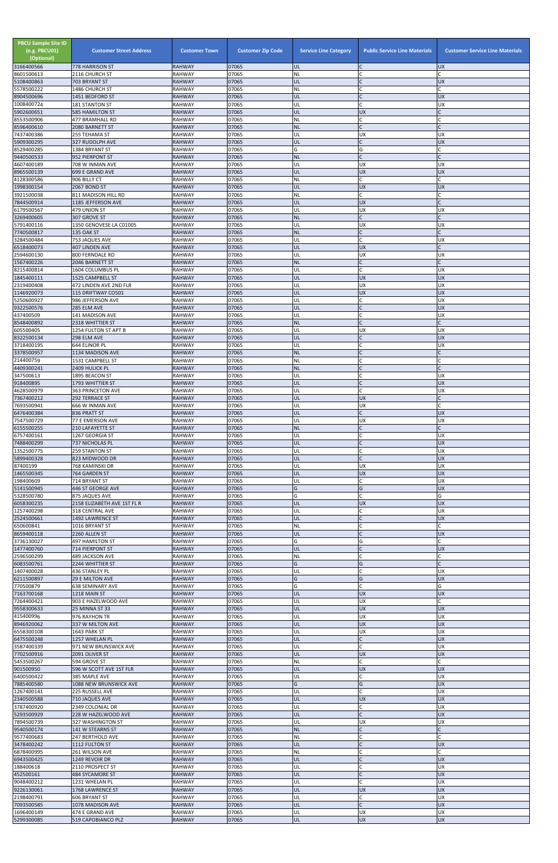| <b>PBCU Sample Site ID</b><br>(e.g. PBCU01)<br>(Optional)<br>3166400566 | <b>Customer Street Address</b><br>778 HARRISON ST | <b>Customer Town</b><br><b>RAHWAY</b> | <b>Customer Zip Code</b><br>07065 | <b>Service Line Category</b><br>UL | <b>Public Service Line Materials</b><br>C | <b>Customer Service Line Materials</b><br><b>UX</b> |
|-------------------------------------------------------------------------|---------------------------------------------------|---------------------------------------|-----------------------------------|------------------------------------|-------------------------------------------|-----------------------------------------------------|
| 8601500613                                                              | 2116 CHURCH ST                                    | <b>RAHWAY</b>                         | 07065                             | <b>NL</b>                          |                                           |                                                     |
| 5108400863                                                              | 703 BRYANT ST                                     | <b>RAHWAY</b>                         | 07065                             | UL                                 | lc                                        | <b>UX</b>                                           |
| 5578500222<br>8904500696                                                | 1486 CHURCH ST<br>1451 BEDFORD ST                 | <b>RAHWAY</b><br><b>RAHWAY</b>        | 07065<br>07065                    | <b>NL</b><br>UL                    | C<br>$\overline{C}$                       | <b>UX</b>                                           |
| 1008400724                                                              | 181 STANTON ST                                    | <b>RAHWAY</b>                         | 07065                             | UL                                 | C                                         | <b>UX</b>                                           |
| 5902600651<br>8553500906                                                | <b>585 HAMILTON ST</b><br>477 BRAMHALL RD         | <b>RAHWAY</b><br><b>RAHWAY</b>        | 07065<br>07065                    | UL<br>NL                           | <b>UX</b><br>lC.                          | $\mathsf{C}$                                        |
| 8596400610                                                              | 2080 BARNETT ST                                   | <b>RAHWAY</b>                         | 07065                             | <b>NL</b>                          | lC.                                       |                                                     |
| 7437400386                                                              | 255 TEHAMA ST                                     | <b>RAHWAY</b>                         | 07065                             | UL                                 | <b>UX</b>                                 | UX                                                  |
| 5909300295<br>8529400285                                                | 327 RUDOLPH AVE<br>1384 BRYANT ST                 | <b>RAHWAY</b><br><b>RAHWAY</b>        | 07065<br>07065                    | UL<br>G                            | $\mathsf{C}$<br>G                         | <b>UX</b>                                           |
| 9440500533                                                              | 952 PIERPONT ST                                   | <b>RAHWAY</b>                         | 07065                             | <b>NL</b>                          | lc.                                       | $\mathsf{C}$                                        |
| 4607400189                                                              | 708 W INMAN AVE                                   | <b>RAHWAY</b>                         | 07065                             | UL                                 | <b>UX</b>                                 | UX                                                  |
| 8965500139<br>4128300586                                                | 699 E GRAND AVE<br>906 BILLY CT                   | <b>RAHWAY</b><br><b>RAHWAY</b>        | 07065<br>07065                    | UL<br>NL                           | <b>UX</b><br>C.                           | <b>UX</b>                                           |
| 1998300154                                                              | 2067 BOND ST                                      | <b>RAHWAY</b>                         | 07065                             | UL                                 | UX                                        | <b>UX</b>                                           |
| 3921500038<br>7844500914                                                | 811 MADISON HILL RD<br>1185 JEFFERSON AVE         | <b>RAHWAY</b><br><b>RAHWAY</b>        | 07065<br>07065                    | NL<br>UL                           | C.<br><b>UX</b>                           |                                                     |
| 6179500567                                                              | 479 UNION ST                                      | <b>RAHWAY</b>                         | 07065                             | UL                                 | <b>UX</b>                                 | UX                                                  |
| 3269400605                                                              | 307 GROVE ST                                      | <b>RAHWAY</b>                         | 07065                             | <b>NL</b>                          | lC.                                       |                                                     |
| 5791400116<br>7740500817                                                | 1350 GENOVESE LA C01005<br>135 OAK ST             | <b>RAHWAY</b><br><b>RAHWAY</b>        | 07065<br>07065                    | UL<br><b>NL</b>                    | <b>UX</b><br>$\mathsf C$                  | <b>UX</b><br>C                                      |
| 3284500484                                                              | 753 JAQUES AVE                                    | <b>RAHWAY</b>                         | 07065                             | UL                                 | lC.                                       | UX                                                  |
| 6518400073                                                              | 407 LINDEN AVE                                    | <b>RAHWAY</b><br><b>RAHWAY</b>        | 07065<br>07065                    | UL<br>UL                           | <b>UX</b><br><b>UX</b>                    | <b>UX</b>                                           |
| 2594600130<br>1567400226                                                | 800 FERNDALE RD<br>2046 BARNETT ST                | <b>RAHWAY</b>                         | 07065                             | <b>NL</b>                          | lc.                                       |                                                     |
| 8215400814                                                              | 1604 COLUMBUS PL                                  | <b>RAHWAY</b>                         | 07065                             | UL                                 | lc.                                       | UX                                                  |
| 1845400111<br>2319400408                                                | 1525 CAMPBELL ST<br>472 LINDEN AVE 2ND FLR        | <b>RAHWAY</b><br><b>RAHWAY</b>        | 07065<br>07065                    | UL<br>UL                           | <b>UX</b><br>UX                           | <b>UX</b><br><b>UX</b>                              |
| 1146920073                                                              | 115 DRIFTWAY CO501                                | <b>RAHWAY</b>                         | 07065                             | UL                                 | <b>UX</b>                                 | <b>UX</b>                                           |
| 5250600927                                                              | 986 JEFFERSON AVE                                 | <b>RAHWAY</b>                         | 07065<br>07065                    | UL                                 | lC.<br>$\mathsf{C}$                       | <b>UX</b>                                           |
| 9322500576<br>437400509                                                 | 285 ELM AVE<br>141 MADISON AVE                    | <b>RAHWAY</b><br><b>RAHWAY</b>        | 07065                             | UL<br>UL                           | C                                         | <b>UX</b><br><b>UX</b>                              |
| 8548400892                                                              | 2318 WHITTIER ST                                  | <b>RAHWAY</b>                         | 07065                             | <b>NL</b>                          | lC.                                       | $\mathsf{C}$                                        |
| 605500405<br>8322500134                                                 | 1254 FULTON ST APT B<br>298 ELM AVE               | <b>RAHWAY</b><br><b>RAHWAY</b>        | 07065<br>07065                    | UL<br>UL                           | UX<br>$\mathsf{C}$                        | UX<br><b>UX</b>                                     |
| 3718400195                                                              | 644 ELINOR PL                                     | <b>RAHWAY</b>                         | 07065                             | UL                                 | C                                         | UX                                                  |
| 3378500957                                                              | 1134 MADISON AVE                                  | <b>RAHWAY</b>                         | 07065                             | <b>NL</b>                          |                                           |                                                     |
| 214400759<br>4409300241                                                 | 1531 CAMPBELL ST<br>2409 HULICK PL                | <b>RAHWAY</b><br><b>RAHWAY</b>        | 07065<br>07065                    | <b>NL</b><br><b>NL</b>             | lC.<br>$\mathsf C$                        |                                                     |
| 347500613                                                               | 1895 BEACON ST                                    | <b>RAHWAY</b>                         | 07065                             | UL                                 | C                                         | UX                                                  |
| 918400895                                                               | 1793 WHITTIER ST                                  | <b>RAHWAY</b>                         | 07065                             | UL                                 | lC.                                       | <b>UX</b>                                           |
| 4628500979<br>7367400212                                                | 363 PRINCETON AVE<br>292 TERRACE ST               | <b>RAHWAY</b><br><b>RAHWAY</b>        | 07065<br>07065                    | UL<br>UL                           | <b>C</b><br><b>UX</b>                     | <b>UX</b>                                           |
| 7693500941                                                              | 666 W INMAN AVE                                   | <b>RAHWAY</b>                         | 07065                             | UL                                 | <b>UX</b>                                 |                                                     |
| 6476400384<br>7547500729                                                | 836 PRATT ST<br>77 E EMERSON AVE                  | <b>RAHWAY</b><br><b>RAHWAY</b>        | 07065<br>07065                    | UL<br>UL                           | lC.<br><b>UX</b>                          | <b>UX</b><br><b>UX</b>                              |
| 6155500255                                                              | <b>210 LAFAYETTE ST</b>                           | <b>RAHWAY</b>                         | 07065                             | <b>NL</b>                          | lC.                                       |                                                     |
| 6757400161                                                              | 1267 GEORGIA ST                                   | <b>RAHWAY</b>                         | 07065                             | UL                                 | <b>C</b>                                  | UX                                                  |
| 7488400299<br>1352500775                                                | 737 NICHOLAS PL<br><b>259 STANTON ST</b>          | <b>RAHWAY</b><br><b>RAHWAY</b>        | 07065<br>07065                    | UL<br>UL                           | $\overline{C}$<br><b>C</b>                | <b>UX</b><br>UX                                     |
| 5899400328                                                              | 823 MIDWOOD DR                                    | <b>RAHWAY</b>                         | 07065                             | UL                                 | lc.                                       | <b>UX</b>                                           |
| 87400199<br>1465500345                                                  | 768 KAMINSKI DR<br>764 GARDEN ST                  | <b>RAHWAY</b><br><b>RAHWAY</b>        | 07065<br>07065                    | UL<br>UL                           | <b>UX</b><br><b>UX</b>                    | <b>UX</b><br><b>XD</b>                              |
| 198400609                                                               | 714 BRYANT ST                                     | <b>RAHWAY</b>                         | 07065                             | UL                                 | lC.                                       | <b>UX</b>                                           |
| 5141500945                                                              | 446 ST GEORGE AVE                                 | <b>RAHWAY</b>                         | 07065                             | G                                  | G                                         | <b>UX</b>                                           |
| 5328500780<br>6058300235                                                | 875 JAQUES AVE<br>2158 ELIZABETH AVE 1ST FL R     | <b>RAHWAY</b><br><b>RAHWAY</b>        | 07065<br>07065                    | G<br>UL                            | <b>C</b><br><b>UX</b>                     | G<br><b>UX</b>                                      |
| 1257400298                                                              | 318 CENTRAL AVE                                   | <b>RAHWAY</b>                         | 07065                             | UL                                 | lC.                                       | UX                                                  |
| 2524500661                                                              | 1492 LAWRENCE ST                                  | <b>RAHWAY</b>                         | 07065<br>07065                    | UL                                 | $\mathsf{C}$<br>C                         | <b>UX</b>                                           |
| 650600841<br>8659400118                                                 | 1016 BRYANT ST<br>2260 ALLEN ST                   | <b>RAHWAY</b><br><b>RAHWAY</b>        | 07065                             | ΝL<br>UL                           | $\overline{C}$                            | <b>UX</b>                                           |
| 3736130027                                                              | <b>497 HAMILTON ST</b>                            | <b>RAHWAY</b>                         | 07065                             | G                                  | G                                         |                                                     |
| 1477400760<br>2596500299                                                | 714 PIERPONT ST<br><b>489 JACKSON AVE</b>         | <b>RAHWAY</b><br><b>RAHWAY</b>        | 07065<br>07065                    | UL<br>NL                           | $\overline{C}$<br>$\mathsf{C}$            | <b>UX</b>                                           |
| 6083500761                                                              | 2244 WHITTIER ST                                  | <b>RAHWAY</b>                         | 07065                             | G                                  | G                                         | $\mathsf{C}$                                        |
| 1407400028                                                              | 436 STANLEY PL                                    | <b>RAHWAY</b>                         | 07065                             | UL                                 | C.                                        | UX                                                  |
| 6211500897<br>770500879                                                 | <b>29 E MILTON AVE</b><br><b>638 SEMINARY AVE</b> | <b>RAHWAY</b><br><b>RAHWAY</b>        | 07065<br>07065                    | G<br>G                             | G<br>$\mathsf{C}$                         | <b>UX</b><br>G                                      |
| 7163700168                                                              | 1218 MAIN ST                                      | <b>RAHWAY</b>                         | 07065                             | UL                                 | <b>UX</b>                                 | <b>UX</b>                                           |
| 7264400421<br>9558300633                                                | 903 E HAZELWOOD AVE<br>25 MINNA ST 33             | <b>RAHWAY</b><br><b>RAHWAY</b>        | 07065<br>07065                    | UL<br>UL                           | <b>UX</b><br><b>UX</b>                    | <b>UX</b>                                           |
| 415400996                                                               | 976 RAYHON TR                                     | <b>RAHWAY</b>                         | 07065                             | UL                                 | <b>UX</b>                                 | <b>UX</b>                                           |
| 8946920062                                                              | 337 W MILTON AVE                                  | <b>RAHWAY</b>                         | 07065                             | UL                                 | <b>UX</b>                                 | <b>UX</b>                                           |
| 6558300108<br>6475500248                                                | 1643 PARK ST<br>1257 WHELAN PL                    | <b>RAHWAY</b><br><b>RAHWAY</b>        | 07065<br>07065                    | UL<br>UL                           | <b>UX</b><br>$\mathsf{C}$                 | <b>UX</b><br><b>UX</b>                              |
| 3587400339                                                              | 971 NEW BRUNSWICK AVE                             | <b>RAHWAY</b>                         | 07065                             | UL                                 | lC.                                       | UX                                                  |
| 7702500916                                                              | 2091 OLIVER ST                                    | <b>RAHWAY</b>                         | 07065                             | UL                                 | <b>UX</b>                                 | <b>UX</b>                                           |
| 5453500267<br>901500950                                                 | 594 GROVE ST<br>596 W SCOTT AVE 1ST FLR           | <b>RAHWAY</b><br><b>RAHWAY</b>        | 07065<br>07065                    | <b>NL</b><br>IUL                   | lC.<br><b>UX</b>                          | <b>UX</b>                                           |
| 6400500422                                                              | 385 MAPLE AVE                                     | <b>RAHWAY</b>                         | 07065                             | UL                                 | C                                         | <b>UX</b>                                           |
| 7885400580<br>1267400141                                                | 1088 NEW BRUNSWICK AVE<br>225 RUSSELL AVE         | <b>RAHWAY</b><br><b>RAHWAY</b>        | 07065<br>07065                    | G<br>UL                            | G<br><b>C</b>                             | <b>UX</b><br><b>UX</b>                              |
| 2340500588                                                              | 710 JAQUES AVE                                    | <b>RAHWAY</b>                         | 07065                             | UL                                 | <b>UX</b>                                 | <b>UX</b>                                           |
| 3787400920                                                              | 2349 COLONIAL DR                                  | <b>RAHWAY</b>                         | 07065                             | UL                                 | lC.                                       | <b>UX</b>                                           |
| 5293500929<br>7894500739                                                | 228 W HAZELWOOD AVE<br>327 WASHINGTON ST          | <b>RAHWAY</b><br><b>RAHWAY</b>        | 07065<br>07065                    | UL<br>UL                           | $\overline{C}$<br><b>UX</b>               | <b>UX</b><br><b>UX</b>                              |
| 9540500174                                                              | 141 W STEARNS ST                                  | <b>RAHWAY</b>                         | 07065                             | <b>NL</b>                          | $\mathsf{C}$                              |                                                     |
| 9577400683<br>3478400242                                                | 247 BERTHOLD AVE                                  | <b>RAHWAY</b>                         | 07065<br>07065                    | <b>NL</b>                          | C                                         | C                                                   |
| 6878400995                                                              | 1112 FULTON ST<br>261 WILSON AVE                  | <b>RAHWAY</b><br><b>RAHWAY</b>        | 07065                             | UL<br><b>NL</b>                    | $\mathsf{C}$<br>$\mathsf{C}$              | <b>UX</b>                                           |
| 6943500425                                                              | 1249 REVOIR DR                                    | <b>RAHWAY</b>                         | 07065                             | UL                                 | $\mathsf{C}$                              | <b>UX</b>                                           |
| 188400618<br>452500161                                                  | 2110 PROSPECT ST<br>484 SYCAMORE ST               | <b>RAHWAY</b><br><b>RAHWAY</b>        | 07065<br>07065                    | UL<br>UL                           | <b>C</b><br>$\mathsf{C}$                  | <b>UX</b><br><b>UX</b>                              |
| 9048400212                                                              | 1231 WHELAN PL                                    | <b>RAHWAY</b>                         | 07065                             | UL                                 | <b>C</b>                                  | <b>UX</b>                                           |
| 9226130061                                                              | 1768 LAWRENCE ST                                  | <b>RAHWAY</b>                         | 07065                             | UL                                 | <b>UX</b>                                 | <b>UX</b>                                           |
| 2198400791<br>7093500585                                                | 606 BRYANT ST<br>1078 MADISON AVE                 | <b>RAHWAY</b><br><b>RAHWAY</b>        | 07065<br>07065                    | UL<br>UL                           | C<br>$\mathsf{C}$                         | UX<br><b>UX</b>                                     |
| 1696400149                                                              | 474 E GRAND AVE                                   | <b>RAHWAY</b>                         | 07065                             | UL                                 | <b>UX</b>                                 | <b>UX</b>                                           |
| 5299300085                                                              | 519 CAPOBIANCO PLZ                                | <b>RAHWAY</b>                         | 07065                             | UL                                 | <b>UX</b>                                 | <b>UX</b>                                           |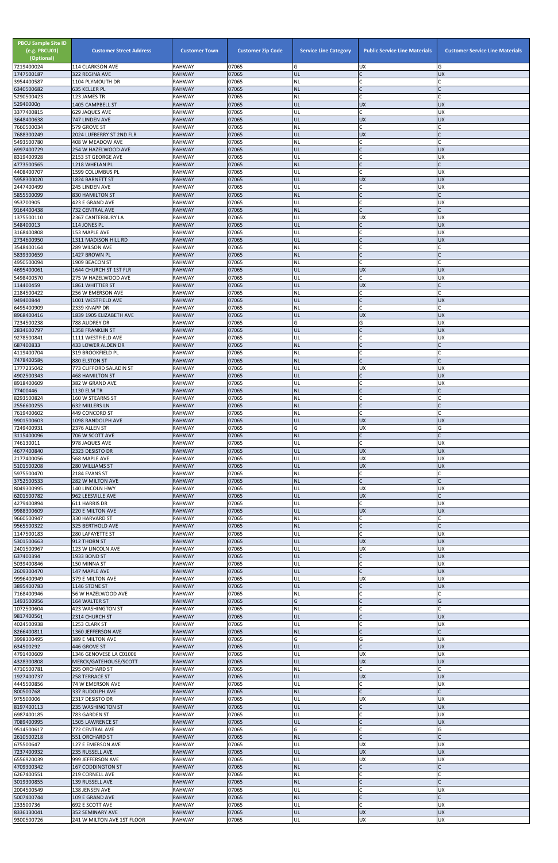| <b>PBCU Sample Site ID</b><br>(e.g. PBCU01)<br>(Optional)<br>7219400024 | <b>Customer Street Address</b><br>114 CLARKSON AVE | <b>Customer Town</b><br><b>RAHWAY</b> | <b>Customer Zip Code</b><br>07065 | <b>Service Line Category</b><br>G | <b>Public Service Line Materials</b><br><b>UX</b> | <b>Customer Service Line Materials</b><br>G |
|-------------------------------------------------------------------------|----------------------------------------------------|---------------------------------------|-----------------------------------|-----------------------------------|---------------------------------------------------|---------------------------------------------|
| 1747500187                                                              | 322 REGINA AVE                                     | <b>RAHWAY</b>                         | 07065                             | UL                                | $\mathsf{C}$                                      | <b>UX</b>                                   |
| 3954400587                                                              | 1104 PLYMOUTH DR<br>635 KELLER PL                  | <b>RAHWAY</b><br><b>RAHWAY</b>        | 07065<br>07065                    | <b>NL</b><br><b>NL</b>            | $\mathsf{C}$<br>Ic.                               | C<br>$\mathsf{C}$                           |
| 6340500682<br>5290500423                                                | 123 JAMES TR                                       | <b>RAHWAY</b>                         | 07065                             | NL                                | $\mathcal{C}$                                     |                                             |
| 529400000<br>3377400815                                                 | 1405 CAMPBELL ST<br><b>629 JAQUES AVE</b>          | <b>RAHWAY</b><br><b>RAHWAY</b>        | 07065<br>07065                    | UL<br>UL                          | <b>UX</b><br>$\mathsf{C}$                         | <b>UX</b><br><b>UX</b>                      |
| 3648400638                                                              | 747 LINDEN AVE                                     | <b>RAHWAY</b>                         | 07065                             | UL                                | <b>UX</b>                                         | <b>UX</b>                                   |
| 7660500034                                                              | 579 GROVE ST                                       | <b>RAHWAY</b>                         | 07065                             | NL                                | $\mathsf{C}$                                      |                                             |
| 7688300249<br>5493500780                                                | 2024 LUFBERRY ST 2ND FLR<br>408 W MEADOW AVE       | <b>RAHWAY</b><br><b>RAHWAY</b>        | 07065<br>07065                    | UL<br><b>NL</b>                   | <b>UX</b><br>C                                    |                                             |
| 6997400729                                                              | 254 W HAZELWOOD AVE                                | <b>RAHWAY</b>                         | 07065                             | UL                                | $\mathsf{C}$                                      | <b>UX</b>                                   |
| 8319400928<br>4773500565                                                | 2153 ST GEORGE AVE<br>1218 WHELAN PL               | <b>RAHWAY</b><br><b>RAHWAY</b>        | 07065<br>07065                    | UL<br><b>NL</b>                   | $\mathsf{C}$<br>$\mathcal{C}$                     | UX                                          |
| 4408400707                                                              | 1599 COLUMBUS PL                                   | <b>RAHWAY</b>                         | 07065                             | UL                                | $\mathsf{C}$                                      | <b>UX</b>                                   |
| 5958300020                                                              | 1824 BARNETT ST                                    | <b>RAHWAY</b>                         | 07065                             | UL                                | <b>UX</b>                                         | <b>UX</b>                                   |
| 2447400499<br>5855500099                                                | 245 LINDEN AVE<br><b>830 HAMILTON ST</b>           | RAHWAY<br><b>RAHWAY</b>               | 07065<br>07065                    | UL<br><b>NL</b>                   | $\mathsf{C}$<br>$\mathsf{C}$                      | <b>UX</b>                                   |
| 953700905                                                               | 423 E GRAND AVE                                    | <b>RAHWAY</b>                         | 07065                             | UL                                | $\mathcal{C}$                                     | <b>UX</b>                                   |
| 9164400438<br>1375500110                                                | 732 CENTRAL AVE<br>2367 CANTERBURY LA              | <b>RAHWAY</b><br><b>RAHWAY</b>        | 07065<br>07065                    | <b>NL</b><br>UL                   | $\mathsf{C}$<br><b>UX</b>                         | $\mathsf{C}$<br><b>UX</b>                   |
| 548400013                                                               | 114 JONES PL                                       | <b>RAHWAY</b>                         | 07065                             | UL                                | $\mathsf{C}$                                      | <b>UX</b>                                   |
| 3168400808                                                              | 153 MAPLE AVE                                      | <b>RAHWAY</b>                         | 07065                             | UL                                | $\overline{C}$                                    | UX                                          |
| 2734600950<br>3548400164                                                | 1311 MADISON HILL RD<br>289 WILSON AVE             | <b>RAHWAY</b><br><b>RAHWAY</b>        | 07065<br>07065                    | UL<br>NL                          | $\mathcal{C}$<br>$\mathsf{C}$                     | <b>UX</b>                                   |
| 5839300659                                                              | 1427 BROWN PL                                      | <b>RAHWAY</b>                         | 07065                             | <b>NL</b>                         | $\mathsf{C}$                                      | C                                           |
| 4950500094<br>4695400061                                                | 1909 BEACON ST<br>1644 CHURCH ST 1ST FLR           | <b>RAHWAY</b><br><b>RAHWAY</b>        | 07065<br>07065                    | NL<br>UL                          | $\mathsf{C}$<br><b>UX</b>                         | <b>UX</b>                                   |
| 5498400570                                                              | 275 W HAZELWOOD AVE                                | <b>RAHWAY</b>                         | 07065                             | UL                                | $\mathsf{C}$                                      | <b>UX</b>                                   |
| 114400459                                                               | <b>1861 WHITTIER ST</b>                            | <b>RAHWAY</b>                         | 07065                             | UL                                | <b>UX</b>                                         | C                                           |
| 2184500422<br>949400844                                                 | 256 W EMERSON AVE<br>1001 WESTFIELD AVE            | <b>RAHWAY</b><br><b>RAHWAY</b>        | 07065<br>07065                    | <b>NL</b><br>UL                   | $\mathsf{C}$<br>$\overline{C}$                    | $\mathsf{C}$<br><b>UX</b>                   |
| 6495400909                                                              | 2339 KNAPP DR                                      | <b>RAHWAY</b>                         | 07065                             | <b>NL</b>                         | $\mathsf{C}$                                      |                                             |
| 8968400416                                                              | 1839 1905 ELIZABETH AVE                            | <b>RAHWAY</b>                         | 07065                             | UL                                | <b>UX</b>                                         | <b>UX</b>                                   |
| 7234500238<br>2834600797                                                | 788 AUDREY DR<br><b>1358 FRANKLIN ST</b>           | RAHWAY<br><b>RAHWAY</b>               | 07065<br>07065                    | G<br>UL                           | G<br>$\mathsf{C}$                                 | <b>UX</b><br><b>UX</b>                      |
| 9278500841                                                              | 1111 WESTFIELD AVE                                 | <b>RAHWAY</b>                         | 07065                             | UL                                | $\mathsf{C}$                                      | UX                                          |
| 687400833<br>4119400704                                                 | 433 LOWER ALDEN DR<br>319 BROOKFIELD PL            | <b>RAHWAY</b><br>RAHWAY               | 07065<br>07065                    | <b>NL</b><br>NL.                  |                                                   |                                             |
| 7478400585                                                              | 880 ELSTON ST                                      | <b>RAHWAY</b>                         | 07065                             | <b>NL</b>                         | $\mathsf{C}$                                      |                                             |
| 1777235042                                                              | 773 CLIFFORD SALADIN ST                            | <b>RAHWAY</b>                         | 07065                             | UL                                | <b>UX</b>                                         | <b>UX</b>                                   |
| 4902500343<br>8918400609                                                | <b>468 HAMILTON ST</b><br>382 W GRAND AVE          | <b>RAHWAY</b><br><b>RAHWAY</b>        | 07065<br>07065                    | UL<br>UL                          |                                                   | <b>UX</b><br><b>UX</b>                      |
| 77400446                                                                | <b>1130 ELM TR</b>                                 | <b>RAHWAY</b>                         | 07065                             | <b>NL</b>                         | $\mathsf{C}$                                      |                                             |
| 8293500824<br>2556600255                                                | 160 W STEARNS ST<br><b>632 MILLERS LN</b>          | <b>RAHWAY</b><br><b>RAHWAY</b>        | 07065<br>07065                    | NL<br><b>NL</b>                   | $\mathsf{C}$<br>$\mathsf{C}$                      |                                             |
| 7619400602                                                              | 449 CONCORD ST                                     | <b>RAHWAY</b>                         | 07065                             | <b>NL</b>                         |                                                   |                                             |
| 9901500603                                                              | 1098 RANDOLPH AVE                                  | <b>RAHWAY</b>                         | 07065                             | UL                                | <b>UX</b>                                         | <b>UX</b>                                   |
| 7249400931<br>3115400096                                                | 2376 ALLEN ST<br>706 W SCOTT AVE                   | <b>RAHWAY</b><br><b>RAHWAY</b>        | 07065<br>07065                    | G<br><b>NL</b>                    | <b>UX</b><br>$\mathsf{C}$                         | G                                           |
| 746130011                                                               | 978 JAQUES AVE                                     | <b>RAHWAY</b>                         | 07065                             | UL                                | $\mathsf{C}$                                      | <b>UX</b>                                   |
| 4677400840                                                              | 2323 DESISTO DR                                    | <b>RAHWAY</b><br><b>RAHWAY</b>        | 07065<br>07065                    | UL<br>UL                          | <b>UX</b><br>UX                                   | <b>UX</b><br><b>UX</b>                      |
| 2177400056<br>5101500208                                                | 568 MAPLE AVE<br>280 WILLIAMS ST                   | <b>RAHWAY</b>                         | 07065                             | UL                                | <b>UX</b>                                         | <b>UX</b>                                   |
| 5975500470                                                              | 2184 EVANS ST                                      | <b>RAHWAY</b>                         | 07065                             | <b>NL</b>                         | $\mathsf{C}$                                      |                                             |
| 3752500533<br>8049300995                                                | 282 W MILTON AVE<br>140 LINCOLN HWY                | <b>RAHWAY</b><br><b>RAHWAY</b>        | 07065<br>07065                    | <b>NL</b><br>UL                   | $\mathsf{C}$<br>UX                                | <b>UX</b>                                   |
| 6201500782                                                              | 962 LEESVILLE AVE                                  | <b>RAHWAY</b>                         | 07065                             | UL                                | <b>UX</b>                                         |                                             |
| 4279400894<br>9988300609                                                | 611 HARRIS DR<br>220 E MILTON AVE                  | <b>RAHWAY</b><br><b>RAHWAY</b>        | 07065<br>07065                    | UL<br>UL                          | C<br><b>UX</b>                                    | <b>UX</b><br><b>UX</b>                      |
| 9660500947                                                              | 330 HARVARD ST                                     | <b>RAHWAY</b>                         | 07065                             | <b>NL</b>                         | $\mathsf{C}$                                      |                                             |
| 9565500322                                                              | 325 BERTHOLD AVE                                   | <b>RAHWAY</b>                         | 07065                             | <b>NL</b>                         | $\mathsf{C}$                                      | C                                           |
| 1147500183<br>5301500663                                                | 280 LAFAYETTE ST<br>912 THORN ST                   | RAHWAY<br><b>RAHWAY</b>               | 07065<br>07065                    | UL<br>UL                          | $\mathsf{C}$<br><b>UX</b>                         | <b>UX</b><br><b>UX</b>                      |
| 2401500967                                                              | 123 W LINCOLN AVE                                  | <b>RAHWAY</b>                         | 07065                             | UL                                | <b>UX</b>                                         | <b>UX</b>                                   |
| 637400394                                                               | 1933 BOND ST                                       | <b>RAHWAY</b>                         | 07065<br>07065                    | UL                                | $\mathsf{C}$<br>$\mathsf{C}$                      | <b>UX</b><br><b>UX</b>                      |
| 5039400846<br>2609300470                                                | 150 MINNA ST<br>147 MAPLE AVE                      | <b>RAHWAY</b><br><b>RAHWAY</b>        | 07065                             | UL<br>UL                          | $\mathsf{C}$                                      | <b>UX</b>                                   |
| 9996400949                                                              | 379 E MILTON AVE                                   | <b>RAHWAY</b>                         | 07065                             | UL                                | <b>UX</b>                                         | <b>UX</b>                                   |
| 3895400783<br>7168400946                                                | 1146 STONE ST<br>56 W HAZELWOOD AVE                | <b>RAHWAY</b><br><b>RAHWAY</b>        | 07065<br>07065                    | UL<br><b>NL</b>                   | $\mathsf{C}$<br>$\mathsf{C}$                      | <b>UX</b><br>C                              |
| 1493500956                                                              | 164 WALTER ST                                      | RAHWAY                                | 07065                             | G                                 | $\mathsf{C}$                                      | G                                           |
| 1072500604<br>9817400561                                                | 423 WASHINGTON ST<br>2314 CHURCH ST                | <b>RAHWAY</b><br><b>RAHWAY</b>        | 07065<br>07065                    | ΝL<br>UL                          |                                                   | <b>UX</b>                                   |
| 4024500938                                                              | 1253 CLARK ST                                      | <b>RAHWAY</b>                         | 07065                             | UL                                | $\overline{C}$                                    | <b>UX</b>                                   |
| 8266400811                                                              | 1360 JEFFERSON AVE                                 | <b>RAHWAY</b>                         | 07065                             | <b>NL</b>                         | $\mathsf{C}$                                      | C                                           |
| 3998300495<br>634500292                                                 | 389 E MILTON AVE<br>446 GROVE ST                   | RAHWAY<br><b>RAHWAY</b>               | 07065<br>07065                    | G<br>UL                           | G<br>$\mathsf{C}$                                 | <b>UX</b><br><b>UX</b>                      |
| 4791400609                                                              | 1346 GENOVESE LA C01006                            | <b>RAHWAY</b>                         | 07065                             | UL                                | <b>UX</b>                                         | UX                                          |
| 4328300808                                                              | MERCK/GATEHOUSE/SCOTT                              | <b>RAHWAY</b><br><b>RAHWAY</b>        | 07065<br>07065                    | UL                                | <b>UX</b>                                         | <b>UX</b>                                   |
| 4710500781<br>1927400737                                                | 295 ORCHARD ST<br><b>258 TERRACE ST</b>            | <b>RAHWAY</b>                         | 07065                             | NL)<br>UL                         | <b>UX</b>                                         | UX                                          |
| 4445500856                                                              | 74 W EMERSON AVE                                   | <b>RAHWAY</b>                         | 07065                             | UL                                | $\mathsf{C}$                                      | <b>UX</b>                                   |
| 800500768<br>975500006                                                  | <b>337 RUDOLPH AVE</b><br>2317 DESISTO DR          | <b>RAHWAY</b><br>RAHWAY               | 07065<br>07065                    | <b>NL</b><br>UL                   | $\mathsf C$<br><b>UX</b>                          | C<br><b>UX</b>                              |
| 8197400113                                                              | 235 WASHINGTON ST                                  | <b>RAHWAY</b>                         | 07065                             | UL                                | $\mathsf{C}$                                      | <b>UX</b>                                   |
| 6987400185                                                              | 783 GARDEN ST                                      | <b>RAHWAY</b>                         | 07065                             | UL                                | $\mathsf{C}$                                      | <b>UX</b>                                   |
| 7089400995<br>9514500617                                                | <b>1505 LAWRENCE ST</b><br>772 CENTRAL AVE         | <b>RAHWAY</b><br>RAHWAY               | 07065<br>07065                    | UL<br>G                           | $\mathsf{C}$                                      | <b>UX</b><br>G                              |
| 2610500218                                                              | 551 ORCHARD ST                                     | <b>RAHWAY</b>                         | 07065                             | <b>NL</b>                         | $\mathsf{C}$                                      | $\mathsf{C}$                                |
| 675500647<br>7237400932                                                 | 127 E EMERSON AVE<br>235 RUSSELL AVE               | RAHWAY<br><b>RAHWAY</b>               | 07065<br>07065                    | UL<br>UL                          | <b>UX</b><br><b>UX</b>                            | <b>UX</b><br><b>UX</b>                      |
| 6556920039                                                              | 999 JEFFERSON AVE                                  | RAHWAY                                | 07065                             | UL                                | <b>UX</b>                                         | <b>UX</b>                                   |
| 4709300342                                                              | <b>167 CODDINGTON ST</b>                           | <b>RAHWAY</b>                         | 07065                             | <b>NL</b>                         | $\mathsf{C}$                                      |                                             |
| 6267400551<br>3019300855                                                | 219 CORNELL AVE<br>139 RUSSELL AVE                 | RAHWAY<br><b>RAHWAY</b>               | 07065<br>07065                    | NL<br><b>NL</b>                   | $\mathsf{C}$                                      |                                             |
| 2004500549                                                              | 138 JENSEN AVE                                     | RAHWAY                                | 07065                             | UL                                |                                                   | <b>UX</b>                                   |
| 5007400744<br>233500736                                                 | 109 E GRAND AVE<br>692 E SCOTT AVE                 | <b>RAHWAY</b><br>RAHWAY               | 07065<br>07065                    | <b>NL</b><br>UL                   | $\mathsf{C}$                                      | C<br><b>UX</b>                              |
| 8336130041                                                              | 352 SEMINARY AVE                                   | <b>RAHWAY</b>                         | 07065                             | UL                                | <b>UX</b>                                         | <b>XN</b>                                   |
| 9300500726                                                              | 241 W MILTON AVE 1ST FLOOR                         | RAHWAY                                | 07065                             | UL                                | <b>UX</b>                                         | <b>UX</b>                                   |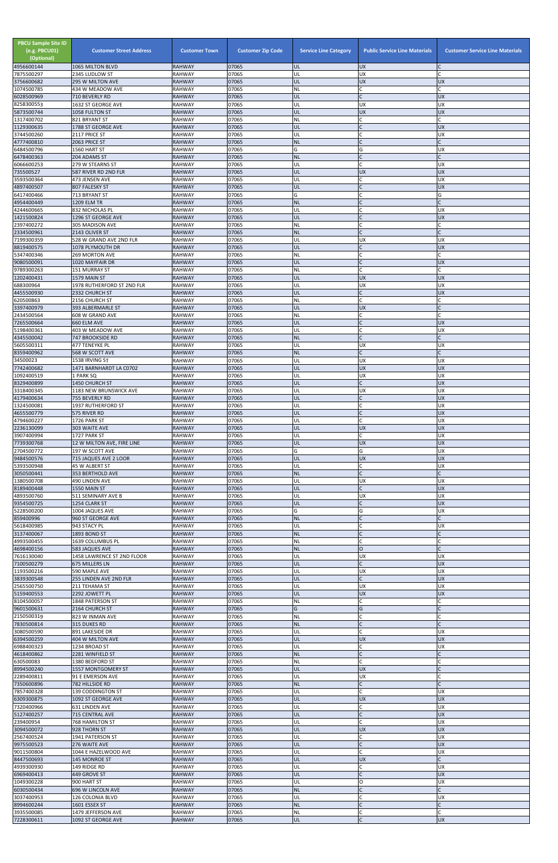| <b>PBCU Sample Site ID</b><br>(e.g. PBCU01)<br>(Optional)<br>4956600144 | <b>Customer Street Address</b><br>1065 MILTON BLVD  | <b>Customer Town</b><br><b>RAHWAY</b> | <b>Customer Zip Code</b><br>07065 | <b>Service Line Category</b><br>UL | <b>Public Service Line Materials</b><br><b>UX</b> | <b>Customer Service Line Materials</b> |
|-------------------------------------------------------------------------|-----------------------------------------------------|---------------------------------------|-----------------------------------|------------------------------------|---------------------------------------------------|----------------------------------------|
| 7875500297                                                              | 2345 LUDLOW ST                                      | <b>RAHWAY</b>                         | 07065                             | UL                                 | <b>UX</b>                                         |                                        |
| 3756600682                                                              | 295 W MILTON AVE                                    | <b>RAHWAY</b>                         | 07065                             | UL                                 | <b>UX</b>                                         | <b>UX</b>                              |
| 1074500785<br>6028500969                                                | 434 W MEADOW AVE<br>710 BEVERLY RD                  | <b>RAHWAY</b><br><b>RAHWAY</b>        | 07065<br>07065                    | NL<br>UL                           | C<br>$\overline{C}$                               | C<br><b>UX</b>                         |
| 8258300553                                                              | 1632 ST GEORGE AVE                                  | <b>RAHWAY</b>                         | 07065                             | UL                                 | <b>UX</b>                                         | <b>UX</b>                              |
| 5873500744<br>1317400702                                                | 1058 FULTON ST<br>821 BRYANT ST                     | <b>RAHWAY</b><br><b>RAHWAY</b>        | 07065<br>07065                    | UL<br><b>NL</b>                    | <b>UX</b><br>$\mathsf{C}$                         | <b>UX</b><br>C                         |
| 1129300635                                                              | 1788 ST GEORGE AVE                                  | <b>RAHWAY</b>                         | 07065                             | UL                                 | $\mathsf{C}$                                      | <b>UX</b>                              |
| 3744500260                                                              | 2117 PRICE ST                                       | <b>RAHWAY</b>                         | 07065                             | UL                                 | $\mathsf{C}$                                      | <b>UX</b>                              |
| 4777400810<br>6484500796                                                | 2063 PRICE ST<br>1560 HART ST                       | <b>RAHWAY</b><br><b>RAHWAY</b>        | 07065<br>07065                    | <b>NL</b><br>G                     | G                                                 | <b>UX</b>                              |
| 6478400363                                                              | 204 ADAMS ST                                        | <b>RAHWAY</b>                         | 07065                             | <b>NL</b>                          | $\mathsf{C}$                                      | $\mathsf{C}$                           |
| 6066600253                                                              | 279 W STEARNS ST                                    | <b>RAHWAY</b>                         | 07065                             | UL                                 | $\mathsf C$                                       | <b>UX</b>                              |
| 735500527<br>3593500364                                                 | 587 RIVER RD 2ND FLR<br>473 JENSEN AVE              | <b>RAHWAY</b><br><b>RAHWAY</b>        | 07065<br>07065                    | UL<br>UL                           | <b>UX</b><br>C                                    | <b>UX</b><br><b>UX</b>                 |
| 4897400507                                                              | 807 FALESKY ST                                      | <b>RAHWAY</b>                         | 07065                             | UL                                 | $\mathsf{C}$                                      | <b>UX</b>                              |
| 6417400466<br>4954400449                                                | 713 BRYANT ST<br>1209 ELM TR                        | <b>RAHWAY</b><br><b>RAHWAY</b>        | 07065<br>07065                    | G<br><b>NL</b>                     | C                                                 | G                                      |
| 4244600665                                                              | 832 NICHOLAS PL                                     | <b>RAHWAY</b>                         | 07065                             | UL                                 |                                                   | <b>UX</b>                              |
| 1421500824                                                              | 1296 ST GEORGE AVE                                  | <b>RAHWAY</b>                         | 07065                             | UL                                 | $\mathsf{C}$                                      | <b>UX</b>                              |
| 2397400272<br>2334500961                                                | 305 MADISON AVE<br>2143 OLIVER ST                   | <b>RAHWAY</b><br><b>RAHWAY</b>        | 07065<br>07065                    | <b>NL</b><br><b>NL</b>             | $\mathsf{C}$<br>$\overline{C}$                    | C<br>C                                 |
| 7199300359                                                              | 528 W GRAND AVE 2ND FLR                             | <b>RAHWAY</b>                         | 07065                             | UL                                 | <b>UX</b>                                         | <b>UX</b>                              |
| 8819400575                                                              | 1078 PLYMOUTH DR                                    | <b>RAHWAY</b><br><b>RAHWAY</b>        | 07065<br>07065                    | UL<br><b>NL</b>                    | $\mathsf{C}$<br>$\mathsf{C}$                      | <b>UX</b><br>C                         |
| 5347400346<br>9080500091                                                | 269 MORTON AVE<br>1020 MAYFAIR DR                   | <b>RAHWAY</b>                         | 07065                             | UL                                 | $\mathsf{C}$                                      | <b>UX</b>                              |
| 9789300263                                                              | 151 MURRAY ST                                       | <b>RAHWAY</b>                         | 07065                             | NL                                 | $\mathsf{C}$                                      |                                        |
| 1202400431<br>688300964                                                 | 1579 MAIN ST<br>1978 RUTHERFORD ST 2ND FLR          | <b>RAHWAY</b><br><b>RAHWAY</b>        | 07065<br>07065                    | UL<br>UL                           | <b>UX</b><br>UX                                   | <b>UX</b><br><b>UX</b>                 |
| 4455500930                                                              | 2332 CHURCH ST                                      | <b>RAHWAY</b>                         | 07065                             | UL                                 | $\mathsf{C}$                                      | <b>UX</b>                              |
| 620500863                                                               | 2156 CHURCH ST                                      | <b>RAHWAY</b>                         | 07065                             | NL                                 | $\mathsf{C}$                                      |                                        |
| 3397400979<br>2434500564                                                | 393 ALBERMARLE ST<br>608 W GRAND AVE                | <b>RAHWAY</b><br><b>RAHWAY</b>        | 07065<br>07065                    | UL<br>NL                           | <b>UX</b><br>C                                    |                                        |
| 7265500664                                                              | 660 ELM AVE                                         | <b>RAHWAY</b>                         | 07065                             | UL                                 | $\mathsf{C}$                                      | <b>UX</b>                              |
| 5198400361<br>4345500042                                                | 403 W MEADOW AVE<br><b>747 BROOKSIDE RD</b>         | RAHWAY<br><b>RAHWAY</b>               | 07065<br>07065                    | UL<br><b>NL</b>                    | C                                                 | <b>UX</b>                              |
| 5605500311                                                              | 477 TENEYKE PL                                      | <b>RAHWAY</b>                         | 07065                             | UL                                 | UX                                                | <b>UX</b>                              |
| 8359400962                                                              | 568 W SCOTT AVE                                     | <b>RAHWAY</b>                         | 07065                             | <b>NL</b>                          |                                                   |                                        |
| 34500023<br>7742400682                                                  | 1538 IRVING ST<br>1471 BARNHARDT LA C0702           | <b>RAHWAY</b><br><b>RAHWAY</b>        | 07065<br>07065                    | UL<br>UL                           | <b>UX</b><br><b>UX</b>                            | <b>UX</b><br><b>UX</b>                 |
| 1092400519                                                              | 1 PARK SQ                                           | <b>RAHWAY</b>                         | 07065                             | UL                                 | <b>UX</b>                                         | <b>UX</b>                              |
| 8329400899                                                              | 1450 CHURCH ST                                      | <b>RAHWAY</b>                         | 07065                             | UL                                 | $\mathsf{C}$                                      | <b>UX</b><br><b>UX</b>                 |
| 3318400345<br>4179400634                                                | 1183 NEW BRUNSWICK AVE<br>755 BEVERLY RD            | <b>RAHWAY</b><br><b>RAHWAY</b>        | 07065<br>07065                    | UL<br>UL                           | <b>UX</b><br>$\mathsf{C}$                         | <b>UX</b>                              |
| 1324500081                                                              | 1937 RUTHERFORD ST                                  | <b>RAHWAY</b>                         | 07065                             | UL                                 | $\mathsf{C}$                                      | <b>UX</b>                              |
| 4655500779<br>4794600227                                                | 575 RIVER RD<br>1726 PARK ST                        | <b>RAHWAY</b><br><b>RAHWAY</b>        | 07065<br>07065                    | UL<br>UL                           | $\mathsf{C}$<br>$\mathsf{C}$                      | <b>UX</b><br><b>UX</b>                 |
| 2236130099                                                              | 303 WAITE AVE                                       | <b>RAHWAY</b>                         | 07065                             | UL                                 | <b>UX</b>                                         | <b>UX</b>                              |
| 3907400994                                                              | 1727 PARK ST                                        | <b>RAHWAY</b>                         | 07065                             | UL                                 | $\mathsf{C}$                                      | <b>UX</b>                              |
| 7739300768<br>2704500772                                                | 12 W MILTON AVE, FIRE LINE<br>197 W SCOTT AVE       | <b>RAHWAY</b><br><b>RAHWAY</b>        | 07065<br>07065                    | UL<br>G                            | <b>UX</b><br>G                                    | <b>UX</b><br><b>UX</b>                 |
| 9484500576                                                              | 715 JAQUES AVE 2 LOOR                               | <b>RAHWAY</b>                         | 07065                             | UL                                 | <b>UX</b>                                         | <b>UX</b>                              |
| 5393500948<br>3050500441                                                | 45 W ALBERT ST<br>353 BERTHOLD AVE                  | <b>RAHWAY</b><br><b>RAHWAY</b>        | 07065<br>07065                    | UL<br><b>NL</b>                    | C<br>$\mathsf C$                                  | <b>UX</b>                              |
| 1380500708                                                              | 490 LINDEN AVE                                      | <b>RAHWAY</b>                         | 07065                             | UL                                 | <b>UX</b>                                         | <b>UX</b>                              |
| 8189400448                                                              | 1550 MAIN ST                                        | <b>RAHWAY</b>                         | 07065                             | UL                                 | $\mathsf{C}$                                      | <b>UX</b>                              |
| 4893500760<br>9354500725                                                | 511 SEMINARY AVE B<br>1254 CLARK ST                 | <b>RAHWAY</b><br><b>RAHWAY</b>        | 07065<br>07065                    | UL<br>UL                           | <b>UX</b><br>$\mathsf{C}$                         | <b>UX</b><br><b>UX</b>                 |
| 5228500200                                                              | 1004 JAQUES AVE                                     | <b>RAHWAY</b>                         | 07065                             | G                                  | G                                                 | <b>UX</b>                              |
| 859400996                                                               | 960 ST GEORGE AVE                                   | <b>RAHWAY</b>                         | 07065<br>07065                    | <b>NL</b>                          |                                                   |                                        |
| 5618400985<br>3137400067                                                | 943 STACY PL<br>1893 BOND ST                        | <b>RAHWAY</b><br><b>RAHWAY</b>        | 07065                             | UL<br><b>NL</b>                    | $\mathsf{C}$                                      | <b>UX</b>                              |
| 4993500455                                                              | 1639 COLUMBUS PL                                    | <b>RAHWAY</b>                         | 07065                             | <b>NL</b>                          | $\mathsf{C}$                                      |                                        |
| 4698400156<br>7616130040                                                | <b>583 JAQUES AVE</b><br>1458 LAWRENCE ST 2ND FLOOR | <b>RAHWAY</b><br><b>RAHWAY</b>        | 07065<br>07065                    | <b>NL</b><br>UL                    | $\overline{O}$<br><b>UX</b>                       | <b>UX</b>                              |
| 7100500279                                                              | 675 MILLERS LN                                      | <b>RAHWAY</b>                         | 07065                             | UL                                 | $\mathsf{C}$                                      | <b>UX</b>                              |
| 1193500216                                                              | 590 MAPLE AVE                                       | <b>RAHWAY</b>                         | 07065                             | UL                                 | <b>UX</b>                                         | <b>UX</b>                              |
| 3839300548<br>2565500750                                                | 255 LINDEN AVE 2ND FLR<br>211 TEHAMA ST             | <b>RAHWAY</b><br><b>RAHWAY</b>        | 07065<br>07065                    | UL<br>UL                           | $\mathsf{C}$<br><b>UX</b>                         | <b>UX</b><br><b>UX</b>                 |
| 5159400553                                                              | 2292 JOWETT PL                                      | <b>RAHWAY</b>                         | 07065                             | UL                                 | <b>UX</b>                                         | <b>UX</b>                              |
| 8104500057<br>9601500631                                                | 1848 PATERSON ST<br>2164 CHURCH ST                  | <b>RAHWAY</b><br><b>RAHWAY</b>        | 07065<br>07065                    | <b>NL</b><br>G                     | $\mathsf{C}$<br>G                                 |                                        |
| 2150500319                                                              | 823 W INMAN AVE                                     | <b>RAHWAY</b>                         | 07065                             | <b>NL</b>                          | $\mathsf{C}$                                      |                                        |
| 7830500814                                                              | 315 DUKES RD                                        | <b>RAHWAY</b>                         | 07065                             | <b>NL</b>                          | $\mathsf{C}$                                      |                                        |
| 3080500590<br>6394500259                                                | 891 LAKESIDE DR<br>404 W MILTON AVE                 | <b>RAHWAY</b><br><b>RAHWAY</b>        | 07065<br>07065                    | UL<br>UL                           | $\mathsf{C}$<br><b>UX</b>                         | <b>UX</b><br><b>UX</b>                 |
| 6988400323                                                              | 1234 BROAD ST                                       | <b>RAHWAY</b>                         | 07065                             | UL                                 |                                                   | <b>UX</b>                              |
| 4618400862<br>630500083                                                 | 2281 WINFIELD ST                                    | <b>RAHWAY</b><br><b>RAHWAY</b>        | 07065<br>07065                    | <b>NL</b><br><b>NL</b>             | $\mathsf{C}$                                      |                                        |
| 8994500240                                                              | 1380 BEDFORD ST<br>1557 MONTGOMERY ST               | RAHWAY                                | 07065                             | <b>UL</b>                          | <b>IUX</b>                                        |                                        |
| 2289400811                                                              | 91 E EMERSON AVE                                    | RAHWAY                                | 07065                             | UL                                 | <b>UX</b>                                         | C                                      |
| 7350600896<br>7857400328                                                | 782 HILLSIDE RD<br>139 CODDINGTON ST                | <b>RAHWAY</b><br>RAHWAY               | 07065<br>07065                    | <b>NL</b><br>UL                    | $\mathsf{C}$<br>$\mathsf{C}$                      | <b>UX</b>                              |
| 6309300875                                                              | 1092 ST GEORGE AVE                                  | <b>RAHWAY</b>                         | 07065                             | UL                                 | <b>UX</b>                                         | <b>UX</b>                              |
| 7320400966                                                              | 631 LINDEN AVE                                      | RAHWAY                                | 07065                             | UL                                 |                                                   | <b>UX</b>                              |
| 5127400257<br>239400954                                                 | 715 CENTRAL AVE<br>768 HAMILTON ST                  | <b>RAHWAY</b><br><b>RAHWAY</b>        | 07065<br>07065                    | UL<br>UL                           | $\mathsf{C}$<br>C                                 | <b>UX</b><br><b>UX</b>                 |
| 3094500072                                                              | 928 THORN ST                                        | <b>RAHWAY</b>                         | 07065                             | UL                                 | <b>UX</b>                                         | <b>UX</b>                              |
| 2567400524<br>9975500523                                                | 1941 PATERSON ST<br>276 WAITE AVE                   | RAHWAY<br><b>RAHWAY</b>               | 07065<br>07065                    | UL<br>UL                           | $\mathsf{C}$<br>$\mathsf C$                       | <b>UX</b><br><b>UX</b>                 |
| 9011500804                                                              | 1044 E HAZELWOOD AVE                                | <b>RAHWAY</b>                         | 07065                             | UL                                 | $\mathsf{C}$                                      | <b>UX</b>                              |
| 8447500693                                                              | 145 MONROE ST                                       | <b>RAHWAY</b>                         | 07065                             | UL                                 | <b>UX</b>                                         | $\mathsf{C}$                           |
| 4939300930<br>6969400413                                                | 149 RIDGE RD<br>449 GROVE ST                        | RAHWAY<br><b>RAHWAY</b>               | 07065<br>07065                    | UL<br>UL                           | C<br>$\mathsf{C}$                                 | <b>UX</b><br><b>UX</b>                 |
| 1049300228                                                              | 900 HART ST                                         | <b>RAHWAY</b>                         | 07065                             | UL                                 | O                                                 | <b>UX</b>                              |
| 6030500434                                                              | 696 W LINCOLN AVE                                   | <b>RAHWAY</b><br><b>RAHWAY</b>        | 07065<br>07065                    | <b>NL</b>                          | $\mathsf{C}$<br>$\overline{C}$                    | $\mathsf{C}$                           |
| 3037400953<br>8994600244                                                | 126 COLONIA BLVD<br>1601 ESSEX ST                   | <b>RAHWAY</b>                         | 07065                             | UL<br><b>NL</b>                    | $\mathsf{C}$                                      | <b>UX</b><br>$\mathsf{C}$              |
| 3935500085                                                              | 1479 JEFFERSON AVE                                  | <b>RAHWAY</b>                         | 07065                             | NL                                 | C                                                 | Ċ                                      |
| 7228300611                                                              | 1092 ST GEORGE AVE                                  | <b>RAHWAY</b>                         | 07065                             | UL                                 | $\mathsf C$                                       | <b>UX</b>                              |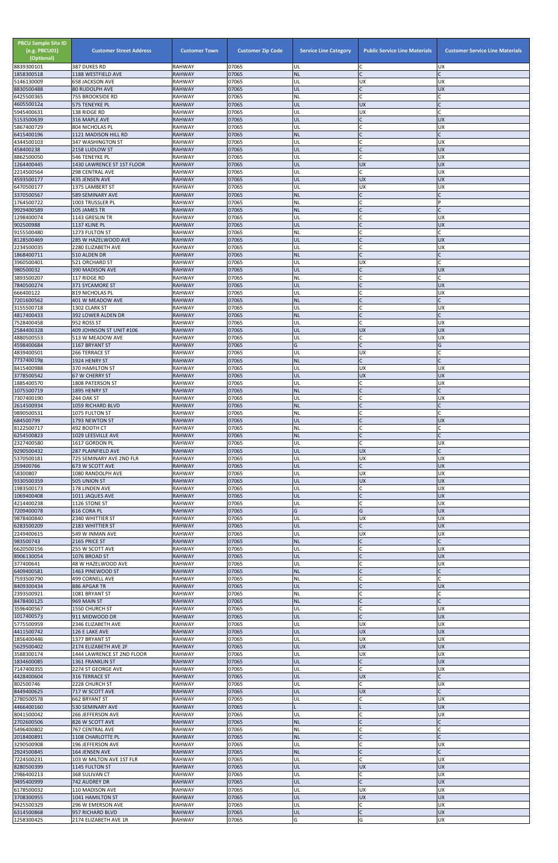| <b>PBCU Sample Site ID</b><br>(e.g. PBCU01)<br>(Optional)<br>8839300101 | <b>Customer Street Address</b><br>387 DUKES RD  | <b>Customer Town</b><br><b>RAHWAY</b> | <b>Customer Zip Code</b><br>07065 | <b>Service Line Category</b><br>UL | <b>Public Service Line Materials</b><br>lC. | <b>Customer Service Line Materials</b><br>UX |
|-------------------------------------------------------------------------|-------------------------------------------------|---------------------------------------|-----------------------------------|------------------------------------|---------------------------------------------|----------------------------------------------|
| 1858300518                                                              | 1188 WESTFIELD AVE                              | <b>RAHWAY</b>                         | 07065                             | <b>NL</b>                          | lc.                                         |                                              |
| 5146130009<br>8830500488                                                | <b>658 JACKSON AVE</b><br><b>80 RUDOLPH AVE</b> | <b>RAHWAY</b><br><b>RAHWAY</b>        | 07065<br>07065                    | UL<br>UL                           | <b>UX</b><br>lc.                            | <b>UX</b><br><b>UX</b>                       |
| 6425500365                                                              | 755 BROOKSIDE RD                                | <b>RAHWAY</b>                         | 07065                             | NL                                 | lc.                                         |                                              |
| 4605500124<br>5945400631                                                | 575 TENEYKE PL                                  | <b>RAHWAY</b><br><b>RAHWAY</b>        | 07065<br>07065                    | UL<br>UL                           | <b>UX</b><br><b>UX</b>                      |                                              |
| 5153500639                                                              | 138 RIDGE RD<br>316 MAPLE AVE                   | <b>RAHWAY</b>                         | 07065                             | UL                                 | $\overline{C}$                              | <b>UX</b>                                    |
| 5867400729                                                              | 804 NICHOLAS PL                                 | <b>RAHWAY</b>                         | 07065                             | UL                                 | lC.                                         | <b>UX</b>                                    |
| 6415400196<br>4344500103                                                | 1121 MADISON HILL RD<br>347 WASHINGTON ST       | <b>RAHWAY</b><br><b>RAHWAY</b>        | 07065<br>07065                    | <b>NL</b><br>UL                    | $\mathsf{C}$<br>C                           | <b>UX</b>                                    |
| 458400238                                                               | 2158 LUDLOW ST                                  | <b>RAHWAY</b>                         | 07065                             | UL                                 | lC.                                         | <b>UX</b>                                    |
| 8862500050<br>1264400445                                                | 546 TENEYKE PL<br>1430 LAWRENCE ST 1ST FLOOR    | <b>RAHWAY</b><br><b>RAHWAY</b>        | 07065<br>07065                    | UL<br>UL                           | lc.<br><b>UX</b>                            | UX<br><b>UX</b>                              |
| 2214500564                                                              | <b>298 CENTRAL AVE</b>                          | <b>RAHWAY</b>                         | 07065                             | UL                                 | lC.                                         | UX                                           |
| 4593500177                                                              | 435 JENSEN AVE                                  | <b>RAHWAY</b>                         | 07065                             | UL                                 | <b>UX</b>                                   | <b>UX</b>                                    |
| 6470500177<br>3370500567                                                | 1375 LAMBERT ST<br>589 SEMINARY AVE             | <b>RAHWAY</b><br><b>RAHWAY</b>        | 07065<br>07065                    | UL<br><b>NL</b>                    | <b>UX</b><br>$\mathsf{C}$                   | <b>UX</b>                                    |
| 1764500722                                                              | 1003 TRUSSLER PL                                | <b>RAHWAY</b>                         | 07065                             | NL                                 | IC                                          |                                              |
| 9929400589<br>1298400074                                                | 105 JAMES TR<br>1143 GRESLIN TR                 | <b>RAHWAY</b><br><b>RAHWAY</b>        | 07065<br>07065                    | <b>NL</b><br>UL                    | $\mathsf{C}$<br>C                           | UX                                           |
| 902500988                                                               | 1137 KLINE PL                                   | <b>RAHWAY</b>                         | 07065                             | UL                                 | lC.                                         | <b>UX</b>                                    |
| 9155500480                                                              | 1273 FULTON ST                                  | <b>RAHWAY</b>                         | 07065                             | NL                                 | $\mathsf{C}$                                |                                              |
| 8128500469<br>2234500035                                                | 285 W HAZELWOOD AVE<br>2280 ELIZABETH AVE       | <b>RAHWAY</b><br><b>RAHWAY</b>        | 07065<br>07065                    | UL<br>UL                           | IC<br>lc.                                   | <b>UX</b><br><b>UX</b>                       |
| 1868400711                                                              | 510 ALDEN DR                                    | <b>RAHWAY</b>                         | 07065                             | <b>NL</b>                          | lC.                                         | $\mathsf{C}$                                 |
| 3960500401<br>980500032                                                 | <b>521 ORCHARD ST</b><br>390 MADISON AVE        | <b>RAHWAY</b><br><b>RAHWAY</b>        | 07065<br>07065                    | UL<br>UL                           | <b>UX</b><br>$\mathsf{C}$                   | <b>UX</b>                                    |
| 3893500207                                                              | 117 RIDGE RD                                    | <b>RAHWAY</b>                         | 07065                             | <b>NL</b>                          | C                                           |                                              |
| 7840500274                                                              | 371 SYCAMORE ST                                 | <b>RAHWAY</b>                         | 07065                             | UL                                 | IC                                          | <b>UX</b>                                    |
| 666400122<br>7201600562                                                 | 819 NICHOLAS PL<br>401 W MEADOW AVE             | <b>RAHWAY</b><br><b>RAHWAY</b>        | 07065<br>07065                    | UL<br><b>NL</b>                    | lC.<br>$\mathsf{C}$                         | <b>UX</b>                                    |
| 3155500718                                                              | 1302 CLARK ST                                   | <b>RAHWAY</b>                         | 07065                             | UL                                 | C                                           | UX                                           |
| 4817400433                                                              | 392 LOWER ALDEN DR                              | <b>RAHWAY</b>                         | 07065<br>07065                    | <b>NL</b><br>UL                    | IC<br>lC.                                   |                                              |
| 7528400458<br>2584400328                                                | 952 ROSS ST<br>409 JOHNSON ST UNIT #106         | <b>RAHWAY</b><br><b>RAHWAY</b>        | 07065                             | UL                                 | <b>UX</b>                                   | UX<br><b>UX</b>                              |
| 4880500553                                                              | 513 W MEADOW AVE                                | <b>RAHWAY</b>                         | 07065                             | UL                                 | C                                           | UX                                           |
| 4598400684<br>4839400501                                                | 1167 BRYANT ST<br>266 TERRACE ST                | <b>RAHWAY</b><br><b>RAHWAY</b>        | 07065<br>07065                    | G<br>UL                            | <b>UX</b>                                   | G                                            |
| 7737400198                                                              | 1924 HENRY ST                                   | <b>RAHWAY</b>                         | 07065                             | <b>NL</b>                          | lc.                                         |                                              |
| 8415400988                                                              | 370 HAMILTON ST                                 | <b>RAHWAY</b>                         | 07065                             | UL                                 | <b>UX</b>                                   | <b>UX</b>                                    |
| 3778500542<br>1885400570                                                | 67 W CHERRY ST<br>1808 PATERSON ST              | <b>RAHWAY</b><br><b>RAHWAY</b>        | 07065<br>07065                    | UL<br>UL                           | <b>UX</b><br>lC.                            | <b>UX</b><br><b>UX</b>                       |
| 1075500719                                                              | 1895 HENRY ST                                   | <b>RAHWAY</b>                         | 07065                             | <b>NL</b>                          | $\mathsf{C}$                                |                                              |
| 7307400190<br>2614500934                                                | <b>244 OAK ST</b><br>1059 RICHARD BLVD          | <b>RAHWAY</b><br><b>RAHWAY</b>        | 07065<br>07065                    | UL<br><b>NL</b>                    | lC.<br>$\overline{C}$                       | <b>UX</b>                                    |
| 9890500531                                                              | 1075 FULTON ST                                  | <b>RAHWAY</b>                         | 07065                             | <b>NL</b>                          | $\mathsf{C}$                                |                                              |
| 684500799                                                               | 1793 NEWTON ST                                  | <b>RAHWAY</b>                         | 07065                             | UL                                 |                                             | <b>UX</b>                                    |
| 8122500717<br>6254500823                                                | 492 BOOTH CT<br>1029 LEESVILLE AVE              | <b>RAHWAY</b><br><b>RAHWAY</b>        | 07065<br>07065                    | NL<br><b>NL</b>                    | lC.<br>$\overline{C}$                       |                                              |
| 2327400580                                                              | 1617 GORDON PL                                  | <b>RAHWAY</b>                         | 07065                             | UL                                 | lC.                                         | UX                                           |
| 9290500432<br>5370500181                                                | 287 PLAINFIELD AVE<br>725 SEMINARY AVE 2ND FLR  | <b>RAHWAY</b><br><b>RAHWAY</b>        | 07065<br>07065                    | UL<br>UL                           | <b>UX</b><br><b>UX</b>                      | C<br>UX                                      |
| 259400766                                                               | 673 W SCOTT AVE                                 | <b>RAHWAY</b>                         | 07065                             | <b>UL</b>                          | $\mathsf{C}$                                | <b>UX</b>                                    |
| 58300807                                                                | 1080 RANDOLPH AVE                               | <b>RAHWAY</b>                         | 07065                             | UL                                 | <b>UX</b>                                   | UX                                           |
| 9330500359<br>1983500173                                                | 505 UNION ST<br>178 LINDEN AVE                  | <b>RAHWAY</b><br><b>RAHWAY</b>        | 07065<br>07065                    | UL<br>UL                           | <b>UX</b><br>lC.                            | <b>UX</b><br><b>UX</b>                       |
| 1069400408                                                              | 1011 JAQUES AVE                                 | <b>RAHWAY</b>                         | 07065                             | UL                                 | $\mathsf{C}$                                | <b>UX</b>                                    |
| 4214400238<br>7209400078                                                | 1126 STONE ST<br>616 CORA PL                    | <b>RAHWAY</b><br><b>RAHWAY</b>        | 07065<br>07065                    | UL<br>G                            | C<br>G                                      | <b>UX</b><br><b>UX</b>                       |
| 9878400840                                                              | 2340 WHITTIER ST                                | <b>RAHWAY</b>                         | 07065                             | UL                                 | <b>UX</b>                                   | <b>UX</b>                                    |
| 6283500209                                                              | 2183 WHITTIER ST                                | <b>RAHWAY</b>                         | 07065                             | UL                                 | lC.                                         | <b>UX</b>                                    |
| 2249400615<br>983500743                                                 | 549 W INMAN AVE<br>2165 PRICE ST                | <b>RAHWAY</b><br><b>RAHWAY</b>        | 07065<br>07065                    | UL<br><b>NL</b>                    | <b>UX</b><br>$\mathsf{C}$                   | UX                                           |
| 6620500156                                                              | 255 W SCOTT AVE                                 | <b>RAHWAY</b>                         | 07065                             | UL                                 | C                                           | UX                                           |
| 8906130054<br>377400641                                                 | 1076 BROAD ST<br>48 W HAZELWOOD AVE             | <b>RAHWAY</b><br><b>RAHWAY</b>        | 07065<br>07065                    | UL<br>UL                           | $\overline{C}$<br>C                         | <b>UX</b><br><b>UX</b>                       |
| 6409400581                                                              | 1463 PINEWOOD ST                                | <b>RAHWAY</b>                         | 07065                             | <b>NL</b>                          | $\mathsf C$                                 |                                              |
| 7593500790                                                              | 499 CORNELL AVE                                 | <b>RAHWAY</b>                         | 07065                             | <b>NL</b>                          | $\mathsf{C}$                                |                                              |
| 8409300434<br>2393500921                                                | 886 APGAR TR<br>1081 BRYANT ST                  | <b>RAHWAY</b><br><b>RAHWAY</b>        | 07065<br>07065                    | UL<br><b>NL</b>                    | $\mathsf{C}$<br>C                           | <b>UX</b>                                    |
| 8478400125                                                              | 969 MAIN ST                                     | <b>RAHWAY</b>                         | 07065                             | <b>NL</b>                          | $\mathsf{C}$                                |                                              |
| 3596400567<br>1017400573                                                | 1550 CHURCH ST<br>911 MIDWOOD DR                | <b>RAHWAY</b><br><b>RAHWAY</b>        | 07065<br>07065                    | UL<br>UL                           | C<br>lc.                                    | <b>UX</b><br><b>UX</b>                       |
| 5775500959                                                              | 2346 ELIZABETH AVE                              | <b>RAHWAY</b>                         | 07065                             | UL                                 | <b>UX</b>                                   | <b>UX</b>                                    |
| 4411500742<br>1856400446                                                | 126 E LAKE AVE                                  | <b>RAHWAY</b>                         | 07065<br>07065                    | UL<br>UL                           | <b>UX</b><br><b>UX</b>                      | <b>UX</b><br><b>UX</b>                       |
| 5629500402                                                              | 1377 BRYANT ST<br>2174 ELIZABETH AVE 2F         | <b>RAHWAY</b><br><b>RAHWAY</b>        | 07065                             | UL                                 | UX                                          | <b>UX</b>                                    |
| 3588300174                                                              | 1444 LAWRENCE ST 2ND FLOOR                      | <b>RAHWAY</b>                         | 07065                             | UL                                 | <b>UX</b>                                   | UX                                           |
| 1834600085<br>7147400355                                                | 1361 FRANKLIN ST<br>2274 ST GEORGE AVE          | <b>RAHWAY</b><br><b>RAHWAY</b>        | 07065<br>07065                    | UL<br>IUL.                         | $\mathsf{C}$<br>IC.                         | <b>UX</b><br>Jυχ                             |
| 4428400604                                                              | 316 TERRACE ST                                  | <b>RAHWAY</b>                         | 07065                             | UL                                 | <b>UX</b>                                   |                                              |
| 802500746<br>8449400625                                                 | 2228 CHURCH ST                                  | <b>RAHWAY</b>                         | 07065                             | UL                                 | C.                                          | <b>UX</b>                                    |
| 2780500578                                                              | 717 W SCOTT AVE<br>662 BRYANT ST                | <b>RAHWAY</b><br><b>RAHWAY</b>        | 07065<br>07065                    | UL<br>UL                           | <b>UX</b><br>C                              | C<br><b>UX</b>                               |
| 4466400160                                                              | 530 SEMINARY AVE                                | <b>RAHWAY</b>                         | 07065                             |                                    |                                             | <b>UX</b>                                    |
| 8041500042<br>2702600506                                                | 266 JEFFERSON AVE<br>826 W SCOTT AVE            | <b>RAHWAY</b><br><b>RAHWAY</b>        | 07065<br>07065                    | UL<br><b>NL</b>                    | $\mathsf{C}$<br>$\mathsf{C}$                | <b>UX</b>                                    |
| 5496400802                                                              | 767 CENTRAL AVE                                 | <b>RAHWAY</b>                         | 07065                             | NL                                 | C                                           |                                              |
| 2018400891                                                              | 1108 CHARLOTTE PL                               | <b>RAHWAY</b>                         | 07065                             | <b>NL</b>                          | lC.                                         |                                              |
| 3290500908<br>2924500845                                                | 196 JEFFERSON AVE<br>164 JENSEN AVE             | <b>RAHWAY</b><br><b>RAHWAY</b>        | 07065<br>07065                    | UL<br><b>NL</b>                    | C<br>$\overline{C}$                         | <b>UX</b>                                    |
| 7224500231                                                              | 103 W MILTON AVE 1ST FLR                        | <b>RAHWAY</b>                         | 07065                             | UL                                 | C.                                          | <b>UX</b>                                    |
| 8280500399<br>2986400213                                                | 1145 FULTON ST<br>368 SULIVAN CT                | <b>RAHWAY</b><br><b>RAHWAY</b>        | 07065<br>07065                    | UL<br>UL                           | <b>UX</b><br>C.                             | <b>UX</b><br><b>UX</b>                       |
| 9495400999                                                              | 742 AUDREY DR                                   | <b>RAHWAY</b>                         | 07065                             | UL                                 | $\overline{C}$                              | <b>UX</b>                                    |
| 6178500032                                                              | 110 MADISON AVE                                 | <b>RAHWAY</b>                         | 07065                             | UL                                 | <b>UX</b>                                   | <b>UX</b>                                    |
| 3708300955<br>9425500329                                                | 1041 HAMILTON ST<br>296 W EMERSON AVE           | <b>RAHWAY</b><br><b>RAHWAY</b>        | 07065<br>07065                    | UL<br>UL                           | <b>UX</b><br>C                              | <b>UX</b><br><b>UX</b>                       |
| 6314500868                                                              | 957 RICHARD BLVD                                | <b>RAHWAY</b>                         | 07065                             | UL                                 | $\mathsf C$                                 | <b>XN</b>                                    |
| 1258300425                                                              | 2174 ELIZABETH AVE 1R                           | RAHWAY                                | 07065                             | G                                  | G                                           | UX                                           |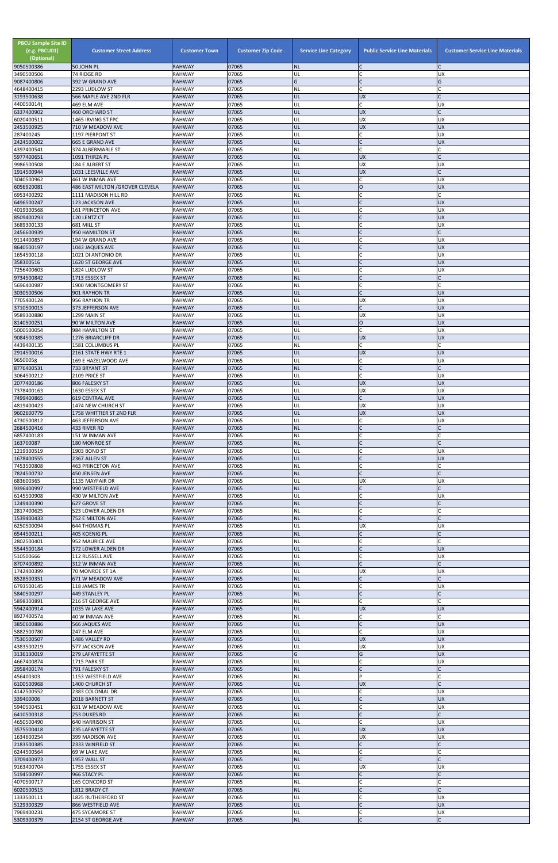| <b>PBCU Sample Site ID</b><br>(e.g. PBCU01)<br>(Optional) | <b>Customer Street Address</b>                       | <b>Customer Town</b>           | <b>Customer Zip Code</b> | <b>Service Line Category</b> | <b>Public Service Line Materials</b> | <b>Customer Service Line Materials</b> |
|-----------------------------------------------------------|------------------------------------------------------|--------------------------------|--------------------------|------------------------------|--------------------------------------|----------------------------------------|
| 9050500386<br>3490500506                                  | 50 JOHN PL<br>74 RIDGE RD                            | <b>RAHWAY</b><br><b>RAHWAY</b> | 07065<br>07065           | <b>NL</b><br>UL              | $\mathsf{C}$                         | <b>UX</b>                              |
| 9087400806                                                | 392 W GRAND AVE                                      | <b>RAHWAY</b>                  | 07065                    | G                            | $\mathsf{C}$                         | G                                      |
| 4648400415<br>3193500638                                  | 2293 LUDLOW ST<br>566 MAPLE AVE 2ND FLR              | <b>RAHWAY</b><br><b>RAHWAY</b> | 07065<br>07065           | NL<br>UL                     | $\mathsf{C}$<br><b>UX</b>            |                                        |
| 4400500141                                                | 469 ELM AVE                                          | <b>RAHWAY</b>                  | 07065                    | UL                           | $\mathsf{C}$                         | <b>UX</b>                              |
| 6337400902<br>6020400511                                  | <b>460 ORCHARD ST</b><br>1465 IRVING ST FPC          | <b>RAHWAY</b><br><b>RAHWAY</b> | 07065<br>07065           | UL<br>UL                     | <b>UX</b><br><b>UX</b>               | $\Gamma$<br><b>UX</b>                  |
| 2453500925                                                | 710 W MEADOW AVE                                     | <b>RAHWAY</b>                  | 07065                    | UL                           | <b>UX</b>                            | <b>UX</b>                              |
| 287400245<br>2424500002                                   | 1197 PIERPONT ST<br><b>665 E GRAND AVE</b>           | <b>RAHWAY</b><br><b>RAHWAY</b> | 07065<br>07065           | UL<br>UL                     | $\mathsf{C}$<br>$\mathsf C$          | <b>UX</b><br><b>UX</b>                 |
| 4397400541                                                | 374 ALBERMARLE ST                                    | <b>RAHWAY</b>                  | 07065                    | NL                           | $\mathsf{C}$                         | C                                      |
| 5977400651<br>9986500508                                  | 1091 THIRZA PL<br>184 E ALBERT ST                    | <b>RAHWAY</b><br><b>RAHWAY</b> | 07065<br>07065           | UL<br>UL                     | <b>UX</b><br><b>UX</b>               | <b>UX</b>                              |
| 1914500944                                                | 1031 LEESVILLE AVE                                   | <b>RAHWAY</b>                  | 07065                    | UL                           | <b>UX</b>                            |                                        |
| 3040500962<br>6056920081                                  | 461 W INMAN AVE<br>486 EAST MILTON / GROVER CLEVELA  | RAHWAY<br><b>RAHWAY</b>        | 07065<br>07065           | UL<br>UL                     | $\mathsf{C}$<br>$\overline{O}$       | <b>UX</b><br><b>UX</b>                 |
| 6953400292                                                | 1111 MADISON HILL RD                                 | <b>RAHWAY</b>                  | 07065                    | NL                           |                                      |                                        |
| 6496500247<br>4019300568                                  | 123 JACKSON AVE<br><b>161 PRINCETON AVE</b>          | <b>RAHWAY</b><br><b>RAHWAY</b> | 07065<br>07065           | UL<br>UL                     | $\mathsf{C}$                         | <b>UX</b><br><b>UX</b>                 |
| 8509400293                                                | 120 LENTZ CT                                         | <b>RAHWAY</b>                  | 07065                    | UL                           | $\mathsf{C}$                         | <b>UX</b>                              |
| 3689300133<br>2456600939                                  | 681 MILL ST                                          | <b>RAHWAY</b><br><b>RAHWAY</b> | 07065<br>07065           | UL<br><b>NL</b>              | C<br>$\Gamma$                        | <b>UX</b><br>$\mathsf{C}$              |
| 9114400857                                                | 950 HAMILTON ST<br>194 W GRAND AVE                   | <b>RAHWAY</b>                  | 07065                    | UL                           |                                      | <b>UX</b>                              |
| 8640500197                                                | 1043 JAQUES AVE                                      | <b>RAHWAY</b>                  | 07065<br>07065           | UL                           | $\mathsf{C}$                         | <b>UX</b>                              |
| 1654500118<br>358300516                                   | 1021 DI ANTONIO DR<br>1620 ST GEORGE AVE             | <b>RAHWAY</b><br><b>RAHWAY</b> | 07065                    | UL<br>UL                     |                                      | <b>UX</b><br><b>UX</b>                 |
| 7256400603                                                | 1824 LUDLOW ST                                       | <b>RAHWAY</b>                  | 07065                    | UL                           | $\mathsf{C}$<br>$\mathsf{C}$         | <b>UX</b>                              |
| 9734500842<br>5696400987                                  | 1713 ESSEX ST<br>1900 MONTGOMERY ST                  | <b>RAHWAY</b><br><b>RAHWAY</b> | 07065<br>07065           | <b>NL</b><br><b>NL</b>       | $\mathsf{C}$                         |                                        |
| 3030500506                                                | 901 RAYHON TR                                        | <b>RAHWAY</b>                  | 07065                    | UL                           | $\mathsf C$                          | <b>UX</b>                              |
| 7705400124<br>3710500015                                  | 956 RAYHON TR<br>373 JEFFERSON AVE                   | <b>RAHWAY</b><br><b>RAHWAY</b> | 07065<br>07065           | UL<br>UL                     | <b>UX</b><br>$\mathsf{C}$            | <b>UX</b><br><b>UX</b>                 |
| 9589300880                                                | 1299 MAIN ST                                         | <b>RAHWAY</b>                  | 07065                    | UL                           | <b>UX</b>                            | <b>UX</b>                              |
| 8140500251<br>5000500054                                  | 90 W MILTON AVE<br>984 HAMILTON ST                   | <b>RAHWAY</b><br><b>RAHWAY</b> | 07065<br>07065           | UL<br>UL                     | $\overline{O}$<br>$\mathsf{C}$       | <b>UX</b><br><b>UX</b>                 |
| 9084500385                                                | <b>1276 BRIARCLIFF DR</b>                            | <b>RAHWAY</b>                  | 07065                    | UL                           | <b>UX</b>                            | <b>UX</b>                              |
| 4439400135<br>2914500016                                  | 1581 COLUMBUS PL<br>2161 STATE HWY RTE 1             | <b>RAHWAY</b><br>RAHWAY        | 07065<br>07065           | NL<br><b>UL</b>              | $\mathsf{C}$<br><b>UX</b>            | <b>IDX</b>                             |
| 96500058                                                  | 169 E HAZELWOOD AVE                                  | <b>RAHWAY</b>                  | 07065                    | UL                           | C                                    | <b>UX</b>                              |
| 8776400531<br>3064500212                                  | 733 BRYANT ST<br>2109 PRICE ST                       | <b>RAHWAY</b><br><b>RAHWAY</b> | 07065<br>07065           | <b>NL</b><br>UL              | $\mathsf{C}$                         | <b>UX</b>                              |
| 2077400186                                                | 806 FALESKY ST                                       | <b>RAHWAY</b>                  | 07065                    | UL                           | <b>UX</b>                            | <b>UX</b>                              |
| 7378400163<br>7499400865                                  | 1630 ESSEX ST<br><b>619 CENTRAL AVE</b>              | <b>RAHWAY</b><br><b>RAHWAY</b> | 07065<br>07065           | UL<br>UL                     | <b>UX</b><br>$\mathsf{C}$            | <b>UX</b><br><b>UX</b>                 |
| 4819400423                                                | 1474 NEW CHURCH ST                                   | <b>RAHWAY</b>                  | 07065                    | UL                           | <b>UX</b>                            | <b>UX</b>                              |
| 9602600779<br>4730500812                                  | 1758 WHITTIER ST 2ND FLR<br><b>463 JEFFERSON AVE</b> | <b>RAHWAY</b><br><b>RAHWAY</b> | 07065<br>07065           | UL<br>UL                     | <b>UX</b><br>$\mathsf{C}$            | <b>UX</b><br><b>UX</b>                 |
| 2684500416                                                | 433 RIVER RD                                         | <b>RAHWAY</b>                  | 07065                    | <b>NL</b>                    | $\mathsf{C}$                         |                                        |
| 6857400183<br>163700087                                   | 151 W INMAN AVE<br>180 MONROE ST                     | <b>RAHWAY</b><br><b>RAHWAY</b> | 07065<br>07065           | NL<br><b>NL</b>              |                                      |                                        |
| 1219300519                                                | 1903 BOND ST                                         | <b>RAHWAY</b>                  | 07065                    | UL                           |                                      | <b>UX</b>                              |
| 1678400555<br>7453500808                                  | 2367 ALLEN ST<br><b>463 PRINCETON AVE</b>            | <b>RAHWAY</b><br><b>RAHWAY</b> | 07065<br>07065           | UL<br><b>NL</b>              | $\mathsf{C}$<br>$\mathsf C$          | <b>UX</b>                              |
| 7824500732                                                | 450 JENSEN AVE                                       | <b>RAHWAY</b>                  | 07065                    | <b>NL</b>                    | $\mathsf{C}$                         |                                        |
| 683600365<br>9396400997                                   | 1135 MAYFAIR DR<br>990 WESTFIELD AVE                 | <b>RAHWAY</b><br><b>RAHWAY</b> | 07065<br>07065           | UL<br><b>NL</b>              | <b>UX</b><br>$\mathsf{C}$            | <b>UX</b><br>$\mathsf{C}$              |
| 6145500908                                                | 430 W MILTON AVE                                     | <b>RAHWAY</b>                  | 07065                    | UL                           | C                                    | <b>UX</b>                              |
| 1249400390<br>2817400625                                  | 627 GROVE ST<br>523 LOWER ALDEN DR                   | <b>RAHWAY</b><br><b>RAHWAY</b> | 07065<br>07065           | <b>NL</b><br>NL              |                                      |                                        |
| 1539400433                                                | 752 E MILTON AVE                                     | <b>RAHWAY</b>                  | 07065                    | <b>NL</b>                    | $\mathsf{C}$                         |                                        |
| 6250500094<br>6544500211                                  | <b>644 THOMAS PL</b><br>405 KOENIG PL                | <b>RAHWAY</b><br><b>RAHWAY</b> | 07065<br>07065           | UL<br><b>NL</b>              | <b>UX</b><br>$\mathsf C$             | <b>UX</b>                              |
| 2802500401                                                | 952 MAURICE AVE                                      | <b>RAHWAY</b>                  | 07065                    | <b>NL</b>                    | $\mathsf{C}$                         |                                        |
| 5544500184<br>510500666                                   | 372 LOWER ALDEN DR<br>112 RUSSELL AVE                | <b>RAHWAY</b><br><b>RAHWAY</b> | 07065<br>07065           | UL<br>UL                     | $\mathsf{C}$<br>$\mathsf{C}$         | <b>UX</b><br><b>UX</b>                 |
| 8707400892                                                | 312 W INMAN AVE                                      | <b>RAHWAY</b>                  | 07065                    | <b>NL</b>                    | $\mathsf{C}$                         | $\mathsf{C}$                           |
| 1742400399                                                | 70 MONROE ST 1A                                      | <b>RAHWAY</b>                  | 07065                    | UL                           | <b>UX</b>                            | <b>UX</b>                              |
| 8528500351<br>6793500145                                  | 671 W MEADOW AVE<br>118 JAMES TR                     | <b>RAHWAY</b><br><b>RAHWAY</b> | 07065<br>07065           | <b>NL</b><br>UL              | $\mathsf{C}$                         | <b>UX</b>                              |
| 5840500297<br>5898300891                                  | 449 STANLEY PL<br>216 ST GEORGE AVE                  | <b>RAHWAY</b><br><b>RAHWAY</b> | 07065<br>07065           | <b>NL</b><br>NL              | $\mathsf C$<br>$\mathsf{C}$          | C                                      |
| 5942400914                                                | 1035 W LAKE AVE                                      | <b>RAHWAY</b>                  | 07065                    | UL                           | <b>UX</b>                            | <b>UX</b>                              |
| 8927400574                                                | 40 W INMAN AVE                                       | <b>RAHWAY</b>                  | 07065                    | <b>NL</b>                    | C<br>$\mathsf{C}$                    | Ċ                                      |
| 3850600886<br>5882500780                                  | 566 JAQUES AVE<br>247 ELM AVE                        | <b>RAHWAY</b><br><b>RAHWAY</b> | 07065<br>07065           | UL<br>UL                     | $\mathsf{C}$                         | <b>UX</b><br><b>UX</b>                 |
| 7530500507                                                | 1486 VALLEY RD                                       | <b>RAHWAY</b>                  | 07065                    | UL                           | <b>UX</b>                            | <b>UX</b>                              |
| 4383500219<br>3136130019                                  | 577 JACKSON AVE<br>279 LAFAYETTE ST                  | <b>RAHWAY</b><br><b>RAHWAY</b> | 07065<br>07065           | UL<br>G                      | <b>UX</b><br>G                       | <b>UX</b><br><b>UX</b>                 |
| 4667400874                                                | 1715 PARK ST                                         | <b>RAHWAY</b>                  | 07065                    | UL                           | $\mathsf{C}$                         | <b>UX</b>                              |
| 2958400174<br>456400303                                   | 791 FALESKY ST<br>1153 WESTFIELD AVE                 | <b>RAHWAY</b><br><b>RAHWAY</b> | 07065<br>07065           | <b>NL</b><br><b>NL</b>       | P                                    | Ċ                                      |
| 6100500968                                                | 1400 CHURCH ST                                       | <b>RAHWAY</b>                  | 07065                    | UL                           | <b>UX</b>                            |                                        |
| 4142500552<br>339400006                                   | 2383 COLONIAL DR<br>2018 BARNETT ST                  | RAHWAY<br><b>RAHWAY</b>        | 07065<br>07065           | UL<br>UL                     | C<br>$\mathsf{C}$                    | <b>UX</b><br><b>UX</b>                 |
| 5940500451                                                | 631 W MEADOW AVE                                     | <b>RAHWAY</b>                  | 07065                    | UL                           | $\mathsf{C}$                         | <b>UX</b>                              |
| 6410500318<br>4650500490                                  | 253 DUKES RD<br><b>640 HARRISON ST</b>               | <b>RAHWAY</b><br><b>RAHWAY</b> | 07065<br>07065           | <b>NL</b><br>UL              | $\mathsf{C}$<br>$\mathsf{C}$         | <b>UX</b>                              |
| 3575500418                                                | 235 LAFAYETTE ST                                     | <b>RAHWAY</b>                  | 07065                    | UL                           | <b>UX</b>                            | <b>UX</b>                              |
| 1634600254<br>2183500385                                  | 399 MADISON AVE<br>2333 WINFIELD ST                  | <b>RAHWAY</b><br><b>RAHWAY</b> | 07065<br>07065           | UL<br><b>NL</b>              | <b>UX</b><br>$\mathsf{C}$            | <b>UX</b>                              |
| 6244500564                                                | 69 W LAKE AVE                                        | <b>RAHWAY</b>                  | 07065                    | <b>NL</b>                    | $\mathsf{C}$                         |                                        |
| 3709400973<br>9163400704                                  | 1957 WALL ST<br>1755 ESSEX ST                        | <b>RAHWAY</b><br>RAHWAY        | 07065<br>07065           | <b>NL</b><br>UL              | $\mathsf{C}$<br><b>UX</b>            | <b>UX</b>                              |
| 5194500997                                                | 966 STACY PL                                         | <b>RAHWAY</b>                  | 07065                    | <b>NL</b>                    |                                      |                                        |
| 4070500717<br>6020500515                                  | 165 CONCORD ST<br>1812 BRADY CT                      | <b>RAHWAY</b><br><b>RAHWAY</b> | 07065<br>07065           | <b>NL</b><br><b>NL</b>       | $\mathsf{C}$<br>$\mathsf{C}$         |                                        |
| 1333500111                                                | 1825 RUTHERFORD ST                                   | RAHWAY                         | 07065                    | UL                           | C                                    | <b>UX</b>                              |
| 5129300329<br>7969400231                                  | 866 WESTFIELD AVE<br>475 SYCAMORE ST                 | <b>RAHWAY</b><br><b>RAHWAY</b> | 07065<br>07065           | UL<br>UL                     | $\mathsf{C}$<br>$\mathsf{C}$         | <b>UX</b><br><b>UX</b>                 |
| 5309300379                                                | 2154 ST GEORGE AVE                                   | <b>RAHWAY</b>                  | 07065                    | $\sf NL$                     | $\mathsf C$                          | $\mathsf{C}$                           |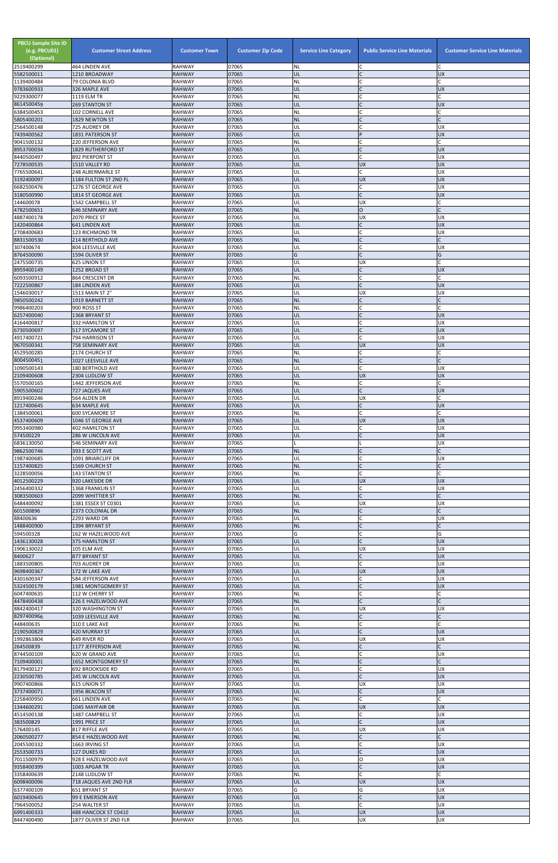| <b>PBCU Sample Site ID</b><br>(e.g. PBCU01)<br>(Optional)<br>2519400299 | <b>Customer Street Address</b><br>464 LINDEN AVE | <b>Customer Town</b><br><b>RAHWAY</b> | <b>Customer Zip Code</b><br>07065 | <b>Service Line Category</b><br><b>NL</b> | <b>Public Service Line Materials</b> | <b>Customer Service Line Materials</b> |
|-------------------------------------------------------------------------|--------------------------------------------------|---------------------------------------|-----------------------------------|-------------------------------------------|--------------------------------------|----------------------------------------|
| 5582500011                                                              | 1210 BROADWAY                                    | <b>RAHWAY</b>                         | 07065                             | UL                                        |                                      | <b>UX</b>                              |
| 1139400484                                                              | 79 COLONIA BLVD<br>326 MAPLE AVE                 | RAHWAY<br><b>RAHWAY</b>               | 07065<br>07065                    | NL<br>ŰĹ                                  | $\mathsf{C}$<br>$\mathsf{C}$         | <b>UX</b>                              |
| 9783600933<br>9229300077                                                | 1119 ELM TR                                      | <b>RAHWAY</b>                         | 07065                             | NL                                        |                                      |                                        |
| 8614500459<br>6384500453                                                | <b>269 STANTON ST</b><br>102 CORNELL AVE         | <b>RAHWAY</b><br>RAHWAY               | 07065<br>07065                    | UL<br>NL                                  | $\mathsf{C}$                         | <b>UX</b>                              |
| 5805400201                                                              | 1829 NEWTON ST                                   | <b>RAHWAY</b>                         | 07065                             | <b>NL</b>                                 | $\mathsf{C}$                         |                                        |
| 2564500148                                                              | 725 AUDREY DR                                    | RAHWAY                                | 07065                             | UL                                        | $\mathsf{C}$                         | <b>UX</b>                              |
| 7439400562<br>9041500132                                                | 1831 PATERSON ST<br>220 JEFFERSON AVE            | <b>RAHWAY</b><br>RAHWAY               | 07065<br>07065                    | UL<br>NL                                  | P                                    | <b>UX</b>                              |
| 8953700034                                                              | <b>1829 RUTHERFORD ST</b>                        | <b>RAHWAY</b>                         | 07065                             | UL                                        | $\mathsf{C}$                         | <b>UX</b>                              |
| 8440500497<br>7278500535                                                | 892 PIERPONT ST<br>1510 VALLEY RD                | RAHWAY<br><b>RAHWAY</b>               | 07065<br>07065                    | UL<br>IJL                                 | $\mathsf{C}$<br><b>UX</b>            | <b>UX</b><br><b>UX</b>                 |
| 7765500641                                                              | 248 ALBERMARLE ST                                | <b>RAHWAY</b>                         | 07065                             | UL                                        | C                                    | <b>UX</b>                              |
| 3192400097                                                              | 1184 FULTON ST 2ND FL                            | <b>RAHWAY</b>                         | 07065                             | UL                                        | <b>UX</b>                            | <b>UX</b>                              |
| 6682500476<br>3180500990                                                | 1276 ST GEORGE AVE<br>1814 ST GEORGE AVE         | <b>RAHWAY</b><br><b>RAHWAY</b>        | 07065<br>07065                    | UL<br>UL                                  | $\mathsf C$<br>$\mathsf{C}$          | <b>UX</b><br><b>UX</b>                 |
| 144600078                                                               | 1542 CAMPBELL ST                                 | RAHWAY                                | 07065                             | UL                                        | <b>UX</b>                            |                                        |
| 4782500651<br>4887400178                                                | 646 SEMINARY AVE<br>2070 PRICE ST                | <b>RAHWAY</b><br>RAHWAY               | 07065<br>07065                    | <b>NL</b><br>UL                           | $\overline{O}$<br><b>UX</b>          | <b>UX</b>                              |
| 1420400864                                                              | 641 LINDEN AVE                                   | <b>RAHWAY</b>                         | 07065                             | UL                                        | $\mathsf{C}$                         | <b>UX</b>                              |
| 2708400683                                                              | 123 RICHMOND TR                                  | <b>RAHWAY</b>                         | 07065                             | UL                                        | $\mathsf{C}$                         | <b>UX</b>                              |
| 8831500530<br>307400674                                                 | 214 BERTHOLD AVE<br>804 LEESVILLE AVE            | <b>RAHWAY</b><br>RAHWAY               | 07065<br>07065                    | <b>NL</b><br>UL                           | $\mathsf{C}$                         | <b>UX</b>                              |
| 8764500090                                                              | 1594 OLIVER ST                                   | <b>RAHWAY</b>                         | 07065                             | Ġ                                         | $\mathsf{C}$                         | G                                      |
| 2475500735<br>8959400149                                                | 625 UNION ST<br>1252 BROAD ST                    | <b>RAHWAY</b><br><b>RAHWAY</b>        | 07065<br>07065                    | UL<br>UL                                  | <b>UX</b>                            | <b>UX</b>                              |
| 6093500912                                                              | 864 CRESCENT DR                                  | RAHWAY                                | 07065                             | NL                                        | $\mathsf{C}$                         |                                        |
| 7222500867                                                              | 184 LINDEN AVE                                   | <b>RAHWAY</b>                         | 07065                             | UL                                        | $\mathsf{C}$                         | <b>UX</b>                              |
| 1546030017<br>9850500242                                                | 1513 MAIN ST 2"<br>1919 BARNETT ST               | RAHWAY<br><b>RAHWAY</b>               | 07065<br>07065                    | UL<br><b>NL</b>                           | <b>UX</b><br>$\mathsf{C}$            | <b>UX</b>                              |
| 9986400203                                                              | 900 ROSS ST                                      | <b>RAHWAY</b>                         | 07065                             | NL                                        |                                      |                                        |
| 6257400040                                                              | 1368 BRYANT ST                                   | <b>RAHWAY</b>                         | 07065<br>07065                    | UL<br>UL                                  | $\mathsf{C}$<br>$\mathsf{C}$         | <b>UX</b><br><b>UX</b>                 |
| 4164400817<br>6730500697                                                | 332 HAMILTON ST<br>517 SYCAMORE ST               | <b>RAHWAY</b><br><b>RAHWAY</b>        | 07065                             | UL                                        | $\overline{C}$                       | <b>UX</b>                              |
| 4917400721                                                              | 794 HARRISON ST                                  | <b>RAHWAY</b>                         | 07065                             | UL                                        | $\mathsf{C}$                         | <b>UX</b>                              |
| 9670500341<br>4529500285                                                | 758 SEMINARY AVE<br>2174 CHURCH ST               | <b>RAHWAY</b><br><b>RAHWAY</b>        | 07065<br>07065                    | UL<br>ΝL                                  | <b>UX</b>                            | <b>UX</b>                              |
| 8004500451                                                              | 1027 LEESVILLE AVE                               | <b>RAHWAY</b>                         | 07065                             | <b>NL</b>                                 |                                      |                                        |
| 1090500143                                                              | <b>180 BERTHOLD AVE</b>                          | RAHWAY                                | 07065                             | UL                                        |                                      | <b>UX</b>                              |
| 2109400608<br>5570500165                                                | 2304 LUDLOW ST<br>1442 JEFFERSON AVE             | <b>RAHWAY</b><br>RAHWAY               | 07065<br>07065                    | UL<br>NL                                  | <b>UX</b><br>C                       | <b>UX</b>                              |
| 5905500602                                                              | 727 JAQUES AVE                                   | RAHWAY                                | 07065                             | UL                                        | $\mathsf{C}$                         | <b>UX</b>                              |
| 8919400246<br>1217400645                                                | 564 ALDEN DR<br>634 MAPLE AVE                    | <b>RAHWAY</b><br><b>RAHWAY</b>        | 07065<br>07065                    | UL<br>UL                                  | <b>UX</b><br>$\mathsf{C}$            | <b>UX</b>                              |
| 1384500061                                                              | <b>600 SYCAMORE ST</b>                           | RAHWAY                                | 07065                             | NL                                        |                                      |                                        |
| 4537400609                                                              | 1046 ST GEORGE AVE                               | <b>RAHWAY</b>                         | 07065                             | IJL                                       | <b>UX</b>                            | <b>UX</b>                              |
| 9953400980<br>574500229                                                 | <b>402 HAMILTON ST</b><br>286 W LINCOLN AVE      | RAHWAY<br><b>RAHWAY</b>               | 07065<br>07065                    | UL<br>UL                                  | C<br>$\mathsf{C}$                    | <b>UX</b><br><b>UX</b>                 |
| 6836130050                                                              | 546 SEMINARY AVE                                 | RAHWAY                                | 07065                             |                                           |                                      | <b>UX</b>                              |
| 9862500746<br>1987400685                                                | 393 E SCOTT AVE<br>1091 BRIARCLIFF DR            | <b>RAHWAY</b><br>RAHWAY               | 07065<br>07065                    | <b>NL</b><br>UL                           | $\mathsf{C}$                         | <b>UX</b>                              |
| 1157400825                                                              | <b>1569 CHURCH ST</b>                            | <b>RAHWAY</b>                         | 07065                             | <b>NL</b>                                 | $\mathsf{C}$                         |                                        |
| 3228500056                                                              | <b>143 STANTON ST</b>                            | RAHWAY                                | 07065                             | NL                                        |                                      |                                        |
| 4012500229<br>2456400332                                                | 920 LAKESIDE DR<br>1368 FRANKLIN ST              | <b>RAHWAY</b><br>RAHWAY               | 07065<br>07065                    | UL<br>UL                                  | <b>UX</b><br>C                       | <b>UX</b><br><b>UX</b>                 |
| 3083500603                                                              | <b>2099 WHITTIER ST</b>                          | <b>RAHWAY</b>                         | 07065                             | <b>NL</b>                                 | $\mathsf{C}$                         |                                        |
| 6484400092<br>601500896                                                 | 1381 ESSEX ST C0301<br>2373 COLONIAL DR          | RAHWAY<br><b>RAHWAY</b>               | 07065<br>07065                    | UL<br><b>NL</b>                           | <b>UX</b>                            | <b>UX</b>                              |
| 88400636                                                                | 2293 WARD DR                                     | RAHWAY                                | 07065                             | UL                                        |                                      | <b>UX</b>                              |
| 1488400900                                                              | 1394 BRYANT ST<br>162 W HAZELWOOD AVE            | <b>RAHWAY</b><br><b>RAHWAY</b>        | 07065<br>07065                    | <b>NL</b><br>G                            | $\mathsf{C}$<br>$\mathsf{C}$         | $\mathsf{C}$<br>G                      |
| 594500328<br>1436130028                                                 | 375 HAMILTON ST                                  | <b>RAHWAY</b>                         | 07065                             | UL                                        |                                      | <b>UX</b>                              |
| 1906130022                                                              | 105 ELM AVE                                      | <b>RAHWAY</b>                         | 07065                             | UL                                        | <b>UX</b>                            | <b>UX</b>                              |
| 8400627<br>1883500805                                                   | 877 BRYANT ST<br>703 AUDREY DR                   | <b>RAHWAY</b><br>RAHWAY               | 07065<br>07065                    | UL<br>UL                                  | $\mathsf{C}$<br>$\mathsf{C}$         | <b>UX</b><br><b>UX</b>                 |
| 9698400367                                                              | 172 W LAKE AVE                                   | <b>RAHWAY</b>                         | 07065                             | UL                                        | <b>UX</b>                            | <b>UX</b>                              |
| 4301600347<br>5324500179                                                | 584 JEFFERSON AVE<br>1981 MONTGOMERY ST          | RAHWAY<br><b>RAHWAY</b>               | 07065<br>07065                    | UL<br>UL                                  | C<br>$\mathsf{C}$                    | <b>UX</b><br><b>UX</b>                 |
| 6047400635                                                              | 112 W CHERRY ST                                  | RAHWAY                                | 07065                             | NL                                        | $\mathsf{C}$                         |                                        |
| 4478400438                                                              | 226 E HAZELWOOD AVE                              | <b>RAHWAY</b>                         | 07065                             | <b>NL</b>                                 | $\mathsf{C}$                         |                                        |
| 8842400417<br>8297400966                                                | 320 WASHINGTON ST<br>1039 LEESVILLE AVE          | RAHWAY<br><b>RAHWAY</b>               | 07065<br>07065                    | UL<br><b>NL</b>                           | UX                                   | UX                                     |
| 448400635                                                               | 310 E LAKE AVE                                   | RAHWAY                                | 07065                             | NL                                        | $\mathsf{C}$                         |                                        |
| 2190500829<br>1992863804                                                | <b>420 MURRAY ST</b><br>649 RIVER RD             | <b>RAHWAY</b><br>RAHWAY               | 07065<br>07065                    | UL<br>UL                                  | $\mathsf{C}$<br><b>UX</b>            | <b>UX</b><br><b>UX</b>                 |
| 264500839                                                               | 1177 JEFFERSON AVE                               | <b>RAHWAY</b>                         | 07065                             | <b>NL</b>                                 |                                      |                                        |
| 8744500109                                                              | 620 W GRAND AVE                                  | RAHWAY                                | 07065                             | UL                                        |                                      | <b>UX</b>                              |
| 7109400001<br>8179400127                                                | <b>1652 MONTGOMERY ST</b><br>692 BROOKSIDE RD    | <b>RAHWAY</b><br><b>RAHWAY</b>        | 07065<br>07065                    | <b>NL</b><br>UL                           |                                      | <b>UX</b>                              |
| 2230500785                                                              | 245 W LINCOLN AVE                                | <b>RAHWAY</b>                         | 07065                             | UL                                        | $\mathsf C$                          | <b>UX</b>                              |
| 9907400866<br>3737400071                                                | <b>615 UNION ST</b><br>1956 BEACON ST            | <b>RAHWAY</b><br><b>RAHWAY</b>        | 07065<br>07065                    | UL<br>UL                                  | <b>UX</b><br>$\mathsf{C}$            | <b>UX</b><br><b>UX</b>                 |
| 2258400950                                                              | 661 LINDEN AVE                                   | RAHWAY                                | 07065                             | <b>NL</b>                                 | $\mathsf{C}$                         |                                        |
| 1344600291                                                              | 1045 MAYFAIR DR                                  | <b>RAHWAY</b>                         | 07065                             | UL                                        | <b>UX</b>                            | <b>UX</b>                              |
| 4514500138<br>383500829                                                 | 1487 CAMPBELL ST<br>1991 PRICE ST                | RAHWAY<br><b>RAHWAY</b>               | 07065<br>07065                    | UL<br>UL                                  | C<br>$\mathsf{C}$                    | <b>UX</b><br><b>UX</b>                 |
| 576400145                                                               | 817 RIFFLE AVE                                   | RAHWAY                                | 07065                             | UL                                        | <b>UX</b>                            | <b>UX</b>                              |
| 2060500277                                                              | 854 E HAZELWOOD AVE                              | <b>RAHWAY</b>                         | 07065                             | <b>NL</b>                                 | $\mathsf{C}$<br>$\mathsf{C}$         |                                        |
| 2045500332<br>2553500733                                                | 1663 IRVING ST<br>127 DUKES RD                   | <b>RAHWAY</b><br><b>RAHWAY</b>        | 07065<br>07065                    | UL<br>UL                                  | $\mathsf{C}$                         | <b>UX</b><br><b>UX</b>                 |
| 7011500979                                                              | 928 E HAZELWOOD AVE                              | RAHWAY                                | 07065                             | UL                                        | O                                    | <b>UX</b>                              |
| 9358400399<br>3358400639                                                | 1003 APGAR TR<br>2148 LUDLOW ST                  | <b>RAHWAY</b><br>RAHWAY               | 07065<br>07065                    | UL<br>NL                                  | $\mathsf{C}$<br>$\mathsf{C}$         | <b>UX</b>                              |
| 6098400096                                                              | 718 JAQUES AVE 2ND FLR                           | <b>RAHWAY</b>                         | 07065                             | UL                                        | <b>UX</b>                            | <b>UX</b>                              |
| 6377400109                                                              | 651 BRYANT ST                                    | RAHWAY                                | 07065                             | Ġ                                         | G<br>$\mathsf{C}$                    | <b>UX</b>                              |
| 6019400645<br>7964500052                                                | 99 E EMERSON AVE<br>254 WALTER ST                | <b>RAHWAY</b><br><b>RAHWAY</b>        | 07065<br>07065                    | UL<br>UL                                  | $\mathsf{C}$                         | <b>UX</b><br><b>UX</b>                 |
| 6991400333<br>8447400490                                                | 488 HANCOCK ST C0410<br>1877 OLIVER ST 2ND FLR   | <b>RAHWAY</b><br>RAHWAY               | 07065<br>07065                    | UL<br>UL                                  | <b>UX</b><br><b>UX</b>               | <b>UX</b><br><b>UX</b>                 |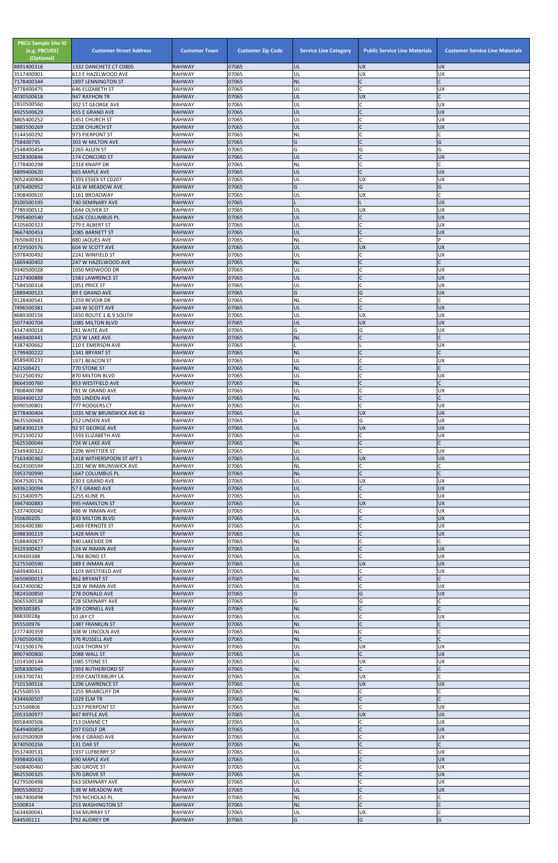| <b>PBCU Sample Site ID</b><br>(e.g. PBCU01)<br>(Optional)<br>8891400316 | <b>Customer Street Address</b><br>1332 DANCHETZ CT C0805 | <b>Customer Town</b><br><b>RAHWAY</b> | <b>Customer Zip Code</b><br>07065 | <b>Service Line Category</b><br>UL | <b>Public Service Line Materials</b><br><b>UX</b> | <b>Customer Service Line Materials</b><br><b>UX</b> |
|-------------------------------------------------------------------------|----------------------------------------------------------|---------------------------------------|-----------------------------------|------------------------------------|---------------------------------------------------|-----------------------------------------------------|
| 3517400901                                                              | 613 E HAZELWOOD AVE                                      | <b>RAHWAY</b>                         | 07065                             | UL                                 | UX                                                | <b>UX</b>                                           |
| 7178400344                                                              | 1897 LENNINGTON ST                                       | <b>RAHWAY</b><br><b>RAHWAY</b>        | 07065<br>07065                    | <b>NL</b><br>UL                    | $\mathsf{C}$<br>$\mathsf{C}$                      | $\Gamma$<br><b>UX</b>                               |
| 9778400475<br>4030500618                                                | 646 ELIZABETH ST<br>947 RAYHON TR                        | <b>RAHWAY</b>                         | 07065                             | UL                                 | <b>UX</b>                                         |                                                     |
| 2810500560<br>4925500629                                                | 302 ST GEORGE AVE                                        | <b>RAHWAY</b><br><b>RAHWAY</b>        | 07065<br>07065                    | UL<br>UL                           | C<br>$\mathsf{C}$                                 | <b>UX</b><br><b>UX</b>                              |
| 8805400252                                                              | 455 E GRAND AVE<br>1451 CHURCH ST                        | <b>RAHWAY</b>                         | 07065                             | UL                                 | $\mathsf{C}$                                      | <b>UX</b>                                           |
| 3883500269                                                              | 2238 CHURCH ST                                           | <b>RAHWAY</b>                         | 07065                             | UL                                 | $\mathsf{C}$                                      | <b>UX</b>                                           |
| 3144500292<br>758400795                                                 | 973 PIERPONT ST<br>303 W MILTON AVE                      | <b>RAHWAY</b><br><b>RAHWAY</b>        | 07065<br>07065                    | <b>NL</b><br>G                     | $\mathsf{C}$                                      | G                                                   |
| 2548400454                                                              | 2265 ALLEN ST                                            | <b>RAHWAY</b>                         | 07065                             | G                                  | G                                                 | G                                                   |
| 9228300846<br>1778400298                                                | 174 CONCORD ST<br>2318 KNAPP DR                          | <b>RAHWAY</b><br><b>RAHWAY</b>        | 07065<br>07065                    | UL<br><b>NL</b>                    | $\mathsf{C}$<br>$\mathsf{C}$                      | <b>UX</b>                                           |
| 4899400620                                                              | <b>665 MAPLE AVE</b>                                     | <b>RAHWAY</b>                         | 07065                             | UL                                 | $\mathsf{C}$                                      | <b>UX</b>                                           |
| 9052400904                                                              | 1393 ESSEX ST C0207                                      | <b>RAHWAY</b>                         | 07065<br>07065                    | UL<br>G                            | UX                                                | <b>UX</b>                                           |
| 1876400952<br>1908400610                                                | 416 W MEADOW AVE<br>1161 BROADWAY                        | <b>RAHWAY</b><br><b>RAHWAY</b>        | 07065                             | UL                                 | G<br><b>UX</b>                                    | G                                                   |
| 9100500195                                                              | 740 SEMINARY AVE                                         | <b>RAHWAY</b>                         | 07065                             |                                    |                                                   | <b>UX</b>                                           |
| 7789300512<br>7995400540                                                | 1644 OLIVER ST<br>1626 COLUMBUS PL                       | <b>RAHWAY</b><br><b>RAHWAY</b>        | 07065<br>07065                    | UL<br>UL                           | <b>UX</b><br>$\mathsf{C}$                         | <b>UX</b><br><b>UX</b>                              |
| 4105600323                                                              | 279 E ALBERT ST                                          | <b>RAHWAY</b>                         | 07065                             | UL                                 | $\mathsf{C}$                                      | <b>UX</b>                                           |
| 9667400453<br>7650600331                                                | 2085 BARNETT ST<br>880 JAQUES AVE                        | <b>RAHWAY</b><br><b>RAHWAY</b>        | 07065<br>07065                    | UL<br><b>NL</b>                    | $\mathsf{C}$<br>$\mathsf{C}$                      | <b>UX</b><br>P                                      |
| 4729500576                                                              | 604 W SCOTT AVE                                          | <b>RAHWAY</b>                         | 07065                             | UL                                 | <b>UX</b>                                         | <b>UX</b>                                           |
| 5978400492                                                              | 2241 WINFIELD ST                                         | <b>RAHWAY</b>                         | 07065                             | UL                                 | $\mathsf{C}$                                      | <b>UX</b>                                           |
| 1669400402<br>9340500028                                                | 247 W HAZELWOOD AVE<br>1050 MIDWOOD DR                   | <b>RAHWAY</b><br><b>RAHWAY</b>        | 07065<br>07065                    | <b>NL</b><br>UL                    | $\mathsf{C}$<br>C                                 | <b>UX</b>                                           |
| 1237400888                                                              | <b>1583 LAWRENCE ST</b>                                  | <b>RAHWAY</b>                         | 07065                             | UL                                 |                                                   | <b>UX</b>                                           |
| 7584500318<br>2889400523                                                | 1951 PRICE ST<br>89 E GRAND AVE                          | <b>RAHWAY</b><br><b>RAHWAY</b>        | 07065<br>07065                    | UL<br>G                            | $\mathsf{C}$<br>G                                 | <b>UX</b><br><b>UX</b>                              |
| 9128400541                                                              | 1259 REVOIR DR                                           | <b>RAHWAY</b>                         | 07065                             | NL                                 | $\mathsf{C}$                                      |                                                     |
| 7496500381                                                              | 244 W SCOTT AVE                                          | <b>RAHWAY</b>                         | 07065                             | UL                                 | $\mathsf{C}$                                      | <b>UX</b>                                           |
| 8689300156<br>5077400704                                                | 1650 ROUTE 1 & 9 SOUTH<br>1085 MILTON BLVD               | <b>RAHWAY</b><br><b>RAHWAY</b>        | 07065<br>07065                    | UL<br>UL                           | <b>UX</b><br><b>UX</b>                            | <b>UX</b><br><b>UX</b>                              |
| 4347400018                                                              | 281 WAITE AVE                                            | <b>RAHWAY</b>                         | 07065                             | G                                  | G                                                 | <b>UX</b>                                           |
| 4669400441<br>4387400662                                                | 253 W LAKE AVE<br><b>110 E EMERSON AVE</b>               | <b>RAHWAY</b><br><b>RAHWAY</b>        | 07065<br>07065                    | <b>NL</b>                          | $\mathsf{C}$                                      | <b>UX</b>                                           |
| 1799400222                                                              | 1341 BRYANT ST                                           | <b>RAHWAY</b>                         | 07065                             | <b>NL</b>                          |                                                   |                                                     |
| 8589400237                                                              | 1971 BEACON ST                                           | <b>RAHWAY</b>                         | 07065                             | UL                                 | $\mathsf{C}$                                      | <b>UX</b>                                           |
| 421500421<br>5012500392                                                 | 770 STONE ST<br>870 MILTON BLVD                          | <b>RAHWAY</b><br><b>RAHWAY</b>        | 07065<br>07065                    | <b>NL</b><br>UL                    |                                                   | <b>UX</b>                                           |
| 8664500760                                                              | 853 WESTFIELD AVE                                        | <b>RAHWAY</b>                         | 07065                             | <b>NL</b>                          | $\mathsf{C}$                                      |                                                     |
| 7808400788<br>8504400122                                                | 781 W GRAND AVE<br><b>505 LINDEN AVE</b>                 | <b>RAHWAY</b><br><b>RAHWAY</b>        | 07065<br>07065                    | UL<br><b>NL</b>                    | $\mathsf{C}$<br>$\mathsf{C}$                      | <b>UX</b><br>$\mathsf{C}$                           |
| 6990500801                                                              | 777 RODGERS CT                                           | <b>RAHWAY</b>                         | 07065                             | UL                                 | $\mathsf{C}$                                      | <b>UX</b>                                           |
| 8778400404                                                              | 1035 NEW BRUNSWICK AVE 43                                | <b>RAHWAY</b>                         | 07065                             | UL                                 | <b>UX</b>                                         | <b>UX</b>                                           |
| 8635500683<br>6858300219                                                | 252 LINDEN AVE<br>92 ST GEORGE AVE                       | <b>RAHWAY</b><br><b>RAHWAY</b>        | 07065<br>07065                    | G<br>UL                            | G<br><b>UX</b>                                    | <b>UX</b><br><b>UX</b>                              |
| 9521500232                                                              | 1593 ELIZABETH AVE                                       | <b>RAHWAY</b>                         | 07065                             | UL                                 | $\mathsf C$                                       | <b>UX</b>                                           |
| 5625500044<br>2349400322                                                | 724 W LAKE AVE<br>2296 WHITTIER ST                       | <b>RAHWAY</b><br><b>RAHWAY</b>        | 07065<br>07065                    | <b>NL</b><br>UL                    | $\mathsf{C}$<br>$\mathsf{C}$                      | <b>UX</b>                                           |
| 7163400362                                                              | 1418 WITHERSPOON ST APT 1                                | <b>RAHWAY</b>                         | 07065                             | UL                                 | <b>UX</b>                                         | <b>UX</b>                                           |
| 6624500594<br>5953700990                                                | 1201 NEW BRUNSWICK AVE<br>1647 COLUMBUS PL               | <b>RAHWAY</b><br><b>RAHWAY</b>        | 07065<br>07065                    | NL<br><b>NL</b>                    | C<br>$\mathsf{C}$                                 |                                                     |
| 9047500176                                                              | 230 E GRAND AVE                                          | <b>RAHWAY</b>                         | 07065                             | UL                                 | <b>UX</b>                                         | <b>UX</b>                                           |
| 6936130094                                                              | 57 E GRAND AVE                                           | <b>RAHWAY</b>                         | 07065                             | UL                                 | $\mathsf{C}$                                      | <b>UX</b>                                           |
| 6115400975<br>3947400883                                                | 1255 KLINE PL<br>995 HAMILTON ST                         | <b>RAHWAY</b><br><b>RAHWAY</b>        | 07065<br>07065                    | UL<br>UL                           | $\mathsf{C}$<br><b>UX</b>                         | <b>UX</b><br><b>UX</b>                              |
| 5337400042                                                              | 486 W INMAN AVE                                          | <b>RAHWAY</b>                         | 07065                             | UL                                 | C                                                 | <b>UX</b>                                           |
| 350600205<br>3656400380                                                 | 833 MILTON BLVD<br>1469 FERNOTE ST                       | <b>RAHWAY</b><br><b>RAHWAY</b>        | 07065<br>07065                    | UL<br>UL                           | $\mathsf{C}$<br>$\mathsf{C}$                      | <b>UX</b><br><b>UX</b>                              |
| 6988300219                                                              | 1428 MAIN ST                                             | <b>RAHWAY</b>                         | 07065                             | UL                                 | $\mathsf{C}$                                      | <b>UX</b>                                           |
| 3588400877                                                              | 940 LAKESIDE DR                                          | <b>RAHWAY</b>                         | 07065                             | <b>NL</b>                          |                                                   |                                                     |
| 9329300427<br>439400388                                                 | 524 W INMAN AVE<br>1784 BOND ST                          | <b>RAHWAY</b><br><b>RAHWAY</b>        | 07065<br>07065                    | UL<br>UL                           | $\mathsf{C}$                                      | <b>UX</b><br><b>UX</b>                              |
| 5275500590                                                              | 389 E INMAN AVE                                          | <b>RAHWAY</b>                         | 07065                             | UL                                 | <b>UX</b>                                         | <b>UX</b>                                           |
| 6849400411<br>3650600013                                                | 1103 WESTFIELD AVE<br>862 BRYANT ST                      | <b>RAHWAY</b><br><b>RAHWAY</b>        | 07065<br>07065                    | UL<br><b>NL</b>                    | $\mathsf C$                                       | <b>UX</b>                                           |
| 6437400082                                                              | 328 W INMAN AVE                                          | <b>RAHWAY</b>                         | 07065                             | UL                                 | $\mathsf{C}$                                      | <b>UX</b>                                           |
| 3824500850<br>8065500538                                                | 278 DONALD AVE<br>728 SEMINARY AVE                       | <b>RAHWAY</b><br>RAHWAY               | 07065<br>07065                    | G<br>G                             | G<br>G                                            | <b>UX</b>                                           |
| 909300385                                                               | <b>439 CORNELL AVE</b>                                   | <b>RAHWAY</b>                         | 07065                             | <b>NL</b>                          |                                                   |                                                     |
| 888300288                                                               | 10 JAY CT                                                | <b>RAHWAY</b>                         | 07065                             | UL                                 | $\mathsf{C}$<br>$\overline{C}$                    | <b>UX</b>                                           |
| 955500976<br>2777400359                                                 | 1487 FRANKLIN ST<br>308 W LINCOLN AVE                    | <b>RAHWAY</b><br><b>RAHWAY</b>        | 07065<br>07065                    | <b>NL</b><br><b>NL</b>             | $\mathsf{C}$                                      |                                                     |
| 3760500430                                                              | 376 RUSSELL AVE                                          | <b>RAHWAY</b>                         | 07065                             | <b>NL</b>                          | $\mathsf{C}$                                      | $\mathsf{C}$                                        |
| 7411500176<br>8907400800                                                | 1024 THORN ST<br>2088 WALL ST                            | <b>RAHWAY</b><br><b>RAHWAY</b>        | 07065<br>07065                    | UL<br>UL                           | <b>UX</b>                                         | <b>UX</b><br><b>UX</b>                              |
| 1014500144                                                              | 1085 STONE ST                                            | <b>RAHWAY</b>                         | 07065                             | UL                                 | <b>UX</b>                                         | <b>UX</b>                                           |
| 3058300945<br>3363700741                                                | 1993 RUTHERFORD ST<br>2359 CANTERBURY LA                 | <b>RAHWAY</b><br><b>RAHWAY</b>        | 07065<br>07065                    | <b>NL</b><br>UL                    | UX                                                |                                                     |
| 7101500516                                                              | 1296 LAWRENCE ST                                         | <b>RAHWAY</b>                         | 07065                             | UL                                 | <b>UX</b>                                         | <b>UX</b>                                           |
| 425500555                                                               | 1255 BRIARCLIFF DR                                       | <b>RAHWAY</b>                         | 07065                             | <b>NL</b>                          | C                                                 |                                                     |
| 4344600507<br>325500806                                                 | <b>1029 ELM TR</b><br>1237 PIERPONT ST                   | <b>RAHWAY</b><br><b>RAHWAY</b>        | 07065<br>07065                    | <b>NL</b><br>UL                    | $\mathsf{C}$<br>$\mathsf{C}$                      | <b>UX</b>                                           |
| 2053500977                                                              | 847 RIFFLE AVE                                           | <b>RAHWAY</b>                         | 07065                             | UL                                 | <b>UX</b>                                         | <b>UX</b>                                           |
| 8958400506<br>5649400854                                                | 713 DIANNE CT<br>297 EGOLF DR                            | RAHWAY<br><b>RAHWAY</b>               | 07065<br>07065                    | UL<br>UL                           | $\mathsf{C}$                                      | <b>UX</b><br><b>UX</b>                              |
| 6910500909                                                              | 496 E GRAND AVE                                          | RAHWAY                                | 07065                             | UL                                 | C                                                 | <b>UX</b>                                           |
| 8740500256                                                              | <b>131 OAK ST</b>                                        | <b>RAHWAY</b>                         | 07065                             | <b>NL</b>                          | $\mathsf{C}$<br>$\mathsf{C}$                      |                                                     |
| 9537400531<br>9398400435                                                | 1937 LUFBERRY ST<br>690 MAPLE AVE                        | <b>RAHWAY</b><br><b>RAHWAY</b>        | 07065<br>07065                    | UL<br>UL                           | $\mathsf{C}$                                      | <b>UX</b><br><b>UX</b>                              |
| 5608400460                                                              | 580 GROVE ST                                             | RAHWAY                                | 07065                             | UL                                 | $\mathsf{C}$                                      | <b>UX</b>                                           |
| 8625500325<br>4279500498                                                | 570 GROVE ST<br>563 SEMINARY AVE                         | <b>RAHWAY</b><br><b>RAHWAY</b>        | 07065<br>07065                    | UL<br>UL                           | $\overline{C}$<br>$\mathsf{C}$                    | <b>UX</b><br><b>UX</b>                              |
| 8905500032                                                              | 538 W MEADOW AVE                                         | <b>RAHWAY</b>                         | 07065                             | UL                                 |                                                   | <b>UX</b>                                           |
| 3867400498                                                              | <b>793 NICHOLAS PL</b>                                   | <b>RAHWAY</b>                         | 07065<br>07065                    | <b>NL</b><br><b>NL</b>             | $\mathsf{C}$                                      | $\mathsf{C}$                                        |
| 5500814<br>5634600041                                                   | 253 WASHINGTON ST<br>334 MURRAY ST                       | <b>RAHWAY</b><br><b>RAHWAY</b>        | 07065                             | UL                                 | <b>UX</b>                                         |                                                     |
| 644500111                                                               | 792 AUDREY DR                                            | <b>RAHWAY</b>                         | 07065                             | G                                  | G                                                 | G                                                   |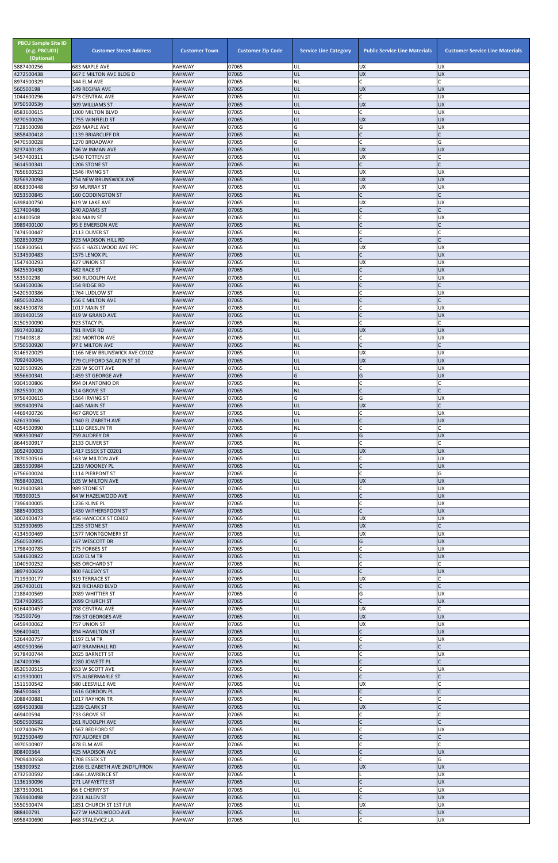| <b>PBCU Sample Site ID</b><br>(e.g. PBCU01)<br>(Optional)<br>5887400256 | <b>Customer Street Address</b><br>683 MAPLE AVE | <b>Customer Town</b><br><b>RAHWAY</b> | <b>Customer Zip Code</b><br>07065 | <b>Service Line Category</b><br>UL | <b>Public Service Line Materials</b><br><b>UX</b> | <b>Customer Service Line Materials</b><br><b>UX</b> |
|-------------------------------------------------------------------------|-------------------------------------------------|---------------------------------------|-----------------------------------|------------------------------------|---------------------------------------------------|-----------------------------------------------------|
| 4272500438                                                              | <b>667 E MILTON AVE BLDG D</b>                  | <b>RAHWAY</b>                         | 07065                             | UL                                 | <b>UX</b>                                         | <b>UX</b>                                           |
| 8974500329<br>560500198                                                 | 344 ELM AVE<br>149 REGINA AVE                   | <b>RAHWAY</b><br><b>RAHWAY</b>        | 07065<br>07065                    | <b>NL</b><br>UL                    | $\mathsf{C}$<br><b>UX</b>                         | C<br><b>UX</b>                                      |
| 1044600296                                                              | <b>473 CENTRAL AVE</b>                          | <b>RAHWAY</b>                         | 07065                             | UL                                 | $\mathsf{C}$                                      | <b>UX</b>                                           |
| 9750500539<br>8583600615                                                | <b>309 WILLIAMS ST</b><br>1000 MILTON BLVD      | <b>RAHWAY</b><br><b>RAHWAY</b>        | 07065<br>07065                    | UL<br>UL                           | <b>UX</b><br>$\mathsf{C}$                         | <b>UX</b><br><b>UX</b>                              |
| 9270500026                                                              | 1755 WINFIELD ST                                | <b>RAHWAY</b>                         | 07065                             | UL                                 | <b>UX</b>                                         | <b>UX</b>                                           |
| 7128500098                                                              | 269 MAPLE AVE                                   | <b>RAHWAY</b>                         | 07065                             | G                                  | G                                                 | <b>UX</b>                                           |
| 3858400418<br>9470500028                                                | 1139 BRIARCLIFF DR<br>1270 BROADWAY             | <b>RAHWAY</b><br><b>RAHWAY</b>        | 07065<br>07065                    | <b>NL</b><br>G                     | $\mathsf{C}$<br>C                                 | G                                                   |
| 8237400185                                                              | 746 W INMAN AVE                                 | <b>RAHWAY</b>                         | 07065                             | UL                                 | <b>UX</b>                                         | <b>UX</b>                                           |
| 3457400311<br>3614500341                                                | 1540 TOTTEN ST<br>1206 STONE ST                 | <b>RAHWAY</b><br><b>RAHWAY</b>        | 07065<br>07065                    | UL<br><b>NL</b>                    | <b>UX</b><br>$\mathsf{C}$                         |                                                     |
| 7656600523                                                              | 1546 IRVING ST                                  | <b>RAHWAY</b>                         | 07065                             | UL                                 | <b>UX</b>                                         | <b>UX</b>                                           |
| 8256920098                                                              | 754 NEW BRUNSWICK AVE                           | <b>RAHWAY</b>                         | 07065                             | UL                                 | <b>UX</b>                                         | <b>UX</b>                                           |
| 8068300448<br>9253500845                                                | 59 MURRAY ST<br><b>160 CODDINGTON ST</b>        | <b>RAHWAY</b><br><b>RAHWAY</b>        | 07065<br>07065                    | UL<br><b>NL</b>                    | <b>UX</b><br>$\mathsf{C}$                         | <b>UX</b>                                           |
| 6398400750                                                              | 619 W LAKE AVE                                  | <b>RAHWAY</b>                         | 07065                             | UL                                 | UX                                                | <b>UX</b>                                           |
| 517400486<br>418400508                                                  | 240 ADAMS ST<br>824 MAIN ST                     | <b>RAHWAY</b><br><b>RAHWAY</b>        | 07065<br>07065                    | <b>NL</b><br>UL                    | $\mathsf{C}$<br>$\mathsf{C}$                      | <b>UX</b>                                           |
| 3989400100                                                              | 95 E EMERSON AVE                                | <b>RAHWAY</b>                         | 07065                             | <b>NL</b>                          | $\mathsf{C}$                                      |                                                     |
| 7474500447<br>3028500929                                                | 2113 OLIVER ST<br>923 MADISON HILL RD           | <b>RAHWAY</b><br><b>RAHWAY</b>        | 07065<br>07065                    | <b>NL</b><br><b>NL</b>             | $\mathsf{C}$<br>$\mathsf{C}$                      |                                                     |
| 1508300561                                                              | 555 E HAZELWOOD AVE FPC                         | <b>RAHWAY</b>                         | 07065                             | UL                                 | UX                                                | <b>UX</b>                                           |
| 5134500483                                                              | 1575 LENOX PL                                   | <b>RAHWAY</b>                         | 07065                             | UL                                 | $\mathsf{C}$                                      | <b>UX</b>                                           |
| 1547400293<br>8425500430                                                | 427 UNION ST<br>482 RACE ST                     | <b>RAHWAY</b><br><b>RAHWAY</b>        | 07065<br>07065                    | UL<br>UL                           | <b>UX</b><br>$\mathsf{C}$                         | <b>UX</b><br><b>UX</b>                              |
| 553500298                                                               | 360 RUDOLPH AVE                                 | <b>RAHWAY</b>                         | 07065                             | UL                                 |                                                   | <b>UX</b>                                           |
| 5634500036<br>5420500386                                                | 154 RIDGE RD<br>1764 LUDLOW ST                  | <b>RAHWAY</b><br>RAHWAY               | 07065<br>07065                    | <b>NL</b><br>UL                    | $\mathsf{C}$<br>$\mathsf{C}$                      | <b>UX</b>                                           |
| 4850500204                                                              | <b>556 E MILTON AVE</b>                         | <b>RAHWAY</b>                         | 07065                             | <b>NL</b>                          | $\mathsf{C}$                                      |                                                     |
| 8624500878<br>3919400159                                                | 1017 MAIN ST                                    | <b>RAHWAY</b>                         | 07065<br>07065                    | UL                                 | $\mathsf{C}$                                      | <b>UX</b><br><b>UX</b>                              |
| 8150500090                                                              | 419 W GRAND AVE<br>923 STACY PL                 | <b>RAHWAY</b><br><b>RAHWAY</b>        | 07065                             | UL<br><b>NL</b>                    | $\mathsf{C}$                                      |                                                     |
| 3917400382                                                              | 781 RIVER RD                                    | <b>RAHWAY</b>                         | 07065                             | UL                                 | <b>UX</b>                                         | <b>UX</b>                                           |
| 719400818<br>5750500920                                                 | 282 MORTON AVE<br>97 E MILTON AVE               | <b>RAHWAY</b><br><b>RAHWAY</b>        | 07065<br>07065                    | UL<br><b>NL</b>                    | C                                                 | <b>UX</b>                                           |
| 8146920029                                                              | 1166 NEW BRUNSWICK AVE C0102                    | <b>RAHWAY</b>                         | 07065                             | UL                                 | <b>UX</b>                                         | UX                                                  |
| 7092400045                                                              | 779 CLIFFORD SALADIN ST 10                      | <b>RAHWAY</b>                         | 07065                             | UL                                 | <b>UX</b>                                         | <b>UX</b>                                           |
| 9220500926<br>3556600341                                                | 228 W SCOTT AVE<br>1459 ST GEORGE AVE           | <b>RAHWAY</b><br><b>RAHWAY</b>        | 07065<br>07065                    | UL<br>G                            | $\mathsf{C}$<br>G                                 | <b>UX</b><br><b>UX</b>                              |
| 9304500806                                                              | 994 DI ANTONIO DR                               | <b>RAHWAY</b>                         | 07065                             | <b>NL</b>                          | $\mathsf{C}$                                      |                                                     |
| 2825500120<br>9756400615                                                | 514 GROVE ST<br>1564 IRVING ST                  | <b>RAHWAY</b><br><b>RAHWAY</b>        | 07065<br>07065                    | <b>NL</b><br>G                     | $\mathsf{C}$<br>G                                 | $\mathsf{C}$<br><b>UX</b>                           |
| 3909400974                                                              | 1445 MAIN ST                                    | <b>RAHWAY</b>                         | 07065                             | UL                                 | <b>UX</b>                                         | $\mathsf{C}$                                        |
| 4469400726                                                              | 467 GROVE ST                                    | <b>RAHWAY</b>                         | 07065                             | UL                                 |                                                   | <b>UX</b>                                           |
| 626130066<br>4054500990                                                 | 1940 ELIZABETH AVE<br>1110 GRESLIN TR           | <b>RAHWAY</b><br><b>RAHWAY</b>        | 07065<br>07065                    | UL<br>NL                           | $\mathsf{C}$                                      | <b>UX</b>                                           |
| 9083500947                                                              | 759 AUDREY DR                                   | <b>RAHWAY</b>                         | 07065                             | G                                  | G                                                 | <b>UX</b>                                           |
| 8644500917<br>3052400003                                                | 2133 OLIVER ST<br>1417 ESSEX ST C0201           | <b>RAHWAY</b><br><b>RAHWAY</b>        | 07065<br>07065                    | NL<br>UL                           | C<br><b>UX</b>                                    | <b>UX</b>                                           |
| 7870500516                                                              | 163 W MILTON AVE                                | <b>RAHWAY</b>                         | 07065                             | UL                                 | C                                                 | <b>UX</b>                                           |
| 2855500984<br>6756600024                                                | 1219 MOONEY PL<br>1114 PIERPONT ST              | <b>RAHWAY</b><br><b>RAHWAY</b>        | 07065<br>07065                    | UL<br>Ġ                            | $\mathsf{C}$<br>$\mathsf{C}$                      | <b>UX</b><br>G                                      |
| 7658400261                                                              | 105 W MILTON AVE                                | <b>RAHWAY</b>                         | 07065                             | UL                                 | <b>UX</b>                                         | <b>UX</b>                                           |
| 9129400583                                                              | 989 STONE ST                                    | <b>RAHWAY</b>                         | 07065                             | UL                                 | C<br>$\mathsf{C}$                                 | <b>UX</b>                                           |
| 709300015<br>7396400005                                                 | 64 W HAZELWOOD AVE<br>1236 KLINE PL             | <b>RAHWAY</b><br><b>RAHWAY</b>        | 07065<br>07065                    | UL<br>UL                           | C                                                 | <b>UX</b><br><b>UX</b>                              |
| 3885400033                                                              | 1430 WITHERSPOON ST                             | <b>RAHWAY</b>                         | 07065                             | UL                                 | $\mathsf{C}$                                      | <b>UX</b>                                           |
| 3002400473<br>3129300695                                                | 456 HANCOCK ST C0402<br>1255 STONE ST           | <b>RAHWAY</b><br><b>RAHWAY</b>        | 07065<br>07065                    | UL<br>UL                           | <b>UX</b><br><b>UX</b>                            | <b>UX</b><br>$\mathsf{C}$                           |
| 4134500469                                                              | 1577 MONTGOMERY ST                              | <b>RAHWAY</b>                         | 07065                             | UL                                 | <b>UX</b>                                         | <b>UX</b>                                           |
| 2560500995<br>1798400785                                                | 167 WESCOTT DR<br>275 FORBES ST                 | <b>RAHWAY</b><br><b>RAHWAY</b>        | 07065<br>07065                    | G<br>UL                            | G<br>$\mathsf{C}$                                 | <b>UX</b><br><b>UX</b>                              |
| 5344600822                                                              | <b>1020 ELM TR</b>                              | <b>RAHWAY</b>                         | 07065                             | UL                                 | $\mathsf{C}$                                      | <b>UX</b>                                           |
| 1040500252<br>3897400659                                                | <b>585 ORCHARD ST</b>                           | <b>RAHWAY</b><br><b>RAHWAY</b>        | 07065<br>07065                    | <b>NL</b><br>UL                    | $\mathsf{C}$<br>$\mathsf{C}$                      | <b>UX</b>                                           |
| 7119300177                                                              | 800 FALESKY ST<br>319 TERRACE ST                | <b>RAHWAY</b>                         | 07065                             | UL                                 | <b>UX</b>                                         |                                                     |
| 2967400101                                                              | 921 RICHARD BLVD                                | <b>RAHWAY</b>                         | 07065                             | <b>NL</b>                          | $\mathsf{C}$                                      |                                                     |
| 2188400569<br>7247400955                                                | 2089 WHITTIER ST<br>2099 CHURCH ST              | <b>RAHWAY</b><br><b>RAHWAY</b>        | 07065<br>07065                    | G<br>UL                            | G<br>$\mathsf{C}$                                 | <b>UX</b><br><b>UX</b>                              |
| 6164400457                                                              | 208 CENTRAL AVE                                 | <b>RAHWAY</b>                         | 07065                             | UL                                 | <b>UX</b>                                         |                                                     |
| 752500769<br>6459400062                                                 | 786 ST GEORGES AVE<br>757 UNION ST              | <b>RAHWAY</b><br>RAHWAY               | 07065<br>07065                    | UL<br>UL                           | <b>UX</b><br><b>UX</b>                            | <b>UX</b><br><b>UX</b>                              |
| 596400401                                                               | 894 HAMILTON ST                                 | <b>RAHWAY</b>                         | 07065                             | UL                                 | $\mathsf{C}$                                      | <b>UX</b>                                           |
| 5264400757                                                              | 1197 ELM TR                                     | <b>RAHWAY</b>                         | 07065                             | UL                                 | $\mathsf{C}$<br>$\mathsf{C}$                      | <b>UX</b>                                           |
| 4900500366<br>9178400744                                                | 407 BRAMHALL RD<br>2025 BARNETT ST              | <b>RAHWAY</b><br><b>RAHWAY</b>        | 07065<br>07065                    | <b>NL</b><br>UL                    |                                                   | <b>UX</b>                                           |
| 247400096                                                               | 2280 JOWETT PL                                  | <b>RAHWAY</b>                         | 07065                             | <b>NL</b>                          |                                                   |                                                     |
| 8520500515<br>4119300001                                                | 653 W SCOTT AVE<br>375 ALBERMARLE ST            | <b>RAHWAY</b><br><b>RAHWAY</b>        | 07065<br>07065                    | UL<br><b>NL</b>                    | $\mathsf C$                                       | ļUΧ                                                 |
| 1511500542                                                              | 580 LEESVILLE AVE                               | <b>RAHWAY</b>                         | 07065                             | UL                                 | <b>UX</b>                                         |                                                     |
| 864500463                                                               | 1616 GORDON PL                                  | <b>RAHWAY</b>                         | 07065                             | <b>NL</b>                          | $\mathsf{C}$<br>$\mathsf{C}$                      |                                                     |
| 2088400881<br>6994500308                                                | 1017 RAYHON TR<br>1239 CLARK ST                 | RAHWAY<br><b>RAHWAY</b>               | 07065<br>07065                    | <b>NL</b><br>UL                    | <b>UX</b>                                         |                                                     |
| 469400594                                                               | 733 GROVE ST                                    | <b>RAHWAY</b>                         | 07065                             | <b>NL</b>                          | C                                                 |                                                     |
| 5050500582<br>1027400679                                                | 261 RUDOLPH AVE<br>1567 BEDFORD ST              | <b>RAHWAY</b><br>RAHWAY               | 07065<br>07065                    | <b>NL</b><br>UL                    |                                                   | <b>UX</b>                                           |
| 9122500449                                                              | 707 AUDREY DR                                   | <b>RAHWAY</b>                         | 07065                             | $\sf NL$                           | $\mathsf{C}$                                      | $\mathsf{C}$                                        |
| 3970500907                                                              | 478 ELM AVE                                     | <b>RAHWAY</b>                         | 07065                             | NL                                 | $\mathsf C$<br>$\mathsf{C}$                       |                                                     |
| 808400364<br>7909400558                                                 | 425 MADISON AVE<br>1708 ESSEX ST                | <b>RAHWAY</b><br><b>RAHWAY</b>        | 07065<br>07065                    | UL<br>G                            | C                                                 | <b>UX</b><br>G                                      |
| 158300952                                                               | 2166 ELIZABETH AVE 2NDFL/FRON                   | <b>RAHWAY</b>                         | 07065                             | UL                                 | <b>UX</b>                                         | <b>UX</b>                                           |
| 4732500592<br>1136130096                                                | 1466 LAWRENCE ST<br>271 LAFAYETTE ST            | <b>RAHWAY</b><br><b>RAHWAY</b>        | 07065<br>07065                    | UL                                 |                                                   | <b>UX</b><br><b>UX</b>                              |
| 2873500061                                                              | <b>66 E CHERRY ST</b>                           | RAHWAY                                | 07065                             | UL                                 |                                                   | <b>UX</b>                                           |
| 7659400498                                                              | 2231 ALLEN ST<br>1851 CHURCH ST 1ST FLR         | <b>RAHWAY</b>                         | 07065<br>07065                    | UL<br>UL                           | $\mathsf{C}$<br><b>UX</b>                         | <b>UX</b><br><b>UX</b>                              |
| 5550500474<br>888400791                                                 | 627 W HAZELWOOD AVE                             | <b>RAHWAY</b><br><b>RAHWAY</b>        | 07065                             | UL                                 | $\mathsf C$                                       | <b>UX</b>                                           |
| 6958400690                                                              | 468 STALEVICZ LA                                | RAHWAY                                | 07065                             | UL                                 | C                                                 | <b>UX</b>                                           |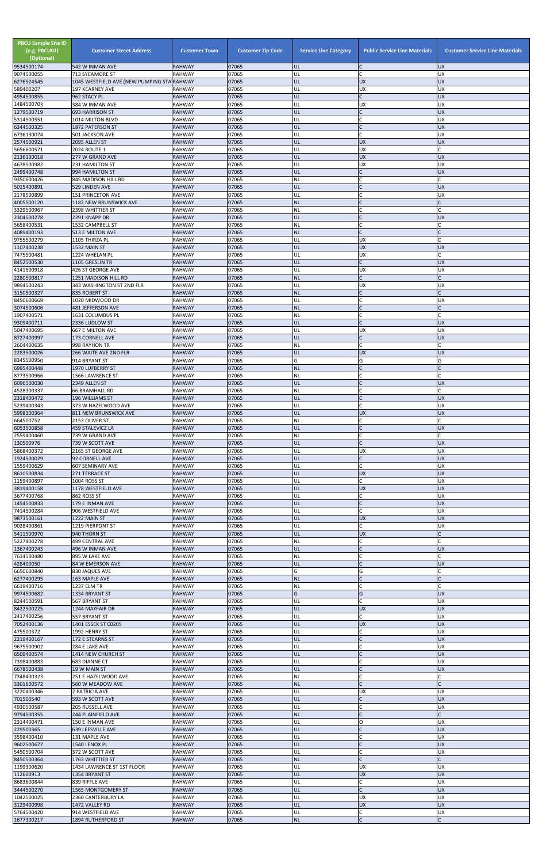| <b>PBCU Sample Site ID</b><br>(e.g. PBCU01)<br>(Optional)<br>9534500174 | <b>Customer Street Address</b><br>542 W INMAN AVE             | <b>Customer Town</b><br><b>RAHWAY</b> | <b>Customer Zip Code</b><br>07065 | <b>Service Line Category</b><br>UL | <b>Public Service Line Materials</b><br>IC. | <b>Customer Service Line Materials</b><br><b>UX</b> |
|-------------------------------------------------------------------------|---------------------------------------------------------------|---------------------------------------|-----------------------------------|------------------------------------|---------------------------------------------|-----------------------------------------------------|
| 9074500055                                                              | 713 SYCAMORE ST                                               | <b>RAHWAY</b>                         | 07065                             | UL                                 | lc.                                         | <b>UX</b>                                           |
| 6276524545                                                              | 1045 WESTFIELD AVE (NEW PUMPING STA RAHWAY<br>197 KEARNEY AVE | <b>RAHWAY</b>                         | 07065<br>07065                    | UL<br>UL                           | <b>UX</b><br><b>UX</b>                      | <b>UX</b><br>UX                                     |
| 589400207<br>4954500855                                                 | 962 STACY PL                                                  | <b>RAHWAY</b>                         | 07065                             | UL                                 | lC.                                         | <b>UX</b>                                           |
| 1484500703<br>1279500719                                                | 384 W INMAN AVE<br><b>693 HARRISON ST</b>                     | <b>RAHWAY</b><br><b>RAHWAY</b>        | 07065<br>07065                    | UL<br>UL                           | <b>UX</b><br>$\mathsf{C}$                   | UX<br><b>UX</b>                                     |
| 5314500551                                                              | 1014 MILTON BLVD                                              | <b>RAHWAY</b>                         | 07065                             | UL                                 | <b>C</b>                                    | <b>UX</b>                                           |
| 6344500325<br>6736130074                                                | 1872 PATERSON ST                                              | <b>RAHWAY</b>                         | 07065<br>07065                    | UL<br>UL                           | $\overline{C}$<br>lC.                       | <b>UX</b>                                           |
| 2574500921                                                              | 501 JACKSON AVE<br>2095 ALLEN ST                              | <b>RAHWAY</b><br><b>RAHWAY</b>        | 07065                             | UL                                 | <b>UX</b>                                   | UX<br><b>UX</b>                                     |
| 5656600571                                                              | 2024 ROUTE 1                                                  | <b>RAHWAY</b>                         | 07065                             | UL                                 | <b>UX</b>                                   | C                                                   |
| 2136130018<br>4678500982                                                | 277 W GRAND AVE<br>231 HAMILTON ST                            | <b>RAHWAY</b><br><b>RAHWAY</b>        | 07065<br>07065                    | UL<br>UL                           | <b>UX</b><br><b>UX</b>                      | <b>UX</b><br><b>UX</b>                              |
| 2499400748                                                              | 994 HAMILTON ST                                               | <b>RAHWAY</b>                         | 07065                             | UL                                 | lC.                                         | <b>UX</b>                                           |
| 9350600426<br>5015400891                                                | 845 MADISON HILL RD<br>529 LINDEN AVE                         | <b>RAHWAY</b><br><b>RAHWAY</b>        | 07065<br>07065                    | NL<br>UL                           | C<br>lc.                                    | <b>UX</b>                                           |
| 2178500899                                                              | <b>151 PRINCETON AVE</b>                                      | <b>RAHWAY</b>                         | 07065                             | UL                                 | lC.                                         | <b>UX</b>                                           |
| 4005500120<br>3329500967                                                | <b>1182 NEW BRUNSWICK AVE</b><br>2398 WHITTIER ST             | <b>RAHWAY</b><br><b>RAHWAY</b>        | 07065<br>07065                    | <b>NL</b><br><b>NL</b>             | C                                           |                                                     |
| 2304500278                                                              | 2291 KNAPP DR                                                 | <b>RAHWAY</b>                         | 07065                             | UL                                 | <b>C</b>                                    | <b>UX</b>                                           |
| 5658400531<br>4089400193                                                | 1532 CAMPBELL ST<br>513 E MILTON AVE                          | <b>RAHWAY</b><br><b>RAHWAY</b>        | 07065<br>07065                    | NL<br><b>NL</b>                    | lC.<br>$\overline{C}$                       |                                                     |
| 9755500279                                                              | 1105 THIRZA PL                                                | <b>RAHWAY</b>                         | 07065                             | UL                                 | <b>UX</b>                                   |                                                     |
| 1107400238<br>7475500481                                                | 1532 MAIN ST<br>1224 WHELAN PL                                | <b>RAHWAY</b><br><b>RAHWAY</b>        | 07065<br>07065                    | UL<br>UL                           | <b>UX</b><br><b>UX</b>                      | <b>UX</b>                                           |
| 8452500530                                                              | 1105 GRESLIN TR                                               | <b>RAHWAY</b>                         | 07065                             | UL                                 | lc.                                         | <b>UX</b>                                           |
| 4141500918<br>2280500817                                                | 426 ST GEORGE AVE<br>1251 MADISON HILL RD                     | <b>RAHWAY</b><br><b>RAHWAY</b>        | 07065<br>07065                    | UL<br><b>NL</b>                    | <b>UX</b><br>lc.                            | UX                                                  |
| 9894500243                                                              | 343 WASHINGTON ST 2ND FLR                                     | <b>RAHWAY</b>                         | 07065                             | UL                                 | <b>UX</b>                                   | UX                                                  |
| 3150500327<br>8450600669                                                | 835 ROBERT ST<br>1020 MIDWOOD DR                              | <b>RAHWAY</b><br><b>RAHWAY</b>        | 07065<br>07065                    | <b>NL</b><br>UL                    | lC.<br>$\mathsf C$                          | <b>UX</b>                                           |
| 3074500606                                                              | <b>481 JEFFERSON AVE</b>                                      | <b>RAHWAY</b>                         | 07065                             | <b>NL</b>                          | lC.                                         |                                                     |
| 1907400571<br>9309400711                                                | 1631 COLUMBUS PL<br>2336 LUDLOW ST                            | <b>RAHWAY</b><br><b>RAHWAY</b>        | 07065<br>07065                    | NL<br>UL                           | lC.<br>lC.                                  | <b>UX</b>                                           |
| 5047400695                                                              | <b>667 E MILTON AVE</b>                                       | <b>RAHWAY</b>                         | 07065                             | UL                                 | <b>UX</b>                                   | UX                                                  |
| 8727400997<br>2604400635                                                | 173 CORNELL AVE<br>998 RAYHON TR                              | <b>RAHWAY</b><br><b>RAHWAY</b>        | 07065<br>07065                    | UL<br>NL                           | $\mathsf{C}$<br>$\mathsf{C}$                | <b>UX</b>                                           |
| 2283500026                                                              | <b>266 WAITE AVE 2ND FLR</b>                                  | <b>RAHWAY</b>                         | 07065                             | IUL                                | <b>UX</b>                                   | <b>UX</b>                                           |
| 8345500950<br>6995400448                                                | 914 BRYANT ST                                                 | <b>RAHWAY</b>                         | 07065<br>07065                    | G                                  | G                                           | G                                                   |
| 8773500966                                                              | 1970 LUFBERRY ST<br>1566 LAWRENCE ST                          | <b>RAHWAY</b><br><b>RAHWAY</b>        | 07065                             | <b>NL</b><br><b>NL</b>             | C                                           |                                                     |
| 6096500030                                                              | 2349 ALLEN ST                                                 | <b>RAHWAY</b>                         | 07065                             | UL                                 | $\overline{C}$                              | <b>UX</b>                                           |
| 4528300337<br>2318400472                                                | 66 BRAMHALL RD<br><b>196 WILLIAMS ST</b>                      | <b>RAHWAY</b><br><b>RAHWAY</b>        | 07065<br>07065                    | <b>NL</b><br>UL                    | lC.<br>$\mathsf{C}$                         | <b>UX</b>                                           |
| 5239400343                                                              | 373 W HAZELWOOD AVE                                           | <b>RAHWAY</b>                         | 07065                             | UL                                 | <b>C</b>                                    | UX                                                  |
| 5998300364<br>664500752                                                 | <b>811 NEW BRUNSWICK AVE</b><br>2153 OLIVER ST                | <b>RAHWAY</b><br><b>RAHWAY</b>        | 07065<br>07065                    | UL<br>NL                           | <b>UX</b><br>C                              | <b>UX</b>                                           |
| 6053500858                                                              | <b>459 STALEVICZ LA</b>                                       | <b>RAHWAY</b>                         | 07065                             | UL                                 | $\mathsf{C}$                                | <b>UX</b>                                           |
| 2559400460<br>130500976                                                 | 739 W GRAND AVE<br>739 W SCOTT AVE                            | <b>RAHWAY</b><br><b>RAHWAY</b>        | 07065<br>07065                    | NL<br>UL                           | C<br>lC.                                    | <b>UX</b>                                           |
| 5868400372                                                              | 2165 ST GEORGE AVE                                            | <b>RAHWAY</b>                         | 07065                             | UL                                 | <b>UX</b>                                   | UX                                                  |
| 1924500029<br>1559400629                                                | 92 CORNELL AVE<br>607 SEMINARY AVE                            | <b>RAHWAY</b><br><b>RAHWAY</b>        | 07065<br>07065                    | UL<br>UL                           | $\mathsf{C}$<br><b>C</b>                    | <b>UX</b><br>UX                                     |
| 8610500834                                                              | 271 TERRACE ST                                                | <b>RAHWAY</b>                         | 07065                             | UL                                 | <b>UX</b>                                   | <b>UX</b>                                           |
| 1159400897<br>3819400158                                                | 1004 ROSS ST<br>1178 WESTFIELD AVE                            | <b>RAHWAY</b><br><b>RAHWAY</b>        | 07065<br>07065                    | UL<br>UL                           | lC.<br><b>UX</b>                            | <b>UX</b><br><b>UX</b>                              |
| 3677400768                                                              | 862 ROSS ST                                                   | <b>RAHWAY</b>                         | 07065                             | UL                                 | C                                           | <b>UX</b>                                           |
| 1454500833<br>7414500284                                                | 179 E INMAN AVE<br>906 WESTFIELD AVE                          | <b>RAHWAY</b><br><b>RAHWAY</b>        | 07065<br>07065                    | UL<br>UL                           | $\mathsf C$<br>lC.                          | <b>UX</b><br><b>UX</b>                              |
| 9873500161                                                              | 1222 MAIN ST                                                  | <b>RAHWAY</b>                         | 07065                             | UL                                 | <b>UX</b>                                   | <b>UX</b>                                           |
| 9028400861<br>5411500970                                                | 1219 PIERPONT ST<br>940 THORN ST                              | <b>RAHWAY</b><br><b>RAHWAY</b>        | 07065<br>07065                    | UL<br>UL                           | lC.<br><b>UX</b>                            | <b>UX</b>                                           |
| 5227400278                                                              | <b>499 CENTRAL AVE</b>                                        | <b>RAHWAY</b>                         | 07065                             | NL                                 | lC.                                         |                                                     |
| 1367400243<br>7614500480                                                | 496 W INMAN AVE<br>895 W LAKE AVE                             | <b>RAHWAY</b><br><b>RAHWAY</b>        | 07065<br>07065                    | UL<br>NL                           | IC<br>$\mathsf{C}$                          | <b>UX</b>                                           |
| 428400050                                                               | <b>84 W EMERSON AVE</b>                                       | <b>RAHWAY</b>                         | 07065                             | UL                                 | $\mathsf{C}$                                | <b>UX</b>                                           |
| 6650600840<br>6277400295                                                | 830 JAQUES AVE<br>163 MAPLE AVE                               | <b>RAHWAY</b><br><b>RAHWAY</b>        | 07065<br>07065                    | G<br><b>NL</b>                     | G<br>$\mathsf{C}$                           |                                                     |
| 6619400716                                                              | 1237 ELM TR                                                   | <b>RAHWAY</b>                         | 07065                             | NL                                 | $\mathsf{C}$                                |                                                     |
| 9974500682<br>8244500591                                                | 1334 BRYANT ST<br>567 BRYANT ST                               | <b>RAHWAY</b><br><b>RAHWAY</b>        | 07065<br>07065                    | G<br>UL                            | G<br>lc.                                    | <b>UX</b><br>UX                                     |
| 8422500225                                                              | 1244 MAYFAIR DR                                               | <b>RAHWAY</b>                         | 07065                             | UL                                 | <b>UX</b>                                   | <b>UX</b>                                           |
| 2417400256<br>7052400136                                                | 557 BRYANT ST<br>1401 ESSEX ST C0205                          | <b>RAHWAY</b><br><b>RAHWAY</b>        | 07065<br>07065                    | UL<br>UL                           | lC.<br><b>UX</b>                            | UX<br><b>UX</b>                                     |
| 475500372                                                               | 1992 HENRY ST                                                 | <b>RAHWAY</b>                         | 07065                             | UL                                 | C                                           | UX                                                  |
| 2219400167<br>9675500902                                                | 172 E STEARNS ST<br>284 E LAKE AVE                            | <b>RAHWAY</b><br><b>RAHWAY</b>        | 07065<br>07065                    | UL<br>UL                           | $\overline{C}$<br>$\mathsf{C}$              | <b>UX</b><br><b>UX</b>                              |
| 6509400574                                                              | 1414 NEW CHURCH ST                                            | <b>RAHWAY</b>                         | 07065                             | UL                                 |                                             | <b>UX</b>                                           |
| 7398400883<br>6678500438                                                | 683 DIANNE CT<br>19 W MAIN ST                                 | <b>RAHWAY</b><br><b>RAHWAY</b>        | 07065<br>07065                    | UL<br>IUL.                         |                                             | UX                                                  |
| 7348400323                                                              | 251 E HAZELWOOD AVE                                           | <b>RAHWAY</b>                         | 07065                             | NL                                 | $\mathsf C$                                 | <b>UX</b>                                           |
| 3301600572<br>3220400346                                                | 560 W MEADOW AVE<br>2 PATRICIA AVE                            | <b>RAHWAY</b><br><b>RAHWAY</b>        | 07065<br>07065                    | <b>NL</b><br>UL                    | $\overline{C}$<br><b>UX</b>                 | <b>UX</b>                                           |
| 701500540                                                               | 593 W SCOTT AVE                                               | <b>RAHWAY</b>                         | 07065                             | UL                                 | lC.                                         | <b>UX</b>                                           |
| 4930500587<br>9794500355                                                | 205 RUSSELL AVE<br>244 PLAINFIELD AVE                         | <b>RAHWAY</b><br><b>RAHWAY</b>        | 07065<br>07065                    | UL<br><b>NL</b>                    | C<br>$\mathsf{C}$                           | <b>UX</b>                                           |
| 2314400471                                                              | 150 E INMAN AVE                                               | <b>RAHWAY</b>                         | 07065                             | UL                                 | lo                                          | <b>UX</b>                                           |
| 229500365                                                               | <b>639 LEESVILLE AVE</b>                                      | <b>RAHWAY</b>                         | 07065                             | UL                                 | IC                                          | <b>UX</b>                                           |
| 3598400410<br>9602500677                                                | 131 MAPLE AVE<br>1540 LENOX PL                                | <b>RAHWAY</b><br><b>RAHWAY</b>        | 07065<br>07065                    | UL<br>UL                           | lC.<br>$\mathsf C$                          | <b>UX</b><br>X                                      |
| 5450500704                                                              | 372 W SCOTT AVE                                               | <b>RAHWAY</b>                         | 07065                             | UL                                 | <b>C</b>                                    | <b>UX</b>                                           |
| 8450500364<br>1199300620                                                | 1763 WHITTIER ST<br>1434 LAWRENCE ST 1ST FLOOR                | <b>RAHWAY</b><br><b>RAHWAY</b>        | 07065<br>07065                    | <b>NL</b><br>UL                    | $\mathsf{C}$<br><b>UX</b>                   | C<br>UX                                             |
| 112600913                                                               | 1354 BRYANT ST                                                | <b>RAHWAY</b>                         | 07065                             | UL                                 | <b>UX</b>                                   | <b>UX</b>                                           |
| 8683600844<br>3444500270                                                | 839 RIFFLE AVE<br><b>1565 MONTGOMERY ST</b>                   | <b>RAHWAY</b><br><b>RAHWAY</b>        | 07065<br>07065                    | UL<br>UL                           | lC.<br>lc.                                  | <b>UX</b><br><b>UX</b>                              |
| 1042500025                                                              | 2360 CANTERBURY LA                                            | <b>RAHWAY</b>                         | 07065                             | UL                                 | <b>UX</b>                                   | <b>UX</b>                                           |
| 3129400998<br>5764500420                                                | 1472 VALLEY RD<br>914 WESTFIELD AVE                           | <b>RAHWAY</b><br><b>RAHWAY</b>        | 07065<br>07065                    | UL<br>UL                           | <b>UX</b><br>C                              | <b>UX</b><br><b>UX</b>                              |
| 1677300217                                                              | 1894 RUTHERFORD ST                                            | <b>RAHWAY</b>                         | 07065                             | NL                                 | $\mathsf C$                                 | $\mathsf{C}$                                        |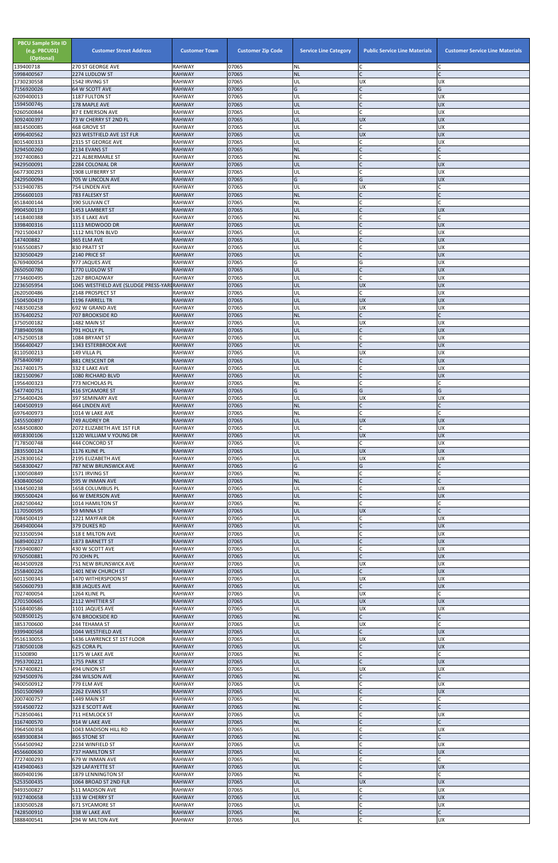| <b>PBCU Sample Site ID</b><br>(e.g. PBCU01)<br>(Optional) | <b>Customer Street Address</b>                                | <b>Customer Town</b><br><b>RAHWAY</b> | <b>Customer Zip Code</b><br>07065 | <b>Service Line Category</b> | <b>Public Service Line Materials</b><br>C | <b>Customer Service Line Materials</b> |
|-----------------------------------------------------------|---------------------------------------------------------------|---------------------------------------|-----------------------------------|------------------------------|-------------------------------------------|----------------------------------------|
| 139400718<br>5998400567                                   | 270 ST GEORGE AVE<br>2274 LUDLOW ST                           | <b>RAHWAY</b>                         | 07065                             | <b>NL</b><br><b>NL</b>       | $\mathsf{C}$                              |                                        |
| 1730230558                                                | 1542 IRVING ST                                                | <b>RAHWAY</b>                         | 07065                             | UL                           | <b>UX</b>                                 | <b>UX</b>                              |
| 7156920026<br>6209400013                                  | 64 W SCOTT AVE<br>1187 FULTON ST                              | <b>RAHWAY</b><br><b>RAHWAY</b>        | 07065<br>07065                    | G<br>UL                      | $\mathsf{C}$<br>$\mathsf{C}$              | G<br><b>UX</b>                         |
| 1594500745                                                | 178 MAPLE AVE                                                 | <b>RAHWAY</b>                         | 07065                             | UL                           | $\mathcal{C}$                             | <b>UX</b>                              |
| 9260500844                                                | 87 E EMERSON AVE                                              | <b>RAHWAY</b>                         | 07065                             | UL                           | $\mathsf{C}$                              | <b>UX</b>                              |
| 3092400397<br>8814500085                                  | 73 W CHERRY ST 2ND FL<br>468 GROVE ST                         | <b>RAHWAY</b><br><b>RAHWAY</b>        | 07065<br>07065                    | UL<br>UL                     | <b>UX</b><br>$\mathsf{C}$                 | <b>UX</b><br>UX                        |
| 4996400562                                                | 923 WESTFIELD AVE 1ST FLR                                     | <b>RAHWAY</b>                         | 07065                             | UL                           | <b>UX</b>                                 | <b>UX</b>                              |
| 8015400333<br>3294500260                                  | 2315 ST GEORGE AVE<br>2134 EVANS ST                           | <b>RAHWAY</b><br><b>RAHWAY</b>        | 07065<br>07065                    | UL<br><b>NL</b>              | $\sqrt{ }$                                | <b>UX</b><br>C                         |
| 3927400863                                                | 221 ALBERMARLE ST                                             | <b>RAHWAY</b>                         | 07065                             | <b>NL</b>                    | $\mathsf{C}$                              | $\mathsf{C}$                           |
| 9429500091                                                | 2284 COLONIAL DR                                              | <b>RAHWAY</b>                         | 07065                             | UL                           | $\mathsf{C}$                              | <b>UX</b>                              |
| 6677300293<br>2429500094                                  | 1908 LUFBERRY ST<br>705 W LINCOLN AVE                         | <b>RAHWAY</b><br><b>RAHWAY</b>        | 07065<br>07065                    | UL<br>G                      | $\mathsf{C}$<br>G                         | <b>UX</b><br><b>UX</b>                 |
| 5319400785                                                | 754 LINDEN AVE                                                | RAHWAY                                | 07065                             | UL                           | <b>UX</b>                                 | C                                      |
| 2956600103<br>8518400144                                  | 783 FALESKY ST<br>390 SULIVAN CT                              | <b>RAHWAY</b><br><b>RAHWAY</b>        | 07065<br>07065                    | <b>NL</b><br><b>NL</b>       | $\mathsf{C}$<br>$\mathsf{C}$              | $\mathsf{C}$                           |
| 9904500119                                                | 1453 LAMBERT ST                                               | <b>RAHWAY</b>                         | 07065                             | UL                           |                                           | <b>UX</b>                              |
| 1418400388                                                | 335 E LAKE AVE                                                | <b>RAHWAY</b>                         | 07065                             | <b>NL</b>                    | $\mathcal{C}$                             | C                                      |
| 3398400316<br>7921500437                                  | 1113 MIDWOOD DR<br>1112 MILTON BLVD                           | <b>RAHWAY</b><br><b>RAHWAY</b>        | 07065<br>07065                    | UL<br>UL                     | $\mathsf{C}$<br>$\mathsf{C}$              | <b>UX</b><br>UX                        |
| 147400882                                                 | 365 ELM AVE                                                   | <b>RAHWAY</b>                         | 07065                             | UL                           |                                           | <b>UX</b>                              |
| 9365500857                                                | 830 PRATT ST                                                  | <b>RAHWAY</b><br><b>RAHWAY</b>        | 07065<br>07065                    | UL<br>UL                     | <b>IC</b>                                 | UX<br><b>UX</b>                        |
| 3230500429<br>6769400054                                  | 2140 PRICE ST<br>977 JAQUES AVE                               | <b>RAHWAY</b>                         | 07065                             | G                            | G                                         | <b>UX</b>                              |
| 2650500780                                                | 1770 LUDLOW ST                                                | <b>RAHWAY</b>                         | 07065                             | UL                           | $\mathcal{C}$                             | <b>UX</b>                              |
| 7734600495<br>2236505954                                  | 1267 BROADWAY<br>1045 WESTFIELD AVE (SLUDGE PRESS-YARI RAHWAY | <b>RAHWAY</b>                         | 07065<br>07065                    | UL<br>UL                     | $\mathcal{C}$<br><b>UX</b>                | <b>UX</b><br>UX                        |
| 2620500486                                                | 2148 PROSPECT ST                                              | RAHWAY                                | 07065                             | UL                           | $\mathsf{C}$                              | <b>UX</b>                              |
| 1504500419                                                | 1196 FARRELL TR                                               | <b>RAHWAY</b>                         | 07065                             | UL                           | <b>UX</b>                                 | <b>UX</b>                              |
| 7483500258<br>3576400252                                  | 692 W GRAND AVE<br><b>707 BROOKSIDE RD</b>                    | <b>RAHWAY</b><br><b>RAHWAY</b>        | 07065<br>07065                    | UL<br><b>NL</b>              | <b>UX</b><br>$\mathsf{C}$                 | <b>UX</b><br>$\mathsf{C}$              |
| 3750500182                                                | 1482 MAIN ST                                                  | <b>RAHWAY</b>                         | 07065                             | UL                           | <b>UX</b>                                 | <b>UX</b>                              |
| 7389400598<br>4752500518                                  | 791 HOLLY PL<br>1084 BRYANT ST                                | <b>RAHWAY</b><br><b>RAHWAY</b>        | 07065<br>07065                    | UL<br>UL                     | $\mathsf{C}$<br>$\mathsf{C}$              | <b>UX</b><br><b>UX</b>                 |
| 3566400427                                                | 1343 ESTERBROOK AVE                                           | <b>RAHWAY</b>                         | 07065                             | UL                           |                                           | <b>UX</b>                              |
| 8110500213                                                | 149 VILLA PL                                                  | <b>RAHWAY</b>                         | 07065                             | UL                           | <b>UX</b>                                 | <b>UX</b>                              |
| 9758400987<br>2617400175                                  | 881 CRESCENT DR<br>332 E LAKE AVE                             | <b>RAHWAY</b><br><b>RAHWAY</b>        | 07065<br>07065                    | UL<br>UL                     | $\mathsf{C}$<br>$\mathsf{C}$              | <b>UX</b><br>UX                        |
| 1821500967                                                | 1080 RICHARD BLVD                                             | <b>RAHWAY</b>                         | 07065                             | UL                           | $\mathsf{C}$                              | <b>UX</b>                              |
| 1956400323                                                | 773 NICHOLAS PL<br>416 SYCAMORE ST                            | <b>RAHWAY</b><br><b>RAHWAY</b>        | 07065                             | <b>NL</b><br>G               | $\mathsf{C}$<br>G                         | $\mathsf{C}$<br>G                      |
| 5477400751<br>2756400426                                  | 397 SEMINARY AVE                                              | RAHWAY                                | 07065<br>07065                    | UL                           | <b>UX</b>                                 | <b>UX</b>                              |
| 1404500919                                                | 464 LINDEN AVE                                                | <b>RAHWAY</b>                         | 07065                             | <b>NL</b>                    | $\mathsf{C}$                              |                                        |
| 6976400973<br>2455500897                                  | 1014 W LAKE AVE<br>749 AUDREY DR                              | <b>RAHWAY</b><br><b>RAHWAY</b>        | 07065<br>07065                    | <b>NL</b><br>UL              | $\mathsf{C}$<br><b>UX</b>                 | <b>UX</b>                              |
| 6584500800                                                | 2072 ELIZABETH AVE 1ST FLR                                    | <b>RAHWAY</b>                         | 07065                             | UL                           | C                                         | UX                                     |
| 6918300106                                                | 1120 WILLIAM V YOUNG DR                                       | <b>RAHWAY</b>                         | 07065                             | UL                           | <b>UX</b>                                 | <b>UX</b>                              |
| 7178500748<br>2835500124                                  | 444 CONCORD ST<br>1176 KLINE PL                               | <b>RAHWAY</b><br><b>RAHWAY</b>        | 07065<br>07065                    | UL<br>UL                     | C<br><b>UX</b>                            | <b>UX</b><br><b>UX</b>                 |
| 2528300162                                                | 2195 ELIZABETH AVE                                            | <b>RAHWAY</b>                         | 07065                             | UL                           | <b>UX</b>                                 | <b>UX</b>                              |
| 5658300427<br>1300500849                                  | 787 NEW BRUNSWICK AVE<br>1571 IRVING ST                       | <b>RAHWAY</b><br><b>RAHWAY</b>        | 07065<br>07065                    | G<br>NL                      | G<br>$\mathsf C$                          |                                        |
| 4308400560                                                | 595 W INMAN AVE                                               | <b>RAHWAY</b>                         | 07065                             | <b>NL</b>                    | $\mathsf{C}$                              |                                        |
| 3344500238                                                | 1658 COLUMBUS PL                                              | <b>RAHWAY</b>                         | 07065                             | UL                           |                                           | UX                                     |
| 3905500424<br>2682500442                                  | 66 W EMERSON AVE<br>1014 HAMILTON ST                          | <b>RAHWAY</b><br><b>RAHWAY</b>        | 07065<br>07065                    | UL<br>NL                     | $\mathsf{C}$<br>$\mathsf{C}$              | <b>UX</b>                              |
| 1170500595                                                | 59 MINNA ST                                                   | <b>RAHWAY</b>                         | 07065                             | UL                           | <b>UX</b>                                 | C                                      |
| 7084500419<br>2649400044                                  | 1221 MAYFAIR DR<br>379 DUKES RD                               | <b>RAHWAY</b><br><b>RAHWAY</b>        | 07065<br>07065                    | UL<br>UL                     | $\mathcal{C}$                             | <b>UX</b><br><b>UX</b>                 |
| 9233500594                                                | 518 E MILTON AVE                                              | RAHWAY                                | 07065                             | UL                           | $\mathsf{C}$                              | <b>UX</b>                              |
| 3689400237                                                | 1873 BARNETT ST                                               | <b>RAHWAY</b>                         | 07065                             | UL                           | $\mathsf C$                               | <b>UX</b>                              |
| 7359400807<br>9760500881                                  | 430 W SCOTT AVE<br>70 JOHN PL                                 | <b>RAHWAY</b><br><b>RAHWAY</b>        | 07065<br>07065                    | UL<br>UL                     | $\mathsf{C}$<br>$\mathsf{C}$              | <b>UX</b><br><b>UX</b>                 |
| 4634500928                                                | 751 NEW BRUNSWICK AVE                                         | <b>RAHWAY</b>                         | 07065                             | UL                           | <b>UX</b>                                 | <b>UX</b>                              |
| 2558400226<br>6011500343                                  | 1401 NEW CHURCH ST<br>1470 WITHERSPOON ST                     | <b>RAHWAY</b><br><b>RAHWAY</b>        | 07065<br>07065                    | UL<br>UL                     | $\mathsf{C}$<br><b>UX</b>                 | <b>UX</b><br><b>UX</b>                 |
| 5650600793                                                | 838 JAQUES AVE                                                | <b>RAHWAY</b>                         | 07065                             | UL                           | $\mathsf{C}$                              | <b>UX</b>                              |
| 7027400054                                                | 1264 KLINE PL                                                 | <b>RAHWAY</b>                         | 07065                             | UL                           | <b>UX</b>                                 |                                        |
| 2701500665<br>5168400586                                  | 2112 WHITTIER ST<br>1101 JAQUES AVE                           | <b>RAHWAY</b><br><b>RAHWAY</b>        | 07065<br>07065                    | UL<br>UL                     | <b>UX</b><br>UX                           | <b>UX</b><br><b>UX</b>                 |
| 5028500125                                                | <b>674 BROOKSIDE RD</b>                                       | <b>RAHWAY</b>                         | 07065                             | <b>NL</b>                    | $\mathsf{C}$                              |                                        |
| 3853700600<br>9399400568                                  | 244 TEHAMA ST<br>1044 WESTFIELD AVE                           | <b>RAHWAY</b><br><b>RAHWAY</b>        | 07065<br>07065                    | UL<br>UL                     | <b>UX</b><br>$\mathsf{C}$                 | <b>UX</b>                              |
| 9516130055                                                | 1436 LAWRENCE ST 1ST FLOOR                                    | <b>RAHWAY</b>                         | 07065                             | UL                           | <b>UX</b>                                 | UX                                     |
| 7180500108                                                | 625 CORA PL                                                   | <b>RAHWAY</b>                         | 07065                             | UL                           |                                           | <b>UX</b>                              |
| 31500890<br>7953700221                                    | 1175 W LAKE AVE<br>1755 PARK ST                               | <b>RAHWAY</b><br><b>RAHWAY</b>        | 07065<br>07065                    | <b>NL</b><br>UL              | $\mathsf{C}$                              | <b>UX</b>                              |
| 5747400821                                                | 494 UNION ST                                                  | RAHWAY                                | 07065                             | UL                           | <b>UX</b>                                 | UX                                     |
| 9294500976<br>9400500912                                  | 284 WILSON AVE<br>779 ELM AVE                                 | <b>RAHWAY</b><br>RAHWAY               | 07065<br>07065                    | <b>NL</b><br>UL              | $\mathsf{C}$<br>$\mathsf{C}$              | C<br><b>UX</b>                         |
| 3501500969                                                | 2262 EVANS ST                                                 | <b>RAHWAY</b>                         | 07065                             | UL                           | $\mathsf{C}$                              | <b>UX</b>                              |
| 2007400757                                                | 1449 MAIN ST                                                  | RAHWAY                                | 07065                             | <b>NL</b>                    | $\mathsf{C}$                              | C                                      |
| 5914500722<br>7528500461                                  | 323 E SCOTT AVE<br>711 HEMLOCK ST                             | <b>RAHWAY</b><br><b>RAHWAY</b>        | 07065<br>07065                    | <b>NL</b><br>UL              | $\mathsf{C}$                              | <b>UX</b>                              |
| 3167400570                                                | 914 W LAKE AVE                                                | <b>RAHWAY</b>                         | 07065                             | <b>NL</b>                    |                                           |                                        |
| 3964500358                                                | 1043 MADISON HILL RD                                          | RAHWAY                                | 07065                             | UL                           | $\overline{C}$<br>$\mathsf{C}$            | <b>UX</b><br>C                         |
| 6589300834<br>5564500942                                  | 865 STONE ST<br>2234 WINFIELD ST                              | <b>RAHWAY</b><br>RAHWAY               | 07065<br>07065                    | <b>NL</b><br>UL              | $\mathsf{C}$                              | <b>UX</b>                              |
| 4556600630                                                | 737 HAMILTON ST                                               | <b>RAHWAY</b>                         | 07065                             | UL                           |                                           | <b>UX</b>                              |
| 7727400293<br>4149400463                                  | 679 W INMAN AVE<br>329 LAFAYETTE ST                           | RAHWAY<br><b>RAHWAY</b>               | 07065<br>07065                    | <b>NL</b><br>UL              | $\mathsf{C}$                              | C<br><b>UX</b>                         |
| 8609400196                                                | 1879 LENNINGTON ST                                            | RAHWAY                                | 07065                             | NL                           | $\mathsf{C}$                              |                                        |
| 5253500435                                                | 1064 BROAD ST 2ND FLR<br>511 MADISON AVE                      | <b>RAHWAY</b><br><b>RAHWAY</b>        | 07065                             | UL                           | <b>UX</b><br>$\mathsf{C}$                 | <b>UX</b>                              |
| 9493500827<br>9327400658                                  | 133 W CHERRY ST                                               | RAHWAY                                | 07065<br>07065                    | UL<br>UL                     | $\mathsf{C}$                              | <b>UX</b><br><b>UX</b>                 |
| 1830500528                                                | 671 SYCAMORE ST                                               | RAHWAY                                | 07065                             | UL                           | $\mathsf{C}$                              | <b>UX</b>                              |
| 7428500910<br>3888400541                                  | 338 W LAKE AVE<br>294 W MILTON AVE                            | <b>RAHWAY</b><br>RAHWAY               | 07065<br>07065                    | <b>NL</b><br>UL              | $\mathsf{C}$<br>$\mathsf C$               | $\mathsf{C}$<br>UX                     |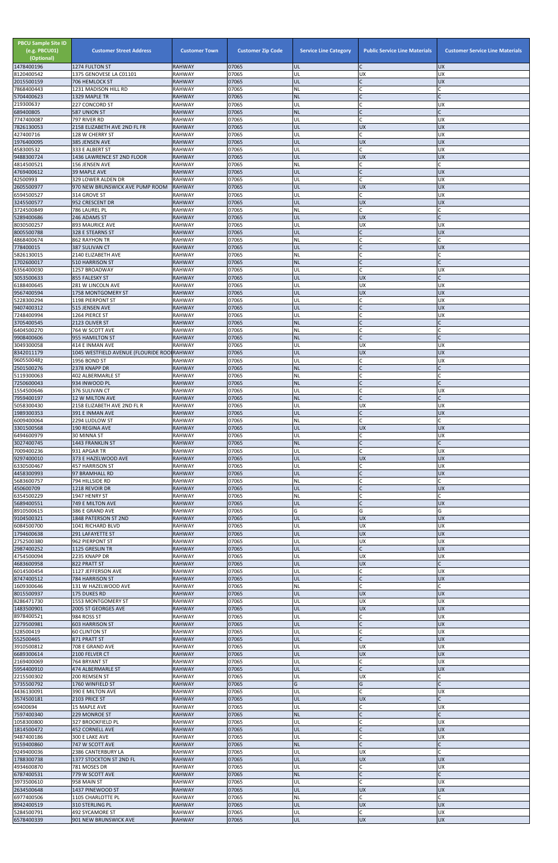| <b>PBCU Sample Site ID</b><br>(e.g. PBCU01)<br>(Optional)<br>1478400196 | <b>Customer Street Address</b><br>1274 FULTON ST | <b>Customer Town</b><br><b>RAHWAY</b> | <b>Customer Zip Code</b><br>07065 | <b>Service Line Category</b><br>UL | <b>Public Service Line Materials</b> | <b>Customer Service Line Materials</b><br><b>UX</b> |
|-------------------------------------------------------------------------|--------------------------------------------------|---------------------------------------|-----------------------------------|------------------------------------|--------------------------------------|-----------------------------------------------------|
| 8120400542                                                              | 1375 GENOVESE LA C01101                          | <b>RAHWAY</b>                         | 07065                             | UL                                 | UX                                   | <b>UX</b>                                           |
| 2015500159                                                              | 706 HEMLOCK ST                                   | <b>RAHWAY</b>                         | 07065                             | IJL                                | $\mathsf{C}$                         | <b>UX</b>                                           |
| 7868400443<br>5704400623                                                | 1231 MADISON HILL RD<br>1329 MAPLE TR            | RAHWAY<br><b>RAHWAY</b>               | 07065<br>07065                    | NL<br><b>NL</b>                    | C<br>$\mathsf{C}$                    |                                                     |
| 219300637                                                               | 227 CONCORD ST                                   | <b>RAHWAY</b>                         | 07065                             | UL                                 |                                      | <b>UX</b>                                           |
| 689400805<br>7747400087                                                 | 587 UNION ST<br>797 RIVER RD                     | <b>RAHWAY</b><br>RAHWAY               | 07065<br>07065                    | <b>NL</b><br>UL                    | $\mathsf{C}$<br>$\mathsf{C}$         | <b>UX</b>                                           |
| 7826130053                                                              | 2158 ELIZABETH AVE 2ND FL FR                     | <b>RAHWAY</b>                         | 07065                             | UL                                 | <b>UX</b>                            | <b>UX</b>                                           |
| 427400716                                                               | 128 W CHERRY ST                                  | <b>RAHWAY</b>                         | 07065                             | UL                                 | C                                    | <b>UX</b>                                           |
| 1976400095<br>458300532                                                 | 385 JENSEN AVE<br>333 E ALBERT ST                | <b>RAHWAY</b><br>RAHWAY               | 07065<br>07065                    | UL<br>UL                           | <b>UX</b><br>$\mathsf{C}$            | <b>UX</b><br><b>UX</b>                              |
| 9488300724                                                              | 1436 LAWRENCE ST 2ND FLOOR                       | <b>RAHWAY</b>                         | 07065                             | UL                                 | <b>UX</b>                            | <b>UX</b>                                           |
| 4814500521<br>4769400612                                                | 156 JENSEN AVE                                   | <b>RAHWAY</b>                         | 07065                             | NL                                 | $\mathsf{C}$<br>$\mathsf{C}$         |                                                     |
| 42500993                                                                | 39 MAPLE AVE<br>329 LOWER ALDEN DR               | <b>RAHWAY</b><br>RAHWAY               | 07065<br>07065                    | UL<br>UL                           | C                                    | <b>UX</b><br><b>UX</b>                              |
| 2605500977                                                              | 970 NEW BRUNSWICK AVE PUMP ROOM                  | <b>RAHWAY</b>                         | 07065                             | UL                                 | <b>UX</b>                            | <b>UX</b>                                           |
| 6594500527<br>3245500577                                                | 314 GROVE ST<br>952 CRESCENT DR                  | RAHWAY<br><b>RAHWAY</b>               | 07065<br>07065                    | UL<br>UL                           | $\mathsf{C}$<br><b>UX</b>            | <b>UX</b><br><b>UX</b>                              |
| 3724500849                                                              | 786 LAUREL PL                                    | RAHWAY                                | 07065                             | NL                                 |                                      |                                                     |
| 5289400686                                                              | 246 ADAMS ST                                     | <b>RAHWAY</b>                         | 07065                             | ŰĹ                                 | <b>UX</b>                            |                                                     |
| 8030500257<br>8005500788                                                | <b>893 MAURICE AVE</b><br>328 E STEARNS ST       | RAHWAY<br><b>RAHWAY</b>               | 07065<br>07065                    | UL<br>UL                           | <b>UX</b><br>$\mathsf C$             | <b>UX</b><br><b>UX</b>                              |
| 4868400674                                                              | 862 RAYHON TR                                    | <b>RAHWAY</b>                         | 07065                             | NL                                 |                                      |                                                     |
| 778400015                                                               | 387 SULIVAN CT                                   | <b>RAHWAY</b>                         | 07065<br>07065                    | UL<br>NL                           | $\mathsf{C}$                         | <b>UX</b>                                           |
| 5826130015<br>1702600017                                                | 2140 ELIZABETH AVE<br>510 HARRISON ST            | RAHWAY<br><b>RAHWAY</b>               | 07065                             | <b>NL</b>                          | $\overline{C}$                       |                                                     |
| 6356400030                                                              | 1257 BROADWAY                                    | <b>RAHWAY</b>                         | 07065                             | UL                                 | $\mathsf{C}$                         | <b>UX</b>                                           |
| 3053500633<br>6188400645                                                | 855 FALESKY ST<br>281 W LINCOLN AVE              | <b>RAHWAY</b><br>RAHWAY               | 07065<br>07065                    | UL<br>UL                           | <b>UX</b><br>UX                      | <b>UX</b>                                           |
| 9567400594                                                              | 1758 MONTGOMERY ST                               | <b>RAHWAY</b>                         | 07065                             | UL                                 | <b>UX</b>                            | <b>UX</b>                                           |
| 5228300294                                                              | 1198 PIERPONT ST                                 | RAHWAY                                | 07065                             | UL                                 | $\mathsf{C}$                         | <b>UX</b>                                           |
| 9407400312<br>7248400994                                                | 515 JENSEN AVE<br>1264 PIERCE ST                 | <b>RAHWAY</b><br>RAHWAY               | 07065<br>07065                    | UL<br>UL                           | $\mathsf{C}$                         | <b>UX</b><br><b>UX</b>                              |
| 3705400545                                                              | 2123 OLIVER ST                                   | <b>RAHWAY</b>                         | 07065                             | <b>NL</b>                          | $\mathsf{C}$                         |                                                     |
| 6404500270<br>9908400606                                                | 764 W SCOTT AVE<br>955 HAMILTON ST               | RAHWAY<br><b>RAHWAY</b>               | 07065<br>07065                    | NL<br><b>NL</b>                    | $\mathsf{C}$                         |                                                     |
| 3049300058                                                              | 414 E INMAN AVE                                  | <b>RAHWAY</b>                         | 07065                             | UL                                 | <b>UX</b>                            | <b>UX</b>                                           |
| 8342011179                                                              | 1045 WESTFIELD AVENUE (FLOURIDE ROOIRAHWAY       |                                       | 07065                             | UL                                 | <b>UX</b>                            | <b>UX</b>                                           |
| 9605500482<br>2501500276                                                | 1956 BOND ST<br>2378 KNAPP DR                    | <b>RAHWAY</b><br><b>RAHWAY</b>        | 07065<br>07065                    | UL<br><b>NL</b>                    | $\mathsf{C}$<br>$\mathsf{C}$         | <b>UX</b>                                           |
| 5119300063                                                              | 402 ALBERMARLE ST                                | RAHWAY                                | 07065                             | ΝL                                 |                                      |                                                     |
| 7250600043                                                              | 934 INWOOD PL                                    | <b>RAHWAY</b>                         | 07065                             | <b>NL</b>                          | $\mathsf{C}$                         |                                                     |
| 1554500646<br>7959400197                                                | 376 SULIVAN CT<br><b>12 W MILTON AVE</b>         | <b>RAHWAY</b><br><b>RAHWAY</b>        | 07065<br>07065                    | UL<br><b>NL</b>                    | $\mathsf{C}$<br>$\mathsf{C}$         | <b>UX</b>                                           |
| 5058300430                                                              | 2158 ELIZABETH AVE 2ND FL R                      | <b>RAHWAY</b>                         | 07065                             | UL                                 | <b>UX</b>                            | UX                                                  |
| 1989300353<br>6009400064                                                | 391 E INMAN AVE<br>2294 LUDLOW ST                | <b>RAHWAY</b><br>RAHWAY               | 07065<br>07065                    | UL<br>NL                           | $\mathsf{C}$<br>$\mathsf{C}$         | <b>UX</b>                                           |
| 3301500568                                                              | 190 REGINA AVE                                   | <b>RAHWAY</b>                         | 07065                             | UL                                 | <b>UX</b>                            | <b>UX</b>                                           |
| 6494600979                                                              | 30 MINNA ST                                      | RAHWAY                                | 07065                             | UL                                 | C                                    | <b>UX</b>                                           |
| 3027400745<br>7009400236                                                | 1443 FRANKLIN ST<br>931 APGAR TR                 | <b>RAHWAY</b><br>RAHWAY               | 07065<br>07065                    | <b>NL</b><br>UL                    | $\mathsf{C}$<br>$\mathsf{C}$         | <b>UX</b>                                           |
| 9297400010                                                              | 373 E HAZELWOOD AVE                              | <b>RAHWAY</b>                         | 07065                             | UL                                 | <b>UX</b>                            | <b>UX</b>                                           |
| 6330500467<br>4458300993                                                | 457 HARRISON ST<br>97 BRAMHALL RD                | RAHWAY<br><b>RAHWAY</b>               | 07065<br>07065                    | UL<br>UL                           | C<br>$\mathsf{C}$                    | <b>UX</b><br><b>UX</b>                              |
| 5683600757                                                              | 794 HILLSIDE RD                                  | <b>RAHWAY</b>                         | 07065                             | <b>NL</b>                          |                                      |                                                     |
| 450600709                                                               | 1218 REVOIR DR                                   | <b>RAHWAY</b>                         | 07065                             | UL                                 | $\mathsf{C}$                         | <b>UX</b>                                           |
| 6354500229<br>5689400551                                                | 1947 HENRY ST<br>749 E MILTON AVE                | RAHWAY<br><b>RAHWAY</b>               | 07065<br>07065                    | ΝL<br>UL                           | $\mathsf{C}$<br>$\overline{C}$       | <b>UX</b>                                           |
| 8910500615                                                              | 386 E GRAND AVE                                  | RAHWAY                                | 07065                             | G                                  | G                                    | G                                                   |
| 9104500321                                                              | 1848 PATERSON ST 2ND                             | <b>RAHWAY</b>                         | 07065                             | UL                                 | <b>UX</b>                            | <b>UX</b>                                           |
| 6084500700<br>1794600638                                                | 1041 RICHARD BLVD<br>291 LAFAYETTE ST            | RAHWAY<br><b>RAHWAY</b>               | 07065<br>07065                    | UL<br>UL                           | <b>UX</b><br><b>UX</b>               | <b>UX</b><br><b>UX</b>                              |
| 2752500380                                                              | 962 PIERPONT ST                                  | RAHWAY                                | 07065                             | UL                                 | UX                                   | <b>UX</b>                                           |
| 2987400252<br>4754500094                                                | 1125 GRESLIN TR<br>2235 KNAPP DR                 | <b>RAHWAY</b><br>RAHWAY               | 07065<br>07065                    | UL<br>UL                           | $\mathsf{C}$<br><b>UX</b>            | <b>UX</b><br><b>UX</b>                              |
| 4683600958                                                              | 822 PRATT ST                                     | RAHWAY                                | 07065                             | UL                                 | <b>UX</b>                            |                                                     |
| 6014500454                                                              | 1127 JEFFERSON AVE                               | RAHWAY                                | 07065                             | UL                                 | C                                    | <b>UX</b>                                           |
| 8747400512<br>1609300646                                                | 784 HARRISON ST<br>131 W HAZELWOOD AVE           | <b>RAHWAY</b><br>RAHWAY               | 07065<br>07065                    | UL<br>NL                           | $\mathsf{C}$                         | <b>UX</b>                                           |
| 8015500937                                                              | 175 DUKES RD                                     | <b>RAHWAY</b>                         | 07065                             | UL                                 | <b>UX</b>                            | <b>UX</b>                                           |
| 8286471730<br>1483500901                                                | 1553 MONTGOMERY ST<br>2005 ST GEORGES AVE        | RAHWAY<br><b>RAHWAY</b>               | 07065<br>07065                    | UL<br>UL                           | <b>UX</b><br><b>UX</b>               | <b>UX</b><br><b>UX</b>                              |
| 8978400521                                                              | 984 ROSS ST                                      | RAHWAY                                | 07065                             | UL                                 | C                                    | <b>UX</b>                                           |
| 2279500981                                                              | <b>603 HARRISON ST</b>                           | <b>RAHWAY</b>                         | 07065                             | UL                                 | $\mathsf{C}$                         | <b>UX</b>                                           |
| 328500419<br>552500465                                                  | <b>60 CLINTON ST</b><br>871 PRATT ST             | RAHWAY<br><b>RAHWAY</b>               | 07065<br>07065                    | UL<br>UL                           | $\mathsf{C}$<br>$\mathsf{C}$         | <b>UX</b><br><b>UX</b>                              |
| 3910500812                                                              | 708 E GRAND AVE                                  | RAHWAY                                | 07065                             | UL                                 | <b>UX</b>                            | <b>UX</b>                                           |
| 6689300614                                                              | 2100 FELVER CT                                   | <b>RAHWAY</b>                         | 07065                             | UL                                 | <b>UX</b>                            | <b>UX</b>                                           |
| 2169400069<br>5954400910                                                | 764 BRYANT ST<br>474 ALBERMARLE ST               | RAHWAY<br>RAHWAY                      | 07065<br>07065                    | UL<br>UL                           | C                                    | <b>UX</b><br><b>IDX</b>                             |
| 2215500302                                                              | 200 REMSEN ST                                    | RAHWAY                                | 07065                             | UL                                 | <b>UX</b>                            |                                                     |
| 5735500792<br>4436130091                                                | 1760 WINFIELD ST                                 | <b>RAHWAY</b><br>RAHWAY               | 07065<br>07065                    | Ġ<br>UL                            | G<br>C                               | <b>UX</b>                                           |
| 3574500181                                                              | 390 E MILTON AVE<br>2103 PRICE ST                | <b>RAHWAY</b>                         | 07065                             | UL                                 | <b>UX</b>                            | $\mathsf{C}$                                        |
| 69400694                                                                | 15 MAPLE AVE                                     | RAHWAY                                | 07065                             | UL                                 |                                      | <b>UX</b>                                           |
| 7597400340<br>1058300800                                                | 229 MONROE ST<br>327 BROOKFIELD PL               | <b>RAHWAY</b><br><b>RAHWAY</b>        | 07065<br>07065                    | <b>NL</b><br>UL                    | $\mathsf{C}$                         | <b>UX</b>                                           |
| 1814500472                                                              | <b>452 CORNELL AVE</b>                           | <b>RAHWAY</b>                         | 07065                             | UL                                 | $\mathsf{C}$                         | <b>UX</b>                                           |
| 9487400186                                                              | 300 E LAKE AVE                                   | RAHWAY                                | 07065                             | UL                                 | $\mathsf{C}$                         | <b>UX</b>                                           |
| 9159400860<br>9249400036                                                | 747 W SCOTT AVE<br>2386 CANTERBURY LA            | <b>RAHWAY</b><br>RAHWAY               | 07065<br>07065                    | <b>NL</b><br>UL                    | $\mathsf{C}$<br><b>UX</b>            |                                                     |
| 1788300738                                                              | 1377 STOCKTON ST 2ND FL                          | <b>RAHWAY</b>                         | 07065                             | UL                                 | <b>UX</b>                            | <b>UX</b>                                           |
| 4934600870<br>6787400531                                                | 781 MOSES DR                                     | <b>RAHWAY</b>                         | 07065<br>07065                    | UL<br><b>NL</b>                    | C<br>$\mathsf{C}$                    | <b>UX</b>                                           |
| 3973500610                                                              | 779 W SCOTT AVE<br>958 MAIN ST                   | <b>RAHWAY</b><br><b>RAHWAY</b>        | 07065                             | UL                                 | $\mathsf{C}$                         | <b>UX</b>                                           |
| 2634500648                                                              | 1437 PINEWOOD ST                                 | <b>RAHWAY</b>                         | 07065                             | UL                                 | <b>UX</b>                            | <b>UX</b>                                           |
| 6977400506<br>8942400519                                                | 1105 CHARLOTTE PL<br>310 STERLING PL             | RAHWAY<br><b>RAHWAY</b>               | 07065<br>07065                    | NL<br>UL                           | $\mathsf C$<br><b>UX</b>             | <b>UX</b>                                           |
| 5284500791                                                              | 492 SYCAMORE ST                                  | RAHWAY                                | 07065                             | UL                                 | $\mathsf{C}$                         | <b>UX</b>                                           |
| 6578400339                                                              | 901 NEW BRUNSWICK AVE                            | <b>RAHWAY</b>                         | 07065                             | UL                                 | <b>UX</b>                            | UX                                                  |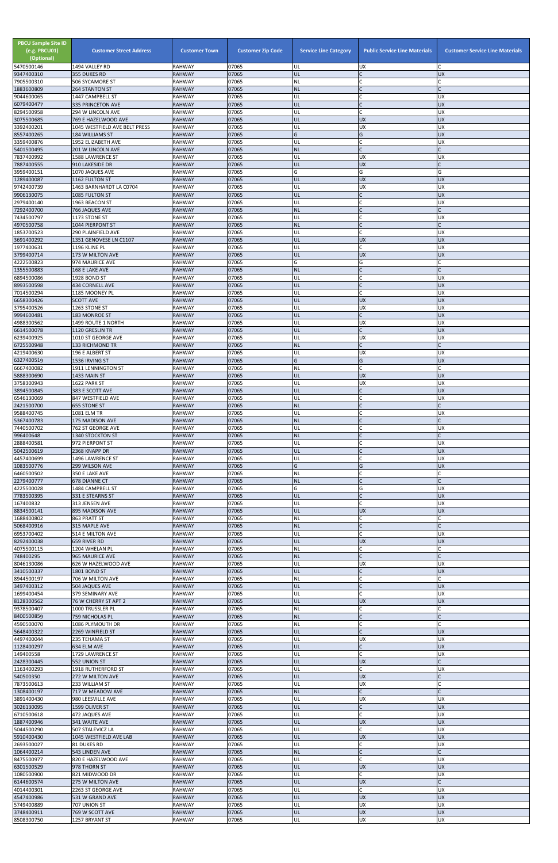| $\mathsf{C}$<br><b>RAHWAY</b><br>07065<br>UL<br><b>UX</b><br>355 DUKES RD<br>07065<br><b>RAHWAY</b><br>IC<br>506 SYCAMORE ST<br>NL<br>07065<br>IC<br><b>NL</b><br>1883600809<br><b>264 STANTON ST</b><br><b>RAHWAY</b><br><b>C</b><br>9044600065<br>07065<br>UL<br>1447 CAMPBELL ST<br><b>RAHWAY</b><br>UX<br>IC<br>07065<br><b>UX</b><br><b>335 PRINCETON AVE</b><br><b>RAHWAY</b><br>UL<br><b>C</b><br>8294500958<br>07065<br><b>UX</b><br>294 W LINCOLN AVE<br><b>RAHWAY</b><br>UL<br>07065<br><b>UX</b><br>UL<br><b>UX</b><br>3075500685<br>769 E HAZELWOOD AVE<br><b>RAHWAY</b><br>07065<br><b>UX</b><br>UX<br><b>RAHWAY</b><br>UL<br>1045 WESTFIELD AVE BELT PRESS<br>07065<br>G<br><b>UX</b><br><b>RAHWAY</b><br>G<br><b>184 WILLIAMS ST</b><br>3359400876<br>07065<br>$\mathsf{C}$<br><b>RAHWAY</b><br>1952 ELIZABETH AVE<br>UL<br>UX<br>lc.<br>07065<br>5401500495<br>201 W LINCOLN AVE<br><b>RAHWAY</b><br><b>NL</b><br>07065<br><b>RAHWAY</b><br>UL<br><b>UX</b><br>1588 LAWRENCE ST<br>UX<br><b>UX</b><br>7887400555<br>07065<br>UL<br>910 LAKESIDE DR<br><b>RAHWAY</b><br>G<br>G<br>07065<br>G<br>3959400151<br>1070 JAQUES AVE<br><b>RAHWAY</b><br>1289400087<br>07065<br><b>UX</b><br>1162 FULTON ST<br><b>RAHWAY</b><br>UL<br><b>UX</b><br>07065<br><b>UX</b><br><b>RAHWAY</b><br>UL<br>UX<br>1463 BARNHARDT LA C0704<br>07065<br>UL<br>$\mathsf{C}$<br><b>UX</b><br>9906130075<br><b>RAHWAY</b><br>1085 FULTON ST<br>07065<br>C<br><b>UX</b><br>2979400140<br><b>RAHWAY</b><br>UL<br>1963 BEACON ST<br>07065<br>$\mathsf{C}$<br><b>RAHWAY</b><br><b>NL</b><br>766 JAQUES AVE<br>07065<br>C<br>UL<br><b>UX</b><br>1173 STONE ST<br><b>RAHWAY</b><br>lc.<br>07065<br><b>NL</b><br>$\mathsf{C}$<br>4970500758<br>1044 PIERPONT ST<br><b>RAHWAY</b><br>$\mathsf{C}$<br>1853700523<br>07065<br>UL<br><b>UX</b><br>290 PLAINFIELD AVE<br><b>RAHWAY</b><br>07065<br>1351 GENOVESE LN C1107<br><b>RAHWAY</b><br>UL<br><b>UX</b><br><b>UX</b><br>lc.<br>07065<br>UL<br>1196 KLINE PL<br><b>RAHWAY</b><br>UX<br>07065<br>UL<br><b>UX</b><br><b>RAHWAY</b><br><b>UX</b><br>3799400714<br>173 W MILTON AVE<br>07065<br>G<br>G<br><b>RAHWAY</b><br>974 MAURICE AVE<br>07065<br>IC<br><b>RAHWAY</b><br>168 E LAKE AVE<br><b>NL</b><br>6894500086<br>07065<br>1928 BOND ST<br><b>RAHWAY</b><br>UL<br>C<br>UX<br>$\overline{C}$<br><b>XD</b><br>07065<br>UL<br>8993500598<br><b>RAHWAY</b><br><b>434 CORNELL AVE</b><br>$\mathsf{C}$<br>07065<br>UL<br><b>UX</b><br>1185 MOONEY PL<br><b>RAHWAY</b><br>07065<br>UX<br><b>UX</b><br><b>SCOTT AVE</b><br><b>RAHWAY</b><br>UL<br>07065<br>3795400526<br>1263 STONE ST<br><b>RAHWAY</b><br>UL<br><b>UX</b><br>UX<br>9994600481<br>07065<br>UL<br>$\mathsf{C}$<br><b>UX</b><br>183 MONROE ST<br><b>RAHWAY</b><br>07065<br><b>RAHWAY</b><br>UL<br><b>UX</b><br>UX<br>1499 ROUTE 1 NORTH<br>07065<br>lC.<br>6614500078<br>UL<br><b>UX</b><br>1120 GRESLIN TR<br><b>RAHWAY</b><br>6239400925<br>07065<br><b>UX</b><br>UL<br><b>UX</b><br>1010 ST GEORGE AVE<br><b>RAHWAY</b><br>lC.<br>07065<br><b>NL</b><br>133 RICHMOND TR<br><b>RAHWAY</b><br>196 E ALBERT ST<br><b>RAHWAY</b><br>07065<br><b>UX</b><br> UX<br> UL<br>G<br>G<br><b>UX</b><br>07065<br>6327400519<br><b>RAHWAY</b><br>1536 IRVING ST<br>07065<br>C.<br>6667400082<br><b>RAHWAY</b><br>NL<br>1911 LENNINGTON ST<br>07065<br>UL<br><b>UX</b><br><b>UX</b><br><b>RAHWAY</b><br>1433 MAIN ST<br>07065<br>UL<br><b>UX</b><br>UX<br>1622 PARK ST<br><b>RAHWAY</b><br><b>UX</b><br>07065<br>UL<br>lC.<br>3894500845<br>383 E SCOTT AVE<br><b>RAHWAY</b><br><b>C</b><br>07065<br>UL<br><b>UX</b><br>847 WESTFIELD AVE<br><b>RAHWAY</b><br>$\mathsf{C}$<br>07065<br><b>NL</b><br><b>655 STONE ST</b><br><b>RAHWAY</b><br>$\mathsf{C}$<br>9588400745<br>1081 ELM TR<br><b>RAHWAY</b><br>07065<br>UL<br>UX<br>$\overline{C}$<br><b>NL</b><br>5367400783<br>07065<br>C<br><b>175 MADISON AVE</b><br><b>RAHWAY</b><br>lC.<br>07065<br>UL<br><b>RAHWAY</b><br>UX<br>762 ST GEORGE AVE<br>$\overline{C}$<br>07065<br><b>NL</b><br>C<br><b>RAHWAY</b><br>1340 STOCKTON ST<br>$\mathsf{C}$<br><b>RAHWAY</b><br>07065<br>UL<br>2888400581<br>972 PIERPONT ST<br>UX<br><b>C</b><br><b>UX</b><br>5042500619<br>07065<br>UL<br>2368 KNAPP DR<br><b>RAHWAY</b><br>C<br>07065<br>UL<br>UX<br>1496 LAWRENCE ST<br><b>RAHWAY</b><br>G<br>07065<br>G<br><b>UX</b><br><b>RAHWAY</b><br><b>299 WILSON AVE</b><br>C<br>6460500502<br><b>RAHWAY</b><br>07065<br>NL<br>350 E LAKE AVE<br>07065<br>lC.<br><b>RAHWAY</b><br><b>NL</b><br><b>678 DIANNE CT</b><br>G<br>07065<br>1484 CAMPBELL ST<br><b>RAHWAY</b><br>G<br>UX<br>$\mathsf{C}$<br>07065<br>UL<br><b>RAHWAY</b><br><b>UX</b><br>7783500395<br>331 E STEARNS ST<br>C.<br>07065<br>UL<br>UX<br>167400832<br><b>RAHWAY</b><br>313 JENSEN AVE<br><b>RAHWAY</b><br>07065<br>UL<br><b>UX</b><br><b>UX</b><br>895 MADISON AVE<br>lC.<br>1688400802<br>07065<br><b>NL</b><br>863 PRATT ST<br><b>RAHWAY</b><br>$\mathsf{C}$<br>07065<br>5068400916<br><b>RAHWAY</b><br><b>NL</b><br>315 MAPLE AVE<br>lc.<br>07065<br>514 E MILTON AVE<br><b>RAHWAY</b><br>UL<br>UX<br><b>XD</b><br>07065<br><b>RAHWAY</b><br>UL<br><b>UX</b><br>659 RIVER RD<br>lC.<br>4075500115<br>1204 WHELAN PL<br><b>RAHWAY</b><br>07065<br><b>NL</b><br>lC.<br>748400295<br>07065<br><b>NL</b><br><b>965 MAURICE AVE</b><br><b>RAHWAY</b><br>07065<br>UL<br><b>UX</b><br><b>RAHWAY</b><br>UX<br>626 W HAZELWOOD AVE<br>07065<br>$\mathsf{C}$<br>UL<br><b>UX</b><br>1801 BOND ST<br><b>RAHWAY</b><br>$\mathsf{C}$<br>07065<br><b>NL</b><br>8944500197<br>706 W MILTON AVE<br><b>RAHWAY</b><br>$\mathsf{C}$<br>07065<br>UL<br>504 JAQUES AVE<br><b>RAHWAY</b><br><b>UX</b><br>C<br>07065<br>UL<br><b>UX</b><br><b>RAHWAY</b><br>379 SEMINARY AVE<br>07065<br>UL<br><b>UX</b><br><b>UX</b><br>76 W CHERRY ST APT 2<br><b>RAHWAY</b><br>07065<br>NL<br>C<br>9378500407<br>1000 TRUSSLER PL<br><b>RAHWAY</b><br>07065<br>lC.<br>759 NICHOLAS PL<br><b>RAHWAY</b><br><b>NL</b><br><b>C</b><br>07065<br>NL<br><b>RAHWAY</b><br>1086 PLYMOUTH DR<br>lC.<br>07065<br>UL<br><b>UX</b><br>5648400322<br>2269 WINFIELD ST<br><b>RAHWAY</b><br>07065<br>UL<br><b>UX</b><br>UX<br>235 TEHAMA ST<br><b>RAHWAY</b><br>$\mathsf{C}$<br>07065<br>UL<br><b>UX</b><br>634 ELM AVE<br><b>RAHWAY</b><br>07065<br>UL<br>$\mathsf{C}$<br>1729 LAWRENCE ST<br><b>RAHWAY</b><br>UX<br><b>UX</b><br>2428300445<br>07065<br>UL<br>552 UNION ST<br><b>RAHWAY</b><br>1918 RUTHERFORD ST<br>RAHWAY<br>07065<br> UL<br>IC.<br> UX<br>UL<br><b>UX</b><br><b>RAHWAY</b><br>07065<br>272 W MILTON AVE<br>7873500613<br>233 WILLIAM ST<br><b>RAHWAY</b><br>07065<br>UL<br><b>UX</b><br>1308400197<br><b>NL</b><br>$\mathsf{C}$<br>07065<br>717 W MEADOW AVE<br><b>RAHWAY</b><br>UL<br>07065<br><b>UX</b><br>980 LEESVILLE AVE<br><b>RAHWAY</b><br>UX<br>$\mathsf{C}$<br>07065<br>UL<br><b>UX</b><br>1599 OLIVER ST<br><b>RAHWAY</b><br><b>C</b><br>6710500618<br>UL<br><b>UX</b><br><b>RAHWAY</b><br>07065<br>472 JAQUES AVE<br>07065<br>UL<br><b>UX</b><br>341 WAITE AVE<br><b>RAHWAY</b><br><b>UX</b><br><b>C</b><br>07065<br>UL<br><b>UX</b><br><b>RAHWAY</b><br>507 STALEVICZ LA<br>UL<br>07065<br><b>UX</b><br><b>UX</b><br>1045 WESTFIELD AVE LAB<br><b>RAHWAY</b><br>2693500027<br>07065<br>UL<br>C<br><b>UX</b><br>81 DUKES RD<br><b>RAHWAY</b><br><b>NL</b><br>$\overline{C}$<br>07065<br>543 LINDEN AVE<br><b>RAHWAY</b><br>UL<br>lC.<br><b>RAHWAY</b><br>07065<br><b>UX</b><br>820 E HAZELWOOD AVE<br>UL<br><b>UX</b><br>07065<br><b>UX</b><br>6301500529<br>978 THORN ST<br><b>RAHWAY</b><br>lC.<br>07065<br>UL<br><b>UX</b><br>821 MIDWOOD DR<br><b>RAHWAY</b><br>07065<br><b>RAHWAY</b><br>UL<br><b>UX</b><br>275 W MILTON AVE<br><b>C</b><br>UL<br><b>RAHWAY</b><br>07065<br><b>UX</b><br>2263 ST GEORGE AVE<br><b>UX</b><br>07065<br>UL<br><b>UX</b><br>4547400986<br><b>RAHWAY</b><br>531 W GRAND AVE<br>07065<br>UL<br><b>UX</b><br><b>UX</b><br>707 UNION ST<br><b>RAHWAY</b><br>07065<br>UL<br><b>UX</b><br><b>UX</b><br><b>RAHWAY</b><br>769 W SCOTT AVE<br>UL<br><b>UX</b><br>UX<br>8508300750<br>1257 BRYANT ST<br>RAHWAY<br>07065 | <b>PBCU Sample Site ID</b><br>(e.g. PBCU01)<br>(Optional)<br>5470500146 | <b>Customer Street Address</b><br>1494 VALLEY RD | <b>Customer Town</b><br><b>RAHWAY</b> | <b>Customer Zip Code</b><br>07065 | <b>Service Line Category</b><br>UL | <b>Public Service Line Materials</b><br><b>UX</b> | <b>Customer Service Line Materials</b> |
|--------------------------------------------------------------------------------------------------------------------------------------------------------------------------------------------------------------------------------------------------------------------------------------------------------------------------------------------------------------------------------------------------------------------------------------------------------------------------------------------------------------------------------------------------------------------------------------------------------------------------------------------------------------------------------------------------------------------------------------------------------------------------------------------------------------------------------------------------------------------------------------------------------------------------------------------------------------------------------------------------------------------------------------------------------------------------------------------------------------------------------------------------------------------------------------------------------------------------------------------------------------------------------------------------------------------------------------------------------------------------------------------------------------------------------------------------------------------------------------------------------------------------------------------------------------------------------------------------------------------------------------------------------------------------------------------------------------------------------------------------------------------------------------------------------------------------------------------------------------------------------------------------------------------------------------------------------------------------------------------------------------------------------------------------------------------------------------------------------------------------------------------------------------------------------------------------------------------------------------------------------------------------------------------------------------------------------------------------------------------------------------------------------------------------------------------------------------------------------------------------------------------------------------------------------------------------------------------------------------------------------------------------------------------------------------------------------------------------------------------------------------------------------------------------------------------------------------------------------------------------------------------------------------------------------------------------------------------------------------------------------------------------------------------------------------------------------------------------------------------------------------------------------------------------------------------------------------------------------------------------------------------------------------------------------------------------------------------------------------------------------------------------------------------------------------------------------------------------------------------------------------------------------------------------------------------------------------------------------------------------------------------------------------------------------------------------------------------------------------------------------------------------------------------------------------------------------------------------------------------------------------------------------------------------------------------------------------------------------------------------------------------------------------------------------------------------------------------------------------------------------------------------------------------------------------------------------------------------------------------------------------------------------------------------------------------------------------------------------------------------------------------------------------------------------------------------------------------------------------------------------------------------------------------------------------------------------------------------------------------------------------------------------------------------------------------------------------------------------------------------------------------------------------------------------------------------------------------------------------------------------------------------------------------------------------------------------------------------------------------------------------------------------------------------------------------------------------------------------------------------------------------------------------------------------------------------------------------------------------------------------------------------------------------------------------------------------------------------------------------------------------------------------------------------------------------------------------------------------------------------------------------------------------------------------------------------------------------------------------------------------------------------------------------------------------------------------------------------------------------------------------------------------------------------------------------------------------------------------------------------------------------------------------------------------------------------------------------------------------------------------------------------------------------------------------------------------------------------------------------------------------------------------------------------------------------------------------------------------------------------------------------------------------------------------------------------------------------------------------------------------------------------------------------------------------------------------------------------------------------------------------------------------------------------------------------------------------------------------------------------------------------------------------------------------------------------------------------------------------------------------------------------------------------------------------------------------------------------------------------------------------------------------------------------------------------------------------------------------------------------------------------------------------------------------------------------------------------------------------------------------------------------------------------------------------------------------------------------------------------------------------------------------------------------------------------------------------------------------------------------------------------------------------------------------------------------------------------------------------------------------------------------------------------------------------------------------------------------------------------------------------------------------------------------------------------------------------------------------------------------------------------------------------------------------------------------------------------------------------------------------------------------------------------------------------------------------------------------------------------------------------------------------------------------------------------------------------------------------------------------|-------------------------------------------------------------------------|--------------------------------------------------|---------------------------------------|-----------------------------------|------------------------------------|---------------------------------------------------|----------------------------------------|
|                                                                                                                                                                                                                                                                                                                                                                                                                                                                                                                                                                                                                                                                                                                                                                                                                                                                                                                                                                                                                                                                                                                                                                                                                                                                                                                                                                                                                                                                                                                                                                                                                                                                                                                                                                                                                                                                                                                                                                                                                                                                                                                                                                                                                                                                                                                                                                                                                                                                                                                                                                                                                                                                                                                                                                                                                                                                                                                                                                                                                                                                                                                                                                                                                                                                                                                                                                                                                                                                                                                                                                                                                                                                                                                                                                                                                                                                                                                                                                                                                                                                                                                                                                                                                                                                                                                                                                                                                                                                                                                                                                                                                                                                                                                                                                                                                                                                                                                                                                                                                                                                                                                                                                                                                                                                                                                                                                                                                                                                                                                                                                                                                                                                                                                                                                                                                                                                                                                                                                                                                                                                                                                                                                                                                                                                                                                                                                                                                                                                                                                                                                                                                                                                                                                                                                                                                                                                                                                                                                                                                                                                                                                                                                                                                                                                                                                                                                                                                                                                                                                                                                                                                                                                                                                                                                                                                                                                                                                                                                                                                                                                                                                          | 9347400310                                                              |                                                  |                                       |                                   |                                    |                                                   |                                        |
|                                                                                                                                                                                                                                                                                                                                                                                                                                                                                                                                                                                                                                                                                                                                                                                                                                                                                                                                                                                                                                                                                                                                                                                                                                                                                                                                                                                                                                                                                                                                                                                                                                                                                                                                                                                                                                                                                                                                                                                                                                                                                                                                                                                                                                                                                                                                                                                                                                                                                                                                                                                                                                                                                                                                                                                                                                                                                                                                                                                                                                                                                                                                                                                                                                                                                                                                                                                                                                                                                                                                                                                                                                                                                                                                                                                                                                                                                                                                                                                                                                                                                                                                                                                                                                                                                                                                                                                                                                                                                                                                                                                                                                                                                                                                                                                                                                                                                                                                                                                                                                                                                                                                                                                                                                                                                                                                                                                                                                                                                                                                                                                                                                                                                                                                                                                                                                                                                                                                                                                                                                                                                                                                                                                                                                                                                                                                                                                                                                                                                                                                                                                                                                                                                                                                                                                                                                                                                                                                                                                                                                                                                                                                                                                                                                                                                                                                                                                                                                                                                                                                                                                                                                                                                                                                                                                                                                                                                                                                                                                                                                                                                                                          | 7905500310                                                              |                                                  |                                       |                                   |                                    |                                                   |                                        |
|                                                                                                                                                                                                                                                                                                                                                                                                                                                                                                                                                                                                                                                                                                                                                                                                                                                                                                                                                                                                                                                                                                                                                                                                                                                                                                                                                                                                                                                                                                                                                                                                                                                                                                                                                                                                                                                                                                                                                                                                                                                                                                                                                                                                                                                                                                                                                                                                                                                                                                                                                                                                                                                                                                                                                                                                                                                                                                                                                                                                                                                                                                                                                                                                                                                                                                                                                                                                                                                                                                                                                                                                                                                                                                                                                                                                                                                                                                                                                                                                                                                                                                                                                                                                                                                                                                                                                                                                                                                                                                                                                                                                                                                                                                                                                                                                                                                                                                                                                                                                                                                                                                                                                                                                                                                                                                                                                                                                                                                                                                                                                                                                                                                                                                                                                                                                                                                                                                                                                                                                                                                                                                                                                                                                                                                                                                                                                                                                                                                                                                                                                                                                                                                                                                                                                                                                                                                                                                                                                                                                                                                                                                                                                                                                                                                                                                                                                                                                                                                                                                                                                                                                                                                                                                                                                                                                                                                                                                                                                                                                                                                                                                                          |                                                                         |                                                  |                                       |                                   |                                    |                                                   |                                        |
|                                                                                                                                                                                                                                                                                                                                                                                                                                                                                                                                                                                                                                                                                                                                                                                                                                                                                                                                                                                                                                                                                                                                                                                                                                                                                                                                                                                                                                                                                                                                                                                                                                                                                                                                                                                                                                                                                                                                                                                                                                                                                                                                                                                                                                                                                                                                                                                                                                                                                                                                                                                                                                                                                                                                                                                                                                                                                                                                                                                                                                                                                                                                                                                                                                                                                                                                                                                                                                                                                                                                                                                                                                                                                                                                                                                                                                                                                                                                                                                                                                                                                                                                                                                                                                                                                                                                                                                                                                                                                                                                                                                                                                                                                                                                                                                                                                                                                                                                                                                                                                                                                                                                                                                                                                                                                                                                                                                                                                                                                                                                                                                                                                                                                                                                                                                                                                                                                                                                                                                                                                                                                                                                                                                                                                                                                                                                                                                                                                                                                                                                                                                                                                                                                                                                                                                                                                                                                                                                                                                                                                                                                                                                                                                                                                                                                                                                                                                                                                                                                                                                                                                                                                                                                                                                                                                                                                                                                                                                                                                                                                                                                                                          | 6079400477                                                              |                                                  |                                       |                                   |                                    |                                                   |                                        |
|                                                                                                                                                                                                                                                                                                                                                                                                                                                                                                                                                                                                                                                                                                                                                                                                                                                                                                                                                                                                                                                                                                                                                                                                                                                                                                                                                                                                                                                                                                                                                                                                                                                                                                                                                                                                                                                                                                                                                                                                                                                                                                                                                                                                                                                                                                                                                                                                                                                                                                                                                                                                                                                                                                                                                                                                                                                                                                                                                                                                                                                                                                                                                                                                                                                                                                                                                                                                                                                                                                                                                                                                                                                                                                                                                                                                                                                                                                                                                                                                                                                                                                                                                                                                                                                                                                                                                                                                                                                                                                                                                                                                                                                                                                                                                                                                                                                                                                                                                                                                                                                                                                                                                                                                                                                                                                                                                                                                                                                                                                                                                                                                                                                                                                                                                                                                                                                                                                                                                                                                                                                                                                                                                                                                                                                                                                                                                                                                                                                                                                                                                                                                                                                                                                                                                                                                                                                                                                                                                                                                                                                                                                                                                                                                                                                                                                                                                                                                                                                                                                                                                                                                                                                                                                                                                                                                                                                                                                                                                                                                                                                                                                                          |                                                                         |                                                  |                                       |                                   |                                    |                                                   |                                        |
|                                                                                                                                                                                                                                                                                                                                                                                                                                                                                                                                                                                                                                                                                                                                                                                                                                                                                                                                                                                                                                                                                                                                                                                                                                                                                                                                                                                                                                                                                                                                                                                                                                                                                                                                                                                                                                                                                                                                                                                                                                                                                                                                                                                                                                                                                                                                                                                                                                                                                                                                                                                                                                                                                                                                                                                                                                                                                                                                                                                                                                                                                                                                                                                                                                                                                                                                                                                                                                                                                                                                                                                                                                                                                                                                                                                                                                                                                                                                                                                                                                                                                                                                                                                                                                                                                                                                                                                                                                                                                                                                                                                                                                                                                                                                                                                                                                                                                                                                                                                                                                                                                                                                                                                                                                                                                                                                                                                                                                                                                                                                                                                                                                                                                                                                                                                                                                                                                                                                                                                                                                                                                                                                                                                                                                                                                                                                                                                                                                                                                                                                                                                                                                                                                                                                                                                                                                                                                                                                                                                                                                                                                                                                                                                                                                                                                                                                                                                                                                                                                                                                                                                                                                                                                                                                                                                                                                                                                                                                                                                                                                                                                                                          | 3392400201                                                              |                                                  |                                       |                                   |                                    |                                                   |                                        |
|                                                                                                                                                                                                                                                                                                                                                                                                                                                                                                                                                                                                                                                                                                                                                                                                                                                                                                                                                                                                                                                                                                                                                                                                                                                                                                                                                                                                                                                                                                                                                                                                                                                                                                                                                                                                                                                                                                                                                                                                                                                                                                                                                                                                                                                                                                                                                                                                                                                                                                                                                                                                                                                                                                                                                                                                                                                                                                                                                                                                                                                                                                                                                                                                                                                                                                                                                                                                                                                                                                                                                                                                                                                                                                                                                                                                                                                                                                                                                                                                                                                                                                                                                                                                                                                                                                                                                                                                                                                                                                                                                                                                                                                                                                                                                                                                                                                                                                                                                                                                                                                                                                                                                                                                                                                                                                                                                                                                                                                                                                                                                                                                                                                                                                                                                                                                                                                                                                                                                                                                                                                                                                                                                                                                                                                                                                                                                                                                                                                                                                                                                                                                                                                                                                                                                                                                                                                                                                                                                                                                                                                                                                                                                                                                                                                                                                                                                                                                                                                                                                                                                                                                                                                                                                                                                                                                                                                                                                                                                                                                                                                                                                                          | 8557400265                                                              |                                                  |                                       |                                   |                                    |                                                   |                                        |
|                                                                                                                                                                                                                                                                                                                                                                                                                                                                                                                                                                                                                                                                                                                                                                                                                                                                                                                                                                                                                                                                                                                                                                                                                                                                                                                                                                                                                                                                                                                                                                                                                                                                                                                                                                                                                                                                                                                                                                                                                                                                                                                                                                                                                                                                                                                                                                                                                                                                                                                                                                                                                                                                                                                                                                                                                                                                                                                                                                                                                                                                                                                                                                                                                                                                                                                                                                                                                                                                                                                                                                                                                                                                                                                                                                                                                                                                                                                                                                                                                                                                                                                                                                                                                                                                                                                                                                                                                                                                                                                                                                                                                                                                                                                                                                                                                                                                                                                                                                                                                                                                                                                                                                                                                                                                                                                                                                                                                                                                                                                                                                                                                                                                                                                                                                                                                                                                                                                                                                                                                                                                                                                                                                                                                                                                                                                                                                                                                                                                                                                                                                                                                                                                                                                                                                                                                                                                                                                                                                                                                                                                                                                                                                                                                                                                                                                                                                                                                                                                                                                                                                                                                                                                                                                                                                                                                                                                                                                                                                                                                                                                                                                          |                                                                         |                                                  |                                       |                                   |                                    |                                                   |                                        |
|                                                                                                                                                                                                                                                                                                                                                                                                                                                                                                                                                                                                                                                                                                                                                                                                                                                                                                                                                                                                                                                                                                                                                                                                                                                                                                                                                                                                                                                                                                                                                                                                                                                                                                                                                                                                                                                                                                                                                                                                                                                                                                                                                                                                                                                                                                                                                                                                                                                                                                                                                                                                                                                                                                                                                                                                                                                                                                                                                                                                                                                                                                                                                                                                                                                                                                                                                                                                                                                                                                                                                                                                                                                                                                                                                                                                                                                                                                                                                                                                                                                                                                                                                                                                                                                                                                                                                                                                                                                                                                                                                                                                                                                                                                                                                                                                                                                                                                                                                                                                                                                                                                                                                                                                                                                                                                                                                                                                                                                                                                                                                                                                                                                                                                                                                                                                                                                                                                                                                                                                                                                                                                                                                                                                                                                                                                                                                                                                                                                                                                                                                                                                                                                                                                                                                                                                                                                                                                                                                                                                                                                                                                                                                                                                                                                                                                                                                                                                                                                                                                                                                                                                                                                                                                                                                                                                                                                                                                                                                                                                                                                                                                                          | 7837400992                                                              |                                                  |                                       |                                   |                                    |                                                   |                                        |
|                                                                                                                                                                                                                                                                                                                                                                                                                                                                                                                                                                                                                                                                                                                                                                                                                                                                                                                                                                                                                                                                                                                                                                                                                                                                                                                                                                                                                                                                                                                                                                                                                                                                                                                                                                                                                                                                                                                                                                                                                                                                                                                                                                                                                                                                                                                                                                                                                                                                                                                                                                                                                                                                                                                                                                                                                                                                                                                                                                                                                                                                                                                                                                                                                                                                                                                                                                                                                                                                                                                                                                                                                                                                                                                                                                                                                                                                                                                                                                                                                                                                                                                                                                                                                                                                                                                                                                                                                                                                                                                                                                                                                                                                                                                                                                                                                                                                                                                                                                                                                                                                                                                                                                                                                                                                                                                                                                                                                                                                                                                                                                                                                                                                                                                                                                                                                                                                                                                                                                                                                                                                                                                                                                                                                                                                                                                                                                                                                                                                                                                                                                                                                                                                                                                                                                                                                                                                                                                                                                                                                                                                                                                                                                                                                                                                                                                                                                                                                                                                                                                                                                                                                                                                                                                                                                                                                                                                                                                                                                                                                                                                                                                          |                                                                         |                                                  |                                       |                                   |                                    |                                                   |                                        |
|                                                                                                                                                                                                                                                                                                                                                                                                                                                                                                                                                                                                                                                                                                                                                                                                                                                                                                                                                                                                                                                                                                                                                                                                                                                                                                                                                                                                                                                                                                                                                                                                                                                                                                                                                                                                                                                                                                                                                                                                                                                                                                                                                                                                                                                                                                                                                                                                                                                                                                                                                                                                                                                                                                                                                                                                                                                                                                                                                                                                                                                                                                                                                                                                                                                                                                                                                                                                                                                                                                                                                                                                                                                                                                                                                                                                                                                                                                                                                                                                                                                                                                                                                                                                                                                                                                                                                                                                                                                                                                                                                                                                                                                                                                                                                                                                                                                                                                                                                                                                                                                                                                                                                                                                                                                                                                                                                                                                                                                                                                                                                                                                                                                                                                                                                                                                                                                                                                                                                                                                                                                                                                                                                                                                                                                                                                                                                                                                                                                                                                                                                                                                                                                                                                                                                                                                                                                                                                                                                                                                                                                                                                                                                                                                                                                                                                                                                                                                                                                                                                                                                                                                                                                                                                                                                                                                                                                                                                                                                                                                                                                                                                                          |                                                                         |                                                  |                                       |                                   |                                    |                                                   |                                        |
|                                                                                                                                                                                                                                                                                                                                                                                                                                                                                                                                                                                                                                                                                                                                                                                                                                                                                                                                                                                                                                                                                                                                                                                                                                                                                                                                                                                                                                                                                                                                                                                                                                                                                                                                                                                                                                                                                                                                                                                                                                                                                                                                                                                                                                                                                                                                                                                                                                                                                                                                                                                                                                                                                                                                                                                                                                                                                                                                                                                                                                                                                                                                                                                                                                                                                                                                                                                                                                                                                                                                                                                                                                                                                                                                                                                                                                                                                                                                                                                                                                                                                                                                                                                                                                                                                                                                                                                                                                                                                                                                                                                                                                                                                                                                                                                                                                                                                                                                                                                                                                                                                                                                                                                                                                                                                                                                                                                                                                                                                                                                                                                                                                                                                                                                                                                                                                                                                                                                                                                                                                                                                                                                                                                                                                                                                                                                                                                                                                                                                                                                                                                                                                                                                                                                                                                                                                                                                                                                                                                                                                                                                                                                                                                                                                                                                                                                                                                                                                                                                                                                                                                                                                                                                                                                                                                                                                                                                                                                                                                                                                                                                                                          | 9742400739                                                              |                                                  |                                       |                                   |                                    |                                                   |                                        |
|                                                                                                                                                                                                                                                                                                                                                                                                                                                                                                                                                                                                                                                                                                                                                                                                                                                                                                                                                                                                                                                                                                                                                                                                                                                                                                                                                                                                                                                                                                                                                                                                                                                                                                                                                                                                                                                                                                                                                                                                                                                                                                                                                                                                                                                                                                                                                                                                                                                                                                                                                                                                                                                                                                                                                                                                                                                                                                                                                                                                                                                                                                                                                                                                                                                                                                                                                                                                                                                                                                                                                                                                                                                                                                                                                                                                                                                                                                                                                                                                                                                                                                                                                                                                                                                                                                                                                                                                                                                                                                                                                                                                                                                                                                                                                                                                                                                                                                                                                                                                                                                                                                                                                                                                                                                                                                                                                                                                                                                                                                                                                                                                                                                                                                                                                                                                                                                                                                                                                                                                                                                                                                                                                                                                                                                                                                                                                                                                                                                                                                                                                                                                                                                                                                                                                                                                                                                                                                                                                                                                                                                                                                                                                                                                                                                                                                                                                                                                                                                                                                                                                                                                                                                                                                                                                                                                                                                                                                                                                                                                                                                                                                                          |                                                                         |                                                  |                                       |                                   |                                    |                                                   |                                        |
|                                                                                                                                                                                                                                                                                                                                                                                                                                                                                                                                                                                                                                                                                                                                                                                                                                                                                                                                                                                                                                                                                                                                                                                                                                                                                                                                                                                                                                                                                                                                                                                                                                                                                                                                                                                                                                                                                                                                                                                                                                                                                                                                                                                                                                                                                                                                                                                                                                                                                                                                                                                                                                                                                                                                                                                                                                                                                                                                                                                                                                                                                                                                                                                                                                                                                                                                                                                                                                                                                                                                                                                                                                                                                                                                                                                                                                                                                                                                                                                                                                                                                                                                                                                                                                                                                                                                                                                                                                                                                                                                                                                                                                                                                                                                                                                                                                                                                                                                                                                                                                                                                                                                                                                                                                                                                                                                                                                                                                                                                                                                                                                                                                                                                                                                                                                                                                                                                                                                                                                                                                                                                                                                                                                                                                                                                                                                                                                                                                                                                                                                                                                                                                                                                                                                                                                                                                                                                                                                                                                                                                                                                                                                                                                                                                                                                                                                                                                                                                                                                                                                                                                                                                                                                                                                                                                                                                                                                                                                                                                                                                                                                                                          | 7292400700                                                              |                                                  |                                       |                                   |                                    |                                                   |                                        |
|                                                                                                                                                                                                                                                                                                                                                                                                                                                                                                                                                                                                                                                                                                                                                                                                                                                                                                                                                                                                                                                                                                                                                                                                                                                                                                                                                                                                                                                                                                                                                                                                                                                                                                                                                                                                                                                                                                                                                                                                                                                                                                                                                                                                                                                                                                                                                                                                                                                                                                                                                                                                                                                                                                                                                                                                                                                                                                                                                                                                                                                                                                                                                                                                                                                                                                                                                                                                                                                                                                                                                                                                                                                                                                                                                                                                                                                                                                                                                                                                                                                                                                                                                                                                                                                                                                                                                                                                                                                                                                                                                                                                                                                                                                                                                                                                                                                                                                                                                                                                                                                                                                                                                                                                                                                                                                                                                                                                                                                                                                                                                                                                                                                                                                                                                                                                                                                                                                                                                                                                                                                                                                                                                                                                                                                                                                                                                                                                                                                                                                                                                                                                                                                                                                                                                                                                                                                                                                                                                                                                                                                                                                                                                                                                                                                                                                                                                                                                                                                                                                                                                                                                                                                                                                                                                                                                                                                                                                                                                                                                                                                                                                                          | 7434500797                                                              |                                                  |                                       |                                   |                                    |                                                   |                                        |
|                                                                                                                                                                                                                                                                                                                                                                                                                                                                                                                                                                                                                                                                                                                                                                                                                                                                                                                                                                                                                                                                                                                                                                                                                                                                                                                                                                                                                                                                                                                                                                                                                                                                                                                                                                                                                                                                                                                                                                                                                                                                                                                                                                                                                                                                                                                                                                                                                                                                                                                                                                                                                                                                                                                                                                                                                                                                                                                                                                                                                                                                                                                                                                                                                                                                                                                                                                                                                                                                                                                                                                                                                                                                                                                                                                                                                                                                                                                                                                                                                                                                                                                                                                                                                                                                                                                                                                                                                                                                                                                                                                                                                                                                                                                                                                                                                                                                                                                                                                                                                                                                                                                                                                                                                                                                                                                                                                                                                                                                                                                                                                                                                                                                                                                                                                                                                                                                                                                                                                                                                                                                                                                                                                                                                                                                                                                                                                                                                                                                                                                                                                                                                                                                                                                                                                                                                                                                                                                                                                                                                                                                                                                                                                                                                                                                                                                                                                                                                                                                                                                                                                                                                                                                                                                                                                                                                                                                                                                                                                                                                                                                                                                          |                                                                         |                                                  |                                       |                                   |                                    |                                                   |                                        |
|                                                                                                                                                                                                                                                                                                                                                                                                                                                                                                                                                                                                                                                                                                                                                                                                                                                                                                                                                                                                                                                                                                                                                                                                                                                                                                                                                                                                                                                                                                                                                                                                                                                                                                                                                                                                                                                                                                                                                                                                                                                                                                                                                                                                                                                                                                                                                                                                                                                                                                                                                                                                                                                                                                                                                                                                                                                                                                                                                                                                                                                                                                                                                                                                                                                                                                                                                                                                                                                                                                                                                                                                                                                                                                                                                                                                                                                                                                                                                                                                                                                                                                                                                                                                                                                                                                                                                                                                                                                                                                                                                                                                                                                                                                                                                                                                                                                                                                                                                                                                                                                                                                                                                                                                                                                                                                                                                                                                                                                                                                                                                                                                                                                                                                                                                                                                                                                                                                                                                                                                                                                                                                                                                                                                                                                                                                                                                                                                                                                                                                                                                                                                                                                                                                                                                                                                                                                                                                                                                                                                                                                                                                                                                                                                                                                                                                                                                                                                                                                                                                                                                                                                                                                                                                                                                                                                                                                                                                                                                                                                                                                                                                                          | 3691400292                                                              |                                                  |                                       |                                   |                                    |                                                   |                                        |
|                                                                                                                                                                                                                                                                                                                                                                                                                                                                                                                                                                                                                                                                                                                                                                                                                                                                                                                                                                                                                                                                                                                                                                                                                                                                                                                                                                                                                                                                                                                                                                                                                                                                                                                                                                                                                                                                                                                                                                                                                                                                                                                                                                                                                                                                                                                                                                                                                                                                                                                                                                                                                                                                                                                                                                                                                                                                                                                                                                                                                                                                                                                                                                                                                                                                                                                                                                                                                                                                                                                                                                                                                                                                                                                                                                                                                                                                                                                                                                                                                                                                                                                                                                                                                                                                                                                                                                                                                                                                                                                                                                                                                                                                                                                                                                                                                                                                                                                                                                                                                                                                                                                                                                                                                                                                                                                                                                                                                                                                                                                                                                                                                                                                                                                                                                                                                                                                                                                                                                                                                                                                                                                                                                                                                                                                                                                                                                                                                                                                                                                                                                                                                                                                                                                                                                                                                                                                                                                                                                                                                                                                                                                                                                                                                                                                                                                                                                                                                                                                                                                                                                                                                                                                                                                                                                                                                                                                                                                                                                                                                                                                                                                          | 1977400631                                                              |                                                  |                                       |                                   |                                    |                                                   |                                        |
|                                                                                                                                                                                                                                                                                                                                                                                                                                                                                                                                                                                                                                                                                                                                                                                                                                                                                                                                                                                                                                                                                                                                                                                                                                                                                                                                                                                                                                                                                                                                                                                                                                                                                                                                                                                                                                                                                                                                                                                                                                                                                                                                                                                                                                                                                                                                                                                                                                                                                                                                                                                                                                                                                                                                                                                                                                                                                                                                                                                                                                                                                                                                                                                                                                                                                                                                                                                                                                                                                                                                                                                                                                                                                                                                                                                                                                                                                                                                                                                                                                                                                                                                                                                                                                                                                                                                                                                                                                                                                                                                                                                                                                                                                                                                                                                                                                                                                                                                                                                                                                                                                                                                                                                                                                                                                                                                                                                                                                                                                                                                                                                                                                                                                                                                                                                                                                                                                                                                                                                                                                                                                                                                                                                                                                                                                                                                                                                                                                                                                                                                                                                                                                                                                                                                                                                                                                                                                                                                                                                                                                                                                                                                                                                                                                                                                                                                                                                                                                                                                                                                                                                                                                                                                                                                                                                                                                                                                                                                                                                                                                                                                                                          | 4222500823                                                              |                                                  |                                       |                                   |                                    |                                                   |                                        |
|                                                                                                                                                                                                                                                                                                                                                                                                                                                                                                                                                                                                                                                                                                                                                                                                                                                                                                                                                                                                                                                                                                                                                                                                                                                                                                                                                                                                                                                                                                                                                                                                                                                                                                                                                                                                                                                                                                                                                                                                                                                                                                                                                                                                                                                                                                                                                                                                                                                                                                                                                                                                                                                                                                                                                                                                                                                                                                                                                                                                                                                                                                                                                                                                                                                                                                                                                                                                                                                                                                                                                                                                                                                                                                                                                                                                                                                                                                                                                                                                                                                                                                                                                                                                                                                                                                                                                                                                                                                                                                                                                                                                                                                                                                                                                                                                                                                                                                                                                                                                                                                                                                                                                                                                                                                                                                                                                                                                                                                                                                                                                                                                                                                                                                                                                                                                                                                                                                                                                                                                                                                                                                                                                                                                                                                                                                                                                                                                                                                                                                                                                                                                                                                                                                                                                                                                                                                                                                                                                                                                                                                                                                                                                                                                                                                                                                                                                                                                                                                                                                                                                                                                                                                                                                                                                                                                                                                                                                                                                                                                                                                                                                                          | 1355500883                                                              |                                                  |                                       |                                   |                                    |                                                   |                                        |
|                                                                                                                                                                                                                                                                                                                                                                                                                                                                                                                                                                                                                                                                                                                                                                                                                                                                                                                                                                                                                                                                                                                                                                                                                                                                                                                                                                                                                                                                                                                                                                                                                                                                                                                                                                                                                                                                                                                                                                                                                                                                                                                                                                                                                                                                                                                                                                                                                                                                                                                                                                                                                                                                                                                                                                                                                                                                                                                                                                                                                                                                                                                                                                                                                                                                                                                                                                                                                                                                                                                                                                                                                                                                                                                                                                                                                                                                                                                                                                                                                                                                                                                                                                                                                                                                                                                                                                                                                                                                                                                                                                                                                                                                                                                                                                                                                                                                                                                                                                                                                                                                                                                                                                                                                                                                                                                                                                                                                                                                                                                                                                                                                                                                                                                                                                                                                                                                                                                                                                                                                                                                                                                                                                                                                                                                                                                                                                                                                                                                                                                                                                                                                                                                                                                                                                                                                                                                                                                                                                                                                                                                                                                                                                                                                                                                                                                                                                                                                                                                                                                                                                                                                                                                                                                                                                                                                                                                                                                                                                                                                                                                                                                          |                                                                         |                                                  |                                       |                                   |                                    |                                                   |                                        |
|                                                                                                                                                                                                                                                                                                                                                                                                                                                                                                                                                                                                                                                                                                                                                                                                                                                                                                                                                                                                                                                                                                                                                                                                                                                                                                                                                                                                                                                                                                                                                                                                                                                                                                                                                                                                                                                                                                                                                                                                                                                                                                                                                                                                                                                                                                                                                                                                                                                                                                                                                                                                                                                                                                                                                                                                                                                                                                                                                                                                                                                                                                                                                                                                                                                                                                                                                                                                                                                                                                                                                                                                                                                                                                                                                                                                                                                                                                                                                                                                                                                                                                                                                                                                                                                                                                                                                                                                                                                                                                                                                                                                                                                                                                                                                                                                                                                                                                                                                                                                                                                                                                                                                                                                                                                                                                                                                                                                                                                                                                                                                                                                                                                                                                                                                                                                                                                                                                                                                                                                                                                                                                                                                                                                                                                                                                                                                                                                                                                                                                                                                                                                                                                                                                                                                                                                                                                                                                                                                                                                                                                                                                                                                                                                                                                                                                                                                                                                                                                                                                                                                                                                                                                                                                                                                                                                                                                                                                                                                                                                                                                                                                                          | 7014500294                                                              |                                                  |                                       |                                   |                                    |                                                   |                                        |
|                                                                                                                                                                                                                                                                                                                                                                                                                                                                                                                                                                                                                                                                                                                                                                                                                                                                                                                                                                                                                                                                                                                                                                                                                                                                                                                                                                                                                                                                                                                                                                                                                                                                                                                                                                                                                                                                                                                                                                                                                                                                                                                                                                                                                                                                                                                                                                                                                                                                                                                                                                                                                                                                                                                                                                                                                                                                                                                                                                                                                                                                                                                                                                                                                                                                                                                                                                                                                                                                                                                                                                                                                                                                                                                                                                                                                                                                                                                                                                                                                                                                                                                                                                                                                                                                                                                                                                                                                                                                                                                                                                                                                                                                                                                                                                                                                                                                                                                                                                                                                                                                                                                                                                                                                                                                                                                                                                                                                                                                                                                                                                                                                                                                                                                                                                                                                                                                                                                                                                                                                                                                                                                                                                                                                                                                                                                                                                                                                                                                                                                                                                                                                                                                                                                                                                                                                                                                                                                                                                                                                                                                                                                                                                                                                                                                                                                                                                                                                                                                                                                                                                                                                                                                                                                                                                                                                                                                                                                                                                                                                                                                                                                          | 6658300426                                                              |                                                  |                                       |                                   |                                    |                                                   |                                        |
|                                                                                                                                                                                                                                                                                                                                                                                                                                                                                                                                                                                                                                                                                                                                                                                                                                                                                                                                                                                                                                                                                                                                                                                                                                                                                                                                                                                                                                                                                                                                                                                                                                                                                                                                                                                                                                                                                                                                                                                                                                                                                                                                                                                                                                                                                                                                                                                                                                                                                                                                                                                                                                                                                                                                                                                                                                                                                                                                                                                                                                                                                                                                                                                                                                                                                                                                                                                                                                                                                                                                                                                                                                                                                                                                                                                                                                                                                                                                                                                                                                                                                                                                                                                                                                                                                                                                                                                                                                                                                                                                                                                                                                                                                                                                                                                                                                                                                                                                                                                                                                                                                                                                                                                                                                                                                                                                                                                                                                                                                                                                                                                                                                                                                                                                                                                                                                                                                                                                                                                                                                                                                                                                                                                                                                                                                                                                                                                                                                                                                                                                                                                                                                                                                                                                                                                                                                                                                                                                                                                                                                                                                                                                                                                                                                                                                                                                                                                                                                                                                                                                                                                                                                                                                                                                                                                                                                                                                                                                                                                                                                                                                                                          |                                                                         |                                                  |                                       |                                   |                                    |                                                   |                                        |
|                                                                                                                                                                                                                                                                                                                                                                                                                                                                                                                                                                                                                                                                                                                                                                                                                                                                                                                                                                                                                                                                                                                                                                                                                                                                                                                                                                                                                                                                                                                                                                                                                                                                                                                                                                                                                                                                                                                                                                                                                                                                                                                                                                                                                                                                                                                                                                                                                                                                                                                                                                                                                                                                                                                                                                                                                                                                                                                                                                                                                                                                                                                                                                                                                                                                                                                                                                                                                                                                                                                                                                                                                                                                                                                                                                                                                                                                                                                                                                                                                                                                                                                                                                                                                                                                                                                                                                                                                                                                                                                                                                                                                                                                                                                                                                                                                                                                                                                                                                                                                                                                                                                                                                                                                                                                                                                                                                                                                                                                                                                                                                                                                                                                                                                                                                                                                                                                                                                                                                                                                                                                                                                                                                                                                                                                                                                                                                                                                                                                                                                                                                                                                                                                                                                                                                                                                                                                                                                                                                                                                                                                                                                                                                                                                                                                                                                                                                                                                                                                                                                                                                                                                                                                                                                                                                                                                                                                                                                                                                                                                                                                                                                          | 4988300562                                                              |                                                  |                                       |                                   |                                    |                                                   |                                        |
|                                                                                                                                                                                                                                                                                                                                                                                                                                                                                                                                                                                                                                                                                                                                                                                                                                                                                                                                                                                                                                                                                                                                                                                                                                                                                                                                                                                                                                                                                                                                                                                                                                                                                                                                                                                                                                                                                                                                                                                                                                                                                                                                                                                                                                                                                                                                                                                                                                                                                                                                                                                                                                                                                                                                                                                                                                                                                                                                                                                                                                                                                                                                                                                                                                                                                                                                                                                                                                                                                                                                                                                                                                                                                                                                                                                                                                                                                                                                                                                                                                                                                                                                                                                                                                                                                                                                                                                                                                                                                                                                                                                                                                                                                                                                                                                                                                                                                                                                                                                                                                                                                                                                                                                                                                                                                                                                                                                                                                                                                                                                                                                                                                                                                                                                                                                                                                                                                                                                                                                                                                                                                                                                                                                                                                                                                                                                                                                                                                                                                                                                                                                                                                                                                                                                                                                                                                                                                                                                                                                                                                                                                                                                                                                                                                                                                                                                                                                                                                                                                                                                                                                                                                                                                                                                                                                                                                                                                                                                                                                                                                                                                                                          |                                                                         |                                                  |                                       |                                   |                                    |                                                   |                                        |
|                                                                                                                                                                                                                                                                                                                                                                                                                                                                                                                                                                                                                                                                                                                                                                                                                                                                                                                                                                                                                                                                                                                                                                                                                                                                                                                                                                                                                                                                                                                                                                                                                                                                                                                                                                                                                                                                                                                                                                                                                                                                                                                                                                                                                                                                                                                                                                                                                                                                                                                                                                                                                                                                                                                                                                                                                                                                                                                                                                                                                                                                                                                                                                                                                                                                                                                                                                                                                                                                                                                                                                                                                                                                                                                                                                                                                                                                                                                                                                                                                                                                                                                                                                                                                                                                                                                                                                                                                                                                                                                                                                                                                                                                                                                                                                                                                                                                                                                                                                                                                                                                                                                                                                                                                                                                                                                                                                                                                                                                                                                                                                                                                                                                                                                                                                                                                                                                                                                                                                                                                                                                                                                                                                                                                                                                                                                                                                                                                                                                                                                                                                                                                                                                                                                                                                                                                                                                                                                                                                                                                                                                                                                                                                                                                                                                                                                                                                                                                                                                                                                                                                                                                                                                                                                                                                                                                                                                                                                                                                                                                                                                                                                          | 6725500948                                                              |                                                  |                                       |                                   |                                    |                                                   |                                        |
|                                                                                                                                                                                                                                                                                                                                                                                                                                                                                                                                                                                                                                                                                                                                                                                                                                                                                                                                                                                                                                                                                                                                                                                                                                                                                                                                                                                                                                                                                                                                                                                                                                                                                                                                                                                                                                                                                                                                                                                                                                                                                                                                                                                                                                                                                                                                                                                                                                                                                                                                                                                                                                                                                                                                                                                                                                                                                                                                                                                                                                                                                                                                                                                                                                                                                                                                                                                                                                                                                                                                                                                                                                                                                                                                                                                                                                                                                                                                                                                                                                                                                                                                                                                                                                                                                                                                                                                                                                                                                                                                                                                                                                                                                                                                                                                                                                                                                                                                                                                                                                                                                                                                                                                                                                                                                                                                                                                                                                                                                                                                                                                                                                                                                                                                                                                                                                                                                                                                                                                                                                                                                                                                                                                                                                                                                                                                                                                                                                                                                                                                                                                                                                                                                                                                                                                                                                                                                                                                                                                                                                                                                                                                                                                                                                                                                                                                                                                                                                                                                                                                                                                                                                                                                                                                                                                                                                                                                                                                                                                                                                                                                                                          | 4219400630                                                              |                                                  |                                       |                                   |                                    |                                                   |                                        |
|                                                                                                                                                                                                                                                                                                                                                                                                                                                                                                                                                                                                                                                                                                                                                                                                                                                                                                                                                                                                                                                                                                                                                                                                                                                                                                                                                                                                                                                                                                                                                                                                                                                                                                                                                                                                                                                                                                                                                                                                                                                                                                                                                                                                                                                                                                                                                                                                                                                                                                                                                                                                                                                                                                                                                                                                                                                                                                                                                                                                                                                                                                                                                                                                                                                                                                                                                                                                                                                                                                                                                                                                                                                                                                                                                                                                                                                                                                                                                                                                                                                                                                                                                                                                                                                                                                                                                                                                                                                                                                                                                                                                                                                                                                                                                                                                                                                                                                                                                                                                                                                                                                                                                                                                                                                                                                                                                                                                                                                                                                                                                                                                                                                                                                                                                                                                                                                                                                                                                                                                                                                                                                                                                                                                                                                                                                                                                                                                                                                                                                                                                                                                                                                                                                                                                                                                                                                                                                                                                                                                                                                                                                                                                                                                                                                                                                                                                                                                                                                                                                                                                                                                                                                                                                                                                                                                                                                                                                                                                                                                                                                                                                                          |                                                                         |                                                  |                                       |                                   |                                    |                                                   |                                        |
|                                                                                                                                                                                                                                                                                                                                                                                                                                                                                                                                                                                                                                                                                                                                                                                                                                                                                                                                                                                                                                                                                                                                                                                                                                                                                                                                                                                                                                                                                                                                                                                                                                                                                                                                                                                                                                                                                                                                                                                                                                                                                                                                                                                                                                                                                                                                                                                                                                                                                                                                                                                                                                                                                                                                                                                                                                                                                                                                                                                                                                                                                                                                                                                                                                                                                                                                                                                                                                                                                                                                                                                                                                                                                                                                                                                                                                                                                                                                                                                                                                                                                                                                                                                                                                                                                                                                                                                                                                                                                                                                                                                                                                                                                                                                                                                                                                                                                                                                                                                                                                                                                                                                                                                                                                                                                                                                                                                                                                                                                                                                                                                                                                                                                                                                                                                                                                                                                                                                                                                                                                                                                                                                                                                                                                                                                                                                                                                                                                                                                                                                                                                                                                                                                                                                                                                                                                                                                                                                                                                                                                                                                                                                                                                                                                                                                                                                                                                                                                                                                                                                                                                                                                                                                                                                                                                                                                                                                                                                                                                                                                                                                                                          | 5888300690                                                              |                                                  |                                       |                                   |                                    |                                                   |                                        |
|                                                                                                                                                                                                                                                                                                                                                                                                                                                                                                                                                                                                                                                                                                                                                                                                                                                                                                                                                                                                                                                                                                                                                                                                                                                                                                                                                                                                                                                                                                                                                                                                                                                                                                                                                                                                                                                                                                                                                                                                                                                                                                                                                                                                                                                                                                                                                                                                                                                                                                                                                                                                                                                                                                                                                                                                                                                                                                                                                                                                                                                                                                                                                                                                                                                                                                                                                                                                                                                                                                                                                                                                                                                                                                                                                                                                                                                                                                                                                                                                                                                                                                                                                                                                                                                                                                                                                                                                                                                                                                                                                                                                                                                                                                                                                                                                                                                                                                                                                                                                                                                                                                                                                                                                                                                                                                                                                                                                                                                                                                                                                                                                                                                                                                                                                                                                                                                                                                                                                                                                                                                                                                                                                                                                                                                                                                                                                                                                                                                                                                                                                                                                                                                                                                                                                                                                                                                                                                                                                                                                                                                                                                                                                                                                                                                                                                                                                                                                                                                                                                                                                                                                                                                                                                                                                                                                                                                                                                                                                                                                                                                                                                                          | 3758300943                                                              |                                                  |                                       |                                   |                                    |                                                   |                                        |
|                                                                                                                                                                                                                                                                                                                                                                                                                                                                                                                                                                                                                                                                                                                                                                                                                                                                                                                                                                                                                                                                                                                                                                                                                                                                                                                                                                                                                                                                                                                                                                                                                                                                                                                                                                                                                                                                                                                                                                                                                                                                                                                                                                                                                                                                                                                                                                                                                                                                                                                                                                                                                                                                                                                                                                                                                                                                                                                                                                                                                                                                                                                                                                                                                                                                                                                                                                                                                                                                                                                                                                                                                                                                                                                                                                                                                                                                                                                                                                                                                                                                                                                                                                                                                                                                                                                                                                                                                                                                                                                                                                                                                                                                                                                                                                                                                                                                                                                                                                                                                                                                                                                                                                                                                                                                                                                                                                                                                                                                                                                                                                                                                                                                                                                                                                                                                                                                                                                                                                                                                                                                                                                                                                                                                                                                                                                                                                                                                                                                                                                                                                                                                                                                                                                                                                                                                                                                                                                                                                                                                                                                                                                                                                                                                                                                                                                                                                                                                                                                                                                                                                                                                                                                                                                                                                                                                                                                                                                                                                                                                                                                                                                          | 6546130069                                                              |                                                  |                                       |                                   |                                    |                                                   |                                        |
|                                                                                                                                                                                                                                                                                                                                                                                                                                                                                                                                                                                                                                                                                                                                                                                                                                                                                                                                                                                                                                                                                                                                                                                                                                                                                                                                                                                                                                                                                                                                                                                                                                                                                                                                                                                                                                                                                                                                                                                                                                                                                                                                                                                                                                                                                                                                                                                                                                                                                                                                                                                                                                                                                                                                                                                                                                                                                                                                                                                                                                                                                                                                                                                                                                                                                                                                                                                                                                                                                                                                                                                                                                                                                                                                                                                                                                                                                                                                                                                                                                                                                                                                                                                                                                                                                                                                                                                                                                                                                                                                                                                                                                                                                                                                                                                                                                                                                                                                                                                                                                                                                                                                                                                                                                                                                                                                                                                                                                                                                                                                                                                                                                                                                                                                                                                                                                                                                                                                                                                                                                                                                                                                                                                                                                                                                                                                                                                                                                                                                                                                                                                                                                                                                                                                                                                                                                                                                                                                                                                                                                                                                                                                                                                                                                                                                                                                                                                                                                                                                                                                                                                                                                                                                                                                                                                                                                                                                                                                                                                                                                                                                                                          | 2421500700                                                              |                                                  |                                       |                                   |                                    |                                                   |                                        |
|                                                                                                                                                                                                                                                                                                                                                                                                                                                                                                                                                                                                                                                                                                                                                                                                                                                                                                                                                                                                                                                                                                                                                                                                                                                                                                                                                                                                                                                                                                                                                                                                                                                                                                                                                                                                                                                                                                                                                                                                                                                                                                                                                                                                                                                                                                                                                                                                                                                                                                                                                                                                                                                                                                                                                                                                                                                                                                                                                                                                                                                                                                                                                                                                                                                                                                                                                                                                                                                                                                                                                                                                                                                                                                                                                                                                                                                                                                                                                                                                                                                                                                                                                                                                                                                                                                                                                                                                                                                                                                                                                                                                                                                                                                                                                                                                                                                                                                                                                                                                                                                                                                                                                                                                                                                                                                                                                                                                                                                                                                                                                                                                                                                                                                                                                                                                                                                                                                                                                                                                                                                                                                                                                                                                                                                                                                                                                                                                                                                                                                                                                                                                                                                                                                                                                                                                                                                                                                                                                                                                                                                                                                                                                                                                                                                                                                                                                                                                                                                                                                                                                                                                                                                                                                                                                                                                                                                                                                                                                                                                                                                                                                                          |                                                                         |                                                  |                                       |                                   |                                    |                                                   |                                        |
|                                                                                                                                                                                                                                                                                                                                                                                                                                                                                                                                                                                                                                                                                                                                                                                                                                                                                                                                                                                                                                                                                                                                                                                                                                                                                                                                                                                                                                                                                                                                                                                                                                                                                                                                                                                                                                                                                                                                                                                                                                                                                                                                                                                                                                                                                                                                                                                                                                                                                                                                                                                                                                                                                                                                                                                                                                                                                                                                                                                                                                                                                                                                                                                                                                                                                                                                                                                                                                                                                                                                                                                                                                                                                                                                                                                                                                                                                                                                                                                                                                                                                                                                                                                                                                                                                                                                                                                                                                                                                                                                                                                                                                                                                                                                                                                                                                                                                                                                                                                                                                                                                                                                                                                                                                                                                                                                                                                                                                                                                                                                                                                                                                                                                                                                                                                                                                                                                                                                                                                                                                                                                                                                                                                                                                                                                                                                                                                                                                                                                                                                                                                                                                                                                                                                                                                                                                                                                                                                                                                                                                                                                                                                                                                                                                                                                                                                                                                                                                                                                                                                                                                                                                                                                                                                                                                                                                                                                                                                                                                                                                                                                                                          | 7440500702                                                              |                                                  |                                       |                                   |                                    |                                                   |                                        |
|                                                                                                                                                                                                                                                                                                                                                                                                                                                                                                                                                                                                                                                                                                                                                                                                                                                                                                                                                                                                                                                                                                                                                                                                                                                                                                                                                                                                                                                                                                                                                                                                                                                                                                                                                                                                                                                                                                                                                                                                                                                                                                                                                                                                                                                                                                                                                                                                                                                                                                                                                                                                                                                                                                                                                                                                                                                                                                                                                                                                                                                                                                                                                                                                                                                                                                                                                                                                                                                                                                                                                                                                                                                                                                                                                                                                                                                                                                                                                                                                                                                                                                                                                                                                                                                                                                                                                                                                                                                                                                                                                                                                                                                                                                                                                                                                                                                                                                                                                                                                                                                                                                                                                                                                                                                                                                                                                                                                                                                                                                                                                                                                                                                                                                                                                                                                                                                                                                                                                                                                                                                                                                                                                                                                                                                                                                                                                                                                                                                                                                                                                                                                                                                                                                                                                                                                                                                                                                                                                                                                                                                                                                                                                                                                                                                                                                                                                                                                                                                                                                                                                                                                                                                                                                                                                                                                                                                                                                                                                                                                                                                                                                                          | 996400648                                                               |                                                  |                                       |                                   |                                    |                                                   |                                        |
|                                                                                                                                                                                                                                                                                                                                                                                                                                                                                                                                                                                                                                                                                                                                                                                                                                                                                                                                                                                                                                                                                                                                                                                                                                                                                                                                                                                                                                                                                                                                                                                                                                                                                                                                                                                                                                                                                                                                                                                                                                                                                                                                                                                                                                                                                                                                                                                                                                                                                                                                                                                                                                                                                                                                                                                                                                                                                                                                                                                                                                                                                                                                                                                                                                                                                                                                                                                                                                                                                                                                                                                                                                                                                                                                                                                                                                                                                                                                                                                                                                                                                                                                                                                                                                                                                                                                                                                                                                                                                                                                                                                                                                                                                                                                                                                                                                                                                                                                                                                                                                                                                                                                                                                                                                                                                                                                                                                                                                                                                                                                                                                                                                                                                                                                                                                                                                                                                                                                                                                                                                                                                                                                                                                                                                                                                                                                                                                                                                                                                                                                                                                                                                                                                                                                                                                                                                                                                                                                                                                                                                                                                                                                                                                                                                                                                                                                                                                                                                                                                                                                                                                                                                                                                                                                                                                                                                                                                                                                                                                                                                                                                                                          |                                                                         |                                                  |                                       |                                   |                                    |                                                   |                                        |
|                                                                                                                                                                                                                                                                                                                                                                                                                                                                                                                                                                                                                                                                                                                                                                                                                                                                                                                                                                                                                                                                                                                                                                                                                                                                                                                                                                                                                                                                                                                                                                                                                                                                                                                                                                                                                                                                                                                                                                                                                                                                                                                                                                                                                                                                                                                                                                                                                                                                                                                                                                                                                                                                                                                                                                                                                                                                                                                                                                                                                                                                                                                                                                                                                                                                                                                                                                                                                                                                                                                                                                                                                                                                                                                                                                                                                                                                                                                                                                                                                                                                                                                                                                                                                                                                                                                                                                                                                                                                                                                                                                                                                                                                                                                                                                                                                                                                                                                                                                                                                                                                                                                                                                                                                                                                                                                                                                                                                                                                                                                                                                                                                                                                                                                                                                                                                                                                                                                                                                                                                                                                                                                                                                                                                                                                                                                                                                                                                                                                                                                                                                                                                                                                                                                                                                                                                                                                                                                                                                                                                                                                                                                                                                                                                                                                                                                                                                                                                                                                                                                                                                                                                                                                                                                                                                                                                                                                                                                                                                                                                                                                                                                          | 4457400699                                                              |                                                  |                                       |                                   |                                    |                                                   |                                        |
|                                                                                                                                                                                                                                                                                                                                                                                                                                                                                                                                                                                                                                                                                                                                                                                                                                                                                                                                                                                                                                                                                                                                                                                                                                                                                                                                                                                                                                                                                                                                                                                                                                                                                                                                                                                                                                                                                                                                                                                                                                                                                                                                                                                                                                                                                                                                                                                                                                                                                                                                                                                                                                                                                                                                                                                                                                                                                                                                                                                                                                                                                                                                                                                                                                                                                                                                                                                                                                                                                                                                                                                                                                                                                                                                                                                                                                                                                                                                                                                                                                                                                                                                                                                                                                                                                                                                                                                                                                                                                                                                                                                                                                                                                                                                                                                                                                                                                                                                                                                                                                                                                                                                                                                                                                                                                                                                                                                                                                                                                                                                                                                                                                                                                                                                                                                                                                                                                                                                                                                                                                                                                                                                                                                                                                                                                                                                                                                                                                                                                                                                                                                                                                                                                                                                                                                                                                                                                                                                                                                                                                                                                                                                                                                                                                                                                                                                                                                                                                                                                                                                                                                                                                                                                                                                                                                                                                                                                                                                                                                                                                                                                                                          | 1083500776                                                              |                                                  |                                       |                                   |                                    |                                                   |                                        |
|                                                                                                                                                                                                                                                                                                                                                                                                                                                                                                                                                                                                                                                                                                                                                                                                                                                                                                                                                                                                                                                                                                                                                                                                                                                                                                                                                                                                                                                                                                                                                                                                                                                                                                                                                                                                                                                                                                                                                                                                                                                                                                                                                                                                                                                                                                                                                                                                                                                                                                                                                                                                                                                                                                                                                                                                                                                                                                                                                                                                                                                                                                                                                                                                                                                                                                                                                                                                                                                                                                                                                                                                                                                                                                                                                                                                                                                                                                                                                                                                                                                                                                                                                                                                                                                                                                                                                                                                                                                                                                                                                                                                                                                                                                                                                                                                                                                                                                                                                                                                                                                                                                                                                                                                                                                                                                                                                                                                                                                                                                                                                                                                                                                                                                                                                                                                                                                                                                                                                                                                                                                                                                                                                                                                                                                                                                                                                                                                                                                                                                                                                                                                                                                                                                                                                                                                                                                                                                                                                                                                                                                                                                                                                                                                                                                                                                                                                                                                                                                                                                                                                                                                                                                                                                                                                                                                                                                                                                                                                                                                                                                                                                                          | 2279400777                                                              |                                                  |                                       |                                   |                                    |                                                   |                                        |
|                                                                                                                                                                                                                                                                                                                                                                                                                                                                                                                                                                                                                                                                                                                                                                                                                                                                                                                                                                                                                                                                                                                                                                                                                                                                                                                                                                                                                                                                                                                                                                                                                                                                                                                                                                                                                                                                                                                                                                                                                                                                                                                                                                                                                                                                                                                                                                                                                                                                                                                                                                                                                                                                                                                                                                                                                                                                                                                                                                                                                                                                                                                                                                                                                                                                                                                                                                                                                                                                                                                                                                                                                                                                                                                                                                                                                                                                                                                                                                                                                                                                                                                                                                                                                                                                                                                                                                                                                                                                                                                                                                                                                                                                                                                                                                                                                                                                                                                                                                                                                                                                                                                                                                                                                                                                                                                                                                                                                                                                                                                                                                                                                                                                                                                                                                                                                                                                                                                                                                                                                                                                                                                                                                                                                                                                                                                                                                                                                                                                                                                                                                                                                                                                                                                                                                                                                                                                                                                                                                                                                                                                                                                                                                                                                                                                                                                                                                                                                                                                                                                                                                                                                                                                                                                                                                                                                                                                                                                                                                                                                                                                                                                          | 4225500028                                                              |                                                  |                                       |                                   |                                    |                                                   |                                        |
|                                                                                                                                                                                                                                                                                                                                                                                                                                                                                                                                                                                                                                                                                                                                                                                                                                                                                                                                                                                                                                                                                                                                                                                                                                                                                                                                                                                                                                                                                                                                                                                                                                                                                                                                                                                                                                                                                                                                                                                                                                                                                                                                                                                                                                                                                                                                                                                                                                                                                                                                                                                                                                                                                                                                                                                                                                                                                                                                                                                                                                                                                                                                                                                                                                                                                                                                                                                                                                                                                                                                                                                                                                                                                                                                                                                                                                                                                                                                                                                                                                                                                                                                                                                                                                                                                                                                                                                                                                                                                                                                                                                                                                                                                                                                                                                                                                                                                                                                                                                                                                                                                                                                                                                                                                                                                                                                                                                                                                                                                                                                                                                                                                                                                                                                                                                                                                                                                                                                                                                                                                                                                                                                                                                                                                                                                                                                                                                                                                                                                                                                                                                                                                                                                                                                                                                                                                                                                                                                                                                                                                                                                                                                                                                                                                                                                                                                                                                                                                                                                                                                                                                                                                                                                                                                                                                                                                                                                                                                                                                                                                                                                                                          |                                                                         |                                                  |                                       |                                   |                                    |                                                   |                                        |
|                                                                                                                                                                                                                                                                                                                                                                                                                                                                                                                                                                                                                                                                                                                                                                                                                                                                                                                                                                                                                                                                                                                                                                                                                                                                                                                                                                                                                                                                                                                                                                                                                                                                                                                                                                                                                                                                                                                                                                                                                                                                                                                                                                                                                                                                                                                                                                                                                                                                                                                                                                                                                                                                                                                                                                                                                                                                                                                                                                                                                                                                                                                                                                                                                                                                                                                                                                                                                                                                                                                                                                                                                                                                                                                                                                                                                                                                                                                                                                                                                                                                                                                                                                                                                                                                                                                                                                                                                                                                                                                                                                                                                                                                                                                                                                                                                                                                                                                                                                                                                                                                                                                                                                                                                                                                                                                                                                                                                                                                                                                                                                                                                                                                                                                                                                                                                                                                                                                                                                                                                                                                                                                                                                                                                                                                                                                                                                                                                                                                                                                                                                                                                                                                                                                                                                                                                                                                                                                                                                                                                                                                                                                                                                                                                                                                                                                                                                                                                                                                                                                                                                                                                                                                                                                                                                                                                                                                                                                                                                                                                                                                                                                          | 8834500141                                                              |                                                  |                                       |                                   |                                    |                                                   |                                        |
|                                                                                                                                                                                                                                                                                                                                                                                                                                                                                                                                                                                                                                                                                                                                                                                                                                                                                                                                                                                                                                                                                                                                                                                                                                                                                                                                                                                                                                                                                                                                                                                                                                                                                                                                                                                                                                                                                                                                                                                                                                                                                                                                                                                                                                                                                                                                                                                                                                                                                                                                                                                                                                                                                                                                                                                                                                                                                                                                                                                                                                                                                                                                                                                                                                                                                                                                                                                                                                                                                                                                                                                                                                                                                                                                                                                                                                                                                                                                                                                                                                                                                                                                                                                                                                                                                                                                                                                                                                                                                                                                                                                                                                                                                                                                                                                                                                                                                                                                                                                                                                                                                                                                                                                                                                                                                                                                                                                                                                                                                                                                                                                                                                                                                                                                                                                                                                                                                                                                                                                                                                                                                                                                                                                                                                                                                                                                                                                                                                                                                                                                                                                                                                                                                                                                                                                                                                                                                                                                                                                                                                                                                                                                                                                                                                                                                                                                                                                                                                                                                                                                                                                                                                                                                                                                                                                                                                                                                                                                                                                                                                                                                                                          |                                                                         |                                                  |                                       |                                   |                                    |                                                   |                                        |
|                                                                                                                                                                                                                                                                                                                                                                                                                                                                                                                                                                                                                                                                                                                                                                                                                                                                                                                                                                                                                                                                                                                                                                                                                                                                                                                                                                                                                                                                                                                                                                                                                                                                                                                                                                                                                                                                                                                                                                                                                                                                                                                                                                                                                                                                                                                                                                                                                                                                                                                                                                                                                                                                                                                                                                                                                                                                                                                                                                                                                                                                                                                                                                                                                                                                                                                                                                                                                                                                                                                                                                                                                                                                                                                                                                                                                                                                                                                                                                                                                                                                                                                                                                                                                                                                                                                                                                                                                                                                                                                                                                                                                                                                                                                                                                                                                                                                                                                                                                                                                                                                                                                                                                                                                                                                                                                                                                                                                                                                                                                                                                                                                                                                                                                                                                                                                                                                                                                                                                                                                                                                                                                                                                                                                                                                                                                                                                                                                                                                                                                                                                                                                                                                                                                                                                                                                                                                                                                                                                                                                                                                                                                                                                                                                                                                                                                                                                                                                                                                                                                                                                                                                                                                                                                                                                                                                                                                                                                                                                                                                                                                                                                          | 6953700402                                                              |                                                  |                                       |                                   |                                    |                                                   |                                        |
|                                                                                                                                                                                                                                                                                                                                                                                                                                                                                                                                                                                                                                                                                                                                                                                                                                                                                                                                                                                                                                                                                                                                                                                                                                                                                                                                                                                                                                                                                                                                                                                                                                                                                                                                                                                                                                                                                                                                                                                                                                                                                                                                                                                                                                                                                                                                                                                                                                                                                                                                                                                                                                                                                                                                                                                                                                                                                                                                                                                                                                                                                                                                                                                                                                                                                                                                                                                                                                                                                                                                                                                                                                                                                                                                                                                                                                                                                                                                                                                                                                                                                                                                                                                                                                                                                                                                                                                                                                                                                                                                                                                                                                                                                                                                                                                                                                                                                                                                                                                                                                                                                                                                                                                                                                                                                                                                                                                                                                                                                                                                                                                                                                                                                                                                                                                                                                                                                                                                                                                                                                                                                                                                                                                                                                                                                                                                                                                                                                                                                                                                                                                                                                                                                                                                                                                                                                                                                                                                                                                                                                                                                                                                                                                                                                                                                                                                                                                                                                                                                                                                                                                                                                                                                                                                                                                                                                                                                                                                                                                                                                                                                                                          | 8292400038                                                              |                                                  |                                       |                                   |                                    |                                                   |                                        |
|                                                                                                                                                                                                                                                                                                                                                                                                                                                                                                                                                                                                                                                                                                                                                                                                                                                                                                                                                                                                                                                                                                                                                                                                                                                                                                                                                                                                                                                                                                                                                                                                                                                                                                                                                                                                                                                                                                                                                                                                                                                                                                                                                                                                                                                                                                                                                                                                                                                                                                                                                                                                                                                                                                                                                                                                                                                                                                                                                                                                                                                                                                                                                                                                                                                                                                                                                                                                                                                                                                                                                                                                                                                                                                                                                                                                                                                                                                                                                                                                                                                                                                                                                                                                                                                                                                                                                                                                                                                                                                                                                                                                                                                                                                                                                                                                                                                                                                                                                                                                                                                                                                                                                                                                                                                                                                                                                                                                                                                                                                                                                                                                                                                                                                                                                                                                                                                                                                                                                                                                                                                                                                                                                                                                                                                                                                                                                                                                                                                                                                                                                                                                                                                                                                                                                                                                                                                                                                                                                                                                                                                                                                                                                                                                                                                                                                                                                                                                                                                                                                                                                                                                                                                                                                                                                                                                                                                                                                                                                                                                                                                                                                                          |                                                                         |                                                  |                                       |                                   |                                    |                                                   |                                        |
|                                                                                                                                                                                                                                                                                                                                                                                                                                                                                                                                                                                                                                                                                                                                                                                                                                                                                                                                                                                                                                                                                                                                                                                                                                                                                                                                                                                                                                                                                                                                                                                                                                                                                                                                                                                                                                                                                                                                                                                                                                                                                                                                                                                                                                                                                                                                                                                                                                                                                                                                                                                                                                                                                                                                                                                                                                                                                                                                                                                                                                                                                                                                                                                                                                                                                                                                                                                                                                                                                                                                                                                                                                                                                                                                                                                                                                                                                                                                                                                                                                                                                                                                                                                                                                                                                                                                                                                                                                                                                                                                                                                                                                                                                                                                                                                                                                                                                                                                                                                                                                                                                                                                                                                                                                                                                                                                                                                                                                                                                                                                                                                                                                                                                                                                                                                                                                                                                                                                                                                                                                                                                                                                                                                                                                                                                                                                                                                                                                                                                                                                                                                                                                                                                                                                                                                                                                                                                                                                                                                                                                                                                                                                                                                                                                                                                                                                                                                                                                                                                                                                                                                                                                                                                                                                                                                                                                                                                                                                                                                                                                                                                                                          | 8046130086                                                              |                                                  |                                       |                                   |                                    |                                                   |                                        |
|                                                                                                                                                                                                                                                                                                                                                                                                                                                                                                                                                                                                                                                                                                                                                                                                                                                                                                                                                                                                                                                                                                                                                                                                                                                                                                                                                                                                                                                                                                                                                                                                                                                                                                                                                                                                                                                                                                                                                                                                                                                                                                                                                                                                                                                                                                                                                                                                                                                                                                                                                                                                                                                                                                                                                                                                                                                                                                                                                                                                                                                                                                                                                                                                                                                                                                                                                                                                                                                                                                                                                                                                                                                                                                                                                                                                                                                                                                                                                                                                                                                                                                                                                                                                                                                                                                                                                                                                                                                                                                                                                                                                                                                                                                                                                                                                                                                                                                                                                                                                                                                                                                                                                                                                                                                                                                                                                                                                                                                                                                                                                                                                                                                                                                                                                                                                                                                                                                                                                                                                                                                                                                                                                                                                                                                                                                                                                                                                                                                                                                                                                                                                                                                                                                                                                                                                                                                                                                                                                                                                                                                                                                                                                                                                                                                                                                                                                                                                                                                                                                                                                                                                                                                                                                                                                                                                                                                                                                                                                                                                                                                                                                                          | 3410500337                                                              |                                                  |                                       |                                   |                                    |                                                   |                                        |
|                                                                                                                                                                                                                                                                                                                                                                                                                                                                                                                                                                                                                                                                                                                                                                                                                                                                                                                                                                                                                                                                                                                                                                                                                                                                                                                                                                                                                                                                                                                                                                                                                                                                                                                                                                                                                                                                                                                                                                                                                                                                                                                                                                                                                                                                                                                                                                                                                                                                                                                                                                                                                                                                                                                                                                                                                                                                                                                                                                                                                                                                                                                                                                                                                                                                                                                                                                                                                                                                                                                                                                                                                                                                                                                                                                                                                                                                                                                                                                                                                                                                                                                                                                                                                                                                                                                                                                                                                                                                                                                                                                                                                                                                                                                                                                                                                                                                                                                                                                                                                                                                                                                                                                                                                                                                                                                                                                                                                                                                                                                                                                                                                                                                                                                                                                                                                                                                                                                                                                                                                                                                                                                                                                                                                                                                                                                                                                                                                                                                                                                                                                                                                                                                                                                                                                                                                                                                                                                                                                                                                                                                                                                                                                                                                                                                                                                                                                                                                                                                                                                                                                                                                                                                                                                                                                                                                                                                                                                                                                                                                                                                                                                          | 3497400312                                                              |                                                  |                                       |                                   |                                    |                                                   |                                        |
|                                                                                                                                                                                                                                                                                                                                                                                                                                                                                                                                                                                                                                                                                                                                                                                                                                                                                                                                                                                                                                                                                                                                                                                                                                                                                                                                                                                                                                                                                                                                                                                                                                                                                                                                                                                                                                                                                                                                                                                                                                                                                                                                                                                                                                                                                                                                                                                                                                                                                                                                                                                                                                                                                                                                                                                                                                                                                                                                                                                                                                                                                                                                                                                                                                                                                                                                                                                                                                                                                                                                                                                                                                                                                                                                                                                                                                                                                                                                                                                                                                                                                                                                                                                                                                                                                                                                                                                                                                                                                                                                                                                                                                                                                                                                                                                                                                                                                                                                                                                                                                                                                                                                                                                                                                                                                                                                                                                                                                                                                                                                                                                                                                                                                                                                                                                                                                                                                                                                                                                                                                                                                                                                                                                                                                                                                                                                                                                                                                                                                                                                                                                                                                                                                                                                                                                                                                                                                                                                                                                                                                                                                                                                                                                                                                                                                                                                                                                                                                                                                                                                                                                                                                                                                                                                                                                                                                                                                                                                                                                                                                                                                                                          | 1699400454                                                              |                                                  |                                       |                                   |                                    |                                                   |                                        |
|                                                                                                                                                                                                                                                                                                                                                                                                                                                                                                                                                                                                                                                                                                                                                                                                                                                                                                                                                                                                                                                                                                                                                                                                                                                                                                                                                                                                                                                                                                                                                                                                                                                                                                                                                                                                                                                                                                                                                                                                                                                                                                                                                                                                                                                                                                                                                                                                                                                                                                                                                                                                                                                                                                                                                                                                                                                                                                                                                                                                                                                                                                                                                                                                                                                                                                                                                                                                                                                                                                                                                                                                                                                                                                                                                                                                                                                                                                                                                                                                                                                                                                                                                                                                                                                                                                                                                                                                                                                                                                                                                                                                                                                                                                                                                                                                                                                                                                                                                                                                                                                                                                                                                                                                                                                                                                                                                                                                                                                                                                                                                                                                                                                                                                                                                                                                                                                                                                                                                                                                                                                                                                                                                                                                                                                                                                                                                                                                                                                                                                                                                                                                                                                                                                                                                                                                                                                                                                                                                                                                                                                                                                                                                                                                                                                                                                                                                                                                                                                                                                                                                                                                                                                                                                                                                                                                                                                                                                                                                                                                                                                                                                                          | 8128300562                                                              |                                                  |                                       |                                   |                                    |                                                   |                                        |
|                                                                                                                                                                                                                                                                                                                                                                                                                                                                                                                                                                                                                                                                                                                                                                                                                                                                                                                                                                                                                                                                                                                                                                                                                                                                                                                                                                                                                                                                                                                                                                                                                                                                                                                                                                                                                                                                                                                                                                                                                                                                                                                                                                                                                                                                                                                                                                                                                                                                                                                                                                                                                                                                                                                                                                                                                                                                                                                                                                                                                                                                                                                                                                                                                                                                                                                                                                                                                                                                                                                                                                                                                                                                                                                                                                                                                                                                                                                                                                                                                                                                                                                                                                                                                                                                                                                                                                                                                                                                                                                                                                                                                                                                                                                                                                                                                                                                                                                                                                                                                                                                                                                                                                                                                                                                                                                                                                                                                                                                                                                                                                                                                                                                                                                                                                                                                                                                                                                                                                                                                                                                                                                                                                                                                                                                                                                                                                                                                                                                                                                                                                                                                                                                                                                                                                                                                                                                                                                                                                                                                                                                                                                                                                                                                                                                                                                                                                                                                                                                                                                                                                                                                                                                                                                                                                                                                                                                                                                                                                                                                                                                                                                          | 8400500859                                                              |                                                  |                                       |                                   |                                    |                                                   |                                        |
|                                                                                                                                                                                                                                                                                                                                                                                                                                                                                                                                                                                                                                                                                                                                                                                                                                                                                                                                                                                                                                                                                                                                                                                                                                                                                                                                                                                                                                                                                                                                                                                                                                                                                                                                                                                                                                                                                                                                                                                                                                                                                                                                                                                                                                                                                                                                                                                                                                                                                                                                                                                                                                                                                                                                                                                                                                                                                                                                                                                                                                                                                                                                                                                                                                                                                                                                                                                                                                                                                                                                                                                                                                                                                                                                                                                                                                                                                                                                                                                                                                                                                                                                                                                                                                                                                                                                                                                                                                                                                                                                                                                                                                                                                                                                                                                                                                                                                                                                                                                                                                                                                                                                                                                                                                                                                                                                                                                                                                                                                                                                                                                                                                                                                                                                                                                                                                                                                                                                                                                                                                                                                                                                                                                                                                                                                                                                                                                                                                                                                                                                                                                                                                                                                                                                                                                                                                                                                                                                                                                                                                                                                                                                                                                                                                                                                                                                                                                                                                                                                                                                                                                                                                                                                                                                                                                                                                                                                                                                                                                                                                                                                                                          | 4590500070                                                              |                                                  |                                       |                                   |                                    |                                                   |                                        |
|                                                                                                                                                                                                                                                                                                                                                                                                                                                                                                                                                                                                                                                                                                                                                                                                                                                                                                                                                                                                                                                                                                                                                                                                                                                                                                                                                                                                                                                                                                                                                                                                                                                                                                                                                                                                                                                                                                                                                                                                                                                                                                                                                                                                                                                                                                                                                                                                                                                                                                                                                                                                                                                                                                                                                                                                                                                                                                                                                                                                                                                                                                                                                                                                                                                                                                                                                                                                                                                                                                                                                                                                                                                                                                                                                                                                                                                                                                                                                                                                                                                                                                                                                                                                                                                                                                                                                                                                                                                                                                                                                                                                                                                                                                                                                                                                                                                                                                                                                                                                                                                                                                                                                                                                                                                                                                                                                                                                                                                                                                                                                                                                                                                                                                                                                                                                                                                                                                                                                                                                                                                                                                                                                                                                                                                                                                                                                                                                                                                                                                                                                                                                                                                                                                                                                                                                                                                                                                                                                                                                                                                                                                                                                                                                                                                                                                                                                                                                                                                                                                                                                                                                                                                                                                                                                                                                                                                                                                                                                                                                                                                                                                                          | 4497400044                                                              |                                                  |                                       |                                   |                                    |                                                   |                                        |
|                                                                                                                                                                                                                                                                                                                                                                                                                                                                                                                                                                                                                                                                                                                                                                                                                                                                                                                                                                                                                                                                                                                                                                                                                                                                                                                                                                                                                                                                                                                                                                                                                                                                                                                                                                                                                                                                                                                                                                                                                                                                                                                                                                                                                                                                                                                                                                                                                                                                                                                                                                                                                                                                                                                                                                                                                                                                                                                                                                                                                                                                                                                                                                                                                                                                                                                                                                                                                                                                                                                                                                                                                                                                                                                                                                                                                                                                                                                                                                                                                                                                                                                                                                                                                                                                                                                                                                                                                                                                                                                                                                                                                                                                                                                                                                                                                                                                                                                                                                                                                                                                                                                                                                                                                                                                                                                                                                                                                                                                                                                                                                                                                                                                                                                                                                                                                                                                                                                                                                                                                                                                                                                                                                                                                                                                                                                                                                                                                                                                                                                                                                                                                                                                                                                                                                                                                                                                                                                                                                                                                                                                                                                                                                                                                                                                                                                                                                                                                                                                                                                                                                                                                                                                                                                                                                                                                                                                                                                                                                                                                                                                                                                          | 1128400297                                                              |                                                  |                                       |                                   |                                    |                                                   |                                        |
|                                                                                                                                                                                                                                                                                                                                                                                                                                                                                                                                                                                                                                                                                                                                                                                                                                                                                                                                                                                                                                                                                                                                                                                                                                                                                                                                                                                                                                                                                                                                                                                                                                                                                                                                                                                                                                                                                                                                                                                                                                                                                                                                                                                                                                                                                                                                                                                                                                                                                                                                                                                                                                                                                                                                                                                                                                                                                                                                                                                                                                                                                                                                                                                                                                                                                                                                                                                                                                                                                                                                                                                                                                                                                                                                                                                                                                                                                                                                                                                                                                                                                                                                                                                                                                                                                                                                                                                                                                                                                                                                                                                                                                                                                                                                                                                                                                                                                                                                                                                                                                                                                                                                                                                                                                                                                                                                                                                                                                                                                                                                                                                                                                                                                                                                                                                                                                                                                                                                                                                                                                                                                                                                                                                                                                                                                                                                                                                                                                                                                                                                                                                                                                                                                                                                                                                                                                                                                                                                                                                                                                                                                                                                                                                                                                                                                                                                                                                                                                                                                                                                                                                                                                                                                                                                                                                                                                                                                                                                                                                                                                                                                                                          | 149400558                                                               |                                                  |                                       |                                   |                                    |                                                   |                                        |
|                                                                                                                                                                                                                                                                                                                                                                                                                                                                                                                                                                                                                                                                                                                                                                                                                                                                                                                                                                                                                                                                                                                                                                                                                                                                                                                                                                                                                                                                                                                                                                                                                                                                                                                                                                                                                                                                                                                                                                                                                                                                                                                                                                                                                                                                                                                                                                                                                                                                                                                                                                                                                                                                                                                                                                                                                                                                                                                                                                                                                                                                                                                                                                                                                                                                                                                                                                                                                                                                                                                                                                                                                                                                                                                                                                                                                                                                                                                                                                                                                                                                                                                                                                                                                                                                                                                                                                                                                                                                                                                                                                                                                                                                                                                                                                                                                                                                                                                                                                                                                                                                                                                                                                                                                                                                                                                                                                                                                                                                                                                                                                                                                                                                                                                                                                                                                                                                                                                                                                                                                                                                                                                                                                                                                                                                                                                                                                                                                                                                                                                                                                                                                                                                                                                                                                                                                                                                                                                                                                                                                                                                                                                                                                                                                                                                                                                                                                                                                                                                                                                                                                                                                                                                                                                                                                                                                                                                                                                                                                                                                                                                                                                          | 1163400293                                                              |                                                  |                                       |                                   |                                    |                                                   |                                        |
|                                                                                                                                                                                                                                                                                                                                                                                                                                                                                                                                                                                                                                                                                                                                                                                                                                                                                                                                                                                                                                                                                                                                                                                                                                                                                                                                                                                                                                                                                                                                                                                                                                                                                                                                                                                                                                                                                                                                                                                                                                                                                                                                                                                                                                                                                                                                                                                                                                                                                                                                                                                                                                                                                                                                                                                                                                                                                                                                                                                                                                                                                                                                                                                                                                                                                                                                                                                                                                                                                                                                                                                                                                                                                                                                                                                                                                                                                                                                                                                                                                                                                                                                                                                                                                                                                                                                                                                                                                                                                                                                                                                                                                                                                                                                                                                                                                                                                                                                                                                                                                                                                                                                                                                                                                                                                                                                                                                                                                                                                                                                                                                                                                                                                                                                                                                                                                                                                                                                                                                                                                                                                                                                                                                                                                                                                                                                                                                                                                                                                                                                                                                                                                                                                                                                                                                                                                                                                                                                                                                                                                                                                                                                                                                                                                                                                                                                                                                                                                                                                                                                                                                                                                                                                                                                                                                                                                                                                                                                                                                                                                                                                                                          | 540500350                                                               |                                                  |                                       |                                   |                                    |                                                   |                                        |
|                                                                                                                                                                                                                                                                                                                                                                                                                                                                                                                                                                                                                                                                                                                                                                                                                                                                                                                                                                                                                                                                                                                                                                                                                                                                                                                                                                                                                                                                                                                                                                                                                                                                                                                                                                                                                                                                                                                                                                                                                                                                                                                                                                                                                                                                                                                                                                                                                                                                                                                                                                                                                                                                                                                                                                                                                                                                                                                                                                                                                                                                                                                                                                                                                                                                                                                                                                                                                                                                                                                                                                                                                                                                                                                                                                                                                                                                                                                                                                                                                                                                                                                                                                                                                                                                                                                                                                                                                                                                                                                                                                                                                                                                                                                                                                                                                                                                                                                                                                                                                                                                                                                                                                                                                                                                                                                                                                                                                                                                                                                                                                                                                                                                                                                                                                                                                                                                                                                                                                                                                                                                                                                                                                                                                                                                                                                                                                                                                                                                                                                                                                                                                                                                                                                                                                                                                                                                                                                                                                                                                                                                                                                                                                                                                                                                                                                                                                                                                                                                                                                                                                                                                                                                                                                                                                                                                                                                                                                                                                                                                                                                                                                          |                                                                         |                                                  |                                       |                                   |                                    |                                                   |                                        |
|                                                                                                                                                                                                                                                                                                                                                                                                                                                                                                                                                                                                                                                                                                                                                                                                                                                                                                                                                                                                                                                                                                                                                                                                                                                                                                                                                                                                                                                                                                                                                                                                                                                                                                                                                                                                                                                                                                                                                                                                                                                                                                                                                                                                                                                                                                                                                                                                                                                                                                                                                                                                                                                                                                                                                                                                                                                                                                                                                                                                                                                                                                                                                                                                                                                                                                                                                                                                                                                                                                                                                                                                                                                                                                                                                                                                                                                                                                                                                                                                                                                                                                                                                                                                                                                                                                                                                                                                                                                                                                                                                                                                                                                                                                                                                                                                                                                                                                                                                                                                                                                                                                                                                                                                                                                                                                                                                                                                                                                                                                                                                                                                                                                                                                                                                                                                                                                                                                                                                                                                                                                                                                                                                                                                                                                                                                                                                                                                                                                                                                                                                                                                                                                                                                                                                                                                                                                                                                                                                                                                                                                                                                                                                                                                                                                                                                                                                                                                                                                                                                                                                                                                                                                                                                                                                                                                                                                                                                                                                                                                                                                                                                                          | 3891400430                                                              |                                                  |                                       |                                   |                                    |                                                   |                                        |
|                                                                                                                                                                                                                                                                                                                                                                                                                                                                                                                                                                                                                                                                                                                                                                                                                                                                                                                                                                                                                                                                                                                                                                                                                                                                                                                                                                                                                                                                                                                                                                                                                                                                                                                                                                                                                                                                                                                                                                                                                                                                                                                                                                                                                                                                                                                                                                                                                                                                                                                                                                                                                                                                                                                                                                                                                                                                                                                                                                                                                                                                                                                                                                                                                                                                                                                                                                                                                                                                                                                                                                                                                                                                                                                                                                                                                                                                                                                                                                                                                                                                                                                                                                                                                                                                                                                                                                                                                                                                                                                                                                                                                                                                                                                                                                                                                                                                                                                                                                                                                                                                                                                                                                                                                                                                                                                                                                                                                                                                                                                                                                                                                                                                                                                                                                                                                                                                                                                                                                                                                                                                                                                                                                                                                                                                                                                                                                                                                                                                                                                                                                                                                                                                                                                                                                                                                                                                                                                                                                                                                                                                                                                                                                                                                                                                                                                                                                                                                                                                                                                                                                                                                                                                                                                                                                                                                                                                                                                                                                                                                                                                                                                          | 3026130095                                                              |                                                  |                                       |                                   |                                    |                                                   |                                        |
|                                                                                                                                                                                                                                                                                                                                                                                                                                                                                                                                                                                                                                                                                                                                                                                                                                                                                                                                                                                                                                                                                                                                                                                                                                                                                                                                                                                                                                                                                                                                                                                                                                                                                                                                                                                                                                                                                                                                                                                                                                                                                                                                                                                                                                                                                                                                                                                                                                                                                                                                                                                                                                                                                                                                                                                                                                                                                                                                                                                                                                                                                                                                                                                                                                                                                                                                                                                                                                                                                                                                                                                                                                                                                                                                                                                                                                                                                                                                                                                                                                                                                                                                                                                                                                                                                                                                                                                                                                                                                                                                                                                                                                                                                                                                                                                                                                                                                                                                                                                                                                                                                                                                                                                                                                                                                                                                                                                                                                                                                                                                                                                                                                                                                                                                                                                                                                                                                                                                                                                                                                                                                                                                                                                                                                                                                                                                                                                                                                                                                                                                                                                                                                                                                                                                                                                                                                                                                                                                                                                                                                                                                                                                                                                                                                                                                                                                                                                                                                                                                                                                                                                                                                                                                                                                                                                                                                                                                                                                                                                                                                                                                                                          | 1887400946                                                              |                                                  |                                       |                                   |                                    |                                                   |                                        |
|                                                                                                                                                                                                                                                                                                                                                                                                                                                                                                                                                                                                                                                                                                                                                                                                                                                                                                                                                                                                                                                                                                                                                                                                                                                                                                                                                                                                                                                                                                                                                                                                                                                                                                                                                                                                                                                                                                                                                                                                                                                                                                                                                                                                                                                                                                                                                                                                                                                                                                                                                                                                                                                                                                                                                                                                                                                                                                                                                                                                                                                                                                                                                                                                                                                                                                                                                                                                                                                                                                                                                                                                                                                                                                                                                                                                                                                                                                                                                                                                                                                                                                                                                                                                                                                                                                                                                                                                                                                                                                                                                                                                                                                                                                                                                                                                                                                                                                                                                                                                                                                                                                                                                                                                                                                                                                                                                                                                                                                                                                                                                                                                                                                                                                                                                                                                                                                                                                                                                                                                                                                                                                                                                                                                                                                                                                                                                                                                                                                                                                                                                                                                                                                                                                                                                                                                                                                                                                                                                                                                                                                                                                                                                                                                                                                                                                                                                                                                                                                                                                                                                                                                                                                                                                                                                                                                                                                                                                                                                                                                                                                                                                                          | 5044500290                                                              |                                                  |                                       |                                   |                                    |                                                   |                                        |
|                                                                                                                                                                                                                                                                                                                                                                                                                                                                                                                                                                                                                                                                                                                                                                                                                                                                                                                                                                                                                                                                                                                                                                                                                                                                                                                                                                                                                                                                                                                                                                                                                                                                                                                                                                                                                                                                                                                                                                                                                                                                                                                                                                                                                                                                                                                                                                                                                                                                                                                                                                                                                                                                                                                                                                                                                                                                                                                                                                                                                                                                                                                                                                                                                                                                                                                                                                                                                                                                                                                                                                                                                                                                                                                                                                                                                                                                                                                                                                                                                                                                                                                                                                                                                                                                                                                                                                                                                                                                                                                                                                                                                                                                                                                                                                                                                                                                                                                                                                                                                                                                                                                                                                                                                                                                                                                                                                                                                                                                                                                                                                                                                                                                                                                                                                                                                                                                                                                                                                                                                                                                                                                                                                                                                                                                                                                                                                                                                                                                                                                                                                                                                                                                                                                                                                                                                                                                                                                                                                                                                                                                                                                                                                                                                                                                                                                                                                                                                                                                                                                                                                                                                                                                                                                                                                                                                                                                                                                                                                                                                                                                                                                          | 5910400430                                                              |                                                  |                                       |                                   |                                    |                                                   |                                        |
|                                                                                                                                                                                                                                                                                                                                                                                                                                                                                                                                                                                                                                                                                                                                                                                                                                                                                                                                                                                                                                                                                                                                                                                                                                                                                                                                                                                                                                                                                                                                                                                                                                                                                                                                                                                                                                                                                                                                                                                                                                                                                                                                                                                                                                                                                                                                                                                                                                                                                                                                                                                                                                                                                                                                                                                                                                                                                                                                                                                                                                                                                                                                                                                                                                                                                                                                                                                                                                                                                                                                                                                                                                                                                                                                                                                                                                                                                                                                                                                                                                                                                                                                                                                                                                                                                                                                                                                                                                                                                                                                                                                                                                                                                                                                                                                                                                                                                                                                                                                                                                                                                                                                                                                                                                                                                                                                                                                                                                                                                                                                                                                                                                                                                                                                                                                                                                                                                                                                                                                                                                                                                                                                                                                                                                                                                                                                                                                                                                                                                                                                                                                                                                                                                                                                                                                                                                                                                                                                                                                                                                                                                                                                                                                                                                                                                                                                                                                                                                                                                                                                                                                                                                                                                                                                                                                                                                                                                                                                                                                                                                                                                                                          | 1064400214                                                              |                                                  |                                       |                                   |                                    |                                                   |                                        |
|                                                                                                                                                                                                                                                                                                                                                                                                                                                                                                                                                                                                                                                                                                                                                                                                                                                                                                                                                                                                                                                                                                                                                                                                                                                                                                                                                                                                                                                                                                                                                                                                                                                                                                                                                                                                                                                                                                                                                                                                                                                                                                                                                                                                                                                                                                                                                                                                                                                                                                                                                                                                                                                                                                                                                                                                                                                                                                                                                                                                                                                                                                                                                                                                                                                                                                                                                                                                                                                                                                                                                                                                                                                                                                                                                                                                                                                                                                                                                                                                                                                                                                                                                                                                                                                                                                                                                                                                                                                                                                                                                                                                                                                                                                                                                                                                                                                                                                                                                                                                                                                                                                                                                                                                                                                                                                                                                                                                                                                                                                                                                                                                                                                                                                                                                                                                                                                                                                                                                                                                                                                                                                                                                                                                                                                                                                                                                                                                                                                                                                                                                                                                                                                                                                                                                                                                                                                                                                                                                                                                                                                                                                                                                                                                                                                                                                                                                                                                                                                                                                                                                                                                                                                                                                                                                                                                                                                                                                                                                                                                                                                                                                                          | 8475500977                                                              |                                                  |                                       |                                   |                                    |                                                   |                                        |
|                                                                                                                                                                                                                                                                                                                                                                                                                                                                                                                                                                                                                                                                                                                                                                                                                                                                                                                                                                                                                                                                                                                                                                                                                                                                                                                                                                                                                                                                                                                                                                                                                                                                                                                                                                                                                                                                                                                                                                                                                                                                                                                                                                                                                                                                                                                                                                                                                                                                                                                                                                                                                                                                                                                                                                                                                                                                                                                                                                                                                                                                                                                                                                                                                                                                                                                                                                                                                                                                                                                                                                                                                                                                                                                                                                                                                                                                                                                                                                                                                                                                                                                                                                                                                                                                                                                                                                                                                                                                                                                                                                                                                                                                                                                                                                                                                                                                                                                                                                                                                                                                                                                                                                                                                                                                                                                                                                                                                                                                                                                                                                                                                                                                                                                                                                                                                                                                                                                                                                                                                                                                                                                                                                                                                                                                                                                                                                                                                                                                                                                                                                                                                                                                                                                                                                                                                                                                                                                                                                                                                                                                                                                                                                                                                                                                                                                                                                                                                                                                                                                                                                                                                                                                                                                                                                                                                                                                                                                                                                                                                                                                                                                          | 1080500900                                                              |                                                  |                                       |                                   |                                    |                                                   |                                        |
|                                                                                                                                                                                                                                                                                                                                                                                                                                                                                                                                                                                                                                                                                                                                                                                                                                                                                                                                                                                                                                                                                                                                                                                                                                                                                                                                                                                                                                                                                                                                                                                                                                                                                                                                                                                                                                                                                                                                                                                                                                                                                                                                                                                                                                                                                                                                                                                                                                                                                                                                                                                                                                                                                                                                                                                                                                                                                                                                                                                                                                                                                                                                                                                                                                                                                                                                                                                                                                                                                                                                                                                                                                                                                                                                                                                                                                                                                                                                                                                                                                                                                                                                                                                                                                                                                                                                                                                                                                                                                                                                                                                                                                                                                                                                                                                                                                                                                                                                                                                                                                                                                                                                                                                                                                                                                                                                                                                                                                                                                                                                                                                                                                                                                                                                                                                                                                                                                                                                                                                                                                                                                                                                                                                                                                                                                                                                                                                                                                                                                                                                                                                                                                                                                                                                                                                                                                                                                                                                                                                                                                                                                                                                                                                                                                                                                                                                                                                                                                                                                                                                                                                                                                                                                                                                                                                                                                                                                                                                                                                                                                                                                                                          | 6144600574                                                              |                                                  |                                       |                                   |                                    |                                                   |                                        |
|                                                                                                                                                                                                                                                                                                                                                                                                                                                                                                                                                                                                                                                                                                                                                                                                                                                                                                                                                                                                                                                                                                                                                                                                                                                                                                                                                                                                                                                                                                                                                                                                                                                                                                                                                                                                                                                                                                                                                                                                                                                                                                                                                                                                                                                                                                                                                                                                                                                                                                                                                                                                                                                                                                                                                                                                                                                                                                                                                                                                                                                                                                                                                                                                                                                                                                                                                                                                                                                                                                                                                                                                                                                                                                                                                                                                                                                                                                                                                                                                                                                                                                                                                                                                                                                                                                                                                                                                                                                                                                                                                                                                                                                                                                                                                                                                                                                                                                                                                                                                                                                                                                                                                                                                                                                                                                                                                                                                                                                                                                                                                                                                                                                                                                                                                                                                                                                                                                                                                                                                                                                                                                                                                                                                                                                                                                                                                                                                                                                                                                                                                                                                                                                                                                                                                                                                                                                                                                                                                                                                                                                                                                                                                                                                                                                                                                                                                                                                                                                                                                                                                                                                                                                                                                                                                                                                                                                                                                                                                                                                                                                                                                                          | 4014400301                                                              |                                                  |                                       |                                   |                                    |                                                   |                                        |
|                                                                                                                                                                                                                                                                                                                                                                                                                                                                                                                                                                                                                                                                                                                                                                                                                                                                                                                                                                                                                                                                                                                                                                                                                                                                                                                                                                                                                                                                                                                                                                                                                                                                                                                                                                                                                                                                                                                                                                                                                                                                                                                                                                                                                                                                                                                                                                                                                                                                                                                                                                                                                                                                                                                                                                                                                                                                                                                                                                                                                                                                                                                                                                                                                                                                                                                                                                                                                                                                                                                                                                                                                                                                                                                                                                                                                                                                                                                                                                                                                                                                                                                                                                                                                                                                                                                                                                                                                                                                                                                                                                                                                                                                                                                                                                                                                                                                                                                                                                                                                                                                                                                                                                                                                                                                                                                                                                                                                                                                                                                                                                                                                                                                                                                                                                                                                                                                                                                                                                                                                                                                                                                                                                                                                                                                                                                                                                                                                                                                                                                                                                                                                                                                                                                                                                                                                                                                                                                                                                                                                                                                                                                                                                                                                                                                                                                                                                                                                                                                                                                                                                                                                                                                                                                                                                                                                                                                                                                                                                                                                                                                                                                          | 5749400889                                                              |                                                  |                                       |                                   |                                    |                                                   |                                        |
|                                                                                                                                                                                                                                                                                                                                                                                                                                                                                                                                                                                                                                                                                                                                                                                                                                                                                                                                                                                                                                                                                                                                                                                                                                                                                                                                                                                                                                                                                                                                                                                                                                                                                                                                                                                                                                                                                                                                                                                                                                                                                                                                                                                                                                                                                                                                                                                                                                                                                                                                                                                                                                                                                                                                                                                                                                                                                                                                                                                                                                                                                                                                                                                                                                                                                                                                                                                                                                                                                                                                                                                                                                                                                                                                                                                                                                                                                                                                                                                                                                                                                                                                                                                                                                                                                                                                                                                                                                                                                                                                                                                                                                                                                                                                                                                                                                                                                                                                                                                                                                                                                                                                                                                                                                                                                                                                                                                                                                                                                                                                                                                                                                                                                                                                                                                                                                                                                                                                                                                                                                                                                                                                                                                                                                                                                                                                                                                                                                                                                                                                                                                                                                                                                                                                                                                                                                                                                                                                                                                                                                                                                                                                                                                                                                                                                                                                                                                                                                                                                                                                                                                                                                                                                                                                                                                                                                                                                                                                                                                                                                                                                                                          | 3748400911                                                              |                                                  |                                       |                                   |                                    |                                                   |                                        |